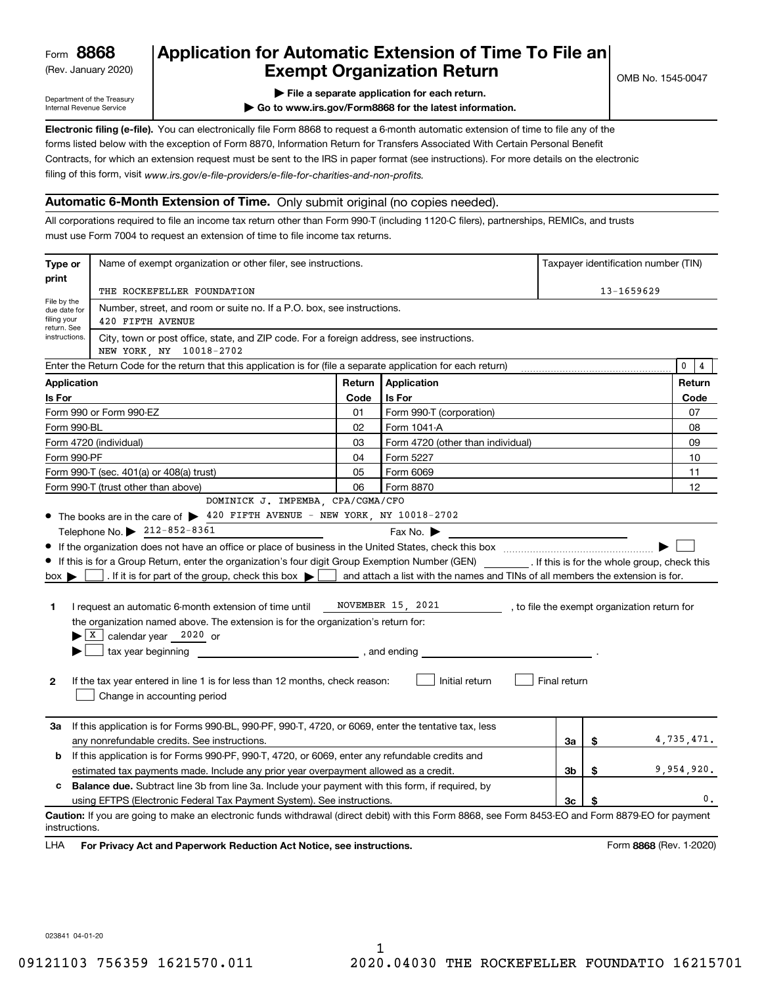(Rev. January 2020)

## **Application for Automatic Extension of Time To File an Exempt Organization Return**

Department of the Treasury Internal Revenue Service

**| File a separate application for each return.**

**| Go to www.irs.gov/Form8868 for the latest information.**

**Electronic filing (e-file).**  You can electronically file Form 8868 to request a 6-month automatic extension of time to file any of the filing of this form, visit www.irs.gov/e-file-providers/e-file-for-charities-and-non-profits. forms listed below with the exception of Form 8870, Information Return for Transfers Associated With Certain Personal Benefit Contracts, for which an extension request must be sent to the IRS in paper format (see instructions). For more details on the electronic

### **Automatic 6-Month Extension of Time.** Only submit original (no copies needed).

All corporations required to file an income tax return other than Form 990-T (including 1120-C filers), partnerships, REMICs, and trusts must use Form 7004 to request an extension of time to file income tax returns.

| Type or                                    | Name of exempt organization or other filer, see instructions.                                                                                                                                                                                                                                                                                                                                                                                                               |        |                                                                                |    |    | Taxpayer identification number (TIN) |
|--------------------------------------------|-----------------------------------------------------------------------------------------------------------------------------------------------------------------------------------------------------------------------------------------------------------------------------------------------------------------------------------------------------------------------------------------------------------------------------------------------------------------------------|--------|--------------------------------------------------------------------------------|----|----|--------------------------------------|
| print                                      | THE ROCKEFELLER FOUNDATION                                                                                                                                                                                                                                                                                                                                                                                                                                                  |        |                                                                                |    |    | $13 - 1659629$                       |
| File by the<br>due date for<br>filing your | Number, street, and room or suite no. If a P.O. box, see instructions.<br>420 FIFTH AVENUE                                                                                                                                                                                                                                                                                                                                                                                  |        |                                                                                |    |    |                                      |
| return. See<br>instructions.               | City, town or post office, state, and ZIP code. For a foreign address, see instructions.<br>NEW YORK, NY 10018-2702                                                                                                                                                                                                                                                                                                                                                         |        |                                                                                |    |    |                                      |
|                                            | Enter the Return Code for the return that this application is for (file a separate application for each return)                                                                                                                                                                                                                                                                                                                                                             |        |                                                                                |    |    | 0<br>4                               |
| <b>Application</b>                         |                                                                                                                                                                                                                                                                                                                                                                                                                                                                             | Return | Application                                                                    |    |    | Return                               |
| Is For                                     |                                                                                                                                                                                                                                                                                                                                                                                                                                                                             | Code   | Is For                                                                         |    |    | Code                                 |
|                                            | Form 990 or Form 990-EZ                                                                                                                                                                                                                                                                                                                                                                                                                                                     | 01     | Form 990-T (corporation)                                                       |    |    | 07                                   |
| Form 990-BL                                |                                                                                                                                                                                                                                                                                                                                                                                                                                                                             | 02     | Form 1041-A                                                                    |    |    | 08                                   |
|                                            | Form 4720 (individual)                                                                                                                                                                                                                                                                                                                                                                                                                                                      | 03     | Form 4720 (other than individual)                                              |    |    | 09                                   |
| Form 990-PF                                |                                                                                                                                                                                                                                                                                                                                                                                                                                                                             | 04     | Form 5227                                                                      |    |    | 10                                   |
|                                            | Form 990-T (sec. 401(a) or 408(a) trust)                                                                                                                                                                                                                                                                                                                                                                                                                                    | 05     | Form 6069                                                                      |    |    | 11                                   |
|                                            | Form 990-T (trust other than above)                                                                                                                                                                                                                                                                                                                                                                                                                                         | 06     | Form 8870                                                                      |    |    | 12                                   |
|                                            | DOMINICK J. IMPEMBA, CPA/CGMA/CFO                                                                                                                                                                                                                                                                                                                                                                                                                                           |        |                                                                                |    |    |                                      |
|                                            | • The books are in the care of > 420 FIFTH AVENUE - NEW YORK, NY 10018-2702<br>Telephone No. 212-852-8361                                                                                                                                                                                                                                                                                                                                                                   |        |                                                                                |    |    |                                      |
| $box \blacktriangleright$                  | If the organization does not have an office or place of business in the United States, check this box manuscription of the United States, check this box<br>If this is for a Group Return, enter the organization's four digit Group Exemption Number (GEN) [f this is for the whole group, check this<br>. If it is for part of the group, check this box $\blacktriangleright$                                                                                            |        | and attach a list with the names and TINs of all members the extension is for. |    |    |                                      |
| 1<br>$\mathbf{2}$                          | NOVEMBER 15, 2021<br>I request an automatic 6-month extension of time until<br>, to file the exempt organization return for<br>the organization named above. The extension is for the organization's return for:<br>$\blacktriangleright$ $\lfloor$ X $\rfloor$ calendar year 2020 or<br>tax year beginning<br>, and ending<br>Initial return<br>Final return<br>If the tax year entered in line 1 is for less than 12 months, check reason:<br>Change in accounting period |        |                                                                                |    |    |                                      |
| За                                         | If this application is for Forms 990-BL, 990-PF, 990-T, 4720, or 6069, enter the tentative tax, less<br>any nonrefundable credits. See instructions.                                                                                                                                                                                                                                                                                                                        |        |                                                                                | За | \$ | 4,735,471.                           |
| b                                          | If this application is for Forms 990-PF, 990-T, 4720, or 6069, enter any refundable credits and                                                                                                                                                                                                                                                                                                                                                                             |        |                                                                                |    |    |                                      |
|                                            | estimated tax payments made. Include any prior year overpayment allowed as a credit.                                                                                                                                                                                                                                                                                                                                                                                        |        |                                                                                | Зb | \$ | 9,954,920.                           |
| с                                          | <b>Balance due.</b> Subtract line 3b from line 3a. Include your payment with this form, if required, by                                                                                                                                                                                                                                                                                                                                                                     |        |                                                                                |    |    |                                      |
|                                            | using EFTPS (Electronic Federal Tax Payment System). See instructions.                                                                                                                                                                                                                                                                                                                                                                                                      |        |                                                                                | Зс |    | 0.                                   |
| instructions.                              | Caution: If you are going to make an electronic funds withdrawal (direct debit) with this Form 8868, see Form 8453-EO and Form 8879-EO for payment                                                                                                                                                                                                                                                                                                                          |        |                                                                                |    |    |                                      |
|                                            |                                                                                                                                                                                                                                                                                                                                                                                                                                                                             |        |                                                                                |    |    | $\sim$                               |

**HA** For Privacy Act and Paperwork Reduction Act Notice, see instructions. **But a struction of the Constantion Constant** Form 8868 (Rev. 1-2020) LHA

023841 04-01-20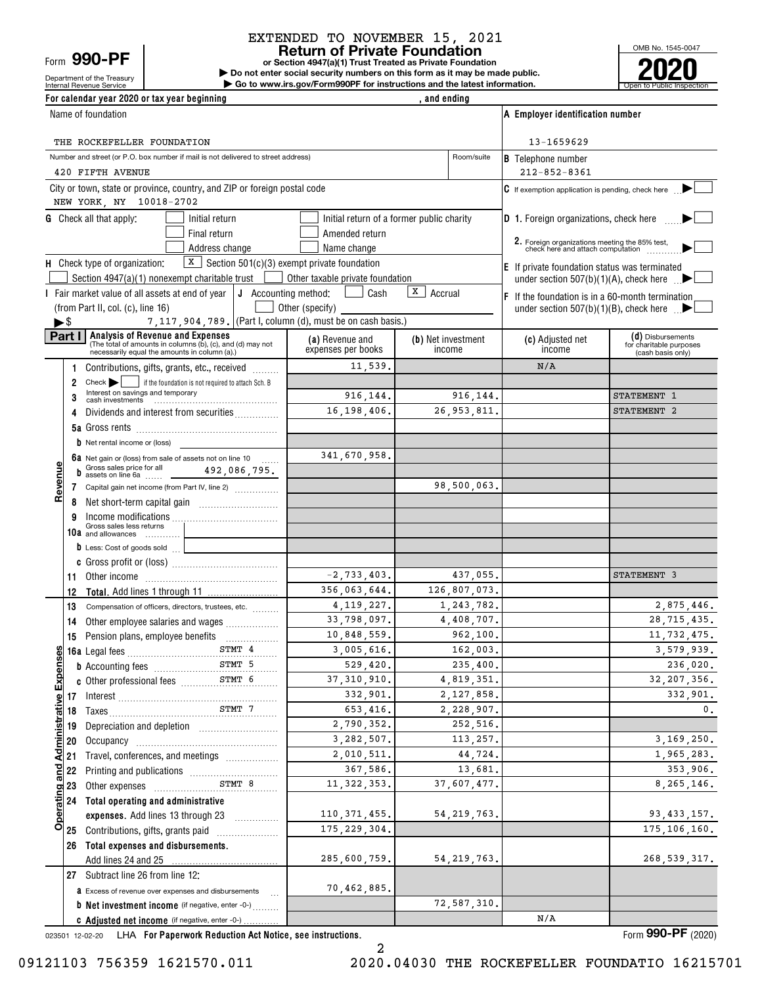Form **990-PF**

# Department of the Treasury

### **Return of Private Foundation** EXTENDED TO NOVEMBER 15, 2021

**or Section 4947(a)(1) Trust Treated as Private Foundation**

Internal Revenue Service **Number 19th Construction Constructions and the latest information.** The Service of Public Inspection **| Do not enter social security numbers on this form as it may be made public. | Go to www.irs.gov/Form990PF for instructions and the latest information.**



| For calendar year 2020 or tax year beginning                                                                                                       |                                       | , and ending                              |                                                                                     |                                                                   |
|----------------------------------------------------------------------------------------------------------------------------------------------------|---------------------------------------|-------------------------------------------|-------------------------------------------------------------------------------------|-------------------------------------------------------------------|
| Name of foundation                                                                                                                                 |                                       |                                           | A Employer identification number                                                    |                                                                   |
| THE ROCKEFELLER FOUNDATION                                                                                                                         |                                       |                                           | 13-1659629                                                                          |                                                                   |
| Number and street (or P.O. box number if mail is not delivered to street address)                                                                  |                                       | Room/suite                                | <b>B</b> Telephone number                                                           |                                                                   |
| 420 FIFTH AVENUE                                                                                                                                   |                                       |                                           | $212 - 852 - 8361$                                                                  |                                                                   |
| City or town, state or province, country, and ZIP or foreign postal code<br>NEW YORK, NY 10018-2702                                                |                                       |                                           | C If exemption application is pending, check here                                   |                                                                   |
| <b>G</b> Check all that apply:<br>Initial return                                                                                                   |                                       | Initial return of a former public charity | <b>D</b> 1. Foreign organizations, check here $\ldots$                              |                                                                   |
| Final return                                                                                                                                       | Amended return                        |                                           |                                                                                     |                                                                   |
| Address change                                                                                                                                     | Name change                           |                                           | 2. Foreign organizations meeting the 85% test,<br>check here and attach computation |                                                                   |
| $X$ Section 501(c)(3) exempt private foundation<br>H Check type of organization:                                                                   |                                       |                                           | <b>E</b> If private foundation status was terminated                                |                                                                   |
| Section 4947(a)(1) nonexempt charitable trust                                                                                                      | Other taxable private foundation      |                                           | under section 507(b)(1)(A), check here $\mathbb{R}$                                 |                                                                   |
| Fair market value of all assets at end of year $\vert \mathsf{J} \vert$ Accounting method:                                                         | Cash                                  | X  <br>Accrual                            | $F$ If the foundation is in a 60-month termination                                  |                                                                   |
| (from Part II, col. (c), line 16)                                                                                                                  | Other (specify)                       |                                           | under section $507(b)(1)(B)$ , check here $\blacksquare$                            |                                                                   |
| 7, 117, 904, 789. (Part I, column (d), must be on cash basis.)<br>$\blacktriangleright$ \$<br><b>Analysis of Revenue and Expenses</b><br>Part I    |                                       |                                           |                                                                                     |                                                                   |
| (The total of amounts in columns (b), (c), and (d) may not<br>necessarily equal the amounts in column (a).)                                        | (a) Revenue and<br>expenses per books | (b) Net investment<br>income              | (c) Adjusted net<br>income                                                          | (d) Disbursements<br>for charitable purposes<br>(cash basis only) |
| Contributions, gifts, grants, etc., received                                                                                                       | 11,539.                               |                                           | N/A                                                                                 |                                                                   |
| Check   if the foundation is not required to attach Sch. B<br>2<br>Interest on savings and temporary                                               |                                       |                                           |                                                                                     |                                                                   |
| 3                                                                                                                                                  | 916, 144.                             | 916,144.                                  |                                                                                     | STATEMENT 1                                                       |
| Dividends and interest from securities<br>4                                                                                                        | 16, 198, 406.                         | 26, 953, 811.                             |                                                                                     | STATEMENT 2                                                       |
|                                                                                                                                                    |                                       |                                           |                                                                                     |                                                                   |
| <b>b</b> Net rental income or (loss)                                                                                                               |                                       |                                           |                                                                                     |                                                                   |
| 6a Net gain or (loss) from sale of assets not on line 10<br><b>b</b> Gross sales price for all <b>192, 086, 795.</b><br><b>b</b> assets on line 6a | 341,670,958.                          |                                           |                                                                                     |                                                                   |
|                                                                                                                                                    |                                       | 98,500,063.                               |                                                                                     |                                                                   |
| Revenu<br>Capital gain net income (from Part IV, line 2)<br>7                                                                                      |                                       |                                           |                                                                                     |                                                                   |
| 8<br>9                                                                                                                                             |                                       |                                           |                                                                                     |                                                                   |
| Income modifications<br>Gross sales less returns [1]                                                                                               |                                       |                                           |                                                                                     |                                                                   |
| 10a and allowances<br><b>b</b> Less: Cost of goods sold                                                                                            |                                       |                                           |                                                                                     |                                                                   |
|                                                                                                                                                    |                                       |                                           |                                                                                     |                                                                   |
| 11<br>Other income information and the material contracts of the state of the state of the state of the state of the                               | $-2,733,403.$                         | 437,055.                                  |                                                                                     | STATEMENT 3                                                       |
| 12                                                                                                                                                 | 356,063,644.                          | 126,807,073.                              |                                                                                     |                                                                   |
| 13<br>Compensation of officers, directors, trustees, etc.                                                                                          | 4, 119, 227.                          | 1,243,782.                                |                                                                                     | 2,875,446.                                                        |
| Other employee salaries and wages<br>14                                                                                                            | 33,798,097.                           | 4,408,707.                                |                                                                                     | 28, 715, 435.                                                     |
| 15                                                                                                                                                 | 10,848,559.                           | 962,100.                                  |                                                                                     | 11,732,475.                                                       |
| ဖာျ                                                                                                                                                | 3,005,616.                            | 162,003.                                  |                                                                                     | 3,579,939.                                                        |
| <b>b</b> Accounting fees STMT 5                                                                                                                    | 529,420.                              | 235,400.                                  |                                                                                     | 236,020.                                                          |
| Expense<br>c Other professional fees STMT 6                                                                                                        | 37, 310, 910.                         | 4,819,351.                                |                                                                                     | 32, 207, 356.                                                     |
|                                                                                                                                                    | 332,901.                              | 2,127,858.                                |                                                                                     | 332,901.                                                          |
| Administrative                                                                                                                                     | 653,416.                              | 2,228,907.                                |                                                                                     | 0.                                                                |
| Depreciation and depletion [11] Depreciation and depletion<br>19                                                                                   | 2,790,352.                            | 252,516.                                  |                                                                                     |                                                                   |
| 20                                                                                                                                                 | 3,282,507.                            | 113,257.                                  |                                                                                     | 3, 169, 250.                                                      |
| Travel, conferences, and meetings <i>manualized</i><br>21                                                                                          | 2,010,511.                            | 44,724.                                   |                                                                                     | 1,965,283.                                                        |
| and<br>22                                                                                                                                          | 367,586.                              | 13,681.                                   |                                                                                     | 353,906.                                                          |
| STMT 8<br>23                                                                                                                                       | 11, 322, 353.                         | 37,607,477.                               |                                                                                     | 8, 265, 146.                                                      |
| Operating<br>24<br>Total operating and administrative                                                                                              |                                       |                                           |                                                                                     |                                                                   |
| expenses. Add lines 13 through 23                                                                                                                  | 110, 371, 455.                        | 54, 219, 763.                             |                                                                                     | 93, 433, 157.                                                     |
| Contributions, gifts, grants paid<br>25                                                                                                            | 175, 229, 304.                        |                                           |                                                                                     | 175, 106, 160.                                                    |
| Total expenses and disbursements.<br>26                                                                                                            | 285,600,759.                          | 54, 219, 763.                             |                                                                                     | 268, 539, 317.                                                    |
| 27 Subtract line 26 from line 12:                                                                                                                  |                                       |                                           |                                                                                     |                                                                   |
| <b>a</b> Excess of revenue over expenses and disbursements                                                                                         | 70,462,885.                           |                                           |                                                                                     |                                                                   |
| <b>b</b> Net investment income (if negative, enter -0-)                                                                                            |                                       | 72,587,310.                               |                                                                                     |                                                                   |
| C Adjusted net income (if negative, enter -0-)                                                                                                     |                                       |                                           | N/A                                                                                 |                                                                   |
|                                                                                                                                                    |                                       |                                           |                                                                                     |                                                                   |

023501 12-02-20 **For Paperwork Reduction Act Notice, see instructions.** LHA Form (2020)

**990-PF**

2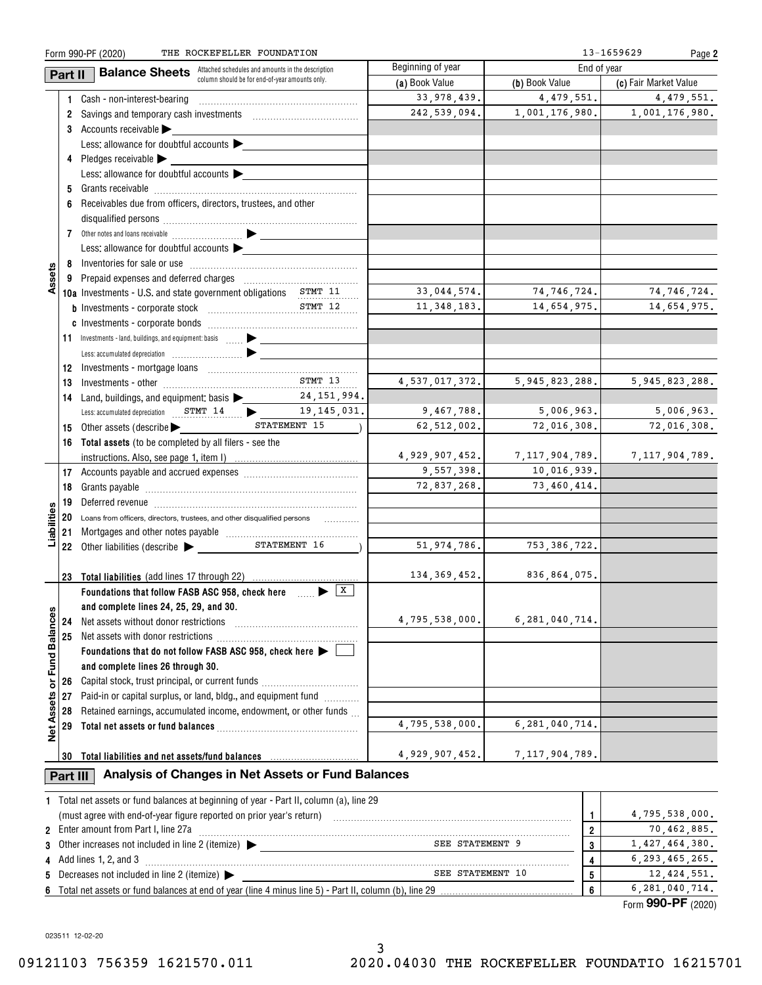|                   |          | THE ROCKEFELLER FOUNDATION<br>Form 990-PF (2020)                                                               |                                                |                   |                   | 13-1659629<br>Page 2  |
|-------------------|----------|----------------------------------------------------------------------------------------------------------------|------------------------------------------------|-------------------|-------------------|-----------------------|
|                   | Part II  | <b>Balance Sheets</b> Attached schedules and amounts in the description                                        |                                                | Beginning of year | End of year       |                       |
|                   |          |                                                                                                                | column should be for end-of-year amounts only. | (a) Book Value    | (b) Book Value    | (c) Fair Market Value |
|                   |          | 1 Cash - non-interest-bearing                                                                                  |                                                | 33, 978, 439.     | 4,479,551.        | 4,479,551.            |
|                   |          | 2 Savings and temporary cash investments [111] Savings and temporary cash investments                          |                                                | 242,539,094.      | 1,001,176,980.    | 1,001,176,980.        |
|                   |          | 3 Accounts receivable                                                                                          |                                                |                   |                   |                       |
|                   |          | Less: allowance for doubtful accounts                                                                          |                                                |                   |                   |                       |
|                   |          | 4 Pledges receivable $\blacktriangleright$ $\_\_$                                                              |                                                |                   |                   |                       |
|                   |          | Less: allowance for doubtful accounts                                                                          |                                                |                   |                   |                       |
|                   |          |                                                                                                                |                                                |                   |                   |                       |
|                   |          | 6 Receivables due from officers, directors, trustees, and other                                                |                                                |                   |                   |                       |
|                   |          |                                                                                                                |                                                |                   |                   |                       |
|                   |          |                                                                                                                |                                                |                   |                   |                       |
|                   |          | Less: allowance for doubtful accounts                                                                          |                                                |                   |                   |                       |
|                   |          |                                                                                                                |                                                |                   |                   |                       |
| Assets            |          |                                                                                                                |                                                |                   |                   |                       |
|                   |          | 10a Investments - U.S. and state government obligations STMT 11                                                |                                                | 33,044,574.       | 74,746,724.       | 74,746,724.           |
|                   |          |                                                                                                                |                                                | 11, 348, 183.     | 14,654,975.       | 14,654,975.           |
|                   |          |                                                                                                                |                                                |                   |                   |                       |
|                   |          |                                                                                                                |                                                |                   |                   |                       |
|                   |          | 11 Investments - land, buildings, and equipment: basis  > _______________                                      |                                                |                   |                   |                       |
|                   |          |                                                                                                                |                                                |                   |                   |                       |
|                   |          |                                                                                                                | STMT 13                                        |                   |                   |                       |
|                   | 13       |                                                                                                                |                                                | 4,537,017,372.    | 5,945,823,288.    | 5, 945, 823, 288.     |
|                   |          | 14 Land, buildings, and equipment: basis 24, 151, 994.                                                         |                                                |                   |                   |                       |
|                   |          | Less: accumulated depreciation STMT 14 19, 145, 031.                                                           |                                                | 9,467,788.        | 5,006,963.        | 5,006,963.            |
|                   |          | 15 Other assets (describe >                                                                                    | STATEMENT 15                                   | 62,512,002.       | 72,016,308.       | 72,016,308.           |
|                   |          | 16 Total assets (to be completed by all filers - see the                                                       |                                                |                   |                   |                       |
|                   |          |                                                                                                                |                                                | 4,929,907,452.    | 7,117,904,789.    | 7,117,904,789.        |
|                   |          |                                                                                                                |                                                | 9,557,398.        | 10,016,939.       |                       |
|                   | 18       |                                                                                                                |                                                | 72,837,268.       | 73,460,414.       |                       |
|                   |          |                                                                                                                |                                                |                   |                   |                       |
| lities            |          | 20 Loans from officers, directors, trustees, and other disqualified persons                                    |                                                |                   |                   |                       |
| iabil             | 21       | Mortgages and other notes payable [1111][11] Mortgages and other notes payable [111] Mortgages and other notes |                                                |                   |                   |                       |
|                   |          | 22 Other liabilities (describe                                                                                 | STATEMENT 16                                   | 51, 974, 786.     | 753, 386, 722.    |                       |
|                   |          |                                                                                                                |                                                |                   |                   |                       |
|                   |          | 23 Total liabilities (add lines 17 through 22)                                                                 |                                                | 134, 369, 452.    | 836,864,075.      |                       |
|                   |          | Foundations that follow FASB ASC 958, check here $\Box$                                                        |                                                |                   |                   |                       |
|                   |          | and complete lines 24, 25, 29, and 30.                                                                         |                                                |                   |                   |                       |
|                   | 24       | Net assets without donor restrictions                                                                          |                                                | 4,795,538,000.    | 6, 281, 040, 714. |                       |
| Fund Balances     | 25       |                                                                                                                |                                                |                   |                   |                       |
|                   |          | Foundations that do not follow FASB ASC 958, check here $\blacktriangleright$                                  |                                                |                   |                   |                       |
|                   |          | and complete lines 26 through 30.                                                                              |                                                |                   |                   |                       |
| ŏ                 | 26       | Capital stock, trust principal, or current funds                                                               |                                                |                   |                   |                       |
|                   | 27       | Paid-in or capital surplus, or land, bldg., and equipment fund <i>minimity</i>                                 |                                                |                   |                   |                       |
| <b>Net Assets</b> | 28       | Retained earnings, accumulated income, endowment, or other funds                                               |                                                |                   |                   |                       |
|                   | 29       |                                                                                                                |                                                | 4,795,538,000.    | 6.281.040.714.    |                       |
|                   |          |                                                                                                                |                                                |                   |                   |                       |
|                   | 30       | Total liabilities and net assets/fund balances                                                                 |                                                | 4,929,907,452.    | 7, 117, 904, 789. |                       |
|                   |          |                                                                                                                |                                                |                   |                   |                       |
|                   | Part III | Analysis of Changes in Net Assets or Fund Balances                                                             |                                                |                   |                   |                       |
|                   |          | 1 Total net assets or fund balances at beginning of year - Part II, column (a), line 29                        |                                                |                   |                   |                       |
|                   |          |                                                                                                                |                                                |                   |                   | 4,795,538,000.        |
|                   |          | (must agree with end-of-year figure reported on prior year's return)                                           |                                                |                   | 1                 | 70,462,885.           |
|                   |          | 2 Enter amount from Part I, line 27a                                                                           | $\overline{2}$                                 |                   |                   |                       |
| 3                 |          | Other increases not included in line 2 (itemize) $\blacktriangleright$                                         |                                                | SEE STATEMENT 9   | 3                 | 1,427,464,380.        |
|                   |          | 4 Add lines 1, 2, and 3                                                                                        |                                                |                   | 4                 | 6, 293, 465, 265.     |
|                   |          | Decreases not included in line 2 (itemize)                                                                     |                                                | SEE STATEMENT 10  | 5                 | 12, 424, 551.         |
|                   |          | 6 Total net assets or fund balances at end of year (line 4 minus line 5) - Part II, column (b), line 29.       |                                                |                   | 6                 | 6, 281, 040, 714.     |

Form (2020) **990-PF**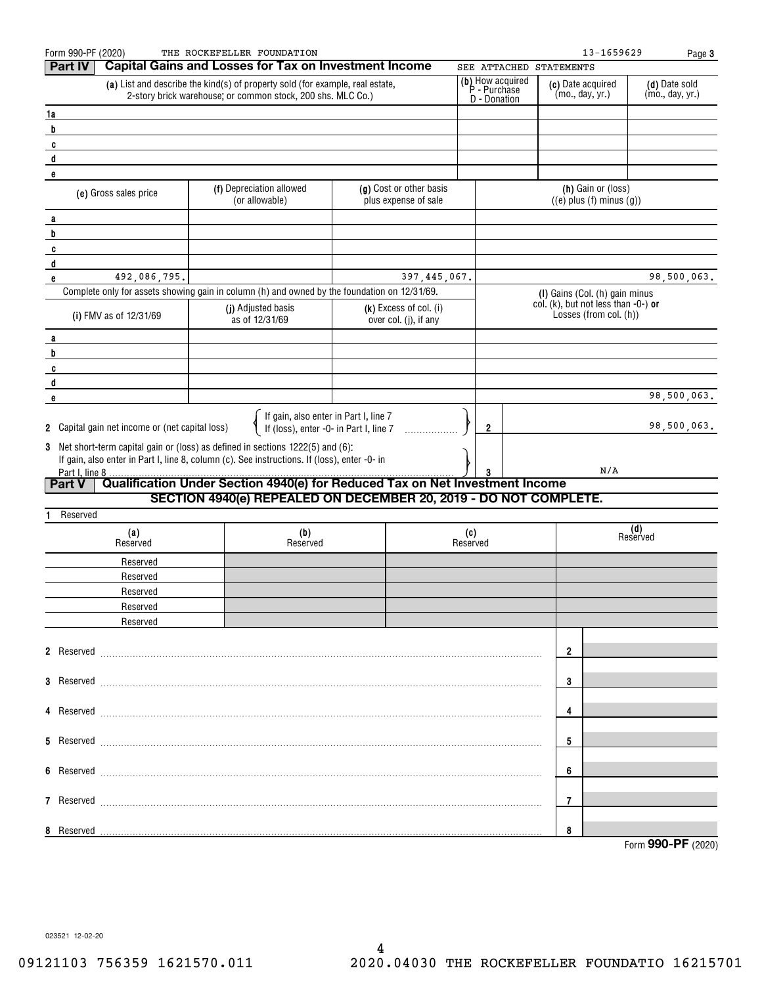| Form 990-PF (2020)                                                              | THE ROCKEFELLER FOUNDATION                                                                                                                       |                                                   |          |                                  |                                      | 13-1659629                                                       | Page 3                           |
|---------------------------------------------------------------------------------|--------------------------------------------------------------------------------------------------------------------------------------------------|---------------------------------------------------|----------|----------------------------------|--------------------------------------|------------------------------------------------------------------|----------------------------------|
| <b>Part IV</b>                                                                  | <b>Capital Gains and Losses for Tax on Investment Income</b>                                                                                     |                                                   |          | SEE ATTACHED STATEMENTS          |                                      |                                                                  |                                  |
|                                                                                 | (a) List and describe the kind(s) of property sold (for example, real estate,<br>2-story brick warehouse; or common stock, 200 shs. MLC Co.)     |                                                   |          | (b) How acquired<br>P - Purchase | (c) Date acquired<br>(mo., day, yr.) |                                                                  | (d) Date sold<br>(mo., day, yr.) |
| 1a                                                                              |                                                                                                                                                  |                                                   |          | D - Donation                     |                                      |                                                                  |                                  |
| b                                                                               |                                                                                                                                                  |                                                   |          |                                  |                                      |                                                                  |                                  |
| C                                                                               |                                                                                                                                                  |                                                   |          |                                  |                                      |                                                                  |                                  |
| d                                                                               |                                                                                                                                                  |                                                   |          |                                  |                                      |                                                                  |                                  |
| e                                                                               |                                                                                                                                                  |                                                   |          |                                  |                                      |                                                                  |                                  |
| (e) Gross sales price                                                           | (f) Depreciation allowed<br>(or allowable)                                                                                                       | (g) Cost or other basis<br>plus expense of sale   |          |                                  |                                      | (h) Gain or (loss)<br>$((e)$ plus $(f)$ minus $(g)$ )            |                                  |
| a                                                                               |                                                                                                                                                  |                                                   |          |                                  |                                      |                                                                  |                                  |
| b                                                                               |                                                                                                                                                  |                                                   |          |                                  |                                      |                                                                  |                                  |
| C                                                                               |                                                                                                                                                  |                                                   |          |                                  |                                      |                                                                  |                                  |
| d<br>492,086,795.<br>e                                                          |                                                                                                                                                  | 397, 445, 067.                                    |          |                                  |                                      |                                                                  | 98,500,063.                      |
|                                                                                 | Complete only for assets showing gain in column (h) and owned by the foundation on 12/31/69.                                                     |                                                   |          |                                  |                                      | (I) Gains (Col. (h) gain minus                                   |                                  |
| (i) FMV as of 12/31/69                                                          | (j) Adjusted basis<br>as of 12/31/69                                                                                                             | $(k)$ Excess of col. (i)<br>over col. (j), if any |          |                                  |                                      | col. (k), but not less than $-0$ -) or<br>Losses (from col. (h)) |                                  |
|                                                                                 |                                                                                                                                                  |                                                   |          |                                  |                                      |                                                                  |                                  |
| a<br>b                                                                          |                                                                                                                                                  |                                                   |          |                                  |                                      |                                                                  |                                  |
| C                                                                               |                                                                                                                                                  |                                                   |          |                                  |                                      |                                                                  |                                  |
| d                                                                               |                                                                                                                                                  |                                                   |          |                                  |                                      |                                                                  |                                  |
| e                                                                               |                                                                                                                                                  |                                                   |          |                                  |                                      |                                                                  | 98,500,063.                      |
| 2 Capital gain net income or (net capital loss)                                 | If gain, also enter in Part I, line 7<br>If (loss), enter -0- in Part I, line 7                                                                  |                                                   |          | 2                                |                                      |                                                                  | 98,500,063.                      |
| 3 Net short-term capital gain or (loss) as defined in sections 1222(5) and (6): |                                                                                                                                                  |                                                   |          |                                  |                                      |                                                                  |                                  |
|                                                                                 | If gain, also enter in Part I, line 8, column (c). See instructions. If (loss), enter -0- in                                                     |                                                   |          |                                  |                                      |                                                                  |                                  |
| Part I, line 8                                                                  |                                                                                                                                                  |                                                   |          |                                  |                                      | N/A                                                              |                                  |
| <b>Part V</b>                                                                   | Qualification Under Section 4940(e) for Reduced Tax on Net Investment Income<br>SECTION 4940(e) REPEALED ON DECEMBER 20, 2019 - DO NOT COMPLETE. |                                                   |          |                                  |                                      |                                                                  |                                  |
| Reserved                                                                        |                                                                                                                                                  |                                                   |          |                                  |                                      |                                                                  |                                  |
| (a)                                                                             | (b)                                                                                                                                              |                                                   | (c)      |                                  |                                      | (d)                                                              |                                  |
| Reserved                                                                        | Reserved                                                                                                                                         |                                                   | Reserved |                                  |                                      | Reserved                                                         |                                  |
| Reserved                                                                        |                                                                                                                                                  |                                                   |          |                                  |                                      |                                                                  |                                  |
| Reserved                                                                        |                                                                                                                                                  |                                                   |          |                                  |                                      |                                                                  |                                  |
| Reserved                                                                        |                                                                                                                                                  |                                                   |          |                                  |                                      |                                                                  |                                  |
| Reserved                                                                        |                                                                                                                                                  |                                                   |          |                                  |                                      |                                                                  |                                  |
| Reserved                                                                        |                                                                                                                                                  |                                                   |          |                                  |                                      |                                                                  |                                  |
| 2 Reserved <b>March 2 Reserved</b>                                              |                                                                                                                                                  |                                                   |          |                                  | $\overline{\mathbf{2}}$              |                                                                  |                                  |
|                                                                                 |                                                                                                                                                  |                                                   |          |                                  |                                      |                                                                  |                                  |
|                                                                                 |                                                                                                                                                  |                                                   |          |                                  | 3                                    |                                                                  |                                  |
|                                                                                 |                                                                                                                                                  |                                                   |          |                                  | 4                                    |                                                                  |                                  |
|                                                                                 |                                                                                                                                                  |                                                   |          |                                  | 5                                    |                                                                  |                                  |
|                                                                                 |                                                                                                                                                  |                                                   |          |                                  | 6                                    |                                                                  |                                  |
|                                                                                 |                                                                                                                                                  |                                                   |          |                                  |                                      |                                                                  |                                  |
|                                                                                 |                                                                                                                                                  |                                                   |          |                                  | 7                                    |                                                                  |                                  |
| 8 Reserved                                                                      |                                                                                                                                                  |                                                   |          |                                  | 8                                    |                                                                  | Form 990-PF (2020)               |
|                                                                                 |                                                                                                                                                  |                                                   |          |                                  |                                      |                                                                  |                                  |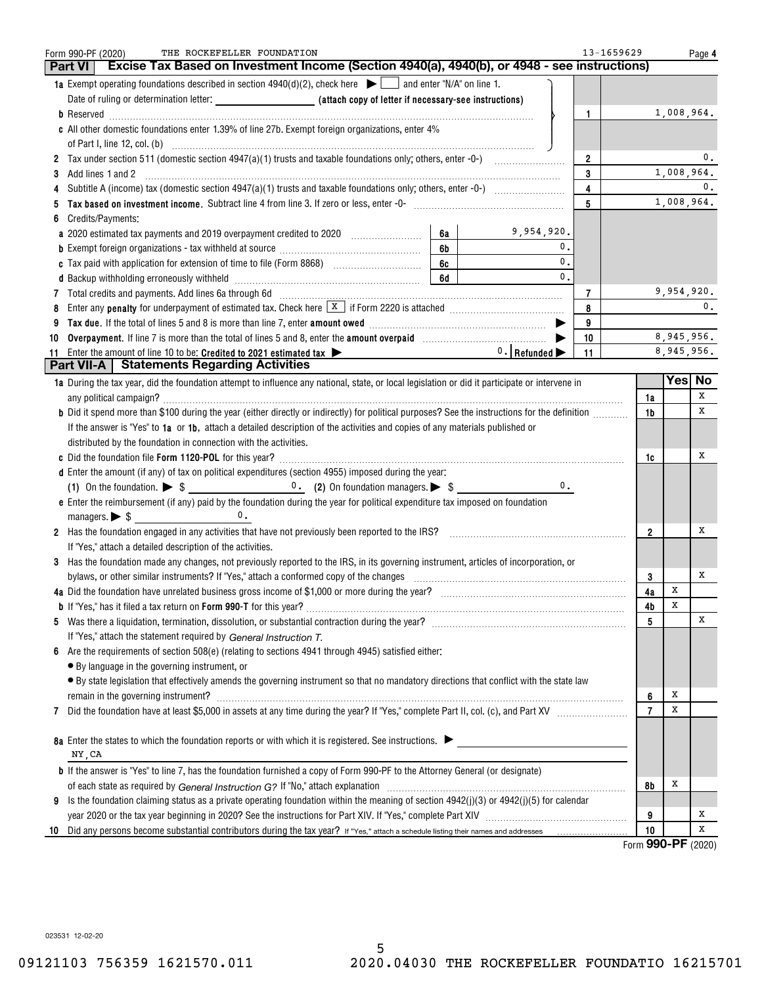| THE ROCKEFELLER FOUNDATION<br>Form 990-PF (2020)                                                                                                                                                                                         |    |                                     |                | 13-1659629           |            | Page 4         |
|------------------------------------------------------------------------------------------------------------------------------------------------------------------------------------------------------------------------------------------|----|-------------------------------------|----------------|----------------------|------------|----------------|
| Excise Tax Based on Investment Income (Section 4940(a), 4940(b), or 4948 - see instructions)<br><b>Part VI</b>                                                                                                                           |    |                                     |                |                      |            |                |
| 1a Exempt operating foundations described in section $4940(d)(2)$ , check here $\bullet$ and enter "N/A" on line 1.                                                                                                                      |    |                                     |                |                      |            |                |
|                                                                                                                                                                                                                                          |    |                                     |                |                      |            |                |
|                                                                                                                                                                                                                                          |    |                                     | 1              |                      | 1,008,964. |                |
| c All other domestic foundations enter 1.39% of line 27b. Exempt foreign organizations, enter 4%                                                                                                                                         |    |                                     |                |                      |            |                |
|                                                                                                                                                                                                                                          |    |                                     |                |                      |            |                |
|                                                                                                                                                                                                                                          |    |                                     | $\overline{2}$ |                      |            | 0.             |
| Add lines 1 and 2<br>3                                                                                                                                                                                                                   |    |                                     | 3              |                      | 1,008,964. |                |
| 4                                                                                                                                                                                                                                        |    |                                     | 4              |                      |            | $\mathbf{0}$ . |
| 5                                                                                                                                                                                                                                        |    |                                     | 5              |                      |            | 1,008,964.     |
| Credits/Payments:<br>6                                                                                                                                                                                                                   |    |                                     |                |                      |            |                |
| a 2020 estimated tax payments and 2019 overpayment credited to 2020 [11, 12, 12, 13, 13, 13, 13, 13, 13, 13, 1                                                                                                                           | 6а | 9,954,920.                          |                |                      |            |                |
| <b>b</b> Exempt foreign organizations - tax withheld at source <i>manumanal communicanal</i> contains the section of the section of the section of the section of the section of the section of the section of the section of the sectio | 6b | 0.                                  |                |                      |            |                |
|                                                                                                                                                                                                                                          | 6c | 0.                                  |                |                      |            |                |
|                                                                                                                                                                                                                                          | 6d | 0.                                  |                |                      |            |                |
| 7 Total credits and payments. Add lines 6a through 6d [11] [12] Total Conservation contracts and payments. Add lines 6a through 6d [11] [12] Total Conservation contracts and payments. Add lines 6a through 6d [12] [12] Tota           |    |                                     | 7              |                      | 9,954,920. |                |
| 8                                                                                                                                                                                                                                        |    |                                     | 8              |                      |            | 0.             |
| 9                                                                                                                                                                                                                                        |    |                                     | 9              |                      |            |                |
| Overpayment. If line 7 is more than the total of lines 5 and 8, enter the amount overpaid <i>manument</i> or successors.<br>10                                                                                                           |    |                                     | 10             |                      | 8,945,956. |                |
| Enter the amount of line 10 to be: Credited to 2021 estimated tax $\blacktriangleright$<br>11                                                                                                                                            |    | $0.$ Refunded $\blacktriangleright$ | 11             |                      | 8,945,956. |                |
| <b>Part VII-A</b>   Statements Regarding Activities                                                                                                                                                                                      |    |                                     |                |                      |            |                |
| 1a During the tax year, did the foundation attempt to influence any national, state, or local legislation or did it participate or intervene in                                                                                          |    |                                     |                |                      |            | Yes No         |
|                                                                                                                                                                                                                                          |    |                                     |                | 1a                   |            | x              |
| <b>b</b> Did it spend more than \$100 during the year (either directly or indirectly) for political purposes? See the instructions for the definition                                                                                    |    |                                     |                | 1b                   |            | х              |
| If the answer is "Yes" to 1a or 1b, attach a detailed description of the activities and copies of any materials published or                                                                                                             |    |                                     |                |                      |            |                |
| distributed by the foundation in connection with the activities.                                                                                                                                                                         |    |                                     |                |                      |            |                |
|                                                                                                                                                                                                                                          |    |                                     |                | 1c                   |            | х              |
| d Enter the amount (if any) of tax on political expenditures (section 4955) imposed during the year:                                                                                                                                     |    |                                     |                |                      |            |                |
|                                                                                                                                                                                                                                          |    | $\mathbf{0}$ .                      |                |                      |            |                |
| e Enter the reimbursement (if any) paid by the foundation during the year for political expenditure tax imposed on foundation                                                                                                            |    |                                     |                |                      |            |                |
| 0.                                                                                                                                                                                                                                       |    |                                     |                |                      |            |                |
| 2 Has the foundation engaged in any activities that have not previously been reported to the IRS?                                                                                                                                        |    |                                     |                | $\mathbf{2}$         |            | х              |
| If "Yes," attach a detailed description of the activities.                                                                                                                                                                               |    |                                     |                |                      |            |                |
| 3 Has the foundation made any changes, not previously reported to the IRS, in its governing instrument, articles of incorporation, or                                                                                                    |    |                                     |                |                      |            |                |
| bylaws, or other similar instruments? If "Yes," attach a conformed copy of the changes                                                                                                                                                   |    |                                     |                | 3                    |            | х              |
| 4a Did the foundation have unrelated business gross income of \$1,000 or more during the year?                                                                                                                                           |    |                                     |                | 4a                   | X          |                |
|                                                                                                                                                                                                                                          |    |                                     |                | 4b                   | Х          |                |
|                                                                                                                                                                                                                                          |    |                                     |                | 5                    |            | х              |
| If "Yes," attach the statement required by General Instruction T.                                                                                                                                                                        |    |                                     |                |                      |            |                |
| Are the requirements of section 508(e) (relating to sections 4941 through 4945) satisfied either:                                                                                                                                        |    |                                     |                |                      |            |                |
| • By language in the governing instrument, or                                                                                                                                                                                            |    |                                     |                |                      |            |                |
| • By state legislation that effectively amends the governing instrument so that no mandatory directions that conflict with the state law                                                                                                 |    |                                     |                |                      |            |                |
| remain in the governing instrument? Management and the contract of the contract of the contract of the contract of the contract of the contract of the contract of the contract of the contract of the contract of the contrac           |    |                                     |                | 6                    | х          |                |
| 7                                                                                                                                                                                                                                        |    |                                     |                | $\overline{7}$       | х          |                |
|                                                                                                                                                                                                                                          |    |                                     |                |                      |            |                |
| 8a Enter the states to which the foundation reports or with which it is registered. See instructions.                                                                                                                                    |    |                                     |                |                      |            |                |
| NY, CA                                                                                                                                                                                                                                   |    |                                     |                |                      |            |                |
| <b>b</b> If the answer is "Yes" to line 7, has the foundation furnished a copy of Form 990-PF to the Attorney General (or designate)                                                                                                     |    |                                     |                |                      |            |                |
|                                                                                                                                                                                                                                          |    |                                     |                | 8b                   | x          |                |
| Is the foundation claiming status as a private operating foundation within the meaning of section $4942(j)(3)$ or $4942(j)(5)$ for calendar<br>9                                                                                         |    |                                     |                |                      |            |                |
|                                                                                                                                                                                                                                          |    |                                     |                | 9                    |            | х              |
| Did any persons become substantial contributors during the tax year? If "Yes," attach a schedule listing their names and addresses<br>10                                                                                                 |    |                                     |                | 10<br>$\overline{2}$ |            | х              |

Form (2020) **990-PF**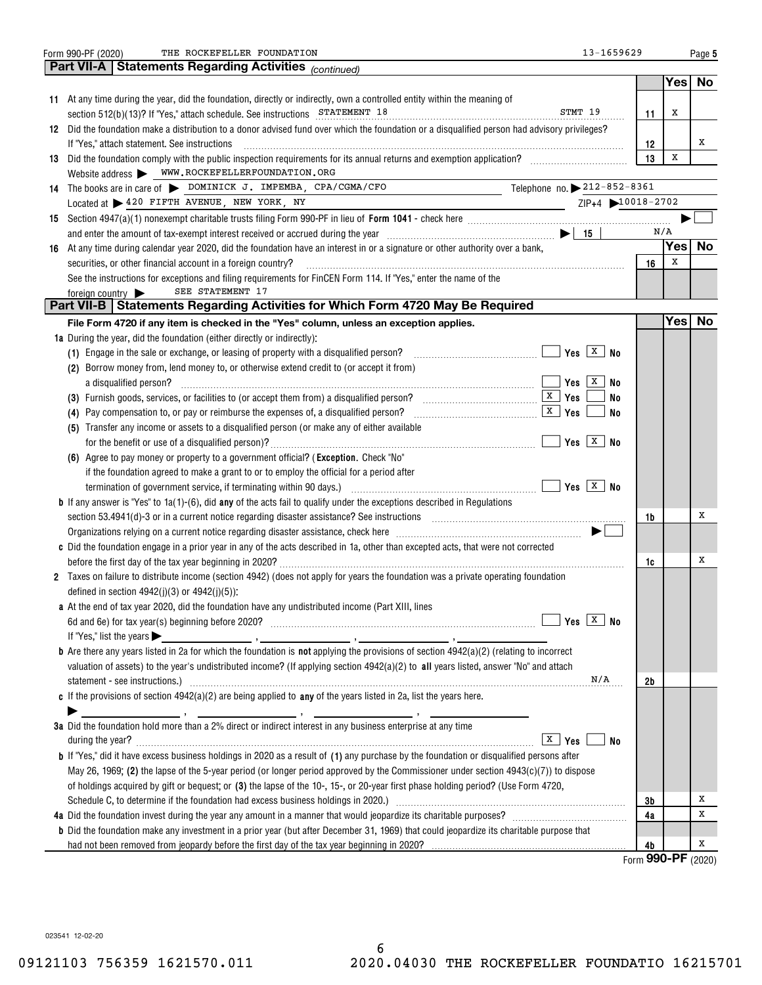|    | THE ROCKEFELLER FOUNDATION<br>13-1659629<br>Form 990-PF (2020)                                                                                                                                                                 |                    |     | Page 5    |
|----|--------------------------------------------------------------------------------------------------------------------------------------------------------------------------------------------------------------------------------|--------------------|-----|-----------|
|    | <b>Part VII-A   Statements Regarding Activities (continued)</b>                                                                                                                                                                |                    |     |           |
|    |                                                                                                                                                                                                                                |                    | Yes | <b>No</b> |
|    | 11 At any time during the year, did the foundation, directly or indirectly, own a controlled entity within the meaning of                                                                                                      |                    |     |           |
|    | STMT 19<br>section 512(b)(13)? If "Yes," attach schedule. See instructions STATEMENT 18                                                                                                                                        | 11                 | х   |           |
|    | 12 Did the foundation make a distribution to a donor advised fund over which the foundation or a disqualified person had advisory privileges?                                                                                  |                    |     |           |
|    | If "Yes," attach statement. See instructions                                                                                                                                                                                   | 12                 |     | x         |
| 13 | Did the foundation comply with the public inspection requirements for its annual returns and exemption application?                                                                                                            | 13                 | X   |           |
|    | Website address WWW.ROCKEFELLERFOUNDATION.ORG                                                                                                                                                                                  |                    |     |           |
|    | Telephone no. $\blacktriangleright$ 212-852-8361<br>14 The books are in care of DOMINICK J. IMPEMBA, CPA/CGMA/CFO                                                                                                              |                    |     |           |
|    | Located at > 420 FIFTH AVENUE, NEW YORK, NY<br>ZIP+4 10018-2702                                                                                                                                                                |                    |     |           |
|    |                                                                                                                                                                                                                                |                    |     |           |
|    | and enter the amount of tax-exempt interest received or accrued during the year $\ldots$ $\ldots$ $\ldots$ $\ldots$ $\ldots$ $\ldots$ $\ldots$ $\ldots$ $\ldots$                                                               |                    | N/A |           |
|    | 16 At any time during calendar year 2020, did the foundation have an interest in or a signature or other authority over a bank,                                                                                                |                    | Yes | No        |
|    | securities, or other financial account in a foreign country?                                                                                                                                                                   | 16                 | х   |           |
|    | See the instructions for exceptions and filing requirements for FinCEN Form 114. If "Yes," enter the name of the                                                                                                               |                    |     |           |
|    | SEE STATEMENT 17<br>foreign country $\blacktriangleright$                                                                                                                                                                      |                    |     |           |
|    | Part VII-B   Statements Regarding Activities for Which Form 4720 May Be Required                                                                                                                                               |                    |     |           |
|    | File Form 4720 if any item is checked in the "Yes" column, unless an exception applies.                                                                                                                                        |                    | Yes | No        |
|    | 1a During the year, did the foundation (either directly or indirectly):                                                                                                                                                        |                    |     |           |
|    | Yes $X$ No<br>(1) Engage in the sale or exchange, or leasing of property with a disqualified person?                                                                                                                           |                    |     |           |
|    | (2) Borrow money from, lend money to, or otherwise extend credit to (or accept it from)                                                                                                                                        |                    |     |           |
|    | Yes $\overline{X}$<br>No<br>a disqualified person?                                                                                                                                                                             |                    |     |           |
|    | <u>x</u>   Yes<br>(3) Furnish goods, services, or facilities to (or accept them from) a disqualified person?<br>No                                                                                                             |                    |     |           |
|    | $\sqrt{\frac{X}{X}}$ Yes<br>(4) Pay compensation to, or pay or reimburse the expenses of, a disqualified person?<br>No                                                                                                         |                    |     |           |
|    | (5) Transfer any income or assets to a disqualified person (or make any of either available                                                                                                                                    |                    |     |           |
|    | Yes $X$ No                                                                                                                                                                                                                     |                    |     |           |
|    | (6) Agree to pay money or property to a government official? (Exception. Check "No"                                                                                                                                            |                    |     |           |
|    | if the foundation agreed to make a grant to or to employ the official for a period after                                                                                                                                       |                    |     |           |
|    | Yes $\boxed{\textbf{X}}$ No<br>termination of government service, if terminating within 90 days.)                                                                                                                              |                    |     |           |
|    | <b>b</b> If any answer is "Yes" to $1a(1)-(6)$ , did any of the acts fail to qualify under the exceptions described in Regulations                                                                                             |                    |     |           |
|    | section 53.4941(d)-3 or in a current notice regarding disaster assistance? See instructions [100] and the section 53.4941(d)-3 or in a current notice regarding disaster assistance? See instructions [100] and the section 5. | 1b                 |     | х         |
|    |                                                                                                                                                                                                                                |                    |     |           |
|    | c Did the foundation engage in a prior year in any of the acts described in 1a, other than excepted acts, that were not corrected                                                                                              |                    |     |           |
|    |                                                                                                                                                                                                                                | 1c                 |     | х         |
|    | 2 Taxes on failure to distribute income (section 4942) (does not apply for years the foundation was a private operating foundation                                                                                             |                    |     |           |
|    | defined in section $4942(i)(3)$ or $4942(i)(5)$ :                                                                                                                                                                              |                    |     |           |
|    | a At the end of tax year 2020, did the foundation have any undistributed income (Part XIII, lines                                                                                                                              |                    |     |           |
|    | Yes $X$ No                                                                                                                                                                                                                     |                    |     |           |
|    | If "Yes," list the years $\blacktriangleright$                                                                                                                                                                                 |                    |     |           |
|    | <b>b</b> Are there any years listed in 2a for which the foundation is <b>not</b> applying the provisions of section $4942(a)(2)$ (relating to incorrect                                                                        |                    |     |           |
|    | valuation of assets) to the year's undistributed income? (If applying section $4942(a)(2)$ to all years listed, answer "No" and attach                                                                                         |                    |     |           |
|    | N/A                                                                                                                                                                                                                            | 2b                 |     |           |
|    | c If the provisions of section $4942(a)(2)$ are being applied to any of the years listed in 2a, list the years here.                                                                                                           |                    |     |           |
|    |                                                                                                                                                                                                                                |                    |     |           |
|    | 3a Did the foundation hold more than a 2% direct or indirect interest in any business enterprise at any time                                                                                                                   |                    |     |           |
|    | X<br>during the year?<br>Yes<br><b>No</b>                                                                                                                                                                                      |                    |     |           |
|    | <b>b</b> If "Yes," did it have excess business holdings in 2020 as a result of (1) any purchase by the foundation or disqualified persons after                                                                                |                    |     |           |
|    | May 26, 1969; (2) the lapse of the 5-year period (or longer period approved by the Commissioner under section $4943(c)(7)$ ) to dispose                                                                                        |                    |     |           |
|    | of holdings acquired by gift or bequest; or (3) the lapse of the 10-, 15-, or 20-year first phase holding period? (Use Form 4720,                                                                                              |                    |     |           |
|    | Schedule C, to determine if the foundation had excess business holdings in 2020.) [10] manufacture content to determine if the foundation had excess business holdings in 2020.) [10] manufacture content of the state of the  | 3b                 |     | х         |
|    |                                                                                                                                                                                                                                | 4a                 |     | х         |
|    | <b>b</b> Did the foundation make any investment in a prior year (but after December 31, 1969) that could jeopardize its charitable purpose that                                                                                |                    |     |           |
|    |                                                                                                                                                                                                                                | 4b                 |     | x         |
|    |                                                                                                                                                                                                                                | Form 990-PF (2020) |     |           |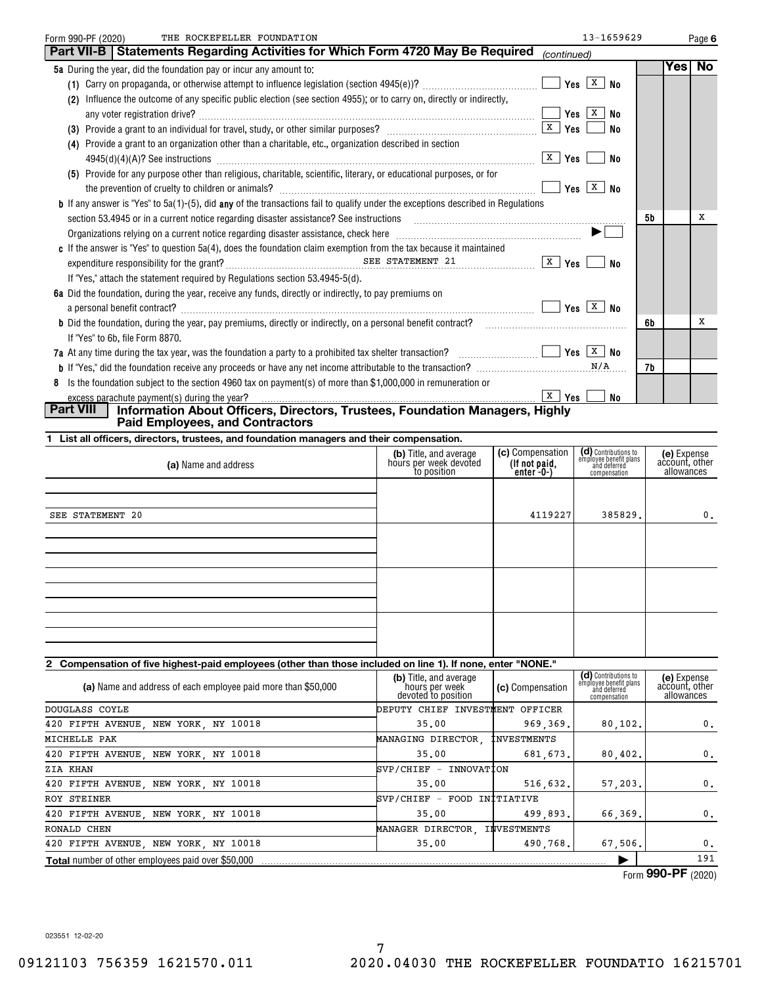| THE ROCKEFELLER FOUNDATION<br>Form 990-PF (2020)                                                                                                                                                               |                        |                                  | 13-1659629                                                     |           | Page 6         |
|----------------------------------------------------------------------------------------------------------------------------------------------------------------------------------------------------------------|------------------------|----------------------------------|----------------------------------------------------------------|-----------|----------------|
| <b>Part VII-B   Statements Regarding Activities for Which Form 4720 May Be Required</b>                                                                                                                        |                        | (continued)                      |                                                                |           |                |
| 5a During the year, did the foundation pay or incur any amount to:                                                                                                                                             |                        |                                  |                                                                |           | Yes No         |
|                                                                                                                                                                                                                |                        |                                  |                                                                |           |                |
| Influence the outcome of any specific public election (see section 4955); or to carry on, directly or indirectly,<br>(2)                                                                                       |                        |                                  |                                                                |           |                |
|                                                                                                                                                                                                                |                        |                                  |                                                                |           |                |
|                                                                                                                                                                                                                |                        |                                  | <b>No</b>                                                      |           |                |
| (4) Provide a grant to an organization other than a charitable, etc., organization described in section                                                                                                        |                        |                                  |                                                                |           |                |
|                                                                                                                                                                                                                |                        |                                  | No                                                             |           |                |
| (5) Provide for any purpose other than religious, charitable, scientific, literary, or educational purposes, or for                                                                                            |                        |                                  |                                                                |           |                |
|                                                                                                                                                                                                                |                        |                                  | Yes $X$ No                                                     |           |                |
| <b>b</b> If any answer is "Yes" to $5a(1)$ -(5), did any of the transactions fail to qualify under the exceptions described in Regulations                                                                     |                        |                                  |                                                                |           |                |
|                                                                                                                                                                                                                |                        |                                  |                                                                | <b>5b</b> | x              |
| Organizations relying on a current notice regarding disaster assistance, check here <i>manual content of the content of the station</i> on a current notice regarding disaster assistance, check here $\ldots$ |                        |                                  | $\blacktriangleright$                                          |           |                |
| c If the answer is "Yes" to question 5a(4), does the foundation claim exemption from the tax because it maintained                                                                                             |                        |                                  |                                                                |           |                |
|                                                                                                                                                                                                                |                        |                                  | No                                                             |           |                |
| If "Yes," attach the statement required by Regulations section 53.4945-5(d).                                                                                                                                   |                        |                                  |                                                                |           |                |
| 6a Did the foundation, during the year, receive any funds, directly or indirectly, to pay premiums on                                                                                                          |                        |                                  |                                                                |           |                |
|                                                                                                                                                                                                                |                        |                                  |                                                                |           |                |
|                                                                                                                                                                                                                |                        |                                  |                                                                | 6b        | х              |
| If "Yes" to 6b, file Form 8870.                                                                                                                                                                                |                        |                                  |                                                                |           |                |
| 7a At any time during the tax year, was the foundation a party to a prohibited tax shelter transaction? $\Box$ $\Box$ Thes $\Box$ Yes $\Box$ No                                                                |                        |                                  |                                                                |           |                |
|                                                                                                                                                                                                                |                        |                                  |                                                                | 7b        |                |
| 8 Is the foundation subject to the section 4960 tax on payment(s) of more than \$1,000,000 in remuneration or                                                                                                  |                        |                                  |                                                                |           |                |
| excess parachute payment(s) during the year?                                                                                                                                                                   |                        | $\lceil x \rfloor$ Yes $\lfloor$ | No                                                             |           |                |
| <b>Part VIII</b><br>Information About Officers, Directors, Trustees, Foundation Managers, Highly<br><b>Paid Employees, and Contractors</b>                                                                     |                        |                                  |                                                                |           |                |
| 1 List all officers, directors, trustees, and foundation managers and their compensation.                                                                                                                      |                        |                                  |                                                                |           |                |
|                                                                                                                                                                                                                | (b) Title, and average | (c) Compensation                 |                                                                |           | (e) Expense    |
| (a) Name and address                                                                                                                                                                                           | hours per week devoted | (If not paid,                    | (d) Contributions to<br>employee benefit plans<br>and deferred |           | account, other |
|                                                                                                                                                                                                                | to position            | $enter -0-1$                     | compensation                                                   |           | allowances     |
|                                                                                                                                                                                                                |                        |                                  |                                                                |           |                |

| SEE STATEMENT 20 | 4119227 | 385829. | 0. |
|------------------|---------|---------|----|
|                  |         |         |    |
|                  |         |         |    |
|                  |         |         |    |
|                  |         |         |    |
|                  |         |         |    |
|                  |         |         |    |
|                  |         |         |    |
|                  |         |         |    |
|                  |         |         |    |

# **2 Compensation of five highest-paid employees (other than those included on line 1). If none, enter "NONE."**

| (a) Name and address of each employee paid more than \$50,000 | (b) Title, and average<br>'hours per week `<br>devoted to position | (c) Compensation | (d) Contributions to<br>employee benefit plans<br>and deferred<br>compensation | (e) Expense<br>account, other<br>allowances |
|---------------------------------------------------------------|--------------------------------------------------------------------|------------------|--------------------------------------------------------------------------------|---------------------------------------------|
| DOUGLASS COYLE                                                | DEPUTY CHIEF INVESTMENT OFFICER                                    |                  |                                                                                |                                             |
| 420 FIFTH AVENUE, NEW YORK, NY 10018                          | 35.00                                                              | 969,369.         | 80, 102.                                                                       | 0.                                          |
| MICHELLE PAK                                                  | MANAGING DIRECTOR, INVESTMENTS                                     |                  |                                                                                |                                             |
| 420 FIFTH AVENUE, NEW YORK, NY 10018                          | 35.00                                                              | 681.673.         | 80,402.                                                                        | 0.                                          |
| ZIA KHAN                                                      | SVP/CHIEF - INNOVATION                                             |                  |                                                                                |                                             |
| 420 FIFTH AVENUE, NEW YORK, NY 10018                          | 35.00                                                              | 516.632.         | 57.203.                                                                        | 0.                                          |
| ROY STEINER                                                   | SVP/CHIEF - FOOD INITIATIVE                                        |                  |                                                                                |                                             |
| 420 FIFTH AVENUE, NEW YORK, NY 10018                          | 35.00                                                              | 499.893.         | 66.369.                                                                        | 0.                                          |
| RONALD CHEN                                                   | MANAGER DIRECTOR, INVESTMENTS                                      |                  |                                                                                |                                             |
| 420 FIFTH AVENUE, NEW YORK, NY 10018                          | 35.00                                                              | 490.768.         | 67.506.                                                                        | 0.                                          |
| <b>Total</b> number of other employees paid over \$50,000     |                                                                    |                  |                                                                                | 191                                         |

Form (2020) **990-PF**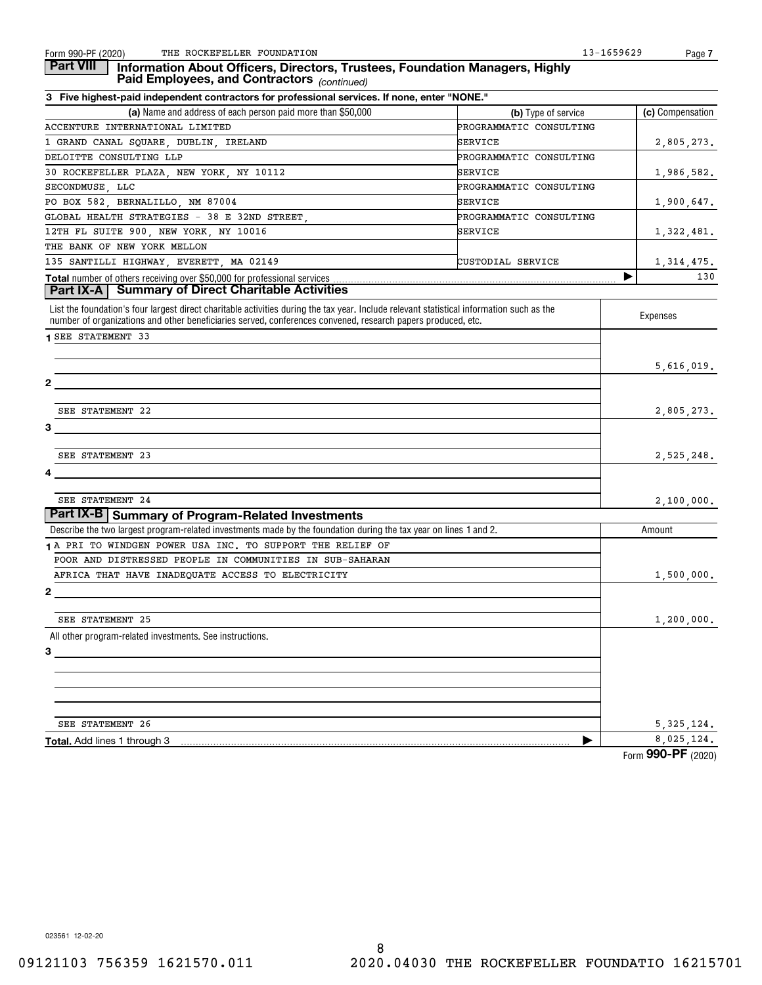#### *(continued)* **Part VIII Information About Officers, Directors, Trustees, Foundation Managers, Highly Paid Employees, and Contractors**

| 3 Five highest-paid independent contractors for professional services. If none, enter "NONE."                                                                                                                                                             |                         |                              |
|-----------------------------------------------------------------------------------------------------------------------------------------------------------------------------------------------------------------------------------------------------------|-------------------------|------------------------------|
| (a) Name and address of each person paid more than \$50,000                                                                                                                                                                                               | (b) Type of service     | (c) Compensation             |
| ACCENTURE INTERNATIONAL LIMITED                                                                                                                                                                                                                           | PROGRAMMATIC CONSULTING |                              |
| 1 GRAND CANAL SQUARE, DUBLIN, IRELAND                                                                                                                                                                                                                     | SERVICE                 | 2,805,273.                   |
| DELOITTE CONSULTING LLP                                                                                                                                                                                                                                   | PROGRAMMATIC CONSULTING |                              |
| 30 ROCKEFELLER PLAZA, NEW YORK, NY 10112                                                                                                                                                                                                                  | SERVICE                 | <u>1,986,582.</u>            |
| SECONDMUSE, LLC                                                                                                                                                                                                                                           | PROGRAMMATIC CONSULTING |                              |
| PO BOX 582, BERNALILLO, NM 87004                                                                                                                                                                                                                          | SERVICE                 | 1,900,647.                   |
| GLOBAL HEALTH STRATEGIES - 38 E 32ND STREET,                                                                                                                                                                                                              | PROGRAMMATIC CONSULTING |                              |
| 12TH FL SUITE 900, NEW YORK, NY 10016                                                                                                                                                                                                                     | SERVICE                 | 1,322,481.                   |
| THE BANK OF NEW YORK MELLON                                                                                                                                                                                                                               |                         |                              |
| 135 SANTILLI HIGHWAY, EVERETT, MA 02149                                                                                                                                                                                                                   | CUSTODIAL SERVICE       |                              |
| <b>Total number of others receiving over \$50,000 for professional services </b><br><b>Part IX-A   Summary of Direct Charitable Activities</b>                                                                                                            |                         | $\frac{1,314,475}{130}$<br>▶ |
| List the foundation's four largest direct charitable activities during the tax year. Include relevant statistical information such as the<br>number of organizations and other beneficiaries served, conferences convened, research papers produced, etc. |                         | Expenses                     |
| <b>1 SEE STATEMENT 33</b>                                                                                                                                                                                                                                 |                         |                              |
|                                                                                                                                                                                                                                                           |                         |                              |
|                                                                                                                                                                                                                                                           |                         | 5,616,019.                   |
| $\mathbf{2}$                                                                                                                                                                                                                                              |                         |                              |
|                                                                                                                                                                                                                                                           |                         |                              |
| SEE STATEMENT 22                                                                                                                                                                                                                                          |                         | 2,805,273.                   |
| 3                                                                                                                                                                                                                                                         |                         |                              |
|                                                                                                                                                                                                                                                           |                         |                              |
| SEE STATEMENT 23                                                                                                                                                                                                                                          |                         | 2,525,248.                   |
| 4                                                                                                                                                                                                                                                         |                         |                              |
|                                                                                                                                                                                                                                                           |                         |                              |
| SEE STATEMENT 24                                                                                                                                                                                                                                          |                         | 2,100,000.                   |
| Part IX-B   Summary of Program-Related Investments                                                                                                                                                                                                        |                         |                              |
| Describe the two largest program-related investments made by the foundation during the tax year on lines 1 and 2.                                                                                                                                         |                         | Amount                       |
| 1 A PRI TO WINDGEN POWER USA INC. TO SUPPORT THE RELIEF OF                                                                                                                                                                                                |                         |                              |
| POOR AND DISTRESSED PEOPLE IN COMMUNITIES IN SUB-SAHARAN                                                                                                                                                                                                  |                         |                              |
| AFRICA THAT HAVE INADEQUATE ACCESS TO ELECTRICITY                                                                                                                                                                                                         |                         | 1,500,000.                   |
| 2                                                                                                                                                                                                                                                         |                         |                              |
|                                                                                                                                                                                                                                                           |                         |                              |
| SEE STATEMENT 25                                                                                                                                                                                                                                          |                         | 1,200,000.                   |
| All other program-related investments. See instructions.                                                                                                                                                                                                  |                         |                              |
|                                                                                                                                                                                                                                                           |                         |                              |
|                                                                                                                                                                                                                                                           |                         |                              |
|                                                                                                                                                                                                                                                           |                         |                              |
|                                                                                                                                                                                                                                                           |                         |                              |
|                                                                                                                                                                                                                                                           |                         |                              |
| SEE STATEMENT 26                                                                                                                                                                                                                                          |                         | 5, 325, 124.                 |
| Total. Add lines 1 through 3                                                                                                                                                                                                                              |                         | 8,025,124                    |
|                                                                                                                                                                                                                                                           |                         |                              |

Form (2020) **990-PF**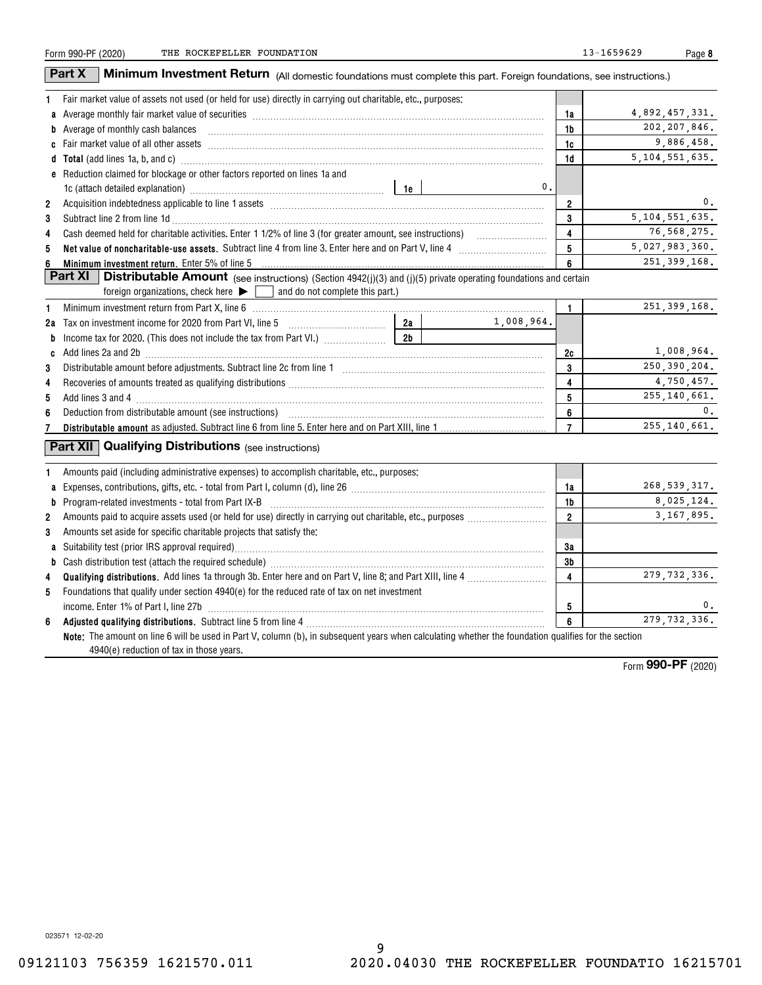| Form 990-PF (2020) |  |
|--------------------|--|
|                    |  |

**8**

|                | Part X<br><b>Minimum Investment Return</b> (All domestic foundations must complete this part. Foreign foundations, see instructions.)                                                                                               |    |            |                |                   |
|----------------|-------------------------------------------------------------------------------------------------------------------------------------------------------------------------------------------------------------------------------------|----|------------|----------------|-------------------|
| 1              | Fair market value of assets not used (or held for use) directly in carrying out charitable, etc., purposes:                                                                                                                         |    |            |                |                   |
|                |                                                                                                                                                                                                                                     |    |            | 1a             | 4,892,457,331.    |
|                | b Average of monthly cash balances encouragement and an architecture of monthly cash balances                                                                                                                                       |    |            | 1b             | 202, 207, 846.    |
|                |                                                                                                                                                                                                                                     |    |            | 1c             | 9,886,458.        |
|                | d Total (add lines 1a, b, and c) <b>manufacture and contract and contract a</b> contract and contract and contract a contract and contract and contract a contract and contract and contract a contract a contract and contract a c |    |            | 1d             | 5, 104, 551, 635. |
|                | e Reduction claimed for blockage or other factors reported on lines 1a and                                                                                                                                                          |    |            |                |                   |
|                |                                                                                                                                                                                                                                     |    | 0.         |                |                   |
| $\overline{2}$ |                                                                                                                                                                                                                                     |    |            | $\overline{2}$ | 0.                |
| 3              |                                                                                                                                                                                                                                     |    |            | 3              | 5, 104, 551, 635. |
| 4              |                                                                                                                                                                                                                                     |    |            | $\overline{4}$ | 76, 568, 275.     |
| 5              |                                                                                                                                                                                                                                     |    |            | 5              | 5,027,983,360.    |
| 6              | Minimum investment return. Enter 5% of line 5                                                                                                                                                                                       |    |            | 6              | 251, 399, 168.    |
|                | <b>Part XI</b>   Distributable Amount (see instructions) (Section 4942(j)(3) and (j)(5) private operating foundations and certain                                                                                                   |    |            |                |                   |
|                | foreign organizations, check here $\blacktriangleright$ $\Box$ and do not complete this part.)                                                                                                                                      |    |            |                |                   |
| 1              |                                                                                                                                                                                                                                     |    |            | 1.             | 251, 399, 168.    |
|                |                                                                                                                                                                                                                                     | 2a | 1,008,964. |                |                   |
| b              |                                                                                                                                                                                                                                     |    |            |                |                   |
| C              | Add lines 2a and 2b <b>manufacture and 2</b> manufacture and 20 minutes and 20 minutes and 20 minutes and 20 minutes and 20 minutes and 30 minutes and 30 minutes and 30 minutes and 30 minutes and 30 minutes and 30 minutes and 3 |    |            | 2c             | 1,008,964.        |
| 3              |                                                                                                                                                                                                                                     |    |            | 3              | 250, 390, 204.    |
| 4              |                                                                                                                                                                                                                                     |    |            | 4              | 4,750,457.        |
| 5              |                                                                                                                                                                                                                                     |    |            | 5              | 255, 140, 661.    |
| 6              |                                                                                                                                                                                                                                     |    |            | 6              | 0.                |
| 7              |                                                                                                                                                                                                                                     |    |            | $\overline{7}$ | 255, 140, 661.    |
| 1              | <b>Part XII Qualifying Distributions</b> (see instructions)<br>Amounts paid (including administrative expenses) to accomplish charitable, etc., purposes:                                                                           |    |            |                |                   |
|                | a Expenses, contributions, gifts, etc. - total from Part I, column (d), line 26 [11] [11] content material contracts contributions, gifts, etc. - total from Part I, column (d), line 26                                            |    |            | 1a             | 268, 539, 317.    |
| b              | $Program-related investments - total from Part IX-B$                                                                                                                                                                                |    |            | 1 <sub>b</sub> | 8,025,124.        |
| $\overline{2}$ |                                                                                                                                                                                                                                     |    |            | $\overline{2}$ | 3, 167, 895.      |
| 3              | Amounts set aside for specific charitable projects that satisfy the:                                                                                                                                                                |    |            |                |                   |
|                |                                                                                                                                                                                                                                     |    |            | 3a             |                   |
| b              |                                                                                                                                                                                                                                     |    |            | 3b             |                   |
| 4              |                                                                                                                                                                                                                                     |    |            | 4              | 279, 732, 336.    |
| 5              | Foundations that qualify under section 4940(e) for the reduced rate of tax on net investment                                                                                                                                        |    |            |                |                   |
|                |                                                                                                                                                                                                                                     |    |            | 5              | 0.                |
| 6              |                                                                                                                                                                                                                                     |    |            | 6              | 279, 732, 336.    |
|                | Note: The amount on line 6 will be used in Part V, column (b), in subsequent years when calculating whether the foundation qualifies for the section<br>4940(e) reduction of tax in those years.                                    |    |            |                |                   |

Form (2020) **990-PF**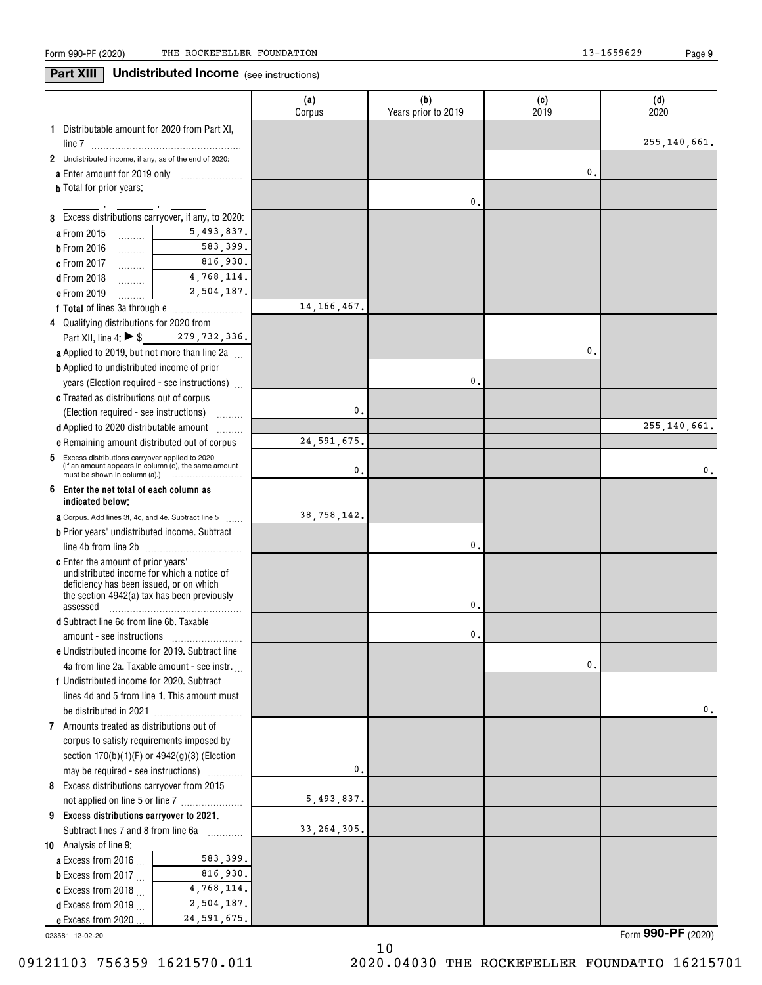**9**

**Part XIII** Undistributed Income (see instructions)

|                                                                                                        |                             | (a)<br>Corpus | (b)<br>Years prior to 2019 | (c)<br>2019   | (d)<br>2020    |
|--------------------------------------------------------------------------------------------------------|-----------------------------|---------------|----------------------------|---------------|----------------|
| 1 Distributable amount for 2020 from Part XI,                                                          |                             |               |                            |               |                |
|                                                                                                        |                             |               |                            |               | 255,140,661.   |
| 2 Undistributed income, if any, as of the end of 2020:                                                 |                             |               |                            |               |                |
| a Enter amount for 2019 only                                                                           |                             |               |                            | 0.            |                |
| <b>b</b> Total for prior years:                                                                        |                             |               | 0.                         |               |                |
| 3 Excess distributions carryover, if any, to 2020:                                                     |                             |               |                            |               |                |
| a From 2015<br>المستنب                                                                                 | 5,493,837.                  |               |                            |               |                |
| <b>b</b> From 2016<br>.                                                                                | 583,399.                    |               |                            |               |                |
| c From 2017<br>.                                                                                       | 816,930.                    |               |                            |               |                |
| <b>d</b> From 2018<br>.                                                                                | 4,768,114.                  |               |                            |               |                |
| e From 2019                                                                                            | 2,504,187.                  |               |                            |               |                |
|                                                                                                        |                             | 14, 166, 467. |                            |               |                |
| 4 Qualifying distributions for 2020 from                                                               |                             |               |                            |               |                |
| Part XII, line 4: ▶ \$279, 732, 336.                                                                   |                             |               |                            |               |                |
| <b>a</b> Applied to 2019, but not more than line 2a $\ldots$                                           |                             |               |                            | 0.            |                |
| <b>b</b> Applied to undistributed income of prior                                                      |                             |               |                            |               |                |
| years (Election required - see instructions)                                                           |                             |               | 0.                         |               |                |
| c Treated as distributions out of corpus                                                               |                             |               |                            |               |                |
| (Election required - see instructions)                                                                 |                             | 0.            |                            |               |                |
| d Applied to 2020 distributable amount                                                                 |                             |               |                            |               | 255, 140, 661. |
| e Remaining amount distributed out of corpus                                                           | .                           | 24, 591, 675. |                            |               |                |
| 5                                                                                                      |                             |               |                            |               |                |
| Excess distributions carryover applied to 2020<br>(If an amount appears in column (d), the same amount |                             | 0.            |                            |               | 0.             |
| Enter the net total of each column as<br>6<br>indicated below;                                         |                             |               |                            |               |                |
| <b>a</b> Corpus. Add lines 3f, 4c, and 4e. Subtract line 5                                             |                             | 38,758,142.   |                            |               |                |
| <b>b</b> Prior years' undistributed income. Subtract                                                   |                             |               |                            |               |                |
|                                                                                                        |                             |               | 0.                         |               |                |
| <b>c</b> Enter the amount of prior years'                                                              |                             |               |                            |               |                |
| undistributed income for which a notice of<br>deficiency has been issued, or on which                  |                             |               |                            |               |                |
| the section 4942(a) tax has been previously                                                            |                             |               |                            |               |                |
| assessed                                                                                               |                             |               | 0.                         |               |                |
| <b>d</b> Subtract line 6c from line 6b. Taxable                                                        |                             |               |                            |               |                |
|                                                                                                        |                             |               | 0.                         |               |                |
| e Undistributed income for 2019. Subtract line                                                         |                             |               |                            |               |                |
| 4a from line 2a. Taxable amount - see instr.                                                           |                             |               |                            | $\mathbf 0$ , |                |
| f Undistributed income for 2020. Subtract                                                              |                             |               |                            |               |                |
| lines 4d and 5 from line 1. This amount must                                                           |                             |               |                            |               |                |
|                                                                                                        |                             |               |                            |               | 0.             |
| 7 Amounts treated as distributions out of                                                              |                             |               |                            |               |                |
| corpus to satisfy requirements imposed by                                                              |                             |               |                            |               |                |
| section 170(b)(1)(F) or 4942(g)(3) (Election                                                           |                             |               |                            |               |                |
| may be required - see instructions)                                                                    |                             | $\mathbf 0$   |                            |               |                |
| 8 Excess distributions carryover from 2015                                                             |                             |               |                            |               |                |
| not applied on line 5 or line 7                                                                        |                             | 5,493,837.    |                            |               |                |
| 9 Excess distributions carryover to 2021.                                                              |                             |               |                            |               |                |
| Subtract lines 7 and 8 from line 6a                                                                    | .                           | 33, 264, 305. |                            |               |                |
| 10 Analysis of line 9:                                                                                 |                             |               |                            |               |                |
| a Excess from 2016.                                                                                    | 583,399.                    |               |                            |               |                |
| <b>b</b> Excess from 2017 $\ldots$                                                                     | 816,930.                    |               |                            |               |                |
| c Excess from 2018 $\ldots$                                                                            | 4,768,114.                  |               |                            |               |                |
| <b>d</b> Excess from 2019<br>e Excess from 2020                                                        | 2,504,187.<br>24, 591, 675. |               |                            |               |                |
|                                                                                                        |                             |               |                            |               |                |

10

023581 12-02-20

Form (2020) **990-PF**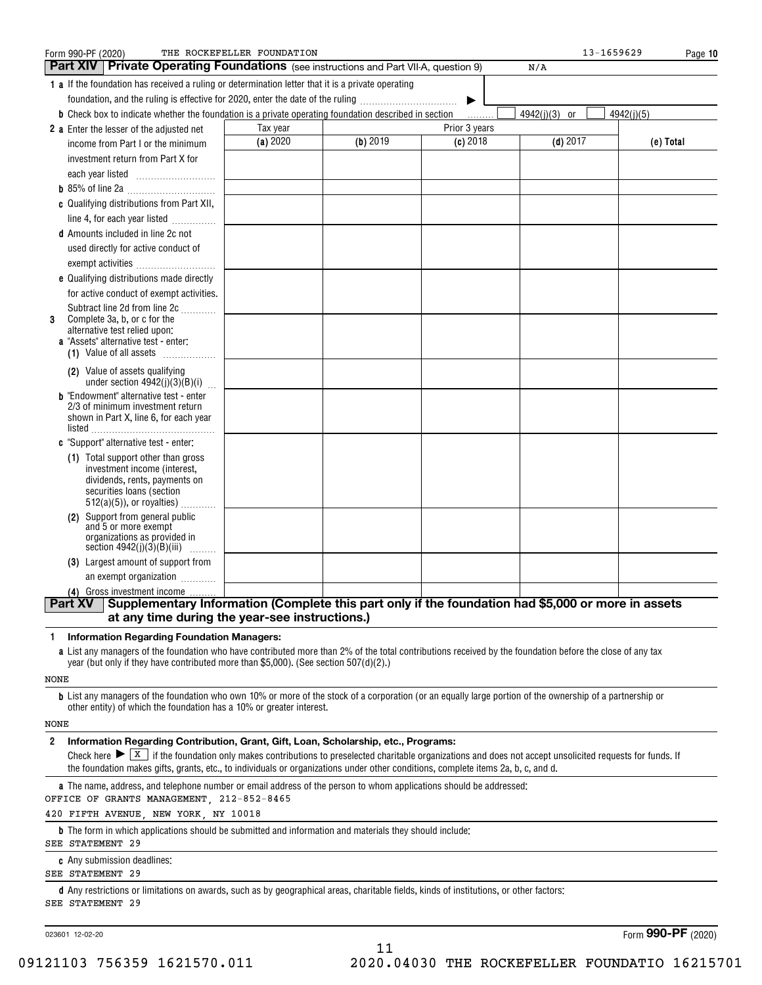| Form 990-PF (2020)                                                                                                                                                                   | THE ROCKEFELLER FOUNDATION                |          |               | 13-1659629      | Page 10    |  |  |  |
|--------------------------------------------------------------------------------------------------------------------------------------------------------------------------------------|-------------------------------------------|----------|---------------|-----------------|------------|--|--|--|
| Part XIV   Private Operating Foundations (see instructions and Part VII-A, question 9)                                                                                               |                                           |          |               | N/A             |            |  |  |  |
| 1 a If the foundation has received a ruling or determination letter that it is a private operating                                                                                   |                                           |          |               |                 |            |  |  |  |
| foundation, and the ruling is effective for 2020, enter the date of the ruling                                                                                                       |                                           |          | ▶             |                 |            |  |  |  |
| <b>b</b> Check box to indicate whether the foundation is a private operating foundation described in section                                                                         |                                           |          | .             | $4942(j)(3)$ or | 4942(j)(5) |  |  |  |
| 2 a Enter the lesser of the adjusted net                                                                                                                                             | Tax year                                  |          | Prior 3 years |                 |            |  |  |  |
| income from Part I or the minimum                                                                                                                                                    | (a) 2020                                  | (b) 2019 | $(c)$ 2018    | $(d)$ 2017      | (e) Total  |  |  |  |
| investment return from Part X for                                                                                                                                                    |                                           |          |               |                 |            |  |  |  |
| each year listed                                                                                                                                                                     |                                           |          |               |                 |            |  |  |  |
|                                                                                                                                                                                      |                                           |          |               |                 |            |  |  |  |
| c Qualifying distributions from Part XII,                                                                                                                                            |                                           |          |               |                 |            |  |  |  |
| line 4, for each year listed                                                                                                                                                         |                                           |          |               |                 |            |  |  |  |
| <b>d</b> Amounts included in line 2c not                                                                                                                                             |                                           |          |               |                 |            |  |  |  |
| used directly for active conduct of                                                                                                                                                  |                                           |          |               |                 |            |  |  |  |
| exempt activities                                                                                                                                                                    |                                           |          |               |                 |            |  |  |  |
| e Qualifying distributions made directly                                                                                                                                             |                                           |          |               |                 |            |  |  |  |
| for active conduct of exempt activities.                                                                                                                                             |                                           |          |               |                 |            |  |  |  |
| Subtract line 2d from line 2c                                                                                                                                                        |                                           |          |               |                 |            |  |  |  |
| Complete 3a, b, or c for the<br>3                                                                                                                                                    |                                           |          |               |                 |            |  |  |  |
| alternative test relied upon:                                                                                                                                                        |                                           |          |               |                 |            |  |  |  |
| a "Assets" alternative test - enter:<br>(1) Value of all assets                                                                                                                      |                                           |          |               |                 |            |  |  |  |
|                                                                                                                                                                                      |                                           |          |               |                 |            |  |  |  |
| (2) Value of assets qualifying<br>under section $4942(j)(3)(B)(i)$                                                                                                                   |                                           |          |               |                 |            |  |  |  |
| <b>b</b> "Endowment" alternative test - enter                                                                                                                                        |                                           |          |               |                 |            |  |  |  |
| 2/3 of minimum investment return                                                                                                                                                     |                                           |          |               |                 |            |  |  |  |
| shown in Part X, line 6, for each year                                                                                                                                               |                                           |          |               |                 |            |  |  |  |
|                                                                                                                                                                                      |                                           |          |               |                 |            |  |  |  |
| <b>c</b> "Support" alternative test - enter:                                                                                                                                         |                                           |          |               |                 |            |  |  |  |
| (1) Total support other than gross<br>investment income (interest,                                                                                                                   |                                           |          |               |                 |            |  |  |  |
| dividends, rents, payments on                                                                                                                                                        |                                           |          |               |                 |            |  |  |  |
| securities loans (section                                                                                                                                                            |                                           |          |               |                 |            |  |  |  |
| $512(a)(5)$ , or royalties)                                                                                                                                                          |                                           |          |               |                 |            |  |  |  |
| Support from general public<br>(2)<br>and 5 or more exempt                                                                                                                           |                                           |          |               |                 |            |  |  |  |
| organizations as provided in                                                                                                                                                         |                                           |          |               |                 |            |  |  |  |
| section $4942(j)(3)(B)(iii)$<br>.                                                                                                                                                    |                                           |          |               |                 |            |  |  |  |
| (3) Largest amount of support from                                                                                                                                                   |                                           |          |               |                 |            |  |  |  |
| an exempt organization                                                                                                                                                               |                                           |          |               |                 |            |  |  |  |
| (4) Gross investment income                                                                                                                                                          |                                           |          |               |                 |            |  |  |  |
| Supplementary Information (Complete this part only if the foundation had \$5,000 or more in assets<br>Part XV                                                                        |                                           |          |               |                 |            |  |  |  |
| at any time during the year-see instructions.)                                                                                                                                       |                                           |          |               |                 |            |  |  |  |
| <b>Information Regarding Foundation Managers:</b><br>1.                                                                                                                              |                                           |          |               |                 |            |  |  |  |
| a List any managers of the foundation who have contributed more than 2% of the total contributions received by the foundation before the close of any tax                            |                                           |          |               |                 |            |  |  |  |
| year (but only if they have contributed more than \$5,000). (See section 507(d)(2).)                                                                                                 |                                           |          |               |                 |            |  |  |  |
| NONE                                                                                                                                                                                 |                                           |          |               |                 |            |  |  |  |
| <b>b</b> List any managers of the foundation who own 10% or more of the stock of a corporation (or an equally large portion of the ownership of a partnership or                     |                                           |          |               |                 |            |  |  |  |
| other entity) of which the foundation has a 10% or greater interest.                                                                                                                 |                                           |          |               |                 |            |  |  |  |
| NONE                                                                                                                                                                                 |                                           |          |               |                 |            |  |  |  |
| Information Regarding Contribution, Grant, Gift, Loan, Scholarship, etc., Programs:<br>2                                                                                             |                                           |          |               |                 |            |  |  |  |
| Check here $\blacktriangleright \boxed{X}$ if the foundation only makes contributions to preselected charitable organizations and does not accept unsolicited requests for funds. If |                                           |          |               |                 |            |  |  |  |
| the foundation makes gifts, grants, etc., to individuals or organizations under other conditions, complete items 2a, b, c, and d.                                                    |                                           |          |               |                 |            |  |  |  |
| a The name, address, and telephone number or email address of the person to whom applications should be addressed:                                                                   |                                           |          |               |                 |            |  |  |  |
|                                                                                                                                                                                      | OFFICE OF GRANTS MANAGEMENT, 212-852-8465 |          |               |                 |            |  |  |  |
| 420 FIFTH AVENUE, NEW YORK, NY 10018                                                                                                                                                 |                                           |          |               |                 |            |  |  |  |
| <b>b</b> The form in which applications should be submitted and information and materials they should include:<br>SEE STATEMENT 29                                                   |                                           |          |               |                 |            |  |  |  |
| c Any submission deadlines:                                                                                                                                                          |                                           |          |               |                 |            |  |  |  |
| SEE STATEMENT 29                                                                                                                                                                     |                                           |          |               |                 |            |  |  |  |

**d** Any restrictions or limitations on awards, such as by geographical areas, charitable fields, kinds of institutions, or other factors: SEE STATEMENT 29

023601 12-02-20

Form (2020) **990-PF**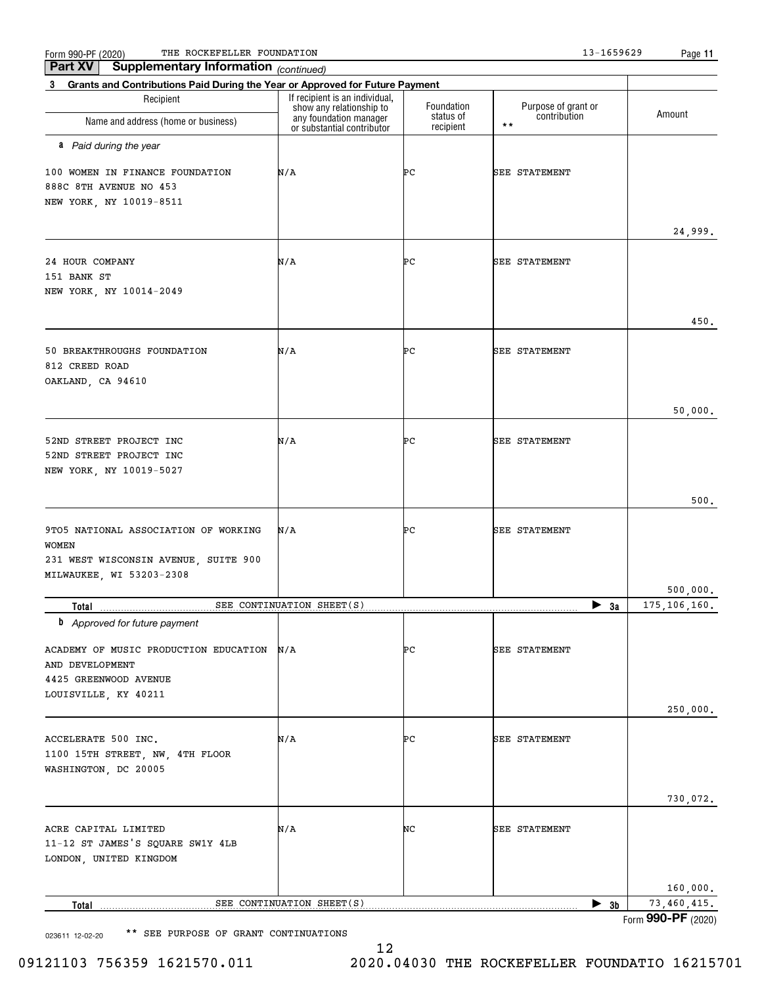$\frac{F_{\rm{O}}}{13-1659629}$  Page Page Page Page 213-1659629 Page Page 213-1659629 Page 213-1659629 Page

| Supplementary Information (continued)<br>Part XV                                  |                                                                                      |                         |                                                     |                                       |
|-----------------------------------------------------------------------------------|--------------------------------------------------------------------------------------|-------------------------|-----------------------------------------------------|---------------------------------------|
| Grants and Contributions Paid During the Year or Approved for Future Payment<br>3 |                                                                                      |                         |                                                     |                                       |
| Recipient<br>Name and address (home or business)                                  | If recipient is an individual,<br>show any relationship to<br>any foundation manager | Foundation<br>status of | Purpose of grant or<br>contribution<br>$\star\star$ | Amount                                |
| a Paid during the year                                                            | or substantial contributor                                                           | recipient               |                                                     |                                       |
|                                                                                   |                                                                                      |                         |                                                     |                                       |
| 100 WOMEN IN FINANCE FOUNDATION<br>888C 8TH AVENUE NO 453                         | N/A                                                                                  | PС                      | <b>SEE STATEMENT</b>                                |                                       |
| NEW YORK, NY 10019-8511                                                           |                                                                                      |                         |                                                     |                                       |
|                                                                                   |                                                                                      |                         |                                                     |                                       |
|                                                                                   |                                                                                      |                         |                                                     | 24,999.                               |
| 24 HOUR COMPANY                                                                   | N/A                                                                                  | ÞС                      | <b>SEE STATEMENT</b>                                |                                       |
| 151 BANK ST                                                                       |                                                                                      |                         |                                                     |                                       |
| NEW YORK, NY 10014-2049                                                           |                                                                                      |                         |                                                     |                                       |
|                                                                                   |                                                                                      |                         |                                                     |                                       |
|                                                                                   |                                                                                      |                         |                                                     | 450.                                  |
| 50 BREAKTHROUGHS FOUNDATION                                                       | N/A                                                                                  | PС                      | <b>SEE STATEMENT</b>                                |                                       |
| 812 CREED ROAD                                                                    |                                                                                      |                         |                                                     |                                       |
| OAKLAND, CA 94610                                                                 |                                                                                      |                         |                                                     |                                       |
|                                                                                   |                                                                                      |                         |                                                     | 50,000.                               |
|                                                                                   |                                                                                      |                         |                                                     |                                       |
| 52ND STREET PROJECT INC                                                           | N/A                                                                                  | PС                      | <b>SEE STATEMENT</b>                                |                                       |
| 52ND STREET PROJECT INC<br>NEW YORK, NY 10019-5027                                |                                                                                      |                         |                                                     |                                       |
|                                                                                   |                                                                                      |                         |                                                     |                                       |
|                                                                                   |                                                                                      |                         |                                                     | 500.                                  |
| 9TO5 NATIONAL ASSOCIATION OF WORKING                                              | N/A                                                                                  | PС                      | <b>SEE STATEMENT</b>                                |                                       |
| <b>WOMEN</b>                                                                      |                                                                                      |                         |                                                     |                                       |
| 231 WEST WISCONSIN AVENUE, SUITE 900                                              |                                                                                      |                         |                                                     |                                       |
| MILWAUKEE, WI 53203-2308                                                          |                                                                                      |                         |                                                     |                                       |
| Total                                                                             | SEE CONTINUATION SHEET(S)                                                            |                         | $\blacktriangleright$ 3a                            | 500,000.<br>175,106,160.              |
| <b>b</b> Approved for future payment                                              |                                                                                      |                         |                                                     |                                       |
| ACADEMY OF MUSIC PRODUCTION EDUCATION N/A                                         |                                                                                      | PС                      |                                                     |                                       |
| AND DEVELOPMENT                                                                   |                                                                                      |                         | <b>SEE STATEMENT</b>                                |                                       |
| 4425 GREENWOOD AVENUE                                                             |                                                                                      |                         |                                                     |                                       |
| LOUISVILLE, KY 40211                                                              |                                                                                      |                         |                                                     |                                       |
|                                                                                   |                                                                                      |                         |                                                     | 250,000.                              |
| ACCELERATE 500 INC.                                                               | N/A                                                                                  | PС                      | <b>SEE STATEMENT</b>                                |                                       |
| 1100 15TH STREET, NW, 4TH FLOOR                                                   |                                                                                      |                         |                                                     |                                       |
| WASHINGTON, DC 20005                                                              |                                                                                      |                         |                                                     |                                       |
|                                                                                   |                                                                                      |                         |                                                     |                                       |
|                                                                                   |                                                                                      |                         |                                                     | 730,072.                              |
| ACRE CAPITAL LIMITED                                                              | N/A                                                                                  | NC                      | <b>SEE STATEMENT</b>                                |                                       |
| 11-12 ST JAMES'S SQUARE SW1Y 4LB                                                  |                                                                                      |                         |                                                     |                                       |
| LONDON, UNITED KINGDOM                                                            |                                                                                      |                         |                                                     |                                       |
|                                                                                   |                                                                                      |                         |                                                     |                                       |
| Total                                                                             | SEE CONTINUATION SHEET(S)                                                            |                         | $\blacktriangleright$ 3b                            | 160,000.<br>$\overline{73,460,415}$ . |
|                                                                                   |                                                                                      |                         |                                                     | Form 990-PF (2020)                    |

023611 12-02-20 \*\* SEE PURPOSE OF GRANT CONTINUATIONS

Form **990-PF** (2020)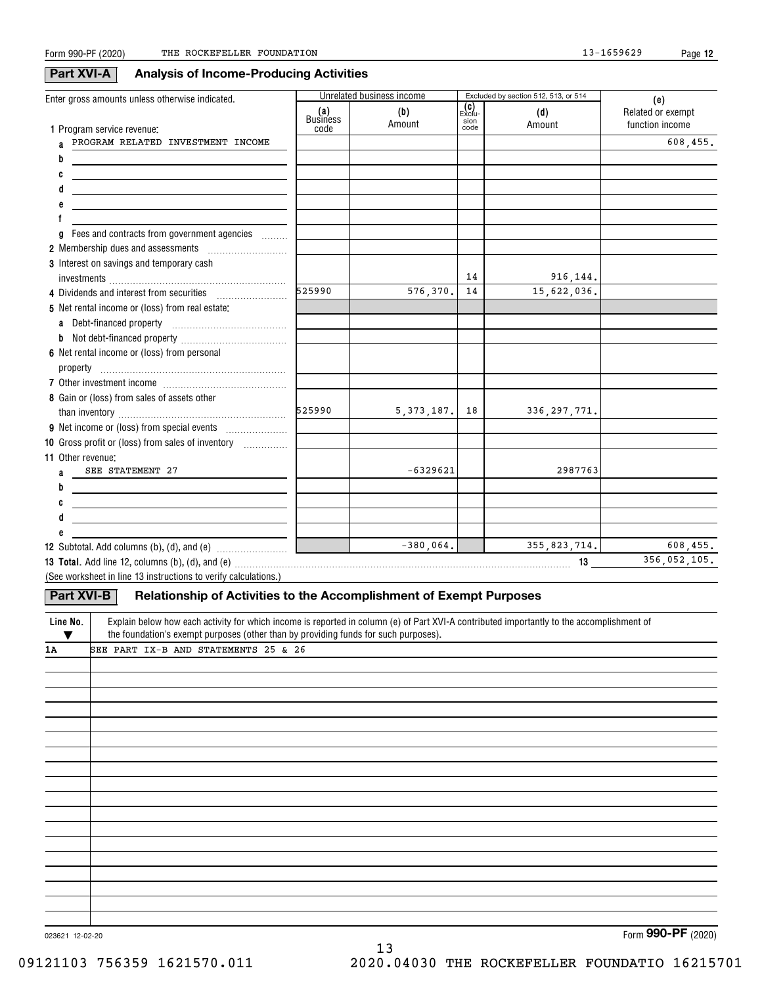608,455.

608,455.

### Excluded by section 512, 513, or 514 Exclu-**(c)** sion code**(e) (a) (b) (d)** Business**1**Program service revenue: **abcdefg** Fees and contracts from government agencies  $^{'}\dots^{''}\dots$ **2** Membership dues and assessments  $^{[..]}$ **3**Interest on savings and temporary cash **4** Dividends and interest from securities **5** Net rental income or (loss) from real estate: **6** Net rental income or (loss) from personal **7**Other investment income ~~~~~~~~~~~~~~ **8**Gain or (loss) from sales of assets other **9** Net income or (loss) from special events  $\quad \ldots \ldots \ldots \ldots \ldots \ldots$ **10** Gross profit or (loss) from sales of inventory  $\quad \ldots \ldots \ldots \ldots$ **a** Debt-financed property **b**Not debt-financed property ~~~~~~~~~~~~ **11**Other revenue: **12** Subtotal. Add columns (b), (d), and (e)  $\hspace{0.1cm}$   $\hspace{0.1cm}$   $\hspace{0.1cm}$ **13 Total. 13** Add line 12, columns (b), (d), and (e) ~~~~~~~~~~~~~~~~~~~~~~~~~~~~~~~~~~~~~~ **abcdeLine No.** Form 990-PF (2020) THE ROCKEFELLER FOUNDATION 13-1659629 Page Unrelated business income Enter gross amounts unless otherwise indicated. Related or exempt function income codeAmount Amountinvestments ~~~~~~~~~~~~~~~~~~~~~~~~~~~~~~~~~property ~~~~~~~~~~~~~~~~~~~~~ than inventory ~~~~~~~~~~~~~~~~~~~ (See worksheet in line 13 instructions to verify calculations.) Explain below how each activity for which income is reported in column (e) of Part XVI-A contributed importantly to the accomplishment of the foundation's exempt purposes (other than by providing funds for such purposes). **Part XVI-A Analysis of Income-Producing Activities Part XVI-B Relationship of Activities to the Accomplishment of Exempt Purposes**  $\overline{\textbf{v}}$  1ASEE STATEMENT 27 PROGRAM RELATED INVESTMENT INCOME 356,052,105. SEE PART IX-B AND STATEMENTS 25 & 26 -6329621 2987763 576,370. 5,373,187.  $-380,064.$ 141418916,144. 15,622,036. 336,297,771. 355,823,714. 525990525990

13

023621 12-02-20

Form (2020) **990-PF**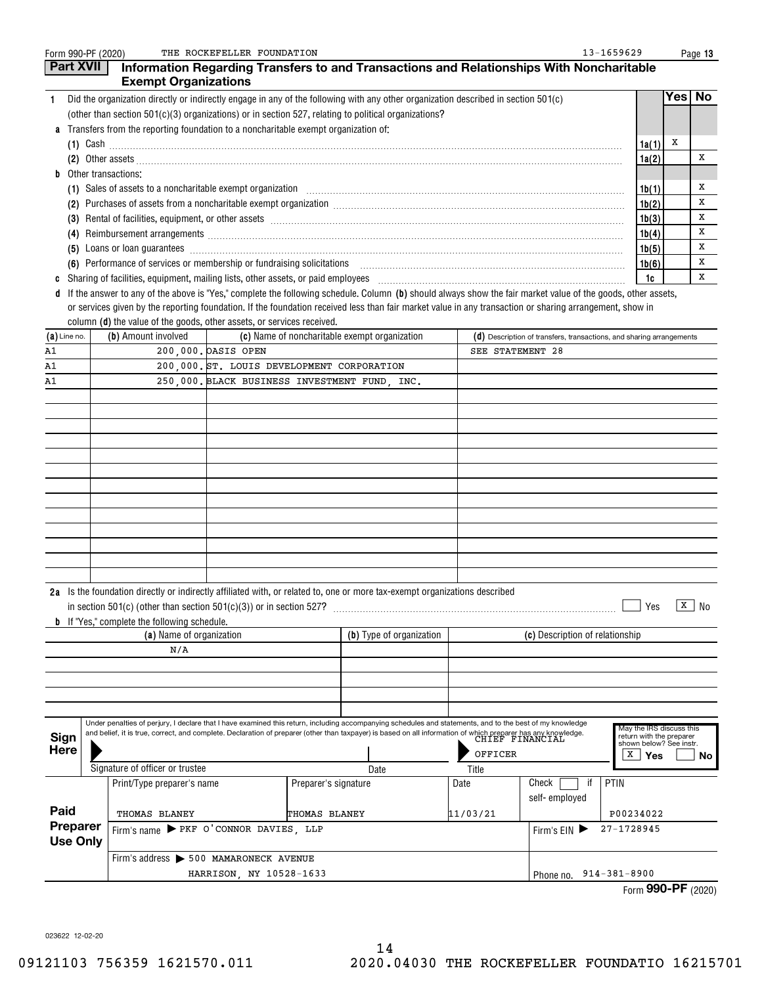| Form 990-PF (2020) |                                                                                                                          | THE ROCKEFELLER FOUNDATION                 |                      |                                                                                                                                                                                  |                        | 13-1659629                                                                                                                                                                                                                                                                                                               |                                                     |     | Page 13             |
|--------------------|--------------------------------------------------------------------------------------------------------------------------|--------------------------------------------|----------------------|----------------------------------------------------------------------------------------------------------------------------------------------------------------------------------|------------------------|--------------------------------------------------------------------------------------------------------------------------------------------------------------------------------------------------------------------------------------------------------------------------------------------------------------------------|-----------------------------------------------------|-----|---------------------|
| Part XVII          |                                                                                                                          |                                            |                      |                                                                                                                                                                                  |                        | Information Regarding Transfers to and Transactions and Relationships With Noncharitable                                                                                                                                                                                                                                 |                                                     |     |                     |
| 1.                 | <b>Exempt Organizations</b>                                                                                              |                                            |                      | Did the organization directly or indirectly engage in any of the following with any other organization described in section 501(c)                                               |                        |                                                                                                                                                                                                                                                                                                                          |                                                     | Yes | No                  |
|                    |                                                                                                                          |                                            |                      | (other than section 501(c)(3) organizations) or in section 527, relating to political organizations?                                                                             |                        |                                                                                                                                                                                                                                                                                                                          |                                                     |     |                     |
| a                  | Transfers from the reporting foundation to a noncharitable exempt organization of:                                       |                                            |                      |                                                                                                                                                                                  |                        |                                                                                                                                                                                                                                                                                                                          |                                                     |     |                     |
|                    |                                                                                                                          |                                            |                      | $(1)$ Cash $\ldots$                                                                                                                                                              |                        |                                                                                                                                                                                                                                                                                                                          | 1a(1)                                               | х   |                     |
|                    |                                                                                                                          |                                            |                      |                                                                                                                                                                                  |                        |                                                                                                                                                                                                                                                                                                                          | 1a(2)                                               |     | х                   |
| b                  | Other transactions:                                                                                                      |                                            |                      |                                                                                                                                                                                  |                        |                                                                                                                                                                                                                                                                                                                          |                                                     |     |                     |
|                    |                                                                                                                          |                                            |                      |                                                                                                                                                                                  |                        | (1) Sales of assets to a noncharitable exempt organization <i>manufacture contraction contraction contraction</i> contraction contraction contraction contraction contraction contract of the second contract of the second contrac                                                                                      | 1b(1)                                               |     | x                   |
|                    |                                                                                                                          |                                            |                      |                                                                                                                                                                                  |                        |                                                                                                                                                                                                                                                                                                                          | 1b(2)                                               |     | х                   |
|                    | 1b(3)<br>Reimbursement arrangements [111] March 2016 (2016) 2017 (2016) 2017 2018 2019 2016 2017 2018 2019 2019 2019 201 |                                            |                      |                                                                                                                                                                                  |                        |                                                                                                                                                                                                                                                                                                                          |                                                     |     | х                   |
| (4)                |                                                                                                                          |                                            |                      |                                                                                                                                                                                  |                        |                                                                                                                                                                                                                                                                                                                          | 1b(4)                                               |     | х                   |
| (5)                |                                                                                                                          |                                            |                      |                                                                                                                                                                                  |                        | Loans or loan guarantees <b>commissions</b> and contract the contract of the contract of the contract of the contract of the contract of the contract of the contract of the contract of the contract of the contract of the contra                                                                                      | 1b(5)                                               |     | X                   |
|                    | (6) Performance of services or membership or fundraising solicitations                                                   |                                            |                      |                                                                                                                                                                                  |                        |                                                                                                                                                                                                                                                                                                                          | 1b(6)                                               |     | х                   |
| c                  |                                                                                                                          |                                            |                      |                                                                                                                                                                                  |                        |                                                                                                                                                                                                                                                                                                                          | 1c                                                  |     | x                   |
| d                  |                                                                                                                          |                                            |                      |                                                                                                                                                                                  |                        | If the answer to any of the above is "Yes," complete the following schedule. Column (b) should always show the fair market value of the goods, other assets,<br>or services given by the reporting foundation. If the foundation received less than fair market value in any transaction or sharing arrangement, show in |                                                     |     |                     |
|                    | column (d) the value of the goods, other assets, or services received.                                                   |                                            |                      |                                                                                                                                                                                  |                        |                                                                                                                                                                                                                                                                                                                          |                                                     |     |                     |
| $(a)$ Line no.     | (b) Amount involved                                                                                                      |                                            |                      | (c) Name of noncharitable exempt organization                                                                                                                                    |                        | (d) Description of transfers, transactions, and sharing arrangements                                                                                                                                                                                                                                                     |                                                     |     |                     |
| A1                 |                                                                                                                          | 200,000. DASIS OPEN                        |                      |                                                                                                                                                                                  | SEE STATEMENT 28       |                                                                                                                                                                                                                                                                                                                          |                                                     |     |                     |
| A1                 |                                                                                                                          | 200.000. ST. LOUIS DEVELOPMENT CORPORATION |                      |                                                                                                                                                                                  |                        |                                                                                                                                                                                                                                                                                                                          |                                                     |     |                     |
| A1                 |                                                                                                                          |                                            |                      | 250,000. BLACK BUSINESS INVESTMENT FUND, INC.                                                                                                                                    |                        |                                                                                                                                                                                                                                                                                                                          |                                                     |     |                     |
|                    |                                                                                                                          |                                            |                      |                                                                                                                                                                                  |                        |                                                                                                                                                                                                                                                                                                                          |                                                     |     |                     |
|                    |                                                                                                                          |                                            |                      |                                                                                                                                                                                  |                        |                                                                                                                                                                                                                                                                                                                          |                                                     |     |                     |
|                    |                                                                                                                          |                                            |                      |                                                                                                                                                                                  |                        |                                                                                                                                                                                                                                                                                                                          |                                                     |     |                     |
|                    |                                                                                                                          |                                            |                      |                                                                                                                                                                                  |                        |                                                                                                                                                                                                                                                                                                                          |                                                     |     |                     |
|                    |                                                                                                                          |                                            |                      |                                                                                                                                                                                  |                        |                                                                                                                                                                                                                                                                                                                          |                                                     |     |                     |
|                    |                                                                                                                          |                                            |                      |                                                                                                                                                                                  |                        |                                                                                                                                                                                                                                                                                                                          |                                                     |     |                     |
|                    |                                                                                                                          |                                            |                      |                                                                                                                                                                                  |                        |                                                                                                                                                                                                                                                                                                                          |                                                     |     |                     |
|                    |                                                                                                                          |                                            |                      |                                                                                                                                                                                  |                        |                                                                                                                                                                                                                                                                                                                          |                                                     |     |                     |
|                    |                                                                                                                          |                                            |                      |                                                                                                                                                                                  |                        |                                                                                                                                                                                                                                                                                                                          |                                                     |     |                     |
|                    |                                                                                                                          |                                            |                      |                                                                                                                                                                                  |                        |                                                                                                                                                                                                                                                                                                                          |                                                     |     |                     |
|                    |                                                                                                                          |                                            |                      |                                                                                                                                                                                  |                        |                                                                                                                                                                                                                                                                                                                          |                                                     |     |                     |
|                    |                                                                                                                          |                                            |                      |                                                                                                                                                                                  |                        |                                                                                                                                                                                                                                                                                                                          |                                                     |     |                     |
|                    |                                                                                                                          |                                            |                      | 2a Is the foundation directly or indirectly affiliated with, or related to, one or more tax-exempt organizations described                                                       |                        |                                                                                                                                                                                                                                                                                                                          |                                                     |     |                     |
|                    | in section $501(c)$ (other than section $501(c)(3)$ ) or in section $527$ ?                                              |                                            |                      |                                                                                                                                                                                  |                        |                                                                                                                                                                                                                                                                                                                          | Yes                                                 |     | $\overline{x}$   No |
|                    | <b>b</b> If "Yes," complete the following schedule.<br>(a) Name of organization                                          |                                            |                      | (b) Type of organization                                                                                                                                                         |                        | (c) Description of relationship                                                                                                                                                                                                                                                                                          |                                                     |     |                     |
|                    | N/A                                                                                                                      |                                            |                      |                                                                                                                                                                                  |                        |                                                                                                                                                                                                                                                                                                                          |                                                     |     |                     |
|                    |                                                                                                                          |                                            |                      |                                                                                                                                                                                  |                        |                                                                                                                                                                                                                                                                                                                          |                                                     |     |                     |
|                    |                                                                                                                          |                                            |                      |                                                                                                                                                                                  |                        |                                                                                                                                                                                                                                                                                                                          |                                                     |     |                     |
|                    |                                                                                                                          |                                            |                      |                                                                                                                                                                                  |                        |                                                                                                                                                                                                                                                                                                                          |                                                     |     |                     |
|                    |                                                                                                                          |                                            |                      |                                                                                                                                                                                  |                        |                                                                                                                                                                                                                                                                                                                          |                                                     |     |                     |
|                    |                                                                                                                          |                                            |                      | Under penalties of perjury, I declare that I have examined this return, including accompanying schedules and statements, and to the best of my knowledge                         |                        |                                                                                                                                                                                                                                                                                                                          | May the IRS discuss this                            |     |                     |
| Sign               |                                                                                                                          |                                            |                      | and belief, it is true, correct, and complete. Declaration of preparer (other than taxpayer) is based on all information of which preparer has any knowledge.<br>CHIEF FINANCIAL |                        |                                                                                                                                                                                                                                                                                                                          | return with the preparer<br>shown below? See instr. |     |                     |
| <b>Here</b>        |                                                                                                                          |                                            |                      |                                                                                                                                                                                  | OFFICER                |                                                                                                                                                                                                                                                                                                                          | x<br>Yes                                            |     | No                  |
|                    | Signature of officer or trustee                                                                                          |                                            |                      | Date                                                                                                                                                                             | Title                  |                                                                                                                                                                                                                                                                                                                          |                                                     |     |                     |
|                    | Print/Type preparer's name                                                                                               |                                            | Preparer's signature |                                                                                                                                                                                  | Date                   | PTIN<br>Check                                                                                                                                                                                                                                                                                                            |                                                     |     |                     |
| Paid               |                                                                                                                          |                                            |                      |                                                                                                                                                                                  |                        | self-employed                                                                                                                                                                                                                                                                                                            |                                                     |     |                     |
| Preparer           | THOMAS BLANEY<br>Firm's name PEKF O'CONNOR DAVIES, LLP                                                                   |                                            | <b>THOMAS BLANEY</b> |                                                                                                                                                                                  | 11/03/21               |                                                                                                                                                                                                                                                                                                                          | P00234022<br>27-1728945                             |     |                     |
| <b>Use Only</b>    |                                                                                                                          |                                            |                      |                                                                                                                                                                                  |                        | Firm's $EIN$                                                                                                                                                                                                                                                                                                             |                                                     |     |                     |
|                    | Firm's address > 500 MAMARONECK AVENUE                                                                                   |                                            |                      |                                                                                                                                                                                  |                        |                                                                                                                                                                                                                                                                                                                          |                                                     |     |                     |
|                    | HARRISON, NY 10528-1633                                                                                                  |                                            |                      |                                                                                                                                                                                  | Phone no. 914-381-8900 |                                                                                                                                                                                                                                                                                                                          |                                                     |     |                     |

|  | Form 990-PF (2020) |  |
|--|--------------------|--|
|--|--------------------|--|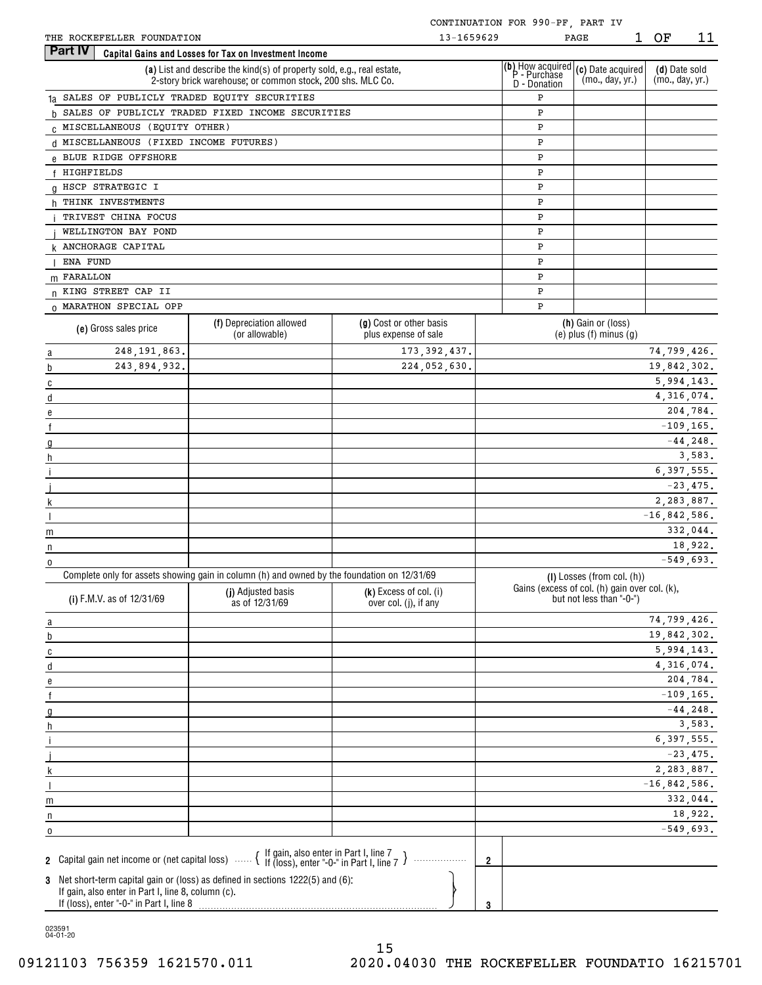| THE ROCKEFELLER FOUNDATION |  |
|----------------------------|--|
|----------------------------|--|

|                                                                                                                                                                                                                                                                                                                                                                                                                                                             |              |                                        |                                                                                                                                      |                                                 | CONTINUATION FOR 990-PF, PART IV                 |                                                                           |                                  |              |
|-------------------------------------------------------------------------------------------------------------------------------------------------------------------------------------------------------------------------------------------------------------------------------------------------------------------------------------------------------------------------------------------------------------------------------------------------------------|--------------|----------------------------------------|--------------------------------------------------------------------------------------------------------------------------------------|-------------------------------------------------|--------------------------------------------------|---------------------------------------------------------------------------|----------------------------------|--------------|
|                                                                                                                                                                                                                                                                                                                                                                                                                                                             |              | THE ROCKEFELLER FOUNDATION             |                                                                                                                                      | 13-1659629                                      |                                                  | 1<br>PAGE                                                                 | ΟF                               | 11           |
|                                                                                                                                                                                                                                                                                                                                                                                                                                                             | Part IV      |                                        | Capital Gains and Losses for Tax on Investment Income                                                                                |                                                 |                                                  |                                                                           |                                  |              |
|                                                                                                                                                                                                                                                                                                                                                                                                                                                             |              |                                        | (a) List and describe the kind(s) of property sold, e.g., real estate,<br>2-story brick warehouse; or common stock, 200 shs. MLC Co. |                                                 | (b) How acquired<br>P - Purchase<br>D - Donation | (c) Date acquired<br>(mo., day, yr.)                                      | (d) Date sold<br>(mo., day, yr.) |              |
|                                                                                                                                                                                                                                                                                                                                                                                                                                                             |              |                                        | 1a SALES OF PUBLICLY TRADED EQUITY SECURITIES                                                                                        |                                                 | Ρ                                                |                                                                           |                                  |              |
|                                                                                                                                                                                                                                                                                                                                                                                                                                                             |              |                                        | b SALES OF PUBLICLY TRADED FIXED INCOME SECURITIES                                                                                   |                                                 | Ρ                                                |                                                                           |                                  |              |
|                                                                                                                                                                                                                                                                                                                                                                                                                                                             |              | C MISCELLANEOUS (EQUITY OTHER)         |                                                                                                                                      |                                                 | Ρ                                                |                                                                           |                                  |              |
|                                                                                                                                                                                                                                                                                                                                                                                                                                                             |              | d MISCELLANEOUS (FIXED INCOME FUTURES) |                                                                                                                                      |                                                 | Ρ                                                |                                                                           |                                  |              |
|                                                                                                                                                                                                                                                                                                                                                                                                                                                             |              | e BLUE RIDGE OFFSHORE                  |                                                                                                                                      |                                                 | P                                                |                                                                           |                                  |              |
|                                                                                                                                                                                                                                                                                                                                                                                                                                                             | f HIGHFIELDS |                                        |                                                                                                                                      |                                                 | Ρ                                                |                                                                           |                                  |              |
|                                                                                                                                                                                                                                                                                                                                                                                                                                                             |              | g HSCP STRATEGIC I                     |                                                                                                                                      |                                                 | Ρ                                                |                                                                           |                                  |              |
|                                                                                                                                                                                                                                                                                                                                                                                                                                                             |              | h THINK INVESTMENTS                    |                                                                                                                                      |                                                 | Ρ                                                |                                                                           |                                  |              |
|                                                                                                                                                                                                                                                                                                                                                                                                                                                             |              | TRIVEST CHINA FOCUS                    |                                                                                                                                      |                                                 | Ρ                                                |                                                                           |                                  |              |
|                                                                                                                                                                                                                                                                                                                                                                                                                                                             |              | WELLINGTON BAY POND                    |                                                                                                                                      |                                                 | Ρ                                                |                                                                           |                                  |              |
|                                                                                                                                                                                                                                                                                                                                                                                                                                                             |              | <b>k ANCHORAGE CAPITAL</b>             |                                                                                                                                      |                                                 | Ρ                                                |                                                                           |                                  |              |
|                                                                                                                                                                                                                                                                                                                                                                                                                                                             | ENA FUND     |                                        |                                                                                                                                      |                                                 | Ρ                                                |                                                                           |                                  |              |
|                                                                                                                                                                                                                                                                                                                                                                                                                                                             | m FARALLON   |                                        |                                                                                                                                      |                                                 | P                                                |                                                                           |                                  |              |
|                                                                                                                                                                                                                                                                                                                                                                                                                                                             |              | n KING STREET CAP II                   |                                                                                                                                      |                                                 | Ρ                                                |                                                                           |                                  |              |
|                                                                                                                                                                                                                                                                                                                                                                                                                                                             |              | 0 MARATHON SPECIAL OPP                 |                                                                                                                                      |                                                 | P                                                |                                                                           |                                  |              |
|                                                                                                                                                                                                                                                                                                                                                                                                                                                             |              | (e) Gross sales price                  | (f) Depreciation allowed<br>(or allowable)                                                                                           | (g) Cost or other basis<br>plus expense of sale |                                                  | (h) Gain or (loss)<br>$(e)$ plus $(f)$ minus $(g)$                        |                                  |              |
| $\overline{a}$                                                                                                                                                                                                                                                                                                                                                                                                                                              |              | 248, 191, 863.                         |                                                                                                                                      | 173, 392, 437.                                  |                                                  |                                                                           | 74,799,426.                      |              |
| b                                                                                                                                                                                                                                                                                                                                                                                                                                                           |              | 243,894,932.                           |                                                                                                                                      | 224,052,630.                                    |                                                  |                                                                           | 19,842,302.                      |              |
| $\mathbf{c}$                                                                                                                                                                                                                                                                                                                                                                                                                                                |              |                                        |                                                                                                                                      |                                                 |                                                  |                                                                           | 5,994,143.                       |              |
| $\mathsf{d}$                                                                                                                                                                                                                                                                                                                                                                                                                                                |              |                                        |                                                                                                                                      |                                                 |                                                  |                                                                           | 4,316,074.                       |              |
| е                                                                                                                                                                                                                                                                                                                                                                                                                                                           |              |                                        |                                                                                                                                      |                                                 |                                                  |                                                                           |                                  | 204,784.     |
| f                                                                                                                                                                                                                                                                                                                                                                                                                                                           |              |                                        |                                                                                                                                      |                                                 |                                                  |                                                                           |                                  | $-109, 165.$ |
| $\mathfrak{g}$                                                                                                                                                                                                                                                                                                                                                                                                                                              |              |                                        |                                                                                                                                      |                                                 |                                                  |                                                                           |                                  | $-44, 248.$  |
| h                                                                                                                                                                                                                                                                                                                                                                                                                                                           |              |                                        |                                                                                                                                      |                                                 |                                                  |                                                                           |                                  | 3,583.       |
|                                                                                                                                                                                                                                                                                                                                                                                                                                                             |              |                                        |                                                                                                                                      |                                                 |                                                  |                                                                           | 6, 397, 555.                     |              |
|                                                                                                                                                                                                                                                                                                                                                                                                                                                             |              |                                        |                                                                                                                                      |                                                 |                                                  |                                                                           |                                  | $-23,475.$   |
| $\mathsf{k}$                                                                                                                                                                                                                                                                                                                                                                                                                                                |              |                                        |                                                                                                                                      |                                                 |                                                  |                                                                           | 2,283,887.                       |              |
|                                                                                                                                                                                                                                                                                                                                                                                                                                                             |              |                                        |                                                                                                                                      |                                                 |                                                  |                                                                           | $-16,842,586.$                   |              |
| m                                                                                                                                                                                                                                                                                                                                                                                                                                                           |              |                                        |                                                                                                                                      |                                                 |                                                  |                                                                           |                                  | 332,044.     |
| n                                                                                                                                                                                                                                                                                                                                                                                                                                                           |              |                                        |                                                                                                                                      |                                                 |                                                  |                                                                           |                                  | 18,922.      |
| 0                                                                                                                                                                                                                                                                                                                                                                                                                                                           |              |                                        |                                                                                                                                      |                                                 |                                                  |                                                                           |                                  | $-549,693.$  |
|                                                                                                                                                                                                                                                                                                                                                                                                                                                             |              |                                        | Complete only for assets showing gain in column (h) and owned by the foundation on 12/31/69                                          |                                                 |                                                  | (I) Losses (from col. (h))                                                |                                  |              |
|                                                                                                                                                                                                                                                                                                                                                                                                                                                             |              | (i) F.M.V. as of 12/31/69              | (j) Adjusted basis<br>as of 12/31/69                                                                                                 | (k) Excess of col. (i)<br>over col. (j), if any |                                                  | Gains (excess of col. (h) gain over col. (k),<br>but not less than "-0-") |                                  |              |
| $\mathbf{a}$                                                                                                                                                                                                                                                                                                                                                                                                                                                |              |                                        |                                                                                                                                      |                                                 |                                                  |                                                                           | 74,799,426.                      |              |
| $\mathbf b$                                                                                                                                                                                                                                                                                                                                                                                                                                                 |              |                                        |                                                                                                                                      |                                                 |                                                  |                                                                           | 19,842,302.                      |              |
| $\mathbf{C}$                                                                                                                                                                                                                                                                                                                                                                                                                                                |              |                                        |                                                                                                                                      |                                                 |                                                  |                                                                           | 5,994,143.                       |              |
| $\mathsf{d}$                                                                                                                                                                                                                                                                                                                                                                                                                                                |              |                                        |                                                                                                                                      |                                                 |                                                  |                                                                           | 4,316,074.                       |              |
| е                                                                                                                                                                                                                                                                                                                                                                                                                                                           |              |                                        |                                                                                                                                      |                                                 |                                                  |                                                                           |                                  | 204,784.     |
| f                                                                                                                                                                                                                                                                                                                                                                                                                                                           |              |                                        |                                                                                                                                      |                                                 |                                                  |                                                                           |                                  | $-109, 165.$ |
| $\mathfrak{g}$                                                                                                                                                                                                                                                                                                                                                                                                                                              |              |                                        |                                                                                                                                      |                                                 |                                                  |                                                                           |                                  | $-44.248.$   |
| $\frac{}{\hbar }% {\displaystyle\int} \frac{1}{2} \left( \frac{1}{2} \left[ \frac{1}{2} \left[ \frac{1}{2} \left[ \frac{1}{2} \left[ \frac{1}{2} \left[ \frac{1}{2} \left[ \frac{1}{2} \left[ \frac{1}{2} \left[ \frac{1}{2} \right] \right] \right] \right] \right] \right) \right) \frac{1}{2} \left( \frac{1}{2} \left[ \frac{1}{2} \left[ \frac{1}{2} \left[ \frac{1}{2} \left[ \frac{1}{2} \left[ \frac{1}{2} \left[ \frac{1}{2} \left[ \frac{1}{2} \$ |              |                                        |                                                                                                                                      |                                                 |                                                  |                                                                           |                                  | 3,583.       |
|                                                                                                                                                                                                                                                                                                                                                                                                                                                             |              |                                        |                                                                                                                                      |                                                 |                                                  |                                                                           | 6,397,555.                       |              |
|                                                                                                                                                                                                                                                                                                                                                                                                                                                             |              |                                        |                                                                                                                                      |                                                 |                                                  |                                                                           |                                  | $-23,475.$   |
|                                                                                                                                                                                                                                                                                                                                                                                                                                                             |              |                                        |                                                                                                                                      |                                                 |                                                  |                                                                           | 2,283,887.                       |              |

| 3 Net short-term capital gain or (loss) as defined in sections 1222(5) and (6): |  |
|---------------------------------------------------------------------------------|--|
| If gain, also enter in Part I, line 8, column (c).                              |  |
| If (loss), enter "-0-" in Part I, line 8                                        |  |

023591 04-01-20

 $\underline{m}$ n  $\overline{0}$ 

 $\bar{\phantom{a}}$ 

 $-16,842,586.$ 332,044. 18,922.  $-549,693.$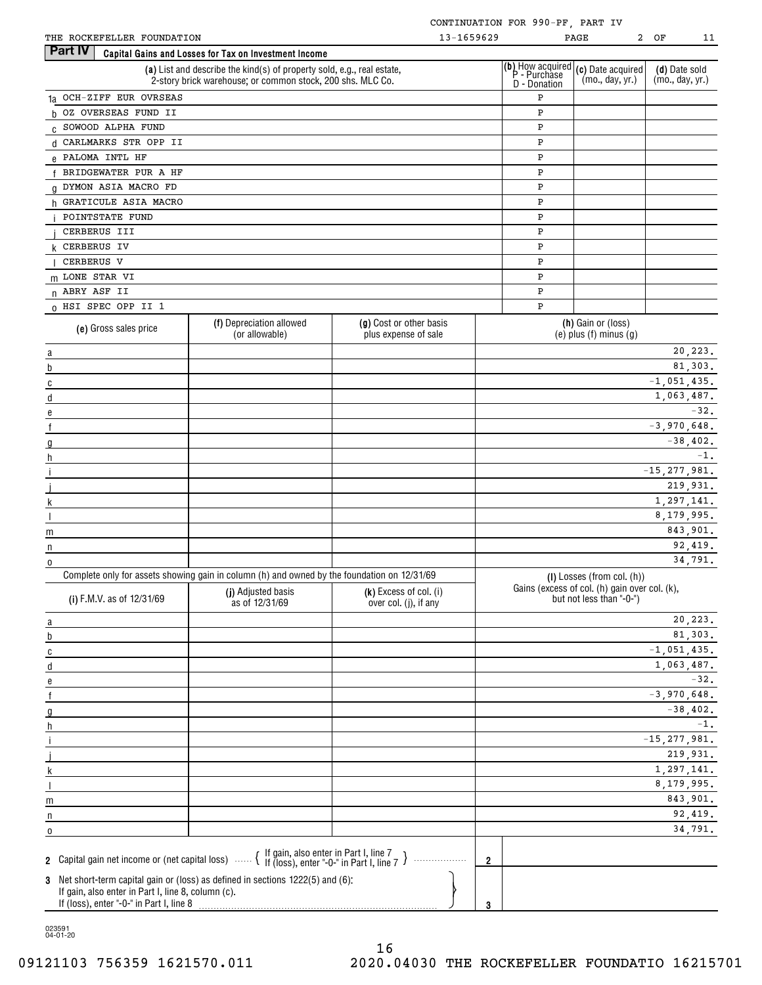| THE ROCKEFELLER FOUNDATION |  |
|----------------------------|--|

 $\frac{\overline{m}}{n}$ 

 $\frac{m}{n}$ 

| THE ROCKEFELLER FOUNDATION                                                                                                                |                                                                                                                                      |                                                 | 13-1659629          |              | $2^{\circ}$<br>PAGE                                                                                     | ΟF                               | 11       |
|-------------------------------------------------------------------------------------------------------------------------------------------|--------------------------------------------------------------------------------------------------------------------------------------|-------------------------------------------------|---------------------|--------------|---------------------------------------------------------------------------------------------------------|----------------------------------|----------|
| <b>Part IV</b>                                                                                                                            | Capital Gains and Losses for Tax on Investment Income                                                                                |                                                 |                     |              |                                                                                                         |                                  |          |
|                                                                                                                                           | (a) List and describe the kind(s) of property sold, e.g., real estate,<br>2-story brick warehouse; or common stock, 200 shs. MLC Co. |                                                 |                     | D - Donation | (b) How acquired $(c)$ Date acquired $P$ - Purchase<br>(mo., day, yr.)                                  | (d) Date sold<br>(mo., day, yr.) |          |
| 1a OCH-ZIFF EUR OVRSEAS                                                                                                                   |                                                                                                                                      |                                                 |                     | P            |                                                                                                         |                                  |          |
| h OZ OVERSEAS FUND II                                                                                                                     |                                                                                                                                      |                                                 |                     | P            |                                                                                                         |                                  |          |
| C SOWOOD ALPHA FUND                                                                                                                       |                                                                                                                                      |                                                 |                     | P            |                                                                                                         |                                  |          |
| d CARLMARKS STR OPP II                                                                                                                    |                                                                                                                                      |                                                 |                     | P            |                                                                                                         |                                  |          |
| e PALOMA INTL HF                                                                                                                          |                                                                                                                                      |                                                 |                     | P            |                                                                                                         |                                  |          |
| f BRIDGEWATER PUR A HF                                                                                                                    |                                                                                                                                      |                                                 |                     | P            |                                                                                                         |                                  |          |
| <b>Q DYMON ASIA MACRO FD</b>                                                                                                              |                                                                                                                                      |                                                 |                     | P            |                                                                                                         |                                  |          |
| h GRATICULE ASIA MACRO                                                                                                                    |                                                                                                                                      |                                                 |                     | P            |                                                                                                         |                                  |          |
| POINTSTATE FUND                                                                                                                           |                                                                                                                                      |                                                 |                     | P            |                                                                                                         |                                  |          |
| CERBERUS III                                                                                                                              |                                                                                                                                      |                                                 |                     | P            |                                                                                                         |                                  |          |
| <b>k</b> CERBERUS IV                                                                                                                      |                                                                                                                                      |                                                 |                     | P            |                                                                                                         |                                  |          |
| CERBERUS V                                                                                                                                |                                                                                                                                      |                                                 |                     | P            |                                                                                                         |                                  |          |
| m LONE STAR VI                                                                                                                            |                                                                                                                                      |                                                 |                     | P            |                                                                                                         |                                  |          |
| n ABRY ASF II                                                                                                                             |                                                                                                                                      |                                                 |                     | P            |                                                                                                         |                                  |          |
| 0 HSI SPEC OPP II 1                                                                                                                       |                                                                                                                                      |                                                 |                     | P            |                                                                                                         |                                  |          |
| (e) Gross sales price                                                                                                                     | (f) Depreciation allowed<br>(or allowable)                                                                                           | (g) Cost or other basis<br>plus expense of sale |                     |              | (h) Gain or (loss)<br>$(e)$ plus $(f)$ minus $(g)$                                                      |                                  |          |
|                                                                                                                                           |                                                                                                                                      |                                                 |                     |              |                                                                                                         |                                  | 20, 223. |
| a                                                                                                                                         |                                                                                                                                      |                                                 |                     |              |                                                                                                         |                                  | 81,303.  |
| b                                                                                                                                         |                                                                                                                                      |                                                 |                     |              |                                                                                                         | $-1,051,435.$                    |          |
| C                                                                                                                                         |                                                                                                                                      |                                                 |                     |              |                                                                                                         | 1,063,487.                       |          |
| d                                                                                                                                         |                                                                                                                                      |                                                 |                     |              |                                                                                                         |                                  | $-32.$   |
| e                                                                                                                                         |                                                                                                                                      |                                                 |                     |              |                                                                                                         | $-3,970,648.$                    |          |
|                                                                                                                                           |                                                                                                                                      |                                                 |                     |              |                                                                                                         | $-38,402.$                       |          |
| g                                                                                                                                         |                                                                                                                                      |                                                 |                     |              |                                                                                                         |                                  | $-1.$    |
| h                                                                                                                                         |                                                                                                                                      |                                                 |                     |              |                                                                                                         | $-15, 277, 981.$                 |          |
|                                                                                                                                           |                                                                                                                                      |                                                 |                     |              |                                                                                                         | 219,931.                         |          |
|                                                                                                                                           |                                                                                                                                      |                                                 |                     |              |                                                                                                         | 1,297,141.                       |          |
|                                                                                                                                           |                                                                                                                                      |                                                 |                     |              |                                                                                                         | 8, 179, 995.                     |          |
|                                                                                                                                           |                                                                                                                                      |                                                 |                     |              |                                                                                                         | 843,901.                         |          |
| m                                                                                                                                         |                                                                                                                                      |                                                 |                     |              |                                                                                                         |                                  | 92,419.  |
| n                                                                                                                                         |                                                                                                                                      |                                                 |                     |              |                                                                                                         |                                  | 34,791.  |
| $\mathbf 0$                                                                                                                               | Complete only for assets showing gain in column (h) and owned by the foundation on 12/31/69                                          |                                                 |                     |              |                                                                                                         |                                  |          |
| (i) F.M.V. as of 12/31/69                                                                                                                 | $\overline{y_1}$ (i) Adjusted basis (k) Excess of col. (i)<br>as of 12/31/69                                                         | over col. (j), if any                           |                     |              | (I) Losses (from col. (h))<br>Gains (excess of col. (h) gain over col. (k),<br>but not less than "-0-") |                                  |          |
| $\overline{a}$                                                                                                                            |                                                                                                                                      |                                                 |                     |              |                                                                                                         |                                  | 20, 223. |
| $\overline{b}$                                                                                                                            |                                                                                                                                      |                                                 |                     |              |                                                                                                         |                                  | 81,303.  |
| $\overline{c}$                                                                                                                            |                                                                                                                                      |                                                 |                     |              |                                                                                                         | $-1,051,435.$                    |          |
| d                                                                                                                                         |                                                                                                                                      |                                                 |                     |              |                                                                                                         | 1,063,487.                       |          |
| е                                                                                                                                         |                                                                                                                                      |                                                 |                     |              |                                                                                                         |                                  | $-32.$   |
| $\mathsf{f}$                                                                                                                              |                                                                                                                                      |                                                 |                     |              |                                                                                                         | $-3,970,648.$                    |          |
| $\overline{0}$                                                                                                                            |                                                                                                                                      |                                                 |                     |              |                                                                                                         | $-38,402.$                       |          |
| h                                                                                                                                         |                                                                                                                                      |                                                 |                     |              |                                                                                                         |                                  | $-1.$    |
|                                                                                                                                           |                                                                                                                                      |                                                 |                     |              |                                                                                                         | $-15, 277, 981.$                 |          |
|                                                                                                                                           |                                                                                                                                      |                                                 |                     |              |                                                                                                         | 219,931.                         |          |
| k                                                                                                                                         |                                                                                                                                      |                                                 |                     |              |                                                                                                         | 1,297,141.                       |          |
|                                                                                                                                           |                                                                                                                                      |                                                 |                     |              |                                                                                                         | 8, 179, 995.                     |          |
| m                                                                                                                                         |                                                                                                                                      |                                                 |                     |              |                                                                                                         | 843,901.                         |          |
| n                                                                                                                                         |                                                                                                                                      |                                                 |                     |              |                                                                                                         |                                  | 92,419.  |
| 0                                                                                                                                         |                                                                                                                                      |                                                 |                     |              |                                                                                                         |                                  | 34,791.  |
| 2 Capital gain net income or (net capital loss)  { If gain, also enter in Part I, line 7 J<br>4 T (loss), enter "-0-" in Part I, line 7 J |                                                                                                                                      |                                                 | $\overline{2}$<br>. |              |                                                                                                         |                                  |          |

**3**Net short-term capital gain or (loss) as defined in sections 1222(5) and (6): If gain, also enter in Part I, line 8, column (c).

If (loss), enter "-0-" in Part I, line 8

023591 04-01-20

**3**

pmo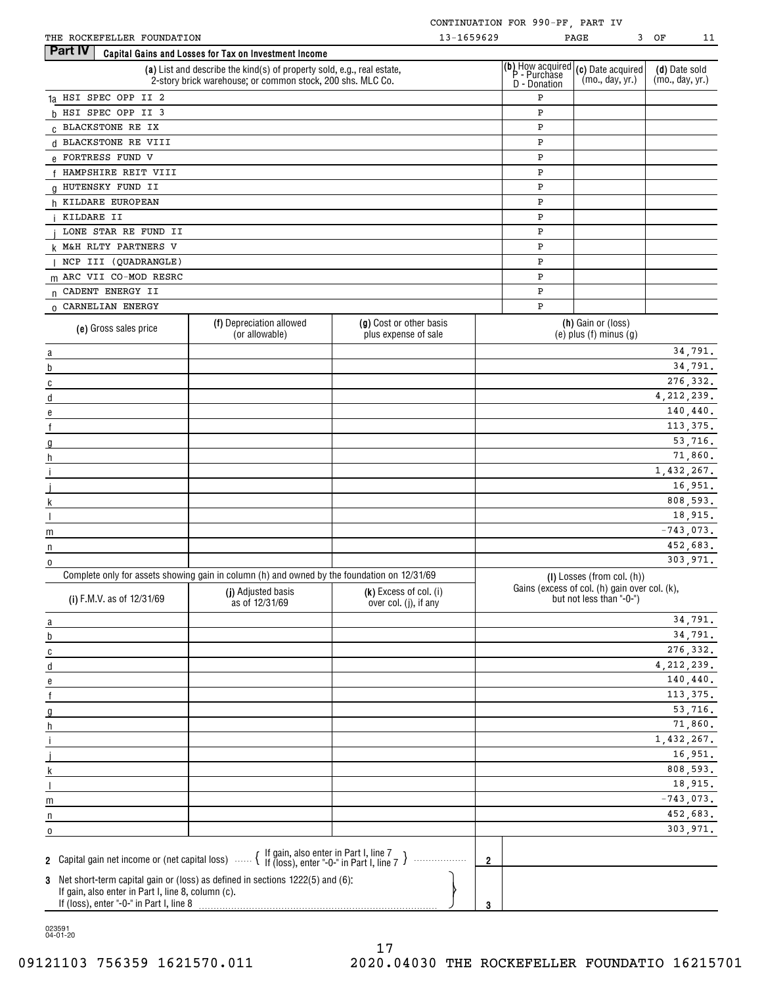|  |  | 11 |  |
|--|--|----|--|

| THE ROCKEFELLER FOUNDATION                                                                                                                                                                                                                                                                                                                                |                                                                                                                                      | 13-1659629                                      |                                                  | PAGE                                                                      | 3 OF<br>11                       |
|-----------------------------------------------------------------------------------------------------------------------------------------------------------------------------------------------------------------------------------------------------------------------------------------------------------------------------------------------------------|--------------------------------------------------------------------------------------------------------------------------------------|-------------------------------------------------|--------------------------------------------------|---------------------------------------------------------------------------|----------------------------------|
| Part IV                                                                                                                                                                                                                                                                                                                                                   | Capital Gains and Losses for Tax on Investment Income                                                                                |                                                 |                                                  |                                                                           |                                  |
|                                                                                                                                                                                                                                                                                                                                                           | (a) List and describe the kind(s) of property sold, e.g., real estate,<br>2-story brick warehouse; or common stock, 200 shs. MLC Co. |                                                 | (b) How acquired<br>P - Purchase<br>D - Donation | (c) Date acquired<br>(mo., day, yr.)                                      | (d) Date sold<br>(mo., day, yr.) |
| 1a HSI SPEC OPP II 2                                                                                                                                                                                                                                                                                                                                      |                                                                                                                                      |                                                 | Ρ                                                |                                                                           |                                  |
| h HSI SPEC OPP II 3                                                                                                                                                                                                                                                                                                                                       |                                                                                                                                      |                                                 | P                                                |                                                                           |                                  |
| C BLACKSTONE RE IX                                                                                                                                                                                                                                                                                                                                        |                                                                                                                                      |                                                 | P                                                |                                                                           |                                  |
|                                                                                                                                                                                                                                                                                                                                                           |                                                                                                                                      |                                                 |                                                  |                                                                           |                                  |
| d BLACKSTONE RE VIII                                                                                                                                                                                                                                                                                                                                      |                                                                                                                                      |                                                 | P                                                |                                                                           |                                  |
| e FORTRESS FUND V                                                                                                                                                                                                                                                                                                                                         |                                                                                                                                      |                                                 | P                                                |                                                                           |                                  |
| f HAMPSHIRE REIT VIII                                                                                                                                                                                                                                                                                                                                     |                                                                                                                                      |                                                 | P                                                |                                                                           |                                  |
| 0 HUTENSKY FUND II                                                                                                                                                                                                                                                                                                                                        |                                                                                                                                      |                                                 | P                                                |                                                                           |                                  |
| h KILDARE EUROPEAN                                                                                                                                                                                                                                                                                                                                        |                                                                                                                                      |                                                 | P                                                |                                                                           |                                  |
| KILDARE II                                                                                                                                                                                                                                                                                                                                                |                                                                                                                                      |                                                 | P                                                |                                                                           |                                  |
| LONE STAR RE FUND II                                                                                                                                                                                                                                                                                                                                      |                                                                                                                                      |                                                 | P                                                |                                                                           |                                  |
| k M&H RLTY PARTNERS V                                                                                                                                                                                                                                                                                                                                     |                                                                                                                                      |                                                 | P                                                |                                                                           |                                  |
| NCP III (QUADRANGLE)                                                                                                                                                                                                                                                                                                                                      |                                                                                                                                      |                                                 | P                                                |                                                                           |                                  |
| m ARC VII CO-MOD RESRC                                                                                                                                                                                                                                                                                                                                    |                                                                                                                                      |                                                 | P                                                |                                                                           |                                  |
| n CADENT ENERGY II                                                                                                                                                                                                                                                                                                                                        |                                                                                                                                      |                                                 | P                                                |                                                                           |                                  |
| 0 CARNELIAN ENERGY                                                                                                                                                                                                                                                                                                                                        |                                                                                                                                      |                                                 | P                                                |                                                                           |                                  |
|                                                                                                                                                                                                                                                                                                                                                           | (f) Depreciation allowed                                                                                                             | (g) Cost or other basis                         |                                                  | (h) Gain or (loss)                                                        |                                  |
| (e) Gross sales price                                                                                                                                                                                                                                                                                                                                     | (or allowable)                                                                                                                       | plus expense of sale                            |                                                  | $(e)$ plus $(f)$ minus $(g)$                                              |                                  |
| $\alpha$ and $\alpha$ and $\alpha$ and $\alpha$ and $\alpha$ and $\alpha$ and $\alpha$ and $\alpha$ and $\alpha$ and $\alpha$ and $\alpha$ and $\alpha$ and $\alpha$ and $\alpha$ and $\alpha$ and $\alpha$ and $\alpha$ and $\alpha$ and $\alpha$ and $\alpha$ and $\alpha$ and $\alpha$ and $\alpha$ and $\alpha$ and $\alpha$                          |                                                                                                                                      |                                                 |                                                  |                                                                           | 34,791.                          |
| b                                                                                                                                                                                                                                                                                                                                                         |                                                                                                                                      |                                                 |                                                  |                                                                           | 34,791.                          |
| $\overline{c}$                                                                                                                                                                                                                                                                                                                                            |                                                                                                                                      |                                                 |                                                  |                                                                           | 276, 332.                        |
| $\mathsf{d}$                                                                                                                                                                                                                                                                                                                                              |                                                                                                                                      |                                                 |                                                  |                                                                           | 4, 212, 239.                     |
| $\mathbf{e}$                                                                                                                                                                                                                                                                                                                                              |                                                                                                                                      |                                                 |                                                  |                                                                           | 140,440.                         |
| $\underline{\mathbf{f}}$                                                                                                                                                                                                                                                                                                                                  |                                                                                                                                      |                                                 |                                                  |                                                                           | 113,375.                         |
| g                                                                                                                                                                                                                                                                                                                                                         |                                                                                                                                      |                                                 |                                                  |                                                                           | 53,716.                          |
| h                                                                                                                                                                                                                                                                                                                                                         |                                                                                                                                      |                                                 |                                                  |                                                                           | 71,860.                          |
| $\begin{tabular}{ c c c c } \hline \rule{0.3cm}{.01cm} \rule{0.3cm}{.01cm} \rule{0.3cm}{.01cm} \rule{0.3cm}{.01cm} \rule{0.3cm}{.01cm} \rule{0.3cm}{.01cm} \rule{0.3cm}{.01cm} \rule{0.3cm}{.01cm} \rule{0.3cm}{.01cm} \rule{0.3cm}{.01cm} \rule{0.3cm}{.01cm} \rule{0.3cm}{.01cm} \rule{0.3cm}{.01cm} \rule{0.3cm}{.01cm} \rule{0.3cm}{.01cm} \rule{0.3$ |                                                                                                                                      |                                                 |                                                  |                                                                           | 1,432,267.                       |
|                                                                                                                                                                                                                                                                                                                                                           |                                                                                                                                      |                                                 |                                                  |                                                                           | 16,951.                          |
| $k$ and $k$ and $k$ and $k$ and $k$ and $k$ and $k$ and $k$ and $k$ and $k$ and $k$ and $k$ and $k$ and $k$ and $k$ and $k$ and $k$ and $k$ and $k$ and $k$ and $k$ and $k$ and $k$ and $k$ and $k$ and $k$ and $k$ and $k$ a                                                                                                                             |                                                                                                                                      |                                                 |                                                  |                                                                           | 808,593.                         |
|                                                                                                                                                                                                                                                                                                                                                           |                                                                                                                                      |                                                 |                                                  |                                                                           | 18,915.                          |
| m<br><u> 1980 - Johann Barbara, martxa a</u>                                                                                                                                                                                                                                                                                                              |                                                                                                                                      |                                                 |                                                  |                                                                           | $-743,073.$                      |
| n                                                                                                                                                                                                                                                                                                                                                         |                                                                                                                                      |                                                 |                                                  |                                                                           | 452,683.                         |
| 0                                                                                                                                                                                                                                                                                                                                                         |                                                                                                                                      |                                                 |                                                  |                                                                           | 303,971.                         |
|                                                                                                                                                                                                                                                                                                                                                           | Complete only for assets showing gain in column (h) and owned by the foundation on 12/31/69                                          |                                                 |                                                  | (I) Losses (from col. (h))                                                |                                  |
| (i) F.M.V. as of 12/31/69                                                                                                                                                                                                                                                                                                                                 | (j) Adjusted basis<br>as of 12/31/69                                                                                                 | (k) Excess of col. (i)<br>over col. (j), if any |                                                  | Gains (excess of col. (h) gain over col. (k),<br>but not less than "-0-") |                                  |
| $\underline{a}$                                                                                                                                                                                                                                                                                                                                           |                                                                                                                                      |                                                 |                                                  |                                                                           | 34,791.                          |
| b                                                                                                                                                                                                                                                                                                                                                         |                                                                                                                                      |                                                 |                                                  |                                                                           | 34,791.                          |
| $\overline{c}$                                                                                                                                                                                                                                                                                                                                            |                                                                                                                                      |                                                 |                                                  |                                                                           | 276,332.                         |
| $\mathsf d$                                                                                                                                                                                                                                                                                                                                               |                                                                                                                                      |                                                 |                                                  |                                                                           | 4, 212, 239.                     |
| e                                                                                                                                                                                                                                                                                                                                                         |                                                                                                                                      |                                                 |                                                  |                                                                           | 140, 440.                        |
| $\mathsf{f}$                                                                                                                                                                                                                                                                                                                                              |                                                                                                                                      |                                                 |                                                  |                                                                           | 113,375.                         |
|                                                                                                                                                                                                                                                                                                                                                           |                                                                                                                                      |                                                 |                                                  |                                                                           | 53,716.                          |
| g                                                                                                                                                                                                                                                                                                                                                         |                                                                                                                                      |                                                 |                                                  |                                                                           | 71,860.                          |
| h                                                                                                                                                                                                                                                                                                                                                         |                                                                                                                                      |                                                 |                                                  |                                                                           | 1,432,267.                       |
|                                                                                                                                                                                                                                                                                                                                                           |                                                                                                                                      |                                                 |                                                  |                                                                           | 16,951.                          |
|                                                                                                                                                                                                                                                                                                                                                           |                                                                                                                                      |                                                 |                                                  |                                                                           | 808,593.                         |
| k                                                                                                                                                                                                                                                                                                                                                         |                                                                                                                                      |                                                 |                                                  |                                                                           |                                  |
|                                                                                                                                                                                                                                                                                                                                                           |                                                                                                                                      |                                                 |                                                  |                                                                           | 18,915.                          |
| m                                                                                                                                                                                                                                                                                                                                                         |                                                                                                                                      |                                                 |                                                  |                                                                           | $-743,073.$                      |
| n                                                                                                                                                                                                                                                                                                                                                         |                                                                                                                                      |                                                 |                                                  |                                                                           | 452,683.                         |
| 0                                                                                                                                                                                                                                                                                                                                                         |                                                                                                                                      |                                                 |                                                  |                                                                           | 303,971.                         |
| 2 Capital gain net income or (net capital loss) $\ldots$ $\{$ If gain, also enter in Part I, line 7 $\}$                                                                                                                                                                                                                                                  |                                                                                                                                      | .                                               | $\overline{2}$                                   |                                                                           |                                  |
| 3 Net short-term capital gain or (loss) as defined in sections 1222(5) and (6):<br>If gain, also enter in Part I, line 8, column (c).<br>If (loss), enter "-0-" in Part I, line 8                                                                                                                                                                         |                                                                                                                                      |                                                 | 3                                                |                                                                           |                                  |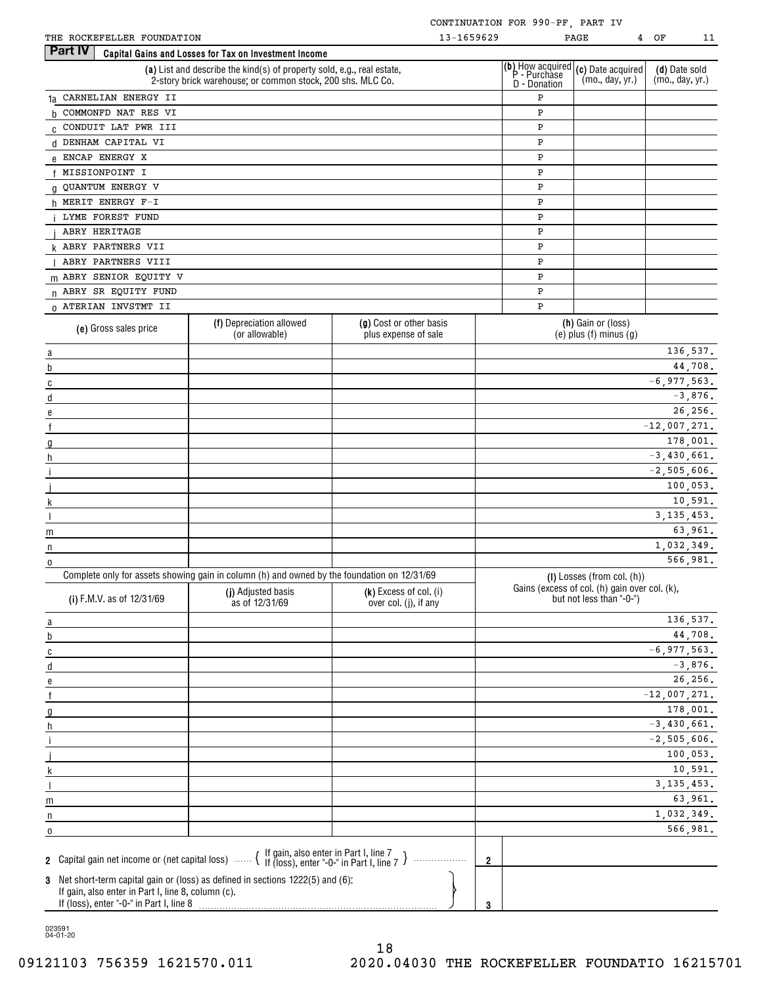| THE ROCKEFELLER FOUNDATION |  |
|----------------------------|--|

|  |  | 1 |
|--|--|---|

| THE ROCKEFELLER FOUNDATION                                                                                                                                                    |                                                                                                                                      | 13-1659629                                      |                                                         | 4<br>PAGE                                                                 | ОF<br>11                         |
|-------------------------------------------------------------------------------------------------------------------------------------------------------------------------------|--------------------------------------------------------------------------------------------------------------------------------------|-------------------------------------------------|---------------------------------------------------------|---------------------------------------------------------------------------|----------------------------------|
| Part IV                                                                                                                                                                       | Capital Gains and Losses for Tax on Investment Income                                                                                |                                                 |                                                         |                                                                           |                                  |
|                                                                                                                                                                               | (a) List and describe the kind(s) of property sold, e.g., real estate,<br>2-story brick warehouse; or common stock, 200 shs. MLC Co. |                                                 | (b) How acquired<br>P - Purchase<br><b>D</b> - Donation | (c) Date acquired<br>(mo., day, yr.)                                      | (d) Date sold<br>(mo., day, yr.) |
| 1a CARNELIAN ENERGY II                                                                                                                                                        |                                                                                                                                      |                                                 | P                                                       |                                                                           |                                  |
| b COMMONFD NAT RES VI                                                                                                                                                         |                                                                                                                                      |                                                 | P                                                       |                                                                           |                                  |
| C CONDUIT LAT PWR III                                                                                                                                                         |                                                                                                                                      |                                                 | Ρ                                                       |                                                                           |                                  |
| d DENHAM CAPITAL VI                                                                                                                                                           |                                                                                                                                      |                                                 | Ρ                                                       |                                                                           |                                  |
| e ENCAP ENERGY X                                                                                                                                                              |                                                                                                                                      |                                                 | P                                                       |                                                                           |                                  |
| f MISSIONPOINT I                                                                                                                                                              |                                                                                                                                      |                                                 | P                                                       |                                                                           |                                  |
|                                                                                                                                                                               | <b>G QUANTUM ENERGY V</b>                                                                                                            |                                                 |                                                         |                                                                           |                                  |
| h MERIT ENERGY F-I                                                                                                                                                            |                                                                                                                                      |                                                 | Ρ<br>P                                                  |                                                                           |                                  |
| LYME FOREST FUND                                                                                                                                                              |                                                                                                                                      |                                                 | P                                                       |                                                                           |                                  |
|                                                                                                                                                                               |                                                                                                                                      |                                                 |                                                         |                                                                           |                                  |
| ABRY HERITAGE                                                                                                                                                                 |                                                                                                                                      |                                                 | Ρ                                                       |                                                                           |                                  |
| <b>k ABRY PARTNERS VII</b>                                                                                                                                                    |                                                                                                                                      |                                                 | Ρ                                                       |                                                                           |                                  |
| ABRY PARTNERS VIII                                                                                                                                                            |                                                                                                                                      |                                                 | P                                                       |                                                                           |                                  |
| m ABRY SENIOR EQUITY V                                                                                                                                                        |                                                                                                                                      |                                                 | Ρ                                                       |                                                                           |                                  |
| n ABRY SR EQUITY FUND                                                                                                                                                         |                                                                                                                                      |                                                 | Ρ                                                       |                                                                           |                                  |
| 0 ATERIAN INVSTMT II                                                                                                                                                          |                                                                                                                                      |                                                 | P                                                       |                                                                           |                                  |
| (e) Gross sales price                                                                                                                                                         | (f) Depreciation allowed<br>(or allowable)                                                                                           | (g) Cost or other basis<br>plus expense of sale |                                                         | (h) Gain or (loss)<br>$(e)$ plus $(f)$ minus $(g)$                        |                                  |
| a                                                                                                                                                                             |                                                                                                                                      |                                                 |                                                         |                                                                           | 136,537.                         |
| b                                                                                                                                                                             |                                                                                                                                      |                                                 |                                                         |                                                                           | 44,708.                          |
| C                                                                                                                                                                             |                                                                                                                                      |                                                 |                                                         |                                                                           | $-6, 977, 563.$                  |
| d                                                                                                                                                                             |                                                                                                                                      |                                                 |                                                         |                                                                           | $-3,876.$                        |
| e                                                                                                                                                                             |                                                                                                                                      |                                                 |                                                         |                                                                           | 26,256.                          |
|                                                                                                                                                                               |                                                                                                                                      |                                                 |                                                         |                                                                           | $-12,007,271.$                   |
|                                                                                                                                                                               |                                                                                                                                      |                                                 |                                                         |                                                                           | 178,001.                         |
| h                                                                                                                                                                             |                                                                                                                                      |                                                 |                                                         |                                                                           | $-3,430,661.$                    |
|                                                                                                                                                                               |                                                                                                                                      |                                                 |                                                         |                                                                           | $-2,505,606.$                    |
|                                                                                                                                                                               |                                                                                                                                      |                                                 |                                                         |                                                                           | 100,053.                         |
|                                                                                                                                                                               |                                                                                                                                      |                                                 |                                                         |                                                                           | 10,591.                          |
|                                                                                                                                                                               |                                                                                                                                      |                                                 |                                                         |                                                                           | 3, 135, 453.                     |
| m                                                                                                                                                                             |                                                                                                                                      |                                                 |                                                         |                                                                           | 63,961.                          |
| n                                                                                                                                                                             |                                                                                                                                      |                                                 |                                                         |                                                                           | 1,032,349.                       |
| 0                                                                                                                                                                             |                                                                                                                                      |                                                 |                                                         |                                                                           | 566,981.                         |
|                                                                                                                                                                               | Complete only for assets showing gain in column (h) and owned by the foundation on 12/31/69                                          |                                                 |                                                         | $(I)$ Losses (from col. $(h)$ )                                           |                                  |
| (i) F.M.V. as of 12/31/69                                                                                                                                                     | (j) Adjusted basis<br>as of 12/31/69                                                                                                 | (k) Excess of col. (i)<br>over col. (j), if any |                                                         | Gains (excess of col. (h) gain over col. (k),<br>but not less than "-0-") |                                  |
|                                                                                                                                                                               |                                                                                                                                      |                                                 |                                                         |                                                                           | 136,537.                         |
| $\overline{a}$                                                                                                                                                                |                                                                                                                                      |                                                 |                                                         |                                                                           | 44,708.                          |
| b                                                                                                                                                                             |                                                                                                                                      |                                                 |                                                         |                                                                           | $-6, 977, 563.$                  |
| C                                                                                                                                                                             |                                                                                                                                      |                                                 |                                                         |                                                                           | $-3,876.$                        |
| d                                                                                                                                                                             |                                                                                                                                      |                                                 |                                                         |                                                                           | 26,256.                          |
| e                                                                                                                                                                             |                                                                                                                                      |                                                 |                                                         |                                                                           |                                  |
|                                                                                                                                                                               |                                                                                                                                      |                                                 |                                                         |                                                                           | $-12,007,271.$                   |
| g                                                                                                                                                                             |                                                                                                                                      |                                                 |                                                         |                                                                           | 178,001.                         |
| h                                                                                                                                                                             |                                                                                                                                      |                                                 |                                                         |                                                                           | $-3,430,661.$                    |
|                                                                                                                                                                               |                                                                                                                                      |                                                 |                                                         |                                                                           | $-2,505,606.$                    |
|                                                                                                                                                                               |                                                                                                                                      |                                                 |                                                         |                                                                           | 100,053.                         |
|                                                                                                                                                                               |                                                                                                                                      |                                                 |                                                         |                                                                           | 10,591.                          |
|                                                                                                                                                                               |                                                                                                                                      |                                                 |                                                         |                                                                           | 3, 135, 453.                     |
| m                                                                                                                                                                             |                                                                                                                                      |                                                 |                                                         |                                                                           | 63,961.                          |
| n                                                                                                                                                                             |                                                                                                                                      |                                                 |                                                         |                                                                           | 1,032,349.                       |
| 0                                                                                                                                                                             |                                                                                                                                      |                                                 |                                                         |                                                                           | 566,981.                         |
| 2 Capital gain net income or (net capital loss)  { If gain, also enter in Part I, line 7 }<br>3 Net short-term capital gain or (loss) as defined in sections 1222(5) and (6): |                                                                                                                                      |                                                 | $\overline{2}$                                          |                                                                           |                                  |
| If gain, also enter in Part I, line 8, column (c).<br>If (loss), enter "-0-" in Part I, line 8                                                                                |                                                                                                                                      |                                                 | 3                                                       |                                                                           |                                  |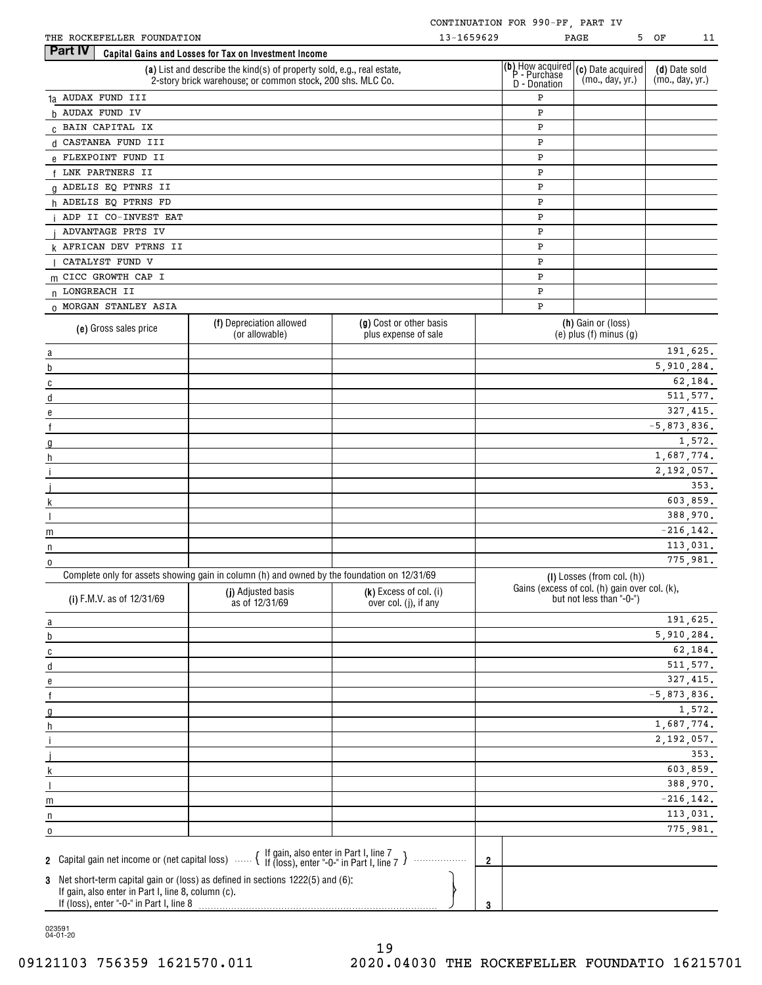| THE | ROCKEFELLER | FOUNDATION | 659629<br>c | PAGE |
|-----|-------------|------------|-------------|------|
|     |             |            | . D. 3      |      |

| THE ROCKEFELLER FOUNDATION                                                                 |                                                                                                                                      | 13-1659629                                      |                |                   | PAGE                                                                                                                                                                             | 5 OF<br>11                       |
|--------------------------------------------------------------------------------------------|--------------------------------------------------------------------------------------------------------------------------------------|-------------------------------------------------|----------------|-------------------|----------------------------------------------------------------------------------------------------------------------------------------------------------------------------------|----------------------------------|
| Part IV                                                                                    | Capital Gains and Losses for Tax on Investment Income                                                                                |                                                 |                |                   |                                                                                                                                                                                  |                                  |
|                                                                                            | (a) List and describe the kind(s) of property sold, e.g., real estate,<br>2-story brick warehouse; or common stock, 200 shs. MLC Co. |                                                 |                |                   | (b) How acquired $(c)$ Date acquired<br>P - Purchase $\begin{bmatrix} (c) & \text{Date} & \text{acquired} \\ \text{C} & \text{day} & \text{yr} \end{bmatrix}$<br>(mo., day, yr.) | (d) Date sold<br>(mo., day, yr.) |
| 1a AUDAX FUND III                                                                          |                                                                                                                                      |                                                 |                | D - Donation<br>P |                                                                                                                                                                                  |                                  |
| h AUDAX FUND IV                                                                            |                                                                                                                                      |                                                 |                | P                 |                                                                                                                                                                                  |                                  |
| C BAIN CAPITAL IX                                                                          |                                                                                                                                      |                                                 |                | P                 |                                                                                                                                                                                  |                                  |
| d CASTANEA FUND III                                                                        |                                                                                                                                      |                                                 |                | P                 |                                                                                                                                                                                  |                                  |
| e FLEXPOINT FUND II                                                                        |                                                                                                                                      |                                                 |                | P                 |                                                                                                                                                                                  |                                  |
|                                                                                            |                                                                                                                                      |                                                 |                |                   |                                                                                                                                                                                  |                                  |
| LNK PARTNERS II                                                                            |                                                                                                                                      |                                                 |                | P                 |                                                                                                                                                                                  |                                  |
| 0 ADELIS EQ PTNRS II                                                                       |                                                                                                                                      |                                                 |                | P                 |                                                                                                                                                                                  |                                  |
| h ADELIS EQ PTRNS FD                                                                       |                                                                                                                                      |                                                 |                | P                 |                                                                                                                                                                                  |                                  |
| ADP II CO-INVEST EAT                                                                       |                                                                                                                                      |                                                 |                | P                 |                                                                                                                                                                                  |                                  |
| ADVANTAGE PRTS IV                                                                          |                                                                                                                                      |                                                 |                | P                 |                                                                                                                                                                                  |                                  |
| k AFRICAN DEV PTRNS II                                                                     |                                                                                                                                      |                                                 |                | P                 |                                                                                                                                                                                  |                                  |
| CATALYST FUND V                                                                            |                                                                                                                                      |                                                 |                | P                 |                                                                                                                                                                                  |                                  |
| m CICC GROWTH CAP I                                                                        |                                                                                                                                      |                                                 |                | P                 |                                                                                                                                                                                  |                                  |
| n LONGREACH II                                                                             |                                                                                                                                      |                                                 |                | P                 |                                                                                                                                                                                  |                                  |
| 0 MORGAN STANLEY ASIA                                                                      |                                                                                                                                      |                                                 |                | P                 |                                                                                                                                                                                  |                                  |
| (e) Gross sales price                                                                      | (f) Depreciation allowed<br>(or allowable)                                                                                           | (g) Cost or other basis<br>plus expense of sale |                |                   | (h) Gain or (loss)<br>$(e)$ plus $(f)$ minus $(g)$                                                                                                                               |                                  |
| a                                                                                          |                                                                                                                                      |                                                 |                |                   |                                                                                                                                                                                  | 191,625.                         |
| b                                                                                          |                                                                                                                                      |                                                 |                |                   |                                                                                                                                                                                  | 5,910,284.                       |
| $\mathbb C$                                                                                |                                                                                                                                      |                                                 |                |                   |                                                                                                                                                                                  | 62,184.                          |
| d                                                                                          |                                                                                                                                      |                                                 |                |                   |                                                                                                                                                                                  | 511, 577.                        |
| e                                                                                          |                                                                                                                                      |                                                 |                |                   |                                                                                                                                                                                  | 327, 415.                        |
| $\mathsf{f}$                                                                               |                                                                                                                                      |                                                 |                |                   |                                                                                                                                                                                  | $-5,873,836.$                    |
| g                                                                                          |                                                                                                                                      |                                                 |                |                   |                                                                                                                                                                                  | 1,572.                           |
| h                                                                                          |                                                                                                                                      |                                                 |                |                   |                                                                                                                                                                                  | 1,687,774.                       |
|                                                                                            |                                                                                                                                      |                                                 |                |                   |                                                                                                                                                                                  | 2,192,057.                       |
|                                                                                            |                                                                                                                                      |                                                 |                |                   |                                                                                                                                                                                  | 353.                             |
| k                                                                                          |                                                                                                                                      |                                                 |                |                   |                                                                                                                                                                                  | 603,859.                         |
| $\overline{\phantom{a}}$                                                                   |                                                                                                                                      |                                                 |                |                   |                                                                                                                                                                                  | 388,970.                         |
|                                                                                            |                                                                                                                                      |                                                 |                |                   |                                                                                                                                                                                  | $-216, 142.$                     |
| m                                                                                          |                                                                                                                                      |                                                 |                |                   |                                                                                                                                                                                  | 113,031.                         |
| n                                                                                          |                                                                                                                                      |                                                 |                |                   |                                                                                                                                                                                  | 775,981.                         |
| 0                                                                                          | Complete only for assets showing gain in column (h) and owned by the foundation on 12/31/69                                          |                                                 |                |                   |                                                                                                                                                                                  |                                  |
| (i) F.M.V. as of 12/31/69                                                                  | (j) Adjusted basis<br>as of 12/31/69                                                                                                 | (k) Excess of col. (i)<br>over col. (j), if any |                |                   | (I) Losses (from col. (h))<br>Gains (excess of col. (h) gain over col. (k),<br>but not less than "-0-")                                                                          |                                  |
|                                                                                            |                                                                                                                                      |                                                 |                |                   |                                                                                                                                                                                  | 191,625.                         |
| $\overline{a}$                                                                             |                                                                                                                                      |                                                 |                |                   |                                                                                                                                                                                  | 5,910,284.                       |
| $\overline{p}$                                                                             |                                                                                                                                      |                                                 |                |                   |                                                                                                                                                                                  |                                  |
| $\overline{c}$                                                                             |                                                                                                                                      |                                                 |                |                   |                                                                                                                                                                                  | 62,184.                          |
| $\overline{a}$                                                                             |                                                                                                                                      |                                                 |                |                   |                                                                                                                                                                                  | 511, 577.                        |
| e                                                                                          |                                                                                                                                      |                                                 |                |                   |                                                                                                                                                                                  | 327,415.                         |
| $\mathsf f$                                                                                |                                                                                                                                      |                                                 |                |                   |                                                                                                                                                                                  | $-5,873,836.$                    |
| $\mathfrak{g}$                                                                             |                                                                                                                                      |                                                 |                |                   |                                                                                                                                                                                  | 1,572.                           |
| h                                                                                          |                                                                                                                                      |                                                 |                |                   |                                                                                                                                                                                  | 1,687,774.                       |
| $\mathbf{i}$                                                                               |                                                                                                                                      |                                                 |                |                   |                                                                                                                                                                                  | 2,192,057.                       |
|                                                                                            |                                                                                                                                      |                                                 |                |                   |                                                                                                                                                                                  | 353.                             |
| k                                                                                          |                                                                                                                                      |                                                 |                |                   |                                                                                                                                                                                  | 603,859.                         |
| $\overline{\phantom{a}}$                                                                   |                                                                                                                                      |                                                 |                |                   |                                                                                                                                                                                  | 388,970.                         |
| m                                                                                          |                                                                                                                                      |                                                 |                |                   |                                                                                                                                                                                  | $-216, 142.$                     |
| n                                                                                          |                                                                                                                                      |                                                 |                |                   |                                                                                                                                                                                  | 113,031.                         |
| $\mathbf 0$                                                                                |                                                                                                                                      |                                                 |                |                   |                                                                                                                                                                                  | 775,981.                         |
| 2 Capital gain net income or (net capital loss)  { If gain, also enter in Part I, line 7 } |                                                                                                                                      | .                                               | $\overline{2}$ |                   |                                                                                                                                                                                  |                                  |
| 3 Net short-term capital gain or (loss) as defined in sections 1222(5) and (6):            |                                                                                                                                      |                                                 |                |                   |                                                                                                                                                                                  |                                  |
| If gain, also enter in Part I, line 8, column (c).                                         |                                                                                                                                      |                                                 |                |                   |                                                                                                                                                                                  |                                  |

If (loss), enter "-0-" in Part I, line 8

023591 04-01-20

**3**

o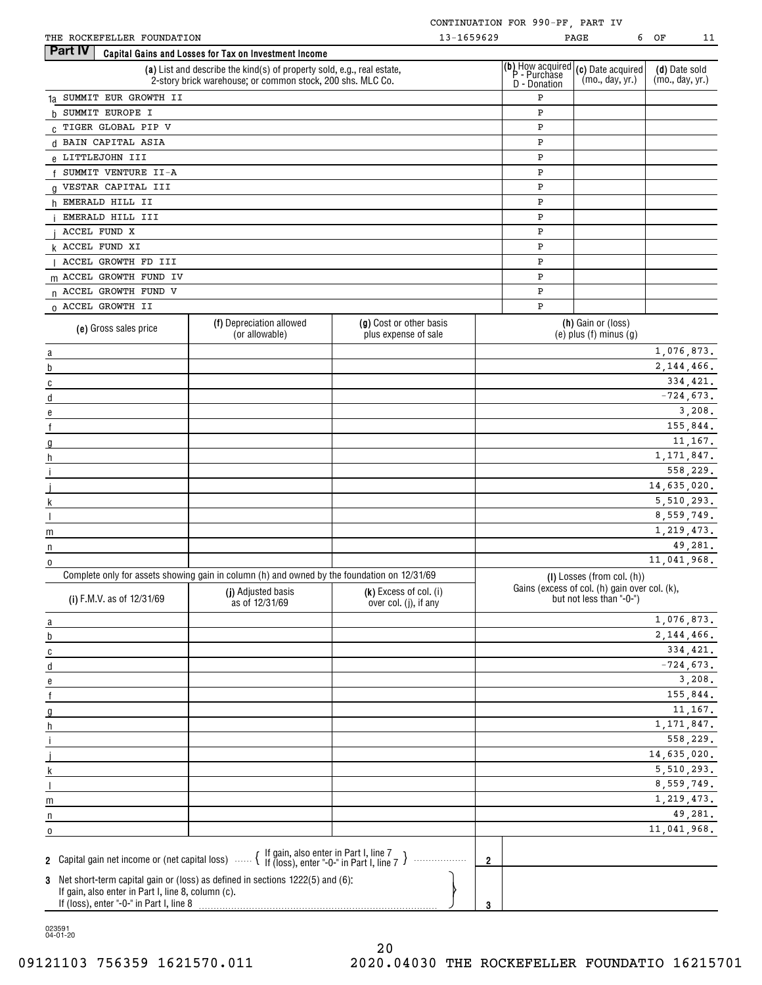| HE ROCKEFELLER FOUNDATION |  |
|---------------------------|--|

| 6<br>w | ΩF |  |
|--------|----|--|

| THE ROCKEFELLER FOUNDATION                                                                                                                                                        |                                                                                                                                      |                                                 | 13-1659629     |              | 6<br>PAGE                                                                                                                                                                        | ΟF<br>11                         |
|-----------------------------------------------------------------------------------------------------------------------------------------------------------------------------------|--------------------------------------------------------------------------------------------------------------------------------------|-------------------------------------------------|----------------|--------------|----------------------------------------------------------------------------------------------------------------------------------------------------------------------------------|----------------------------------|
| <b>Part IV</b>                                                                                                                                                                    | Capital Gains and Losses for Tax on Investment Income                                                                                |                                                 |                |              |                                                                                                                                                                                  |                                  |
|                                                                                                                                                                                   | (a) List and describe the kind(s) of property sold, e.g., real estate,<br>2-story brick warehouse; or common stock, 200 shs. MLC Co. |                                                 |                | D - Donation | (b) How acquired $(c)$ Date acquired<br>P - Purchase $\begin{bmatrix} (c) & \text{Date} & \text{acquired} \\ \text{C} & \text{day} & \text{yr} \end{bmatrix}$<br>(mo., day, yr.) | (d) Date sold<br>(mo., day, yr.) |
| 1a SUMMIT EUR GROWTH II                                                                                                                                                           |                                                                                                                                      |                                                 |                | P            |                                                                                                                                                                                  |                                  |
| b SUMMIT EUROPE I                                                                                                                                                                 |                                                                                                                                      |                                                 |                | Ρ            |                                                                                                                                                                                  |                                  |
| C TIGER GLOBAL PIP V                                                                                                                                                              |                                                                                                                                      |                                                 |                | P            |                                                                                                                                                                                  |                                  |
| d BAIN CAPITAL ASIA                                                                                                                                                               |                                                                                                                                      |                                                 |                | Ρ            |                                                                                                                                                                                  |                                  |
| e LITTLEJOHN III                                                                                                                                                                  |                                                                                                                                      |                                                 |                | Ρ            |                                                                                                                                                                                  |                                  |
| f SUMMIT VENTURE II-A                                                                                                                                                             |                                                                                                                                      |                                                 |                | P            |                                                                                                                                                                                  |                                  |
| g VESTAR CAPITAL III                                                                                                                                                              |                                                                                                                                      |                                                 |                | Ρ            |                                                                                                                                                                                  |                                  |
| h EMERALD HILL II                                                                                                                                                                 |                                                                                                                                      |                                                 |                | Ρ            |                                                                                                                                                                                  |                                  |
| EMERALD HILL III                                                                                                                                                                  |                                                                                                                                      |                                                 |                | P            |                                                                                                                                                                                  |                                  |
| ACCEL FUND X                                                                                                                                                                      |                                                                                                                                      |                                                 |                | P            |                                                                                                                                                                                  |                                  |
| <b>k ACCEL FUND XI</b>                                                                                                                                                            |                                                                                                                                      |                                                 |                | Ρ            |                                                                                                                                                                                  |                                  |
| ACCEL GROWTH FD III                                                                                                                                                               |                                                                                                                                      |                                                 |                |              |                                                                                                                                                                                  |                                  |
|                                                                                                                                                                                   |                                                                                                                                      |                                                 |                | Ρ            |                                                                                                                                                                                  |                                  |
| m ACCEL GROWTH FUND IV                                                                                                                                                            |                                                                                                                                      |                                                 |                | P            |                                                                                                                                                                                  |                                  |
| n ACCEL GROWTH FUND V                                                                                                                                                             |                                                                                                                                      |                                                 |                | P            |                                                                                                                                                                                  |                                  |
| 0 ACCEL GROWTH II                                                                                                                                                                 |                                                                                                                                      |                                                 |                | Ρ            |                                                                                                                                                                                  |                                  |
| (e) Gross sales price                                                                                                                                                             | (f) Depreciation allowed<br>(or allowable)                                                                                           | (g) Cost or other basis<br>plus expense of sale |                |              | (h) Gain or (loss)<br>(e) plus $(f)$ minus $(g)$                                                                                                                                 |                                  |
| $\underline{a}$                                                                                                                                                                   |                                                                                                                                      |                                                 |                |              |                                                                                                                                                                                  | 1,076,873.                       |
| $\overline{b}$                                                                                                                                                                    |                                                                                                                                      |                                                 |                |              |                                                                                                                                                                                  | 2, 144, 466.                     |
| $\overline{c}$                                                                                                                                                                    |                                                                                                                                      |                                                 |                |              |                                                                                                                                                                                  | 334, 421.                        |
| d                                                                                                                                                                                 |                                                                                                                                      |                                                 |                |              |                                                                                                                                                                                  | $-724,673.$                      |
| $\mathbf{e}$                                                                                                                                                                      |                                                                                                                                      |                                                 |                |              |                                                                                                                                                                                  | 3,208.                           |
| f                                                                                                                                                                                 |                                                                                                                                      |                                                 |                |              |                                                                                                                                                                                  | 155,844.                         |
| $\mathfrak{g}$                                                                                                                                                                    |                                                                                                                                      |                                                 |                |              |                                                                                                                                                                                  | 11,167.                          |
| h                                                                                                                                                                                 |                                                                                                                                      |                                                 |                |              |                                                                                                                                                                                  | 1, 171, 847.                     |
|                                                                                                                                                                                   |                                                                                                                                      |                                                 |                |              |                                                                                                                                                                                  | 558,229.                         |
|                                                                                                                                                                                   |                                                                                                                                      |                                                 |                |              |                                                                                                                                                                                  | 14,635,020.                      |
|                                                                                                                                                                                   |                                                                                                                                      |                                                 |                |              |                                                                                                                                                                                  | 5, 510, 293.                     |
|                                                                                                                                                                                   |                                                                                                                                      |                                                 |                |              |                                                                                                                                                                                  | 8,559,749.                       |
| m                                                                                                                                                                                 |                                                                                                                                      |                                                 |                |              |                                                                                                                                                                                  | 1,219,473.                       |
| n                                                                                                                                                                                 |                                                                                                                                      |                                                 |                |              |                                                                                                                                                                                  | 49.281.                          |
| 0                                                                                                                                                                                 |                                                                                                                                      |                                                 |                |              |                                                                                                                                                                                  | 11,041,968.                      |
|                                                                                                                                                                                   | Complete only for assets showing gain in column (h) and owned by the foundation on 12/31/69                                          |                                                 |                |              | (I) Losses (from col. (h))                                                                                                                                                       |                                  |
| (i) F.M.V. as of 12/31/69                                                                                                                                                         | (j) Adjusted basis<br>as of 12/31/69                                                                                                 | (k) Excess of col. (i)<br>over col. (j), if any |                |              | Gains (excess of col. (h) gain over col. (k),<br>but not less than "-0-")                                                                                                        |                                  |
| $\overline{a}$                                                                                                                                                                    |                                                                                                                                      |                                                 |                |              |                                                                                                                                                                                  | 1,076,873.                       |
| b                                                                                                                                                                                 |                                                                                                                                      |                                                 |                |              |                                                                                                                                                                                  | 2, 144, 466.                     |
| $\overline{c}$                                                                                                                                                                    |                                                                                                                                      |                                                 |                |              |                                                                                                                                                                                  | 334,421.                         |
| $\underline{d}$                                                                                                                                                                   |                                                                                                                                      |                                                 |                |              |                                                                                                                                                                                  | $-724,673.$                      |
| $\mathbf{e}$                                                                                                                                                                      |                                                                                                                                      |                                                 |                |              |                                                                                                                                                                                  | 3,208.                           |
|                                                                                                                                                                                   |                                                                                                                                      |                                                 |                |              |                                                                                                                                                                                  | 155,844.                         |
| $\mathfrak{g}$                                                                                                                                                                    |                                                                                                                                      |                                                 |                |              |                                                                                                                                                                                  | 11,167.                          |
| h                                                                                                                                                                                 |                                                                                                                                      |                                                 |                |              |                                                                                                                                                                                  | 1, 171, 847.                     |
|                                                                                                                                                                                   |                                                                                                                                      |                                                 |                |              |                                                                                                                                                                                  | 558,229.                         |
|                                                                                                                                                                                   |                                                                                                                                      |                                                 |                |              |                                                                                                                                                                                  | 14,635,020.                      |
|                                                                                                                                                                                   |                                                                                                                                      |                                                 |                |              |                                                                                                                                                                                  | 5, 510, 293.                     |
|                                                                                                                                                                                   |                                                                                                                                      |                                                 |                |              |                                                                                                                                                                                  | 8,559,749.                       |
| m                                                                                                                                                                                 |                                                                                                                                      |                                                 |                |              |                                                                                                                                                                                  | 1,219,473.                       |
| n                                                                                                                                                                                 |                                                                                                                                      |                                                 |                |              |                                                                                                                                                                                  | 49,281.                          |
| 0                                                                                                                                                                                 |                                                                                                                                      |                                                 |                |              |                                                                                                                                                                                  | 11,041,968.                      |
|                                                                                                                                                                                   |                                                                                                                                      |                                                 |                |              |                                                                                                                                                                                  |                                  |
| 2 Capital gain net income or (net capital loss)  { If gain, also enter in Part I, line 7 }                                                                                        |                                                                                                                                      |                                                 | $\overline{2}$ |              |                                                                                                                                                                                  |                                  |
| 3 Net short-term capital gain or (loss) as defined in sections 1222(5) and (6):<br>If gain, also enter in Part I, line 8, column (c).<br>If (loss), enter "-0-" in Part I, line 8 |                                                                                                                                      |                                                 | 3              |              |                                                                                                                                                                                  |                                  |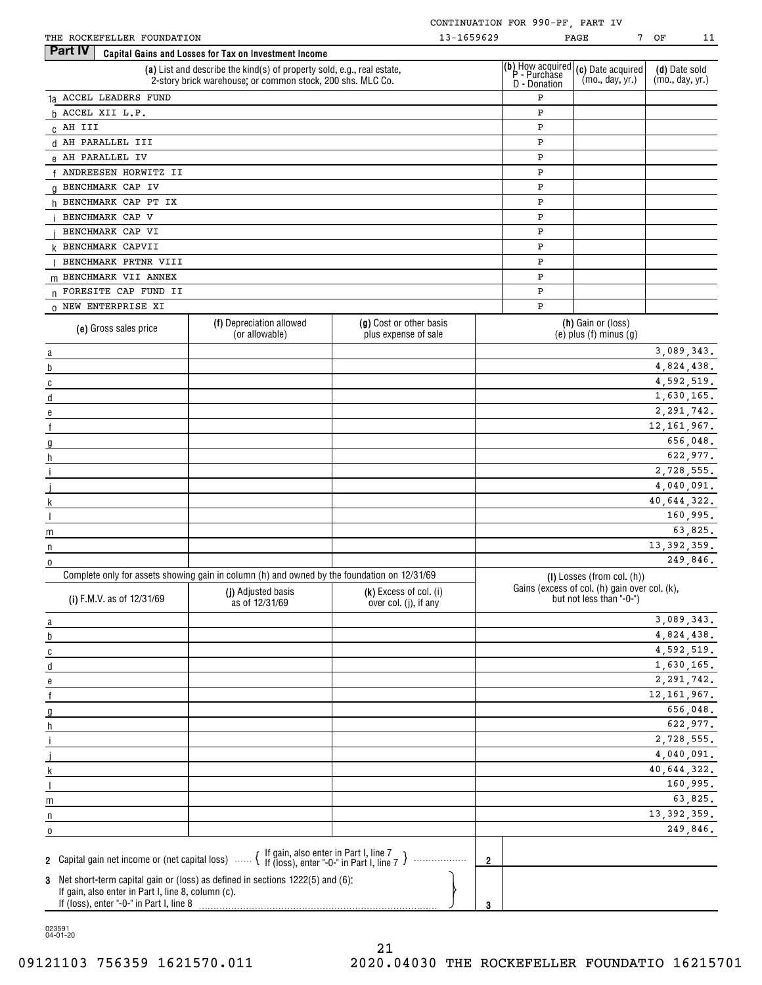| THE ROCKEFELLER FOUNDATION |  |
|----------------------------|--|
|                            |  |

| × | ΩF |  |
|---|----|--|

| THE ROCKEFELLER FOUNDATION                                                                     |                                                                                                                                      |                                                 | 13-1659629     |              | 7<br>PAGE                                                                                                    | ОF<br>11                         |
|------------------------------------------------------------------------------------------------|--------------------------------------------------------------------------------------------------------------------------------------|-------------------------------------------------|----------------|--------------|--------------------------------------------------------------------------------------------------------------|----------------------------------|
| <b>Part IV</b>                                                                                 | Capital Gains and Losses for Tax on Investment Income                                                                                |                                                 |                |              |                                                                                                              |                                  |
|                                                                                                | (a) List and describe the kind(s) of property sold, e.g., real estate,<br>2-story brick warehouse; or common stock, 200 shs. MLC Co. |                                                 |                | D - Donation | (b) How acquired $(c)$ Date acquired<br>P - Purchase $\binom{m}{m}$ day yr)<br>(mo., day, yr.)               | (d) Date sold<br>(mo., day, yr.) |
| 1a ACCEL LEADERS FUND                                                                          |                                                                                                                                      |                                                 |                | Ρ            |                                                                                                              |                                  |
| h ACCEL XII L.P.                                                                               |                                                                                                                                      |                                                 |                | Ρ            |                                                                                                              |                                  |
| C AH III                                                                                       |                                                                                                                                      |                                                 |                | Ρ            |                                                                                                              |                                  |
| d AH PARALLEL III                                                                              |                                                                                                                                      |                                                 |                | Ρ            |                                                                                                              |                                  |
| e AH PARALLEL IV                                                                               |                                                                                                                                      |                                                 |                | Ρ            |                                                                                                              |                                  |
| f ANDREESEN HORWITZ II                                                                         |                                                                                                                                      |                                                 |                | Ρ            |                                                                                                              |                                  |
| g BENCHMARK CAP IV                                                                             |                                                                                                                                      |                                                 |                | Ρ            |                                                                                                              |                                  |
| h BENCHMARK CAP PT IX                                                                          |                                                                                                                                      |                                                 |                | Ρ            |                                                                                                              |                                  |
| BENCHMARK CAP V                                                                                |                                                                                                                                      |                                                 |                | Ρ            |                                                                                                              |                                  |
| BENCHMARK CAP VI                                                                               |                                                                                                                                      |                                                 |                | Ρ            |                                                                                                              |                                  |
| <b>k BENCHMARK CAPVII</b>                                                                      |                                                                                                                                      |                                                 |                | Ρ            |                                                                                                              |                                  |
| BENCHMARK PRTNR VIII                                                                           |                                                                                                                                      |                                                 |                | Ρ            |                                                                                                              |                                  |
| m BENCHMARK VII ANNEX                                                                          |                                                                                                                                      |                                                 |                | Ρ            |                                                                                                              |                                  |
| n FORESITE CAP FUND II                                                                         |                                                                                                                                      |                                                 |                | Ρ            |                                                                                                              |                                  |
| 0 NEW ENTERPRISE XI                                                                            |                                                                                                                                      |                                                 |                | Ρ            |                                                                                                              |                                  |
|                                                                                                | (f) Depreciation allowed                                                                                                             | (g) Cost or other basis                         |                |              | (h) Gain or (loss)                                                                                           |                                  |
| (e) Gross sales price                                                                          | (or allowable)                                                                                                                       | plus expense of sale                            |                |              | $(e)$ plus $(f)$ minus $(g)$                                                                                 |                                  |
| $\overline{\mathbf{a}}$                                                                        |                                                                                                                                      |                                                 |                |              |                                                                                                              | 3,089,343.                       |
| $\overline{b}$                                                                                 |                                                                                                                                      |                                                 |                |              |                                                                                                              | 4,824,438.                       |
| $\overline{c}$                                                                                 |                                                                                                                                      |                                                 |                |              |                                                                                                              | 4,592,519.                       |
| d                                                                                              |                                                                                                                                      |                                                 |                |              |                                                                                                              | 1,630,165.                       |
| e                                                                                              |                                                                                                                                      |                                                 |                |              |                                                                                                              | 2, 291, 742.                     |
| $\mathsf{f}$                                                                                   |                                                                                                                                      |                                                 |                |              |                                                                                                              | 12, 161, 967.                    |
| $\mathfrak{g}$                                                                                 |                                                                                                                                      |                                                 |                |              |                                                                                                              | 656,048.                         |
| h                                                                                              |                                                                                                                                      |                                                 |                |              |                                                                                                              | 622,977.                         |
|                                                                                                |                                                                                                                                      |                                                 |                |              |                                                                                                              | 2,728,555.                       |
|                                                                                                |                                                                                                                                      |                                                 |                |              |                                                                                                              | 4,040,091.                       |
|                                                                                                |                                                                                                                                      |                                                 |                |              |                                                                                                              | 40,644,322.                      |
| $\overline{\phantom{a}}$                                                                       |                                                                                                                                      |                                                 |                |              |                                                                                                              | 160,995.                         |
| m                                                                                              |                                                                                                                                      |                                                 |                |              |                                                                                                              | 63,825.                          |
| n                                                                                              |                                                                                                                                      |                                                 |                |              |                                                                                                              | 13, 392, 359.                    |
| $\overline{0}$                                                                                 |                                                                                                                                      |                                                 |                |              |                                                                                                              | 249,846.                         |
| (i) F.M.V. as of 12/31/69                                                                      | Complete only for assets showing gain in column (h) and owned by the foundation on 12/31/69<br>(j) Adjusted basis<br>as of 12/31/69  | (k) Excess of col. (i)<br>over col. (j), if any |                |              | $(I)$ Losses (from col. $(h)$ )<br>Gains (excess of col. (h) gain over col. (k),<br>but not less than "-0-") |                                  |
| $\overline{\mathbf{a}}$                                                                        |                                                                                                                                      |                                                 |                |              |                                                                                                              | 3,089,343.                       |
| $\underline{\mathfrak{b}}$                                                                     |                                                                                                                                      |                                                 |                |              |                                                                                                              | 4,824,438.                       |
| $\overline{c}$                                                                                 |                                                                                                                                      |                                                 |                |              |                                                                                                              | 4,592,519.                       |
| $\underline{\mathsf{d}}$                                                                       |                                                                                                                                      |                                                 |                |              |                                                                                                              | 1,630,165.                       |
| $\mathbf{e}$                                                                                   |                                                                                                                                      |                                                 |                |              |                                                                                                              | 2, 291, 742.                     |
| $\overline{f}$                                                                                 |                                                                                                                                      |                                                 |                |              |                                                                                                              | 12, 161, 967.                    |
| $\mathfrak{g}$                                                                                 |                                                                                                                                      |                                                 |                |              |                                                                                                              | 656,048.                         |
| h                                                                                              |                                                                                                                                      |                                                 |                |              |                                                                                                              | 622,977.                         |
|                                                                                                |                                                                                                                                      |                                                 |                |              |                                                                                                              | 2,728,555.                       |
|                                                                                                |                                                                                                                                      |                                                 |                |              |                                                                                                              | 4,040,091.                       |
|                                                                                                |                                                                                                                                      |                                                 |                |              |                                                                                                              | 40,644,322.                      |
|                                                                                                |                                                                                                                                      |                                                 |                |              |                                                                                                              | 160,995.                         |
| m                                                                                              |                                                                                                                                      |                                                 |                |              |                                                                                                              | 63,825.                          |
| n<br>the control of the control of the control of                                              |                                                                                                                                      |                                                 |                |              |                                                                                                              | 13, 392, 359.                    |
| 0                                                                                              |                                                                                                                                      |                                                 |                |              |                                                                                                              | 249,846.                         |
|                                                                                                |                                                                                                                                      |                                                 |                |              |                                                                                                              |                                  |
|                                                                                                | 2 Capital gain net income or (net capital loss) $\ldots$ $\left\{\right.}$ If gain, also enter in Part I, line 7 $\right\}$          |                                                 | $\overline{2}$ |              |                                                                                                              |                                  |
| If gain, also enter in Part I, line 8, column (c).<br>If (loss), enter "-0-" in Part I, line 8 | 3 Net short-term capital gain or (loss) as defined in sections 1222(5) and (6):                                                      |                                                 |                |              |                                                                                                              |                                  |
|                                                                                                |                                                                                                                                      |                                                 | 3              |              |                                                                                                              |                                  |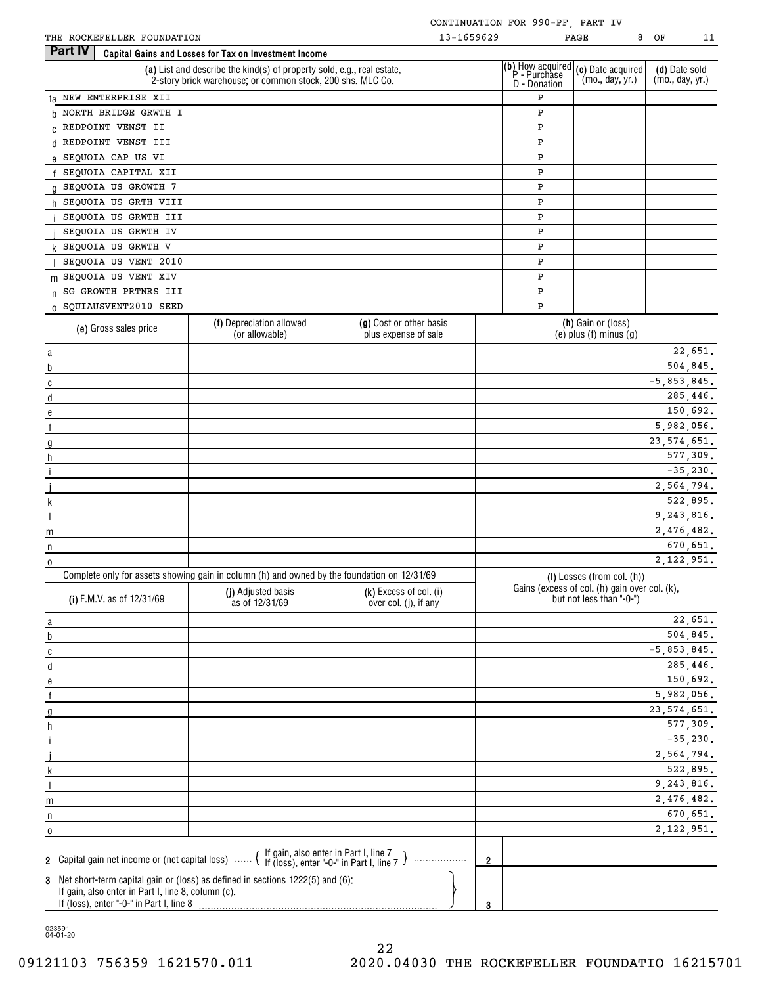| THE ROCKEFELLER FOUNDATION                                                                     |                                                                                                                                                  | 13-1659629                                      |                |                                                                | 8<br>PAGE                                                                 | ΟF<br>11                         |
|------------------------------------------------------------------------------------------------|--------------------------------------------------------------------------------------------------------------------------------------------------|-------------------------------------------------|----------------|----------------------------------------------------------------|---------------------------------------------------------------------------|----------------------------------|
| Part IV                                                                                        | Capital Gains and Losses for Tax on Investment Income                                                                                            |                                                 |                |                                                                |                                                                           |                                  |
|                                                                                                | (a) List and describe the kind(s) of property sold, e.g., real estate,<br>2-story brick warehouse; or common stock, 200 shs. MLC Co.             |                                                 |                | ( <b>b</b> ) How acquired<br>     P - Purchase<br>D - Donation | (c) Date acquired<br>(mo., day, yr.)                                      | (d) Date sold<br>(mo., day, yr.) |
| 1a NEW ENTERPRISE XII                                                                          |                                                                                                                                                  |                                                 |                | P                                                              |                                                                           |                                  |
| h NORTH BRIDGE GRWTH I                                                                         |                                                                                                                                                  |                                                 |                | P                                                              |                                                                           |                                  |
| C REDPOINT VENST II                                                                            |                                                                                                                                                  |                                                 |                | P                                                              |                                                                           |                                  |
| d REDPOINT VENST III                                                                           |                                                                                                                                                  |                                                 |                | P                                                              |                                                                           |                                  |
| e SEQUOIA CAP US VI                                                                            |                                                                                                                                                  |                                                 |                | P                                                              |                                                                           |                                  |
| SEQUOIA CAPITAL XII                                                                            |                                                                                                                                                  |                                                 |                | P                                                              |                                                                           |                                  |
|                                                                                                |                                                                                                                                                  |                                                 |                |                                                                |                                                                           |                                  |
| g SEQUOIA US GROWTH 7                                                                          |                                                                                                                                                  |                                                 |                | P                                                              |                                                                           |                                  |
| h SEQUOIA US GRTH VIII                                                                         |                                                                                                                                                  |                                                 |                | ${\tt P}$                                                      |                                                                           |                                  |
| SEQUOIA US GRWTH III                                                                           |                                                                                                                                                  |                                                 |                | P                                                              |                                                                           |                                  |
| SEQUOIA US GRWTH IV                                                                            |                                                                                                                                                  |                                                 |                | P                                                              |                                                                           |                                  |
| k SEQUOIA US GRWTH V                                                                           |                                                                                                                                                  |                                                 |                | P                                                              |                                                                           |                                  |
| SEQUOIA US VENT 2010                                                                           |                                                                                                                                                  |                                                 |                | P                                                              |                                                                           |                                  |
| m SEQUOIA US VENT XIV                                                                          |                                                                                                                                                  |                                                 |                | P                                                              |                                                                           |                                  |
| n SG GROWTH PRTNRS III                                                                         |                                                                                                                                                  |                                                 |                | P                                                              |                                                                           |                                  |
| 0 SQUIAUSVENT2010 SEED                                                                         |                                                                                                                                                  |                                                 |                | $\mathbf P$                                                    |                                                                           |                                  |
| (e) Gross sales price                                                                          | (f) Depreciation allowed<br>(or allowable)                                                                                                       | (g) Cost or other basis<br>plus expense of sale |                |                                                                | (h) Gain or (loss)<br>$(e)$ plus $(f)$ minus $(g)$                        |                                  |
| a                                                                                              |                                                                                                                                                  |                                                 |                |                                                                |                                                                           | 22,651.                          |
| b                                                                                              |                                                                                                                                                  |                                                 |                |                                                                |                                                                           | 504,845.                         |
| C                                                                                              |                                                                                                                                                  |                                                 |                |                                                                |                                                                           | $-5,853,845.$                    |
| d                                                                                              |                                                                                                                                                  |                                                 |                |                                                                |                                                                           | 285,446.                         |
| е                                                                                              |                                                                                                                                                  |                                                 |                |                                                                |                                                                           | 150,692.                         |
| $\mathsf f$                                                                                    |                                                                                                                                                  |                                                 |                |                                                                |                                                                           | 5,982,056.                       |
| g                                                                                              |                                                                                                                                                  |                                                 |                |                                                                |                                                                           | 23, 574, 651.                    |
| h                                                                                              |                                                                                                                                                  |                                                 |                |                                                                |                                                                           | 577,309.                         |
|                                                                                                |                                                                                                                                                  |                                                 |                |                                                                |                                                                           | $-35,230.$                       |
|                                                                                                |                                                                                                                                                  |                                                 |                |                                                                |                                                                           | 2,564,794.                       |
| k                                                                                              |                                                                                                                                                  |                                                 |                |                                                                |                                                                           | 522,895.                         |
|                                                                                                |                                                                                                                                                  |                                                 |                |                                                                |                                                                           | 9,243,816.                       |
| m                                                                                              |                                                                                                                                                  |                                                 |                |                                                                |                                                                           | 2,476,482.                       |
| n                                                                                              |                                                                                                                                                  |                                                 |                |                                                                |                                                                           | 670,651.                         |
| 0                                                                                              |                                                                                                                                                  |                                                 |                |                                                                |                                                                           | 2, 122, 951.                     |
|                                                                                                | Complete only for assets showing gain in column (h) and owned by the foundation on 12/31/69                                                      |                                                 |                |                                                                | (I) Losses (from col. (h))                                                |                                  |
| (i) F.M.V. as of 12/31/69                                                                      | (j) Adjusted basis<br>as of 12/31/69                                                                                                             | (k) Excess of col. (i)<br>over col. (j), if any |                |                                                                | Gains (excess of col. (h) gain over col. (k),<br>but not less than "-0-") |                                  |
| $\overline{a}$                                                                                 |                                                                                                                                                  |                                                 |                |                                                                |                                                                           | 22,651.                          |
| b                                                                                              |                                                                                                                                                  |                                                 |                |                                                                |                                                                           | 504,845.                         |
| $\overline{c}$                                                                                 |                                                                                                                                                  |                                                 |                |                                                                |                                                                           | $-5,853,845.$                    |
| d                                                                                              |                                                                                                                                                  |                                                 |                |                                                                |                                                                           | 285,446.                         |
| e                                                                                              |                                                                                                                                                  |                                                 |                |                                                                |                                                                           | 150,692.                         |
| f                                                                                              |                                                                                                                                                  |                                                 |                |                                                                |                                                                           | 5,982,056.                       |
| $\mathfrak{g}$                                                                                 |                                                                                                                                                  |                                                 |                |                                                                |                                                                           | 23, 574, 651.                    |
| h                                                                                              |                                                                                                                                                  |                                                 |                |                                                                |                                                                           | 577,309.                         |
| j.                                                                                             |                                                                                                                                                  |                                                 |                |                                                                |                                                                           | $-35,230.$                       |
|                                                                                                |                                                                                                                                                  |                                                 |                |                                                                |                                                                           | 2,564,794.                       |
| k                                                                                              |                                                                                                                                                  |                                                 |                |                                                                |                                                                           | 522,895.                         |
|                                                                                                |                                                                                                                                                  |                                                 |                |                                                                |                                                                           | 9,243,816.                       |
| m                                                                                              |                                                                                                                                                  |                                                 |                |                                                                |                                                                           | 2,476,482.                       |
| n                                                                                              |                                                                                                                                                  |                                                 |                |                                                                |                                                                           | 670,651.                         |
| 0                                                                                              |                                                                                                                                                  |                                                 |                |                                                                |                                                                           | 2, 122, 951.                     |
|                                                                                                | 2 Capital gain net income or (net capital loss) $\ldots$ $\left\{ \begin{array}{l}$ If gain, also enter in Part I, line 7 $\end{array} \right\}$ | .                                               | $\overline{2}$ |                                                                |                                                                           |                                  |
| If gain, also enter in Part I, line 8, column (c).<br>If (loss), enter "-0-" in Part I, line 8 | 3 Net short-term capital gain or (loss) as defined in sections 1222(5) and (6):                                                                  |                                                 |                |                                                                |                                                                           |                                  |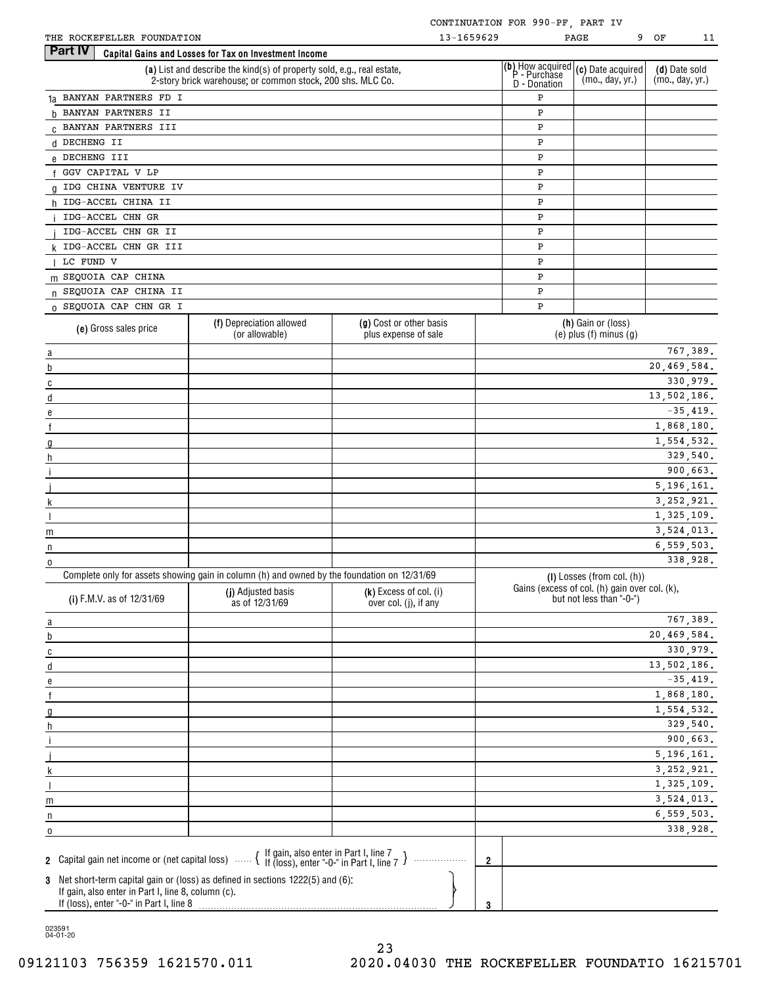| THE ROCKEFELLER FOUNDATION                         |                                                                                                                                                | 13-1659629                                      |                |                                                           | PAGE                                                                        | 9 OF<br>11                       |
|----------------------------------------------------|------------------------------------------------------------------------------------------------------------------------------------------------|-------------------------------------------------|----------------|-----------------------------------------------------------|-----------------------------------------------------------------------------|----------------------------------|
| Part IV                                            | Capital Gains and Losses for Tax on Investment Income                                                                                          |                                                 |                |                                                           |                                                                             |                                  |
|                                                    | (a) List and describe the kind(s) of property sold, e.g., real estate,<br>2-story brick warehouse; or common stock, 200 shs. MLC Co.           |                                                 |                | (b) How acquired<br>  P - Purchase<br><b>D</b> - Donation | (c) Date acquired<br>(mo., day, yr.)                                        | (d) Date sold<br>(mo., day, yr.) |
| 1a BANYAN PARTNERS FD I                            |                                                                                                                                                |                                                 |                | Ρ                                                         |                                                                             |                                  |
| b BANYAN PARTNERS II                               |                                                                                                                                                |                                                 |                | P                                                         |                                                                             |                                  |
| C BANYAN PARTNERS III                              |                                                                                                                                                |                                                 |                | P                                                         |                                                                             |                                  |
| d DECHENG II                                       |                                                                                                                                                |                                                 |                | P                                                         |                                                                             |                                  |
| e DECHENG III                                      |                                                                                                                                                |                                                 |                | P                                                         |                                                                             |                                  |
| GGV CAPITAL V LP                                   |                                                                                                                                                |                                                 |                | P                                                         |                                                                             |                                  |
| IDG CHINA VENTURE IV                               |                                                                                                                                                |                                                 |                | P                                                         |                                                                             |                                  |
| IDG-ACCEL CHINA II<br>h.                           |                                                                                                                                                |                                                 |                | P                                                         |                                                                             |                                  |
| IDG-ACCEL CHN GR                                   |                                                                                                                                                |                                                 |                | P                                                         |                                                                             |                                  |
| IDG-ACCEL CHN GR II                                |                                                                                                                                                |                                                 |                | P                                                         |                                                                             |                                  |
| k IDG-ACCEL CHN GR III                             |                                                                                                                                                |                                                 |                | P                                                         |                                                                             |                                  |
| LC FUND V                                          |                                                                                                                                                |                                                 |                | P                                                         |                                                                             |                                  |
| m SEQUOIA CAP CHINA                                |                                                                                                                                                |                                                 |                | P                                                         |                                                                             |                                  |
| n SEQUOIA CAP CHINA II                             |                                                                                                                                                |                                                 |                | P                                                         |                                                                             |                                  |
| 0 SEQUOIA CAP CHN GR I                             |                                                                                                                                                |                                                 |                | $\mathbf P$                                               |                                                                             |                                  |
|                                                    |                                                                                                                                                |                                                 |                |                                                           |                                                                             |                                  |
| (e) Gross sales price                              | (f) Depreciation allowed<br>(or allowable)                                                                                                     | (g) Cost or other basis<br>plus expense of sale |                |                                                           | (h) Gain or (loss)<br>$(e)$ plus $(f)$ minus $(g)$                          |                                  |
| a                                                  |                                                                                                                                                |                                                 |                |                                                           |                                                                             | 767,389.                         |
| b                                                  |                                                                                                                                                |                                                 |                |                                                           |                                                                             | 20,469,584.                      |
| C                                                  |                                                                                                                                                |                                                 |                |                                                           |                                                                             | 330,979.                         |
| d                                                  |                                                                                                                                                |                                                 |                |                                                           |                                                                             | 13,502,186.                      |
|                                                    |                                                                                                                                                |                                                 |                |                                                           |                                                                             | $-35,419.$                       |
|                                                    |                                                                                                                                                |                                                 |                |                                                           |                                                                             | 1,868,180.                       |
| the control of the control of the                  |                                                                                                                                                |                                                 |                |                                                           |                                                                             | 1,554,532.                       |
|                                                    |                                                                                                                                                |                                                 |                |                                                           |                                                                             | 329,540.                         |
|                                                    |                                                                                                                                                |                                                 |                |                                                           |                                                                             | 900,663.                         |
|                                                    |                                                                                                                                                |                                                 |                |                                                           |                                                                             | 5, 196, 161.                     |
|                                                    |                                                                                                                                                |                                                 |                |                                                           |                                                                             | 3, 252, 921.                     |
|                                                    |                                                                                                                                                |                                                 |                |                                                           |                                                                             | 1,325,109.                       |
| m<br>the control of the control of the control of  |                                                                                                                                                |                                                 |                |                                                           |                                                                             | 3,524,013.                       |
| n                                                  |                                                                                                                                                |                                                 |                |                                                           |                                                                             | 6,559,503.                       |
| 0                                                  |                                                                                                                                                |                                                 |                |                                                           |                                                                             | 338,928.                         |
|                                                    | Complete only for assets showing gain in column (h) and owned by the foundation on 12/31/69<br>(i) Adjusted basis                              | (k) Excess of col. (i)                          |                |                                                           | (I) Losses (from col. (h))<br>Gains (excess of col. (h) gain over col. (k), |                                  |
| (i) F.M.V. as of 12/31/69                          | as of 12/31/69                                                                                                                                 | over col. (j), if any                           |                |                                                           | but not less than "-0-")                                                    | 767,389.                         |
| a                                                  |                                                                                                                                                |                                                 |                |                                                           |                                                                             | 20,469,584.                      |
| b                                                  |                                                                                                                                                |                                                 |                |                                                           |                                                                             |                                  |
| C                                                  |                                                                                                                                                |                                                 |                |                                                           |                                                                             | 330,979.<br>13,502,186.          |
| d                                                  |                                                                                                                                                |                                                 |                |                                                           |                                                                             |                                  |
|                                                    |                                                                                                                                                |                                                 |                |                                                           |                                                                             | $-35,419.$                       |
|                                                    |                                                                                                                                                |                                                 |                |                                                           |                                                                             | 1,868,180.                       |
|                                                    |                                                                                                                                                |                                                 |                |                                                           |                                                                             | 1,554,532.                       |
|                                                    |                                                                                                                                                |                                                 |                |                                                           |                                                                             | 329,540.                         |
|                                                    |                                                                                                                                                |                                                 |                |                                                           |                                                                             | 900,663.                         |
|                                                    |                                                                                                                                                |                                                 |                |                                                           |                                                                             | 5,196,161.                       |
|                                                    |                                                                                                                                                |                                                 |                |                                                           |                                                                             | 3, 252, 921.                     |
|                                                    |                                                                                                                                                |                                                 |                |                                                           |                                                                             | 1,325,109.                       |
| m                                                  |                                                                                                                                                |                                                 |                |                                                           |                                                                             | 3,524,013.                       |
| n                                                  |                                                                                                                                                |                                                 |                |                                                           |                                                                             | 6, 559, 503.                     |
| 0                                                  |                                                                                                                                                |                                                 |                |                                                           |                                                                             | 338,928.                         |
|                                                    | 2 Capital gain net income or (net capital loss) $\cdots$ $\left\{\begin{array}{l}$ If gain, also enter in Part I, line 7 $\end{array}\right\}$ |                                                 | $\overline{2}$ |                                                           |                                                                             |                                  |
| If gain, also enter in Part I, line 8, column (c). | 3 Net short-term capital gain or (loss) as defined in sections 1222(5) and (6):                                                                |                                                 |                |                                                           |                                                                             |                                  |
| If (loss), enter "-0-" in Part I, line 8           |                                                                                                                                                |                                                 | 3              |                                                           |                                                                             |                                  |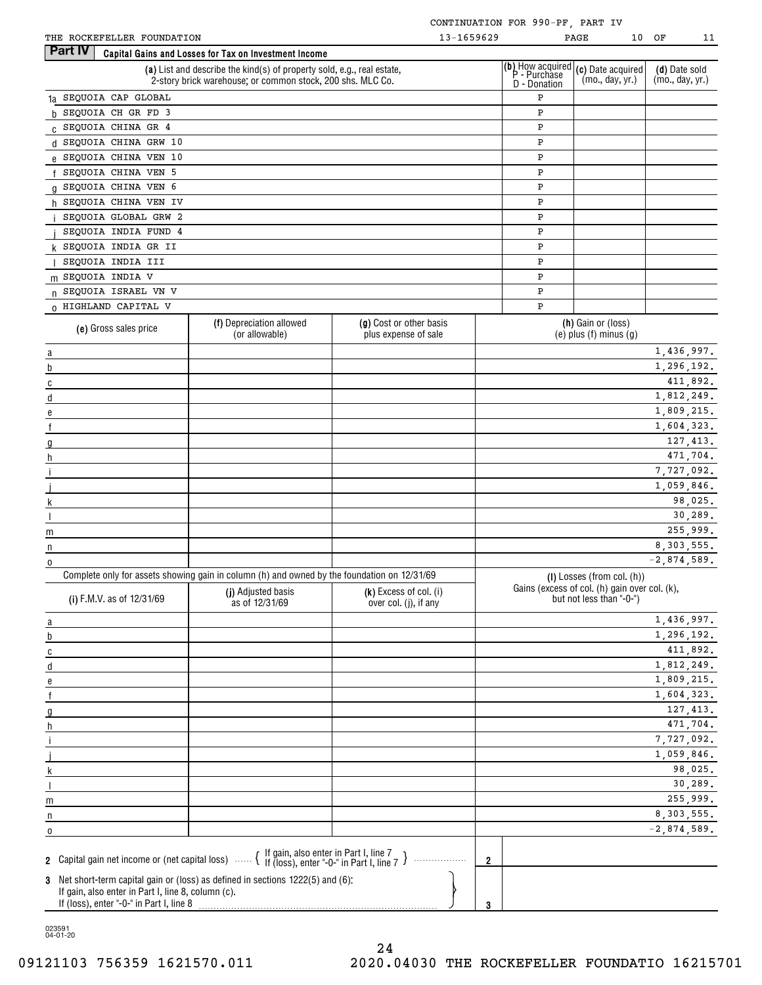| THE ROCKEFELLER FOUNDATION |  |
|----------------------------|--|
|                            |  |

| <b>Part IV</b><br>Capital Gains and Losses for Tax on Investment Income<br>(b) How acquired (c) Date acquired<br>(a) List and describe the kind(s) of property sold, e.g., real estate,<br>(d) Date sold<br>P - Purchase<br>(mo., day, yr.)<br>(mo., day, yr.)<br>2-story brick warehouse; or common stock, 200 shs. MLC Co.<br>D - Donation<br>1a SEQUOIA CAP GLOBAL<br>P<br>SEQUOIA CH GR FD 3<br>P<br>h.<br>C SEQUOIA CHINA GR 4<br>${\tt P}$<br>d SEQUOIA CHINA GRW 10<br>P<br>e SEQUOIA CHINA VEN 10<br>P<br>SEQUOIA CHINA VEN 5<br>P<br>g SEQUOIA CHINA VEN 6<br>${\tt P}$<br>h SEQUOIA CHINA VEN IV<br>P<br>SEQUOIA GLOBAL GRW 2<br>P<br>SEQUOIA INDIA FUND 4<br>${\tt P}$<br>k SEQUOIA INDIA GR II<br>P<br>SEQUOIA INDIA III<br>P<br>m SEQUOIA INDIA V<br>P<br>n SEQUOIA ISRAEL VN V<br>${\tt P}$<br>0 HIGHLAND CAPITAL V<br>P<br>(f) Depreciation allowed<br>(g) Cost or other basis<br>(h) Gain or (loss)<br>(e) Gross sales price<br>(or allowable)<br>$(e)$ plus $(f)$ minus $(g)$<br>plus expense of sale<br>1,436,997.<br>$\overline{a}$<br>1,296,192.<br>b<br>411,892.<br>C<br>1,812,249.<br>d<br>1,809,215.<br>e<br>1,604,323.<br>127, 413.<br>471,704.<br>h<br>7,727,092.<br>1,059,846.<br>98,025.<br>30,289.<br>255,999.<br>m<br>8, 303, 555.<br>n<br>$-2,874,589.$<br>0<br>Complete only for assets showing gain in column (h) and owned by the foundation on 12/31/69<br>(I) Losses (from col. (h))<br>Gains (excess of col. (h) gain over col. (k),<br>(j) Adjusted basis<br>(k) Excess of col. (i)<br>(i) F.M.V. as of 12/31/69<br>but not less than "-0-")<br>as of 12/31/69<br>over col. (j), if any<br>1,436,997.<br>$\overline{a}$<br>1,296,192.<br>b<br>411,892.<br>$\overline{c}$<br>1,812,249.<br>d<br>1,809,215.<br>е<br>1,604,323.<br>127, 413.<br>471,704.<br>h<br>7,727,092.<br>1,059,846.<br>98,025.<br>30,289.<br>255,999.<br>m<br>8, 303, 555.<br>n<br>$-2,874,589.$<br>0<br>2 Capital gain net income or (net capital loss) $\cdots$ $\left\{\right.}$ If gain, also enter in Part I, line 7 $\right\}$<br>$\overline{2}$<br>3 Net short-term capital gain or (loss) as defined in sections 1222(5) and (6):<br>If gain, also enter in Part I, line 8, column (c). | THE ROCKEFELLER FOUNDATION |  | 13-1659629 | PAGE<br>10 | ОF<br>11 |
|---------------------------------------------------------------------------------------------------------------------------------------------------------------------------------------------------------------------------------------------------------------------------------------------------------------------------------------------------------------------------------------------------------------------------------------------------------------------------------------------------------------------------------------------------------------------------------------------------------------------------------------------------------------------------------------------------------------------------------------------------------------------------------------------------------------------------------------------------------------------------------------------------------------------------------------------------------------------------------------------------------------------------------------------------------------------------------------------------------------------------------------------------------------------------------------------------------------------------------------------------------------------------------------------------------------------------------------------------------------------------------------------------------------------------------------------------------------------------------------------------------------------------------------------------------------------------------------------------------------------------------------------------------------------------------------------------------------------------------------------------------------------------------------------------------------------------------------------------------------------------------------------------------------------------------------------------------------------------------------------------------------------------------------------------------------------------------------------------------------------------------------------------------------------------------------------------------|----------------------------|--|------------|------------|----------|
|                                                                                                                                                                                                                                                                                                                                                                                                                                                                                                                                                                                                                                                                                                                                                                                                                                                                                                                                                                                                                                                                                                                                                                                                                                                                                                                                                                                                                                                                                                                                                                                                                                                                                                                                                                                                                                                                                                                                                                                                                                                                                                                                                                                                         |                            |  |            |            |          |
|                                                                                                                                                                                                                                                                                                                                                                                                                                                                                                                                                                                                                                                                                                                                                                                                                                                                                                                                                                                                                                                                                                                                                                                                                                                                                                                                                                                                                                                                                                                                                                                                                                                                                                                                                                                                                                                                                                                                                                                                                                                                                                                                                                                                         |                            |  |            |            |          |
|                                                                                                                                                                                                                                                                                                                                                                                                                                                                                                                                                                                                                                                                                                                                                                                                                                                                                                                                                                                                                                                                                                                                                                                                                                                                                                                                                                                                                                                                                                                                                                                                                                                                                                                                                                                                                                                                                                                                                                                                                                                                                                                                                                                                         |                            |  |            |            |          |
|                                                                                                                                                                                                                                                                                                                                                                                                                                                                                                                                                                                                                                                                                                                                                                                                                                                                                                                                                                                                                                                                                                                                                                                                                                                                                                                                                                                                                                                                                                                                                                                                                                                                                                                                                                                                                                                                                                                                                                                                                                                                                                                                                                                                         |                            |  |            |            |          |
|                                                                                                                                                                                                                                                                                                                                                                                                                                                                                                                                                                                                                                                                                                                                                                                                                                                                                                                                                                                                                                                                                                                                                                                                                                                                                                                                                                                                                                                                                                                                                                                                                                                                                                                                                                                                                                                                                                                                                                                                                                                                                                                                                                                                         |                            |  |            |            |          |
|                                                                                                                                                                                                                                                                                                                                                                                                                                                                                                                                                                                                                                                                                                                                                                                                                                                                                                                                                                                                                                                                                                                                                                                                                                                                                                                                                                                                                                                                                                                                                                                                                                                                                                                                                                                                                                                                                                                                                                                                                                                                                                                                                                                                         |                            |  |            |            |          |
|                                                                                                                                                                                                                                                                                                                                                                                                                                                                                                                                                                                                                                                                                                                                                                                                                                                                                                                                                                                                                                                                                                                                                                                                                                                                                                                                                                                                                                                                                                                                                                                                                                                                                                                                                                                                                                                                                                                                                                                                                                                                                                                                                                                                         |                            |  |            |            |          |
|                                                                                                                                                                                                                                                                                                                                                                                                                                                                                                                                                                                                                                                                                                                                                                                                                                                                                                                                                                                                                                                                                                                                                                                                                                                                                                                                                                                                                                                                                                                                                                                                                                                                                                                                                                                                                                                                                                                                                                                                                                                                                                                                                                                                         |                            |  |            |            |          |
|                                                                                                                                                                                                                                                                                                                                                                                                                                                                                                                                                                                                                                                                                                                                                                                                                                                                                                                                                                                                                                                                                                                                                                                                                                                                                                                                                                                                                                                                                                                                                                                                                                                                                                                                                                                                                                                                                                                                                                                                                                                                                                                                                                                                         |                            |  |            |            |          |
|                                                                                                                                                                                                                                                                                                                                                                                                                                                                                                                                                                                                                                                                                                                                                                                                                                                                                                                                                                                                                                                                                                                                                                                                                                                                                                                                                                                                                                                                                                                                                                                                                                                                                                                                                                                                                                                                                                                                                                                                                                                                                                                                                                                                         |                            |  |            |            |          |
|                                                                                                                                                                                                                                                                                                                                                                                                                                                                                                                                                                                                                                                                                                                                                                                                                                                                                                                                                                                                                                                                                                                                                                                                                                                                                                                                                                                                                                                                                                                                                                                                                                                                                                                                                                                                                                                                                                                                                                                                                                                                                                                                                                                                         |                            |  |            |            |          |
|                                                                                                                                                                                                                                                                                                                                                                                                                                                                                                                                                                                                                                                                                                                                                                                                                                                                                                                                                                                                                                                                                                                                                                                                                                                                                                                                                                                                                                                                                                                                                                                                                                                                                                                                                                                                                                                                                                                                                                                                                                                                                                                                                                                                         |                            |  |            |            |          |
|                                                                                                                                                                                                                                                                                                                                                                                                                                                                                                                                                                                                                                                                                                                                                                                                                                                                                                                                                                                                                                                                                                                                                                                                                                                                                                                                                                                                                                                                                                                                                                                                                                                                                                                                                                                                                                                                                                                                                                                                                                                                                                                                                                                                         |                            |  |            |            |          |
|                                                                                                                                                                                                                                                                                                                                                                                                                                                                                                                                                                                                                                                                                                                                                                                                                                                                                                                                                                                                                                                                                                                                                                                                                                                                                                                                                                                                                                                                                                                                                                                                                                                                                                                                                                                                                                                                                                                                                                                                                                                                                                                                                                                                         |                            |  |            |            |          |
|                                                                                                                                                                                                                                                                                                                                                                                                                                                                                                                                                                                                                                                                                                                                                                                                                                                                                                                                                                                                                                                                                                                                                                                                                                                                                                                                                                                                                                                                                                                                                                                                                                                                                                                                                                                                                                                                                                                                                                                                                                                                                                                                                                                                         |                            |  |            |            |          |
|                                                                                                                                                                                                                                                                                                                                                                                                                                                                                                                                                                                                                                                                                                                                                                                                                                                                                                                                                                                                                                                                                                                                                                                                                                                                                                                                                                                                                                                                                                                                                                                                                                                                                                                                                                                                                                                                                                                                                                                                                                                                                                                                                                                                         |                            |  |            |            |          |
|                                                                                                                                                                                                                                                                                                                                                                                                                                                                                                                                                                                                                                                                                                                                                                                                                                                                                                                                                                                                                                                                                                                                                                                                                                                                                                                                                                                                                                                                                                                                                                                                                                                                                                                                                                                                                                                                                                                                                                                                                                                                                                                                                                                                         |                            |  |            |            |          |
|                                                                                                                                                                                                                                                                                                                                                                                                                                                                                                                                                                                                                                                                                                                                                                                                                                                                                                                                                                                                                                                                                                                                                                                                                                                                                                                                                                                                                                                                                                                                                                                                                                                                                                                                                                                                                                                                                                                                                                                                                                                                                                                                                                                                         |                            |  |            |            |          |
|                                                                                                                                                                                                                                                                                                                                                                                                                                                                                                                                                                                                                                                                                                                                                                                                                                                                                                                                                                                                                                                                                                                                                                                                                                                                                                                                                                                                                                                                                                                                                                                                                                                                                                                                                                                                                                                                                                                                                                                                                                                                                                                                                                                                         |                            |  |            |            |          |
|                                                                                                                                                                                                                                                                                                                                                                                                                                                                                                                                                                                                                                                                                                                                                                                                                                                                                                                                                                                                                                                                                                                                                                                                                                                                                                                                                                                                                                                                                                                                                                                                                                                                                                                                                                                                                                                                                                                                                                                                                                                                                                                                                                                                         |                            |  |            |            |          |
|                                                                                                                                                                                                                                                                                                                                                                                                                                                                                                                                                                                                                                                                                                                                                                                                                                                                                                                                                                                                                                                                                                                                                                                                                                                                                                                                                                                                                                                                                                                                                                                                                                                                                                                                                                                                                                                                                                                                                                                                                                                                                                                                                                                                         |                            |  |            |            |          |
|                                                                                                                                                                                                                                                                                                                                                                                                                                                                                                                                                                                                                                                                                                                                                                                                                                                                                                                                                                                                                                                                                                                                                                                                                                                                                                                                                                                                                                                                                                                                                                                                                                                                                                                                                                                                                                                                                                                                                                                                                                                                                                                                                                                                         |                            |  |            |            |          |
|                                                                                                                                                                                                                                                                                                                                                                                                                                                                                                                                                                                                                                                                                                                                                                                                                                                                                                                                                                                                                                                                                                                                                                                                                                                                                                                                                                                                                                                                                                                                                                                                                                                                                                                                                                                                                                                                                                                                                                                                                                                                                                                                                                                                         |                            |  |            |            |          |
|                                                                                                                                                                                                                                                                                                                                                                                                                                                                                                                                                                                                                                                                                                                                                                                                                                                                                                                                                                                                                                                                                                                                                                                                                                                                                                                                                                                                                                                                                                                                                                                                                                                                                                                                                                                                                                                                                                                                                                                                                                                                                                                                                                                                         |                            |  |            |            |          |
|                                                                                                                                                                                                                                                                                                                                                                                                                                                                                                                                                                                                                                                                                                                                                                                                                                                                                                                                                                                                                                                                                                                                                                                                                                                                                                                                                                                                                                                                                                                                                                                                                                                                                                                                                                                                                                                                                                                                                                                                                                                                                                                                                                                                         |                            |  |            |            |          |
|                                                                                                                                                                                                                                                                                                                                                                                                                                                                                                                                                                                                                                                                                                                                                                                                                                                                                                                                                                                                                                                                                                                                                                                                                                                                                                                                                                                                                                                                                                                                                                                                                                                                                                                                                                                                                                                                                                                                                                                                                                                                                                                                                                                                         |                            |  |            |            |          |
|                                                                                                                                                                                                                                                                                                                                                                                                                                                                                                                                                                                                                                                                                                                                                                                                                                                                                                                                                                                                                                                                                                                                                                                                                                                                                                                                                                                                                                                                                                                                                                                                                                                                                                                                                                                                                                                                                                                                                                                                                                                                                                                                                                                                         |                            |  |            |            |          |
|                                                                                                                                                                                                                                                                                                                                                                                                                                                                                                                                                                                                                                                                                                                                                                                                                                                                                                                                                                                                                                                                                                                                                                                                                                                                                                                                                                                                                                                                                                                                                                                                                                                                                                                                                                                                                                                                                                                                                                                                                                                                                                                                                                                                         |                            |  |            |            |          |
|                                                                                                                                                                                                                                                                                                                                                                                                                                                                                                                                                                                                                                                                                                                                                                                                                                                                                                                                                                                                                                                                                                                                                                                                                                                                                                                                                                                                                                                                                                                                                                                                                                                                                                                                                                                                                                                                                                                                                                                                                                                                                                                                                                                                         |                            |  |            |            |          |
|                                                                                                                                                                                                                                                                                                                                                                                                                                                                                                                                                                                                                                                                                                                                                                                                                                                                                                                                                                                                                                                                                                                                                                                                                                                                                                                                                                                                                                                                                                                                                                                                                                                                                                                                                                                                                                                                                                                                                                                                                                                                                                                                                                                                         |                            |  |            |            |          |
|                                                                                                                                                                                                                                                                                                                                                                                                                                                                                                                                                                                                                                                                                                                                                                                                                                                                                                                                                                                                                                                                                                                                                                                                                                                                                                                                                                                                                                                                                                                                                                                                                                                                                                                                                                                                                                                                                                                                                                                                                                                                                                                                                                                                         |                            |  |            |            |          |
|                                                                                                                                                                                                                                                                                                                                                                                                                                                                                                                                                                                                                                                                                                                                                                                                                                                                                                                                                                                                                                                                                                                                                                                                                                                                                                                                                                                                                                                                                                                                                                                                                                                                                                                                                                                                                                                                                                                                                                                                                                                                                                                                                                                                         |                            |  |            |            |          |
|                                                                                                                                                                                                                                                                                                                                                                                                                                                                                                                                                                                                                                                                                                                                                                                                                                                                                                                                                                                                                                                                                                                                                                                                                                                                                                                                                                                                                                                                                                                                                                                                                                                                                                                                                                                                                                                                                                                                                                                                                                                                                                                                                                                                         |                            |  |            |            |          |
|                                                                                                                                                                                                                                                                                                                                                                                                                                                                                                                                                                                                                                                                                                                                                                                                                                                                                                                                                                                                                                                                                                                                                                                                                                                                                                                                                                                                                                                                                                                                                                                                                                                                                                                                                                                                                                                                                                                                                                                                                                                                                                                                                                                                         |                            |  |            |            |          |
|                                                                                                                                                                                                                                                                                                                                                                                                                                                                                                                                                                                                                                                                                                                                                                                                                                                                                                                                                                                                                                                                                                                                                                                                                                                                                                                                                                                                                                                                                                                                                                                                                                                                                                                                                                                                                                                                                                                                                                                                                                                                                                                                                                                                         |                            |  |            |            |          |
|                                                                                                                                                                                                                                                                                                                                                                                                                                                                                                                                                                                                                                                                                                                                                                                                                                                                                                                                                                                                                                                                                                                                                                                                                                                                                                                                                                                                                                                                                                                                                                                                                                                                                                                                                                                                                                                                                                                                                                                                                                                                                                                                                                                                         |                            |  |            |            |          |
|                                                                                                                                                                                                                                                                                                                                                                                                                                                                                                                                                                                                                                                                                                                                                                                                                                                                                                                                                                                                                                                                                                                                                                                                                                                                                                                                                                                                                                                                                                                                                                                                                                                                                                                                                                                                                                                                                                                                                                                                                                                                                                                                                                                                         |                            |  |            |            |          |
|                                                                                                                                                                                                                                                                                                                                                                                                                                                                                                                                                                                                                                                                                                                                                                                                                                                                                                                                                                                                                                                                                                                                                                                                                                                                                                                                                                                                                                                                                                                                                                                                                                                                                                                                                                                                                                                                                                                                                                                                                                                                                                                                                                                                         |                            |  |            |            |          |
|                                                                                                                                                                                                                                                                                                                                                                                                                                                                                                                                                                                                                                                                                                                                                                                                                                                                                                                                                                                                                                                                                                                                                                                                                                                                                                                                                                                                                                                                                                                                                                                                                                                                                                                                                                                                                                                                                                                                                                                                                                                                                                                                                                                                         |                            |  |            |            |          |
|                                                                                                                                                                                                                                                                                                                                                                                                                                                                                                                                                                                                                                                                                                                                                                                                                                                                                                                                                                                                                                                                                                                                                                                                                                                                                                                                                                                                                                                                                                                                                                                                                                                                                                                                                                                                                                                                                                                                                                                                                                                                                                                                                                                                         |                            |  |            |            |          |
|                                                                                                                                                                                                                                                                                                                                                                                                                                                                                                                                                                                                                                                                                                                                                                                                                                                                                                                                                                                                                                                                                                                                                                                                                                                                                                                                                                                                                                                                                                                                                                                                                                                                                                                                                                                                                                                                                                                                                                                                                                                                                                                                                                                                         |                            |  |            |            |          |
|                                                                                                                                                                                                                                                                                                                                                                                                                                                                                                                                                                                                                                                                                                                                                                                                                                                                                                                                                                                                                                                                                                                                                                                                                                                                                                                                                                                                                                                                                                                                                                                                                                                                                                                                                                                                                                                                                                                                                                                                                                                                                                                                                                                                         |                            |  |            |            |          |
|                                                                                                                                                                                                                                                                                                                                                                                                                                                                                                                                                                                                                                                                                                                                                                                                                                                                                                                                                                                                                                                                                                                                                                                                                                                                                                                                                                                                                                                                                                                                                                                                                                                                                                                                                                                                                                                                                                                                                                                                                                                                                                                                                                                                         |                            |  |            |            |          |
|                                                                                                                                                                                                                                                                                                                                                                                                                                                                                                                                                                                                                                                                                                                                                                                                                                                                                                                                                                                                                                                                                                                                                                                                                                                                                                                                                                                                                                                                                                                                                                                                                                                                                                                                                                                                                                                                                                                                                                                                                                                                                                                                                                                                         |                            |  |            |            |          |
|                                                                                                                                                                                                                                                                                                                                                                                                                                                                                                                                                                                                                                                                                                                                                                                                                                                                                                                                                                                                                                                                                                                                                                                                                                                                                                                                                                                                                                                                                                                                                                                                                                                                                                                                                                                                                                                                                                                                                                                                                                                                                                                                                                                                         |                            |  |            |            |          |
|                                                                                                                                                                                                                                                                                                                                                                                                                                                                                                                                                                                                                                                                                                                                                                                                                                                                                                                                                                                                                                                                                                                                                                                                                                                                                                                                                                                                                                                                                                                                                                                                                                                                                                                                                                                                                                                                                                                                                                                                                                                                                                                                                                                                         |                            |  |            |            |          |
|                                                                                                                                                                                                                                                                                                                                                                                                                                                                                                                                                                                                                                                                                                                                                                                                                                                                                                                                                                                                                                                                                                                                                                                                                                                                                                                                                                                                                                                                                                                                                                                                                                                                                                                                                                                                                                                                                                                                                                                                                                                                                                                                                                                                         |                            |  |            |            |          |
|                                                                                                                                                                                                                                                                                                                                                                                                                                                                                                                                                                                                                                                                                                                                                                                                                                                                                                                                                                                                                                                                                                                                                                                                                                                                                                                                                                                                                                                                                                                                                                                                                                                                                                                                                                                                                                                                                                                                                                                                                                                                                                                                                                                                         |                            |  |            |            |          |
|                                                                                                                                                                                                                                                                                                                                                                                                                                                                                                                                                                                                                                                                                                                                                                                                                                                                                                                                                                                                                                                                                                                                                                                                                                                                                                                                                                                                                                                                                                                                                                                                                                                                                                                                                                                                                                                                                                                                                                                                                                                                                                                                                                                                         |                            |  |            |            |          |
|                                                                                                                                                                                                                                                                                                                                                                                                                                                                                                                                                                                                                                                                                                                                                                                                                                                                                                                                                                                                                                                                                                                                                                                                                                                                                                                                                                                                                                                                                                                                                                                                                                                                                                                                                                                                                                                                                                                                                                                                                                                                                                                                                                                                         |                            |  |            |            |          |
|                                                                                                                                                                                                                                                                                                                                                                                                                                                                                                                                                                                                                                                                                                                                                                                                                                                                                                                                                                                                                                                                                                                                                                                                                                                                                                                                                                                                                                                                                                                                                                                                                                                                                                                                                                                                                                                                                                                                                                                                                                                                                                                                                                                                         |                            |  |            |            |          |
|                                                                                                                                                                                                                                                                                                                                                                                                                                                                                                                                                                                                                                                                                                                                                                                                                                                                                                                                                                                                                                                                                                                                                                                                                                                                                                                                                                                                                                                                                                                                                                                                                                                                                                                                                                                                                                                                                                                                                                                                                                                                                                                                                                                                         |                            |  |            |            |          |
|                                                                                                                                                                                                                                                                                                                                                                                                                                                                                                                                                                                                                                                                                                                                                                                                                                                                                                                                                                                                                                                                                                                                                                                                                                                                                                                                                                                                                                                                                                                                                                                                                                                                                                                                                                                                                                                                                                                                                                                                                                                                                                                                                                                                         |                            |  |            |            |          |
|                                                                                                                                                                                                                                                                                                                                                                                                                                                                                                                                                                                                                                                                                                                                                                                                                                                                                                                                                                                                                                                                                                                                                                                                                                                                                                                                                                                                                                                                                                                                                                                                                                                                                                                                                                                                                                                                                                                                                                                                                                                                                                                                                                                                         |                            |  | 3          |            |          |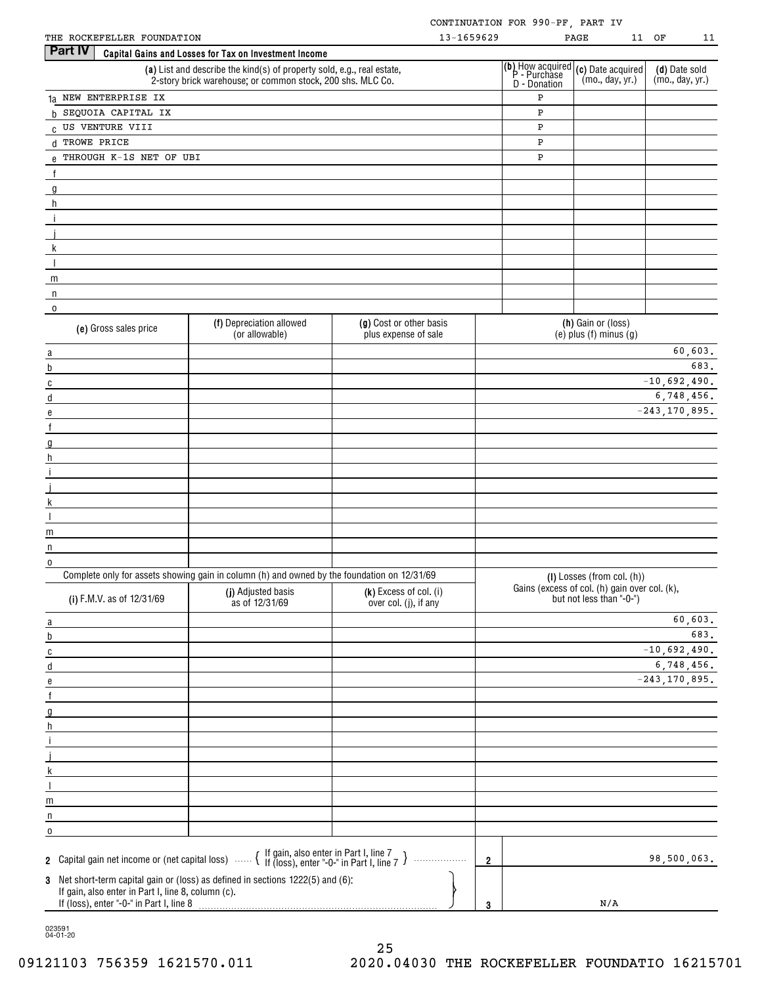|                                                                                                                                                                                                                                                                                                                                         |                                                                                                                                      |                                                 |            | CONTINUATION FOR 990-PF, PART IV                                                                   |                                                                           |                                  |         |
|-----------------------------------------------------------------------------------------------------------------------------------------------------------------------------------------------------------------------------------------------------------------------------------------------------------------------------------------|--------------------------------------------------------------------------------------------------------------------------------------|-------------------------------------------------|------------|----------------------------------------------------------------------------------------------------|---------------------------------------------------------------------------|----------------------------------|---------|
| THE ROCKEFELLER FOUNDATION                                                                                                                                                                                                                                                                                                              |                                                                                                                                      |                                                 | 13-1659629 |                                                                                                    | PAGE                                                                      | 11 OF                            | 11      |
| <b>Part IV</b>                                                                                                                                                                                                                                                                                                                          | Capital Gains and Losses for Tax on Investment Income                                                                                |                                                 |            |                                                                                                    |                                                                           |                                  |         |
|                                                                                                                                                                                                                                                                                                                                         | (a) List and describe the kind(s) of property sold, e.g., real estate,<br>2-story brick warehouse; or common stock, 200 shs. MLC Co. |                                                 |            | (b) How acquired (c) Date acquired<br>P - Purchase (mo., day, yr.)<br>D - Donation (mo., day, yr.) |                                                                           | (d) Date sold<br>(mo., day, yr.) |         |
| 1a NEW ENTERPRISE IX                                                                                                                                                                                                                                                                                                                    |                                                                                                                                      |                                                 |            | P                                                                                                  |                                                                           |                                  |         |
| b SEQUOIA CAPITAL IX                                                                                                                                                                                                                                                                                                                    |                                                                                                                                      |                                                 |            | Ρ                                                                                                  |                                                                           |                                  |         |
| C US VENTURE VIII                                                                                                                                                                                                                                                                                                                       |                                                                                                                                      |                                                 |            | Ρ                                                                                                  |                                                                           |                                  |         |
| d TROWE PRICE                                                                                                                                                                                                                                                                                                                           |                                                                                                                                      |                                                 |            | P<br>P                                                                                             |                                                                           |                                  |         |
| $e$ THROUGH K-1S NET OF UBI                                                                                                                                                                                                                                                                                                             |                                                                                                                                      |                                                 |            |                                                                                                    |                                                                           |                                  |         |
| $\overline{f}$                                                                                                                                                                                                                                                                                                                          |                                                                                                                                      |                                                 |            |                                                                                                    |                                                                           |                                  |         |
| $\overline{g}$ and $\overline{g}$ and $\overline{g}$ and $\overline{g}$ and $\overline{g}$ and $\overline{g}$ and $\overline{g}$ and $\overline{g}$ and $\overline{g}$ and $\overline{g}$ and $\overline{g}$ and $\overline{g}$ and $\overline{g}$ and $\overline{g}$ and $\overline{g}$ and $\overline{g}$ and $\overline{g}$ and<br>h |                                                                                                                                      |                                                 |            |                                                                                                    |                                                                           |                                  |         |
| $\hat{\perp}$                                                                                                                                                                                                                                                                                                                           |                                                                                                                                      |                                                 |            |                                                                                                    |                                                                           |                                  |         |
|                                                                                                                                                                                                                                                                                                                                         |                                                                                                                                      |                                                 |            |                                                                                                    |                                                                           |                                  |         |
| <u> 1989 - Johann Barbara, martxa alemaniar amerikan a</u><br>$\mathsf{k}$                                                                                                                                                                                                                                                              |                                                                                                                                      |                                                 |            |                                                                                                    |                                                                           |                                  |         |
| $\mathbf{I}$<br><u> 1980 - John Stein, mars and de Branch and de Branch and de Branch and de Branch and de Branch and de Branch a</u>                                                                                                                                                                                                   |                                                                                                                                      |                                                 |            |                                                                                                    |                                                                           |                                  |         |
| $m_{\text{max}}$ and $m_{\text{max}}$ and $m_{\text{max}}$ and $m_{\text{max}}$ and $m_{\text{max}}$ and $m_{\text{max}}$ and $m_{\text{max}}$                                                                                                                                                                                          |                                                                                                                                      |                                                 |            |                                                                                                    |                                                                           |                                  |         |
| $\mathsf{n}$                                                                                                                                                                                                                                                                                                                            |                                                                                                                                      |                                                 |            |                                                                                                    |                                                                           |                                  |         |
| $\mathbf 0$                                                                                                                                                                                                                                                                                                                             |                                                                                                                                      |                                                 |            |                                                                                                    |                                                                           |                                  |         |
| (e) Gross sales price                                                                                                                                                                                                                                                                                                                   | (f) Depreciation allowed<br>(or allowable)                                                                                           | (g) Cost or other basis<br>plus expense of sale |            |                                                                                                    | (h) Gain or (loss)<br>$(e)$ plus $(f)$ minus $(g)$                        |                                  |         |
| a                                                                                                                                                                                                                                                                                                                                       |                                                                                                                                      |                                                 |            |                                                                                                    |                                                                           |                                  | 60,603. |
| $\mathsf b$                                                                                                                                                                                                                                                                                                                             |                                                                                                                                      |                                                 |            |                                                                                                    |                                                                           |                                  | 683.    |
| $\overline{c}$                                                                                                                                                                                                                                                                                                                          |                                                                                                                                      |                                                 |            |                                                                                                    |                                                                           | $-10,692,490.$                   |         |
| $\mathsf d$                                                                                                                                                                                                                                                                                                                             |                                                                                                                                      |                                                 |            |                                                                                                    |                                                                           | 6,748,456.                       |         |
| ${\bf e}$                                                                                                                                                                                                                                                                                                                               |                                                                                                                                      |                                                 |            |                                                                                                    |                                                                           | $-243, 170, 895.$                |         |
| f                                                                                                                                                                                                                                                                                                                                       |                                                                                                                                      |                                                 |            |                                                                                                    |                                                                           |                                  |         |
| g                                                                                                                                                                                                                                                                                                                                       |                                                                                                                                      |                                                 |            |                                                                                                    |                                                                           |                                  |         |
| h                                                                                                                                                                                                                                                                                                                                       |                                                                                                                                      |                                                 |            |                                                                                                    |                                                                           |                                  |         |
| $\mathbf{i}$<br><u> 1989 - Johann Barnett, fransk politik (</u>                                                                                                                                                                                                                                                                         |                                                                                                                                      |                                                 |            |                                                                                                    |                                                                           |                                  |         |
| $\mathsf{k}$                                                                                                                                                                                                                                                                                                                            |                                                                                                                                      |                                                 |            |                                                                                                    |                                                                           |                                  |         |
|                                                                                                                                                                                                                                                                                                                                         |                                                                                                                                      |                                                 |            |                                                                                                    |                                                                           |                                  |         |
| m                                                                                                                                                                                                                                                                                                                                       |                                                                                                                                      |                                                 |            |                                                                                                    |                                                                           |                                  |         |
| $\mathsf{n}$                                                                                                                                                                                                                                                                                                                            |                                                                                                                                      |                                                 |            |                                                                                                    |                                                                           |                                  |         |
| 0                                                                                                                                                                                                                                                                                                                                       |                                                                                                                                      |                                                 |            |                                                                                                    |                                                                           |                                  |         |
|                                                                                                                                                                                                                                                                                                                                         | Complete only for assets showing gain in column (h) and owned by the foundation on 12/31/69                                          |                                                 |            |                                                                                                    | $(I)$ Losses (from col. $(h)$ )                                           |                                  |         |
| (i) F.M.V. as of 12/31/69                                                                                                                                                                                                                                                                                                               | (j) Adjusted basis<br>as of 12/31/69                                                                                                 | (k) Excess of col. (i)<br>over col. (j), if any |            |                                                                                                    | Gains (excess of col. (h) gain over col. (k),<br>but not less than "-0-") |                                  |         |
| a                                                                                                                                                                                                                                                                                                                                       |                                                                                                                                      |                                                 |            |                                                                                                    |                                                                           |                                  | 60,603. |
| b                                                                                                                                                                                                                                                                                                                                       |                                                                                                                                      |                                                 |            |                                                                                                    |                                                                           |                                  | 683.    |
| C                                                                                                                                                                                                                                                                                                                                       |                                                                                                                                      |                                                 |            |                                                                                                    |                                                                           | $-10,692,490.$                   |         |
| d                                                                                                                                                                                                                                                                                                                                       |                                                                                                                                      |                                                 |            |                                                                                                    |                                                                           | 6,748,456.                       |         |
| e                                                                                                                                                                                                                                                                                                                                       |                                                                                                                                      |                                                 |            |                                                                                                    |                                                                           | $-243, 170, 895.$                |         |
| $\mathsf{f}$                                                                                                                                                                                                                                                                                                                            |                                                                                                                                      |                                                 |            |                                                                                                    |                                                                           |                                  |         |
| g<br>h.                                                                                                                                                                                                                                                                                                                                 |                                                                                                                                      |                                                 |            |                                                                                                    |                                                                           |                                  |         |
|                                                                                                                                                                                                                                                                                                                                         |                                                                                                                                      |                                                 |            |                                                                                                    |                                                                           |                                  |         |
|                                                                                                                                                                                                                                                                                                                                         |                                                                                                                                      |                                                 |            |                                                                                                    |                                                                           |                                  |         |
| k                                                                                                                                                                                                                                                                                                                                       |                                                                                                                                      |                                                 |            |                                                                                                    |                                                                           |                                  |         |
|                                                                                                                                                                                                                                                                                                                                         |                                                                                                                                      |                                                 |            |                                                                                                    |                                                                           |                                  |         |
| m                                                                                                                                                                                                                                                                                                                                       |                                                                                                                                      |                                                 |            |                                                                                                    |                                                                           |                                  |         |
| n                                                                                                                                                                                                                                                                                                                                       |                                                                                                                                      |                                                 |            |                                                                                                    |                                                                           |                                  |         |
| 0                                                                                                                                                                                                                                                                                                                                       |                                                                                                                                      |                                                 |            |                                                                                                    |                                                                           |                                  |         |
|                                                                                                                                                                                                                                                                                                                                         | 2 Capital gain net income or (net capital loss) $\ldots$ $\{$ If gain, also enter in Part I, line 7 $\}$                             | .                                               | 2          |                                                                                                    |                                                                           | 98,500,063.                      |         |
|                                                                                                                                                                                                                                                                                                                                         | 3 Net short-term capital gain or (loss) as defined in sections 1222(5) and (6):                                                      |                                                 |            |                                                                                                    |                                                                           |                                  |         |
| If gain, also enter in Part I, line 8, column (c).<br>If (loss), enter "-0-" in Part I, line 8                                                                                                                                                                                                                                          |                                                                                                                                      |                                                 | 3          |                                                                                                    | N/A                                                                       |                                  |         |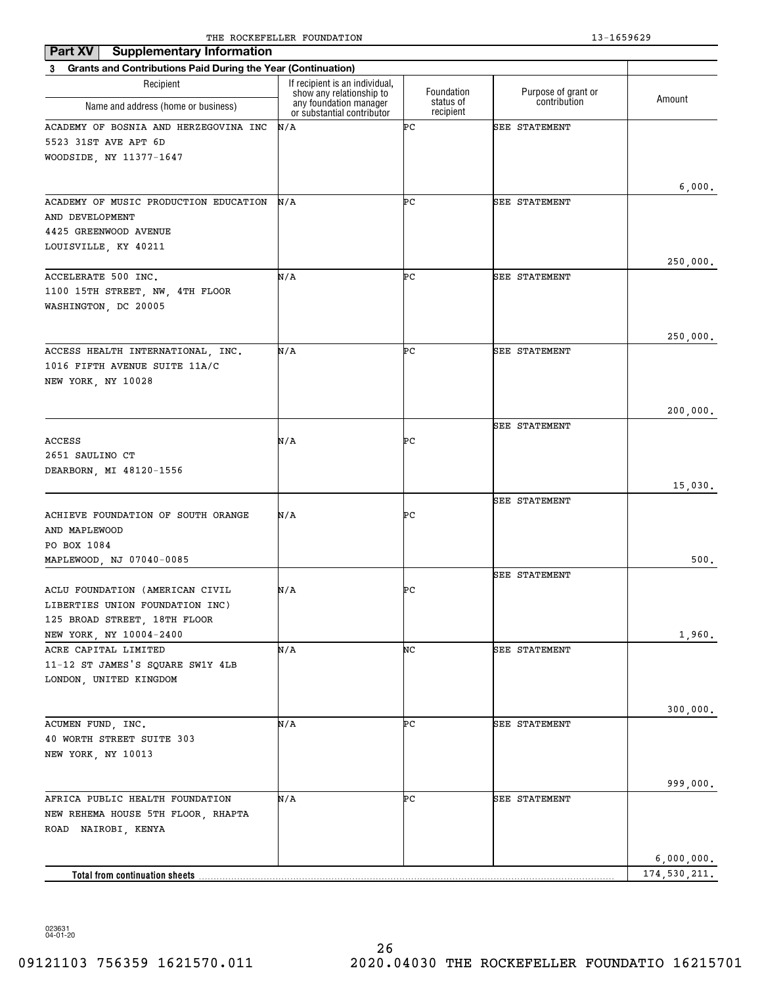| Part XV<br><b>Supplementary Information</b>                        |                                                            |                        |                      |              |
|--------------------------------------------------------------------|------------------------------------------------------------|------------------------|----------------------|--------------|
| 3 Grants and Contributions Paid During the Year (Continuation)     |                                                            |                        |                      |              |
| Recipient                                                          | If recipient is an individual,<br>show any relationship to | Foundation             | Purpose of grant or  | Amount       |
| Name and address (home or business)                                | any foundation manager<br>or substantial contributor       | status of<br>recipient | contribution         |              |
| ACADEMY OF BOSNIA AND HERZEGOVINA INC                              | N/A                                                        | ÞС                     | <b>SEE STATEMENT</b> |              |
| 5523 31ST AVE APT 6D                                               |                                                            |                        |                      |              |
| WOODSIDE, NY 11377-1647                                            |                                                            |                        |                      |              |
|                                                                    |                                                            |                        |                      | 6,000.       |
| ACADEMY OF MUSIC PRODUCTION EDUCATION                              | N/A                                                        | ÞС                     | <b>SEE STATEMENT</b> |              |
| AND DEVELOPMENT                                                    |                                                            |                        |                      |              |
| 4425 GREENWOOD AVENUE                                              |                                                            |                        |                      |              |
| LOUISVILLE, KY 40211                                               |                                                            |                        |                      |              |
| ACCELERATE 500 INC.                                                | N/A                                                        | ÞС                     | <b>SEE STATEMENT</b> | 250,000.     |
| 1100 15TH STREET, NW, 4TH FLOOR                                    |                                                            |                        |                      |              |
| WASHINGTON, DC 20005                                               |                                                            |                        |                      |              |
|                                                                    |                                                            |                        |                      |              |
|                                                                    |                                                            |                        |                      | 250,000.     |
| ACCESS HEALTH INTERNATIONAL, INC.<br>1016 FIFTH AVENUE SUITE 11A/C | N/A                                                        | ÞС                     | <b>SEE STATEMENT</b> |              |
| NEW YORK, NY 10028                                                 |                                                            |                        |                      |              |
|                                                                    |                                                            |                        |                      |              |
|                                                                    |                                                            |                        |                      | 200,000.     |
|                                                                    |                                                            |                        | <b>SEE STATEMENT</b> |              |
| ACCESS                                                             | N/A                                                        | ÞС                     |                      |              |
| 2651 SAULINO CT<br>DEARBORN, MI 48120-1556                         |                                                            |                        |                      |              |
|                                                                    |                                                            |                        |                      | 15,030.      |
|                                                                    |                                                            |                        | <b>SEE STATEMENT</b> |              |
| ACHIEVE FOUNDATION OF SOUTH ORANGE                                 | N/A                                                        | ÞС                     |                      |              |
| AND MAPLEWOOD                                                      |                                                            |                        |                      |              |
| PO BOX 1084<br>MAPLEWOOD, NJ 07040-0085                            |                                                            |                        |                      | 500.         |
|                                                                    |                                                            |                        | <b>SEE STATEMENT</b> |              |
| ACLU FOUNDATION (AMERICAN CIVIL                                    | N/A                                                        | ÞС                     |                      |              |
| LIBERTIES UNION FOUNDATION INC)                                    |                                                            |                        |                      |              |
| 125 BROAD STREET, 18TH FLOOR                                       |                                                            |                        |                      |              |
| NEW YORK, NY 10004-2400<br>ACRE CAPITAL LIMITED                    | N/A                                                        | NC                     | SEE STATEMENT        | 1,960.       |
| 11-12 ST JAMES'S SQUARE SW1Y 4LB                                   |                                                            |                        |                      |              |
| LONDON, UNITED KINGDOM                                             |                                                            |                        |                      |              |
|                                                                    |                                                            |                        |                      |              |
|                                                                    |                                                            |                        |                      | 300,000.     |
| ACUMEN FUND, INC.<br>40 WORTH STREET SUITE 303                     | N/A                                                        | ÞС                     | <b>SEE STATEMENT</b> |              |
| NEW YORK, NY 10013                                                 |                                                            |                        |                      |              |
|                                                                    |                                                            |                        |                      |              |
|                                                                    |                                                            |                        |                      | 999,000.     |
| AFRICA PUBLIC HEALTH FOUNDATION                                    | N/A                                                        | ÞС                     | <b>SEE STATEMENT</b> |              |
| NEW REHEMA HOUSE 5TH FLOOR, RHAPTA<br>ROAD NAIROBI, KENYA          |                                                            |                        |                      |              |
|                                                                    |                                                            |                        |                      |              |
|                                                                    |                                                            |                        |                      | 6,000,000.   |
| Total from continuation sheets                                     |                                                            |                        |                      | 174,530,211. |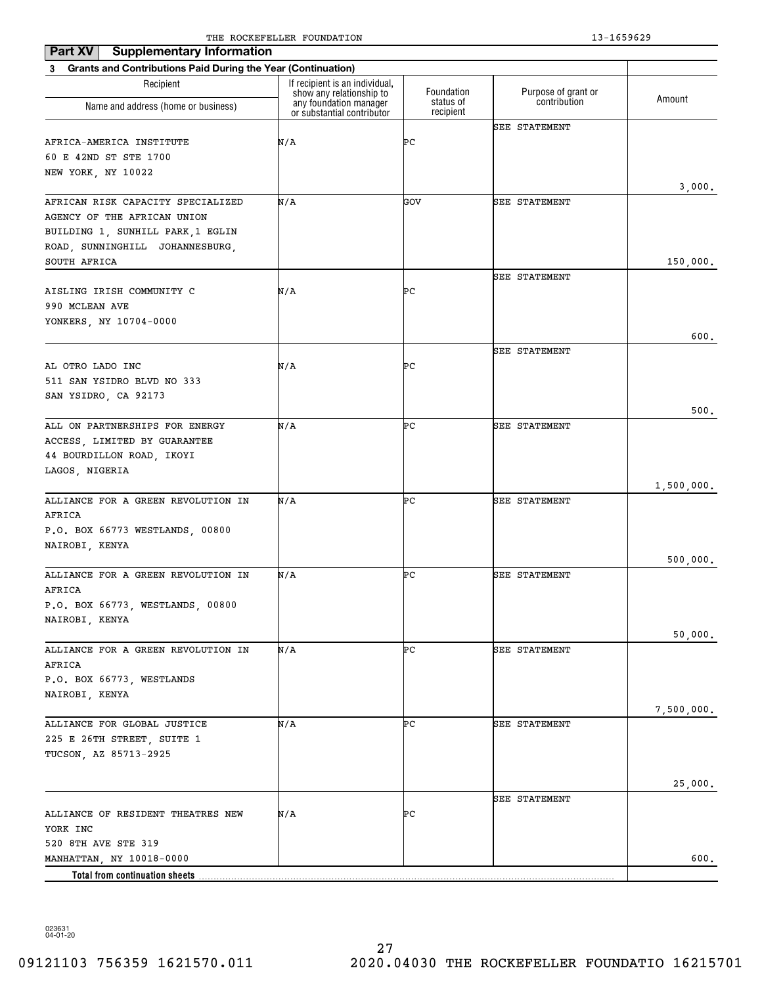| Part XV<br><b>Supplementary Information</b>                    |                                                            |                        |                      |            |
|----------------------------------------------------------------|------------------------------------------------------------|------------------------|----------------------|------------|
| 3 Grants and Contributions Paid During the Year (Continuation) |                                                            |                        |                      |            |
| Recipient                                                      | If recipient is an individual,<br>show any relationship to | Foundation             | Purpose of grant or  | Amount     |
| Name and address (home or business)                            | any foundation manager<br>or substantial contributor       | status of<br>recipient | contribution         |            |
|                                                                |                                                            |                        | <b>SEE STATEMENT</b> |            |
| AFRICA-AMERICA INSTITUTE                                       | N/A                                                        | ÞС                     |                      |            |
| 60 E 42ND ST STE 1700<br>NEW YORK, NY 10022                    |                                                            |                        |                      |            |
|                                                                |                                                            |                        |                      | 3,000.     |
| AFRICAN RISK CAPACITY SPECIALIZED                              | N/A                                                        | GOV                    | <b>SEE STATEMENT</b> |            |
| AGENCY OF THE AFRICAN UNION                                    |                                                            |                        |                      |            |
| BUILDING 1, SUNHILL PARK, 1 EGLIN                              |                                                            |                        |                      |            |
| ROAD, SUNNINGHILL JOHANNESBURG,                                |                                                            |                        |                      |            |
| SOUTH AFRICA                                                   |                                                            |                        |                      | 150,000.   |
|                                                                |                                                            |                        | <b>SEE STATEMENT</b> |            |
| AISLING IRISH COMMUNITY C<br>990 MCLEAN AVE                    | N/A                                                        | ÞС                     |                      |            |
| YONKERS, NY 10704-0000                                         |                                                            |                        |                      |            |
|                                                                |                                                            |                        |                      | 600.       |
|                                                                |                                                            |                        | <b>SEE STATEMENT</b> |            |
| AL OTRO LADO INC                                               | N/A                                                        | ÞС                     |                      |            |
| 511 SAN YSIDRO BLVD NO 333                                     |                                                            |                        |                      |            |
| SAN YSIDRO, CA 92173                                           |                                                            |                        |                      |            |
|                                                                |                                                            |                        |                      | 500.       |
| ALL ON PARTNERSHIPS FOR ENERGY                                 | N/A                                                        | ÞС                     | <b>SEE STATEMENT</b> |            |
| ACCESS, LIMITED BY GUARANTEE<br>44 BOURDILLON ROAD, IKOYI      |                                                            |                        |                      |            |
| LAGOS, NIGERIA                                                 |                                                            |                        |                      |            |
|                                                                |                                                            |                        |                      | 1,500,000. |
| ALLIANCE FOR A GREEN REVOLUTION IN                             | N/A                                                        | ÞС                     | <b>SEE STATEMENT</b> |            |
| AFRICA                                                         |                                                            |                        |                      |            |
| P.O. BOX 66773 WESTLANDS, 00800                                |                                                            |                        |                      |            |
| NAIROBI, KENYA                                                 |                                                            |                        |                      |            |
| ALLIANCE FOR A GREEN REVOLUTION IN                             | N/A                                                        | ÞС                     | <b>SEE STATEMENT</b> | 500,000.   |
| AFRICA                                                         |                                                            |                        |                      |            |
| P.O. BOX 66773, WESTLANDS, 00800                               |                                                            |                        |                      |            |
| NAIROBI, KENYA                                                 |                                                            |                        |                      |            |
|                                                                |                                                            |                        |                      | 50,000.    |
| ALLIANCE FOR A GREEN REVOLUTION IN                             | N/A                                                        | ÞС                     | <b>SEE STATEMENT</b> |            |
| AFRICA                                                         |                                                            |                        |                      |            |
| P.O. BOX 66773, WESTLANDS                                      |                                                            |                        |                      |            |
| NAIROBI, KENYA                                                 |                                                            |                        |                      |            |
| ALLIANCE FOR GLOBAL JUSTICE                                    | N/A                                                        | ÞС                     | <b>SEE STATEMENT</b> | 7,500,000. |
| 225 E 26TH STREET, SUITE 1                                     |                                                            |                        |                      |            |
| TUCSON, AZ 85713-2925                                          |                                                            |                        |                      |            |
|                                                                |                                                            |                        |                      |            |
|                                                                |                                                            |                        |                      | 25,000.    |
|                                                                |                                                            |                        | <b>SEE STATEMENT</b> |            |
| ALLIANCE OF RESIDENT THEATRES NEW                              | N/A                                                        | ÞС                     |                      |            |
| YORK INC                                                       |                                                            |                        |                      |            |
| 520 8TH AVE STE 319<br>MANHATTAN, NY 10018-0000                |                                                            |                        |                      | 600.       |
| <b>Total from continuation sheets</b>                          |                                                            |                        |                      |            |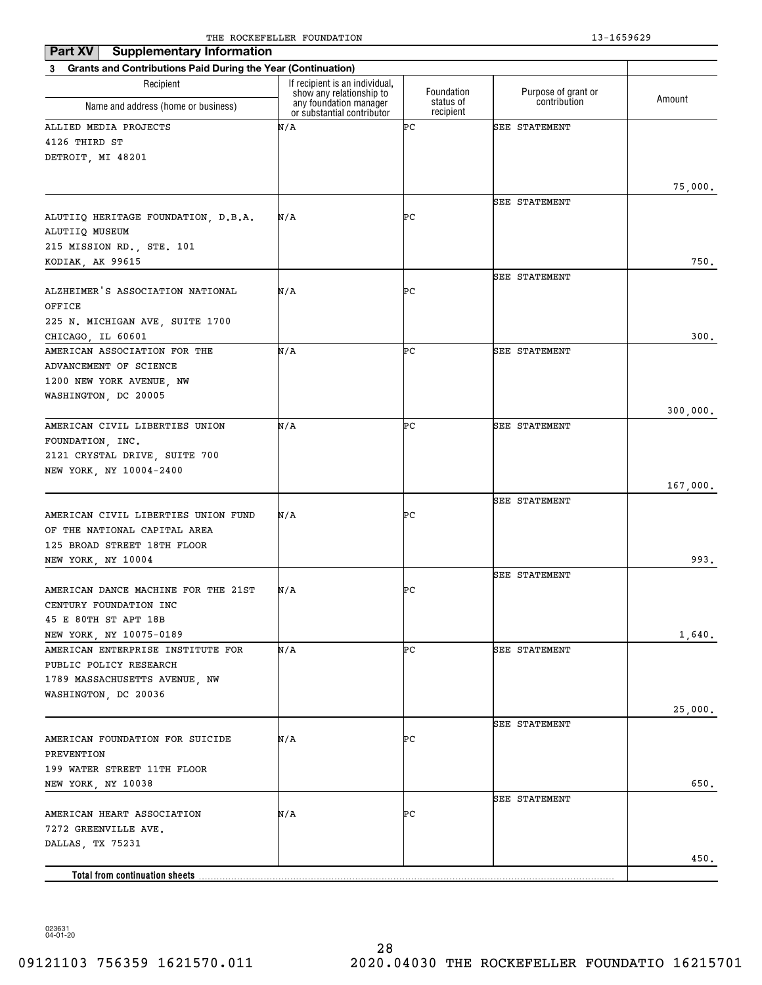| Part XV<br><b>Supplementary Information</b>                    |                                                            |                        |                      |          |
|----------------------------------------------------------------|------------------------------------------------------------|------------------------|----------------------|----------|
| 3 Grants and Contributions Paid During the Year (Continuation) |                                                            |                        |                      |          |
| Recipient                                                      | If recipient is an individual,<br>show any relationship to | Foundation             | Purpose of grant or  | Amount   |
| Name and address (home or business)                            | any foundation manager<br>or substantial contributor       | status of<br>recipient | contribution         |          |
| ALLIED MEDIA PROJECTS                                          | N/A                                                        | ÞС                     | <b>SEE STATEMENT</b> |          |
| 4126 THIRD ST                                                  |                                                            |                        |                      |          |
| DETROIT, MI 48201                                              |                                                            |                        |                      |          |
|                                                                |                                                            |                        |                      | 75,000.  |
|                                                                |                                                            |                        | <b>SEE STATEMENT</b> |          |
| ALUTIIQ HERITAGE FOUNDATION, D.B.A.<br>ALUTIIQ MUSEUM          | N/A                                                        | ÞС                     |                      |          |
| 215 MISSION RD., STE. 101                                      |                                                            |                        |                      |          |
| KODIAK, AK 99615                                               |                                                            |                        |                      | 750.     |
|                                                                |                                                            |                        | <b>SEE STATEMENT</b> |          |
| ALZHEIMER'S ASSOCIATION NATIONAL<br>OFFICE                     | N/A                                                        | ÞС                     |                      |          |
| 225 N. MICHIGAN AVE, SUITE 1700                                |                                                            |                        |                      |          |
| CHICAGO, IL 60601                                              |                                                            |                        |                      | 300.     |
| AMERICAN ASSOCIATION FOR THE                                   | N/A                                                        | ÞС                     | <b>SEE STATEMENT</b> |          |
| ADVANCEMENT OF SCIENCE                                         |                                                            |                        |                      |          |
| 1200 NEW YORK AVENUE, NW                                       |                                                            |                        |                      |          |
| WASHINGTON, DC 20005                                           |                                                            |                        |                      |          |
|                                                                |                                                            |                        |                      | 300,000. |
| AMERICAN CIVIL LIBERTIES UNION                                 | N/A                                                        | ÞС                     | <b>SEE STATEMENT</b> |          |
| FOUNDATION, INC.<br>2121 CRYSTAL DRIVE, SUITE 700              |                                                            |                        |                      |          |
| NEW YORK, NY 10004-2400                                        |                                                            |                        |                      |          |
|                                                                |                                                            |                        |                      | 167,000. |
|                                                                |                                                            |                        | <b>SEE STATEMENT</b> |          |
| AMERICAN CIVIL LIBERTIES UNION FUND                            | N/A                                                        | ÞС                     |                      |          |
| OF THE NATIONAL CAPITAL AREA                                   |                                                            |                        |                      |          |
| 125 BROAD STREET 18TH FLOOR                                    |                                                            |                        |                      | 993.     |
| NEW YORK, NY 10004                                             |                                                            |                        | <b>SEE STATEMENT</b> |          |
| AMERICAN DANCE MACHINE FOR THE 21ST                            | N/A                                                        | ÞС                     |                      |          |
| CENTURY FOUNDATION INC                                         |                                                            |                        |                      |          |
| 45 E 80TH ST APT 18B                                           |                                                            |                        |                      |          |
| NEW YORK, NY 10075-0189                                        |                                                            |                        |                      | 1,640.   |
| AMERICAN ENTERPRISE INSTITUTE FOR                              | N/A                                                        | ÞС                     | SEE STATEMENT        |          |
| PUBLIC POLICY RESEARCH                                         |                                                            |                        |                      |          |
| 1789 MASSACHUSETTS AVENUE, NW                                  |                                                            |                        |                      |          |
| WASHINGTON, DC 20036                                           |                                                            |                        |                      | 25,000.  |
|                                                                |                                                            |                        | <b>SEE STATEMENT</b> |          |
| AMERICAN FOUNDATION FOR SUICIDE                                | N/A                                                        | ÞС                     |                      |          |
| PREVENTION                                                     |                                                            |                        |                      |          |
| 199 WATER STREET 11TH FLOOR                                    |                                                            |                        |                      |          |
| NEW YORK, NY 10038                                             |                                                            |                        |                      | 650.     |
|                                                                |                                                            |                        | <b>SEE STATEMENT</b> |          |
| AMERICAN HEART ASSOCIATION<br>7272 GREENVILLE AVE.             | N/A                                                        | ÞС                     |                      |          |
| DALLAS, TX 75231                                               |                                                            |                        |                      |          |
|                                                                |                                                            |                        |                      | 450.     |
| Total from continuation sheets.                                |                                                            |                        |                      |          |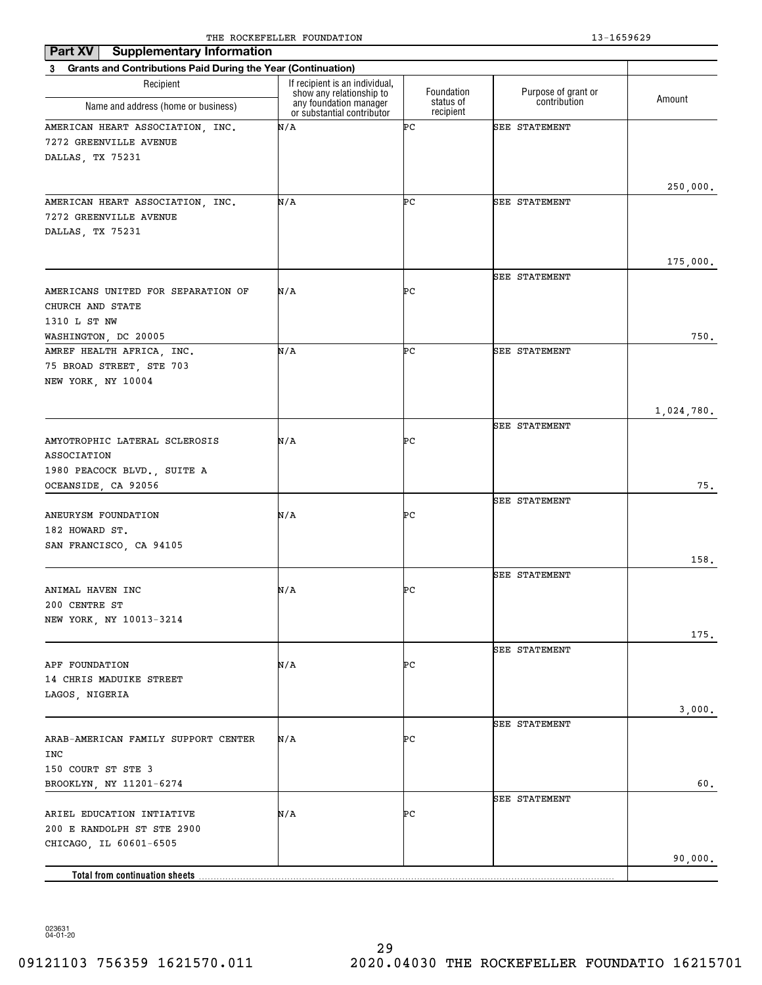| <b>Supplementary Information</b><br>Part XV                    |                                                                                      |                         |                                     |            |
|----------------------------------------------------------------|--------------------------------------------------------------------------------------|-------------------------|-------------------------------------|------------|
| 3 Grants and Contributions Paid During the Year (Continuation) |                                                                                      |                         |                                     |            |
| Recipient                                                      | If recipient is an individual,<br>show any relationship to<br>any foundation manager | Foundation<br>status of | Purpose of grant or<br>contribution | Amount     |
| Name and address (home or business)                            | or substantial contributor                                                           | recipient               |                                     |            |
| AMERICAN HEART ASSOCIATION, INC.                               | N/A                                                                                  | ÞС                      | <b>SEE STATEMENT</b>                |            |
| 7272 GREENVILLE AVENUE                                         |                                                                                      |                         |                                     |            |
| DALLAS, TX 75231                                               |                                                                                      |                         |                                     |            |
|                                                                |                                                                                      |                         |                                     |            |
| AMERICAN HEART ASSOCIATION, INC.                               | N/A                                                                                  | ÞС                      | <b>SEE STATEMENT</b>                | 250,000.   |
| 7272 GREENVILLE AVENUE                                         |                                                                                      |                         |                                     |            |
| DALLAS, TX 75231                                               |                                                                                      |                         |                                     |            |
|                                                                |                                                                                      |                         |                                     |            |
|                                                                |                                                                                      |                         |                                     | 175,000.   |
|                                                                |                                                                                      |                         | SEE STATEMENT                       |            |
| AMERICANS UNITED FOR SEPARATION OF                             | N/A                                                                                  | ÞС                      |                                     |            |
| CHURCH AND STATE<br>1310 L ST NW                               |                                                                                      |                         |                                     |            |
| WASHINGTON, DC 20005                                           |                                                                                      |                         |                                     | 750.       |
| AMREF HEALTH AFRICA, INC.                                      | N/A                                                                                  | ÞС                      | SEE STATEMENT                       |            |
| 75 BROAD STREET, STE 703                                       |                                                                                      |                         |                                     |            |
| NEW YORK, NY 10004                                             |                                                                                      |                         |                                     |            |
|                                                                |                                                                                      |                         |                                     |            |
|                                                                |                                                                                      |                         |                                     | 1,024,780. |
|                                                                |                                                                                      |                         | <b>SEE STATEMENT</b>                |            |
| AMYOTROPHIC LATERAL SCLEROSIS<br>ASSOCIATION                   | N/A                                                                                  | ÞС                      |                                     |            |
| 1980 PEACOCK BLVD., SUITE A                                    |                                                                                      |                         |                                     |            |
| OCEANSIDE, CA 92056                                            |                                                                                      |                         |                                     | 75.        |
|                                                                |                                                                                      |                         | <b>SEE STATEMENT</b>                |            |
| ANEURYSM FOUNDATION                                            | N/A                                                                                  | ÞС                      |                                     |            |
| 182 HOWARD ST.                                                 |                                                                                      |                         |                                     |            |
| SAN FRANCISCO, CA 94105                                        |                                                                                      |                         |                                     |            |
|                                                                |                                                                                      |                         | <b>SEE STATEMENT</b>                | 158.       |
| ANIMAL HAVEN INC                                               | N/A                                                                                  | ÞС                      |                                     |            |
| 200 CENTRE ST                                                  |                                                                                      |                         |                                     |            |
| NEW YORK, NY 10013-3214                                        |                                                                                      |                         |                                     |            |
|                                                                |                                                                                      |                         |                                     | 175.       |
|                                                                |                                                                                      |                         | <b>SEE STATEMENT</b>                |            |
| APF FOUNDATION                                                 | N/A                                                                                  | ÞС                      |                                     |            |
| 14 CHRIS MADUIKE STREET                                        |                                                                                      |                         |                                     |            |
| LAGOS, NIGERIA                                                 |                                                                                      |                         |                                     | 3,000.     |
|                                                                |                                                                                      |                         | <b>SEE STATEMENT</b>                |            |
| ARAB-AMERICAN FAMILY SUPPORT CENTER                            | N/A                                                                                  | ÞС                      |                                     |            |
| INC                                                            |                                                                                      |                         |                                     |            |
| 150 COURT ST STE 3                                             |                                                                                      |                         |                                     |            |
| BROOKLYN, NY 11201-6274                                        |                                                                                      |                         |                                     | 60.        |
|                                                                |                                                                                      |                         | <b>SEE STATEMENT</b>                |            |
| ARIEL EDUCATION INTIATIVE<br>200 E RANDOLPH ST STE 2900        | N/A                                                                                  | ÞС                      |                                     |            |
| CHICAGO, IL 60601-6505                                         |                                                                                      |                         |                                     |            |
|                                                                |                                                                                      |                         |                                     | 90,000.    |
| Total from continuation sheets                                 |                                                                                      |                         |                                     |            |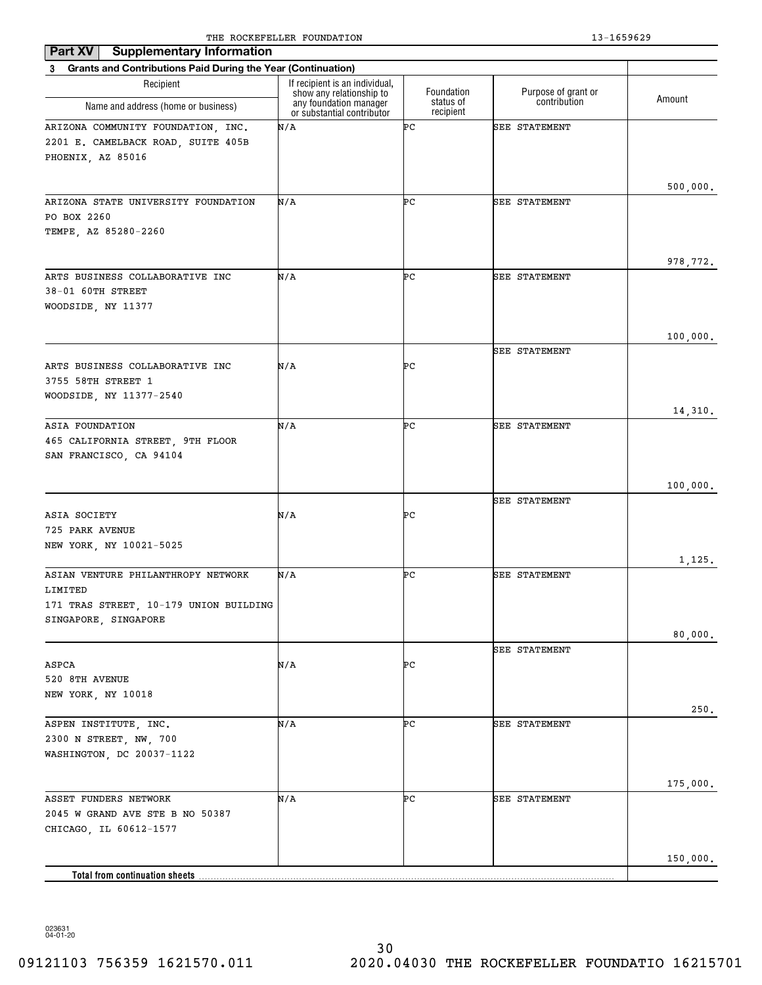| <b>Supplementary Information</b><br>Part XV                              |                                                            |                        |                      |          |
|--------------------------------------------------------------------------|------------------------------------------------------------|------------------------|----------------------|----------|
| <b>Grants and Contributions Paid During the Year (Continuation)</b><br>3 |                                                            |                        |                      |          |
| Recipient                                                                | If recipient is an individual,<br>show any relationship to | Foundation             | Purpose of grant or  | Amount   |
| Name and address (home or business)                                      | any foundation manager<br>or substantial contributor       | status of<br>recipient | contribution         |          |
| ARIZONA COMMUNITY FOUNDATION, INC.                                       | N/A                                                        | ÞС                     | <b>SEE STATEMENT</b> |          |
| 2201 E. CAMELBACK ROAD, SUITE 405B                                       |                                                            |                        |                      |          |
| PHOENIX, AZ 85016                                                        |                                                            |                        |                      |          |
|                                                                          |                                                            |                        |                      |          |
| ARIZONA STATE UNIVERSITY FOUNDATION                                      | N/A                                                        | ÞС                     | <b>SEE STATEMENT</b> | 500,000. |
| PO BOX 2260                                                              |                                                            |                        |                      |          |
| TEMPE, AZ 85280-2260                                                     |                                                            |                        |                      |          |
|                                                                          |                                                            |                        |                      |          |
|                                                                          |                                                            |                        |                      | 978,772. |
| ARTS BUSINESS COLLABORATIVE INC                                          | N/A                                                        | ÞС                     | <b>SEE STATEMENT</b> |          |
| 38-01 60TH STREET                                                        |                                                            |                        |                      |          |
| WOODSIDE, NY 11377                                                       |                                                            |                        |                      |          |
|                                                                          |                                                            |                        |                      | 100,000. |
|                                                                          |                                                            |                        | <b>SEE STATEMENT</b> |          |
| ARTS BUSINESS COLLABORATIVE INC                                          | N/A                                                        | ÞС                     |                      |          |
| 3755 58TH STREET 1                                                       |                                                            |                        |                      |          |
| WOODSIDE, NY 11377-2540                                                  |                                                            |                        |                      |          |
|                                                                          |                                                            |                        |                      | 14,310.  |
| ASIA FOUNDATION<br>465 CALIFORNIA STREET, 9TH FLOOR                      | N/A                                                        | ÞС                     | <b>SEE STATEMENT</b> |          |
| SAN FRANCISCO, CA 94104                                                  |                                                            |                        |                      |          |
|                                                                          |                                                            |                        |                      |          |
|                                                                          |                                                            |                        |                      | 100,000. |
|                                                                          |                                                            |                        | <b>SEE STATEMENT</b> |          |
| ASIA SOCIETY                                                             | N/A                                                        | ÞС                     |                      |          |
| 725 PARK AVENUE                                                          |                                                            |                        |                      |          |
| NEW YORK, NY 10021-5025                                                  |                                                            |                        |                      | 1,125.   |
| ASIAN VENTURE PHILANTHROPY NETWORK                                       | N/A                                                        | ÞС                     | <b>SEE STATEMENT</b> |          |
| LIMITED                                                                  |                                                            |                        |                      |          |
| 171 TRAS STREET, 10-179 UNION BUILDING                                   |                                                            |                        |                      |          |
| SINGAPORE, SINGAPORE                                                     |                                                            |                        |                      |          |
|                                                                          |                                                            |                        |                      | 80,000.  |
| ASPCA                                                                    | N/A                                                        | ÞС                     | <b>SEE STATEMENT</b> |          |
| 520 8TH AVENUE                                                           |                                                            |                        |                      |          |
| NEW YORK, NY 10018                                                       |                                                            |                        |                      |          |
|                                                                          |                                                            |                        |                      | 250.     |
| ASPEN INSTITUTE, INC.                                                    | N/A                                                        | ÞС                     | SEE STATEMENT        |          |
| 2300 N STREET, NW, 700                                                   |                                                            |                        |                      |          |
| WASHINGTON, DC 20037-1122                                                |                                                            |                        |                      |          |
|                                                                          |                                                            |                        |                      | 175,000. |
| ASSET FUNDERS NETWORK                                                    | N/A                                                        | ÞС                     | <b>SEE STATEMENT</b> |          |
| 2045 W GRAND AVE STE B NO 50387                                          |                                                            |                        |                      |          |
| CHICAGO, IL 60612-1577                                                   |                                                            |                        |                      |          |
|                                                                          |                                                            |                        |                      |          |
|                                                                          |                                                            |                        |                      | 150,000. |
| Total from continuation sheets                                           |                                                            |                        |                      |          |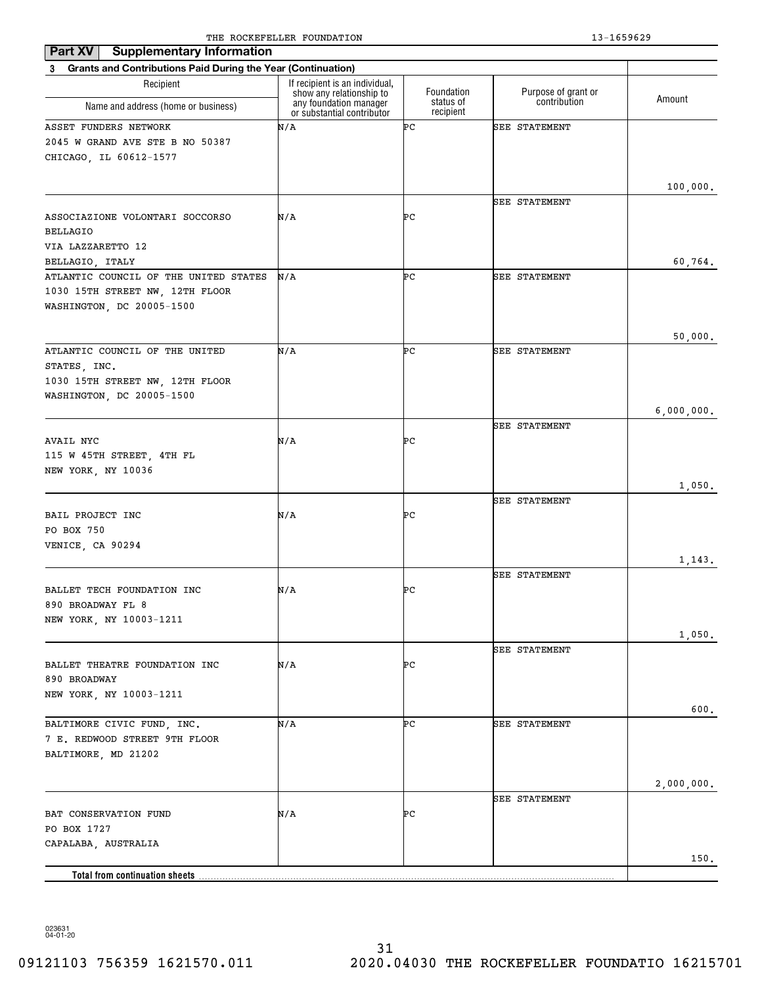| Part XV<br><b>Supplementary Information</b>                              |                                                            |                        |                      |            |
|--------------------------------------------------------------------------|------------------------------------------------------------|------------------------|----------------------|------------|
| <b>Grants and Contributions Paid During the Year (Continuation)</b><br>3 |                                                            |                        |                      |            |
| Recipient                                                                | If recipient is an individual,<br>show any relationship to | Foundation             | Purpose of grant or  |            |
| Name and address (home or business)                                      | any foundation manager<br>or substantial contributor       | status of<br>recipient | contribution         | Amount     |
| ASSET FUNDERS NETWORK                                                    | N/A                                                        | ÞС                     | <b>SEE STATEMENT</b> |            |
| 2045 W GRAND AVE STE B NO 50387                                          |                                                            |                        |                      |            |
| CHICAGO, IL 60612-1577                                                   |                                                            |                        |                      |            |
|                                                                          |                                                            |                        |                      |            |
|                                                                          |                                                            |                        |                      | 100,000.   |
|                                                                          |                                                            | ÞС                     | <b>SEE STATEMENT</b> |            |
| ASSOCIAZIONE VOLONTARI SOCCORSO<br>BELLAGIO                              | N/A                                                        |                        |                      |            |
| VIA LAZZARETTO 12                                                        |                                                            |                        |                      |            |
| BELLAGIO, ITALY                                                          |                                                            |                        |                      | 60,764.    |
| ATLANTIC COUNCIL OF THE UNITED STATES                                    | N/A                                                        | ÞС                     | <b>SEE STATEMENT</b> |            |
| 1030 15TH STREET NW, 12TH FLOOR                                          |                                                            |                        |                      |            |
| WASHINGTON, DC 20005-1500                                                |                                                            |                        |                      |            |
|                                                                          |                                                            |                        |                      |            |
|                                                                          |                                                            |                        |                      | 50,000.    |
| ATLANTIC COUNCIL OF THE UNITED                                           | N/A                                                        | ÞС                     | <b>SEE STATEMENT</b> |            |
| STATES, INC.                                                             |                                                            |                        |                      |            |
| 1030 15TH STREET NW, 12TH FLOOR                                          |                                                            |                        |                      |            |
| WASHINGTON, DC 20005-1500                                                |                                                            |                        |                      |            |
|                                                                          |                                                            |                        |                      | 6,000,000. |
|                                                                          |                                                            |                        | <b>SEE STATEMENT</b> |            |
| AVAIL NYC                                                                | N/A                                                        | ÞС                     |                      |            |
| 115 W 45TH STREET, 4TH FL                                                |                                                            |                        |                      |            |
| NEW YORK, NY 10036                                                       |                                                            |                        |                      |            |
|                                                                          |                                                            |                        | <b>SEE STATEMENT</b> | 1,050.     |
| BAIL PROJECT INC                                                         | N/A                                                        | ÞС                     |                      |            |
| PO BOX 750                                                               |                                                            |                        |                      |            |
| VENICE, CA 90294                                                         |                                                            |                        |                      |            |
|                                                                          |                                                            |                        |                      | 1,143.     |
|                                                                          |                                                            |                        | <b>SEE STATEMENT</b> |            |
| BALLET TECH FOUNDATION INC                                               | N/A                                                        | ÞС                     |                      |            |
| 890 BROADWAY FL 8                                                        |                                                            |                        |                      |            |
| NEW YORK, NY 10003-1211                                                  |                                                            |                        |                      |            |
|                                                                          |                                                            |                        |                      | 1,050.     |
|                                                                          |                                                            |                        | <b>SEE STATEMENT</b> |            |
| BALLET THEATRE FOUNDATION INC                                            | N/A                                                        | ÞС                     |                      |            |
| 890 BROADWAY                                                             |                                                            |                        |                      |            |
| NEW YORK, NY 10003-1211                                                  |                                                            |                        |                      |            |
|                                                                          |                                                            |                        |                      | 600.       |
| BALTIMORE CIVIC FUND, INC.                                               | N/A                                                        | ÞС                     | SEE STATEMENT        |            |
| 7 E. REDWOOD STREET 9TH FLOOR                                            |                                                            |                        |                      |            |
| BALTIMORE, MD 21202                                                      |                                                            |                        |                      |            |
|                                                                          |                                                            |                        |                      | 2,000,000. |
|                                                                          |                                                            |                        | <b>SEE STATEMENT</b> |            |
| BAT CONSERVATION FUND                                                    | N/A                                                        | ÞС                     |                      |            |
| PO BOX 1727                                                              |                                                            |                        |                      |            |
| CAPALABA, AUSTRALIA                                                      |                                                            |                        |                      |            |
|                                                                          |                                                            |                        |                      | 150.       |
| Total from continuation sheets                                           |                                                            |                        |                      |            |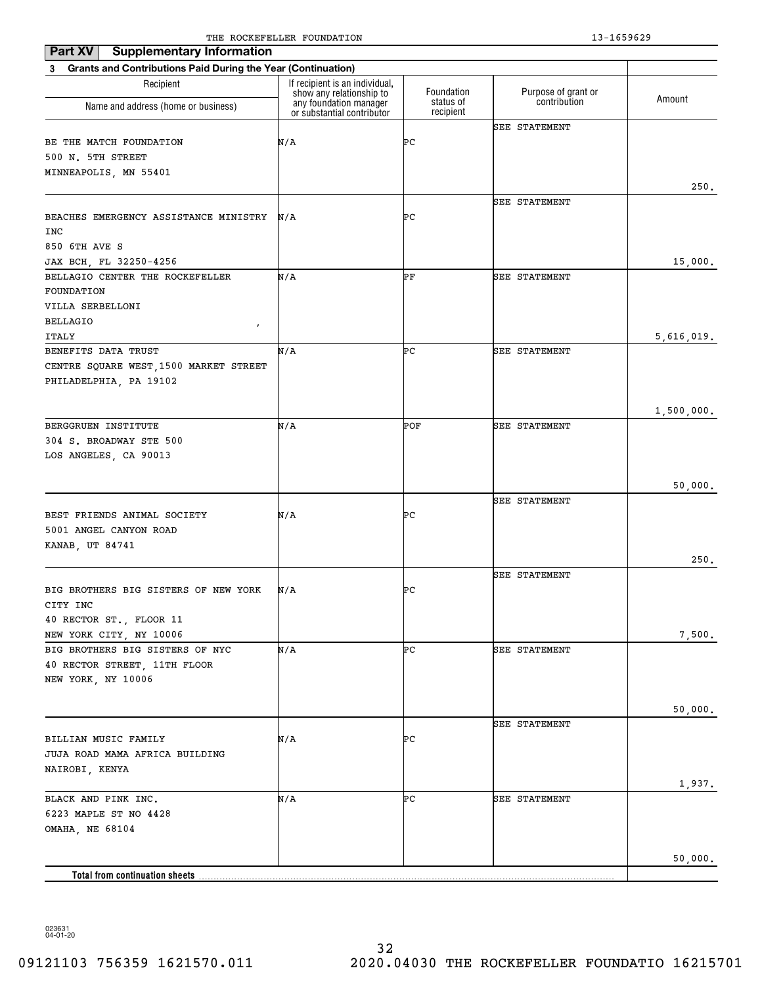| <b>Supplementary Information</b><br>Part XV                    |                                                            |                        |                      |            |
|----------------------------------------------------------------|------------------------------------------------------------|------------------------|----------------------|------------|
| 3 Grants and Contributions Paid During the Year (Continuation) |                                                            |                        |                      |            |
| Recipient                                                      | If recipient is an individual,<br>show any relationship to | Foundation             | Purpose of grant or  |            |
| Name and address (home or business)                            | any foundation manager<br>or substantial contributor       | status of<br>recipient | contribution         | Amount     |
|                                                                |                                                            |                        | <b>SEE STATEMENT</b> |            |
| BE THE MATCH FOUNDATION                                        | N/A                                                        | ÞС                     |                      |            |
| 500 N. 5TH STREET                                              |                                                            |                        |                      |            |
| MINNEAPOLIS, MN 55401                                          |                                                            |                        |                      |            |
|                                                                |                                                            |                        |                      | 250.       |
|                                                                |                                                            |                        | <b>SEE STATEMENT</b> |            |
| BEACHES EMERGENCY ASSISTANCE MINISTRY<br>INC                   | N/A                                                        | ÞС                     |                      |            |
| 850 6TH AVE S                                                  |                                                            |                        |                      |            |
| JAX BCH, FL 32250-4256                                         |                                                            |                        |                      | 15,000.    |
| BELLAGIO CENTER THE ROCKEFELLER                                | N/A                                                        | ÞF                     | <b>SEE STATEMENT</b> |            |
| FOUNDATION                                                     |                                                            |                        |                      |            |
| VILLA SERBELLONI                                               |                                                            |                        |                      |            |
| <b>BELLAGIO</b>                                                |                                                            |                        |                      |            |
| $\pmb{r}$<br><b>ITALY</b>                                      |                                                            |                        |                      | 5,616,019. |
| BENEFITS DATA TRUST                                            | N/A                                                        | ÞС                     | SEE STATEMENT        |            |
| CENTRE SQUARE WEST, 1500 MARKET STREET                         |                                                            |                        |                      |            |
| PHILADELPHIA, PA 19102                                         |                                                            |                        |                      |            |
|                                                                |                                                            |                        |                      |            |
|                                                                |                                                            |                        |                      | 1,500,000. |
| BERGGRUEN INSTITUTE                                            | N/A                                                        | POF                    | <b>SEE STATEMENT</b> |            |
| 304 S. BROADWAY STE 500                                        |                                                            |                        |                      |            |
| LOS ANGELES, CA 90013                                          |                                                            |                        |                      |            |
|                                                                |                                                            |                        |                      |            |
|                                                                |                                                            |                        |                      | 50,000.    |
|                                                                |                                                            |                        | <b>SEE STATEMENT</b> |            |
| BEST FRIENDS ANIMAL SOCIETY                                    | N/A                                                        | ÞС                     |                      |            |
| 5001 ANGEL CANYON ROAD                                         |                                                            |                        |                      |            |
| KANAB, UT 84741                                                |                                                            |                        |                      |            |
|                                                                |                                                            |                        |                      | 250.       |
|                                                                |                                                            |                        | <b>SEE STATEMENT</b> |            |
| BIG BROTHERS BIG SISTERS OF NEW YORK                           | N/A                                                        | ÞС                     |                      |            |
| CITY INC                                                       |                                                            |                        |                      |            |
| 40 RECTOR ST., FLOOR 11                                        |                                                            |                        |                      |            |
| NEW YORK CITY, NY 10006                                        |                                                            |                        |                      | 7,500.     |
| BIG BROTHERS BIG SISTERS OF NYC                                | N/A                                                        | ÞС                     | <b>SEE STATEMENT</b> |            |
| 40 RECTOR STREET, 11TH FLOOR                                   |                                                            |                        |                      |            |
| NEW YORK, NY 10006                                             |                                                            |                        |                      |            |
|                                                                |                                                            |                        |                      | 50,000.    |
|                                                                |                                                            |                        | <b>SEE STATEMENT</b> |            |
| BILLIAN MUSIC FAMILY                                           | N/A                                                        | ÞС                     |                      |            |
| JUJA ROAD MAMA AFRICA BUILDING                                 |                                                            |                        |                      |            |
| NAIROBI, KENYA                                                 |                                                            |                        |                      |            |
|                                                                |                                                            |                        |                      | 1,937.     |
| BLACK AND PINK INC.                                            | N/A                                                        | ÞС                     | SEE STATEMENT        |            |
| 6223 MAPLE ST NO 4428                                          |                                                            |                        |                      |            |
| OMAHA, NE 68104                                                |                                                            |                        |                      |            |
|                                                                |                                                            |                        |                      |            |
|                                                                |                                                            |                        |                      | 50,000.    |
| <b>Total from continuation sheets</b>                          |                                                            |                        |                      |            |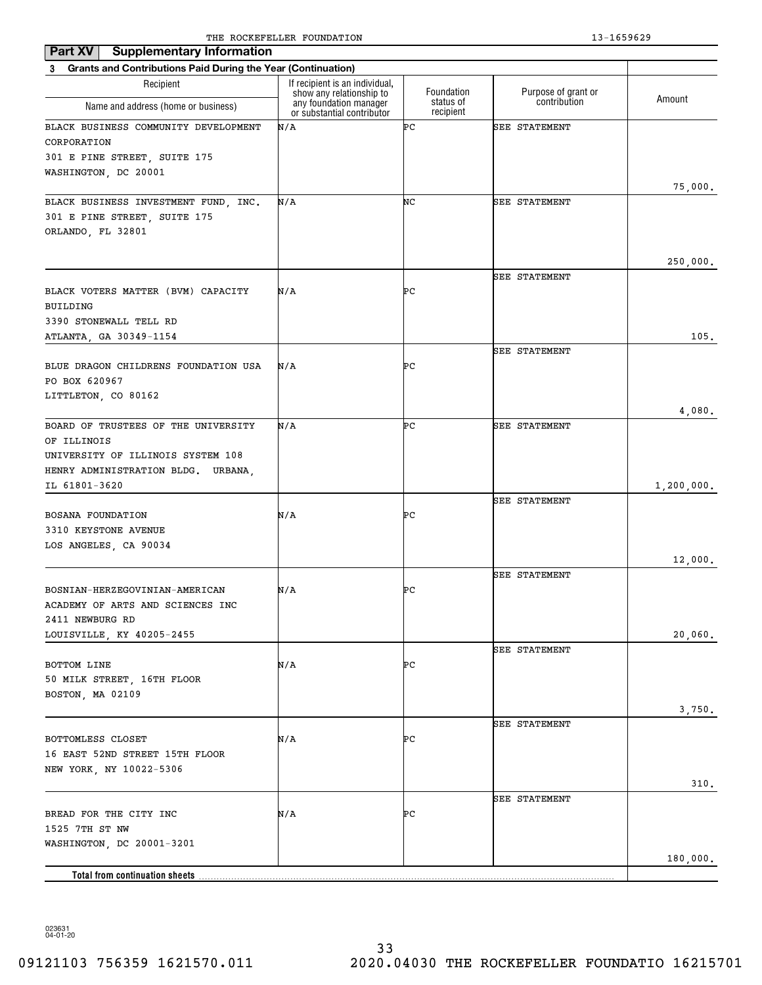| <b>Supplementary Information</b><br>Part XV                             |                                                            |                        |                      |            |
|-------------------------------------------------------------------------|------------------------------------------------------------|------------------------|----------------------|------------|
| 3 Grants and Contributions Paid During the Year (Continuation)          |                                                            |                        |                      |            |
| Recipient                                                               | If recipient is an individual,<br>show any relationship to | Foundation             | Purpose of grant or  |            |
| Name and address (home or business)                                     | any foundation manager<br>or substantial contributor       | status of<br>recipient | contribution         | Amount     |
| BLACK BUSINESS COMMUNITY DEVELOPMENT                                    | N/A                                                        | ÞС                     | <b>SEE STATEMENT</b> |            |
| CORPORATION                                                             |                                                            |                        |                      |            |
| 301 E PINE STREET, SUITE 175                                            |                                                            |                        |                      |            |
| WASHINGTON, DC 20001                                                    |                                                            |                        |                      |            |
| BLACK BUSINESS INVESTMENT FUND, INC.                                    | N/A                                                        | NC                     | <b>SEE STATEMENT</b> | 75,000.    |
| 301 E PINE STREET, SUITE 175                                            |                                                            |                        |                      |            |
| ORLANDO, FL 32801                                                       |                                                            |                        |                      |            |
|                                                                         |                                                            |                        |                      |            |
|                                                                         |                                                            |                        |                      | 250,000.   |
|                                                                         |                                                            |                        | <b>SEE STATEMENT</b> |            |
| BLACK VOTERS MATTER (BVM) CAPACITY                                      | N/A                                                        | ÞС                     |                      |            |
| BUILDING<br>3390 STONEWALL TELL RD                                      |                                                            |                        |                      |            |
| ATLANTA, GA 30349-1154                                                  |                                                            |                        |                      | 105.       |
|                                                                         |                                                            |                        | SEE STATEMENT        |            |
| BLUE DRAGON CHILDRENS FOUNDATION USA                                    | N/A                                                        | ÞС                     |                      |            |
| PO BOX 620967                                                           |                                                            |                        |                      |            |
| LITTLETON, CO 80162                                                     |                                                            |                        |                      |            |
|                                                                         |                                                            |                        |                      | 4,080.     |
| BOARD OF TRUSTEES OF THE UNIVERSITY                                     | N/A                                                        | ÞС                     | <b>SEE STATEMENT</b> |            |
| OF ILLINOIS                                                             |                                                            |                        |                      |            |
| UNIVERSITY OF ILLINOIS SYSTEM 108<br>HENRY ADMINISTRATION BLDG. URBANA, |                                                            |                        |                      |            |
| IL 61801-3620                                                           |                                                            |                        |                      | 1,200,000. |
|                                                                         |                                                            |                        | <b>SEE STATEMENT</b> |            |
| BOSANA FOUNDATION                                                       | N/A                                                        | ÞС                     |                      |            |
| 3310 KEYSTONE AVENUE                                                    |                                                            |                        |                      |            |
| LOS ANGELES, CA 90034                                                   |                                                            |                        |                      |            |
|                                                                         |                                                            |                        |                      | 12,000.    |
|                                                                         |                                                            | ÞС                     | SEE STATEMENT        |            |
| BOSNIAN-HERZEGOVINIAN-AMERICAN<br>ACADEMY OF ARTS AND SCIENCES INC      | N/A                                                        |                        |                      |            |
| 2411 NEWBURG RD                                                         |                                                            |                        |                      |            |
| LOUISVILLE, KY 40205-2455                                               |                                                            |                        |                      | 20,060.    |
|                                                                         |                                                            |                        | <b>SEE STATEMENT</b> |            |
| BOTTOM LINE                                                             | N/A                                                        | PС                     |                      |            |
| 50 MILK STREET, 16TH FLOOR                                              |                                                            |                        |                      |            |
| BOSTON, MA 02109                                                        |                                                            |                        |                      |            |
|                                                                         |                                                            |                        | SEE STATEMENT        | 3,750.     |
| BOTTOMLESS CLOSET                                                       | N/A                                                        | ÞС                     |                      |            |
| 16 EAST 52ND STREET 15TH FLOOR                                          |                                                            |                        |                      |            |
| NEW YORK, NY 10022-5306                                                 |                                                            |                        |                      |            |
|                                                                         |                                                            |                        |                      | 310.       |
|                                                                         |                                                            |                        | <b>SEE STATEMENT</b> |            |
| BREAD FOR THE CITY INC                                                  | N/A                                                        | PС                     |                      |            |
| 1525 7TH ST NW                                                          |                                                            |                        |                      |            |
| WASHINGTON, DC 20001-3201                                               |                                                            |                        |                      | 180,000.   |
| <b>Total from continuation sheets</b>                                   |                                                            |                        |                      |            |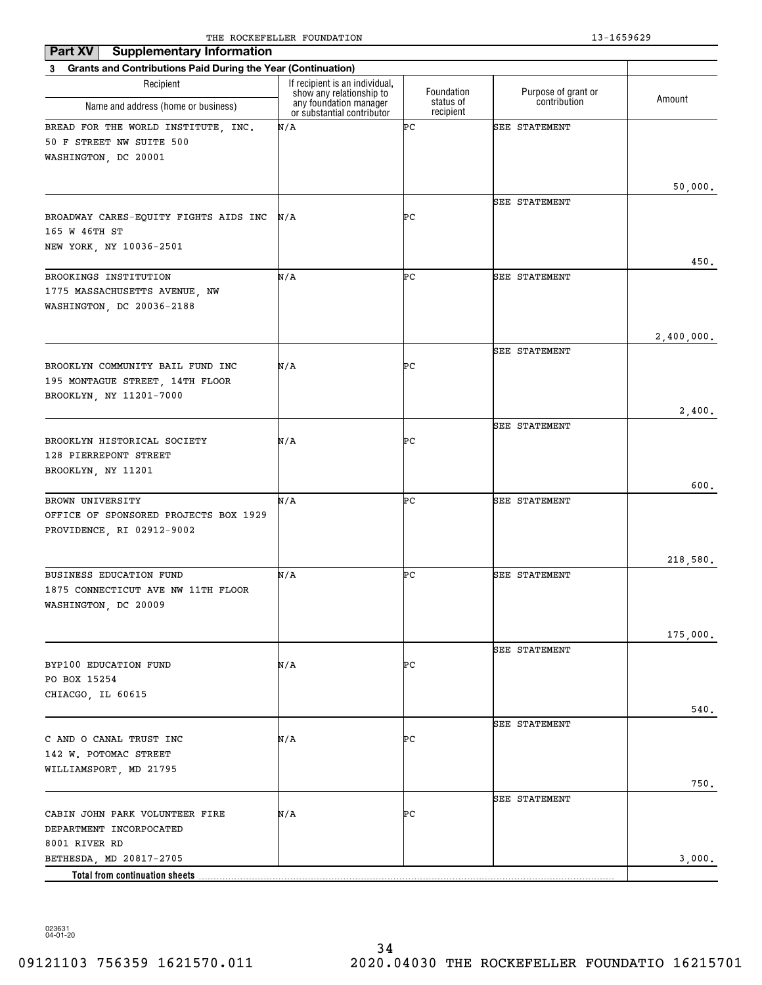| <b>Supplementary Information</b><br>Part XV<br>3 Grants and Contributions Paid During the Year (Continuation) |                                                      |           |                      |            |  |  |
|---------------------------------------------------------------------------------------------------------------|------------------------------------------------------|-----------|----------------------|------------|--|--|
|                                                                                                               |                                                      |           |                      |            |  |  |
| Name and address (home or business)                                                                           | any foundation manager<br>or substantial contributor | recipient |                      |            |  |  |
| BREAD FOR THE WORLD INSTITUTE, INC.<br>50 F STREET NW SUITE 500                                               | N/A                                                  | ÞС        | <b>SEE STATEMENT</b> |            |  |  |
| WASHINGTON, DC 20001                                                                                          |                                                      |           |                      |            |  |  |
|                                                                                                               |                                                      |           |                      | 50,000.    |  |  |
|                                                                                                               |                                                      |           | <b>SEE STATEMENT</b> |            |  |  |
| BROADWAY CARES-EQUITY FIGHTS AIDS INC                                                                         | N/A                                                  | ÞС        |                      |            |  |  |
| 165 W 46TH ST                                                                                                 |                                                      |           |                      |            |  |  |
| NEW YORK, NY 10036-2501                                                                                       |                                                      |           |                      |            |  |  |
| BROOKINGS INSTITUTION                                                                                         | N/A                                                  | ÞС        | SEE STATEMENT        | 450.       |  |  |
| 1775 MASSACHUSETTS AVENUE, NW                                                                                 |                                                      |           |                      |            |  |  |
| WASHINGTON, DC 20036-2188                                                                                     |                                                      |           |                      |            |  |  |
|                                                                                                               |                                                      |           |                      |            |  |  |
|                                                                                                               |                                                      |           |                      | 2,400,000. |  |  |
|                                                                                                               |                                                      |           | <b>SEE STATEMENT</b> |            |  |  |
| BROOKLYN COMMUNITY BAIL FUND INC                                                                              | N/A                                                  | ÞС        |                      |            |  |  |
| 195 MONTAGUE STREET, 14TH FLOOR                                                                               |                                                      |           |                      |            |  |  |
| BROOKLYN, NY 11201-7000                                                                                       |                                                      |           |                      | 2,400.     |  |  |
|                                                                                                               |                                                      |           | <b>SEE STATEMENT</b> |            |  |  |
| BROOKLYN HISTORICAL SOCIETY                                                                                   | N/A                                                  | ÞС        |                      |            |  |  |
| 128 PIERREPONT STREET                                                                                         |                                                      |           |                      |            |  |  |
| BROOKLYN, NY 11201                                                                                            |                                                      |           |                      |            |  |  |
|                                                                                                               | N/A                                                  | ÞС        |                      | 600.       |  |  |
| BROWN UNIVERSITY<br>OFFICE OF SPONSORED PROJECTS BOX 1929                                                     |                                                      |           | <b>SEE STATEMENT</b> |            |  |  |
| PROVIDENCE, RI 02912-9002                                                                                     |                                                      |           |                      |            |  |  |
|                                                                                                               |                                                      |           |                      |            |  |  |
|                                                                                                               |                                                      |           |                      | 218,580.   |  |  |
| <b>BUSINESS EDUCATION FUND</b>                                                                                | N/A                                                  | ÞС        | SEE STATEMENT        |            |  |  |
| 1875 CONNECTICUT AVE NW 11TH FLOOR                                                                            |                                                      |           |                      |            |  |  |
| WASHINGTON, DC 20009                                                                                          |                                                      |           |                      |            |  |  |
|                                                                                                               |                                                      |           |                      | 175,000.   |  |  |
|                                                                                                               |                                                      |           | <b>SEE STATEMENT</b> |            |  |  |
| BYP100 EDUCATION FUND                                                                                         | N/A                                                  | ÞС        |                      |            |  |  |
| PO BOX 15254                                                                                                  |                                                      |           |                      |            |  |  |
| CHIACGO, IL 60615                                                                                             |                                                      |           |                      |            |  |  |
|                                                                                                               |                                                      |           |                      | $540.$     |  |  |
| C AND O CANAL TRUST INC                                                                                       | N/A                                                  | ÞС        | <b>SEE STATEMENT</b> |            |  |  |
| 142 W. POTOMAC STREET                                                                                         |                                                      |           |                      |            |  |  |
| WILLIAMSPORT, MD 21795                                                                                        |                                                      |           |                      |            |  |  |
|                                                                                                               |                                                      |           |                      | $750.$     |  |  |
|                                                                                                               |                                                      |           | <b>SEE STATEMENT</b> |            |  |  |
| CABIN JOHN PARK VOLUNTEER FIRE                                                                                | N/A                                                  | ÞС        |                      |            |  |  |
| DEPARTMENT INCORPOCATED<br>8001 RIVER RD                                                                      |                                                      |           |                      |            |  |  |
| BETHESDA, MD 20817-2705                                                                                       |                                                      |           |                      | 3,000.     |  |  |
| Total from continuation sheets                                                                                |                                                      |           |                      |            |  |  |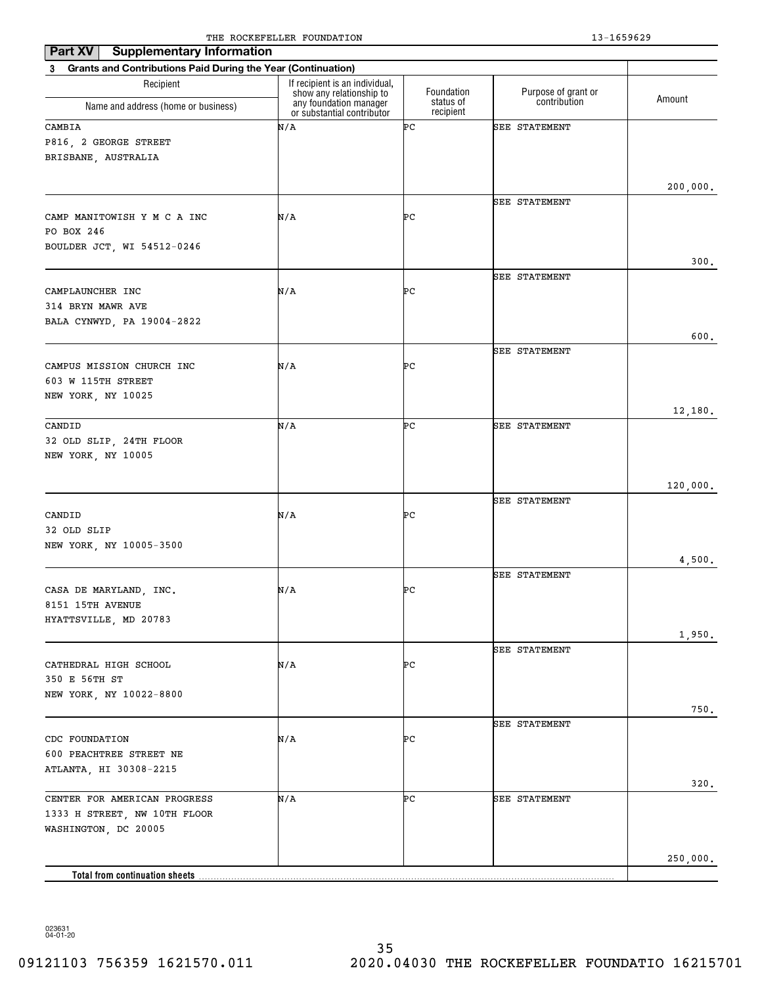| <b>Supplementary Information</b><br>Part XV                              |                                                            |                         |                                     |          |  |  |
|--------------------------------------------------------------------------|------------------------------------------------------------|-------------------------|-------------------------------------|----------|--|--|
| <b>Grants and Contributions Paid During the Year (Continuation)</b><br>3 |                                                            |                         |                                     |          |  |  |
| Recipient                                                                | If recipient is an individual,<br>show any relationship to | Foundation<br>status of | Purpose of grant or<br>contribution | Amount   |  |  |
| Name and address (home or business)                                      | any foundation manager<br>or substantial contributor       | recipient               |                                     |          |  |  |
| CAMBIA<br>P816, 2 GEORGE STREET<br>BRISBANE, AUSTRALIA                   | N/A                                                        | ÞС                      | SEE STATEMENT                       |          |  |  |
|                                                                          |                                                            |                         |                                     | 200,000. |  |  |
| CAMP MANITOWISH Y M C A INC<br>PO BOX 246<br>BOULDER JCT, WI 54512-0246  | N/A                                                        | ÞС                      | SEE STATEMENT                       |          |  |  |
|                                                                          |                                                            |                         | SEE STATEMENT                       | 300.     |  |  |
| CAMPLAUNCHER INC<br>314 BRYN MAWR AVE<br>BALA CYNWYD, PA 19004-2822      | N/A                                                        | ÞС                      |                                     |          |  |  |
|                                                                          |                                                            |                         |                                     | 600.     |  |  |
| CAMPUS MISSION CHURCH INC<br>603 W 115TH STREET<br>NEW YORK, NY 10025    | N/A                                                        | ÞС                      | SEE STATEMENT                       |          |  |  |
|                                                                          |                                                            |                         |                                     | 12,180.  |  |  |
| CANDID<br>32 OLD SLIP, 24TH FLOOR<br>NEW YORK, NY 10005                  | N/A                                                        | ÞС                      | SEE STATEMENT                       |          |  |  |
|                                                                          |                                                            |                         |                                     | 120,000. |  |  |
| CANDID<br>32 OLD SLIP                                                    | N/A                                                        | ÞС                      | SEE STATEMENT                       |          |  |  |
| NEW YORK, NY 10005-3500                                                  |                                                            |                         |                                     | 4,500.   |  |  |
| CASA DE MARYLAND, INC.<br>8151 15TH AVENUE                               | N/A                                                        | ÞС                      | SEE STATEMENT                       |          |  |  |
| HYATTSVILLE, MD 20783                                                    |                                                            |                         |                                     |          |  |  |
|                                                                          |                                                            |                         |                                     | 1,950.   |  |  |
| CATHEDRAL HIGH SCHOOL<br>350 E 56TH ST<br>NEW YORK, NY 10022-8800        | N/A                                                        | ÞС                      | SEE STATEMENT                       | $750$ .  |  |  |
|                                                                          |                                                            |                         | SEE STATEMENT                       |          |  |  |
| CDC FOUNDATION<br>600 PEACHTREE STREET NE<br>ATLANTA, HI 30308-2215      | N/A                                                        | ÞС                      |                                     |          |  |  |
| CENTER FOR AMERICAN PROGRESS                                             | N/A                                                        | ÞС                      | SEE STATEMENT                       | 320.     |  |  |
| 1333 H STREET, NW 10TH FLOOR<br>WASHINGTON, DC 20005                     |                                                            |                         |                                     |          |  |  |
|                                                                          |                                                            |                         |                                     | 250,000. |  |  |
| <b>Total from continuation sheets</b>                                    |                                                            |                         |                                     |          |  |  |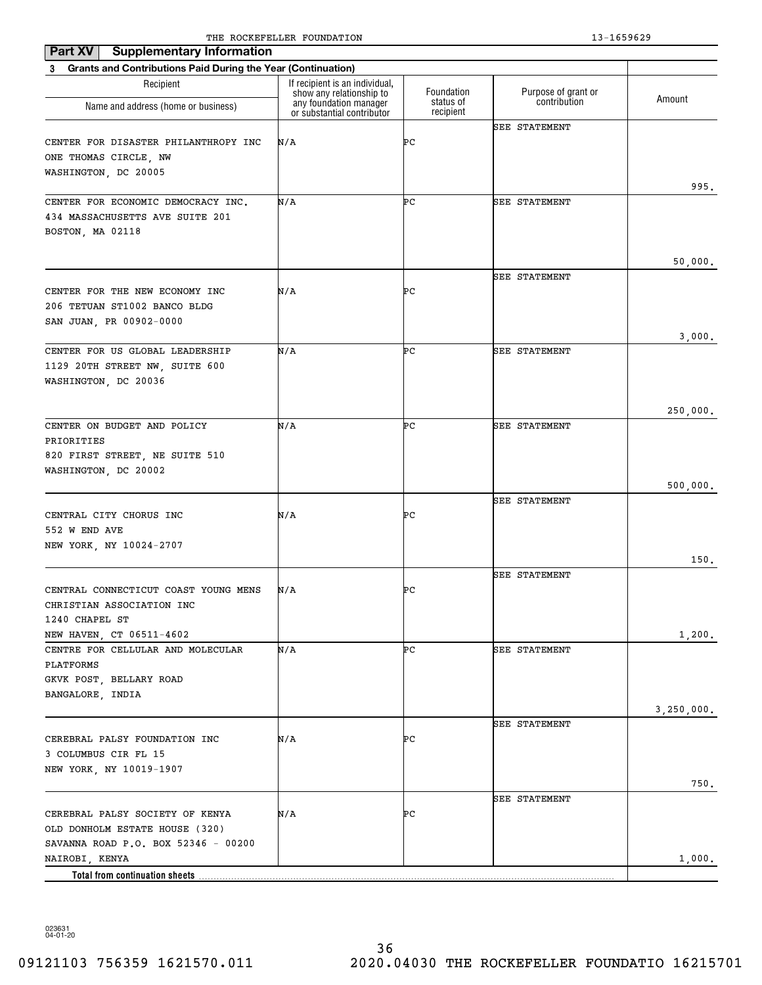| <b>Part XV</b><br><b>Supplementary Information</b>                                                                         |                                                            |                        |                      |                      |  |  |
|----------------------------------------------------------------------------------------------------------------------------|------------------------------------------------------------|------------------------|----------------------|----------------------|--|--|
| 3 Grants and Contributions Paid During the Year (Continuation)                                                             |                                                            |                        |                      |                      |  |  |
| Recipient                                                                                                                  | If recipient is an individual,<br>show any relationship to | Foundation             | Purpose of grant or  | Amount               |  |  |
| Name and address (home or business)                                                                                        | any foundation manager<br>or substantial contributor       | status of<br>recipient | contribution         |                      |  |  |
| CENTER FOR DISASTER PHILANTHROPY INC<br>ONE THOMAS CIRCLE, NW<br>WASHINGTON, DC 20005                                      | N/A                                                        | ÞС                     | <b>SEE STATEMENT</b> | 995.                 |  |  |
| CENTER FOR ECONOMIC DEMOCRACY INC.<br>434 MASSACHUSETTS AVE SUITE 201<br>BOSTON, MA 02118                                  | N/A                                                        | ÞС                     | <b>SEE STATEMENT</b> |                      |  |  |
| CENTER FOR THE NEW ECONOMY INC<br>206 TETUAN ST1002 BANCO BLDG<br>SAN JUAN, PR 00902-0000                                  | N/A                                                        | ÞС                     | <b>SEE STATEMENT</b> | 50,000.              |  |  |
| CENTER FOR US GLOBAL LEADERSHIP<br>1129 20TH STREET NW, SUITE 600<br>WASHINGTON, DC 20036                                  | N/A                                                        | ÞС                     | SEE STATEMENT        | 3,000.               |  |  |
| CENTER ON BUDGET AND POLICY<br>PRIORITIES<br>820 FIRST STREET, NE SUITE 510<br>WASHINGTON, DC 20002                        | N/A                                                        | ÞС                     | <b>SEE STATEMENT</b> | 250,000.             |  |  |
| CENTRAL CITY CHORUS INC<br>552 W END AVE<br>NEW YORK, NY 10024-2707                                                        | N/A                                                        | ÞС                     | <b>SEE STATEMENT</b> | 500,000.             |  |  |
| CENTRAL CONNECTICUT COAST YOUNG MENS<br>CHRISTIAN ASSOCIATION INC<br>1240 CHAPEL ST                                        | N/A                                                        | ÞС                     | <b>SEE STATEMENT</b> | 150.                 |  |  |
| NEW HAVEN, CT 06511-4602<br>CENTRE FOR CELLULAR AND MOLECULAR<br>PLATFORMS<br>GKVK POST, BELLARY ROAD<br>BANGALORE, INDIA  | N/A                                                        | ÞС                     | <b>SEE STATEMENT</b> | 1,200.<br>3,250,000. |  |  |
| CEREBRAL PALSY FOUNDATION INC<br>3 COLUMBUS CIR FL 15<br>NEW YORK, NY 10019-1907                                           | N/A                                                        | ÞС                     | <b>SEE STATEMENT</b> | 750.                 |  |  |
| CEREBRAL PALSY SOCIETY OF KENYA<br>OLD DONHOLM ESTATE HOUSE (320)<br>SAVANNA ROAD P.O. BOX 52346 - 00200<br>NAIROBI, KENYA | N/A                                                        | ÞС                     | <b>SEE STATEMENT</b> | 1,000.               |  |  |
|                                                                                                                            |                                                            |                        |                      |                      |  |  |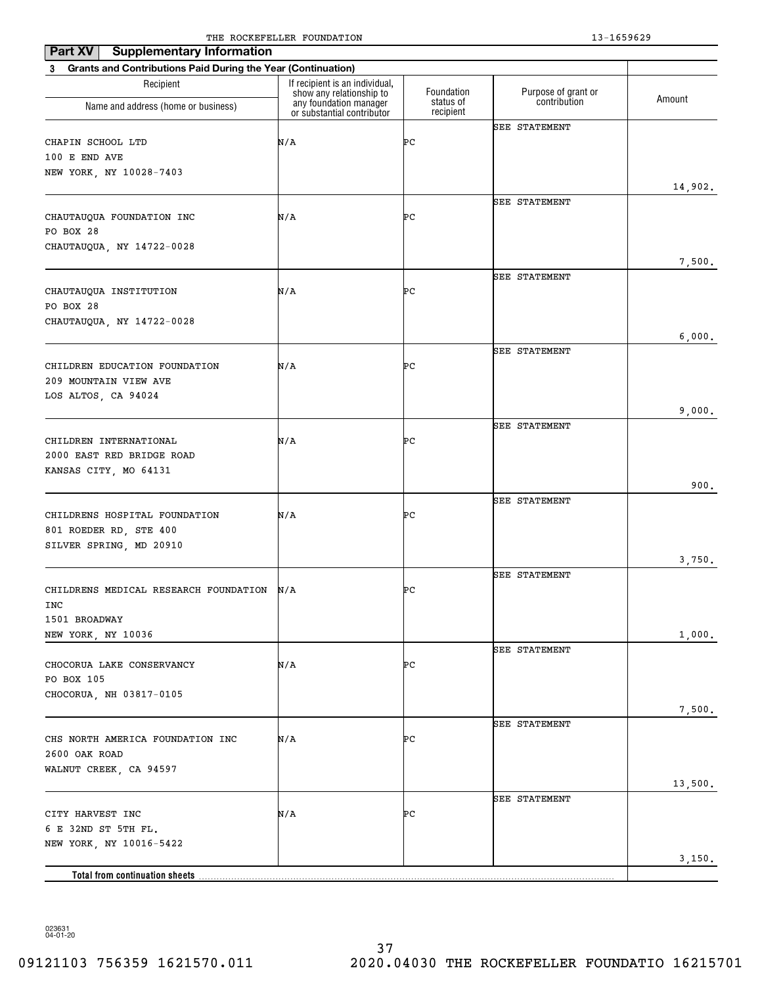| Part XV<br><b>Supplementary Information</b>                              | The Rocker needs roombillion                               |                        | 19 10990 <i>49</i>   |         |
|--------------------------------------------------------------------------|------------------------------------------------------------|------------------------|----------------------|---------|
| <b>Grants and Contributions Paid During the Year (Continuation)</b><br>3 |                                                            |                        |                      |         |
| Recipient                                                                | If recipient is an individual,<br>show any relationship to | Foundation             | Purpose of grant or  |         |
| Name and address (home or business)                                      | any foundation manager<br>or substantial contributor       | status of<br>recipient | contribution         | Amount  |
|                                                                          |                                                            |                        | <b>SEE STATEMENT</b> |         |
| CHAPIN SCHOOL LTD                                                        | N/A                                                        | ÞС                     |                      |         |
| 100 E END AVE                                                            |                                                            |                        |                      |         |
| NEW YORK, NY 10028-7403                                                  |                                                            |                        |                      |         |
|                                                                          |                                                            |                        | SEE STATEMENT        | 14,902. |
| CHAUTAUQUA FOUNDATION INC                                                | N/A                                                        | ÞС                     |                      |         |
| PO BOX 28                                                                |                                                            |                        |                      |         |
| CHAUTAUQUA, NY 14722-0028                                                |                                                            |                        |                      |         |
|                                                                          |                                                            |                        |                      | 7,500.  |
|                                                                          |                                                            |                        | <b>SEE STATEMENT</b> |         |
| CHAUTAUQUA INSTITUTION                                                   | N/A                                                        | ÞС                     |                      |         |
| PO BOX 28                                                                |                                                            |                        |                      |         |
| CHAUTAUQUA, NY 14722-0028                                                |                                                            |                        |                      |         |
|                                                                          |                                                            |                        |                      | 6,000.  |
|                                                                          |                                                            |                        | <b>SEE STATEMENT</b> |         |
| CHILDREN EDUCATION FOUNDATION                                            | N/A                                                        | ÞС                     |                      |         |
| 209 MOUNTAIN VIEW AVE                                                    |                                                            |                        |                      |         |
| LOS ALTOS, CA 94024                                                      |                                                            |                        |                      | 9,000.  |
|                                                                          |                                                            |                        | <b>SEE STATEMENT</b> |         |
| CHILDREN INTERNATIONAL                                                   | N/A                                                        | ÞС                     |                      |         |
| 2000 EAST RED BRIDGE ROAD                                                |                                                            |                        |                      |         |
| KANSAS CITY, MO 64131                                                    |                                                            |                        |                      |         |
|                                                                          |                                                            |                        |                      | 900.    |
|                                                                          |                                                            |                        | <b>SEE STATEMENT</b> |         |
| CHILDRENS HOSPITAL FOUNDATION                                            | N/A                                                        | ÞС                     |                      |         |
| 801 ROEDER RD, STE 400                                                   |                                                            |                        |                      |         |
| SILVER SPRING, MD 20910                                                  |                                                            |                        |                      |         |
|                                                                          |                                                            |                        |                      | 3,750.  |
| CHILDRENS MEDICAL RESEARCH FOUNDATION                                    | N/A                                                        | ÞС                     | <b>SEE STATEMENT</b> |         |
| INC                                                                      |                                                            |                        |                      |         |
| 1501 BROADWAY                                                            |                                                            |                        |                      |         |
| NEW YORK, NY 10036                                                       |                                                            |                        |                      | 1,000.  |
|                                                                          |                                                            |                        | <b>SEE STATEMENT</b> |         |
| CHOCORUA LAKE CONSERVANCY                                                | N/A                                                        | ÞС                     |                      |         |
| PO BOX 105                                                               |                                                            |                        |                      |         |
| CHOCORUA, NH 03817-0105                                                  |                                                            |                        |                      |         |
|                                                                          |                                                            |                        |                      | 7,500.  |
| CHS NORTH AMERICA FOUNDATION INC                                         |                                                            |                        | <b>SEE STATEMENT</b> |         |
| 2600 OAK ROAD                                                            | N/A                                                        | ÞС                     |                      |         |
| WALNUT CREEK, CA 94597                                                   |                                                            |                        |                      |         |
|                                                                          |                                                            |                        |                      | 13,500. |
|                                                                          |                                                            |                        | <b>SEE STATEMENT</b> |         |
| CITY HARVEST INC                                                         | N/A                                                        | ÞС                     |                      |         |
| 6 E 32ND ST 5TH FL.                                                      |                                                            |                        |                      |         |
| NEW YORK, NY 10016-5422                                                  |                                                            |                        |                      |         |
|                                                                          |                                                            |                        |                      | 3,150.  |
|                                                                          |                                                            |                        |                      |         |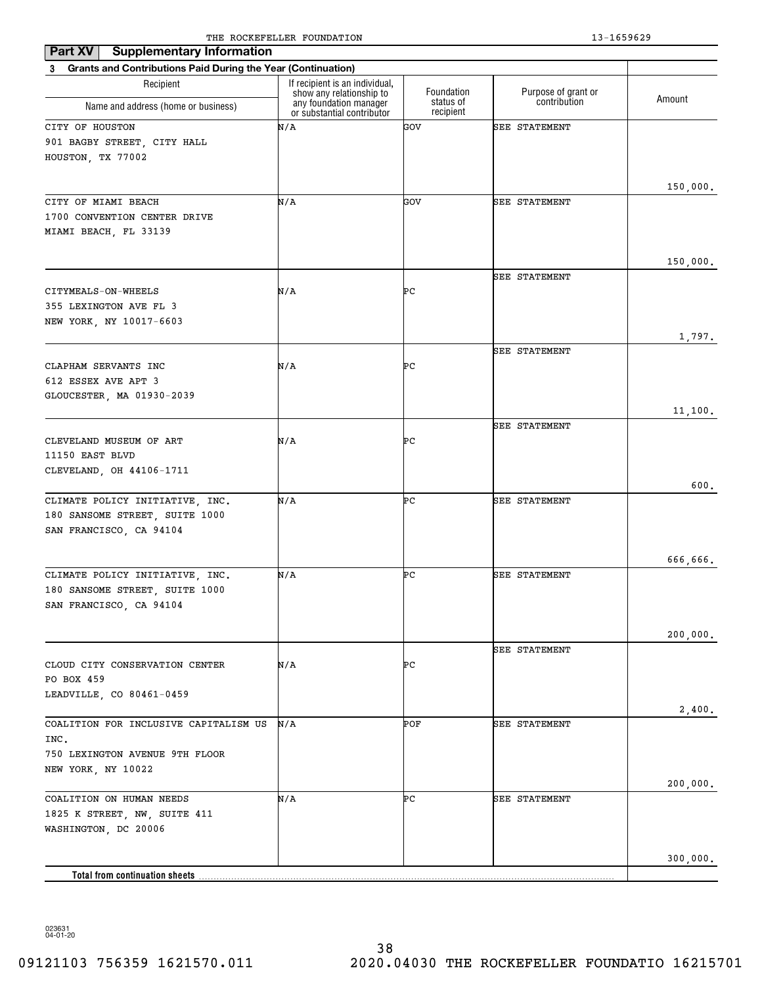| Part XV<br><b>Supplementary Information</b>                    |                                                    |                         |                                     |          |
|----------------------------------------------------------------|----------------------------------------------------|-------------------------|-------------------------------------|----------|
| 3 Grants and Contributions Paid During the Year (Continuation) | If recipient is an individual,                     |                         |                                     |          |
| Recipient<br>Name and address (home or business)               | show any relationship to<br>any foundation manager | Foundation<br>status of | Purpose of grant or<br>contribution | Amount   |
|                                                                | or substantial contributor                         | recipient               |                                     |          |
| CITY OF HOUSTON                                                | N/A                                                | GOV                     | <b>SEE STATEMENT</b>                |          |
| 901 BAGBY STREET, CITY HALL                                    |                                                    |                         |                                     |          |
| HOUSTON, TX 77002                                              |                                                    |                         |                                     |          |
|                                                                |                                                    |                         |                                     | 150,000. |
| CITY OF MIAMI BEACH                                            | N/A                                                | GOV                     | <b>SEE STATEMENT</b>                |          |
| 1700 CONVENTION CENTER DRIVE                                   |                                                    |                         |                                     |          |
| MIAMI BEACH, FL 33139                                          |                                                    |                         |                                     |          |
|                                                                |                                                    |                         |                                     |          |
|                                                                |                                                    |                         |                                     | 150,000. |
|                                                                |                                                    |                         | <b>SEE STATEMENT</b>                |          |
| CITYMEALS-ON-WHEELS                                            | N/A                                                | ÞС                      |                                     |          |
| 355 LEXINGTON AVE FL 3                                         |                                                    |                         |                                     |          |
| NEW YORK, NY 10017-6603                                        |                                                    |                         |                                     |          |
|                                                                |                                                    |                         |                                     | 1,797.   |
|                                                                |                                                    |                         | <b>SEE STATEMENT</b>                |          |
| CLAPHAM SERVANTS INC                                           | N/A                                                | ÞС                      |                                     |          |
| 612 ESSEX AVE APT 3                                            |                                                    |                         |                                     |          |
| GLOUCESTER, MA 01930-2039                                      |                                                    |                         |                                     |          |
|                                                                |                                                    |                         | <b>SEE STATEMENT</b>                | 11,100.  |
| CLEVELAND MUSEUM OF ART                                        | N/A                                                | ÞС                      |                                     |          |
| 11150 EAST BLVD                                                |                                                    |                         |                                     |          |
| CLEVELAND, OH 44106-1711                                       |                                                    |                         |                                     |          |
|                                                                |                                                    |                         |                                     | 600.     |
| CLIMATE POLICY INITIATIVE, INC.                                | N/A                                                | ÞС                      | <b>SEE STATEMENT</b>                |          |
| 180 SANSOME STREET, SUITE 1000                                 |                                                    |                         |                                     |          |
| SAN FRANCISCO, CA 94104                                        |                                                    |                         |                                     |          |
|                                                                |                                                    |                         |                                     |          |
|                                                                |                                                    |                         |                                     | 666,666. |
| CLIMATE POLICY INITIATIVE, INC.                                | N/A                                                | ÞС                      | <b>SEE STATEMENT</b>                |          |
| 180 SANSOME STREET, SUITE 1000                                 |                                                    |                         |                                     |          |
| SAN FRANCISCO, CA 94104                                        |                                                    |                         |                                     |          |
|                                                                |                                                    |                         |                                     |          |
|                                                                |                                                    |                         |                                     | 200,000. |
|                                                                |                                                    |                         | <b>SEE STATEMENT</b>                |          |
| CLOUD CITY CONSERVATION CENTER<br>PO BOX 459                   | N/A                                                | ÞС                      |                                     |          |
| LEADVILLE, CO 80461-0459                                       |                                                    |                         |                                     |          |
|                                                                |                                                    |                         |                                     | 2,400.   |
| COALITION FOR INCLUSIVE CAPITALISM US                          | N/A                                                | POF                     | <b>SEE STATEMENT</b>                |          |
| INC.                                                           |                                                    |                         |                                     |          |
| 750 LEXINGTON AVENUE 9TH FLOOR                                 |                                                    |                         |                                     |          |
| NEW YORK, NY 10022                                             |                                                    |                         |                                     |          |
|                                                                |                                                    |                         |                                     | 200,000. |
| COALITION ON HUMAN NEEDS                                       | N/A                                                | ÞС                      | <b>SEE STATEMENT</b>                |          |
| 1825 K STREET, NW, SUITE 411                                   |                                                    |                         |                                     |          |
| WASHINGTON, DC 20006                                           |                                                    |                         |                                     |          |
|                                                                |                                                    |                         |                                     |          |
|                                                                |                                                    |                         |                                     | 300,000. |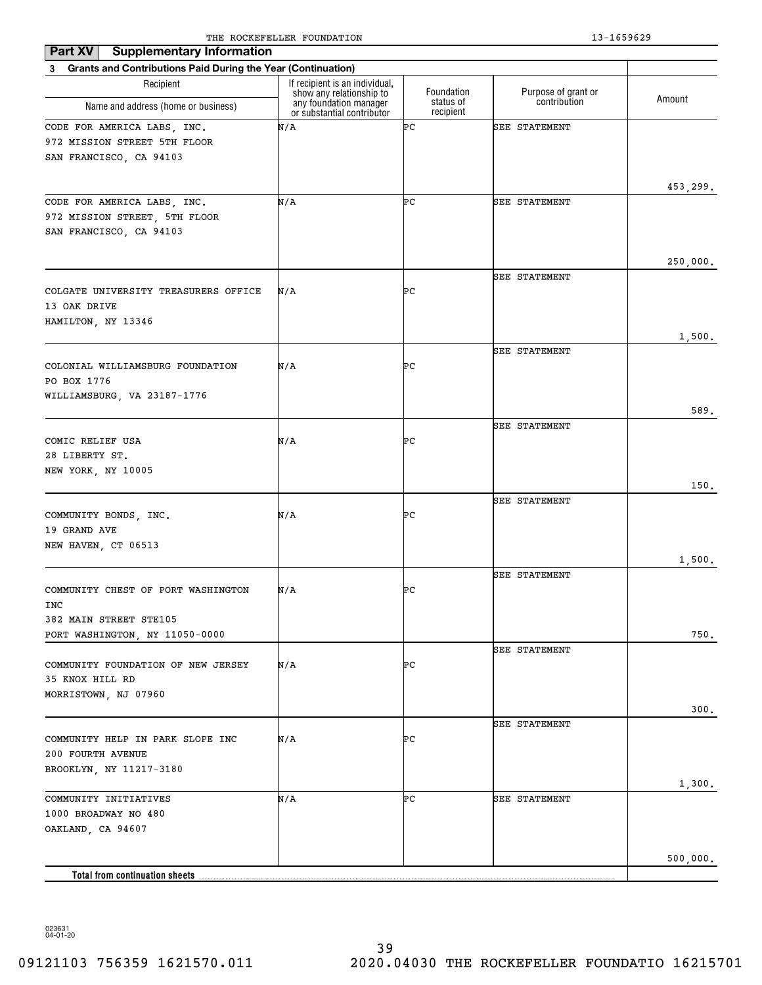| <b>Supplementary Information</b><br>Part XV                    |                                                            |                        |                      |          |
|----------------------------------------------------------------|------------------------------------------------------------|------------------------|----------------------|----------|
| 3 Grants and Contributions Paid During the Year (Continuation) |                                                            |                        |                      |          |
| Recipient                                                      | If recipient is an individual,<br>show any relationship to | Foundation             | Purpose of grant or  | Amount   |
| Name and address (home or business)                            | any foundation manager<br>or substantial contributor       | status of<br>recipient | contribution         |          |
| CODE FOR AMERICA LABS, INC.                                    | N/A                                                        | ÞС                     | <b>SEE STATEMENT</b> |          |
| 972 MISSION STREET 5TH FLOOR                                   |                                                            |                        |                      |          |
| SAN FRANCISCO, CA 94103                                        |                                                            |                        |                      |          |
|                                                                |                                                            |                        |                      |          |
| CODE FOR AMERICA LABS, INC.                                    | N/A                                                        | ÞС                     | <b>SEE STATEMENT</b> | 453,299. |
| 972 MISSION STREET, 5TH FLOOR                                  |                                                            |                        |                      |          |
| SAN FRANCISCO, CA 94103                                        |                                                            |                        |                      |          |
|                                                                |                                                            |                        |                      |          |
|                                                                |                                                            |                        |                      | 250,000. |
|                                                                |                                                            |                        | <b>SEE STATEMENT</b> |          |
| COLGATE UNIVERSITY TREASURERS OFFICE                           | N/A                                                        | ÞС                     |                      |          |
| 13 OAK DRIVE                                                   |                                                            |                        |                      |          |
| HAMILTON, NY 13346                                             |                                                            |                        |                      | 1,500.   |
|                                                                |                                                            |                        | <b>SEE STATEMENT</b> |          |
| COLONIAL WILLIAMSBURG FOUNDATION                               | N/A                                                        | PС                     |                      |          |
| PO BOX 1776                                                    |                                                            |                        |                      |          |
| WILLIAMSBURG, VA 23187-1776                                    |                                                            |                        |                      |          |
|                                                                |                                                            |                        |                      | 589.     |
|                                                                |                                                            |                        | <b>SEE STATEMENT</b> |          |
| COMIC RELIEF USA<br>28 LIBERTY ST.                             | N/A                                                        | ÞС                     |                      |          |
| NEW YORK, NY 10005                                             |                                                            |                        |                      |          |
|                                                                |                                                            |                        |                      | 150.     |
|                                                                |                                                            |                        | <b>SEE STATEMENT</b> |          |
| COMMUNITY BONDS, INC.                                          | N/A                                                        | PС                     |                      |          |
| 19 GRAND AVE                                                   |                                                            |                        |                      |          |
| NEW HAVEN, CT 06513                                            |                                                            |                        |                      |          |
|                                                                |                                                            |                        | <b>SEE STATEMENT</b> | 1,500.   |
| COMMUNITY CHEST OF PORT WASHINGTON                             | N/A                                                        | ÞС                     |                      |          |
| INC                                                            |                                                            |                        |                      |          |
| 382 MAIN STREET STE105                                         |                                                            |                        |                      |          |
| PORT WASHINGTON, NY 11050-0000                                 |                                                            |                        |                      | 750.     |
|                                                                |                                                            |                        | <b>SEE STATEMENT</b> |          |
| COMMUNITY FOUNDATION OF NEW JERSEY<br>35 KNOX HILL RD          | N/A                                                        | ÞС                     |                      |          |
| MORRISTOWN, NJ 07960                                           |                                                            |                        |                      |          |
|                                                                |                                                            |                        |                      | 300.     |
|                                                                |                                                            |                        | <b>SEE STATEMENT</b> |          |
| COMMUNITY HELP IN PARK SLOPE INC                               | N/A                                                        | ÞС                     |                      |          |
| 200 FOURTH AVENUE                                              |                                                            |                        |                      |          |
| BROOKLYN, NY 11217-3180                                        |                                                            |                        |                      |          |
| COMMUNITY INITIATIVES                                          | N/A                                                        | ÞС                     | <b>SEE STATEMENT</b> | 1,300.   |
| 1000 BROADWAY NO 480                                           |                                                            |                        |                      |          |
| OAKLAND, CA 94607                                              |                                                            |                        |                      |          |
|                                                                |                                                            |                        |                      |          |
|                                                                |                                                            |                        |                      | 500,000. |
| Total from continuation sheets                                 |                                                            |                        |                      |          |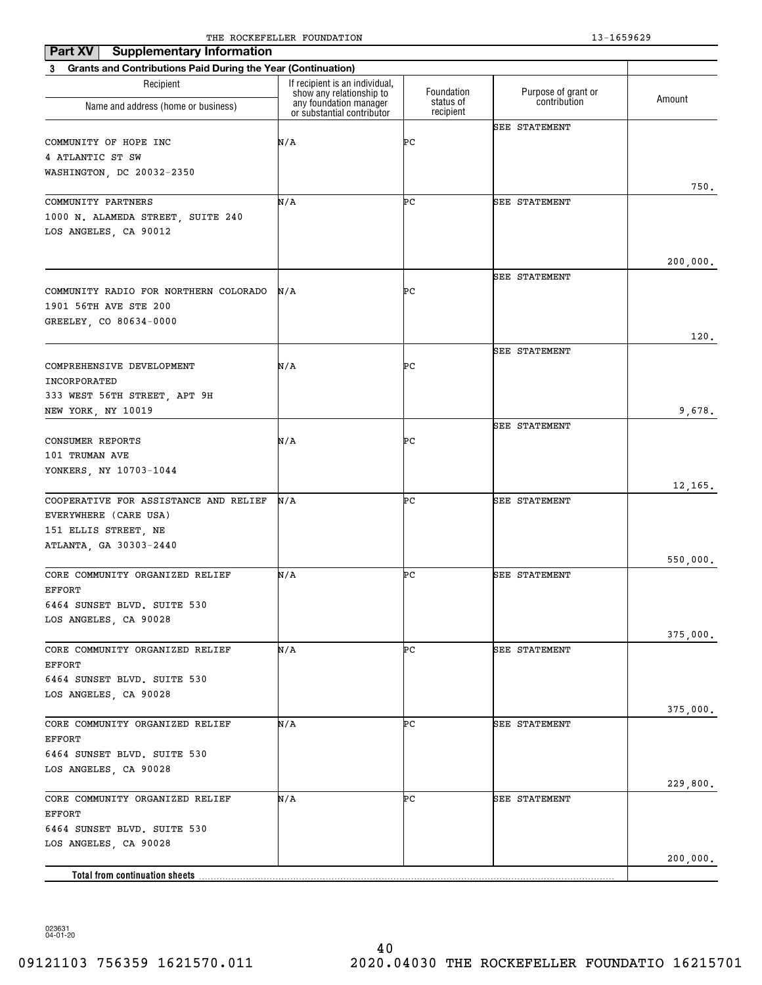| Part XV<br><b>Supplementary Information</b>                    | The Rocker needs roombillion                               |                        | -- -------           |          |
|----------------------------------------------------------------|------------------------------------------------------------|------------------------|----------------------|----------|
| 3 Grants and Contributions Paid During the Year (Continuation) |                                                            |                        |                      |          |
| Recipient                                                      | If recipient is an individual,<br>show any relationship to | Foundation             | Purpose of grant or  |          |
| Name and address (home or business)                            | any foundation manager<br>or substantial contributor       | status of<br>recipient | contribution         | Amount   |
|                                                                |                                                            |                        | <b>SEE STATEMENT</b> |          |
| COMMUNITY OF HOPE INC                                          | N/A                                                        | ÞС                     |                      |          |
| 4 ATLANTIC ST SW<br>WASHINGTON, DC 20032-2350                  |                                                            |                        |                      |          |
|                                                                |                                                            |                        |                      | 750.     |
| COMMUNITY PARTNERS                                             | N/A                                                        | ÞС                     | SEE STATEMENT        |          |
| 1000 N. ALAMEDA STREET, SUITE 240                              |                                                            |                        |                      |          |
| LOS ANGELES, CA 90012                                          |                                                            |                        |                      |          |
|                                                                |                                                            |                        |                      |          |
|                                                                |                                                            |                        |                      | 200,000. |
|                                                                |                                                            |                        | <b>SEE STATEMENT</b> |          |
| COMMUNITY RADIO FOR NORTHERN COLORADO<br>1901 56TH AVE STE 200 | N/A                                                        | ÞС                     |                      |          |
| GREELEY, CO 80634-0000                                         |                                                            |                        |                      |          |
|                                                                |                                                            |                        |                      | 120.     |
|                                                                |                                                            |                        | <b>SEE STATEMENT</b> |          |
| COMPREHENSIVE DEVELOPMENT                                      | N/A                                                        | ÞС                     |                      |          |
| INCORPORATED                                                   |                                                            |                        |                      |          |
| 333 WEST 56TH STREET, APT 9H                                   |                                                            |                        |                      |          |
| NEW YORK, NY 10019                                             |                                                            |                        |                      | 9,678.   |
|                                                                |                                                            |                        | <b>SEE STATEMENT</b> |          |
| CONSUMER REPORTS                                               | N/A                                                        | ÞС                     |                      |          |
| 101 TRUMAN AVE<br>YONKERS, NY 10703-1044                       |                                                            |                        |                      |          |
|                                                                |                                                            |                        |                      | 12,165.  |
| COOPERATIVE FOR ASSISTANCE AND RELIEF                          | N/A                                                        | ÞС                     | <b>SEE STATEMENT</b> |          |
| EVERYWHERE (CARE USA)                                          |                                                            |                        |                      |          |
| 151 ELLIS STREET, NE                                           |                                                            |                        |                      |          |
| ATLANTA, GA 30303-2440                                         |                                                            |                        |                      |          |
|                                                                |                                                            |                        |                      | 550,000. |
| CORE COMMUNITY ORGANIZED RELIEF                                | N/A                                                        | ÞС                     | SEE STATEMENT        |          |
| EFFORT<br>6464 SUNSET BLVD. SUITE 530                          |                                                            |                        |                      |          |
| LOS ANGELES, CA 90028                                          |                                                            |                        |                      |          |
|                                                                |                                                            |                        |                      | 375,000. |
| CORE COMMUNITY ORGANIZED RELIEF                                | N/A                                                        | ÞС                     | SEE STATEMENT        |          |
| EFFORT                                                         |                                                            |                        |                      |          |
| 6464 SUNSET BLVD. SUITE 530                                    |                                                            |                        |                      |          |
| LOS ANGELES, CA 90028                                          |                                                            |                        |                      |          |
|                                                                |                                                            |                        |                      | 375,000. |
| CORE COMMUNITY ORGANIZED RELIEF                                | N/A                                                        | ÞС                     | SEE STATEMENT        |          |
| EFFORT<br>6464 SUNSET BLVD. SUITE 530                          |                                                            |                        |                      |          |
| LOS ANGELES, CA 90028                                          |                                                            |                        |                      |          |
|                                                                |                                                            |                        |                      | 229,800. |
| CORE COMMUNITY ORGANIZED RELIEF                                | N/A                                                        | ÞС                     | SEE STATEMENT        |          |
| EFFORT                                                         |                                                            |                        |                      |          |
| 6464 SUNSET BLVD. SUITE 530                                    |                                                            |                        |                      |          |
| LOS ANGELES, CA 90028                                          |                                                            |                        |                      |          |
|                                                                |                                                            |                        |                      | 200,000. |
|                                                                |                                                            |                        |                      |          |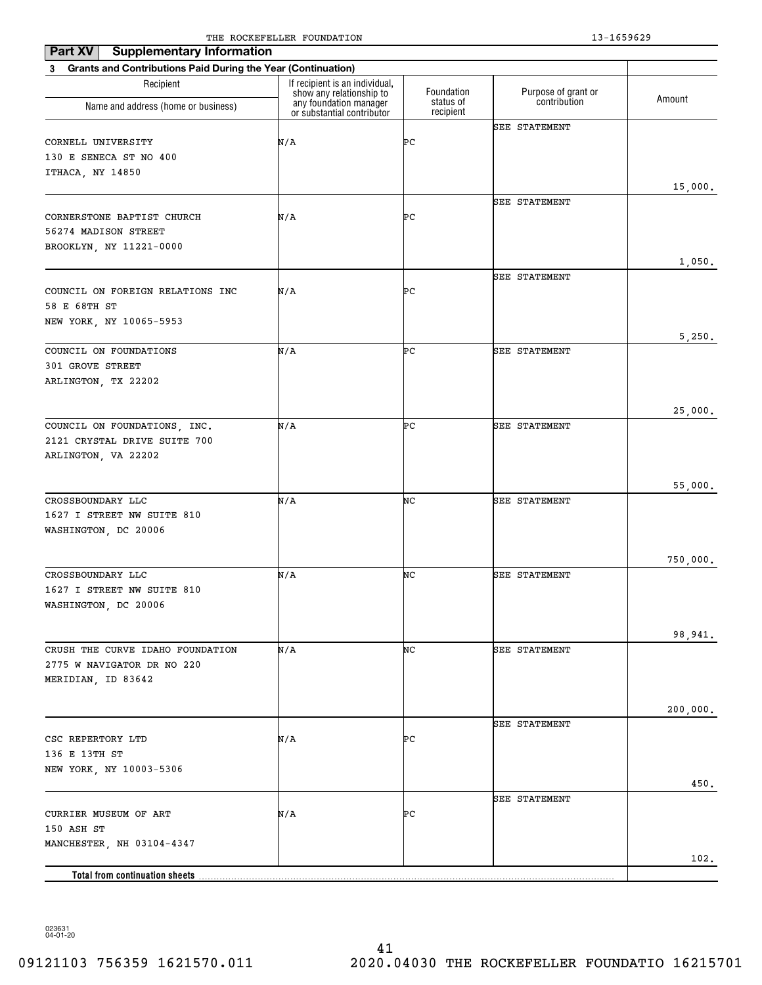| Part XV<br><b>Supplementary Information</b>                    | The Rocker needs roombillion                               |                        | 19 10990 <i>49</i>   |          |
|----------------------------------------------------------------|------------------------------------------------------------|------------------------|----------------------|----------|
| 3 Grants and Contributions Paid During the Year (Continuation) |                                                            |                        |                      |          |
| Recipient                                                      | If recipient is an individual,<br>show any relationship to | Foundation             | Purpose of grant or  |          |
| Name and address (home or business)                            | any foundation manager<br>or substantial contributor       | status of<br>recipient | contribution         | Amount   |
|                                                                |                                                            |                        | <b>SEE STATEMENT</b> |          |
| CORNELL UNIVERSITY                                             | N/A                                                        | ÞС                     |                      |          |
| 130 E SENECA ST NO 400                                         |                                                            |                        |                      |          |
| ITHACA, NY 14850                                               |                                                            |                        |                      |          |
|                                                                |                                                            |                        |                      | 15,000.  |
|                                                                |                                                            |                        | SEE STATEMENT        |          |
| CORNERSTONE BAPTIST CHURCH                                     | N/A                                                        | ÞС                     |                      |          |
| 56274 MADISON STREET                                           |                                                            |                        |                      |          |
| BROOKLYN, NY 11221-0000                                        |                                                            |                        |                      |          |
|                                                                |                                                            |                        |                      | 1,050.   |
|                                                                |                                                            |                        | <b>SEE STATEMENT</b> |          |
| COUNCIL ON FOREIGN RELATIONS INC                               | N/A                                                        | ÞС                     |                      |          |
| 58 E 68TH ST                                                   |                                                            |                        |                      |          |
| NEW YORK, NY 10065-5953                                        |                                                            |                        |                      | 5,250.   |
| COUNCIL ON FOUNDATIONS                                         | N/A                                                        | ÞС                     | SEE STATEMENT        |          |
| 301 GROVE STREET                                               |                                                            |                        |                      |          |
| ARLINGTON, TX 22202                                            |                                                            |                        |                      |          |
|                                                                |                                                            |                        |                      |          |
|                                                                |                                                            |                        |                      | 25,000.  |
| COUNCIL ON FOUNDATIONS, INC.                                   | N/A                                                        | ÞС                     | <b>SEE STATEMENT</b> |          |
| 2121 CRYSTAL DRIVE SUITE 700                                   |                                                            |                        |                      |          |
| ARLINGTON, VA 22202                                            |                                                            |                        |                      |          |
|                                                                |                                                            |                        |                      |          |
|                                                                |                                                            |                        |                      | 55,000.  |
| CROSSBOUNDARY LLC                                              | N/A                                                        | NC                     | <b>SEE STATEMENT</b> |          |
| 1627 I STREET NW SUITE 810                                     |                                                            |                        |                      |          |
| WASHINGTON, DC 20006                                           |                                                            |                        |                      |          |
|                                                                |                                                            |                        |                      |          |
|                                                                |                                                            |                        |                      | 750,000. |
| CROSSBOUNDARY LLC<br>1627 I STREET NW SUITE 810                | N/A                                                        | NC                     | <b>SEE STATEMENT</b> |          |
|                                                                |                                                            |                        |                      |          |
| WASHINGTON, DC 20006                                           |                                                            |                        |                      |          |
|                                                                |                                                            |                        |                      | 98,941.  |
| CRUSH THE CURVE IDAHO FOUNDATION                               | N/A                                                        | NC                     | <b>SEE STATEMENT</b> |          |
| 2775 W NAVIGATOR DR NO 220                                     |                                                            |                        |                      |          |
| MERIDIAN, ID 83642                                             |                                                            |                        |                      |          |
|                                                                |                                                            |                        |                      |          |
|                                                                |                                                            |                        |                      | 200,000. |
|                                                                |                                                            |                        | SEE STATEMENT        |          |
| CSC REPERTORY LTD                                              | N/A                                                        | ÞС                     |                      |          |
| 136 E 13TH ST                                                  |                                                            |                        |                      |          |
| NEW YORK, NY 10003-5306                                        |                                                            |                        |                      |          |
|                                                                |                                                            |                        |                      | 450.     |
|                                                                |                                                            |                        | <b>SEE STATEMENT</b> |          |
| CURRIER MUSEUM OF ART                                          | N/A                                                        | ÞС                     |                      |          |
| 150 ASH ST                                                     |                                                            |                        |                      |          |
| MANCHESTER, NH 03104-4347                                      |                                                            |                        |                      | 102.     |
|                                                                |                                                            |                        |                      |          |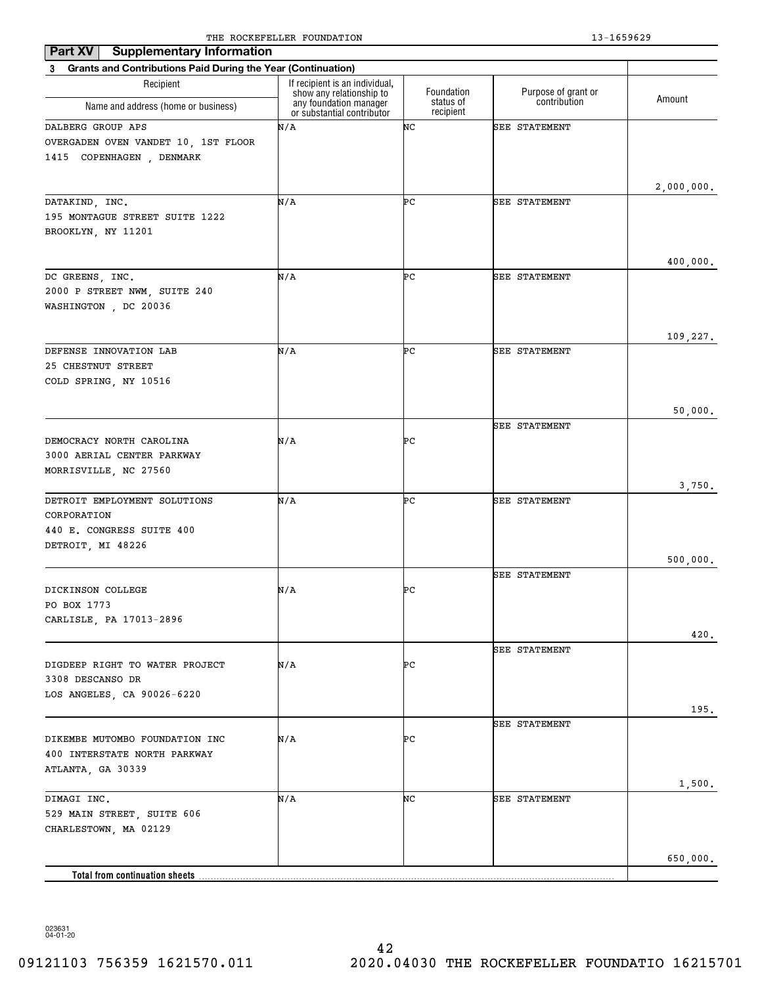| <b>Supplementary Information</b><br>Part XV                                                   |                                                                                      |                         |                                     |            |
|-----------------------------------------------------------------------------------------------|--------------------------------------------------------------------------------------|-------------------------|-------------------------------------|------------|
| 3 Grants and Contributions Paid During the Year (Continuation)                                |                                                                                      |                         |                                     |            |
| Recipient                                                                                     | If recipient is an individual,<br>show any relationship to<br>any foundation manager | Foundation<br>status of | Purpose of grant or<br>contribution | Amount     |
| Name and address (home or business)                                                           | or substantial contributor                                                           | recipient               |                                     |            |
| DALBERG GROUP APS<br>OVERGADEN OVEN VANDET 10, 1ST FLOOR<br>1415 COPENHAGEN, DENMARK          | N/A                                                                                  | NC                      | <b>SEE STATEMENT</b>                |            |
|                                                                                               |                                                                                      |                         |                                     | 2,000,000. |
| DATAKIND, INC.<br>195 MONTAGUE STREET SUITE 1222<br>BROOKLYN, NY 11201                        | N/A                                                                                  | ÞС                      | SEE STATEMENT                       |            |
|                                                                                               | N/A                                                                                  | ÞС                      |                                     | 400,000.   |
| DC GREENS, INC.<br>2000 P STREET NWM, SUITE 240<br>WASHINGTON, DC 20036                       |                                                                                      |                         | <b>SEE STATEMENT</b>                |            |
|                                                                                               |                                                                                      |                         |                                     | 109,227.   |
| DEFENSE INNOVATION LAB<br>25 CHESTNUT STREET<br>COLD SPRING, NY 10516                         | N/A                                                                                  | ÞС                      | <b>SEE STATEMENT</b>                |            |
|                                                                                               |                                                                                      |                         |                                     | 50,000.    |
|                                                                                               |                                                                                      |                         | <b>SEE STATEMENT</b>                |            |
| DEMOCRACY NORTH CAROLINA<br>3000 AERIAL CENTER PARKWAY<br>MORRISVILLE, NC 27560               | N/A                                                                                  | ÞС                      |                                     |            |
|                                                                                               |                                                                                      |                         |                                     | 3,750.     |
| DETROIT EMPLOYMENT SOLUTIONS<br>CORPORATION<br>440 E. CONGRESS SUITE 400<br>DETROIT, MI 48226 | N/A                                                                                  | ÞС                      | <b>SEE STATEMENT</b>                |            |
|                                                                                               |                                                                                      |                         |                                     | 500,000.   |
|                                                                                               |                                                                                      |                         | <b>SEE STATEMENT</b>                |            |
| DICKINSON COLLEGE<br>PO BOX 1773<br>CARLISLE, PA 17013-2896                                   | N/A                                                                                  | ÞС                      |                                     |            |
|                                                                                               |                                                                                      |                         |                                     | 420.       |
| DIGDEEP RIGHT TO WATER PROJECT<br>3308 DESCANSO DR<br>LOS ANGELES, CA 90026-6220              | N/A                                                                                  | ÞС                      | <b>SEE STATEMENT</b>                |            |
|                                                                                               |                                                                                      |                         |                                     | 195.       |
| DIKEMBE MUTOMBO FOUNDATION INC<br>400 INTERSTATE NORTH PARKWAY<br>ATLANTA, GA 30339           | N/A                                                                                  | ÞС                      | <b>SEE STATEMENT</b>                |            |
|                                                                                               |                                                                                      |                         |                                     | 1,500.     |
| DIMAGI INC.<br>529 MAIN STREET, SUITE 606<br>CHARLESTOWN, MA 02129                            | N/A                                                                                  | NC                      | <b>SEE STATEMENT</b>                |            |
| Total from continuation sheets                                                                |                                                                                      |                         |                                     | 650,000.   |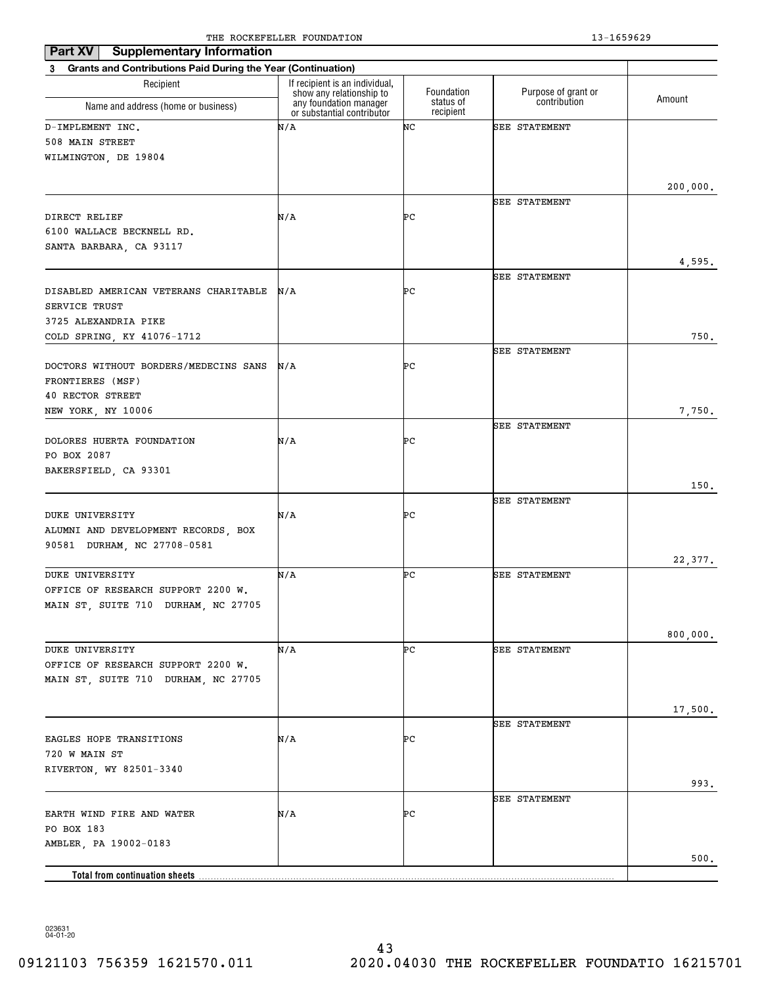| <b>Supplementary Information</b><br>Part XV                                                  |                                                                                      |                         |                                     |          |
|----------------------------------------------------------------------------------------------|--------------------------------------------------------------------------------------|-------------------------|-------------------------------------|----------|
| 3 Grants and Contributions Paid During the Year (Continuation)                               |                                                                                      |                         |                                     |          |
| Recipient                                                                                    | If recipient is an individual,<br>show any relationship to<br>any foundation manager | Foundation<br>status of | Purpose of grant or<br>contribution | Amount   |
| Name and address (home or business)                                                          | or substantial contributor                                                           | recipient               |                                     |          |
| D-IMPLEMENT INC.<br>508 MAIN STREET<br>WILMINGTON, DE 19804                                  | N/A                                                                                  | NC                      | SEE STATEMENT                       |          |
|                                                                                              |                                                                                      |                         |                                     | 200,000. |
| DIRECT RELIEF<br>6100 WALLACE BECKNELL RD.<br>SANTA BARBARA, CA 93117                        | N/A                                                                                  | ÞС                      | SEE STATEMENT                       |          |
|                                                                                              |                                                                                      |                         |                                     | 4,595.   |
| DISABLED AMERICAN VETERANS CHARITABLE<br>SERVICE TRUST<br>3725 ALEXANDRIA PIKE               | N/A                                                                                  | ÞС                      | SEE STATEMENT                       |          |
| COLD SPRING, KY 41076-1712                                                                   |                                                                                      |                         |                                     | 750.     |
| DOCTORS WITHOUT BORDERS/MEDECINS SANS<br>FRONTIERES (MSF)<br><b>40 RECTOR STREET</b>         | N/A                                                                                  | ÞС                      | SEE STATEMENT                       |          |
| NEW YORK, NY 10006                                                                           |                                                                                      |                         |                                     | 7,750.   |
| DOLORES HUERTA FOUNDATION<br>PO BOX 2087                                                     | N/A                                                                                  | ÞС                      | SEE STATEMENT                       |          |
| BAKERSFIELD, CA 93301                                                                        |                                                                                      |                         |                                     |          |
| DUKE UNIVERSITY                                                                              | N/A                                                                                  | ÞС                      | SEE STATEMENT                       | 150.     |
| ALUMNI AND DEVELOPMENT RECORDS, BOX<br>90581 DURHAM, NC 27708-0581                           |                                                                                      |                         |                                     |          |
| <b>DUKE UNIVERSITY</b>                                                                       | N/A                                                                                  | ÞС                      | SEE STATEMENT                       | 22,377.  |
| OFFICE OF RESEARCH SUPPORT 2200 W.<br>MAIN ST, SUITE 710 DURHAM, NC 27705                    |                                                                                      |                         |                                     |          |
|                                                                                              |                                                                                      |                         |                                     | 800,000. |
| DUKE UNIVERSITY<br>OFFICE OF RESEARCH SUPPORT 2200 W.<br>MAIN ST, SUITE 710 DURHAM, NC 27705 | N/A                                                                                  | ÞС                      | SEE STATEMENT                       |          |
|                                                                                              |                                                                                      |                         |                                     | 17,500.  |
| EAGLES HOPE TRANSITIONS<br>720 W MAIN ST<br>RIVERTON, WY 82501-3340                          | N/A                                                                                  | ÞС                      | SEE STATEMENT                       |          |
|                                                                                              |                                                                                      |                         |                                     | 993.     |
| EARTH WIND FIRE AND WATER<br>PO BOX 183                                                      | N/A                                                                                  | ÞС                      | SEE STATEMENT                       |          |
| AMBLER, PA 19002-0183                                                                        |                                                                                      |                         |                                     | $500.$   |
| <b>Total from continuation sheets</b>                                                        |                                                                                      |                         |                                     |          |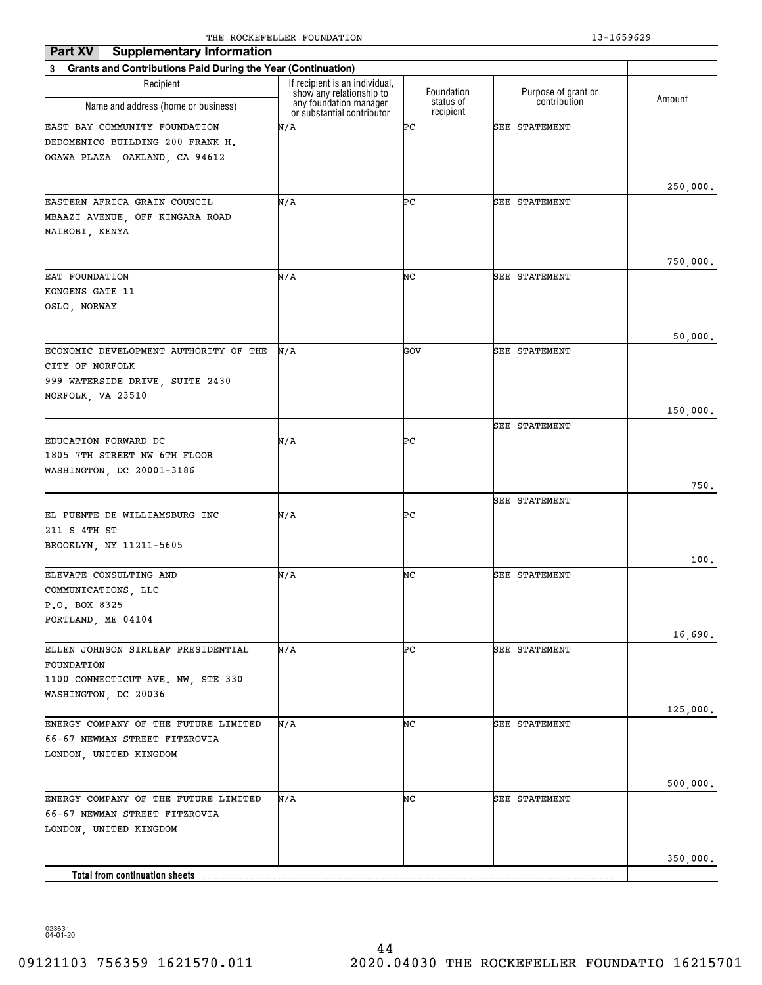| <b>Supplementary Information</b><br>Part XV                                                                      |                                                                                      |                         |                                     |          |
|------------------------------------------------------------------------------------------------------------------|--------------------------------------------------------------------------------------|-------------------------|-------------------------------------|----------|
| <b>Grants and Contributions Paid During the Year (Continuation)</b><br>3                                         |                                                                                      |                         |                                     |          |
| Recipient                                                                                                        | If recipient is an individual,<br>show any relationship to<br>any foundation manager | Foundation<br>status of | Purpose of grant or<br>contribution | Amount   |
| Name and address (home or business)                                                                              | or substantial contributor                                                           | recipient               |                                     |          |
| EAST BAY COMMUNITY FOUNDATION<br>DEDOMENICO BUILDING 200 FRANK H.<br>OGAWA PLAZA OAKLAND, CA 94612               | N/A                                                                                  | ÞС                      | SEE STATEMENT                       |          |
|                                                                                                                  | N/A                                                                                  | ÞС                      |                                     | 250,000. |
| EASTERN AFRICA GRAIN COUNCIL<br>MBAAZI AVENUE, OFF KINGARA ROAD<br>NAIROBI, KENYA                                |                                                                                      |                         | SEE STATEMENT                       | 750,000. |
| EAT FOUNDATION                                                                                                   | N/A                                                                                  | NC                      | SEE STATEMENT                       |          |
| KONGENS GATE 11<br>OSLO, NORWAY                                                                                  |                                                                                      |                         |                                     |          |
|                                                                                                                  |                                                                                      |                         |                                     | 50,000.  |
| ECONOMIC DEVELOPMENT AUTHORITY OF THE<br>CITY OF NORFOLK<br>999 WATERSIDE DRIVE, SUITE 2430<br>NORFOLK, VA 23510 | N/A                                                                                  | GOV                     | SEE STATEMENT                       |          |
|                                                                                                                  |                                                                                      |                         |                                     | 150,000. |
| EDUCATION FORWARD DC<br>1805 7TH STREET NW 6TH FLOOR<br>WASHINGTON, DC 20001-3186                                | N/A                                                                                  | ÞС                      | SEE STATEMENT                       |          |
|                                                                                                                  |                                                                                      |                         |                                     | 750.     |
| EL PUENTE DE WILLIAMSBURG INC<br>211 S 4TH ST<br>BROOKLYN, NY 11211-5605                                         | N/A                                                                                  | ÞС                      | SEE STATEMENT                       |          |
|                                                                                                                  |                                                                                      |                         |                                     | 100.     |
| ELEVATE CONSULTING AND<br>COMMUNICATIONS, LLC<br>P.O. BOX 8325<br>PORTLAND, ME 04104                             | N/A                                                                                  | NC                      | SEE STATEMENT                       |          |
| ELLEN JOHNSON SIRLEAF PRESIDENTIAL                                                                               | N/A                                                                                  | ÞС                      | SEE STATEMENT                       | 16,690.  |
| FOUNDATION<br>1100 CONNECTICUT AVE. NW, STE 330<br>WASHINGTON, DC 20036                                          |                                                                                      |                         |                                     | 125,000. |
| ENERGY COMPANY OF THE FUTURE LIMITED<br>66-67 NEWMAN STREET FITZROVIA<br>LONDON, UNITED KINGDOM                  | N/A                                                                                  | NC                      | SEE STATEMENT                       |          |
|                                                                                                                  |                                                                                      |                         |                                     | 500,000. |
| ENERGY COMPANY OF THE FUTURE LIMITED<br>66-67 NEWMAN STREET FITZROVIA<br>LONDON, UNITED KINGDOM                  | N/A                                                                                  | NC                      | SEE STATEMENT                       |          |
|                                                                                                                  |                                                                                      |                         |                                     | 350,000. |
| Total from continuation sheets                                                                                   |                                                                                      |                         |                                     |          |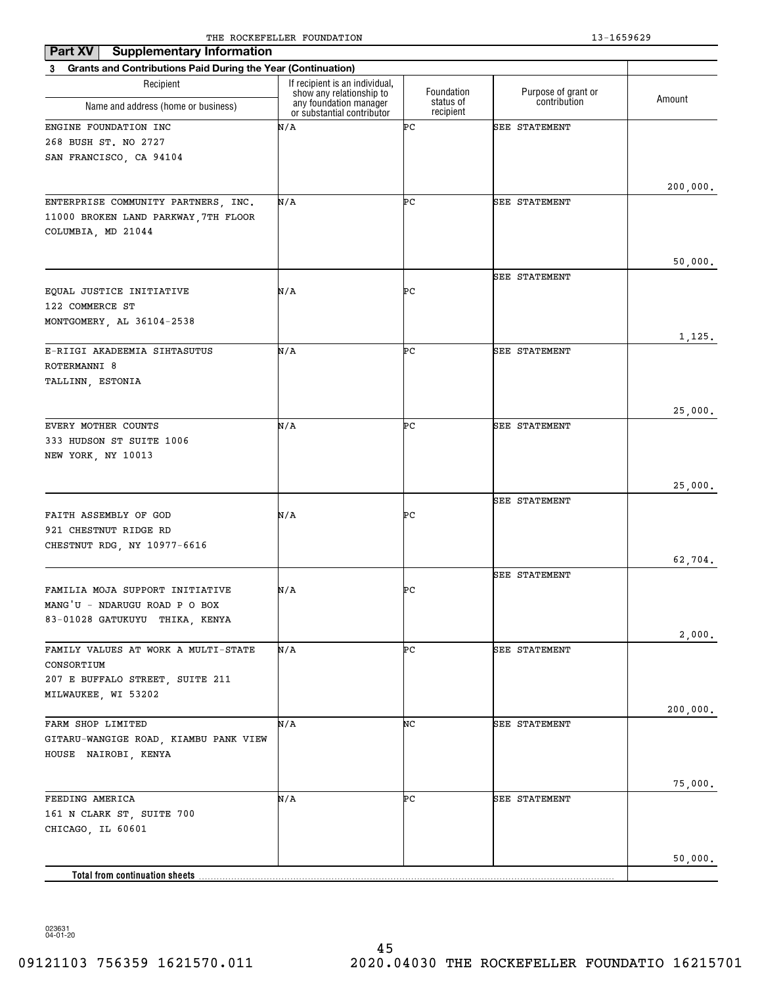| <b>Supplementary Information</b><br>Part XV                              |                                                            |                        |                      |          |
|--------------------------------------------------------------------------|------------------------------------------------------------|------------------------|----------------------|----------|
| <b>Grants and Contributions Paid During the Year (Continuation)</b><br>3 |                                                            |                        |                      |          |
| Recipient                                                                | If recipient is an individual,<br>show any relationship to | Foundation             | Purpose of grant or  | Amount   |
| Name and address (home or business)                                      | any foundation manager<br>or substantial contributor       | status of<br>recipient | contribution         |          |
| ENGINE FOUNDATION INC                                                    | N/A                                                        | ÞС                     | <b>SEE STATEMENT</b> |          |
| 268 BUSH ST. NO 2727                                                     |                                                            |                        |                      |          |
| SAN FRANCISCO, CA 94104                                                  |                                                            |                        |                      |          |
|                                                                          |                                                            |                        |                      |          |
| ENTERPRISE COMMUNITY PARTNERS, INC.                                      | N/A                                                        | ÞС                     | SEE STATEMENT        | 200,000. |
| 11000 BROKEN LAND PARKWAY, 7TH FLOOR                                     |                                                            |                        |                      |          |
| COLUMBIA, MD 21044                                                       |                                                            |                        |                      |          |
|                                                                          |                                                            |                        |                      |          |
|                                                                          |                                                            |                        |                      | 50,000.  |
|                                                                          |                                                            |                        | <b>SEE STATEMENT</b> |          |
| EQUAL JUSTICE INITIATIVE                                                 | N/A                                                        | ÞС                     |                      |          |
| 122 COMMERCE ST                                                          |                                                            |                        |                      |          |
| MONTGOMERY, AL 36104-2538                                                |                                                            |                        |                      |          |
|                                                                          |                                                            |                        |                      | 1,125.   |
| E-RIIGI AKADEEMIA SIHTASUTUS                                             | N/A                                                        | ÞС                     | SEE STATEMENT        |          |
| ROTERMANNI 8                                                             |                                                            |                        |                      |          |
| TALLINN, ESTONIA                                                         |                                                            |                        |                      |          |
|                                                                          |                                                            |                        |                      |          |
|                                                                          |                                                            |                        |                      | 25,000.  |
| EVERY MOTHER COUNTS                                                      | N/A                                                        | ÞС                     | SEE STATEMENT        |          |
| 333 HUDSON ST SUITE 1006                                                 |                                                            |                        |                      |          |
| NEW YORK, NY 10013                                                       |                                                            |                        |                      |          |
|                                                                          |                                                            |                        |                      |          |
|                                                                          |                                                            |                        |                      | 25,000.  |
| FAITH ASSEMBLY OF GOD                                                    | N/A                                                        | ÞС                     | <b>SEE STATEMENT</b> |          |
| 921 CHESTNUT RIDGE RD                                                    |                                                            |                        |                      |          |
| CHESTNUT RDG, NY 10977-6616                                              |                                                            |                        |                      |          |
|                                                                          |                                                            |                        |                      | 62,704.  |
|                                                                          |                                                            |                        | <b>SEE STATEMENT</b> |          |
| FAMILIA MOJA SUPPORT INITIATIVE                                          | N/A                                                        | ÞС                     |                      |          |
| MANG'U - NDARUGU ROAD P O BOX                                            |                                                            |                        |                      |          |
| 83-01028 GATUKUYU THIKA, KENYA                                           |                                                            |                        |                      |          |
|                                                                          |                                                            |                        |                      | 2,000.   |
| FAMILY VALUES AT WORK A MULTI-STATE                                      | N/A                                                        | ÞС                     | SEE STATEMENT        |          |
| CONSORTIUM                                                               |                                                            |                        |                      |          |
| 207 E BUFFALO STREET, SUITE 211                                          |                                                            |                        |                      |          |
| MILWAUKEE, WI 53202                                                      |                                                            |                        |                      |          |
|                                                                          |                                                            |                        |                      | 200,000. |
| FARM SHOP LIMITED                                                        | N/A                                                        | NC                     | SEE STATEMENT        |          |
| GITARU-WANGIGE ROAD, KIAMBU PANK VIEW                                    |                                                            |                        |                      |          |
| HOUSE NAIROBI, KENYA                                                     |                                                            |                        |                      |          |
|                                                                          |                                                            |                        |                      | 75,000.  |
| FEEDING AMERICA                                                          | N/A                                                        | ÞС                     | SEE STATEMENT        |          |
| 161 N CLARK ST, SUITE 700                                                |                                                            |                        |                      |          |
| CHICAGO, IL 60601                                                        |                                                            |                        |                      |          |
|                                                                          |                                                            |                        |                      |          |
|                                                                          |                                                            |                        |                      | 50,000.  |
| <b>Total from continuation sheets</b>                                    |                                                            |                        |                      |          |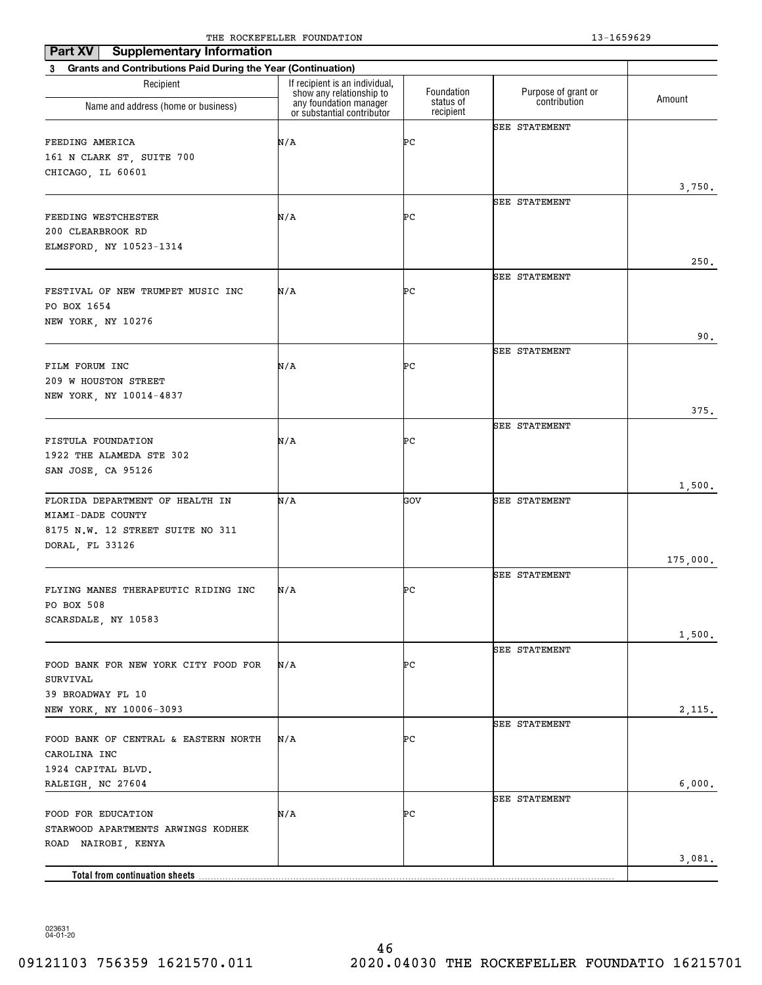| <b>Supplementary Information</b>                               |                                                            |                        |                      |          |
|----------------------------------------------------------------|------------------------------------------------------------|------------------------|----------------------|----------|
| 3 Grants and Contributions Paid During the Year (Continuation) |                                                            |                        |                      |          |
| Recipient                                                      | If recipient is an individual,<br>show any relationship to | Foundation             | Purpose of grant or  | Amount   |
| Name and address (home or business)                            | any foundation manager<br>or substantial contributor       | status of<br>recipient | contribution         |          |
|                                                                |                                                            |                        | <b>SEE STATEMENT</b> |          |
| FEEDING AMERICA                                                | N/A                                                        | ÞС                     |                      |          |
| 161 N CLARK ST, SUITE 700<br>CHICAGO, IL 60601                 |                                                            |                        |                      |          |
|                                                                |                                                            |                        |                      | 3,750.   |
|                                                                |                                                            |                        | <b>SEE STATEMENT</b> |          |
| FEEDING WESTCHESTER                                            | N/A                                                        | ÞС                     |                      |          |
| 200 CLEARBROOK RD                                              |                                                            |                        |                      |          |
| ELMSFORD, NY 10523-1314                                        |                                                            |                        |                      |          |
|                                                                |                                                            |                        |                      | 250.     |
| FESTIVAL OF NEW TRUMPET MUSIC INC                              | N/A                                                        | ÞС                     | <b>SEE STATEMENT</b> |          |
| PO BOX 1654                                                    |                                                            |                        |                      |          |
| NEW YORK, NY 10276                                             |                                                            |                        |                      |          |
|                                                                |                                                            |                        |                      | 90.      |
|                                                                |                                                            |                        | SEE STATEMENT        |          |
| FILM FORUM INC                                                 | N/A                                                        | ÞС                     |                      |          |
| 209 W HOUSTON STREET                                           |                                                            |                        |                      |          |
| NEW YORK, NY 10014-4837                                        |                                                            |                        |                      |          |
|                                                                |                                                            |                        | SEE STATEMENT        | 375.     |
| FISTULA FOUNDATION                                             | N/A                                                        | ÞС                     |                      |          |
| 1922 THE ALAMEDA STE 302                                       |                                                            |                        |                      |          |
| SAN JOSE, CA 95126                                             |                                                            |                        |                      |          |
|                                                                |                                                            |                        |                      | 1,500.   |
| FLORIDA DEPARTMENT OF HEALTH IN                                | N/A                                                        | GOV                    | <b>SEE STATEMENT</b> |          |
| MIAMI-DADE COUNTY                                              |                                                            |                        |                      |          |
| 8175 N.W. 12 STREET SUITE NO 311<br>DORAL, FL 33126            |                                                            |                        |                      |          |
|                                                                |                                                            |                        |                      | 175,000. |
|                                                                |                                                            |                        | SEE STATEMENT        |          |
| FLYING MANES THERAPEUTIC RIDING INC                            | N/A                                                        | PС                     |                      |          |
| PO BOX 508                                                     |                                                            |                        |                      |          |
| SCARSDALE, NY 10583                                            |                                                            |                        |                      |          |
|                                                                |                                                            |                        | <b>SEE STATEMENT</b> | 1,500.   |
| FOOD BANK FOR NEW YORK CITY FOOD FOR                           | N/A                                                        | ÞС                     |                      |          |
| SURVIVAL                                                       |                                                            |                        |                      |          |
| 39 BROADWAY FL 10                                              |                                                            |                        |                      |          |
| NEW YORK, NY 10006-3093                                        |                                                            |                        |                      | 2,115.   |
|                                                                |                                                            |                        | <b>SEE STATEMENT</b> |          |
| FOOD BANK OF CENTRAL & EASTERN NORTH                           | N/A                                                        | ÞС                     |                      |          |
| CAROLINA INC<br>1924 CAPITAL BLVD.                             |                                                            |                        |                      |          |
| RALEIGH, NC 27604                                              |                                                            |                        |                      | 6,000.   |
|                                                                |                                                            |                        | <b>SEE STATEMENT</b> |          |
| FOOD FOR EDUCATION                                             | N/A                                                        | ÞС                     |                      |          |
| STARWOOD APARTMENTS ARWINGS KODHEK                             |                                                            |                        |                      |          |
| ROAD NAIROBI, KENYA                                            |                                                            |                        |                      |          |
| <b>Total from continuation sheets</b>                          |                                                            |                        |                      | 3,081.   |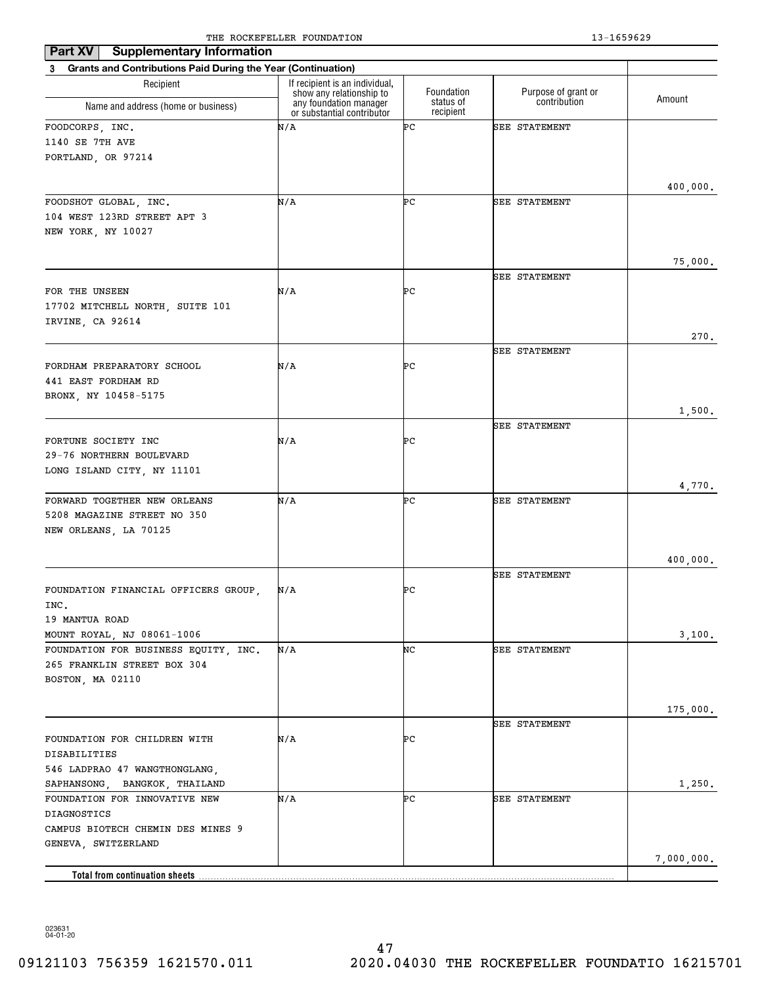| <b>Supplementary Information</b><br>Part XV                              |                                                                                      |                         |                                     |            |
|--------------------------------------------------------------------------|--------------------------------------------------------------------------------------|-------------------------|-------------------------------------|------------|
| <b>Grants and Contributions Paid During the Year (Continuation)</b><br>3 |                                                                                      |                         |                                     |            |
| Recipient                                                                | If recipient is an individual,<br>show any relationship to<br>any foundation manager | Foundation<br>status of | Purpose of grant or<br>contribution | Amount     |
| Name and address (home or business)                                      | or substantial contributor                                                           | recipient               |                                     |            |
| FOODCORPS, INC.                                                          | N/A                                                                                  | ÞС                      | <b>SEE STATEMENT</b>                |            |
| 1140 SE 7TH AVE                                                          |                                                                                      |                         |                                     |            |
| PORTLAND, OR 97214                                                       |                                                                                      |                         |                                     |            |
|                                                                          |                                                                                      |                         |                                     | 400,000.   |
| FOODSHOT GLOBAL, INC.                                                    | N/A                                                                                  | ÞС                      | <b>SEE STATEMENT</b>                |            |
| 104 WEST 123RD STREET APT 3                                              |                                                                                      |                         |                                     |            |
| NEW YORK, NY 10027                                                       |                                                                                      |                         |                                     |            |
|                                                                          |                                                                                      |                         |                                     |            |
|                                                                          |                                                                                      |                         |                                     | 75,000.    |
| FOR THE UNSEEN                                                           | N/A                                                                                  | ÞС                      | <b>SEE STATEMENT</b>                |            |
| 17702 MITCHELL NORTH, SUITE 101                                          |                                                                                      |                         |                                     |            |
| IRVINE, CA 92614                                                         |                                                                                      |                         |                                     |            |
|                                                                          |                                                                                      |                         |                                     | 270.       |
|                                                                          |                                                                                      |                         | <b>SEE STATEMENT</b>                |            |
| FORDHAM PREPARATORY SCHOOL                                               | N/A                                                                                  | ÞС                      |                                     |            |
| 441 EAST FORDHAM RD                                                      |                                                                                      |                         |                                     |            |
| BRONX, NY 10458-5175                                                     |                                                                                      |                         |                                     | 1,500.     |
|                                                                          |                                                                                      |                         | <b>SEE STATEMENT</b>                |            |
| FORTUNE SOCIETY INC                                                      | N/A                                                                                  | ÞС                      |                                     |            |
| 29-76 NORTHERN BOULEVARD                                                 |                                                                                      |                         |                                     |            |
| LONG ISLAND CITY, NY 11101                                               |                                                                                      |                         |                                     |            |
|                                                                          |                                                                                      |                         |                                     | 4,770.     |
| FORWARD TOGETHER NEW ORLEANS<br>5208 MAGAZINE STREET NO 350              | N/A                                                                                  | ÞС                      | <b>SEE STATEMENT</b>                |            |
| NEW ORLEANS, LA 70125                                                    |                                                                                      |                         |                                     |            |
|                                                                          |                                                                                      |                         |                                     |            |
|                                                                          |                                                                                      |                         |                                     | 400,000.   |
|                                                                          |                                                                                      |                         | <b>SEE STATEMENT</b>                |            |
| FOUNDATION FINANCIAL OFFICERS GROUP,                                     | N/A                                                                                  | ÞС                      |                                     |            |
| INC.<br>19 MANTUA ROAD                                                   |                                                                                      |                         |                                     |            |
| MOUNT ROYAL, NJ 08061-1006                                               |                                                                                      |                         |                                     | 3,100.     |
| FOUNDATION FOR BUSINESS EQUITY, INC.                                     | N/A                                                                                  | NC                      | <b>SEE STATEMENT</b>                |            |
| 265 FRANKLIN STREET BOX 304                                              |                                                                                      |                         |                                     |            |
| BOSTON, MA 02110                                                         |                                                                                      |                         |                                     |            |
|                                                                          |                                                                                      |                         |                                     |            |
|                                                                          |                                                                                      |                         | SEE STATEMENT                       | 175,000.   |
| FOUNDATION FOR CHILDREN WITH                                             | N/A                                                                                  | ÞС                      |                                     |            |
| DISABILITIES                                                             |                                                                                      |                         |                                     |            |
| 546 LADPRAO 47 WANGTHONGLANG,                                            |                                                                                      |                         |                                     |            |
| SAPHANSONG, BANGKOK, THAILAND                                            |                                                                                      |                         |                                     | 1,250.     |
| FOUNDATION FOR INNOVATIVE NEW                                            | N/A                                                                                  | ÞС                      | <b>SEE STATEMENT</b>                |            |
| DIAGNOSTICS                                                              |                                                                                      |                         |                                     |            |
| CAMPUS BIOTECH CHEMIN DES MINES 9<br>GENEVA, SWITZERLAND                 |                                                                                      |                         |                                     |            |
|                                                                          |                                                                                      |                         |                                     | 7,000,000. |
|                                                                          |                                                                                      |                         |                                     |            |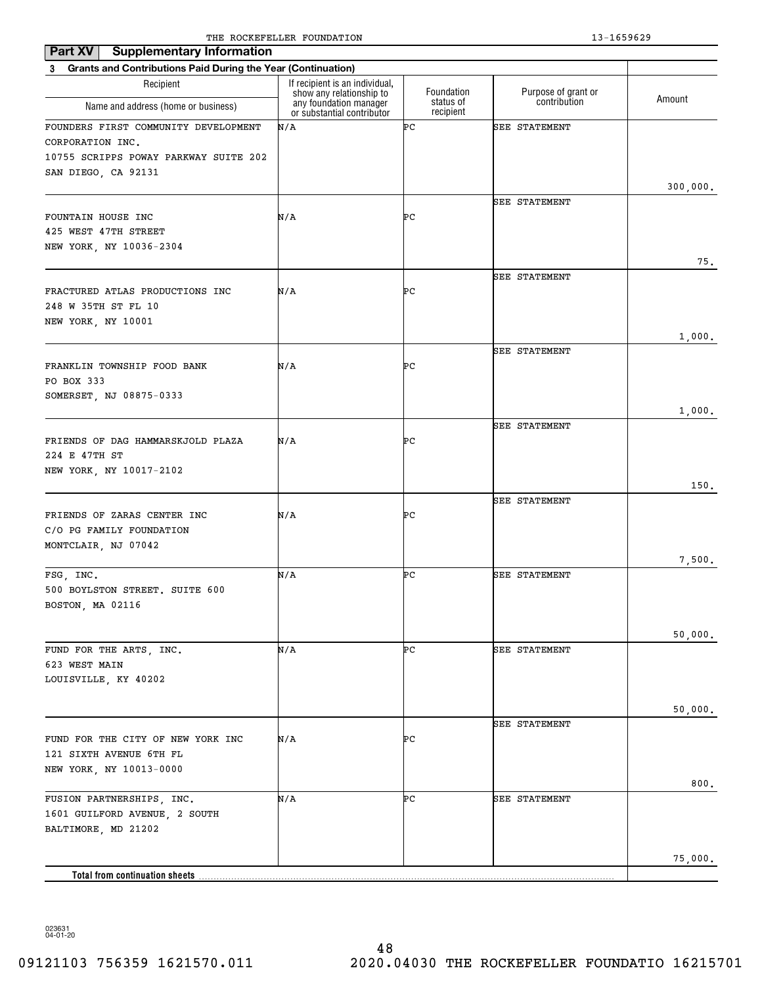| <b>Supplementary Information</b><br>Part XV                                                                              | The Rocker needs roombillion                               |                        |                      |          |
|--------------------------------------------------------------------------------------------------------------------------|------------------------------------------------------------|------------------------|----------------------|----------|
| 3 Grants and Contributions Paid During the Year (Continuation)                                                           |                                                            |                        |                      |          |
| Recipient                                                                                                                | If recipient is an individual,<br>show any relationship to | Foundation             | Purpose of grant or  |          |
| Name and address (home or business)                                                                                      | any foundation manager<br>or substantial contributor       | status of<br>recipient | contribution         | Amount   |
| FOUNDERS FIRST COMMUNITY DEVELOPMENT<br>CORPORATION INC.<br>10755 SCRIPPS POWAY PARKWAY SUITE 202<br>SAN DIEGO, CA 92131 | N/A                                                        | ÞС                     | <b>SEE STATEMENT</b> |          |
|                                                                                                                          |                                                            |                        |                      | 300,000. |
| FOUNTAIN HOUSE INC<br>425 WEST 47TH STREET<br>NEW YORK, NY 10036-2304                                                    | N/A                                                        | ÞС                     | SEE STATEMENT        |          |
|                                                                                                                          |                                                            |                        |                      | 75.      |
| FRACTURED ATLAS PRODUCTIONS INC<br>248 W 35TH ST FL 10<br>NEW YORK, NY 10001                                             | N/A                                                        | ÞС                     | <b>SEE STATEMENT</b> |          |
|                                                                                                                          |                                                            |                        |                      | 1,000.   |
| FRANKLIN TOWNSHIP FOOD BANK<br>PO BOX 333                                                                                | N/A                                                        | ÞС                     | SEE STATEMENT        |          |
| SOMERSET, NJ 08875-0333                                                                                                  |                                                            |                        |                      | 1,000.   |
| FRIENDS OF DAG HAMMARSKJOLD PLAZA<br>224 E 47TH ST                                                                       | N/A                                                        | ÞС                     | <b>SEE STATEMENT</b> |          |
| NEW YORK, NY 10017-2102                                                                                                  |                                                            |                        |                      |          |
|                                                                                                                          |                                                            |                        |                      | 150.     |
| FRIENDS OF ZARAS CENTER INC<br>C/O PG FAMILY FOUNDATION<br>MONTCLAIR, NJ 07042                                           | N/A                                                        | ÞС                     | <b>SEE STATEMENT</b> |          |
|                                                                                                                          |                                                            |                        |                      | 7,500.   |
| FSG, INC.<br>500 BOYLSTON STREET. SUITE 600<br>BOSTON, MA 02116                                                          | N/A                                                        | ÞС                     | <b>SEE STATEMENT</b> |          |
|                                                                                                                          |                                                            |                        |                      | 50,000.  |
| FUND FOR THE ARTS, INC.<br>623 WEST MAIN<br>LOUISVILLE, KY 40202                                                         | N/A                                                        | ÞС                     | <b>SEE STATEMENT</b> |          |
|                                                                                                                          |                                                            |                        |                      | 50,000.  |
| FUND FOR THE CITY OF NEW YORK INC<br>121 SIXTH AVENUE 6TH FL<br>NEW YORK, NY 10013-0000                                  | N/A                                                        | ÞС                     | <b>SEE STATEMENT</b> |          |
|                                                                                                                          |                                                            |                        |                      | 800.     |
| FUSION PARTNERSHIPS, INC.<br>1601 GUILFORD AVENUE, 2 SOUTH<br>BALTIMORE, MD 21202                                        | N/A                                                        | ÞС                     | <b>SEE STATEMENT</b> |          |
|                                                                                                                          |                                                            |                        |                      | 75,000.  |
| Total from continuation sheets                                                                                           |                                                            |                        |                      |          |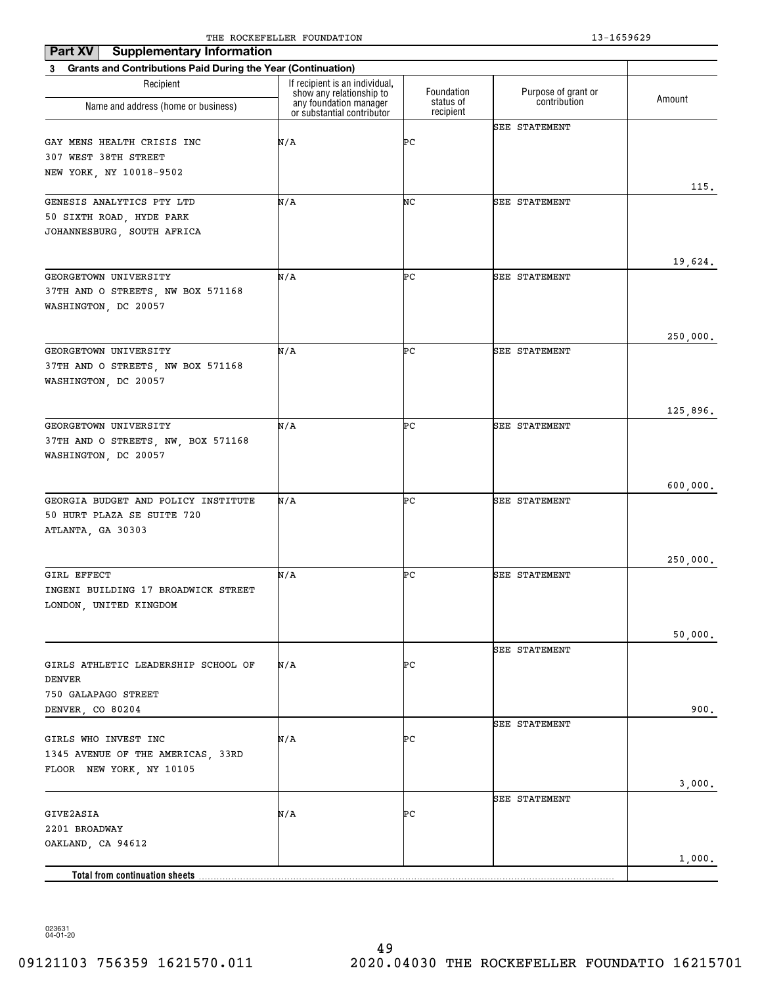| Part XV<br><b>Supplementary Information</b>                    |                                                                                      |                         |                                     |          |
|----------------------------------------------------------------|--------------------------------------------------------------------------------------|-------------------------|-------------------------------------|----------|
| 3 Grants and Contributions Paid During the Year (Continuation) |                                                                                      |                         |                                     |          |
| Recipient                                                      | If recipient is an individual,<br>show any relationship to<br>any foundation manager | Foundation<br>status of | Purpose of grant or<br>contribution | Amount   |
| Name and address (home or business)                            | or substantial contributor                                                           | recipient               |                                     |          |
|                                                                |                                                                                      |                         | <b>SEE STATEMENT</b>                |          |
| GAY MENS HEALTH CRISIS INC                                     | N/A                                                                                  | ÞС                      |                                     |          |
| 307 WEST 38TH STREET                                           |                                                                                      |                         |                                     |          |
| NEW YORK, NY 10018-9502                                        |                                                                                      |                         |                                     |          |
| GENESIS ANALYTICS PTY LTD                                      | N/A                                                                                  | NC                      | SEE STATEMENT                       | 115.     |
| 50 SIXTH ROAD, HYDE PARK                                       |                                                                                      |                         |                                     |          |
| JOHANNESBURG, SOUTH AFRICA                                     |                                                                                      |                         |                                     |          |
|                                                                |                                                                                      |                         |                                     |          |
|                                                                |                                                                                      |                         |                                     | 19,624.  |
| GEORGETOWN UNIVERSITY                                          | N/A                                                                                  | ÞС                      | <b>SEE STATEMENT</b>                |          |
| 37TH AND O STREETS, NW BOX 571168                              |                                                                                      |                         |                                     |          |
| WASHINGTON, DC 20057                                           |                                                                                      |                         |                                     |          |
|                                                                |                                                                                      |                         |                                     |          |
| GEORGETOWN UNIVERSITY                                          | N/A                                                                                  | ÞС                      | <b>SEE STATEMENT</b>                | 250,000. |
| 37TH AND O STREETS, NW BOX 571168                              |                                                                                      |                         |                                     |          |
| WASHINGTON, DC 20057                                           |                                                                                      |                         |                                     |          |
|                                                                |                                                                                      |                         |                                     |          |
|                                                                |                                                                                      |                         |                                     | 125,896. |
| GEORGETOWN UNIVERSITY                                          | N/A                                                                                  | ÞС                      | <b>SEE STATEMENT</b>                |          |
| 37TH AND O STREETS, NW, BOX 571168                             |                                                                                      |                         |                                     |          |
| WASHINGTON, DC 20057                                           |                                                                                      |                         |                                     |          |
|                                                                |                                                                                      |                         |                                     |          |
| GEORGIA BUDGET AND POLICY INSTITUTE                            | N/A                                                                                  | ÞС                      | <b>SEE STATEMENT</b>                | 600,000. |
| 50 HURT PLAZA SE SUITE 720                                     |                                                                                      |                         |                                     |          |
| ATLANTA, GA 30303                                              |                                                                                      |                         |                                     |          |
|                                                                |                                                                                      |                         |                                     |          |
|                                                                |                                                                                      |                         |                                     | 250,000. |
| GIRL EFFECT                                                    | N/A                                                                                  | ÞС                      | <b>SEE STATEMENT</b>                |          |
| INGENI BUILDING 17 BROADWICK STREET                            |                                                                                      |                         |                                     |          |
| LONDON, UNITED KINGDOM                                         |                                                                                      |                         |                                     |          |
|                                                                |                                                                                      |                         |                                     |          |
|                                                                |                                                                                      |                         |                                     | 50,000.  |
| GIRLS ATHLETIC LEADERSHIP SCHOOL OF                            | N/A                                                                                  | ÞС                      | <b>SEE STATEMENT</b>                |          |
| <b>DENVER</b>                                                  |                                                                                      |                         |                                     |          |
| 750 GALAPAGO STREET                                            |                                                                                      |                         |                                     |          |
| DENVER, CO 80204                                               |                                                                                      |                         |                                     | 900.     |
|                                                                |                                                                                      |                         | <b>SEE STATEMENT</b>                |          |
| GIRLS WHO INVEST INC                                           | N/A                                                                                  | ÞС                      |                                     |          |
| 1345 AVENUE OF THE AMERICAS, 33RD                              |                                                                                      |                         |                                     |          |
| FLOOR NEW YORK, NY 10105                                       |                                                                                      |                         |                                     |          |
|                                                                |                                                                                      |                         |                                     | 3,000.   |
| GIVE2ASIA                                                      | N/A                                                                                  | ÞС                      | <b>SEE STATEMENT</b>                |          |
| 2201 BROADWAY                                                  |                                                                                      |                         |                                     |          |
| OAKLAND, CA 94612                                              |                                                                                      |                         |                                     |          |
|                                                                |                                                                                      |                         |                                     | 1,000.   |
| Total from continuation sheets                                 |                                                                                      |                         |                                     |          |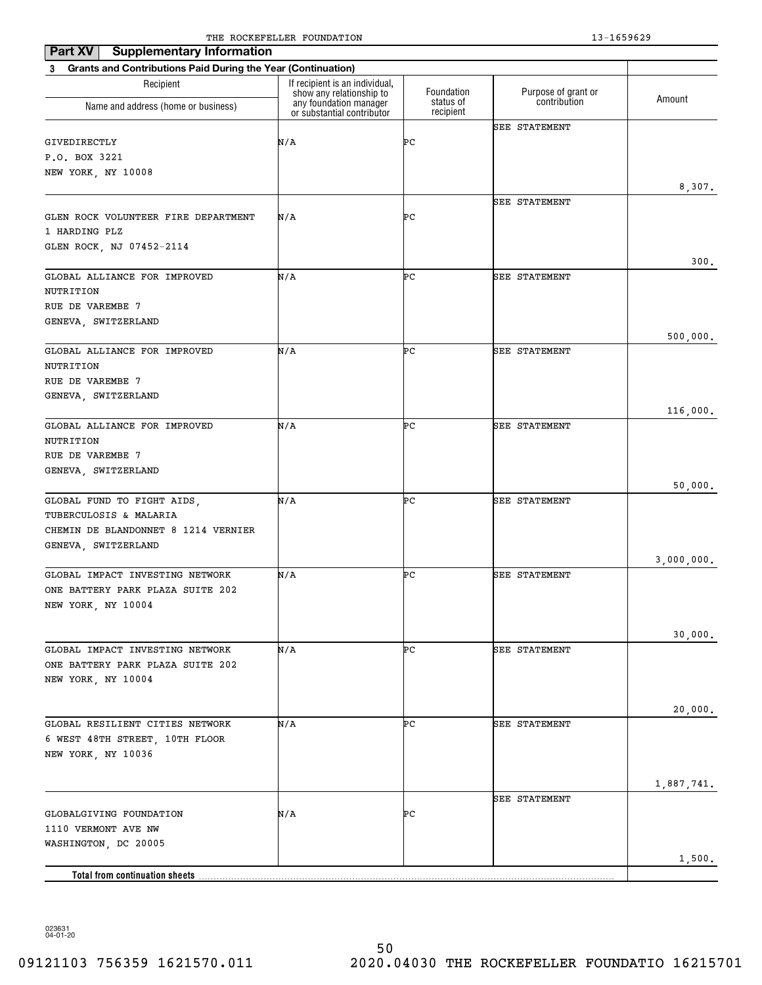| <b>Supplementary Information</b><br>Part XV                              |                                                            |                        |                      |            |
|--------------------------------------------------------------------------|------------------------------------------------------------|------------------------|----------------------|------------|
| <b>Grants and Contributions Paid During the Year (Continuation)</b><br>3 |                                                            |                        |                      |            |
| Recipient                                                                | If recipient is an individual,<br>show any relationship to | Foundation             | Purpose of grant or  | Amount     |
| Name and address (home or business)                                      | any foundation manager<br>or substantial contributor       | status of<br>recipient | contribution         |            |
|                                                                          |                                                            |                        | <b>SEE STATEMENT</b> |            |
| GIVEDIRECTLY                                                             | N/A                                                        | ÞС                     |                      |            |
| P.O. BOX 3221                                                            |                                                            |                        |                      |            |
| NEW YORK, NY 10008                                                       |                                                            |                        |                      | 8,307.     |
|                                                                          |                                                            |                        | SEE STATEMENT        |            |
| GLEN ROCK VOLUNTEER FIRE DEPARTMENT                                      | N/A                                                        | ÞС                     |                      |            |
| 1 HARDING PLZ                                                            |                                                            |                        |                      |            |
| GLEN ROCK, NJ 07452-2114                                                 |                                                            |                        |                      |            |
|                                                                          |                                                            |                        |                      | 300.       |
| GLOBAL ALLIANCE FOR IMPROVED                                             | N/A                                                        | ÞС                     | SEE STATEMENT        |            |
| NUTRITION<br>RUE DE VAREMBE 7                                            |                                                            |                        |                      |            |
| GENEVA, SWITZERLAND                                                      |                                                            |                        |                      |            |
|                                                                          |                                                            |                        |                      | 500,000.   |
| GLOBAL ALLIANCE FOR IMPROVED                                             | N/A                                                        | ÞС                     | <b>SEE STATEMENT</b> |            |
| NUTRITION                                                                |                                                            |                        |                      |            |
| RUE DE VAREMBE 7                                                         |                                                            |                        |                      |            |
| GENEVA, SWITZERLAND                                                      |                                                            |                        |                      |            |
|                                                                          |                                                            |                        |                      | 116,000.   |
| GLOBAL ALLIANCE FOR IMPROVED<br>NUTRITION                                | N/A                                                        | ÞС                     | <b>SEE STATEMENT</b> |            |
| RUE DE VAREMBE 7                                                         |                                                            |                        |                      |            |
| GENEVA, SWITZERLAND                                                      |                                                            |                        |                      |            |
|                                                                          |                                                            |                        |                      | 50,000.    |
| GLOBAL FUND TO FIGHT AIDS,                                               | N/A                                                        | ÞС                     | <b>SEE STATEMENT</b> |            |
| TUBERCULOSIS & MALARIA                                                   |                                                            |                        |                      |            |
| CHEMIN DE BLANDONNET 8 1214 VERNIER                                      |                                                            |                        |                      |            |
| GENEVA, SWITZERLAND                                                      |                                                            |                        |                      |            |
| GLOBAL IMPACT INVESTING NETWORK                                          | N/A                                                        | ÞС                     | <b>SEE STATEMENT</b> | 3,000,000. |
| ONE BATTERY PARK PLAZA SUITE 202                                         |                                                            |                        |                      |            |
| NEW YORK, NY 10004                                                       |                                                            |                        |                      |            |
|                                                                          |                                                            |                        |                      |            |
|                                                                          |                                                            |                        |                      | 30,000.    |
| GLOBAL IMPACT INVESTING NETWORK                                          | N/A                                                        | ÞС                     | <b>SEE STATEMENT</b> |            |
| ONE BATTERY PARK PLAZA SUITE 202                                         |                                                            |                        |                      |            |
| NEW YORK, NY 10004                                                       |                                                            |                        |                      |            |
|                                                                          |                                                            |                        |                      | 20,000.    |
| GLOBAL RESILIENT CITIES NETWORK                                          | N/A                                                        | ÞС                     | SEE STATEMENT        |            |
| 6 WEST 48TH STREET, 10TH FLOOR                                           |                                                            |                        |                      |            |
| NEW YORK, NY 10036                                                       |                                                            |                        |                      |            |
|                                                                          |                                                            |                        |                      |            |
|                                                                          |                                                            |                        |                      | 1,887,741. |
|                                                                          |                                                            |                        | SEE STATEMENT        |            |
| GLOBALGIVING FOUNDATION                                                  | N/A                                                        | ÞС                     |                      |            |
| 1110 VERMONT AVE NW<br>WASHINGTON, DC 20005                              |                                                            |                        |                      |            |
|                                                                          |                                                            |                        |                      | 1,500.     |
| <b>Total from continuation sheets</b>                                    |                                                            |                        |                      |            |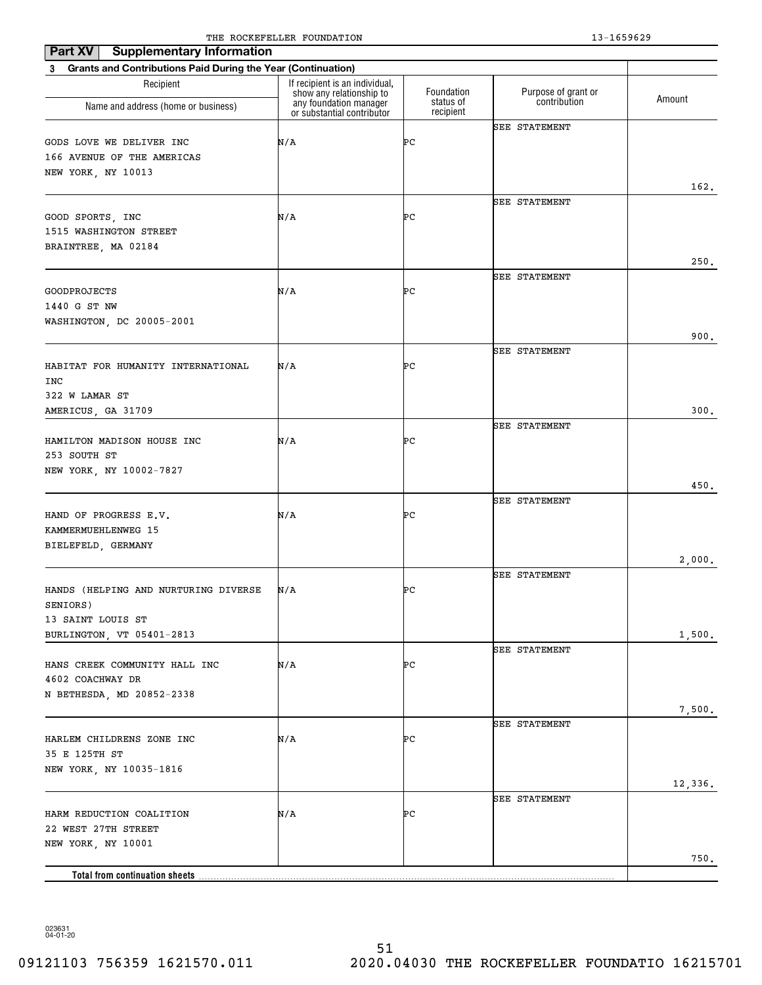| Part XV<br><b>Supplementary Information</b>                              | The Rocker needs roombillion                               |                        | 19 10990 <i>49</i>   |         |
|--------------------------------------------------------------------------|------------------------------------------------------------|------------------------|----------------------|---------|
| <b>Grants and Contributions Paid During the Year (Continuation)</b><br>3 |                                                            |                        |                      |         |
| Recipient                                                                | If recipient is an individual,<br>show any relationship to | Foundation             | Purpose of grant or  |         |
| Name and address (home or business)                                      | any foundation manager<br>or substantial contributor       | status of<br>recipient | contribution         | Amount  |
|                                                                          |                                                            |                        | <b>SEE STATEMENT</b> |         |
| GODS LOVE WE DELIVER INC                                                 | N/A                                                        | ÞС                     |                      |         |
| 166 AVENUE OF THE AMERICAS                                               |                                                            |                        |                      |         |
| NEW YORK, NY 10013                                                       |                                                            |                        |                      |         |
|                                                                          |                                                            |                        | <b>SEE STATEMENT</b> | 162.    |
| GOOD SPORTS, INC                                                         | N/A                                                        | ÞС                     |                      |         |
| 1515 WASHINGTON STREET                                                   |                                                            |                        |                      |         |
| BRAINTREE, MA 02184                                                      |                                                            |                        |                      |         |
|                                                                          |                                                            |                        |                      | 250.    |
|                                                                          |                                                            |                        | <b>SEE STATEMENT</b> |         |
| <b>GOODPROJECTS</b>                                                      | N/A                                                        | ÞС                     |                      |         |
| 1440 G ST NW                                                             |                                                            |                        |                      |         |
| WASHINGTON, DC 20005-2001                                                |                                                            |                        |                      |         |
|                                                                          |                                                            |                        |                      | 900.    |
| HABITAT FOR HUMANITY INTERNATIONAL                                       | N/A                                                        | ÞС                     | <b>SEE STATEMENT</b> |         |
| INC                                                                      |                                                            |                        |                      |         |
| 322 W LAMAR ST                                                           |                                                            |                        |                      |         |
| AMERICUS, GA 31709                                                       |                                                            |                        |                      | 300.    |
|                                                                          |                                                            |                        | <b>SEE STATEMENT</b> |         |
| HAMILTON MADISON HOUSE INC                                               | N/A                                                        | ÞС                     |                      |         |
| 253 SOUTH ST                                                             |                                                            |                        |                      |         |
| NEW YORK, NY 10002-7827                                                  |                                                            |                        |                      |         |
|                                                                          |                                                            |                        |                      | 450.    |
|                                                                          |                                                            |                        | <b>SEE STATEMENT</b> |         |
| HAND OF PROGRESS E.V.                                                    | N/A                                                        | ÞС                     |                      |         |
| KAMMERMUEHLENWEG 15<br>BIELEFELD, GERMANY                                |                                                            |                        |                      |         |
|                                                                          |                                                            |                        |                      | 2,000.  |
|                                                                          |                                                            |                        | <b>SEE STATEMENT</b> |         |
| HANDS (HELPING AND NURTURING DIVERSE                                     | N/A                                                        | ÞС                     |                      |         |
| SENIORS)                                                                 |                                                            |                        |                      |         |
| 13 SAINT LOUIS ST                                                        |                                                            |                        |                      |         |
| BURLINGTON, VT 05401-2813                                                |                                                            |                        |                      | 1,500.  |
|                                                                          |                                                            |                        | <b>SEE STATEMENT</b> |         |
| HANS CREEK COMMUNITY HALL INC                                            | N/A                                                        | ÞС                     |                      |         |
| 4602 COACHWAY DR                                                         |                                                            |                        |                      |         |
| N BETHESDA, MD 20852-2338                                                |                                                            |                        |                      |         |
|                                                                          |                                                            |                        | <b>SEE STATEMENT</b> | 7,500.  |
| HARLEM CHILDRENS ZONE INC                                                | N/A                                                        | ÞС                     |                      |         |
| 35 E 125TH ST                                                            |                                                            |                        |                      |         |
| NEW YORK, NY 10035-1816                                                  |                                                            |                        |                      |         |
|                                                                          |                                                            |                        |                      | 12,336. |
|                                                                          |                                                            |                        | <b>SEE STATEMENT</b> |         |
| HARM REDUCTION COALITION                                                 | N/A                                                        | PС                     |                      |         |
| 22 WEST 27TH STREET                                                      |                                                            |                        |                      |         |
| NEW YORK, NY 10001                                                       |                                                            |                        |                      |         |
|                                                                          |                                                            |                        |                      | 750.    |
|                                                                          |                                                            |                        |                      |         |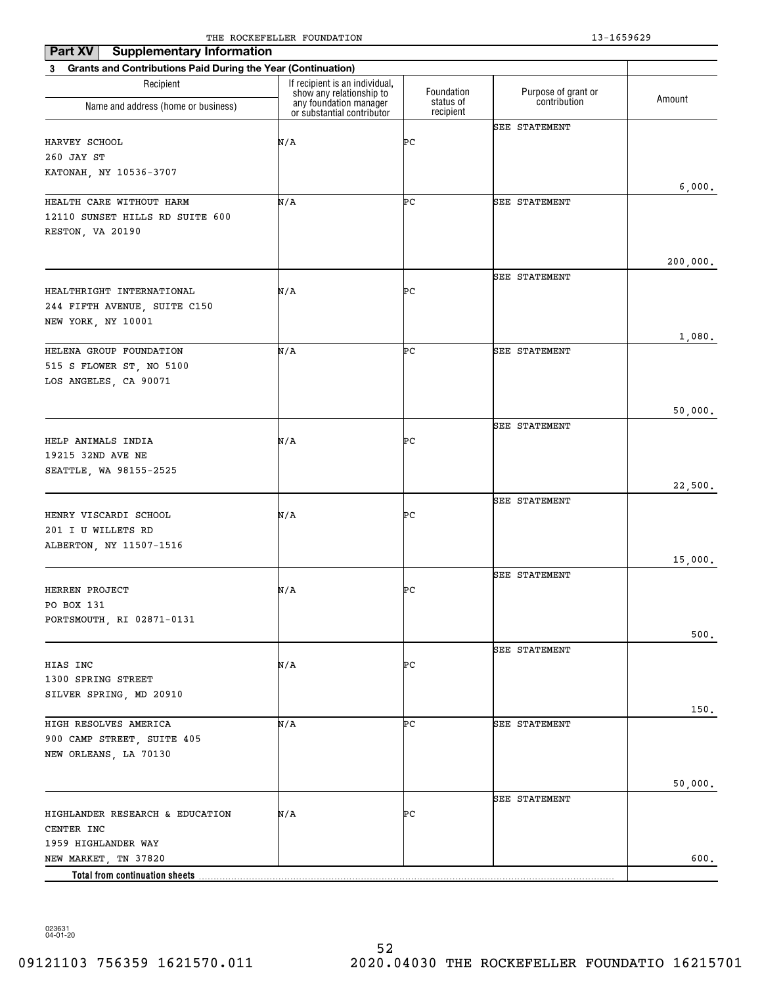| <b>Supplementary Information</b><br>Part XV                    |                                                            |                        |                      |          |
|----------------------------------------------------------------|------------------------------------------------------------|------------------------|----------------------|----------|
| 3 Grants and Contributions Paid During the Year (Continuation) |                                                            |                        |                      |          |
| Recipient                                                      | If recipient is an individual,<br>show any relationship to | Foundation             | Purpose of grant or  | Amount   |
| Name and address (home or business)                            | any foundation manager<br>or substantial contributor       | status of<br>recipient | contribution         |          |
|                                                                |                                                            |                        | <b>SEE STATEMENT</b> |          |
| HARVEY SCHOOL                                                  | N/A                                                        | ÞС                     |                      |          |
| 260 JAY ST<br>KATONAH, NY 10536-3707                           |                                                            |                        |                      |          |
|                                                                |                                                            |                        |                      | 6,000.   |
| HEALTH CARE WITHOUT HARM                                       | N/A                                                        | ÞС                     | <b>SEE STATEMENT</b> |          |
| 12110 SUNSET HILLS RD SUITE 600                                |                                                            |                        |                      |          |
| RESTON, VA 20190                                               |                                                            |                        |                      |          |
|                                                                |                                                            |                        |                      |          |
|                                                                |                                                            |                        |                      | 200,000. |
|                                                                |                                                            |                        | SEE STATEMENT        |          |
| HEALTHRIGHT INTERNATIONAL                                      | N/A                                                        | PС                     |                      |          |
| 244 FIFTH AVENUE, SUITE C150<br>NEW YORK, NY 10001             |                                                            |                        |                      |          |
|                                                                |                                                            |                        |                      | 1,080.   |
| HELENA GROUP FOUNDATION                                        | N/A                                                        | ÞС                     | <b>SEE STATEMENT</b> |          |
| 515 S FLOWER ST, NO 5100                                       |                                                            |                        |                      |          |
| LOS ANGELES, CA 90071                                          |                                                            |                        |                      |          |
|                                                                |                                                            |                        |                      |          |
|                                                                |                                                            |                        |                      | 50,000.  |
|                                                                |                                                            |                        | <b>SEE STATEMENT</b> |          |
| HELP ANIMALS INDIA                                             | N/A                                                        | PС                     |                      |          |
| 19215 32ND AVE NE<br>SEATTLE, WA 98155-2525                    |                                                            |                        |                      |          |
|                                                                |                                                            |                        |                      | 22,500.  |
|                                                                |                                                            |                        | <b>SEE STATEMENT</b> |          |
| HENRY VISCARDI SCHOOL                                          | N/A                                                        | PС                     |                      |          |
| 201 I U WILLETS RD                                             |                                                            |                        |                      |          |
| ALBERTON, NY 11507-1516                                        |                                                            |                        |                      |          |
|                                                                |                                                            |                        |                      | 15,000.  |
|                                                                |                                                            |                        | <b>SEE STATEMENT</b> |          |
| HERREN PROJECT<br>PO BOX 131                                   | N/A                                                        | PС                     |                      |          |
| PORTSMOUTH, RI 02871-0131                                      |                                                            |                        |                      |          |
|                                                                |                                                            |                        |                      | 500.     |
|                                                                |                                                            |                        | <b>SEE STATEMENT</b> |          |
| HIAS INC                                                       | N/A                                                        | PС                     |                      |          |
| 1300 SPRING STREET                                             |                                                            |                        |                      |          |
| SILVER SPRING, MD 20910                                        |                                                            |                        |                      |          |
|                                                                |                                                            |                        |                      | 150.     |
| HIGH RESOLVES AMERICA                                          | N/A                                                        | ÞС                     | <b>SEE STATEMENT</b> |          |
| 900 CAMP STREET, SUITE 405                                     |                                                            |                        |                      |          |
| NEW ORLEANS, LA 70130                                          |                                                            |                        |                      |          |
|                                                                |                                                            |                        |                      | 50,000.  |
|                                                                |                                                            |                        | <b>SEE STATEMENT</b> |          |
| HIGHLANDER RESEARCH & EDUCATION                                | N/A                                                        | PС                     |                      |          |
| CENTER INC                                                     |                                                            |                        |                      |          |
| 1959 HIGHLANDER WAY                                            |                                                            |                        |                      |          |
| NEW MARKET, TN 37820                                           |                                                            |                        |                      | 600.     |
| Total from continuation sheets                                 |                                                            |                        |                      |          |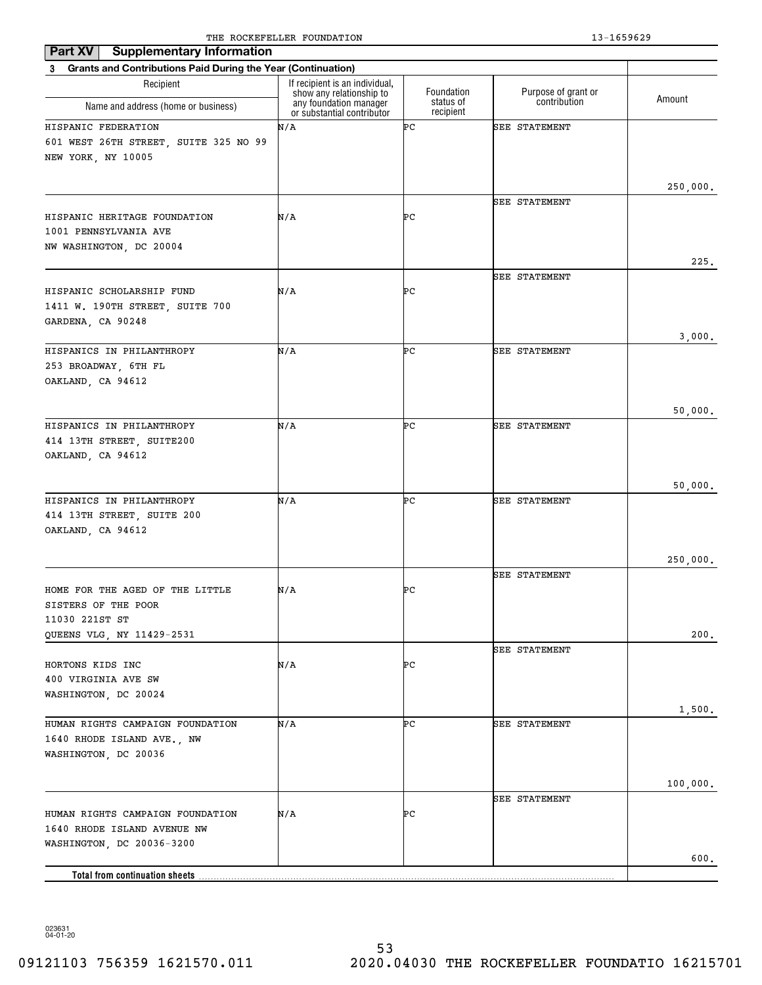| <b>Supplementary Information</b><br>Part XV                                        |                                                            |                         |                                     |          |  |
|------------------------------------------------------------------------------------|------------------------------------------------------------|-------------------------|-------------------------------------|----------|--|
| 3 Grants and Contributions Paid During the Year (Continuation)                     |                                                            |                         |                                     |          |  |
| Recipient                                                                          | If recipient is an individual,<br>show any relationship to | Foundation<br>status of | Purpose of grant or<br>contribution | Amount   |  |
| Name and address (home or business)                                                | any foundation manager<br>or substantial contributor       | recipient               |                                     |          |  |
| HISPANIC FEDERATION<br>601 WEST 26TH STREET, SUITE 325 NO 99<br>NEW YORK, NY 10005 | N/A                                                        | ÞС                      | <b>SEE STATEMENT</b>                |          |  |
|                                                                                    |                                                            |                         |                                     | 250,000. |  |
| HISPANIC HERITAGE FOUNDATION<br>1001 PENNSYLVANIA AVE<br>NW WASHINGTON, DC 20004   | N/A                                                        | ÞС                      | SEE STATEMENT                       | 225.     |  |
|                                                                                    |                                                            |                         | <b>SEE STATEMENT</b>                |          |  |
| HISPANIC SCHOLARSHIP FUND<br>1411 W. 190TH STREET, SUITE 700<br>GARDENA, CA 90248  | N/A                                                        | ÞС                      |                                     |          |  |
|                                                                                    |                                                            |                         |                                     | 3,000.   |  |
| HISPANICS IN PHILANTHROPY<br>253 BROADWAY, 6TH FL<br>OAKLAND, CA 94612             | N/A                                                        | ÞС                      | <b>SEE STATEMENT</b>                |          |  |
|                                                                                    |                                                            |                         |                                     | 50,000.  |  |
| HISPANICS IN PHILANTHROPY<br>414 13TH STREET, SUITE200<br>OAKLAND, CA 94612        | N/A                                                        | ÞС                      | <b>SEE STATEMENT</b>                |          |  |
|                                                                                    |                                                            |                         |                                     |          |  |
| HISPANICS IN PHILANTHROPY<br>414 13TH STREET, SUITE 200<br>OAKLAND, CA 94612       | N/A                                                        | ÞС                      | <b>SEE STATEMENT</b>                | 50,000.  |  |
|                                                                                    |                                                            |                         |                                     |          |  |
|                                                                                    |                                                            |                         | <b>SEE STATEMENT</b>                | 250,000. |  |
| HOME FOR THE AGED OF THE LITTLE<br>SISTERS OF THE POOR<br>11030 221ST ST           | N/A                                                        | ÞС                      |                                     |          |  |
| QUEENS VLG, NY 11429-2531                                                          |                                                            |                         |                                     | 200.     |  |
| HORTONS KIDS INC<br>400 VIRGINIA AVE SW<br>WASHINGTON, DC 20024                    | N/A                                                        | ÞС                      | SEE STATEMENT                       |          |  |
| HUMAN RIGHTS CAMPAIGN FOUNDATION                                                   | N/A                                                        | ÞС                      | SEE STATEMENT                       | 1,500.   |  |
| 1640 RHODE ISLAND AVE., NW<br>WASHINGTON, DC 20036                                 |                                                            |                         |                                     |          |  |
|                                                                                    |                                                            |                         |                                     | 100,000. |  |
| HUMAN RIGHTS CAMPAIGN FOUNDATION<br>1640 RHODE ISLAND AVENUE NW                    | N/A                                                        | ÞС                      | SEE STATEMENT                       |          |  |
| WASHINGTON, DC 20036-3200                                                          |                                                            |                         |                                     | 600.     |  |
| Total from continuation sheets                                                     |                                                            |                         |                                     |          |  |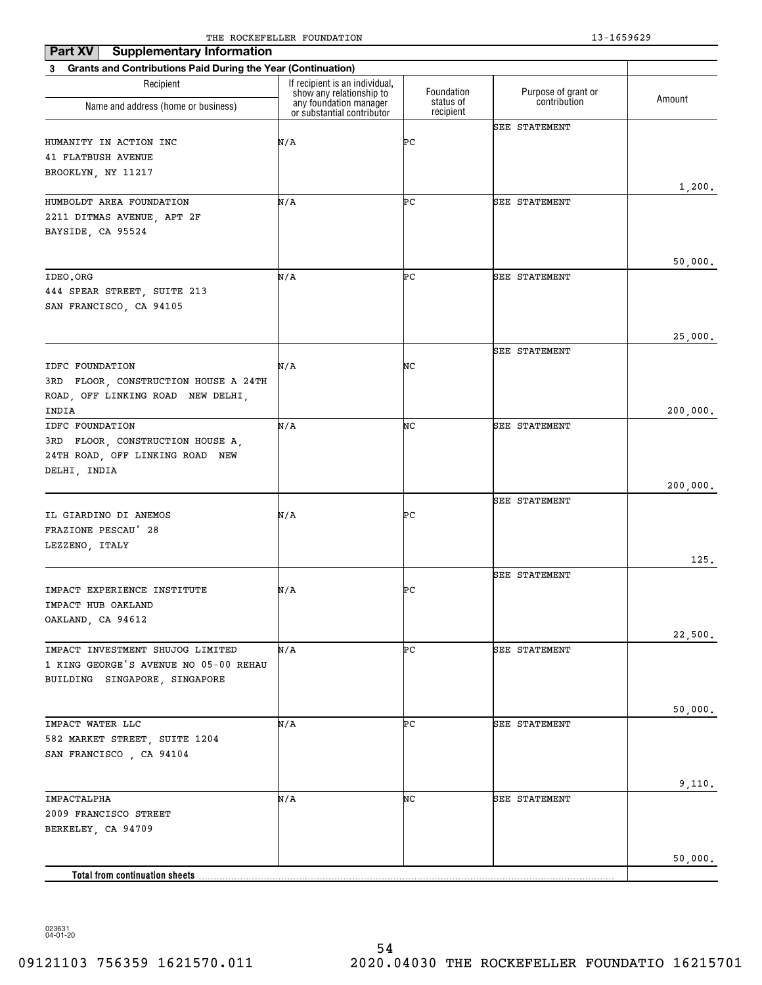| <b>Supplementary Information</b><br>Part XV<br>3 Grants and Contributions Paid During the Year (Continuation) |                                                    |                         |                                     |          |
|---------------------------------------------------------------------------------------------------------------|----------------------------------------------------|-------------------------|-------------------------------------|----------|
| Recipient                                                                                                     | If recipient is an individual,                     |                         |                                     |          |
| Name and address (home or business)                                                                           | show any relationship to<br>any foundation manager | Foundation<br>status of | Purpose of grant or<br>contribution | Amount   |
|                                                                                                               | or substantial contributor                         | recipient               |                                     |          |
| HUMANITY IN ACTION INC                                                                                        | N/A                                                | ÞС                      | SEE STATEMENT                       |          |
| <b>41 FLATBUSH AVENUE</b>                                                                                     |                                                    |                         |                                     |          |
| BROOKLYN, NY 11217                                                                                            |                                                    |                         |                                     |          |
|                                                                                                               |                                                    |                         |                                     | 1,200.   |
| HUMBOLDT AREA FOUNDATION                                                                                      | N/A                                                | ÞС                      | <b>SEE STATEMENT</b>                |          |
| 2211 DITMAS AVENUE, APT 2F                                                                                    |                                                    |                         |                                     |          |
| BAYSIDE, CA 95524                                                                                             |                                                    |                         |                                     |          |
|                                                                                                               |                                                    |                         |                                     |          |
|                                                                                                               |                                                    |                         |                                     | 50,000.  |
| IDEO.ORG                                                                                                      | N/A                                                | ÞС                      | <b>SEE STATEMENT</b>                |          |
| 444 SPEAR STREET, SUITE 213                                                                                   |                                                    |                         |                                     |          |
| SAN FRANCISCO, CA 94105                                                                                       |                                                    |                         |                                     |          |
|                                                                                                               |                                                    |                         |                                     |          |
|                                                                                                               |                                                    |                         |                                     | 25,000.  |
|                                                                                                               |                                                    |                         | <b>SEE STATEMENT</b>                |          |
| IDFC FOUNDATION                                                                                               | N/A                                                | NC                      |                                     |          |
| 3RD FLOOR, CONSTRUCTION HOUSE A 24TH                                                                          |                                                    |                         |                                     |          |
| ROAD, OFF LINKING ROAD NEW DELHI,                                                                             |                                                    |                         |                                     |          |
| INDIA                                                                                                         |                                                    |                         |                                     | 200,000. |
| IDFC FOUNDATION                                                                                               | N/A                                                | NC                      | <b>SEE STATEMENT</b>                |          |
| 3RD FLOOR, CONSTRUCTION HOUSE A,                                                                              |                                                    |                         |                                     |          |
| 24TH ROAD, OFF LINKING ROAD NEW                                                                               |                                                    |                         |                                     |          |
| DELHI, INDIA                                                                                                  |                                                    |                         |                                     |          |
|                                                                                                               |                                                    |                         |                                     | 200,000. |
|                                                                                                               |                                                    |                         | <b>SEE STATEMENT</b>                |          |
| IL GIARDINO DI ANEMOS                                                                                         | N/A                                                | ÞС                      |                                     |          |
| FRAZIONE PESCAU' 28                                                                                           |                                                    |                         |                                     |          |
| LEZZENO, ITALY                                                                                                |                                                    |                         |                                     |          |
|                                                                                                               |                                                    |                         |                                     | 125.     |
|                                                                                                               |                                                    |                         | SEE STATEMENT                       |          |
| IMPACT EXPERIENCE INSTITUTE                                                                                   | N/A                                                | ÞС                      |                                     |          |
| IMPACT HUB OAKLAND                                                                                            |                                                    |                         |                                     |          |
| OAKLAND, CA 94612                                                                                             |                                                    |                         |                                     |          |
|                                                                                                               |                                                    |                         |                                     | 22,500.  |
| IMPACT INVESTMENT SHUJOG LIMITED                                                                              | N/A                                                | ÞС                      | SEE STATEMENT                       |          |
| 1 KING GEORGE'S AVENUE NO 05-00 REHAU                                                                         |                                                    |                         |                                     |          |
| BUILDING SINGAPORE, SINGAPORE                                                                                 |                                                    |                         |                                     |          |
|                                                                                                               |                                                    |                         |                                     |          |
|                                                                                                               |                                                    |                         |                                     | 50,000.  |
| IMPACT WATER LLC                                                                                              | N/A                                                | ÞС                      | SEE STATEMENT                       |          |
| 582 MARKET STREET, SUITE 1204                                                                                 |                                                    |                         |                                     |          |
| SAN FRANCISCO, CA 94104                                                                                       |                                                    |                         |                                     |          |
|                                                                                                               |                                                    |                         |                                     |          |
|                                                                                                               |                                                    |                         |                                     | 9,110.   |
| IMPACTALPHA                                                                                                   | N/A                                                | NC                      | <b>SEE STATEMENT</b>                |          |
| 2009 FRANCISCO STREET                                                                                         |                                                    |                         |                                     |          |
| BERKELEY, CA 94709                                                                                            |                                                    |                         |                                     |          |
|                                                                                                               |                                                    |                         |                                     |          |
|                                                                                                               |                                                    |                         |                                     | 50,000.  |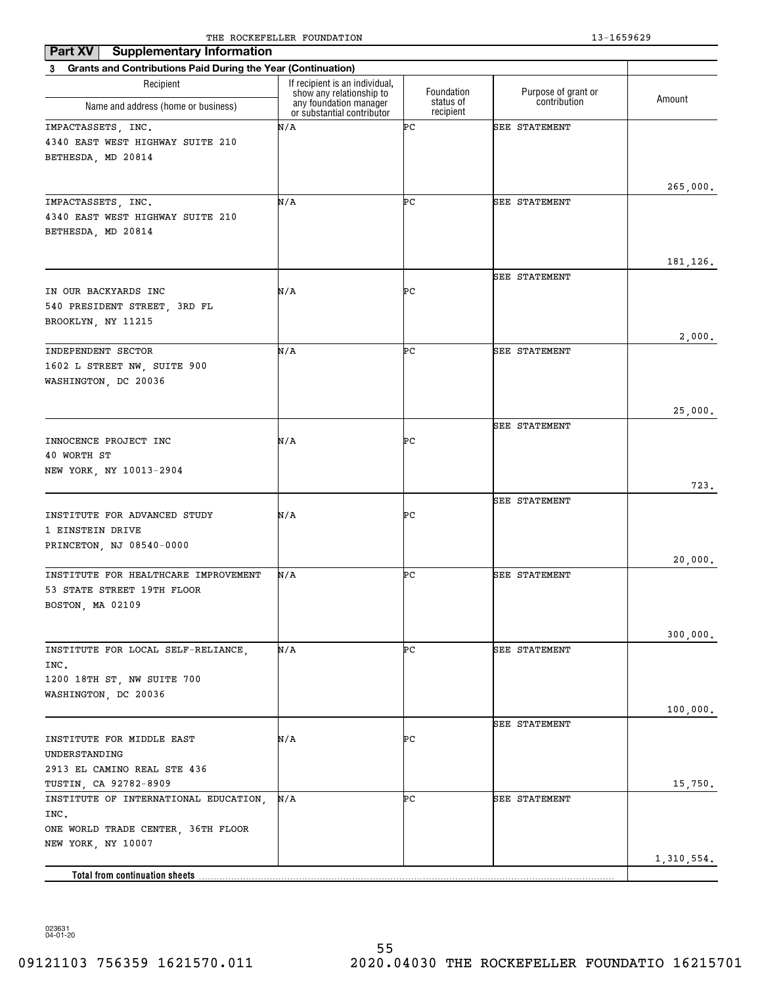| 3 Grants and Contributions Paid During the Year (Continuation)<br>If recipient is an individual,<br>Recipient<br>Purpose of grant or<br>Foundation<br>show any relationship to<br>Amount<br>contribution<br>any foundation manager<br>or substantial contributor<br>status of<br>Name and address (home or business)<br>recipient<br>N/A<br>ÞС<br><b>SEE STATEMENT</b><br>IMPACTASSETS, INC.<br>4340 EAST WEST HIGHWAY SUITE 210<br>BETHESDA, MD 20814<br>265,000.<br>IMPACTASSETS, INC.<br>N/A<br>ÞС<br>SEE STATEMENT<br>4340 EAST WEST HIGHWAY SUITE 210<br>BETHESDA, MD 20814<br>181,126.<br><b>SEE STATEMENT</b><br>N/A<br>PС<br>IN OUR BACKYARDS INC<br>540 PRESIDENT STREET, 3RD FL<br>BROOKLYN, NY 11215<br>2,000.<br>N/A<br>ÞС<br>INDEPENDENT SECTOR<br><b>SEE STATEMENT</b><br>1602 L STREET NW, SUITE 900<br>WASHINGTON, DC 20036<br>25,000.<br><b>SEE STATEMENT</b><br>N/A<br>PС<br>INNOCENCE PROJECT INC<br>40 WORTH ST<br>NEW YORK, NY 10013-2904<br>723.<br><b>SEE STATEMENT</b><br>INSTITUTE FOR ADVANCED STUDY<br>N/A<br>PС<br>1 EINSTEIN DRIVE<br>PRINCETON, NJ 08540-0000<br>20,000.<br>ÞС<br>INSTITUTE FOR HEALTHCARE IMPROVEMENT<br>N/A<br>SEE STATEMENT<br>53 STATE STREET 19TH FLOOR<br>BOSTON, MA 02109<br>300,000.<br>N/A<br>INSTITUTE FOR LOCAL SELF-RELIANCE,<br>PС<br>SEE STATEMENT<br>INC.<br>1200 18TH ST, NW SUITE 700<br>WASHINGTON, DC 20036<br>100,000.<br>SEE STATEMENT<br>N/A<br>ÞС<br>INSTITUTE FOR MIDDLE EAST<br>UNDERSTANDING<br>2913 EL CAMINO REAL STE 436<br>TUSTIN, CA 92782-8909<br>15,750.<br>ÞС<br>INSTITUTE OF INTERNATIONAL EDUCATION,<br>N/A<br>SEE STATEMENT<br>INC.<br>ONE WORLD TRADE CENTER, 36TH FLOOR<br>NEW YORK, NY 10007<br>1,310,554.<br>Total from continuation sheets | <b>Supplementary Information</b><br>Part XV |  |  |
|------------------------------------------------------------------------------------------------------------------------------------------------------------------------------------------------------------------------------------------------------------------------------------------------------------------------------------------------------------------------------------------------------------------------------------------------------------------------------------------------------------------------------------------------------------------------------------------------------------------------------------------------------------------------------------------------------------------------------------------------------------------------------------------------------------------------------------------------------------------------------------------------------------------------------------------------------------------------------------------------------------------------------------------------------------------------------------------------------------------------------------------------------------------------------------------------------------------------------------------------------------------------------------------------------------------------------------------------------------------------------------------------------------------------------------------------------------------------------------------------------------------------------------------------------------------------------------------------------------------------------------------------------------------------------------------------------------------------------------|---------------------------------------------|--|--|
|                                                                                                                                                                                                                                                                                                                                                                                                                                                                                                                                                                                                                                                                                                                                                                                                                                                                                                                                                                                                                                                                                                                                                                                                                                                                                                                                                                                                                                                                                                                                                                                                                                                                                                                                    |                                             |  |  |
|                                                                                                                                                                                                                                                                                                                                                                                                                                                                                                                                                                                                                                                                                                                                                                                                                                                                                                                                                                                                                                                                                                                                                                                                                                                                                                                                                                                                                                                                                                                                                                                                                                                                                                                                    |                                             |  |  |
|                                                                                                                                                                                                                                                                                                                                                                                                                                                                                                                                                                                                                                                                                                                                                                                                                                                                                                                                                                                                                                                                                                                                                                                                                                                                                                                                                                                                                                                                                                                                                                                                                                                                                                                                    |                                             |  |  |
|                                                                                                                                                                                                                                                                                                                                                                                                                                                                                                                                                                                                                                                                                                                                                                                                                                                                                                                                                                                                                                                                                                                                                                                                                                                                                                                                                                                                                                                                                                                                                                                                                                                                                                                                    |                                             |  |  |
|                                                                                                                                                                                                                                                                                                                                                                                                                                                                                                                                                                                                                                                                                                                                                                                                                                                                                                                                                                                                                                                                                                                                                                                                                                                                                                                                                                                                                                                                                                                                                                                                                                                                                                                                    |                                             |  |  |
|                                                                                                                                                                                                                                                                                                                                                                                                                                                                                                                                                                                                                                                                                                                                                                                                                                                                                                                                                                                                                                                                                                                                                                                                                                                                                                                                                                                                                                                                                                                                                                                                                                                                                                                                    |                                             |  |  |
|                                                                                                                                                                                                                                                                                                                                                                                                                                                                                                                                                                                                                                                                                                                                                                                                                                                                                                                                                                                                                                                                                                                                                                                                                                                                                                                                                                                                                                                                                                                                                                                                                                                                                                                                    |                                             |  |  |
|                                                                                                                                                                                                                                                                                                                                                                                                                                                                                                                                                                                                                                                                                                                                                                                                                                                                                                                                                                                                                                                                                                                                                                                                                                                                                                                                                                                                                                                                                                                                                                                                                                                                                                                                    |                                             |  |  |
|                                                                                                                                                                                                                                                                                                                                                                                                                                                                                                                                                                                                                                                                                                                                                                                                                                                                                                                                                                                                                                                                                                                                                                                                                                                                                                                                                                                                                                                                                                                                                                                                                                                                                                                                    |                                             |  |  |
|                                                                                                                                                                                                                                                                                                                                                                                                                                                                                                                                                                                                                                                                                                                                                                                                                                                                                                                                                                                                                                                                                                                                                                                                                                                                                                                                                                                                                                                                                                                                                                                                                                                                                                                                    |                                             |  |  |
|                                                                                                                                                                                                                                                                                                                                                                                                                                                                                                                                                                                                                                                                                                                                                                                                                                                                                                                                                                                                                                                                                                                                                                                                                                                                                                                                                                                                                                                                                                                                                                                                                                                                                                                                    |                                             |  |  |
|                                                                                                                                                                                                                                                                                                                                                                                                                                                                                                                                                                                                                                                                                                                                                                                                                                                                                                                                                                                                                                                                                                                                                                                                                                                                                                                                                                                                                                                                                                                                                                                                                                                                                                                                    |                                             |  |  |
|                                                                                                                                                                                                                                                                                                                                                                                                                                                                                                                                                                                                                                                                                                                                                                                                                                                                                                                                                                                                                                                                                                                                                                                                                                                                                                                                                                                                                                                                                                                                                                                                                                                                                                                                    |                                             |  |  |
|                                                                                                                                                                                                                                                                                                                                                                                                                                                                                                                                                                                                                                                                                                                                                                                                                                                                                                                                                                                                                                                                                                                                                                                                                                                                                                                                                                                                                                                                                                                                                                                                                                                                                                                                    |                                             |  |  |
|                                                                                                                                                                                                                                                                                                                                                                                                                                                                                                                                                                                                                                                                                                                                                                                                                                                                                                                                                                                                                                                                                                                                                                                                                                                                                                                                                                                                                                                                                                                                                                                                                                                                                                                                    |                                             |  |  |
|                                                                                                                                                                                                                                                                                                                                                                                                                                                                                                                                                                                                                                                                                                                                                                                                                                                                                                                                                                                                                                                                                                                                                                                                                                                                                                                                                                                                                                                                                                                                                                                                                                                                                                                                    |                                             |  |  |
|                                                                                                                                                                                                                                                                                                                                                                                                                                                                                                                                                                                                                                                                                                                                                                                                                                                                                                                                                                                                                                                                                                                                                                                                                                                                                                                                                                                                                                                                                                                                                                                                                                                                                                                                    |                                             |  |  |
|                                                                                                                                                                                                                                                                                                                                                                                                                                                                                                                                                                                                                                                                                                                                                                                                                                                                                                                                                                                                                                                                                                                                                                                                                                                                                                                                                                                                                                                                                                                                                                                                                                                                                                                                    |                                             |  |  |
|                                                                                                                                                                                                                                                                                                                                                                                                                                                                                                                                                                                                                                                                                                                                                                                                                                                                                                                                                                                                                                                                                                                                                                                                                                                                                                                                                                                                                                                                                                                                                                                                                                                                                                                                    |                                             |  |  |
|                                                                                                                                                                                                                                                                                                                                                                                                                                                                                                                                                                                                                                                                                                                                                                                                                                                                                                                                                                                                                                                                                                                                                                                                                                                                                                                                                                                                                                                                                                                                                                                                                                                                                                                                    |                                             |  |  |
|                                                                                                                                                                                                                                                                                                                                                                                                                                                                                                                                                                                                                                                                                                                                                                                                                                                                                                                                                                                                                                                                                                                                                                                                                                                                                                                                                                                                                                                                                                                                                                                                                                                                                                                                    |                                             |  |  |
|                                                                                                                                                                                                                                                                                                                                                                                                                                                                                                                                                                                                                                                                                                                                                                                                                                                                                                                                                                                                                                                                                                                                                                                                                                                                                                                                                                                                                                                                                                                                                                                                                                                                                                                                    |                                             |  |  |
|                                                                                                                                                                                                                                                                                                                                                                                                                                                                                                                                                                                                                                                                                                                                                                                                                                                                                                                                                                                                                                                                                                                                                                                                                                                                                                                                                                                                                                                                                                                                                                                                                                                                                                                                    |                                             |  |  |
|                                                                                                                                                                                                                                                                                                                                                                                                                                                                                                                                                                                                                                                                                                                                                                                                                                                                                                                                                                                                                                                                                                                                                                                                                                                                                                                                                                                                                                                                                                                                                                                                                                                                                                                                    |                                             |  |  |
|                                                                                                                                                                                                                                                                                                                                                                                                                                                                                                                                                                                                                                                                                                                                                                                                                                                                                                                                                                                                                                                                                                                                                                                                                                                                                                                                                                                                                                                                                                                                                                                                                                                                                                                                    |                                             |  |  |
|                                                                                                                                                                                                                                                                                                                                                                                                                                                                                                                                                                                                                                                                                                                                                                                                                                                                                                                                                                                                                                                                                                                                                                                                                                                                                                                                                                                                                                                                                                                                                                                                                                                                                                                                    |                                             |  |  |
|                                                                                                                                                                                                                                                                                                                                                                                                                                                                                                                                                                                                                                                                                                                                                                                                                                                                                                                                                                                                                                                                                                                                                                                                                                                                                                                                                                                                                                                                                                                                                                                                                                                                                                                                    |                                             |  |  |
|                                                                                                                                                                                                                                                                                                                                                                                                                                                                                                                                                                                                                                                                                                                                                                                                                                                                                                                                                                                                                                                                                                                                                                                                                                                                                                                                                                                                                                                                                                                                                                                                                                                                                                                                    |                                             |  |  |
|                                                                                                                                                                                                                                                                                                                                                                                                                                                                                                                                                                                                                                                                                                                                                                                                                                                                                                                                                                                                                                                                                                                                                                                                                                                                                                                                                                                                                                                                                                                                                                                                                                                                                                                                    |                                             |  |  |
|                                                                                                                                                                                                                                                                                                                                                                                                                                                                                                                                                                                                                                                                                                                                                                                                                                                                                                                                                                                                                                                                                                                                                                                                                                                                                                                                                                                                                                                                                                                                                                                                                                                                                                                                    |                                             |  |  |
|                                                                                                                                                                                                                                                                                                                                                                                                                                                                                                                                                                                                                                                                                                                                                                                                                                                                                                                                                                                                                                                                                                                                                                                                                                                                                                                                                                                                                                                                                                                                                                                                                                                                                                                                    |                                             |  |  |
|                                                                                                                                                                                                                                                                                                                                                                                                                                                                                                                                                                                                                                                                                                                                                                                                                                                                                                                                                                                                                                                                                                                                                                                                                                                                                                                                                                                                                                                                                                                                                                                                                                                                                                                                    |                                             |  |  |
|                                                                                                                                                                                                                                                                                                                                                                                                                                                                                                                                                                                                                                                                                                                                                                                                                                                                                                                                                                                                                                                                                                                                                                                                                                                                                                                                                                                                                                                                                                                                                                                                                                                                                                                                    |                                             |  |  |
|                                                                                                                                                                                                                                                                                                                                                                                                                                                                                                                                                                                                                                                                                                                                                                                                                                                                                                                                                                                                                                                                                                                                                                                                                                                                                                                                                                                                                                                                                                                                                                                                                                                                                                                                    |                                             |  |  |
|                                                                                                                                                                                                                                                                                                                                                                                                                                                                                                                                                                                                                                                                                                                                                                                                                                                                                                                                                                                                                                                                                                                                                                                                                                                                                                                                                                                                                                                                                                                                                                                                                                                                                                                                    |                                             |  |  |
|                                                                                                                                                                                                                                                                                                                                                                                                                                                                                                                                                                                                                                                                                                                                                                                                                                                                                                                                                                                                                                                                                                                                                                                                                                                                                                                                                                                                                                                                                                                                                                                                                                                                                                                                    |                                             |  |  |
|                                                                                                                                                                                                                                                                                                                                                                                                                                                                                                                                                                                                                                                                                                                                                                                                                                                                                                                                                                                                                                                                                                                                                                                                                                                                                                                                                                                                                                                                                                                                                                                                                                                                                                                                    |                                             |  |  |
|                                                                                                                                                                                                                                                                                                                                                                                                                                                                                                                                                                                                                                                                                                                                                                                                                                                                                                                                                                                                                                                                                                                                                                                                                                                                                                                                                                                                                                                                                                                                                                                                                                                                                                                                    |                                             |  |  |
|                                                                                                                                                                                                                                                                                                                                                                                                                                                                                                                                                                                                                                                                                                                                                                                                                                                                                                                                                                                                                                                                                                                                                                                                                                                                                                                                                                                                                                                                                                                                                                                                                                                                                                                                    |                                             |  |  |
|                                                                                                                                                                                                                                                                                                                                                                                                                                                                                                                                                                                                                                                                                                                                                                                                                                                                                                                                                                                                                                                                                                                                                                                                                                                                                                                                                                                                                                                                                                                                                                                                                                                                                                                                    |                                             |  |  |
|                                                                                                                                                                                                                                                                                                                                                                                                                                                                                                                                                                                                                                                                                                                                                                                                                                                                                                                                                                                                                                                                                                                                                                                                                                                                                                                                                                                                                                                                                                                                                                                                                                                                                                                                    |                                             |  |  |
|                                                                                                                                                                                                                                                                                                                                                                                                                                                                                                                                                                                                                                                                                                                                                                                                                                                                                                                                                                                                                                                                                                                                                                                                                                                                                                                                                                                                                                                                                                                                                                                                                                                                                                                                    |                                             |  |  |
|                                                                                                                                                                                                                                                                                                                                                                                                                                                                                                                                                                                                                                                                                                                                                                                                                                                                                                                                                                                                                                                                                                                                                                                                                                                                                                                                                                                                                                                                                                                                                                                                                                                                                                                                    |                                             |  |  |
|                                                                                                                                                                                                                                                                                                                                                                                                                                                                                                                                                                                                                                                                                                                                                                                                                                                                                                                                                                                                                                                                                                                                                                                                                                                                                                                                                                                                                                                                                                                                                                                                                                                                                                                                    |                                             |  |  |
|                                                                                                                                                                                                                                                                                                                                                                                                                                                                                                                                                                                                                                                                                                                                                                                                                                                                                                                                                                                                                                                                                                                                                                                                                                                                                                                                                                                                                                                                                                                                                                                                                                                                                                                                    |                                             |  |  |
|                                                                                                                                                                                                                                                                                                                                                                                                                                                                                                                                                                                                                                                                                                                                                                                                                                                                                                                                                                                                                                                                                                                                                                                                                                                                                                                                                                                                                                                                                                                                                                                                                                                                                                                                    |                                             |  |  |
|                                                                                                                                                                                                                                                                                                                                                                                                                                                                                                                                                                                                                                                                                                                                                                                                                                                                                                                                                                                                                                                                                                                                                                                                                                                                                                                                                                                                                                                                                                                                                                                                                                                                                                                                    |                                             |  |  |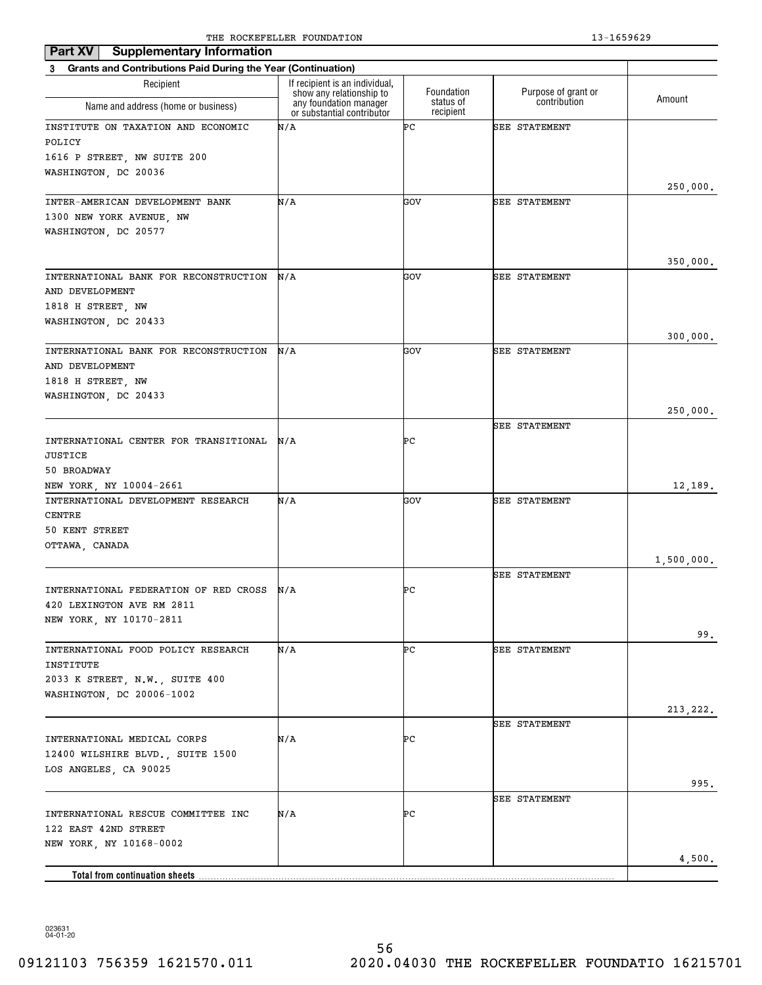| <b>Supplementary Information</b><br>Part XV                              |                                                                                  |                                      |                                     |            |
|--------------------------------------------------------------------------|----------------------------------------------------------------------------------|--------------------------------------|-------------------------------------|------------|
| <b>Grants and Contributions Paid During the Year (Continuation)</b><br>3 |                                                                                  |                                      |                                     |            |
| Recipient                                                                | If recipient is an individual,                                                   |                                      |                                     |            |
| Name and address (home or business)                                      | show any relationship to<br>any foundation manager<br>or substantial contributor | Foundation<br>status of<br>recipient | Purpose of grant or<br>contribution | Amount     |
| INSTITUTE ON TAXATION AND ECONOMIC                                       | N/A                                                                              | ÞС                                   | <b>SEE STATEMENT</b>                |            |
| POLICY                                                                   |                                                                                  |                                      |                                     |            |
| 1616 P STREET, NW SUITE 200                                              |                                                                                  |                                      |                                     |            |
| WASHINGTON, DC 20036                                                     |                                                                                  |                                      |                                     |            |
|                                                                          |                                                                                  |                                      |                                     | 250,000.   |
| INTER-AMERICAN DEVELOPMENT BANK                                          | N/A                                                                              | GOV                                  | <b>SEE STATEMENT</b>                |            |
| 1300 NEW YORK AVENUE, NW                                                 |                                                                                  |                                      |                                     |            |
| WASHINGTON, DC 20577                                                     |                                                                                  |                                      |                                     |            |
|                                                                          |                                                                                  |                                      |                                     |            |
| INTERNATIONAL BANK FOR RECONSTRUCTION                                    | N/A                                                                              | GOV                                  | <b>SEE STATEMENT</b>                | 350,000.   |
| AND DEVELOPMENT                                                          |                                                                                  |                                      |                                     |            |
| 1818 H STREET, NW                                                        |                                                                                  |                                      |                                     |            |
| WASHINGTON, DC 20433                                                     |                                                                                  |                                      |                                     |            |
|                                                                          |                                                                                  |                                      |                                     | 300,000.   |
| INTERNATIONAL BANK FOR RECONSTRUCTION                                    | N/A                                                                              | GOV                                  | <b>SEE STATEMENT</b>                |            |
| AND DEVELOPMENT                                                          |                                                                                  |                                      |                                     |            |
| 1818 H STREET, NW                                                        |                                                                                  |                                      |                                     |            |
| WASHINGTON, DC 20433                                                     |                                                                                  |                                      |                                     |            |
|                                                                          |                                                                                  |                                      |                                     | 250,000.   |
|                                                                          |                                                                                  |                                      | <b>SEE STATEMENT</b>                |            |
| INTERNATIONAL CENTER FOR TRANSITIONAL                                    | N/A                                                                              | ÞС                                   |                                     |            |
| JUSTICE                                                                  |                                                                                  |                                      |                                     |            |
| 50 BROADWAY                                                              |                                                                                  |                                      |                                     |            |
| NEW YORK, NY 10004-2661                                                  | N/A                                                                              | GOV                                  |                                     | 12,189.    |
| INTERNATIONAL DEVELOPMENT RESEARCH<br>CENTRE                             |                                                                                  |                                      | <b>SEE STATEMENT</b>                |            |
| 50 KENT STREET                                                           |                                                                                  |                                      |                                     |            |
| OTTAWA, CANADA                                                           |                                                                                  |                                      |                                     |            |
|                                                                          |                                                                                  |                                      |                                     | 1,500,000. |
|                                                                          |                                                                                  |                                      | <b>SEE STATEMENT</b>                |            |
| INTERNATIONAL FEDERATION OF RED CROSS                                    | N/A                                                                              | ÞС                                   |                                     |            |
| 420 LEXINGTON AVE RM 2811                                                |                                                                                  |                                      |                                     |            |
| NEW YORK, NY 10170-2811                                                  |                                                                                  |                                      |                                     |            |
|                                                                          |                                                                                  |                                      |                                     | 99.        |
| INTERNATIONAL FOOD POLICY RESEARCH                                       | N/A                                                                              | ÞС                                   | <b>SEE STATEMENT</b>                |            |
| INSTITUTE                                                                |                                                                                  |                                      |                                     |            |
| 2033 K STREET, N.W., SUITE 400                                           |                                                                                  |                                      |                                     |            |
| WASHINGTON, DC 20006-1002                                                |                                                                                  |                                      |                                     |            |
|                                                                          |                                                                                  |                                      | <b>SEE STATEMENT</b>                | 213, 222.  |
| INTERNATIONAL MEDICAL CORPS                                              | N/A                                                                              | PС                                   |                                     |            |
| 12400 WILSHIRE BLVD., SUITE 1500                                         |                                                                                  |                                      |                                     |            |
| LOS ANGELES, CA 90025                                                    |                                                                                  |                                      |                                     |            |
|                                                                          |                                                                                  |                                      |                                     | 995.       |
|                                                                          |                                                                                  |                                      | <b>SEE STATEMENT</b>                |            |
| INTERNATIONAL RESCUE COMMITTEE INC                                       | N/A                                                                              | PС                                   |                                     |            |
| 122 EAST 42ND STREET                                                     |                                                                                  |                                      |                                     |            |
| NEW YORK, NY 10168-0002                                                  |                                                                                  |                                      |                                     |            |
|                                                                          |                                                                                  |                                      |                                     | 4,500.     |
| Total from continuation sheets                                           |                                                                                  |                                      |                                     |            |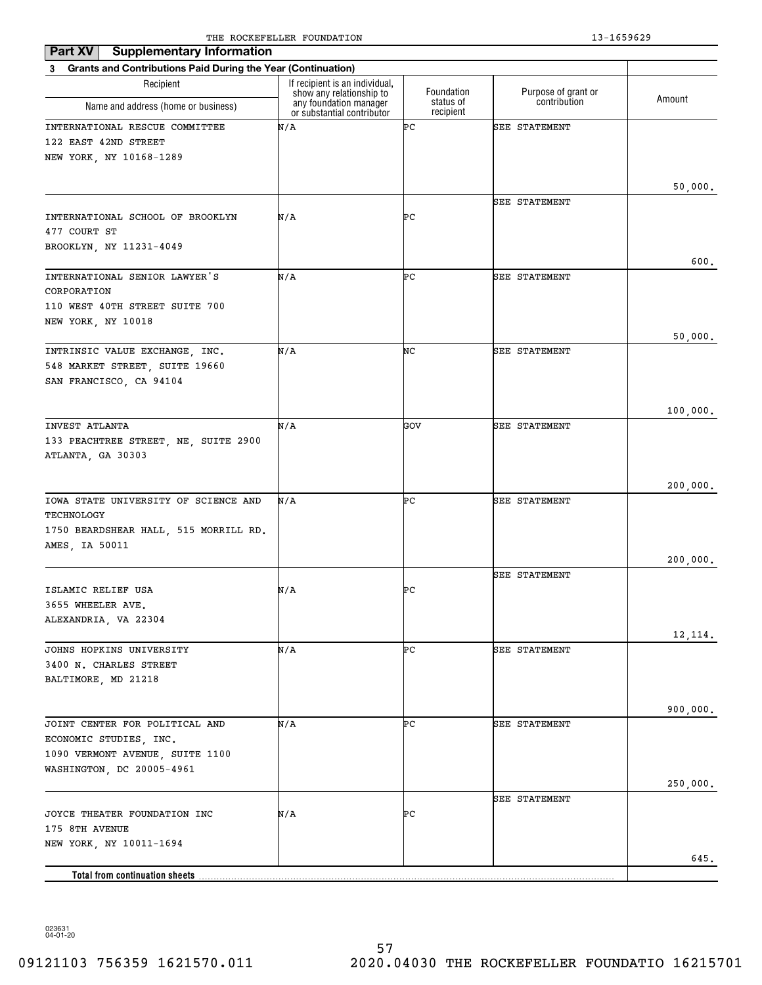| Part XV<br><b>Supplementary Information</b>                    |                                                            |                        |                      |          |
|----------------------------------------------------------------|------------------------------------------------------------|------------------------|----------------------|----------|
| 3 Grants and Contributions Paid During the Year (Continuation) |                                                            |                        |                      |          |
| Recipient                                                      | If recipient is an individual,<br>show any relationship to | Foundation             | Purpose of grant or  | Amount   |
| Name and address (home or business)                            | any foundation manager<br>or substantial contributor       | status of<br>recipient | contribution         |          |
| INTERNATIONAL RESCUE COMMITTEE                                 | N/A                                                        | ÞС                     | <b>SEE STATEMENT</b> |          |
| 122 EAST 42ND STREET                                           |                                                            |                        |                      |          |
| NEW YORK, NY 10168-1289                                        |                                                            |                        |                      |          |
|                                                                |                                                            |                        |                      | 50,000.  |
|                                                                |                                                            |                        | <b>SEE STATEMENT</b> |          |
| INTERNATIONAL SCHOOL OF BROOKLYN                               | N/A                                                        | ÞС                     |                      |          |
| 477 COURT ST                                                   |                                                            |                        |                      |          |
| BROOKLYN, NY 11231-4049                                        |                                                            |                        |                      |          |
|                                                                |                                                            |                        |                      | 600.     |
| INTERNATIONAL SENIOR LAWYER'S<br>CORPORATION                   | N/A                                                        | ÞС                     | <b>SEE STATEMENT</b> |          |
| 110 WEST 40TH STREET SUITE 700                                 |                                                            |                        |                      |          |
| NEW YORK, NY 10018                                             |                                                            |                        |                      |          |
|                                                                |                                                            |                        |                      | 50,000.  |
| INTRINSIC VALUE EXCHANGE, INC.                                 | N/A                                                        | NC                     | <b>SEE STATEMENT</b> |          |
| 548 MARKET STREET, SUITE 19660                                 |                                                            |                        |                      |          |
| SAN FRANCISCO, CA 94104                                        |                                                            |                        |                      |          |
|                                                                |                                                            |                        |                      | 100,000. |
| INVEST ATLANTA                                                 | N/A                                                        | GOV                    | <b>SEE STATEMENT</b> |          |
| 133 PEACHTREE STREET, NE, SUITE 2900                           |                                                            |                        |                      |          |
| ATLANTA, GA 30303                                              |                                                            |                        |                      |          |
|                                                                |                                                            |                        |                      |          |
|                                                                |                                                            |                        |                      | 200,000. |
| IOWA STATE UNIVERSITY OF SCIENCE AND<br>TECHNOLOGY             | N/A                                                        | ÞС                     | <b>SEE STATEMENT</b> |          |
| 1750 BEARDSHEAR HALL, 515 MORRILL RD.                          |                                                            |                        |                      |          |
| AMES, IA 50011                                                 |                                                            |                        |                      |          |
|                                                                |                                                            |                        |                      | 200,000. |
|                                                                |                                                            |                        | <b>SEE STATEMENT</b> |          |
| ISLAMIC RELIEF USA                                             | N/A                                                        | ÞС                     |                      |          |
| 3655 WHEELER AVE.                                              |                                                            |                        |                      |          |
| ALEXANDRIA, VA 22304                                           |                                                            |                        |                      | 12, 114. |
| JOHNS HOPKINS UNIVERSITY                                       | N/A                                                        | ÞС                     | SEE STATEMENT        |          |
| 3400 N. CHARLES STREET                                         |                                                            |                        |                      |          |
| BALTIMORE, MD 21218                                            |                                                            |                        |                      |          |
|                                                                |                                                            |                        |                      |          |
|                                                                |                                                            |                        |                      | 900,000. |
| JOINT CENTER FOR POLITICAL AND<br>ECONOMIC STUDIES, INC.       | N/A                                                        | ÞС                     | <b>SEE STATEMENT</b> |          |
| 1090 VERMONT AVENUE, SUITE 1100                                |                                                            |                        |                      |          |
| WASHINGTON, DC 20005-4961                                      |                                                            |                        |                      |          |
|                                                                |                                                            |                        |                      | 250,000. |
|                                                                |                                                            |                        | <b>SEE STATEMENT</b> |          |
| JOYCE THEATER FOUNDATION INC                                   | N/A                                                        | ÞС                     |                      |          |
| 175 8TH AVENUE<br>NEW YORK, NY 10011-1694                      |                                                            |                        |                      |          |
|                                                                |                                                            |                        |                      | 645.     |
| Total from continuation sheets.                                |                                                            |                        |                      |          |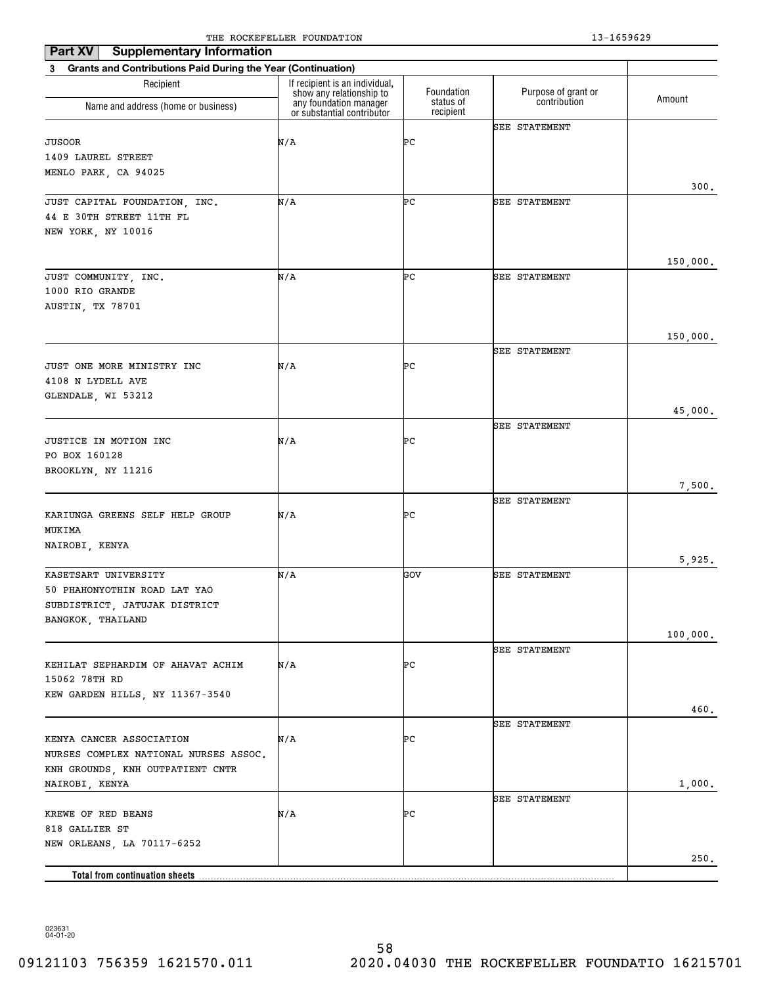| <b>Supplementary Information</b><br>Part XV                               |                                                            |                        |                      |          |
|---------------------------------------------------------------------------|------------------------------------------------------------|------------------------|----------------------|----------|
| <b>Grants and Contributions Paid During the Year (Continuation)</b><br>3  |                                                            |                        |                      |          |
| Recipient                                                                 | If recipient is an individual,<br>show any relationship to | Foundation             | Purpose of grant or  | Amount   |
| Name and address (home or business)                                       | any foundation manager<br>or substantial contributor       | status of<br>recipient | contribution         |          |
|                                                                           |                                                            |                        | <b>SEE STATEMENT</b> |          |
| JUSOOR                                                                    | N/A                                                        | ÞС                     |                      |          |
| 1409 LAUREL STREET                                                        |                                                            |                        |                      |          |
| MENLO PARK, CA 94025                                                      |                                                            |                        |                      | 300.     |
| JUST CAPITAL FOUNDATION, INC.                                             | N/A                                                        | ÞС                     | SEE STATEMENT        |          |
| 44 E 30TH STREET 11TH FL                                                  |                                                            |                        |                      |          |
| NEW YORK, NY 10016                                                        |                                                            |                        |                      |          |
|                                                                           |                                                            |                        |                      |          |
|                                                                           |                                                            |                        |                      | 150,000. |
| JUST COMMUNITY, INC.<br>1000 RIO GRANDE                                   | N/A                                                        | ÞС                     | SEE STATEMENT        |          |
| AUSTIN, TX 78701                                                          |                                                            |                        |                      |          |
|                                                                           |                                                            |                        |                      |          |
|                                                                           |                                                            |                        |                      | 150,000. |
|                                                                           |                                                            |                        | <b>SEE STATEMENT</b> |          |
| JUST ONE MORE MINISTRY INC                                                | N/A                                                        | ÞС                     |                      |          |
| 4108 N LYDELL AVE                                                         |                                                            |                        |                      |          |
| GLENDALE, WI 53212                                                        |                                                            |                        |                      |          |
|                                                                           |                                                            |                        | <b>SEE STATEMENT</b> | 45,000.  |
| JUSTICE IN MOTION INC                                                     | N/A                                                        | ÞС                     |                      |          |
| PO BOX 160128                                                             |                                                            |                        |                      |          |
| BROOKLYN, NY 11216                                                        |                                                            |                        |                      |          |
|                                                                           |                                                            |                        |                      | 7,500.   |
|                                                                           |                                                            |                        | <b>SEE STATEMENT</b> |          |
| KARIUNGA GREENS SELF HELP GROUP<br>MUKIMA                                 | N/A                                                        | ÞС                     |                      |          |
| NAIROBI, KENYA                                                            |                                                            |                        |                      |          |
|                                                                           |                                                            |                        |                      | 5,925.   |
| KASETSART UNIVERSITY                                                      | N/A                                                        | GOV                    | <b>SEE STATEMENT</b> |          |
| 50 PHAHONYOTHIN ROAD LAT YAO                                              |                                                            |                        |                      |          |
| SUBDISTRICT, JATUJAK DISTRICT                                             |                                                            |                        |                      |          |
| BANGKOK, THAILAND                                                         |                                                            |                        |                      |          |
|                                                                           |                                                            |                        | SEE STATEMENT        | 100,000. |
| KEHILAT SEPHARDIM OF AHAVAT ACHIM                                         | N/A                                                        | ÞС                     |                      |          |
| 15062 78TH RD                                                             |                                                            |                        |                      |          |
| KEW GARDEN HILLS, NY 11367-3540                                           |                                                            |                        |                      |          |
|                                                                           |                                                            |                        |                      | 460.     |
|                                                                           |                                                            |                        | SEE STATEMENT        |          |
| KENYA CANCER ASSOCIATION                                                  | N/A                                                        | ÞС                     |                      |          |
| NURSES COMPLEX NATIONAL NURSES ASSOC.<br>KNH GROUNDS, KNH OUTPATIENT CNTR |                                                            |                        |                      |          |
| NAIROBI, KENYA                                                            |                                                            |                        |                      | 1,000.   |
|                                                                           |                                                            |                        | SEE STATEMENT        |          |
| KREWE OF RED BEANS                                                        | N/A                                                        | ÞС                     |                      |          |
| 818 GALLIER ST                                                            |                                                            |                        |                      |          |
| NEW ORLEANS, LA 70117-6252                                                |                                                            |                        |                      |          |
|                                                                           |                                                            |                        |                      | 250.     |
| <b>Total from continuation sheets</b>                                     |                                                            |                        |                      |          |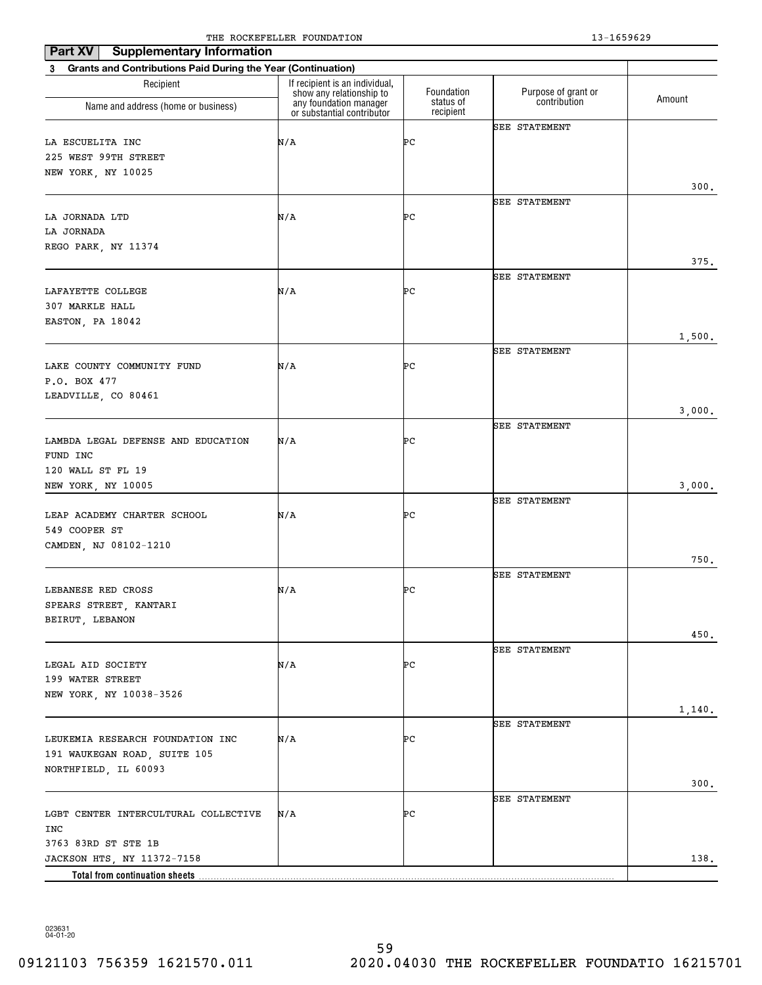| Part XV<br><b>Supplementary Information</b>                                         |                                                                                      |                         |                                     |        |
|-------------------------------------------------------------------------------------|--------------------------------------------------------------------------------------|-------------------------|-------------------------------------|--------|
| <b>Grants and Contributions Paid During the Year (Continuation)</b><br>3            |                                                                                      |                         |                                     |        |
| Recipient                                                                           | If recipient is an individual,<br>show any relationship to<br>any foundation manager | Foundation<br>status of | Purpose of grant or<br>contribution | Amount |
| Name and address (home or business)                                                 | or substantial contributor                                                           | recipient               |                                     |        |
| LA ESCUELITA INC<br>225 WEST 99TH STREET<br>NEW YORK, NY 10025                      | N/A                                                                                  | ÞС                      | <b>SEE STATEMENT</b>                |        |
|                                                                                     |                                                                                      |                         |                                     | 300.   |
| LA JORNADA LTD<br>LA JORNADA<br>REGO PARK, NY 11374                                 | N/A                                                                                  | ÞС                      | <b>SEE STATEMENT</b>                |        |
|                                                                                     |                                                                                      |                         |                                     | 375.   |
| LAFAYETTE COLLEGE<br>307 MARKLE HALL                                                | N/A                                                                                  | ÞС                      | SEE STATEMENT                       |        |
| EASTON, PA 18042                                                                    |                                                                                      |                         |                                     |        |
|                                                                                     |                                                                                      |                         |                                     | 1,500. |
| LAKE COUNTY COMMUNITY FUND<br>P.O. BOX 477                                          | N/A                                                                                  | ÞС                      | <b>SEE STATEMENT</b>                |        |
| LEADVILLE, CO 80461                                                                 |                                                                                      |                         |                                     |        |
|                                                                                     |                                                                                      |                         | <b>SEE STATEMENT</b>                | 3,000. |
| LAMBDA LEGAL DEFENSE AND EDUCATION<br>FUND INC<br>120 WALL ST FL 19                 | N/A                                                                                  | ÞС                      |                                     |        |
| NEW YORK, NY 10005                                                                  |                                                                                      |                         |                                     | 3,000. |
| LEAP ACADEMY CHARTER SCHOOL<br>549 COOPER ST                                        | N/A                                                                                  | ÞС                      | <b>SEE STATEMENT</b>                |        |
| CAMDEN, NJ 08102-1210                                                               |                                                                                      |                         |                                     | 750.   |
| LEBANESE RED CROSS<br>SPEARS STREET, KANTARI                                        | N/A                                                                                  | ÞС                      | <b>SEE STATEMENT</b>                |        |
| BEIRUT, LEBANON                                                                     |                                                                                      |                         |                                     |        |
|                                                                                     |                                                                                      |                         |                                     | 450.   |
| LEGAL AID SOCIETY<br>199 WATER STREET<br>NEW YORK, NY 10038-3526                    | N/A                                                                                  | ÞС                      | SEE STATEMENT                       |        |
|                                                                                     |                                                                                      |                         |                                     | 1,140. |
| LEUKEMIA RESEARCH FOUNDATION INC<br>191 WAUKEGAN ROAD, SUITE 105                    | N/A                                                                                  | ÞС                      | <b>SEE STATEMENT</b>                |        |
| NORTHFIELD, IL 60093                                                                |                                                                                      |                         |                                     | 300.   |
|                                                                                     |                                                                                      |                         | <b>SEE STATEMENT</b>                |        |
| LGBT CENTER INTERCULTURAL COLLECTIVE<br>INC                                         | N/A                                                                                  | ÞС                      |                                     |        |
| 3763 83RD ST STE 1B<br>JACKSON HTS, NY 11372-7158<br>Total from continuation sheets |                                                                                      |                         |                                     | 138.   |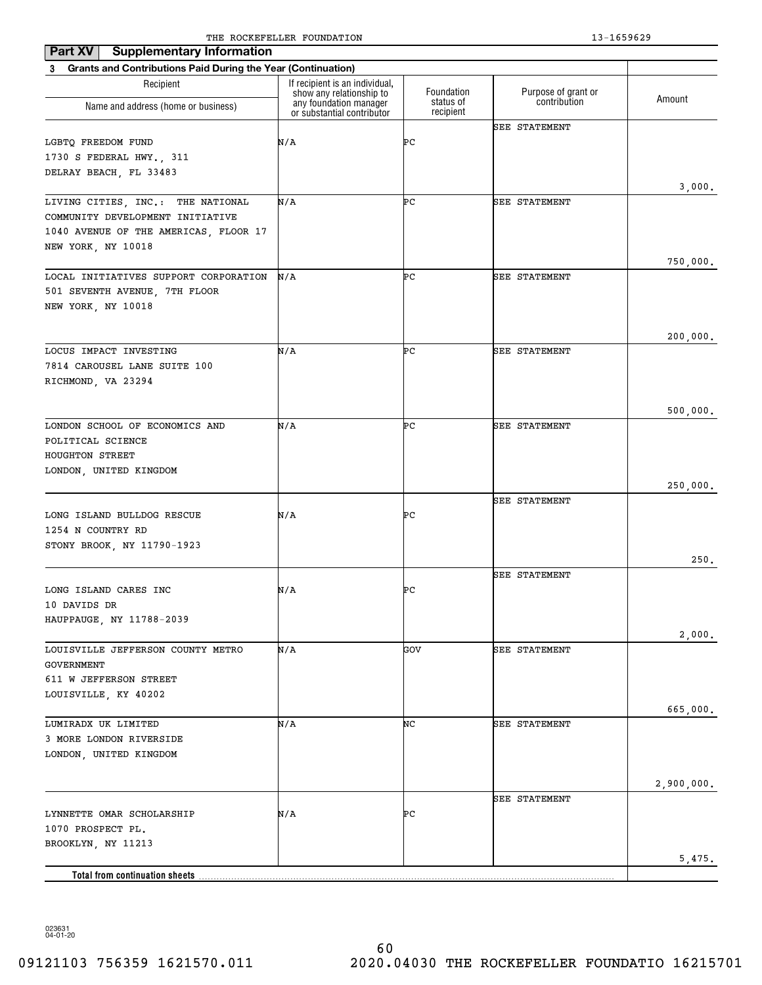| Part XV<br><b>Supplementary Information</b>                              | The Rocker needs roombillion                               |                        | 19 10990 <i>49</i>   |            |
|--------------------------------------------------------------------------|------------------------------------------------------------|------------------------|----------------------|------------|
| <b>Grants and Contributions Paid During the Year (Continuation)</b><br>3 |                                                            |                        |                      |            |
| Recipient                                                                | If recipient is an individual,<br>show any relationship to | Foundation             | Purpose of grant or  |            |
| Name and address (home or business)                                      | any foundation manager<br>or substantial contributor       | status of<br>recipient | contribution         | Amount     |
|                                                                          |                                                            |                        | <b>SEE STATEMENT</b> |            |
| LGBTQ FREEDOM FUND                                                       | N/A                                                        | ÞС                     |                      |            |
| 1730 S FEDERAL HWY., 311                                                 |                                                            |                        |                      |            |
| DELRAY BEACH, FL 33483                                                   |                                                            |                        |                      |            |
|                                                                          |                                                            | ÞС                     |                      | 3,000.     |
| LIVING CITIES, INC.: THE NATIONAL<br>COMMUNITY DEVELOPMENT INITIATIVE    | N/A                                                        |                        | <b>SEE STATEMENT</b> |            |
| 1040 AVENUE OF THE AMERICAS, FLOOR 17                                    |                                                            |                        |                      |            |
| NEW YORK, NY 10018                                                       |                                                            |                        |                      |            |
|                                                                          |                                                            |                        |                      | 750,000.   |
| LOCAL INITIATIVES SUPPORT CORPORATION                                    | N/A                                                        | ÞС                     | <b>SEE STATEMENT</b> |            |
| 501 SEVENTH AVENUE, 7TH FLOOR                                            |                                                            |                        |                      |            |
| NEW YORK, NY 10018                                                       |                                                            |                        |                      |            |
|                                                                          |                                                            |                        |                      |            |
|                                                                          |                                                            |                        |                      | 200,000.   |
| LOCUS IMPACT INVESTING                                                   | N/A                                                        | ÞС                     | <b>SEE STATEMENT</b> |            |
| 7814 CAROUSEL LANE SUITE 100                                             |                                                            |                        |                      |            |
| RICHMOND, VA 23294                                                       |                                                            |                        |                      |            |
|                                                                          |                                                            |                        |                      |            |
|                                                                          |                                                            |                        |                      | 500,000.   |
| LONDON SCHOOL OF ECONOMICS AND                                           | N/A                                                        | ÞС                     | <b>SEE STATEMENT</b> |            |
| POLITICAL SCIENCE                                                        |                                                            |                        |                      |            |
| HOUGHTON STREET                                                          |                                                            |                        |                      |            |
| LONDON, UNITED KINGDOM                                                   |                                                            |                        |                      |            |
|                                                                          |                                                            |                        |                      | 250,000.   |
|                                                                          |                                                            |                        | <b>SEE STATEMENT</b> |            |
| LONG ISLAND BULLDOG RESCUE                                               | N/A                                                        | ÞС                     |                      |            |
| 1254 N COUNTRY RD                                                        |                                                            |                        |                      |            |
| STONY BROOK, NY 11790-1923                                               |                                                            |                        |                      |            |
|                                                                          |                                                            |                        |                      | 250.       |
|                                                                          |                                                            |                        | <b>SEE STATEMENT</b> |            |
| LONG ISLAND CARES INC                                                    | N/A                                                        | ÞС                     |                      |            |
| 10 DAVIDS DR                                                             |                                                            |                        |                      |            |
| HAUPPAUGE, NY 11788-2039                                                 |                                                            |                        |                      |            |
| LOUISVILLE JEFFERSON COUNTY METRO                                        | N/A                                                        | GOV                    | <b>SEE STATEMENT</b> | 2,000.     |
| GOVERNMENT                                                               |                                                            |                        |                      |            |
| 611 W JEFFERSON STREET                                                   |                                                            |                        |                      |            |
| LOUISVILLE, KY 40202                                                     |                                                            |                        |                      |            |
|                                                                          |                                                            |                        |                      | 665,000.   |
| LUMIRADX UK LIMITED                                                      | N/A                                                        | NC                     | <b>SEE STATEMENT</b> |            |
| 3 MORE LONDON RIVERSIDE                                                  |                                                            |                        |                      |            |
| LONDON, UNITED KINGDOM                                                   |                                                            |                        |                      |            |
|                                                                          |                                                            |                        |                      |            |
|                                                                          |                                                            |                        |                      | 2,900,000. |
|                                                                          |                                                            |                        | <b>SEE STATEMENT</b> |            |
| LYNNETTE OMAR SCHOLARSHIP                                                | N/A                                                        | ÞС                     |                      |            |
| 1070 PROSPECT PL.                                                        |                                                            |                        |                      |            |
| BROOKLYN, NY 11213                                                       |                                                            |                        |                      |            |
|                                                                          |                                                            |                        |                      | 5,475.     |
|                                                                          |                                                            |                        |                      |            |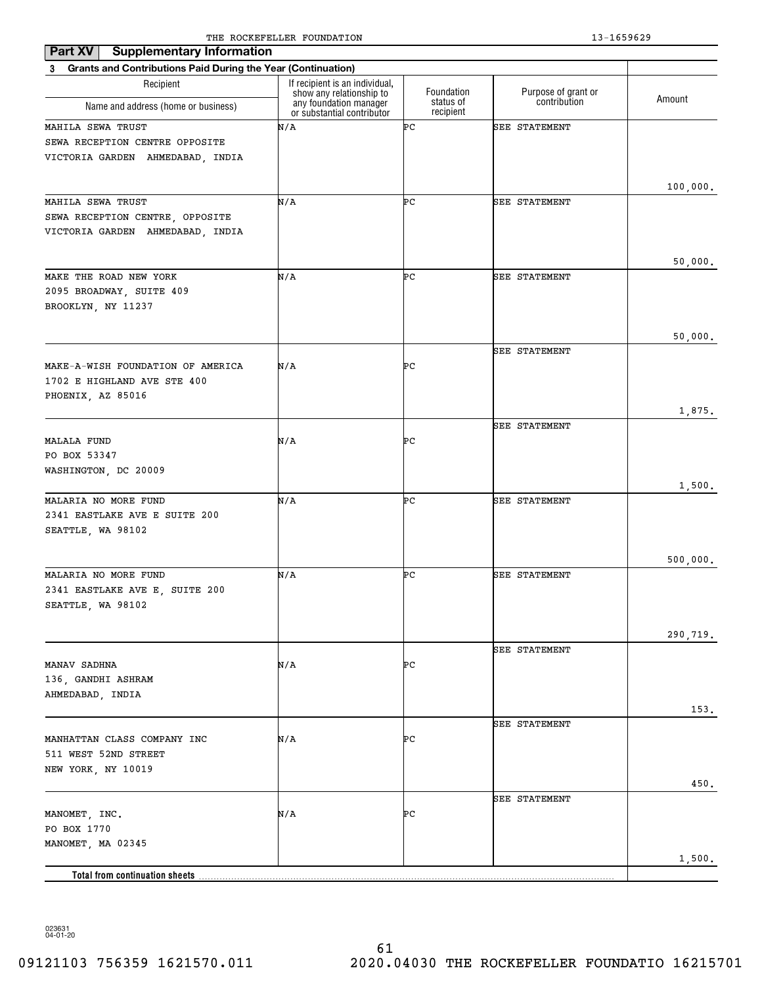| <b>Supplementary Information</b><br>Part XV                                             |                                                                                      |                         |                                     |          |
|-----------------------------------------------------------------------------------------|--------------------------------------------------------------------------------------|-------------------------|-------------------------------------|----------|
| 3 Grants and Contributions Paid During the Year (Continuation)                          |                                                                                      |                         |                                     |          |
| Recipient                                                                               | If recipient is an individual,<br>show any relationship to<br>any foundation manager | Foundation<br>status of | Purpose of grant or<br>contribution | Amount   |
| Name and address (home or business)                                                     | or substantial contributor                                                           | recipient               |                                     |          |
| MAHILA SEWA TRUST<br>SEWA RECEPTION CENTRE OPPOSITE<br>VICTORIA GARDEN AHMEDABAD, INDIA | N/A                                                                                  | ÞС                      | SEE STATEMENT                       | 100,000. |
| MAHILA SEWA TRUST                                                                       | N/A                                                                                  | ÞС                      | <b>SEE STATEMENT</b>                |          |
| SEWA RECEPTION CENTRE, OPPOSITE<br>VICTORIA GARDEN AHMEDABAD, INDIA                     |                                                                                      |                         |                                     | 50,000.  |
| MAKE THE ROAD NEW YORK                                                                  | N/A                                                                                  | ÞС                      | SEE STATEMENT                       |          |
| 2095 BROADWAY, SUITE 409<br>BROOKLYN, NY 11237                                          |                                                                                      |                         |                                     |          |
|                                                                                         |                                                                                      |                         |                                     | 50,000.  |
| MAKE-A-WISH FOUNDATION OF AMERICA<br>1702 E HIGHLAND AVE STE 400                        | N/A                                                                                  | ÞС                      | <b>SEE STATEMENT</b>                |          |
| PHOENIX, AZ 85016                                                                       |                                                                                      |                         |                                     | 1,875.   |
|                                                                                         |                                                                                      |                         | <b>SEE STATEMENT</b>                |          |
| <b>MALALA FUND</b><br>PO BOX 53347<br>WASHINGTON, DC 20009                              | N/A                                                                                  | ÞС                      |                                     |          |
|                                                                                         |                                                                                      |                         |                                     | 1,500.   |
| MALARIA NO MORE FUND<br>2341 EASTLAKE AVE E SUITE 200<br>SEATTLE, WA 98102              | N/A                                                                                  | ÞС                      | SEE STATEMENT                       |          |
|                                                                                         |                                                                                      |                         |                                     | 500,000. |
| MALARIA NO MORE FUND<br>2341 EASTLAKE AVE E, SUITE 200<br>SEATTLE, WA 98102             | N/A                                                                                  | ÞС                      | <b>SEE STATEMENT</b>                |          |
|                                                                                         |                                                                                      |                         |                                     | 290,719. |
| MANAV SADHNA<br>136, GANDHI ASHRAM                                                      | N/A                                                                                  | ÞС                      | SEE STATEMENT                       |          |
| AHMEDABAD, INDIA                                                                        |                                                                                      |                         |                                     |          |
|                                                                                         |                                                                                      |                         | <b>SEE STATEMENT</b>                | 153.     |
| MANHATTAN CLASS COMPANY INC<br>511 WEST 52ND STREET<br>NEW YORK, NY 10019               | N/A                                                                                  | ÞС                      |                                     |          |
|                                                                                         |                                                                                      |                         |                                     | 450.     |
| MANOMET, INC.<br>PO BOX 1770<br>MANOMET, MA 02345                                       | N/A                                                                                  | ÞС                      | SEE STATEMENT                       |          |
|                                                                                         |                                                                                      |                         |                                     | 1,500.   |
| Total from continuation sheets                                                          |                                                                                      |                         |                                     |          |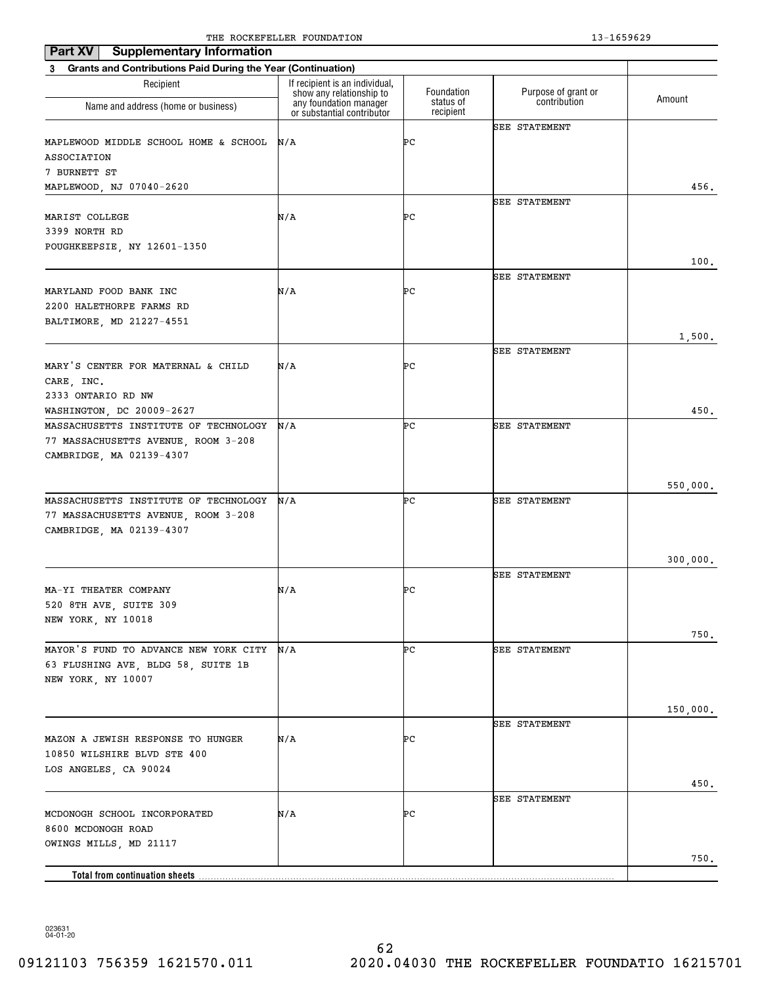| Part XV<br><b>Supplementary Information</b>                    | The Rocker needs roombillion                       |            | 19 10990 <i>49</i>   |          |
|----------------------------------------------------------------|----------------------------------------------------|------------|----------------------|----------|
| 3 Grants and Contributions Paid During the Year (Continuation) |                                                    |            |                      |          |
| Recipient                                                      | If recipient is an individual,                     | Foundation | Purpose of grant or  |          |
| Name and address (home or business)                            | show any relationship to<br>any foundation manager | status of  | contribution         | Amount   |
|                                                                | or substantial contributor                         | recipient  |                      |          |
|                                                                | N/A                                                | ÞС         | <b>SEE STATEMENT</b> |          |
| MAPLEWOOD MIDDLE SCHOOL HOME & SCHOOL<br><b>ASSOCIATION</b>    |                                                    |            |                      |          |
| 7 BURNETT ST                                                   |                                                    |            |                      |          |
| MAPLEWOOD, NJ 07040-2620                                       |                                                    |            |                      | 456.     |
|                                                                |                                                    |            | <b>SEE STATEMENT</b> |          |
| MARIST COLLEGE                                                 | N/A                                                | ÞС         |                      |          |
| 3399 NORTH RD                                                  |                                                    |            |                      |          |
| POUGHKEEPSIE, NY 12601-1350                                    |                                                    |            |                      |          |
|                                                                |                                                    |            |                      | 100.     |
|                                                                |                                                    |            | <b>SEE STATEMENT</b> |          |
| MARYLAND FOOD BANK INC                                         | N/A                                                | ÞС         |                      |          |
| 2200 HALETHORPE FARMS RD                                       |                                                    |            |                      |          |
| BALTIMORE, MD 21227-4551                                       |                                                    |            |                      |          |
|                                                                |                                                    |            |                      | 1,500.   |
|                                                                |                                                    |            | SEE STATEMENT        |          |
| MARY'S CENTER FOR MATERNAL & CHILD                             | N/A                                                | ÞС         |                      |          |
| CARE, INC.                                                     |                                                    |            |                      |          |
| 2333 ONTARIO RD NW                                             |                                                    |            |                      |          |
| WASHINGTON, DC 20009-2627                                      |                                                    |            |                      | 450.     |
| MASSACHUSETTS INSTITUTE OF TECHNOLOGY                          | N/A                                                | ÞС         | <b>SEE STATEMENT</b> |          |
| 77 MASSACHUSETTS AVENUE, ROOM 3-208                            |                                                    |            |                      |          |
| CAMBRIDGE, MA 02139-4307                                       |                                                    |            |                      |          |
|                                                                |                                                    |            |                      |          |
| MASSACHUSETTS INSTITUTE OF TECHNOLOGY                          | N/A                                                | ÞС         | <b>SEE STATEMENT</b> | 550,000. |
| 77 MASSACHUSETTS AVENUE, ROOM 3-208                            |                                                    |            |                      |          |
| CAMBRIDGE, MA 02139-4307                                       |                                                    |            |                      |          |
|                                                                |                                                    |            |                      |          |
|                                                                |                                                    |            |                      | 300,000. |
|                                                                |                                                    |            | <b>SEE STATEMENT</b> |          |
| MA-YI THEATER COMPANY                                          | N/A                                                | ÞС         |                      |          |
| 520 8TH AVE, SUITE 309                                         |                                                    |            |                      |          |
| NEW YORK, NY 10018                                             |                                                    |            |                      |          |
|                                                                |                                                    |            |                      | 750.     |
| MAYOR'S FUND TO ADVANCE NEW YORK CITY                          | N/A                                                | ÞС         | <b>SEE STATEMENT</b> |          |
| 63 FLUSHING AVE, BLDG 58, SUITE 1B                             |                                                    |            |                      |          |
| NEW YORK, NY 10007                                             |                                                    |            |                      |          |
|                                                                |                                                    |            |                      |          |
|                                                                |                                                    |            |                      | 150,000. |
|                                                                |                                                    |            | <b>SEE STATEMENT</b> |          |
| MAZON A JEWISH RESPONSE TO HUNGER                              | N/A                                                | ÞС         |                      |          |
| 10850 WILSHIRE BLVD STE 400                                    |                                                    |            |                      |          |
| LOS ANGELES, CA 90024                                          |                                                    |            |                      |          |
|                                                                |                                                    |            |                      | 450.     |
| MCDONOGH SCHOOL INCORPORATED                                   | N/A                                                | ÞС         | <b>SEE STATEMENT</b> |          |
| 8600 MCDONOGH ROAD                                             |                                                    |            |                      |          |
| OWINGS MILLS, MD 21117                                         |                                                    |            |                      |          |
|                                                                |                                                    |            |                      | 750.     |
|                                                                |                                                    |            |                      |          |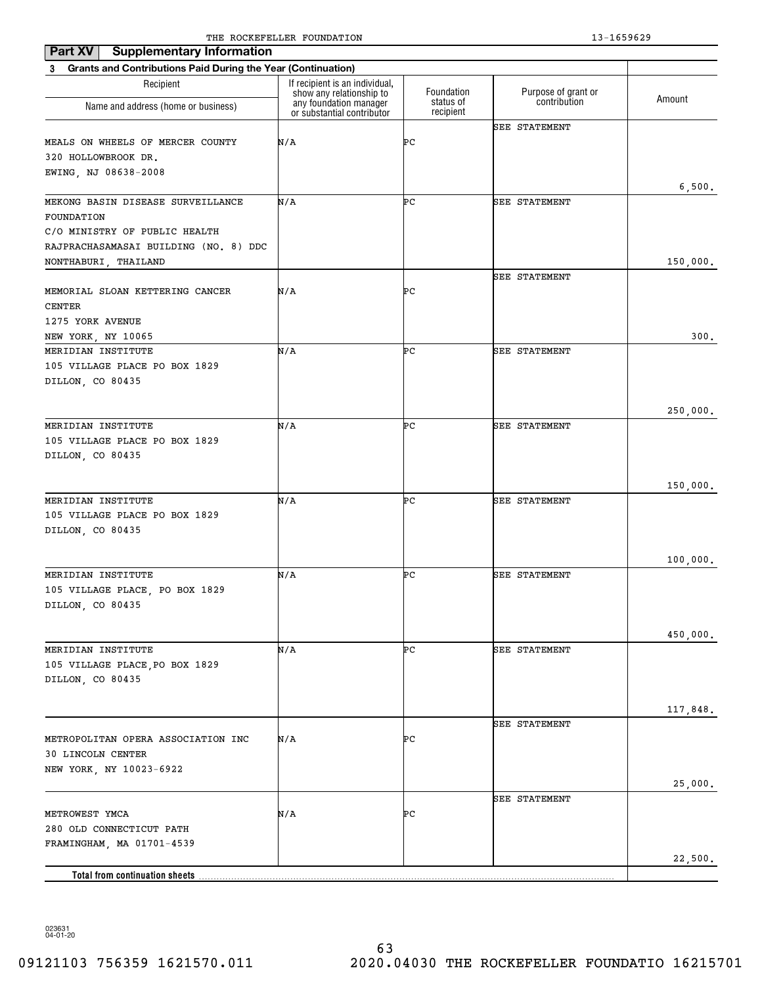| <b>Supplementary Information</b><br>Part XV                              |                                                            |                        |                      |          |
|--------------------------------------------------------------------------|------------------------------------------------------------|------------------------|----------------------|----------|
| <b>Grants and Contributions Paid During the Year (Continuation)</b><br>3 |                                                            |                        |                      |          |
| Recipient                                                                | If recipient is an individual,<br>show any relationship to | Foundation             | Purpose of grant or  |          |
| Name and address (home or business)                                      | any foundation manager<br>or substantial contributor       | status of<br>recipient | contribution         | Amount   |
|                                                                          |                                                            |                        | <b>SEE STATEMENT</b> |          |
| MEALS ON WHEELS OF MERCER COUNTY                                         | N/A                                                        | ÞС                     |                      |          |
| 320 HOLLOWBROOK DR.                                                      |                                                            |                        |                      |          |
| EWING, NJ 08638-2008                                                     |                                                            |                        |                      |          |
|                                                                          |                                                            |                        |                      | 6,500.   |
| MEKONG BASIN DISEASE SURVEILLANCE<br>FOUNDATION                          | N/A                                                        | ÞС                     | <b>SEE STATEMENT</b> |          |
| C/O MINISTRY OF PUBLIC HEALTH                                            |                                                            |                        |                      |          |
| RAJPRACHASAMASAI BUILDING (NO. 8) DDC                                    |                                                            |                        |                      |          |
| NONTHABURI, THAILAND                                                     |                                                            |                        |                      | 150,000. |
|                                                                          |                                                            |                        | <b>SEE STATEMENT</b> |          |
| MEMORIAL SLOAN KETTERING CANCER                                          | N/A                                                        | ÞС                     |                      |          |
| CENTER                                                                   |                                                            |                        |                      |          |
| 1275 YORK AVENUE                                                         |                                                            |                        |                      |          |
| NEW YORK, NY 10065                                                       |                                                            |                        |                      | 300.     |
| MERIDIAN INSTITUTE                                                       | N/A                                                        | ÞС                     | SEE STATEMENT        |          |
| 105 VILLAGE PLACE PO BOX 1829                                            |                                                            |                        |                      |          |
| DILLON, CO 80435                                                         |                                                            |                        |                      |          |
|                                                                          |                                                            |                        |                      |          |
|                                                                          |                                                            |                        |                      | 250,000. |
| MERIDIAN INSTITUTE                                                       | N/A                                                        | ÞС                     | <b>SEE STATEMENT</b> |          |
| 105 VILLAGE PLACE PO BOX 1829                                            |                                                            |                        |                      |          |
| DILLON, CO 80435                                                         |                                                            |                        |                      |          |
|                                                                          |                                                            |                        |                      |          |
| MERIDIAN INSTITUTE                                                       | N/A                                                        | ÞС                     | <b>SEE STATEMENT</b> | 150,000. |
| 105 VILLAGE PLACE PO BOX 1829                                            |                                                            |                        |                      |          |
| DILLON, CO 80435                                                         |                                                            |                        |                      |          |
|                                                                          |                                                            |                        |                      |          |
|                                                                          |                                                            |                        |                      | 100,000. |
| MERIDIAN INSTITUTE                                                       | N/A                                                        | ÞС                     | <b>SEE STATEMENT</b> |          |
| 105 VILLAGE PLACE, PO BOX 1829                                           |                                                            |                        |                      |          |
| DILLON, CO 80435                                                         |                                                            |                        |                      |          |
|                                                                          |                                                            |                        |                      |          |
|                                                                          |                                                            |                        |                      | 450,000. |
| MERIDIAN INSTITUTE                                                       | N/A                                                        | ÞС                     | <b>SEE STATEMENT</b> |          |
| 105 VILLAGE PLACE, PO BOX 1829                                           |                                                            |                        |                      |          |
| DILLON, CO 80435                                                         |                                                            |                        |                      |          |
|                                                                          |                                                            |                        |                      |          |
|                                                                          |                                                            |                        | SEE STATEMENT        | 117,848. |
| METROPOLITAN OPERA ASSOCIATION INC                                       | N/A                                                        | ÞС                     |                      |          |
| 30 LINCOLN CENTER                                                        |                                                            |                        |                      |          |
| NEW YORK, NY 10023-6922                                                  |                                                            |                        |                      |          |
|                                                                          |                                                            |                        |                      | 25,000.  |
|                                                                          |                                                            |                        | <b>SEE STATEMENT</b> |          |
| METROWEST YMCA                                                           | N/A                                                        | ÞС                     |                      |          |
| 280 OLD CONNECTICUT PATH                                                 |                                                            |                        |                      |          |
| FRAMINGHAM, MA 01701-4539                                                |                                                            |                        |                      |          |
|                                                                          |                                                            |                        |                      | 22,500.  |
| Total from continuation sheets                                           |                                                            |                        |                      |          |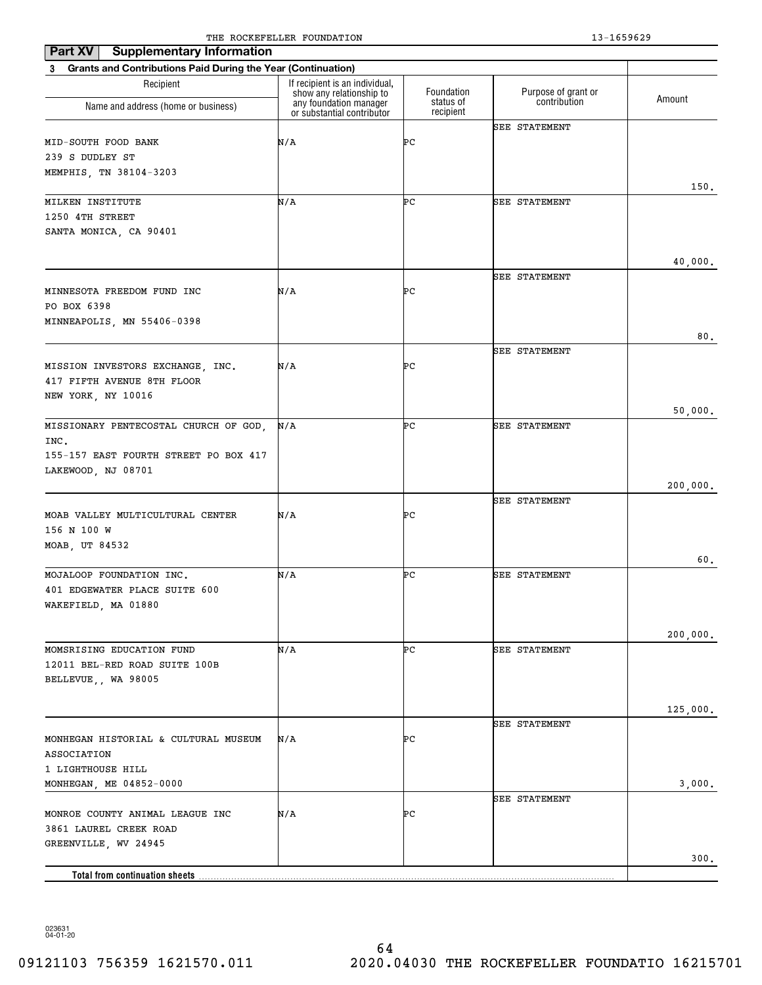| <b>Supplementary Information</b><br>Part XV                              |                                                            |                        |                      |          |
|--------------------------------------------------------------------------|------------------------------------------------------------|------------------------|----------------------|----------|
| <b>Grants and Contributions Paid During the Year (Continuation)</b><br>3 |                                                            |                        |                      |          |
| Recipient                                                                | If recipient is an individual,<br>show any relationship to | Foundation             | Purpose of grant or  |          |
| Name and address (home or business)                                      | any foundation manager<br>or substantial contributor       | status of<br>recipient | contribution         | Amount   |
|                                                                          |                                                            |                        | <b>SEE STATEMENT</b> |          |
| MID-SOUTH FOOD BANK                                                      | N/A                                                        | ÞС                     |                      |          |
| 239 S DUDLEY ST                                                          |                                                            |                        |                      |          |
| MEMPHIS, TN 38104-3203                                                   |                                                            |                        |                      | 150.     |
| MILKEN INSTITUTE                                                         | N/A                                                        | ÞС                     | <b>SEE STATEMENT</b> |          |
| 1250 4TH STREET                                                          |                                                            |                        |                      |          |
| SANTA MONICA, CA 90401                                                   |                                                            |                        |                      |          |
|                                                                          |                                                            |                        |                      |          |
|                                                                          |                                                            |                        |                      | 40,000.  |
|                                                                          |                                                            |                        | <b>SEE STATEMENT</b> |          |
| MINNESOTA FREEDOM FUND INC<br>PO BOX 6398                                | N/A                                                        | ÞС                     |                      |          |
| MINNEAPOLIS, MN 55406-0398                                               |                                                            |                        |                      |          |
|                                                                          |                                                            |                        |                      | 80.      |
|                                                                          |                                                            |                        | <b>SEE STATEMENT</b> |          |
| MISSION INVESTORS EXCHANGE, INC.                                         | N/A                                                        | ÞС                     |                      |          |
| 417 FIFTH AVENUE 8TH FLOOR                                               |                                                            |                        |                      |          |
| NEW YORK, NY 10016                                                       |                                                            |                        |                      |          |
|                                                                          |                                                            |                        |                      | 50,000.  |
| MISSIONARY PENTECOSTAL CHURCH OF GOD,                                    | N/A                                                        | ÞС                     | <b>SEE STATEMENT</b> |          |
| INC.<br>155-157 EAST FOURTH STREET PO BOX 417                            |                                                            |                        |                      |          |
| LAKEWOOD, NJ 08701                                                       |                                                            |                        |                      |          |
|                                                                          |                                                            |                        |                      | 200,000. |
|                                                                          |                                                            |                        | <b>SEE STATEMENT</b> |          |
| MOAB VALLEY MULTICULTURAL CENTER                                         | N/A                                                        | ÞС                     |                      |          |
| 156 N 100 W                                                              |                                                            |                        |                      |          |
| MOAB, UT 84532                                                           |                                                            |                        |                      |          |
|                                                                          | N/A                                                        | ÞС                     | <b>SEE STATEMENT</b> | 60.      |
| MOJALOOP FOUNDATION INC.<br>401 EDGEWATER PLACE SUITE 600                |                                                            |                        |                      |          |
| WAKEFIELD, MA 01880                                                      |                                                            |                        |                      |          |
|                                                                          |                                                            |                        |                      |          |
|                                                                          |                                                            |                        |                      | 200,000. |
| MOMSRISING EDUCATION FUND                                                | N/A                                                        | ÞС                     | SEE STATEMENT        |          |
| 12011 BEL-RED ROAD SUITE 100B                                            |                                                            |                        |                      |          |
| BELLEVUE,, WA 98005                                                      |                                                            |                        |                      |          |
|                                                                          |                                                            |                        |                      |          |
|                                                                          |                                                            |                        | <b>SEE STATEMENT</b> | 125,000. |
| MONHEGAN HISTORIAL & CULTURAL MUSEUM                                     | N/A                                                        | ÞС                     |                      |          |
| ASSOCIATION                                                              |                                                            |                        |                      |          |
| 1 LIGHTHOUSE HILL                                                        |                                                            |                        |                      |          |
| MONHEGAN, ME 04852-0000                                                  |                                                            |                        |                      | 3,000.   |
|                                                                          |                                                            |                        | <b>SEE STATEMENT</b> |          |
| MONROE COUNTY ANIMAL LEAGUE INC                                          | N/A                                                        | ÞС                     |                      |          |
| 3861 LAUREL CREEK ROAD<br>GREENVILLE, WV 24945                           |                                                            |                        |                      |          |
|                                                                          |                                                            |                        |                      | 300.     |
| Total from continuation sheets.                                          |                                                            |                        |                      |          |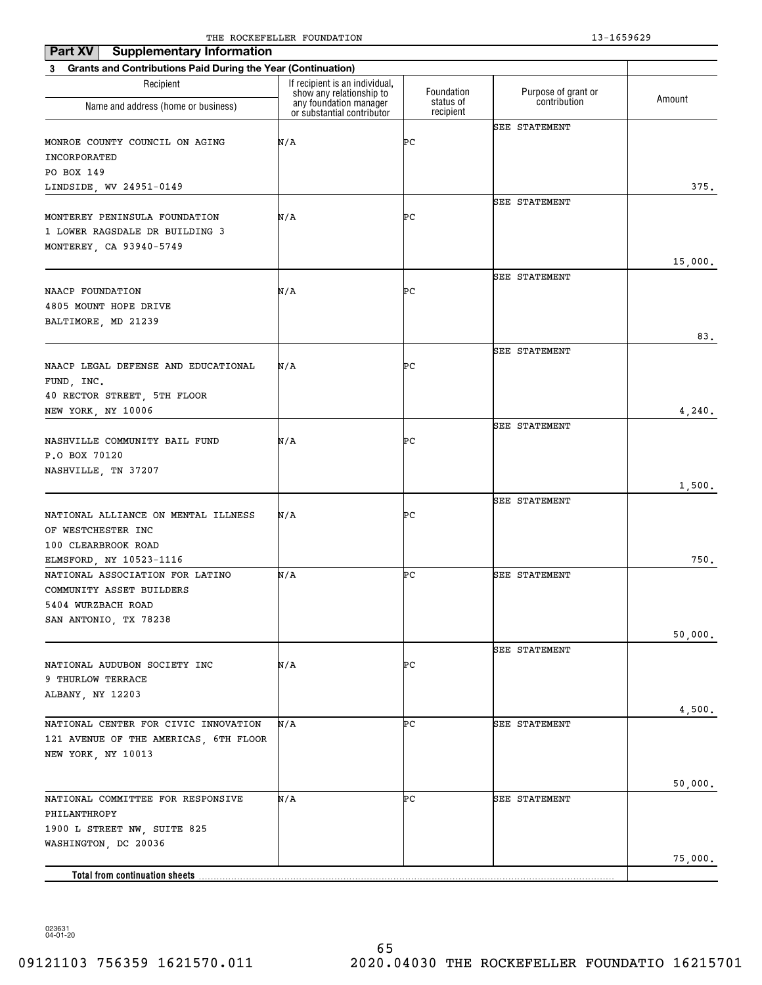| <b>Supplementary Information</b><br>Part XV                                   |                                                            |                        |                      |         |
|-------------------------------------------------------------------------------|------------------------------------------------------------|------------------------|----------------------|---------|
| <b>Grants and Contributions Paid During the Year (Continuation)</b><br>3      |                                                            |                        |                      |         |
| Recipient                                                                     | If recipient is an individual,<br>show any relationship to | Foundation             | Purpose of grant or  | Amount  |
| Name and address (home or business)                                           | any foundation manager<br>or substantial contributor       | status of<br>recipient | contribution         |         |
|                                                                               |                                                            |                        | <b>SEE STATEMENT</b> |         |
| MONROE COUNTY COUNCIL ON AGING                                                | N/A                                                        | ÞС                     |                      |         |
| INCORPORATED                                                                  |                                                            |                        |                      |         |
| PO BOX 149                                                                    |                                                            |                        |                      |         |
| LINDSIDE, WV 24951-0149                                                       |                                                            |                        | <b>SEE STATEMENT</b> | 375.    |
| MONTEREY PENINSULA FOUNDATION                                                 | N/A                                                        | ÞС                     |                      |         |
| 1 LOWER RAGSDALE DR BUILDING 3                                                |                                                            |                        |                      |         |
| MONTEREY, CA 93940-5749                                                       |                                                            |                        |                      |         |
|                                                                               |                                                            |                        |                      | 15,000. |
|                                                                               |                                                            |                        | <b>SEE STATEMENT</b> |         |
| NAACP FOUNDATION                                                              | N/A                                                        | ÞС                     |                      |         |
| 4805 MOUNT HOPE DRIVE                                                         |                                                            |                        |                      |         |
| BALTIMORE, MD 21239                                                           |                                                            |                        |                      | 83.     |
|                                                                               |                                                            |                        | <b>SEE STATEMENT</b> |         |
| NAACP LEGAL DEFENSE AND EDUCATIONAL                                           | N/A                                                        | ÞС                     |                      |         |
| FUND, INC.                                                                    |                                                            |                        |                      |         |
| 40 RECTOR STREET, 5TH FLOOR                                                   |                                                            |                        |                      |         |
| NEW YORK, NY 10006                                                            |                                                            |                        |                      | 4,240.  |
|                                                                               |                                                            |                        | <b>SEE STATEMENT</b> |         |
| NASHVILLE COMMUNITY BAIL FUND                                                 | N/A                                                        | ÞС                     |                      |         |
| P.O BOX 70120                                                                 |                                                            |                        |                      |         |
| NASHVILLE, TN 37207                                                           |                                                            |                        |                      | 1,500.  |
|                                                                               |                                                            |                        | <b>SEE STATEMENT</b> |         |
| NATIONAL ALLIANCE ON MENTAL ILLNESS                                           | N/A                                                        | ÞС                     |                      |         |
| OF WESTCHESTER INC                                                            |                                                            |                        |                      |         |
| 100 CLEARBROOK ROAD                                                           |                                                            |                        |                      |         |
| ELMSFORD, NY 10523-1116                                                       |                                                            |                        |                      | 750.    |
| NATIONAL ASSOCIATION FOR LATINO                                               | N/A                                                        | ÞС                     | <b>SEE STATEMENT</b> |         |
| COMMUNITY ASSET BUILDERS<br>5404 WURZBACH ROAD                                |                                                            |                        |                      |         |
| SAN ANTONIO, TX 78238                                                         |                                                            |                        |                      |         |
|                                                                               |                                                            |                        |                      | 50,000. |
|                                                                               |                                                            |                        | <b>SEE STATEMENT</b> |         |
| NATIONAL AUDUBON SOCIETY INC                                                  | N/A                                                        | ÞС                     |                      |         |
| 9 THURLOW TERRACE                                                             |                                                            |                        |                      |         |
| ALBANY, NY 12203                                                              |                                                            |                        |                      |         |
|                                                                               |                                                            | ÞС                     |                      | 4,500.  |
| NATIONAL CENTER FOR CIVIC INNOVATION<br>121 AVENUE OF THE AMERICAS, 6TH FLOOR | N/A                                                        |                        | <b>SEE STATEMENT</b> |         |
| NEW YORK, NY 10013                                                            |                                                            |                        |                      |         |
|                                                                               |                                                            |                        |                      |         |
|                                                                               |                                                            |                        |                      | 50,000. |
| NATIONAL COMMITTEE FOR RESPONSIVE                                             | N/A                                                        | ÞС                     | SEE STATEMENT        |         |
| PHILANTHROPY                                                                  |                                                            |                        |                      |         |
| 1900 L STREET NW, SUITE 825                                                   |                                                            |                        |                      |         |
| WASHINGTON, DC 20036                                                          |                                                            |                        |                      |         |
| Total from continuation sheets                                                |                                                            |                        |                      | 75,000. |
|                                                                               |                                                            |                        |                      |         |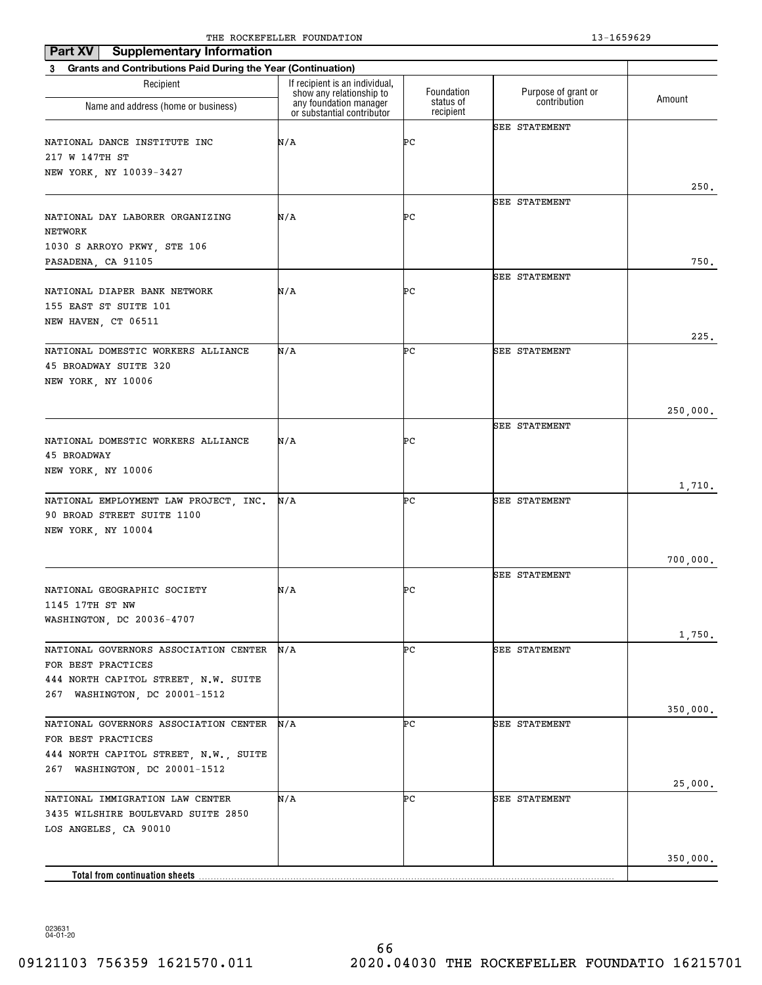| <b>Supplementary Information</b><br>Part XV                                                                                           |                                                                                      |                         |                                     |          |
|---------------------------------------------------------------------------------------------------------------------------------------|--------------------------------------------------------------------------------------|-------------------------|-------------------------------------|----------|
| <b>Grants and Contributions Paid During the Year (Continuation)</b><br>3                                                              |                                                                                      |                         |                                     |          |
| Recipient                                                                                                                             | If recipient is an individual,<br>show any relationship to<br>any foundation manager | Foundation<br>status of | Purpose of grant or<br>contribution | Amount   |
| Name and address (home or business)                                                                                                   | or substantial contributor                                                           | recipient               |                                     |          |
| NATIONAL DANCE INSTITUTE INC<br>217 W 147TH ST<br>NEW YORK, NY 10039-3427                                                             | N/A                                                                                  | ÞС                      | SEE STATEMENT                       |          |
|                                                                                                                                       |                                                                                      |                         |                                     | 250.     |
| NATIONAL DAY LABORER ORGANIZING<br>NETWORK<br>1030 S ARROYO PKWY, STE 106                                                             | N/A                                                                                  | ÞС                      | SEE STATEMENT                       |          |
| PASADENA, CA 91105                                                                                                                    |                                                                                      |                         |                                     | 750.     |
| NATIONAL DIAPER BANK NETWORK<br>155 EAST ST SUITE 101<br>NEW HAVEN, CT 06511                                                          | N/A                                                                                  | ÞС                      | SEE STATEMENT                       |          |
|                                                                                                                                       |                                                                                      |                         |                                     | 225.     |
| NATIONAL DOMESTIC WORKERS ALLIANCE<br>45 BROADWAY SUITE 320<br>NEW YORK, NY 10006                                                     | N/A                                                                                  | ÞС                      | SEE STATEMENT                       |          |
|                                                                                                                                       |                                                                                      |                         |                                     | 250,000. |
|                                                                                                                                       |                                                                                      |                         | <b>SEE STATEMENT</b>                |          |
| NATIONAL DOMESTIC WORKERS ALLIANCE<br>45 BROADWAY<br>NEW YORK, NY 10006                                                               | N/A                                                                                  | ÞС                      |                                     |          |
|                                                                                                                                       |                                                                                      |                         |                                     | 1,710.   |
| NATIONAL EMPLOYMENT LAW PROJECT, INC.<br>90 BROAD STREET SUITE 1100<br>NEW YORK, NY 10004                                             | N/A                                                                                  | ÞС                      | SEE STATEMENT                       |          |
|                                                                                                                                       |                                                                                      |                         |                                     | 700,000. |
| NATIONAL GEOGRAPHIC SOCIETY<br>1145 17TH ST NW                                                                                        | N/A                                                                                  | ÞС                      | SEE STATEMENT                       |          |
| WASHINGTON, DC 20036-4707                                                                                                             |                                                                                      |                         |                                     |          |
| NATIONAL GOVERNORS ASSOCIATION CENTER<br>FOR BEST PRACTICES<br>444 NORTH CAPITOL STREET, N.W. SUITE<br>267 WASHINGTON, DC 20001-1512  | N/A                                                                                  | ÞС                      | SEE STATEMENT                       | 1,750.   |
|                                                                                                                                       |                                                                                      |                         |                                     | 350,000. |
| NATIONAL GOVERNORS ASSOCIATION CENTER<br>FOR BEST PRACTICES<br>444 NORTH CAPITOL STREET, N.W., SUITE<br>267 WASHINGTON, DC 20001-1512 | N/A                                                                                  | ÞС                      | SEE STATEMENT                       | 25,000.  |
| NATIONAL IMMIGRATION LAW CENTER<br>3435 WILSHIRE BOULEVARD SUITE 2850<br>LOS ANGELES, CA 90010                                        | N/A                                                                                  | ÞС                      | SEE STATEMENT                       |          |
|                                                                                                                                       |                                                                                      |                         |                                     | 350,000. |
| Total from continuation sheets                                                                                                        |                                                                                      |                         |                                     |          |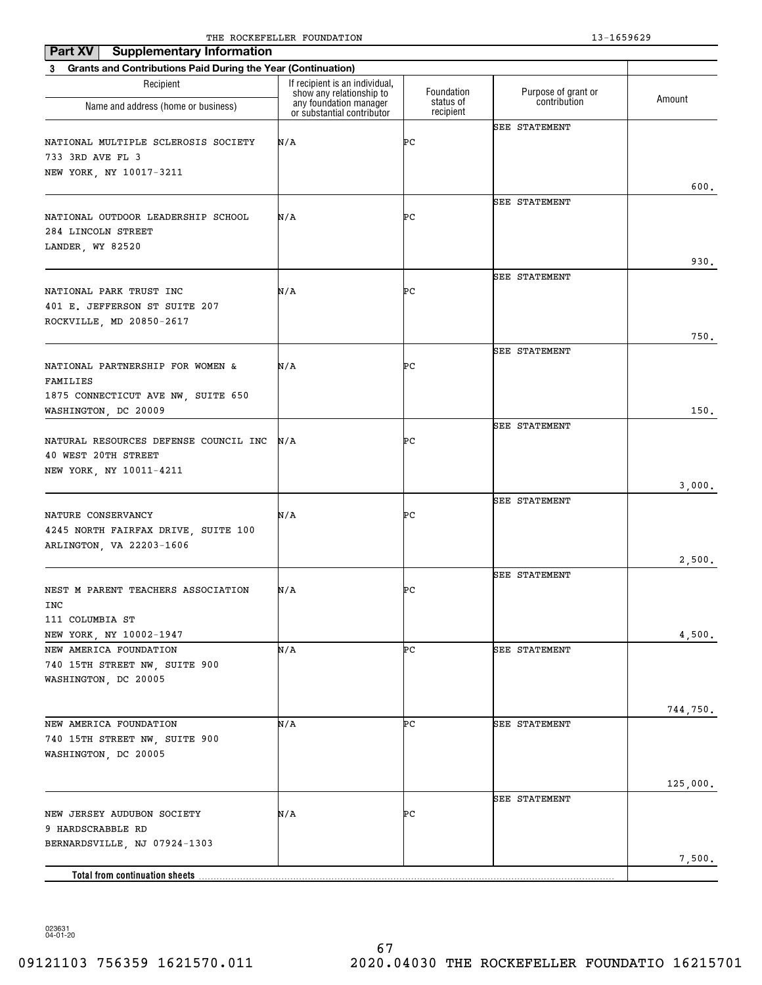| <b>Supplementary Information</b><br>Part XV                                           |                                                            |                        |                      |          |
|---------------------------------------------------------------------------------------|------------------------------------------------------------|------------------------|----------------------|----------|
| <b>Grants and Contributions Paid During the Year (Continuation)</b><br>3              |                                                            |                        |                      |          |
| Recipient                                                                             | If recipient is an individual,<br>show any relationship to | Foundation             | Purpose of grant or  | Amount   |
| Name and address (home or business)                                                   | any foundation manager<br>or substantial contributor       | status of<br>recipient | contribution         |          |
| NATIONAL MULTIPLE SCLEROSIS SOCIETY<br>733 3RD AVE FL 3<br>NEW YORK, NY 10017-3211    | N/A                                                        | ÞС                     | <b>SEE STATEMENT</b> | 600.     |
|                                                                                       |                                                            |                        | <b>SEE STATEMENT</b> |          |
| NATIONAL OUTDOOR LEADERSHIP SCHOOL<br>284 LINCOLN STREET<br>LANDER, WY 82520          | N/A                                                        | ÞС                     |                      |          |
|                                                                                       |                                                            |                        | <b>SEE STATEMENT</b> | 930.     |
| NATIONAL PARK TRUST INC<br>401 E. JEFFERSON ST SUITE 207<br>ROCKVILLE, MD 20850-2617  | N/A                                                        | ÞС                     |                      |          |
|                                                                                       |                                                            |                        |                      | 750.     |
| NATIONAL PARTNERSHIP FOR WOMEN &<br>FAMILIES<br>1875 CONNECTICUT AVE NW, SUITE 650    | N/A                                                        | ÞС                     | <b>SEE STATEMENT</b> |          |
| WASHINGTON, DC 20009                                                                  |                                                            |                        |                      | 150.     |
| NATURAL RESOURCES DEFENSE COUNCIL INC<br>40 WEST 20TH STREET                          | N/A                                                        | ÞС                     | <b>SEE STATEMENT</b> |          |
| NEW YORK, NY 10011-4211                                                               |                                                            |                        |                      | 3,000.   |
| NATURE CONSERVANCY<br>4245 NORTH FAIRFAX DRIVE, SUITE 100<br>ARLINGTON, VA 22203-1606 | N/A                                                        | ÞС                     | <b>SEE STATEMENT</b> |          |
|                                                                                       |                                                            |                        |                      | 2,500.   |
| NEST M PARENT TEACHERS ASSOCIATION<br>INC<br>111 COLUMBIA ST                          | N/A                                                        | ÞС                     | <b>SEE STATEMENT</b> |          |
| NEW YORK, NY 10002-1947                                                               |                                                            |                        |                      | 4,500.   |
| NEW AMERICA FOUNDATION<br>740 15TH STREET NW, SUITE 900<br>WASHINGTON, DC 20005       | N/A                                                        | ÞС                     | <b>SEE STATEMENT</b> |          |
|                                                                                       |                                                            |                        |                      | 744,750. |
| NEW AMERICA FOUNDATION<br>740 15TH STREET NW, SUITE 900<br>WASHINGTON, DC 20005       | N/A                                                        | ÞС                     | <b>SEE STATEMENT</b> |          |
|                                                                                       |                                                            |                        |                      | 125,000. |
| NEW JERSEY AUDUBON SOCIETY<br>9 HARDSCRABBLE RD                                       | N/A                                                        | ÞС                     | SEE STATEMENT        |          |
| BERNARDSVILLE, NJ 07924-1303                                                          |                                                            |                        |                      | 7,500.   |
|                                                                                       |                                                            |                        |                      |          |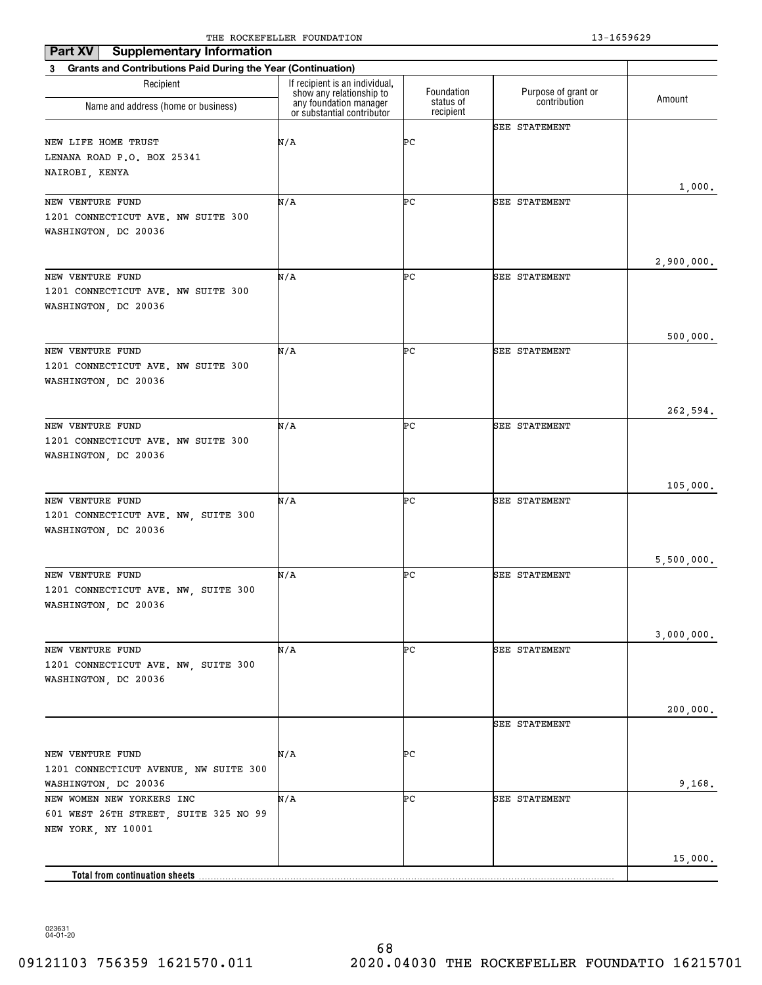| Part XV<br><b>Supplementary Information</b>                    | The Rocker needs roombillion                               |                        | 19 10990 <i>49</i>   |            |
|----------------------------------------------------------------|------------------------------------------------------------|------------------------|----------------------|------------|
| 3 Grants and Contributions Paid During the Year (Continuation) |                                                            |                        |                      |            |
| Recipient                                                      | If recipient is an individual,<br>show any relationship to | Foundation             | Purpose of grant or  |            |
| Name and address (home or business)                            | any foundation manager<br>or substantial contributor       | status of<br>recipient | contribution         | Amount     |
|                                                                |                                                            |                        | <b>SEE STATEMENT</b> |            |
| NEW LIFE HOME TRUST                                            | N/A                                                        | ÞС                     |                      |            |
| LENANA ROAD P.O. BOX 25341                                     |                                                            |                        |                      |            |
| NAIROBI, KENYA                                                 |                                                            |                        |                      | 1,000.     |
| NEW VENTURE FUND                                               | N/A                                                        | ÞС                     | <b>SEE STATEMENT</b> |            |
| 1201 CONNECTICUT AVE. NW SUITE 300                             |                                                            |                        |                      |            |
| WASHINGTON, DC 20036                                           |                                                            |                        |                      |            |
|                                                                |                                                            |                        |                      |            |
|                                                                |                                                            |                        |                      | 2,900,000. |
| NEW VENTURE FUND                                               | N/A                                                        | ÞС                     | <b>SEE STATEMENT</b> |            |
| 1201 CONNECTICUT AVE. NW SUITE 300                             |                                                            |                        |                      |            |
| WASHINGTON, DC 20036                                           |                                                            |                        |                      |            |
|                                                                |                                                            |                        |                      | 500,000.   |
| NEW VENTURE FUND                                               | N/A                                                        | ÞС                     | <b>SEE STATEMENT</b> |            |
| 1201 CONNECTICUT AVE. NW SUITE 300                             |                                                            |                        |                      |            |
| WASHINGTON, DC 20036                                           |                                                            |                        |                      |            |
|                                                                |                                                            |                        |                      |            |
|                                                                |                                                            |                        |                      | 262,594.   |
| NEW VENTURE FUND                                               | N/A                                                        | ÞС                     | <b>SEE STATEMENT</b> |            |
| 1201 CONNECTICUT AVE. NW SUITE 300                             |                                                            |                        |                      |            |
| WASHINGTON, DC 20036                                           |                                                            |                        |                      |            |
|                                                                |                                                            |                        |                      | 105,000.   |
| NEW VENTURE FUND                                               | N/A                                                        | ÞС                     | <b>SEE STATEMENT</b> |            |
| 1201 CONNECTICUT AVE. NW, SUITE 300                            |                                                            |                        |                      |            |
| WASHINGTON, DC 20036                                           |                                                            |                        |                      |            |
|                                                                |                                                            |                        |                      |            |
|                                                                |                                                            |                        |                      | 5,500,000. |
| NEW VENTURE FUND<br>1201 CONNECTICUT AVE. NW, SUITE 300        | N/A                                                        | ÞС                     | <b>SEE STATEMENT</b> |            |
| WASHINGTON, DC 20036                                           |                                                            |                        |                      |            |
|                                                                |                                                            |                        |                      |            |
|                                                                |                                                            |                        |                      | 3,000,000. |
| NEW VENTURE FUND                                               | N/A                                                        | ÞС                     | SEE STATEMENT        |            |
| 1201 CONNECTICUT AVE. NW, SUITE 300                            |                                                            |                        |                      |            |
| WASHINGTON, DC 20036                                           |                                                            |                        |                      |            |
|                                                                |                                                            |                        |                      |            |
|                                                                |                                                            |                        | <b>SEE STATEMENT</b> | 200,000.   |
|                                                                |                                                            |                        |                      |            |
| NEW VENTURE FUND                                               | N/A                                                        | ÞС                     |                      |            |
| 1201 CONNECTICUT AVENUE, NW SUITE 300                          |                                                            |                        |                      |            |
| WASHINGTON, DC 20036                                           |                                                            |                        |                      | 9,168.     |
| NEW WOMEN NEW YORKERS INC                                      | N/A                                                        | ÞС                     | <b>SEE STATEMENT</b> |            |
| 601 WEST 26TH STREET, SUITE 325 NO 99                          |                                                            |                        |                      |            |
| NEW YORK, NY 10001                                             |                                                            |                        |                      |            |
|                                                                |                                                            |                        |                      | 15,000.    |
|                                                                |                                                            |                        |                      |            |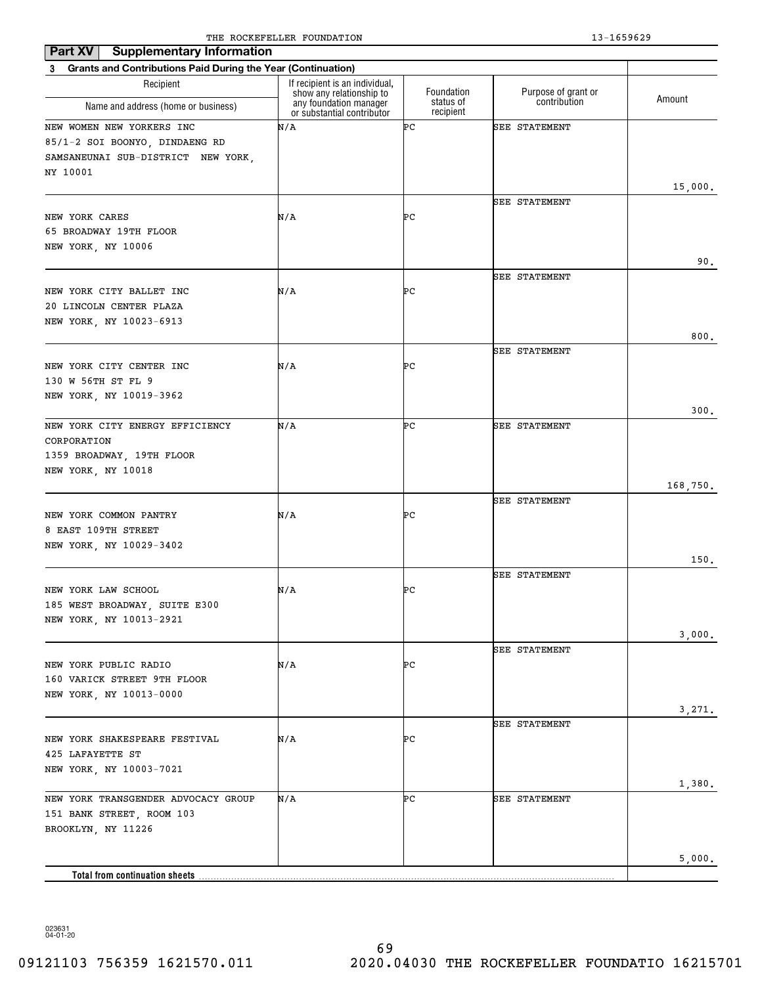| Part XV<br><b>Supplementary Information</b>                    | The Rocker needs roombillion                               |                        | 19 10990 <i>49</i>   |          |
|----------------------------------------------------------------|------------------------------------------------------------|------------------------|----------------------|----------|
| 3 Grants and Contributions Paid During the Year (Continuation) |                                                            |                        |                      |          |
| Recipient                                                      | If recipient is an individual,<br>show any relationship to | Foundation             | Purpose of grant or  |          |
| Name and address (home or business)                            | any foundation manager<br>or substantial contributor       | status of<br>recipient | contribution         | Amount   |
| NEW WOMEN NEW YORKERS INC                                      | N/A                                                        | ÞС                     | <b>SEE STATEMENT</b> |          |
| 85/1-2 SOI BOONYO, DINDAENG RD                                 |                                                            |                        |                      |          |
| SAMSANEUNAI SUB-DISTRICT NEW YORK,                             |                                                            |                        |                      |          |
| NY 10001                                                       |                                                            |                        |                      |          |
|                                                                |                                                            |                        |                      | 15,000.  |
|                                                                |                                                            |                        | <b>SEE STATEMENT</b> |          |
| NEW YORK CARES                                                 | N/A                                                        | ÞС                     |                      |          |
| 65 BROADWAY 19TH FLOOR                                         |                                                            |                        |                      |          |
| NEW YORK, NY 10006                                             |                                                            |                        |                      |          |
|                                                                |                                                            |                        |                      | 90.      |
|                                                                |                                                            |                        | <b>SEE STATEMENT</b> |          |
| NEW YORK CITY BALLET INC                                       | N/A                                                        | ÞС                     |                      |          |
| 20 LINCOLN CENTER PLAZA                                        |                                                            |                        |                      |          |
| NEW YORK, NY 10023-6913                                        |                                                            |                        |                      |          |
|                                                                |                                                            |                        |                      | 800.     |
|                                                                |                                                            |                        | <b>SEE STATEMENT</b> |          |
| NEW YORK CITY CENTER INC                                       | N/A                                                        | ÞС                     |                      |          |
| 130 W 56TH ST FL 9                                             |                                                            |                        |                      |          |
| NEW YORK, NY 10019-3962                                        |                                                            |                        |                      |          |
| NEW YORK CITY ENERGY EFFICIENCY                                | N/A                                                        | ÞС                     | <b>SEE STATEMENT</b> | 300.     |
|                                                                |                                                            |                        |                      |          |
| CORPORATION<br>1359 BROADWAY, 19TH FLOOR                       |                                                            |                        |                      |          |
| NEW YORK, NY 10018                                             |                                                            |                        |                      |          |
|                                                                |                                                            |                        |                      | 168,750. |
|                                                                |                                                            |                        | <b>SEE STATEMENT</b> |          |
| NEW YORK COMMON PANTRY                                         | N/A                                                        | ÞС                     |                      |          |
| 8 EAST 109TH STREET                                            |                                                            |                        |                      |          |
| NEW YORK, NY 10029-3402                                        |                                                            |                        |                      |          |
|                                                                |                                                            |                        |                      | 150.     |
|                                                                |                                                            |                        | <b>SEE STATEMENT</b> |          |
| NEW YORK LAW SCHOOL                                            | N/A                                                        | ÞС                     |                      |          |
| 185 WEST BROADWAY, SUITE E300                                  |                                                            |                        |                      |          |
| NEW YORK, NY 10013-2921                                        |                                                            |                        |                      |          |
|                                                                |                                                            |                        |                      | 3,000.   |
|                                                                |                                                            |                        | SEE STATEMENT        |          |
| NEW YORK PUBLIC RADIO                                          | N/A                                                        | PС                     |                      |          |
| 160 VARICK STREET 9TH FLOOR                                    |                                                            |                        |                      |          |
| NEW YORK, NY 10013-0000                                        |                                                            |                        |                      |          |
|                                                                |                                                            |                        |                      | 3,271.   |
|                                                                |                                                            |                        | SEE STATEMENT        |          |
| NEW YORK SHAKESPEARE FESTIVAL                                  | N/A                                                        | PС                     |                      |          |
| 425 LAFAYETTE ST                                               |                                                            |                        |                      |          |
| NEW YORK, NY 10003-7021                                        |                                                            |                        |                      |          |
|                                                                |                                                            |                        |                      | 1,380.   |
| NEW YORK TRANSGENDER ADVOCACY GROUP                            | N/A                                                        | ÞС                     | <b>SEE STATEMENT</b> |          |
| 151 BANK STREET, ROOM 103                                      |                                                            |                        |                      |          |
| BROOKLYN, NY 11226                                             |                                                            |                        |                      |          |
|                                                                |                                                            |                        |                      |          |
|                                                                |                                                            |                        |                      | 5,000.   |
|                                                                |                                                            |                        |                      |          |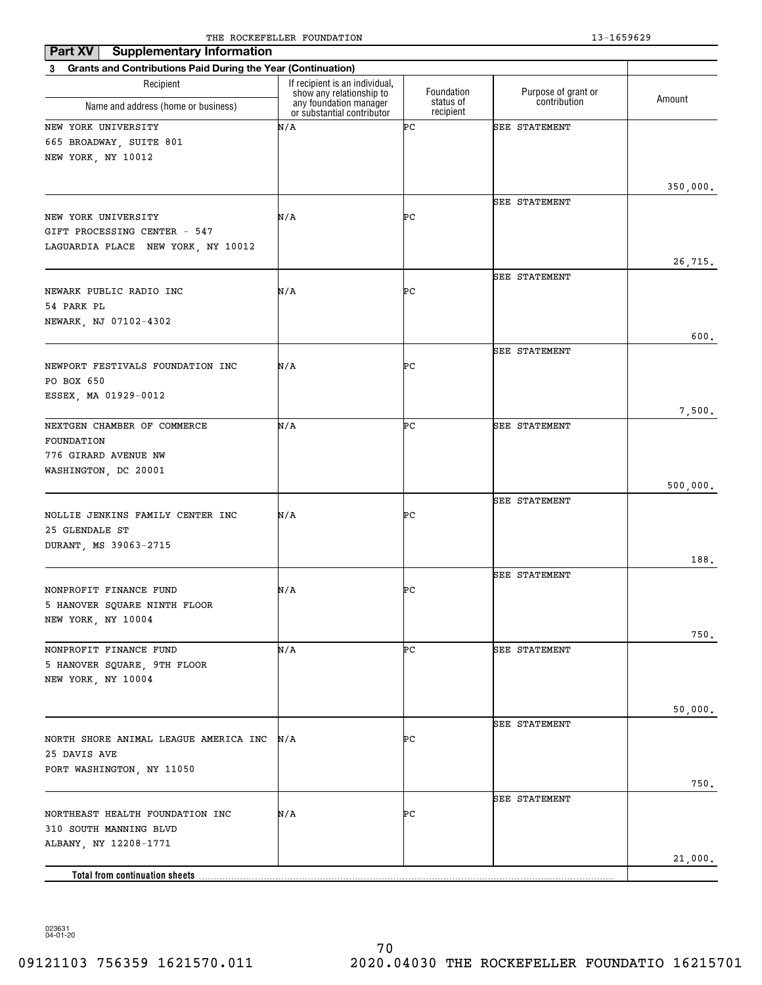| Part XV<br><b>Supplementary Information</b>                              |                                                            |                        |                      |          |
|--------------------------------------------------------------------------|------------------------------------------------------------|------------------------|----------------------|----------|
| <b>Grants and Contributions Paid During the Year (Continuation)</b><br>3 |                                                            |                        |                      |          |
| Recipient                                                                | If recipient is an individual,<br>show any relationship to | Foundation             | Purpose of grant or  | Amount   |
| Name and address (home or business)                                      | any foundation manager<br>or substantial contributor       | status of<br>recipient | contribution         |          |
| NEW YORK UNIVERSITY                                                      | N/A                                                        | ÞС                     | <b>SEE STATEMENT</b> |          |
| 665 BROADWAY, SUITE 801                                                  |                                                            |                        |                      |          |
| NEW YORK, NY 10012                                                       |                                                            |                        |                      |          |
|                                                                          |                                                            |                        |                      |          |
|                                                                          |                                                            |                        | <b>SEE STATEMENT</b> | 350,000. |
| NEW YORK UNIVERSITY                                                      | N/A                                                        | ÞС                     |                      |          |
| GIFT PROCESSING CENTER - 547                                             |                                                            |                        |                      |          |
| LAGUARDIA PLACE NEW YORK, NY 10012                                       |                                                            |                        |                      |          |
|                                                                          |                                                            |                        |                      | 26,715.  |
|                                                                          |                                                            |                        | <b>SEE STATEMENT</b> |          |
| NEWARK PUBLIC RADIO INC                                                  | N/A                                                        | ÞС                     |                      |          |
| 54 PARK PL                                                               |                                                            |                        |                      |          |
| NEWARK, NJ 07102-4302                                                    |                                                            |                        |                      | 600.     |
|                                                                          |                                                            |                        | <b>SEE STATEMENT</b> |          |
| NEWPORT FESTIVALS FOUNDATION INC                                         | N/A                                                        | ÞС                     |                      |          |
| PO BOX 650                                                               |                                                            |                        |                      |          |
| ESSEX, MA 01929-0012                                                     |                                                            |                        |                      |          |
|                                                                          |                                                            |                        |                      | 7,500.   |
| NEXTGEN CHAMBER OF COMMERCE                                              | N/A                                                        | ÞС                     | <b>SEE STATEMENT</b> |          |
| FOUNDATION                                                               |                                                            |                        |                      |          |
| 776 GIRARD AVENUE NW                                                     |                                                            |                        |                      |          |
| WASHINGTON, DC 20001                                                     |                                                            |                        |                      | 500,000. |
|                                                                          |                                                            |                        | <b>SEE STATEMENT</b> |          |
| NOLLIE JENKINS FAMILY CENTER INC                                         | N/A                                                        | ÞС                     |                      |          |
| 25 GLENDALE ST                                                           |                                                            |                        |                      |          |
| DURANT, MS 39063-2715                                                    |                                                            |                        |                      |          |
|                                                                          |                                                            |                        |                      | 188.     |
|                                                                          |                                                            | ÞС                     | <b>SEE STATEMENT</b> |          |
| NONPROFIT FINANCE FUND<br>5 HANOVER SQUARE NINTH FLOOR                   | N/A                                                        |                        |                      |          |
| NEW YORK, NY 10004                                                       |                                                            |                        |                      |          |
|                                                                          |                                                            |                        |                      | 750.     |
| NONPROFIT FINANCE FUND                                                   | N/A                                                        | ÞС                     | <b>SEE STATEMENT</b> |          |
| 5 HANOVER SQUARE, 9TH FLOOR                                              |                                                            |                        |                      |          |
| NEW YORK, NY 10004                                                       |                                                            |                        |                      |          |
|                                                                          |                                                            |                        |                      |          |
|                                                                          |                                                            |                        | SEE STATEMENT        | 50,000.  |
| NORTH SHORE ANIMAL LEAGUE AMERICA INC                                    | N/A                                                        | ÞС                     |                      |          |
| 25 DAVIS AVE                                                             |                                                            |                        |                      |          |
| PORT WASHINGTON, NY 11050                                                |                                                            |                        |                      |          |
|                                                                          |                                                            |                        |                      | 750.     |
|                                                                          |                                                            |                        | SEE STATEMENT        |          |
| NORTHEAST HEALTH FOUNDATION INC                                          | N/A                                                        | ÞС                     |                      |          |
| 310 SOUTH MANNING BLVD                                                   |                                                            |                        |                      |          |
| ALBANY, NY 12208-1771                                                    |                                                            |                        |                      | 21,000.  |
| <b>Total from continuation sheets</b>                                    |                                                            |                        |                      |          |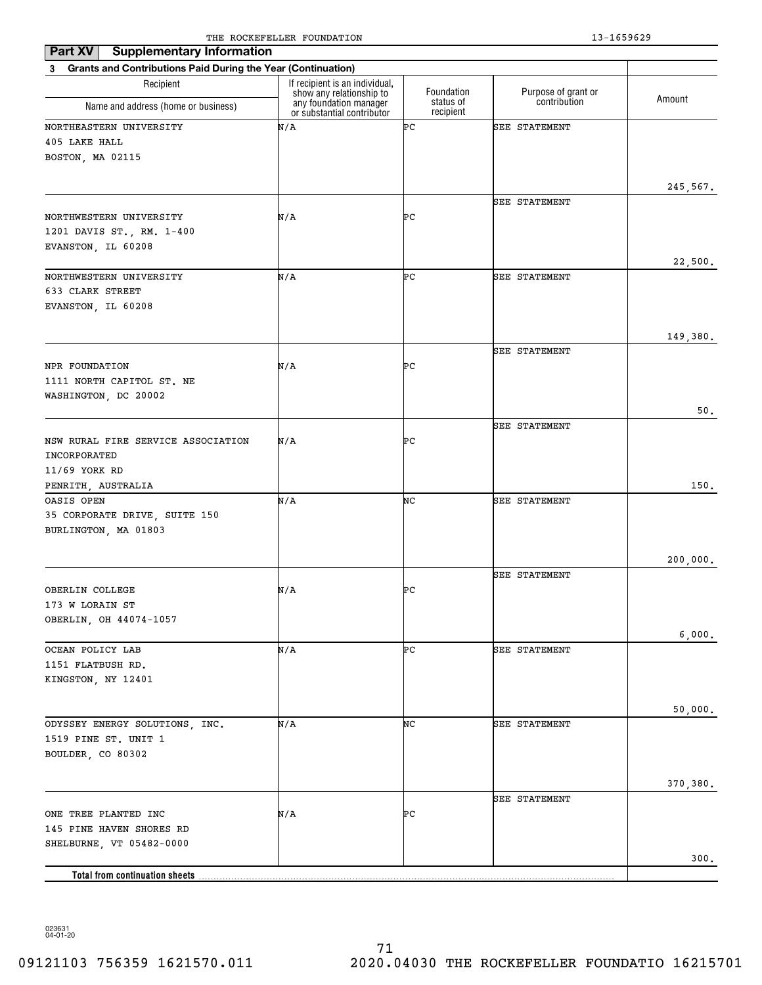| <b>Supplementary Information</b><br>Part XV                    |                                                            |                        |                      |          |
|----------------------------------------------------------------|------------------------------------------------------------|------------------------|----------------------|----------|
| 3 Grants and Contributions Paid During the Year (Continuation) |                                                            |                        |                      |          |
| Recipient                                                      | If recipient is an individual,<br>show any relationship to | Foundation             | Purpose of grant or  | Amount   |
| Name and address (home or business)                            | any foundation manager<br>or substantial contributor       | status of<br>recipient | contribution         |          |
| NORTHEASTERN UNIVERSITY                                        | N/A                                                        | ÞС                     | SEE STATEMENT        |          |
| 405 LAKE HALL                                                  |                                                            |                        |                      |          |
| BOSTON, MA 02115                                               |                                                            |                        |                      |          |
|                                                                |                                                            |                        |                      |          |
|                                                                |                                                            |                        |                      | 245,567. |
| NORTHWESTERN UNIVERSITY                                        | N/A                                                        | ÞС                     | SEE STATEMENT        |          |
| 1201 DAVIS ST., RM. 1-400                                      |                                                            |                        |                      |          |
| EVANSTON, IL 60208                                             |                                                            |                        |                      |          |
|                                                                |                                                            |                        |                      | 22,500.  |
| NORTHWESTERN UNIVERSITY                                        | N/A                                                        | ÞС                     | <b>SEE STATEMENT</b> |          |
| 633 CLARK STREET                                               |                                                            |                        |                      |          |
| EVANSTON, IL 60208                                             |                                                            |                        |                      |          |
|                                                                |                                                            |                        |                      |          |
|                                                                |                                                            |                        |                      | 149,380. |
|                                                                |                                                            |                        | <b>SEE STATEMENT</b> |          |
| NPR FOUNDATION                                                 | N/A                                                        | ÞС                     |                      |          |
| 1111 NORTH CAPITOL ST. NE                                      |                                                            |                        |                      |          |
| WASHINGTON, DC 20002                                           |                                                            |                        |                      |          |
|                                                                |                                                            |                        |                      | 50.      |
|                                                                |                                                            |                        | <b>SEE STATEMENT</b> |          |
| NSW RURAL FIRE SERVICE ASSOCIATION                             | N/A                                                        | ÞС                     |                      |          |
| INCORPORATED                                                   |                                                            |                        |                      |          |
| 11/69 YORK RD<br>PENRITH, AUSTRALIA                            |                                                            |                        |                      | 150.     |
| OASIS OPEN                                                     | N/A                                                        | NC                     | <b>SEE STATEMENT</b> |          |
| 35 CORPORATE DRIVE, SUITE 150                                  |                                                            |                        |                      |          |
| BURLINGTON, MA 01803                                           |                                                            |                        |                      |          |
|                                                                |                                                            |                        |                      |          |
|                                                                |                                                            |                        |                      | 200,000. |
|                                                                |                                                            |                        | <b>SEE STATEMENT</b> |          |
| OBERLIN COLLEGE                                                | N/A                                                        | ÞС                     |                      |          |
| 173 W LORAIN ST                                                |                                                            |                        |                      |          |
| OBERLIN, OH 44074-1057                                         |                                                            |                        |                      |          |
|                                                                |                                                            |                        |                      | 6,000.   |
| OCEAN POLICY LAB                                               | N/A                                                        | ÞС                     | SEE STATEMENT        |          |
| 1151 FLATBUSH RD.                                              |                                                            |                        |                      |          |
| KINGSTON, NY 12401                                             |                                                            |                        |                      |          |
|                                                                |                                                            |                        |                      | 50,000.  |
| ODYSSEY ENERGY SOLUTIONS, INC.                                 | N/A                                                        | NC                     | SEE STATEMENT        |          |
| 1519 PINE ST. UNIT 1                                           |                                                            |                        |                      |          |
| BOULDER, CO 80302                                              |                                                            |                        |                      |          |
|                                                                |                                                            |                        |                      |          |
|                                                                |                                                            |                        |                      | 370,380. |
|                                                                |                                                            |                        | SEE STATEMENT        |          |
| ONE TREE PLANTED INC                                           | N/A                                                        | ÞС                     |                      |          |
| 145 PINE HAVEN SHORES RD                                       |                                                            |                        |                      |          |
| SHELBURNE, VT 05482-0000                                       |                                                            |                        |                      |          |
|                                                                |                                                            |                        |                      | 300.     |
| Total from continuation sheets                                 |                                                            |                        |                      |          |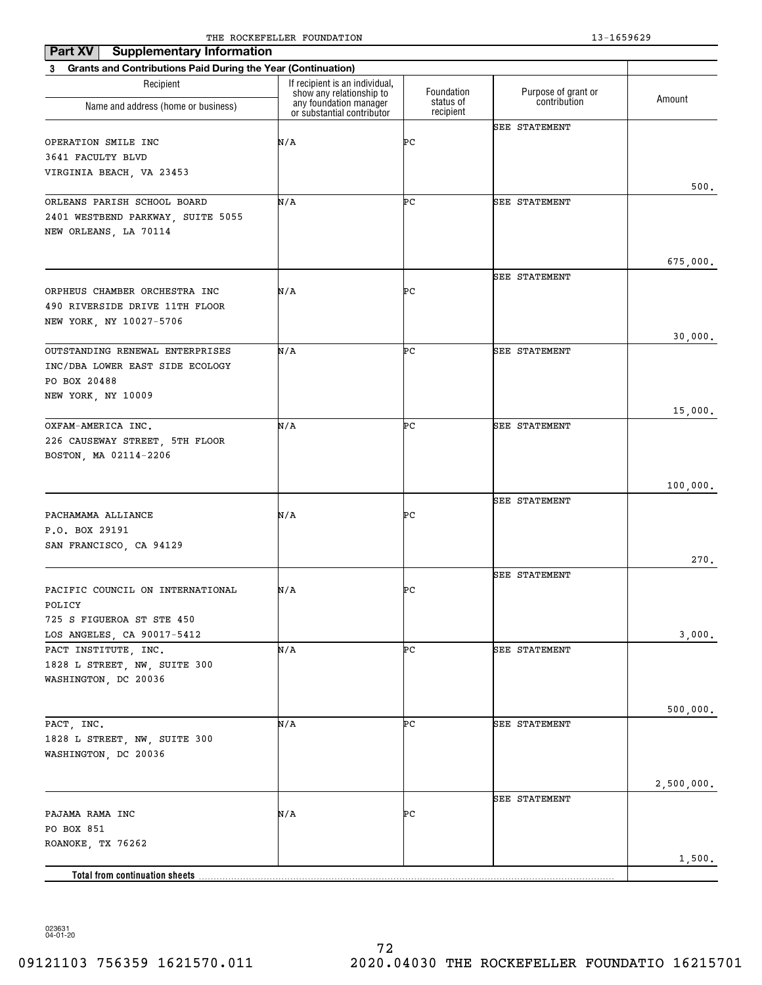| Part XV<br><b>Supplementary Information</b>                     | The Rocker needs roombillion                               |                        | 19 10990 <i>49</i>   |            |
|-----------------------------------------------------------------|------------------------------------------------------------|------------------------|----------------------|------------|
| 3 Grants and Contributions Paid During the Year (Continuation)  |                                                            |                        |                      |            |
| Recipient                                                       | If recipient is an individual,<br>show any relationship to | Foundation             | Purpose of grant or  | Amount     |
| Name and address (home or business)                             | any foundation manager<br>or substantial contributor       | status of<br>recipient | contribution         |            |
|                                                                 |                                                            |                        | <b>SEE STATEMENT</b> |            |
| OPERATION SMILE INC                                             | N/A                                                        | ÞС                     |                      |            |
| 3641 FACULTY BLVD                                               |                                                            |                        |                      |            |
| VIRGINIA BEACH, VA 23453                                        |                                                            |                        |                      | 500.       |
| ORLEANS PARISH SCHOOL BOARD                                     | N/A                                                        | ÞС                     | <b>SEE STATEMENT</b> |            |
| 2401 WESTBEND PARKWAY, SUITE 5055                               |                                                            |                        |                      |            |
| NEW ORLEANS, LA 70114                                           |                                                            |                        |                      |            |
|                                                                 |                                                            |                        |                      |            |
|                                                                 |                                                            |                        |                      | 675,000.   |
|                                                                 | N/A                                                        | PС                     | <b>SEE STATEMENT</b> |            |
| ORPHEUS CHAMBER ORCHESTRA INC<br>490 RIVERSIDE DRIVE 11TH FLOOR |                                                            |                        |                      |            |
| NEW YORK, NY 10027-5706                                         |                                                            |                        |                      |            |
|                                                                 |                                                            |                        |                      | 30,000.    |
| OUTSTANDING RENEWAL ENTERPRISES                                 | N/A                                                        | ÞС                     | <b>SEE STATEMENT</b> |            |
| INC/DBA LOWER EAST SIDE ECOLOGY                                 |                                                            |                        |                      |            |
| PO BOX 20488                                                    |                                                            |                        |                      |            |
| NEW YORK, NY 10009                                              |                                                            |                        |                      |            |
| OXFAM-AMERICA INC.                                              | N/A                                                        | PС                     | <b>SEE STATEMENT</b> | 15,000.    |
| 226 CAUSEWAY STREET, 5TH FLOOR                                  |                                                            |                        |                      |            |
| BOSTON, MA 02114-2206                                           |                                                            |                        |                      |            |
|                                                                 |                                                            |                        |                      |            |
|                                                                 |                                                            |                        |                      | 100,000.   |
|                                                                 |                                                            |                        | <b>SEE STATEMENT</b> |            |
| PACHAMAMA ALLIANCE                                              | N/A                                                        | PС                     |                      |            |
| P.O. BOX 29191                                                  |                                                            |                        |                      |            |
| SAN FRANCISCO, CA 94129                                         |                                                            |                        |                      | 270.       |
|                                                                 |                                                            |                        | <b>SEE STATEMENT</b> |            |
| PACIFIC COUNCIL ON INTERNATIONAL                                | N/A                                                        | ÞС                     |                      |            |
| POLICY                                                          |                                                            |                        |                      |            |
| 725 S FIGUEROA ST STE 450                                       |                                                            |                        |                      |            |
| LOS ANGELES, CA 90017-5412                                      |                                                            |                        |                      | 3,000.     |
| PACT INSTITUTE, INC.<br>1828 L STREET, NW, SUITE 300            | N/A                                                        | ÞС                     | SEE STATEMENT        |            |
| WASHINGTON, DC 20036                                            |                                                            |                        |                      |            |
|                                                                 |                                                            |                        |                      |            |
|                                                                 |                                                            |                        |                      | 500,000.   |
| PACT, INC.                                                      | N/A                                                        | PС                     | <b>SEE STATEMENT</b> |            |
| 1828 L STREET, NW, SUITE 300                                    |                                                            |                        |                      |            |
| WASHINGTON, DC 20036                                            |                                                            |                        |                      |            |
|                                                                 |                                                            |                        |                      | 2,500,000. |
|                                                                 |                                                            |                        | <b>SEE STATEMENT</b> |            |
| PAJAMA RAMA INC                                                 | N/A                                                        | PС                     |                      |            |
| PO BOX 851                                                      |                                                            |                        |                      |            |
| ROANOKE, TX 76262                                               |                                                            |                        |                      |            |
|                                                                 |                                                            |                        |                      | 1,500.     |
| Total from continuation sheets                                  |                                                            |                        |                      |            |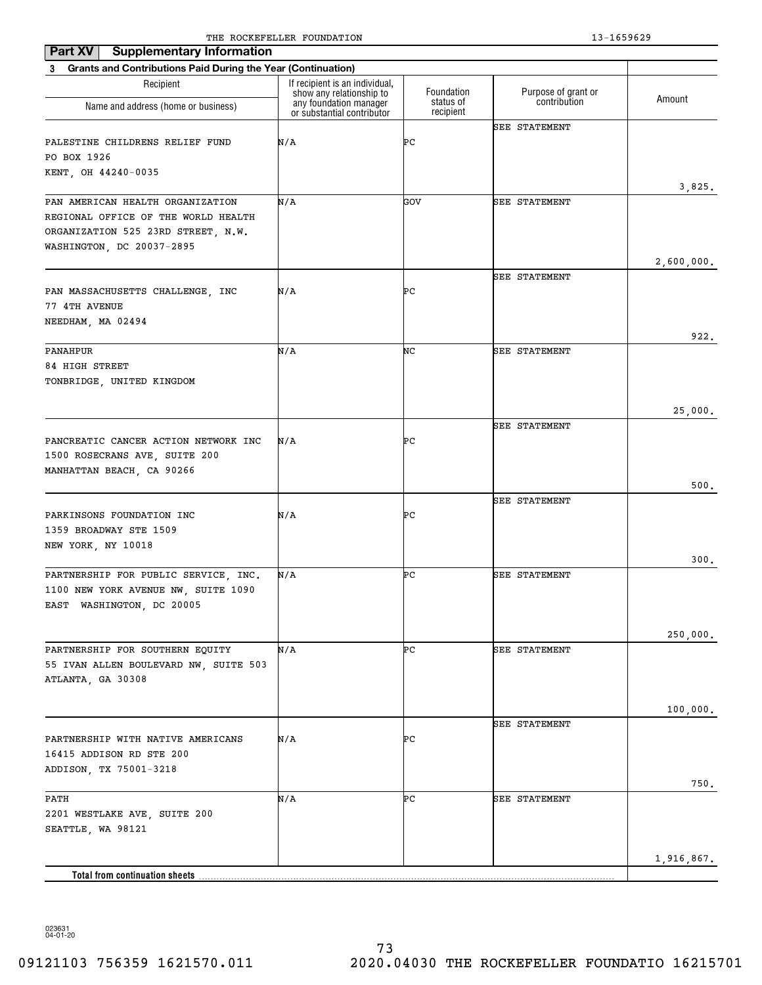| <b>Supplementary Information</b><br>Part XV                                                                                                |                                                            |                        |                      |            |
|--------------------------------------------------------------------------------------------------------------------------------------------|------------------------------------------------------------|------------------------|----------------------|------------|
| 3 Grants and Contributions Paid During the Year (Continuation)                                                                             |                                                            |                        |                      |            |
| Recipient                                                                                                                                  | If recipient is an individual,<br>show any relationship to | Foundation             | Purpose of grant or  |            |
| Name and address (home or business)                                                                                                        | any foundation manager<br>or substantial contributor       | status of<br>recipient | contribution         | Amount     |
| PALESTINE CHILDRENS RELIEF FUND<br>PO BOX 1926                                                                                             | N/A                                                        | ÞС                     | <b>SEE STATEMENT</b> |            |
| KENT, OH 44240-0035                                                                                                                        |                                                            |                        |                      | 3,825.     |
| PAN AMERICAN HEALTH ORGANIZATION<br>REGIONAL OFFICE OF THE WORLD HEALTH<br>ORGANIZATION 525 23RD STREET, N.W.<br>WASHINGTON, DC 20037-2895 | N/A                                                        | GOV                    | <b>SEE STATEMENT</b> | 2,600,000. |
| PAN MASSACHUSETTS CHALLENGE, INC<br>77 4TH AVENUE<br>NEEDHAM, MA 02494                                                                     | N/A                                                        | ÞС                     | <b>SEE STATEMENT</b> |            |
|                                                                                                                                            |                                                            |                        |                      | 922.       |
| <b>PANAHPUR</b><br>84 HIGH STREET<br>TONBRIDGE, UNITED KINGDOM                                                                             | N/A                                                        | NC                     | SEE STATEMENT        |            |
|                                                                                                                                            |                                                            |                        |                      | 25,000.    |
| PANCREATIC CANCER ACTION NETWORK INC<br>1500 ROSECRANS AVE, SUITE 200<br>MANHATTAN BEACH, CA 90266                                         | N/A                                                        | ÞС                     | <b>SEE STATEMENT</b> |            |
|                                                                                                                                            |                                                            |                        | <b>SEE STATEMENT</b> | 500.       |
| PARKINSONS FOUNDATION INC<br>1359 BROADWAY STE 1509<br>NEW YORK, NY 10018                                                                  | N/A                                                        | ÞС                     |                      |            |
| PARTNERSHIP FOR PUBLIC SERVICE, INC.                                                                                                       | N/A                                                        | ÞС                     | <b>SEE STATEMENT</b> | 300.       |
| 1100 NEW YORK AVENUE NW, SUITE 1090<br>EAST WASHINGTON, DC 20005                                                                           |                                                            |                        |                      |            |
| PARTNERSHIP FOR SOUTHERN EQUITY<br>55 IVAN ALLEN BOULEVARD NW, SUITE 503<br>ATLANTA, GA 30308                                              | N/A                                                        | ÞС                     | SEE STATEMENT        | 250,000.   |
|                                                                                                                                            |                                                            |                        | <b>SEE STATEMENT</b> | 100,000.   |
| PARTNERSHIP WITH NATIVE AMERICANS<br>16415 ADDISON RD STE 200<br>ADDISON, TX 75001-3218                                                    | N/A                                                        | ÞС                     |                      | 750.       |
| PATH<br>2201 WESTLAKE AVE, SUITE 200<br>SEATTLE, WA 98121                                                                                  | N/A                                                        | ÞС                     | SEE STATEMENT        |            |
|                                                                                                                                            |                                                            |                        |                      | 1,916,867. |
| Total from continuation sheets                                                                                                             |                                                            |                        |                      |            |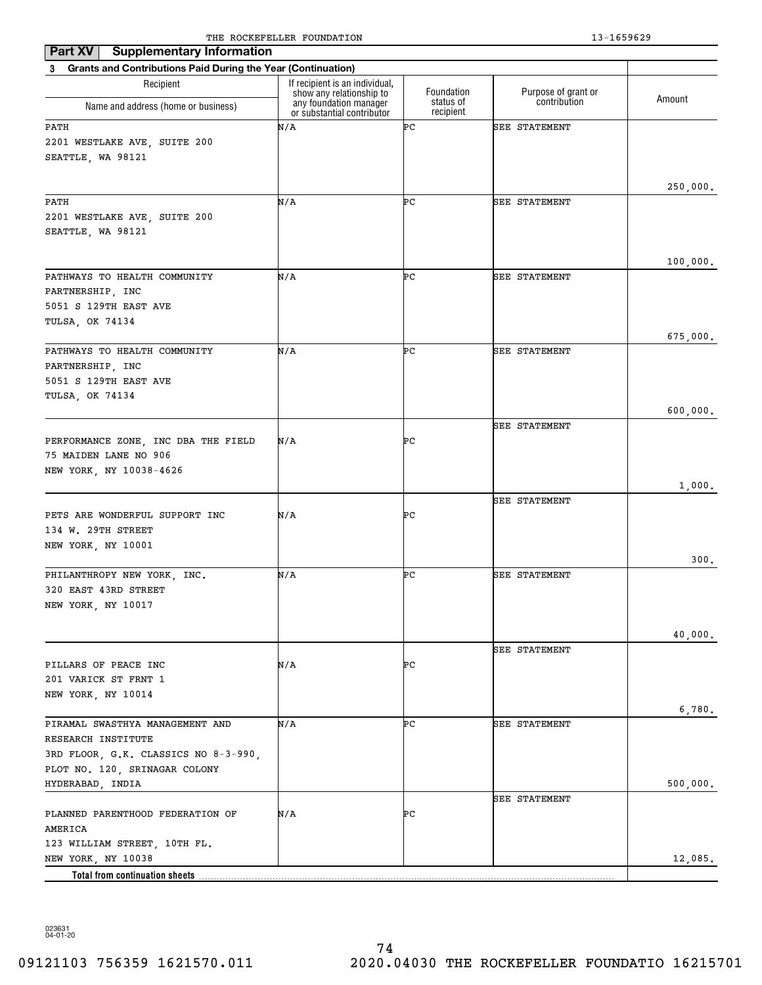| Part XV<br><b>Supplementary Information</b>                                                                                                        |                                                            |                        |                      |                      |
|----------------------------------------------------------------------------------------------------------------------------------------------------|------------------------------------------------------------|------------------------|----------------------|----------------------|
| <b>Grants and Contributions Paid During the Year (Continuation)</b><br>3                                                                           |                                                            |                        |                      |                      |
| Recipient                                                                                                                                          | If recipient is an individual,<br>show any relationship to | Foundation             | Purpose of grant or  |                      |
| Name and address (home or business)                                                                                                                | any foundation manager<br>or substantial contributor       | status of<br>recipient | contribution         | Amount               |
| PATH<br>2201 WESTLAKE AVE, SUITE 200<br>SEATTLE, WA 98121                                                                                          | N/A                                                        | ÞС                     | SEE STATEMENT        |                      |
| PATH<br>2201 WESTLAKE AVE, SUITE 200<br>SEATTLE, WA 98121                                                                                          | N/A                                                        | ÞС                     | SEE STATEMENT        | 250,000.             |
| PATHWAYS TO HEALTH COMMUNITY<br>PARTNERSHIP, INC<br>5051 S 129TH EAST AVE<br>TULSA, OK 74134                                                       | N/A                                                        | ÞС                     | SEE STATEMENT        | 100,000.             |
| PATHWAYS TO HEALTH COMMUNITY<br>PARTNERSHIP, INC<br>5051 S 129TH EAST AVE<br>TULSA, OK 74134                                                       | N/A                                                        | ÞС                     | <b>SEE STATEMENT</b> | 675,000.<br>600,000. |
| PERFORMANCE ZONE, INC DBA THE FIELD<br>75 MAIDEN LANE NO 906<br>NEW YORK, NY 10038-4626                                                            | N/A                                                        | ÞС                     | SEE STATEMENT        | 1,000.               |
| PETS ARE WONDERFUL SUPPORT INC<br>134 W. 29TH STREET<br>NEW YORK, NY 10001                                                                         | N/A                                                        | ÞС                     | SEE STATEMENT        |                      |
| PHILANTHROPY NEW YORK, INC.<br>320 EAST 43RD STREET<br>NEW YORK, NY 10017                                                                          | N/A                                                        | ÞС                     | SEE STATEMENT        | 300.                 |
| PILLARS OF PEACE INC<br>201 VARICK ST FRNT 1<br>NEW YORK, NY 10014                                                                                 | N/A                                                        | ÞС                     | SEE STATEMENT        | 40,000.              |
| PIRAMAL SWASTHYA MANAGEMENT AND<br>RESEARCH INSTITUTE<br>3RD FLOOR, G.K. CLASSICS NO 8-3-990,<br>PLOT NO. 120, SRINAGAR COLONY<br>HYDERABAD, INDIA | N/A                                                        | ÞС                     | SEE STATEMENT        | 6,780.<br>500,000.   |
| PLANNED PARENTHOOD FEDERATION OF<br>AMERICA<br>123 WILLIAM STREET, 10TH FL.                                                                        | N/A                                                        | ÞС                     | SEE STATEMENT        |                      |
| NEW YORK, NY 10038                                                                                                                                 |                                                            |                        |                      | 12,085.              |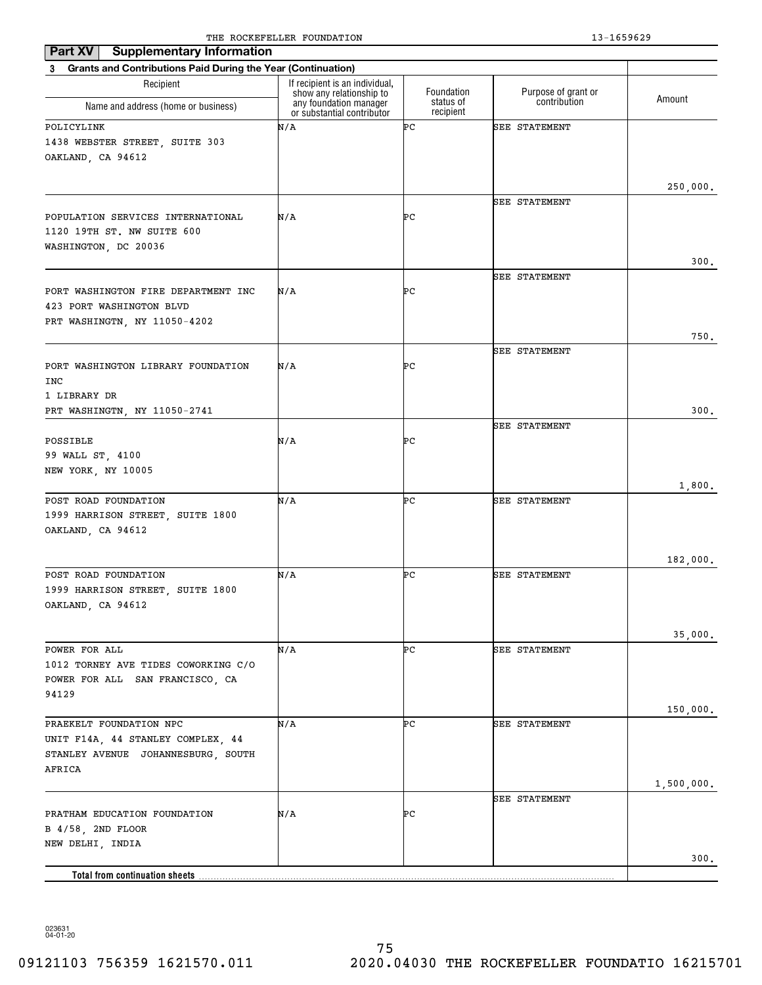| <b>Supplementary Information</b><br><b>Part XV</b>                                                           |                                                                                      |                         |                                     |            |
|--------------------------------------------------------------------------------------------------------------|--------------------------------------------------------------------------------------|-------------------------|-------------------------------------|------------|
| 3 Grants and Contributions Paid During the Year (Continuation)                                               |                                                                                      |                         |                                     |            |
| Recipient<br>Name and address (home or business)                                                             | If recipient is an individual,<br>show any relationship to<br>any foundation manager | Foundation<br>status of | Purpose of grant or<br>contribution | Amount     |
| POLICYLINK                                                                                                   | or substantial contributor<br>N/A                                                    | recipient<br>ÞС         |                                     |            |
| 1438 WEBSTER STREET, SUITE 303<br>OAKLAND, CA 94612                                                          |                                                                                      |                         | SEE STATEMENT                       | 250,000.   |
|                                                                                                              |                                                                                      |                         | SEE STATEMENT                       |            |
| POPULATION SERVICES INTERNATIONAL<br>1120 19TH ST. NW SUITE 600<br>WASHINGTON, DC 20036                      | N/A                                                                                  | ÞС                      |                                     |            |
|                                                                                                              |                                                                                      |                         | SEE STATEMENT                       | 300.       |
| PORT WASHINGTON FIRE DEPARTMENT INC<br>423 PORT WASHINGTON BLVD<br>PRT WASHINGTN, NY 11050-4202              | N/A                                                                                  | ÞС                      |                                     |            |
|                                                                                                              |                                                                                      |                         |                                     | 750.       |
| PORT WASHINGTON LIBRARY FOUNDATION<br>INC                                                                    | N/A                                                                                  | ÞС                      | SEE STATEMENT                       |            |
| 1 LIBRARY DR                                                                                                 |                                                                                      |                         |                                     |            |
| PRT WASHINGTN, NY 11050-2741                                                                                 |                                                                                      |                         |                                     | 300.       |
| POSSIBLE<br>99 WALL ST, 4100<br>NEW YORK, NY 10005                                                           | N/A                                                                                  | ÞС                      | SEE STATEMENT                       |            |
|                                                                                                              |                                                                                      |                         |                                     | 1,800.     |
| POST ROAD FOUNDATION<br>1999 HARRISON STREET, SUITE 1800<br>OAKLAND, CA 94612                                | N/A                                                                                  | ÞС                      | SEE STATEMENT                       |            |
|                                                                                                              |                                                                                      |                         |                                     | 182,000.   |
| POST ROAD FOUNDATION<br>1999 HARRISON STREET, SUITE 1800<br>OAKLAND, CA 94612                                | N/A                                                                                  | ÞС                      | SEE STATEMENT                       |            |
|                                                                                                              |                                                                                      |                         |                                     | 35,000.    |
| POWER FOR ALL<br>1012 TORNEY AVE TIDES COWORKING C/O<br>POWER FOR ALL SAN FRANCISCO, CA<br>94129             | N/A                                                                                  | ÞС                      | SEE STATEMENT                       |            |
|                                                                                                              |                                                                                      |                         |                                     | 150,000.   |
| PRAEKELT FOUNDATION NPC<br>UNIT F14A, 44 STANLEY COMPLEX, 44<br>STANLEY AVENUE JOHANNESBURG, SOUTH<br>AFRICA | N/A                                                                                  | ÞС                      | SEE STATEMENT                       |            |
|                                                                                                              |                                                                                      |                         | SEE STATEMENT                       | 1,500,000. |
| PRATHAM EDUCATION FOUNDATION<br>B 4/58, 2ND FLOOR<br>NEW DELHI, INDIA                                        | N/A                                                                                  | ÞС                      |                                     |            |
|                                                                                                              |                                                                                      |                         |                                     | 300.       |
| Total from continuation sheets                                                                               |                                                                                      |                         |                                     |            |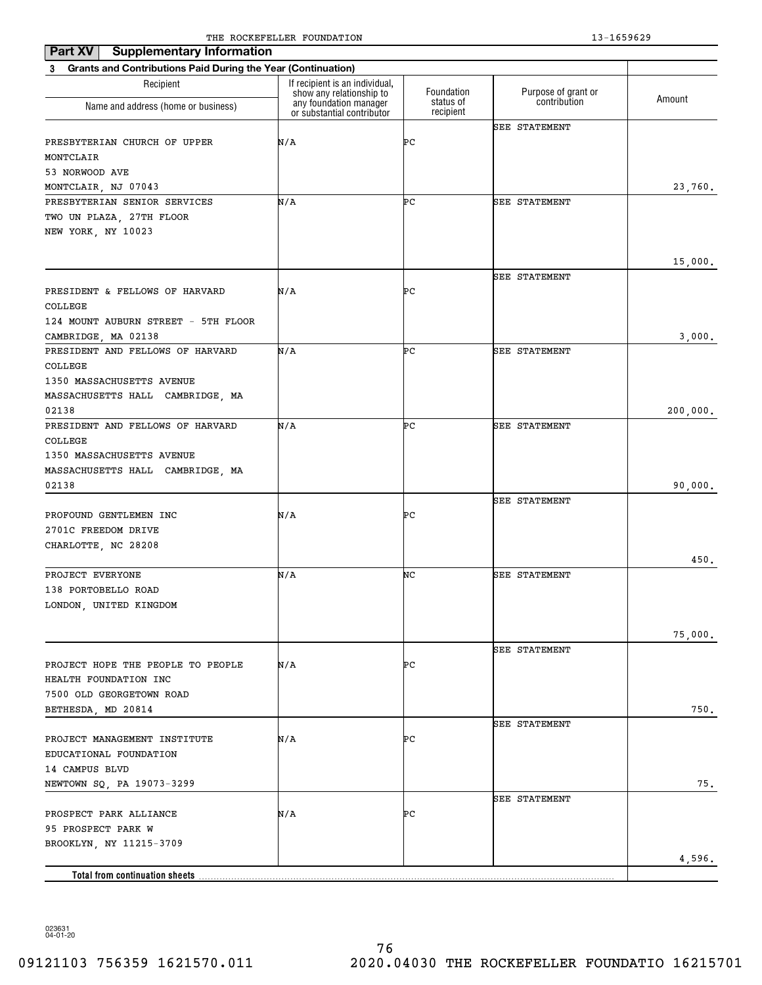| <b>Supplementary Information</b><br>Part XV                              |                                                            |                        |                      |          |
|--------------------------------------------------------------------------|------------------------------------------------------------|------------------------|----------------------|----------|
| <b>Grants and Contributions Paid During the Year (Continuation)</b><br>3 |                                                            |                        |                      |          |
| Recipient                                                                | If recipient is an individual,<br>show any relationship to | Foundation             | Purpose of grant or  |          |
| Name and address (home or business)                                      | any foundation manager<br>or substantial contributor       | status of<br>recipient | contribution         | Amount   |
|                                                                          |                                                            |                        | <b>SEE STATEMENT</b> |          |
| PRESBYTERIAN CHURCH OF UPPER                                             | N/A                                                        | ÞС                     |                      |          |
| MONTCLAIR                                                                |                                                            |                        |                      |          |
| 53 NORWOOD AVE                                                           |                                                            |                        |                      |          |
| MONTCLAIR, NJ 07043                                                      |                                                            |                        |                      | 23,760.  |
| PRESBYTERIAN SENIOR SERVICES                                             | N/A                                                        | ÞС                     | SEE STATEMENT        |          |
| TWO UN PLAZA, 27TH FLOOR                                                 |                                                            |                        |                      |          |
| NEW YORK, NY 10023                                                       |                                                            |                        |                      |          |
|                                                                          |                                                            |                        |                      | 15,000.  |
|                                                                          |                                                            |                        | SEE STATEMENT        |          |
| PRESIDENT & FELLOWS OF HARVARD                                           | N/A                                                        | ÞС                     |                      |          |
| COLLEGE                                                                  |                                                            |                        |                      |          |
| 124 MOUNT AUBURN STREET - 5TH FLOOR                                      |                                                            |                        |                      |          |
| CAMBRIDGE, MA 02138                                                      |                                                            |                        |                      | 3,000.   |
| PRESIDENT AND FELLOWS OF HARVARD                                         | N/A                                                        | ÞС                     | <b>SEE STATEMENT</b> |          |
| COLLEGE                                                                  |                                                            |                        |                      |          |
| 1350 MASSACHUSETTS AVENUE                                                |                                                            |                        |                      |          |
| MASSACHUSETTS HALL CAMBRIDGE, MA                                         |                                                            |                        |                      |          |
| 02138                                                                    |                                                            |                        |                      | 200,000. |
| PRESIDENT AND FELLOWS OF HARVARD                                         | N/A                                                        | ÞС                     | SEE STATEMENT        |          |
| COLLEGE                                                                  |                                                            |                        |                      |          |
| 1350 MASSACHUSETTS AVENUE                                                |                                                            |                        |                      |          |
| MASSACHUSETTS HALL CAMBRIDGE, MA                                         |                                                            |                        |                      |          |
| 02138                                                                    |                                                            |                        |                      | 90,000.  |
|                                                                          |                                                            |                        | SEE STATEMENT        |          |
| PROFOUND GENTLEMEN INC                                                   | N/A                                                        | ÞС                     |                      |          |
| 2701C FREEDOM DRIVE<br>CHARLOTTE, NC 28208                               |                                                            |                        |                      |          |
|                                                                          |                                                            |                        |                      | 450.     |
| PROJECT EVERYONE                                                         | N/A                                                        | NC                     | <b>SEE STATEMENT</b> |          |
| 138 PORTOBELLO ROAD                                                      |                                                            |                        |                      |          |
| LONDON, UNITED KINGDOM                                                   |                                                            |                        |                      |          |
|                                                                          |                                                            |                        |                      |          |
|                                                                          |                                                            |                        |                      | 75,000.  |
|                                                                          |                                                            |                        | <b>SEE STATEMENT</b> |          |
| PROJECT HOPE THE PEOPLE TO PEOPLE                                        | N/A                                                        | ÞС                     |                      |          |
| HEALTH FOUNDATION INC                                                    |                                                            |                        |                      |          |
| 7500 OLD GEORGETOWN ROAD                                                 |                                                            |                        |                      |          |
| BETHESDA, MD 20814                                                       |                                                            |                        |                      | 750.     |
|                                                                          |                                                            |                        | <b>SEE STATEMENT</b> |          |
| PROJECT MANAGEMENT INSTITUTE                                             | N/A                                                        | ÞС                     |                      |          |
| EDUCATIONAL FOUNDATION                                                   |                                                            |                        |                      |          |
| 14 CAMPUS BLVD                                                           |                                                            |                        |                      |          |
| NEWTOWN SQ, PA 19073-3299                                                |                                                            |                        |                      | 75.      |
| PROSPECT PARK ALLIANCE                                                   | N/A                                                        | ÞС                     | <b>SEE STATEMENT</b> |          |
| 95 PROSPECT PARK W                                                       |                                                            |                        |                      |          |
| BROOKLYN, NY 11215-3709                                                  |                                                            |                        |                      |          |
|                                                                          |                                                            |                        |                      | 4,596.   |
| <b>Total from continuation sheets</b>                                    |                                                            |                        |                      |          |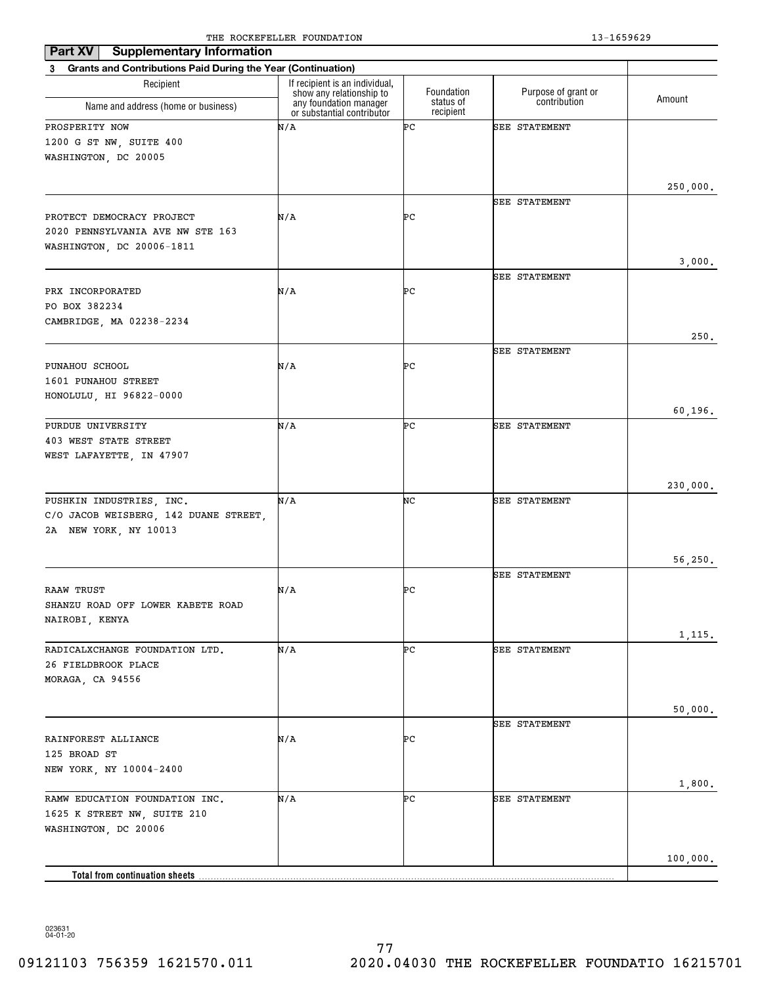| <b>Supplementary Information</b><br>Part XV                                                |                                                                                      |                         |                                     |          |
|--------------------------------------------------------------------------------------------|--------------------------------------------------------------------------------------|-------------------------|-------------------------------------|----------|
| 3 Grants and Contributions Paid During the Year (Continuation)                             |                                                                                      |                         |                                     |          |
| Recipient                                                                                  | If recipient is an individual,<br>show any relationship to<br>any foundation manager | Foundation<br>status of | Purpose of grant or<br>contribution | Amount   |
| Name and address (home or business)                                                        | or substantial contributor                                                           | recipient               |                                     |          |
| PROSPERITY NOW<br>1200 G ST NW, SUITE 400<br>WASHINGTON, DC 20005                          | N/A                                                                                  | ÞС                      | SEE STATEMENT                       |          |
|                                                                                            |                                                                                      |                         |                                     | 250,000. |
|                                                                                            |                                                                                      |                         | SEE STATEMENT                       |          |
| PROTECT DEMOCRACY PROJECT<br>2020 PENNSYLVANIA AVE NW STE 163<br>WASHINGTON, DC 20006-1811 | N/A                                                                                  | ÞС                      |                                     |          |
|                                                                                            |                                                                                      |                         |                                     | 3,000.   |
|                                                                                            |                                                                                      |                         | <b>SEE STATEMENT</b>                |          |
| PRX INCORPORATED                                                                           | N/A                                                                                  | ÞС                      |                                     |          |
| PO BOX 382234                                                                              |                                                                                      |                         |                                     |          |
| CAMBRIDGE, MA 02238-2234                                                                   |                                                                                      |                         |                                     | 250.     |
|                                                                                            |                                                                                      |                         | <b>SEE STATEMENT</b>                |          |
| PUNAHOU SCHOOL                                                                             | N/A                                                                                  | ÞС                      |                                     |          |
| 1601 PUNAHOU STREET                                                                        |                                                                                      |                         |                                     |          |
| HONOLULU, HI 96822-0000                                                                    |                                                                                      |                         |                                     |          |
| PURDUE UNIVERSITY                                                                          | N/A                                                                                  | ÞС                      | <b>SEE STATEMENT</b>                | 60,196.  |
| 403 WEST STATE STREET                                                                      |                                                                                      |                         |                                     |          |
| WEST LAFAYETTE, IN 47907                                                                   |                                                                                      |                         |                                     |          |
|                                                                                            |                                                                                      |                         |                                     |          |
|                                                                                            |                                                                                      |                         |                                     | 230,000. |
| PUSHKIN INDUSTRIES, INC.<br>C/O JACOB WEISBERG, 142 DUANE STREET,<br>2A NEW YORK, NY 10013 | N/A                                                                                  | NC                      | <b>SEE STATEMENT</b>                |          |
|                                                                                            |                                                                                      |                         |                                     | 56, 250. |
|                                                                                            |                                                                                      |                         | <b>SEE STATEMENT</b>                |          |
| <b>RAAW TRUST</b>                                                                          | N/A                                                                                  | ÞС                      |                                     |          |
| SHANZU ROAD OFF LOWER KABETE ROAD                                                          |                                                                                      |                         |                                     |          |
| NAIROBI, KENYA                                                                             |                                                                                      |                         |                                     |          |
| RADICALXCHANGE FOUNDATION LTD.                                                             | N/A                                                                                  | ÞС                      | SEE STATEMENT                       | 1,115.   |
| 26 FIELDBROOK PLACE                                                                        |                                                                                      |                         |                                     |          |
| MORAGA, CA 94556                                                                           |                                                                                      |                         |                                     |          |
|                                                                                            |                                                                                      |                         |                                     |          |
|                                                                                            |                                                                                      |                         |                                     | 50,000.  |
| RAINFOREST ALLIANCE                                                                        | N/A                                                                                  | PС                      | <b>SEE STATEMENT</b>                |          |
| 125 BROAD ST                                                                               |                                                                                      |                         |                                     |          |
| NEW YORK, NY 10004-2400                                                                    |                                                                                      |                         |                                     |          |
|                                                                                            |                                                                                      |                         |                                     | 1,800.   |
| RAMW EDUCATION FOUNDATION INC.                                                             | N/A                                                                                  | ÞС                      | <b>SEE STATEMENT</b>                |          |
| 1625 K STREET NW, SUITE 210                                                                |                                                                                      |                         |                                     |          |
| WASHINGTON, DC 20006                                                                       |                                                                                      |                         |                                     |          |
|                                                                                            |                                                                                      |                         |                                     | 100,000. |
| Total from continuation sheets.                                                            |                                                                                      |                         |                                     |          |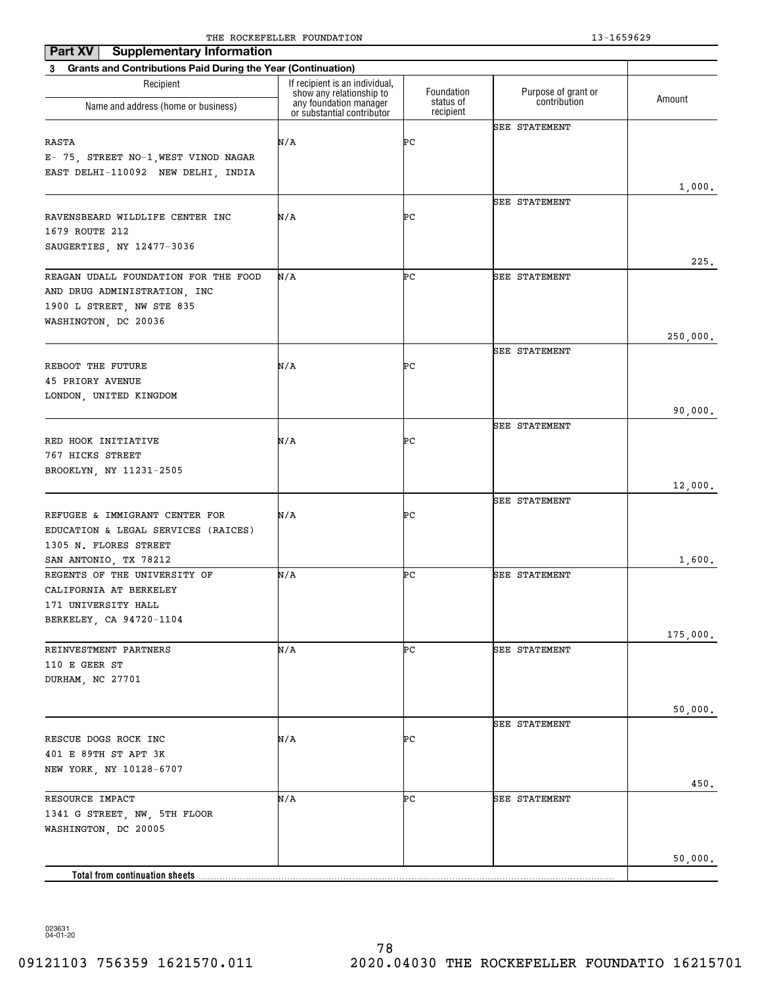| Part XV<br><b>Supplementary Information</b>                                                              |                                                            |                         |                                     |          |
|----------------------------------------------------------------------------------------------------------|------------------------------------------------------------|-------------------------|-------------------------------------|----------|
| 3 Grants and Contributions Paid During the Year (Continuation)                                           |                                                            |                         |                                     |          |
| Recipient                                                                                                | If recipient is an individual,<br>show any relationship to | Foundation<br>status of | Purpose of grant or<br>contribution | Amount   |
| Name and address (home or business)                                                                      | any foundation manager<br>or substantial contributor       | recipient               |                                     |          |
| RASTA<br>E- 75, STREET NO-1, WEST VINOD NAGAR<br>EAST DELHI-110092 NEW DELHI, INDIA                      | N/A                                                        | ÞС                      | <b>SEE STATEMENT</b>                |          |
|                                                                                                          |                                                            |                         |                                     | 1,000.   |
| RAVENSBEARD WILDLIFE CENTER INC<br>1679 ROUTE 212<br>SAUGERTIES, NY 12477-3036                           | N/A                                                        | ÞС                      | <b>SEE STATEMENT</b>                | 225.     |
| REAGAN UDALL FOUNDATION FOR THE FOOD                                                                     | N/A                                                        | ÞС                      | <b>SEE STATEMENT</b>                |          |
| AND DRUG ADMINISTRATION, INC<br>1900 L STREET, NW STE 835<br>WASHINGTON, DC 20036                        |                                                            |                         |                                     |          |
|                                                                                                          |                                                            |                         | <b>SEE STATEMENT</b>                | 250,000. |
| REBOOT THE FUTURE<br><b>45 PRIORY AVENUE</b><br>LONDON, UNITED KINGDOM                                   | N/A                                                        | PС                      |                                     |          |
|                                                                                                          |                                                            |                         |                                     | 90,000.  |
| RED HOOK INITIATIVE<br>767 HICKS STREET<br>BROOKLYN, NY 11231-2505                                       | N/A                                                        | PС                      | <b>SEE STATEMENT</b>                |          |
|                                                                                                          |                                                            |                         |                                     | 12,000.  |
| REFUGEE & IMMIGRANT CENTER FOR<br>EDUCATION & LEGAL SERVICES (RAICES)<br>1305 N. FLORES STREET           | N/A                                                        | PС                      | <b>SEE STATEMENT</b>                |          |
| SAN ANTONIO, TX 78212                                                                                    |                                                            |                         |                                     | 1,600.   |
| REGENTS OF THE UNIVERSITY OF<br>CALIFORNIA AT BERKELEY<br>171 UNIVERSITY HALL<br>BERKELEY, CA 94720-1104 | N/A                                                        | ÞС                      | <b>SEE STATEMENT</b>                |          |
| REINVESTMENT PARTNERS                                                                                    | N/A                                                        | ÞС                      | SEE STATEMENT                       | 175,000. |
| 110 E GEER ST<br>DURHAM, NC 27701                                                                        |                                                            |                         |                                     |          |
|                                                                                                          |                                                            |                         |                                     | 50,000.  |
| RESCUE DOGS ROCK INC<br>401 E 89TH ST APT 3K<br>NEW YORK, NY 10128-6707                                  | N/A                                                        | PС                      | SEE STATEMENT                       |          |
|                                                                                                          |                                                            |                         |                                     | 450.     |
| RESOURCE IMPACT<br>1341 G STREET, NW, 5TH FLOOR<br>WASHINGTON, DC 20005                                  | N/A                                                        | PС                      | <b>SEE STATEMENT</b>                |          |
|                                                                                                          |                                                            |                         |                                     | 50,000.  |
| Total from continuation sheets                                                                           |                                                            |                         |                                     |          |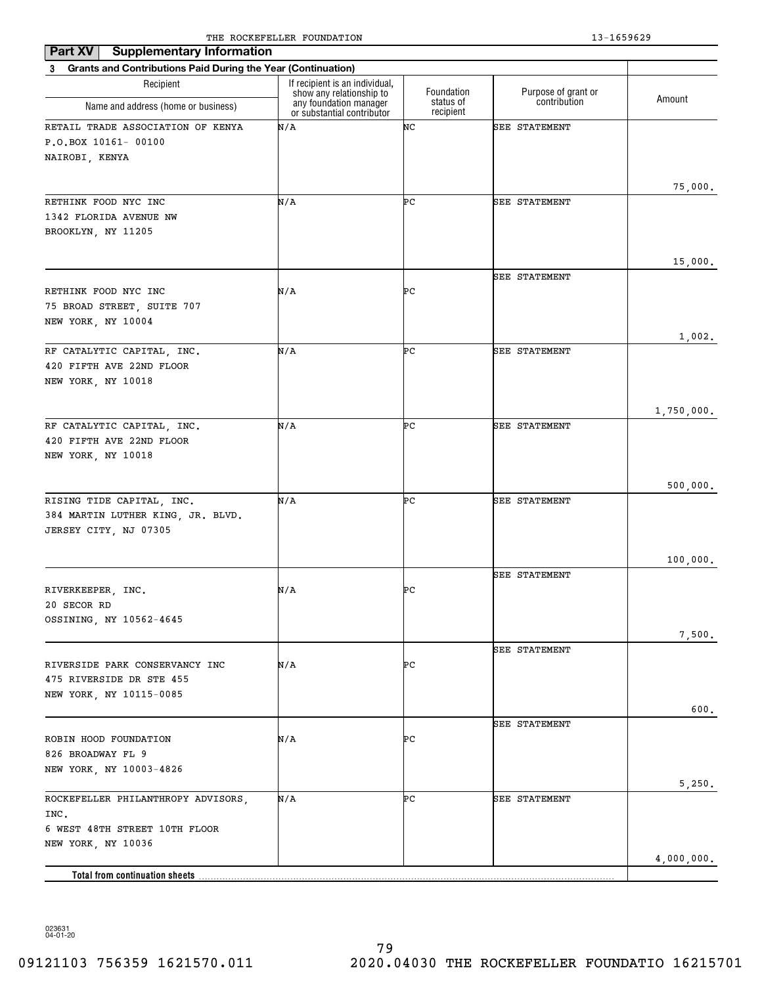| <b>Supplementary Information</b><br>Part XV                    |                                                                                      |                         |                                     |            |
|----------------------------------------------------------------|--------------------------------------------------------------------------------------|-------------------------|-------------------------------------|------------|
| 3 Grants and Contributions Paid During the Year (Continuation) |                                                                                      |                         |                                     |            |
| Recipient                                                      | If recipient is an individual,<br>show any relationship to<br>any foundation manager | Foundation<br>status of | Purpose of grant or<br>contribution | Amount     |
| Name and address (home or business)                            | or substantial contributor                                                           | recipient               |                                     |            |
| RETAIL TRADE ASSOCIATION OF KENYA                              | N/A                                                                                  | NC                      | <b>SEE STATEMENT</b>                |            |
| P.O.BOX 10161- 00100                                           |                                                                                      |                         |                                     |            |
| NAIROBI, KENYA                                                 |                                                                                      |                         |                                     |            |
|                                                                |                                                                                      |                         |                                     |            |
| RETHINK FOOD NYC INC                                           | N/A                                                                                  | ÞС                      | <b>SEE STATEMENT</b>                | 75,000.    |
| 1342 FLORIDA AVENUE NW                                         |                                                                                      |                         |                                     |            |
| BROOKLYN, NY 11205                                             |                                                                                      |                         |                                     |            |
|                                                                |                                                                                      |                         |                                     |            |
|                                                                |                                                                                      |                         |                                     | 15,000.    |
|                                                                |                                                                                      |                         | SEE STATEMENT                       |            |
| RETHINK FOOD NYC INC                                           | N/A                                                                                  | ÞС                      |                                     |            |
| 75 BROAD STREET, SUITE 707                                     |                                                                                      |                         |                                     |            |
| NEW YORK, NY 10004                                             |                                                                                      |                         |                                     | 1,002.     |
| RF CATALYTIC CAPITAL, INC.                                     | N/A                                                                                  | ÞС                      | SEE STATEMENT                       |            |
| 420 FIFTH AVE 22ND FLOOR                                       |                                                                                      |                         |                                     |            |
| NEW YORK, NY 10018                                             |                                                                                      |                         |                                     |            |
|                                                                |                                                                                      |                         |                                     |            |
|                                                                |                                                                                      |                         |                                     | 1,750,000. |
| RF CATALYTIC CAPITAL, INC.                                     | N/A                                                                                  | ÞС                      | SEE STATEMENT                       |            |
| 420 FIFTH AVE 22ND FLOOR                                       |                                                                                      |                         |                                     |            |
| NEW YORK, NY 10018                                             |                                                                                      |                         |                                     |            |
|                                                                |                                                                                      |                         |                                     | 500,000.   |
| RISING TIDE CAPITAL, INC.                                      | N/A                                                                                  | ÞС                      | <b>SEE STATEMENT</b>                |            |
| 384 MARTIN LUTHER KING, JR. BLVD.                              |                                                                                      |                         |                                     |            |
| JERSEY CITY, NJ 07305                                          |                                                                                      |                         |                                     |            |
|                                                                |                                                                                      |                         |                                     |            |
|                                                                |                                                                                      |                         |                                     | 100,000.   |
|                                                                |                                                                                      |                         | <b>SEE STATEMENT</b>                |            |
| RIVERKEEPER, INC.                                              | N/A                                                                                  | ÞС                      |                                     |            |
| 20 SECOR RD                                                    |                                                                                      |                         |                                     |            |
| OSSINING, NY 10562-4645                                        |                                                                                      |                         |                                     | 7,500.     |
|                                                                |                                                                                      |                         | <b>SEE STATEMENT</b>                |            |
| RIVERSIDE PARK CONSERVANCY INC                                 | N/A                                                                                  | ÞС                      |                                     |            |
| 475 RIVERSIDE DR STE 455                                       |                                                                                      |                         |                                     |            |
| NEW YORK, NY 10115-0085                                        |                                                                                      |                         |                                     |            |
|                                                                |                                                                                      |                         |                                     | 600.       |
|                                                                |                                                                                      |                         | <b>SEE STATEMENT</b>                |            |
| ROBIN HOOD FOUNDATION                                          | N/A                                                                                  | ÞС                      |                                     |            |
| 826 BROADWAY FL 9                                              |                                                                                      |                         |                                     |            |
| NEW YORK, NY 10003-4826                                        |                                                                                      |                         |                                     | 5,250.     |
| ROCKEFELLER PHILANTHROPY ADVISORS,                             | N/A                                                                                  | ÞС                      | <b>SEE STATEMENT</b>                |            |
| INC.                                                           |                                                                                      |                         |                                     |            |
| 6 WEST 48TH STREET 10TH FLOOR                                  |                                                                                      |                         |                                     |            |
| NEW YORK, NY 10036                                             |                                                                                      |                         |                                     |            |
|                                                                |                                                                                      |                         |                                     | 4,000,000. |
| Total from continuation sheets                                 |                                                                                      |                         |                                     |            |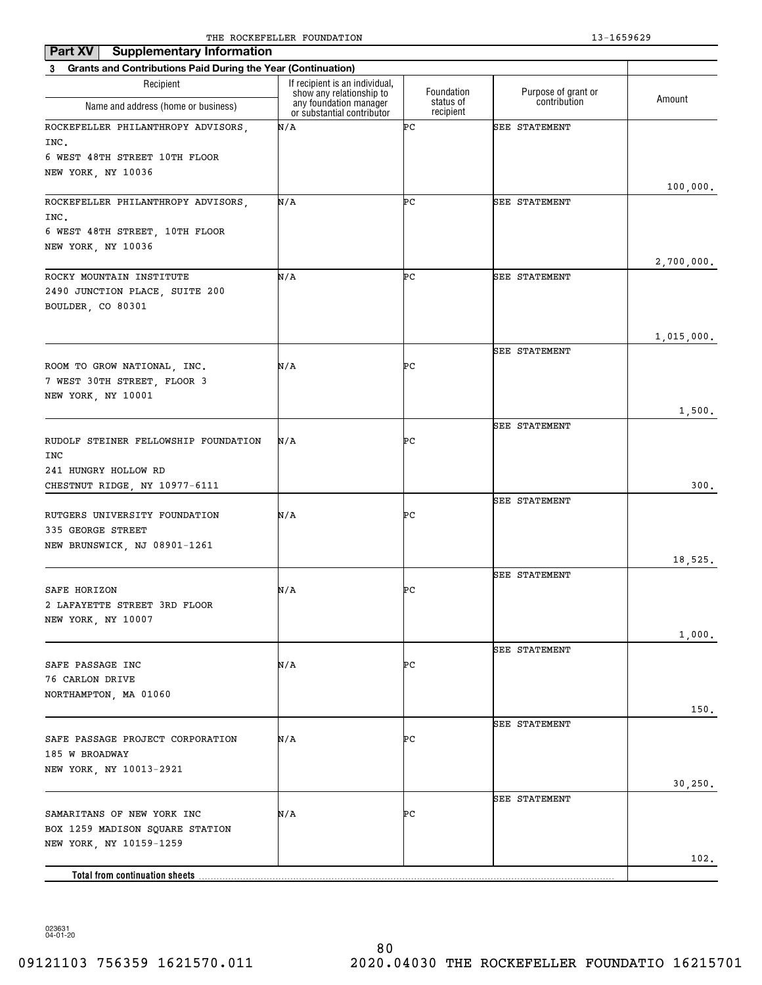| Part XV<br><b>Supplementary Information</b>                    |                                                            |                        |                      |            |
|----------------------------------------------------------------|------------------------------------------------------------|------------------------|----------------------|------------|
| 3 Grants and Contributions Paid During the Year (Continuation) |                                                            |                        |                      |            |
| Recipient                                                      | If recipient is an individual,<br>show any relationship to | Foundation             | Purpose of grant or  |            |
| Name and address (home or business)                            | any foundation manager<br>or substantial contributor       | status of<br>recipient | contribution         | Amount     |
| ROCKEFELLER PHILANTHROPY ADVISORS,                             | N/A                                                        | ÞС                     | <b>SEE STATEMENT</b> |            |
| INC.<br>6 WEST 48TH STREET 10TH FLOOR                          |                                                            |                        |                      |            |
| NEW YORK, NY 10036                                             |                                                            |                        |                      |            |
|                                                                |                                                            |                        |                      | 100,000.   |
| ROCKEFELLER PHILANTHROPY ADVISORS,                             | N/A                                                        | ÞС                     | <b>SEE STATEMENT</b> |            |
| INC.                                                           |                                                            |                        |                      |            |
| 6 WEST 48TH STREET, 10TH FLOOR                                 |                                                            |                        |                      |            |
| NEW YORK, NY 10036                                             |                                                            |                        |                      |            |
| ROCKY MOUNTAIN INSTITUTE                                       | N/A                                                        | ÞС                     | <b>SEE STATEMENT</b> | 2,700,000. |
| 2490 JUNCTION PLACE, SUITE 200                                 |                                                            |                        |                      |            |
| BOULDER, CO 80301                                              |                                                            |                        |                      |            |
|                                                                |                                                            |                        |                      |            |
|                                                                |                                                            |                        |                      | 1,015,000. |
|                                                                |                                                            |                        | <b>SEE STATEMENT</b> |            |
| ROOM TO GROW NATIONAL, INC.<br>7 WEST 30TH STREET, FLOOR 3     | N/A                                                        | ÞС                     |                      |            |
| NEW YORK, NY 10001                                             |                                                            |                        |                      |            |
|                                                                |                                                            |                        |                      | 1,500.     |
|                                                                |                                                            |                        | <b>SEE STATEMENT</b> |            |
| RUDOLF STEINER FELLOWSHIP FOUNDATION                           | N/A                                                        | ÞС                     |                      |            |
| INC                                                            |                                                            |                        |                      |            |
| 241 HUNGRY HOLLOW RD                                           |                                                            |                        |                      |            |
| CHESTNUT RIDGE, NY 10977-6111                                  |                                                            |                        | <b>SEE STATEMENT</b> | 300.       |
| RUTGERS UNIVERSITY FOUNDATION                                  | N/A                                                        | ÞС                     |                      |            |
| 335 GEORGE STREET                                              |                                                            |                        |                      |            |
| NEW BRUNSWICK, NJ 08901-1261                                   |                                                            |                        |                      |            |
|                                                                |                                                            |                        |                      | 18,525.    |
|                                                                |                                                            |                        | <b>SEE STATEMENT</b> |            |
| SAFE HORIZON<br>2 LAFAYETTE STREET 3RD FLOOR                   | N/A                                                        | ÞС                     |                      |            |
| NEW YORK, NY 10007                                             |                                                            |                        |                      |            |
|                                                                |                                                            |                        |                      | 1,000.     |
|                                                                |                                                            |                        | SEE STATEMENT        |            |
| SAFE PASSAGE INC                                               | N/A                                                        | ÞС                     |                      |            |
| 76 CARLON DRIVE                                                |                                                            |                        |                      |            |
| NORTHAMPTON, MA 01060                                          |                                                            |                        |                      |            |
|                                                                |                                                            |                        | <b>SEE STATEMENT</b> | 150.       |
| SAFE PASSAGE PROJECT CORPORATION                               | N/A                                                        | ÞС                     |                      |            |
| 185 W BROADWAY                                                 |                                                            |                        |                      |            |
| NEW YORK, NY 10013-2921                                        |                                                            |                        |                      |            |
|                                                                |                                                            |                        |                      | 30, 250.   |
|                                                                |                                                            |                        | <b>SEE STATEMENT</b> |            |
| SAMARITANS OF NEW YORK INC<br>BOX 1259 MADISON SQUARE STATION  | N/A                                                        | ÞС                     |                      |            |
| NEW YORK, NY 10159-1259                                        |                                                            |                        |                      |            |
|                                                                |                                                            |                        |                      | 102.       |
|                                                                |                                                            |                        |                      |            |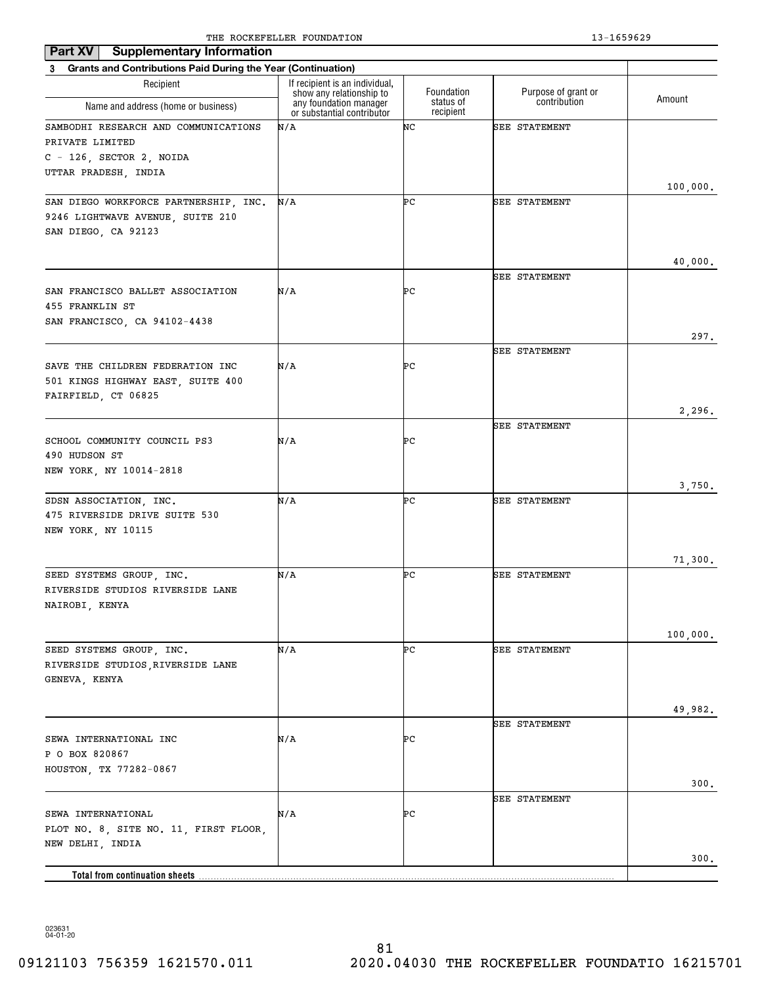| <b>Supplementary Information</b><br>Part XV                    |                                                                                      |                         |                                     |          |
|----------------------------------------------------------------|--------------------------------------------------------------------------------------|-------------------------|-------------------------------------|----------|
| 3 Grants and Contributions Paid During the Year (Continuation) |                                                                                      |                         |                                     |          |
| Recipient<br>Name and address (home or business)               | If recipient is an individual,<br>show any relationship to<br>any foundation manager | Foundation<br>status of | Purpose of grant or<br>contribution | Amount   |
|                                                                | or substantial contributor                                                           | recipient               |                                     |          |
| SAMBODHI RESEARCH AND COMMUNICATIONS<br>PRIVATE LIMITED        | N/A                                                                                  | NC                      | SEE STATEMENT                       |          |
| $C - 126$ , SECTOR 2, NOIDA                                    |                                                                                      |                         |                                     |          |
| UTTAR PRADESH, INDIA                                           |                                                                                      |                         |                                     | 100,000. |
| SAN DIEGO WORKFORCE PARTNERSHIP, INC.                          | N/A                                                                                  | ÞС                      | <b>SEE STATEMENT</b>                |          |
| 9246 LIGHTWAVE AVENUE, SUITE 210                               |                                                                                      |                         |                                     |          |
| SAN DIEGO, CA 92123                                            |                                                                                      |                         |                                     |          |
|                                                                |                                                                                      |                         |                                     |          |
|                                                                |                                                                                      |                         | SEE STATEMENT                       | 40,000.  |
| SAN FRANCISCO BALLET ASSOCIATION                               | N/A                                                                                  | ÞС                      |                                     |          |
| 455 FRANKLIN ST                                                |                                                                                      |                         |                                     |          |
| SAN FRANCISCO, CA 94102-4438                                   |                                                                                      |                         |                                     |          |
|                                                                |                                                                                      |                         |                                     | 297.     |
| SAVE THE CHILDREN FEDERATION INC                               | N/A                                                                                  | ÞС                      | <b>SEE STATEMENT</b>                |          |
| 501 KINGS HIGHWAY EAST, SUITE 400                              |                                                                                      |                         |                                     |          |
| FAIRFIELD, CT 06825                                            |                                                                                      |                         |                                     |          |
|                                                                |                                                                                      |                         |                                     | 2,296.   |
|                                                                |                                                                                      |                         | <b>SEE STATEMENT</b>                |          |
| SCHOOL COMMUNITY COUNCIL PS3<br>490 HUDSON ST                  | N/A                                                                                  | ÞС                      |                                     |          |
| NEW YORK, NY 10014-2818                                        |                                                                                      |                         |                                     |          |
|                                                                |                                                                                      |                         |                                     | 3,750.   |
| SDSN ASSOCIATION, INC.                                         | N/A                                                                                  | ÞС                      | <b>SEE STATEMENT</b>                |          |
| 475 RIVERSIDE DRIVE SUITE 530                                  |                                                                                      |                         |                                     |          |
| NEW YORK, NY 10115                                             |                                                                                      |                         |                                     |          |
|                                                                |                                                                                      |                         |                                     | 71,300.  |
| SEED SYSTEMS GROUP, INC.                                       | N/A                                                                                  | ÞС                      | <b>SEE STATEMENT</b>                |          |
| RIVERSIDE STUDIOS RIVERSIDE LANE                               |                                                                                      |                         |                                     |          |
| NAIROBI, KENYA                                                 |                                                                                      |                         |                                     |          |
|                                                                |                                                                                      |                         |                                     | 100,000. |
| SEED SYSTEMS GROUP, INC.                                       | N/A                                                                                  | ÞС                      | <b>SEE STATEMENT</b>                |          |
| RIVERSIDE STUDIOS, RIVERSIDE LANE                              |                                                                                      |                         |                                     |          |
| GENEVA, KENYA                                                  |                                                                                      |                         |                                     |          |
|                                                                |                                                                                      |                         |                                     |          |
|                                                                |                                                                                      |                         | <b>SEE STATEMENT</b>                | 49,982.  |
| SEWA INTERNATIONAL INC                                         | N/A                                                                                  | ÞС                      |                                     |          |
| P O BOX 820867                                                 |                                                                                      |                         |                                     |          |
| HOUSTON, TX 77282-0867                                         |                                                                                      |                         |                                     |          |
|                                                                |                                                                                      |                         |                                     | 300.     |
| SEWA INTERNATIONAL                                             | N/A                                                                                  | ÞС                      | <b>SEE STATEMENT</b>                |          |
| PLOT NO. 8, SITE NO. 11, FIRST FLOOR,                          |                                                                                      |                         |                                     |          |
| NEW DELHI, INDIA                                               |                                                                                      |                         |                                     |          |
|                                                                |                                                                                      |                         |                                     | 300.     |
|                                                                |                                                                                      |                         |                                     |          |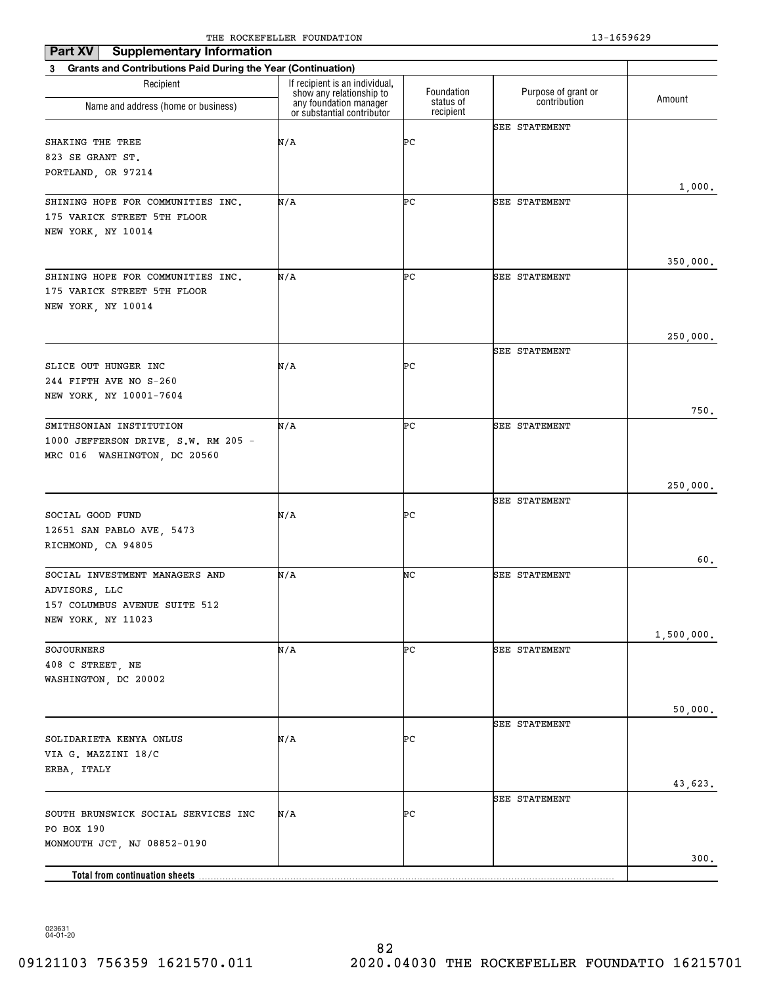| Part XV<br><b>Supplementary Information</b>                    | The Rocker needs roombillion                               |                        | 19 10990 <i>49</i>   |            |
|----------------------------------------------------------------|------------------------------------------------------------|------------------------|----------------------|------------|
| 3 Grants and Contributions Paid During the Year (Continuation) |                                                            |                        |                      |            |
| Recipient                                                      | If recipient is an individual,<br>show any relationship to | Foundation             | Purpose of grant or  | Amount     |
| Name and address (home or business)                            | any foundation manager<br>or substantial contributor       | status of<br>recipient | contribution         |            |
|                                                                |                                                            |                        | <b>SEE STATEMENT</b> |            |
| SHAKING THE TREE                                               | N/A                                                        | ÞС                     |                      |            |
| 823 SE GRANT ST.<br>PORTLAND, OR 97214                         |                                                            |                        |                      |            |
|                                                                |                                                            |                        |                      | 1,000.     |
| SHINING HOPE FOR COMMUNITIES INC.                              | N/A                                                        | ÞС                     | <b>SEE STATEMENT</b> |            |
| 175 VARICK STREET 5TH FLOOR                                    |                                                            |                        |                      |            |
| NEW YORK, NY 10014                                             |                                                            |                        |                      |            |
|                                                                |                                                            |                        |                      |            |
| SHINING HOPE FOR COMMUNITIES INC.                              | N/A                                                        | ÞС                     | <b>SEE STATEMENT</b> | 350,000.   |
| 175 VARICK STREET 5TH FLOOR                                    |                                                            |                        |                      |            |
| NEW YORK, NY 10014                                             |                                                            |                        |                      |            |
|                                                                |                                                            |                        |                      |            |
|                                                                |                                                            |                        | <b>SEE STATEMENT</b> | 250,000.   |
| SLICE OUT HUNGER INC                                           | N/A                                                        | PС                     |                      |            |
| 244 FIFTH AVE NO S-260                                         |                                                            |                        |                      |            |
| NEW YORK, NY 10001-7604                                        |                                                            |                        |                      |            |
|                                                                |                                                            |                        |                      | 750.       |
| SMITHSONIAN INSTITUTION                                        | N/A                                                        | ÞС                     | <b>SEE STATEMENT</b> |            |
| 1000 JEFFERSON DRIVE, S.W. RM 205 -                            |                                                            |                        |                      |            |
| MRC 016 WASHINGTON, DC 20560                                   |                                                            |                        |                      |            |
|                                                                |                                                            |                        |                      | 250,000.   |
|                                                                |                                                            |                        | <b>SEE STATEMENT</b> |            |
| SOCIAL GOOD FUND                                               | N/A                                                        | PС                     |                      |            |
| 12651 SAN PABLO AVE, 5473                                      |                                                            |                        |                      |            |
| RICHMOND, CA 94805                                             |                                                            |                        |                      |            |
|                                                                |                                                            |                        |                      | 60.        |
| SOCIAL INVESTMENT MANAGERS AND<br>ADVISORS, LLC                | N/A                                                        | NC                     | <b>SEE STATEMENT</b> |            |
| 157 COLUMBUS AVENUE SUITE 512                                  |                                                            |                        |                      |            |
| NEW YORK, NY 11023                                             |                                                            |                        |                      |            |
|                                                                |                                                            |                        |                      | 1,500,000. |
| SOJOURNERS                                                     | N/A                                                        | ÞС                     | SEE STATEMENT        |            |
| 408 C STREET, NE                                               |                                                            |                        |                      |            |
| WASHINGTON, DC 20002                                           |                                                            |                        |                      |            |
|                                                                |                                                            |                        |                      |            |
|                                                                |                                                            |                        | <b>SEE STATEMENT</b> | 50,000.    |
| SOLIDARIETA KENYA ONLUS                                        | N/A                                                        | PС                     |                      |            |
| VIA G. MAZZINI 18/C                                            |                                                            |                        |                      |            |
| ERBA, ITALY                                                    |                                                            |                        |                      |            |
|                                                                |                                                            |                        |                      | 43,623.    |
|                                                                |                                                            |                        | <b>SEE STATEMENT</b> |            |
| SOUTH BRUNSWICK SOCIAL SERVICES INC                            | N/A                                                        | PС                     |                      |            |
| PO BOX 190<br>MONMOUTH JCT, NJ 08852-0190                      |                                                            |                        |                      |            |
|                                                                |                                                            |                        |                      | 300.       |
| Total from continuation sheets                                 |                                                            |                        |                      |            |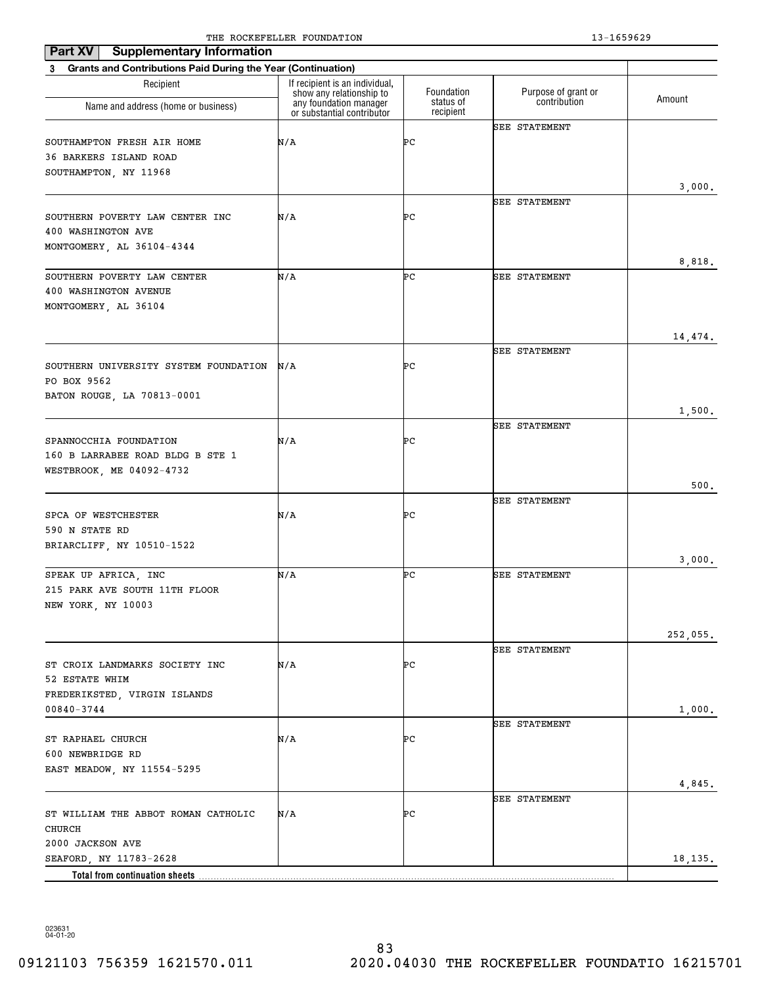| <b>Supplementary Information</b><br>Part XV                                            |                                                                                      |                         |                                     |          |
|----------------------------------------------------------------------------------------|--------------------------------------------------------------------------------------|-------------------------|-------------------------------------|----------|
| 3 Grants and Contributions Paid During the Year (Continuation)                         |                                                                                      |                         |                                     |          |
| Recipient<br>Name and address (home or business)                                       | If recipient is an individual,<br>show any relationship to<br>any foundation manager | Foundation<br>status of | Purpose of grant or<br>contribution | Amount   |
|                                                                                        | or substantial contributor                                                           | recipient               |                                     |          |
| SOUTHAMPTON FRESH AIR HOME<br>36 BARKERS ISLAND ROAD<br>SOUTHAMPTON, NY 11968          | N/A                                                                                  | ÞС                      | <b>SEE STATEMENT</b>                |          |
|                                                                                        |                                                                                      |                         |                                     | 3,000.   |
| SOUTHERN POVERTY LAW CENTER INC<br>400 WASHINGTON AVE<br>MONTGOMERY, AL 36104-4344     | N/A                                                                                  | ÞС                      | SEE STATEMENT                       |          |
|                                                                                        |                                                                                      |                         |                                     | 8,818.   |
| SOUTHERN POVERTY LAW CENTER<br>400 WASHINGTON AVENUE<br>MONTGOMERY, AL 36104           | N/A                                                                                  | ÞС                      | <b>SEE STATEMENT</b>                |          |
|                                                                                        |                                                                                      |                         |                                     | 14,474.  |
| SOUTHERN UNIVERSITY SYSTEM FOUNDATION<br>PO BOX 9562                                   | N/A                                                                                  | ÞС                      | SEE STATEMENT                       |          |
| BATON ROUGE, LA 70813-0001                                                             |                                                                                      |                         |                                     |          |
|                                                                                        |                                                                                      |                         | <b>SEE STATEMENT</b>                | 1,500.   |
| SPANNOCCHIA FOUNDATION<br>160 B LARRABEE ROAD BLDG B STE 1<br>WESTBROOK, ME 04092-4732 | N/A                                                                                  | ÞС                      |                                     |          |
|                                                                                        |                                                                                      |                         |                                     | 500.     |
| SPCA OF WESTCHESTER<br>590 N STATE RD                                                  | N/A                                                                                  | ÞС                      | <b>SEE STATEMENT</b>                |          |
| BRIARCLIFF, NY 10510-1522                                                              |                                                                                      |                         |                                     | 3,000.   |
| SPEAK UP AFRICA, INC<br>215 PARK AVE SOUTH 11TH FLOOR<br>NEW YORK, NY 10003            | N/A                                                                                  | ÞС                      | <b>SEE STATEMENT</b>                |          |
|                                                                                        |                                                                                      |                         |                                     | 252,055. |
| ST CROIX LANDMARKS SOCIETY INC<br>52 ESTATE WHIM                                       | N/A                                                                                  | ÞС                      | <b>SEE STATEMENT</b>                |          |
| FREDERIKSTED, VIRGIN ISLANDS<br>$00840 - 3744$                                         |                                                                                      |                         |                                     | 1,000.   |
| ST RAPHAEL CHURCH<br>600 NEWBRIDGE RD                                                  | N/A                                                                                  | ÞС                      | <b>SEE STATEMENT</b>                |          |
| EAST MEADOW, NY 11554-5295                                                             |                                                                                      |                         |                                     | 4,845.   |
| ST WILLIAM THE ABBOT ROMAN CATHOLIC                                                    | N/A                                                                                  | ÞС                      | <b>SEE STATEMENT</b>                |          |
| CHURCH                                                                                 |                                                                                      |                         |                                     |          |
| 2000 JACKSON AVE<br>SEAFORD, NY 11783-2628<br><b>Total from continuation sheets</b>    |                                                                                      |                         |                                     | 18,135.  |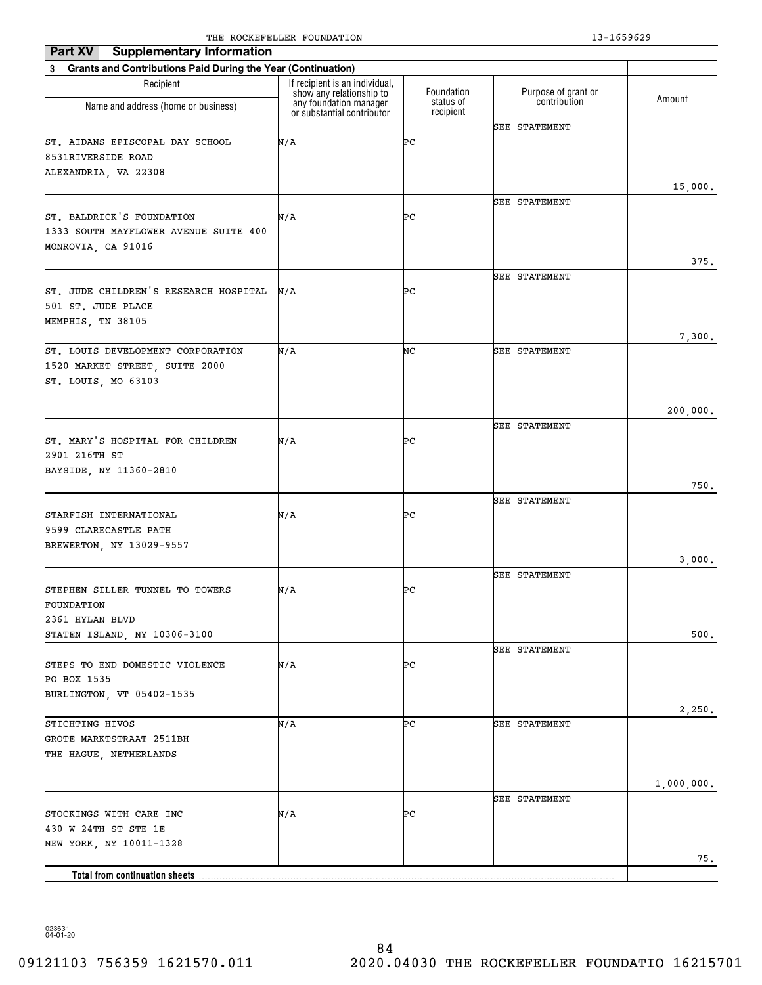| Part XV<br><b>Supplementary Information</b>                                                |                                                                                      |                         |                                     |            |
|--------------------------------------------------------------------------------------------|--------------------------------------------------------------------------------------|-------------------------|-------------------------------------|------------|
| <b>Grants and Contributions Paid During the Year (Continuation)</b><br>3                   |                                                                                      |                         |                                     |            |
| Recipient                                                                                  | If recipient is an individual,<br>show any relationship to<br>any foundation manager | Foundation<br>status of | Purpose of grant or<br>contribution | Amount     |
| Name and address (home or business)                                                        | or substantial contributor                                                           | recipient               |                                     |            |
| ST. AIDANS EPISCOPAL DAY SCHOOL<br>8531RIVERSIDE ROAD<br>ALEXANDRIA, VA 22308              | N/A                                                                                  | ÞС                      | <b>SEE STATEMENT</b>                | 15,000.    |
| ST. BALDRICK'S FOUNDATION<br>1333 SOUTH MAYFLOWER AVENUE SUITE 400<br>MONROVIA, CA 91016   | N/A                                                                                  | ÞС                      | SEE STATEMENT                       |            |
|                                                                                            |                                                                                      |                         |                                     | 375.       |
| ST. JUDE CHILDREN'S RESEARCH HOSPITAL<br>501 ST. JUDE PLACE<br>MEMPHIS, TN 38105           | N/A                                                                                  | ÞС                      | <b>SEE STATEMENT</b>                |            |
|                                                                                            |                                                                                      |                         |                                     | 7,300.     |
| ST. LOUIS DEVELOPMENT CORPORATION<br>1520 MARKET STREET, SUITE 2000<br>ST. LOUIS, MO 63103 | N/A                                                                                  | NC                      | SEE STATEMENT                       |            |
|                                                                                            |                                                                                      |                         |                                     |            |
|                                                                                            |                                                                                      |                         | <b>SEE STATEMENT</b>                | 200,000.   |
| ST. MARY'S HOSPITAL FOR CHILDREN<br>2901 216TH ST<br>BAYSIDE, NY 11360-2810                | N/A                                                                                  | ÞС                      |                                     |            |
|                                                                                            |                                                                                      |                         |                                     | 750.       |
| STARFISH INTERNATIONAL<br>9599 CLARECASTLE PATH                                            | N/A                                                                                  | ÞС                      | <b>SEE STATEMENT</b>                |            |
| BREWERTON, NY 13029-9557                                                                   |                                                                                      |                         |                                     | 3,000.     |
| STEPHEN SILLER TUNNEL TO TOWERS<br>FOUNDATION                                              | N/A                                                                                  | ÞС                      | <b>SEE STATEMENT</b>                |            |
| 2361 HYLAN BLVD                                                                            |                                                                                      |                         |                                     |            |
| STATEN ISLAND, NY 10306-3100                                                               |                                                                                      |                         |                                     | 500.       |
| STEPS TO END DOMESTIC VIOLENCE<br>PO BOX 1535<br>BURLINGTON, VT 05402-1535                 | N/A                                                                                  | ÞС                      | <b>SEE STATEMENT</b>                |            |
|                                                                                            |                                                                                      |                         |                                     | 2,250.     |
| STICHTING HIVOS<br>GROTE MARKTSTRAAT 2511BH<br>THE HAGUE, NETHERLANDS                      | N/A                                                                                  | ÞС                      | <b>SEE STATEMENT</b>                |            |
|                                                                                            |                                                                                      |                         |                                     | 1,000,000. |
| STOCKINGS WITH CARE INC<br>430 W 24TH ST STE 1E<br>NEW YORK, NY 10011-1328                 | N/A                                                                                  | ÞС                      | <b>SEE STATEMENT</b>                |            |
| Total from continuation sheets.                                                            |                                                                                      |                         |                                     | 75.        |
|                                                                                            |                                                                                      |                         |                                     |            |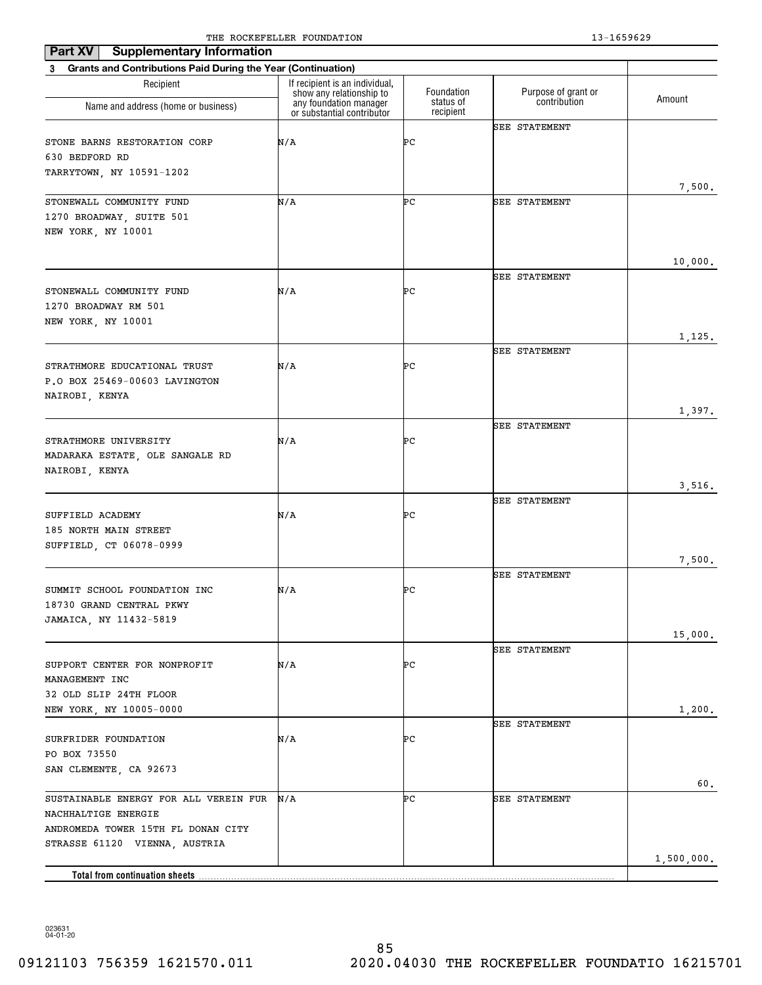| Part XV<br><b>Supplementary Information</b>                                                        |                                                                                      |                         |                                     |            |
|----------------------------------------------------------------------------------------------------|--------------------------------------------------------------------------------------|-------------------------|-------------------------------------|------------|
| <b>Grants and Contributions Paid During the Year (Continuation)</b><br>3                           |                                                                                      |                         |                                     |            |
| Recipient                                                                                          | If recipient is an individual,<br>show any relationship to<br>any foundation manager | Foundation<br>status of | Purpose of grant or<br>contribution | Amount     |
| Name and address (home or business)                                                                | or substantial contributor                                                           | recipient               |                                     |            |
| STONE BARNS RESTORATION CORP<br>630 BEDFORD RD<br>TARRYTOWN, NY 10591-1202                         | N/A                                                                                  | ÞС                      | <b>SEE STATEMENT</b>                |            |
|                                                                                                    |                                                                                      |                         |                                     | 7,500.     |
| STONEWALL COMMUNITY FUND<br>1270 BROADWAY, SUITE 501<br>NEW YORK, NY 10001                         | N/A                                                                                  | ÞС                      | <b>SEE STATEMENT</b>                |            |
|                                                                                                    |                                                                                      |                         | <b>SEE STATEMENT</b>                | 10,000.    |
| STONEWALL COMMUNITY FUND<br>1270 BROADWAY RM 501<br>NEW YORK, NY 10001                             | N/A                                                                                  | ÞС                      |                                     |            |
|                                                                                                    |                                                                                      |                         |                                     | 1,125.     |
| STRATHMORE EDUCATIONAL TRUST<br>P.O BOX 25469-00603 LAVINGTON                                      | N/A                                                                                  | ÞС                      | <b>SEE STATEMENT</b>                |            |
| NAIROBI, KENYA                                                                                     |                                                                                      |                         |                                     | 1,397.     |
| STRATHMORE UNIVERSITY<br>MADARAKA ESTATE, OLE SANGALE RD                                           | N/A                                                                                  | ÞС                      | <b>SEE STATEMENT</b>                |            |
| NAIROBI, KENYA                                                                                     |                                                                                      |                         |                                     | 3,516.     |
| SUFFIELD ACADEMY<br>185 NORTH MAIN STREET<br>SUFFIELD, CT 06078-0999                               | N/A                                                                                  | ÞС                      | <b>SEE STATEMENT</b>                |            |
|                                                                                                    |                                                                                      |                         |                                     | 7,500.     |
| SUMMIT SCHOOL FOUNDATION INC<br>18730 GRAND CENTRAL PKWY<br>JAMAICA, NY 11432-5819                 | N/A                                                                                  | ÞС                      | <b>SEE STATEMENT</b>                |            |
|                                                                                                    |                                                                                      |                         |                                     | 15,000.    |
| SUPPORT CENTER FOR NONPROFIT                                                                       | N/A                                                                                  | ÞС                      | <b>SEE STATEMENT</b>                |            |
| MANAGEMENT INC<br>32 OLD SLIP 24TH FLOOR<br>NEW YORK, NY 10005-0000                                |                                                                                      |                         |                                     | 1,200.     |
| SURFRIDER FOUNDATION<br>PO BOX 73550<br>SAN CLEMENTE, CA 92673                                     | N/A                                                                                  | ÞС                      | SEE STATEMENT                       |            |
| SUSTAINABLE ENERGY FOR ALL VEREIN FUR<br>NACHHALTIGE ENERGIE<br>ANDROMEDA TOWER 15TH FL DONAN CITY | N/A                                                                                  | ÞС                      | <b>SEE STATEMENT</b>                | 60.        |
| STRASSE 61120 VIENNA, AUSTRIA<br>Total from continuation sheets                                    |                                                                                      |                         |                                     | 1,500,000. |
|                                                                                                    |                                                                                      |                         |                                     |            |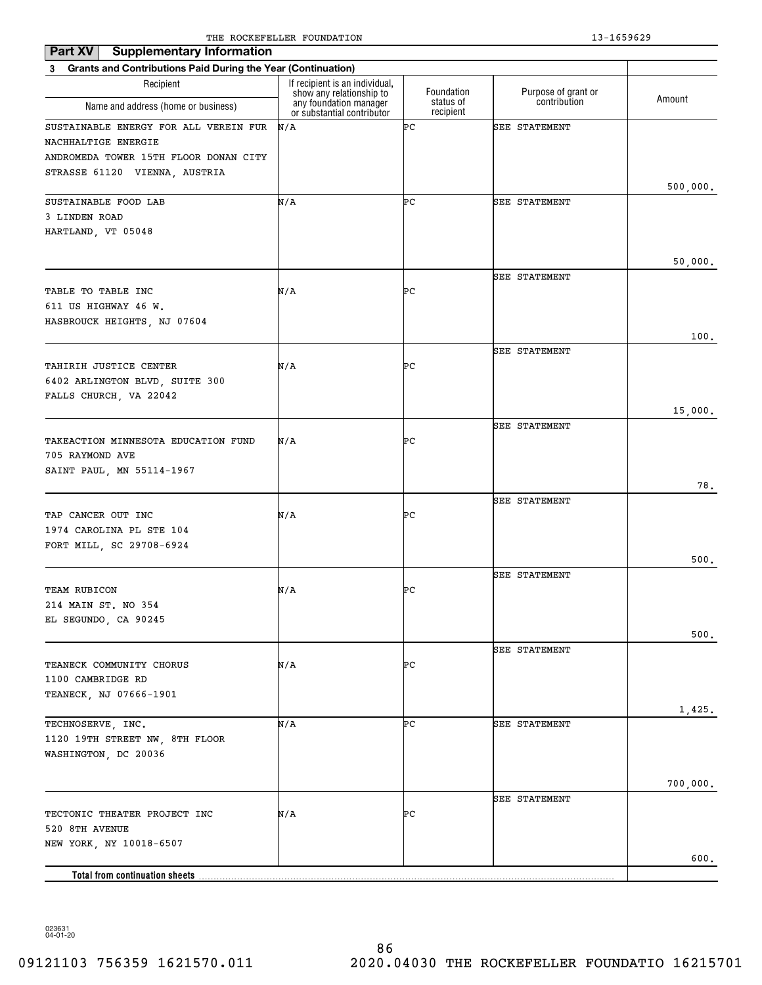| <b>Supplementary Information</b><br>Part XV                    |                                                            |                        |                      |          |
|----------------------------------------------------------------|------------------------------------------------------------|------------------------|----------------------|----------|
| 3 Grants and Contributions Paid During the Year (Continuation) |                                                            |                        |                      |          |
| Recipient                                                      | If recipient is an individual,<br>show any relationship to | Foundation             | Purpose of grant or  | Amount   |
| Name and address (home or business)                            | any foundation manager<br>or substantial contributor       | status of<br>recipient | contribution         |          |
| SUSTAINABLE ENERGY FOR ALL VEREIN FUR                          | N/A                                                        | ÞС                     | <b>SEE STATEMENT</b> |          |
| NACHHALTIGE ENERGIE                                            |                                                            |                        |                      |          |
| ANDROMEDA TOWER 15TH FLOOR DONAN CITY                          |                                                            |                        |                      |          |
| STRASSE 61120 VIENNA, AUSTRIA                                  |                                                            |                        |                      | 500,000. |
| SUSTAINABLE FOOD LAB                                           | N/A                                                        | ÞС                     | <b>SEE STATEMENT</b> |          |
| 3 LINDEN ROAD                                                  |                                                            |                        |                      |          |
| HARTLAND, VT 05048                                             |                                                            |                        |                      |          |
|                                                                |                                                            |                        |                      | 50,000.  |
|                                                                |                                                            |                        | <b>SEE STATEMENT</b> |          |
| TABLE TO TABLE INC                                             | N/A                                                        | ÞС                     |                      |          |
| 611 US HIGHWAY 46 W.                                           |                                                            |                        |                      |          |
| HASBROUCK HEIGHTS, NJ 07604                                    |                                                            |                        |                      |          |
|                                                                |                                                            |                        |                      | 100.     |
| TAHIRIH JUSTICE CENTER                                         | N/A                                                        | ÞС                     | <b>SEE STATEMENT</b> |          |
| 6402 ARLINGTON BLVD, SUITE 300                                 |                                                            |                        |                      |          |
| FALLS CHURCH, VA 22042                                         |                                                            |                        |                      |          |
|                                                                |                                                            |                        |                      | 15,000.  |
|                                                                |                                                            |                        | <b>SEE STATEMENT</b> |          |
| TAKEACTION MINNESOTA EDUCATION FUND                            | N/A                                                        | ÞС                     |                      |          |
| 705 RAYMOND AVE                                                |                                                            |                        |                      |          |
| SAINT PAUL, MN 55114-1967                                      |                                                            |                        |                      | 78.      |
|                                                                |                                                            |                        | <b>SEE STATEMENT</b> |          |
| TAP CANCER OUT INC                                             | N/A                                                        | ÞС                     |                      |          |
| 1974 CAROLINA PL STE 104                                       |                                                            |                        |                      |          |
| FORT MILL, SC 29708-6924                                       |                                                            |                        |                      |          |
|                                                                |                                                            |                        | <b>SEE STATEMENT</b> | 500.     |
| <b>TEAM RUBICON</b>                                            | N/A                                                        | ÞС                     |                      |          |
| 214 MAIN ST. NO 354                                            |                                                            |                        |                      |          |
| EL SEGUNDO, CA 90245                                           |                                                            |                        |                      |          |
|                                                                |                                                            |                        |                      | $500.$   |
|                                                                |                                                            |                        | <b>SEE STATEMENT</b> |          |
| TEANECK COMMUNITY CHORUS                                       | N/A                                                        | ÞС                     |                      |          |
| 1100 CAMBRIDGE RD<br>TEANECK, NJ 07666-1901                    |                                                            |                        |                      |          |
|                                                                |                                                            |                        |                      | 1,425.   |
| TECHNOSERVE, INC.                                              | N/A                                                        | ÞС                     | <b>SEE STATEMENT</b> |          |
| 1120 19TH STREET NW, 8TH FLOOR                                 |                                                            |                        |                      |          |
| WASHINGTON, DC 20036                                           |                                                            |                        |                      |          |
|                                                                |                                                            |                        |                      |          |
|                                                                |                                                            |                        | SEE STATEMENT        | 700,000. |
| TECTONIC THEATER PROJECT INC                                   | N/A                                                        | ÞС                     |                      |          |
| 520 8TH AVENUE                                                 |                                                            |                        |                      |          |
| NEW YORK, NY 10018-6507                                        |                                                            |                        |                      |          |
|                                                                |                                                            |                        |                      | 600.     |
| <b>Total from continuation sheets</b>                          |                                                            |                        |                      |          |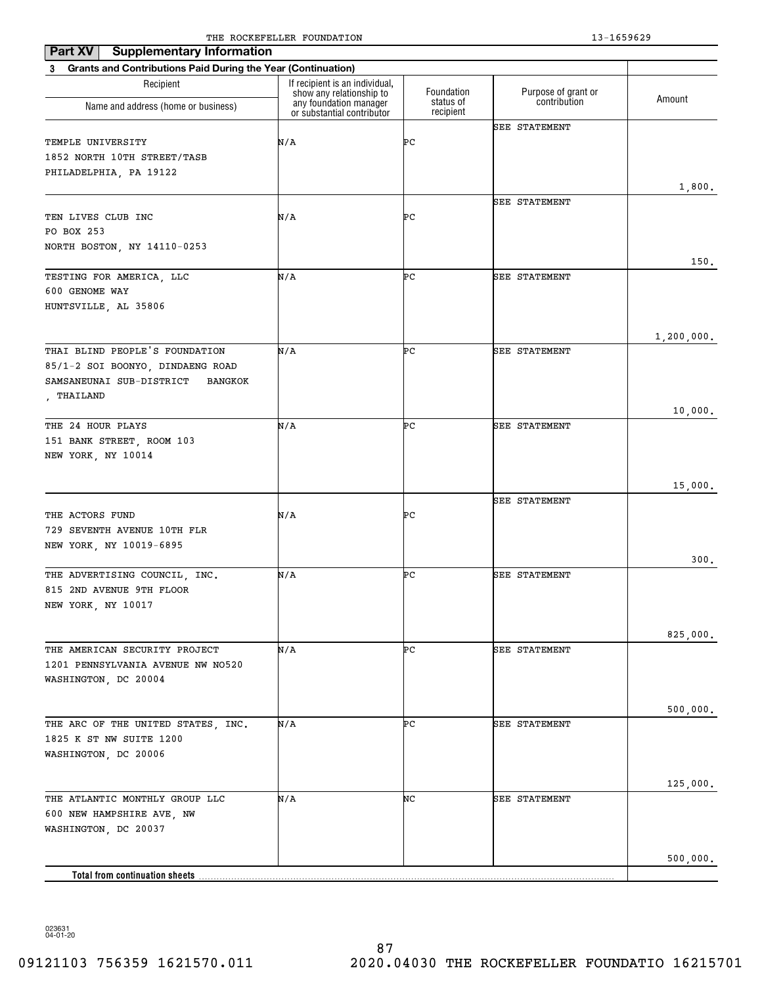| <b>Supplementary Information</b><br>Part XV                              |                                                            |                        |                      |            |
|--------------------------------------------------------------------------|------------------------------------------------------------|------------------------|----------------------|------------|
| <b>Grants and Contributions Paid During the Year (Continuation)</b><br>3 |                                                            |                        |                      |            |
| Recipient                                                                | If recipient is an individual,<br>show any relationship to | Foundation             | Purpose of grant or  | Amount     |
| Name and address (home or business)                                      | any foundation manager<br>or substantial contributor       | status of<br>recipient | contribution         |            |
|                                                                          |                                                            |                        | <b>SEE STATEMENT</b> |            |
| TEMPLE UNIVERSITY                                                        | N/A                                                        | ÞС                     |                      |            |
| 1852 NORTH 10TH STREET/TASB                                              |                                                            |                        |                      |            |
| PHILADELPHIA, PA 19122                                                   |                                                            |                        |                      | 1,800.     |
|                                                                          |                                                            |                        | <b>SEE STATEMENT</b> |            |
| TEN LIVES CLUB INC                                                       | N/A                                                        | ÞС                     |                      |            |
| PO BOX 253                                                               |                                                            |                        |                      |            |
| NORTH BOSTON, NY 14110-0253                                              |                                                            |                        |                      |            |
|                                                                          |                                                            |                        |                      | 150.       |
| TESTING FOR AMERICA, LLC                                                 | N/A                                                        | ÞС                     | <b>SEE STATEMENT</b> |            |
| 600 GENOME WAY                                                           |                                                            |                        |                      |            |
| HUNTSVILLE, AL 35806                                                     |                                                            |                        |                      |            |
|                                                                          |                                                            |                        |                      | 1,200,000. |
| THAI BLIND PEOPLE'S FOUNDATION                                           | N/A                                                        | ÞС                     | <b>SEE STATEMENT</b> |            |
| 85/1-2 SOI BOONYO, DINDAENG ROAD                                         |                                                            |                        |                      |            |
| SAMSANEUNAI SUB-DISTRICT<br>BANGKOK                                      |                                                            |                        |                      |            |
| , THAILAND                                                               |                                                            |                        |                      |            |
|                                                                          |                                                            |                        |                      | 10,000.    |
| THE 24 HOUR PLAYS                                                        | N/A                                                        | ÞС                     | <b>SEE STATEMENT</b> |            |
| 151 BANK STREET, ROOM 103<br>NEW YORK, NY 10014                          |                                                            |                        |                      |            |
|                                                                          |                                                            |                        |                      |            |
|                                                                          |                                                            |                        |                      | 15,000.    |
|                                                                          |                                                            |                        | <b>SEE STATEMENT</b> |            |
| THE ACTORS FUND                                                          | N/A                                                        | ÞС                     |                      |            |
| 729 SEVENTH AVENUE 10TH FLR                                              |                                                            |                        |                      |            |
| NEW YORK, NY 10019-6895                                                  |                                                            |                        |                      |            |
|                                                                          | N/A                                                        | ÞС                     | <b>SEE STATEMENT</b> | 300.       |
| THE ADVERTISING COUNCIL, INC.<br>815 2ND AVENUE 9TH FLOOR                |                                                            |                        |                      |            |
| NEW YORK, NY 10017                                                       |                                                            |                        |                      |            |
|                                                                          |                                                            |                        |                      |            |
|                                                                          |                                                            |                        |                      | 825,000.   |
| THE AMERICAN SECURITY PROJECT                                            | N/A                                                        | ÞС                     | <b>SEE STATEMENT</b> |            |
| 1201 PENNSYLVANIA AVENUE NW NO520                                        |                                                            |                        |                      |            |
| WASHINGTON, DC 20004                                                     |                                                            |                        |                      |            |
|                                                                          |                                                            |                        |                      |            |
| THE ARC OF THE UNITED STATES, INC.                                       | N/A                                                        | ÞС                     | <b>SEE STATEMENT</b> | 500,000.   |
| 1825 K ST NW SUITE 1200                                                  |                                                            |                        |                      |            |
| WASHINGTON, DC 20006                                                     |                                                            |                        |                      |            |
|                                                                          |                                                            |                        |                      |            |
|                                                                          |                                                            |                        |                      | 125,000.   |
| THE ATLANTIC MONTHLY GROUP LLC                                           | N/A                                                        | NC                     | <b>SEE STATEMENT</b> |            |
| 600 NEW HAMPSHIRE AVE, NW                                                |                                                            |                        |                      |            |
| WASHINGTON, DC 20037                                                     |                                                            |                        |                      |            |
|                                                                          |                                                            |                        |                      | 500,000.   |
| Total from continuation sheets                                           |                                                            |                        |                      |            |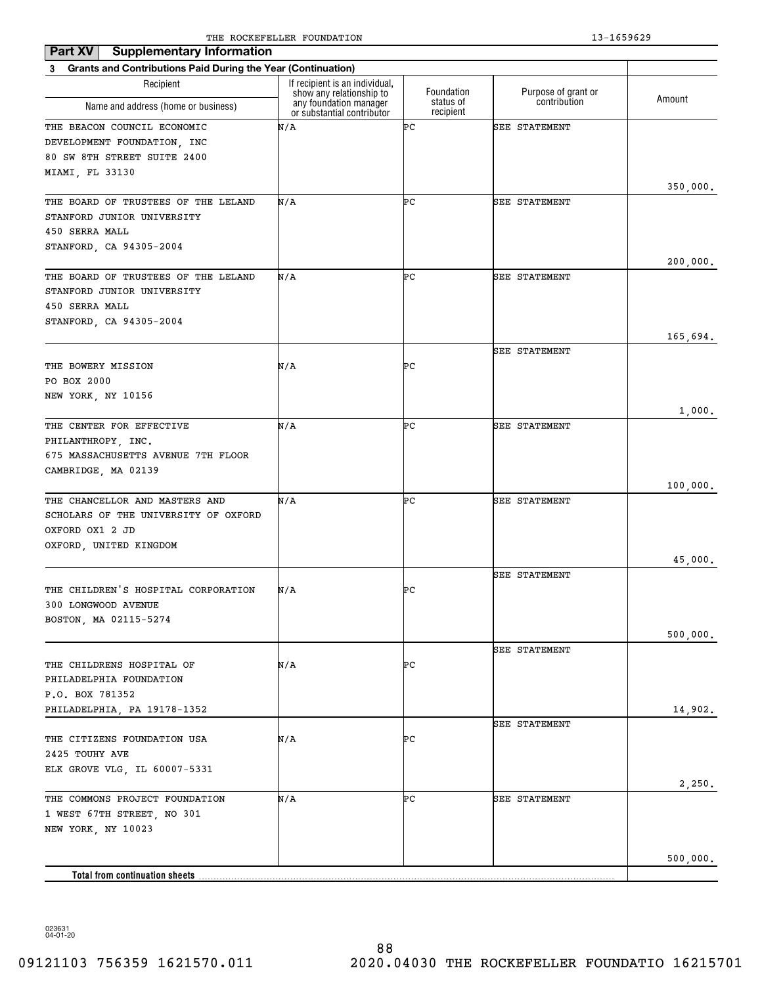| <b>Supplementary Information</b><br>Part XV                              |                                                            |                        |                      |          |
|--------------------------------------------------------------------------|------------------------------------------------------------|------------------------|----------------------|----------|
| <b>Grants and Contributions Paid During the Year (Continuation)</b><br>3 |                                                            |                        |                      |          |
| Recipient                                                                | If recipient is an individual,<br>show any relationship to | Foundation             | Purpose of grant or  |          |
| Name and address (home or business)                                      | any foundation manager<br>or substantial contributor       | status of<br>recipient | contribution         | Amount   |
| THE BEACON COUNCIL ECONOMIC                                              | N/A                                                        | ÞС                     | <b>SEE STATEMENT</b> |          |
| DEVELOPMENT FOUNDATION, INC                                              |                                                            |                        |                      |          |
| 80 SW 8TH STREET SUITE 2400                                              |                                                            |                        |                      |          |
| MIAMI, FL 33130                                                          |                                                            |                        |                      |          |
| THE BOARD OF TRUSTEES OF THE LELAND                                      | N/A                                                        | ÞС                     | <b>SEE STATEMENT</b> | 350,000. |
| STANFORD JUNIOR UNIVERSITY                                               |                                                            |                        |                      |          |
| 450 SERRA MALL                                                           |                                                            |                        |                      |          |
| STANFORD, CA 94305-2004                                                  |                                                            |                        |                      |          |
|                                                                          |                                                            |                        |                      | 200,000. |
| THE BOARD OF TRUSTEES OF THE LELAND                                      | N/A                                                        | ÞС                     | <b>SEE STATEMENT</b> |          |
| STANFORD JUNIOR UNIVERSITY                                               |                                                            |                        |                      |          |
| 450 SERRA MALL                                                           |                                                            |                        |                      |          |
| STANFORD, CA 94305-2004                                                  |                                                            |                        |                      |          |
|                                                                          |                                                            |                        |                      | 165,694. |
|                                                                          |                                                            |                        | <b>SEE STATEMENT</b> |          |
| THE BOWERY MISSION                                                       | N/A                                                        | ÞС                     |                      |          |
| PO BOX 2000                                                              |                                                            |                        |                      |          |
| NEW YORK, NY 10156                                                       |                                                            |                        |                      |          |
| THE CENTER FOR EFFECTIVE                                                 | N/A                                                        | ÞС                     | <b>SEE STATEMENT</b> | 1,000.   |
| PHILANTHROPY, INC.                                                       |                                                            |                        |                      |          |
| 675 MASSACHUSETTS AVENUE 7TH FLOOR                                       |                                                            |                        |                      |          |
| CAMBRIDGE, MA 02139                                                      |                                                            |                        |                      |          |
|                                                                          |                                                            |                        |                      | 100,000. |
| THE CHANCELLOR AND MASTERS AND                                           | N/A                                                        | ÞС                     | <b>SEE STATEMENT</b> |          |
| SCHOLARS OF THE UNIVERSITY OF OXFORD                                     |                                                            |                        |                      |          |
| OXFORD OX1 2 JD                                                          |                                                            |                        |                      |          |
| OXFORD, UNITED KINGDOM                                                   |                                                            |                        |                      |          |
|                                                                          |                                                            |                        |                      | 45,000.  |
|                                                                          |                                                            |                        | <b>SEE STATEMENT</b> |          |
| THE CHILDREN'S HOSPITAL CORPORATION                                      | N/A                                                        | ÞС                     |                      |          |
| 300 LONGWOOD AVENUE                                                      |                                                            |                        |                      |          |
| BOSTON, MA 02115-5274                                                    |                                                            |                        |                      |          |
|                                                                          |                                                            |                        |                      | 500,000. |
|                                                                          |                                                            |                        | SEE STATEMENT        |          |
| THE CHILDRENS HOSPITAL OF                                                | N/A                                                        | ÞС                     |                      |          |
| PHILADELPHIA FOUNDATION                                                  |                                                            |                        |                      |          |
| P.O. BOX 781352                                                          |                                                            |                        |                      |          |
| PHILADELPHIA, PA 19178-1352                                              |                                                            |                        |                      | 14,902.  |
|                                                                          |                                                            |                        | SEE STATEMENT        |          |
| THE CITIZENS FOUNDATION USA                                              | N/A                                                        | ÞС                     |                      |          |
| 2425 TOUHY AVE                                                           |                                                            |                        |                      |          |
| ELK GROVE VLG, IL 60007-5331                                             |                                                            |                        |                      |          |
|                                                                          | N/A                                                        | ÞС                     |                      | 2,250.   |
| THE COMMONS PROJECT FOUNDATION<br>1 WEST 67TH STREET, NO 301             |                                                            |                        | SEE STATEMENT        |          |
| NEW YORK, NY 10023                                                       |                                                            |                        |                      |          |
|                                                                          |                                                            |                        |                      |          |
|                                                                          |                                                            |                        |                      | 500,000. |
| <b>Total from continuation sheets</b>                                    |                                                            |                        |                      |          |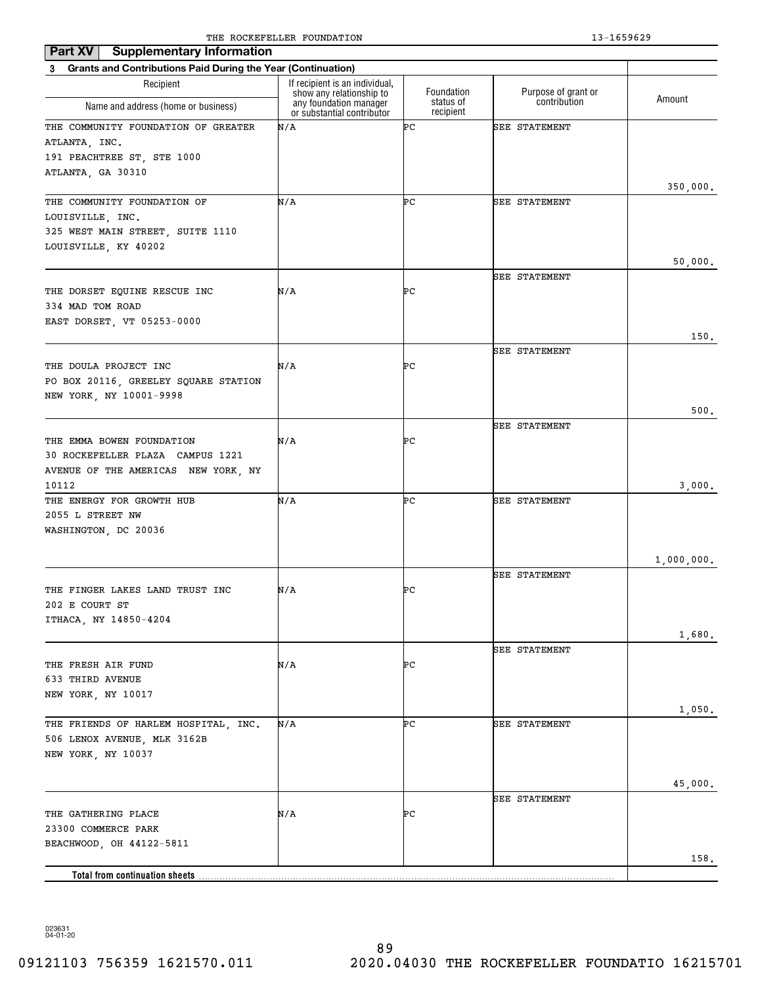| <b>Supplementary Information</b><br>Part XV                                                                 |                                                                                      |                         |                                     |            |
|-------------------------------------------------------------------------------------------------------------|--------------------------------------------------------------------------------------|-------------------------|-------------------------------------|------------|
| <b>Grants and Contributions Paid During the Year (Continuation)</b><br>3                                    |                                                                                      |                         |                                     |            |
| Recipient                                                                                                   | If recipient is an individual,<br>show any relationship to<br>any foundation manager | Foundation<br>status of | Purpose of grant or<br>contribution | Amount     |
| Name and address (home or business)                                                                         | or substantial contributor                                                           | recipient               |                                     |            |
| THE COMMUNITY FOUNDATION OF GREATER<br>ATLANTA, INC.<br>191 PEACHTREE ST, STE 1000<br>ATLANTA, GA 30310     | N/A                                                                                  | ÞС                      | <b>SEE STATEMENT</b>                |            |
|                                                                                                             |                                                                                      |                         |                                     | 350,000.   |
| THE COMMUNITY FOUNDATION OF<br>LOUISVILLE, INC.<br>325 WEST MAIN STREET, SUITE 1110<br>LOUISVILLE, KY 40202 | N/A                                                                                  | ÞС                      | <b>SEE STATEMENT</b>                | 50,000.    |
|                                                                                                             |                                                                                      |                         | <b>SEE STATEMENT</b>                |            |
| THE DORSET EQUINE RESCUE INC<br>334 MAD TOM ROAD<br>EAST DORSET, VT 05253-0000                              | N/A                                                                                  | ÞС                      |                                     |            |
|                                                                                                             |                                                                                      |                         |                                     | 150.       |
| THE DOULA PROJECT INC<br>PO BOX 20116, GREELEY SQUARE STATION<br>NEW YORK, NY 10001-9998                    | N/A                                                                                  | ÞС                      | SEE STATEMENT                       |            |
|                                                                                                             |                                                                                      |                         |                                     | 500.       |
|                                                                                                             |                                                                                      |                         | <b>SEE STATEMENT</b>                |            |
| THE EMMA BOWEN FOUNDATION<br>30 ROCKEFELLER PLAZA CAMPUS 1221<br>AVENUE OF THE AMERICAS NEW YORK, NY        | N/A                                                                                  | ÞС                      |                                     |            |
| 10112                                                                                                       |                                                                                      |                         |                                     | 3,000.     |
| THE ENERGY FOR GROWTH HUB<br>2055 L STREET NW<br>WASHINGTON, DC 20036                                       | N/A                                                                                  | ÞС                      | <b>SEE STATEMENT</b>                |            |
|                                                                                                             |                                                                                      |                         |                                     | 1,000,000. |
|                                                                                                             |                                                                                      |                         | <b>SEE STATEMENT</b>                |            |
| THE FINGER LAKES LAND TRUST INC<br>202 E COURT ST<br>ITHACA, NY 14850-4204                                  | N/A                                                                                  | ÞС                      |                                     |            |
|                                                                                                             |                                                                                      |                         |                                     | 1,680.     |
| THE FRESH AIR FUND<br>633 THIRD AVENUE<br>NEW YORK, NY 10017                                                | N/A                                                                                  | ÞС                      | <b>SEE STATEMENT</b>                |            |
|                                                                                                             |                                                                                      |                         |                                     | 1,050.     |
| THE FRIENDS OF HARLEM HOSPITAL, INC.<br>506 LENOX AVENUE, MLK 3162B<br>NEW YORK, NY 10037                   | N/A                                                                                  | ÞС                      | <b>SEE STATEMENT</b>                |            |
|                                                                                                             |                                                                                      |                         |                                     | 45,000.    |
| THE GATHERING PLACE<br>23300 COMMERCE PARK<br>BEACHWOOD, OH 44122-5811                                      | N/A                                                                                  | ÞС                      | <b>SEE STATEMENT</b>                |            |
|                                                                                                             |                                                                                      |                         |                                     | 158.       |
| Total from continuation sheets                                                                              |                                                                                      |                         |                                     |            |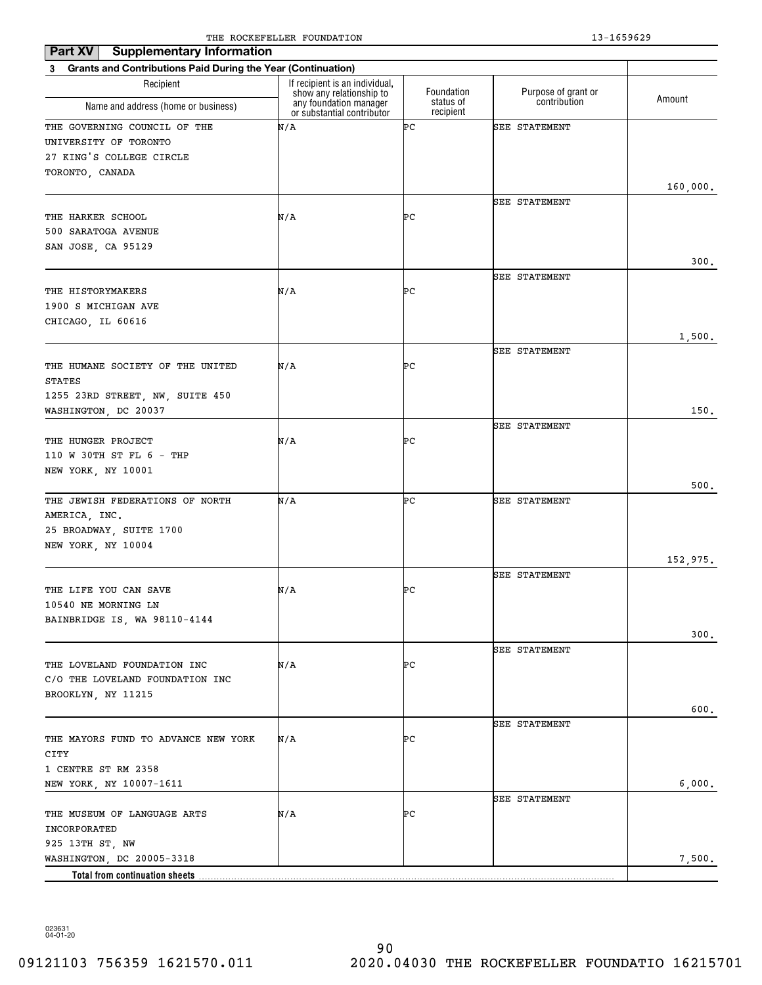| Part XV<br><b>Supplementary Information</b>                    |                                                            |                        |                      |          |
|----------------------------------------------------------------|------------------------------------------------------------|------------------------|----------------------|----------|
| 3 Grants and Contributions Paid During the Year (Continuation) |                                                            |                        |                      |          |
| Recipient                                                      | If recipient is an individual,<br>show any relationship to | Foundation             | Purpose of grant or  | Amount   |
| Name and address (home or business)                            | any foundation manager<br>or substantial contributor       | status of<br>recipient | contribution         |          |
| THE GOVERNING COUNCIL OF THE                                   | N/A                                                        | ÞС                     | <b>SEE STATEMENT</b> |          |
| UNIVERSITY OF TORONTO                                          |                                                            |                        |                      |          |
| 27 KING'S COLLEGE CIRCLE                                       |                                                            |                        |                      |          |
| TORONTO, CANADA                                                |                                                            |                        |                      |          |
|                                                                |                                                            |                        |                      | 160,000. |
| THE HARKER SCHOOL                                              |                                                            | ÞС                     | SEE STATEMENT        |          |
| 500 SARATOGA AVENUE                                            | N/A                                                        |                        |                      |          |
| SAN JOSE, CA 95129                                             |                                                            |                        |                      |          |
|                                                                |                                                            |                        |                      | 300.     |
|                                                                |                                                            |                        | <b>SEE STATEMENT</b> |          |
| THE HISTORYMAKERS                                              | N/A                                                        | ÞС                     |                      |          |
| 1900 S MICHIGAN AVE                                            |                                                            |                        |                      |          |
| CHICAGO, IL 60616                                              |                                                            |                        |                      |          |
|                                                                |                                                            |                        |                      | 1,500.   |
|                                                                |                                                            |                        | <b>SEE STATEMENT</b> |          |
| THE HUMANE SOCIETY OF THE UNITED<br><b>STATES</b>              | N/A                                                        | ÞС                     |                      |          |
| 1255 23RD STREET, NW, SUITE 450                                |                                                            |                        |                      |          |
| WASHINGTON, DC 20037                                           |                                                            |                        |                      | 150.     |
|                                                                |                                                            |                        | <b>SEE STATEMENT</b> |          |
| THE HUNGER PROJECT                                             | N/A                                                        | ÞС                     |                      |          |
| 110 W 30TH ST FL 6 - THP                                       |                                                            |                        |                      |          |
| NEW YORK, NY 10001                                             |                                                            |                        |                      |          |
|                                                                |                                                            |                        |                      | 500.     |
| THE JEWISH FEDERATIONS OF NORTH                                | N/A                                                        | ÞС                     | <b>SEE STATEMENT</b> |          |
| AMERICA, INC.                                                  |                                                            |                        |                      |          |
| 25 BROADWAY, SUITE 1700                                        |                                                            |                        |                      |          |
| NEW YORK, NY 10004                                             |                                                            |                        |                      | 152,975. |
|                                                                |                                                            |                        | <b>SEE STATEMENT</b> |          |
| THE LIFE YOU CAN SAVE                                          | N/A                                                        | ÞС                     |                      |          |
| 10540 NE MORNING LN                                            |                                                            |                        |                      |          |
| BAINBRIDGE IS, WA 98110-4144                                   |                                                            |                        |                      |          |
|                                                                |                                                            |                        |                      | 300.     |
|                                                                |                                                            |                        | <b>SEE STATEMENT</b> |          |
| THE LOVELAND FOUNDATION INC                                    | N/A                                                        | ÞС                     |                      |          |
| C/O THE LOVELAND FOUNDATION INC                                |                                                            |                        |                      |          |
| BROOKLYN, NY 11215                                             |                                                            |                        |                      | 600.     |
|                                                                |                                                            |                        | SEE STATEMENT        |          |
| THE MAYORS FUND TO ADVANCE NEW YORK                            | N/A                                                        | ÞС                     |                      |          |
| CITY                                                           |                                                            |                        |                      |          |
| 1 CENTRE ST RM 2358                                            |                                                            |                        |                      |          |
| NEW YORK, NY 10007-1611                                        |                                                            |                        |                      | 6,000.   |
|                                                                |                                                            |                        | SEE STATEMENT        |          |
| THE MUSEUM OF LANGUAGE ARTS                                    | N/A                                                        | ÞС                     |                      |          |
| INCORPORATED                                                   |                                                            |                        |                      |          |
| 925 13TH ST, NW                                                |                                                            |                        |                      |          |
| WASHINGTON, DC 20005-3318                                      |                                                            |                        |                      | 7,500.   |
|                                                                |                                                            |                        |                      |          |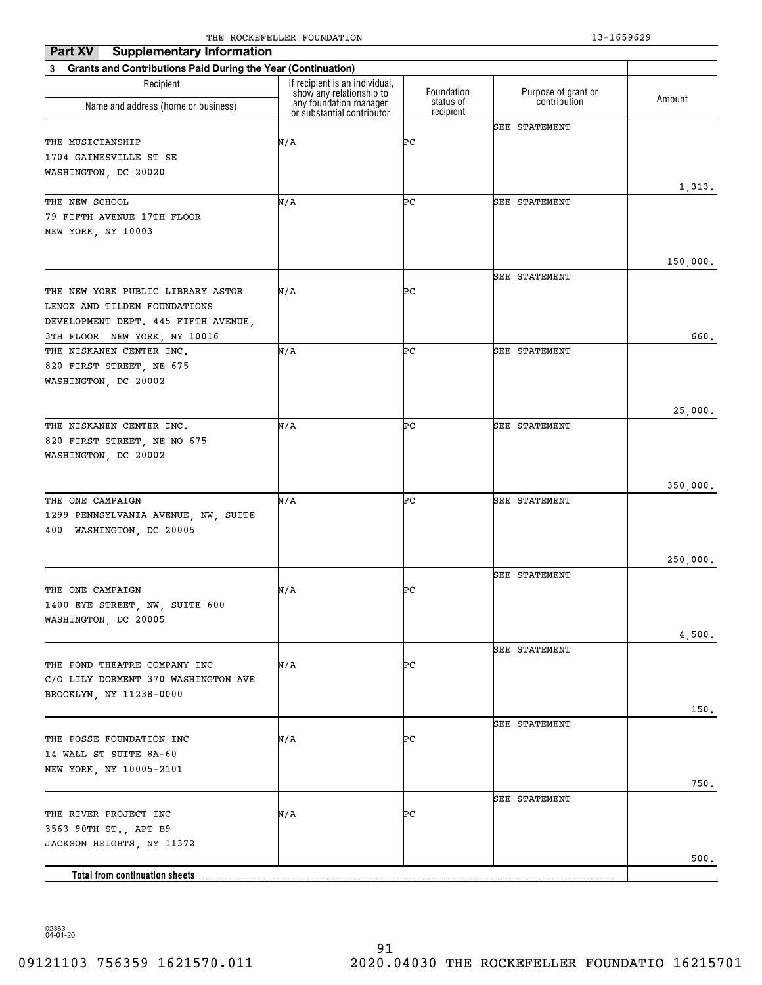| Part XV<br><b>Supplementary Information</b>                    | The Rocker needs roombillion                       |            | 19 10990 <i>49</i>   |          |
|----------------------------------------------------------------|----------------------------------------------------|------------|----------------------|----------|
| 3 Grants and Contributions Paid During the Year (Continuation) |                                                    |            |                      |          |
| Recipient                                                      | If recipient is an individual,                     | Foundation | Purpose of grant or  |          |
| Name and address (home or business)                            | show any relationship to<br>any foundation manager | status of  | contribution         | Amount   |
|                                                                | or substantial contributor                         | recipient  |                      |          |
|                                                                |                                                    |            | SEE STATEMENT        |          |
| THE MUSICIANSHIP                                               | N/A                                                | ÞС         |                      |          |
| 1704 GAINESVILLE ST SE<br>WASHINGTON, DC 20020                 |                                                    |            |                      |          |
|                                                                |                                                    |            |                      | 1,313.   |
| THE NEW SCHOOL                                                 | N/A                                                | ÞС         | <b>SEE STATEMENT</b> |          |
| 79 FIFTH AVENUE 17TH FLOOR                                     |                                                    |            |                      |          |
| NEW YORK, NY 10003                                             |                                                    |            |                      |          |
|                                                                |                                                    |            |                      |          |
|                                                                |                                                    |            |                      | 150,000. |
|                                                                |                                                    |            | <b>SEE STATEMENT</b> |          |
| THE NEW YORK PUBLIC LIBRARY ASTOR                              | N/A                                                | ÞС         |                      |          |
| LENOX AND TILDEN FOUNDATIONS                                   |                                                    |            |                      |          |
| DEVELOPMENT DEPT. 445 FIFTH AVENUE,                            |                                                    |            |                      |          |
| 3TH FLOOR NEW YORK, NY 10016                                   |                                                    |            |                      | 660.     |
| THE NISKANEN CENTER INC.                                       | N/A                                                | ÞС         | <b>SEE STATEMENT</b> |          |
| 820 FIRST STREET, NE 675                                       |                                                    |            |                      |          |
| WASHINGTON, DC 20002                                           |                                                    |            |                      |          |
|                                                                |                                                    |            |                      |          |
|                                                                |                                                    |            |                      | 25,000.  |
| THE NISKANEN CENTER INC.                                       | N/A                                                | ÞС         | <b>SEE STATEMENT</b> |          |
| 820 FIRST STREET, NE NO 675                                    |                                                    |            |                      |          |
| WASHINGTON, DC 20002                                           |                                                    |            |                      |          |
|                                                                |                                                    |            |                      |          |
| THE ONE CAMPAIGN                                               | N/A                                                | ÞС         | <b>SEE STATEMENT</b> | 350,000. |
| 1299 PENNSYLVANIA AVENUE, NW, SUITE                            |                                                    |            |                      |          |
| 400<br>WASHINGTON, DC 20005                                    |                                                    |            |                      |          |
|                                                                |                                                    |            |                      |          |
|                                                                |                                                    |            |                      | 250,000. |
|                                                                |                                                    |            | <b>SEE STATEMENT</b> |          |
| THE ONE CAMPAIGN                                               | N/A                                                | ÞС         |                      |          |
| 1400 EYE STREET, NW, SUITE 600                                 |                                                    |            |                      |          |
| WASHINGTON, DC 20005                                           |                                                    |            |                      |          |
|                                                                |                                                    |            |                      | 4,500.   |
|                                                                |                                                    |            | <b>SEE STATEMENT</b> |          |
| THE POND THEATRE COMPANY INC                                   | N/A                                                | ÞС         |                      |          |
| C/O LILY DORMENT 370 WASHINGTON AVE                            |                                                    |            |                      |          |
| BROOKLYN, NY 11238-0000                                        |                                                    |            |                      |          |
|                                                                |                                                    |            |                      | 150.     |
|                                                                |                                                    |            | <b>SEE STATEMENT</b> |          |
| THE POSSE FOUNDATION INC                                       | N/A                                                | ÞС         |                      |          |
| 14 WALL ST SUITE 8A-60                                         |                                                    |            |                      |          |
| NEW YORK, NY 10005-2101                                        |                                                    |            |                      |          |
|                                                                |                                                    |            | <b>SEE STATEMENT</b> | 750.     |
| THE RIVER PROJECT INC                                          | N/A                                                | ÞС         |                      |          |
| 3563 90TH ST., APT B9                                          |                                                    |            |                      |          |
| JACKSON HEIGHTS, NY 11372                                      |                                                    |            |                      |          |
|                                                                |                                                    |            |                      | 500.     |
|                                                                |                                                    |            |                      |          |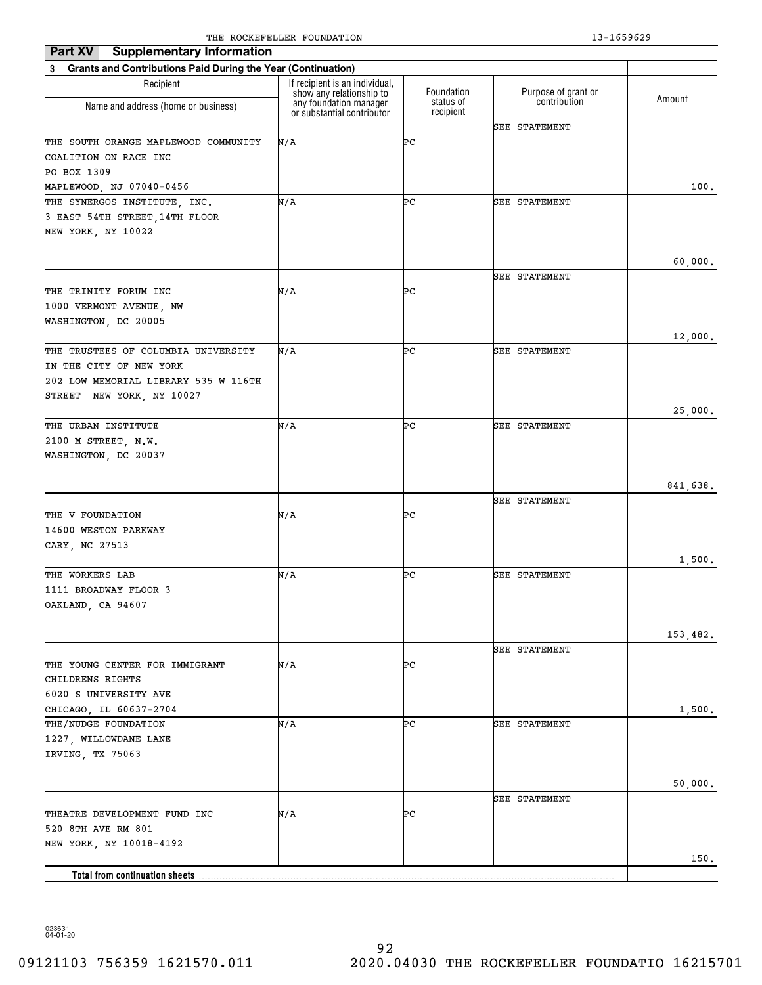| <b>Supplementary Information</b><br>Part XV                              |                                                            |                        |                      |          |
|--------------------------------------------------------------------------|------------------------------------------------------------|------------------------|----------------------|----------|
| <b>Grants and Contributions Paid During the Year (Continuation)</b><br>3 |                                                            |                        |                      |          |
| Recipient                                                                | If recipient is an individual,<br>show any relationship to | Foundation             | Purpose of grant or  |          |
| Name and address (home or business)                                      | any foundation manager<br>or substantial contributor       | status of<br>recipient | contribution         | Amount   |
|                                                                          |                                                            |                        | <b>SEE STATEMENT</b> |          |
| THE SOUTH ORANGE MAPLEWOOD COMMUNITY                                     | N/A                                                        | ÞС                     |                      |          |
| COALITION ON RACE INC                                                    |                                                            |                        |                      |          |
| PO BOX 1309                                                              |                                                            |                        |                      |          |
| MAPLEWOOD, NJ 07040-0456                                                 |                                                            |                        |                      | 100.     |
| THE SYNERGOS INSTITUTE, INC.                                             | N/A                                                        | ÞС                     | SEE STATEMENT        |          |
| 3 EAST 54TH STREET, 14TH FLOOR                                           |                                                            |                        |                      |          |
| NEW YORK, NY 10022                                                       |                                                            |                        |                      |          |
|                                                                          |                                                            |                        |                      |          |
|                                                                          |                                                            |                        | <b>SEE STATEMENT</b> | 60,000.  |
| THE TRINITY FORUM INC                                                    | N/A                                                        | ÞС                     |                      |          |
| 1000 VERMONT AVENUE, NW                                                  |                                                            |                        |                      |          |
| WASHINGTON, DC 20005                                                     |                                                            |                        |                      |          |
|                                                                          |                                                            |                        |                      | 12,000.  |
| THE TRUSTEES OF COLUMBIA UNIVERSITY                                      | N/A                                                        | ÞС                     | <b>SEE STATEMENT</b> |          |
| IN THE CITY OF NEW YORK                                                  |                                                            |                        |                      |          |
| 202 LOW MEMORIAL LIBRARY 535 W 116TH                                     |                                                            |                        |                      |          |
| STREET NEW YORK, NY 10027                                                |                                                            |                        |                      |          |
|                                                                          |                                                            |                        |                      | 25,000.  |
| THE URBAN INSTITUTE                                                      | N/A                                                        | ÞС                     | <b>SEE STATEMENT</b> |          |
| 2100 M STREET, N.W.                                                      |                                                            |                        |                      |          |
| WASHINGTON, DC 20037                                                     |                                                            |                        |                      |          |
|                                                                          |                                                            |                        |                      |          |
|                                                                          |                                                            |                        |                      | 841,638. |
|                                                                          |                                                            |                        | <b>SEE STATEMENT</b> |          |
| THE V FOUNDATION                                                         | N/A                                                        | ÞС                     |                      |          |
| 14600 WESTON PARKWAY                                                     |                                                            |                        |                      |          |
| CARY, NC 27513                                                           |                                                            |                        |                      |          |
|                                                                          | N/A                                                        | ÞС                     |                      | 1,500.   |
| THE WORKERS LAB<br>1111 BROADWAY FLOOR 3                                 |                                                            |                        | <b>SEE STATEMENT</b> |          |
| OAKLAND, CA 94607                                                        |                                                            |                        |                      |          |
|                                                                          |                                                            |                        |                      |          |
|                                                                          |                                                            |                        |                      | 153,482. |
|                                                                          |                                                            |                        | SEE STATEMENT        |          |
| THE YOUNG CENTER FOR IMMIGRANT                                           | N/A                                                        | ÞС                     |                      |          |
| CHILDRENS RIGHTS                                                         |                                                            |                        |                      |          |
| 6020 S UNIVERSITY AVE                                                    |                                                            |                        |                      |          |
| CHICAGO, IL 60637-2704                                                   |                                                            |                        |                      | 1,500.   |
| THE/NUDGE FOUNDATION                                                     | N/A                                                        | ÞС                     | <b>SEE STATEMENT</b> |          |
| 1227, WILLOWDANE LANE                                                    |                                                            |                        |                      |          |
| IRVING, TX 75063                                                         |                                                            |                        |                      |          |
|                                                                          |                                                            |                        |                      |          |
|                                                                          |                                                            |                        |                      | 50,000.  |
|                                                                          |                                                            |                        | <b>SEE STATEMENT</b> |          |
| THEATRE DEVELOPMENT FUND INC                                             | N/A                                                        | ÞС                     |                      |          |
| 520 8TH AVE RM 801                                                       |                                                            |                        |                      |          |
| NEW YORK, NY 10018-4192                                                  |                                                            |                        |                      |          |
|                                                                          |                                                            |                        |                      | 150.     |
| <b>Total from continuation sheets</b>                                    |                                                            |                        |                      |          |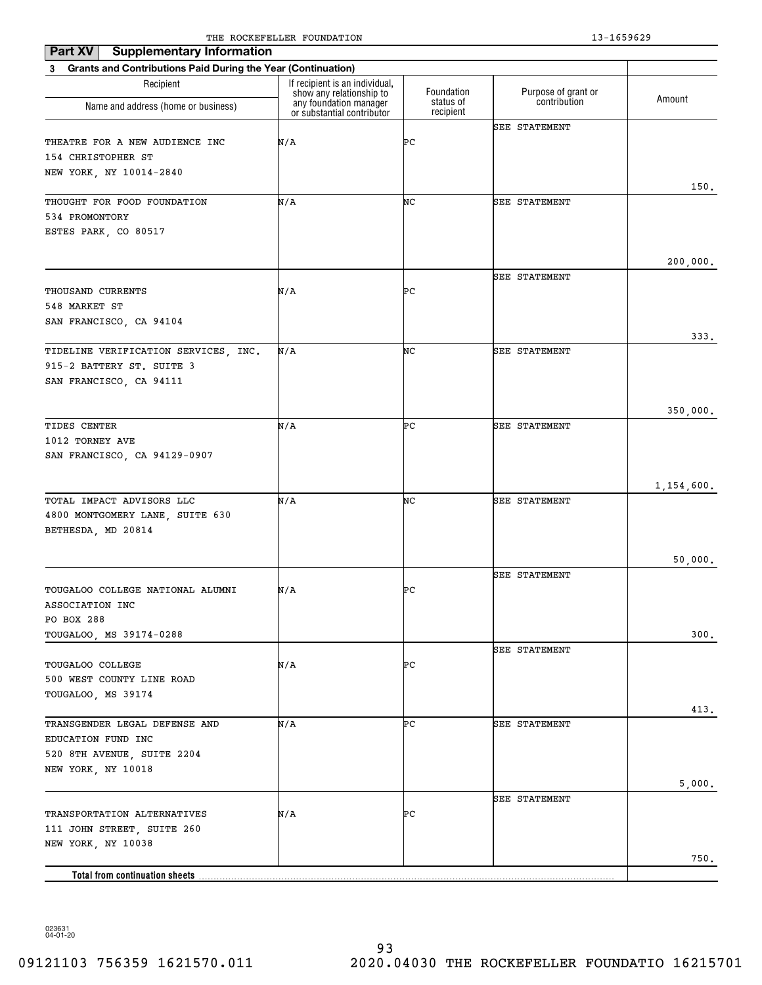| Part XV<br><b>Supplementary Information</b>                    | THE ROCKEL BEER I CONDITION                                                      |                        | 19 10990 <i>49</i>   |            |
|----------------------------------------------------------------|----------------------------------------------------------------------------------|------------------------|----------------------|------------|
| 3 Grants and Contributions Paid During the Year (Continuation) |                                                                                  |                        |                      |            |
| Recipient                                                      | If recipient is an individual,                                                   | Foundation             | Purpose of grant or  |            |
| Name and address (home or business)                            | show any relationship to<br>any foundation manager<br>or substantial contributor | status of<br>recipient | contribution         | Amount     |
|                                                                |                                                                                  |                        | <b>SEE STATEMENT</b> |            |
| THEATRE FOR A NEW AUDIENCE INC                                 | N/A                                                                              | ÞС                     |                      |            |
| 154 CHRISTOPHER ST                                             |                                                                                  |                        |                      |            |
| NEW YORK, NY 10014-2840                                        |                                                                                  |                        |                      |            |
|                                                                |                                                                                  |                        |                      | 150.       |
| THOUGHT FOR FOOD FOUNDATION                                    | N/A                                                                              | NC                     | <b>SEE STATEMENT</b> |            |
| 534 PROMONTORY                                                 |                                                                                  |                        |                      |            |
| ESTES PARK, CO 80517                                           |                                                                                  |                        |                      |            |
|                                                                |                                                                                  |                        |                      | 200,000.   |
|                                                                |                                                                                  |                        | <b>SEE STATEMENT</b> |            |
| THOUSAND CURRENTS                                              | N/A                                                                              | ÞС                     |                      |            |
| 548 MARKET ST                                                  |                                                                                  |                        |                      |            |
| SAN FRANCISCO, CA 94104                                        |                                                                                  |                        |                      |            |
|                                                                |                                                                                  |                        |                      | 333.       |
| TIDELINE VERIFICATION SERVICES, INC.                           | N/A                                                                              | NC                     | <b>SEE STATEMENT</b> |            |
| 915-2 BATTERY ST. SUITE 3                                      |                                                                                  |                        |                      |            |
| SAN FRANCISCO, CA 94111                                        |                                                                                  |                        |                      |            |
|                                                                |                                                                                  |                        |                      |            |
|                                                                |                                                                                  |                        |                      | 350,000.   |
| TIDES CENTER                                                   | N/A                                                                              | ÞС                     | <b>SEE STATEMENT</b> |            |
| 1012 TORNEY AVE                                                |                                                                                  |                        |                      |            |
| SAN FRANCISCO, CA 94129-0907                                   |                                                                                  |                        |                      |            |
|                                                                |                                                                                  |                        |                      |            |
|                                                                | N/A                                                                              | NC                     |                      | 1,154,600. |
| TOTAL IMPACT ADVISORS LLC<br>4800 MONTGOMERY LANE, SUITE 630   |                                                                                  |                        | <b>SEE STATEMENT</b> |            |
| BETHESDA, MD 20814                                             |                                                                                  |                        |                      |            |
|                                                                |                                                                                  |                        |                      |            |
|                                                                |                                                                                  |                        |                      | 50,000.    |
|                                                                |                                                                                  |                        | <b>SEE STATEMENT</b> |            |
| TOUGALOO COLLEGE NATIONAL ALUMNI                               | N/A                                                                              | ÞС                     |                      |            |
| ASSOCIATION INC                                                |                                                                                  |                        |                      |            |
| PO BOX 288                                                     |                                                                                  |                        |                      |            |
| TOUGALOO, MS 39174-0288                                        |                                                                                  |                        |                      | 300.       |
|                                                                |                                                                                  |                        | <b>SEE STATEMENT</b> |            |
| TOUGALOO COLLEGE                                               | N/A                                                                              | ÞС                     |                      |            |
| 500 WEST COUNTY LINE ROAD                                      |                                                                                  |                        |                      |            |
| TOUGALOO, MS 39174                                             |                                                                                  |                        |                      |            |
| TRANSGENDER LEGAL DEFENSE AND                                  | N/A                                                                              | ÞС                     | <b>SEE STATEMENT</b> | 413.       |
| EDUCATION FUND INC                                             |                                                                                  |                        |                      |            |
| 520 8TH AVENUE, SUITE 2204                                     |                                                                                  |                        |                      |            |
| NEW YORK, NY 10018                                             |                                                                                  |                        |                      |            |
|                                                                |                                                                                  |                        |                      | 5,000.     |
|                                                                |                                                                                  |                        | <b>SEE STATEMENT</b> |            |
| TRANSPORTATION ALTERNATIVES                                    | N/A                                                                              | ÞС                     |                      |            |
| 111 JOHN STREET, SUITE 260                                     |                                                                                  |                        |                      |            |
| NEW YORK, NY 10038                                             |                                                                                  |                        |                      |            |
|                                                                |                                                                                  |                        |                      | 750.       |
|                                                                |                                                                                  |                        |                      |            |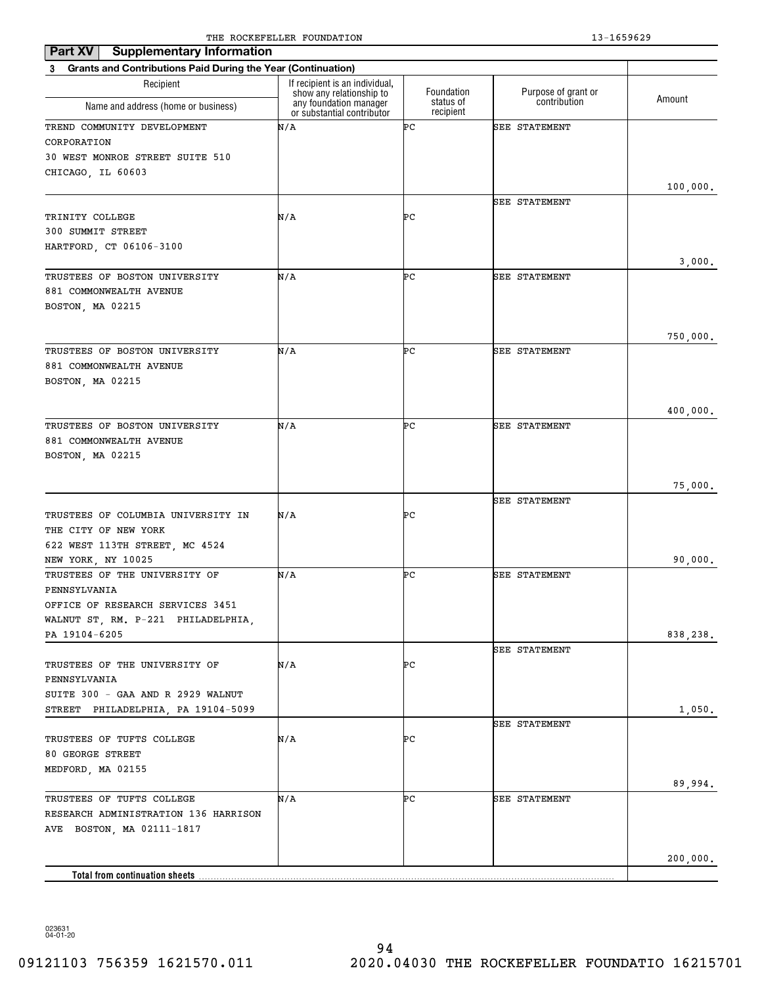| <b>Supplementary Information</b><br>Part XV                              |                                                            |                        |                      |          |
|--------------------------------------------------------------------------|------------------------------------------------------------|------------------------|----------------------|----------|
| <b>Grants and Contributions Paid During the Year (Continuation)</b><br>3 |                                                            |                        |                      |          |
| Recipient                                                                | If recipient is an individual,<br>show any relationship to | Foundation             | Purpose of grant or  |          |
| Name and address (home or business)                                      | any foundation manager<br>or substantial contributor       | status of<br>recipient | contribution         | Amount   |
| TREND COMMUNITY DEVELOPMENT                                              | N/A                                                        | ÞС                     | <b>SEE STATEMENT</b> |          |
| CORPORATION                                                              |                                                            |                        |                      |          |
| 30 WEST MONROE STREET SUITE 510                                          |                                                            |                        |                      |          |
| CHICAGO, IL 60603                                                        |                                                            |                        |                      |          |
|                                                                          |                                                            |                        |                      | 100,000. |
|                                                                          |                                                            |                        | SEE STATEMENT        |          |
| TRINITY COLLEGE                                                          | N/A                                                        | ÞС                     |                      |          |
| 300 SUMMIT STREET                                                        |                                                            |                        |                      |          |
| HARTFORD, CT 06106-3100                                                  |                                                            |                        |                      |          |
|                                                                          |                                                            |                        |                      | 3,000.   |
| TRUSTEES OF BOSTON UNIVERSITY                                            | N/A                                                        | ÞС                     | <b>SEE STATEMENT</b> |          |
| 881 COMMONWEALTH AVENUE                                                  |                                                            |                        |                      |          |
| BOSTON, MA 02215                                                         |                                                            |                        |                      |          |
|                                                                          |                                                            |                        |                      | 750,000. |
| TRUSTEES OF BOSTON UNIVERSITY                                            | N/A                                                        | ÞС                     | <b>SEE STATEMENT</b> |          |
| 881 COMMONWEALTH AVENUE                                                  |                                                            |                        |                      |          |
| BOSTON, MA 02215                                                         |                                                            |                        |                      |          |
|                                                                          |                                                            |                        |                      |          |
|                                                                          |                                                            |                        |                      | 400,000. |
| TRUSTEES OF BOSTON UNIVERSITY                                            | N/A                                                        | ÞС                     | <b>SEE STATEMENT</b> |          |
| 881 COMMONWEALTH AVENUE                                                  |                                                            |                        |                      |          |
| BOSTON, MA 02215                                                         |                                                            |                        |                      |          |
|                                                                          |                                                            |                        |                      |          |
|                                                                          |                                                            |                        |                      | 75,000.  |
|                                                                          |                                                            |                        | <b>SEE STATEMENT</b> |          |
| TRUSTEES OF COLUMBIA UNIVERSITY IN                                       | N/A                                                        | ÞС                     |                      |          |
| THE CITY OF NEW YORK                                                     |                                                            |                        |                      |          |
| 622 WEST 113TH STREET, MC 4524                                           |                                                            |                        |                      |          |
| NEW YORK, NY 10025                                                       |                                                            |                        |                      | 90,000.  |
| TRUSTEES OF THE UNIVERSITY OF                                            | N/A                                                        | ÞС                     | <b>SEE STATEMENT</b> |          |
| PENNSYLVANIA                                                             |                                                            |                        |                      |          |
| OFFICE OF RESEARCH SERVICES 3451                                         |                                                            |                        |                      |          |
| WALNUT ST, RM. P-221 PHILADELPHIA,                                       |                                                            |                        |                      |          |
| PA 19104-6205                                                            |                                                            |                        |                      | 838,238. |
|                                                                          |                                                            |                        | <b>SEE STATEMENT</b> |          |
| TRUSTEES OF THE UNIVERSITY OF                                            | N/A                                                        | ÞС                     |                      |          |
| PENNSYLVANIA                                                             |                                                            |                        |                      |          |
| SUITE 300 - GAA AND R 2929 WALNUT                                        |                                                            |                        |                      |          |
| STREET PHILADELPHIA, PA 19104-5099                                       |                                                            |                        |                      | 1,050.   |
|                                                                          |                                                            |                        | SEE STATEMENT        |          |
| TRUSTEES OF TUFTS COLLEGE                                                | N/A                                                        | ÞС                     |                      |          |
| 80 GEORGE STREET                                                         |                                                            |                        |                      |          |
| MEDFORD, MA 02155                                                        |                                                            |                        |                      |          |
|                                                                          |                                                            |                        |                      | 89,994.  |
| TRUSTEES OF TUFTS COLLEGE                                                | N/A                                                        | ÞС                     | SEE STATEMENT        |          |
| RESEARCH ADMINISTRATION 136 HARRISON                                     |                                                            |                        |                      |          |
| AVE BOSTON, MA 02111-1817                                                |                                                            |                        |                      |          |
|                                                                          |                                                            |                        |                      |          |
|                                                                          |                                                            |                        |                      | 200,000. |
| <b>Total from continuation sheets</b>                                    |                                                            |                        |                      |          |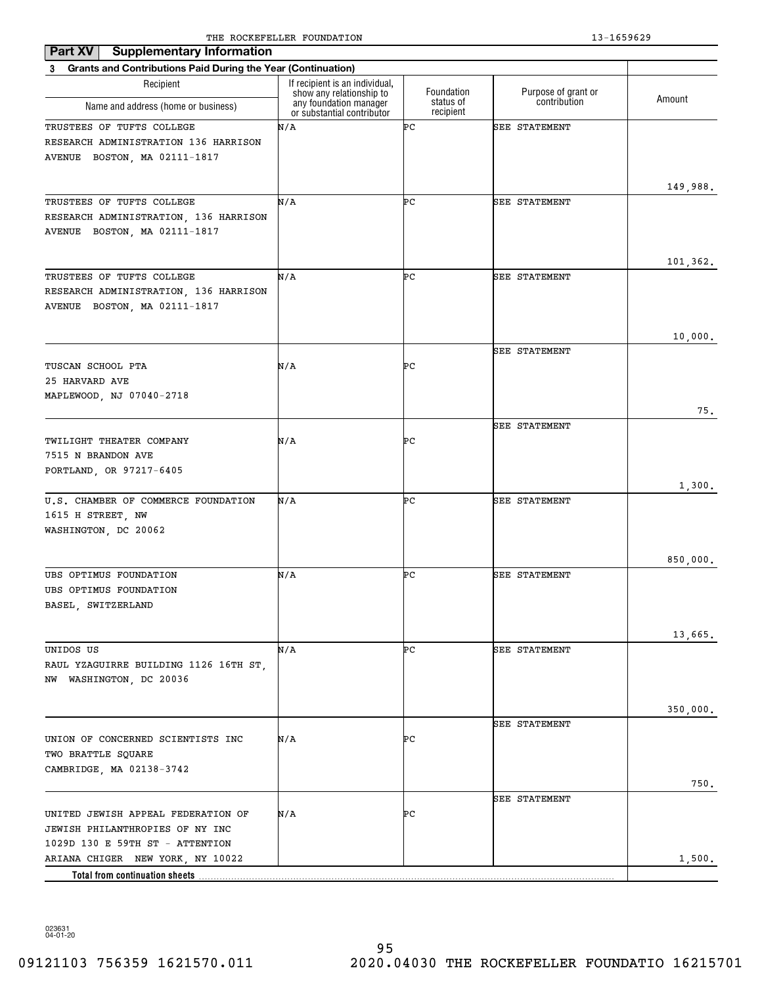| <b>Supplementary Information</b><br>Part XV                                                              |                                                                                      |                         |                                     |                  |
|----------------------------------------------------------------------------------------------------------|--------------------------------------------------------------------------------------|-------------------------|-------------------------------------|------------------|
| 3 Grants and Contributions Paid During the Year (Continuation)                                           |                                                                                      |                         |                                     |                  |
| Recipient                                                                                                | If recipient is an individual,<br>show any relationship to<br>any foundation manager | Foundation<br>status of | Purpose of grant or<br>contribution | Amount           |
| Name and address (home or business)                                                                      | or substantial contributor                                                           | recipient               |                                     |                  |
| TRUSTEES OF TUFTS COLLEGE<br>RESEARCH ADMINISTRATION 136 HARRISON<br>AVENUE BOSTON, MA 02111-1817        | N/A                                                                                  | ÞС                      | <b>SEE STATEMENT</b>                | 149,988.         |
| TRUSTEES OF TUFTS COLLEGE<br>RESEARCH ADMINISTRATION, 136 HARRISON<br>AVENUE BOSTON, MA 02111-1817       | N/A                                                                                  | ÞС                      | SEE STATEMENT                       | 101,362.         |
| TRUSTEES OF TUFTS COLLEGE<br>RESEARCH ADMINISTRATION, 136 HARRISON<br>AVENUE BOSTON, MA 02111-1817       | N/A                                                                                  | ÞС                      | <b>SEE STATEMENT</b>                | 10,000.          |
|                                                                                                          |                                                                                      |                         | <b>SEE STATEMENT</b>                |                  |
| TUSCAN SCHOOL PTA<br>25 HARVARD AVE<br>MAPLEWOOD, NJ 07040-2718                                          | N/A                                                                                  | ÞС                      |                                     |                  |
|                                                                                                          |                                                                                      |                         |                                     | 75.              |
| TWILIGHT THEATER COMPANY<br>7515 N BRANDON AVE<br>PORTLAND, OR 97217-6405                                | N/A                                                                                  | ÞС                      | SEE STATEMENT                       |                  |
| U.S. CHAMBER OF COMMERCE FOUNDATION<br>1615 H STREET, NW<br>WASHINGTON, DC 20062                         | N/A                                                                                  | ÞС                      | <b>SEE STATEMENT</b>                | 1,300.           |
|                                                                                                          |                                                                                      |                         |                                     | 850,000.         |
| UBS OPTIMUS FOUNDATION<br>UBS OPTIMUS FOUNDATION<br>BASEL, SWITZERLAND                                   | N/A                                                                                  | ÞС                      | <b>SEE STATEMENT</b>                |                  |
| UNIDOS US<br>RAUL YZAGUIRRE BUILDING 1126 16TH ST,<br>NW WASHINGTON, DC 20036                            | N/A                                                                                  | ÞС                      | SEE STATEMENT                       | 13,665.          |
| UNION OF CONCERNED SCIENTISTS INC<br>TWO BRATTLE SQUARE<br>CAMBRIDGE, MA 02138-3742                      | N/A                                                                                  | ÞС                      | <b>SEE STATEMENT</b>                | 350,000.<br>750. |
| UNITED JEWISH APPEAL FEDERATION OF<br>JEWISH PHILANTHROPIES OF NY INC<br>1029D 130 E 59TH ST - ATTENTION | N/A                                                                                  | ÞС                      | <b>SEE STATEMENT</b>                |                  |
| ARIANA CHIGER NEW YORK, NY 10022<br>Total from continuation sheets                                       |                                                                                      |                         |                                     | 1,500.           |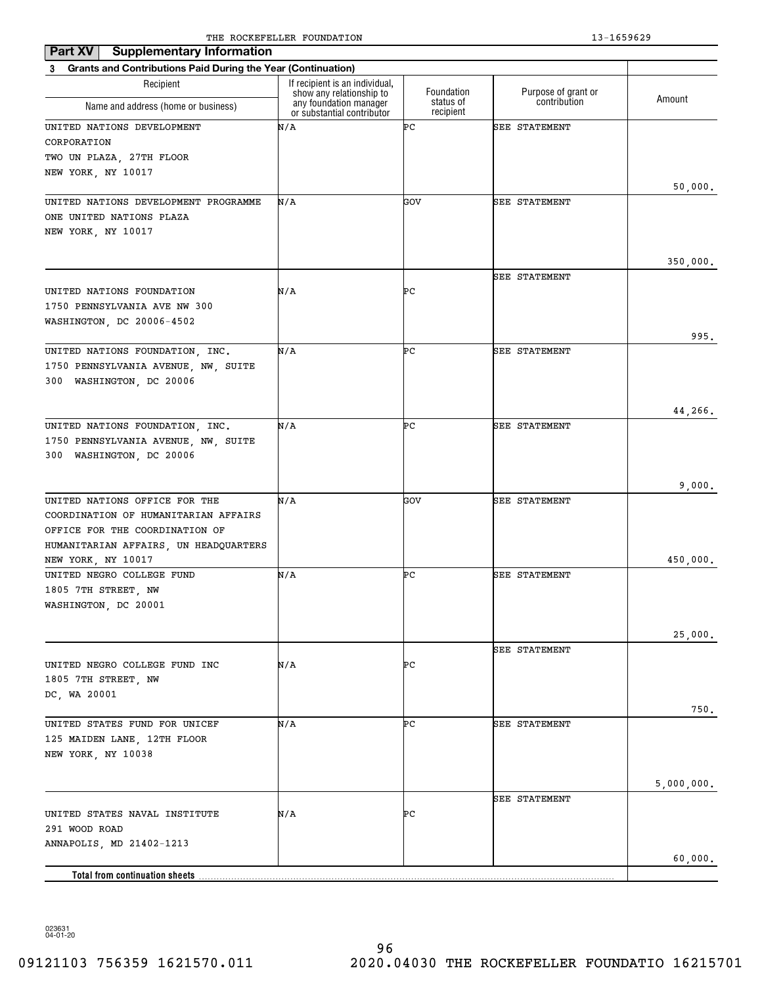| <b>Supplementary Information</b><br>Part XV                              |                                                            |                        |                      |            |
|--------------------------------------------------------------------------|------------------------------------------------------------|------------------------|----------------------|------------|
| <b>Grants and Contributions Paid During the Year (Continuation)</b><br>3 |                                                            |                        |                      |            |
| Recipient                                                                | If recipient is an individual,<br>show any relationship to | Foundation             | Purpose of grant or  |            |
| Name and address (home or business)                                      | any foundation manager<br>or substantial contributor       | status of<br>recipient | contribution         | Amount     |
| UNITED NATIONS DEVELOPMENT                                               | N/A                                                        | ÞС                     | <b>SEE STATEMENT</b> |            |
| CORPORATION                                                              |                                                            |                        |                      |            |
| TWO UN PLAZA, 27TH FLOOR                                                 |                                                            |                        |                      |            |
| NEW YORK, NY 10017                                                       |                                                            |                        |                      |            |
| UNITED NATIONS DEVELOPMENT PROGRAMME                                     | N/A                                                        | GOV                    | SEE STATEMENT        | 50,000.    |
| ONE UNITED NATIONS PLAZA                                                 |                                                            |                        |                      |            |
| NEW YORK, NY 10017                                                       |                                                            |                        |                      |            |
|                                                                          |                                                            |                        |                      |            |
|                                                                          |                                                            |                        |                      | 350,000.   |
|                                                                          |                                                            |                        | <b>SEE STATEMENT</b> |            |
| UNITED NATIONS FOUNDATION                                                | N/A                                                        | ÞС                     |                      |            |
| 1750 PENNSYLVANIA AVE NW 300                                             |                                                            |                        |                      |            |
| WASHINGTON, DC 20006-4502                                                |                                                            |                        |                      |            |
|                                                                          |                                                            |                        |                      | 995.       |
| UNITED NATIONS FOUNDATION, INC.                                          | N/A                                                        | ÞС                     | <b>SEE STATEMENT</b> |            |
| 1750 PENNSYLVANIA AVENUE, NW, SUITE                                      |                                                            |                        |                      |            |
| 300 WASHINGTON, DC 20006                                                 |                                                            |                        |                      |            |
|                                                                          |                                                            |                        |                      | 44,266.    |
| UNITED NATIONS FOUNDATION, INC.                                          | N/A                                                        | ÞС                     | <b>SEE STATEMENT</b> |            |
| 1750 PENNSYLVANIA AVENUE, NW, SUITE                                      |                                                            |                        |                      |            |
| 300 WASHINGTON, DC 20006                                                 |                                                            |                        |                      |            |
|                                                                          |                                                            |                        |                      |            |
|                                                                          |                                                            |                        |                      | 9,000.     |
| UNITED NATIONS OFFICE FOR THE                                            | N/A                                                        | GOV                    | <b>SEE STATEMENT</b> |            |
| COORDINATION OF HUMANITARIAN AFFAIRS                                     |                                                            |                        |                      |            |
| OFFICE FOR THE COORDINATION OF                                           |                                                            |                        |                      |            |
| HUMANITARIAN AFFAIRS, UN HEADQUARTERS                                    |                                                            |                        |                      |            |
| NEW YORK, NY 10017<br>UNITED NEGRO COLLEGE FUND                          | N/A                                                        | ÞС                     | <b>SEE STATEMENT</b> | 450,000.   |
| 1805 7TH STREET, NW                                                      |                                                            |                        |                      |            |
| WASHINGTON, DC 20001                                                     |                                                            |                        |                      |            |
|                                                                          |                                                            |                        |                      |            |
|                                                                          |                                                            |                        |                      | 25,000.    |
|                                                                          |                                                            |                        | <b>SEE STATEMENT</b> |            |
| UNITED NEGRO COLLEGE FUND INC                                            | N/A                                                        | ÞС                     |                      |            |
| 1805 7TH STREET, NW                                                      |                                                            |                        |                      |            |
| DC, WA 20001                                                             |                                                            |                        |                      |            |
|                                                                          |                                                            |                        |                      | 750.       |
| UNITED STATES FUND FOR UNICEF                                            | N/A                                                        | ÞС                     | <b>SEE STATEMENT</b> |            |
| 125 MAIDEN LANE, 12TH FLOOR                                              |                                                            |                        |                      |            |
| NEW YORK, NY 10038                                                       |                                                            |                        |                      |            |
|                                                                          |                                                            |                        |                      |            |
|                                                                          |                                                            |                        | SEE STATEMENT        | 5,000,000. |
| UNITED STATES NAVAL INSTITUTE                                            | N/A                                                        | ÞС                     |                      |            |
| 291 WOOD ROAD                                                            |                                                            |                        |                      |            |
| ANNAPOLIS, MD 21402-1213                                                 |                                                            |                        |                      |            |
|                                                                          |                                                            |                        |                      | 60,000.    |
| <b>Total from continuation sheets</b>                                    |                                                            |                        |                      |            |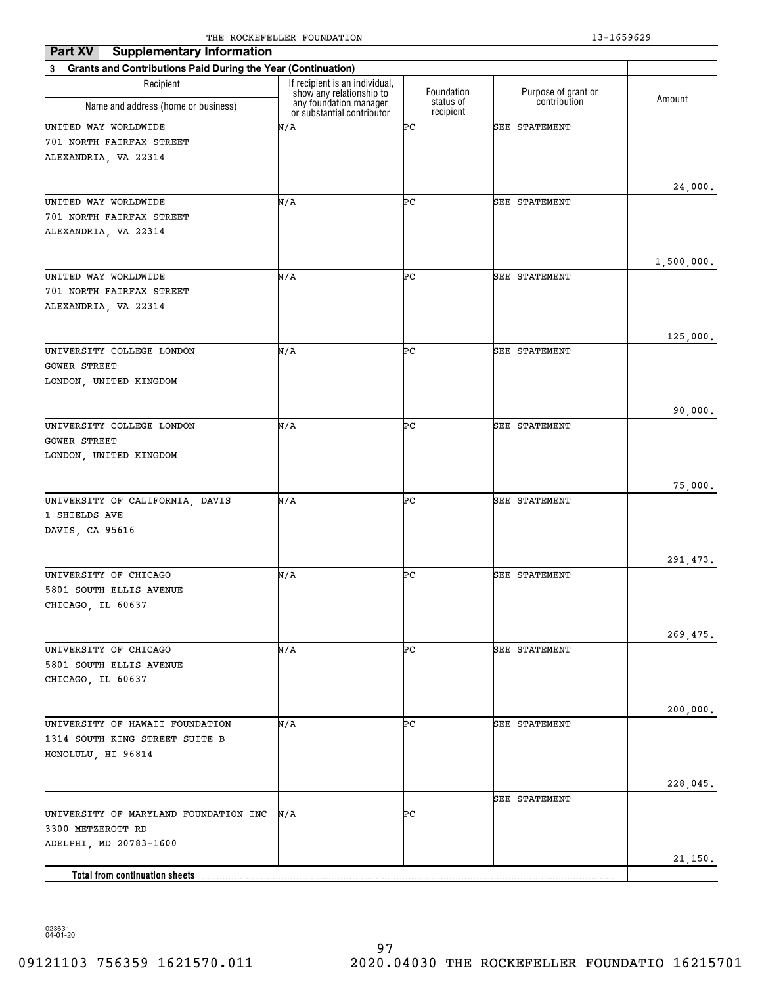| <b>Supplementary Information</b><br>Part XV                              | THE ROCKEL BEER I CONDITION                                |                        |                      | 19 TANNAN  |
|--------------------------------------------------------------------------|------------------------------------------------------------|------------------------|----------------------|------------|
| <b>Grants and Contributions Paid During the Year (Continuation)</b><br>3 |                                                            |                        |                      |            |
| Recipient                                                                | If recipient is an individual,<br>show any relationship to | Foundation             | Purpose of grant or  |            |
| Name and address (home or business)                                      | any foundation manager<br>or substantial contributor       | status of<br>recipient | contribution         | Amount     |
| UNITED WAY WORLDWIDE                                                     | N/A                                                        | ÞС                     | SEE STATEMENT        |            |
| 701 NORTH FAIRFAX STREET                                                 |                                                            |                        |                      |            |
| ALEXANDRIA, VA 22314                                                     |                                                            |                        |                      |            |
|                                                                          |                                                            |                        |                      |            |
| UNITED WAY WORLDWIDE                                                     | N/A                                                        | ÞС                     | <b>SEE STATEMENT</b> | 24,000.    |
| 701 NORTH FAIRFAX STREET                                                 |                                                            |                        |                      |            |
| ALEXANDRIA, VA 22314                                                     |                                                            |                        |                      |            |
|                                                                          |                                                            |                        |                      |            |
|                                                                          |                                                            |                        |                      | 1,500,000. |
| UNITED WAY WORLDWIDE                                                     | N/A                                                        | ÞС                     | <b>SEE STATEMENT</b> |            |
| 701 NORTH FAIRFAX STREET                                                 |                                                            |                        |                      |            |
| ALEXANDRIA, VA 22314                                                     |                                                            |                        |                      |            |
|                                                                          |                                                            |                        |                      |            |
|                                                                          |                                                            |                        |                      | 125,000.   |
| UNIVERSITY COLLEGE LONDON                                                | N/A                                                        | ÞС                     | <b>SEE STATEMENT</b> |            |
| <b>GOWER STREET</b><br>LONDON, UNITED KINGDOM                            |                                                            |                        |                      |            |
|                                                                          |                                                            |                        |                      |            |
|                                                                          |                                                            |                        |                      | 90,000.    |
| UNIVERSITY COLLEGE LONDON                                                | N/A                                                        | ÞС                     | <b>SEE STATEMENT</b> |            |
| <b>GOWER STREET</b>                                                      |                                                            |                        |                      |            |
| LONDON, UNITED KINGDOM                                                   |                                                            |                        |                      |            |
|                                                                          |                                                            |                        |                      |            |
|                                                                          |                                                            |                        |                      | 75,000.    |
| UNIVERSITY OF CALIFORNIA, DAVIS                                          | N/A                                                        | ÞС                     | <b>SEE STATEMENT</b> |            |
| 1 SHIELDS AVE<br>DAVIS, CA 95616                                         |                                                            |                        |                      |            |
|                                                                          |                                                            |                        |                      |            |
|                                                                          |                                                            |                        |                      | 291,473.   |
| UNIVERSITY OF CHICAGO                                                    | N/A                                                        | ÞС                     | <b>SEE STATEMENT</b> |            |
| 5801 SOUTH ELLIS AVENUE                                                  |                                                            |                        |                      |            |
| CHICAGO, IL 60637                                                        |                                                            |                        |                      |            |
|                                                                          |                                                            |                        |                      |            |
|                                                                          |                                                            |                        |                      | 269,475.   |
| UNIVERSITY OF CHICAGO                                                    | N/A                                                        | ÞС                     | SEE STATEMENT        |            |
| 5801 SOUTH ELLIS AVENUE                                                  |                                                            |                        |                      |            |
| CHICAGO, IL 60637                                                        |                                                            |                        |                      |            |
|                                                                          |                                                            |                        |                      | 200,000.   |
| UNIVERSITY OF HAWAII FOUNDATION                                          | N/A                                                        | ÞС                     | SEE STATEMENT        |            |
| 1314 SOUTH KING STREET SUITE B                                           |                                                            |                        |                      |            |
| HONOLULU, HI 96814                                                       |                                                            |                        |                      |            |
|                                                                          |                                                            |                        |                      |            |
|                                                                          |                                                            |                        |                      | 228,045.   |
|                                                                          |                                                            |                        | SEE STATEMENT        |            |
| UNIVERSITY OF MARYLAND FOUNDATION INC                                    | N/A                                                        | ÞС                     |                      |            |
| 3300 METZEROTT RD                                                        |                                                            |                        |                      |            |
| ADELPHI, MD 20783-1600                                                   |                                                            |                        |                      |            |
|                                                                          |                                                            |                        |                      | 21,150.    |
|                                                                          |                                                            |                        |                      |            |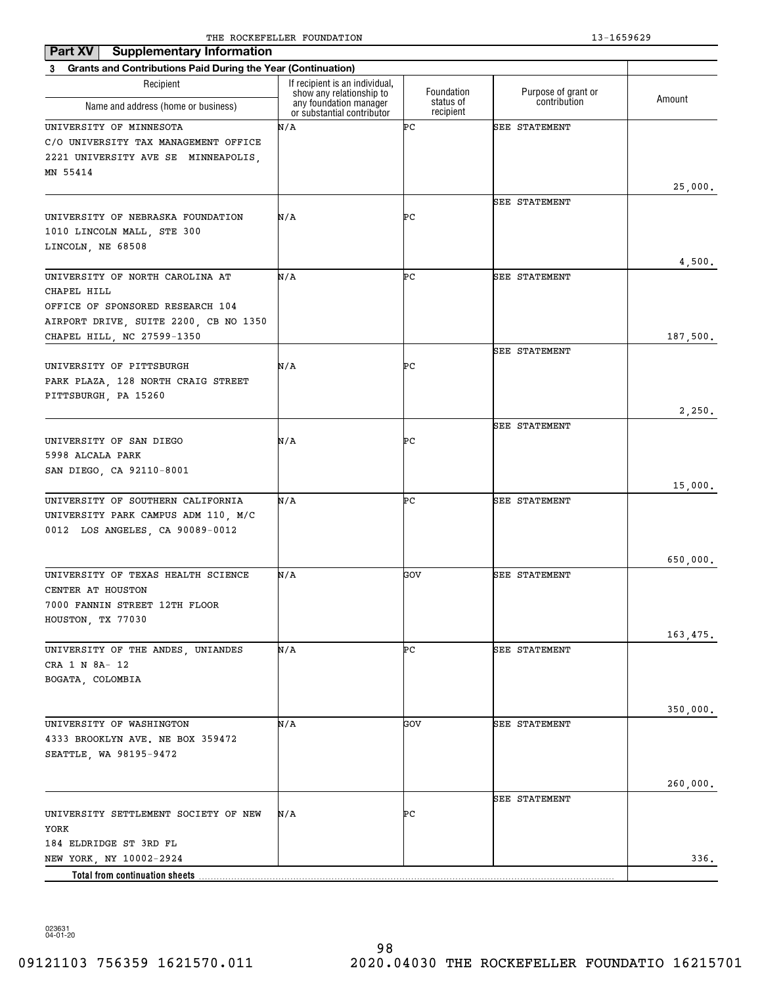| Part XV                                                        | <b>Supplementary Information</b>                           |                        |                      |          |
|----------------------------------------------------------------|------------------------------------------------------------|------------------------|----------------------|----------|
| 3 Grants and Contributions Paid During the Year (Continuation) |                                                            |                        |                      |          |
| Recipient                                                      | If recipient is an individual,<br>show any relationship to | Foundation             | Purpose of grant or  | Amount   |
| Name and address (home or business)                            | any foundation manager<br>or substantial contributor       | status of<br>recipient | contribution         |          |
| UNIVERSITY OF MINNESOTA                                        | N/A                                                        | ÞС                     | <b>SEE STATEMENT</b> |          |
| C/O UNIVERSITY TAX MANAGEMENT OFFICE                           |                                                            |                        |                      |          |
| 2221 UNIVERSITY AVE SE MINNEAPOLIS,                            |                                                            |                        |                      |          |
| MN 55414                                                       |                                                            |                        |                      |          |
|                                                                |                                                            |                        | <b>SEE STATEMENT</b> | 25,000.  |
| UNIVERSITY OF NEBRASKA FOUNDATION                              | N/A                                                        | ÞС                     |                      |          |
| 1010 LINCOLN MALL, STE 300                                     |                                                            |                        |                      |          |
| LINCOLN, NE 68508                                              |                                                            |                        |                      |          |
|                                                                |                                                            |                        |                      | 4,500.   |
| UNIVERSITY OF NORTH CAROLINA AT                                | N/A                                                        | ÞС                     | <b>SEE STATEMENT</b> |          |
| CHAPEL HILL                                                    |                                                            |                        |                      |          |
| OFFICE OF SPONSORED RESEARCH 104                               |                                                            |                        |                      |          |
| AIRPORT DRIVE, SUITE 2200, CB NO 1350                          |                                                            |                        |                      |          |
| CHAPEL HILL, NC 27599-1350                                     |                                                            |                        |                      | 187,500. |
|                                                                |                                                            | ÞС                     | <b>SEE STATEMENT</b> |          |
| UNIVERSITY OF PITTSBURGH<br>PARK PLAZA, 128 NORTH CRAIG STREET | N/A                                                        |                        |                      |          |
| PITTSBURGH, PA 15260                                           |                                                            |                        |                      |          |
|                                                                |                                                            |                        |                      | 2,250.   |
|                                                                |                                                            |                        | <b>SEE STATEMENT</b> |          |
| UNIVERSITY OF SAN DIEGO                                        | N/A                                                        | ÞС                     |                      |          |
| 5998 ALCALA PARK                                               |                                                            |                        |                      |          |
| SAN DIEGO, CA 92110-8001                                       |                                                            |                        |                      |          |
|                                                                |                                                            |                        |                      | 15,000.  |
| UNIVERSITY OF SOUTHERN CALIFORNIA                              | N/A                                                        | ÞС                     | <b>SEE STATEMENT</b> |          |
| UNIVERSITY PARK CAMPUS ADM 110, M/C                            |                                                            |                        |                      |          |
| 0012 LOS ANGELES, CA 90089-0012                                |                                                            |                        |                      |          |
|                                                                |                                                            |                        |                      | 650,000. |
| UNIVERSITY OF TEXAS HEALTH SCIENCE                             | N/A                                                        | GOV                    | <b>SEE STATEMENT</b> |          |
| CENTER AT HOUSTON                                              |                                                            |                        |                      |          |
| 7000 FANNIN STREET 12TH FLOOR                                  |                                                            |                        |                      |          |
| HOUSTON, TX 77030                                              |                                                            |                        |                      |          |
|                                                                |                                                            |                        |                      | 163,475. |
| UNIVERSITY OF THE ANDES, UNIANDES                              | N/A                                                        | ÞС                     | <b>SEE STATEMENT</b> |          |
| CRA 1 N 8A- 12                                                 |                                                            |                        |                      |          |
| BOGATA, COLOMBIA                                               |                                                            |                        |                      |          |
|                                                                |                                                            |                        |                      | 350,000. |
| UNIVERSITY OF WASHINGTON                                       | N/A                                                        | GOV                    | SEE STATEMENT        |          |
| 4333 BROOKLYN AVE. NE BOX 359472                               |                                                            |                        |                      |          |
| SEATTLE, WA 98195-9472                                         |                                                            |                        |                      |          |
|                                                                |                                                            |                        |                      |          |
|                                                                |                                                            |                        |                      | 260,000. |
|                                                                |                                                            |                        | <b>SEE STATEMENT</b> |          |
| UNIVERSITY SETTLEMENT SOCIETY OF NEW                           | N/A                                                        | ÞС                     |                      |          |
| YORK                                                           |                                                            |                        |                      |          |
| 184 ELDRIDGE ST 3RD FL                                         |                                                            |                        |                      | 336.     |
| NEW YORK, NY 10002-2924                                        |                                                            |                        |                      |          |
| Total from continuation sheets                                 |                                                            |                        |                      |          |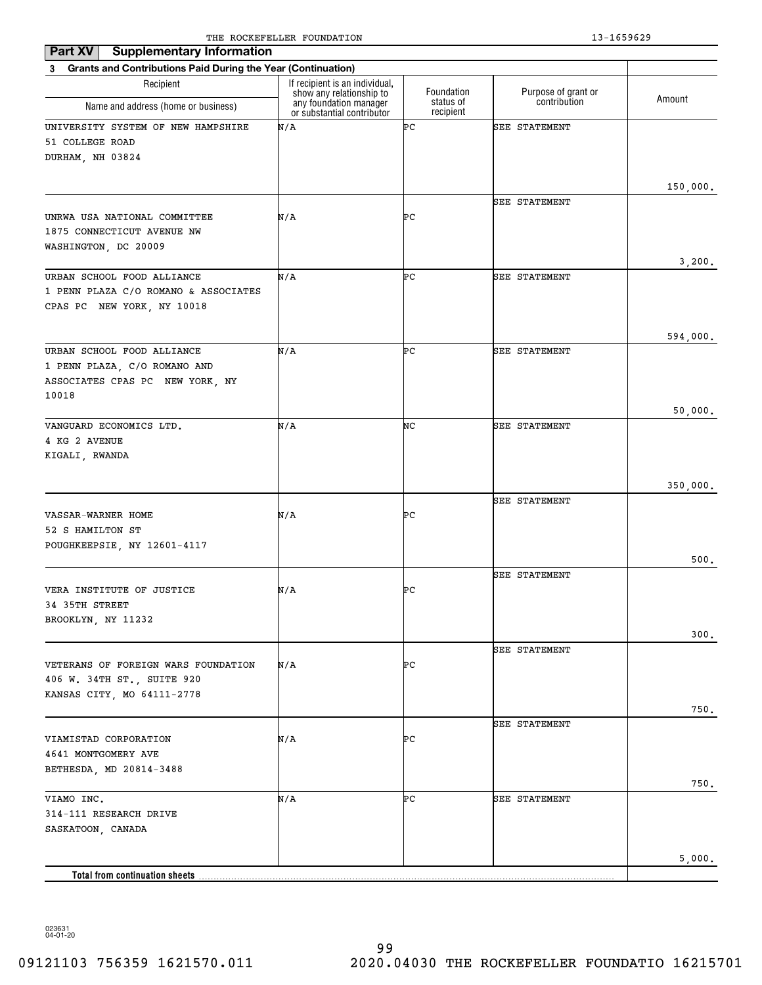| <b>Supplementary Information</b><br>Part XV                    |                                                                                      |                         |                                     |          |
|----------------------------------------------------------------|--------------------------------------------------------------------------------------|-------------------------|-------------------------------------|----------|
| 3 Grants and Contributions Paid During the Year (Continuation) |                                                                                      |                         |                                     |          |
| Recipient<br>Name and address (home or business)               | If recipient is an individual,<br>show any relationship to<br>any foundation manager | Foundation<br>status of | Purpose of grant or<br>contribution | Amount   |
|                                                                | or substantial contributor                                                           | recipient               |                                     |          |
| UNIVERSITY SYSTEM OF NEW HAMPSHIRE                             | N/A                                                                                  | ÞС                      | <b>SEE STATEMENT</b>                |          |
| 51 COLLEGE ROAD<br>DURHAM, NH 03824                            |                                                                                      |                         |                                     |          |
|                                                                |                                                                                      |                         |                                     |          |
|                                                                |                                                                                      |                         |                                     | 150,000. |
|                                                                |                                                                                      |                         | SEE STATEMENT                       |          |
| UNRWA USA NATIONAL COMMITTEE                                   | N/A                                                                                  | ÞС                      |                                     |          |
| 1875 CONNECTICUT AVENUE NW                                     |                                                                                      |                         |                                     |          |
| WASHINGTON, DC 20009                                           |                                                                                      |                         |                                     | 3,200.   |
| URBAN SCHOOL FOOD ALLIANCE                                     | N/A                                                                                  | ÞС                      | SEE STATEMENT                       |          |
| 1 PENN PLAZA C/O ROMANO & ASSOCIATES                           |                                                                                      |                         |                                     |          |
| CPAS PC NEW YORK, NY 10018                                     |                                                                                      |                         |                                     |          |
|                                                                |                                                                                      |                         |                                     |          |
|                                                                |                                                                                      | ÞС                      | SEE STATEMENT                       | 594,000. |
| URBAN SCHOOL FOOD ALLIANCE<br>1 PENN PLAZA, C/O ROMANO AND     | N/A                                                                                  |                         |                                     |          |
| ASSOCIATES CPAS PC NEW YORK, NY                                |                                                                                      |                         |                                     |          |
| 10018                                                          |                                                                                      |                         |                                     |          |
|                                                                |                                                                                      |                         |                                     | 50,000.  |
| VANGUARD ECONOMICS LTD.                                        | N/A                                                                                  | NC                      | <b>SEE STATEMENT</b>                |          |
| 4 KG 2 AVENUE                                                  |                                                                                      |                         |                                     |          |
| KIGALI, RWANDA                                                 |                                                                                      |                         |                                     |          |
|                                                                |                                                                                      |                         |                                     | 350,000. |
|                                                                |                                                                                      |                         | <b>SEE STATEMENT</b>                |          |
| VASSAR-WARNER HOME                                             | N/A                                                                                  | ÞС                      |                                     |          |
| 52 S HAMILTON ST                                               |                                                                                      |                         |                                     |          |
| POUGHKEEPSIE, NY 12601-4117                                    |                                                                                      |                         |                                     | 500.     |
|                                                                |                                                                                      |                         | SEE STATEMENT                       |          |
| VERA INSTITUTE OF JUSTICE                                      | N/A                                                                                  | ÞС                      |                                     |          |
| 34 35TH STREET                                                 |                                                                                      |                         |                                     |          |
| BROOKLYN, NY 11232                                             |                                                                                      |                         |                                     |          |
|                                                                |                                                                                      |                         |                                     | 300.     |
| VETERANS OF FOREIGN WARS FOUNDATION                            | N/A                                                                                  | ÞС                      | <b>SEE STATEMENT</b>                |          |
| 406 W. 34TH ST., SUITE 920                                     |                                                                                      |                         |                                     |          |
| KANSAS CITY, MO 64111-2778                                     |                                                                                      |                         |                                     |          |
|                                                                |                                                                                      |                         |                                     | 750.     |
|                                                                |                                                                                      |                         | <b>SEE STATEMENT</b>                |          |
| VIAMISTAD CORPORATION                                          | N/A                                                                                  | ÞС                      |                                     |          |
| 4641 MONTGOMERY AVE                                            |                                                                                      |                         |                                     |          |
| BETHESDA, MD 20814-3488                                        |                                                                                      |                         |                                     | 750.     |
| VIAMO INC.                                                     | N/A                                                                                  | ÞС                      | <b>SEE STATEMENT</b>                |          |
| 314-111 RESEARCH DRIVE                                         |                                                                                      |                         |                                     |          |
| SASKATOON, CANADA                                              |                                                                                      |                         |                                     |          |
|                                                                |                                                                                      |                         |                                     |          |
|                                                                |                                                                                      |                         |                                     | 5,000.   |
| Total from continuation sheets                                 |                                                                                      |                         |                                     |          |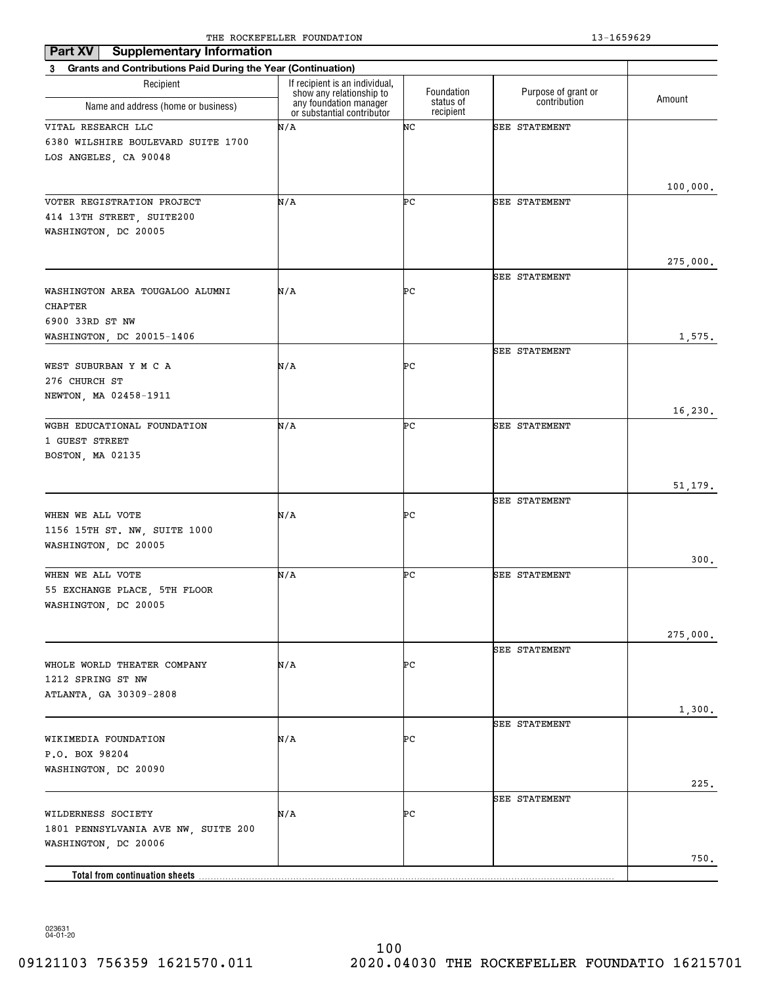| <b>Supplementary Information</b><br>Part XV                                                       |                                                            |                        |                     |                    |
|---------------------------------------------------------------------------------------------------|------------------------------------------------------------|------------------------|---------------------|--------------------|
| <b>Grants and Contributions Paid During the Year (Continuation)</b><br>3                          |                                                            |                        |                     |                    |
| Recipient                                                                                         | If recipient is an individual,<br>show any relationship to | Foundation             | Purpose of grant or |                    |
| Name and address (home or business)                                                               | any foundation manager<br>or substantial contributor       | status of<br>recipient | contribution        | Amount             |
| VITAL RESEARCH LLC<br>6380 WILSHIRE BOULEVARD SUITE 1700<br>LOS ANGELES, CA 90048                 | N/A                                                        | NC                     | SEE STATEMENT       |                    |
| VOTER REGISTRATION PROJECT<br>414 13TH STREET, SUITE200<br>WASHINGTON, DC 20005                   | N/A                                                        | ÞС                     | SEE STATEMENT       | 100,000.           |
| WASHINGTON AREA TOUGALOO ALUMNI<br><b>CHAPTER</b><br>6900 33RD ST NW<br>WASHINGTON, DC 20015-1406 | N/A                                                        | ÞС                     | SEE STATEMENT       | 275,000.<br>1,575. |
| WEST SUBURBAN Y M C A<br>276 CHURCH ST<br>NEWTON, MA 02458-1911                                   | N/A                                                        | ÞС                     | SEE STATEMENT       |                    |
| WGBH EDUCATIONAL FOUNDATION<br>1 GUEST STREET<br>BOSTON, MA 02135                                 | N/A                                                        | ÞС                     | SEE STATEMENT       | 16,230.            |
| WHEN WE ALL VOTE<br>1156 15TH ST. NW, SUITE 1000<br>WASHINGTON, DC 20005                          | N/A                                                        | ÞС                     | SEE STATEMENT       | 51,179.            |
| WHEN WE ALL VOTE<br>55 EXCHANGE PLACE, 5TH FLOOR<br>WASHINGTON, DC 20005                          | N/A                                                        | ÞС                     | SEE STATEMENT       | 300.               |
| WHOLE WORLD THEATER COMPANY<br>1212 SPRING ST NW<br>ATLANTA, GA 30309-2808                        | N/A                                                        | ÞС                     | SEE STATEMENT       | 275,000.<br>1,300. |
| WIKIMEDIA FOUNDATION<br>P.O. BOX 98204<br>WASHINGTON, DC 20090                                    | N/A                                                        | ÞС                     | SEE STATEMENT       | 225.               |
| WILDERNESS SOCIETY<br>1801 PENNSYLVANIA AVE NW, SUITE 200<br>WASHINGTON, DC 20006                 | N/A                                                        | ÞС                     | SEE STATEMENT       | 750.               |
| Total from continuation sheets                                                                    |                                                            |                        |                     |                    |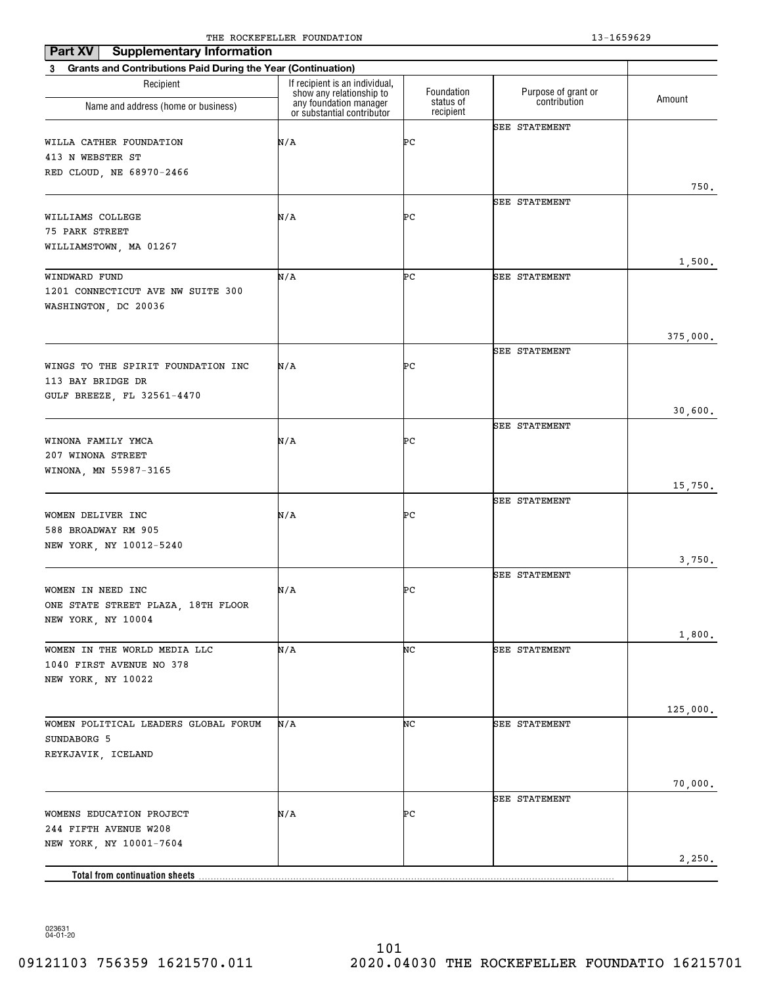| <b>Supplementary Information</b><br>Part XV                    |                                                            |                        |                      |          |
|----------------------------------------------------------------|------------------------------------------------------------|------------------------|----------------------|----------|
| 3 Grants and Contributions Paid During the Year (Continuation) |                                                            |                        |                      |          |
| Recipient                                                      | If recipient is an individual,<br>show any relationship to | Foundation             | Purpose of grant or  | Amount   |
| Name and address (home or business)                            | any foundation manager<br>or substantial contributor       | status of<br>recipient | contribution         |          |
|                                                                |                                                            |                        | <b>SEE STATEMENT</b> |          |
| WILLA CATHER FOUNDATION                                        | N/A                                                        | ÞС                     |                      |          |
| 413 N WEBSTER ST<br>RED CLOUD, NE 68970-2466                   |                                                            |                        |                      |          |
|                                                                |                                                            |                        |                      | 750.     |
|                                                                |                                                            |                        | <b>SEE STATEMENT</b> |          |
| WILLIAMS COLLEGE                                               | N/A                                                        | ÞС                     |                      |          |
| 75 PARK STREET                                                 |                                                            |                        |                      |          |
| WILLIAMSTOWN, MA 01267                                         |                                                            |                        |                      |          |
| WINDWARD FUND                                                  | N/A                                                        | ÞС                     | <b>SEE STATEMENT</b> | 1,500.   |
| 1201 CONNECTICUT AVE NW SUITE 300                              |                                                            |                        |                      |          |
| WASHINGTON, DC 20036                                           |                                                            |                        |                      |          |
|                                                                |                                                            |                        |                      |          |
|                                                                |                                                            |                        |                      | 375,000. |
|                                                                |                                                            |                        | SEE STATEMENT        |          |
| WINGS TO THE SPIRIT FOUNDATION INC<br>113 BAY BRIDGE DR        | N/A                                                        | ÞС                     |                      |          |
| GULF BREEZE, FL 32561-4470                                     |                                                            |                        |                      |          |
|                                                                |                                                            |                        |                      | 30,600.  |
|                                                                |                                                            |                        | SEE STATEMENT        |          |
| WINONA FAMILY YMCA                                             | N/A                                                        | ÞС                     |                      |          |
| 207 WINONA STREET                                              |                                                            |                        |                      |          |
| WINONA, MN 55987-3165                                          |                                                            |                        |                      |          |
|                                                                |                                                            |                        | <b>SEE STATEMENT</b> | 15,750.  |
| WOMEN DELIVER INC                                              | N/A                                                        | ÞС                     |                      |          |
| 588 BROADWAY RM 905                                            |                                                            |                        |                      |          |
| NEW YORK, NY 10012-5240                                        |                                                            |                        |                      |          |
|                                                                |                                                            |                        |                      | 3,750.   |
|                                                                |                                                            |                        | SEE STATEMENT        |          |
| WOMEN IN NEED INC<br>ONE STATE STREET PLAZA, 18TH FLOOR        | N/A                                                        | PС                     |                      |          |
| NEW YORK, NY 10004                                             |                                                            |                        |                      |          |
|                                                                |                                                            |                        |                      | 1,800.   |
| WOMEN IN THE WORLD MEDIA LLC                                   | N/A                                                        | NC                     | SEE STATEMENT        |          |
| 1040 FIRST AVENUE NO 378                                       |                                                            |                        |                      |          |
| NEW YORK, NY 10022                                             |                                                            |                        |                      |          |
|                                                                |                                                            |                        |                      |          |
| WOMEN POLITICAL LEADERS GLOBAL FORUM                           | N/A                                                        | NC                     | SEE STATEMENT        | 125,000. |
| SUNDABORG 5                                                    |                                                            |                        |                      |          |
| REYKJAVIK, ICELAND                                             |                                                            |                        |                      |          |
|                                                                |                                                            |                        |                      |          |
|                                                                |                                                            |                        |                      | 70,000.  |
|                                                                |                                                            |                        | SEE STATEMENT        |          |
| WOMENS EDUCATION PROJECT<br>244 FIFTH AVENUE W208              | N/A                                                        | PС                     |                      |          |
| NEW YORK, NY 10001-7604                                        |                                                            |                        |                      |          |
|                                                                |                                                            |                        |                      | 2,250.   |
| Total from continuation sheets                                 |                                                            |                        |                      |          |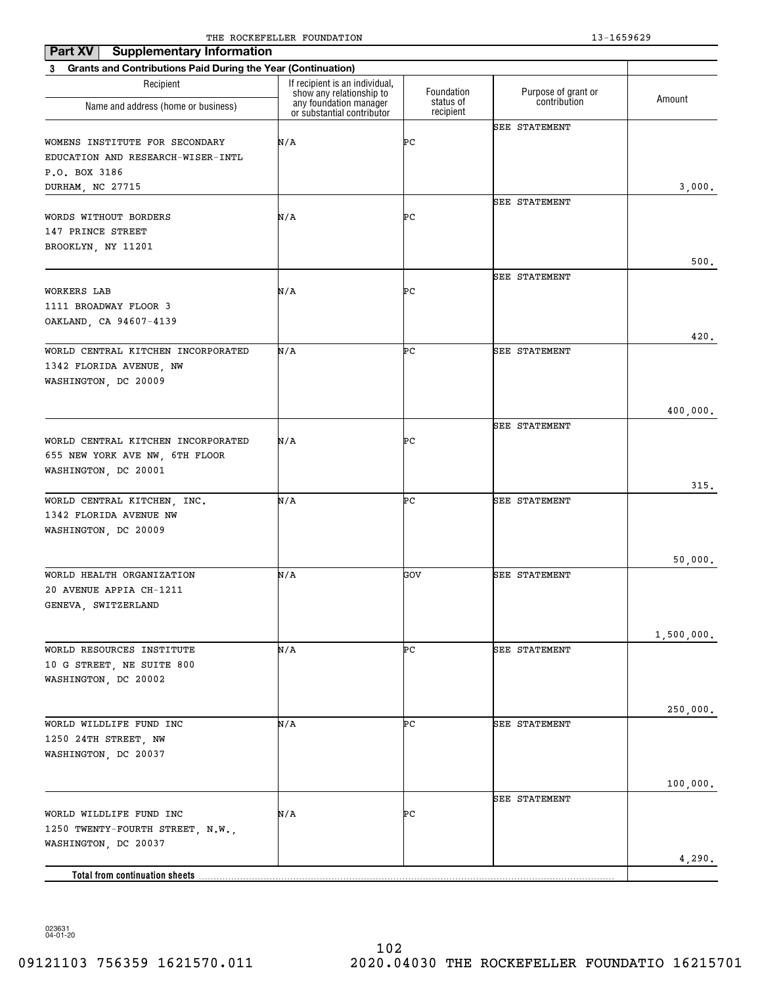| <b>Supplementary Information</b><br>Part XV                                                              |                                                            |                        |                      |                      |
|----------------------------------------------------------------------------------------------------------|------------------------------------------------------------|------------------------|----------------------|----------------------|
| <b>Grants and Contributions Paid During the Year (Continuation)</b><br>3                                 |                                                            |                        |                      |                      |
| Recipient                                                                                                | If recipient is an individual,<br>show any relationship to | Foundation             | Purpose of grant or  | Amount               |
| Name and address (home or business)                                                                      | any foundation manager<br>or substantial contributor       | status of<br>recipient | contribution         |                      |
| WOMENS INSTITUTE FOR SECONDARY<br>EDUCATION AND RESEARCH-WISER-INTL<br>P.O. BOX 3186<br>DURHAM, NC 27715 | N/A                                                        | ÞС                     | <b>SEE STATEMENT</b> | 3,000.               |
| WORDS WITHOUT BORDERS<br>147 PRINCE STREET<br>BROOKLYN, NY 11201                                         | N/A                                                        | ÞС                     | SEE STATEMENT        | 500.                 |
| WORKERS LAB<br>1111 BROADWAY FLOOR 3<br>OAKLAND, CA 94607-4139                                           | N/A                                                        | ÞС                     | SEE STATEMENT        | 420.                 |
| WORLD CENTRAL KITCHEN INCORPORATED<br>1342 FLORIDA AVENUE, NW<br>WASHINGTON, DC 20009                    | N/A                                                        | ÞС                     | <b>SEE STATEMENT</b> |                      |
| WORLD CENTRAL KITCHEN INCORPORATED<br>655 NEW YORK AVE NW, 6TH FLOOR<br>WASHINGTON, DC 20001             | N/A                                                        | ÞС                     | SEE STATEMENT        | 400,000.<br>315.     |
| WORLD CENTRAL KITCHEN, INC.<br>1342 FLORIDA AVENUE NW<br>WASHINGTON, DC 20009                            | N/A                                                        | ÞС                     | SEE STATEMENT        |                      |
| WORLD HEALTH ORGANIZATION<br>20 AVENUE APPIA CH-1211<br>GENEVA, SWITZERLAND                              | N/A                                                        | GOV                    | <b>SEE STATEMENT</b> | 50,000.              |
| WORLD RESOURCES INSTITUTE<br>10 G STREET, NE SUITE 800<br>WASHINGTON, DC 20002                           | N/A                                                        | ÞС                     | SEE STATEMENT        | 1,500,000.           |
| WORLD WILDLIFE FUND INC<br>1250 24TH STREET, NW<br>WASHINGTON, DC 20037                                  | N/A                                                        | ÞС                     | SEE STATEMENT        | 250,000.<br>100,000. |
| WORLD WILDLIFE FUND INC<br>1250 TWENTY-FOURTH STREET, N.W.,<br>WASHINGTON, DC 20037                      | N/A                                                        | ÞС                     | <b>SEE STATEMENT</b> |                      |
| Total from continuation sheets                                                                           |                                                            |                        |                      | 4,290.               |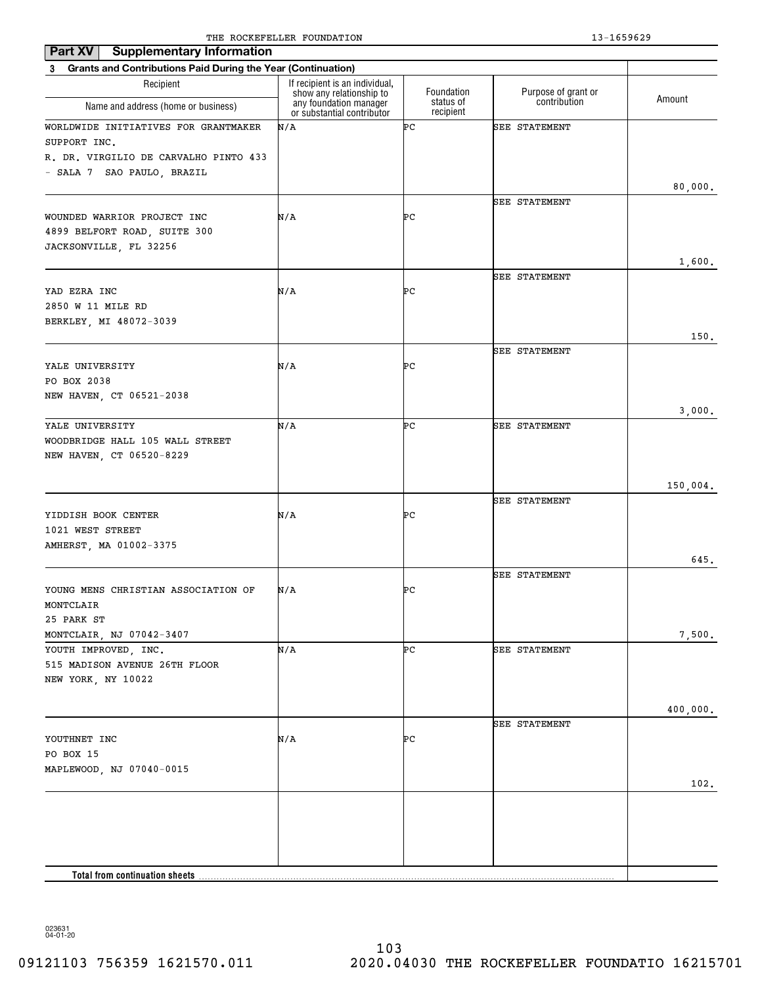| <b>Supplementary Information</b><br>Part XV                              |                                                            |                        |                      |          |
|--------------------------------------------------------------------------|------------------------------------------------------------|------------------------|----------------------|----------|
| <b>Grants and Contributions Paid During the Year (Continuation)</b><br>3 |                                                            |                        |                      |          |
| Recipient                                                                | If recipient is an individual,<br>show any relationship to | Foundation             | Purpose of grant or  |          |
| Name and address (home or business)                                      | any foundation manager<br>or substantial contributor       | status of<br>recipient | contribution         | Amount   |
| WORLDWIDE INITIATIVES FOR GRANTMAKER                                     | N/A                                                        | ÞС                     | <b>SEE STATEMENT</b> |          |
| SUPPORT INC.                                                             |                                                            |                        |                      |          |
| R. DR. VIRGILIO DE CARVALHO PINTO 433                                    |                                                            |                        |                      |          |
| - SALA 7 SAO PAULO, BRAZIL                                               |                                                            |                        |                      |          |
|                                                                          |                                                            |                        |                      | 80,000.  |
|                                                                          |                                                            |                        | <b>SEE STATEMENT</b> |          |
| WOUNDED WARRIOR PROJECT INC<br>4899 BELFORT ROAD, SUITE 300              | N/A                                                        | ÞС                     |                      |          |
| JACKSONVILLE, FL 32256                                                   |                                                            |                        |                      |          |
|                                                                          |                                                            |                        |                      | 1,600.   |
|                                                                          |                                                            |                        | <b>SEE STATEMENT</b> |          |
| YAD EZRA INC                                                             | N/A                                                        | ÞС                     |                      |          |
| 2850 W 11 MILE RD                                                        |                                                            |                        |                      |          |
| BERKLEY, MI 48072-3039                                                   |                                                            |                        |                      |          |
|                                                                          |                                                            |                        |                      | 150.     |
|                                                                          |                                                            |                        | SEE STATEMENT        |          |
| YALE UNIVERSITY                                                          | N/A                                                        | ÞС                     |                      |          |
| PO BOX 2038                                                              |                                                            |                        |                      |          |
| NEW HAVEN, CT 06521-2038                                                 |                                                            |                        |                      |          |
|                                                                          |                                                            |                        |                      | 3,000.   |
| YALE UNIVERSITY                                                          | N/A                                                        | ÞС                     | <b>SEE STATEMENT</b> |          |
| WOODBRIDGE HALL 105 WALL STREET                                          |                                                            |                        |                      |          |
| NEW HAVEN, CT 06520-8229                                                 |                                                            |                        |                      |          |
|                                                                          |                                                            |                        |                      |          |
|                                                                          |                                                            |                        |                      | 150,004. |
|                                                                          |                                                            |                        | SEE STATEMENT        |          |
| YIDDISH BOOK CENTER<br>1021 WEST STREET                                  | N/A                                                        | ÞС                     |                      |          |
| AMHERST, MA 01002-3375                                                   |                                                            |                        |                      |          |
|                                                                          |                                                            |                        |                      | 645.     |
|                                                                          |                                                            |                        | SEE STATEMENT        |          |
| YOUNG MENS CHRISTIAN ASSOCIATION OF                                      | N/A                                                        | ÞС                     |                      |          |
| MONTCLAIR                                                                |                                                            |                        |                      |          |
| 25 PARK ST                                                               |                                                            |                        |                      |          |
| MONTCLAIR, NJ 07042-3407                                                 |                                                            |                        |                      | 7,500.   |
| YOUTH IMPROVED, INC.                                                     | N/A                                                        | ÞС                     | SEE STATEMENT        |          |
| 515 MADISON AVENUE 26TH FLOOR                                            |                                                            |                        |                      |          |
| NEW YORK, NY 10022                                                       |                                                            |                        |                      |          |
|                                                                          |                                                            |                        |                      |          |
|                                                                          |                                                            |                        |                      | 400,000. |
|                                                                          |                                                            |                        | SEE STATEMENT        |          |
| YOUTHNET INC                                                             | N/A                                                        | ÞС                     |                      |          |
| PO BOX 15                                                                |                                                            |                        |                      |          |
| MAPLEWOOD, NJ 07040-0015                                                 |                                                            |                        |                      |          |
|                                                                          |                                                            |                        |                      | 102.     |
|                                                                          |                                                            |                        |                      |          |
|                                                                          |                                                            |                        |                      |          |
|                                                                          |                                                            |                        |                      |          |
|                                                                          |                                                            |                        |                      |          |
| Total from continuation sheets                                           |                                                            |                        |                      |          |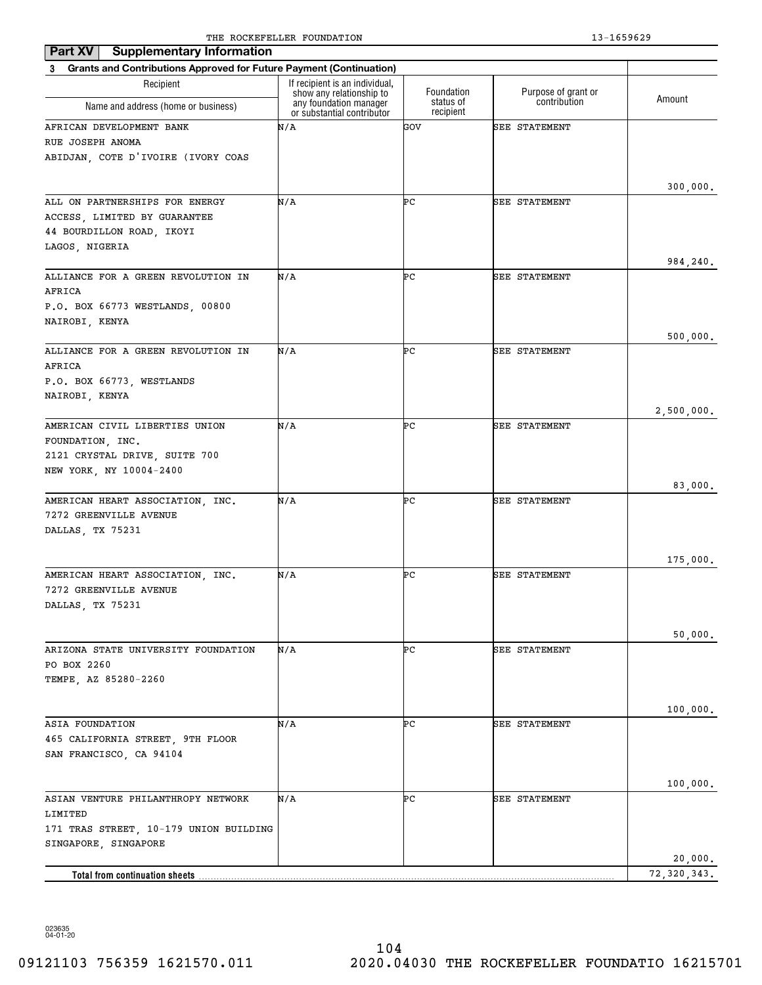| <b>Supplementary Information</b><br>Part XV                           |                                                            |                        |                      |               |
|-----------------------------------------------------------------------|------------------------------------------------------------|------------------------|----------------------|---------------|
| 3 Grants and Contributions Approved for Future Payment (Continuation) |                                                            |                        |                      |               |
| Recipient                                                             | If recipient is an individual,<br>show any relationship to | Foundation             | Purpose of grant or  | Amount        |
| Name and address (home or business)                                   | any foundation manager<br>or substantial contributor       | status of<br>recipient | contribution         |               |
| AFRICAN DEVELOPMENT BANK                                              | N/A                                                        | GOV                    | SEE STATEMENT        |               |
| RUE JOSEPH ANOMA                                                      |                                                            |                        |                      |               |
| ABIDJAN, COTE D'IVOIRE (IVORY COAS                                    |                                                            |                        |                      |               |
|                                                                       |                                                            |                        |                      | 300,000.      |
| ALL ON PARTNERSHIPS FOR ENERGY                                        | N/A                                                        | ÞС                     | <b>SEE STATEMENT</b> |               |
| ACCESS, LIMITED BY GUARANTEE                                          |                                                            |                        |                      |               |
| 44 BOURDILLON ROAD, IKOYI                                             |                                                            |                        |                      |               |
| LAGOS, NIGERIA                                                        |                                                            |                        |                      |               |
|                                                                       |                                                            |                        |                      | 984,240.      |
| ALLIANCE FOR A GREEN REVOLUTION IN<br>AFRICA                          | N/A                                                        | ÞС                     | <b>SEE STATEMENT</b> |               |
| P.O. BOX 66773 WESTLANDS, 00800                                       |                                                            |                        |                      |               |
| NAIROBI, KENYA                                                        |                                                            |                        |                      |               |
|                                                                       |                                                            |                        |                      | 500,000.      |
| ALLIANCE FOR A GREEN REVOLUTION IN                                    | N/A                                                        | ÞС                     | <b>SEE STATEMENT</b> |               |
| AFRICA                                                                |                                                            |                        |                      |               |
| P.O. BOX 66773, WESTLANDS                                             |                                                            |                        |                      |               |
| NAIROBI, KENYA                                                        |                                                            |                        |                      | 2,500,000.    |
| AMERICAN CIVIL LIBERTIES UNION                                        | N/A                                                        | ÞС                     | SEE STATEMENT        |               |
| FOUNDATION, INC.                                                      |                                                            |                        |                      |               |
| 2121 CRYSTAL DRIVE, SUITE 700                                         |                                                            |                        |                      |               |
| NEW YORK, NY 10004-2400                                               |                                                            |                        |                      |               |
|                                                                       | N/A                                                        | ÞС                     | <b>SEE STATEMENT</b> | 83,000.       |
| AMERICAN HEART ASSOCIATION, INC.<br>7272 GREENVILLE AVENUE            |                                                            |                        |                      |               |
| DALLAS, TX 75231                                                      |                                                            |                        |                      |               |
|                                                                       |                                                            |                        |                      |               |
|                                                                       |                                                            |                        |                      | 175,000.      |
| AMERICAN HEART ASSOCIATION, INC.                                      | N/A                                                        | ÞС                     | <b>SEE STATEMENT</b> |               |
| 7272 GREENVILLE AVENUE<br>DALLAS, TX 75231                            |                                                            |                        |                      |               |
|                                                                       |                                                            |                        |                      |               |
|                                                                       |                                                            |                        |                      | 50,000.       |
| ARIZONA STATE UNIVERSITY FOUNDATION                                   | N/A                                                        | ÞС                     | SEE STATEMENT        |               |
| PO BOX 2260                                                           |                                                            |                        |                      |               |
| TEMPE, AZ 85280-2260                                                  |                                                            |                        |                      |               |
|                                                                       |                                                            |                        |                      | 100,000.      |
| ASIA FOUNDATION                                                       | N/A                                                        | ÞС                     | <b>SEE STATEMENT</b> |               |
| 465 CALIFORNIA STREET, 9TH FLOOR                                      |                                                            |                        |                      |               |
| SAN FRANCISCO, CA 94104                                               |                                                            |                        |                      |               |
|                                                                       |                                                            |                        |                      |               |
|                                                                       |                                                            |                        |                      | 100,000.      |
| ASIAN VENTURE PHILANTHROPY NETWORK<br>LIMITED                         | N/A                                                        | ÞС                     | <b>SEE STATEMENT</b> |               |
| 171 TRAS STREET, 10-179 UNION BUILDING                                |                                                            |                        |                      |               |
| SINGAPORE, SINGAPORE                                                  |                                                            |                        |                      |               |
|                                                                       |                                                            |                        |                      | 20,000.       |
| <b>Total from continuation sheets</b>                                 |                                                            |                        |                      | 72, 320, 343. |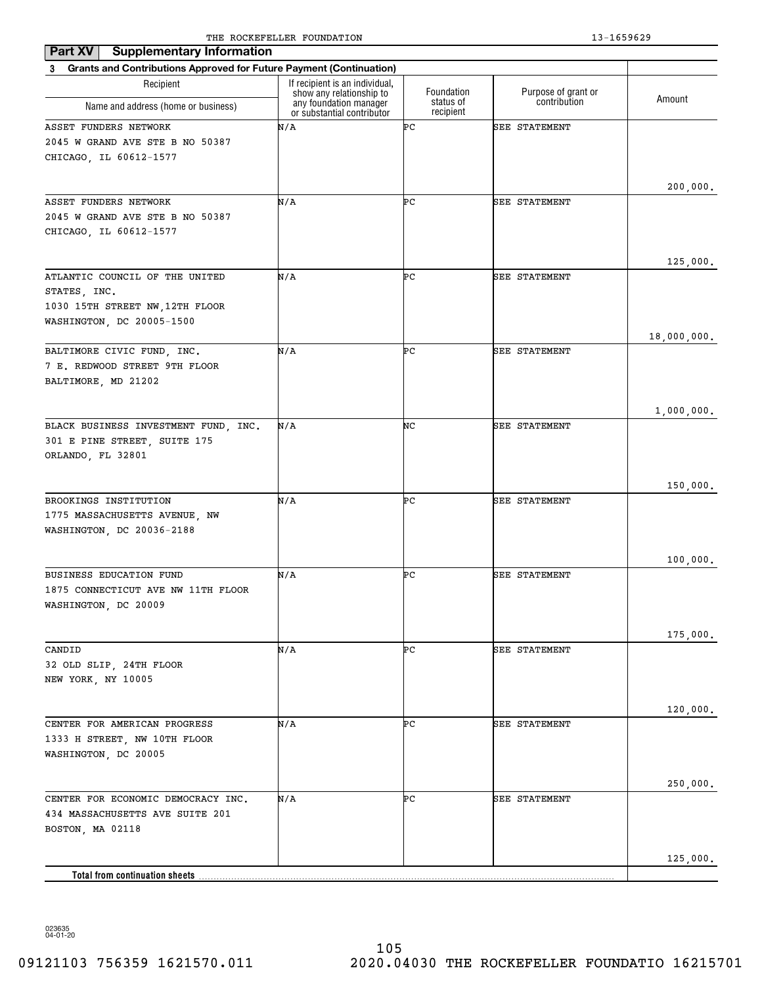| <b>Supplementary Information</b><br>Part XV                           |                                                            |                        |                      |             |
|-----------------------------------------------------------------------|------------------------------------------------------------|------------------------|----------------------|-------------|
| 3 Grants and Contributions Approved for Future Payment (Continuation) |                                                            |                        |                      |             |
| Recipient                                                             | If recipient is an individual,<br>show any relationship to | Foundation             | Purpose of grant or  | Amount      |
| Name and address (home or business)                                   | any foundation manager<br>or substantial contributor       | status of<br>recipient | contribution         |             |
| ASSET FUNDERS NETWORK                                                 | N/A                                                        | ÞС                     | <b>SEE STATEMENT</b> |             |
| 2045 W GRAND AVE STE B NO 50387                                       |                                                            |                        |                      |             |
| CHICAGO, IL 60612-1577                                                |                                                            |                        |                      |             |
|                                                                       |                                                            |                        |                      |             |
| ASSET FUNDERS NETWORK                                                 | N/A                                                        | ÞС                     | <b>SEE STATEMENT</b> | 200,000.    |
| 2045 W GRAND AVE STE B NO 50387                                       |                                                            |                        |                      |             |
| CHICAGO, IL 60612-1577                                                |                                                            |                        |                      |             |
|                                                                       |                                                            |                        |                      |             |
|                                                                       |                                                            |                        |                      | 125,000.    |
| ATLANTIC COUNCIL OF THE UNITED                                        | N/A                                                        | ÞС                     | SEE STATEMENT        |             |
| STATES, INC.<br>1030 15TH STREET NW, 12TH FLOOR                       |                                                            |                        |                      |             |
| WASHINGTON, DC 20005-1500                                             |                                                            |                        |                      |             |
|                                                                       |                                                            |                        |                      | 18,000,000. |
| BALTIMORE CIVIC FUND, INC.                                            | N/A                                                        | ÞС                     | <b>SEE STATEMENT</b> |             |
| 7 E. REDWOOD STREET 9TH FLOOR                                         |                                                            |                        |                      |             |
| BALTIMORE, MD 21202                                                   |                                                            |                        |                      |             |
|                                                                       |                                                            |                        |                      |             |
|                                                                       | N/A                                                        | NC                     | SEE STATEMENT        | 1,000,000.  |
| BLACK BUSINESS INVESTMENT FUND, INC.<br>301 E PINE STREET, SUITE 175  |                                                            |                        |                      |             |
| ORLANDO, FL 32801                                                     |                                                            |                        |                      |             |
|                                                                       |                                                            |                        |                      |             |
|                                                                       |                                                            |                        |                      | 150,000.    |
| BROOKINGS INSTITUTION                                                 | N/A                                                        | ÞС                     | <b>SEE STATEMENT</b> |             |
| 1775 MASSACHUSETTS AVENUE, NW                                         |                                                            |                        |                      |             |
| WASHINGTON, DC 20036-2188                                             |                                                            |                        |                      |             |
|                                                                       |                                                            |                        |                      | 100,000.    |
| <b>BUSINESS EDUCATION FUND</b>                                        | N/A                                                        | ÞС                     | SEE STATEMENT        |             |
| 1875 CONNECTICUT AVE NW 11TH FLOOR                                    |                                                            |                        |                      |             |
| WASHINGTON, DC 20009                                                  |                                                            |                        |                      |             |
|                                                                       |                                                            |                        |                      |             |
| CANDID                                                                | N/A                                                        | ÞС                     | SEE STATEMENT        | 175,000.    |
| 32 OLD SLIP, 24TH FLOOR                                               |                                                            |                        |                      |             |
| NEW YORK, NY 10005                                                    |                                                            |                        |                      |             |
|                                                                       |                                                            |                        |                      |             |
|                                                                       |                                                            |                        |                      | 120,000.    |
| CENTER FOR AMERICAN PROGRESS                                          | N/A                                                        | ÞС                     | SEE STATEMENT        |             |
| 1333 H STREET, NW 10TH FLOOR                                          |                                                            |                        |                      |             |
| WASHINGTON, DC 20005                                                  |                                                            |                        |                      |             |
|                                                                       |                                                            |                        |                      | 250,000.    |
| CENTER FOR ECONOMIC DEMOCRACY INC.                                    | N/A                                                        | ÞС                     | SEE STATEMENT        |             |
| 434 MASSACHUSETTS AVE SUITE 201                                       |                                                            |                        |                      |             |
| BOSTON, MA 02118                                                      |                                                            |                        |                      |             |
|                                                                       |                                                            |                        |                      |             |
| <b>Total from continuation sheets</b>                                 |                                                            |                        |                      | 125,000.    |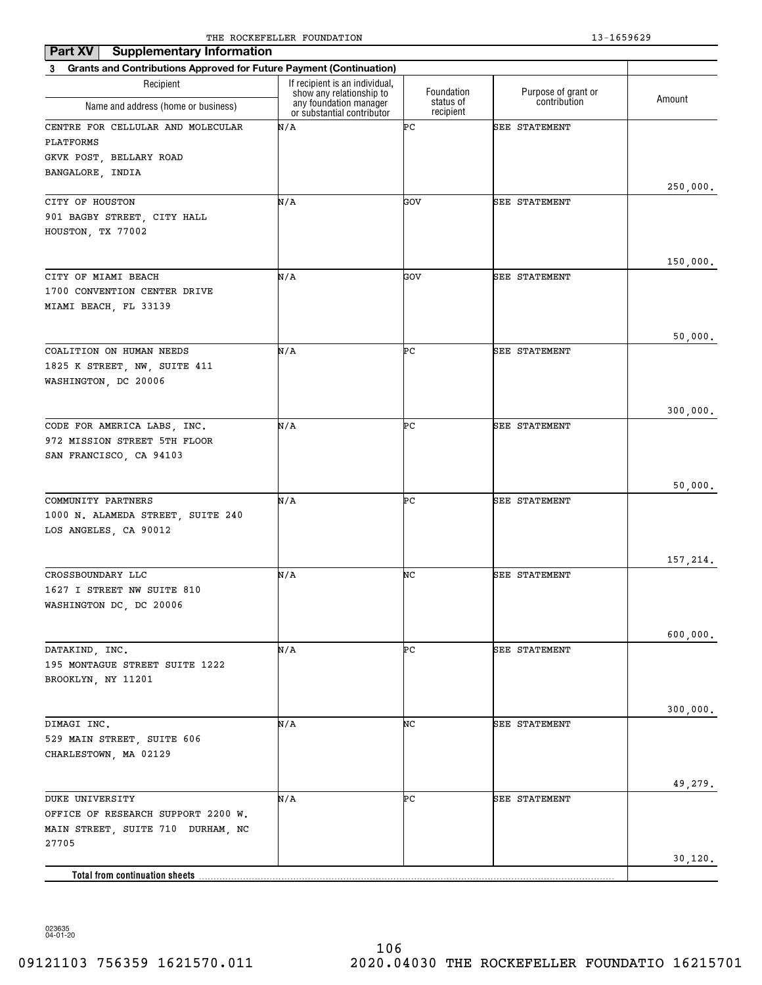| <b>Supplementary Information</b><br>Part XV                                                         |                                                                                      |                         |                                     |          |
|-----------------------------------------------------------------------------------------------------|--------------------------------------------------------------------------------------|-------------------------|-------------------------------------|----------|
| 3 Grants and Contributions Approved for Future Payment (Continuation)                               |                                                                                      |                         |                                     |          |
| Recipient                                                                                           | If recipient is an individual,<br>show any relationship to<br>any foundation manager | Foundation<br>status of | Purpose of grant or<br>contribution | Amount   |
| Name and address (home or business)                                                                 | or substantial contributor                                                           | recipient               |                                     |          |
| CENTRE FOR CELLULAR AND MOLECULAR<br>PLATFORMS<br>GKVK POST, BELLARY ROAD<br>BANGALORE, INDIA       | N/A                                                                                  | ÞС                      | SEE STATEMENT                       | 250,000. |
| CITY OF HOUSTON                                                                                     | N/A                                                                                  | GOV                     | SEE STATEMENT                       |          |
| 901 BAGBY STREET, CITY HALL<br>HOUSTON, TX 77002                                                    |                                                                                      |                         |                                     |          |
|                                                                                                     |                                                                                      |                         |                                     | 150,000. |
| CITY OF MIAMI BEACH<br>1700 CONVENTION CENTER DRIVE<br>MIAMI BEACH, FL 33139                        | N/A                                                                                  | GOV                     | SEE STATEMENT                       |          |
|                                                                                                     |                                                                                      |                         |                                     | 50,000.  |
| COALITION ON HUMAN NEEDS<br>1825 K STREET, NW, SUITE 411<br>WASHINGTON, DC 20006                    | N/A                                                                                  | ÞС                      | SEE STATEMENT                       |          |
|                                                                                                     |                                                                                      |                         |                                     | 300,000. |
| CODE FOR AMERICA LABS, INC.<br>972 MISSION STREET 5TH FLOOR<br>SAN FRANCISCO, CA 94103              | N/A                                                                                  | ÞС                      | SEE STATEMENT                       |          |
|                                                                                                     |                                                                                      |                         |                                     | 50,000.  |
| COMMUNITY PARTNERS<br>1000 N. ALAMEDA STREET, SUITE 240<br>LOS ANGELES, CA 90012                    | N/A                                                                                  | ÞС                      | <b>SEE STATEMENT</b>                |          |
|                                                                                                     |                                                                                      |                         |                                     | 157,214. |
| CROSSBOUNDARY LLC<br>1627 I STREET NW SUITE 810<br>WASHINGTON DC, DC 20006                          | N/A                                                                                  | NC                      | <b>SEE STATEMENT</b>                |          |
|                                                                                                     |                                                                                      |                         |                                     | 600,000. |
| DATAKIND, INC.<br>195 MONTAGUE STREET SUITE 1222<br>BROOKLYN, NY 11201                              | N/A                                                                                  | ÞС                      | SEE STATEMENT                       |          |
|                                                                                                     |                                                                                      |                         |                                     | 300,000. |
| DIMAGI INC.<br>529 MAIN STREET, SUITE 606<br>CHARLESTOWN, MA 02129                                  | N/A                                                                                  | NC                      | SEE STATEMENT                       |          |
|                                                                                                     |                                                                                      |                         |                                     | 49,279.  |
| DUKE UNIVERSITY<br>OFFICE OF RESEARCH SUPPORT 2200 W.<br>MAIN STREET, SUITE 710 DURHAM, NC<br>27705 | N/A                                                                                  | ÞС                      | <b>SEE STATEMENT</b>                | 30,120.  |
| Total from continuation sheets                                                                      |                                                                                      |                         |                                     |          |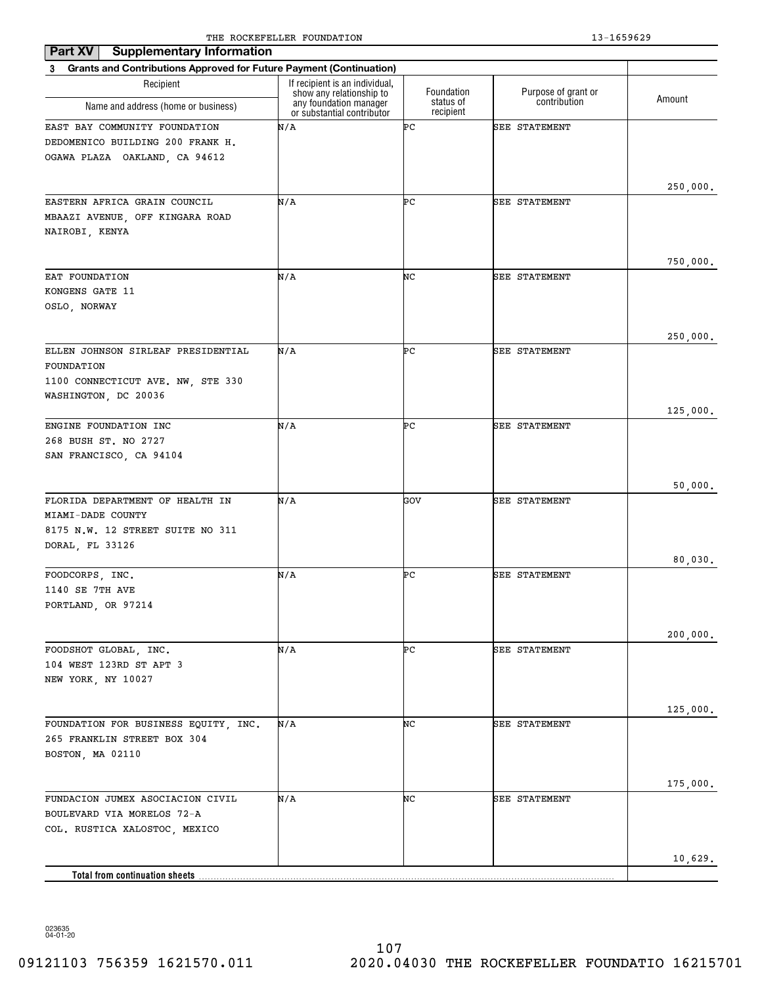| <b>Supplementary Information</b><br>Part XV                           |                                                            |                        |                      |          |
|-----------------------------------------------------------------------|------------------------------------------------------------|------------------------|----------------------|----------|
| 3 Grants and Contributions Approved for Future Payment (Continuation) |                                                            |                        |                      |          |
| Recipient                                                             | If recipient is an individual,<br>show any relationship to | Foundation             | Purpose of grant or  | Amount   |
| Name and address (home or business)                                   | any foundation manager<br>or substantial contributor       | status of<br>recipient | contribution         |          |
| EAST BAY COMMUNITY FOUNDATION                                         | N/A                                                        | ÞС                     | <b>SEE STATEMENT</b> |          |
| DEDOMENICO BUILDING 200 FRANK H.                                      |                                                            |                        |                      |          |
| OGAWA PLAZA OAKLAND, CA 94612                                         |                                                            |                        |                      |          |
|                                                                       |                                                            |                        |                      |          |
| EASTERN AFRICA GRAIN COUNCIL                                          | N/A                                                        | ÞС                     | SEE STATEMENT        | 250,000. |
| MBAAZI AVENUE, OFF KINGARA ROAD                                       |                                                            |                        |                      |          |
| NAIROBI, KENYA                                                        |                                                            |                        |                      |          |
|                                                                       |                                                            |                        |                      |          |
|                                                                       |                                                            |                        |                      | 750,000. |
| EAT FOUNDATION                                                        | N/A                                                        | NC                     | <b>SEE STATEMENT</b> |          |
| KONGENS GATE 11                                                       |                                                            |                        |                      |          |
| OSLO, NORWAY                                                          |                                                            |                        |                      |          |
|                                                                       |                                                            |                        |                      | 250,000. |
| ELLEN JOHNSON SIRLEAF PRESIDENTIAL                                    | N/A                                                        | ÞС                     | <b>SEE STATEMENT</b> |          |
| FOUNDATION                                                            |                                                            |                        |                      |          |
| 1100 CONNECTICUT AVE. NW. STE 330                                     |                                                            |                        |                      |          |
| WASHINGTON, DC 20036                                                  |                                                            |                        |                      |          |
|                                                                       |                                                            |                        |                      | 125,000. |
| ENGINE FOUNDATION INC<br>268 BUSH ST. NO 2727                         | N/A                                                        | ÞС                     | <b>SEE STATEMENT</b> |          |
| SAN FRANCISCO, CA 94104                                               |                                                            |                        |                      |          |
|                                                                       |                                                            |                        |                      |          |
|                                                                       |                                                            |                        |                      | 50,000.  |
| FLORIDA DEPARTMENT OF HEALTH IN                                       | N/A                                                        | GOV                    | <b>SEE STATEMENT</b> |          |
| MIAMI-DADE COUNTY                                                     |                                                            |                        |                      |          |
| 8175 N.W. 12 STREET SUITE NO 311                                      |                                                            |                        |                      |          |
| DORAL, FL 33126                                                       |                                                            |                        |                      | 80,030.  |
| FOODCORPS, INC.                                                       | N/A                                                        | ÞС                     | <b>SEE STATEMENT</b> |          |
| 1140 SE 7TH AVE                                                       |                                                            |                        |                      |          |
| PORTLAND, OR 97214                                                    |                                                            |                        |                      |          |
|                                                                       |                                                            |                        |                      |          |
|                                                                       |                                                            | ÞС                     | SEE STATEMENT        | 200,000. |
| FOODSHOT GLOBAL, INC.<br>104 WEST 123RD ST APT 3                      | N/A                                                        |                        |                      |          |
| NEW YORK, NY 10027                                                    |                                                            |                        |                      |          |
|                                                                       |                                                            |                        |                      |          |
|                                                                       |                                                            |                        |                      | 125,000. |
| FOUNDATION FOR BUSINESS EQUITY, INC.                                  | N/A                                                        | NC                     | SEE STATEMENT        |          |
| 265 FRANKLIN STREET BOX 304                                           |                                                            |                        |                      |          |
| BOSTON, MA 02110                                                      |                                                            |                        |                      |          |
|                                                                       |                                                            |                        |                      | 175,000. |
| FUNDACION JUMEX ASOCIACION CIVIL                                      | N/A                                                        | NC                     | <b>SEE STATEMENT</b> |          |
| BOULEVARD VIA MORELOS 72-A                                            |                                                            |                        |                      |          |
| COL. RUSTICA XALOSTOC, MEXICO                                         |                                                            |                        |                      |          |
|                                                                       |                                                            |                        |                      |          |
|                                                                       |                                                            |                        |                      | 10,629.  |
| Total from continuation sheets.                                       |                                                            |                        |                      |          |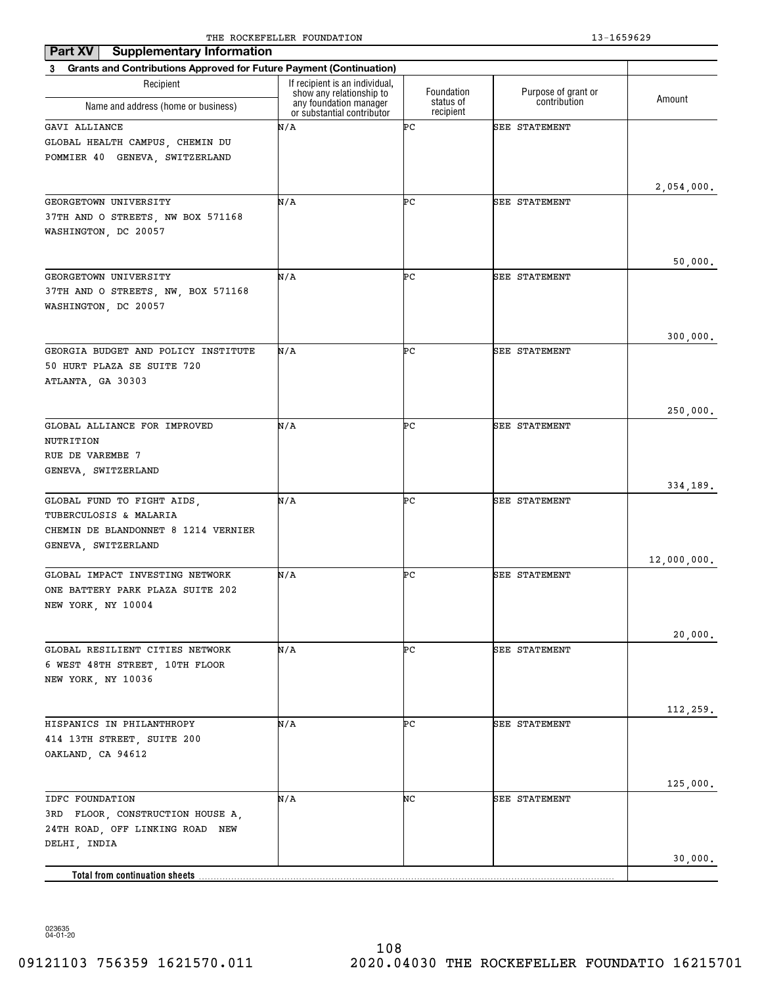| <b>Supplementary Information</b><br>Part XV                                                                        |                                                                                      |                         |                                     |             |
|--------------------------------------------------------------------------------------------------------------------|--------------------------------------------------------------------------------------|-------------------------|-------------------------------------|-------------|
| Grants and Contributions Approved for Future Payment (Continuation)<br>3                                           |                                                                                      |                         |                                     |             |
| Recipient                                                                                                          | If recipient is an individual.<br>show any relationship to<br>any foundation manager | Foundation<br>status of | Purpose of grant or<br>contribution | Amount      |
| Name and address (home or business)                                                                                | or substantial contributor                                                           | recipient               |                                     |             |
| GAVI ALLIANCE<br>GLOBAL HEALTH CAMPUS, CHEMIN DU<br>POMMIER 40 GENEVA, SWITZERLAND                                 | N/A                                                                                  | ÞС                      | SEE STATEMENT                       |             |
|                                                                                                                    |                                                                                      |                         |                                     | 2,054,000.  |
| GEORGETOWN UNIVERSITY<br>37TH AND O STREETS, NW BOX 571168<br>WASHINGTON, DC 20057                                 | N/A                                                                                  | ÞС                      | SEE STATEMENT                       |             |
|                                                                                                                    |                                                                                      |                         |                                     | 50,000.     |
| GEORGETOWN UNIVERSITY<br>37TH AND O STREETS, NW, BOX 571168<br>WASHINGTON, DC 20057                                | N/A                                                                                  | ÞС                      | SEE STATEMENT                       |             |
|                                                                                                                    |                                                                                      |                         |                                     | 300,000.    |
| GEORGIA BUDGET AND POLICY INSTITUTE<br>50 HURT PLAZA SE SUITE 720<br>ATLANTA, GA 30303                             | N/A                                                                                  | ÞС                      | SEE STATEMENT                       |             |
|                                                                                                                    |                                                                                      |                         |                                     | 250,000.    |
| GLOBAL ALLIANCE FOR IMPROVED<br>NUTRITION<br>RUE DE VAREMBE 7<br>GENEVA, SWITZERLAND                               | N/A                                                                                  | ÞС                      | SEE STATEMENT                       |             |
|                                                                                                                    |                                                                                      |                         |                                     | 334,189.    |
| GLOBAL FUND TO FIGHT AIDS,<br>TUBERCULOSIS & MALARIA<br>CHEMIN DE BLANDONNET 8 1214 VERNIER<br>GENEVA, SWITZERLAND | N/A                                                                                  | ÞС                      | SEE STATEMENT                       |             |
|                                                                                                                    |                                                                                      |                         |                                     | 12,000,000. |
| GLOBAL IMPACT INVESTING NETWORK<br>ONE BATTERY PARK PLAZA SUITE 202<br>NEW YORK, NY 10004                          | N/A                                                                                  | ÞС                      | SEE STATEMENT                       |             |
|                                                                                                                    |                                                                                      |                         |                                     | 20,000.     |
| GLOBAL RESILIENT CITIES NETWORK<br>6 WEST 48TH STREET, 10TH FLOOR<br>NEW YORK, NY 10036                            | N/A                                                                                  | ÞС                      | SEE STATEMENT                       |             |
|                                                                                                                    |                                                                                      |                         |                                     | 112,259.    |
| HISPANICS IN PHILANTHROPY<br>414 13TH STREET, SUITE 200<br>OAKLAND, CA 94612                                       | N/A                                                                                  | ÞС                      | SEE STATEMENT                       |             |
|                                                                                                                    |                                                                                      |                         |                                     | 125,000.    |
| IDFC FOUNDATION<br>FLOOR, CONSTRUCTION HOUSE A,<br>3RD<br>24TH ROAD, OFF LINKING ROAD NEW<br>DELHI, INDIA          | N/A                                                                                  | NC                      | SEE STATEMENT                       |             |
| Total from continuation sheets                                                                                     |                                                                                      |                         |                                     | 30,000.     |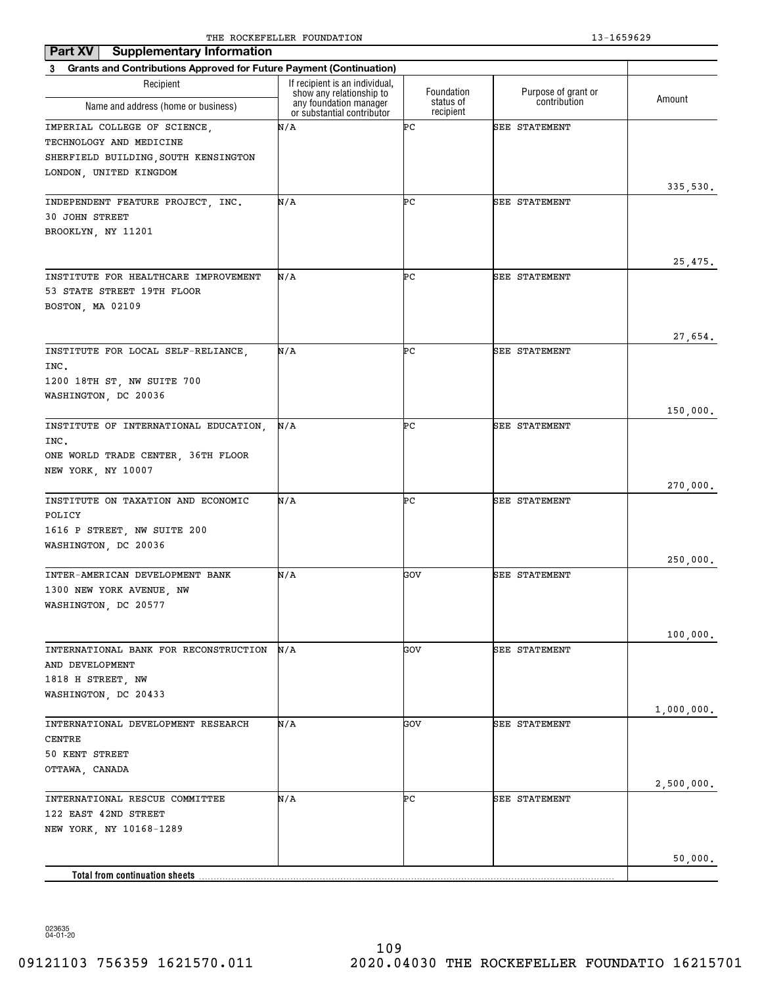| <b>Supplementary Information</b><br>Part XV                           |                                                            |                        |                      |            |
|-----------------------------------------------------------------------|------------------------------------------------------------|------------------------|----------------------|------------|
| 3 Grants and Contributions Approved for Future Payment (Continuation) |                                                            |                        |                      |            |
| Recipient                                                             | If recipient is an individual,<br>show any relationship to | Foundation             | Purpose of grant or  | Amount     |
| Name and address (home or business)                                   | any foundation manager<br>or substantial contributor       | status of<br>recipient | contribution         |            |
| IMPERIAL COLLEGE OF SCIENCE,                                          | N/A                                                        | ÞС                     | <b>SEE STATEMENT</b> |            |
| TECHNOLOGY AND MEDICINE                                               |                                                            |                        |                      |            |
| SHERFIELD BUILDING, SOUTH KENSINGTON                                  |                                                            |                        |                      |            |
| LONDON, UNITED KINGDOM                                                |                                                            |                        |                      |            |
| INDEPENDENT FEATURE PROJECT, INC.                                     | N/A                                                        | ÞС                     | <b>SEE STATEMENT</b> | 335,530.   |
| <b>30 JOHN STREET</b>                                                 |                                                            |                        |                      |            |
| BROOKLYN, NY 11201                                                    |                                                            |                        |                      |            |
|                                                                       |                                                            |                        |                      |            |
|                                                                       |                                                            |                        |                      | 25,475.    |
| INSTITUTE FOR HEALTHCARE IMPROVEMENT                                  | N/A                                                        | ÞС                     | <b>SEE STATEMENT</b> |            |
| 53 STATE STREET 19TH FLOOR                                            |                                                            |                        |                      |            |
| BOSTON, MA 02109                                                      |                                                            |                        |                      |            |
|                                                                       |                                                            |                        |                      | 27,654.    |
| INSTITUTE FOR LOCAL SELF-RELIANCE,                                    | N/A                                                        | ÞС                     | <b>SEE STATEMENT</b> |            |
| INC.                                                                  |                                                            |                        |                      |            |
| 1200 18TH ST, NW SUITE 700                                            |                                                            |                        |                      |            |
| WASHINGTON, DC 20036                                                  |                                                            |                        |                      |            |
|                                                                       |                                                            |                        |                      | 150,000.   |
| INSTITUTE OF INTERNATIONAL EDUCATION,                                 | N/A                                                        | ÞС                     | <b>SEE STATEMENT</b> |            |
| INC.                                                                  |                                                            |                        |                      |            |
| ONE WORLD TRADE CENTER, 36TH FLOOR<br>NEW YORK, NY 10007              |                                                            |                        |                      |            |
|                                                                       |                                                            |                        |                      | 270,000.   |
| INSTITUTE ON TAXATION AND ECONOMIC                                    | N/A                                                        | ÞС                     | <b>SEE STATEMENT</b> |            |
| POLICY                                                                |                                                            |                        |                      |            |
| 1616 P STREET, NW SUITE 200                                           |                                                            |                        |                      |            |
| WASHINGTON, DC 20036                                                  |                                                            |                        |                      |            |
| INTER-AMERICAN DEVELOPMENT BANK                                       |                                                            | GOV                    | SEE STATEMENT        | 250,000.   |
| 1300 NEW YORK AVENUE, NW                                              | N/A                                                        |                        |                      |            |
| WASHINGTON, DC 20577                                                  |                                                            |                        |                      |            |
|                                                                       |                                                            |                        |                      |            |
|                                                                       |                                                            |                        |                      | 100,000.   |
| INTERNATIONAL BANK FOR RECONSTRUCTION                                 | N/A                                                        | GOV                    | SEE STATEMENT        |            |
| AND DEVELOPMENT                                                       |                                                            |                        |                      |            |
| 1818 H STREET, NW                                                     |                                                            |                        |                      |            |
| WASHINGTON, DC 20433                                                  |                                                            |                        |                      |            |
| INTERNATIONAL DEVELOPMENT RESEARCH                                    | N/A                                                        | GOV                    | SEE STATEMENT        | 1,000,000. |
| CENTRE                                                                |                                                            |                        |                      |            |
| 50 KENT STREET                                                        |                                                            |                        |                      |            |
| OTTAWA, CANADA                                                        |                                                            |                        |                      |            |
|                                                                       |                                                            |                        |                      | 2,500,000. |
| INTERNATIONAL RESCUE COMMITTEE                                        | N/A                                                        | ÞС                     | SEE STATEMENT        |            |
| 122 EAST 42ND STREET                                                  |                                                            |                        |                      |            |
| NEW YORK, NY 10168-1289                                               |                                                            |                        |                      |            |
|                                                                       |                                                            |                        |                      | 50,000.    |
| <b>Total from continuation sheets</b>                                 |                                                            |                        |                      |            |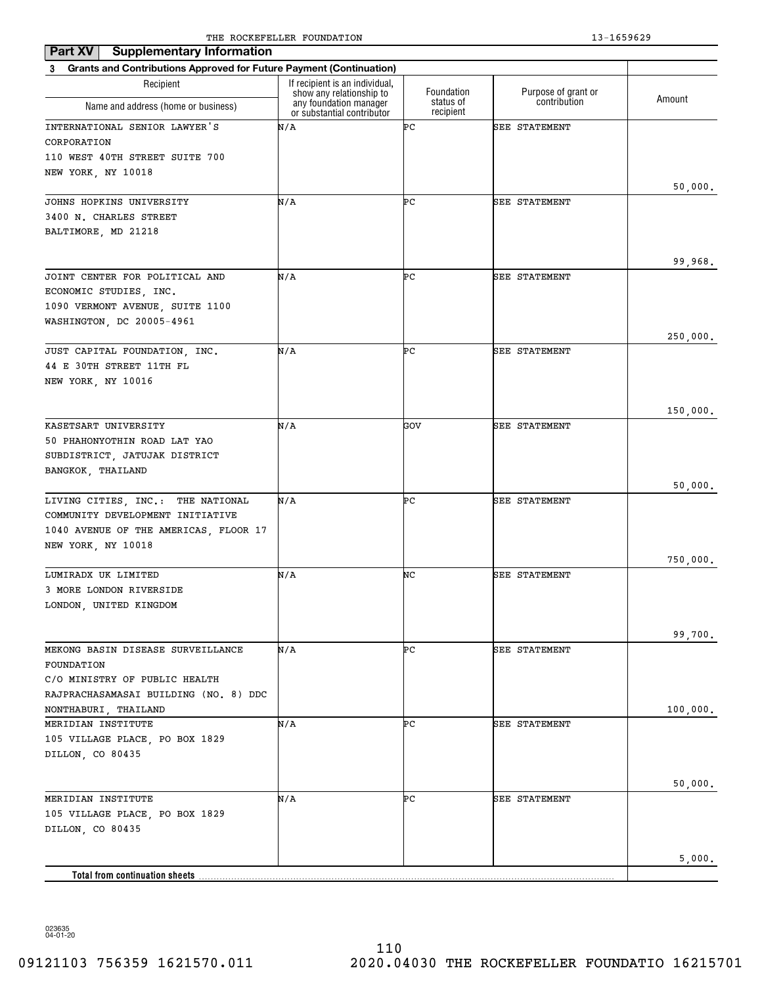| <b>Supplementary Information</b><br>Part XV                               |                                                            |                        |                      |          |
|---------------------------------------------------------------------------|------------------------------------------------------------|------------------------|----------------------|----------|
| 3 Grants and Contributions Approved for Future Payment (Continuation)     |                                                            |                        |                      |          |
| Recipient                                                                 | If recipient is an individual,<br>show any relationship to | Foundation             | Purpose of grant or  | Amount   |
| Name and address (home or business)                                       | any foundation manager<br>or substantial contributor       | status of<br>recipient | contribution         |          |
| INTERNATIONAL SENIOR LAWYER'S                                             | N/A                                                        | ÞС                     | <b>SEE STATEMENT</b> |          |
| CORPORATION                                                               |                                                            |                        |                      |          |
| 110 WEST 40TH STREET SUITE 700                                            |                                                            |                        |                      |          |
| NEW YORK, NY 10018                                                        |                                                            |                        |                      |          |
|                                                                           |                                                            |                        |                      | 50,000.  |
| JOHNS HOPKINS UNIVERSITY<br>3400 N. CHARLES STREET                        | N/A                                                        | ÞС                     | <b>SEE STATEMENT</b> |          |
| BALTIMORE, MD 21218                                                       |                                                            |                        |                      |          |
|                                                                           |                                                            |                        |                      |          |
|                                                                           |                                                            |                        |                      | 99,968.  |
| JOINT CENTER FOR POLITICAL AND                                            | N/A                                                        | ÞС                     | <b>SEE STATEMENT</b> |          |
| ECONOMIC STUDIES, INC.                                                    |                                                            |                        |                      |          |
| 1090 VERMONT AVENUE, SUITE 1100                                           |                                                            |                        |                      |          |
| WASHINGTON, DC 20005-4961                                                 |                                                            |                        |                      |          |
|                                                                           |                                                            | ÞС                     |                      | 250,000. |
| JUST CAPITAL FOUNDATION, INC.<br>44 E 30TH STREET 11TH FL                 | N/A                                                        |                        | <b>SEE STATEMENT</b> |          |
| NEW YORK, NY 10016                                                        |                                                            |                        |                      |          |
|                                                                           |                                                            |                        |                      |          |
|                                                                           |                                                            |                        |                      | 150,000. |
| KASETSART UNIVERSITY                                                      | N/A                                                        | GOV                    | <b>SEE STATEMENT</b> |          |
| 50 PHAHONYOTHIN ROAD LAT YAO                                              |                                                            |                        |                      |          |
| SUBDISTRICT, JATUJAK DISTRICT                                             |                                                            |                        |                      |          |
| BANGKOK, THAILAND                                                         |                                                            |                        |                      |          |
|                                                                           |                                                            |                        |                      | 50,000.  |
| LIVING CITIES, INC.: THE NATIONAL                                         | N/A                                                        | ÞС                     | <b>SEE STATEMENT</b> |          |
| COMMUNITY DEVELOPMENT INITIATIVE<br>1040 AVENUE OF THE AMERICAS, FLOOR 17 |                                                            |                        |                      |          |
| NEW YORK, NY 10018                                                        |                                                            |                        |                      |          |
|                                                                           |                                                            |                        |                      | 750,000. |
| LUMIRADX UK LIMITED                                                       | N/A                                                        | NC                     | <b>SEE STATEMENT</b> |          |
| 3 MORE LONDON RIVERSIDE                                                   |                                                            |                        |                      |          |
| LONDON, UNITED KINGDOM                                                    |                                                            |                        |                      |          |
|                                                                           |                                                            |                        |                      |          |
|                                                                           |                                                            | ÞС                     |                      | 99,700.  |
| MEKONG BASIN DISEASE SURVEILLANCE<br>FOUNDATION                           | N/A                                                        |                        | <b>SEE STATEMENT</b> |          |
| C/O MINISTRY OF PUBLIC HEALTH                                             |                                                            |                        |                      |          |
| RAJPRACHASAMASAI BUILDING (NO. 8) DDC                                     |                                                            |                        |                      |          |
| NONTHABURI, THAILAND                                                      |                                                            |                        |                      | 100,000. |
| MERIDIAN INSTITUTE                                                        | N/A                                                        | ÞС                     | <b>SEE STATEMENT</b> |          |
| 105 VILLAGE PLACE, PO BOX 1829                                            |                                                            |                        |                      |          |
| DILLON, CO 80435                                                          |                                                            |                        |                      |          |
|                                                                           |                                                            |                        |                      |          |
|                                                                           |                                                            |                        |                      | 50,000.  |
| MERIDIAN INSTITUTE<br>105 VILLAGE PLACE, PO BOX 1829                      | N/A                                                        | ÞС                     | <b>SEE STATEMENT</b> |          |
| DILLON, CO 80435                                                          |                                                            |                        |                      |          |
|                                                                           |                                                            |                        |                      |          |
|                                                                           |                                                            |                        |                      | 5,000.   |
| <b>Total from continuation sheets</b>                                     |                                                            |                        |                      |          |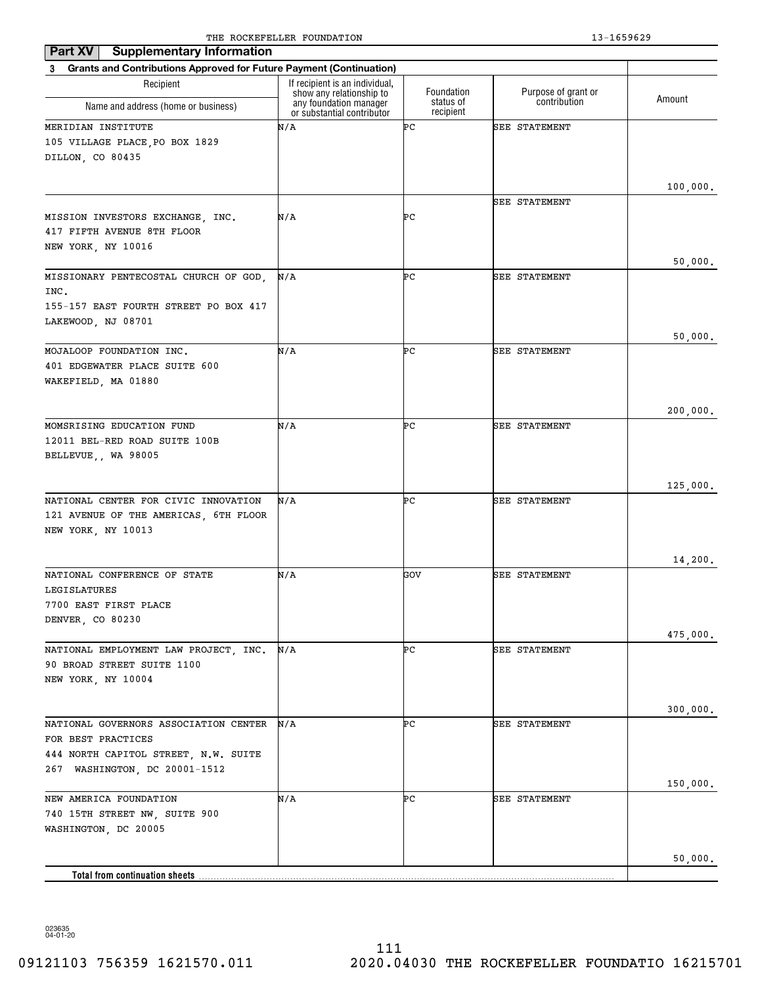| <b>Supplementary Information</b><br>Part XV                           |                                                            |                        |                      |          |
|-----------------------------------------------------------------------|------------------------------------------------------------|------------------------|----------------------|----------|
| 3 Grants and Contributions Approved for Future Payment (Continuation) |                                                            |                        |                      |          |
| Recipient                                                             | If recipient is an individual,<br>show any relationship to | Foundation             | Purpose of grant or  | Amount   |
| Name and address (home or business)                                   | any foundation manager<br>or substantial contributor       | status of<br>recipient | contribution         |          |
| MERIDIAN INSTITUTE                                                    | N/A                                                        | ÞС                     | SEE STATEMENT        |          |
| 105 VILLAGE PLACE, PO BOX 1829                                        |                                                            |                        |                      |          |
| DILLON, CO 80435                                                      |                                                            |                        |                      |          |
|                                                                       |                                                            |                        |                      |          |
|                                                                       |                                                            |                        |                      | 100,000. |
|                                                                       |                                                            |                        | <b>SEE STATEMENT</b> |          |
| MISSION INVESTORS EXCHANGE, INC.                                      | N/A                                                        | ÞС                     |                      |          |
| 417 FIFTH AVENUE 8TH FLOOR                                            |                                                            |                        |                      |          |
| NEW YORK, NY 10016                                                    |                                                            |                        |                      | 50,000.  |
| MISSIONARY PENTECOSTAL CHURCH OF GOD,                                 | N/A                                                        | ÞС                     | <b>SEE STATEMENT</b> |          |
| INC.                                                                  |                                                            |                        |                      |          |
| 155-157 EAST FOURTH STREET PO BOX 417                                 |                                                            |                        |                      |          |
| LAKEWOOD, NJ 08701                                                    |                                                            |                        |                      |          |
|                                                                       |                                                            |                        |                      | 50,000.  |
| MOJALOOP FOUNDATION INC.                                              | N/A                                                        | ÞС                     | SEE STATEMENT        |          |
| 401 EDGEWATER PLACE SUITE 600                                         |                                                            |                        |                      |          |
| WAKEFIELD, MA 01880                                                   |                                                            |                        |                      |          |
|                                                                       |                                                            |                        |                      |          |
|                                                                       |                                                            |                        |                      | 200,000. |
| MOMSRISING EDUCATION FUND                                             | N/A                                                        | ÞС                     | <b>SEE STATEMENT</b> |          |
| 12011 BEL-RED ROAD SUITE 100B                                         |                                                            |                        |                      |          |
| BELLEVUE,, WA 98005                                                   |                                                            |                        |                      |          |
|                                                                       |                                                            |                        |                      |          |
| NATIONAL CENTER FOR CIVIC INNOVATION                                  | N/A                                                        | ÞС                     | <b>SEE STATEMENT</b> | 125,000. |
| 121 AVENUE OF THE AMERICAS, 6TH FLOOR                                 |                                                            |                        |                      |          |
| NEW YORK, NY 10013                                                    |                                                            |                        |                      |          |
|                                                                       |                                                            |                        |                      |          |
|                                                                       |                                                            |                        |                      | 14,200.  |
| NATIONAL CONFERENCE OF STATE                                          | N/A                                                        | GOV                    | <b>SEE STATEMENT</b> |          |
| LEGISLATURES                                                          |                                                            |                        |                      |          |
| 7700 EAST FIRST PLACE                                                 |                                                            |                        |                      |          |
| DENVER, CO 80230                                                      |                                                            |                        |                      |          |
|                                                                       |                                                            |                        |                      | 475,000. |
| NATIONAL EMPLOYMENT LAW PROJECT, INC.                                 | N/A                                                        | ÞС                     | <b>SEE STATEMENT</b> |          |
| 90 BROAD STREET SUITE 1100                                            |                                                            |                        |                      |          |
| NEW YORK, NY 10004                                                    |                                                            |                        |                      |          |
|                                                                       |                                                            |                        |                      |          |
| NATIONAL GOVERNORS ASSOCIATION CENTER                                 | N/A                                                        | ÞС                     | SEE STATEMENT        | 300,000. |
| FOR BEST PRACTICES                                                    |                                                            |                        |                      |          |
| 444 NORTH CAPITOL STREET, N.W. SUITE                                  |                                                            |                        |                      |          |
| 267 WASHINGTON, DC 20001-1512                                         |                                                            |                        |                      |          |
|                                                                       |                                                            |                        |                      | 150,000. |
| NEW AMERICA FOUNDATION                                                | N/A                                                        | ÞС                     | SEE STATEMENT        |          |
| 740 15TH STREET NW, SUITE 900                                         |                                                            |                        |                      |          |
| WASHINGTON, DC 20005                                                  |                                                            |                        |                      |          |
|                                                                       |                                                            |                        |                      |          |
|                                                                       |                                                            |                        |                      | 50,000.  |
| <b>Total from continuation sheets</b>                                 |                                                            |                        |                      |          |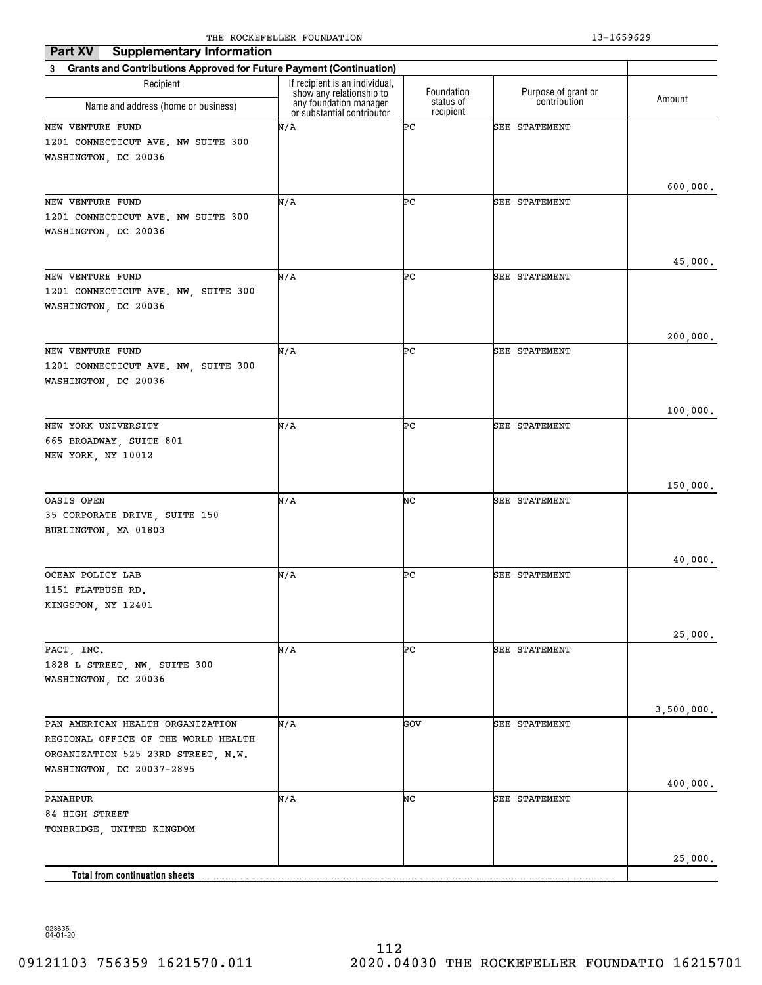| <b>Supplementary Information</b><br>Part XV                                     |                                                            |                        |                      |            |
|---------------------------------------------------------------------------------|------------------------------------------------------------|------------------------|----------------------|------------|
| <b>Grants and Contributions Approved for Future Payment (Continuation)</b><br>3 |                                                            |                        |                      |            |
| Recipient                                                                       | If recipient is an individual,<br>show any relationship to | Foundation             | Purpose of grant or  | Amount     |
| Name and address (home or business)                                             | any foundation manager<br>or substantial contributor       | status of<br>recipient | contribution         |            |
| NEW VENTURE FUND                                                                | N/A                                                        | ÞС                     | SEE STATEMENT        |            |
| 1201 CONNECTICUT AVE. NW SUITE 300                                              |                                                            |                        |                      |            |
| WASHINGTON, DC 20036                                                            |                                                            |                        |                      |            |
|                                                                                 |                                                            |                        |                      |            |
| NEW VENTURE FUND                                                                | N/A                                                        | ÞС                     | <b>SEE STATEMENT</b> | 600,000.   |
| 1201 CONNECTICUT AVE. NW SUITE 300                                              |                                                            |                        |                      |            |
| WASHINGTON, DC 20036                                                            |                                                            |                        |                      |            |
|                                                                                 |                                                            |                        |                      |            |
|                                                                                 |                                                            |                        |                      | 45,000.    |
| NEW VENTURE FUND                                                                | N/A                                                        | ÞС                     | <b>SEE STATEMENT</b> |            |
| 1201 CONNECTICUT AVE. NW, SUITE 300                                             |                                                            |                        |                      |            |
| WASHINGTON, DC 20036                                                            |                                                            |                        |                      |            |
|                                                                                 |                                                            |                        |                      | 200,000.   |
| NEW VENTURE FUND                                                                | N/A                                                        | ÞС                     | <b>SEE STATEMENT</b> |            |
| 1201 CONNECTICUT AVE. NW, SUITE 300                                             |                                                            |                        |                      |            |
| WASHINGTON, DC 20036                                                            |                                                            |                        |                      |            |
|                                                                                 |                                                            |                        |                      |            |
| NEW YORK UNIVERSITY                                                             | N/A                                                        | ÞС                     | SEE STATEMENT        | 100,000.   |
| 665 BROADWAY, SUITE 801                                                         |                                                            |                        |                      |            |
| NEW YORK, NY 10012                                                              |                                                            |                        |                      |            |
|                                                                                 |                                                            |                        |                      |            |
|                                                                                 |                                                            |                        |                      | 150,000.   |
| OASIS OPEN                                                                      | N/A                                                        | NC                     | SEE STATEMENT        |            |
| 35 CORPORATE DRIVE, SUITE 150<br>BURLINGTON, MA 01803                           |                                                            |                        |                      |            |
|                                                                                 |                                                            |                        |                      |            |
|                                                                                 |                                                            |                        |                      | 40,000.    |
| OCEAN POLICY LAB                                                                | N/A                                                        | ÞС                     | SEE STATEMENT        |            |
| 1151 FLATBUSH RD.                                                               |                                                            |                        |                      |            |
| KINGSTON, NY 12401                                                              |                                                            |                        |                      |            |
|                                                                                 |                                                            |                        |                      |            |
| PACT, INC.                                                                      | N/A                                                        | ÞС                     | SEE STATEMENT        | 25,000.    |
| 1828 L STREET, NW, SUITE 300                                                    |                                                            |                        |                      |            |
| WASHINGTON, DC 20036                                                            |                                                            |                        |                      |            |
|                                                                                 |                                                            |                        |                      |            |
|                                                                                 |                                                            |                        |                      | 3,500,000. |
| PAN AMERICAN HEALTH ORGANIZATION                                                | N/A                                                        | GOV                    | SEE STATEMENT        |            |
| REGIONAL OFFICE OF THE WORLD HEALTH<br>ORGANIZATION 525 23RD STREET, N.W.       |                                                            |                        |                      |            |
| WASHINGTON, DC 20037-2895                                                       |                                                            |                        |                      |            |
|                                                                                 |                                                            |                        |                      | 400,000.   |
| PANAHPUR                                                                        | N/A                                                        | NC                     | SEE STATEMENT        |            |
| 84 HIGH STREET                                                                  |                                                            |                        |                      |            |
| TONBRIDGE, UNITED KINGDOM                                                       |                                                            |                        |                      |            |
|                                                                                 |                                                            |                        |                      |            |
| <b>Total from continuation sheets</b>                                           |                                                            |                        |                      | 25,000.    |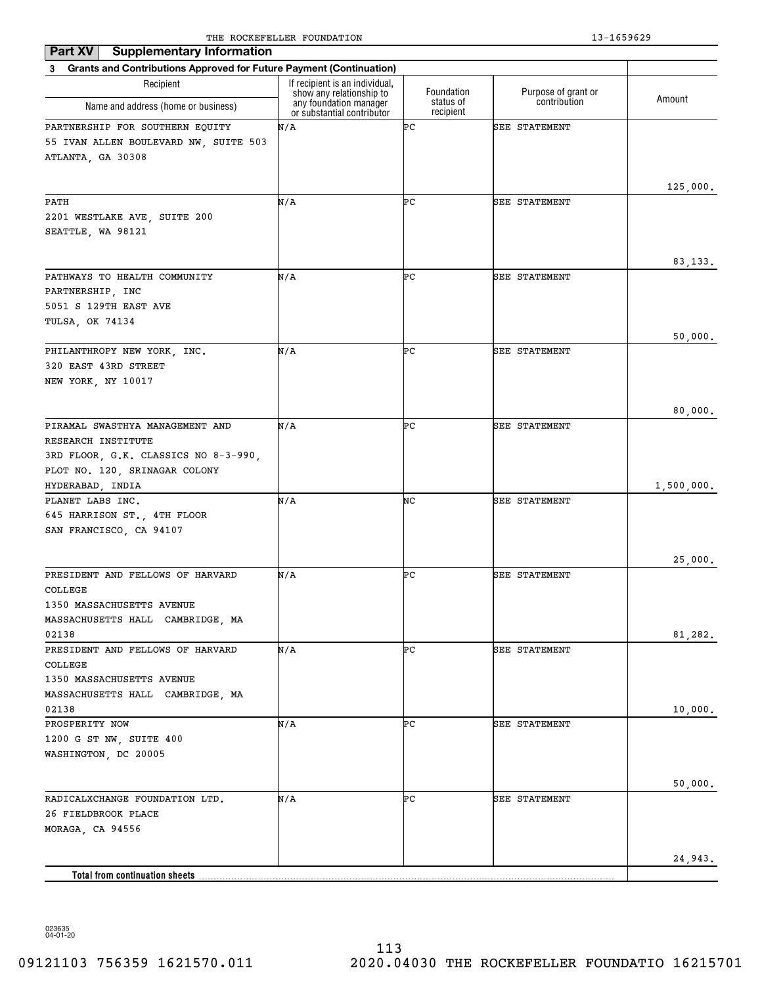| <b>Supplementary Information</b><br>Part XV                           |                                                            |                        |                      |            |
|-----------------------------------------------------------------------|------------------------------------------------------------|------------------------|----------------------|------------|
| 3 Grants and Contributions Approved for Future Payment (Continuation) |                                                            |                        |                      |            |
| Recipient                                                             | If recipient is an individual,<br>show any relationship to | Foundation             | Purpose of grant or  |            |
| Name and address (home or business)                                   | any foundation manager<br>or substantial contributor       | status of<br>recipient | contribution         | Amount     |
| PARTNERSHIP FOR SOUTHERN EQUITY                                       | N/A                                                        | ÞС                     | SEE STATEMENT        |            |
| 55 IVAN ALLEN BOULEVARD NW, SUITE 503                                 |                                                            |                        |                      |            |
| ATLANTA, GA 30308                                                     |                                                            |                        |                      |            |
|                                                                       |                                                            |                        |                      |            |
| PATH                                                                  | N/A                                                        | ÞС                     | <b>SEE STATEMENT</b> | 125,000.   |
| 2201 WESTLAKE AVE, SUITE 200                                          |                                                            |                        |                      |            |
| SEATTLE, WA 98121                                                     |                                                            |                        |                      |            |
|                                                                       |                                                            |                        |                      |            |
|                                                                       |                                                            |                        |                      | 83, 133.   |
| PATHWAYS TO HEALTH COMMUNITY                                          | N/A                                                        | ÞС                     | <b>SEE STATEMENT</b> |            |
| PARTNERSHIP, INC                                                      |                                                            |                        |                      |            |
| 5051 S 129TH EAST AVE                                                 |                                                            |                        |                      |            |
| TULSA, OK 74134                                                       |                                                            |                        |                      |            |
|                                                                       |                                                            |                        |                      | 50,000.    |
| PHILANTHROPY NEW YORK, INC.                                           | N/A                                                        | ÞС                     | <b>SEE STATEMENT</b> |            |
| 320 EAST 43RD STREET                                                  |                                                            |                        |                      |            |
| NEW YORK, NY 10017                                                    |                                                            |                        |                      |            |
|                                                                       |                                                            |                        |                      |            |
|                                                                       |                                                            |                        |                      | 80,000.    |
| PIRAMAL SWASTHYA MANAGEMENT AND                                       | N/A                                                        | ÞС                     | <b>SEE STATEMENT</b> |            |
| RESEARCH INSTITUTE                                                    |                                                            |                        |                      |            |
| 3RD FLOOR, G.K. CLASSICS NO 8-3-990,                                  |                                                            |                        |                      |            |
| PLOT NO. 120, SRINAGAR COLONY                                         |                                                            |                        |                      |            |
| HYDERABAD, INDIA                                                      |                                                            |                        |                      | 1,500,000. |
| PLANET LABS INC.                                                      | N/A                                                        | NC                     | <b>SEE STATEMENT</b> |            |
| 645 HARRISON ST., 4TH FLOOR                                           |                                                            |                        |                      |            |
| SAN FRANCISCO, CA 94107                                               |                                                            |                        |                      |            |
|                                                                       |                                                            |                        |                      |            |
|                                                                       |                                                            |                        |                      | 25,000.    |
| PRESIDENT AND FELLOWS OF HARVARD                                      | N/A                                                        | ÞС                     | <b>SEE STATEMENT</b> |            |
| COLLEGE                                                               |                                                            |                        |                      |            |
| 1350 MASSACHUSETTS AVENUE                                             |                                                            |                        |                      |            |
| MASSACHUSETTS HALL CAMBRIDGE, MA                                      |                                                            |                        |                      |            |
| 02138                                                                 |                                                            |                        |                      | 81,282.    |
| PRESIDENT AND FELLOWS OF HARVARD                                      | N/A                                                        | ÞС                     | SEE STATEMENT        |            |
| COLLEGE                                                               |                                                            |                        |                      |            |
| 1350 MASSACHUSETTS AVENUE                                             |                                                            |                        |                      |            |
| MASSACHUSETTS HALL CAMBRIDGE, MA                                      |                                                            |                        |                      |            |
| 02138                                                                 |                                                            |                        |                      | 10,000.    |
| PROSPERITY NOW                                                        | N/A                                                        | ÞС                     | SEE STATEMENT        |            |
| 1200 G ST NW, SUITE 400                                               |                                                            |                        |                      |            |
| WASHINGTON, DC 20005                                                  |                                                            |                        |                      |            |
|                                                                       |                                                            |                        |                      |            |
|                                                                       |                                                            |                        |                      | 50,000.    |
| RADICALXCHANGE FOUNDATION LTD.                                        | N/A                                                        | ÞС                     | SEE STATEMENT        |            |
| 26 FIELDBROOK PLACE                                                   |                                                            |                        |                      |            |
| MORAGA, CA 94556                                                      |                                                            |                        |                      |            |
|                                                                       |                                                            |                        |                      |            |
|                                                                       |                                                            |                        |                      | 24,943.    |
| <b>Total from continuation sheets</b>                                 |                                                            |                        |                      |            |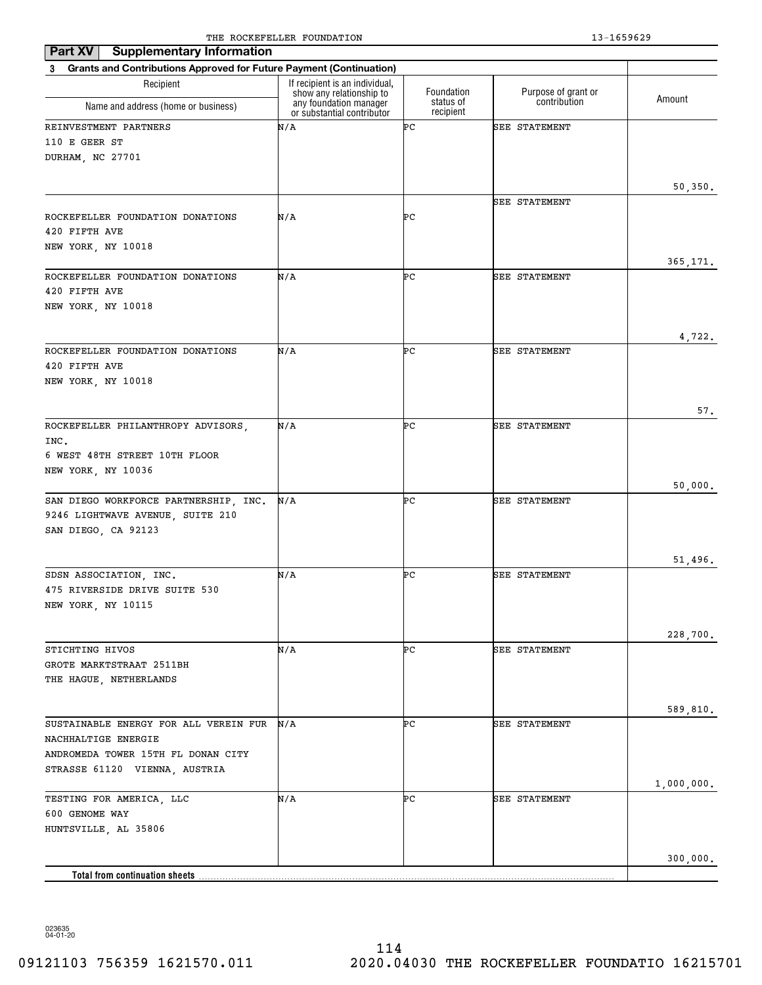| <b>Supplementary Information</b><br>Part XV                           |                                                            |                        |                      |            |
|-----------------------------------------------------------------------|------------------------------------------------------------|------------------------|----------------------|------------|
| 3 Grants and Contributions Approved for Future Payment (Continuation) |                                                            |                        |                      |            |
| Recipient                                                             | If recipient is an individual,<br>show any relationship to | Foundation             | Purpose of grant or  | Amount     |
| Name and address (home or business)                                   | any foundation manager<br>or substantial contributor       | status of<br>recipient | contribution         |            |
| REINVESTMENT PARTNERS                                                 | N/A                                                        | ÞС                     | SEE STATEMENT        |            |
| 110 E GEER ST                                                         |                                                            |                        |                      |            |
| DURHAM, NC 27701                                                      |                                                            |                        |                      |            |
|                                                                       |                                                            |                        |                      | 50,350.    |
|                                                                       |                                                            |                        | SEE STATEMENT        |            |
| ROCKEFELLER FOUNDATION DONATIONS                                      | N/A                                                        | ÞС                     |                      |            |
| 420 FIFTH AVE                                                         |                                                            |                        |                      |            |
| NEW YORK, NY 10018                                                    |                                                            |                        |                      |            |
| ROCKEFELLER FOUNDATION DONATIONS                                      | N/A                                                        | ÞС                     | SEE STATEMENT        | 365,171.   |
| 420 FIFTH AVE                                                         |                                                            |                        |                      |            |
| NEW YORK, NY 10018                                                    |                                                            |                        |                      |            |
|                                                                       |                                                            |                        |                      |            |
|                                                                       |                                                            |                        |                      | 4,722.     |
| ROCKEFELLER FOUNDATION DONATIONS                                      | N/A                                                        | ÞС                     | SEE STATEMENT        |            |
| 420 FIFTH AVE<br>NEW YORK, NY 10018                                   |                                                            |                        |                      |            |
|                                                                       |                                                            |                        |                      |            |
|                                                                       |                                                            |                        |                      | 57.        |
| ROCKEFELLER PHILANTHROPY ADVISORS,                                    | N/A                                                        | ÞС                     | <b>SEE STATEMENT</b> |            |
| INC.                                                                  |                                                            |                        |                      |            |
| 6 WEST 48TH STREET 10TH FLOOR                                         |                                                            |                        |                      |            |
| NEW YORK, NY 10036                                                    |                                                            |                        |                      | 50,000.    |
| SAN DIEGO WORKFORCE PARTNERSHIP, INC.                                 | N/A                                                        | ÞС                     | <b>SEE STATEMENT</b> |            |
| 9246 LIGHTWAVE AVENUE, SUITE 210                                      |                                                            |                        |                      |            |
| SAN DIEGO, CA 92123                                                   |                                                            |                        |                      |            |
|                                                                       |                                                            |                        |                      |            |
| SDSN ASSOCIATION, INC.                                                | N/A                                                        | ÞС                     | SEE STATEMENT        | 51,496.    |
| 475 RIVERSIDE DRIVE SUITE 530                                         |                                                            |                        |                      |            |
| NEW YORK, NY 10115                                                    |                                                            |                        |                      |            |
|                                                                       |                                                            |                        |                      |            |
|                                                                       |                                                            |                        |                      | 228,700.   |
| STICHTING HIVOS<br>GROTE MARKTSTRAAT 2511BH                           | N/A                                                        | ÞС                     | SEE STATEMENT        |            |
| THE HAGUE, NETHERLANDS                                                |                                                            |                        |                      |            |
|                                                                       |                                                            |                        |                      |            |
|                                                                       |                                                            |                        |                      | 589,810.   |
| SUSTAINABLE ENERGY FOR ALL VEREIN FUR                                 | N/A                                                        | ÞС                     | SEE STATEMENT        |            |
| NACHHALTIGE ENERGIE                                                   |                                                            |                        |                      |            |
| ANDROMEDA TOWER 15TH FL DONAN CITY<br>STRASSE 61120 VIENNA, AUSTRIA   |                                                            |                        |                      |            |
|                                                                       |                                                            |                        |                      | 1,000,000. |
| TESTING FOR AMERICA, LLC                                              | N/A                                                        | ÞС                     | SEE STATEMENT        |            |
| 600 GENOME WAY                                                        |                                                            |                        |                      |            |
| HUNTSVILLE, AL 35806                                                  |                                                            |                        |                      |            |
|                                                                       |                                                            |                        |                      | 300,000.   |
| <b>Total from continuation sheets</b>                                 |                                                            |                        |                      |            |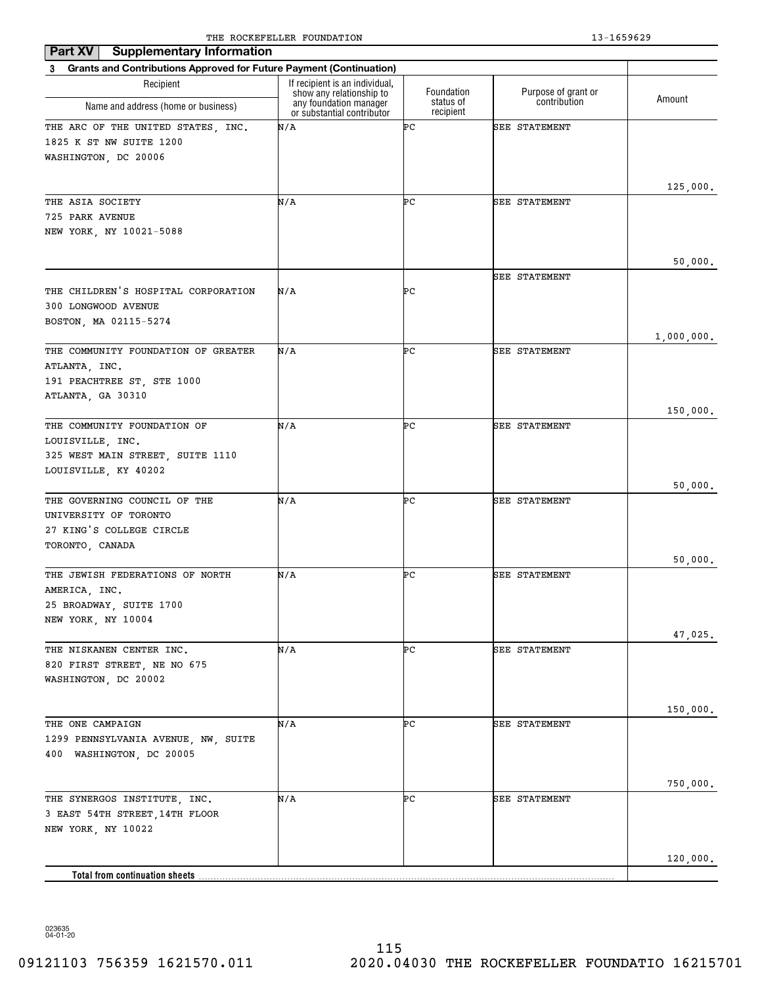| <b>Supplementary Information</b><br>Part XV                           |                                                            |                        |                      |            |
|-----------------------------------------------------------------------|------------------------------------------------------------|------------------------|----------------------|------------|
| 3 Grants and Contributions Approved for Future Payment (Continuation) |                                                            |                        |                      |            |
| Recipient                                                             | If recipient is an individual,<br>show any relationship to | Foundation             | Purpose of grant or  |            |
| Name and address (home or business)                                   | any foundation manager<br>or substantial contributor       | status of<br>recipient | contribution         | Amount     |
| THE ARC OF THE UNITED STATES, INC.                                    | N/A                                                        | ÞС                     | <b>SEE STATEMENT</b> |            |
| 1825 K ST NW SUITE 1200                                               |                                                            |                        |                      |            |
| WASHINGTON, DC 20006                                                  |                                                            |                        |                      |            |
|                                                                       |                                                            |                        |                      |            |
| THE ASIA SOCIETY                                                      | N/A                                                        | ÞС                     | <b>SEE STATEMENT</b> | 125,000.   |
| 725 PARK AVENUE                                                       |                                                            |                        |                      |            |
| NEW YORK, NY 10021-5088                                               |                                                            |                        |                      |            |
|                                                                       |                                                            |                        |                      |            |
|                                                                       |                                                            |                        |                      | 50,000.    |
|                                                                       |                                                            |                        | <b>SEE STATEMENT</b> |            |
| THE CHILDREN'S HOSPITAL CORPORATION                                   | N/A                                                        | ÞС                     |                      |            |
| 300 LONGWOOD AVENUE                                                   |                                                            |                        |                      |            |
| BOSTON, MA 02115-5274                                                 |                                                            |                        |                      |            |
| THE COMMUNITY FOUNDATION OF GREATER                                   | N/A                                                        | ÞС                     | <b>SEE STATEMENT</b> | 1,000,000. |
| ATLANTA, INC.                                                         |                                                            |                        |                      |            |
| 191 PEACHTREE ST, STE 1000                                            |                                                            |                        |                      |            |
| ATLANTA, GA 30310                                                     |                                                            |                        |                      |            |
|                                                                       |                                                            |                        |                      | 150,000.   |
| THE COMMUNITY FOUNDATION OF                                           | N/A                                                        | ÞС                     | <b>SEE STATEMENT</b> |            |
| LOUISVILLE, INC.                                                      |                                                            |                        |                      |            |
| 325 WEST MAIN STREET, SUITE 1110                                      |                                                            |                        |                      |            |
| LOUISVILLE, KY 40202                                                  |                                                            |                        |                      |            |
|                                                                       |                                                            |                        |                      | 50,000.    |
| THE GOVERNING COUNCIL OF THE<br>UNIVERSITY OF TORONTO                 | N/A                                                        | ÞС                     | <b>SEE STATEMENT</b> |            |
| 27 KING'S COLLEGE CIRCLE                                              |                                                            |                        |                      |            |
| TORONTO, CANADA                                                       |                                                            |                        |                      |            |
|                                                                       |                                                            |                        |                      | 50,000.    |
| THE JEWISH FEDERATIONS OF NORTH                                       | N/A                                                        | ÞС                     | <b>SEE STATEMENT</b> |            |
| AMERICA, INC.                                                         |                                                            |                        |                      |            |
| 25 BROADWAY, SUITE 1700                                               |                                                            |                        |                      |            |
| NEW YORK, NY 10004                                                    |                                                            |                        |                      |            |
|                                                                       |                                                            |                        |                      | 47,025.    |
| THE NISKANEN CENTER INC.                                              | N/A                                                        | ÞС                     | <b>SEE STATEMENT</b> |            |
| 820 FIRST STREET, NE NO 675<br>WASHINGTON, DC 20002                   |                                                            |                        |                      |            |
|                                                                       |                                                            |                        |                      |            |
|                                                                       |                                                            |                        |                      | 150,000.   |
| THE ONE CAMPAIGN                                                      | N/A                                                        | ÞС                     | SEE STATEMENT        |            |
| 1299 PENNSYLVANIA AVENUE, NW, SUITE                                   |                                                            |                        |                      |            |
| 400 WASHINGTON, DC 20005                                              |                                                            |                        |                      |            |
|                                                                       |                                                            |                        |                      |            |
|                                                                       |                                                            |                        |                      | 750,000.   |
| THE SYNERGOS INSTITUTE, INC.                                          | N/A                                                        | ÞС                     | SEE STATEMENT        |            |
| 3 EAST 54TH STREET, 14TH FLOOR                                        |                                                            |                        |                      |            |
| NEW YORK, NY 10022                                                    |                                                            |                        |                      |            |
|                                                                       |                                                            |                        |                      | 120,000.   |
| <b>Total from continuation sheets</b>                                 |                                                            |                        |                      |            |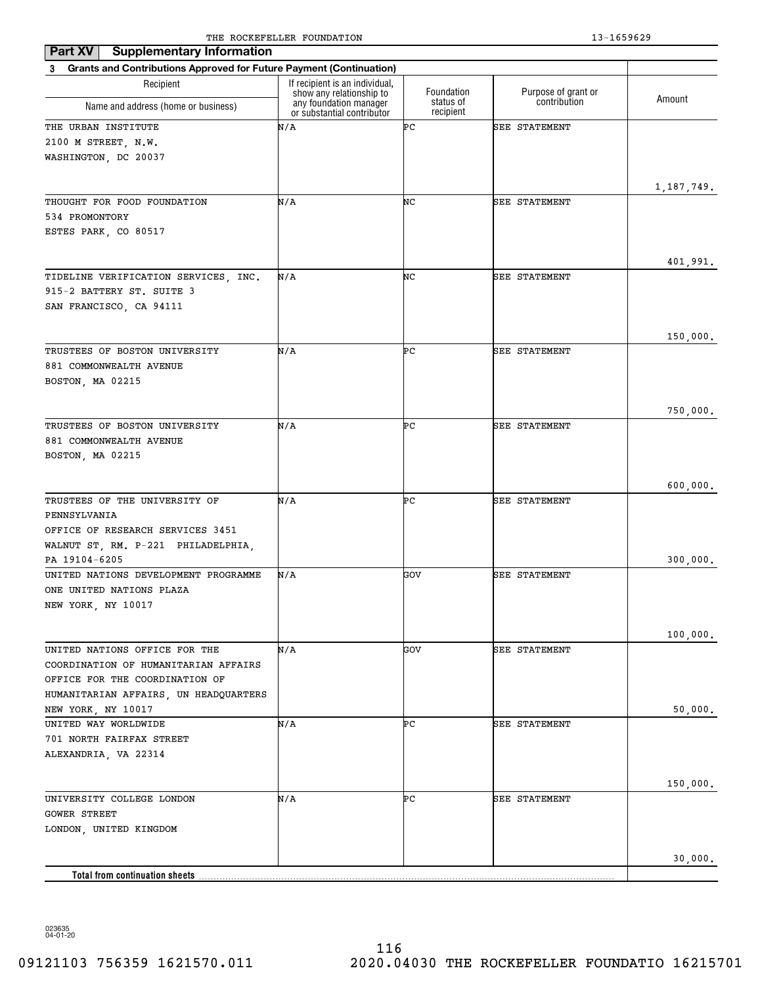| Part XV<br><b>Supplementary Information</b>                                     |                                                            |                         |                                     |              |
|---------------------------------------------------------------------------------|------------------------------------------------------------|-------------------------|-------------------------------------|--------------|
| <b>Grants and Contributions Approved for Future Payment (Continuation)</b><br>3 |                                                            |                         |                                     |              |
| Recipient                                                                       | If recipient is an individual.<br>show any relationship to | Foundation<br>status of | Purpose of grant or<br>contribution | Amount       |
| Name and address (home or business)                                             | any foundation manager<br>or substantial contributor       | recipient               |                                     |              |
| THE URBAN INSTITUTE                                                             | N/A                                                        | ÞС                      | SEE STATEMENT                       |              |
| 2100 M STREET, N.W.                                                             |                                                            |                         |                                     |              |
| WASHINGTON, DC 20037                                                            |                                                            |                         |                                     |              |
|                                                                                 |                                                            |                         |                                     |              |
|                                                                                 |                                                            |                         |                                     | 1, 187, 749. |
| THOUGHT FOR FOOD FOUNDATION                                                     | N/A                                                        | NC                      | <b>SEE STATEMENT</b>                |              |
| 534 PROMONTORY                                                                  |                                                            |                         |                                     |              |
| ESTES PARK, CO 80517                                                            |                                                            |                         |                                     |              |
|                                                                                 |                                                            |                         |                                     | 401,991.     |
| TIDELINE VERIFICATION SERVICES, INC.                                            | N/A                                                        | NC                      | <b>SEE STATEMENT</b>                |              |
| 915-2 BATTERY ST. SUITE 3                                                       |                                                            |                         |                                     |              |
| SAN FRANCISCO, CA 94111                                                         |                                                            |                         |                                     |              |
|                                                                                 |                                                            |                         |                                     |              |
|                                                                                 |                                                            |                         |                                     | 150,000.     |
| TRUSTEES OF BOSTON UNIVERSITY                                                   | N/A                                                        | ÞС                      | SEE STATEMENT                       |              |
| 881 COMMONWEALTH AVENUE                                                         |                                                            |                         |                                     |              |
| BOSTON, MA 02215                                                                |                                                            |                         |                                     |              |
|                                                                                 |                                                            |                         |                                     |              |
|                                                                                 |                                                            |                         |                                     | 750,000.     |
| TRUSTEES OF BOSTON UNIVERSITY                                                   | N/A                                                        | ÞС                      | <b>SEE STATEMENT</b>                |              |
| 881 COMMONWEALTH AVENUE                                                         |                                                            |                         |                                     |              |
| BOSTON, MA 02215                                                                |                                                            |                         |                                     |              |
|                                                                                 |                                                            |                         |                                     |              |
|                                                                                 |                                                            |                         |                                     | 600,000.     |
| TRUSTEES OF THE UNIVERSITY OF                                                   | N/A                                                        | ÞС                      | <b>SEE STATEMENT</b>                |              |
| PENNSYLVANIA                                                                    |                                                            |                         |                                     |              |
| OFFICE OF RESEARCH SERVICES 3451                                                |                                                            |                         |                                     |              |
| WALNUT ST, RM. P-221 PHILADELPHIA,                                              |                                                            |                         |                                     |              |
| PA 19104-6205                                                                   |                                                            |                         |                                     | 300,000.     |
| UNITED NATIONS DEVELOPMENT PROGRAMME                                            | N/A                                                        | GOV                     | <b>SEE STATEMENT</b>                |              |
| ONE UNITED NATIONS PLAZA                                                        |                                                            |                         |                                     |              |
| NEW YORK, NY 10017                                                              |                                                            |                         |                                     |              |
|                                                                                 |                                                            |                         |                                     |              |
| UNITED NATIONS OFFICE FOR THE                                                   | N/A                                                        | GOV                     | <b>SEE STATEMENT</b>                | 100,000.     |
| COORDINATION OF HUMANITARIAN AFFAIRS                                            |                                                            |                         |                                     |              |
| OFFICE FOR THE COORDINATION OF                                                  |                                                            |                         |                                     |              |
| HUMANITARIAN AFFAIRS, UN HEADQUARTERS                                           |                                                            |                         |                                     |              |
| NEW YORK, NY 10017                                                              |                                                            |                         |                                     | 50,000.      |
| UNITED WAY WORLDWIDE                                                            | N/A                                                        | ÞС                      | SEE STATEMENT                       |              |
| 701 NORTH FAIRFAX STREET                                                        |                                                            |                         |                                     |              |
| ALEXANDRIA, VA 22314                                                            |                                                            |                         |                                     |              |
|                                                                                 |                                                            |                         |                                     |              |
|                                                                                 |                                                            |                         |                                     | 150,000.     |
| UNIVERSITY COLLEGE LONDON                                                       | N/A                                                        | ÞС                      | SEE STATEMENT                       |              |
| <b>GOWER STREET</b>                                                             |                                                            |                         |                                     |              |
| LONDON, UNITED KINGDOM                                                          |                                                            |                         |                                     |              |
|                                                                                 |                                                            |                         |                                     |              |
|                                                                                 |                                                            |                         |                                     | 30,000.      |
| <b>Total from continuation sheets</b>                                           |                                                            |                         |                                     |              |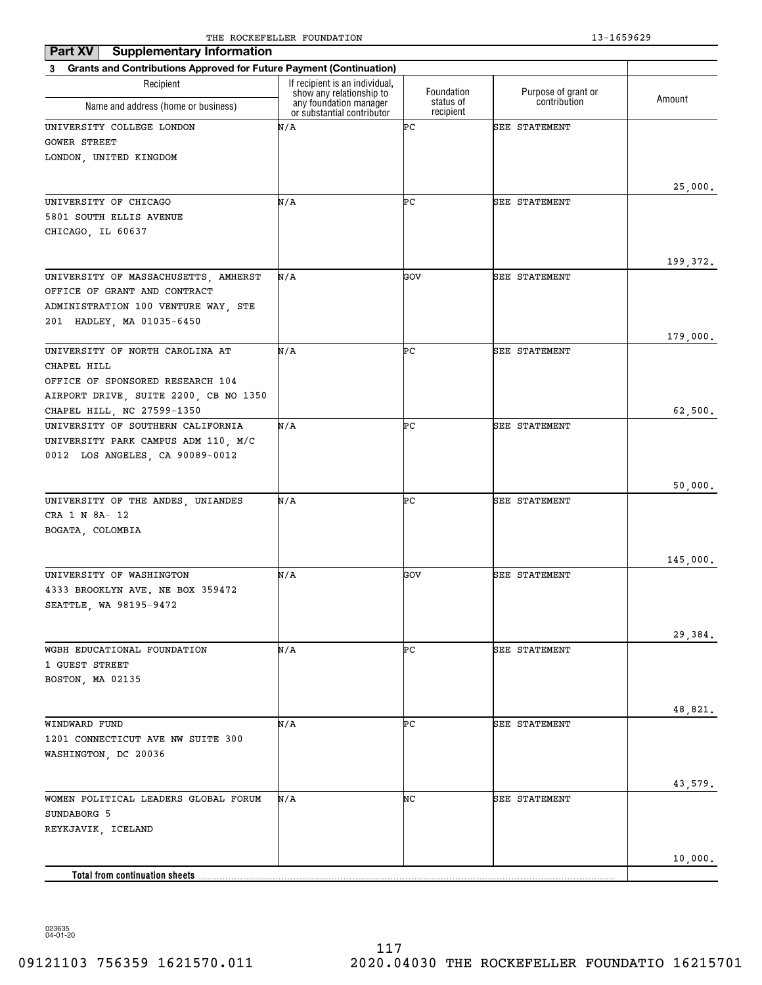| <b>Supplementary Information</b><br>Part XV                               |                                                            |                        |                      |          |
|---------------------------------------------------------------------------|------------------------------------------------------------|------------------------|----------------------|----------|
| 3 Grants and Contributions Approved for Future Payment (Continuation)     |                                                            |                        |                      |          |
| Recipient                                                                 | If recipient is an individual,<br>show any relationship to | Foundation             | Purpose of grant or  |          |
| Name and address (home or business)                                       | any foundation manager<br>or substantial contributor       | status of<br>recipient | contribution         | Amount   |
| UNIVERSITY COLLEGE LONDON                                                 | N/A                                                        | ÞС                     | <b>SEE STATEMENT</b> |          |
| <b>GOWER STREET</b>                                                       |                                                            |                        |                      |          |
| LONDON, UNITED KINGDOM                                                    |                                                            |                        |                      |          |
|                                                                           |                                                            |                        |                      |          |
| UNIVERSITY OF CHICAGO                                                     | N/A                                                        | ÞС                     | <b>SEE STATEMENT</b> | 25,000.  |
| 5801 SOUTH ELLIS AVENUE                                                   |                                                            |                        |                      |          |
| CHICAGO, IL 60637                                                         |                                                            |                        |                      |          |
|                                                                           |                                                            |                        |                      |          |
|                                                                           |                                                            |                        |                      | 199,372. |
| UNIVERSITY OF MASSACHUSETTS, AMHERST                                      | N/A                                                        | GOV                    | <b>SEE STATEMENT</b> |          |
| OFFICE OF GRANT AND CONTRACT                                              |                                                            |                        |                      |          |
| ADMINISTRATION 100 VENTURE WAY, STE                                       |                                                            |                        |                      |          |
| 201 HADLEY, MA 01035-6450                                                 |                                                            |                        |                      |          |
|                                                                           |                                                            |                        |                      | 179,000. |
| UNIVERSITY OF NORTH CAROLINA AT                                           | N/A                                                        | ÞС                     | <b>SEE STATEMENT</b> |          |
| CHAPEL HILL                                                               |                                                            |                        |                      |          |
| OFFICE OF SPONSORED RESEARCH 104<br>AIRPORT DRIVE, SUITE 2200, CB NO 1350 |                                                            |                        |                      |          |
| CHAPEL HILL, NC 27599-1350                                                |                                                            |                        |                      | 62,500.  |
| UNIVERSITY OF SOUTHERN CALIFORNIA                                         | N/A                                                        | ÞС                     | <b>SEE STATEMENT</b> |          |
| UNIVERSITY PARK CAMPUS ADM 110, M/C                                       |                                                            |                        |                      |          |
| 0012 LOS ANGELES, CA 90089-0012                                           |                                                            |                        |                      |          |
|                                                                           |                                                            |                        |                      |          |
|                                                                           |                                                            |                        |                      | 50,000.  |
| UNIVERSITY OF THE ANDES, UNIANDES                                         | N/A                                                        | ÞС                     | <b>SEE STATEMENT</b> |          |
| CRA 1 N 8A- 12                                                            |                                                            |                        |                      |          |
| BOGATA, COLOMBIA                                                          |                                                            |                        |                      |          |
|                                                                           |                                                            |                        |                      |          |
| UNIVERSITY OF WASHINGTON                                                  | N/A                                                        | GOV                    | SEE STATEMENT        | 145,000. |
| 4333 BROOKLYN AVE. NE BOX 359472                                          |                                                            |                        |                      |          |
| SEATTLE, WA 98195-9472                                                    |                                                            |                        |                      |          |
|                                                                           |                                                            |                        |                      |          |
|                                                                           |                                                            |                        |                      | 29,384.  |
| WGBH EDUCATIONAL FOUNDATION                                               | N/A                                                        | ÞС                     | <b>SEE STATEMENT</b> |          |
| 1 GUEST STREET                                                            |                                                            |                        |                      |          |
| BOSTON, MA 02135                                                          |                                                            |                        |                      |          |
|                                                                           |                                                            |                        |                      |          |
|                                                                           |                                                            |                        |                      | 48,821.  |
| WINDWARD FUND<br>1201 CONNECTICUT AVE NW SUITE 300                        | N/A                                                        | ÞС                     | <b>SEE STATEMENT</b> |          |
| WASHINGTON, DC 20036                                                      |                                                            |                        |                      |          |
|                                                                           |                                                            |                        |                      |          |
|                                                                           |                                                            |                        |                      | 43,579.  |
| WOMEN POLITICAL LEADERS GLOBAL FORUM                                      | N/A                                                        | NC                     | <b>SEE STATEMENT</b> |          |
| SUNDABORG 5                                                               |                                                            |                        |                      |          |
| REYKJAVIK, ICELAND                                                        |                                                            |                        |                      |          |
|                                                                           |                                                            |                        |                      |          |
|                                                                           |                                                            |                        |                      | 10,000.  |
| <b>Total from continuation sheets</b>                                     |                                                            |                        |                      |          |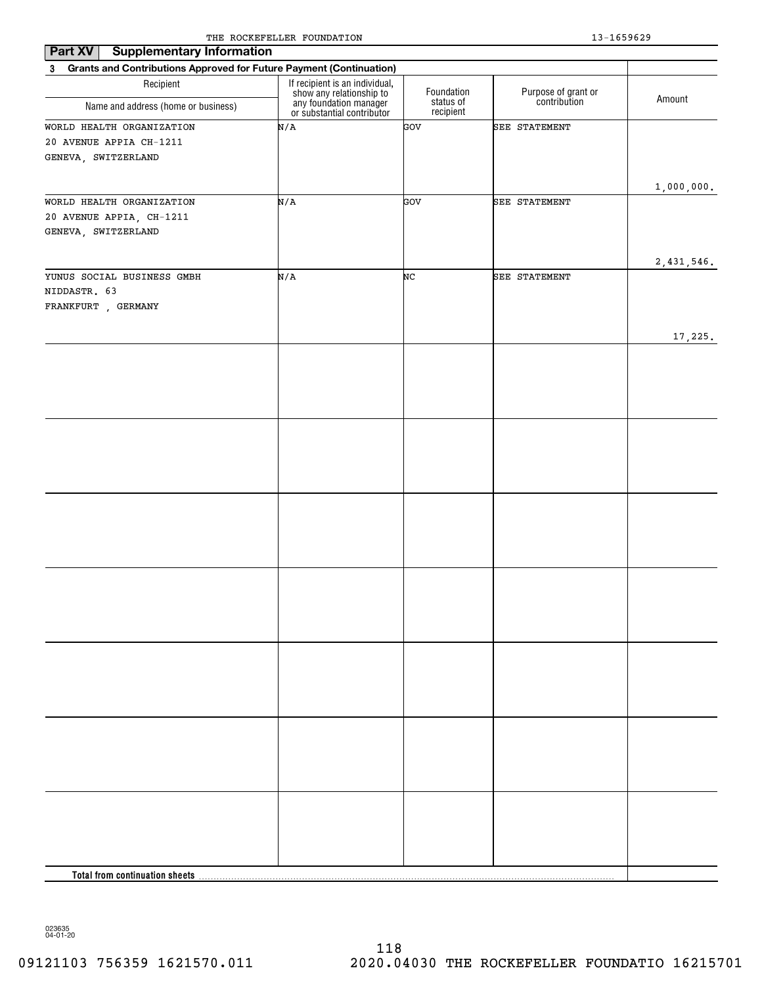| Part XV<br><b>Supplementary Information</b>                                        |                                                                                                                    |                         |                                     |               |
|------------------------------------------------------------------------------------|--------------------------------------------------------------------------------------------------------------------|-------------------------|-------------------------------------|---------------|
| Grants and Contributions Approved for Future Payment (Continuation)<br>$3^{\circ}$ |                                                                                                                    |                         |                                     |               |
| Recipient                                                                          | If recipient is an individual,<br>show any relationship to<br>any foundation manager<br>or substantial contributor | Foundation<br>status of | Purpose of grant or<br>contribution | Amount        |
| Name and address (home or business)                                                |                                                                                                                    | recipient               |                                     |               |
| WORLD HEALTH ORGANIZATION                                                          | N/A                                                                                                                | GOV                     | SEE STATEMENT                       |               |
| 20 AVENUE APPIA CH-1211                                                            |                                                                                                                    |                         |                                     |               |
| GENEVA, SWITZERLAND                                                                |                                                                                                                    |                         |                                     |               |
|                                                                                    |                                                                                                                    |                         |                                     |               |
| WORLD HEALTH ORGANIZATION                                                          | N/A                                                                                                                | GOV                     | SEE STATEMENT                       | 1,000,000.    |
| 20 AVENUE APPIA, CH-1211                                                           |                                                                                                                    |                         |                                     |               |
| GENEVA, SWITZERLAND                                                                |                                                                                                                    |                         |                                     |               |
|                                                                                    |                                                                                                                    |                         |                                     |               |
|                                                                                    |                                                                                                                    |                         |                                     | $2,431,546$ . |
| YUNUS SOCIAL BUSINESS GMBH                                                         | N/A                                                                                                                | NC                      | SEE STATEMENT                       |               |
| NIDDASTR. 63                                                                       |                                                                                                                    |                         |                                     |               |
| FRANKFURT , GERMANY                                                                |                                                                                                                    |                         |                                     |               |
|                                                                                    |                                                                                                                    |                         |                                     |               |
|                                                                                    |                                                                                                                    |                         |                                     | 17,225.       |
|                                                                                    |                                                                                                                    |                         |                                     |               |
|                                                                                    |                                                                                                                    |                         |                                     |               |
|                                                                                    |                                                                                                                    |                         |                                     |               |
|                                                                                    |                                                                                                                    |                         |                                     |               |
|                                                                                    |                                                                                                                    |                         |                                     |               |
|                                                                                    |                                                                                                                    |                         |                                     |               |
|                                                                                    |                                                                                                                    |                         |                                     |               |
|                                                                                    |                                                                                                                    |                         |                                     |               |
|                                                                                    |                                                                                                                    |                         |                                     |               |
|                                                                                    |                                                                                                                    |                         |                                     |               |
|                                                                                    |                                                                                                                    |                         |                                     |               |
|                                                                                    |                                                                                                                    |                         |                                     |               |
|                                                                                    |                                                                                                                    |                         |                                     |               |
|                                                                                    |                                                                                                                    |                         |                                     |               |
|                                                                                    |                                                                                                                    |                         |                                     |               |
|                                                                                    |                                                                                                                    |                         |                                     |               |
|                                                                                    |                                                                                                                    |                         |                                     |               |
|                                                                                    |                                                                                                                    |                         |                                     |               |
|                                                                                    |                                                                                                                    |                         |                                     |               |
|                                                                                    |                                                                                                                    |                         |                                     |               |
|                                                                                    |                                                                                                                    |                         |                                     |               |
|                                                                                    |                                                                                                                    |                         |                                     |               |
|                                                                                    |                                                                                                                    |                         |                                     |               |
|                                                                                    |                                                                                                                    |                         |                                     |               |
|                                                                                    |                                                                                                                    |                         |                                     |               |
|                                                                                    |                                                                                                                    |                         |                                     |               |
|                                                                                    |                                                                                                                    |                         |                                     |               |
|                                                                                    |                                                                                                                    |                         |                                     |               |
|                                                                                    |                                                                                                                    |                         |                                     |               |
|                                                                                    |                                                                                                                    |                         |                                     |               |
|                                                                                    |                                                                                                                    |                         |                                     |               |
|                                                                                    |                                                                                                                    |                         |                                     |               |
| Total from continuation sheets                                                     |                                                                                                                    |                         |                                     |               |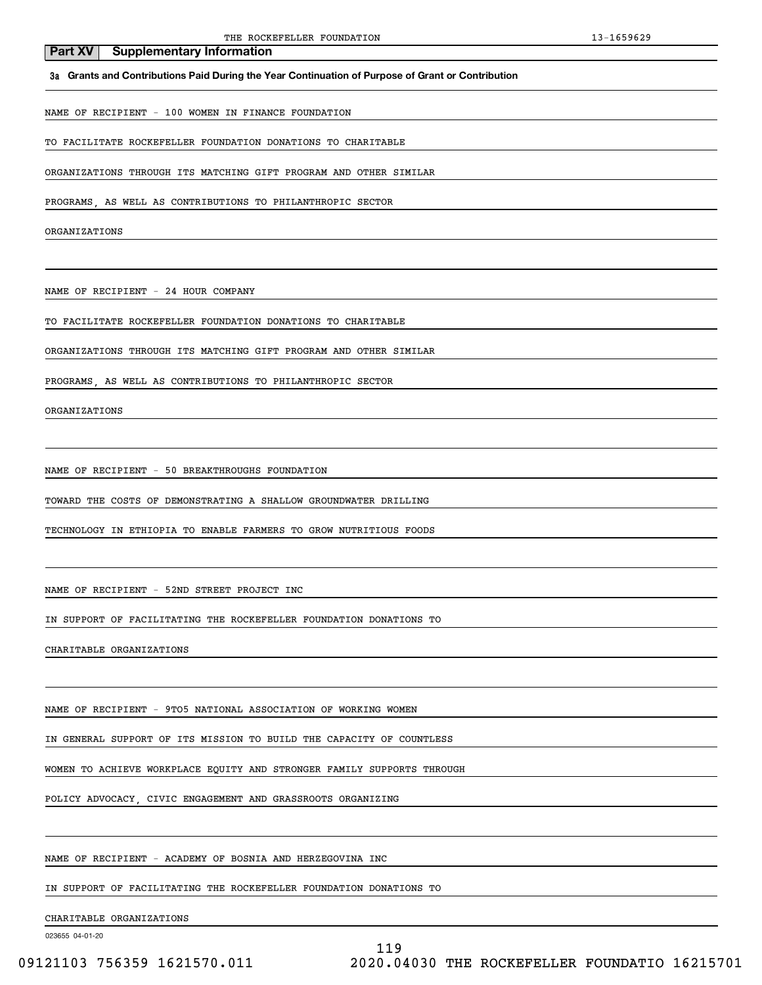### **3a Grants and Contributions Paid During the Year Continuation of Purpose of Grant or Contribution**

NAME OF RECIPIENT - 100 WOMEN IN FINANCE FOUNDATION

**Part XV** Supplementary Information

TO FACILITATE ROCKEFELLER FOUNDATION DONATIONS TO CHARITABLE

ORGANIZATIONS THROUGH ITS MATCHING GIFT PROGRAM AND OTHER SIMILAR

PROGRAMS, AS WELL AS CONTRIBUTIONS TO PHILANTHROPIC SECTOR

ORGANIZATIONS

NAME OF RECIPIENT - 24 HOUR COMPANY

TO FACILITATE ROCKEFELLER FOUNDATION DONATIONS TO CHARITABLE

ORGANIZATIONS THROUGH ITS MATCHING GIFT PROGRAM AND OTHER SIMILAR

PROGRAMS, AS WELL AS CONTRIBUTIONS TO PHILANTHROPIC SECTOR

ORGANIZATIONS

NAME OF RECIPIENT - 50 BREAKTHROUGHS FOUNDATION

TOWARD THE COSTS OF DEMONSTRATING A SHALLOW GROUNDWATER DRILLING

TECHNOLOGY IN ETHIOPIA TO ENABLE FARMERS TO GROW NUTRITIOUS FOODS

NAME OF RECIPIENT - 52ND STREET PROJECT INC

IN SUPPORT OF FACILITATING THE ROCKEFELLER FOUNDATION DONATIONS TO

CHARITABLE ORGANIZATIONS

NAME OF RECIPIENT - 9TO5 NATIONAL ASSOCIATION OF WORKING WOMEN

IN GENERAL SUPPORT OF ITS MISSION TO BUILD THE CAPACITY OF COUNTLESS

WOMEN TO ACHIEVE WORKPLACE EQUITY AND STRONGER FAMILY SUPPORTS THROUGH

POLICY ADVOCACY, CIVIC ENGAGEMENT AND GRASSROOTS ORGANIZING

NAME OF RECIPIENT - ACADEMY OF BOSNIA AND HERZEGOVINA INC

IN SUPPORT OF FACILITATING THE ROCKEFELLER FOUNDATION DONATIONS TO

CHARITABLE ORGANIZATIONS

023655 04-01-20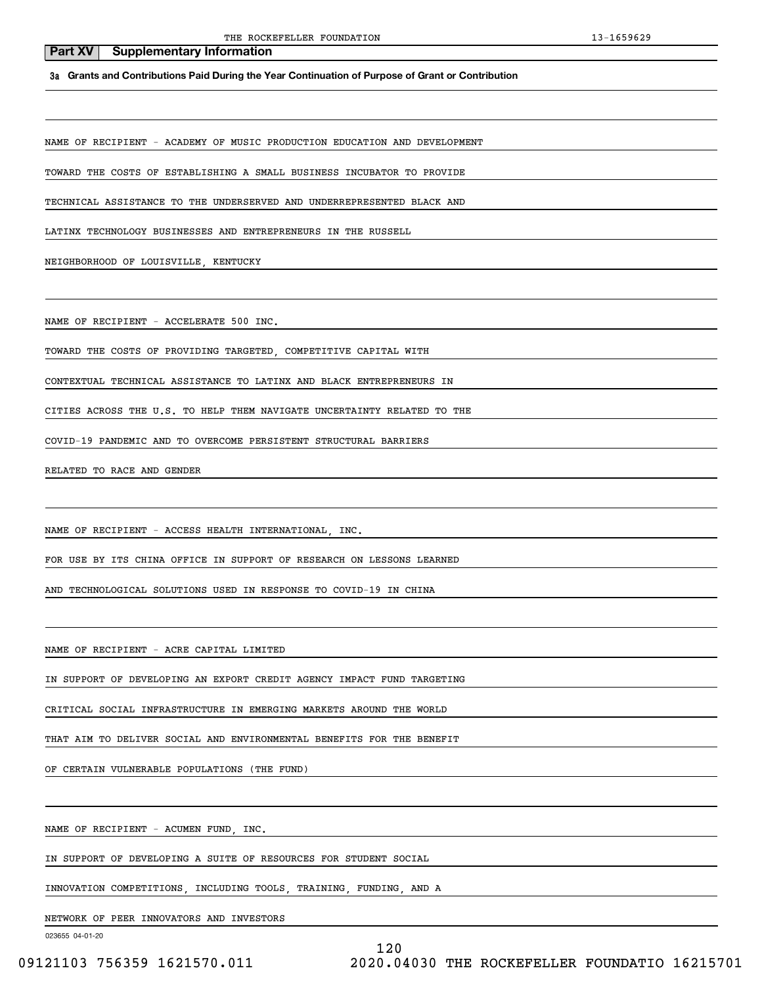**3a Grants and Contributions Paid During the Year Continuation of Purpose of Grant or Contribution**

NAME OF RECIPIENT - ACADEMY OF MUSIC PRODUCTION EDUCATION AND DEVELOPMENT

TOWARD THE COSTS OF ESTABLISHING A SMALL BUSINESS INCUBATOR TO PROVIDE

TECHNICAL ASSISTANCE TO THE UNDERSERVED AND UNDERREPRESENTED BLACK AND

LATINX TECHNOLOGY BUSINESSES AND ENTREPRENEURS IN THE RUSSELL

NEIGHBORHOOD OF LOUISVILLE, KENTUCKY

NAME OF RECIPIENT - ACCELERATE 500 INC.

TOWARD THE COSTS OF PROVIDING TARGETED, COMPETITIVE CAPITAL WITH

CONTEXTUAL TECHNICAL ASSISTANCE TO LATINX AND BLACK ENTREPRENEURS IN

CITIES ACROSS THE U.S. TO HELP THEM NAVIGATE UNCERTAINTY RELATED TO THE

COVID-19 PANDEMIC AND TO OVERCOME PERSISTENT STRUCTURAL BARRIERS

RELATED TO RACE AND GENDER

NAME OF RECIPIENT - ACCESS HEALTH INTERNATIONAL, INC.

FOR USE BY ITS CHINA OFFICE IN SUPPORT OF RESEARCH ON LESSONS LEARNED

AND TECHNOLOGICAL SOLUTIONS USED IN RESPONSE TO COVID-19 IN CHINA

NAME OF RECIPIENT - ACRE CAPITAL LIMITED

IN SUPPORT OF DEVELOPING AN EXPORT CREDIT AGENCY IMPACT FUND TARGETING

CRITICAL SOCIAL INFRASTRUCTURE IN EMERGING MARKETS AROUND THE WORLD

THAT AIM TO DELIVER SOCIAL AND ENVIRONMENTAL BENEFITS FOR THE BENEFIT

OF CERTAIN VULNERABLE POPULATIONS (THE FUND)

NAME OF RECIPIENT - ACUMEN FUND, INC.

IN SUPPORT OF DEVELOPING A SUITE OF RESOURCES FOR STUDENT SOCIAL

INNOVATION COMPETITIONS, INCLUDING TOOLS, TRAINING, FUNDING, AND A

NETWORK OF PEER INNOVATORS AND INVESTORS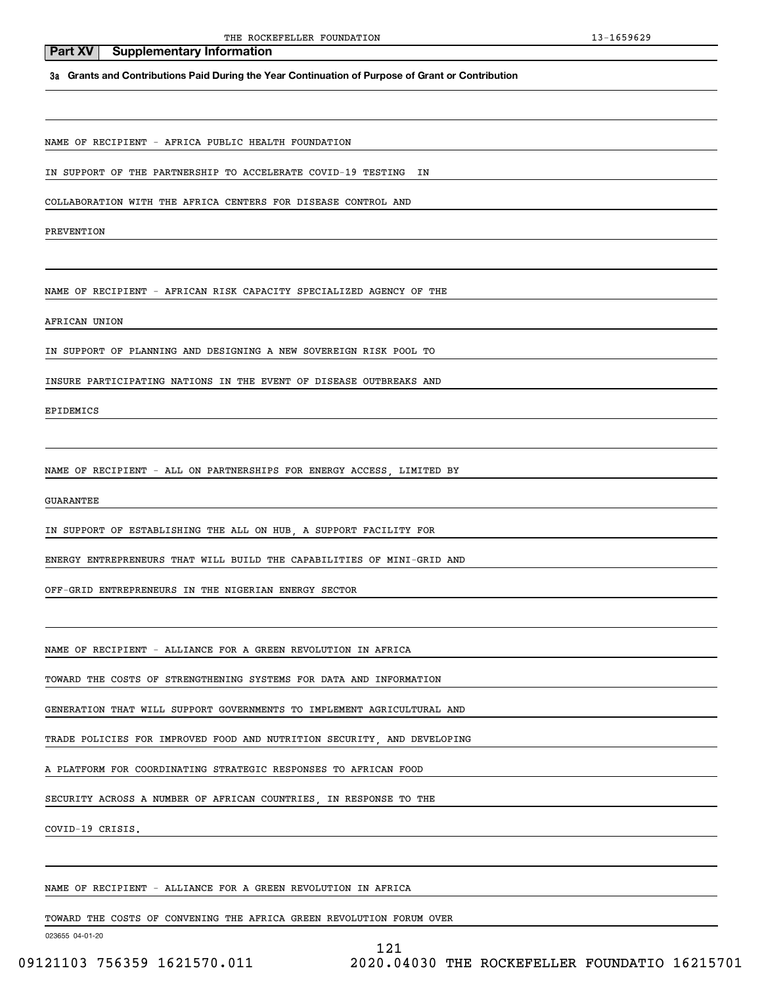# **3a Grants and Contributions Paid During the Year Continuation of Purpose of Grant or Contribution**

NAME OF RECIPIENT - AFRICA PUBLIC HEALTH FOUNDATION

**Part XV** | Supplementary Information

IN SUPPORT OF THE PARTNERSHIP TO ACCELERATE COVID-19 TESTING IN

COLLABORATION WITH THE AFRICA CENTERS FOR DISEASE CONTROL AND

PREVENTION

NAME OF RECIPIENT - AFRICAN RISK CAPACITY SPECIALIZED AGENCY OF THE

AFRICAN UNION

IN SUPPORT OF PLANNING AND DESIGNING A NEW SOVEREIGN RISK POOL TO

INSURE PARTICIPATING NATIONS IN THE EVENT OF DISEASE OUTBREAKS AND

EPIDEMICS

NAME OF RECIPIENT - ALL ON PARTNERSHIPS FOR ENERGY ACCESS, LIMITED BY

GUARANTEE

IN SUPPORT OF ESTABLISHING THE ALL ON HUB, A SUPPORT FACILITY FOR

ENERGY ENTREPRENEURS THAT WILL BUILD THE CAPABILITIES OF MINI-GRID AND

OFF-GRID ENTREPRENEURS IN THE NIGERIAN ENERGY SECTOR

NAME OF RECIPIENT - ALLIANCE FOR A GREEN REVOLUTION IN AFRICA

TOWARD THE COSTS OF STRENGTHENING SYSTEMS FOR DATA AND INFORMATION

GENERATION THAT WILL SUPPORT GOVERNMENTS TO IMPLEMENT AGRICULTURAL AND

TRADE POLICIES FOR IMPROVED FOOD AND NUTRITION SECURITY, AND DEVELOPING

A PLATFORM FOR COORDINATING STRATEGIC RESPONSES TO AFRICAN FOOD

SECURITY ACROSS A NUMBER OF AFRICAN COUNTRIES, IN RESPONSE TO THE

COVID-19 CRISIS.

NAME OF RECIPIENT - ALLIANCE FOR A GREEN REVOLUTION IN AFRICA

TOWARD THE COSTS OF CONVENING THE AFRICA GREEN REVOLUTION FORUM OVER

023655 04-01-20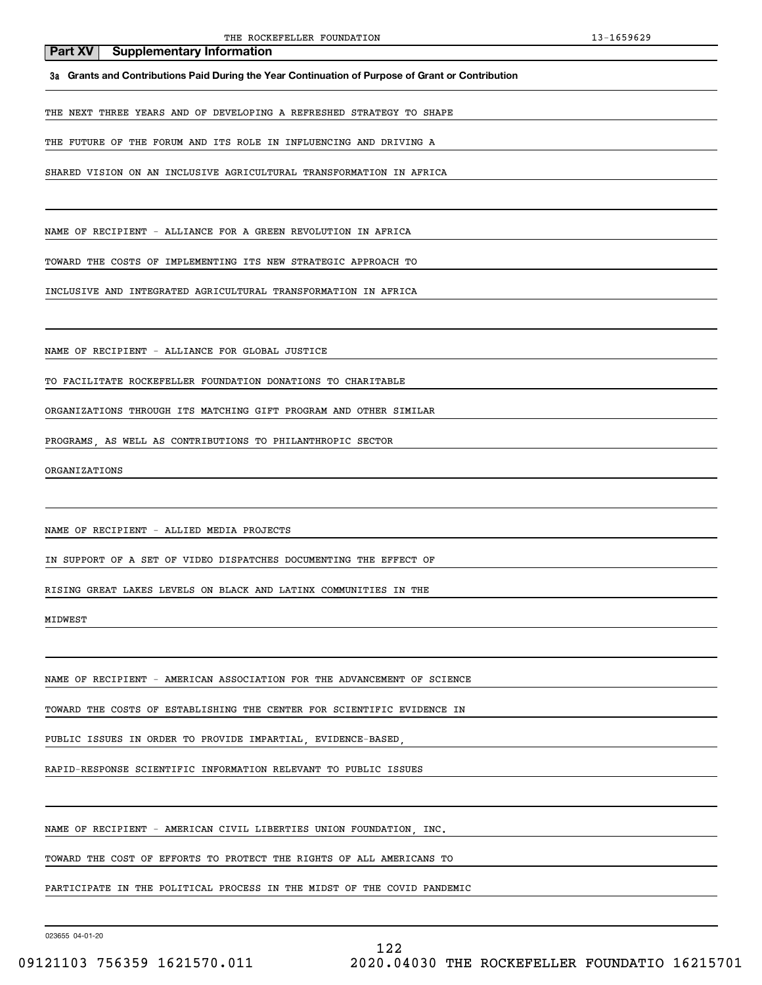**3a Grants and Contributions Paid During the Year Continuation of Purpose of Grant or Contribution**

THE NEXT THREE YEARS AND OF DEVELOPING A REFRESHED STRATEGY TO SHAPE

THE FUTURE OF THE FORUM AND ITS ROLE IN INFLUENCING AND DRIVING A

SHARED VISION ON AN INCLUSIVE AGRICULTURAL TRANSFORMATION IN AFRICA

NAME OF RECIPIENT - ALLIANCE FOR A GREEN REVOLUTION IN AFRICA

TOWARD THE COSTS OF IMPLEMENTING ITS NEW STRATEGIC APPROACH TO

INCLUSIVE AND INTEGRATED AGRICULTURAL TRANSFORMATION IN AFRICA

NAME OF RECIPIENT - ALLIANCE FOR GLOBAL JUSTICE

TO FACILITATE ROCKEFELLER FOUNDATION DONATIONS TO CHARITABLE

ORGANIZATIONS THROUGH ITS MATCHING GIFT PROGRAM AND OTHER SIMILAR

PROGRAMS, AS WELL AS CONTRIBUTIONS TO PHILANTHROPIC SECTOR

ORGANIZATIONS

NAME OF RECIPIENT - ALLIED MEDIA PROJECTS

IN SUPPORT OF A SET OF VIDEO DISPATCHES DOCUMENTING THE EFFECT OF

RISING GREAT LAKES LEVELS ON BLACK AND LATINX COMMUNITIES IN THE

MIDWEST

NAME OF RECIPIENT - AMERICAN ASSOCIATION FOR THE ADVANCEMENT OF SCIENCE

TOWARD THE COSTS OF ESTABLISHING THE CENTER FOR SCIENTIFIC EVIDENCE IN

PUBLIC ISSUES IN ORDER TO PROVIDE IMPARTIAL, EVIDENCE-BASED,

RAPID-RESPONSE SCIENTIFIC INFORMATION RELEVANT TO PUBLIC ISSUES

NAME OF RECIPIENT - AMERICAN CIVIL LIBERTIES UNION FOUNDATION, INC.

TOWARD THE COST OF EFFORTS TO PROTECT THE RIGHTS OF ALL AMERICANS TO

PARTICIPATE IN THE POLITICAL PROCESS IN THE MIDST OF THE COVID PANDEMIC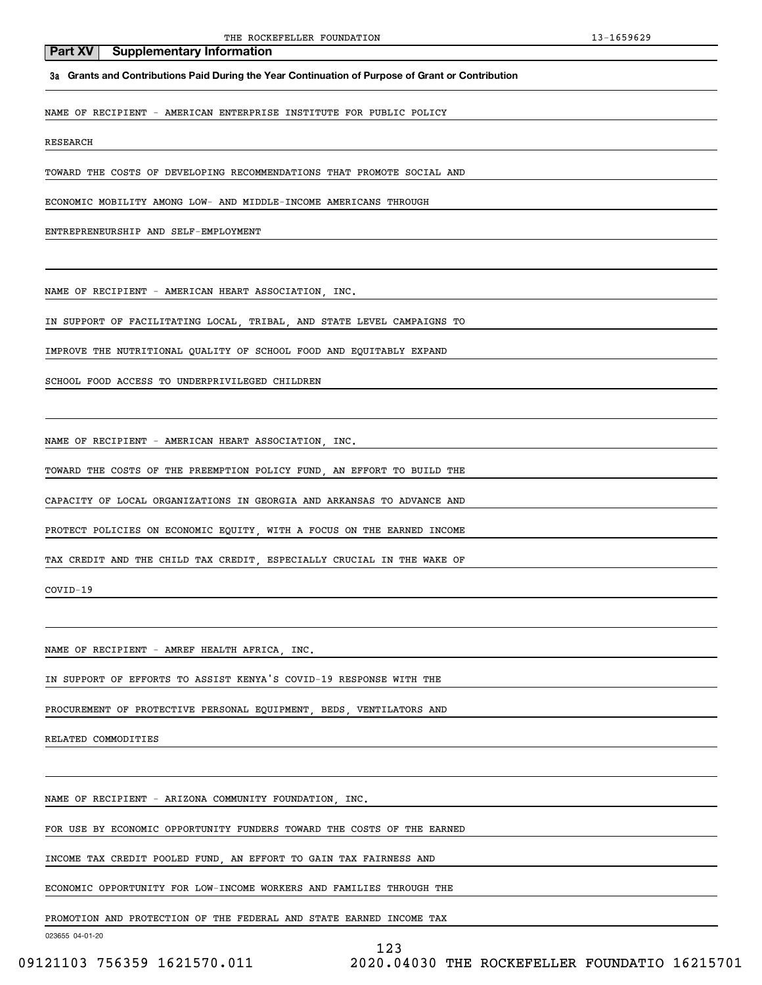**3a Grants and Contributions Paid During the Year Continuation of Purpose of Grant or Contribution**

NAME OF RECIPIENT - AMERICAN ENTERPRISE INSTITUTE FOR PUBLIC POLICY

RESEARCH

TOWARD THE COSTS OF DEVELOPING RECOMMENDATIONS THAT PROMOTE SOCIAL AND

ECONOMIC MOBILITY AMONG LOW- AND MIDDLE-INCOME AMERICANS THROUGH

ENTREPRENEURSHIP AND SELF-EMPLOYMENT

NAME OF RECIPIENT - AMERICAN HEART ASSOCIATION, INC.

IN SUPPORT OF FACILITATING LOCAL, TRIBAL, AND STATE LEVEL CAMPAIGNS TO

IMPROVE THE NUTRITIONAL QUALITY OF SCHOOL FOOD AND EQUITABLY EXPAND

SCHOOL FOOD ACCESS TO UNDERPRIVILEGED CHILDREN

NAME OF RECIPIENT - AMERICAN HEART ASSOCIATION, INC.

TOWARD THE COSTS OF THE PREEMPTION POLICY FUND, AN EFFORT TO BUILD THE

CAPACITY OF LOCAL ORGANIZATIONS IN GEORGIA AND ARKANSAS TO ADVANCE AND

PROTECT POLICIES ON ECONOMIC EQUITY, WITH A FOCUS ON THE EARNED INCOME

TAX CREDIT AND THE CHILD TAX CREDIT, ESPECIALLY CRUCIAL IN THE WAKE OF

COVID-19

NAME OF RECIPIENT - AMREF HEALTH AFRICA, INC.

IN SUPPORT OF EFFORTS TO ASSIST KENYA'S COVID-19 RESPONSE WITH THE

PROCUREMENT OF PROTECTIVE PERSONAL EQUIPMENT, BEDS, VENTILATORS AND

RELATED COMMODITIES

NAME OF RECIPIENT - ARIZONA COMMUNITY FOUNDATION, INC.

FOR USE BY ECONOMIC OPPORTUNITY FUNDERS TOWARD THE COSTS OF THE EARNED

INCOME TAX CREDIT POOLED FUND, AN EFFORT TO GAIN TAX FAIRNESS AND

ECONOMIC OPPORTUNITY FOR LOW-INCOME WORKERS AND FAMILIES THROUGH THE

PROMOTION AND PROTECTION OF THE FEDERAL AND STATE EARNED INCOME TAX

023655 04-01-20

123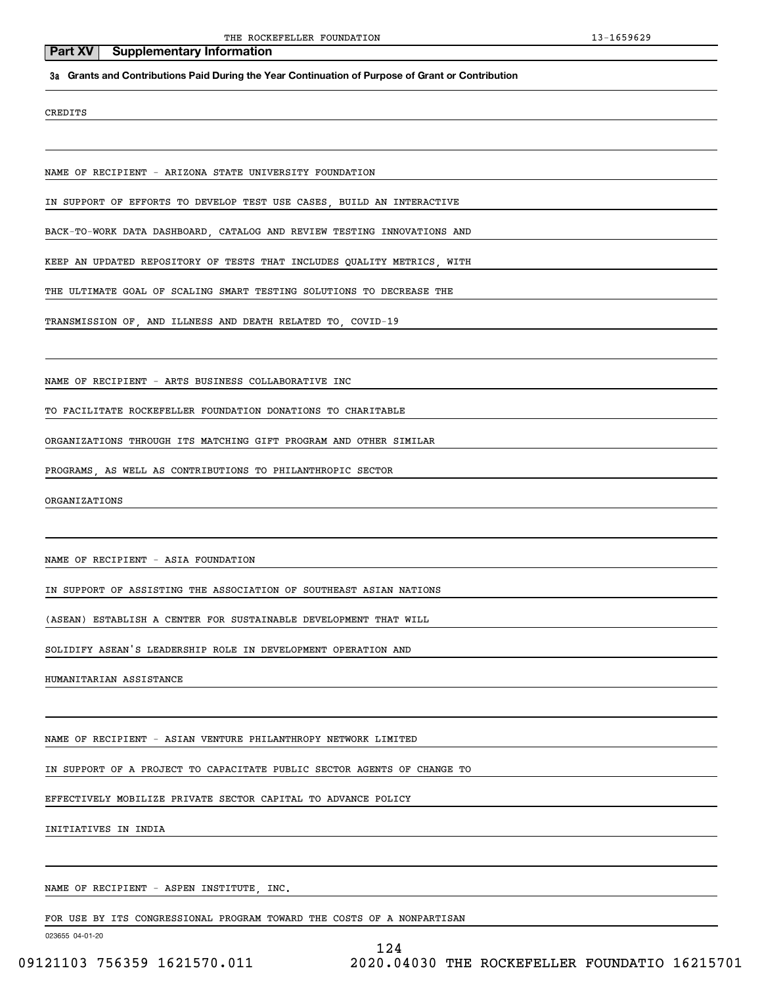### **3a Grants and Contributions Paid During the Year Continuation of Purpose of Grant or Contribution**

CREDITS

NAME OF RECIPIENT - ARIZONA STATE UNIVERSITY FOUNDATION

IN SUPPORT OF EFFORTS TO DEVELOP TEST USE CASES, BUILD AN INTERACTIVE

BACK-TO-WORK DATA DASHBOARD, CATALOG AND REVIEW TESTING INNOVATIONS AND

KEEP AN UPDATED REPOSITORY OF TESTS THAT INCLUDES QUALITY METRICS, WITH

THE ULTIMATE GOAL OF SCALING SMART TESTING SOLUTIONS TO DECREASE THE

TRANSMISSION OF, AND ILLNESS AND DEATH RELATED TO, COVID-19

NAME OF RECIPIENT - ARTS BUSINESS COLLABORATIVE INC

TO FACILITATE ROCKEFELLER FOUNDATION DONATIONS TO CHARITABLE

ORGANIZATIONS THROUGH ITS MATCHING GIFT PROGRAM AND OTHER SIMILAR

PROGRAMS, AS WELL AS CONTRIBUTIONS TO PHILANTHROPIC SECTOR

ORGANIZATIONS

NAME OF RECIPIENT - ASIA FOUNDATION

IN SUPPORT OF ASSISTING THE ASSOCIATION OF SOUTHEAST ASIAN NATIONS

(ASEAN) ESTABLISH A CENTER FOR SUSTAINABLE DEVELOPMENT THAT WILL

SOLIDIFY ASEAN'S LEADERSHIP ROLE IN DEVELOPMENT OPERATION AND

HUMANITARIAN ASSISTANCE

NAME OF RECIPIENT - ASIAN VENTURE PHILANTHROPY NETWORK LIMITED

IN SUPPORT OF A PROJECT TO CAPACITATE PUBLIC SECTOR AGENTS OF CHANGE TO

EFFECTIVELY MOBILIZE PRIVATE SECTOR CAPITAL TO ADVANCE POLICY

INITIATIVES IN INDIA

NAME OF RECIPIENT - ASPEN INSTITUTE, INC.

FOR USE BY ITS CONGRESSIONAL PROGRAM TOWARD THE COSTS OF A NONPARTISAN

023655 04-01-20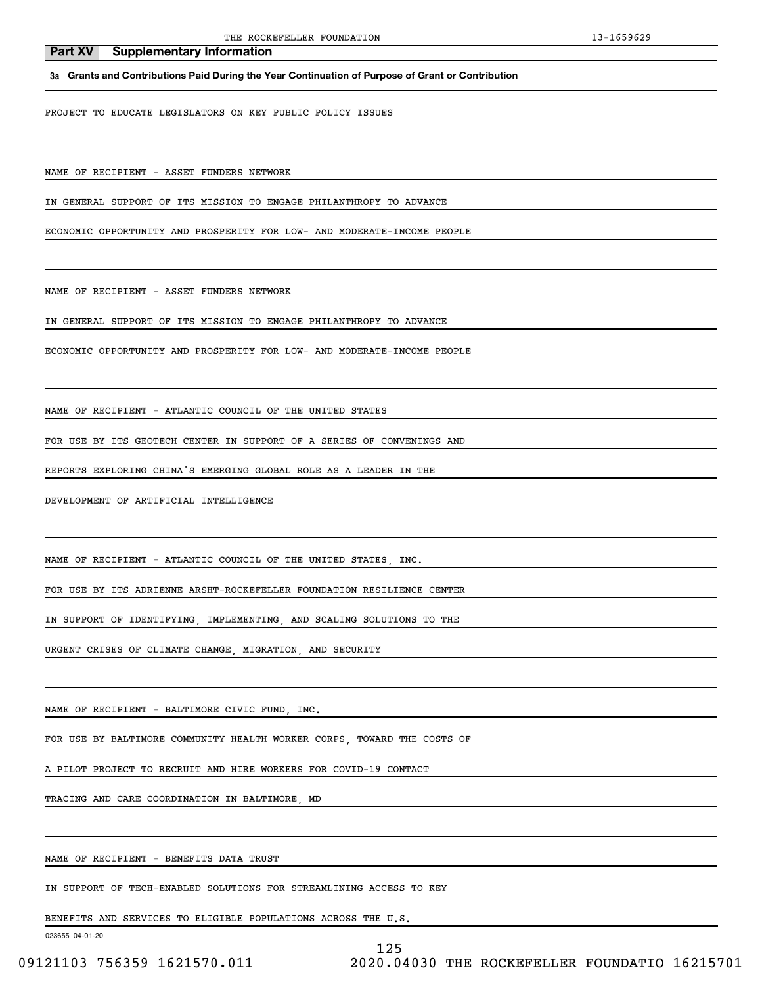**3a Grants and Contributions Paid During the Year Continuation of Purpose of Grant or Contribution**

PROJECT TO EDUCATE LEGISLATORS ON KEY PUBLIC POLICY ISSUES

NAME OF RECIPIENT - ASSET FUNDERS NETWORK

IN GENERAL SUPPORT OF ITS MISSION TO ENGAGE PHILANTHROPY TO ADVANCE

ECONOMIC OPPORTUNITY AND PROSPERITY FOR LOW- AND MODERATE-INCOME PEOPLE

NAME OF RECIPIENT - ASSET FUNDERS NETWORK

IN GENERAL SUPPORT OF ITS MISSION TO ENGAGE PHILANTHROPY TO ADVANCE

ECONOMIC OPPORTUNITY AND PROSPERITY FOR LOW- AND MODERATE-INCOME PEOPLE

NAME OF RECIPIENT - ATLANTIC COUNCIL OF THE UNITED STATES

FOR USE BY ITS GEOTECH CENTER IN SUPPORT OF A SERIES OF CONVENINGS AND

REPORTS EXPLORING CHINA'S EMERGING GLOBAL ROLE AS A LEADER IN THE

DEVELOPMENT OF ARTIFICIAL INTELLIGENCE

NAME OF RECIPIENT - ATLANTIC COUNCIL OF THE UNITED STATES, INC.

FOR USE BY ITS ADRIENNE ARSHT-ROCKEFELLER FOUNDATION RESILIENCE CENTER

IN SUPPORT OF IDENTIFYING, IMPLEMENTING, AND SCALING SOLUTIONS TO THE

URGENT CRISES OF CLIMATE CHANGE, MIGRATION, AND SECURITY

NAME OF RECIPIENT - BALTIMORE CIVIC FUND, INC.

FOR USE BY BALTIMORE COMMUNITY HEALTH WORKER CORPS, TOWARD THE COSTS OF

A PILOT PROJECT TO RECRUIT AND HIRE WORKERS FOR COVID-19 CONTACT

TRACING AND CARE COORDINATION IN BALTIMORE, MD

NAME OF RECIPIENT - BENEFITS DATA TRUST

IN SUPPORT OF TECH-ENABLED SOLUTIONS FOR STREAMLINING ACCESS TO KEY

BENEFITS AND SERVICES TO ELIGIBLE POPULATIONS ACROSS THE U.S.

023655 04-01-20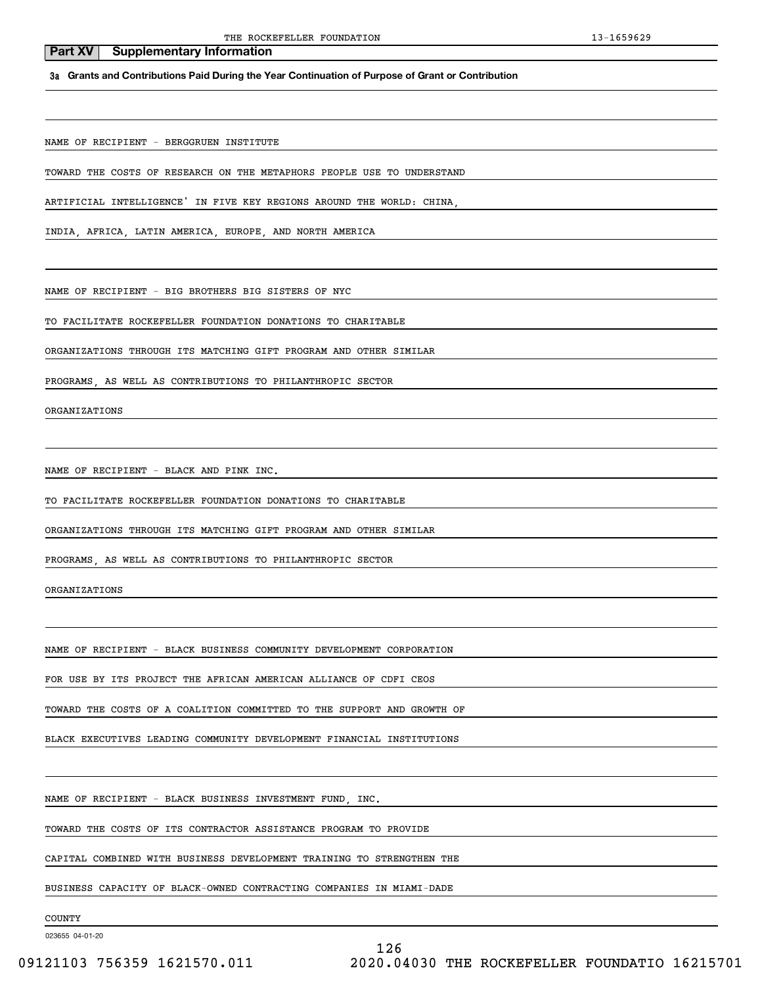**3a Grants and Contributions Paid During the Year Continuation of Purpose of Grant or Contribution**

NAME OF RECIPIENT - BERGGRUEN INSTITUTE

**Part XV** Supplementary Information

TOWARD THE COSTS OF RESEARCH ON THE METAPHORS PEOPLE USE TO UNDERSTAND

ARTIFICIAL INTELLIGENCE' IN FIVE KEY REGIONS AROUND THE WORLD: CHINA,

INDIA, AFRICA, LATIN AMERICA, EUROPE, AND NORTH AMERICA

NAME OF RECIPIENT - BIG BROTHERS BIG SISTERS OF NYC

TO FACILITATE ROCKEFELLER FOUNDATION DONATIONS TO CHARITABLE

ORGANIZATIONS THROUGH ITS MATCHING GIFT PROGRAM AND OTHER SIMILAR

PROGRAMS, AS WELL AS CONTRIBUTIONS TO PHILANTHROPIC SECTOR

ORGANIZATIONS

NAME OF RECIPIENT - BLACK AND PINK INC.

TO FACILITATE ROCKEFELLER FOUNDATION DONATIONS TO CHARITABLE

ORGANIZATIONS THROUGH ITS MATCHING GIFT PROGRAM AND OTHER SIMILAR

PROGRAMS, AS WELL AS CONTRIBUTIONS TO PHILANTHROPIC SECTOR

ORGANIZATIONS

NAME OF RECIPIENT - BLACK BUSINESS COMMUNITY DEVELOPMENT CORPORATION

FOR USE BY ITS PROJECT THE AFRICAN AMERICAN ALLIANCE OF CDFI CEOS

TOWARD THE COSTS OF A COALITION COMMITTED TO THE SUPPORT AND GROWTH OF

BLACK EXECUTIVES LEADING COMMUNITY DEVELOPMENT FINANCIAL INSTITUTIONS

NAME OF RECIPIENT - BLACK BUSINESS INVESTMENT FUND, INC.

TOWARD THE COSTS OF ITS CONTRACTOR ASSISTANCE PROGRAM TO PROVIDE

CAPITAL COMBINED WITH BUSINESS DEVELOPMENT TRAINING TO STRENGTHEN THE

BUSINESS CAPACITY OF BLACK-OWNED CONTRACTING COMPANIES IN MIAMI-DADE

COUNTY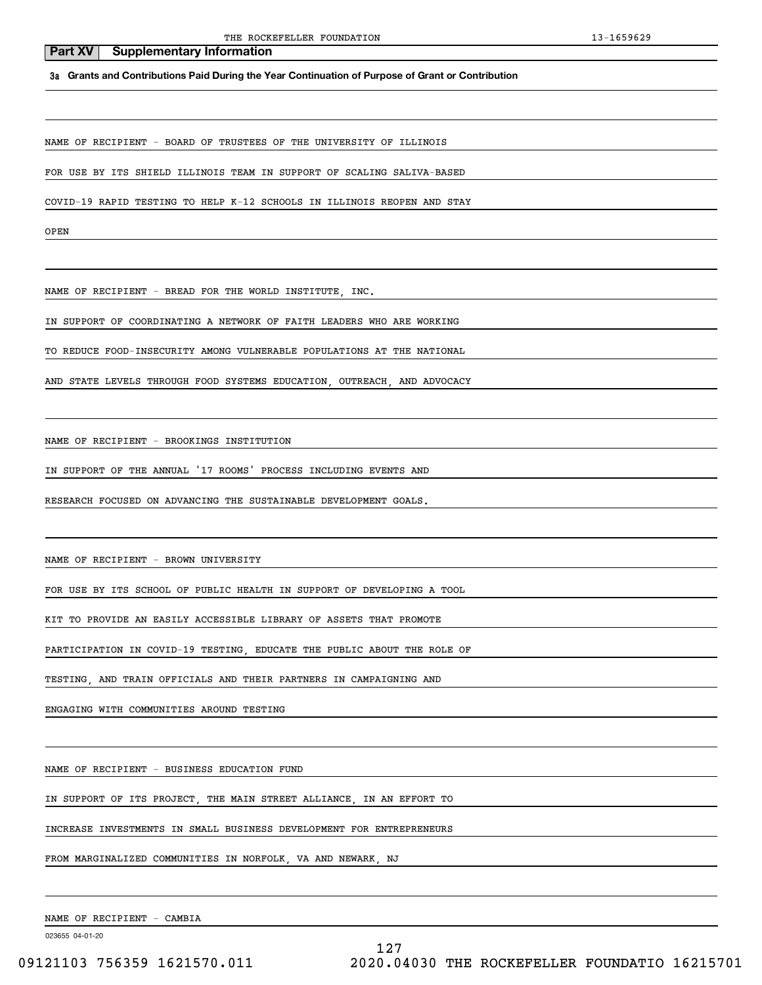**3a Grants and Contributions Paid During the Year Continuation of Purpose of Grant or Contribution**

NAME OF RECIPIENT - BOARD OF TRUSTEES OF THE UNIVERSITY OF ILLINOIS

FOR USE BY ITS SHIELD ILLINOIS TEAM IN SUPPORT OF SCALING SALIVA-BASED

COVID-19 RAPID TESTING TO HELP K-12 SCHOOLS IN ILLINOIS REOPEN AND STAY

OPEN

NAME OF RECIPIENT - BREAD FOR THE WORLD INSTITUTE, INC.

IN SUPPORT OF COORDINATING A NETWORK OF FAITH LEADERS WHO ARE WORKING

TO REDUCE FOOD-INSECURITY AMONG VULNERABLE POPULATIONS AT THE NATIONAL

AND STATE LEVELS THROUGH FOOD SYSTEMS EDUCATION, OUTREACH, AND ADVOCACY

NAME OF RECIPIENT - BROOKINGS INSTITUTION

IN SUPPORT OF THE ANNUAL '17 ROOMS' PROCESS INCLUDING EVENTS AND

RESEARCH FOCUSED ON ADVANCING THE SUSTAINABLE DEVELOPMENT GOALS.

NAME OF RECIPIENT - BROWN UNIVERSITY

FOR USE BY ITS SCHOOL OF PUBLIC HEALTH IN SUPPORT OF DEVELOPING A TOOL

KIT TO PROVIDE AN EASILY ACCESSIBLE LIBRARY OF ASSETS THAT PROMOTE

PARTICIPATION IN COVID-19 TESTING, EDUCATE THE PUBLIC ABOUT THE ROLE OF

TESTING, AND TRAIN OFFICIALS AND THEIR PARTNERS IN CAMPAIGNING AND

ENGAGING WITH COMMUNITIES AROUND TESTING

NAME OF RECIPIENT - BUSINESS EDUCATION FUND

IN SUPPORT OF ITS PROJECT, THE MAIN STREET ALLIANCE, IN AN EFFORT TO

INCREASE INVESTMENTS IN SMALL BUSINESS DEVELOPMENT FOR ENTREPRENEURS

FROM MARGINALIZED COMMUNITIES IN NORFOLK, VA AND NEWARK, NJ

NAME OF RECIPIENT - CAMBIA

023655 04-01-20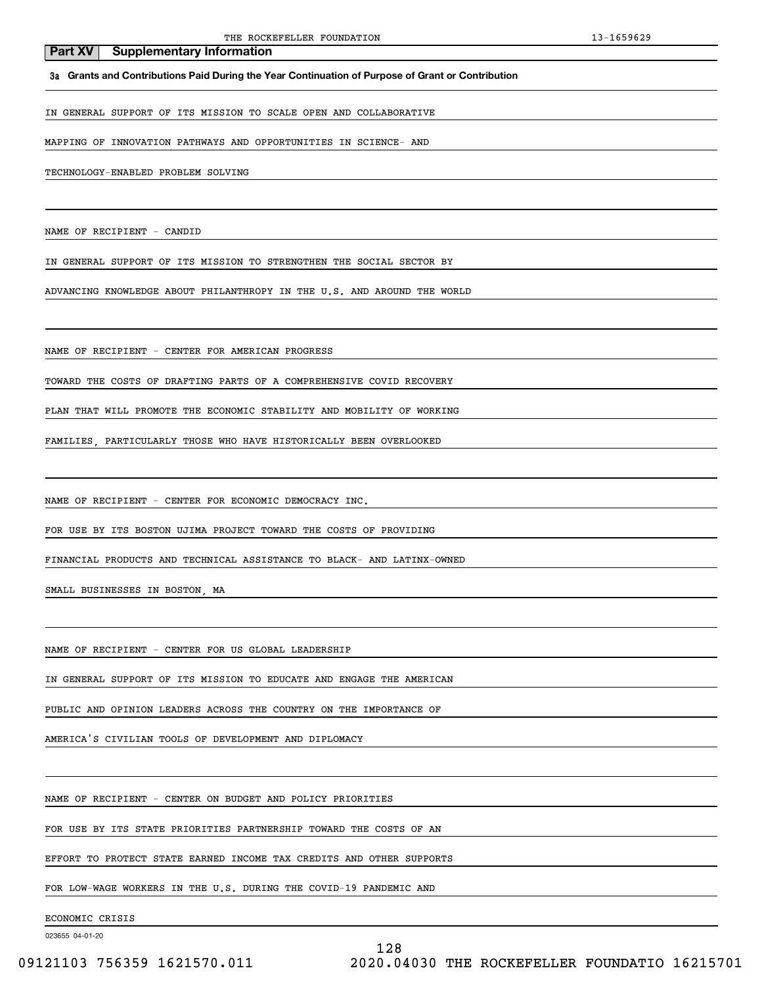#### **3a Grants and Contributions Paid During the Year Continuation of Purpose of Grant or Contribution**

IN GENERAL SUPPORT OF ITS MISSION TO SCALE OPEN AND COLLABORATIVE

MAPPING OF INNOVATION PATHWAYS AND OPPORTUNITIES IN SCIENCE- AND

TECHNOLOGY-ENABLED PROBLEM SOLVING

NAME OF RECIPIENT - CANDID

IN GENERAL SUPPORT OF ITS MISSION TO STRENGTHEN THE SOCIAL SECTOR BY

ADVANCING KNOWLEDGE ABOUT PHILANTHROPY IN THE U.S. AND AROUND THE WORLD

NAME OF RECIPIENT - CENTER FOR AMERICAN PROGRESS

TOWARD THE COSTS OF DRAFTING PARTS OF A COMPREHENSIVE COVID RECOVERY

PLAN THAT WILL PROMOTE THE ECONOMIC STABILITY AND MOBILITY OF WORKING

FAMILIES, PARTICULARLY THOSE WHO HAVE HISTORICALLY BEEN OVERLOOKED

NAME OF RECIPIENT - CENTER FOR ECONOMIC DEMOCRACY INC.

FOR USE BY ITS BOSTON UJIMA PROJECT TOWARD THE COSTS OF PROVIDING

FINANCIAL PRODUCTS AND TECHNICAL ASSISTANCE TO BLACK- AND LATINX-OWNED

SMALL BUSINESSES IN BOSTON, MA

NAME OF RECIPIENT - CENTER FOR US GLOBAL LEADERSHIP

IN GENERAL SUPPORT OF ITS MISSION TO EDUCATE AND ENGAGE THE AMERICAN

PUBLIC AND OPINION LEADERS ACROSS THE COUNTRY ON THE IMPORTANCE OF

AMERICA'S CIVILIAN TOOLS OF DEVELOPMENT AND DIPLOMACY

NAME OF RECIPIENT - CENTER ON BUDGET AND POLICY PRIORITIES

FOR USE BY ITS STATE PRIORITIES PARTNERSHIP TOWARD THE COSTS OF AN

EFFORT TO PROTECT STATE EARNED INCOME TAX CREDITS AND OTHER SUPPORTS

FOR LOW-WAGE WORKERS IN THE U.S. DURING THE COVID-19 PANDEMIC AND

ECONOMIC CRISIS

023655 04-01-20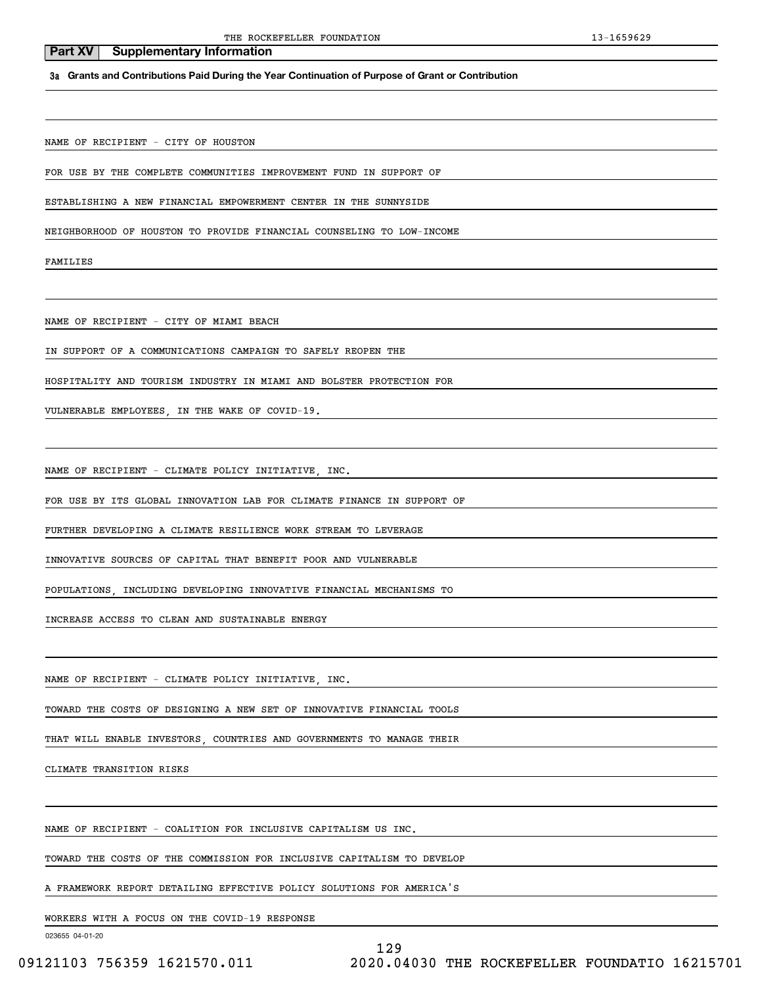WORKERS WITH A FOCUS ON THE COVID-19 RESPONSE

023655 04-01-20

# 129

A FRAMEWORK REPORT DETAILING EFFECTIVE POLICY SOLUTIONS FOR AMERICA'S

TOWARD THE COSTS OF THE COMMISSION FOR INCLUSIVE CAPITALISM TO DEVELOP

NAME OF RECIPIENT - COALITION FOR INCLUSIVE CAPITALISM US INC.

CLIMATE TRANSITION RISKS

THAT WILL ENABLE INVESTORS, COUNTRIES AND GOVERNMENTS TO MANAGE THEIR

TOWARD THE COSTS OF DESIGNING A NEW SET OF INNOVATIVE FINANCIAL TOOLS

NAME OF RECIPIENT - CLIMATE POLICY INITIATIVE, INC.

INCREASE ACCESS TO CLEAN AND SUSTAINABLE ENERGY

POPULATIONS, INCLUDING DEVELOPING INNOVATIVE FINANCIAL MECHANISMS TO

INNOVATIVE SOURCES OF CAPITAL THAT BENEFIT POOR AND VULNERABLE

FURTHER DEVELOPING A CLIMATE RESILIENCE WORK STREAM TO LEVERAGE

FOR USE BY ITS GLOBAL INNOVATION LAB FOR CLIMATE FINANCE IN SUPPORT OF

HOSPITALITY AND TOURISM INDUSTRY IN MIAMI AND BOLSTER PROTECTION FOR

NAME OF RECIPIENT - CLIMATE POLICY INITIATIVE, INC.

VULNERABLE EMPLOYEES, IN THE WAKE OF COVID-19.

IN SUPPORT OF A COMMUNICATIONS CAMPAIGN TO SAFELY REOPEN THE

NAME OF RECIPIENT - CITY OF MIAMI BEACH

NEIGHBORHOOD OF HOUSTON TO PROVIDE FINANCIAL COUNSELING TO LOW-INCOME

NAME OF RECIPIENT - CITY OF HOUSTON

FAMILIES

**Part XV** Supplementary Information

FOR USE BY THE COMPLETE COMMUNITIES IMPROVEMENT FUND IN SUPPORT OF

ESTABLISHING A NEW FINANCIAL EMPOWERMENT CENTER IN THE SUNNYSIDE

**3a Grants and Contributions Paid During the Year Continuation of Purpose of Grant or Contribution**

THE ROCKEFELLER FOUNDATION 13-1659629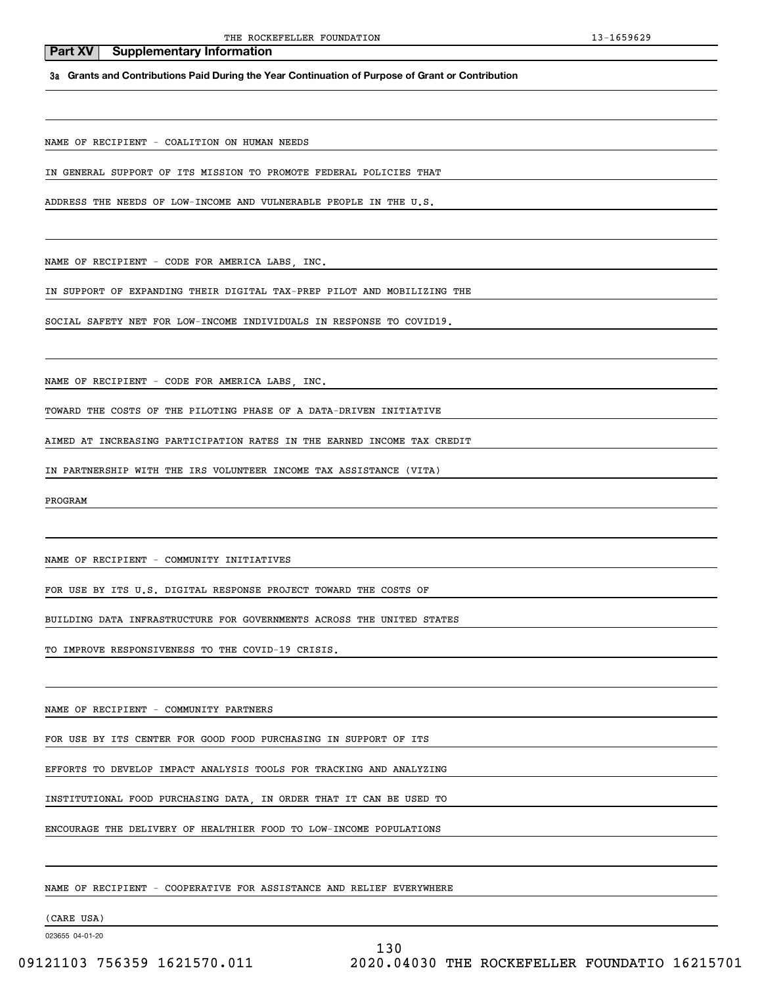**3a Grants and Contributions Paid During the Year Continuation of Purpose of Grant or Contribution**

NAME OF RECIPIENT - COALITION ON HUMAN NEEDS

IN GENERAL SUPPORT OF ITS MISSION TO PROMOTE FEDERAL POLICIES THAT

ADDRESS THE NEEDS OF LOW-INCOME AND VULNERABLE PEOPLE IN THE U.S.

NAME OF RECIPIENT - CODE FOR AMERICA LABS, INC.

IN SUPPORT OF EXPANDING THEIR DIGITAL TAX-PREP PILOT AND MOBILIZING THE

SOCIAL SAFETY NET FOR LOW-INCOME INDIVIDUALS IN RESPONSE TO COVID19.

NAME OF RECIPIENT - CODE FOR AMERICA LABS, INC.

TOWARD THE COSTS OF THE PILOTING PHASE OF A DATA-DRIVEN INITIATIVE

AIMED AT INCREASING PARTICIPATION RATES IN THE EARNED INCOME TAX CREDIT

IN PARTNERSHIP WITH THE IRS VOLUNTEER INCOME TAX ASSISTANCE (VITA)

PROGRAM

NAME OF RECIPIENT - COMMUNITY INITIATIVES

FOR USE BY ITS U.S. DIGITAL RESPONSE PROJECT TOWARD THE COSTS OF

BUILDING DATA INFRASTRUCTURE FOR GOVERNMENTS ACROSS THE UNITED STATES

TO IMPROVE RESPONSIVENESS TO THE COVID-19 CRISIS.

NAME OF RECIPIENT - COMMUNITY PARTNERS

FOR USE BY ITS CENTER FOR GOOD FOOD PURCHASING IN SUPPORT OF ITS

EFFORTS TO DEVELOP IMPACT ANALYSIS TOOLS FOR TRACKING AND ANALYZING

INSTITUTIONAL FOOD PURCHASING DATA, IN ORDER THAT IT CAN BE USED TO

ENCOURAGE THE DELIVERY OF HEALTHIER FOOD TO LOW-INCOME POPULATIONS

NAME OF RECIPIENT - COOPERATIVE FOR ASSISTANCE AND RELIEF EVERYWHERE

(CARE USA)

023655 04-01-20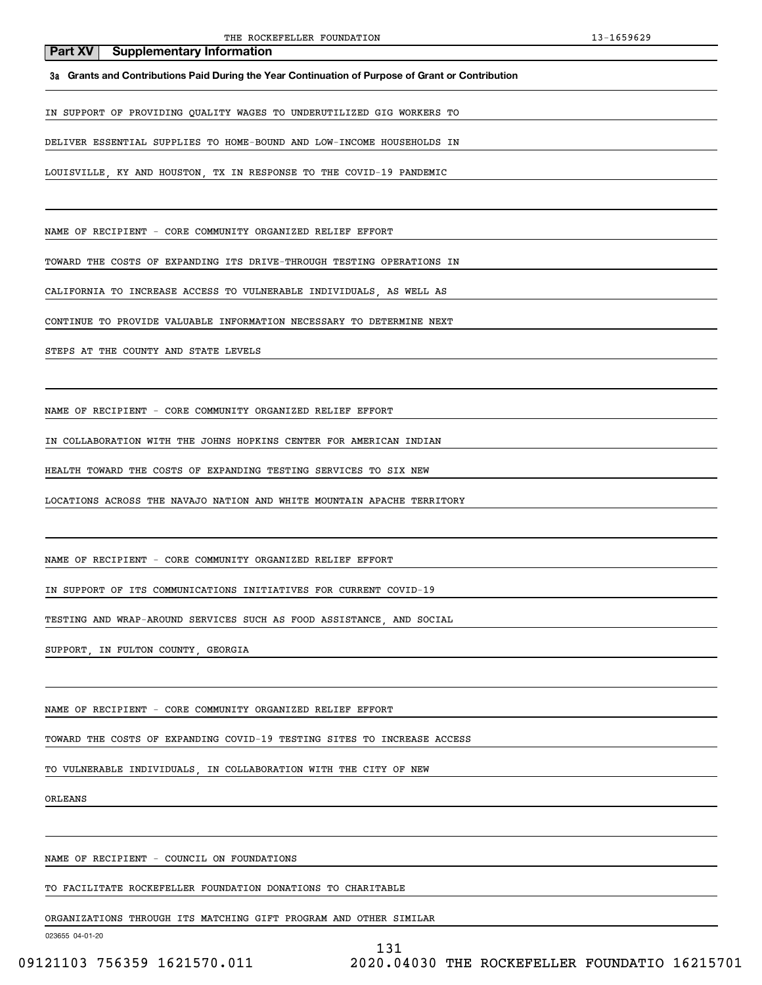**3a Grants and Contributions Paid During the Year Continuation of Purpose of Grant or Contribution**

IN SUPPORT OF PROVIDING QUALITY WAGES TO UNDERUTILIZED GIG WORKERS TO

DELIVER ESSENTIAL SUPPLIES TO HOME-BOUND AND LOW-INCOME HOUSEHOLDS IN

LOUISVILLE, KY AND HOUSTON, TX IN RESPONSE TO THE COVID-19 PANDEMIC

NAME OF RECIPIENT - CORE COMMUNITY ORGANIZED RELIEF EFFORT

TOWARD THE COSTS OF EXPANDING ITS DRIVE-THROUGH TESTING OPERATIONS IN

CALIFORNIA TO INCREASE ACCESS TO VULNERABLE INDIVIDUALS, AS WELL AS

CONTINUE TO PROVIDE VALUABLE INFORMATION NECESSARY TO DETERMINE NEXT

STEPS AT THE COUNTY AND STATE LEVELS

NAME OF RECIPIENT - CORE COMMUNITY ORGANIZED RELIEF EFFORT

IN COLLABORATION WITH THE JOHNS HOPKINS CENTER FOR AMERICAN INDIAN

HEALTH TOWARD THE COSTS OF EXPANDING TESTING SERVICES TO SIX NEW

LOCATIONS ACROSS THE NAVAJO NATION AND WHITE MOUNTAIN APACHE TERRITORY

NAME OF RECIPIENT - CORE COMMUNITY ORGANIZED RELIEF EFFORT

IN SUPPORT OF ITS COMMUNICATIONS INITIATIVES FOR CURRENT COVID-19

TESTING AND WRAP-AROUND SERVICES SUCH AS FOOD ASSISTANCE, AND SOCIAL

SUPPORT, IN FULTON COUNTY, GEORGIA

NAME OF RECIPIENT - CORE COMMUNITY ORGANIZED RELIEF EFFORT

TOWARD THE COSTS OF EXPANDING COVID-19 TESTING SITES TO INCREASE ACCESS

TO VULNERABLE INDIVIDUALS, IN COLLABORATION WITH THE CITY OF NEW

ORLEANS

NAME OF RECIPIENT - COUNCIL ON FOUNDATIONS

TO FACILITATE ROCKEFELLER FOUNDATION DONATIONS TO CHARITABLE

ORGANIZATIONS THROUGH ITS MATCHING GIFT PROGRAM AND OTHER SIMILAR

023655 04-01-20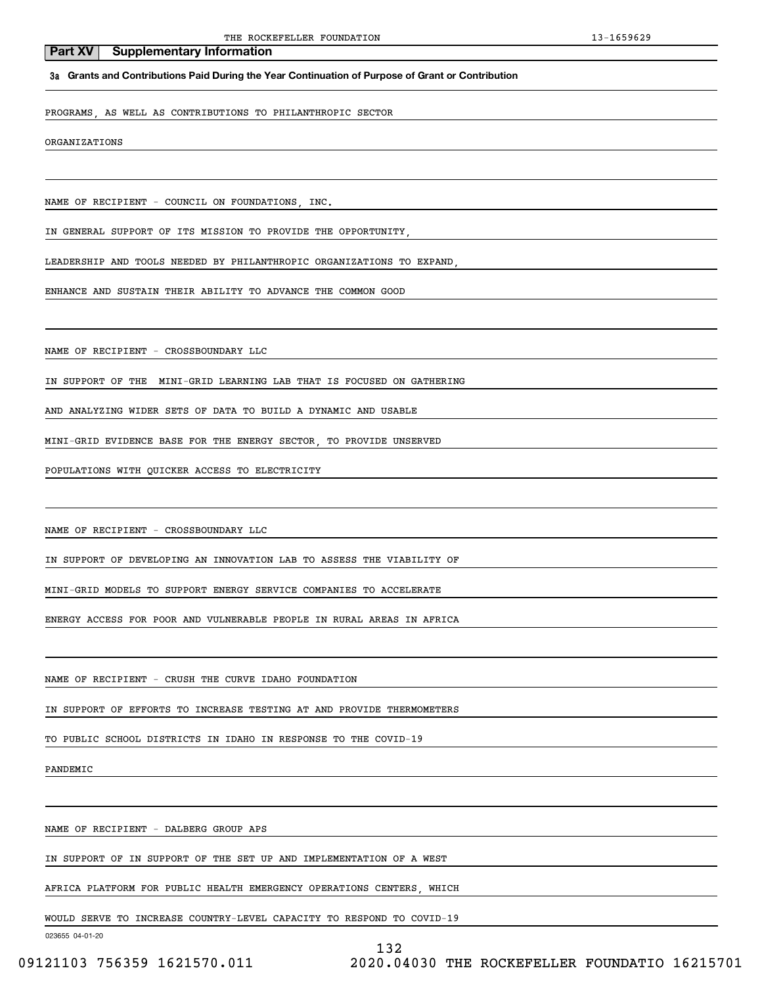### **3a Grants and Contributions Paid During the Year Continuation of Purpose of Grant or Contribution**

PROGRAMS, AS WELL AS CONTRIBUTIONS TO PHILANTHROPIC SECTOR

ORGANIZATIONS

NAME OF RECIPIENT - COUNCIL ON FOUNDATIONS, INC.

**Part XV** Supplementary Information

IN GENERAL SUPPORT OF ITS MISSION TO PROVIDE THE OPPORTUNITY,

LEADERSHIP AND TOOLS NEEDED BY PHILANTHROPIC ORGANIZATIONS TO EXPAND,

ENHANCE AND SUSTAIN THEIR ABILITY TO ADVANCE THE COMMON GOOD

NAME OF RECIPIENT - CROSSBOUNDARY LLC

IN SUPPORT OF THE MINI-GRID LEARNING LAB THAT IS FOCUSED ON GATHERING

AND ANALYZING WIDER SETS OF DATA TO BUILD A DYNAMIC AND USABLE

MINI-GRID EVIDENCE BASE FOR THE ENERGY SECTOR, TO PROVIDE UNSERVED

POPULATIONS WITH QUICKER ACCESS TO ELECTRICITY

NAME OF RECIPIENT - CROSSBOUNDARY LLC

IN SUPPORT OF DEVELOPING AN INNOVATION LAB TO ASSESS THE VIABILITY OF

MINI-GRID MODELS TO SUPPORT ENERGY SERVICE COMPANIES TO ACCELERATE

ENERGY ACCESS FOR POOR AND VULNERABLE PEOPLE IN RURAL AREAS IN AFRICA

NAME OF RECIPIENT - CRUSH THE CURVE IDAHO FOUNDATION

IN SUPPORT OF EFFORTS TO INCREASE TESTING AT AND PROVIDE THERMOMETERS

TO PUBLIC SCHOOL DISTRICTS IN IDAHO IN RESPONSE TO THE COVID-19

PANDEMIC

NAME OF RECIPIENT - DALBERG GROUP APS

IN SUPPORT OF IN SUPPORT OF THE SET UP AND IMPLEMENTATION OF A WEST

AFRICA PLATFORM FOR PUBLIC HEALTH EMERGENCY OPERATIONS CENTERS, WHICH

WOULD SERVE TO INCREASE COUNTRY-LEVEL CAPACITY TO RESPOND TO COVID-19

023655 04-01-20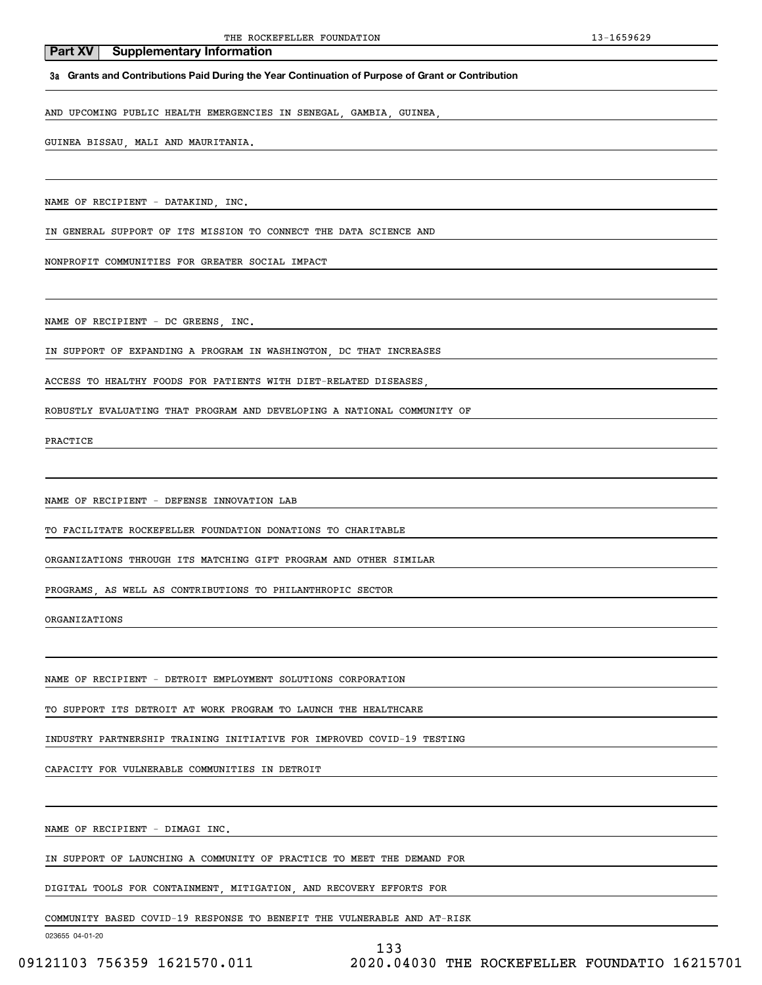#### **3a Grants and Contributions Paid During the Year Continuation of Purpose of Grant or Contribution**

AND UPCOMING PUBLIC HEALTH EMERGENCIES IN SENEGAL, GAMBIA, GUINEA,

### GUINEA BISSAU, MALI AND MAURITANIA.

NAME OF RECIPIENT - DATAKIND, INC.

IN GENERAL SUPPORT OF ITS MISSION TO CONNECT THE DATA SCIENCE AND

NONPROFIT COMMUNITIES FOR GREATER SOCIAL IMPACT

NAME OF RECIPIENT - DC GREENS, INC.

IN SUPPORT OF EXPANDING A PROGRAM IN WASHINGTON, DC THAT INCREASES

ACCESS TO HEALTHY FOODS FOR PATIENTS WITH DIET-RELATED DISEASES,

ROBUSTLY EVALUATING THAT PROGRAM AND DEVELOPING A NATIONAL COMMUNITY OF

PRACTICE

NAME OF RECIPIENT - DEFENSE INNOVATION LAB

TO FACILITATE ROCKEFELLER FOUNDATION DONATIONS TO CHARITABLE

ORGANIZATIONS THROUGH ITS MATCHING GIFT PROGRAM AND OTHER SIMILAR

PROGRAMS, AS WELL AS CONTRIBUTIONS TO PHILANTHROPIC SECTOR

ORGANIZATIONS

NAME OF RECIPIENT - DETROIT EMPLOYMENT SOLUTIONS CORPORATION

TO SUPPORT ITS DETROIT AT WORK PROGRAM TO LAUNCH THE HEALTHCARE

INDUSTRY PARTNERSHIP TRAINING INITIATIVE FOR IMPROVED COVID-19 TESTING

CAPACITY FOR VULNERABLE COMMUNITIES IN DETROIT

NAME OF RECIPIENT - DIMAGI INC.

IN SUPPORT OF LAUNCHING A COMMUNITY OF PRACTICE TO MEET THE DEMAND FOR

DIGITAL TOOLS FOR CONTAINMENT, MITIGATION, AND RECOVERY EFFORTS FOR

COMMUNITY BASED COVID-19 RESPONSE TO BENEFIT THE VULNERABLE AND AT-RISK

023655 04-01-20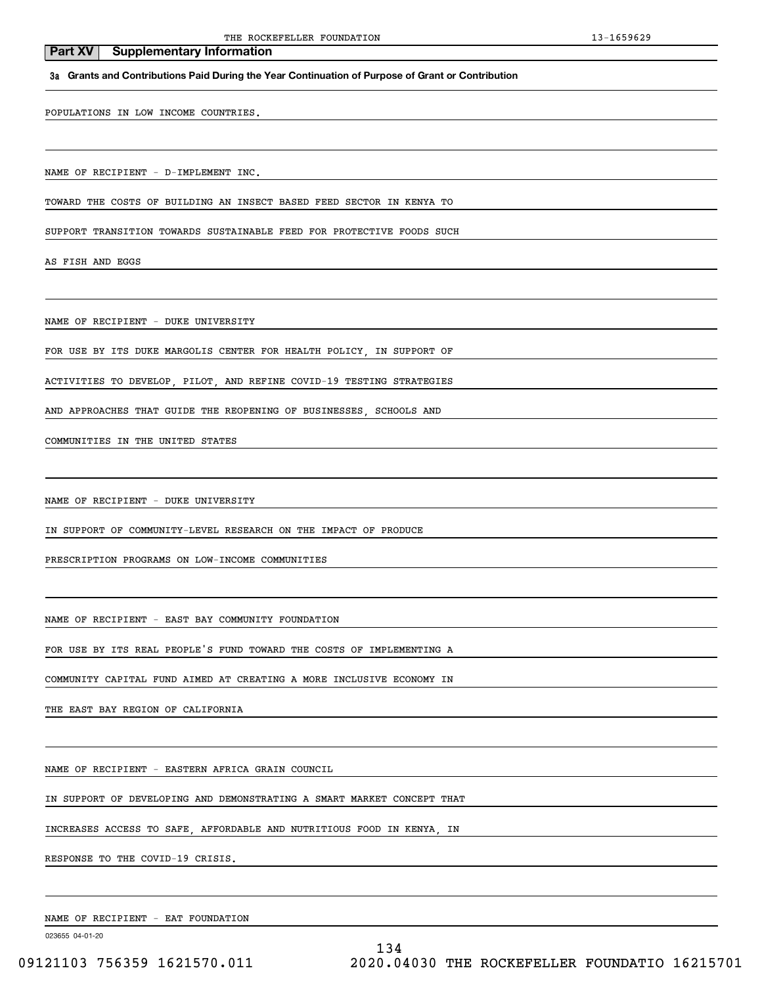# **3a Grants and Contributions Paid During the Year Continuation of Purpose of Grant or Contribution**

POPULATIONS IN LOW INCOME COUNTRIES.

**Part XV** Supplementary Information

NAME OF RECIPIENT - D-IMPLEMENT INC.

TOWARD THE COSTS OF BUILDING AN INSECT BASED FEED SECTOR IN KENYA TO

SUPPORT TRANSITION TOWARDS SUSTAINABLE FEED FOR PROTECTIVE FOODS SUCH

AS FISH AND EGGS

NAME OF RECIPIENT - DUKE UNIVERSITY

FOR USE BY ITS DUKE MARGOLIS CENTER FOR HEALTH POLICY, IN SUPPORT OF

ACTIVITIES TO DEVELOP, PILOT, AND REFINE COVID-19 TESTING STRATEGIES

AND APPROACHES THAT GUIDE THE REOPENING OF BUSINESSES, SCHOOLS AND

COMMUNITIES IN THE UNITED STATES

NAME OF RECIPIENT - DUKE UNIVERSITY

IN SUPPORT OF COMMUNITY-LEVEL RESEARCH ON THE IMPACT OF PRODUCE

PRESCRIPTION PROGRAMS ON LOW-INCOME COMMUNITIES

NAME OF RECIPIENT - EAST BAY COMMUNITY FOUNDATION

FOR USE BY ITS REAL PEOPLE'S FUND TOWARD THE COSTS OF IMPLEMENTING A

COMMUNITY CAPITAL FUND AIMED AT CREATING A MORE INCLUSIVE ECONOMY IN

THE EAST BAY REGION OF CALIFORNIA

NAME OF RECIPIENT - EASTERN AFRICA GRAIN COUNCIL

IN SUPPORT OF DEVELOPING AND DEMONSTRATING A SMART MARKET CONCEPT THAT

INCREASES ACCESS TO SAFE, AFFORDABLE AND NUTRITIOUS FOOD IN KENYA, IN

RESPONSE TO THE COVID-19 CRISIS.

NAME OF RECIPIENT - EAT FOUNDATION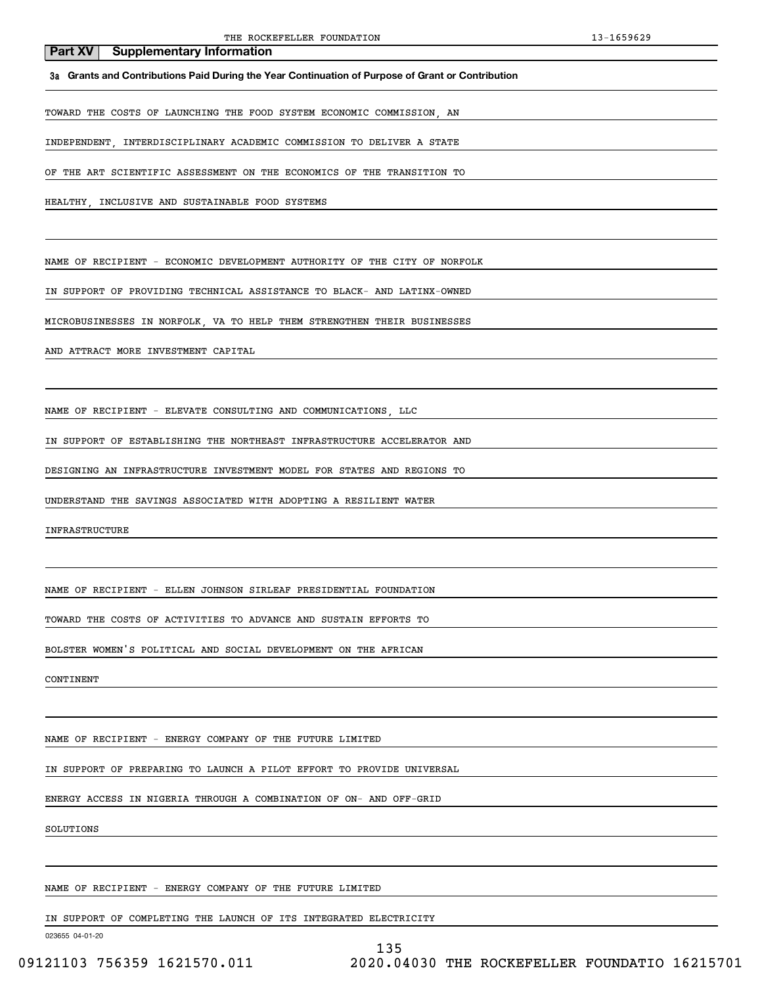**3a Grants and Contributions Paid During the Year Continuation of Purpose of Grant or Contribution**

TOWARD THE COSTS OF LAUNCHING THE FOOD SYSTEM ECONOMIC COMMISSION, AN

INDEPENDENT, INTERDISCIPLINARY ACADEMIC COMMISSION TO DELIVER A STATE

OF THE ART SCIENTIFIC ASSESSMENT ON THE ECONOMICS OF THE TRANSITION TO

HEALTHY, INCLUSIVE AND SUSTAINABLE FOOD SYSTEMS

NAME OF RECIPIENT - ECONOMIC DEVELOPMENT AUTHORITY OF THE CITY OF NORFOLK

IN SUPPORT OF PROVIDING TECHNICAL ASSISTANCE TO BLACK- AND LATINX-OWNED

MICROBUSINESSES IN NORFOLK, VA TO HELP THEM STRENGTHEN THEIR BUSINESSES

AND ATTRACT MORE INVESTMENT CAPITAL

NAME OF RECIPIENT - ELEVATE CONSULTING AND COMMUNICATIONS, LLC

IN SUPPORT OF ESTABLISHING THE NORTHEAST INFRASTRUCTURE ACCELERATOR AND

DESIGNING AN INFRASTRUCTURE INVESTMENT MODEL FOR STATES AND REGIONS TO

UNDERSTAND THE SAVINGS ASSOCIATED WITH ADOPTING A RESILIENT WATER

INFRASTRUCTURE

NAME OF RECIPIENT - ELLEN JOHNSON SIRLEAF PRESIDENTIAL FOUNDATION

TOWARD THE COSTS OF ACTIVITIES TO ADVANCE AND SUSTAIN EFFORTS TO

BOLSTER WOMEN'S POLITICAL AND SOCIAL DEVELOPMENT ON THE AFRICAN

CONTINENT

NAME OF RECIPIENT - ENERGY COMPANY OF THE FUTURE LIMITED

IN SUPPORT OF PREPARING TO LAUNCH A PILOT EFFORT TO PROVIDE UNIVERSAL

ENERGY ACCESS IN NIGERIA THROUGH A COMBINATION OF ON- AND OFF-GRID

SOLUTIONS

NAME OF RECIPIENT - ENERGY COMPANY OF THE FUTURE LIMITED

IN SUPPORT OF COMPLETING THE LAUNCH OF ITS INTEGRATED ELECTRICITY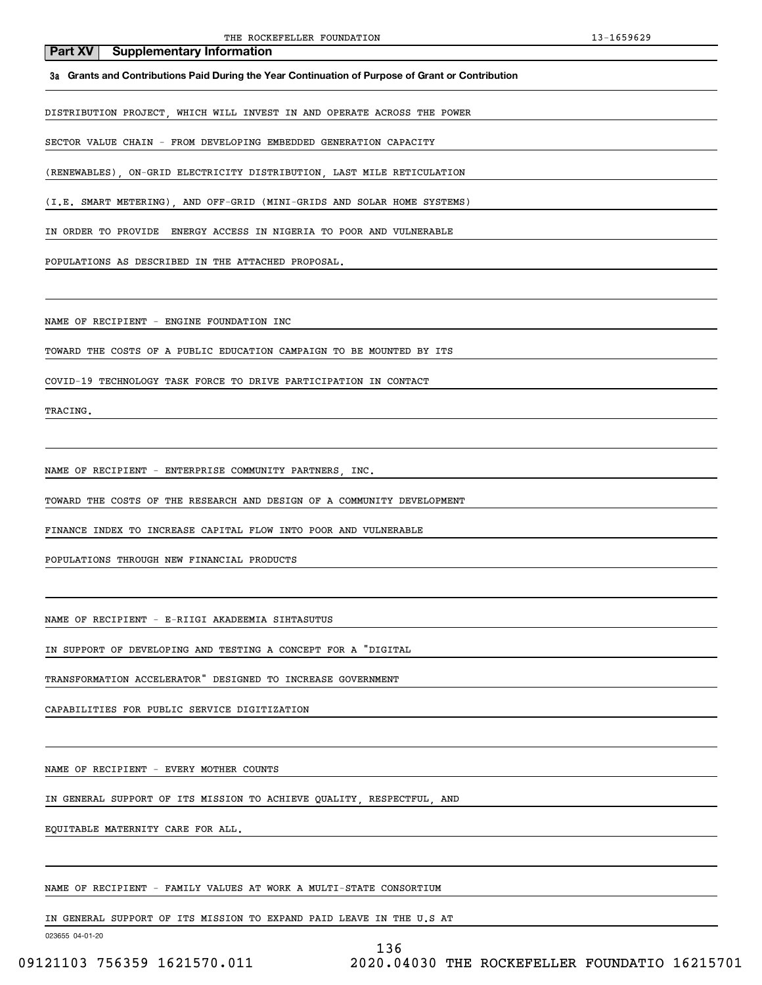**3a Grants and Contributions Paid During the Year Continuation of Purpose of Grant or Contribution**

DISTRIBUTION PROJECT, WHICH WILL INVEST IN AND OPERATE ACROSS THE POWER

SECTOR VALUE CHAIN - FROM DEVELOPING EMBEDDED GENERATION CAPACITY

(RENEWABLES), ON-GRID ELECTRICITY DISTRIBUTION, LAST MILE RETICULATION

(I.E. SMART METERING), AND OFF-GRID (MINI-GRIDS AND SOLAR HOME SYSTEMS)

IN ORDER TO PROVIDE ENERGY ACCESS IN NIGERIA TO POOR AND VULNERABLE

POPULATIONS AS DESCRIBED IN THE ATTACHED PROPOSAL.

NAME OF RECIPIENT - ENGINE FOUNDATION INC

TOWARD THE COSTS OF A PUBLIC EDUCATION CAMPAIGN TO BE MOUNTED BY ITS

COVID-19 TECHNOLOGY TASK FORCE TO DRIVE PARTICIPATION IN CONTACT

TRACING.

NAME OF RECIPIENT - ENTERPRISE COMMUNITY PARTNERS, INC.

TOWARD THE COSTS OF THE RESEARCH AND DESIGN OF A COMMUNITY DEVELOPMENT

FINANCE INDEX TO INCREASE CAPITAL FLOW INTO POOR AND VULNERABLE

POPULATIONS THROUGH NEW FINANCIAL PRODUCTS

NAME OF RECIPIENT - E-RIIGI AKADEEMIA SIHTASUTUS

IN SUPPORT OF DEVELOPING AND TESTING A CONCEPT FOR A "DIGITAL

TRANSFORMATION ACCELERATOR" DESIGNED TO INCREASE GOVERNMENT

CAPABILITIES FOR PUBLIC SERVICE DIGITIZATION

NAME OF RECIPIENT - EVERY MOTHER COUNTS

IN GENERAL SUPPORT OF ITS MISSION TO ACHIEVE QUALITY, RESPECTFUL, AND

EQUITABLE MATERNITY CARE FOR ALL.

NAME OF RECIPIENT - FAMILY VALUES AT WORK A MULTI-STATE CONSORTIUM

IN GENERAL SUPPORT OF ITS MISSION TO EXPAND PAID LEAVE IN THE U.S AT

023655 04-01-20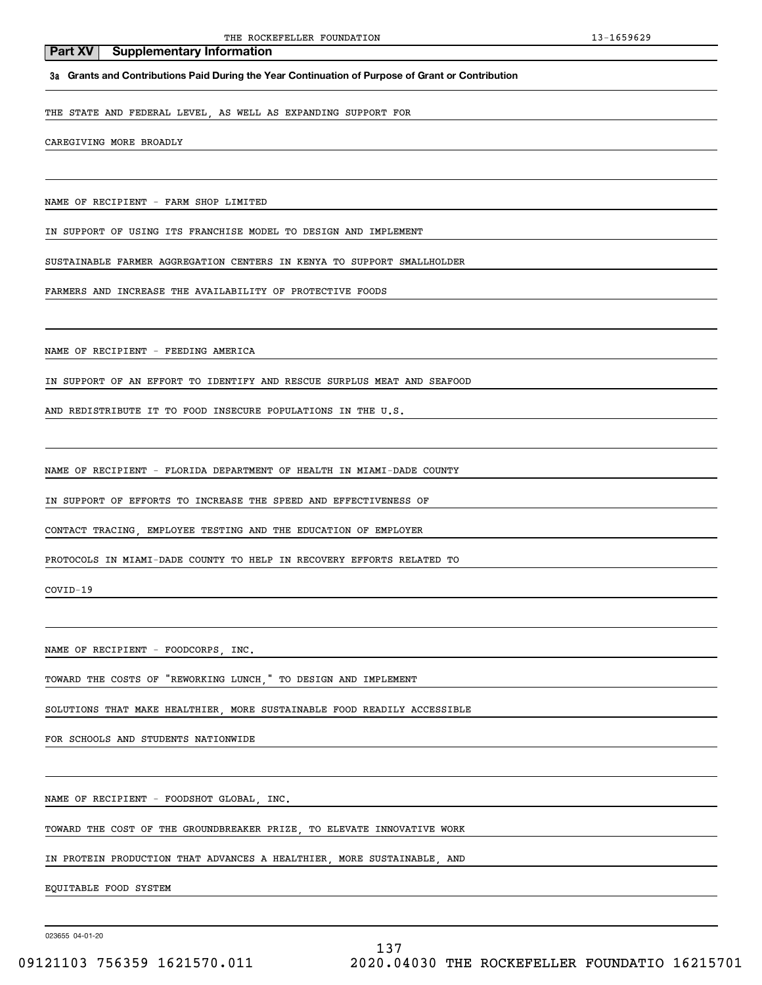**3a Grants and Contributions Paid During the Year Continuation of Purpose of Grant or Contribution**

THE STATE AND FEDERAL LEVEL, AS WELL AS EXPANDING SUPPORT FOR

CAREGIVING MORE BROADLY

NAME OF RECIPIENT - FARM SHOP LIMITED

IN SUPPORT OF USING ITS FRANCHISE MODEL TO DESIGN AND IMPLEMENT

SUSTAINABLE FARMER AGGREGATION CENTERS IN KENYA TO SUPPORT SMALLHOLDER

FARMERS AND INCREASE THE AVAILABILITY OF PROTECTIVE FOODS

NAME OF RECIPIENT - FEEDING AMERICA

IN SUPPORT OF AN EFFORT TO IDENTIFY AND RESCUE SURPLUS MEAT AND SEAFOOD

AND REDISTRIBUTE IT TO FOOD INSECURE POPULATIONS IN THE U.S.

NAME OF RECIPIENT - FLORIDA DEPARTMENT OF HEALTH IN MIAMI-DADE COUNTY

IN SUPPORT OF EFFORTS TO INCREASE THE SPEED AND EFFECTIVENESS OF

CONTACT TRACING, EMPLOYEE TESTING AND THE EDUCATION OF EMPLOYER

PROTOCOLS IN MIAMI-DADE COUNTY TO HELP IN RECOVERY EFFORTS RELATED TO

COVID-19

NAME OF RECIPIENT - FOODCORPS, INC.

TOWARD THE COSTS OF "REWORKING LUNCH," TO DESIGN AND IMPLEMENT

SOLUTIONS THAT MAKE HEALTHIER, MORE SUSTAINABLE FOOD READILY ACCESSIBLE

FOR SCHOOLS AND STUDENTS NATIONWIDE

NAME OF RECIPIENT - FOODSHOT GLOBAL, INC.

TOWARD THE COST OF THE GROUNDBREAKER PRIZE, TO ELEVATE INNOVATIVE WORK

IN PROTEIN PRODUCTION THAT ADVANCES A HEALTHIER, MORE SUSTAINABLE, AND

EQUITABLE FOOD SYSTEM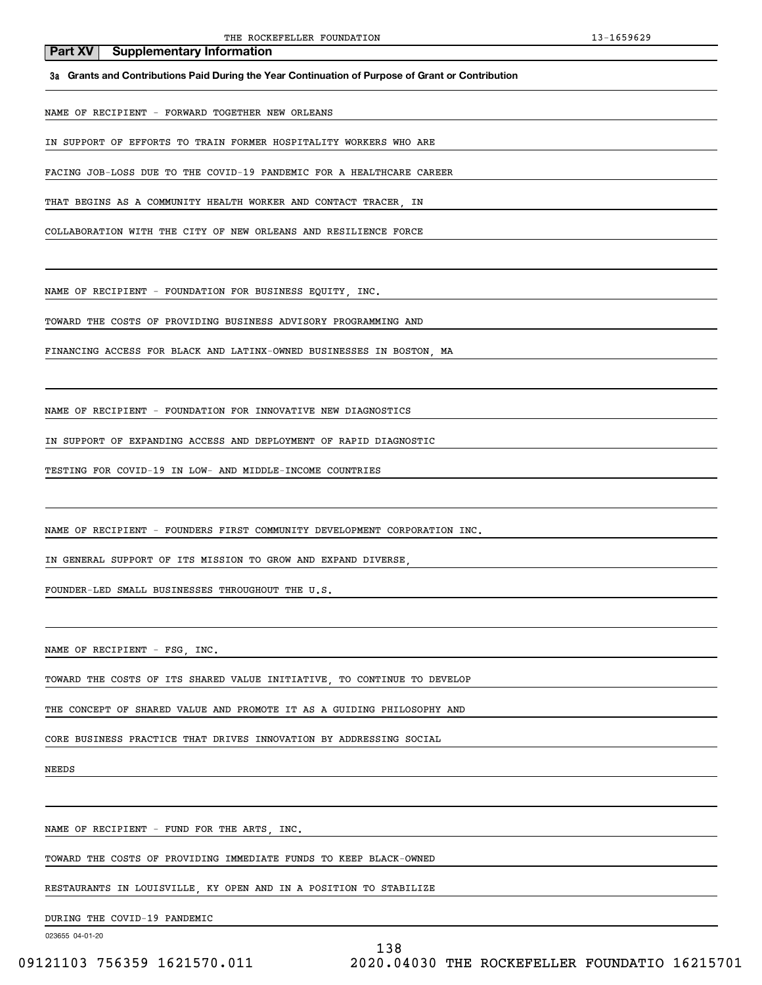**3a Grants and Contributions Paid During the Year Continuation of Purpose of Grant or Contribution**

NAME OF RECIPIENT - FORWARD TOGETHER NEW ORLEANS

IN SUPPORT OF EFFORTS TO TRAIN FORMER HOSPITALITY WORKERS WHO ARE

FACING JOB-LOSS DUE TO THE COVID-19 PANDEMIC FOR A HEALTHCARE CAREER

THAT BEGINS AS A COMMUNITY HEALTH WORKER AND CONTACT TRACER, IN

COLLABORATION WITH THE CITY OF NEW ORLEANS AND RESILIENCE FORCE

NAME OF RECIPIENT - FOUNDATION FOR BUSINESS EQUITY, INC.

TOWARD THE COSTS OF PROVIDING BUSINESS ADVISORY PROGRAMMING AND

FINANCING ACCESS FOR BLACK AND LATINX-OWNED BUSINESSES IN BOSTON, MA

NAME OF RECIPIENT - FOUNDATION FOR INNOVATIVE NEW DIAGNOSTICS

IN SUPPORT OF EXPANDING ACCESS AND DEPLOYMENT OF RAPID DIAGNOSTIC

TESTING FOR COVID-19 IN LOW- AND MIDDLE-INCOME COUNTRIES

NAME OF RECIPIENT - FOUNDERS FIRST COMMUNITY DEVELOPMENT CORPORATION INC.

IN GENERAL SUPPORT OF ITS MISSION TO GROW AND EXPAND DIVERSE,

FOUNDER-LED SMALL BUSINESSES THROUGHOUT THE U.S.

NAME OF RECIPIENT - FSG, INC.

TOWARD THE COSTS OF ITS SHARED VALUE INITIATIVE, TO CONTINUE TO DEVELOP

THE CONCEPT OF SHARED VALUE AND PROMOTE IT AS A GUIDING PHILOSOPHY AND

CORE BUSINESS PRACTICE THAT DRIVES INNOVATION BY ADDRESSING SOCIAL

NEEDS

NAME OF RECIPIENT - FUND FOR THE ARTS, INC.

TOWARD THE COSTS OF PROVIDING IMMEDIATE FUNDS TO KEEP BLACK-OWNED

RESTAURANTS IN LOUISVILLE, KY OPEN AND IN A POSITION TO STABILIZE

DURING THE COVID-19 PANDEMIC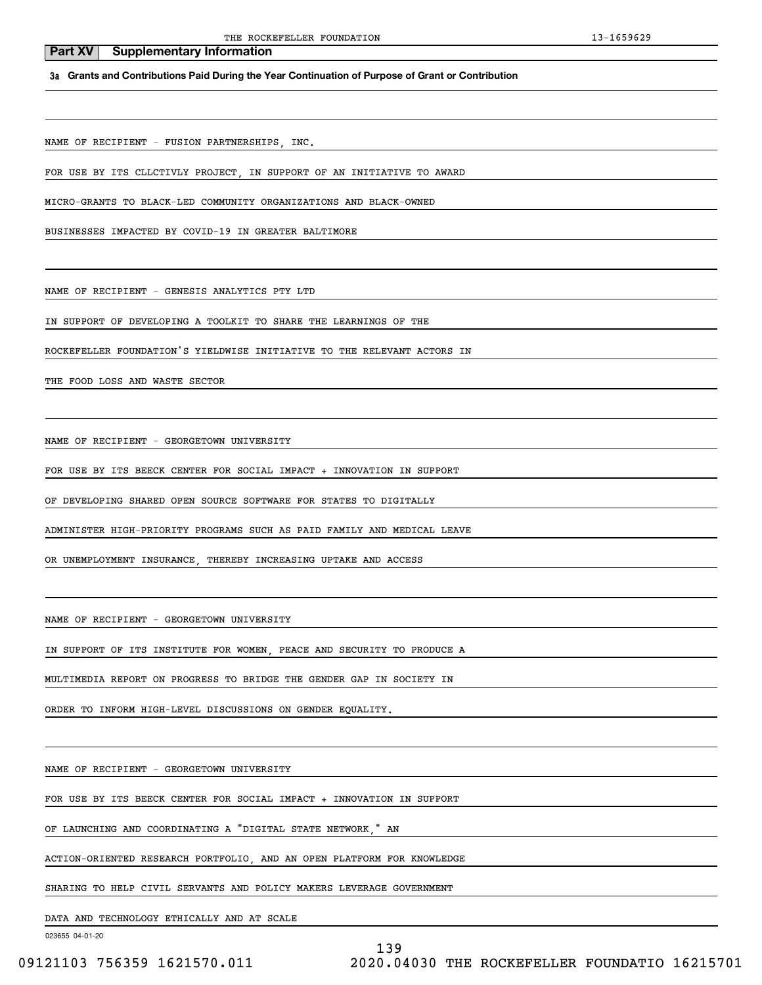**3a Grants and Contributions Paid During the Year Continuation of Purpose of Grant or Contribution**

NAME OF RECIPIENT - FUSION PARTNERSHIPS, INC.

FOR USE BY ITS CLLCTIVLY PROJECT, IN SUPPORT OF AN INITIATIVE TO AWARD

MICRO-GRANTS TO BLACK-LED COMMUNITY ORGANIZATIONS AND BLACK-OWNED

BUSINESSES IMPACTED BY COVID-19 IN GREATER BALTIMORE

NAME OF RECIPIENT - GENESIS ANALYTICS PTY LTD

IN SUPPORT OF DEVELOPING A TOOLKIT TO SHARE THE LEARNINGS OF THE

ROCKEFELLER FOUNDATION'S YIELDWISE INITIATIVE TO THE RELEVANT ACTORS IN

THE FOOD LOSS AND WASTE SECTOR

NAME OF RECIPIENT - GEORGETOWN UNIVERSITY

FOR USE BY ITS BEECK CENTER FOR SOCIAL IMPACT + INNOVATION IN SUPPORT

OF DEVELOPING SHARED OPEN SOURCE SOFTWARE FOR STATES TO DIGITALLY

ADMINISTER HIGH-PRIORITY PROGRAMS SUCH AS PAID FAMILY AND MEDICAL LEAVE

OR UNEMPLOYMENT INSURANCE, THEREBY INCREASING UPTAKE AND ACCESS

NAME OF RECIPIENT - GEORGETOWN UNIVERSITY

IN SUPPORT OF ITS INSTITUTE FOR WOMEN, PEACE AND SECURITY TO PRODUCE A

MULTIMEDIA REPORT ON PROGRESS TO BRIDGE THE GENDER GAP IN SOCIETY IN

ORDER TO INFORM HIGH-LEVEL DISCUSSIONS ON GENDER EQUALITY.

NAME OF RECIPIENT - GEORGETOWN UNIVERSITY

FOR USE BY ITS BEECK CENTER FOR SOCIAL IMPACT + INNOVATION IN SUPPORT

OF LAUNCHING AND COORDINATING A "DIGITAL STATE NETWORK," AN

ACTION-ORIENTED RESEARCH PORTFOLIO, AND AN OPEN PLATFORM FOR KNOWLEDGE

SHARING TO HELP CIVIL SERVANTS AND POLICY MAKERS LEVERAGE GOVERNMENT

DATA AND TECHNOLOGY ETHICALLY AND AT SCALE

023655 04-01-20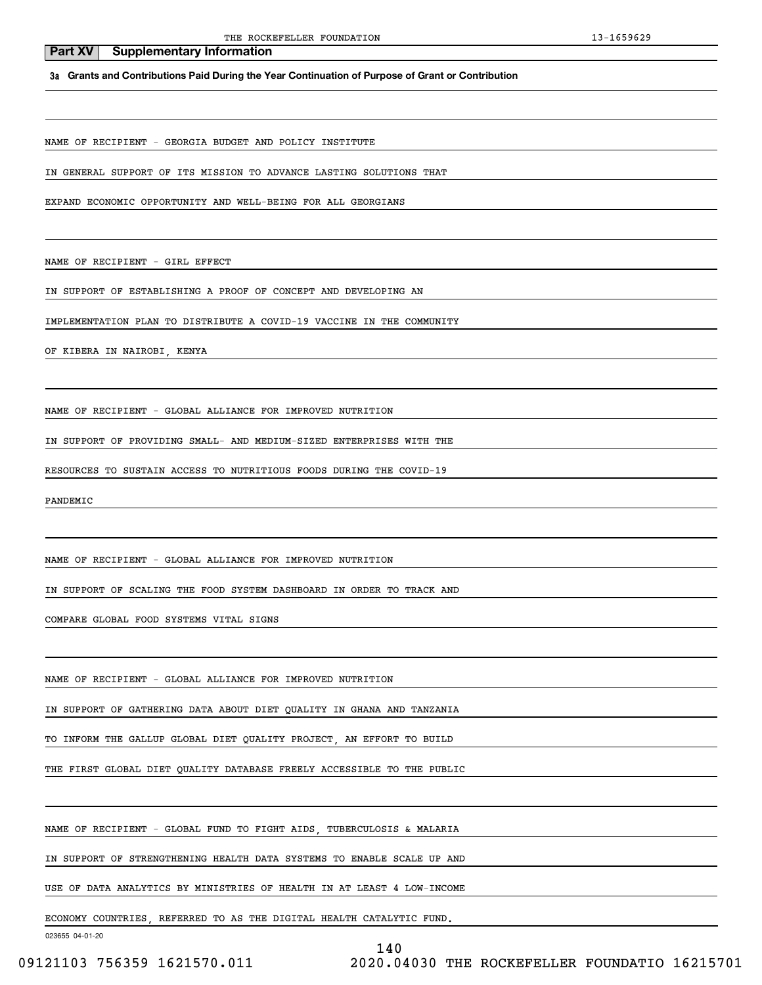**3a Grants and Contributions Paid During the Year Continuation of Purpose of Grant or Contribution**

NAME OF RECIPIENT - GEORGIA BUDGET AND POLICY INSTITUTE

IN GENERAL SUPPORT OF ITS MISSION TO ADVANCE LASTING SOLUTIONS THAT

EXPAND ECONOMIC OPPORTUNITY AND WELL-BEING FOR ALL GEORGIANS

NAME OF RECIPIENT - GIRL EFFECT

IN SUPPORT OF ESTABLISHING A PROOF OF CONCEPT AND DEVELOPING AN

IMPLEMENTATION PLAN TO DISTRIBUTE A COVID-19 VACCINE IN THE COMMUNITY

OF KIBERA IN NAIROBI, KENYA

NAME OF RECIPIENT - GLOBAL ALLIANCE FOR IMPROVED NUTRITION

IN SUPPORT OF PROVIDING SMALL- AND MEDIUM-SIZED ENTERPRISES WITH THE

RESOURCES TO SUSTAIN ACCESS TO NUTRITIOUS FOODS DURING THE COVID-19

PANDEMIC

NAME OF RECIPIENT - GLOBAL ALLIANCE FOR IMPROVED NUTRITION

IN SUPPORT OF SCALING THE FOOD SYSTEM DASHBOARD IN ORDER TO TRACK AND

COMPARE GLOBAL FOOD SYSTEMS VITAL SIGNS

NAME OF RECIPIENT - GLOBAL ALLIANCE FOR IMPROVED NUTRITION

IN SUPPORT OF GATHERING DATA ABOUT DIET QUALITY IN GHANA AND TANZANIA

TO INFORM THE GALLUP GLOBAL DIET QUALITY PROJECT, AN EFFORT TO BUILD

THE FIRST GLOBAL DIET QUALITY DATABASE FREELY ACCESSIBLE TO THE PUBLIC

NAME OF RECIPIENT - GLOBAL FUND TO FIGHT AIDS, TUBERCULOSIS & MALARIA

IN SUPPORT OF STRENGTHENING HEALTH DATA SYSTEMS TO ENABLE SCALE UP AND

USE OF DATA ANALYTICS BY MINISTRIES OF HEALTH IN AT LEAST 4 LOW-INCOME

ECONOMY COUNTRIES, REFERRED TO AS THE DIGITAL HEALTH CATALYTIC FUND.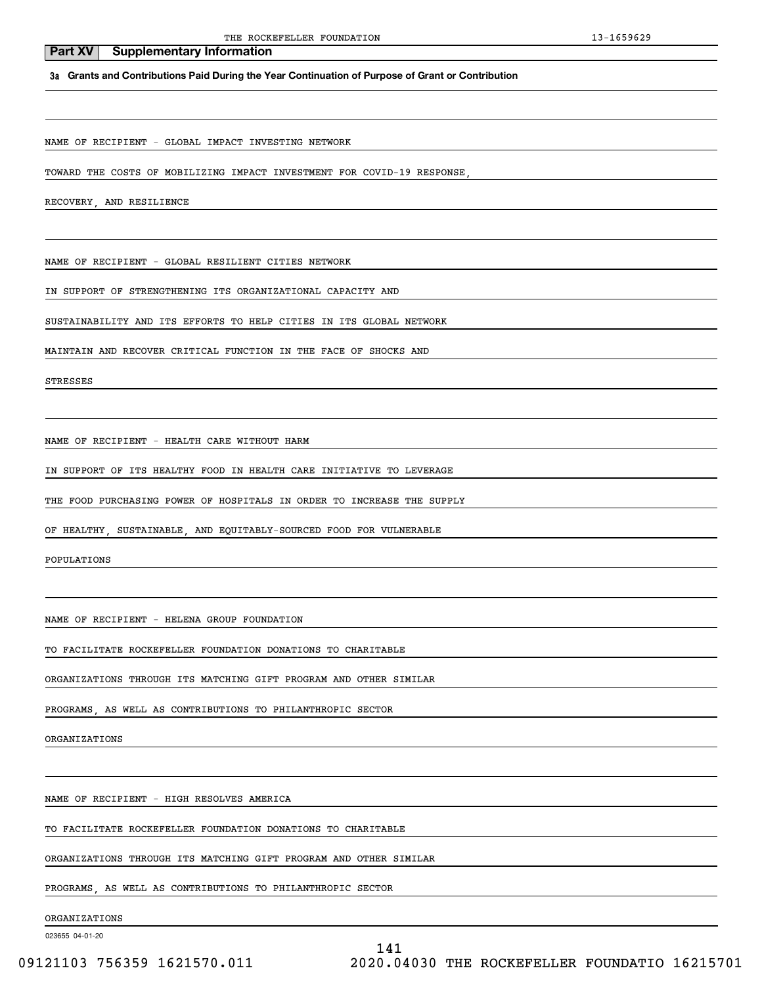**3a Grants and Contributions Paid During the Year Continuation of Purpose of Grant or Contribution**

NAME OF RECIPIENT - GLOBAL IMPACT INVESTING NETWORK

TOWARD THE COSTS OF MOBILIZING IMPACT INVESTMENT FOR COVID-19 RESPONSE,

RECOVERY, AND RESILIENCE

NAME OF RECIPIENT - GLOBAL RESILIENT CITIES NETWORK

IN SUPPORT OF STRENGTHENING ITS ORGANIZATIONAL CAPACITY AND

SUSTAINABILITY AND ITS EFFORTS TO HELP CITIES IN ITS GLOBAL NETWORK

MAINTAIN AND RECOVER CRITICAL FUNCTION IN THE FACE OF SHOCKS AND

STRESSES

NAME OF RECIPIENT - HEALTH CARE WITHOUT HARM

IN SUPPORT OF ITS HEALTHY FOOD IN HEALTH CARE INITIATIVE TO LEVERAGE

THE FOOD PURCHASING POWER OF HOSPITALS IN ORDER TO INCREASE THE SUPPLY

OF HEALTHY, SUSTAINABLE, AND EQUITABLY-SOURCED FOOD FOR VULNERABLE

POPULATIONS

NAME OF RECIPIENT - HELENA GROUP FOUNDATION

TO FACILITATE ROCKEFELLER FOUNDATION DONATIONS TO CHARITABLE

ORGANIZATIONS THROUGH ITS MATCHING GIFT PROGRAM AND OTHER SIMILAR

PROGRAMS, AS WELL AS CONTRIBUTIONS TO PHILANTHROPIC SECTOR

ORGANIZATIONS

NAME OF RECIPIENT - HIGH RESOLVES AMERICA

TO FACILITATE ROCKEFELLER FOUNDATION DONATIONS TO CHARITABLE

ORGANIZATIONS THROUGH ITS MATCHING GIFT PROGRAM AND OTHER SIMILAR

PROGRAMS, AS WELL AS CONTRIBUTIONS TO PHILANTHROPIC SECTOR

ORGANIZATIONS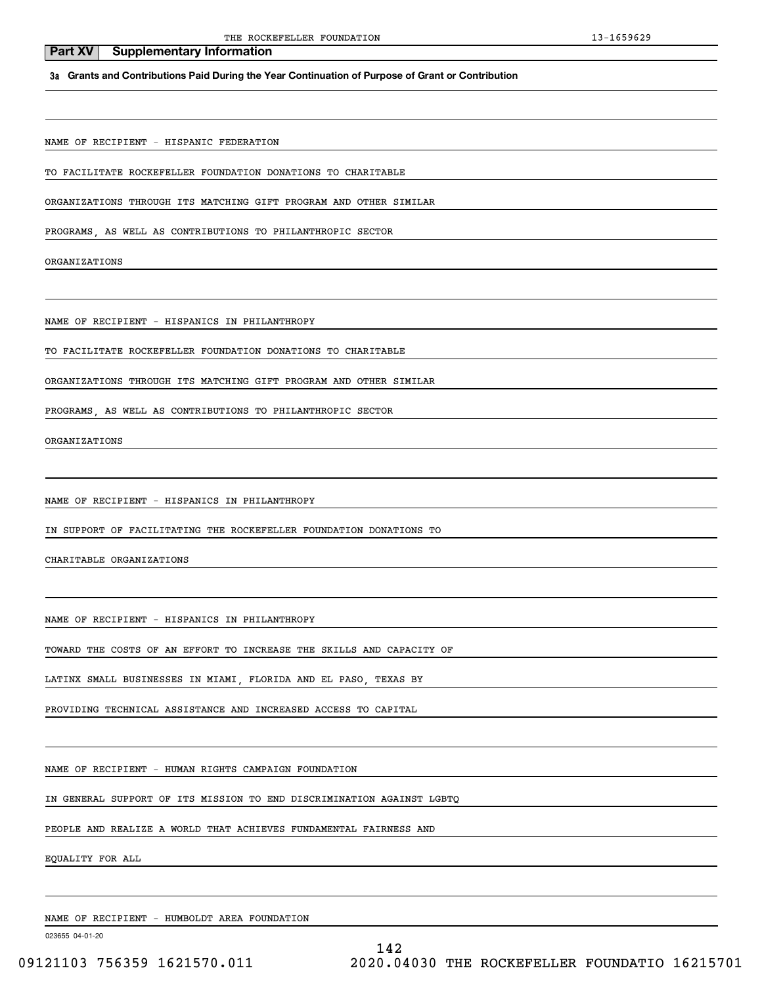# **3a Grants and Contributions Paid During the Year Continuation of Purpose of Grant or Contribution**

NAME OF RECIPIENT - HISPANIC FEDERATION

**Part XV** Supplementary Information

TO FACILITATE ROCKEFELLER FOUNDATION DONATIONS TO CHARITABLE

ORGANIZATIONS THROUGH ITS MATCHING GIFT PROGRAM AND OTHER SIMILAR

PROGRAMS, AS WELL AS CONTRIBUTIONS TO PHILANTHROPIC SECTOR

ORGANIZATIONS

NAME OF RECIPIENT - HISPANICS IN PHILANTHROPY

TO FACILITATE ROCKEFELLER FOUNDATION DONATIONS TO CHARITABLE

ORGANIZATIONS THROUGH ITS MATCHING GIFT PROGRAM AND OTHER SIMILAR

PROGRAMS, AS WELL AS CONTRIBUTIONS TO PHILANTHROPIC SECTOR

ORGANIZATIONS

NAME OF RECIPIENT - HISPANICS IN PHILANTHROPY

IN SUPPORT OF FACILITATING THE ROCKEFELLER FOUNDATION DONATIONS TO

CHARITABLE ORGANIZATIONS

NAME OF RECIPIENT - HISPANICS IN PHILANTHROPY

TOWARD THE COSTS OF AN EFFORT TO INCREASE THE SKILLS AND CAPACITY OF

LATINX SMALL BUSINESSES IN MIAMI, FLORIDA AND EL PASO, TEXAS BY

PROVIDING TECHNICAL ASSISTANCE AND INCREASED ACCESS TO CAPITAL

NAME OF RECIPIENT - HUMAN RIGHTS CAMPAIGN FOUNDATION

IN GENERAL SUPPORT OF ITS MISSION TO END DISCRIMINATION AGAINST LGBTQ

PEOPLE AND REALIZE A WORLD THAT ACHIEVES FUNDAMENTAL FAIRNESS AND

EQUALITY FOR ALL

NAME OF RECIPIENT - HUMBOLDT AREA FOUNDATION

023655 04-01-20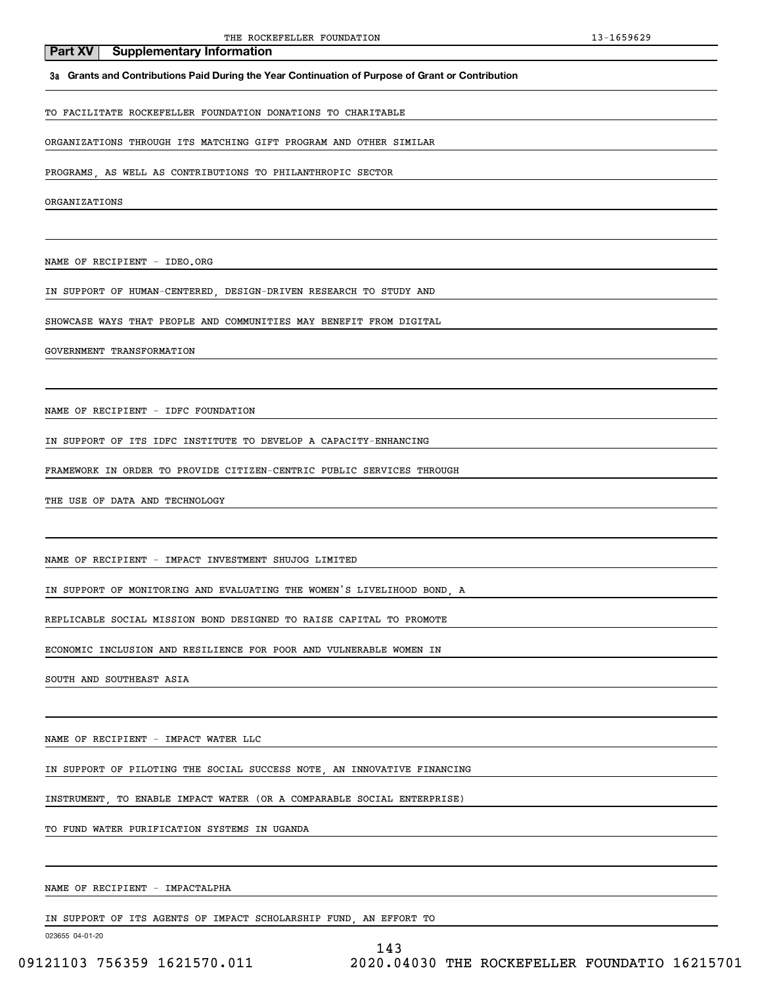### **3a Grants and Contributions Paid During the Year Continuation of Purpose of Grant or Contribution**

### TO FACILITATE ROCKEFELLER FOUNDATION DONATIONS TO CHARITABLE

### ORGANIZATIONS THROUGH ITS MATCHING GIFT PROGRAM AND OTHER SIMILAR

PROGRAMS, AS WELL AS CONTRIBUTIONS TO PHILANTHROPIC SECTOR

ORGANIZATIONS

NAME OF RECIPIENT - IDEO.ORG

**Part XV** Supplementary Information

IN SUPPORT OF HUMAN-CENTERED, DESIGN-DRIVEN RESEARCH TO STUDY AND

SHOWCASE WAYS THAT PEOPLE AND COMMUNITIES MAY BENEFIT FROM DIGITAL

#### GOVERNMENT TRANSFORMATION

NAME OF RECIPIENT - IDFC FOUNDATION

IN SUPPORT OF ITS IDFC INSTITUTE TO DEVELOP A CAPACITY-ENHANCING

FRAMEWORK IN ORDER TO PROVIDE CITIZEN-CENTRIC PUBLIC SERVICES THROUGH

THE USE OF DATA AND TECHNOLOGY

NAME OF RECIPIENT - IMPACT INVESTMENT SHUJOG LIMITED

IN SUPPORT OF MONITORING AND EVALUATING THE WOMEN'S LIVELIHOOD BOND, A

REPLICABLE SOCIAL MISSION BOND DESIGNED TO RAISE CAPITAL TO PROMOTE

ECONOMIC INCLUSION AND RESILIENCE FOR POOR AND VULNERABLE WOMEN IN

SOUTH AND SOUTHEAST ASIA

NAME OF RECIPIENT - IMPACT WATER LLC

IN SUPPORT OF PILOTING THE SOCIAL SUCCESS NOTE, AN INNOVATIVE FINANCING

INSTRUMENT, TO ENABLE IMPACT WATER (OR A COMPARABLE SOCIAL ENTERPRISE)

TO FUND WATER PURIFICATION SYSTEMS IN UGANDA

NAME OF RECIPIENT - IMPACTALPHA

IN SUPPORT OF ITS AGENTS OF IMPACT SCHOLARSHIP FUND, AN EFFORT TO

023655 04-01-20

143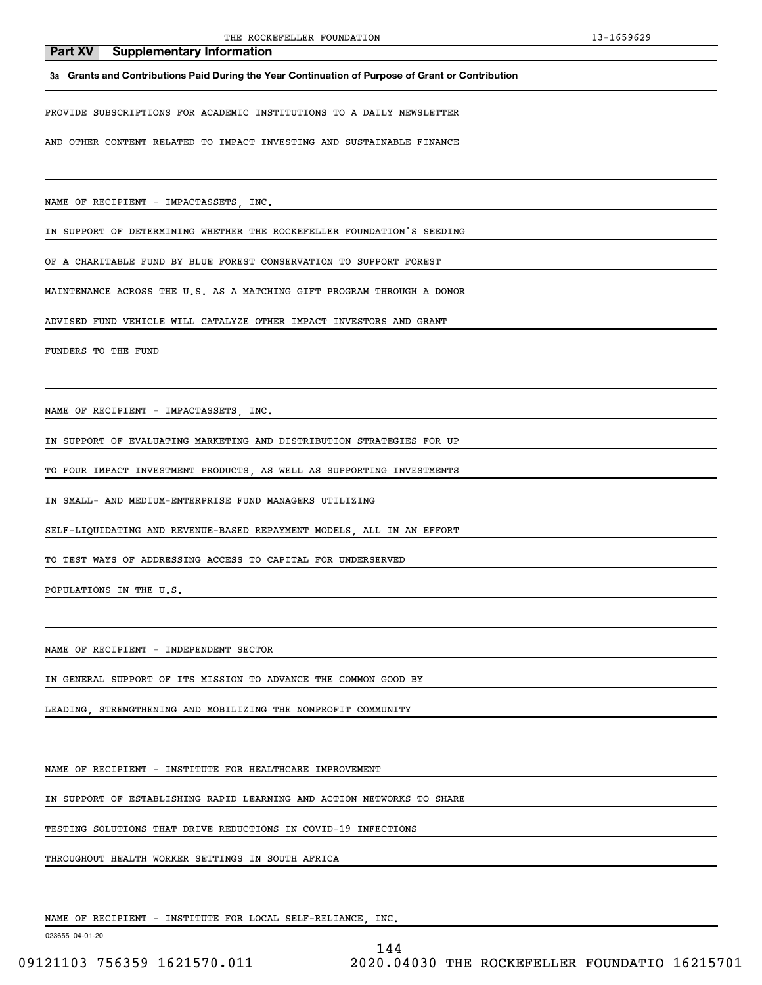**3a Grants and Contributions Paid During the Year Continuation of Purpose of Grant or Contribution**

PROVIDE SUBSCRIPTIONS FOR ACADEMIC INSTITUTIONS TO A DAILY NEWSLETTER

AND OTHER CONTENT RELATED TO IMPACT INVESTING AND SUSTAINABLE FINANCE

NAME OF RECIPIENT - IMPACTASSETS, INC.

IN SUPPORT OF DETERMINING WHETHER THE ROCKEFELLER FOUNDATION'S SEEDING

OF A CHARITABLE FUND BY BLUE FOREST CONSERVATION TO SUPPORT FOREST

MAINTENANCE ACROSS THE U.S. AS A MATCHING GIFT PROGRAM THROUGH A DONOR

ADVISED FUND VEHICLE WILL CATALYZE OTHER IMPACT INVESTORS AND GRANT

FUNDERS TO THE FUND

NAME OF RECIPIENT - IMPACTASSETS, INC.

IN SUPPORT OF EVALUATING MARKETING AND DISTRIBUTION STRATEGIES FOR UP

TO FOUR IMPACT INVESTMENT PRODUCTS, AS WELL AS SUPPORTING INVESTMENTS

IN SMALL- AND MEDIUM-ENTERPRISE FUND MANAGERS UTILIZING

SELF-LIQUIDATING AND REVENUE-BASED REPAYMENT MODELS, ALL IN AN EFFORT

TO TEST WAYS OF ADDRESSING ACCESS TO CAPITAL FOR UNDERSERVED

POPULATIONS IN THE U.S.

NAME OF RECIPIENT - INDEPENDENT SECTOR

IN GENERAL SUPPORT OF ITS MISSION TO ADVANCE THE COMMON GOOD BY

LEADING, STRENGTHENING AND MOBILIZING THE NONPROFIT COMMUNITY

NAME OF RECIPIENT - INSTITUTE FOR HEALTHCARE IMPROVEMENT

IN SUPPORT OF ESTABLISHING RAPID LEARNING AND ACTION NETWORKS TO SHARE

TESTING SOLUTIONS THAT DRIVE REDUCTIONS IN COVID-19 INFECTIONS

THROUGHOUT HEALTH WORKER SETTINGS IN SOUTH AFRICA

NAME OF RECIPIENT - INSTITUTE FOR LOCAL SELF-RELIANCE, INC.

023655 04-01-20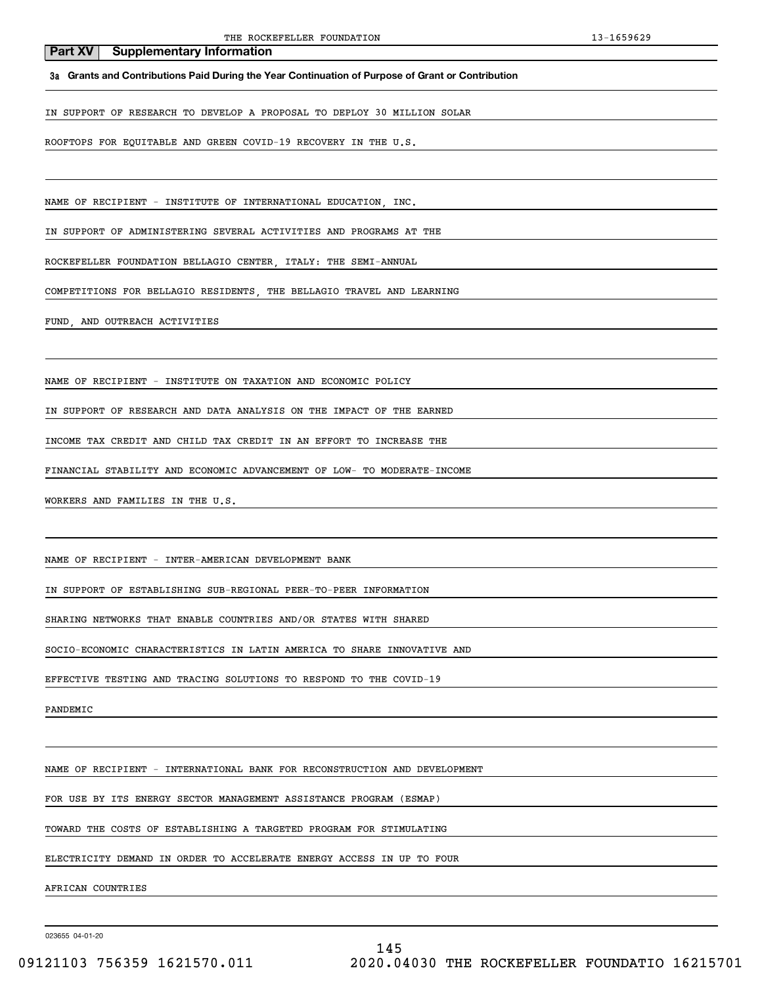**3a Grants and Contributions Paid During the Year Continuation of Purpose of Grant or Contribution**

IN SUPPORT OF RESEARCH TO DEVELOP A PROPOSAL TO DEPLOY 30 MILLION SOLAR

ROOFTOPS FOR EQUITABLE AND GREEN COVID-19 RECOVERY IN THE U.S.

NAME OF RECIPIENT - INSTITUTE OF INTERNATIONAL EDUCATION, INC.

IN SUPPORT OF ADMINISTERING SEVERAL ACTIVITIES AND PROGRAMS AT THE

ROCKEFELLER FOUNDATION BELLAGIO CENTER, ITALY: THE SEMI-ANNUAL

COMPETITIONS FOR BELLAGIO RESIDENTS, THE BELLAGIO TRAVEL AND LEARNING

FUND, AND OUTREACH ACTIVITIES

NAME OF RECIPIENT - INSTITUTE ON TAXATION AND ECONOMIC POLICY

IN SUPPORT OF RESEARCH AND DATA ANALYSIS ON THE IMPACT OF THE EARNED

INCOME TAX CREDIT AND CHILD TAX CREDIT IN AN EFFORT TO INCREASE THE

FINANCIAL STABILITY AND ECONOMIC ADVANCEMENT OF LOW- TO MODERATE-INCOME

WORKERS AND FAMILIES IN THE U.S.

NAME OF RECIPIENT - INTER-AMERICAN DEVELOPMENT BANK

IN SUPPORT OF ESTABLISHING SUB-REGIONAL PEER-TO-PEER INFORMATION

SHARING NETWORKS THAT ENABLE COUNTRIES AND/OR STATES WITH SHARED

SOCIO-ECONOMIC CHARACTERISTICS IN LATIN AMERICA TO SHARE INNOVATIVE AND

EFFECTIVE TESTING AND TRACING SOLUTIONS TO RESPOND TO THE COVID-19

PANDEMIC

NAME OF RECIPIENT - INTERNATIONAL BANK FOR RECONSTRUCTION AND DEVELOPMENT

FOR USE BY ITS ENERGY SECTOR MANAGEMENT ASSISTANCE PROGRAM (ESMAP)

TOWARD THE COSTS OF ESTABLISHING A TARGETED PROGRAM FOR STIMULATING

ELECTRICITY DEMAND IN ORDER TO ACCELERATE ENERGY ACCESS IN UP TO FOUR

AFRICAN COUNTRIES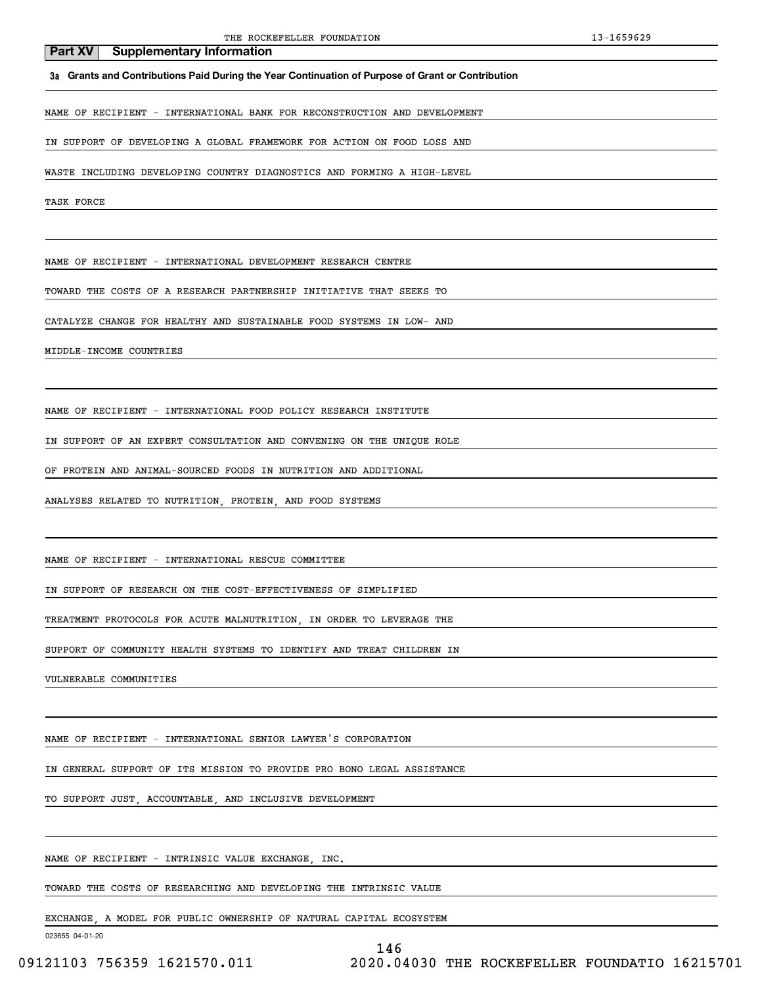**3a Grants and Contributions Paid During the Year Continuation of Purpose of Grant or Contribution**

NAME OF RECIPIENT - INTERNATIONAL BANK FOR RECONSTRUCTION AND DEVELOPMENT

IN SUPPORT OF DEVELOPING A GLOBAL FRAMEWORK FOR ACTION ON FOOD LOSS AND

WASTE INCLUDING DEVELOPING COUNTRY DIAGNOSTICS AND FORMING A HIGH-LEVEL

TASK FORCE

NAME OF RECIPIENT - INTERNATIONAL DEVELOPMENT RESEARCH CENTRE

TOWARD THE COSTS OF A RESEARCH PARTNERSHIP INITIATIVE THAT SEEKS TO

CATALYZE CHANGE FOR HEALTHY AND SUSTAINABLE FOOD SYSTEMS IN LOW- AND

MIDDLE-INCOME COUNTRIES

NAME OF RECIPIENT - INTERNATIONAL FOOD POLICY RESEARCH INSTITUTE

IN SUPPORT OF AN EXPERT CONSULTATION AND CONVENING ON THE UNIQUE ROLE

OF PROTEIN AND ANIMAL-SOURCED FOODS IN NUTRITION AND ADDITIONAL

ANALYSES RELATED TO NUTRITION, PROTEIN, AND FOOD SYSTEMS

NAME OF RECIPIENT - INTERNATIONAL RESCUE COMMITTEE

IN SUPPORT OF RESEARCH ON THE COST-EFFECTIVENESS OF SIMPLIFIED

TREATMENT PROTOCOLS FOR ACUTE MALNUTRITION, IN ORDER TO LEVERAGE THE

SUPPORT OF COMMUNITY HEALTH SYSTEMS TO IDENTIFY AND TREAT CHILDREN IN

VULNERABLE COMMUNITIES

NAME OF RECIPIENT - INTERNATIONAL SENIOR LAWYER'S CORPORATION

IN GENERAL SUPPORT OF ITS MISSION TO PROVIDE PRO BONO LEGAL ASSISTANCE

TO SUPPORT JUST, ACCOUNTABLE, AND INCLUSIVE DEVELOPMENT

NAME OF RECIPIENT - INTRINSIC VALUE EXCHANGE, INC.

TOWARD THE COSTS OF RESEARCHING AND DEVELOPING THE INTRINSIC VALUE

EXCHANGE, A MODEL FOR PUBLIC OWNERSHIP OF NATURAL CAPITAL ECOSYSTEM

023655 04-01-20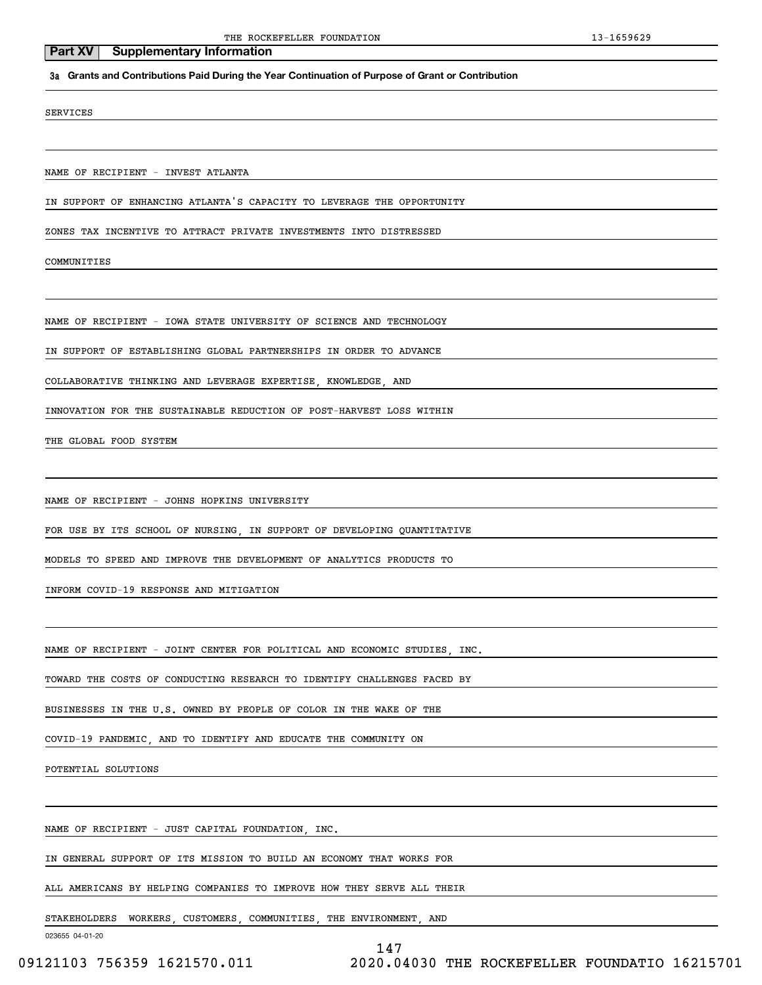#### **3a Grants and Contributions Paid During the Year Continuation of Purpose of Grant or Contribution**

#### SERVICES

NAME OF RECIPIENT - INVEST ATLANTA

IN SUPPORT OF ENHANCING ATLANTA'S CAPACITY TO LEVERAGE THE OPPORTUNITY

ZONES TAX INCENTIVE TO ATTRACT PRIVATE INVESTMENTS INTO DISTRESSED

COMMUNITIES

NAME OF RECIPIENT - IOWA STATE UNIVERSITY OF SCIENCE AND TECHNOLOGY

IN SUPPORT OF ESTABLISHING GLOBAL PARTNERSHIPS IN ORDER TO ADVANCE

COLLABORATIVE THINKING AND LEVERAGE EXPERTISE, KNOWLEDGE, AND

INNOVATION FOR THE SUSTAINABLE REDUCTION OF POST-HARVEST LOSS WITHIN

THE GLOBAL FOOD SYSTEM

NAME OF RECIPIENT - JOHNS HOPKINS UNIVERSITY

FOR USE BY ITS SCHOOL OF NURSING, IN SUPPORT OF DEVELOPING QUANTITATIVE

MODELS TO SPEED AND IMPROVE THE DEVELOPMENT OF ANALYTICS PRODUCTS TO

INFORM COVID-19 RESPONSE AND MITIGATION

NAME OF RECIPIENT - JOINT CENTER FOR POLITICAL AND ECONOMIC STUDIES, INC.

TOWARD THE COSTS OF CONDUCTING RESEARCH TO IDENTIFY CHALLENGES FACED BY

BUSINESSES IN THE U.S. OWNED BY PEOPLE OF COLOR IN THE WAKE OF THE

COVID-19 PANDEMIC, AND TO IDENTIFY AND EDUCATE THE COMMUNITY ON

POTENTIAL SOLUTIONS

NAME OF RECIPIENT - JUST CAPITAL FOUNDATION, INC.

IN GENERAL SUPPORT OF ITS MISSION TO BUILD AN ECONOMY THAT WORKS FOR

ALL AMERICANS BY HELPING COMPANIES TO IMPROVE HOW THEY SERVE ALL THEIR

STAKEHOLDERS WORKERS, CUSTOMERS, COMMUNITIES, THE ENVIRONMENT, AND

023655 04-01-20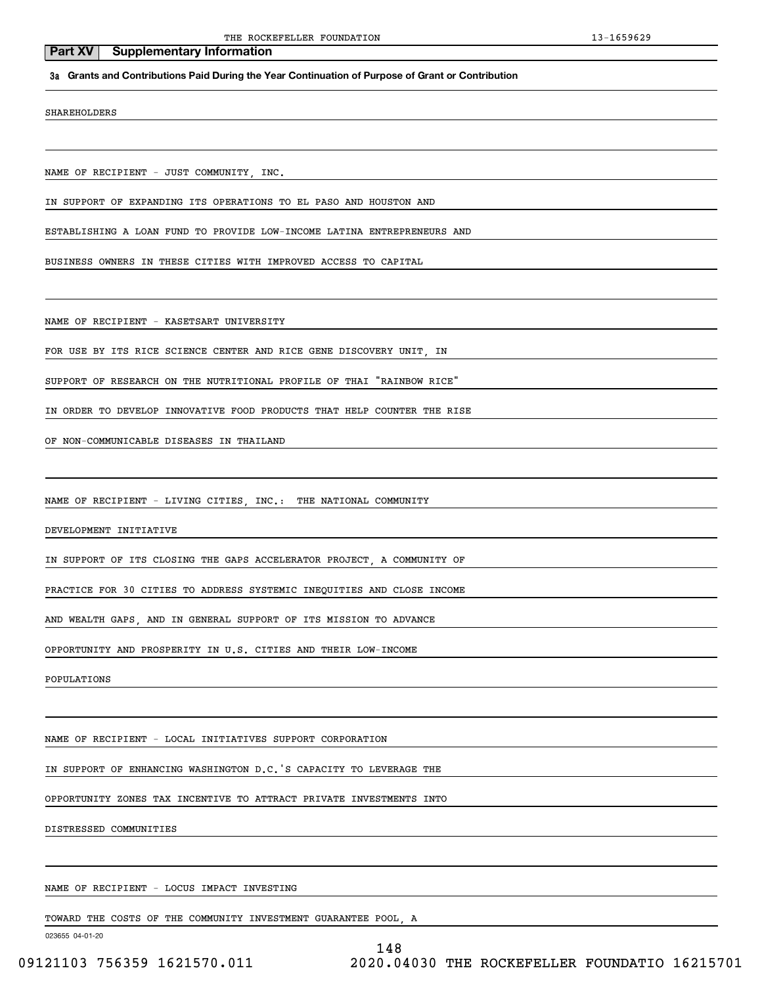#### **3a Grants and Contributions Paid During the Year Continuation of Purpose of Grant or Contribution**

SHAREHOLDERS

NAME OF RECIPIENT - JUST COMMUNITY, INC.

IN SUPPORT OF EXPANDING ITS OPERATIONS TO EL PASO AND HOUSTON AND

ESTABLISHING A LOAN FUND TO PROVIDE LOW-INCOME LATINA ENTREPRENEURS AND

BUSINESS OWNERS IN THESE CITIES WITH IMPROVED ACCESS TO CAPITAL

NAME OF RECIPIENT - KASETSART UNIVERSITY

FOR USE BY ITS RICE SCIENCE CENTER AND RICE GENE DISCOVERY UNIT, IN

SUPPORT OF RESEARCH ON THE NUTRITIONAL PROFILE OF THAI "RAINBOW RICE"

IN ORDER TO DEVELOP INNOVATIVE FOOD PRODUCTS THAT HELP COUNTER THE RISE

OF NON-COMMUNICABLE DISEASES IN THAILAND

NAME OF RECIPIENT - LIVING CITIES, INC.: THE NATIONAL COMMUNITY

DEVELOPMENT INITIATIVE

IN SUPPORT OF ITS CLOSING THE GAPS ACCELERATOR PROJECT, A COMMUNITY OF

PRACTICE FOR 30 CITIES TO ADDRESS SYSTEMIC INEQUITIES AND CLOSE INCOME

AND WEALTH GAPS, AND IN GENERAL SUPPORT OF ITS MISSION TO ADVANCE

OPPORTUNITY AND PROSPERITY IN U.S. CITIES AND THEIR LOW-INCOME

POPULATIONS

NAME OF RECIPIENT - LOCAL INITIATIVES SUPPORT CORPORATION

IN SUPPORT OF ENHANCING WASHINGTON D.C.'S CAPACITY TO LEVERAGE THE

OPPORTUNITY ZONES TAX INCENTIVE TO ATTRACT PRIVATE INVESTMENTS INTO

DISTRESSED COMMUNITIES

NAME OF RECIPIENT - LOCUS IMPACT INVESTING

TOWARD THE COSTS OF THE COMMUNITY INVESTMENT GUARANTEE POOL, A

023655 04-01-20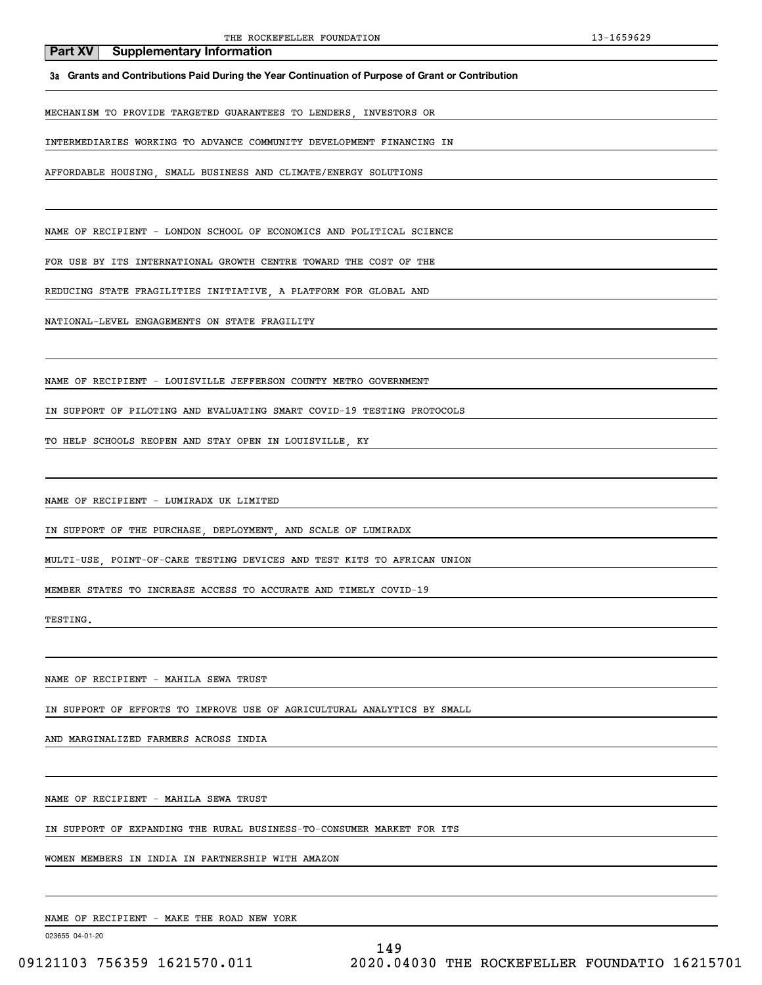**3a Grants and Contributions Paid During the Year Continuation of Purpose of Grant or Contribution**

MECHANISM TO PROVIDE TARGETED GUARANTEES TO LENDERS, INVESTORS OR

INTERMEDIARIES WORKING TO ADVANCE COMMUNITY DEVELOPMENT FINANCING IN

AFFORDABLE HOUSING, SMALL BUSINESS AND CLIMATE/ENERGY SOLUTIONS

NAME OF RECIPIENT - LONDON SCHOOL OF ECONOMICS AND POLITICAL SCIENCE

FOR USE BY ITS INTERNATIONAL GROWTH CENTRE TOWARD THE COST OF THE

REDUCING STATE FRAGILITIES INITIATIVE, A PLATFORM FOR GLOBAL AND

NATIONAL-LEVEL ENGAGEMENTS ON STATE FRAGILITY

NAME OF RECIPIENT - LOUISVILLE JEFFERSON COUNTY METRO GOVERNMENT

IN SUPPORT OF PILOTING AND EVALUATING SMART COVID-19 TESTING PROTOCOLS

TO HELP SCHOOLS REOPEN AND STAY OPEN IN LOUISVILLE, KY

NAME OF RECIPIENT - LUMIRADX UK LIMITED

IN SUPPORT OF THE PURCHASE, DEPLOYMENT, AND SCALE OF LUMIRADX

MULTI-USE, POINT-OF-CARE TESTING DEVICES AND TEST KITS TO AFRICAN UNION

MEMBER STATES TO INCREASE ACCESS TO ACCURATE AND TIMELY COVID-19

TESTING.

NAME OF RECIPIENT - MAHILA SEWA TRUST

IN SUPPORT OF EFFORTS TO IMPROVE USE OF AGRICULTURAL ANALYTICS BY SMALL

AND MARGINALIZED FARMERS ACROSS INDIA

NAME OF RECIPIENT - MAHILA SEWA TRUST

IN SUPPORT OF EXPANDING THE RURAL BUSINESS-TO-CONSUMER MARKET FOR ITS

WOMEN MEMBERS IN INDIA IN PARTNERSHIP WITH AMAZON

NAME OF RECIPIENT - MAKE THE ROAD NEW YORK

023655 04-01-20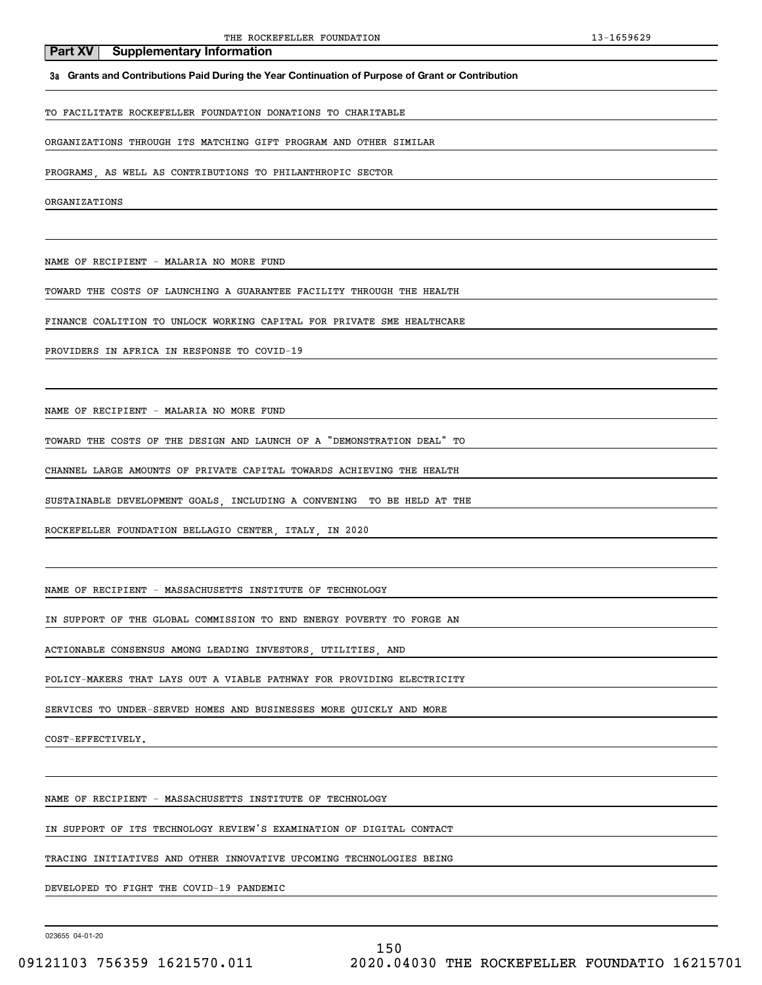**3a Grants and Contributions Paid During the Year Continuation of Purpose of Grant or Contribution**

TO FACILITATE ROCKEFELLER FOUNDATION DONATIONS TO CHARITABLE

ORGANIZATIONS THROUGH ITS MATCHING GIFT PROGRAM AND OTHER SIMILAR

PROGRAMS, AS WELL AS CONTRIBUTIONS TO PHILANTHROPIC SECTOR

ORGANIZATIONS

NAME OF RECIPIENT - MALARIA NO MORE FUND

**Part XV** Supplementary Information

TOWARD THE COSTS OF LAUNCHING A GUARANTEE FACILITY THROUGH THE HEALTH

FINANCE COALITION TO UNLOCK WORKING CAPITAL FOR PRIVATE SME HEALTHCARE

PROVIDERS IN AFRICA IN RESPONSE TO COVID-19

NAME OF RECIPIENT - MALARIA NO MORE FUND

TOWARD THE COSTS OF THE DESIGN AND LAUNCH OF A "DEMONSTRATION DEAL" TO

CHANNEL LARGE AMOUNTS OF PRIVATE CAPITAL TOWARDS ACHIEVING THE HEALTH

SUSTAINABLE DEVELOPMENT GOALS, INCLUDING A CONVENING TO BE HELD AT THE

ROCKEFELLER FOUNDATION BELLAGIO CENTER, ITALY, IN 2020

NAME OF RECIPIENT - MASSACHUSETTS INSTITUTE OF TECHNOLOGY

IN SUPPORT OF THE GLOBAL COMMISSION TO END ENERGY POVERTY TO FORGE AN

ACTIONABLE CONSENSUS AMONG LEADING INVESTORS, UTILITIES, AND

POLICY-MAKERS THAT LAYS OUT A VIABLE PATHWAY FOR PROVIDING ELECTRICITY

SERVICES TO UNDER-SERVED HOMES AND BUSINESSES MORE QUICKLY AND MORE

COST-EFFECTIVELY.

NAME OF RECIPIENT - MASSACHUSETTS INSTITUTE OF TECHNOLOGY

IN SUPPORT OF ITS TECHNOLOGY REVIEW'S EXAMINATION OF DIGITAL CONTACT

TRACING INITIATIVES AND OTHER INNOVATIVE UPCOMING TECHNOLOGIES BEING

DEVELOPED TO FIGHT THE COVID-19 PANDEMIC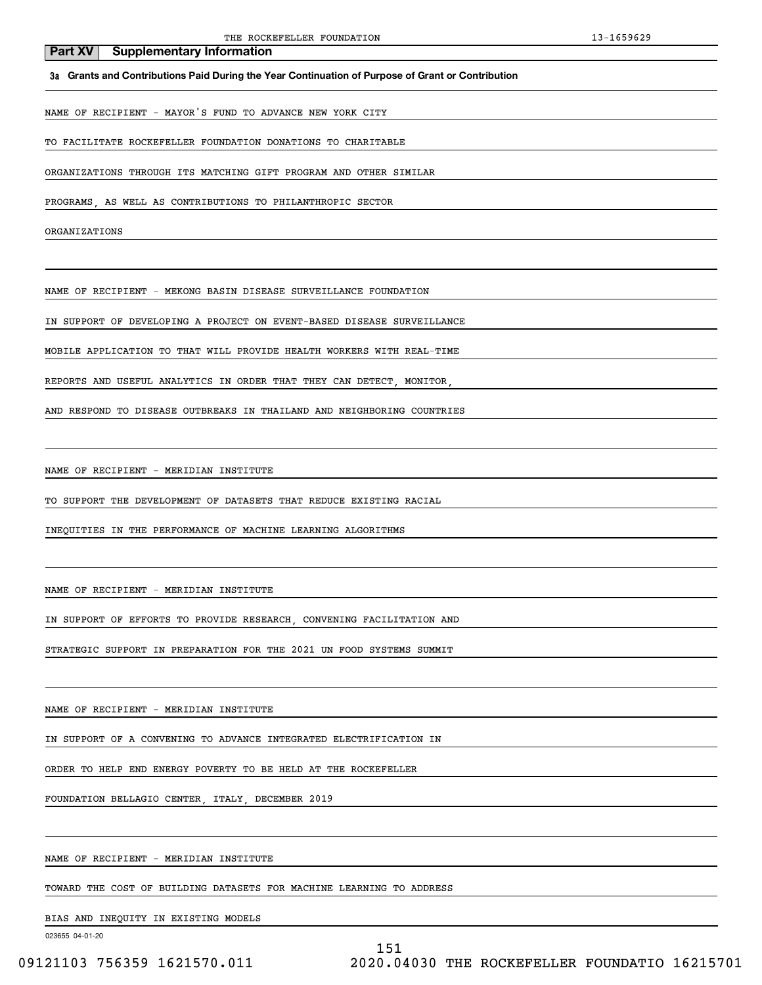#### **3a Grants and Contributions Paid During the Year Continuation of Purpose of Grant or Contribution**

NAME OF RECIPIENT - MAYOR'S FUND TO ADVANCE NEW YORK CITY

TO FACILITATE ROCKEFELLER FOUNDATION DONATIONS TO CHARITABLE

ORGANIZATIONS THROUGH ITS MATCHING GIFT PROGRAM AND OTHER SIMILAR

PROGRAMS, AS WELL AS CONTRIBUTIONS TO PHILANTHROPIC SECTOR

ORGANIZATIONS

NAME OF RECIPIENT - MEKONG BASIN DISEASE SURVEILLANCE FOUNDATION

IN SUPPORT OF DEVELOPING A PROJECT ON EVENT-BASED DISEASE SURVEILLANCE

MOBILE APPLICATION TO THAT WILL PROVIDE HEALTH WORKERS WITH REAL-TIME

REPORTS AND USEFUL ANALYTICS IN ORDER THAT THEY CAN DETECT, MONITOR,

AND RESPOND TO DISEASE OUTBREAKS IN THAILAND AND NEIGHBORING COUNTRIES

NAME OF RECIPIENT - MERIDIAN INSTITUTE

TO SUPPORT THE DEVELOPMENT OF DATASETS THAT REDUCE EXISTING RACIAL

INEQUITIES IN THE PERFORMANCE OF MACHINE LEARNING ALGORITHMS

NAME OF RECIPIENT - MERIDIAN INSTITUTE

IN SUPPORT OF EFFORTS TO PROVIDE RESEARCH, CONVENING FACILITATION AND

STRATEGIC SUPPORT IN PREPARATION FOR THE 2021 UN FOOD SYSTEMS SUMMIT

NAME OF RECIPIENT - MERIDIAN INSTITUTE

IN SUPPORT OF A CONVENING TO ADVANCE INTEGRATED ELECTRIFICATION IN

ORDER TO HELP END ENERGY POVERTY TO BE HELD AT THE ROCKEFELLER

FOUNDATION BELLAGIO CENTER, ITALY, DECEMBER 2019

NAME OF RECIPIENT - MERIDIAN INSTITUTE

TOWARD THE COST OF BUILDING DATASETS FOR MACHINE LEARNING TO ADDRESS

BIAS AND INEQUITY IN EXISTING MODELS

023655 04-01-20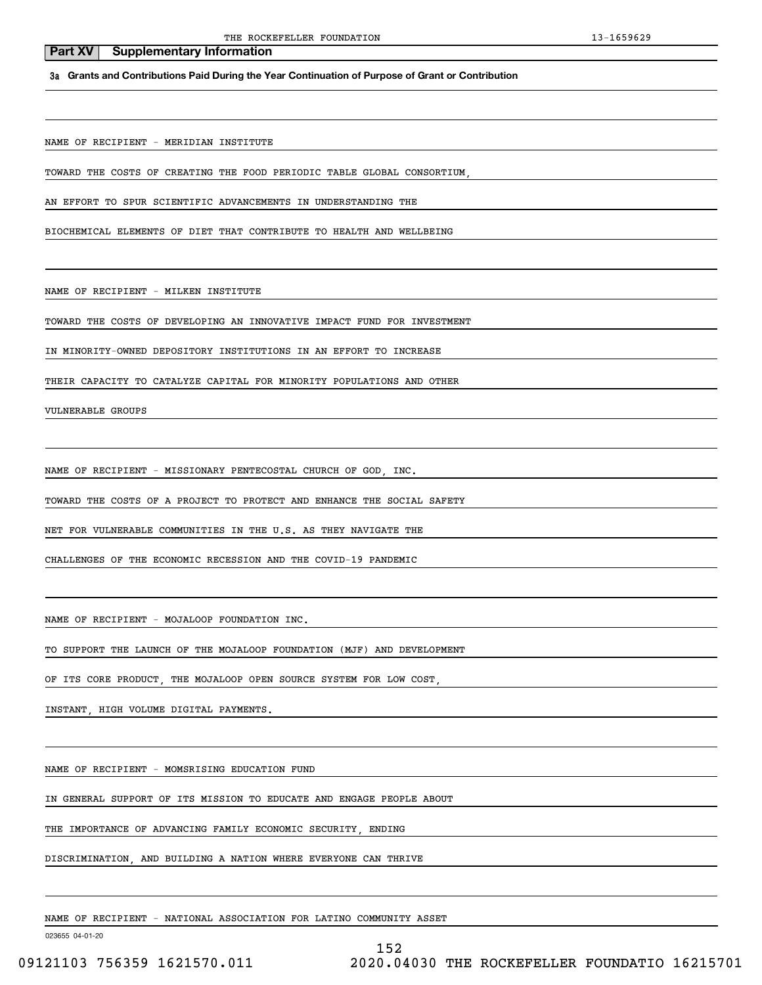**3a Grants and Contributions Paid During the Year Continuation of Purpose of Grant or Contribution**

NAME OF RECIPIENT - MERIDIAN INSTITUTE

TOWARD THE COSTS OF CREATING THE FOOD PERIODIC TABLE GLOBAL CONSORTIUM,

AN EFFORT TO SPUR SCIENTIFIC ADVANCEMENTS IN UNDERSTANDING THE

BIOCHEMICAL ELEMENTS OF DIET THAT CONTRIBUTE TO HEALTH AND WELLBEING

NAME OF RECIPIENT - MILKEN INSTITUTE

TOWARD THE COSTS OF DEVELOPING AN INNOVATIVE IMPACT FUND FOR INVESTMENT

IN MINORITY-OWNED DEPOSITORY INSTITUTIONS IN AN EFFORT TO INCREASE

THEIR CAPACITY TO CATALYZE CAPITAL FOR MINORITY POPULATIONS AND OTHER

VULNERABLE GROUPS

NAME OF RECIPIENT - MISSIONARY PENTECOSTAL CHURCH OF GOD, INC.

TOWARD THE COSTS OF A PROJECT TO PROTECT AND ENHANCE THE SOCIAL SAFETY

NET FOR VULNERABLE COMMUNITIES IN THE U.S. AS THEY NAVIGATE THE

CHALLENGES OF THE ECONOMIC RECESSION AND THE COVID-19 PANDEMIC

NAME OF RECIPIENT - MOJALOOP FOUNDATION INC.

TO SUPPORT THE LAUNCH OF THE MOJALOOP FOUNDATION (MJF) AND DEVELOPMENT

OF ITS CORE PRODUCT. THE MOJALOOP OPEN SOURCE SYSTEM FOR LOW COST

INSTANT, HIGH VOLUME DIGITAL PAYMENTS.

NAME OF RECIPIENT - MOMSRISING EDUCATION FUND

IN GENERAL SUPPORT OF ITS MISSION TO EDUCATE AND ENGAGE PEOPLE ABOUT

THE IMPORTANCE OF ADVANCING FAMILY ECONOMIC SECURITY, ENDING

DISCRIMINATION, AND BUILDING A NATION WHERE EVERYONE CAN THRIVE

NAME OF RECIPIENT - NATIONAL ASSOCIATION FOR LATINO COMMUNITY ASSET

023655 04-01-20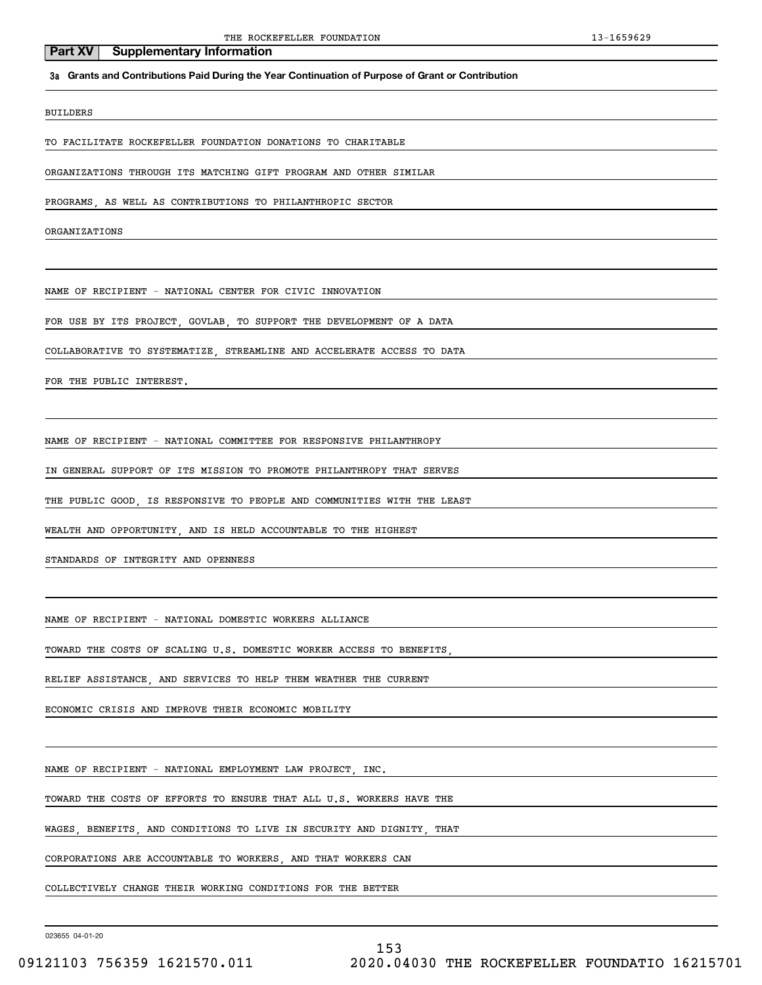#### **3a Grants and Contributions Paid During the Year Continuation of Purpose of Grant or Contribution**

#### BUILDERS

TO FACILITATE ROCKEFELLER FOUNDATION DONATIONS TO CHARITABLE

ORGANIZATIONS THROUGH ITS MATCHING GIFT PROGRAM AND OTHER SIMILAR

PROGRAMS, AS WELL AS CONTRIBUTIONS TO PHILANTHROPIC SECTOR

ORGANIZATIONS

NAME OF RECIPIENT - NATIONAL CENTER FOR CIVIC INNOVATION

FOR USE BY ITS PROJECT, GOVLAB, TO SUPPORT THE DEVELOPMENT OF A DATA

COLLABORATIVE TO SYSTEMATIZE, STREAMLINE AND ACCELERATE ACCESS TO DATA

FOR THE PUBLIC INTEREST.

NAME OF RECIPIENT - NATIONAL COMMITTEE FOR RESPONSIVE PHILANTHROPY

IN GENERAL SUPPORT OF ITS MISSION TO PROMOTE PHILANTHROPY THAT SERVES

THE PUBLIC GOOD, IS RESPONSIVE TO PEOPLE AND COMMUNITIES WITH THE LEAST

WEALTH AND OPPORTUNITY, AND IS HELD ACCOUNTABLE TO THE HIGHEST

STANDARDS OF INTEGRITY AND OPENNESS

NAME OF RECIPIENT - NATIONAL DOMESTIC WORKERS ALLIANCE

TOWARD THE COSTS OF SCALING U.S. DOMESTIC WORKER ACCESS TO BENEFITS,

RELIEF ASSISTANCE, AND SERVICES TO HELP THEM WEATHER THE CURRENT

ECONOMIC CRISIS AND IMPROVE THEIR ECONOMIC MOBILITY

NAME OF RECIPIENT - NATIONAL EMPLOYMENT LAW PROJECT, INC.

TOWARD THE COSTS OF EFFORTS TO ENSURE THAT ALL U.S. WORKERS HAVE THE

WAGES, BENEFITS, AND CONDITIONS TO LIVE IN SECURITY AND DIGNITY, THAT

CORPORATIONS ARE ACCOUNTABLE TO WORKERS, AND THAT WORKERS CAN

COLLECTIVELY CHANGE THEIR WORKING CONDITIONS FOR THE BETTER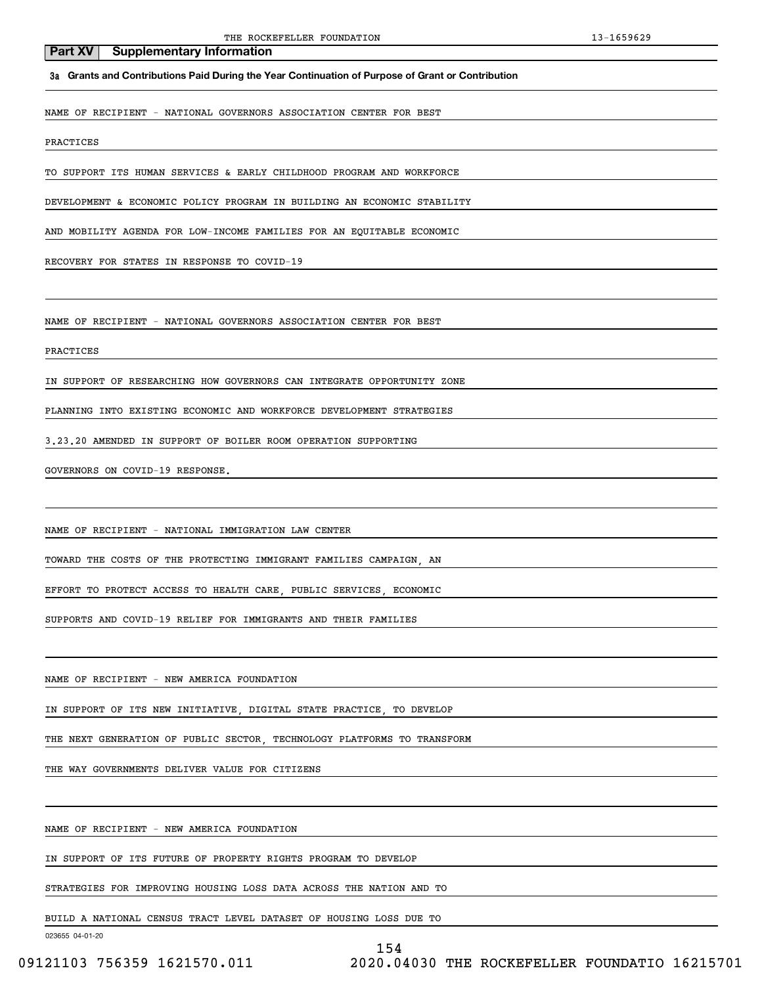**3a Grants and Contributions Paid During the Year Continuation of Purpose of Grant or Contribution**

NAME OF RECIPIENT - NATIONAL GOVERNORS ASSOCIATION CENTER FOR BEST

PRACTICES

TO SUPPORT ITS HUMAN SERVICES & EARLY CHILDHOOD PROGRAM AND WORKFORCE

DEVELOPMENT & ECONOMIC POLICY PROGRAM IN BUILDING AN ECONOMIC STABILITY

AND MOBILITY AGENDA FOR LOW-INCOME FAMILIES FOR AN EQUITABLE ECONOMIC

RECOVERY FOR STATES IN RESPONSE TO COVID-19

NAME OF RECIPIENT - NATIONAL GOVERNORS ASSOCIATION CENTER FOR BEST

#### PRACTICES

IN SUPPORT OF RESEARCHING HOW GOVERNORS CAN INTEGRATE OPPORTUNITY ZONE

PLANNING INTO EXISTING ECONOMIC AND WORKFORCE DEVELOPMENT STRATEGIES

3.23.20 AMENDED IN SUPPORT OF BOILER ROOM OPERATION SUPPORTING

GOVERNORS ON COVID-19 RESPONSE.

NAME OF RECIPIENT - NATIONAL IMMIGRATION LAW CENTER

TOWARD THE COSTS OF THE PROTECTING IMMIGRANT FAMILIES CAMPAIGN, AN

EFFORT TO PROTECT ACCESS TO HEALTH CARE, PUBLIC SERVICES, ECONOMIC

SUPPORTS AND COVID-19 RELIEF FOR IMMIGRANTS AND THEIR FAMILIES

NAME OF RECIPIENT - NEW AMERICA FOUNDATION

IN SUPPORT OF ITS NEW INITIATIVE, DIGITAL STATE PRACTICE, TO DEVELOP

THE NEXT GENERATION OF PUBLIC SECTOR, TECHNOLOGY PLATFORMS TO TRANSFORM

THE WAY GOVERNMENTS DELIVER VALUE FOR CITIZENS

NAME OF RECIPIENT - NEW AMERICA FOUNDATION

IN SUPPORT OF ITS FUTURE OF PROPERTY RIGHTS PROGRAM TO DEVELOP

STRATEGIES FOR IMPROVING HOUSING LOSS DATA ACROSS THE NATION AND TO

BUILD A NATIONAL CENSUS TRACT LEVEL DATASET OF HOUSING LOSS DUE TO

023655 04-01-20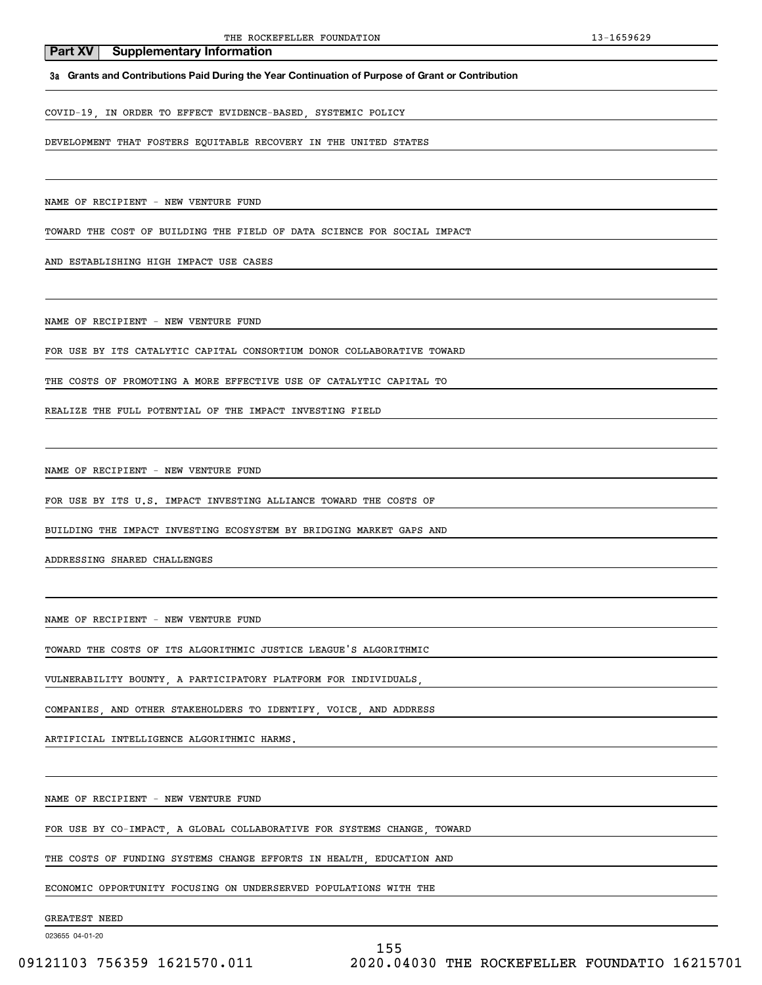#### **3a Grants and Contributions Paid During the Year Continuation of Purpose of Grant or Contribution**

COVID-19, IN ORDER TO EFFECT EVIDENCE-BASED, SYSTEMIC POLICY

DEVELOPMENT THAT FOSTERS EQUITABLE RECOVERY IN THE UNITED STATES

NAME OF RECIPIENT - NEW VENTURE FUND

TOWARD THE COST OF BUILDING THE FIELD OF DATA SCIENCE FOR SOCIAL IMPACT

AND ESTABLISHING HIGH IMPACT USE CASES

NAME OF RECIPIENT - NEW VENTURE FUND

FOR USE BY ITS CATALYTIC CAPITAL CONSORTIUM DONOR COLLABORATIVE TOWARD

THE COSTS OF PROMOTING A MORE EFFECTIVE USE OF CATALYTIC CAPITAL TO

REALIZE THE FULL POTENTIAL OF THE IMPACT INVESTING FIELD

NAME OF RECIPIENT - NEW VENTURE FUND

FOR USE BY ITS U.S. IMPACT INVESTING ALLIANCE TOWARD THE COSTS OF

BUILDING THE IMPACT INVESTING ECOSYSTEM BY BRIDGING MARKET GAPS AND

ADDRESSING SHARED CHALLENGES

NAME OF RECIPIENT - NEW VENTURE FUND

TOWARD THE COSTS OF ITS ALGORITHMIC JUSTICE LEAGUE'S ALGORITHMIC

VULNERABILITY BOUNTY, A PARTICIPATORY PLATFORM FOR INDIVIDUALS,

COMPANIES, AND OTHER STAKEHOLDERS TO IDENTIFY, VOICE, AND ADDRESS

ARTIFICIAL INTELLIGENCE ALGORITHMIC HARMS.

NAME OF RECIPIENT - NEW VENTURE FUND

FOR USE BY CO-IMPACT, A GLOBAL COLLABORATIVE FOR SYSTEMS CHANGE, TOWARD

THE COSTS OF FUNDING SYSTEMS CHANGE EFFORTS IN HEALTH, EDUCATION AND

ECONOMIC OPPORTUNITY FOCUSING ON UNDERSERVED POPULATIONS WITH THE

GREATEST NEED

023655 04-01-20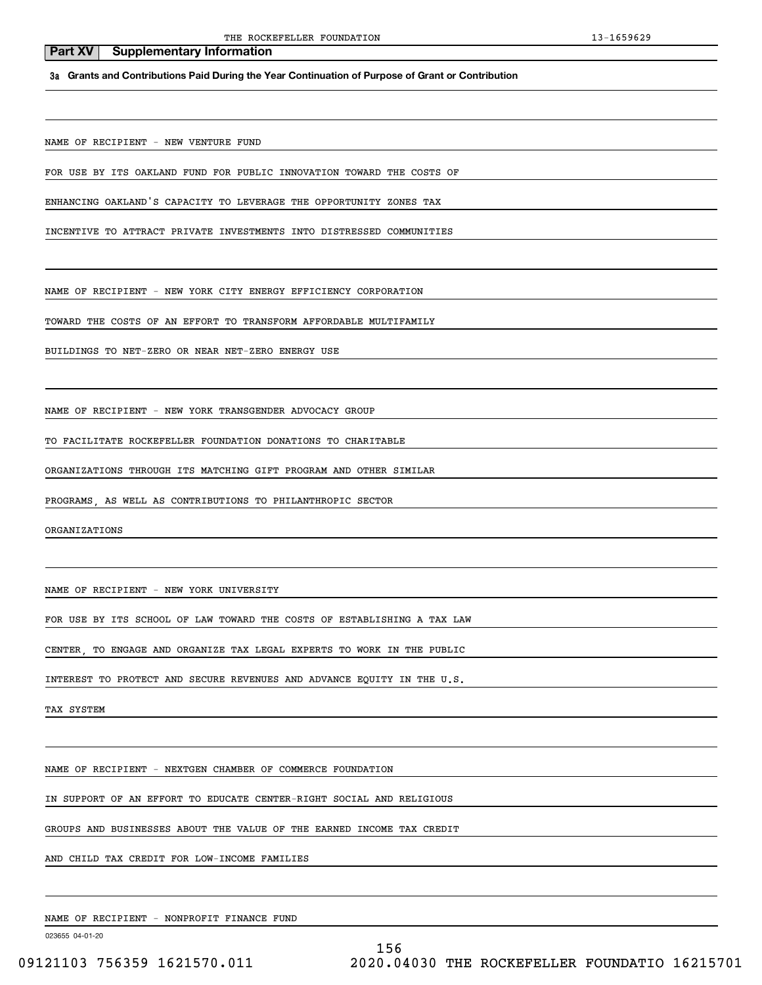**3a Grants and Contributions Paid During the Year Continuation of Purpose of Grant or Contribution**

NAME OF RECIPIENT - NEW VENTURE FUND

FOR USE BY ITS OAKLAND FUND FOR PUBLIC INNOVATION TOWARD THE COSTS OF

ENHANCING OAKLAND'S CAPACITY TO LEVERAGE THE OPPORTUNITY ZONES TAX

INCENTIVE TO ATTRACT PRIVATE INVESTMENTS INTO DISTRESSED COMMUNITIES

NAME OF RECIPIENT - NEW YORK CITY ENERGY EFFICIENCY CORPORATION

TOWARD THE COSTS OF AN EFFORT TO TRANSFORM AFFORDABLE MULTIFAMILY

BUILDINGS TO NET-ZERO OR NEAR NET-ZERO ENERGY USE

NAME OF RECIPIENT - NEW YORK TRANSGENDER ADVOCACY GROUP

TO FACILITATE ROCKEFELLER FOUNDATION DONATIONS TO CHARITABLE

ORGANIZATIONS THROUGH ITS MATCHING GIFT PROGRAM AND OTHER SIMILAR

PROGRAMS, AS WELL AS CONTRIBUTIONS TO PHILANTHROPIC SECTOR

ORGANIZATIONS

NAME OF RECIPIENT - NEW YORK UNIVERSITY

FOR USE BY ITS SCHOOL OF LAW TOWARD THE COSTS OF ESTABLISHING A TAX LAW

CENTER, TO ENGAGE AND ORGANIZE TAX LEGAL EXPERTS TO WORK IN THE PUBLIC

INTEREST TO PROTECT AND SECURE REVENUES AND ADVANCE EQUITY IN THE U.S.

TAX SYSTEM

NAME OF RECIPIENT - NEXTGEN CHAMBER OF COMMERCE FOUNDATION

IN SUPPORT OF AN EFFORT TO EDUCATE CENTER-RIGHT SOCIAL AND RELIGIOUS

GROUPS AND BUSINESSES ABOUT THE VALUE OF THE EARNED INCOME TAX CREDIT

AND CHILD TAX CREDIT FOR LOW-INCOME FAMILIES

NAME OF RECIPIENT - NONPROFIT FINANCE FUND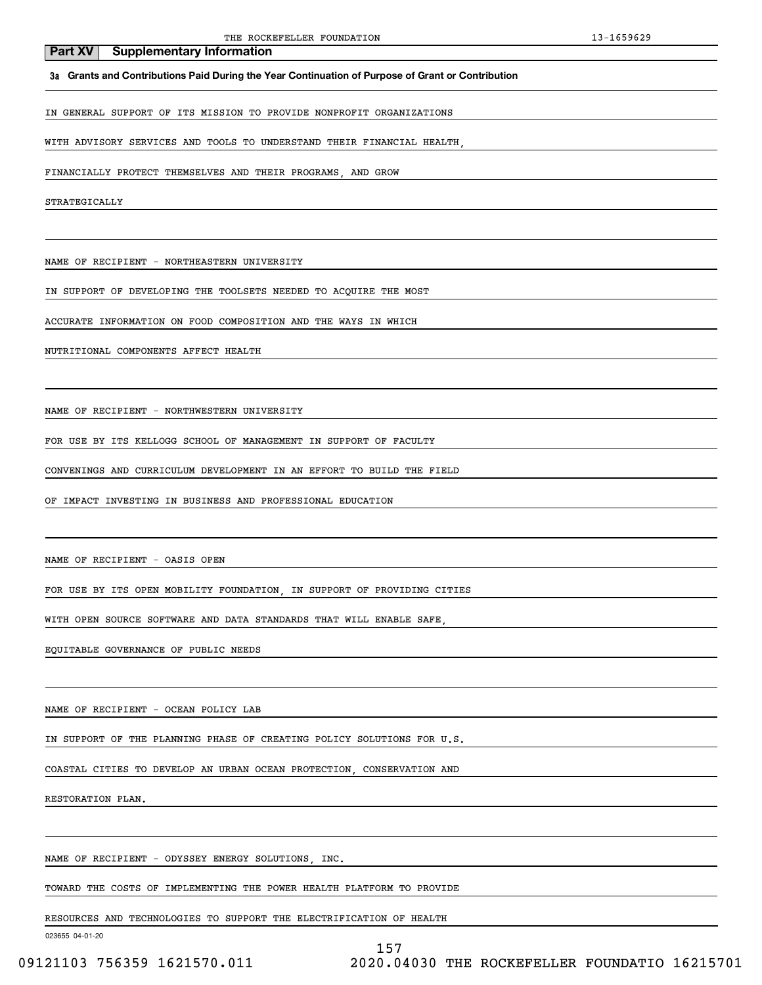**3a Grants and Contributions Paid During the Year Continuation of Purpose of Grant or Contribution**

IN GENERAL SUPPORT OF ITS MISSION TO PROVIDE NONPROFIT ORGANIZATIONS

WITH ADVISORY SERVICES AND TOOLS TO UNDERSTAND THEIR FINANCIAL HEALTH,

FINANCIALLY PROTECT THEMSELVES AND THEIR PROGRAMS, AND GROW

STRATEGICALLY

NAME OF RECIPIENT - NORTHEASTERN UNIVERSITY

IN SUPPORT OF DEVELOPING THE TOOLSETS NEEDED TO ACQUIRE THE MOST

ACCURATE INFORMATION ON FOOD COMPOSITION AND THE WAYS IN WHICH

NUTRITIONAL COMPONENTS AFFECT HEALTH

NAME OF RECIPIENT - NORTHWESTERN UNIVERSITY

FOR USE BY ITS KELLOGG SCHOOL OF MANAGEMENT IN SUPPORT OF FACULTY

CONVENINGS AND CURRICULUM DEVELOPMENT IN AN EFFORT TO BUILD THE FIELD

OF IMPACT INVESTING IN BUSINESS AND PROFESSIONAL EDUCATION

NAME OF RECIPIENT - OASIS OPEN

FOR USE BY ITS OPEN MOBILITY FOUNDATION, IN SUPPORT OF PROVIDING CITIES

WITH OPEN SOURCE SOFTWARE AND DATA STANDARDS THAT WILL ENABLE SAFE,

EQUITABLE GOVERNANCE OF PUBLIC NEEDS

NAME OF RECIPIENT - OCEAN POLICY LAB

IN SUPPORT OF THE PLANNING PHASE OF CREATING POLICY SOLUTIONS FOR U.S.

COASTAL CITIES TO DEVELOP AN URBAN OCEAN PROTECTION, CONSERVATION AND

RESTORATION PLAN.

NAME OF RECIPIENT - ODYSSEY ENERGY SOLUTIONS, INC.

TOWARD THE COSTS OF IMPLEMENTING THE POWER HEALTH PLATFORM TO PROVIDE

RESOURCES AND TECHNOLOGIES TO SUPPORT THE ELECTRIFICATION OF HEALTH

023655 04-01-20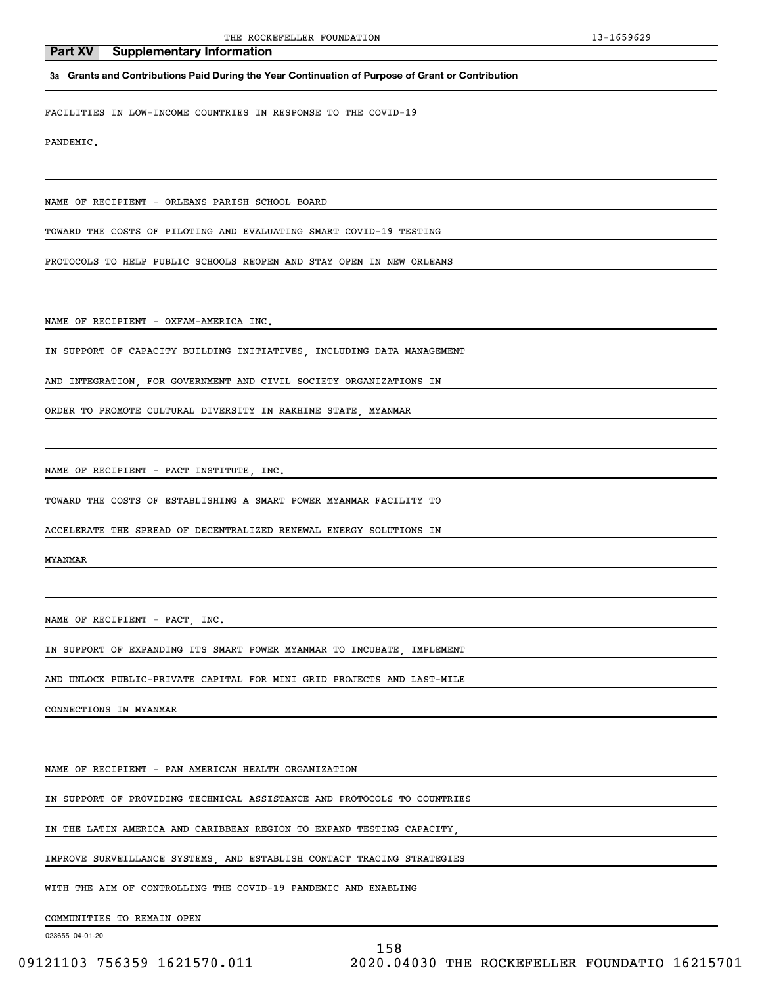**3a Grants and Contributions Paid During the Year Continuation of Purpose of Grant or Contribution**

FACILITIES IN LOW-INCOME COUNTRIES IN RESPONSE TO THE COVID-19

PANDEMIC.

NAME OF RECIPIENT - ORLEANS PARISH SCHOOL BOARD

TOWARD THE COSTS OF PILOTING AND EVALUATING SMART COVID-19 TESTING

PROTOCOLS TO HELP PUBLIC SCHOOLS REOPEN AND STAY OPEN IN NEW ORLEANS

NAME OF RECIPIENT - OXFAM-AMERICA INC.

IN SUPPORT OF CAPACITY BUILDING INITIATIVES, INCLUDING DATA MANAGEMENT

AND INTEGRATION, FOR GOVERNMENT AND CIVIL SOCIETY ORGANIZATIONS IN

ORDER TO PROMOTE CULTURAL DIVERSITY IN RAKHINE STATE, MYANMAR

NAME OF RECIPIENT - PACT INSTITUTE, INC.

TOWARD THE COSTS OF ESTABLISHING A SMART POWER MYANMAR FACILITY TO

ACCELERATE THE SPREAD OF DECENTRALIZED RENEWAL ENERGY SOLUTIONS IN

MYANMAR

NAME OF RECIPIENT - PACT, INC.

IN SUPPORT OF EXPANDING ITS SMART POWER MYANMAR TO INCUBATE, IMPLEMENT

AND UNLOCK PUBLIC-PRIVATE CAPITAL FOR MINI GRID PROJECTS AND LAST-MILE

CONNECTIONS IN MYANMAR

NAME OF RECIPIENT - PAN AMERICAN HEALTH ORGANIZATION

IN SUPPORT OF PROVIDING TECHNICAL ASSISTANCE AND PROTOCOLS TO COUNTRIES

IN THE LATIN AMERICA AND CARIBBEAN REGION TO EXPAND TESTING CAPACITY,

IMPROVE SURVEILLANCE SYSTEMS, AND ESTABLISH CONTACT TRACING STRATEGIES

WITH THE AIM OF CONTROLLING THE COVID-19 PANDEMIC AND ENABLING

COMMUNITIES TO REMAIN OPEN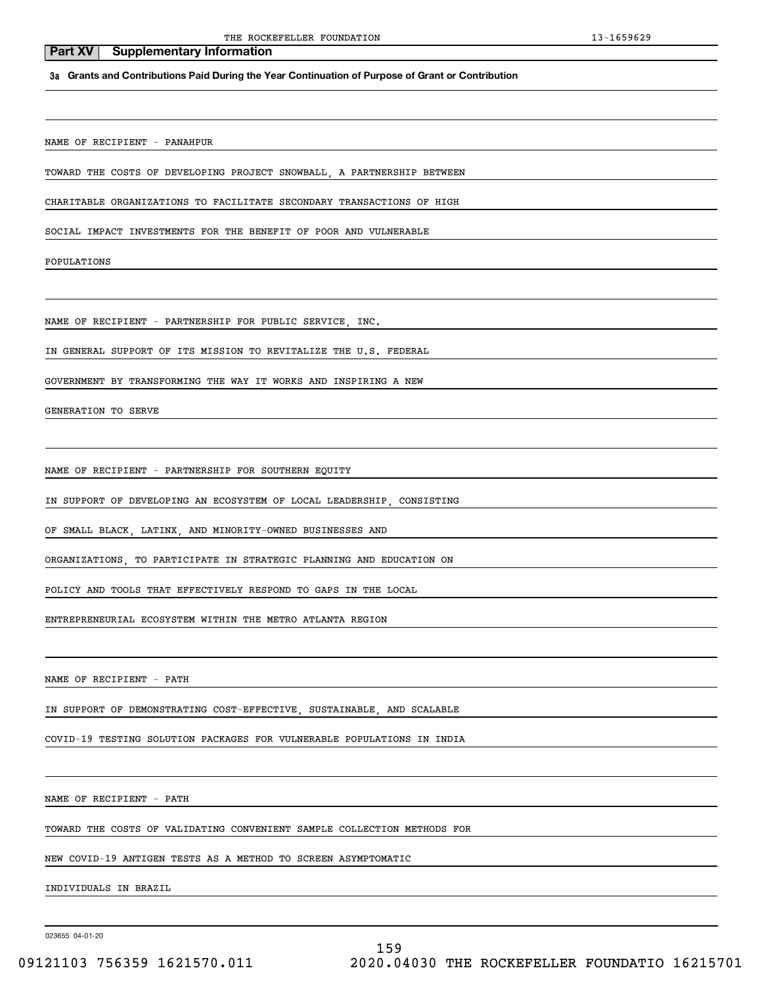THE ROCKEFELLER FOUNDATION 13-1659629

#### **3a Grants and Contributions Paid During the Year Continuation of Purpose of Grant or Contribution**

NAME OF RECIPIENT - PANAHPUR

**Part XV** Supplementary Information

TOWARD THE COSTS OF DEVELOPING PROJECT SNOWBALL, A PARTNERSHIP BETWEEN

CHARITABLE ORGANIZATIONS TO FACILITATE SECONDARY TRANSACTIONS OF HIGH

SOCIAL IMPACT INVESTMENTS FOR THE BENEFIT OF POOR AND VULNERABLE

POPULATIONS

NAME OF RECIPIENT - PARTNERSHIP FOR PUBLIC SERVICE, INC.

IN GENERAL SUPPORT OF ITS MISSION TO REVITALIZE THE U.S. FEDERAL

GOVERNMENT BY TRANSFORMING THE WAY IT WORKS AND INSPIRING A NEW

GENERATION TO SERVE

NAME OF RECIPIENT - PARTNERSHIP FOR SOUTHERN EOUITY

IN SUPPORT OF DEVELOPING AN ECOSYSTEM OF LOCAL LEADERSHIP, CONSISTING

OF SMALL BLACK, LATINX, AND MINORITY-OWNED BUSINESSES AND

ORGANIZATIONS, TO PARTICIPATE IN STRATEGIC PLANNING AND EDUCATION ON

POLICY AND TOOLS THAT EFFECTIVELY RESPOND TO GAPS IN THE LOCAL

ENTREPRENEURIAL ECOSYSTEM WITHIN THE METRO ATLANTA REGION

NAME OF RECIPIENT - PATH

IN SUPPORT OF DEMONSTRATING COST-EFFECTIVE, SUSTAINABLE, AND SCALABLE

COVID-19 TESTING SOLUTION PACKAGES FOR VULNERABLE POPULATIONS IN INDIA

NAME OF RECIPIENT - PATH

TOWARD THE COSTS OF VALIDATING CONVENIENT SAMPLE COLLECTION METHODS FOR

NEW COVID-19 ANTIGEN TESTS AS A METHOD TO SCREEN ASYMPTOMATIC

INDIVIDUALS IN BRAZIL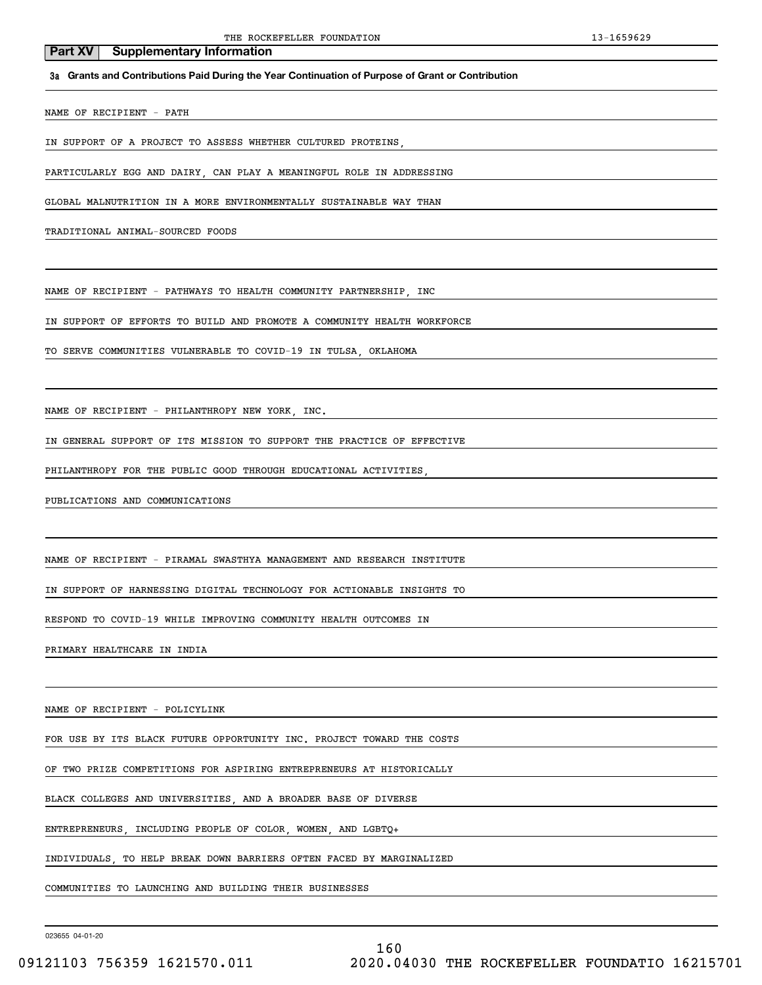**3a Grants and Contributions Paid During the Year Continuation of Purpose of Grant or Contribution**

NAME OF RECIPIENT - PATH

IN SUPPORT OF A PROJECT TO ASSESS WHETHER CULTURED PROTEINS

PARTICULARLY EGG AND DAIRY, CAN PLAY A MEANINGFUL ROLE IN ADDRESSING

GLOBAL MALNUTRITION IN A MORE ENVIRONMENTALLY SUSTAINABLE WAY THAN

TRADITIONAL ANIMAL-SOURCED FOODS

NAME OF RECIPIENT - PATHWAYS TO HEALTH COMMUNITY PARTNERSHIP, INC

IN SUPPORT OF EFFORTS TO BUILD AND PROMOTE A COMMUNITY HEALTH WORKFORCE

TO SERVE COMMUNITIES VULNERABLE TO COVID-19 IN TULSA, OKLAHOMA

NAME OF RECIPIENT - PHILANTHROPY NEW YORK, INC.

IN GENERAL SUPPORT OF ITS MISSION TO SUPPORT THE PRACTICE OF EFFECTIVE

PHILANTHROPY FOR THE PUBLIC GOOD THROUGH EDUCATIONAL ACTIVITIES

PUBLICATIONS AND COMMUNICATIONS

NAME OF RECIPIENT - PIRAMAL SWASTHYA MANAGEMENT AND RESEARCH INSTITUTE

IN SUPPORT OF HARNESSING DIGITAL TECHNOLOGY FOR ACTIONABLE INSIGHTS TO

RESPOND TO COVID-19 WHILE IMPROVING COMMUNITY HEALTH OUTCOMES IN

PRIMARY HEALTHCARE IN INDIA

NAME OF RECIPIENT - POLICYLINK

FOR USE BY ITS BLACK FUTURE OPPORTUNITY INC. PROJECT TOWARD THE COSTS

OF TWO PRIZE COMPETITIONS FOR ASPIRING ENTREPRENEURS AT HISTORICALLY

BLACK COLLEGES AND UNIVERSITIES, AND A BROADER BASE OF DIVERSE

ENTREPRENEURS, INCLUDING PEOPLE OF COLOR, WOMEN, AND LGBTQ+

INDIVIDUALS, TO HELP BREAK DOWN BARRIERS OFTEN FACED BY MARGINALIZED

COMMUNITIES TO LAUNCHING AND BUILDING THEIR BUSINESSES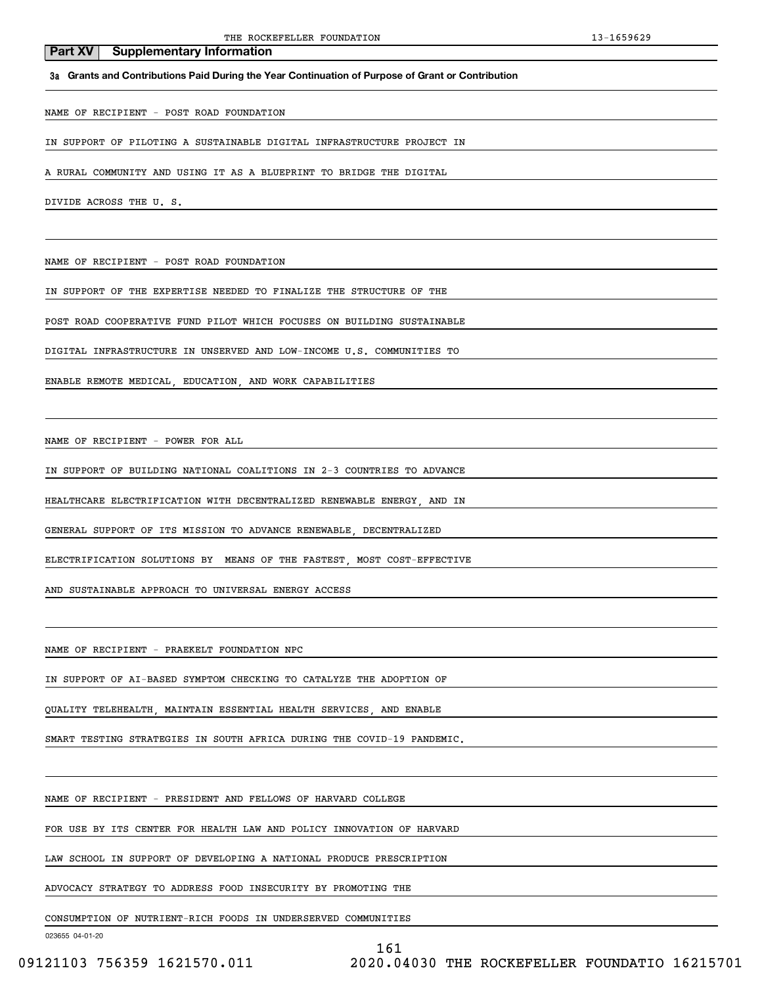## **3a Grants and Contributions Paid During the Year Continuation of Purpose of Grant or Contribution**

NAME OF RECIPIENT - POST ROAD FOUNDATION

**Part XV** Supplementary Information

IN SUPPORT OF PILOTING A SUSTAINABLE DIGITAL INFRASTRUCTURE PROJECT IN

A RURAL COMMUNITY AND USING IT AS A BLUEPRINT TO BRIDGE THE DIGITAL

DIVIDE ACROSS THE U. S.

NAME OF RECIPIENT - POST ROAD FOUNDATION

IN SUPPORT OF THE EXPERTISE NEEDED TO FINALIZE THE STRUCTURE OF THE

POST ROAD COOPERATIVE FUND PILOT WHICH FOCUSES ON BUILDING SUSTAINABLE

DIGITAL INFRASTRUCTURE IN UNSERVED AND LOW-INCOME U.S. COMMUNITIES TO

ENABLE REMOTE MEDICAL, EDUCATION, AND WORK CAPABILITIES

NAME OF RECIPIENT - POWER FOR ALL

IN SUPPORT OF BUILDING NATIONAL COALITIONS IN 2-3 COUNTRIES TO ADVANCE

HEALTHCARE ELECTRIFICATION WITH DECENTRALIZED RENEWABLE ENERGY, AND IN

GENERAL SUPPORT OF ITS MISSION TO ADVANCE RENEWABLE, DECENTRALIZED

ELECTRIFICATION SOLUTIONS BY MEANS OF THE FASTEST, MOST COST-EFFECTIVE

AND SUSTAINABLE APPROACH TO UNIVERSAL ENERGY ACCESS

NAME OF RECIPIENT - PRAEKELT FOUNDATION NPC

IN SUPPORT OF AI-BASED SYMPTOM CHECKING TO CATALYZE THE ADOPTION OF

QUALITY TELEHEALTH, MAINTAIN ESSENTIAL HEALTH SERVICES, AND ENABLE

SMART TESTING STRATEGIES IN SOUTH AFRICA DURING THE COVID-19 PANDEMIC.

NAME OF RECIPIENT - PRESIDENT AND FELLOWS OF HARVARD COLLEGE

FOR USE BY ITS CENTER FOR HEALTH LAW AND POLICY INNOVATION OF HARVARD

LAW SCHOOL IN SUPPORT OF DEVELOPING A NATIONAL PRODUCE PRESCRIPTION

ADVOCACY STRATEGY TO ADDRESS FOOD INSECURITY BY PROMOTING THE

CONSUMPTION OF NUTRIENT-RICH FOODS IN UNDERSERVED COMMUNITIES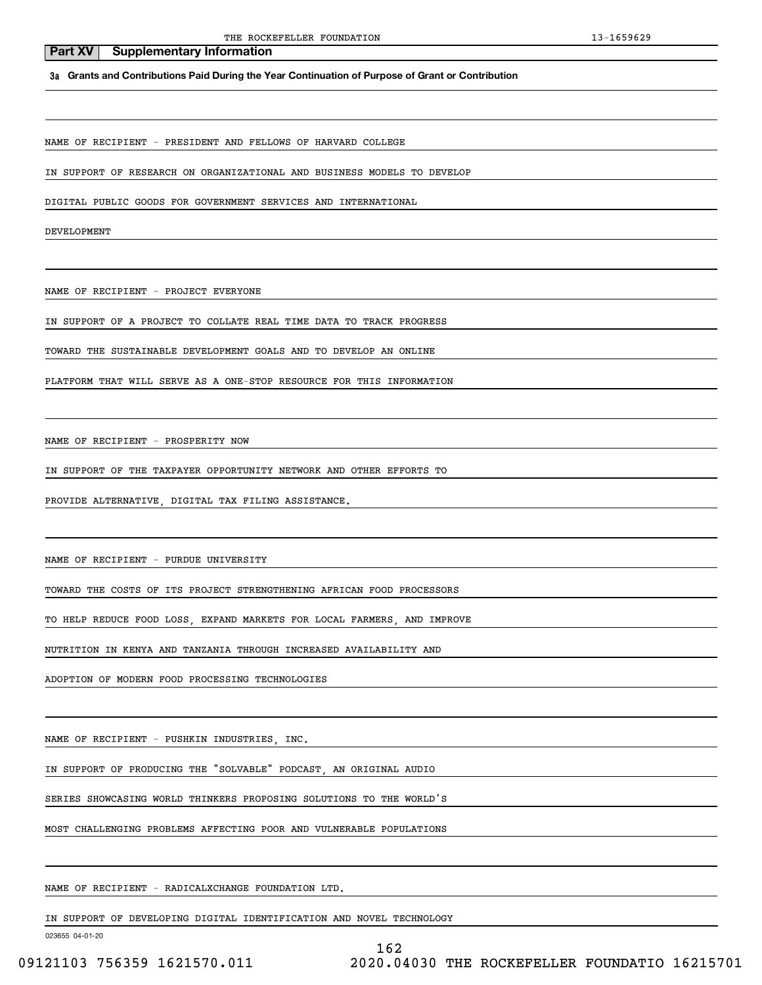**3a Grants and Contributions Paid During the Year Continuation of Purpose of Grant or Contribution**

NAME OF RECIPIENT - PRESIDENT AND FELLOWS OF HARVARD COLLEGE

IN SUPPORT OF RESEARCH ON ORGANIZATIONAL AND BUSINESS MODELS TO DEVELOP

DIGITAL PUBLIC GOODS FOR GOVERNMENT SERVICES AND INTERNATIONAL

DEVELOPMENT

NAME OF RECIPIENT - PROJECT EVERYONE

IN SUPPORT OF A PROJECT TO COLLATE REAL TIME DATA TO TRACK PROGRESS

TOWARD THE SUSTAINABLE DEVELOPMENT GOALS AND TO DEVELOP AN ONLINE

PLATFORM THAT WILL SERVE AS A ONE-STOP RESOURCE FOR THIS INFORMATION

NAME OF RECIPIENT - PROSPERITY NOW

IN SUPPORT OF THE TAXPAYER OPPORTUNITY NETWORK AND OTHER EFFORTS TO

PROVIDE ALTERNATIVE, DIGITAL TAX FILING ASSISTANCE.

NAME OF RECIPIENT - PURDUE UNIVERSITY

TOWARD THE COSTS OF ITS PROJECT STRENGTHENING AFRICAN FOOD PROCESSORS

TO HELP REDUCE FOOD LOSS, EXPAND MARKETS FOR LOCAL FARMERS, AND IMPROVE

NUTRITION IN KENYA AND TANZANIA THROUGH INCREASED AVAILABILITY AND

ADOPTION OF MODERN FOOD PROCESSING TECHNOLOGIES

NAME OF RECIPIENT - PUSHKIN INDUSTRIES, INC.

IN SUPPORT OF PRODUCING THE "SOLVABLE" PODCAST, AN ORIGINAL AUDIO

SERIES SHOWCASING WORLD THINKERS PROPOSING SOLUTIONS TO THE WORLD'S

MOST CHALLENGING PROBLEMS AFFECTING POOR AND VULNERABLE POPULATIONS

NAME OF RECIPIENT - RADICALXCHANGE FOUNDATION LTD.

IN SUPPORT OF DEVELOPING DIGITAL IDENTIFICATION AND NOVEL TECHNOLOGY

023655 04-01-20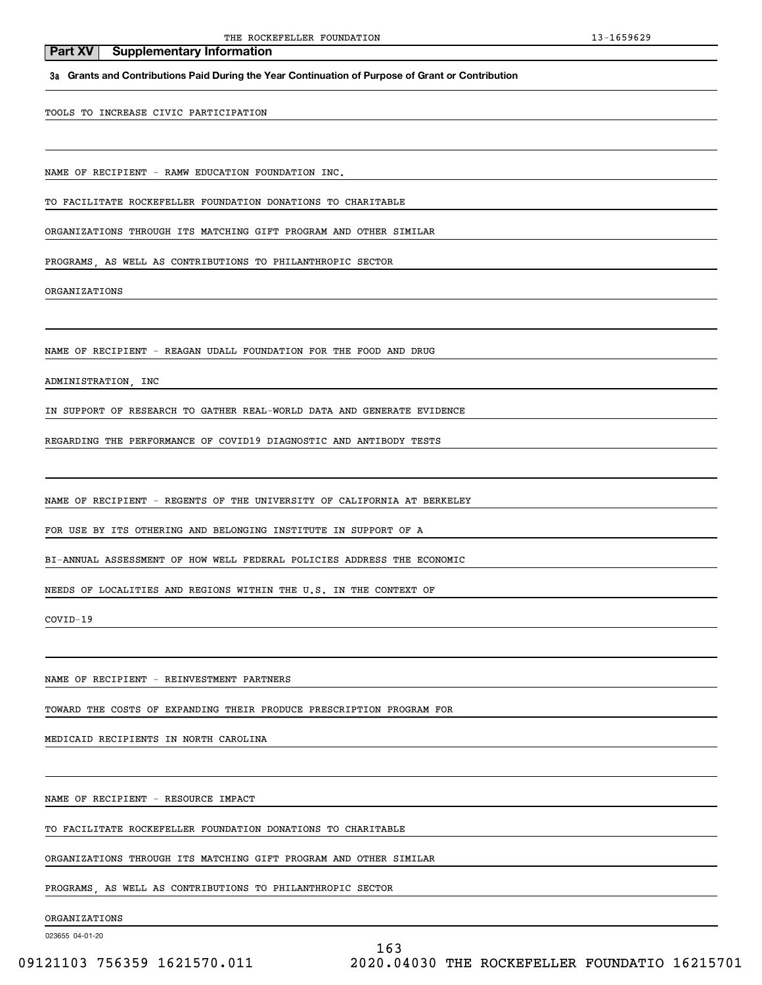**3a Grants and Contributions Paid During the Year Continuation of Purpose of Grant or Contribution**

TOOLS TO INCREASE CIVIC PARTICIPATION

**Part XV** Supplementary Information

NAME OF RECIPIENT - RAMW EDUCATION FOUNDATION INC.

TO FACILITATE ROCKEFELLER FOUNDATION DONATIONS TO CHARITABLE

ORGANIZATIONS THROUGH ITS MATCHING GIFT PROGRAM AND OTHER SIMILAR

PROGRAMS, AS WELL AS CONTRIBUTIONS TO PHILANTHROPIC SECTOR

ORGANIZATIONS

NAME OF RECIPIENT - REAGAN UDALL FOUNDATION FOR THE FOOD AND DRUG

ADMINISTRATION, INC

IN SUPPORT OF RESEARCH TO GATHER REAL-WORLD DATA AND GENERATE EVIDENCE

REGARDING THE PERFORMANCE OF COVID19 DIAGNOSTIC AND ANTIBODY TESTS

NAME OF RECIPIENT - REGENTS OF THE UNIVERSITY OF CALIFORNIA AT BERKELEY

FOR USE BY ITS OTHERING AND BELONGING INSTITUTE IN SUPPORT OF A

BI-ANNUAL ASSESSMENT OF HOW WELL FEDERAL POLICIES ADDRESS THE ECONOMIC

NEEDS OF LOCALITIES AND REGIONS WITHIN THE U.S. IN THE CONTEXT OF

COVID-19

NAME OF RECIPIENT - REINVESTMENT PARTNERS

TOWARD THE COSTS OF EXPANDING THEIR PRODUCE PRESCRIPTION PROGRAM FOR

MEDICAID RECIPIENTS IN NORTH CAROLINA

NAME OF RECIPIENT - RESOURCE IMPACT

TO FACILITATE ROCKEFELLER FOUNDATION DONATIONS TO CHARITABLE

ORGANIZATIONS THROUGH ITS MATCHING GIFT PROGRAM AND OTHER SIMILAR

PROGRAMS, AS WELL AS CONTRIBUTIONS TO PHILANTHROPIC SECTOR

ORGANIZATIONS

023655 04-01-20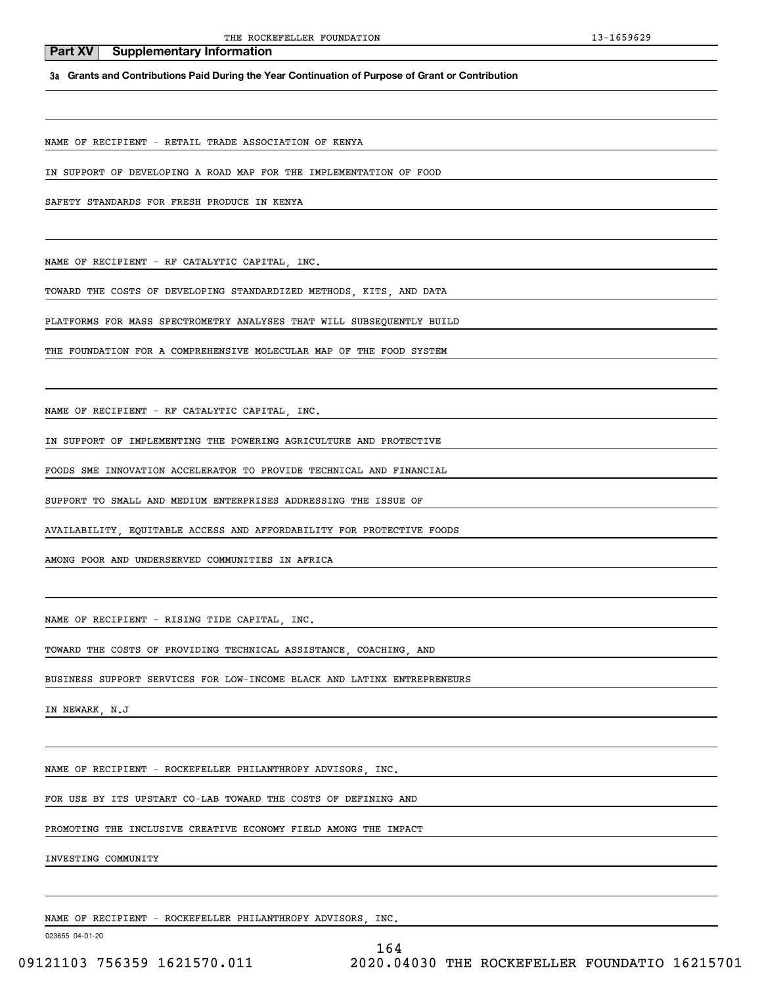**3a Grants and Contributions Paid During the Year Continuation of Purpose of Grant or Contribution**

NAME OF RECIPIENT - RETAIL TRADE ASSOCIATION OF KENYA

IN SUPPORT OF DEVELOPING A ROAD MAP FOR THE IMPLEMENTATION OF FOOD

SAFETY STANDARDS FOR FRESH PRODUCE IN KENYA

NAME OF RECIPIENT - RF CATALYTIC CAPITAL, INC.

TOWARD THE COSTS OF DEVELOPING STANDARDIZED METHODS, KITS, AND DATA

PLATFORMS FOR MASS SPECTROMETRY ANALYSES THAT WILL SUBSEQUENTLY BUILD

THE FOUNDATION FOR A COMPREHENSIVE MOLECULAR MAP OF THE FOOD SYSTEM

NAME OF RECIPIENT - RF CATALYTIC CAPITAL, INC.

IN SUPPORT OF IMPLEMENTING THE POWERING AGRICULTURE AND PROTECTIVE

FOODS SME INNOVATION ACCELERATOR TO PROVIDE TECHNICAL AND FINANCIAL

SUPPORT TO SMALL AND MEDIUM ENTERPRISES ADDRESSING THE ISSUE OF

AVAILABILITY, EQUITABLE ACCESS AND AFFORDABILITY FOR PROTECTIVE FOODS

AMONG POOR AND UNDERSERVED COMMUNITIES IN AFRICA

NAME OF RECIPIENT - RISING TIDE CAPITAL, INC.

TOWARD THE COSTS OF PROVIDING TECHNICAL ASSISTANCE, COACHING, AND

BUSINESS SUPPORT SERVICES FOR LOW-INCOME BLACK AND LATINX ENTREPRENEURS

IN NEWARK, N.J

NAME OF RECIPIENT - ROCKEFELLER PHILANTHROPY ADVISORS, INC.

FOR USE BY ITS UPSTART CO-LAB TOWARD THE COSTS OF DEFINING AND

PROMOTING THE INCLUSIVE CREATIVE ECONOMY FIELD AMONG THE IMPACT

INVESTING COMMUNITY

NAME OF RECIPIENT - ROCKEFELLER PHILANTHROPY ADVISORS, INC.

023655 04-01-20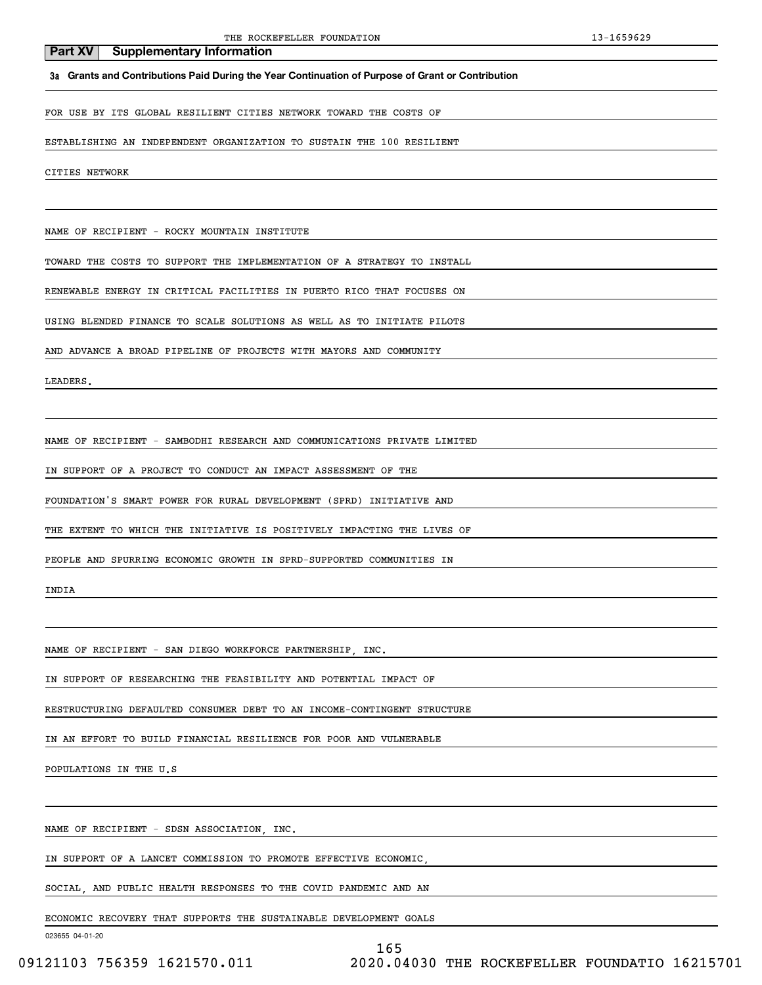**3a Grants and Contributions Paid During the Year Continuation of Purpose of Grant or Contribution**

FOR USE BY ITS GLOBAL RESILIENT CITIES NETWORK TOWARD THE COSTS OF

ESTABLISHING AN INDEPENDENT ORGANIZATION TO SUSTAIN THE 100 RESILIENT

CITIES NETWORK

NAME OF RECIPIENT - ROCKY MOUNTAIN INSTITUTE

TOWARD THE COSTS TO SUPPORT THE IMPLEMENTATION OF A STRATEGY TO INSTALL

RENEWABLE ENERGY IN CRITICAL FACILITIES IN PUERTO RICO THAT FOCUSES ON

USING BLENDED FINANCE TO SCALE SOLUTIONS AS WELL AS TO INITIATE PILOTS

AND ADVANCE A BROAD PIPELINE OF PROJECTS WITH MAYORS AND COMMUNITY

LEADERS.

NAME OF RECIPIENT - SAMBODHI RESEARCH AND COMMUNICATIONS PRIVATE LIMITED

IN SUPPORT OF A PROJECT TO CONDUCT AN IMPACT ASSESSMENT OF THE

FOUNDATION'S SMART POWER FOR RURAL DEVELOPMENT (SPRD) INITIATIVE AND

THE EXTENT TO WHICH THE INITIATIVE IS POSITIVELY IMPACTING THE LIVES OF

PEOPLE AND SPURRING ECONOMIC GROWTH IN SPRD-SUPPORTED COMMUNITIES IN

INDIA

NAME OF RECIPIENT - SAN DIEGO WORKFORCE PARTNERSHIP, INC.

IN SUPPORT OF RESEARCHING THE FEASIBILITY AND POTENTIAL IMPACT OF

RESTRUCTURING DEFAULTED CONSUMER DEBT TO AN INCOME-CONTINGENT STRUCTURE

IN AN EFFORT TO BUILD FINANCIAL RESILIENCE FOR POOR AND VULNERABLE

POPULATIONS IN THE U.S

NAME OF RECIPIENT - SDSN ASSOCIATION, INC.

IN SUPPORT OF A LANCET COMMISSION TO PROMOTE EFFECTIVE ECONOMIC,

SOCIAL, AND PUBLIC HEALTH RESPONSES TO THE COVID PANDEMIC AND AN

ECONOMIC RECOVERY THAT SUPPORTS THE SUSTAINABLE DEVELOPMENT GOALS

023655 04-01-20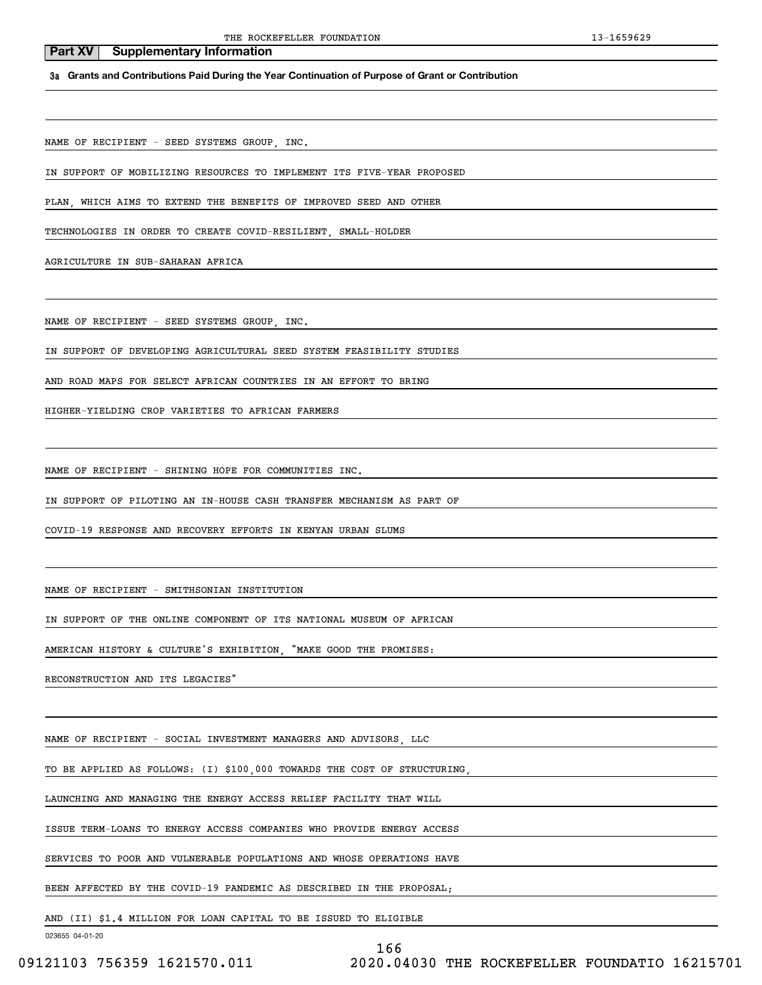**3a Grants and Contributions Paid During the Year Continuation of Purpose of Grant or Contribution**

NAME OF RECIPIENT - SEED SYSTEMS GROUP, INC.

IN SUPPORT OF MOBILIZING RESOURCES TO IMPLEMENT ITS FIVE-YEAR PROPOSED

PLAN, WHICH AIMS TO EXTEND THE BENEFITS OF IMPROVED SEED AND OTHER

TECHNOLOGIES IN ORDER TO CREATE COVID-RESILIENT, SMALL-HOLDER

AGRICULTURE IN SUB-SAHARAN AFRICA

NAME OF RECIPIENT - SEED SYSTEMS GROUP, INC.

IN SUPPORT OF DEVELOPING AGRICULTURAL SEED SYSTEM FEASIBILITY STUDIES

AND ROAD MAPS FOR SELECT AFRICAN COUNTRIES IN AN EFFORT TO BRING

HIGHER-YIELDING CROP VARIETIES TO AFRICAN FARMERS

NAME OF RECIPIENT - SHINING HOPE FOR COMMUNITIES INC.

IN SUPPORT OF PILOTING AN IN-HOUSE CASH TRANSFER MECHANISM AS PART OF

COVID-19 RESPONSE AND RECOVERY EFFORTS IN KENYAN URBAN SLUMS

NAME OF RECIPIENT - SMITHSONIAN INSTITUTION

IN SUPPORT OF THE ONLINE COMPONENT OF ITS NATIONAL MUSEUM OF AFRICAN

AMERICAN HISTORY & CULTURE'S EXHIBITION, "MAKE GOOD THE PROMISES:

RECONSTRUCTION AND ITS LEGACIES"

NAME OF RECIPIENT - SOCIAL INVESTMENT MANAGERS AND ADVISORS, LLC

TO BE APPLIED AS FOLLOWS: (I) \$100,000 TOWARDS THE COST OF STRUCTURING,

LAUNCHING AND MANAGING THE ENERGY ACCESS RELIEF FACILITY THAT WILL

ISSUE TERM-LOANS TO ENERGY ACCESS COMPANIES WHO PROVIDE ENERGY ACCESS

SERVICES TO POOR AND VULNERABLE POPULATIONS AND WHOSE OPERATIONS HAVE

BEEN AFFECTED BY THE COVID-19 PANDEMIC AS DESCRIBED IN THE PROPOSAL;

AND (II) \$1.4 MILLION FOR LOAN CAPITAL TO BE ISSUED TO ELIGIBLE

023655 04-01-20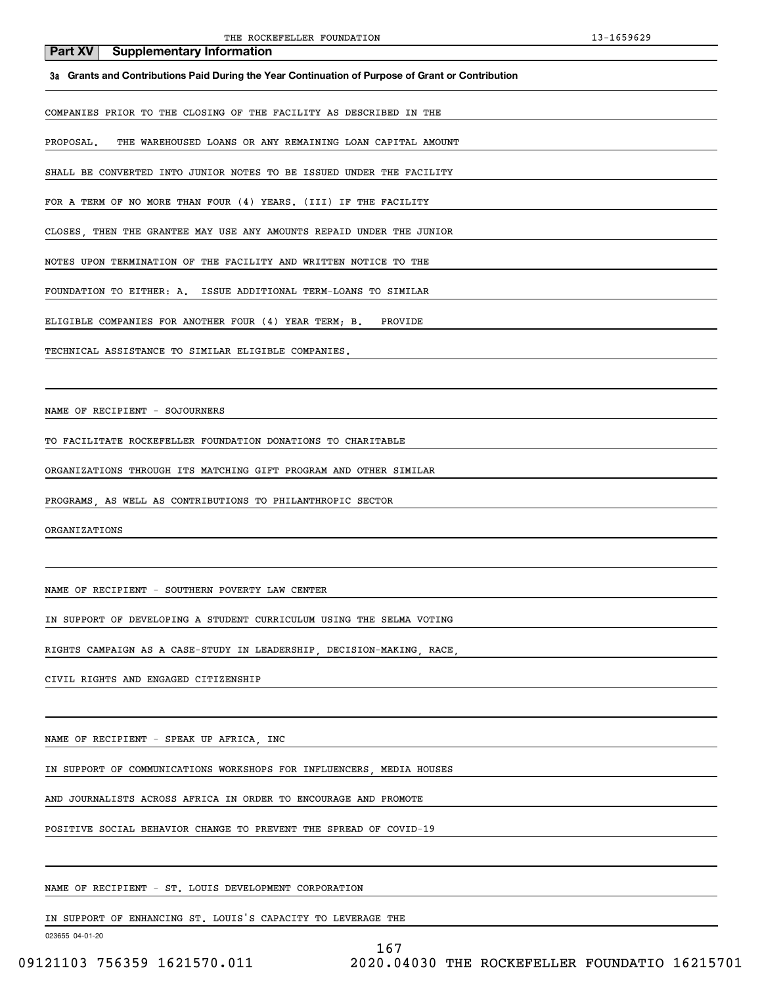#### **3a Grants and Contributions Paid During the Year Continuation of Purpose of Grant or Contribution**

COMPANIES PRIOR TO THE CLOSING OF THE FACILITY AS DESCRIBED IN THE

PROPOSAL. THE WAREHOUSED LOANS OR ANY REMAINING LOAN CAPITAL AMOUNT

SHALL BE CONVERTED INTO JUNIOR NOTES TO BE ISSUED UNDER THE FACILITY

FOR A TERM OF NO MORE THAN FOUR (4) YEARS. (III) IF THE FACILITY

CLOSES, THEN THE GRANTEE MAY USE ANY AMOUNTS REPAID UNDER THE JUNIOR

NOTES UPON TERMINATION OF THE FACILITY AND WRITTEN NOTICE TO THE

FOUNDATION TO EITHER: A. ISSUE ADDITIONAL TERM-LOANS TO SIMILAR

ELIGIBLE COMPANIES FOR ANOTHER FOUR (4) YEAR TERM; B. PROVIDE

TECHNICAL ASSISTANCE TO SIMILAR ELIGIBLE COMPANIES.

NAME OF RECIPIENT - SOJOURNERS

TO FACILITATE ROCKEFELLER FOUNDATION DONATIONS TO CHARITABLE

ORGANIZATIONS THROUGH ITS MATCHING GIFT PROGRAM AND OTHER SIMILAR

PROGRAMS, AS WELL AS CONTRIBUTIONS TO PHILANTHROPIC SECTOR

ORGANIZATIONS

NAME OF RECIPIENT - SOUTHERN POVERTY LAW CENTER

IN SUPPORT OF DEVELOPING A STUDENT CURRICULUM USING THE SELMA VOTING

RIGHTS CAMPAIGN AS A CASE-STUDY IN LEADERSHIP, DECISION-MAKING, RACE,

CIVIL RIGHTS AND ENGAGED CITIZENSHIP

NAME OF RECIPIENT - SPEAK UP AFRICA, INC

IN SUPPORT OF COMMUNICATIONS WORKSHOPS FOR INFLUENCERS, MEDIA HOUSES

AND JOURNALISTS ACROSS AFRICA IN ORDER TO ENCOURAGE AND PROMOTE

POSITIVE SOCIAL BEHAVIOR CHANGE TO PREVENT THE SPREAD OF COVID-19

NAME OF RECIPIENT - ST. LOUIS DEVELOPMENT CORPORATION

IN SUPPORT OF ENHANCING ST. LOUIS'S CAPACITY TO LEVERAGE THE

023655 04-01-20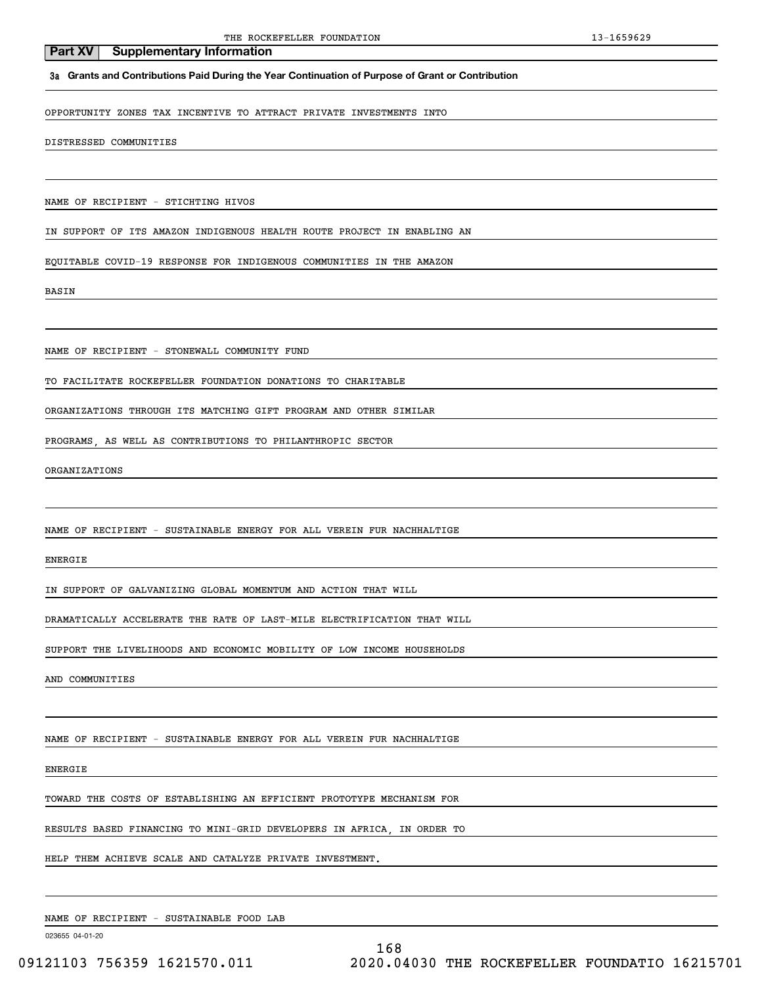#### **3a Grants and Contributions Paid During the Year Continuation of Purpose of Grant or Contribution**

OPPORTUNITY ZONES TAX INCENTIVE TO ATTRACT PRIVATE INVESTMENTS INTO

DISTRESSED COMMUNITIES

NAME OF RECIPIENT - STICHTING HIVOS

IN SUPPORT OF ITS AMAZON INDIGENOUS HEALTH ROUTE PROJECT IN ENABLING AN

EQUITABLE COVID-19 RESPONSE FOR INDIGENOUS COMMUNITIES IN THE AMAZON

BASIN

NAME OF RECIPIENT - STONEWALL COMMUNITY FUND

TO FACILITATE ROCKEFELLER FOUNDATION DONATIONS TO CHARITABLE

ORGANIZATIONS THROUGH ITS MATCHING GIFT PROGRAM AND OTHER SIMILAR

PROGRAMS, AS WELL AS CONTRIBUTIONS TO PHILANTHROPIC SECTOR

ORGANIZATIONS

NAME OF RECIPIENT - SUSTAINABLE ENERGY FOR ALL VEREIN FUR NACHHALTIGE

ENERGIE

IN SUPPORT OF GALVANIZING GLOBAL MOMENTUM AND ACTION THAT WILL

DRAMATICALLY ACCELERATE THE RATE OF LAST-MILE ELECTRIFICATION THAT WILL

SUPPORT THE LIVELIHOODS AND ECONOMIC MOBILITY OF LOW INCOME HOUSEHOLDS

AND COMMUNITIES

NAME OF RECIPIENT - SUSTAINABLE ENERGY FOR ALL VEREIN FUR NACHHALTIGE

ENERGIE

TOWARD THE COSTS OF ESTABLISHING AN EFFICIENT PROTOTYPE MECHANISM FOR

RESULTS BASED FINANCING TO MINI-GRID DEVELOPERS IN AFRICA, IN ORDER TO

HELP THEM ACHIEVE SCALE AND CATALYZE PRIVATE INVESTMENT.

NAME OF RECIPIENT - SUSTAINABLE FOOD LAB

023655 04-01-20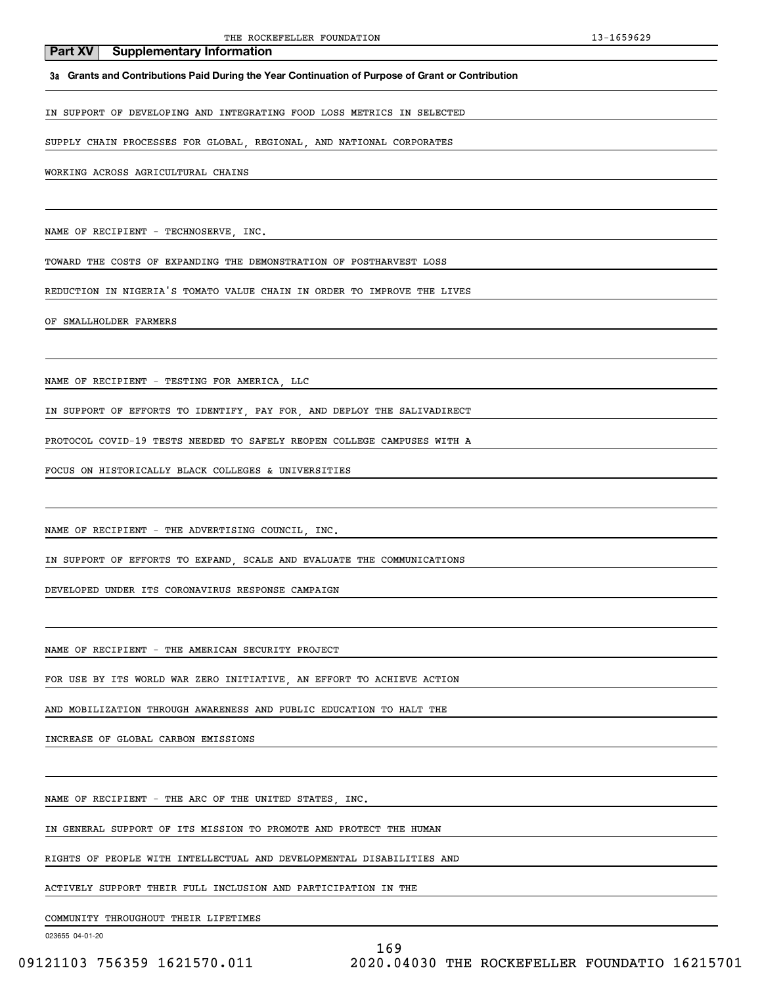**3a Grants and Contributions Paid During the Year Continuation of Purpose of Grant or Contribution**

IN SUPPORT OF DEVELOPING AND INTEGRATING FOOD LOSS METRICS IN SELECTED

SUPPLY CHAIN PROCESSES FOR GLOBAL, REGIONAL, AND NATIONAL CORPORATES

WORKING ACROSS AGRICULTURAL CHAINS

NAME OF RECIPIENT - TECHNOSERVE, INC.

TOWARD THE COSTS OF EXPANDING THE DEMONSTRATION OF POSTHARVEST LOSS

REDUCTION IN NIGERIA'S TOMATO VALUE CHAIN IN ORDER TO IMPROVE THE LIVES

OF SMALLHOLDER FARMERS

NAME OF RECIPIENT - TESTING FOR AMERICA, LLC

IN SUPPORT OF EFFORTS TO IDENTIFY, PAY FOR, AND DEPLOY THE SALIVADIRECT

PROTOCOL COVID-19 TESTS NEEDED TO SAFELY REOPEN COLLEGE CAMPUSES WITH A

FOCUS ON HISTORICALLY BLACK COLLEGES & UNIVERSITIES

NAME OF RECIPIENT - THE ADVERTISING COUNCIL, INC.

IN SUPPORT OF EFFORTS TO EXPAND, SCALE AND EVALUATE THE COMMUNICATIONS

DEVELOPED UNDER ITS CORONAVIRUS RESPONSE CAMPAIGN

NAME OF RECIPIENT - THE AMERICAN SECURITY PROJECT

FOR USE BY ITS WORLD WAR ZERO INITIATIVE, AN EFFORT TO ACHIEVE ACTION

AND MOBILIZATION THROUGH AWARENESS AND PUBLIC EDUCATION TO HALT THE

INCREASE OF GLOBAL CARBON EMISSIONS

NAME OF RECIPIENT - THE ARC OF THE UNITED STATES, INC.

IN GENERAL SUPPORT OF ITS MISSION TO PROMOTE AND PROTECT THE HUMAN

RIGHTS OF PEOPLE WITH INTELLECTUAL AND DEVELOPMENTAL DISABILITIES AND

ACTIVELY SUPPORT THEIR FULL INCLUSION AND PARTICIPATION IN THE

COMMUNITY THROUGHOUT THEIR LIFETIMES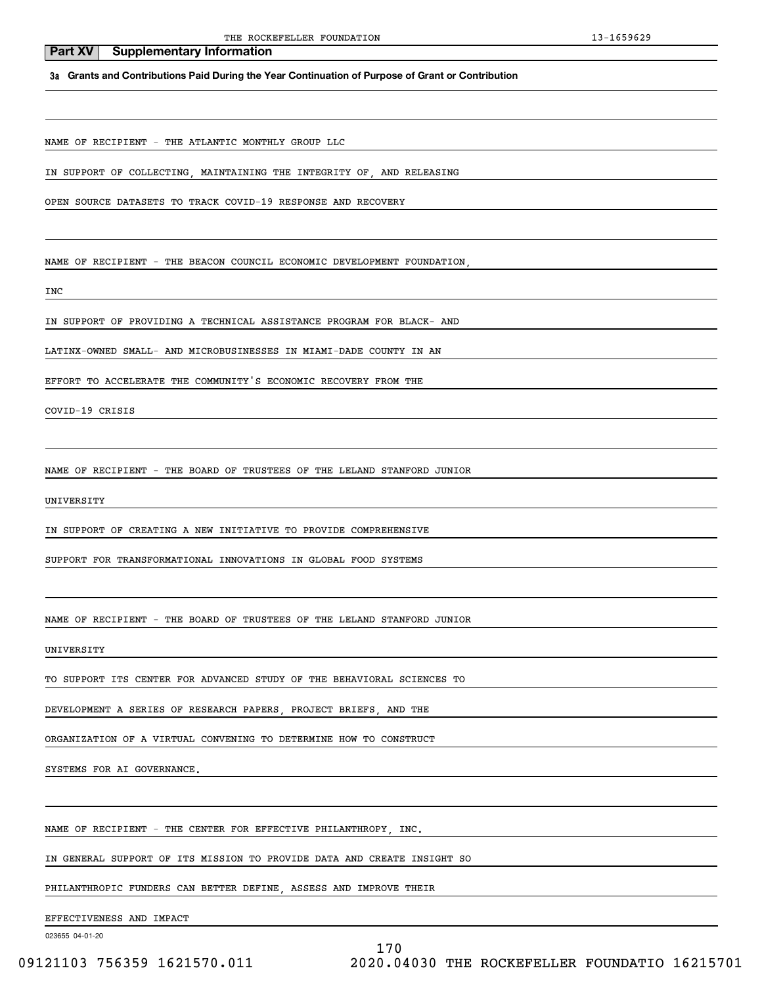# **3a Grants and Contributions Paid During the Year Continuation of Purpose of Grant or Contribution**

NAME OF RECIPIENT - THE ATLANTIC MONTHLY GROUP LLC

**Part XV** Supplementary Information

IN SUPPORT OF COLLECTING, MAINTAINING THE INTEGRITY OF, AND RELEASING

OPEN SOURCE DATASETS TO TRACK COVID-19 RESPONSE AND RECOVERY

NAME OF RECIPIENT - THE BEACON COUNCIL ECONOMIC DEVELOPMENT FOUNDATION,

INC

IN SUPPORT OF PROVIDING A TECHNICAL ASSISTANCE PROGRAM FOR BLACK- AND

LATINX-OWNED SMALL- AND MICROBUSINESSES IN MIAMI-DADE COUNTY IN AN

EFFORT TO ACCELERATE THE COMMUNITY'S ECONOMIC RECOVERY FROM THE

COVID-19 CRISIS

NAME OF RECIPIENT - THE BOARD OF TRUSTEES OF THE LELAND STANFORD JUNIOR

UNIVERSITY

IN SUPPORT OF CREATING A NEW INITIATIVE TO PROVIDE COMPREHENSIVE

SUPPORT FOR TRANSFORMATIONAL INNOVATIONS IN GLOBAL FOOD SYSTEMS

NAME OF RECIPIENT - THE BOARD OF TRUSTEES OF THE LELAND STANFORD JUNIOR

UNIVERSITY

TO SUPPORT ITS CENTER FOR ADVANCED STUDY OF THE BEHAVIORAL SCIENCES TO

DEVELOPMENT A SERIES OF RESEARCH PAPERS, PROJECT BRIEFS, AND THE

ORGANIZATION OF A VIRTUAL CONVENING TO DETERMINE HOW TO CONSTRUCT

SYSTEMS FOR AI GOVERNANCE.

NAME OF RECIPIENT - THE CENTER FOR EFFECTIVE PHILANTHROPY, INC.

IN GENERAL SUPPORT OF ITS MISSION TO PROVIDE DATA AND CREATE INSIGHT SO

PHILANTHROPIC FUNDERS CAN BETTER DEFINE, ASSESS AND IMPROVE THEIR

EFFECTIVENESS AND IMPACT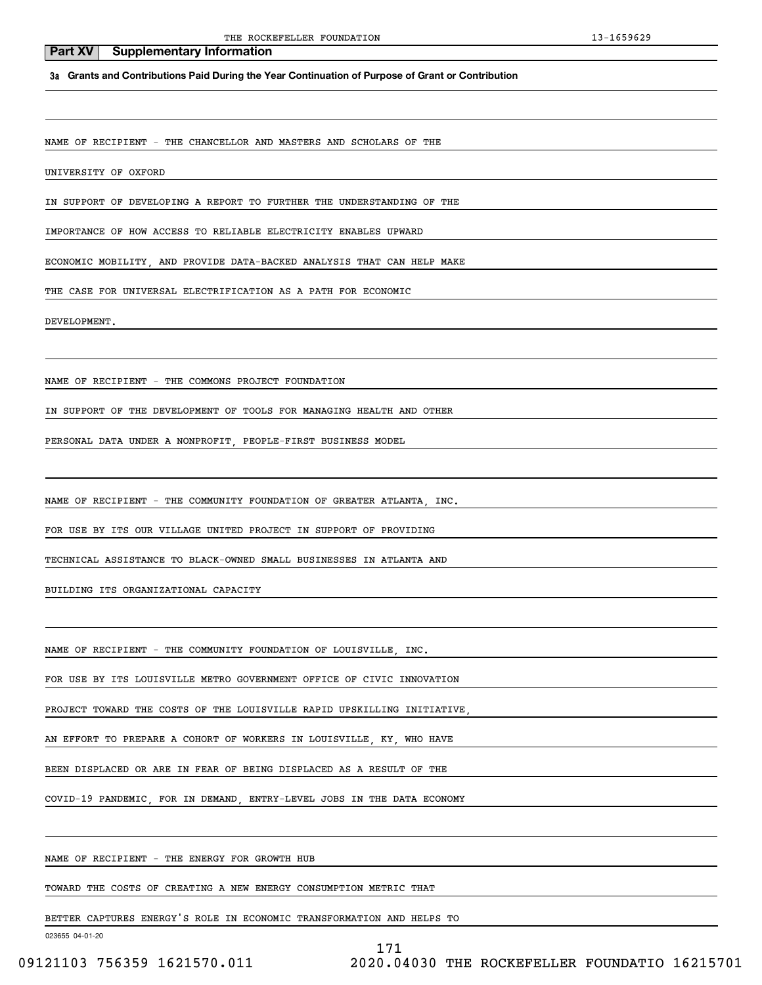**3a Grants and Contributions Paid During the Year Continuation of Purpose of Grant or Contribution**

NAME OF RECIPIENT - THE CHANCELLOR AND MASTERS AND SCHOLARS OF THE

UNIVERSITY OF OXFORD

IN SUPPORT OF DEVELOPING A REPORT TO FURTHER THE UNDERSTANDING OF THE

IMPORTANCE OF HOW ACCESS TO RELIABLE ELECTRICITY ENABLES UPWARD

ECONOMIC MOBILITY, AND PROVIDE DATA-BACKED ANALYSIS THAT CAN HELP MAKE

THE CASE FOR UNIVERSAL ELECTRIFICATION AS A PATH FOR ECONOMIC

DEVELOPMENT.

NAME OF RECIPIENT - THE COMMONS PROJECT FOUNDATION

IN SUPPORT OF THE DEVELOPMENT OF TOOLS FOR MANAGING HEALTH AND OTHER

PERSONAL DATA UNDER A NONPROFIT, PEOPLE-FIRST BUSINESS MODEL

NAME OF RECIPIENT - THE COMMUNITY FOUNDATION OF GREATER ATLANTA, INC.

FOR USE BY ITS OUR VILLAGE UNITED PROJECT IN SUPPORT OF PROVIDING

TECHNICAL ASSISTANCE TO BLACK-OWNED SMALL BUSINESSES IN ATLANTA AND

BUILDING ITS ORGANIZATIONAL CAPACITY

NAME OF RECIPIENT - THE COMMUNITY FOUNDATION OF LOUISVILLE, INC.

FOR USE BY ITS LOUISVILLE METRO GOVERNMENT OFFICE OF CIVIC INNOVATION

PROJECT TOWARD THE COSTS OF THE LOUISVILLE RAPID UPSKILLING INITIATIVE,

AN EFFORT TO PREPARE A COHORT OF WORKERS IN LOUISVILLE, KY, WHO HAVE

BEEN DISPLACED OR ARE IN FEAR OF BEING DISPLACED AS A RESULT OF THE

COVID-19 PANDEMIC, FOR IN DEMAND, ENTRY-LEVEL JOBS IN THE DATA ECONOMY

NAME OF RECIPIENT - THE ENERGY FOR GROWTH HUB

TOWARD THE COSTS OF CREATING A NEW ENERGY CONSUMPTION METRIC THAT

BETTER CAPTURES ENERGY'S ROLE IN ECONOMIC TRANSFORMATION AND HELPS TO

023655 04-01-20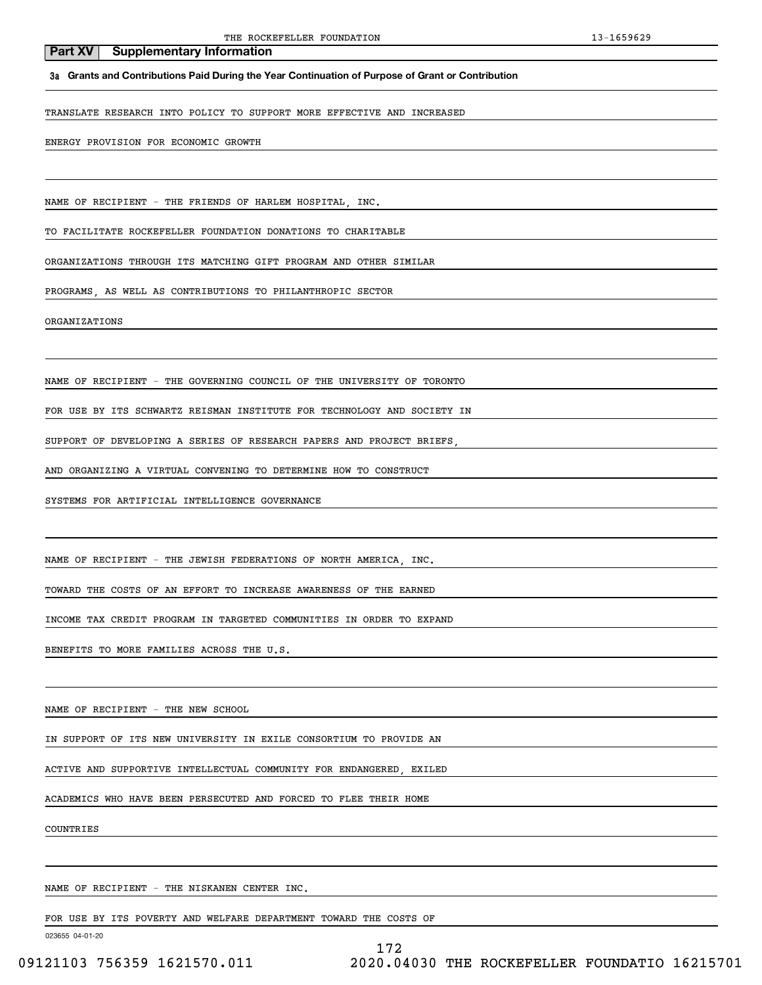**3a Grants and Contributions Paid During the Year Continuation of Purpose of Grant or Contribution**

TRANSLATE RESEARCH INTO POLICY TO SUPPORT MORE EFFECTIVE AND INCREASED

ENERGY PROVISION FOR ECONOMIC GROWTH

NAME OF RECIPIENT - THE FRIENDS OF HARLEM HOSPITAL, INC.

TO FACILITATE ROCKEFELLER FOUNDATION DONATIONS TO CHARITABLE

ORGANIZATIONS THROUGH ITS MATCHING GIFT PROGRAM AND OTHER SIMILAR

PROGRAMS, AS WELL AS CONTRIBUTIONS TO PHILANTHROPIC SECTOR

ORGANIZATIONS

NAME OF RECIPIENT - THE GOVERNING COUNCIL OF THE UNIVERSITY OF TORONTO

FOR USE BY ITS SCHWARTZ REISMAN INSTITUTE FOR TECHNOLOGY AND SOCIETY IN

SUPPORT OF DEVELOPING A SERIES OF RESEARCH PAPERS AND PROJECT BRIEFS

AND ORGANIZING A VIRTUAL CONVENING TO DETERMINE HOW TO CONSTRUCT

SYSTEMS FOR ARTIFICIAL INTELLIGENCE GOVERNANCE

NAME OF RECIPIENT - THE JEWISH FEDERATIONS OF NORTH AMERICA, INC.

TOWARD THE COSTS OF AN EFFORT TO INCREASE AWARENESS OF THE EARNED

INCOME TAX CREDIT PROGRAM IN TARGETED COMMUNITIES IN ORDER TO EXPAND

BENEFITS TO MORE FAMILIES ACROSS THE U.S.

NAME OF RECIPIENT - THE NEW SCHOOL

IN SUPPORT OF ITS NEW UNIVERSITY IN EXILE CONSORTIUM TO PROVIDE AN

ACTIVE AND SUPPORTIVE INTELLECTUAL COMMUNITY FOR ENDANGERED, EXILED

ACADEMICS WHO HAVE BEEN PERSECUTED AND FORCED TO FLEE THEIR HOME

COUNTRIES

NAME OF RECIPIENT - THE NISKANEN CENTER INC.

FOR USE BY ITS POVERTY AND WELFARE DEPARTMENT TOWARD THE COSTS OF

023655 04-01-20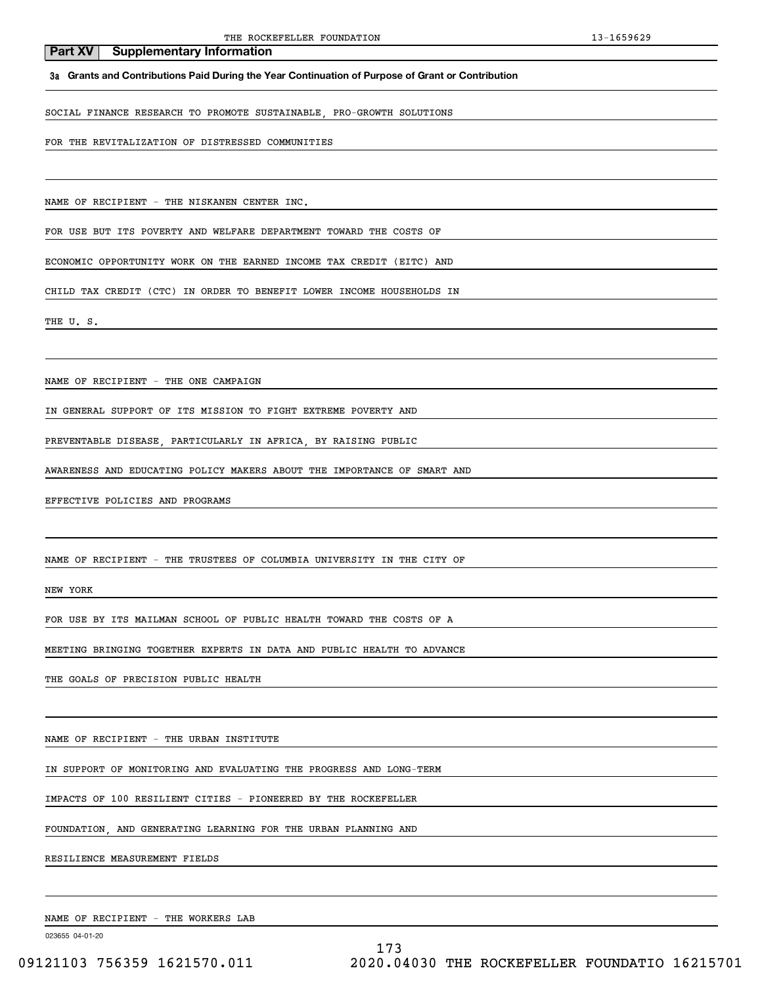**3a Grants and Contributions Paid During the Year Continuation of Purpose of Grant or Contribution**

SOCIAL FINANCE RESEARCH TO PROMOTE SUSTAINABLE, PRO-GROWTH SOLUTIONS

FOR THE REVITALIZATION OF DISTRESSED COMMUNITIES

NAME OF RECIPIENT - THE NISKANEN CENTER INC.

FOR USE BUT ITS POVERTY AND WELFARE DEPARTMENT TOWARD THE COSTS OF

ECONOMIC OPPORTUNITY WORK ON THE EARNED INCOME TAX CREDIT (EITC) AND

CHILD TAX CREDIT (CTC) IN ORDER TO BENEFIT LOWER INCOME HOUSEHOLDS IN

THE U.S.

NAME OF RECIPIENT - THE ONE CAMPAIGN

IN GENERAL SUPPORT OF ITS MISSION TO FIGHT EXTREME POVERTY AND

PREVENTABLE DISEASE, PARTICULARLY IN AFRICA, BY RAISING PUBLIC

AWARENESS AND EDUCATING POLICY MAKERS ABOUT THE IMPORTANCE OF SMART AND

EFFECTIVE POLICIES AND PROGRAMS

NAME OF RECIPIENT - THE TRUSTEES OF COLUMBIA UNIVERSITY IN THE CITY OF

NEW YORK

FOR USE BY ITS MAILMAN SCHOOL OF PUBLIC HEALTH TOWARD THE COSTS OF A

MEETING BRINGING TOGETHER EXPERTS IN DATA AND PUBLIC HEALTH TO ADVANCE

THE GOALS OF PRECISION PUBLIC HEALTH

NAME OF RECIPIENT - THE URBAN INSTITUTE

IN SUPPORT OF MONITORING AND EVALUATING THE PROGRESS AND LONG-TERM

IMPACTS OF 100 RESILIENT CITIES - PIONEERED BY THE ROCKEFELLER

FOUNDATION, AND GENERATING LEARNING FOR THE URBAN PLANNING AND

RESILIENCE MEASUREMENT FIELDS

NAME OF RECIPIENT - THE WORKERS LAB

023655 04-01-20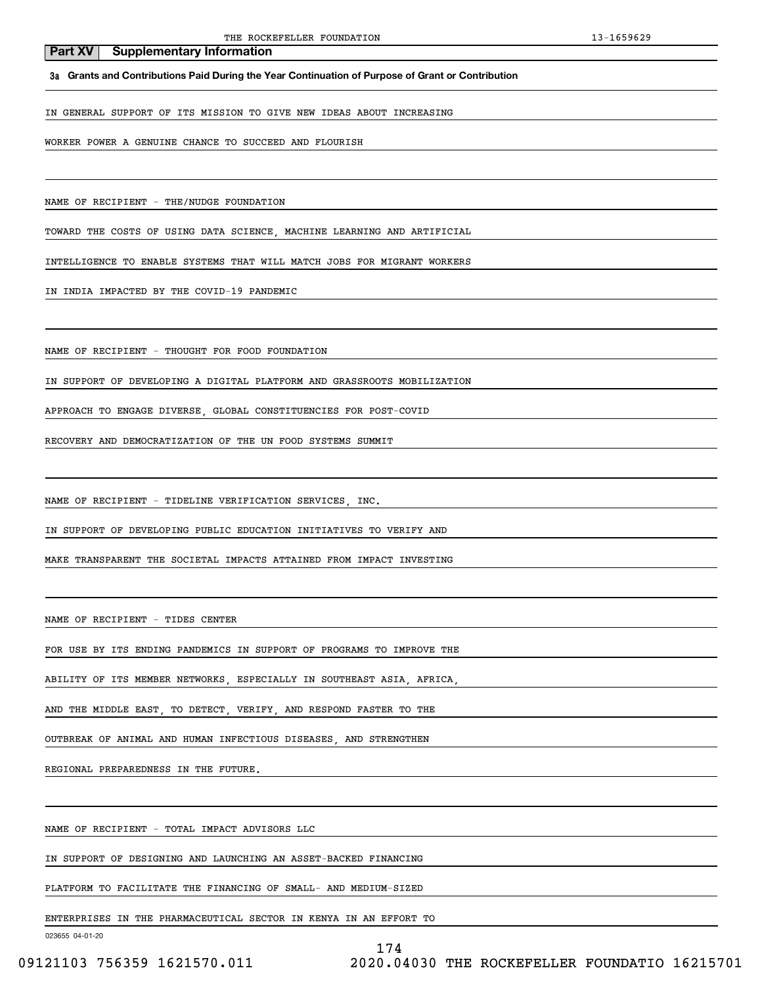**3a Grants and Contributions Paid During the Year Continuation of Purpose of Grant or Contribution**

IN GENERAL SUPPORT OF ITS MISSION TO GIVE NEW IDEAS ABOUT INCREASING

WORKER POWER A GENUINE CHANCE TO SUCCEED AND FLOURISH

NAME OF RECIPIENT - THE/NUDGE FOUNDATION

TOWARD THE COSTS OF USING DATA SCIENCE, MACHINE LEARNING AND ARTIFICIAL

INTELLIGENCE TO ENABLE SYSTEMS THAT WILL MATCH JOBS FOR MIGRANT WORKERS

IN INDIA IMPACTED BY THE COVID-19 PANDEMIC

NAME OF RECIPIENT - THOUGHT FOR FOOD FOUNDATION

IN SUPPORT OF DEVELOPING A DIGITAL PLATFORM AND GRASSROOTS MOBILIZATION

APPROACH TO ENGAGE DIVERSE, GLOBAL CONSTITUENCIES FOR POST-COVID

RECOVERY AND DEMOCRATIZATION OF THE UN FOOD SYSTEMS SUMMIT

NAME OF RECIPIENT - TIDELINE VERIFICATION SERVICES, INC.

IN SUPPORT OF DEVELOPING PUBLIC EDUCATION INITIATIVES TO VERIFY AND

MAKE TRANSPARENT THE SOCIETAL IMPACTS ATTAINED FROM IMPACT INVESTING

NAME OF RECIPIENT - TIDES CENTER

FOR USE BY ITS ENDING PANDEMICS IN SUPPORT OF PROGRAMS TO IMPROVE THE

ABILITY OF ITS MEMBER NETWORKS, ESPECIALLY IN SOUTHEAST ASIA, AFRICA,

AND THE MIDDLE EAST, TO DETECT, VERIFY, AND RESPOND FASTER TO THE

OUTBREAK OF ANIMAL AND HUMAN INFECTIOUS DISEASES, AND STRENGTHEN

REGIONAL PREPAREDNESS IN THE FUTURE.

NAME OF RECIPIENT - TOTAL IMPACT ADVISORS LLC

IN SUPPORT OF DESIGNING AND LAUNCHING AN ASSET-BACKED FINANCING

PLATFORM TO FACILITATE THE FINANCING OF SMALL- AND MEDIUM-SIZED

ENTERPRISES IN THE PHARMACEUTICAL SECTOR IN KENYA IN AN EFFORT TO

```
174
```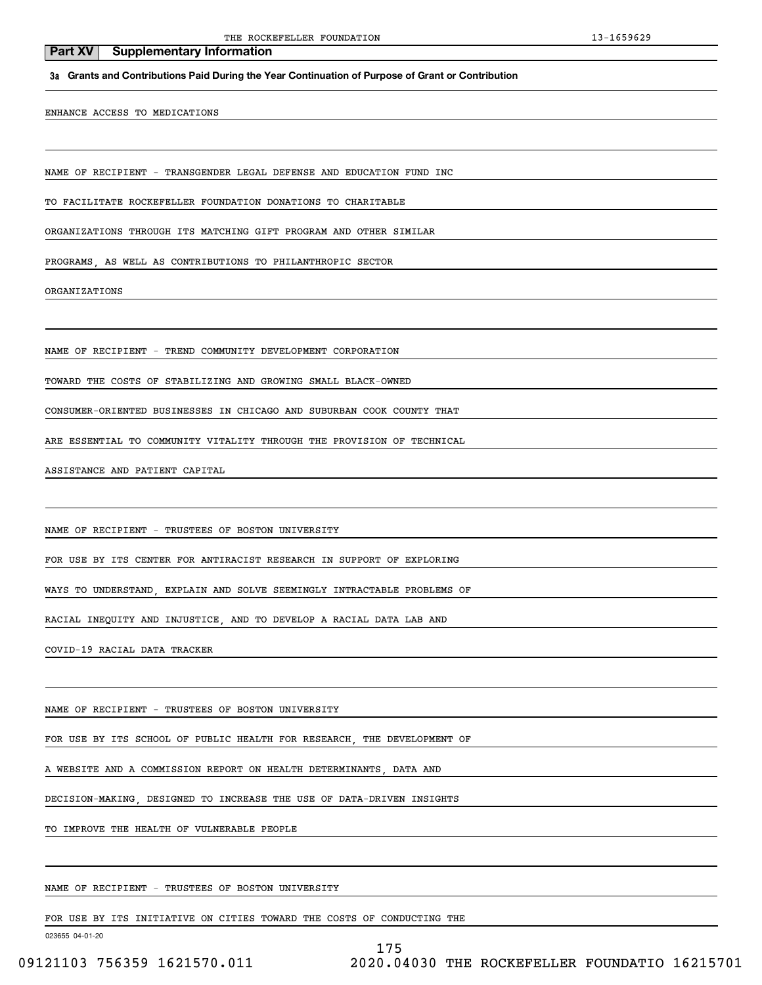**3a Grants and Contributions Paid During the Year Continuation of Purpose of Grant or Contribution**

ENHANCE ACCESS TO MEDICATIONS

NAME OF RECIPIENT - TRANSGENDER LEGAL DEFENSE AND EDUCATION FUND INC

TO FACILITATE ROCKEFELLER FOUNDATION DONATIONS TO CHARITABLE

ORGANIZATIONS THROUGH ITS MATCHING GIFT PROGRAM AND OTHER SIMILAR

PROGRAMS, AS WELL AS CONTRIBUTIONS TO PHILANTHROPIC SECTOR

ORGANIZATIONS

NAME OF RECIPIENT - TREND COMMUNITY DEVELOPMENT CORPORATION

TOWARD THE COSTS OF STABILIZING AND GROWING SMALL BLACK-OWNED

CONSUMER-ORIENTED BUSINESSES IN CHICAGO AND SUBURBAN COOK COUNTY THAT

ARE ESSENTIAL TO COMMUNITY VITALITY THROUGH THE PROVISION OF TECHNICAL

ASSISTANCE AND PATIENT CAPITAL

NAME OF RECIPIENT - TRUSTEES OF BOSTON UNIVERSITY

FOR USE BY ITS CENTER FOR ANTIRACIST RESEARCH IN SUPPORT OF EXPLORING

WAYS TO UNDERSTAND, EXPLAIN AND SOLVE SEEMINGLY INTRACTABLE PROBLEMS OF

RACIAL INEQUITY AND INJUSTICE, AND TO DEVELOP A RACIAL DATA LAB AND

COVID-19 RACIAL DATA TRACKER

NAME OF RECIPIENT - TRUSTEES OF BOSTON UNIVERSITY

FOR USE BY ITS SCHOOL OF PUBLIC HEALTH FOR RESEARCH, THE DEVELOPMENT OF

A WEBSITE AND A COMMISSION REPORT ON HEALTH DETERMINANTS, DATA AND

DECISION-MAKING, DESIGNED TO INCREASE THE USE OF DATA-DRIVEN INSIGHTS

TO IMPROVE THE HEALTH OF VULNERABLE PEOPLE

NAME OF RECIPIENT - TRUSTEES OF BOSTON UNIVERSITY

FOR USE BY ITS INITIATIVE ON CITIES TOWARD THE COSTS OF CONDUCTING THE

023655 04-01-20

175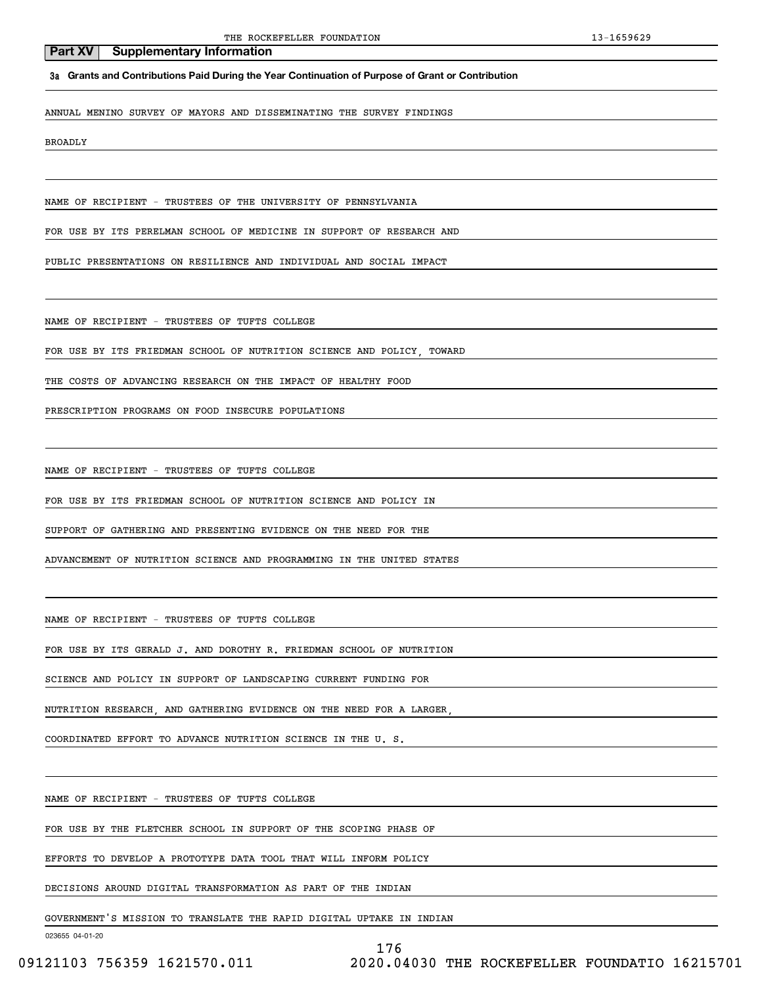**3a Grants and Contributions Paid During the Year Continuation of Purpose of Grant or Contribution**

ANNUAL MENINO SURVEY OF MAYORS AND DISSEMINATING THE SURVEY FINDINGS

BROADLY

NAME OF RECIPIENT - TRUSTEES OF THE UNIVERSITY OF PENNSYLVANIA

FOR USE BY ITS PERELMAN SCHOOL OF MEDICINE IN SUPPORT OF RESEARCH AND

PUBLIC PRESENTATIONS ON RESILIENCE AND INDIVIDUAL AND SOCIAL IMPACT

NAME OF RECIPIENT - TRUSTEES OF TUFTS COLLEGE

FOR USE BY ITS FRIEDMAN SCHOOL OF NUTRITION SCIENCE AND POLICY, TOWARD

THE COSTS OF ADVANCING RESEARCH ON THE IMPACT OF HEALTHY FOOD

PRESCRIPTION PROGRAMS ON FOOD INSECURE POPULATIONS

NAME OF RECIPIENT - TRUSTEES OF TUFTS COLLEGE

FOR USE BY ITS FRIEDMAN SCHOOL OF NUTRITION SCIENCE AND POLICY IN

SUPPORT OF GATHERING AND PRESENTING EVIDENCE ON THE NEED FOR THE

ADVANCEMENT OF NUTRITION SCIENCE AND PROGRAMMING IN THE UNITED STATES

NAME OF RECIPIENT - TRUSTEES OF TUFTS COLLEGE

FOR USE BY ITS GERALD J. AND DOROTHY R. FRIEDMAN SCHOOL OF NUTRITION

SCIENCE AND POLICY IN SUPPORT OF LANDSCAPING CURRENT FUNDING FOR

NUTRITION RESEARCH, AND GATHERING EVIDENCE ON THE NEED FOR A LARGER,

COORDINATED EFFORT TO ADVANCE NUTRITION SCIENCE IN THE U. S.

NAME OF RECIPIENT - TRUSTEES OF TUFTS COLLEGE

FOR USE BY THE FLETCHER SCHOOL IN SUPPORT OF THE SCOPING PHASE OF

EFFORTS TO DEVELOP A PROTOTYPE DATA TOOL THAT WILL INFORM POLICY

DECISIONS AROUND DIGITAL TRANSFORMATION AS PART OF THE INDIAN

GOVERNMENT'S MISSION TO TRANSLATE THE RAPID DIGITAL UPTAKE IN INDIAN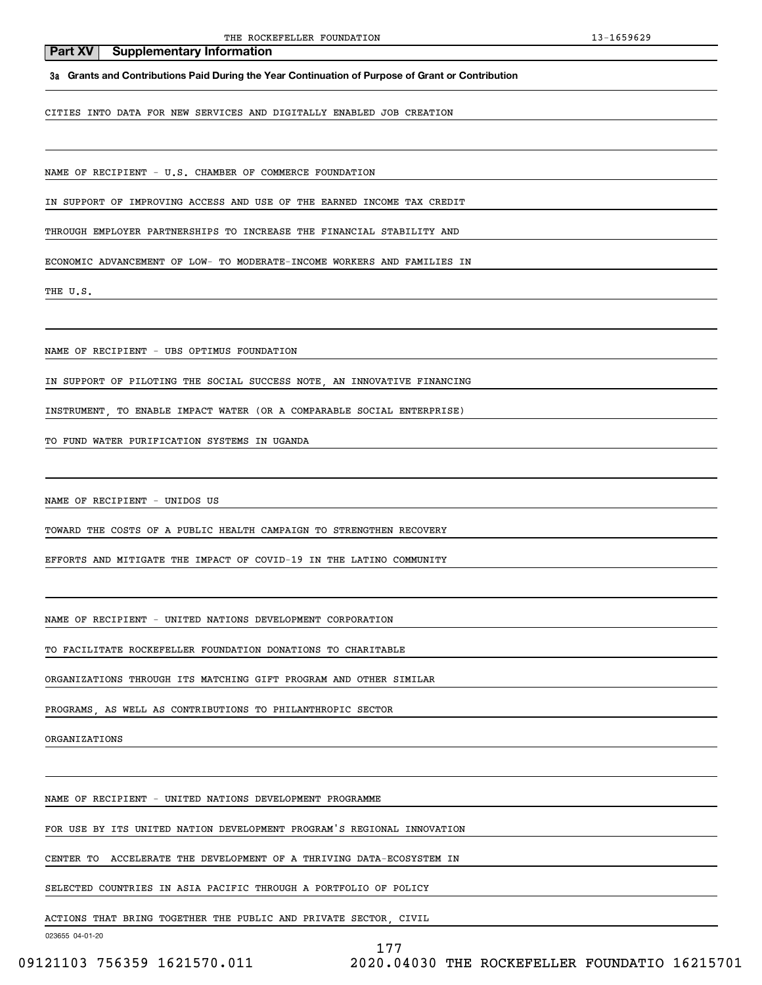**3a Grants and Contributions Paid During the Year Continuation of Purpose of Grant or Contribution**

CITIES INTO DATA FOR NEW SERVICES AND DIGITALLY ENABLED JOB CREATION

NAME OF RECIPIENT - U.S. CHAMBER OF COMMERCE FOUNDATION

IN SUPPORT OF IMPROVING ACCESS AND USE OF THE EARNED INCOME TAX CREDIT

THROUGH EMPLOYER PARTNERSHIPS TO INCREASE THE FINANCIAL STABILITY AND

ECONOMIC ADVANCEMENT OF LOW- TO MODERATE-INCOME WORKERS AND FAMILIES IN

THE U.S.

NAME OF RECIPIENT - UBS OPTIMUS FOUNDATION

IN SUPPORT OF PILOTING THE SOCIAL SUCCESS NOTE, AN INNOVATIVE FINANCING

INSTRUMENT, TO ENABLE IMPACT WATER (OR A COMPARABLE SOCIAL ENTERPRISE)

TO FUND WATER PURIFICATION SYSTEMS IN UGANDA

NAME OF RECIPIENT - UNIDOS US

TOWARD THE COSTS OF A PUBLIC HEALTH CAMPAIGN TO STRENGTHEN RECOVERY

EFFORTS AND MITIGATE THE IMPACT OF COVID-19 IN THE LATINO COMMUNITY

NAME OF RECIPIENT - UNITED NATIONS DEVELOPMENT CORPORATION

TO FACILITATE ROCKEFELLER FOUNDATION DONATIONS TO CHARITABLE

ORGANIZATIONS THROUGH ITS MATCHING GIFT PROGRAM AND OTHER SIMILAR

PROGRAMS, AS WELL AS CONTRIBUTIONS TO PHILANTHROPIC SECTOR

ORGANIZATIONS

NAME OF RECIPIENT - UNITED NATIONS DEVELOPMENT PROGRAMME

FOR USE BY ITS UNITED NATION DEVELOPMENT PROGRAM'S REGIONAL INNOVATION

CENTER TO ACCELERATE THE DEVELOPMENT OF A THRIVING DATA-ECOSYSTEM IN

SELECTED COUNTRIES IN ASIA PACIFIC THROUGH A PORTFOLIO OF POLICY

ACTIONS THAT BRING TOGETHER THE PUBLIC AND PRIVATE SECTOR, CIVIL

023655 04-01-20

177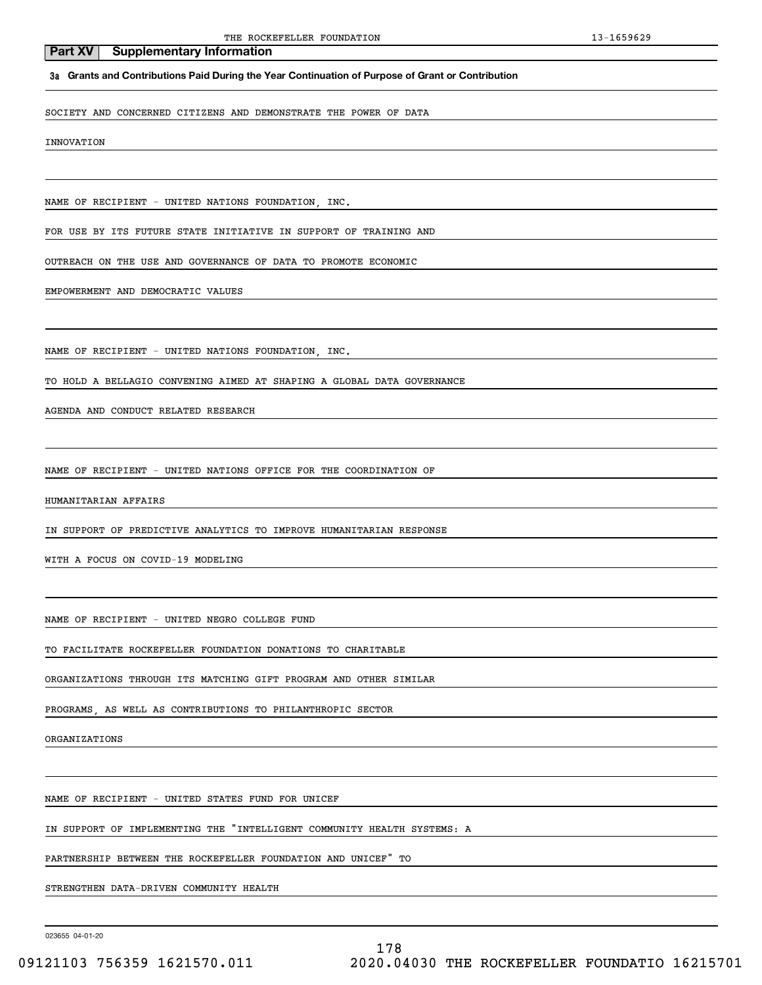#### **3a Grants and Contributions Paid During the Year Continuation of Purpose of Grant or Contribution**

SOCIETY AND CONCERNED CITIZENS AND DEMONSTRATE THE POWER OF DATA

INNOVATION

NAME OF RECIPIENT - UNITED NATIONS FOUNDATION, INC.

FOR USE BY ITS FUTURE STATE INITIATIVE IN SUPPORT OF TRAINING AND

OUTREACH ON THE USE AND GOVERNANCE OF DATA TO PROMOTE ECONOMIC

EMPOWERMENT AND DEMOCRATIC VALUES

NAME OF RECIPIENT - UNITED NATIONS FOUNDATION, INC.

TO HOLD A BELLAGIO CONVENING AIMED AT SHAPING A GLOBAL DATA GOVERNANCE

AGENDA AND CONDUCT RELATED RESEARCH

NAME OF RECIPIENT - UNITED NATIONS OFFICE FOR THE COORDINATION OF

HUMANITARIAN AFFAIRS

IN SUPPORT OF PREDICTIVE ANALYTICS TO IMPROVE HUMANITARIAN RESPONSE

WITH A FOCUS ON COVID-19 MODELING

NAME OF RECIPIENT - UNITED NEGRO COLLEGE FUND

NAME OF RECIPIENT - UNITED STATES FUND FOR UNICEF

TO FACILITATE ROCKEFELLER FOUNDATION DONATIONS TO CHARITABLE

ORGANIZATIONS THROUGH ITS MATCHING GIFT PROGRAM AND OTHER SIMILAR

IN SUPPORT OF IMPLEMENTING THE "INTELLIGENT COMMUNITY HEALTH SYSTEMS: A

PARTNERSHIP BETWEEN THE ROCKEFELLER FOUNDATION AND UNICEF" TO

PROGRAMS, AS WELL AS CONTRIBUTIONS TO PHILANTHROPIC SECTOR

STRENGTHEN DATA-DRIVEN COMMUNITY HEALTH

023655 04-01-20

ORGANIZATIONS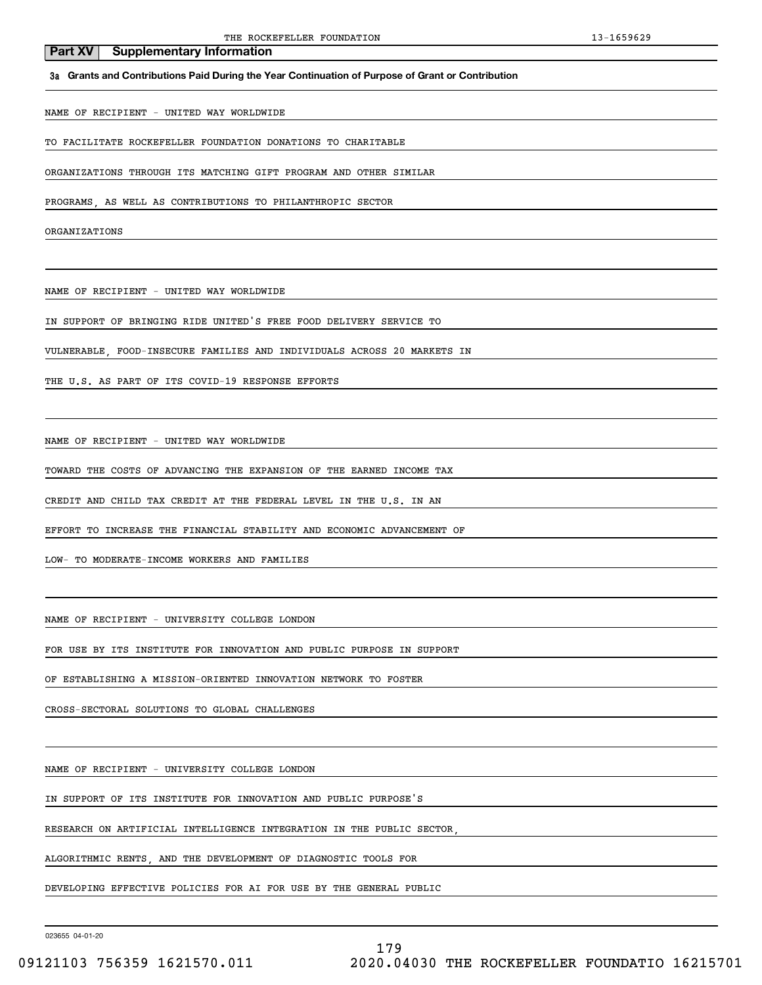#### **3a Grants and Contributions Paid During the Year Continuation of Purpose of Grant or Contribution**

NAME OF RECIPIENT - UNITED WAY WORLDWIDE

**Part XV** Supplementary Information

TO FACILITATE ROCKEFELLER FOUNDATION DONATIONS TO CHARITABLE

ORGANIZATIONS THROUGH ITS MATCHING GIFT PROGRAM AND OTHER SIMILAR

PROGRAMS, AS WELL AS CONTRIBUTIONS TO PHILANTHROPIC SECTOR

ORGANIZATIONS

NAME OF RECIPIENT - UNITED WAY WORLDWIDE

IN SUPPORT OF BRINGING RIDE UNITED'S FREE FOOD DELIVERY SERVICE TO

VULNERABLE, FOOD-INSECURE FAMILIES AND INDIVIDUALS ACROSS 20 MARKETS IN

THE U.S. AS PART OF ITS COVID-19 RESPONSE EFFORTS

NAME OF RECIPIENT - UNITED WAY WORLDWIDE

TOWARD THE COSTS OF ADVANCING THE EXPANSION OF THE EARNED INCOME TAX

CREDIT AND CHILD TAX CREDIT AT THE FEDERAL LEVEL IN THE U.S. IN AN

EFFORT TO INCREASE THE FINANCIAL STABILITY AND ECONOMIC ADVANCEMENT OF

LOW- TO MODERATE-INCOME WORKERS AND FAMILIES

NAME OF RECIPIENT - UNIVERSITY COLLEGE LONDON

FOR USE BY ITS INSTITUTE FOR INNOVATION AND PUBLIC PURPOSE IN SUPPORT

OF ESTABLISHING A MISSION-ORIENTED INNOVATION NETWORK TO FOSTER

CROSS-SECTORAL SOLUTIONS TO GLOBAL CHALLENGES

NAME OF RECIPIENT - UNIVERSITY COLLEGE LONDON

IN SUPPORT OF ITS INSTITUTE FOR INNOVATION AND PUBLIC PURPOSE'S

RESEARCH ON ARTIFICIAL INTELLIGENCE INTEGRATION IN THE PUBLIC SECTOR,

ALGORITHMIC RENTS, AND THE DEVELOPMENT OF DIAGNOSTIC TOOLS FOR

DEVELOPING EFFECTIVE POLICIES FOR AI FOR USE BY THE GENERAL PUBLIC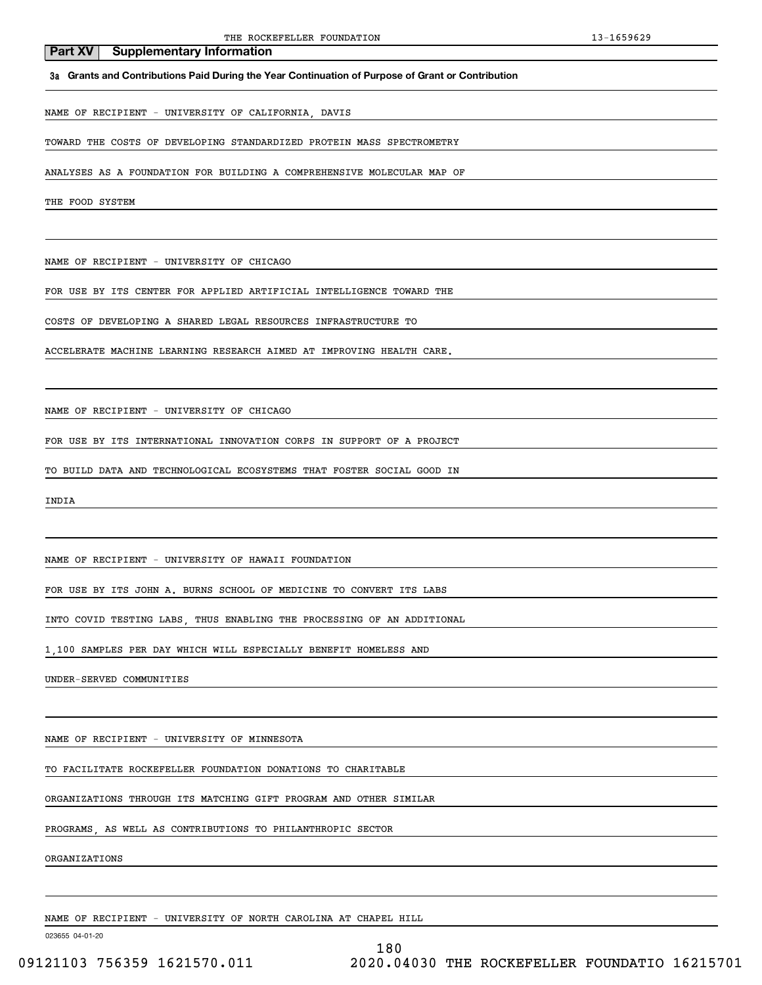#### **3a Grants and Contributions Paid During the Year Continuation of Purpose of Grant or Contribution**

NAME OF RECIPIENT - UNIVERSITY OF CALIFORNIA, DAVIS

#### TOWARD THE COSTS OF DEVELOPING STANDARDIZED PROTEIN MASS SPECTROMETRY

ANALYSES AS A FOUNDATION FOR BUILDING A COMPREHENSIVE MOLECULAR MAP OF

THE FOOD SYSTEM

NAME OF RECIPIENT - UNIVERSITY OF CHICAGO

FOR USE BY ITS CENTER FOR APPLIED ARTIFICIAL INTELLIGENCE TOWARD THE

COSTS OF DEVELOPING A SHARED LEGAL RESOURCES INFRASTRUCTURE TO

ACCELERATE MACHINE LEARNING RESEARCH AIMED AT IMPROVING HEALTH CARE.

NAME OF RECIPIENT - UNIVERSITY OF CHICAGO

FOR USE BY ITS INTERNATIONAL INNOVATION CORPS IN SUPPORT OF A PROJECT

TO BUILD DATA AND TECHNOLOGICAL ECOSYSTEMS THAT FOSTER SOCIAL GOOD IN

INDIA

NAME OF RECIPIENT - UNIVERSITY OF HAWAII FOUNDATION

FOR USE BY ITS JOHN A. BURNS SCHOOL OF MEDICINE TO CONVERT ITS LABS

INTO COVID TESTING LABS, THUS ENABLING THE PROCESSING OF AN ADDITIONAL

1,100 SAMPLES PER DAY WHICH WILL ESPECIALLY BENEFIT HOMELESS AND

UNDER-SERVED COMMUNITIES

NAME OF RECIPIENT - UNIVERSITY OF MINNESOTA

TO FACILITATE ROCKEFELLER FOUNDATION DONATIONS TO CHARITABLE

ORGANIZATIONS THROUGH ITS MATCHING GIFT PROGRAM AND OTHER SIMILAR

PROGRAMS, AS WELL AS CONTRIBUTIONS TO PHILANTHROPIC SECTOR

ORGANIZATIONS

NAME OF RECIPIENT - UNIVERSITY OF NORTH CAROLINA AT CHAPEL HILL

023655 04-01-20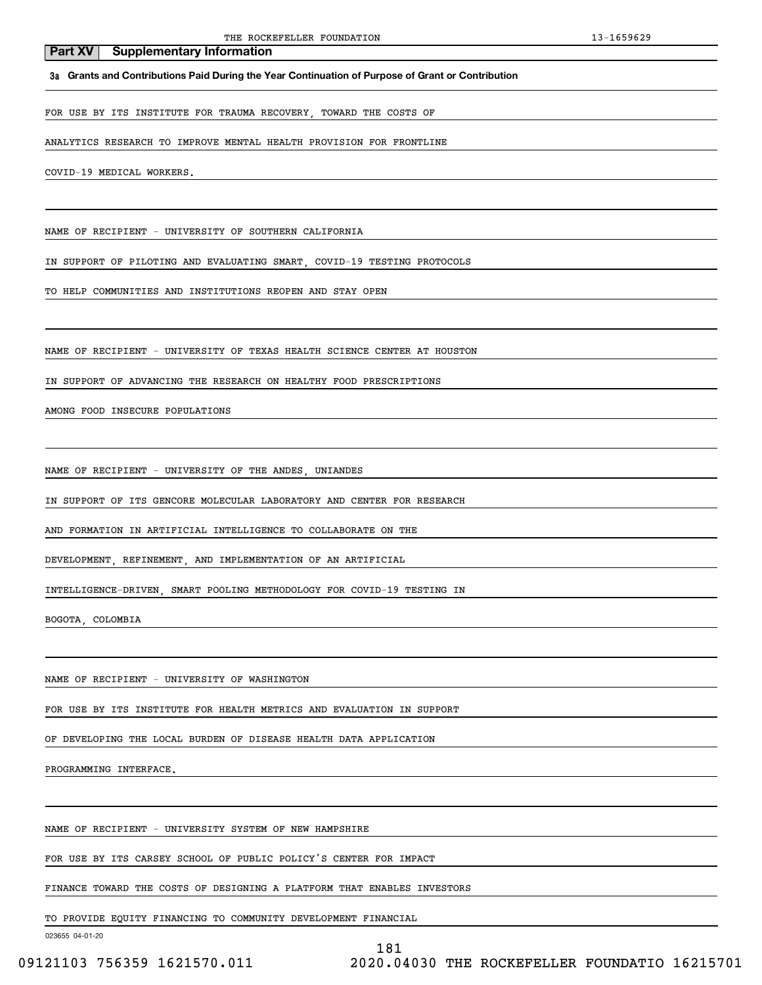**3a Grants and Contributions Paid During the Year Continuation of Purpose of Grant or Contribution**

FOR USE BY ITS INSTITUTE FOR TRAUMA RECOVERY, TOWARD THE COSTS OF

ANALYTICS RESEARCH TO IMPROVE MENTAL HEALTH PROVISION FOR FRONTLINE

COVID-19 MEDICAL WORKERS.

NAME OF RECIPIENT - UNIVERSITY OF SOUTHERN CALIFORNIA

IN SUPPORT OF PILOTING AND EVALUATING SMART, COVID-19 TESTING PROTOCOLS

TO HELP COMMUNITIES AND INSTITUTIONS REOPEN AND STAY OPEN

NAME OF RECIPIENT - UNIVERSITY OF TEXAS HEALTH SCIENCE CENTER AT HOUSTON

IN SUPPORT OF ADVANCING THE RESEARCH ON HEALTHY FOOD PRESCRIPTIONS

AMONG FOOD INSECURE POPULATIONS

NAME OF RECIPIENT - UNIVERSITY OF THE ANDES, UNIANDES

IN SUPPORT OF ITS GENCORE MOLECULAR LABORATORY AND CENTER FOR RESEARCH

AND FORMATION IN ARTIFICIAL INTELLIGENCE TO COLLABORATE ON THE

DEVELOPMENT, REFINEMENT, AND IMPLEMENTATION OF AN ARTIFICIAL

INTELLIGENCE-DRIVEN, SMART POOLING METHODOLOGY FOR COVID-19 TESTING IN

BOGOTA, COLOMBIA

NAME OF RECIPIENT - UNIVERSITY OF WASHINGTON

FOR USE BY ITS INSTITUTE FOR HEALTH METRICS AND EVALUATION IN SUPPORT

OF DEVELOPING THE LOCAL BURDEN OF DISEASE HEALTH DATA APPLICATION

PROGRAMMING INTERFACE.

NAME OF RECIPIENT - UNIVERSITY SYSTEM OF NEW HAMPSHIRE

FOR USE BY ITS CARSEY SCHOOL OF PUBLIC POLICY'S CENTER FOR IMPACT

FINANCE TOWARD THE COSTS OF DESIGNING A PLATFORM THAT ENABLES INVESTORS

TO PROVIDE EQUITY FINANCING TO COMMUNITY DEVELOPMENT FINANCIAL

023655 04-01-20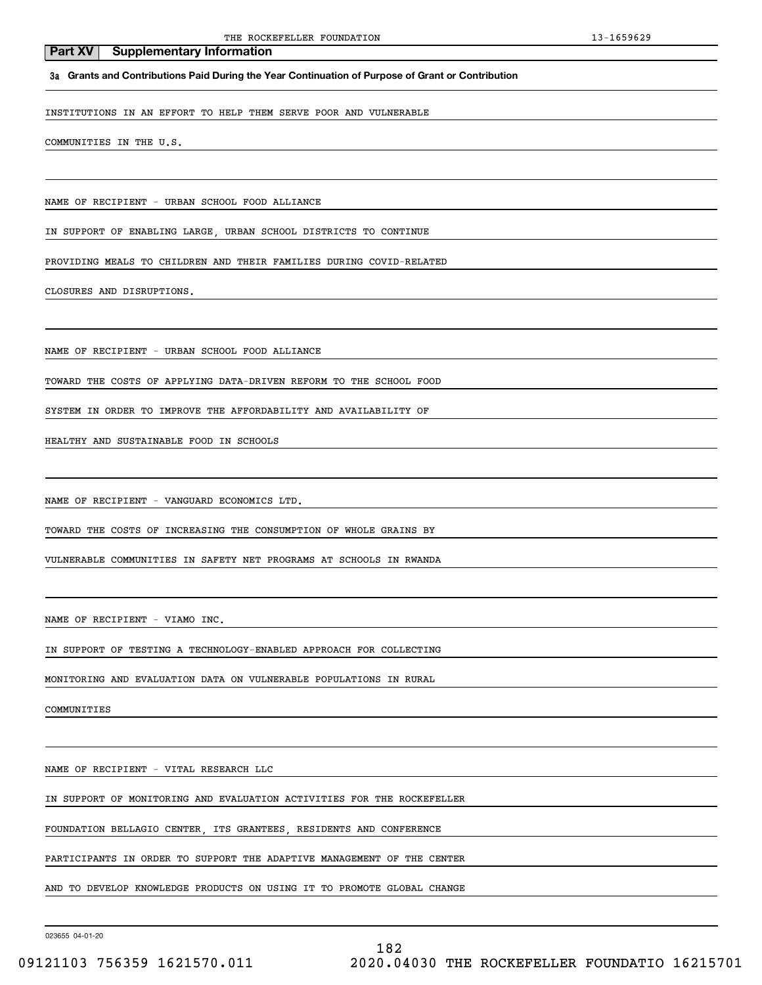**3a Grants and Contributions Paid During the Year Continuation of Purpose of Grant or Contribution**

INSTITUTIONS IN AN EFFORT TO HELP THEM SERVE POOR AND VULNERABLE

COMMUNITIES IN THE U.S.

NAME OF RECIPIENT - URBAN SCHOOL FOOD ALLIANCE

IN SUPPORT OF ENABLING LARGE, URBAN SCHOOL DISTRICTS TO CONTINUE

PROVIDING MEALS TO CHILDREN AND THEIR FAMILIES DURING COVID-RELATED

CLOSURES AND DISRUPTIONS.

NAME OF RECIPIENT - URBAN SCHOOL FOOD ALLIANCE

TOWARD THE COSTS OF APPLYING DATA-DRIVEN REFORM TO THE SCHOOL FOOD

SYSTEM IN ORDER TO IMPROVE THE AFFORDABILITY AND AVAILABILITY OF

HEALTHY AND SUSTAINABLE FOOD IN SCHOOLS

NAME OF RECIPIENT - VANGUARD ECONOMICS LTD.

TOWARD THE COSTS OF INCREASING THE CONSUMPTION OF WHOLE GRAINS BY

VULNERABLE COMMUNITIES IN SAFETY NET PROGRAMS AT SCHOOLS IN RWANDA

NAME OF RECIPIENT - VIAMO INC.

IN SUPPORT OF TESTING A TECHNOLOGY-ENABLED APPROACH FOR COLLECTING

MONITORING AND EVALUATION DATA ON VULNERABLE POPULATIONS IN RURAL

COMMUNITIES

NAME OF RECIPIENT - VITAL RESEARCH LLC

IN SUPPORT OF MONITORING AND EVALUATION ACTIVITIES FOR THE ROCKEFELLER

FOUNDATION BELLAGIO CENTER, ITS GRANTEES, RESIDENTS AND CONFERENCE

PARTICIPANTS IN ORDER TO SUPPORT THE ADAPTIVE MANAGEMENT OF THE CENTER

AND TO DEVELOP KNOWLEDGE PRODUCTS ON USING IT TO PROMOTE GLOBAL CHANGE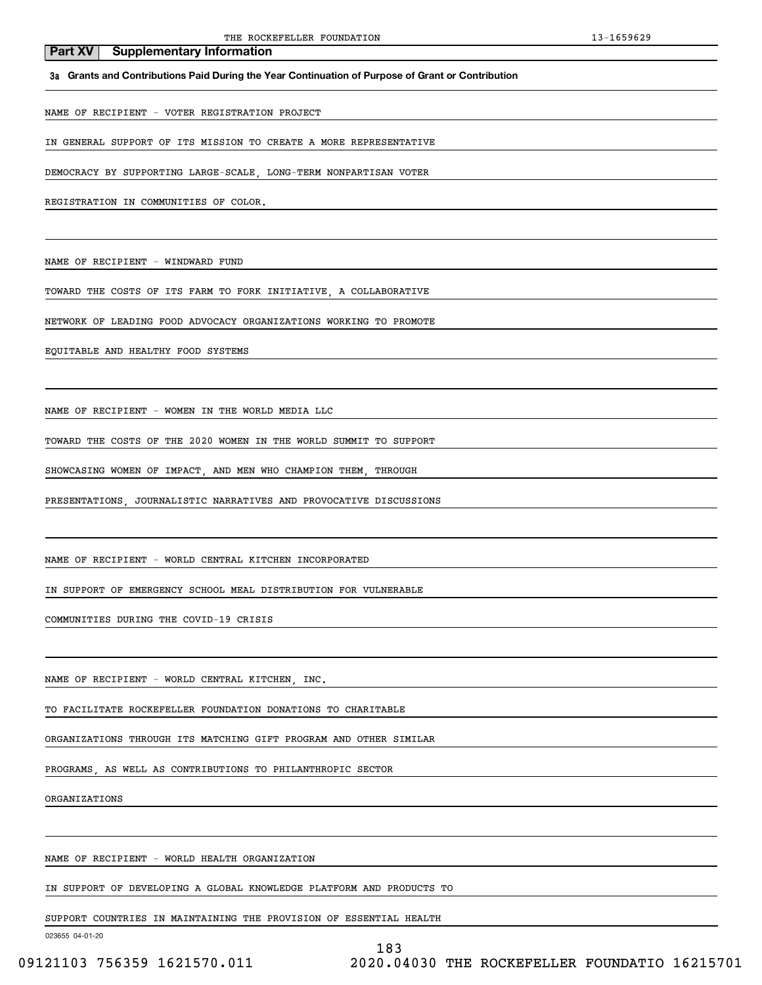**3a Grants and Contributions Paid During the Year Continuation of Purpose of Grant or Contribution**

NAME OF RECIPIENT - VOTER REGISTRATION PROJECT

IN GENERAL SUPPORT OF ITS MISSION TO CREATE A MORE REPRESENTATIVE

DEMOCRACY BY SUPPORTING LARGE-SCALE, LONG-TERM NONPARTISAN VOTER

REGISTRATION IN COMMUNITIES OF COLOR.

**Part XV** Supplementary Information

NAME OF RECIPIENT - WINDWARD FUND

TOWARD THE COSTS OF ITS FARM TO FORK INITIATIVE, A COLLABORATIVE

NETWORK OF LEADING FOOD ADVOCACY ORGANIZATIONS WORKING TO PROMOTE

EQUITABLE AND HEALTHY FOOD SYSTEMS

NAME OF RECIPIENT - WOMEN IN THE WORLD MEDIA LLC

TOWARD THE COSTS OF THE 2020 WOMEN IN THE WORLD SUMMIT TO SUPPORT

SHOWCASING WOMEN OF IMPACT, AND MEN WHO CHAMPION THEM, THROUGH

PRESENTATIONS, JOURNALISTIC NARRATIVES AND PROVOCATIVE DISCUSSIONS

NAME OF RECIPIENT - WORLD CENTRAL KITCHEN INCORPORATED

IN SUPPORT OF EMERGENCY SCHOOL MEAL DISTRIBUTION FOR VULNERABLE

COMMUNITIES DURING THE COVID-19 CRISIS

NAME OF RECIPIENT - WORLD CENTRAL KITCHEN, INC.

TO FACILITATE ROCKEFELLER FOUNDATION DONATIONS TO CHARITABLE

ORGANIZATIONS THROUGH ITS MATCHING GIFT PROGRAM AND OTHER SIMILAR

PROGRAMS, AS WELL AS CONTRIBUTIONS TO PHILANTHROPIC SECTOR

ORGANIZATIONS

NAME OF RECIPIENT - WORLD HEALTH ORGANIZATION

IN SUPPORT OF DEVELOPING A GLOBAL KNOWLEDGE PLATFORM AND PRODUCTS TO

SUPPORT COUNTRIES IN MAINTAINING THE PROVISION OF ESSENTIAL HEALTH

023655 04-01-20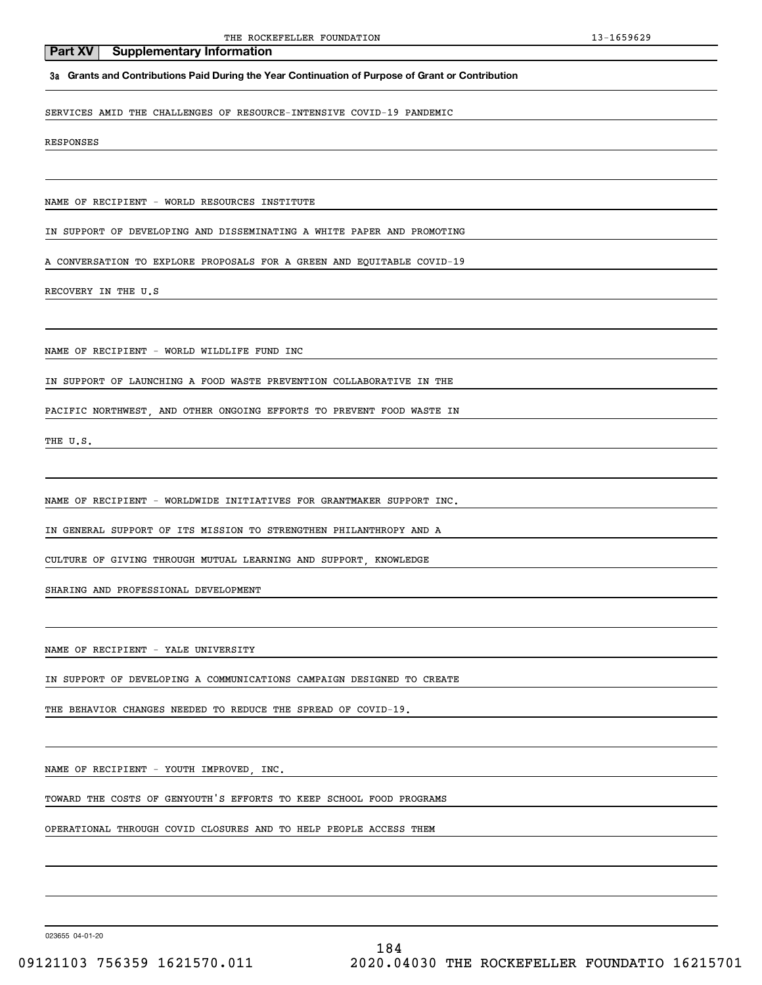### **3a Grants and Contributions Paid During the Year Continuation of Purpose of Grant or Contribution**

SERVICES AMID THE CHALLENGES OF RESOURCE-INTENSIVE COVID-19 PANDEMIC

RESPONSES

NAME OF RECIPIENT - WORLD RESOURCES INSTITUTE

IN SUPPORT OF DEVELOPING AND DISSEMINATING A WHITE PAPER AND PROMOTING

A CONVERSATION TO EXPLORE PROPOSALS FOR A GREEN AND EQUITABLE COVID-19

RECOVERY IN THE U.S

NAME OF RECIPIENT - WORLD WILDLIFE FUND INC

IN SUPPORT OF LAUNCHING A FOOD WASTE PREVENTION COLLABORATIVE IN THE

PACIFIC NORTHWEST, AND OTHER ONGOING EFFORTS TO PREVENT FOOD WASTE IN

THE U.S.

NAME OF RECIPIENT - WORLDWIDE INITIATIVES FOR GRANTMAKER SUPPORT INC.

IN GENERAL SUPPORT OF ITS MISSION TO STRENGTHEN PHILANTHROPY AND A

CULTURE OF GIVING THROUGH MUTUAL LEARNING AND SUPPORT, KNOWLEDGE

SHARING AND PROFESSIONAL DEVELOPMENT

NAME OF RECIPIENT - YALE UNIVERSITY

IN SUPPORT OF DEVELOPING A COMMUNICATIONS CAMPAIGN DESIGNED TO CREATE

THE BEHAVIOR CHANGES NEEDED TO REDUCE THE SPREAD OF COVID-19.

NAME OF RECIPIENT - YOUTH IMPROVED, INC.

TOWARD THE COSTS OF GENYOUTH'S EFFORTS TO KEEP SCHOOL FOOD PROGRAMS

OPERATIONAL THROUGH COVID CLOSURES AND TO HELP PEOPLE ACCESS THEM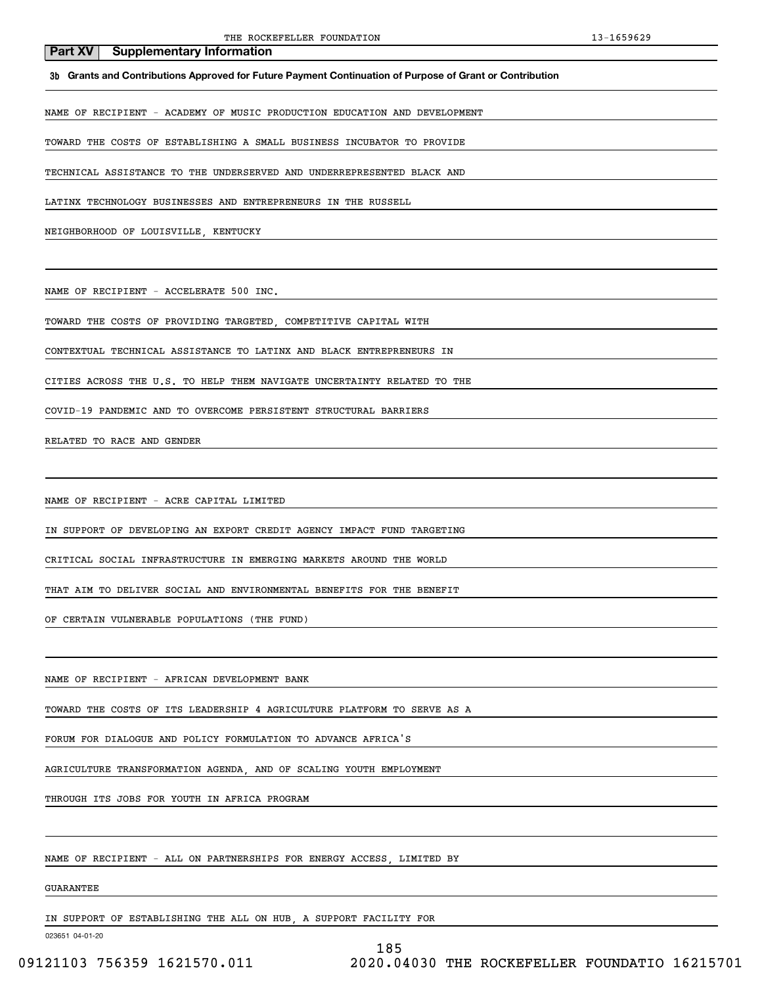**3b Grants and Contributions Approved for Future Payment Continuation of Purpose of Grant or Contribution**

NAME OF RECIPIENT - ACADEMY OF MUSIC PRODUCTION EDUCATION AND DEVELOPMENT

TOWARD THE COSTS OF ESTABLISHING A SMALL BUSINESS INCUBATOR TO PROVIDE

TECHNICAL ASSISTANCE TO THE UNDERSERVED AND UNDERREPRESENTED BLACK AND

LATINX TECHNOLOGY BUSINESSES AND ENTREPRENEURS IN THE RUSSELL

NEIGHBORHOOD OF LOUISVILLE, KENTUCKY

NAME OF RECIPIENT - ACCELERATE 500 INC.

TOWARD THE COSTS OF PROVIDING TARGETED, COMPETITIVE CAPITAL WITH

CONTEXTUAL TECHNICAL ASSISTANCE TO LATINX AND BLACK ENTREPRENEURS IN

CITIES ACROSS THE U.S. TO HELP THEM NAVIGATE UNCERTAINTY RELATED TO THE

COVID-19 PANDEMIC AND TO OVERCOME PERSISTENT STRUCTURAL BARRIERS

RELATED TO RACE AND GENDER

NAME OF RECIPIENT - ACRE CAPITAL LIMITED

IN SUPPORT OF DEVELOPING AN EXPORT CREDIT AGENCY IMPACT FUND TARGETING

CRITICAL SOCIAL INFRASTRUCTURE IN EMERGING MARKETS AROUND THE WORLD

THAT AIM TO DELIVER SOCIAL AND ENVIRONMENTAL BENEFITS FOR THE BENEFIT

OF CERTAIN VULNERABLE POPULATIONS (THE FUND)

NAME OF RECIPIENT - AFRICAN DEVELOPMENT BANK

TOWARD THE COSTS OF ITS LEADERSHIP 4 AGRICULTURE PLATFORM TO SERVE AS A

FORUM FOR DIALOGUE AND POLICY FORMULATION TO ADVANCE AFRICA'S

AGRICULTURE TRANSFORMATION AGENDA, AND OF SCALING YOUTH EMPLOYMENT

THROUGH ITS JOBS FOR YOUTH IN AFRICA PROGRAM

NAME OF RECIPIENT - ALL ON PARTNERSHIPS FOR ENERGY ACCESS, LIMITED BY

### GUARANTEE

IN SUPPORT OF ESTABLISHING THE ALL ON HUB, A SUPPORT FACILITY FOR

023651 04-01-20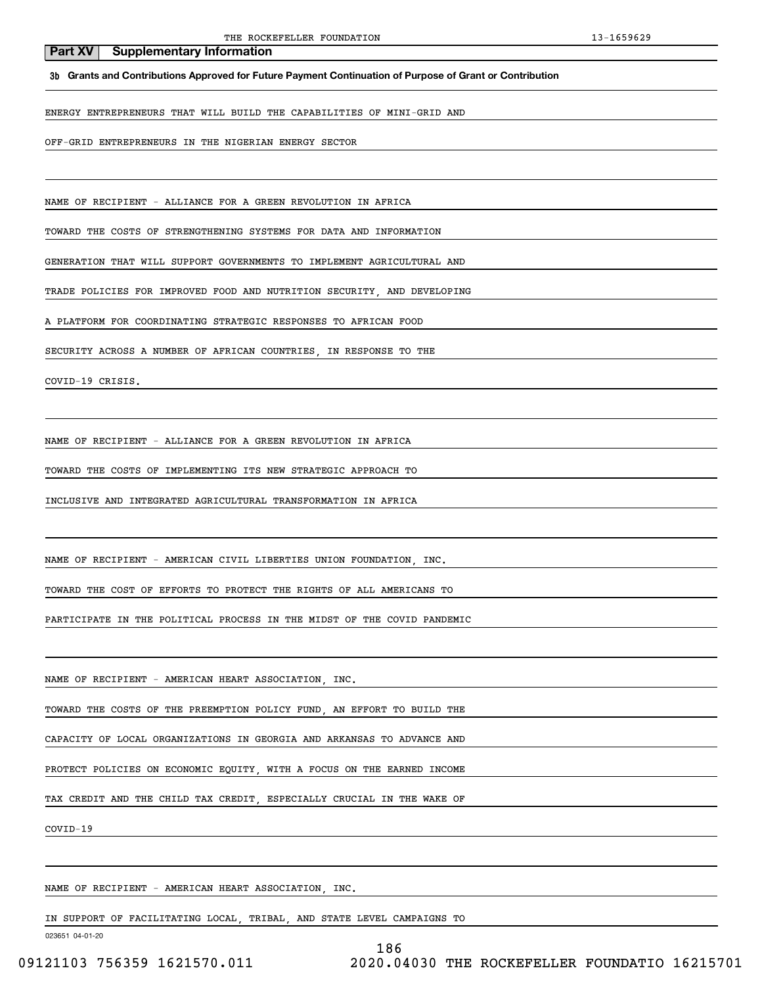**3b Grants and Contributions Approved for Future Payment Continuation of Purpose of Grant or Contribution**

ENERGY ENTREPRENEURS THAT WILL BUILD THE CAPABILITIES OF MINI-GRID AND

OFF-GRID ENTREPRENEURS IN THE NIGERIAN ENERGY SECTOR

NAME OF RECIPIENT - ALLIANCE FOR A GREEN REVOLUTION IN AFRICA

TOWARD THE COSTS OF STRENGTHENING SYSTEMS FOR DATA AND INFORMATION

GENERATION THAT WILL SUPPORT GOVERNMENTS TO IMPLEMENT AGRICULTURAL AND

TRADE POLICIES FOR IMPROVED FOOD AND NUTRITION SECURITY, AND DEVELOPING

A PLATFORM FOR COORDINATING STRATEGIC RESPONSES TO AFRICAN FOOD

SECURITY ACROSS A NUMBER OF AFRICAN COUNTRIES, IN RESPONSE TO THE

COVID-19 CRISIS.

NAME OF RECIPIENT - ALLIANCE FOR A GREEN REVOLUTION IN AFRICA

TOWARD THE COSTS OF IMPLEMENTING ITS NEW STRATEGIC APPROACH TO

INCLUSIVE AND INTEGRATED AGRICULTURAL TRANSFORMATION IN AFRICA

NAME OF RECIPIENT - AMERICAN CIVIL LIBERTIES UNION FOUNDATION, INC.

TOWARD THE COST OF EFFORTS TO PROTECT THE RIGHTS OF ALL AMERICANS TO

PARTICIPATE IN THE POLITICAL PROCESS IN THE MIDST OF THE COVID PANDEMIC

NAME OF RECIPIENT - AMERICAN HEART ASSOCIATION, INC.

TOWARD THE COSTS OF THE PREEMPTION POLICY FUND, AN EFFORT TO BUILD THE

CAPACITY OF LOCAL ORGANIZATIONS IN GEORGIA AND ARKANSAS TO ADVANCE AND

PROTECT POLICIES ON ECONOMIC EQUITY, WITH A FOCUS ON THE EARNED INCOME

TAX CREDIT AND THE CHILD TAX CREDIT, ESPECIALLY CRUCIAL IN THE WAKE OF

COVID-19

NAME OF RECIPIENT - AMERICAN HEART ASSOCIATION, INC.

IN SUPPORT OF FACILITATING LOCAL, TRIBAL, AND STATE LEVEL CAMPAIGNS TO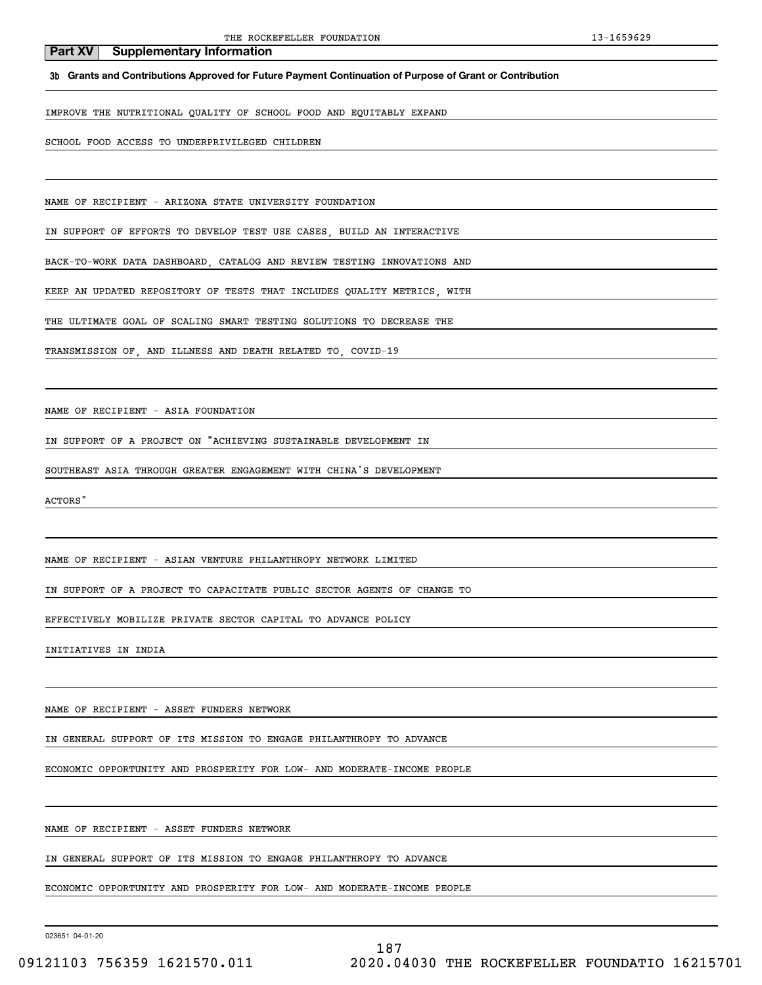**3b Grants and Contributions Approved for Future Payment Continuation of Purpose of Grant or Contribution**

IMPROVE THE NUTRITIONAL QUALITY OF SCHOOL FOOD AND EQUITABLY EXPAND

SCHOOL FOOD ACCESS TO UNDERPRIVILEGED CHILDREN

NAME OF RECIPIENT - ARIZONA STATE UNIVERSITY FOUNDATION

IN SUPPORT OF EFFORTS TO DEVELOP TEST USE CASES, BUILD AN INTERACTIVE

BACK-TO-WORK DATA DASHBOARD, CATALOG AND REVIEW TESTING INNOVATIONS AND

KEEP AN UPDATED REPOSITORY OF TESTS THAT INCLUDES QUALITY METRICS, WITH

THE ULTIMATE GOAL OF SCALING SMART TESTING SOLUTIONS TO DECREASE THE

TRANSMISSION OF, AND ILLNESS AND DEATH RELATED TO, COVID-19

NAME OF RECIPIENT - ASIA FOUNDATION

IN SUPPORT OF A PROJECT ON "ACHIEVING SUSTAINABLE DEVELOPMENT IN

SOUTHEAST ASIA THROUGH GREATER ENGAGEMENT WITH CHINA'S DEVELOPMENT

ACTORS"

NAME OF RECIPIENT - ASIAN VENTURE PHILANTHROPY NETWORK LIMITED

IN SUPPORT OF A PROJECT TO CAPACITATE PUBLIC SECTOR AGENTS OF CHANGE TO

EFFECTIVELY MOBILIZE PRIVATE SECTOR CAPITAL TO ADVANCE POLICY

INITIATIVES IN INDIA

NAME OF RECIPIENT - ASSET FUNDERS NETWORK

IN GENERAL SUPPORT OF ITS MISSION TO ENGAGE PHILANTHROPY TO ADVANCE

ECONOMIC OPPORTUNITY AND PROSPERITY FOR LOW- AND MODERATE-INCOME PEOPLE

NAME OF RECIPIENT - ASSET FUNDERS NETWORK

ECONOMIC OPPORTUNITY AND PROSPERITY FOR LOW- AND MODERATE-INCOME PEOPLE

IN GENERAL SUPPORT OF ITS MISSION TO ENGAGE PHILANTHROPY TO ADVANCE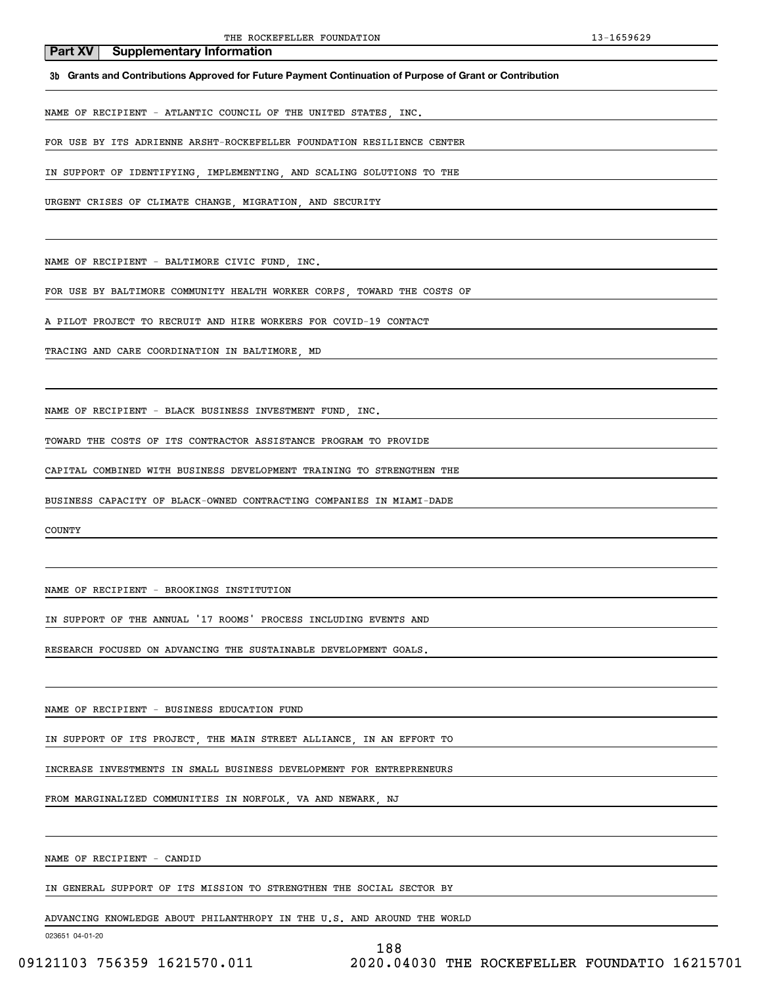**3b Grants and Contributions Approved for Future Payment Continuation of Purpose of Grant or Contribution**

NAME OF RECIPIENT - ATLANTIC COUNCIL OF THE UNITED STATES, INC.

FOR USE BY ITS ADRIENNE ARSHT-ROCKEFELLER FOUNDATION RESILIENCE CENTER

IN SUPPORT OF IDENTIFYING, IMPLEMENTING, AND SCALING SOLUTIONS TO THE

URGENT CRISES OF CLIMATE CHANGE, MIGRATION, AND SECURITY

NAME OF RECIPIENT - BALTIMORE CIVIC FUND, INC.

FOR USE BY BALTIMORE COMMUNITY HEALTH WORKER CORPS, TOWARD THE COSTS OF

A PILOT PROJECT TO RECRUIT AND HIRE WORKERS FOR COVID-19 CONTACT

TRACING AND CARE COORDINATION IN BALTIMORE, MD

NAME OF RECIPIENT - BLACK BUSINESS INVESTMENT FUND, INC.

TOWARD THE COSTS OF ITS CONTRACTOR ASSISTANCE PROGRAM TO PROVIDE

CAPITAL COMBINED WITH BUSINESS DEVELOPMENT TRAINING TO STRENGTHEN THE

BUSINESS CAPACITY OF BLACK-OWNED CONTRACTING COMPANIES IN MIAMI-DADE

COUNTY

NAME OF RECIPIENT - BROOKINGS INSTITUTION

IN SUPPORT OF THE ANNUAL '17 ROOMS' PROCESS INCLUDING EVENTS AND

RESEARCH FOCUSED ON ADVANCING THE SUSTAINABLE DEVELOPMENT GOALS.

NAME OF RECIPIENT - BUSINESS EDUCATION FUND

IN SUPPORT OF ITS PROJECT, THE MAIN STREET ALLIANCE, IN AN EFFORT TO

INCREASE INVESTMENTS IN SMALL BUSINESS DEVELOPMENT FOR ENTREPRENEURS

FROM MARGINALIZED COMMUNITIES IN NORFOLK, VA AND NEWARK, NJ

NAME OF RECIPIENT - CANDID

IN GENERAL SUPPORT OF ITS MISSION TO STRENGTHEN THE SOCIAL SECTOR BY

ADVANCING KNOWLEDGE ABOUT PHILANTHROPY IN THE U.S. AND AROUND THE WORLD

023651 04-01-20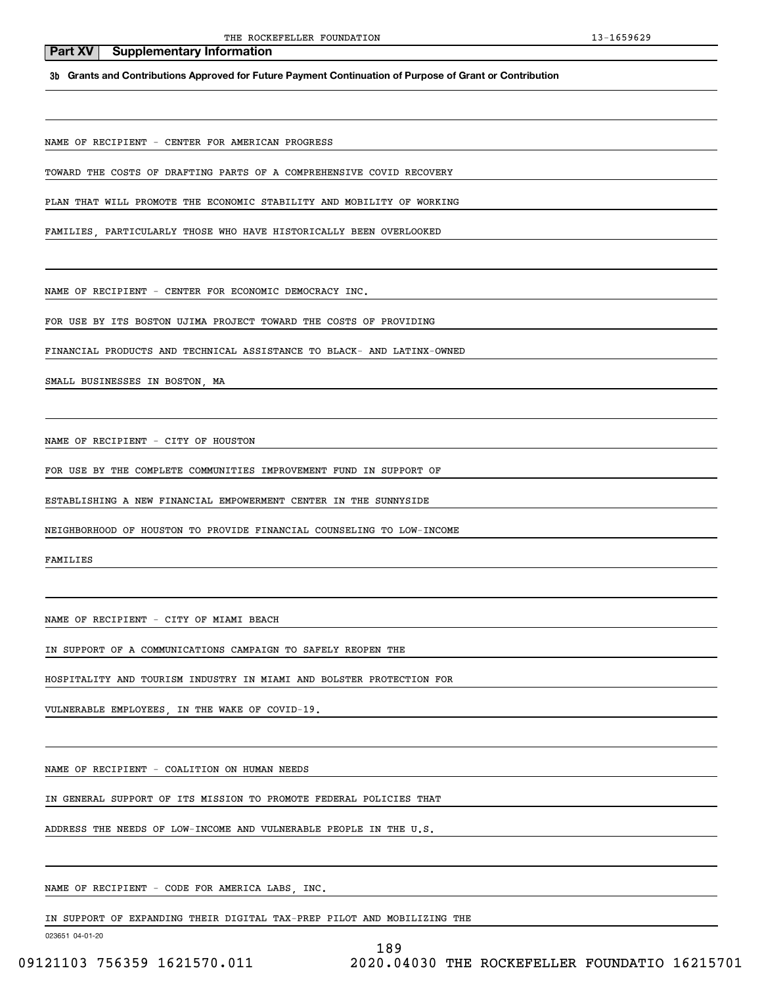**3b Grants and Contributions Approved for Future Payment Continuation of Purpose of Grant or Contribution**

NAME OF RECIPIENT - CENTER FOR AMERICAN PROGRESS

TOWARD THE COSTS OF DRAFTING PARTS OF A COMPREHENSIVE COVID RECOVERY

PLAN THAT WILL PROMOTE THE ECONOMIC STABILITY AND MOBILITY OF WORKING

FAMILIES, PARTICULARLY THOSE WHO HAVE HISTORICALLY BEEN OVERLOOKED

NAME OF RECIPIENT - CENTER FOR ECONOMIC DEMOCRACY INC.

FOR USE BY ITS BOSTON UJIMA PROJECT TOWARD THE COSTS OF PROVIDING

FINANCIAL PRODUCTS AND TECHNICAL ASSISTANCE TO BLACK- AND LATINX-OWNED

SMALL BUSINESSES IN BOSTON, MA

NAME OF RECIPIENT - CITY OF HOUSTON

FOR USE BY THE COMPLETE COMMUNITIES IMPROVEMENT FUND IN SUPPORT OF

ESTABLISHING A NEW FINANCIAL EMPOWERMENT CENTER IN THE SUNNYSIDE

NEIGHBORHOOD OF HOUSTON TO PROVIDE FINANCIAL COUNSELING TO LOW-INCOME

FAMILIES

NAME OF RECIPIENT - CITY OF MIAMI BEACH

IN SUPPORT OF A COMMUNICATIONS CAMPAIGN TO SAFELY REOPEN THE

HOSPITALITY AND TOURISM INDUSTRY IN MIAMI AND BOLSTER PROTECTION FOR

VULNERABLE EMPLOYEES, IN THE WAKE OF COVID-19.

NAME OF RECIPIENT - COALITION ON HUMAN NEEDS

IN GENERAL SUPPORT OF ITS MISSION TO PROMOTE FEDERAL POLICIES THAT

ADDRESS THE NEEDS OF LOW-INCOME AND VULNERABLE PEOPLE IN THE U.S.

NAME OF RECIPIENT - CODE FOR AMERICA LABS, INC.

IN SUPPORT OF EXPANDING THEIR DIGITAL TAX-PREP PILOT AND MOBILIZING THE

023651 04-01-20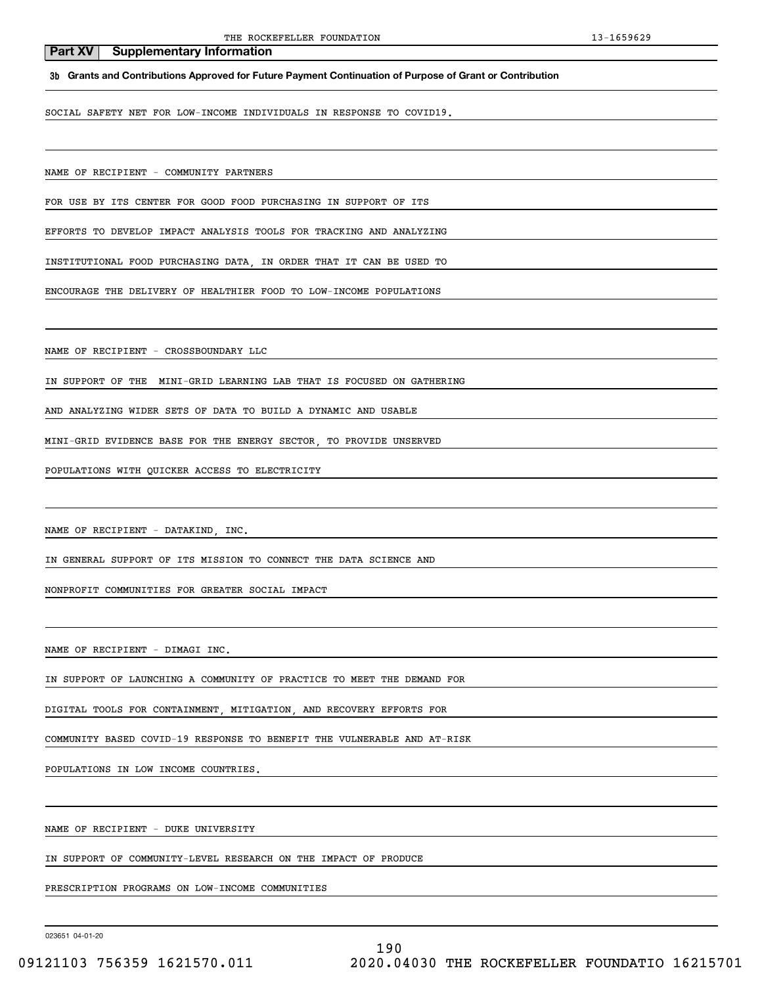**3b Grants and Contributions Approved for Future Payment Continuation of Purpose of Grant or Contribution**

SOCIAL SAFETY NET FOR LOW-INCOME INDIVIDUALS IN RESPONSE TO COVID19.

NAME OF RECIPIENT - COMMUNITY PARTNERS

FOR USE BY ITS CENTER FOR GOOD FOOD PURCHASING IN SUPPORT OF ITS

EFFORTS TO DEVELOP IMPACT ANALYSIS TOOLS FOR TRACKING AND ANALYZING

INSTITUTIONAL FOOD PURCHASING DATA, IN ORDER THAT IT CAN BE USED TO

ENCOURAGE THE DELIVERY OF HEALTHIER FOOD TO LOW-INCOME POPULATIONS

NAME OF RECIPIENT - CROSSBOUNDARY LLC

IN SUPPORT OF THE MINI-GRID LEARNING LAB THAT IS FOCUSED ON GATHERING

AND ANALYZING WIDER SETS OF DATA TO BUILD A DYNAMIC AND USABLE

MINI-GRID EVIDENCE BASE FOR THE ENERGY SECTOR, TO PROVIDE UNSERVED

POPULATIONS WITH QUICKER ACCESS TO ELECTRICITY

NAME OF RECIPIENT - DATAKIND, INC.

IN GENERAL SUPPORT OF ITS MISSION TO CONNECT THE DATA SCIENCE AND

NONPROFIT COMMUNITIES FOR GREATER SOCIAL IMPACT

NAME OF RECIPIENT - DIMAGI INC.

IN SUPPORT OF LAUNCHING A COMMUNITY OF PRACTICE TO MEET THE DEMAND FOR

DIGITAL TOOLS FOR CONTAINMENT, MITIGATION, AND RECOVERY EFFORTS FOR

COMMUNITY BASED COVID-19 RESPONSE TO BENEFIT THE VULNERABLE AND AT-RISK

POPULATIONS IN LOW INCOME COUNTRIES.

NAME OF RECIPIENT - DUKE UNIVERSITY

IN SUPPORT OF COMMUNITY-LEVEL RESEARCH ON THE IMPACT OF PRODUCE

PRESCRIPTION PROGRAMS ON LOW-INCOME COMMUNITIES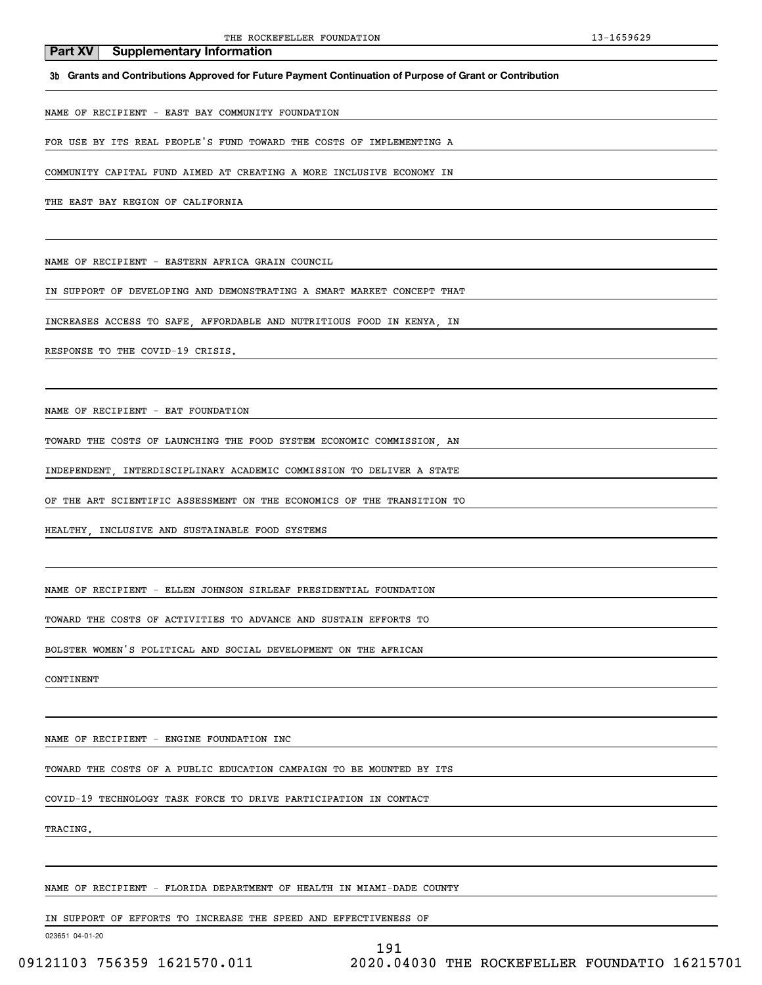**3b Grants and Contributions Approved for Future Payment Continuation of Purpose of Grant or Contribution**

NAME OF RECIPIENT - EAST BAY COMMUNITY FOUNDATION

FOR USE BY ITS REAL PEOPLE'S FUND TOWARD THE COSTS OF IMPLEMENTING A

COMMUNITY CAPITAL FUND AIMED AT CREATING A MORE INCLUSIVE ECONOMY IN

THE EAST BAY REGION OF CALIFORNIA

NAME OF RECIPIENT - EASTERN AFRICA GRAIN COUNCIL

IN SUPPORT OF DEVELOPING AND DEMONSTRATING A SMART MARKET CONCEPT THAT

INCREASES ACCESS TO SAFE, AFFORDABLE AND NUTRITIOUS FOOD IN KENYA, IN

RESPONSE TO THE COVID-19 CRISIS.

NAME OF RECIPIENT - EAT FOUNDATION

TOWARD THE COSTS OF LAUNCHING THE FOOD SYSTEM ECONOMIC COMMISSION, AN

INDEPENDENT, INTERDISCIPLINARY ACADEMIC COMMISSION TO DELIVER A STATE

OF THE ART SCIENTIFIC ASSESSMENT ON THE ECONOMICS OF THE TRANSITION TO

HEALTHY, INCLUSIVE AND SUSTAINABLE FOOD SYSTEMS

NAME OF RECIPIENT - ELLEN JOHNSON SIRLEAF PRESIDENTIAL FOUNDATION

TOWARD THE COSTS OF ACTIVITIES TO ADVANCE AND SUSTAIN EFFORTS TO

BOLSTER WOMEN'S POLITICAL AND SOCIAL DEVELOPMENT ON THE AFRICAN

CONTINENT

NAME OF RECIPIENT - ENGINE FOUNDATION INC

TOWARD THE COSTS OF A PUBLIC EDUCATION CAMPAIGN TO BE MOUNTED BY ITS

COVID-19 TECHNOLOGY TASK FORCE TO DRIVE PARTICIPATION IN CONTACT

TRACING.

NAME OF RECIPIENT - FLORIDA DEPARTMENT OF HEALTH IN MIAMI-DADE COUNTY

IN SUPPORT OF EFFORTS TO INCREASE THE SPEED AND EFFECTIVENESS OF

023651 04-01-20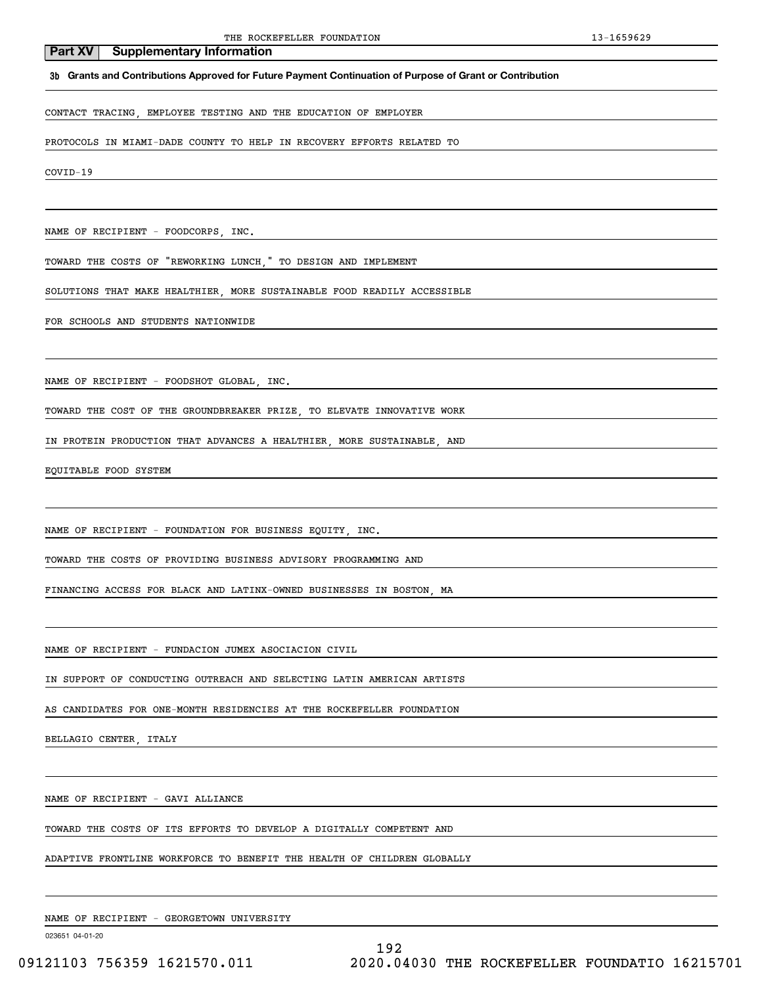### **3b Grants and Contributions Approved for Future Payment Continuation of Purpose of Grant or Contribution**

## CONTACT TRACING, EMPLOYEE TESTING AND THE EDUCATION OF EMPLOYER

PROTOCOLS IN MIAMI-DADE COUNTY TO HELP IN RECOVERY EFFORTS RELATED TO

COVID-19

NAME OF RECIPIENT - FOODCORPS, INC.

TOWARD THE COSTS OF "REWORKING LUNCH," TO DESIGN AND IMPLEMENT

SOLUTIONS THAT MAKE HEALTHIER, MORE SUSTAINABLE FOOD READILY ACCESSIBLE

FOR SCHOOLS AND STUDENTS NATIONWIDE

NAME OF RECIPIENT - FOODSHOT GLOBAL, INC.

TOWARD THE COST OF THE GROUNDBREAKER PRIZE, TO ELEVATE INNOVATIVE WORK

IN PROTEIN PRODUCTION THAT ADVANCES A HEALTHIER, MORE SUSTAINABLE, AND

EQUITABLE FOOD SYSTEM

NAME OF RECIPIENT - FOUNDATION FOR BUSINESS EQUITY, INC.

TOWARD THE COSTS OF PROVIDING BUSINESS ADVISORY PROGRAMMING AND

FINANCING ACCESS FOR BLACK AND LATINX-OWNED BUSINESSES IN BOSTON, MA

NAME OF RECIPIENT - FUNDACION JUMEX ASOCIACION CIVIL

IN SUPPORT OF CONDUCTING OUTREACH AND SELECTING LATIN AMERICAN ARTISTS

AS CANDIDATES FOR ONE-MONTH RESIDENCIES AT THE ROCKEFELLER FOUNDATION

BELLAGIO CENTER, ITALY

NAME OF RECIPIENT - GAVI ALLIANCE

TOWARD THE COSTS OF ITS EFFORTS TO DEVELOP A DIGITALLY COMPETENT AND

ADAPTIVE FRONTLINE WORKFORCE TO BENEFIT THE HEALTH OF CHILDREN GLOBALLY

NAME OF RECIPIENT - GEORGETOWN UNIVERSITY

023651 04-01-20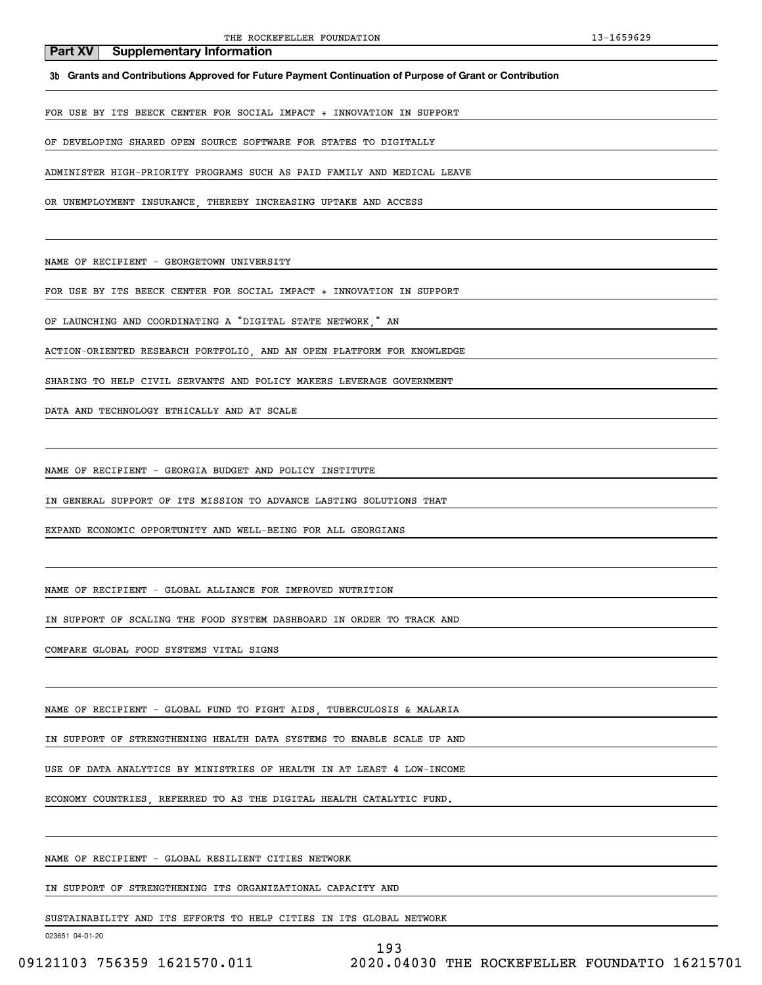**3b Grants and Contributions Approved for Future Payment Continuation of Purpose of Grant or Contribution**

FOR USE BY ITS BEECK CENTER FOR SOCIAL IMPACT + INNOVATION IN SUPPORT

OF DEVELOPING SHARED OPEN SOURCE SOFTWARE FOR STATES TO DIGITALLY

ADMINISTER HIGH-PRIORITY PROGRAMS SUCH AS PAID FAMILY AND MEDICAL LEAVE

OR UNEMPLOYMENT INSURANCE, THEREBY INCREASING UPTAKE AND ACCESS

NAME OF RECIPIENT - GEORGETOWN UNIVERSITY

FOR USE BY ITS BEECK CENTER FOR SOCIAL IMPACT + INNOVATION IN SUPPORT

OF LAUNCHING AND COORDINATING A "DIGITAL STATE NETWORK," AN

ACTION-ORIENTED RESEARCH PORTFOLIO, AND AN OPEN PLATFORM FOR KNOWLEDGE

SHARING TO HELP CIVIL SERVANTS AND POLICY MAKERS LEVERAGE GOVERNMENT

DATA AND TECHNOLOGY ETHICALLY AND AT SCALE

NAME OF RECIPIENT - GEORGIA BUDGET AND POLICY INSTITUTE

IN GENERAL SUPPORT OF ITS MISSION TO ADVANCE LASTING SOLUTIONS THAT

EXPAND ECONOMIC OPPORTUNITY AND WELL-BEING FOR ALL GEORGIANS

NAME OF RECIPIENT - GLOBAL ALLIANCE FOR IMPROVED NUTRITION

IN SUPPORT OF SCALING THE FOOD SYSTEM DASHBOARD IN ORDER TO TRACK AND

COMPARE GLOBAL FOOD SYSTEMS VITAL SIGNS

NAME OF RECIPIENT - GLOBAL FUND TO FIGHT AIDS, TUBERCULOSIS & MALARIA

IN SUPPORT OF STRENGTHENING HEALTH DATA SYSTEMS TO ENABLE SCALE UP AND

USE OF DATA ANALYTICS BY MINISTRIES OF HEALTH IN AT LEAST 4 LOW-INCOME

ECONOMY COUNTRIES, REFERRED TO AS THE DIGITAL HEALTH CATALYTIC FUND.

NAME OF RECIPIENT - GLOBAL RESILIENT CITIES NETWORK

IN SUPPORT OF STRENGTHENING ITS ORGANIZATIONAL CAPACITY AND

SUSTAINABILITY AND ITS EFFORTS TO HELP CITIES IN ITS GLOBAL NETWORK

023651 04-01-20

193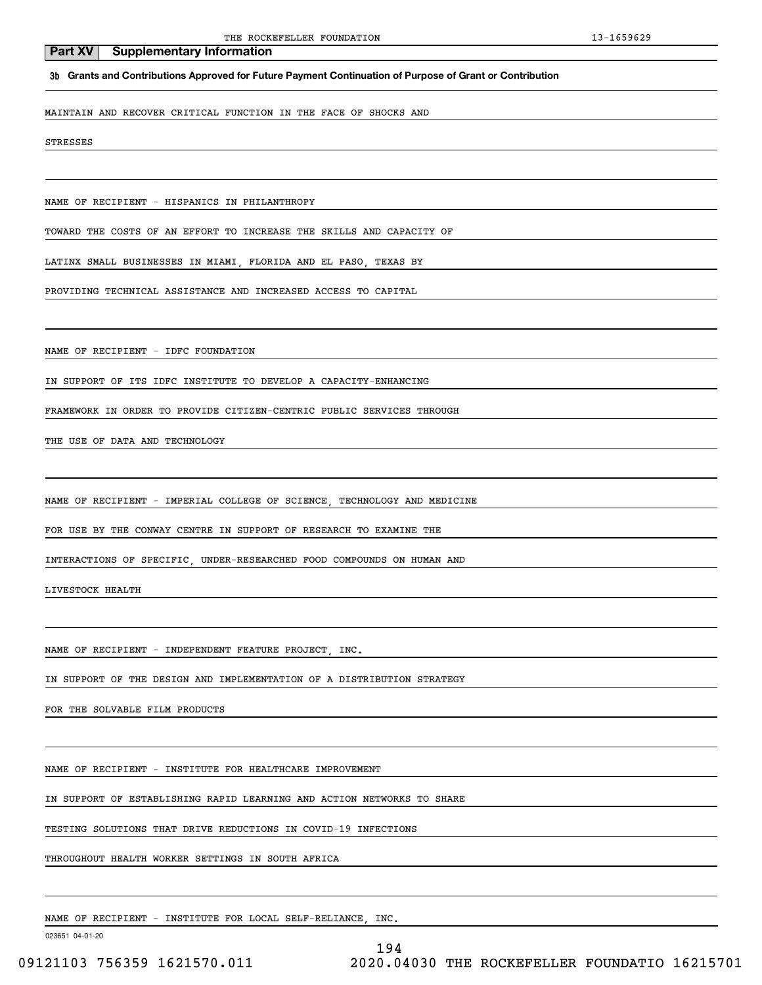**3b Grants and Contributions Approved for Future Payment Continuation of Purpose of Grant or Contribution**

MAINTAIN AND RECOVER CRITICAL FUNCTION IN THE FACE OF SHOCKS AND

STRESSES

NAME OF RECIPIENT - HISPANICS IN PHILANTHROPY

TOWARD THE COSTS OF AN EFFORT TO INCREASE THE SKILLS AND CAPACITY OF

LATINX SMALL BUSINESSES IN MIAMI, FLORIDA AND EL PASO, TEXAS BY

PROVIDING TECHNICAL ASSISTANCE AND INCREASED ACCESS TO CAPITAL

NAME OF RECIPIENT - IDFC FOUNDATION

IN SUPPORT OF ITS IDFC INSTITUTE TO DEVELOP A CAPACITY-ENHANCING

FRAMEWORK IN ORDER TO PROVIDE CITIZEN-CENTRIC PUBLIC SERVICES THROUGH

THE USE OF DATA AND TECHNOLOGY

NAME OF RECIPIENT - IMPERIAL COLLEGE OF SCIENCE, TECHNOLOGY AND MEDICINE

FOR USE BY THE CONWAY CENTRE IN SUPPORT OF RESEARCH TO EXAMINE THE

INTERACTIONS OF SPECIFIC, UNDER-RESEARCHED FOOD COMPOUNDS ON HUMAN AND

LIVESTOCK HEALTH

NAME OF RECIPIENT - INDEPENDENT FEATURE PROJECT, INC.

IN SUPPORT OF THE DESIGN AND IMPLEMENTATION OF A DISTRIBUTION STRATEGY

FOR THE SOLVABLE FILM PRODUCTS

NAME OF RECIPIENT - INSTITUTE FOR HEALTHCARE IMPROVEMENT

IN SUPPORT OF ESTABLISHING RAPID LEARNING AND ACTION NETWORKS TO SHARE

TESTING SOLUTIONS THAT DRIVE REDUCTIONS IN COVID-19 INFECTIONS

THROUGHOUT HEALTH WORKER SETTINGS IN SOUTH AFRICA

NAME OF RECIPIENT - INSTITUTE FOR LOCAL SELF-RELIANCE, INC.

023651 04-01-20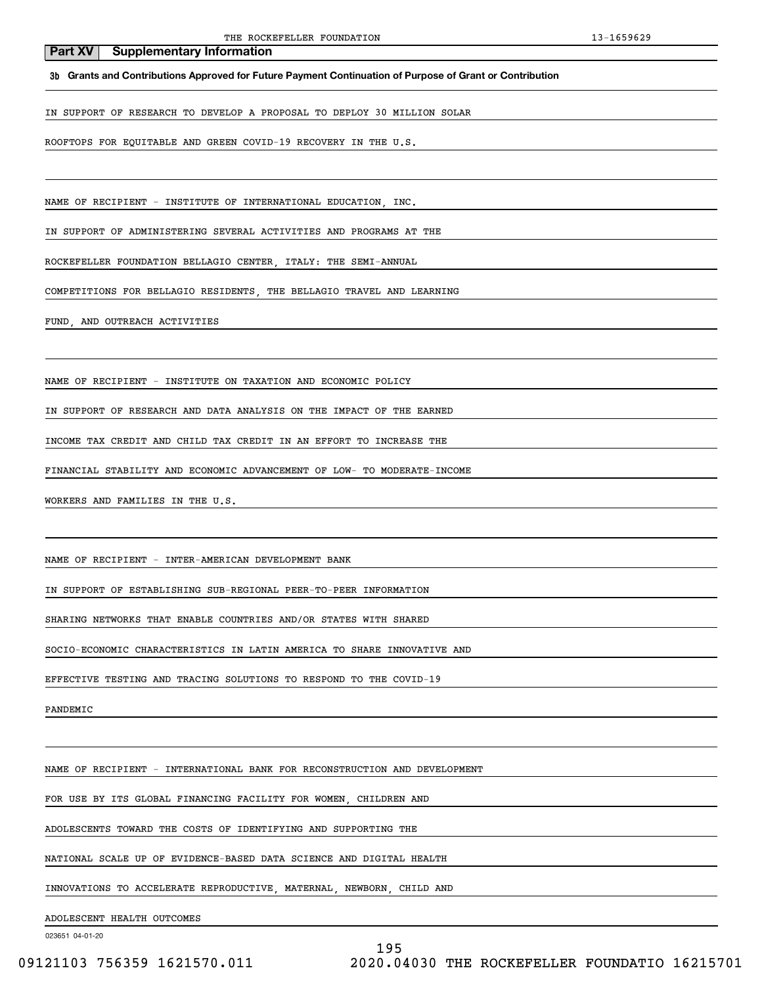**3b Grants and Contributions Approved for Future Payment Continuation of Purpose of Grant or Contribution**

IN SUPPORT OF RESEARCH TO DEVELOP A PROPOSAL TO DEPLOY 30 MILLION SOLAR

ROOFTOPS FOR EQUITABLE AND GREEN COVID-19 RECOVERY IN THE U.S.

NAME OF RECIPIENT - INSTITUTE OF INTERNATIONAL EDUCATION, INC.

IN SUPPORT OF ADMINISTERING SEVERAL ACTIVITIES AND PROGRAMS AT THE

ROCKEFELLER FOUNDATION BELLAGIO CENTER, ITALY: THE SEMI-ANNUAL

COMPETITIONS FOR BELLAGIO RESIDENTS, THE BELLAGIO TRAVEL AND LEARNING

FUND, AND OUTREACH ACTIVITIES

NAME OF RECIPIENT - INSTITUTE ON TAXATION AND ECONOMIC POLICY

IN SUPPORT OF RESEARCH AND DATA ANALYSIS ON THE IMPACT OF THE EARNED

INCOME TAX CREDIT AND CHILD TAX CREDIT IN AN EFFORT TO INCREASE THE

FINANCIAL STABILITY AND ECONOMIC ADVANCEMENT OF LOW- TO MODERATE-INCOME

WORKERS AND FAMILIES IN THE U.S.

NAME OF RECIPIENT - INTER-AMERICAN DEVELOPMENT BANK

IN SUPPORT OF ESTABLISHING SUB-REGIONAL PEER-TO-PEER INFORMATION

SHARING NETWORKS THAT ENABLE COUNTRIES AND/OR STATES WITH SHARED

SOCIO-ECONOMIC CHARACTERISTICS IN LATIN AMERICA TO SHARE INNOVATIVE AND

EFFECTIVE TESTING AND TRACING SOLUTIONS TO RESPOND TO THE COVID-19

PANDEMIC

NAME OF RECIPIENT - INTERNATIONAL BANK FOR RECONSTRUCTION AND DEVELOPMENT

FOR USE BY ITS GLOBAL FINANCING FACILITY FOR WOMEN, CHILDREN AND

ADOLESCENTS TOWARD THE COSTS OF IDENTIFYING AND SUPPORTING THE

NATIONAL SCALE UP OF EVIDENCE-BASED DATA SCIENCE AND DIGITAL HEALTH

INNOVATIONS TO ACCELERATE REPRODUCTIVE, MATERNAL, NEWBORN, CHILD AND

ADOLESCENT HEALTH OUTCOMES

023651 04-01-20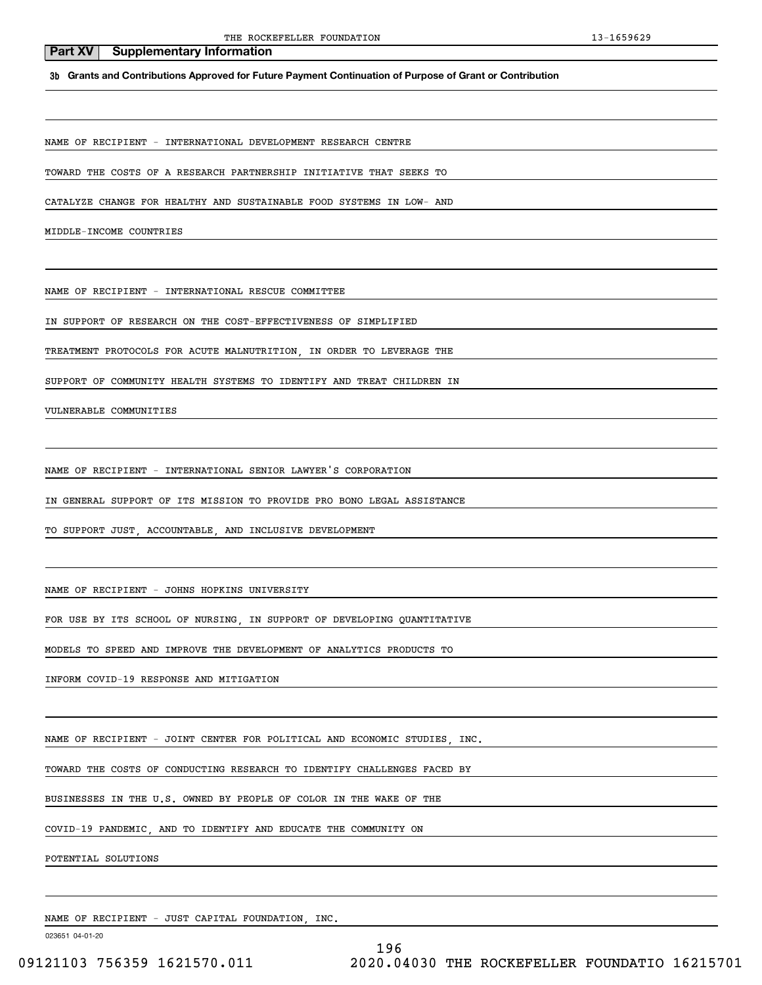**3b Grants and Contributions Approved for Future Payment Continuation of Purpose of Grant or Contribution**

NAME OF RECIPIENT - INTERNATIONAL DEVELOPMENT RESEARCH CENTRE

TOWARD THE COSTS OF A RESEARCH PARTNERSHIP INITIATIVE THAT SEEKS TO

CATALYZE CHANGE FOR HEALTHY AND SUSTAINABLE FOOD SYSTEMS IN LOW- AND

MIDDLE-INCOME COUNTRIES

NAME OF RECIPIENT - INTERNATIONAL RESCUE COMMITTEE

IN SUPPORT OF RESEARCH ON THE COST-EFFECTIVENESS OF SIMPLIFIED

TREATMENT PROTOCOLS FOR ACUTE MALNUTRITION, IN ORDER TO LEVERAGE THE

SUPPORT OF COMMUNITY HEALTH SYSTEMS TO IDENTIFY AND TREAT CHILDREN IN

VULNERABLE COMMUNITIES

NAME OF RECIPIENT - INTERNATIONAL SENIOR LAWYER'S CORPORATION

IN GENERAL SUPPORT OF ITS MISSION TO PROVIDE PRO BONO LEGAL ASSISTANCE

TO SUPPORT JUST, ACCOUNTABLE, AND INCLUSIVE DEVELOPMENT

NAME OF RECIPIENT - JOHNS HOPKINS UNIVERSITY

FOR USE BY ITS SCHOOL OF NURSING, IN SUPPORT OF DEVELOPING QUANTITATIVE

MODELS TO SPEED AND IMPROVE THE DEVELOPMENT OF ANALYTICS PRODUCTS TO

INFORM COVID-19 RESPONSE AND MITIGATION

NAME OF RECIPIENT - JOINT CENTER FOR POLITICAL AND ECONOMIC STUDIES, INC.

TOWARD THE COSTS OF CONDUCTING RESEARCH TO IDENTIFY CHALLENGES FACED BY

BUSINESSES IN THE U.S. OWNED BY PEOPLE OF COLOR IN THE WAKE OF THE

COVID-19 PANDEMIC, AND TO IDENTIFY AND EDUCATE THE COMMUNITY ON

POTENTIAL SOLUTIONS

NAME OF RECIPIENT - JUST CAPITAL FOUNDATION, INC.

023651 04-01-20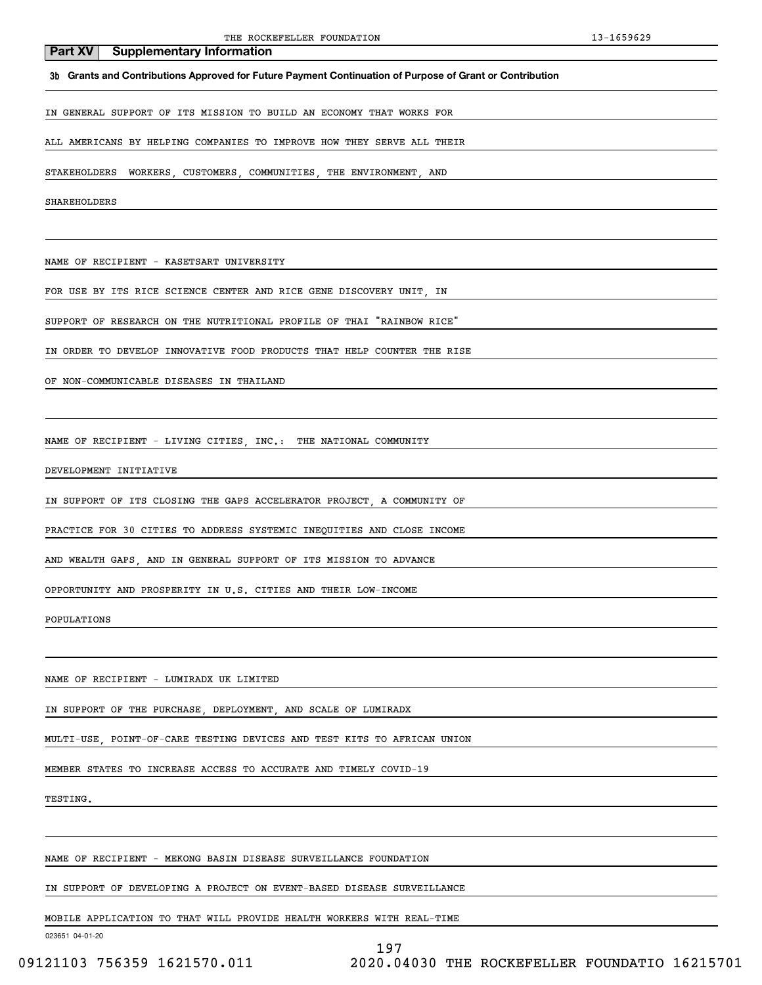**3b Grants and Contributions Approved for Future Payment Continuation of Purpose of Grant or Contribution**

IN GENERAL SUPPORT OF ITS MISSION TO BUILD AN ECONOMY THAT WORKS FOR

ALL AMERICANS BY HELPING COMPANIES TO IMPROVE HOW THEY SERVE ALL THEIR

STAKEHOLDERS WORKERS, CUSTOMERS, COMMUNITIES, THE ENVIRONMENT, AND

SHAREHOLDERS

NAME OF RECIPIENT - KASETSART UNIVERSITY

FOR USE BY ITS RICE SCIENCE CENTER AND RICE GENE DISCOVERY UNIT, IN

SUPPORT OF RESEARCH ON THE NUTRITIONAL PROFILE OF THAI "RAINBOW RICE"

IN ORDER TO DEVELOP INNOVATIVE FOOD PRODUCTS THAT HELP COUNTER THE RISE

OF NON-COMMUNICABLE DISEASES IN THAILAND

NAME OF RECIPIENT - LIVING CITIES, INC.: THE NATIONAL COMMUNITY

DEVELOPMENT INITIATIVE

IN SUPPORT OF ITS CLOSING THE GAPS ACCELERATOR PROJECT, A COMMUNITY OF

PRACTICE FOR 30 CITIES TO ADDRESS SYSTEMIC INEQUITIES AND CLOSE INCOME

AND WEALTH GAPS, AND IN GENERAL SUPPORT OF ITS MISSION TO ADVANCE

OPPORTUNITY AND PROSPERITY IN U.S. CITIES AND THEIR LOW-INCOME

POPULATIONS

NAME OF RECIPIENT - LUMIRADX UK LIMITED

IN SUPPORT OF THE PURCHASE, DEPLOYMENT, AND SCALE OF LUMIRADX

MULTI-USE, POINT-OF-CARE TESTING DEVICES AND TEST KITS TO AFRICAN UNION

MEMBER STATES TO INCREASE ACCESS TO ACCURATE AND TIMELY COVID-19

TESTING.

NAME OF RECIPIENT - MEKONG BASIN DISEASE SURVEILLANCE FOUNDATION

IN SUPPORT OF DEVELOPING A PROJECT ON EVENT-BASED DISEASE SURVEILLANCE

MOBILE APPLICATION TO THAT WILL PROVIDE HEALTH WORKERS WITH REAL-TIME

023651 04-01-20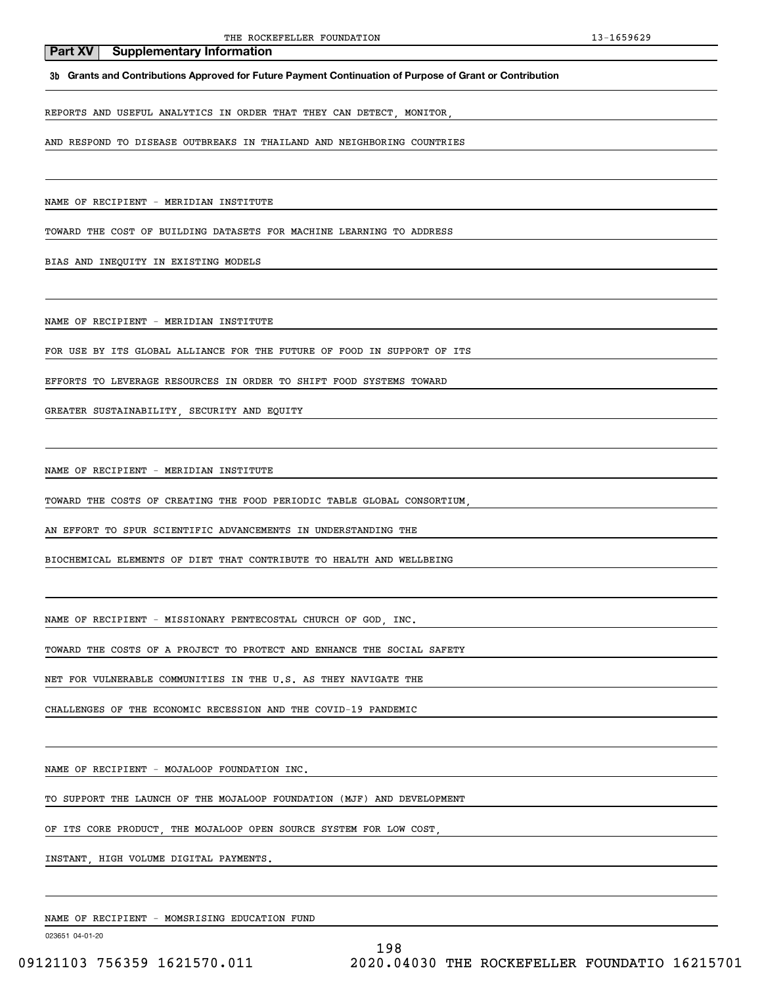**3b Grants and Contributions Approved for Future Payment Continuation of Purpose of Grant or Contribution**

REPORTS AND USEFUL ANALYTICS IN ORDER THAT THEY CAN DETECT, MONITOR,

AND RESPOND TO DISEASE OUTBREAKS IN THAILAND AND NEIGHBORING COUNTRIES

NAME OF RECIPIENT - MERIDIAN INSTITUTE

TOWARD THE COST OF BUILDING DATASETS FOR MACHINE LEARNING TO ADDRESS

BIAS AND INEQUITY IN EXISTING MODELS

NAME OF RECIPIENT - MERIDIAN INSTITUTE

FOR USE BY ITS GLOBAL ALLIANCE FOR THE FUTURE OF FOOD IN SUPPORT OF ITS

EFFORTS TO LEVERAGE RESOURCES IN ORDER TO SHIFT FOOD SYSTEMS TOWARD

GREATER SUSTAINABILITY, SECURITY AND EQUITY

NAME OF RECIPIENT - MERIDIAN INSTITUTE

TOWARD THE COSTS OF CREATING THE FOOD PERIODIC TABLE GLOBAL CONSORTIUM,

AN EFFORT TO SPUR SCIENTIFIC ADVANCEMENTS IN UNDERSTANDING THE

BIOCHEMICAL ELEMENTS OF DIET THAT CONTRIBUTE TO HEALTH AND WELLBEING

NAME OF RECIPIENT - MISSIONARY PENTECOSTAL CHURCH OF GOD, INC.

TOWARD THE COSTS OF A PROJECT TO PROTECT AND ENHANCE THE SOCIAL SAFETY

NET FOR VULNERABLE COMMUNITIES IN THE U.S. AS THEY NAVIGATE THE

CHALLENGES OF THE ECONOMIC RECESSION AND THE COVID-19 PANDEMIC

NAME OF RECIPIENT - MOJALOOP FOUNDATION INC.

TO SUPPORT THE LAUNCH OF THE MOJALOOP FOUNDATION (MJF) AND DEVELOPMENT

OF ITS CORE PRODUCT, THE MOJALOOP OPEN SOURCE SYSTEM FOR LOW COST,

INSTANT, HIGH VOLUME DIGITAL PAYMENTS.

NAME OF RECIPIENT - MOMSRISING EDUCATION FUND

023651 04-01-20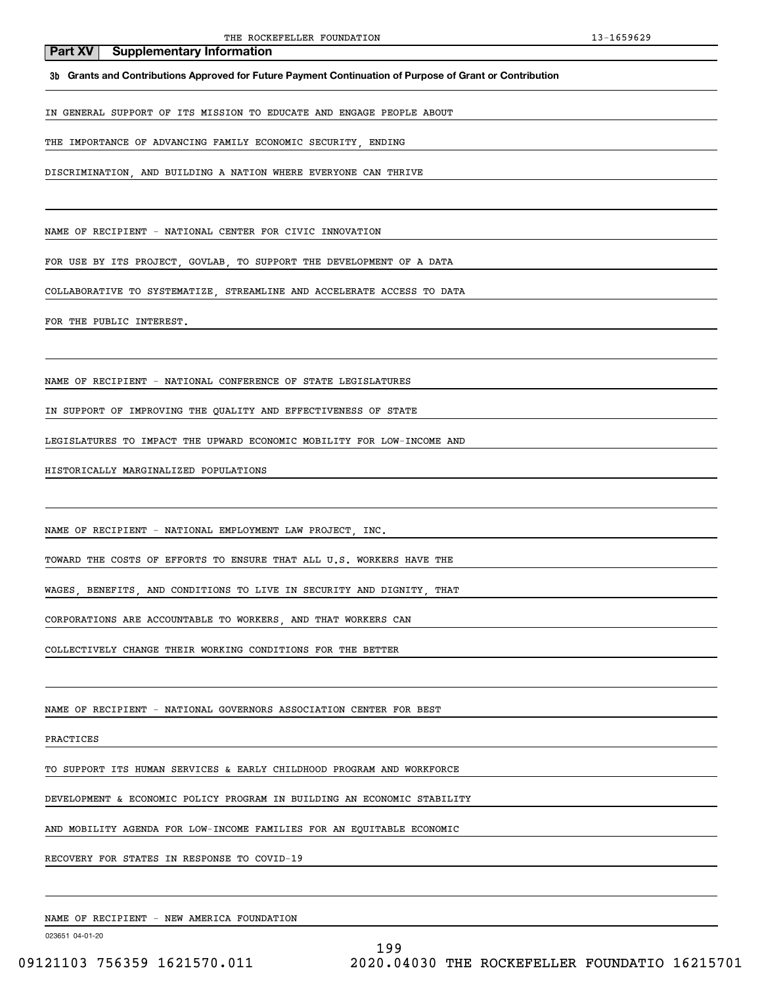**3b Grants and Contributions Approved for Future Payment Continuation of Purpose of Grant or Contribution**

IN GENERAL SUPPORT OF ITS MISSION TO EDUCATE AND ENGAGE PEOPLE ABOUT

THE IMPORTANCE OF ADVANCING FAMILY ECONOMIC SECURITY, ENDING

DISCRIMINATION, AND BUILDING A NATION WHERE EVERYONE CAN THRIVE

NAME OF RECIPIENT - NATIONAL CENTER FOR CIVIC INNOVATION

FOR USE BY ITS PROJECT, GOVLAB, TO SUPPORT THE DEVELOPMENT OF A DATA

COLLABORATIVE TO SYSTEMATIZE, STREAMLINE AND ACCELERATE ACCESS TO DATA

FOR THE PUBLIC INTEREST.

NAME OF RECIPIENT - NATIONAL CONFERENCE OF STATE LEGISLATURES

IN SUPPORT OF IMPROVING THE QUALITY AND EFFECTIVENESS OF STATE

LEGISLATURES TO IMPACT THE UPWARD ECONOMIC MOBILITY FOR LOW-INCOME AND

HISTORICALLY MARGINALIZED POPULATIONS

NAME OF RECIPIENT - NATIONAL EMPLOYMENT LAW PROJECT, INC.

TOWARD THE COSTS OF EFFORTS TO ENSURE THAT ALL U.S. WORKERS HAVE THE

WAGES, BENEFITS, AND CONDITIONS TO LIVE IN SECURITY AND DIGNITY, THAT

CORPORATIONS ARE ACCOUNTABLE TO WORKERS, AND THAT WORKERS CAN

COLLECTIVELY CHANGE THEIR WORKING CONDITIONS FOR THE BETTER

NAME OF RECIPIENT - NATIONAL GOVERNORS ASSOCIATION CENTER FOR BEST

PRACTICES

TO SUPPORT ITS HUMAN SERVICES & EARLY CHILDHOOD PROGRAM AND WORKFORCE

DEVELOPMENT & ECONOMIC POLICY PROGRAM IN BUILDING AN ECONOMIC STABILITY

AND MOBILITY AGENDA FOR LOW-INCOME FAMILIES FOR AN EQUITABLE ECONOMIC

RECOVERY FOR STATES IN RESPONSE TO COVID-19

NAME OF RECIPIENT - NEW AMERICA FOUNDATION

023651 04-01-20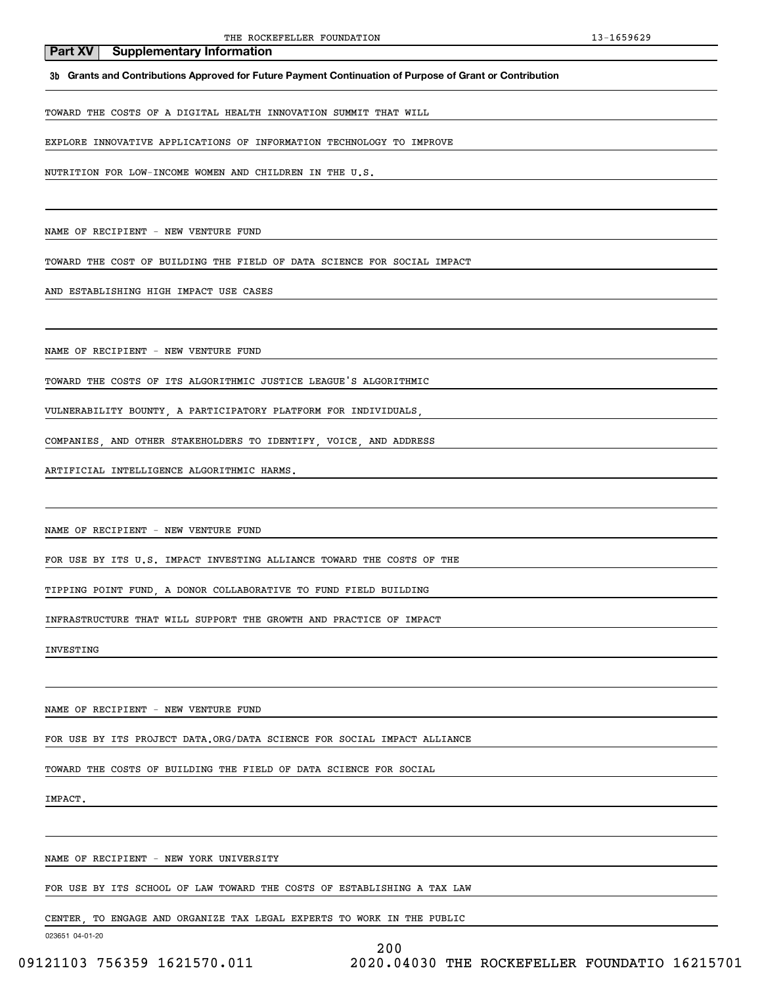**3b Grants and Contributions Approved for Future Payment Continuation of Purpose of Grant or Contribution**

TOWARD THE COSTS OF A DIGITAL HEALTH INNOVATION SUMMIT THAT WILL

EXPLORE INNOVATIVE APPLICATIONS OF INFORMATION TECHNOLOGY TO IMPROVE

NUTRITION FOR LOW-INCOME WOMEN AND CHILDREN IN THE U.S.

NAME OF RECIPIENT - NEW VENTURE FUND

TOWARD THE COST OF BUILDING THE FIELD OF DATA SCIENCE FOR SOCIAL IMPACT

AND ESTABLISHING HIGH IMPACT USE CASES

NAME OF RECIPIENT - NEW VENTURE FUND

TOWARD THE COSTS OF ITS ALGORITHMIC JUSTICE LEAGUE'S ALGORITHMIC

VULNERABILITY BOUNTY, A PARTICIPATORY PLATFORM FOR INDIVIDUALS,

COMPANIES, AND OTHER STAKEHOLDERS TO IDENTIFY, VOICE, AND ADDRESS

ARTIFICIAL INTELLIGENCE ALGORITHMIC HARMS.

NAME OF RECIPIENT - NEW VENTURE FUND

FOR USE BY ITS U.S. IMPACT INVESTING ALLIANCE TOWARD THE COSTS OF THE

TIPPING POINT FUND, A DONOR COLLABORATIVE TO FUND FIELD BUILDING

INFRASTRUCTURE THAT WILL SUPPORT THE GROWTH AND PRACTICE OF IMPACT

INVESTING

NAME OF RECIPIENT - NEW VENTURE FUND

FOR USE BY ITS PROJECT DATA.ORG/DATA SCIENCE FOR SOCIAL IMPACT ALLIANCE

TOWARD THE COSTS OF BUILDING THE FIELD OF DATA SCIENCE FOR SOCIAL

IMPACT.

NAME OF RECIPIENT - NEW YORK UNIVERSITY

FOR USE BY ITS SCHOOL OF LAW TOWARD THE COSTS OF ESTABLISHING A TAX LAW

CENTER, TO ENGAGE AND ORGANIZE TAX LEGAL EXPERTS TO WORK IN THE PUBLIC

023651 04-01-20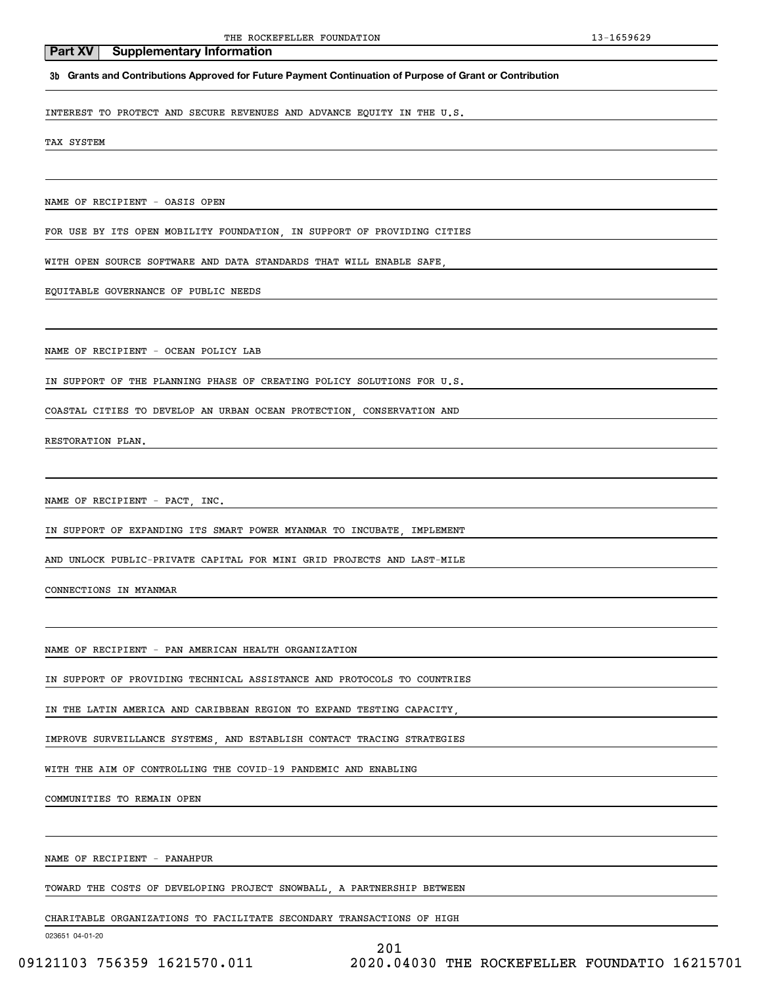### **3b Grants and Contributions Approved for Future Payment Continuation of Purpose of Grant or Contribution**

INTEREST TO PROTECT AND SECURE REVENUES AND ADVANCE EQUITY IN THE U.S.

TAX SYSTEM

NAME OF RECIPIENT - OASIS OPEN

FOR USE BY ITS OPEN MOBILITY FOUNDATION, IN SUPPORT OF PROVIDING CITIES

WITH OPEN SOURCE SOFTWARE AND DATA STANDARDS THAT WILL ENABLE SAFE,

EQUITABLE GOVERNANCE OF PUBLIC NEEDS

NAME OF RECIPIENT - OCEAN POLICY LAB

IN SUPPORT OF THE PLANNING PHASE OF CREATING POLICY SOLUTIONS FOR U.S.

COASTAL CITIES TO DEVELOP AN URBAN OCEAN PROTECTION, CONSERVATION AND

RESTORATION PLAN.

NAME OF RECIPIENT - PACT, INC.

IN SUPPORT OF EXPANDING ITS SMART POWER MYANMAR TO INCUBATE, IMPLEMENT

AND UNLOCK PUBLIC-PRIVATE CAPITAL FOR MINI GRID PROJECTS AND LAST-MILE

CONNECTIONS IN MYANMAR

NAME OF RECIPIENT - PAN AMERICAN HEALTH ORGANIZATION

IN SUPPORT OF PROVIDING TECHNICAL ASSISTANCE AND PROTOCOLS TO COUNTRIES

IN THE LATIN AMERICA AND CARIBBEAN REGION TO EXPAND TESTING CAPACITY,

IMPROVE SURVEILLANCE SYSTEMS, AND ESTABLISH CONTACT TRACING STRATEGIES

WITH THE AIM OF CONTROLLING THE COVID-19 PANDEMIC AND ENABLING

COMMUNITIES TO REMAIN OPEN

NAME OF RECIPIENT - PANAHPUR

TOWARD THE COSTS OF DEVELOPING PROJECT SNOWBALL, A PARTNERSHIP BETWEEN

CHARITABLE ORGANIZATIONS TO FACILITATE SECONDARY TRANSACTIONS OF HIGH

023651 04-01-20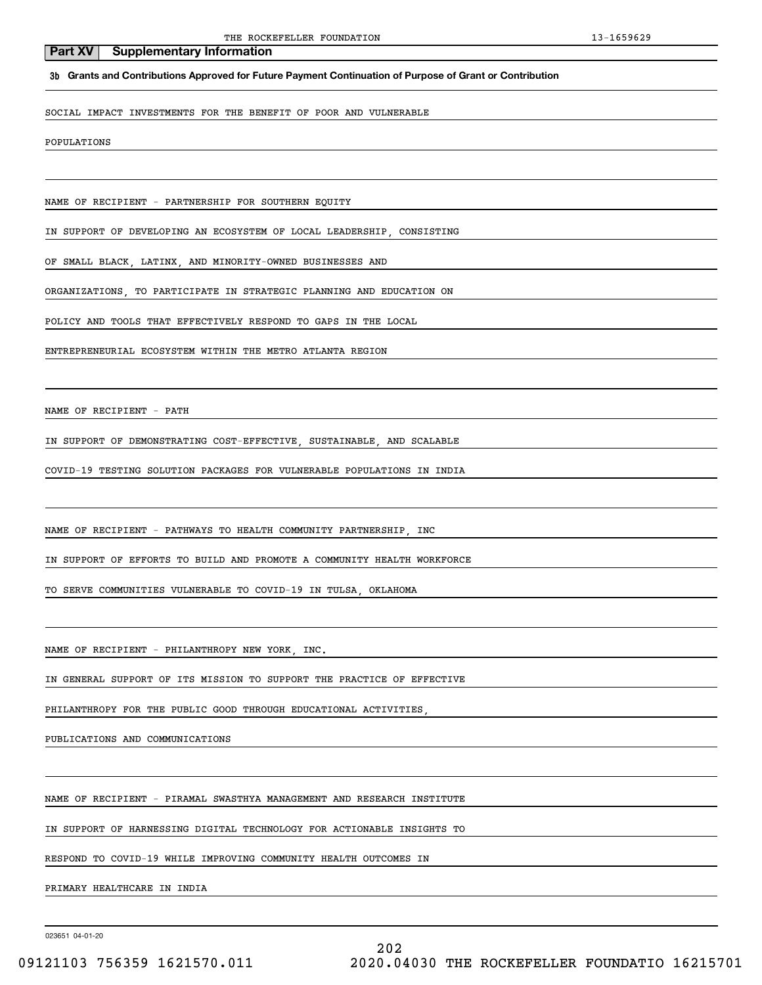**3b Grants and Contributions Approved for Future Payment Continuation of Purpose of Grant or Contribution**

SOCIAL IMPACT INVESTMENTS FOR THE BENEFIT OF POOR AND VULNERABLE

POPULATIONS

NAME OF RECIPIENT - PARTNERSHIP FOR SOUTHERN EQUITY

IN SUPPORT OF DEVELOPING AN ECOSYSTEM OF LOCAL LEADERSHIP, CONSISTING

OF SMALL BLACK, LATINX, AND MINORITY-OWNED BUSINESSES AND

ORGANIZATIONS, TO PARTICIPATE IN STRATEGIC PLANNING AND EDUCATION ON

POLICY AND TOOLS THAT EFFECTIVELY RESPOND TO GAPS IN THE LOCAL

ENTREPRENEURIAL ECOSYSTEM WITHIN THE METRO ATLANTA REGION

NAME OF RECIPIENT - PATH

IN SUPPORT OF DEMONSTRATING COST-EFFECTIVE, SUSTAINABLE, AND SCALABLE

COVID-19 TESTING SOLUTION PACKAGES FOR VULNERABLE POPULATIONS IN INDIA

NAME OF RECIPIENT - PATHWAYS TO HEALTH COMMUNITY PARTNERSHIP, INC

IN SUPPORT OF EFFORTS TO BUILD AND PROMOTE A COMMUNITY HEALTH WORKFORCE

TO SERVE COMMUNITIES VULNERABLE TO COVID-19 IN TULSA, OKLAHOMA

NAME OF RECIPIENT - PHILANTHROPY NEW YORK, INC.

IN GENERAL SUPPORT OF ITS MISSION TO SUPPORT THE PRACTICE OF EFFECTIVE

PHILANTHROPY FOR THE PUBLIC GOOD THROUGH EDUCATIONAL ACTIVITIES,

PUBLICATIONS AND COMMUNICATIONS

NAME OF RECIPIENT - PIRAMAL SWASTHYA MANAGEMENT AND RESEARCH INSTITUTE

IN SUPPORT OF HARNESSING DIGITAL TECHNOLOGY FOR ACTIONABLE INSIGHTS TO

RESPOND TO COVID-19 WHILE IMPROVING COMMUNITY HEALTH OUTCOMES IN

PRIMARY HEALTHCARE IN INDIA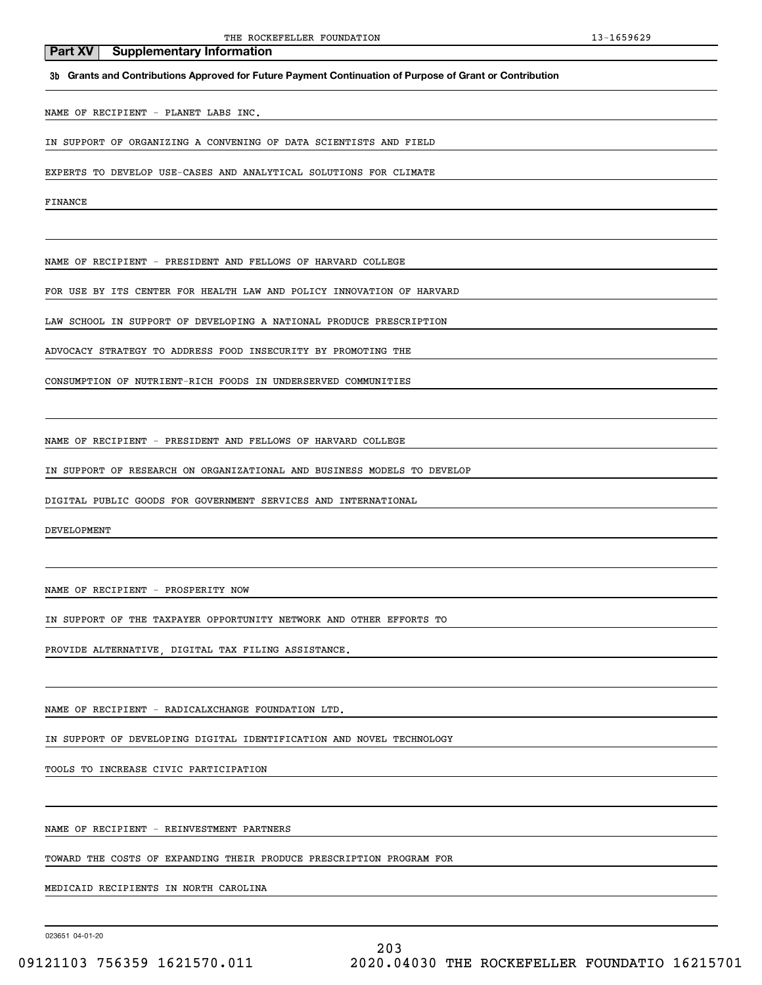**3b Grants and Contributions Approved for Future Payment Continuation of Purpose of Grant or Contribution**

NAME OF RECIPIENT - PLANET LABS INC.

IN SUPPORT OF ORGANIZING A CONVENING OF DATA SCIENTISTS AND FIELD

EXPERTS TO DEVELOP USE-CASES AND ANALYTICAL SOLUTIONS FOR CLIMATE

FINANCE

NAME OF RECIPIENT - PRESIDENT AND FELLOWS OF HARVARD COLLEGE

FOR USE BY ITS CENTER FOR HEALTH LAW AND POLICY INNOVATION OF HARVARD

LAW SCHOOL IN SUPPORT OF DEVELOPING A NATIONAL PRODUCE PRESCRIPTION

ADVOCACY STRATEGY TO ADDRESS FOOD INSECURITY BY PROMOTING THE

CONSUMPTION OF NUTRIENT-RICH FOODS IN UNDERSERVED COMMUNITIES

NAME OF RECIPIENT - PRESIDENT AND FELLOWS OF HARVARD COLLEGE

IN SUPPORT OF RESEARCH ON ORGANIZATIONAL AND BUSINESS MODELS TO DEVELOP

DIGITAL PUBLIC GOODS FOR GOVERNMENT SERVICES AND INTERNATIONAL

DEVELOPMENT

NAME OF RECIPIENT - PROSPERITY NOW

IN SUPPORT OF THE TAXPAYER OPPORTUNITY NETWORK AND OTHER EFFORTS TO

PROVIDE ALTERNATIVE, DIGITAL TAX FILING ASSISTANCE.

NAME OF RECIPIENT - RADICALXCHANGE FOUNDATION LTD.

IN SUPPORT OF DEVELOPING DIGITAL IDENTIFICATION AND NOVEL TECHNOLOGY

TOOLS TO INCREASE CIVIC PARTICIPATION

NAME OF RECIPIENT - REINVESTMENT PARTNERS

TOWARD THE COSTS OF EXPANDING THEIR PRODUCE PRESCRIPTION PROGRAM FOR

MEDICAID RECIPIENTS IN NORTH CAROLINA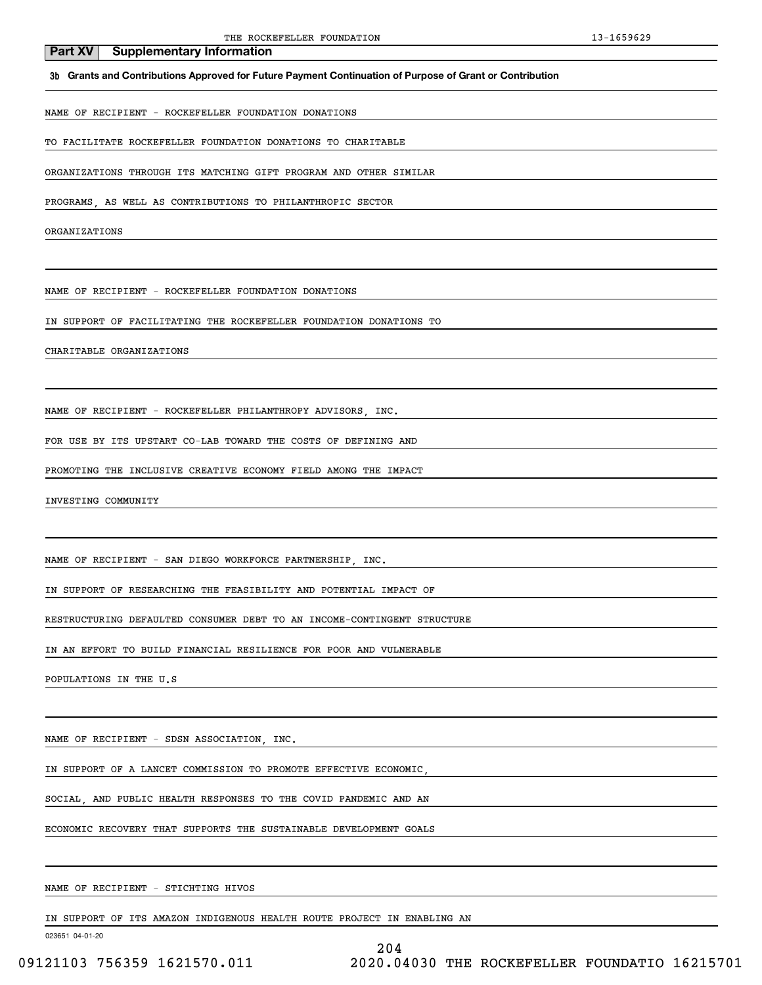### **3b Grants and Contributions Approved for Future Payment Continuation of Purpose of Grant or Contribution**

NAME OF RECIPIENT - ROCKEFELLER FOUNDATION DONATIONS

TO FACILITATE ROCKEFELLER FOUNDATION DONATIONS TO CHARITABLE

ORGANIZATIONS THROUGH ITS MATCHING GIFT PROGRAM AND OTHER SIMILAR

PROGRAMS, AS WELL AS CONTRIBUTIONS TO PHILANTHROPIC SECTOR

ORGANIZATIONS

NAME OF RECIPIENT - ROCKEFELLER FOUNDATION DONATIONS

IN SUPPORT OF FACILITATING THE ROCKEFELLER FOUNDATION DONATIONS TO

CHARITABLE ORGANIZATIONS

NAME OF RECIPIENT - ROCKEFELLER PHILANTHROPY ADVISORS, INC.

FOR USE BY ITS UPSTART CO-LAB TOWARD THE COSTS OF DEFINING AND

PROMOTING THE INCLUSIVE CREATIVE ECONOMY FIELD AMONG THE IMPACT

INVESTING COMMUNITY

NAME OF RECIPIENT - SAN DIEGO WORKFORCE PARTNERSHIP, INC.

IN SUPPORT OF RESEARCHING THE FEASIBILITY AND POTENTIAL IMPACT OF

RESTRUCTURING DEFAULTED CONSUMER DEBT TO AN INCOME-CONTINGENT STRUCTURE

IN AN EFFORT TO BUILD FINANCIAL RESILIENCE FOR POOR AND VULNERABLE

POPULATIONS IN THE U.S

NAME OF RECIPIENT - SDSN ASSOCIATION, INC.

IN SUPPORT OF A LANCET COMMISSION TO PROMOTE EFFECTIVE ECONOMIC,

SOCIAL, AND PUBLIC HEALTH RESPONSES TO THE COVID PANDEMIC AND AN

ECONOMIC RECOVERY THAT SUPPORTS THE SUSTAINABLE DEVELOPMENT GOALS

NAME OF RECIPIENT - STICHTING HIVOS

IN SUPPORT OF ITS AMAZON INDIGENOUS HEALTH ROUTE PROJECT IN ENABLING AN

023651 04-01-20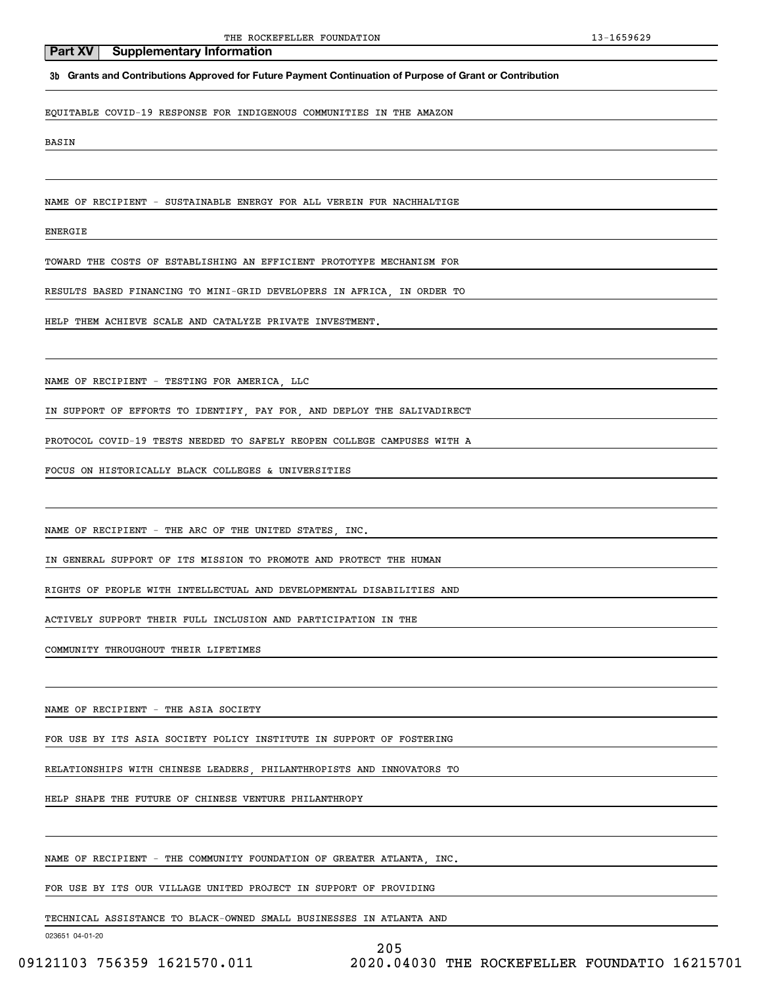**3b Grants and Contributions Approved for Future Payment Continuation of Purpose of Grant or Contribution**

EQUITABLE COVID-19 RESPONSE FOR INDIGENOUS COMMUNITIES IN THE AMAZON

BASIN

NAME OF RECIPIENT - SUSTAINABLE ENERGY FOR ALL VEREIN FUR NACHHALTIGE

ENERGIE

TOWARD THE COSTS OF ESTABLISHING AN EFFICIENT PROTOTYPE MECHANISM FOR

RESULTS BASED FINANCING TO MINI-GRID DEVELOPERS IN AFRICA, IN ORDER TO

HELP THEM ACHIEVE SCALE AND CATALYZE PRIVATE INVESTMENT.

NAME OF RECIPIENT - TESTING FOR AMERICA, LLC

IN SUPPORT OF EFFORTS TO IDENTIFY, PAY FOR, AND DEPLOY THE SALIVADIRECT

PROTOCOL COVID-19 TESTS NEEDED TO SAFELY REOPEN COLLEGE CAMPUSES WITH A

FOCUS ON HISTORICALLY BLACK COLLEGES & UNIVERSITIES

NAME OF RECIPIENT - THE ARC OF THE UNITED STATES, INC.

IN GENERAL SUPPORT OF ITS MISSION TO PROMOTE AND PROTECT THE HUMAN

RIGHTS OF PEOPLE WITH INTELLECTUAL AND DEVELOPMENTAL DISABILITIES AND

ACTIVELY SUPPORT THEIR FULL INCLUSION AND PARTICIPATION IN THE

COMMUNITY THROUGHOUT THEIR LIFETIMES

NAME OF RECIPIENT - THE ASIA SOCIETY

FOR USE BY ITS ASIA SOCIETY POLICY INSTITUTE IN SUPPORT OF FOSTERING

RELATIONSHIPS WITH CHINESE LEADERS, PHILANTHROPISTS AND INNOVATORS TO

HELP SHAPE THE FUTURE OF CHINESE VENTURE PHILANTHROPY

NAME OF RECIPIENT - THE COMMUNITY FOUNDATION OF GREATER ATLANTA, INC.

FOR USE BY ITS OUR VILLAGE UNITED PROJECT IN SUPPORT OF PROVIDING

TECHNICAL ASSISTANCE TO BLACK-OWNED SMALL BUSINESSES IN ATLANTA AND

023651 04-01-20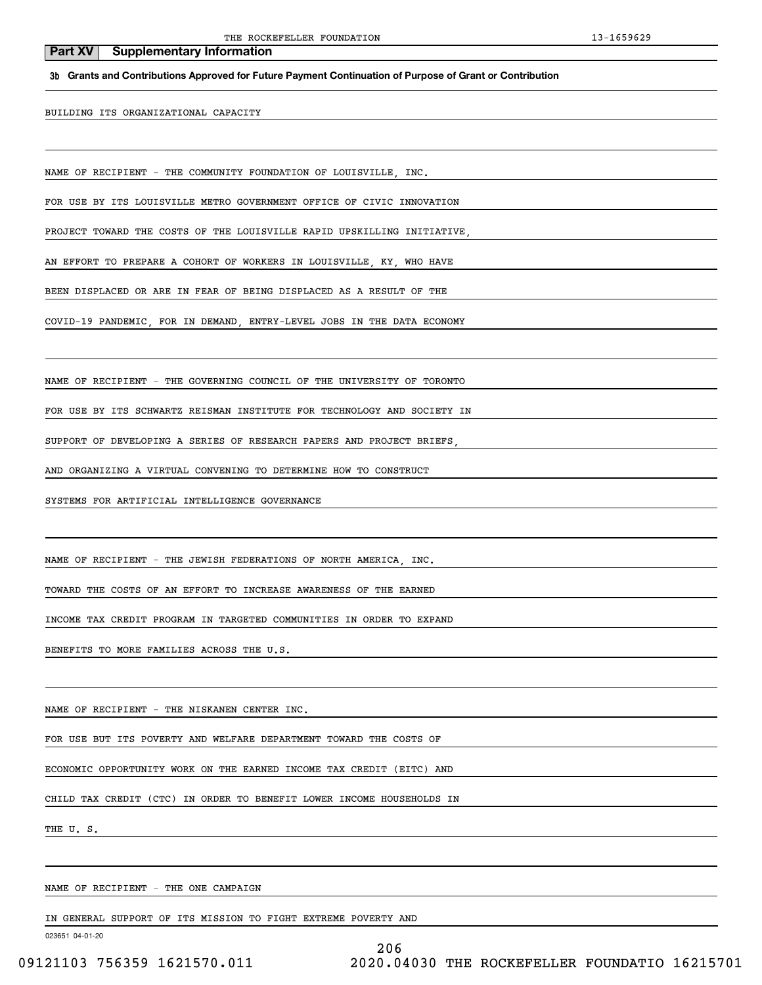**3b Grants and Contributions Approved for Future Payment Continuation of Purpose of Grant or Contribution**

BUILDING ITS ORGANIZATIONAL CAPACITY

NAME OF RECIPIENT - THE COMMUNITY FOUNDATION OF LOUISVILLE, INC.

FOR USE BY ITS LOUISVILLE METRO GOVERNMENT OFFICE OF CIVIC INNOVATION

PROJECT TOWARD THE COSTS OF THE LOUISVILLE RAPID UPSKILLING INITIATIVE

AN EFFORT TO PREPARE A COHORT OF WORKERS IN LOUISVILLE, KY, WHO HAVE

BEEN DISPLACED OR ARE IN FEAR OF BEING DISPLACED AS A RESULT OF THE

COVID-19 PANDEMIC, FOR IN DEMAND, ENTRY-LEVEL JOBS IN THE DATA ECONOMY

NAME OF RECIPIENT - THE GOVERNING COUNCIL OF THE UNIVERSITY OF TORONTO

FOR USE BY ITS SCHWARTZ REISMAN INSTITUTE FOR TECHNOLOGY AND SOCIETY IN

SUPPORT OF DEVELOPING A SERIES OF RESEARCH PAPERS AND PROJECT BRIEFS

AND ORGANIZING A VIRTUAL CONVENING TO DETERMINE HOW TO CONSTRUCT

SYSTEMS FOR ARTIFICIAL INTELLIGENCE GOVERNANCE

NAME OF RECIPIENT - THE JEWISH FEDERATIONS OF NORTH AMERICA, INC.

TOWARD THE COSTS OF AN EFFORT TO INCREASE AWARENESS OF THE EARNED

INCOME TAX CREDIT PROGRAM IN TARGETED COMMUNITIES IN ORDER TO EXPAND

BENEFITS TO MORE FAMILIES ACROSS THE U.S.

NAME OF RECIPIENT - THE NISKANEN CENTER INC.

FOR USE BUT ITS POVERTY AND WELFARE DEPARTMENT TOWARD THE COSTS OF

ECONOMIC OPPORTUNITY WORK ON THE EARNED INCOME TAX CREDIT (EITC) AND

CHILD TAX CREDIT (CTC) IN ORDER TO BENEFIT LOWER INCOME HOUSEHOLDS IN

THE U. S.

NAME OF RECIPIENT - THE ONE CAMPAIGN

IN GENERAL SUPPORT OF ITS MISSION TO FIGHT EXTREME POVERTY AND

023651 04-01-20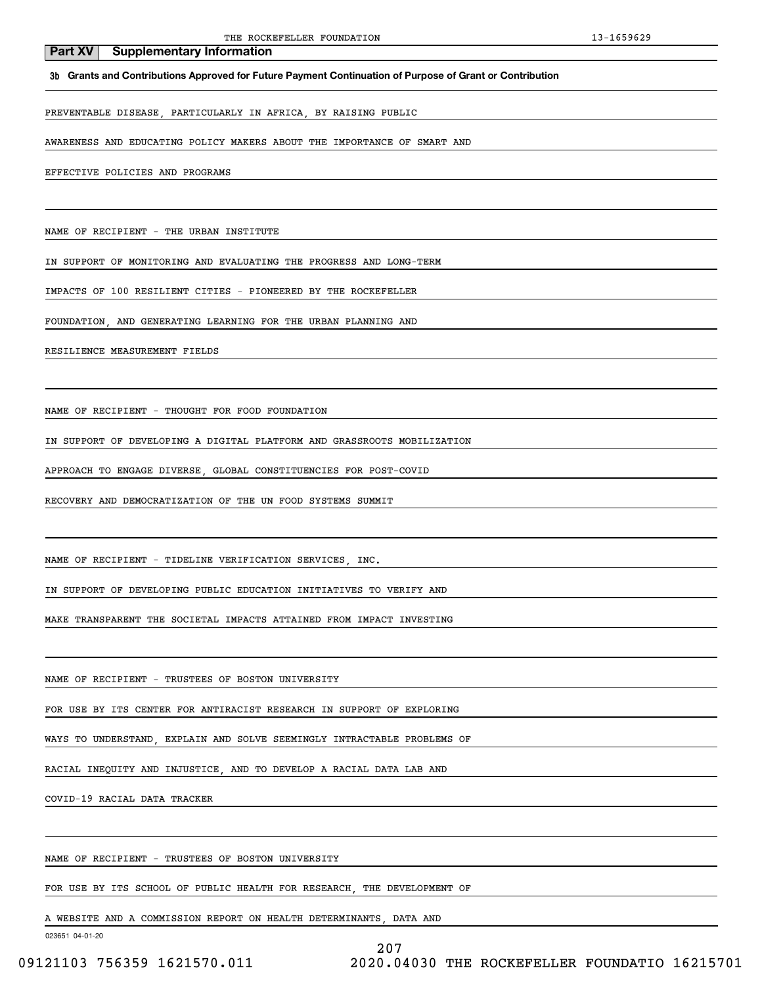### **3b Grants and Contributions Approved for Future Payment Continuation of Purpose of Grant or Contribution**

PREVENTABLE DISEASE, PARTICULARLY IN AFRICA, BY RAISING PUBLIC

AWARENESS AND EDUCATING POLICY MAKERS ABOUT THE IMPORTANCE OF SMART AND

EFFECTIVE POLICIES AND PROGRAMS

NAME OF RECIPIENT - THE URBAN INSTITUTE

IN SUPPORT OF MONITORING AND EVALUATING THE PROGRESS AND LONG-TERM

IMPACTS OF 100 RESILIENT CITIES - PIONEERED BY THE ROCKEFELLER

FOUNDATION, AND GENERATING LEARNING FOR THE URBAN PLANNING AND

RESILIENCE MEASUREMENT FIELDS

NAME OF RECIPIENT - THOUGHT FOR FOOD FOUNDATION

IN SUPPORT OF DEVELOPING A DIGITAL PLATFORM AND GRASSROOTS MOBILIZATION

APPROACH TO ENGAGE DIVERSE, GLOBAL CONSTITUENCIES FOR POST-COVID

RECOVERY AND DEMOCRATIZATION OF THE UN FOOD SYSTEMS SUMMIT

NAME OF RECIPIENT - TIDELINE VERIFICATION SERVICES INC.

IN SUPPORT OF DEVELOPING PUBLIC EDUCATION INITIATIVES TO VERIFY AND

MAKE TRANSPARENT THE SOCIETAL IMPACTS ATTAINED FROM IMPACT INVESTING

NAME OF RECIPIENT - TRUSTEES OF BOSTON UNIVERSITY

FOR USE BY ITS CENTER FOR ANTIRACIST RESEARCH IN SUPPORT OF EXPLORING

WAYS TO UNDERSTAND, EXPLAIN AND SOLVE SEEMINGLY INTRACTABLE PROBLEMS OF

RACIAL INEQUITY AND INJUSTICE, AND TO DEVELOP A RACIAL DATA LAB AND

COVID-19 RACIAL DATA TRACKER

NAME OF RECIPIENT - TRUSTEES OF BOSTON UNIVERSITY

FOR USE BY ITS SCHOOL OF PUBLIC HEALTH FOR RESEARCH, THE DEVELOPMENT OF

A WEBSITE AND A COMMISSION REPORT ON HEALTH DETERMINANTS, DATA AND

023651 04-01-20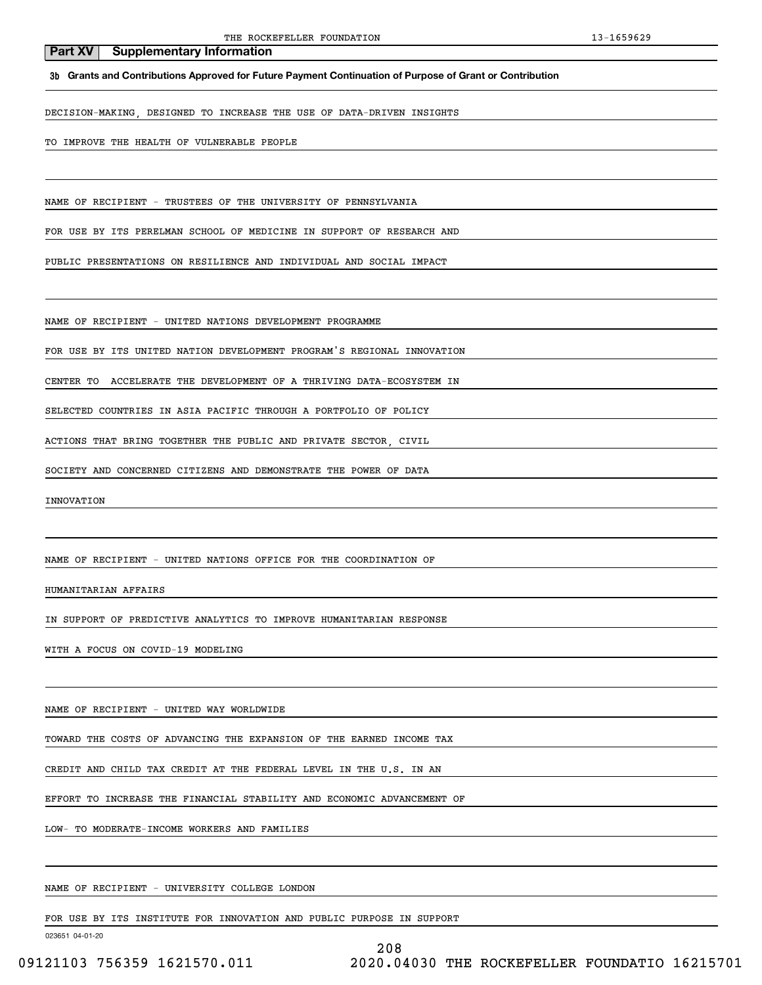**3b Grants and Contributions Approved for Future Payment Continuation of Purpose of Grant or Contribution**

DECISION-MAKING, DESIGNED TO INCREASE THE USE OF DATA-DRIVEN INSIGHTS

TO IMPROVE THE HEALTH OF VULNERABLE PEOPLE

NAME OF RECIPIENT - TRUSTEES OF THE UNIVERSITY OF PENNSYLVANIA

FOR USE BY ITS PERELMAN SCHOOL OF MEDICINE IN SUPPORT OF RESEARCH AND

PUBLIC PRESENTATIONS ON RESILIENCE AND INDIVIDUAL AND SOCIAL IMPACT

NAME OF RECIPIENT - UNITED NATIONS DEVELOPMENT PROGRAMME

FOR USE BY ITS UNITED NATION DEVELOPMENT PROGRAM'S REGIONAL INNOVATION

CENTER TO ACCELERATE THE DEVELOPMENT OF A THRIVING DATA-ECOSYSTEM IN

SELECTED COUNTRIES IN ASIA PACIFIC THROUGH A PORTFOLIO OF POLICY

ACTIONS THAT BRING TOGETHER THE PUBLIC AND PRIVATE SECTOR, CIVIL

SOCIETY AND CONCERNED CITIZENS AND DEMONSTRATE THE POWER OF DATA

INNOVATION

NAME OF RECIPIENT - UNITED NATIONS OFFICE FOR THE COORDINATION OF

HUMANITARIAN AFFAIRS

IN SUPPORT OF PREDICTIVE ANALYTICS TO IMPROVE HUMANITARIAN RESPONSE

WITH A FOCUS ON COVID-19 MODELING

NAME OF RECIPIENT - UNITED WAY WORLDWIDE

TOWARD THE COSTS OF ADVANCING THE EXPANSION OF THE EARNED INCOME TAX

CREDIT AND CHILD TAX CREDIT AT THE FEDERAL LEVEL IN THE U.S. IN AN

EFFORT TO INCREASE THE FINANCIAL STABILITY AND ECONOMIC ADVANCEMENT OF

LOW- TO MODERATE-INCOME WORKERS AND FAMILIES

NAME OF RECIPIENT - UNIVERSITY COLLEGE LONDON

FOR USE BY ITS INSTITUTE FOR INNOVATION AND PUBLIC PURPOSE IN SUPPORT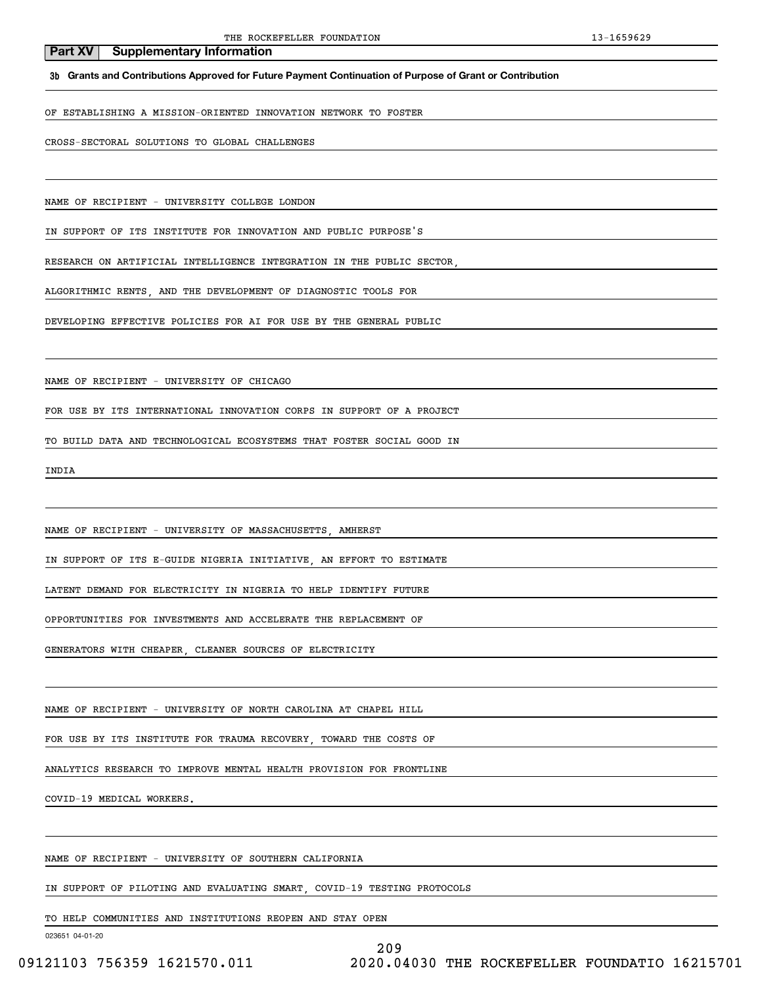**3b Grants and Contributions Approved for Future Payment Continuation of Purpose of Grant or Contribution**

OF ESTABLISHING A MISSION-ORIENTED INNOVATION NETWORK TO FOSTER

CROSS-SECTORAL SOLUTIONS TO GLOBAL CHALLENGES

NAME OF RECIPIENT - UNIVERSITY COLLEGE LONDON

IN SUPPORT OF ITS INSTITUTE FOR INNOVATION AND PUBLIC PURPOSE'S

RESEARCH ON ARTIFICIAL INTELLIGENCE INTEGRATION IN THE PUBLIC SECTOR,

ALGORITHMIC RENTS, AND THE DEVELOPMENT OF DIAGNOSTIC TOOLS FOR

DEVELOPING EFFECTIVE POLICIES FOR AI FOR USE BY THE GENERAL PUBLIC

NAME OF RECIPIENT - UNIVERSITY OF CHICAGO

FOR USE BY ITS INTERNATIONAL INNOVATION CORPS IN SUPPORT OF A PROJECT

TO BUILD DATA AND TECHNOLOGICAL ECOSYSTEMS THAT FOSTER SOCIAL GOOD IN

INDIA

NAME OF RECIPIENT - UNIVERSITY OF MASSACHUSETTS, AMHERST

IN SUPPORT OF ITS E-GUIDE NIGERIA INITIATIVE, AN EFFORT TO ESTIMATE

LATENT DEMAND FOR ELECTRICITY IN NIGERIA TO HELP IDENTIFY FUTURE

OPPORTUNITIES FOR INVESTMENTS AND ACCELERATE THE REPLACEMENT OF

GENERATORS WITH CHEAPER, CLEANER SOURCES OF ELECTRICITY

NAME OF RECIPIENT - UNIVERSITY OF NORTH CAROLINA AT CHAPEL HILL

FOR USE BY ITS INSTITUTE FOR TRAUMA RECOVERY, TOWARD THE COSTS OF

ANALYTICS RESEARCH TO IMPROVE MENTAL HEALTH PROVISION FOR FRONTLINE

COVID-19 MEDICAL WORKERS.

NAME OF RECIPIENT - UNIVERSITY OF SOUTHERN CALIFORNIA

IN SUPPORT OF PILOTING AND EVALUATING SMART, COVID-19 TESTING PROTOCOLS

TO HELP COMMUNITIES AND INSTITUTIONS REOPEN AND STAY OPEN

023651 04-01-20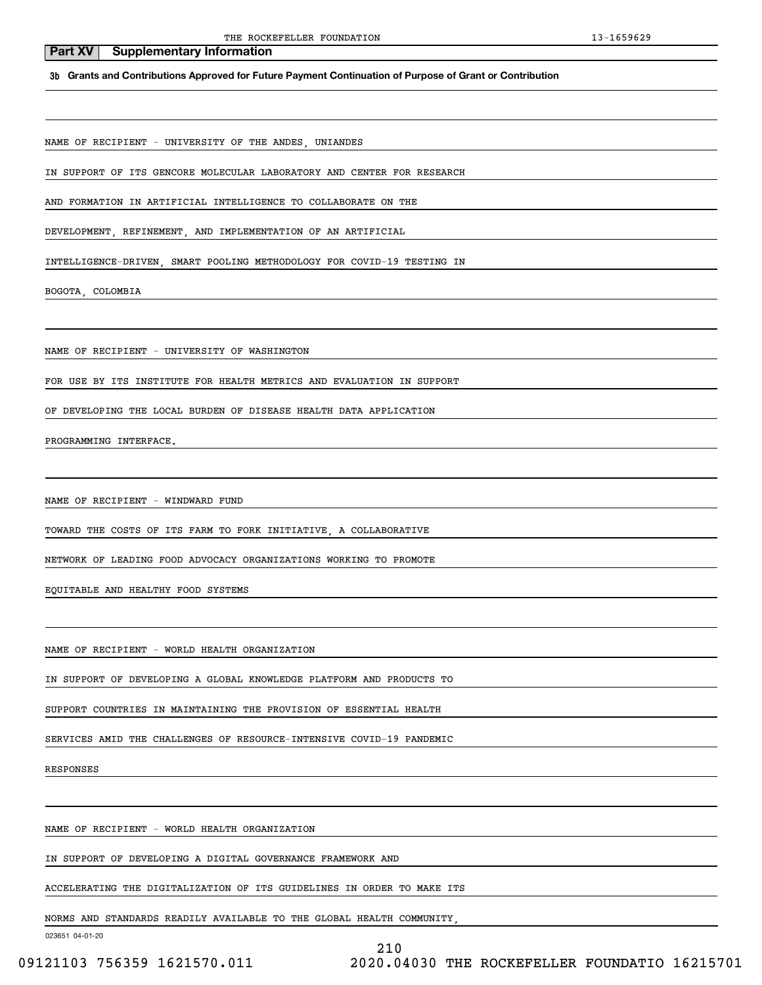**3b Grants and Contributions Approved for Future Payment Continuation of Purpose of Grant or Contribution**

NAME OF RECIPIENT - UNIVERSITY OF THE ANDES, UNIANDES

IN SUPPORT OF ITS GENCORE MOLECULAR LABORATORY AND CENTER FOR RESEARCH

AND FORMATION IN ARTIFICIAL INTELLIGENCE TO COLLABORATE ON THE

DEVELOPMENT, REFINEMENT, AND IMPLEMENTATION OF AN ARTIFICIAL

INTELLIGENCE-DRIVEN, SMART POOLING METHODOLOGY FOR COVID-19 TESTING IN

BOGOTA, COLOMBIA

NAME OF RECIPIENT - UNIVERSITY OF WASHINGTON

FOR USE BY ITS INSTITUTE FOR HEALTH METRICS AND EVALUATION IN SUPPORT

OF DEVELOPING THE LOCAL BURDEN OF DISEASE HEALTH DATA APPLICATION

PROGRAMMING INTERFACE.

NAME OF RECIPIENT - WINDWARD FUND

TOWARD THE COSTS OF ITS FARM TO FORK INITIATIVE, A COLLABORATIVE

NETWORK OF LEADING FOOD ADVOCACY ORGANIZATIONS WORKING TO PROMOTE

EQUITABLE AND HEALTHY FOOD SYSTEMS

NAME OF RECIPIENT - WORLD HEALTH ORGANIZATION

IN SUPPORT OF DEVELOPING A GLOBAL KNOWLEDGE PLATFORM AND PRODUCTS TO

SUPPORT COUNTRIES IN MAINTAINING THE PROVISION OF ESSENTIAL HEALTH

SERVICES AMID THE CHALLENGES OF RESOURCE-INTENSIVE COVID-19 PANDEMIC

RESPONSES

NAME OF RECIPIENT - WORLD HEALTH ORGANIZATION

IN SUPPORT OF DEVELOPING A DIGITAL GOVERNANCE FRAMEWORK AND

ACCELERATING THE DIGITALIZATION OF ITS GUIDELINES IN ORDER TO MAKE ITS

NORMS AND STANDARDS READILY AVAILABLE TO THE GLOBAL HEALTH COMMUNITY,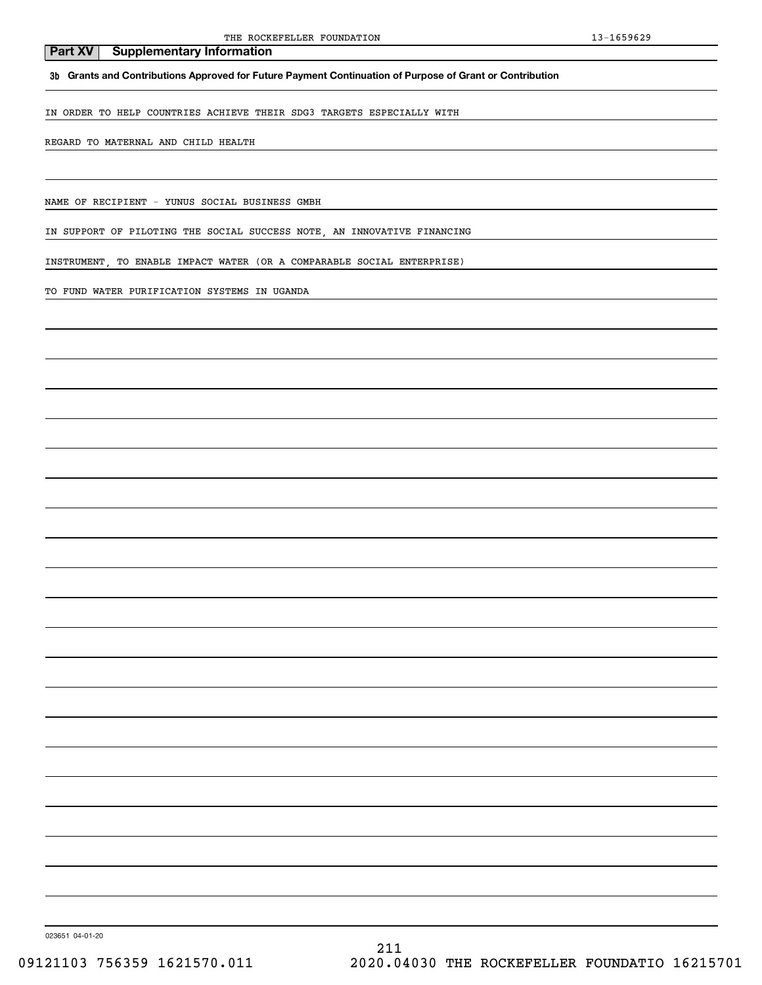**3b Grants and Contributions Approved for Future Payment Continuation of Purpose of Grant or Contribution**

IN ORDER TO HELP COUNTRIES ACHIEVE THEIR SDG3 TARGETS ESPECIALLY WITH

REGARD TO MATERNAL AND CHILD HEALTH

NAME OF RECIPIENT - YUNUS SOCIAL BUSINESS GMBH

IN SUPPORT OF PILOTING THE SOCIAL SUCCESS NOTE, AN INNOVATIVE FINANCING

INSTRUMENT, TO ENABLE IMPACT WATER (OR A COMPARABLE SOCIAL ENTERPRISE)

TO FUND WATER PURIFICATION SYSTEMS IN UGANDA

023651 04-01-20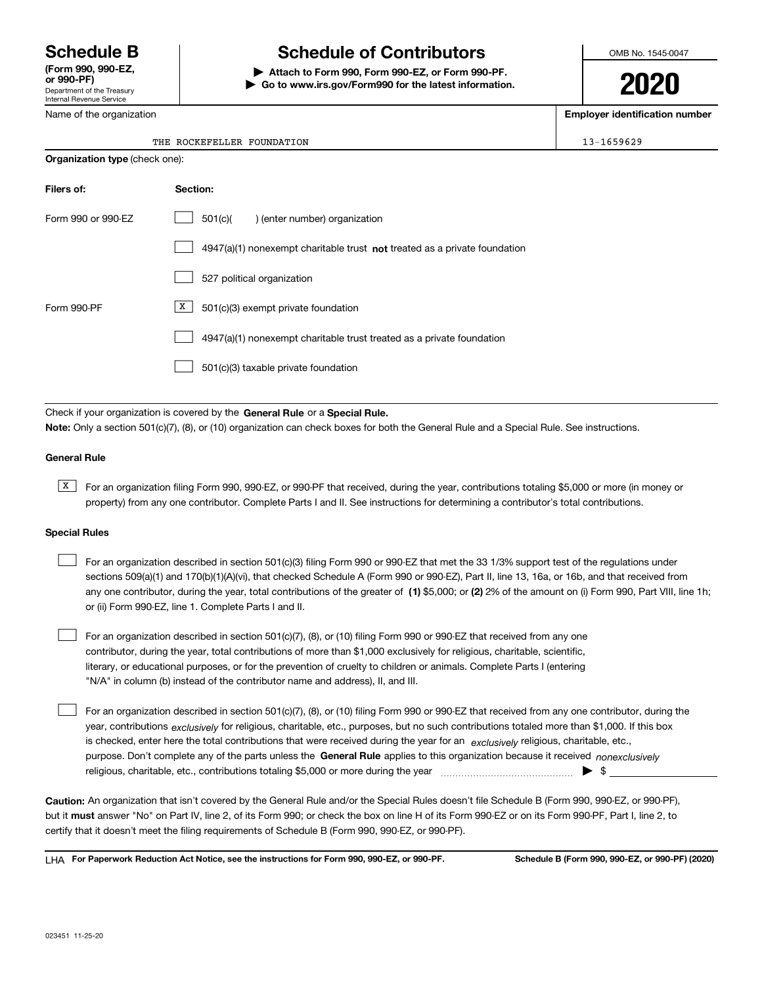Department of the Treasury Internal Revenue Service **(Form 990, 990-EZ, or 990-PF)**

Name of the organization

# **Schedule B Schedule of Contributors**

**| Attach to Form 990, Form 990-EZ, or Form 990-PF. | Go to www.irs.gov/Form990 for the latest information.** OMB No. 1545-0047

**2020**

**Employer identification number**

 $13 - 1659629$ 

| THE ROCKEFELLER FOUNDATION |  |
|----------------------------|--|
|                            |  |

| <b>Organization type (check one):</b> |                                                                           |  |  |  |  |  |
|---------------------------------------|---------------------------------------------------------------------------|--|--|--|--|--|
| Filers of:                            | Section:                                                                  |  |  |  |  |  |
| Form 990 or 990-EZ                    | 501(c)(<br>) (enter number) organization                                  |  |  |  |  |  |
|                                       | 4947(a)(1) nonexempt charitable trust not treated as a private foundation |  |  |  |  |  |
|                                       | 527 political organization                                                |  |  |  |  |  |
| Form 990-PF                           | X  <br>501(c)(3) exempt private foundation                                |  |  |  |  |  |
|                                       | 4947(a)(1) nonexempt charitable trust treated as a private foundation     |  |  |  |  |  |
|                                       | 501(c)(3) taxable private foundation                                      |  |  |  |  |  |

Check if your organization is covered by the **General Rule** or a **Special Rule. Note:**  Only a section 501(c)(7), (8), or (10) organization can check boxes for both the General Rule and a Special Rule. See instructions.

### **General Rule**

 $\overline{X}$  For an organization filing Form 990, 990-EZ, or 990-PF that received, during the year, contributions totaling \$5,000 or more (in money or property) from any one contributor. Complete Parts I and II. See instructions for determining a contributor's total contributions.

### **Special Rules**

| For an organization described in section 501(c)(3) filing Form 990 or 990-EZ that met the 33 1/3% support test of the regulations under               |
|-------------------------------------------------------------------------------------------------------------------------------------------------------|
| sections 509(a)(1) and 170(b)(1)(A)(vi), that checked Schedule A (Form 990 or 990-EZ), Part II, line 13, 16a, or 16b, and that received from          |
| any one contributor, during the year, total contributions of the greater of (1) \$5,000; or (2) 2% of the amount on (i) Form 990, Part VIII, line 1h; |
| or (ii) Form 990-EZ, line 1. Complete Parts I and II.                                                                                                 |

For an organization described in section 501(c)(7), (8), or (10) filing Form 990 or 990-EZ that received from any one contributor, during the year, total contributions of more than \$1,000 exclusively for religious, charitable, scientific, literary, or educational purposes, or for the prevention of cruelty to children or animals. Complete Parts I (entering "N/A" in column (b) instead of the contributor name and address), II, and III.  $\mathcal{L}^{\text{max}}$ 

purpose. Don't complete any of the parts unless the **General Rule** applies to this organization because it received *nonexclusively* year, contributions <sub>exclusively</sub> for religious, charitable, etc., purposes, but no such contributions totaled more than \$1,000. If this box is checked, enter here the total contributions that were received during the year for an  $\;$ exclusively religious, charitable, etc., For an organization described in section 501(c)(7), (8), or (10) filing Form 990 or 990-EZ that received from any one contributor, during the religious, charitable, etc., contributions totaling \$5,000 or more during the year  $\Box$ — $\Box$   $\Box$  $\mathcal{L}^{\text{max}}$ 

**Caution:**  An organization that isn't covered by the General Rule and/or the Special Rules doesn't file Schedule B (Form 990, 990-EZ, or 990-PF),  **must** but it answer "No" on Part IV, line 2, of its Form 990; or check the box on line H of its Form 990-EZ or on its Form 990-PF, Part I, line 2, to certify that it doesn't meet the filing requirements of Schedule B (Form 990, 990-EZ, or 990-PF).

**For Paperwork Reduction Act Notice, see the instructions for Form 990, 990-EZ, or 990-PF. Schedule B (Form 990, 990-EZ, or 990-PF) (2020)** LHA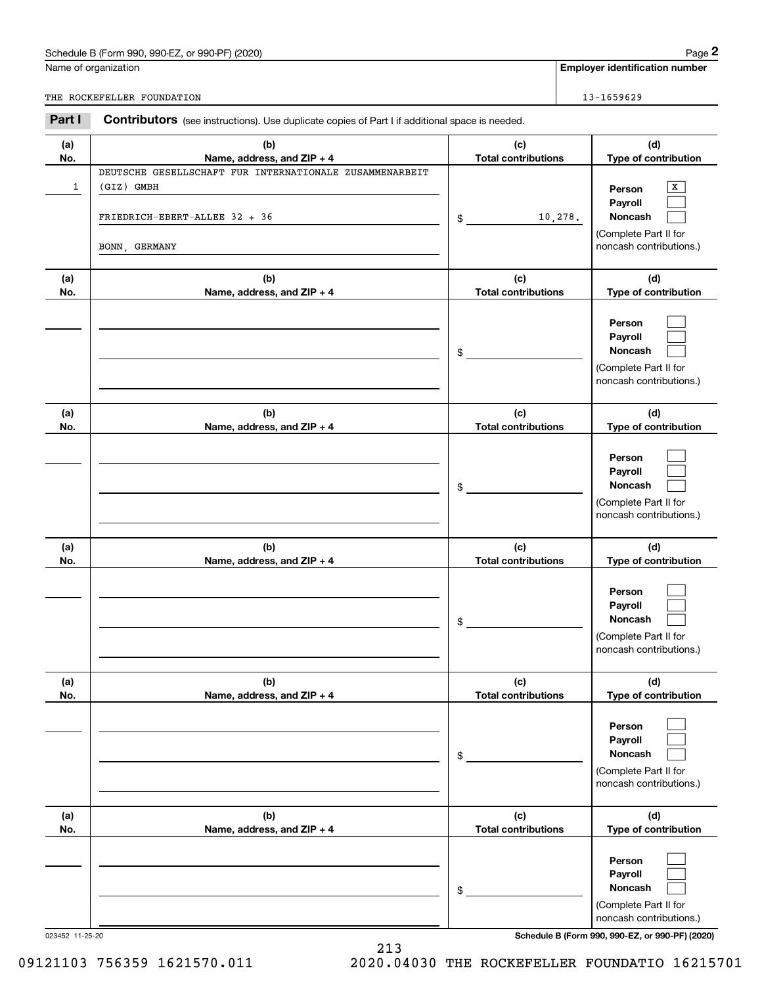# Schedule B (Form 990, 990-EZ, or 990-PF) (2020) Page 2

|            | Schedule B (Form 990, 990-EZ, or 990-PF) (2020)                                                                         |                                   |         | Page 2                                                                                |
|------------|-------------------------------------------------------------------------------------------------------------------------|-----------------------------------|---------|---------------------------------------------------------------------------------------|
|            | Name of organization                                                                                                    |                                   |         | <b>Employer identification number</b>                                                 |
|            | THE ROCKEFELLER FOUNDATION                                                                                              |                                   |         | 13-1659629                                                                            |
| Part I     | Contributors (see instructions). Use duplicate copies of Part I if additional space is needed.                          |                                   |         |                                                                                       |
| (a)<br>No. | (b)<br>Name, address, and ZIP + 4                                                                                       | (c)<br><b>Total contributions</b> |         | (d)<br>Type of contribution                                                           |
| 1          | DEUTSCHE GESELLSCHAFT FUR INTERNATIONALE ZUSAMMENARBEIT<br>(GIZ) GMBH<br>FRIEDRICH-EBERT-ALLEE 32 + 36<br>BONN, GERMANY | \$                                | 10,278. | х<br>Person<br>Payroll<br>Noncash<br>(Complete Part II for<br>noncash contributions.) |
| (a)<br>No. | (b)<br>Name, address, and ZIP + 4                                                                                       | (c)<br><b>Total contributions</b> |         | (d)<br>Type of contribution                                                           |
|            |                                                                                                                         | \$                                |         | Person<br>Payroll<br>Noncash<br>(Complete Part II for<br>noncash contributions.)      |
| (a)<br>No. | (b)<br>Name, address, and ZIP + 4                                                                                       | (c)<br><b>Total contributions</b> |         | (d)<br>Type of contribution                                                           |
|            |                                                                                                                         | \$                                |         | Person<br>Payroll<br>Noncash<br>(Complete Part II for<br>noncash contributions.)      |
| (a)<br>No. | (b)<br>Name, address, and ZIP + 4                                                                                       | (c)<br><b>Total contributions</b> |         | (d)<br>Type of contribution                                                           |
|            |                                                                                                                         | \$                                |         | Person<br>Payroll<br>Noncash<br>(Complete Part II for<br>noncash contributions.)      |
| (a)<br>No. | (b)<br>Name, address, and ZIP + 4                                                                                       | (c)<br><b>Total contributions</b> |         | (d)<br>Type of contribution                                                           |
|            |                                                                                                                         | \$                                |         | Person<br>Payroll<br>Noncash<br>(Complete Part II for<br>noncash contributions.)      |
| (a)<br>No. | (b)<br>Name, address, and ZIP + 4                                                                                       | (c)<br><b>Total contributions</b> |         | (d)<br>Type of contribution                                                           |
|            |                                                                                                                         | \$                                |         | Person<br>Payroll<br>Noncash<br>(Complete Part II for<br>noncash contributions.)      |

023452 11-25-20 **Schedule B (Form 990, 990-EZ, or 990-PF) (2020)**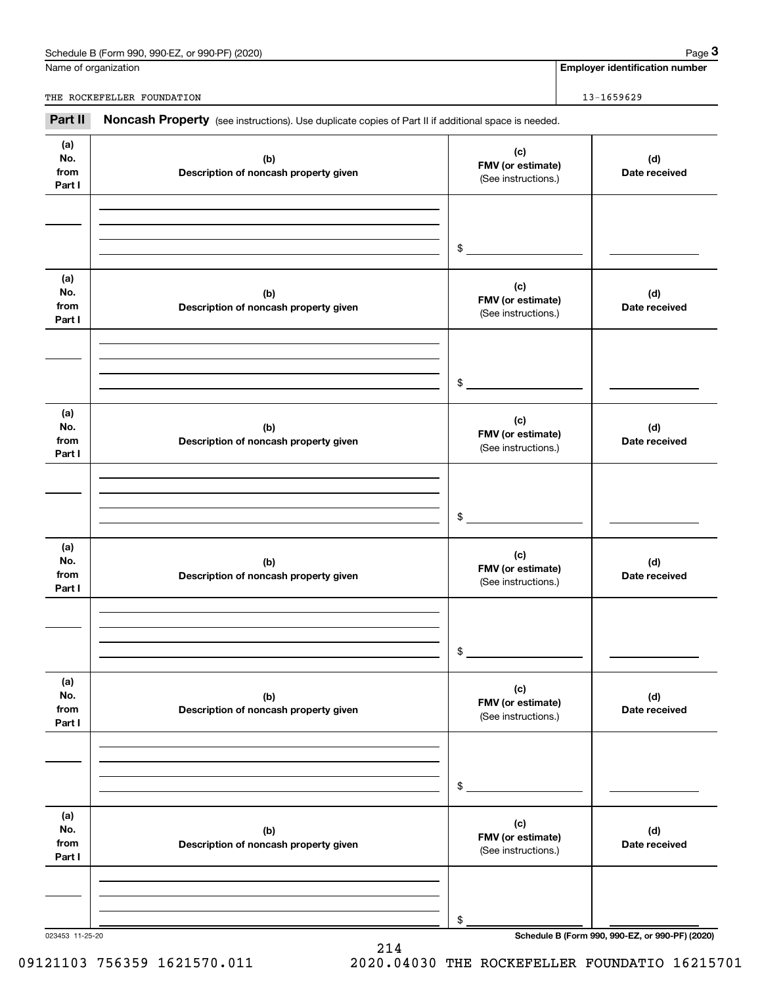| Schedule B (Form 990,<br>or 990-PF) (2020)<br>.990-E7 | Page |
|-------------------------------------------------------|------|
|                                                       |      |

|                              | Schedule B (Form 990, 990-EZ, or 990-PF) (2020)                                                     |                                                 | Page 3                                          |
|------------------------------|-----------------------------------------------------------------------------------------------------|-------------------------------------------------|-------------------------------------------------|
|                              | Name of organization                                                                                |                                                 | <b>Employer identification number</b>           |
|                              | THE ROCKEFELLER FOUNDATION                                                                          |                                                 | 13-1659629                                      |
| Part II                      | Noncash Property (see instructions). Use duplicate copies of Part II if additional space is needed. |                                                 |                                                 |
| (a)<br>No.<br>from<br>Part I | (c)<br>(b)<br>FMV (or estimate)<br>Description of noncash property given<br>(See instructions.)     |                                                 | (d)<br>Date received                            |
|                              |                                                                                                     | \$                                              |                                                 |
| (a)<br>No.<br>from<br>Part I | (b)<br>Description of noncash property given                                                        | (c)<br>FMV (or estimate)<br>(See instructions.) | (d)<br>Date received                            |
|                              |                                                                                                     | \$                                              |                                                 |
| (a)<br>No.<br>from<br>Part I | (b)<br>Description of noncash property given                                                        | (c)<br>FMV (or estimate)<br>(See instructions.) | (d)<br>Date received                            |
|                              |                                                                                                     | \$                                              |                                                 |
| (a)<br>No.<br>from<br>Part I | (b)<br>Description of noncash property given                                                        | (c)<br>FMV (or estimate)<br>(See instructions.) | (d)<br>Date received                            |
|                              |                                                                                                     | \$                                              |                                                 |
| (a)<br>No.<br>from<br>Part I | (b)<br>Description of noncash property given                                                        | (c)<br>FMV (or estimate)<br>(See instructions.) | (d)<br>Date received                            |
|                              |                                                                                                     | \$                                              |                                                 |
| (a)<br>No.<br>from<br>Part I | (b)<br>Description of noncash property given                                                        | (c)<br>FMV (or estimate)<br>(See instructions.) | (d)<br>Date received                            |
|                              |                                                                                                     | \$                                              |                                                 |
| 023453 11-25-20              |                                                                                                     |                                                 | Schedule B (Form 990, 990-EZ, or 990-PF) (2020) |

214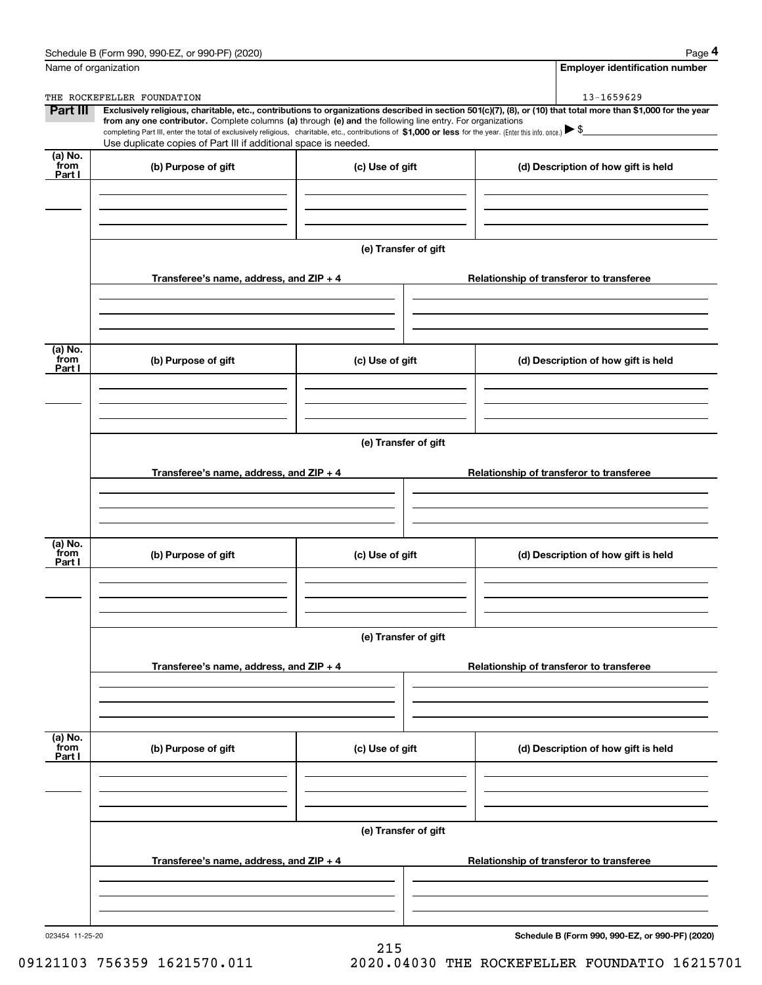|                           | Schedule B (Form 990, 990-EZ, or 990-PF) (2020)                                                                                                                                                                                                                                                 |                      | Page 4                                                                                                                                                         |  |  |  |  |
|---------------------------|-------------------------------------------------------------------------------------------------------------------------------------------------------------------------------------------------------------------------------------------------------------------------------------------------|----------------------|----------------------------------------------------------------------------------------------------------------------------------------------------------------|--|--|--|--|
|                           | Name of organization                                                                                                                                                                                                                                                                            |                      | <b>Employer identification number</b>                                                                                                                          |  |  |  |  |
|                           | THE ROCKEFELLER FOUNDATION                                                                                                                                                                                                                                                                      |                      | 13-1659629                                                                                                                                                     |  |  |  |  |
| Part III                  | from any one contributor. Complete columns (a) through (e) and the following line entry. For organizations<br>completing Part III, enter the total of exclusively religious, charitable, etc., contributions of \$1,000 or less for the year. (Enter this info. once.) $\blacktriangleright$ \$ |                      | Exclusively religious, charitable, etc., contributions to organizations described in section 501(c)(7), (8), or (10) that total more than \$1,000 for the year |  |  |  |  |
|                           | Use duplicate copies of Part III if additional space is needed.                                                                                                                                                                                                                                 |                      |                                                                                                                                                                |  |  |  |  |
| (a) No.<br>from<br>Part I | (b) Purpose of gift                                                                                                                                                                                                                                                                             | (c) Use of gift      | (d) Description of how gift is held                                                                                                                            |  |  |  |  |
|                           |                                                                                                                                                                                                                                                                                                 |                      |                                                                                                                                                                |  |  |  |  |
|                           |                                                                                                                                                                                                                                                                                                 |                      |                                                                                                                                                                |  |  |  |  |
|                           |                                                                                                                                                                                                                                                                                                 | (e) Transfer of gift |                                                                                                                                                                |  |  |  |  |
|                           | Transferee's name, address, and $ZIP + 4$                                                                                                                                                                                                                                                       |                      | Relationship of transferor to transferee                                                                                                                       |  |  |  |  |
|                           |                                                                                                                                                                                                                                                                                                 |                      |                                                                                                                                                                |  |  |  |  |
| (a) No.                   |                                                                                                                                                                                                                                                                                                 |                      |                                                                                                                                                                |  |  |  |  |
| from<br>Part I            | (b) Purpose of gift                                                                                                                                                                                                                                                                             | (c) Use of gift      | (d) Description of how gift is held                                                                                                                            |  |  |  |  |
|                           |                                                                                                                                                                                                                                                                                                 |                      |                                                                                                                                                                |  |  |  |  |
|                           |                                                                                                                                                                                                                                                                                                 |                      |                                                                                                                                                                |  |  |  |  |
|                           | (e) Transfer of gift                                                                                                                                                                                                                                                                            |                      |                                                                                                                                                                |  |  |  |  |
|                           | Transferee's name, address, and $ZIP + 4$                                                                                                                                                                                                                                                       |                      | Relationship of transferor to transferee                                                                                                                       |  |  |  |  |
|                           |                                                                                                                                                                                                                                                                                                 |                      |                                                                                                                                                                |  |  |  |  |
| (a) No.<br>from<br>Part I | (b) Purpose of gift                                                                                                                                                                                                                                                                             | (c) Use of gift      | (d) Description of how gift is held                                                                                                                            |  |  |  |  |
|                           |                                                                                                                                                                                                                                                                                                 |                      |                                                                                                                                                                |  |  |  |  |
|                           |                                                                                                                                                                                                                                                                                                 | (e) Transfer of gift |                                                                                                                                                                |  |  |  |  |
|                           | Transferee's name, address, and $ZIP + 4$                                                                                                                                                                                                                                                       |                      | Relationship of transferor to transferee                                                                                                                       |  |  |  |  |
|                           |                                                                                                                                                                                                                                                                                                 |                      |                                                                                                                                                                |  |  |  |  |
|                           |                                                                                                                                                                                                                                                                                                 |                      |                                                                                                                                                                |  |  |  |  |
| (a) No.<br>from<br>Part I | (b) Purpose of gift                                                                                                                                                                                                                                                                             | (c) Use of gift      | (d) Description of how gift is held                                                                                                                            |  |  |  |  |
|                           |                                                                                                                                                                                                                                                                                                 |                      |                                                                                                                                                                |  |  |  |  |
|                           |                                                                                                                                                                                                                                                                                                 |                      |                                                                                                                                                                |  |  |  |  |
|                           | (e) Transfer of gift                                                                                                                                                                                                                                                                            |                      |                                                                                                                                                                |  |  |  |  |
|                           | Transferee's name, address, and $ZIP + 4$                                                                                                                                                                                                                                                       |                      | Relationship of transferor to transferee                                                                                                                       |  |  |  |  |
|                           |                                                                                                                                                                                                                                                                                                 |                      |                                                                                                                                                                |  |  |  |  |
|                           |                                                                                                                                                                                                                                                                                                 |                      |                                                                                                                                                                |  |  |  |  |

215

023454 11-25-20

**Schedule B (Form 990, 990-EZ, or 990-PF) (2020)**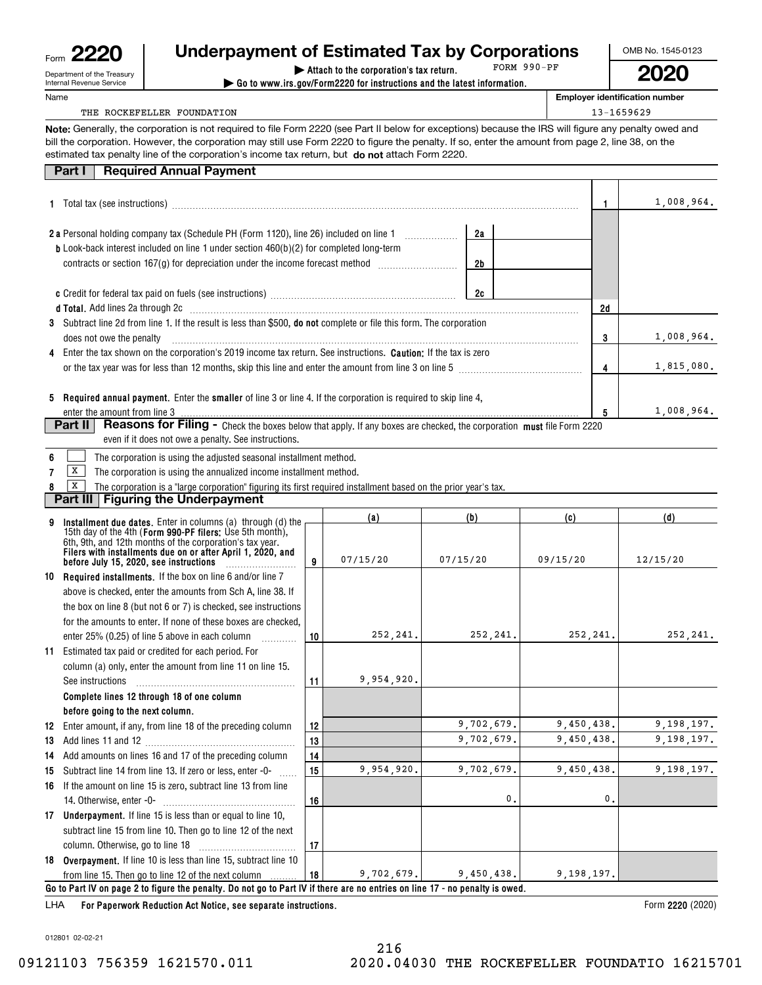| Form | りり<br>c                                                |
|------|--------------------------------------------------------|
|      | Department of the Treasury<br>Internal Revenue Service |

# **| Attach to the corporation's tax return. Underpayment of Estimated Tax by Corporations**

**| Go to www.irs.gov/Form2220 for instructions and the latest information.** FORM 990-PF OMB No. 1545-0123

**2020**

**Employer identification number**

### THE ROCKEFELLER FOUNDATION 13-1659629

**Note:** Generally, the corporation is not required to file Form 2220 (see Part II below for exceptions) because the IRS will figure any penalty owed and estimated tax penalty line of the corporation's income tax return, but **do not** attach Form 2220. bill the corporation. However, the corporation may still use Form 2220 to figure the penalty. If so, enter the amount from page 2, line 38, on the

### **Part I Required Annual Payment**

|                                                                                                                                                                                                                                |                |    | 1,008,964. |
|--------------------------------------------------------------------------------------------------------------------------------------------------------------------------------------------------------------------------------|----------------|----|------------|
| <b>2 a</b> Personal holding company tax (Schedule PH (Form 1120), line 26) included on line 1<br><b>b</b> Look-back interest included on line 1 under section $460(b)(2)$ for completed long-term                              | 2a             |    |            |
|                                                                                                                                                                                                                                | 2 <sub>b</sub> |    |            |
|                                                                                                                                                                                                                                | 2c             |    |            |
| d Total. Add lines 2a through 2c [11] matter contracts and the contracts and the contracts are determined as a contract of the contracts and the contracts and the contracts and the contracts are determined as a contract of |                | 2d |            |
| 3 Subtract line 2d from line 1. If the result is less than \$500, <b>do not</b> complete or file this form. The corporation<br>does not owe the penalty                                                                        |                | 3  | 1,008,964. |
| 4 Enter the tax shown on the corporation's 2019 income tax return. See instructions. <b>Caution:</b> If the tax is zero                                                                                                        |                |    |            |
| or the tax year was for less than 12 months, skip this line and enter the amount from line 3 on line 5                                                                                                                         |                | 4  | 1,815,080. |
| 5 Required annual payment. Enter the smaller of line 3 or line 4. If the corporation is required to skip line 4,<br>enter the amount from line 3                                                                               |                | 5  | 1,008,964. |
| <b>Part II</b><br><b>Reasons for Filing -</b> Check the boxes below that apply. If any boxes are checked, the corporation must file Form 2220                                                                                  |                |    |            |

even if it does not owe a penalty. See instructions.

|  |  | The corporation is using the adjusted seasonal installment method. |
|--|--|--------------------------------------------------------------------|
|--|--|--------------------------------------------------------------------|

**7** $\boxed{\mathbf{X}}$  The corporation is using the annualized income installment method.

**8**The corporation is a "large corporation" figuring its first required installment based on the prior year's tax.  $\boxed{\mathbf{X}}$ 

## **Part III Figuring the Underpayment**

|    |                                                                                                                              |    | (a)        | (b)        | (c)          | (d)          |
|----|------------------------------------------------------------------------------------------------------------------------------|----|------------|------------|--------------|--------------|
|    | Installment due dates. Enter in columns (a) through (d) the<br>15th day of the 4th (Form 990-PF filers: Use 5th month),      |    |            |            |              |              |
|    | 6th, 9th, and 12th months of the corporation's tax year.<br>Filers with installments due on or after April 1, 2020, and      |    |            |            |              |              |
|    | before July 15, 2020, see instructions                                                                                       | 9  | 07/15/20   | 07/15/20   | 09/15/20     | 12/15/20     |
| 10 | <b>Required installments.</b> If the box on line 6 and/or line 7                                                             |    |            |            |              |              |
|    | above is checked, enter the amounts from Sch A, line 38. If                                                                  |    |            |            |              |              |
|    | the box on line 8 (but not 6 or 7) is checked, see instructions                                                              |    |            |            |              |              |
|    | for the amounts to enter. If none of these boxes are checked.                                                                |    |            |            |              |              |
|    | enter 25% (0.25) of line 5 above in each column                                                                              | 10 | 252, 241.  | 252, 241.  | 252,241.     | 252,241.     |
| 11 | Estimated tax paid or credited for each period. For                                                                          |    |            |            |              |              |
|    | column (a) only, enter the amount from line 11 on line 15.                                                                   |    |            |            |              |              |
|    | See instructions                                                                                                             | 11 | 9,954,920. |            |              |              |
|    | Complete lines 12 through 18 of one column                                                                                   |    |            |            |              |              |
|    | before going to the next column.                                                                                             |    |            |            |              |              |
|    | 12 Enter amount, if any, from line 18 of the preceding column                                                                | 12 |            | 9,702,679. | 9,450,438.   | 9,198,197.   |
| 13 |                                                                                                                              | 13 |            | 9,702,679. | 9,450,438.   | 9, 198, 197. |
|    | 14 Add amounts on lines 16 and 17 of the preceding column                                                                    | 14 |            |            |              |              |
| 15 | Subtract line 14 from line 13. If zero or less, enter -0-                                                                    | 15 | 9,954,920. | 9,702,679. | 9,450,438.   | 9,198,197.   |
| 16 | If the amount on line 15 is zero, subtract line 13 from line                                                                 |    |            |            |              |              |
|    |                                                                                                                              | 16 |            | 0          | $\mathbf{0}$ |              |
|    | 17 Underpayment. If line 15 is less than or equal to line 10,                                                                |    |            |            |              |              |
|    | subtract line 15 from line 10. Then go to line 12 of the next                                                                |    |            |            |              |              |
|    |                                                                                                                              | 17 |            |            |              |              |
|    | 18 Overpayment. If line 10 is less than line 15, subtract line 10                                                            |    |            |            |              |              |
|    | from line 15. Then go to line 12 of the next column                                                                          | 18 | 9,702,679. | 9,450,438. | 9, 198, 197. |              |
|    | Go to Part IV on page 2 to figure the penalty. Do not go to Part IV if there are no entries on line 17 - no penalty is owed. |    |            |            |              |              |

**For Paperwork Reduction Act Notice, see separate instructions.** LHA

Form 2220 (2020)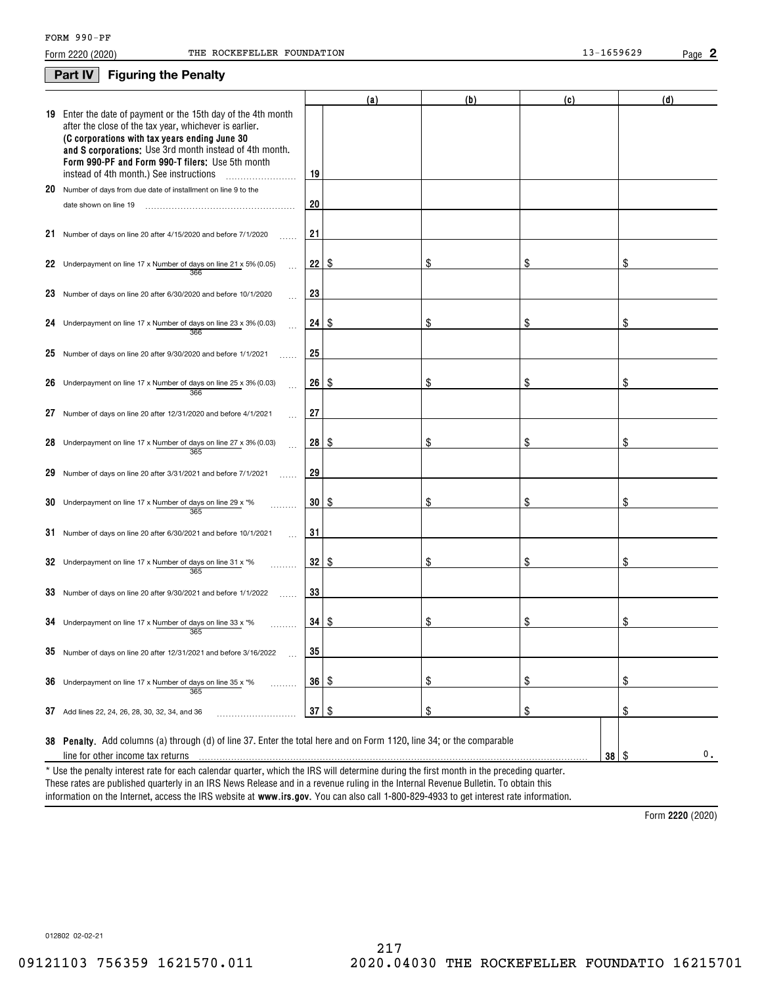### **Part IV Figuring the Penalty**

| 19 Enter the date of payment or the 15th day of the 4th month<br>after the close of the tax year, whichever is earlier.<br>(C corporations with tax years ending June 30<br>and S corporations: Use 3rd month instead of 4th month.<br>Form 990-PF and Form 990-T filers: Use 5th month<br>instead of 4th month.) See instructions<br>19<br>.<br>20<br>Number of days from due date of installment on line 9 to the<br>20<br>date shown on line 19<br>21<br>21 Number of days on line 20 after 4/15/2020 and before 7/1/2020<br>22<br>\$<br>S<br>\$<br>22 Underpayment on line 17 x Number of days on line 21 x 5% (0.05)<br>366<br>23<br>23 Number of days on line 20 after 6/30/2020 and before 10/1/2020<br>$24$   \$<br>\$<br>Underpayment on line 17 x Number of days on line 23 x 3% (0.03)<br>\$<br>\$<br>24<br>366<br>25<br>25 Number of days on line 20 after $9/30/2020$ and before $1/1/2021$<br>26<br>\$<br>8<br>\$<br>\$<br>26<br>Underpayment on line 17 x Number of days on line 25 x 3% (0.03)<br>366<br>27<br>27 Number of days on line 20 after 12/31/2020 and before 4/1/2021<br>28<br>\$<br>l \$<br>\$<br>\$<br>28<br>Underpayment on line 17 x Number of days on line 27 x 3% (0.03)<br>365<br>29<br>29<br>Number of days on line 20 after 3/31/2021 and before 7/1/2021<br>$30 \mid$ \$<br>\$<br>\$<br>\$<br>30<br>Underpayment on line 17 x Number of days on line 29 x *%<br>365<br>31<br>$31$ Number of days on line 20 after 6/30/2021 and before 10/1/2021<br>32   \$<br>\$<br>\$<br>\$<br>32 Underpayment on line 17 x Number of days on line 31 x *%<br>365<br>33<br>33 Number of days on line 20 after 9/30/2021 and before 1/1/2022<br>$34 \mid$ $\frac{6}{3}$<br>\$<br>\$<br>\$<br>34 Underpayment on line 17 x Number of days on line 33 x $*$ %<br>365<br>$35$ Number of days on line 20 after 12/31/2021 and before 3/16/2022<br>35 | (d) |
|------------------------------------------------------------------------------------------------------------------------------------------------------------------------------------------------------------------------------------------------------------------------------------------------------------------------------------------------------------------------------------------------------------------------------------------------------------------------------------------------------------------------------------------------------------------------------------------------------------------------------------------------------------------------------------------------------------------------------------------------------------------------------------------------------------------------------------------------------------------------------------------------------------------------------------------------------------------------------------------------------------------------------------------------------------------------------------------------------------------------------------------------------------------------------------------------------------------------------------------------------------------------------------------------------------------------------------------------------------------------------------------------------------------------------------------------------------------------------------------------------------------------------------------------------------------------------------------------------------------------------------------------------------------------------------------------------------------------------------------------------------------------------------------------------------------------------------------------------------------------|-----|
|                                                                                                                                                                                                                                                                                                                                                                                                                                                                                                                                                                                                                                                                                                                                                                                                                                                                                                                                                                                                                                                                                                                                                                                                                                                                                                                                                                                                                                                                                                                                                                                                                                                                                                                                                                                                                                                                        |     |
|                                                                                                                                                                                                                                                                                                                                                                                                                                                                                                                                                                                                                                                                                                                                                                                                                                                                                                                                                                                                                                                                                                                                                                                                                                                                                                                                                                                                                                                                                                                                                                                                                                                                                                                                                                                                                                                                        |     |
|                                                                                                                                                                                                                                                                                                                                                                                                                                                                                                                                                                                                                                                                                                                                                                                                                                                                                                                                                                                                                                                                                                                                                                                                                                                                                                                                                                                                                                                                                                                                                                                                                                                                                                                                                                                                                                                                        |     |
|                                                                                                                                                                                                                                                                                                                                                                                                                                                                                                                                                                                                                                                                                                                                                                                                                                                                                                                                                                                                                                                                                                                                                                                                                                                                                                                                                                                                                                                                                                                                                                                                                                                                                                                                                                                                                                                                        |     |
|                                                                                                                                                                                                                                                                                                                                                                                                                                                                                                                                                                                                                                                                                                                                                                                                                                                                                                                                                                                                                                                                                                                                                                                                                                                                                                                                                                                                                                                                                                                                                                                                                                                                                                                                                                                                                                                                        |     |
|                                                                                                                                                                                                                                                                                                                                                                                                                                                                                                                                                                                                                                                                                                                                                                                                                                                                                                                                                                                                                                                                                                                                                                                                                                                                                                                                                                                                                                                                                                                                                                                                                                                                                                                                                                                                                                                                        |     |
|                                                                                                                                                                                                                                                                                                                                                                                                                                                                                                                                                                                                                                                                                                                                                                                                                                                                                                                                                                                                                                                                                                                                                                                                                                                                                                                                                                                                                                                                                                                                                                                                                                                                                                                                                                                                                                                                        |     |
|                                                                                                                                                                                                                                                                                                                                                                                                                                                                                                                                                                                                                                                                                                                                                                                                                                                                                                                                                                                                                                                                                                                                                                                                                                                                                                                                                                                                                                                                                                                                                                                                                                                                                                                                                                                                                                                                        |     |
|                                                                                                                                                                                                                                                                                                                                                                                                                                                                                                                                                                                                                                                                                                                                                                                                                                                                                                                                                                                                                                                                                                                                                                                                                                                                                                                                                                                                                                                                                                                                                                                                                                                                                                                                                                                                                                                                        |     |
|                                                                                                                                                                                                                                                                                                                                                                                                                                                                                                                                                                                                                                                                                                                                                                                                                                                                                                                                                                                                                                                                                                                                                                                                                                                                                                                                                                                                                                                                                                                                                                                                                                                                                                                                                                                                                                                                        |     |
|                                                                                                                                                                                                                                                                                                                                                                                                                                                                                                                                                                                                                                                                                                                                                                                                                                                                                                                                                                                                                                                                                                                                                                                                                                                                                                                                                                                                                                                                                                                                                                                                                                                                                                                                                                                                                                                                        |     |
|                                                                                                                                                                                                                                                                                                                                                                                                                                                                                                                                                                                                                                                                                                                                                                                                                                                                                                                                                                                                                                                                                                                                                                                                                                                                                                                                                                                                                                                                                                                                                                                                                                                                                                                                                                                                                                                                        |     |
|                                                                                                                                                                                                                                                                                                                                                                                                                                                                                                                                                                                                                                                                                                                                                                                                                                                                                                                                                                                                                                                                                                                                                                                                                                                                                                                                                                                                                                                                                                                                                                                                                                                                                                                                                                                                                                                                        |     |
|                                                                                                                                                                                                                                                                                                                                                                                                                                                                                                                                                                                                                                                                                                                                                                                                                                                                                                                                                                                                                                                                                                                                                                                                                                                                                                                                                                                                                                                                                                                                                                                                                                                                                                                                                                                                                                                                        |     |
|                                                                                                                                                                                                                                                                                                                                                                                                                                                                                                                                                                                                                                                                                                                                                                                                                                                                                                                                                                                                                                                                                                                                                                                                                                                                                                                                                                                                                                                                                                                                                                                                                                                                                                                                                                                                                                                                        |     |
|                                                                                                                                                                                                                                                                                                                                                                                                                                                                                                                                                                                                                                                                                                                                                                                                                                                                                                                                                                                                                                                                                                                                                                                                                                                                                                                                                                                                                                                                                                                                                                                                                                                                                                                                                                                                                                                                        |     |
|                                                                                                                                                                                                                                                                                                                                                                                                                                                                                                                                                                                                                                                                                                                                                                                                                                                                                                                                                                                                                                                                                                                                                                                                                                                                                                                                                                                                                                                                                                                                                                                                                                                                                                                                                                                                                                                                        |     |
|                                                                                                                                                                                                                                                                                                                                                                                                                                                                                                                                                                                                                                                                                                                                                                                                                                                                                                                                                                                                                                                                                                                                                                                                                                                                                                                                                                                                                                                                                                                                                                                                                                                                                                                                                                                                                                                                        |     |
| \$<br>\$<br>\$<br>36   \$<br>36 Underpayment on line 17 x Number of days on line 35 x $*$ %<br>.<br>365                                                                                                                                                                                                                                                                                                                                                                                                                                                                                                                                                                                                                                                                                                                                                                                                                                                                                                                                                                                                                                                                                                                                                                                                                                                                                                                                                                                                                                                                                                                                                                                                                                                                                                                                                                |     |
| \$<br>\$<br>\$<br>$37  $ \$<br>37 Add lines 22, 24, 26, 28, 30, 32, 34, and 36                                                                                                                                                                                                                                                                                                                                                                                                                                                                                                                                                                                                                                                                                                                                                                                                                                                                                                                                                                                                                                                                                                                                                                                                                                                                                                                                                                                                                                                                                                                                                                                                                                                                                                                                                                                         |     |
| 38 Penalty. Add columns (a) through (d) of line 37. Enter the total here and on Form 1120, line 34; or the comparable<br>$38 \quad$<br>line for other income tax returns<br>* Use the penalty interest rate for each calendar quarter, which the IRS will determine during the first month in the preceding quarter.                                                                                                                                                                                                                                                                                                                                                                                                                                                                                                                                                                                                                                                                                                                                                                                                                                                                                                                                                                                                                                                                                                                                                                                                                                                                                                                                                                                                                                                                                                                                                   | 0.  |

These rates are published quarterly in an IRS News Release and in a revenue ruling in the Internal Revenue Bulletin. To obtain this

information on the Internet, access the IRS website at **www.irs.gov**. You can also call 1-800-829-4933 to get interest rate information.

**2220**  Form (2020)

012802 02-02-21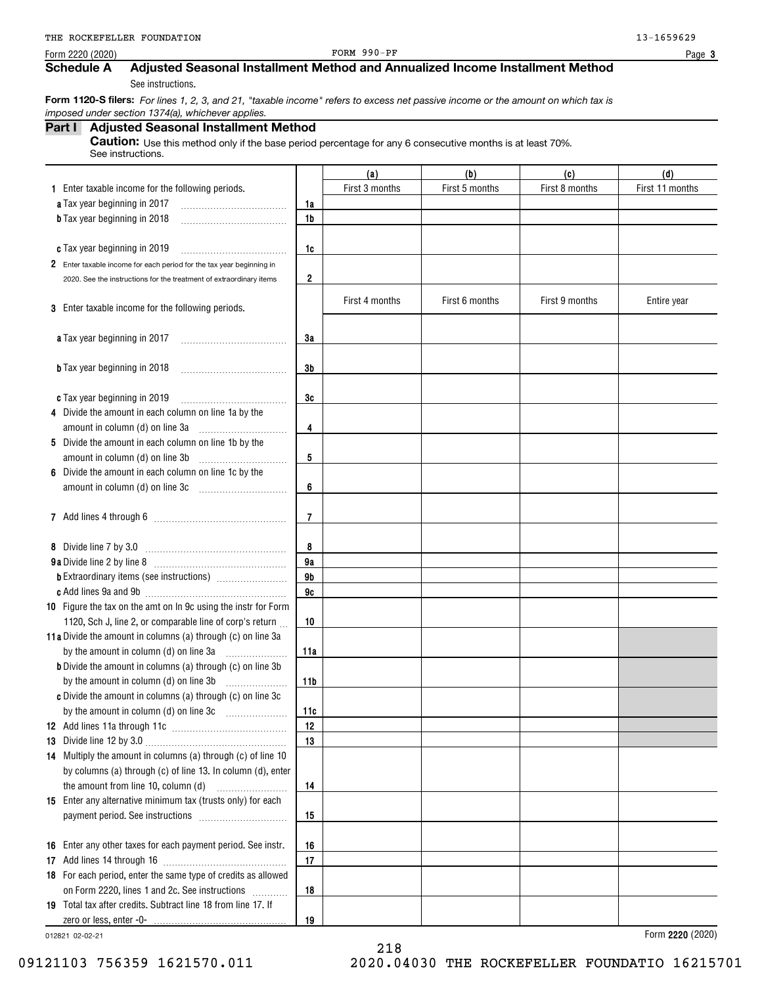Form 2220 (2020)

FORM 990-PF

**3**

# **Schedule A Adjusted Seasonal Installment Method and Annualized Income Installment Method**

See instructions.

 **Form 1120-S filers:** *For lines 1, 2, 3, and 21, "taxable income" refers to excess net passive income or the amount on which tax is imposed under section 1374(a), whichever applies.*

## **Part I Adjusted Seasonal Installment Method**

**Caution:** Use this method only if the base period percentage for any 6 consecutive months is at least 70%. See instructions.

|                                                                      |                | (a)            | (b)            | (c)            | (d)             |
|----------------------------------------------------------------------|----------------|----------------|----------------|----------------|-----------------|
| 1 Enter taxable income for the following periods.                    |                | First 3 months | First 5 months | First 8 months | First 11 months |
| a Tax year beginning in 2017                                         | 1a             |                |                |                |                 |
| <b>b</b> Tax year beginning in 2018                                  | 1 <sub>b</sub> |                |                |                |                 |
|                                                                      |                |                |                |                |                 |
| c Tax year beginning in 2019                                         | 1c             |                |                |                |                 |
| 2 Enter taxable income for each period for the tax year beginning in |                |                |                |                |                 |
| 2020. See the instructions for the treatment of extraordinary items  | 2              |                |                |                |                 |
|                                                                      |                | First 4 months | First 6 months | First 9 months | Entire year     |
| 3 Enter taxable income for the following periods.                    |                |                |                |                |                 |
|                                                                      |                |                |                |                |                 |
| a Tax year beginning in 2017                                         | 3a             |                |                |                |                 |
|                                                                      |                |                |                |                |                 |
| <b>b</b> Tax year beginning in 2018                                  | 3b             |                |                |                |                 |
|                                                                      |                |                |                |                |                 |
| c Tax year beginning in 2019                                         | 3c             |                |                |                |                 |
| 4 Divide the amount in each column on line 1a by the                 |                |                |                |                |                 |
| amount in column (d) on line 3a                                      | 4              |                |                |                |                 |
| 5 Divide the amount in each column on line 1b by the                 |                |                |                |                |                 |
| amount in column (d) on line 3b                                      | 5              |                |                |                |                 |
| 6 Divide the amount in each column on line 1c by the                 |                |                |                |                |                 |
| amount in column (d) on line 3c                                      | 6              |                |                |                |                 |
|                                                                      | $\overline{7}$ |                |                |                |                 |
|                                                                      |                |                |                |                |                 |
| 8 Divide line 7 by 3.0                                               | 8              |                |                |                |                 |
|                                                                      | 9a             |                |                |                |                 |
|                                                                      | 9 <sub>b</sub> |                |                |                |                 |
| <b>c</b> Add lines 9a and 9b                                         | 9c             |                |                |                |                 |
| 10 Figure the tax on the amt on In 9c using the instr for Form       |                |                |                |                |                 |
| 1120, Sch J, line 2, or comparable line of corp's return             | 10             |                |                |                |                 |
| 11a Divide the amount in columns (a) through (c) on line 3a          |                |                |                |                |                 |
| by the amount in column (d) on line 3a                               | 11a            |                |                |                |                 |
| <b>b</b> Divide the amount in columns (a) through (c) on line 3b     |                |                |                |                |                 |
| by the amount in column (d) on line 3b                               | 11b            |                |                |                |                 |
| c Divide the amount in columns (a) through (c) on line 3c            |                |                |                |                |                 |
| by the amount in column (d) on line 3c                               | 11c            |                |                |                |                 |
|                                                                      | 12             |                |                |                |                 |
| 13 Divide line 12 by 3.0 $\ldots$                                    | 13             |                |                |                |                 |
| 14 Multiply the amount in columns (a) through (c) of line 10         |                |                |                |                |                 |
| by columns (a) through (c) of line 13. In column (d), enter          |                |                |                |                |                 |
| the amount from line 10, column (d)                                  | 14             |                |                |                |                 |
| 15 Enter any alternative minimum tax (trusts only) for each          |                |                |                |                |                 |
|                                                                      | 15             |                |                |                |                 |
|                                                                      |                |                |                |                |                 |
| 16 Enter any other taxes for each payment period. See instr.         | 16             |                |                |                |                 |
|                                                                      | 17             |                |                |                |                 |
| 18 For each period, enter the same type of credits as allowed        |                |                |                |                |                 |
| on Form 2220, lines 1 and 2c. See instructions                       | 18             |                |                |                |                 |
| 19 Total tax after credits. Subtract line 18 from line 17. If        |                |                |                |                |                 |
|                                                                      | 19             |                |                |                |                 |

218

012821 02-02-21

09121103 756359 1621570.011 2020.04030 THE ROCKEFELLER FOUNDATIO 16215701

**2220**  Form (2020)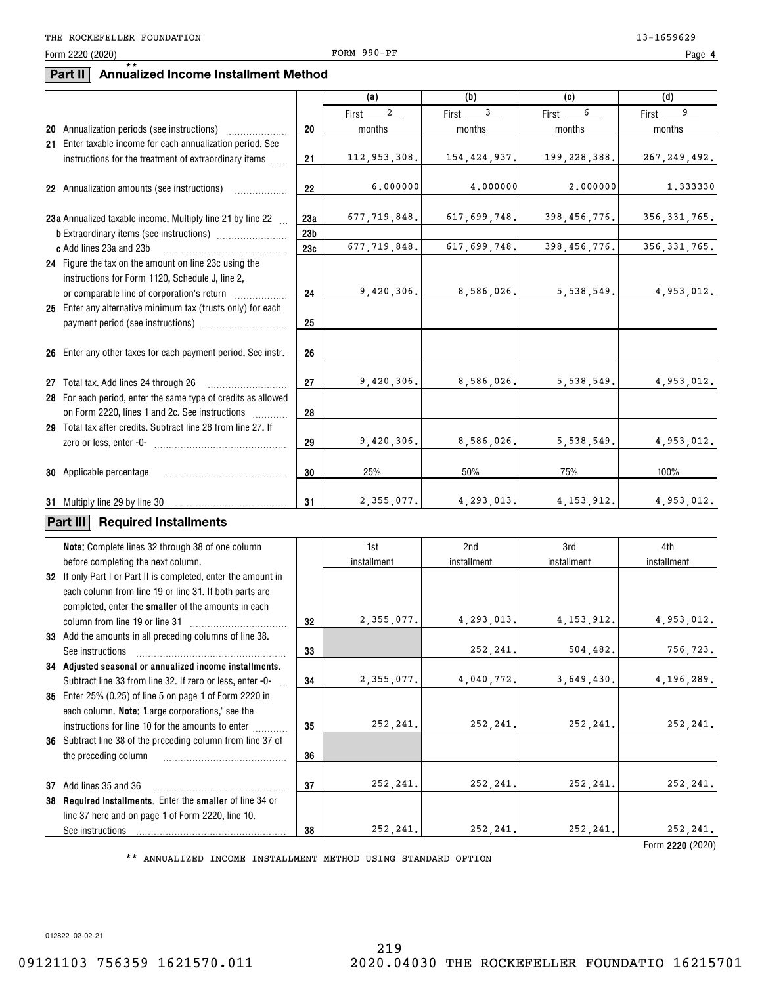Form 2220 (2020)

### **Part II Annualized Income Installment Method** \*\*

|                                                                |                 | (a)                     | (b)            | (c)            | (d)            |
|----------------------------------------------------------------|-----------------|-------------------------|----------------|----------------|----------------|
|                                                                |                 | $\overline{a}$<br>First | 3<br>First     | 6<br>First     | 9<br>First     |
| 20 Annualization periods (see instructions)                    | 20              | months                  | months         | months         | months         |
| 21 Enter taxable income for each annualization period. See     |                 |                         |                |                |                |
| instructions for the treatment of extraordinary items          | 21              | 112,953,308.            | 154, 424, 937. | 199, 228, 388. | 267, 249, 492. |
|                                                                |                 |                         |                |                |                |
| 22 Annualization amounts (see instructions)<br>.               | 22              | 6,000000                | 4,000000       | 2,000000       | 1.333330       |
|                                                                |                 |                         |                |                |                |
| 23a Annualized taxable income. Multiply line 21 by line 22     | 23а             | 677,719,848.            | 617,699,748.   | 398, 456, 776. | 356, 331, 765. |
|                                                                | 23 <sub>b</sub> |                         |                |                |                |
| c Add lines 23a and 23b                                        | 23c             | 677, 719, 848.          | 617,699,748.   | 398, 456, 776. | 356, 331, 765. |
| 24 Figure the tax on the amount on line 23c using the          |                 |                         |                |                |                |
| instructions for Form 1120, Schedule J, line 2,                |                 |                         |                |                |                |
|                                                                | 24              | 9,420,306.              | 8,586,026.     | 5,538,549.     | 4,953,012.     |
| 25 Enter any alternative minimum tax (trusts only) for each    |                 |                         |                |                |                |
|                                                                | 25              |                         |                |                |                |
|                                                                |                 |                         |                |                |                |
| 26 Enter any other taxes for each payment period. See instr.   | 26              |                         |                |                |                |
|                                                                |                 |                         |                |                |                |
| 27 Total tax. Add lines 24 through 26                          | 27              | 9,420,306.              | 8,586,026.     | 5,538,549.     | 4,953,012.     |
| 28 For each period, enter the same type of credits as allowed  |                 |                         |                |                |                |
| on Form 2220, lines 1 and 2c. See instructions                 | 28              |                         |                |                |                |
| 29 Total tax after credits. Subtract line 28 from line 27. If  |                 |                         |                |                |                |
|                                                                | 29              | 9,420,306.              | 8,586,026.     | 5,538,549.     | 4,953,012.     |
|                                                                |                 |                         |                |                |                |
| <b>30</b> Applicable percentage                                | 30              | 25%                     | 50%            | 75%            | 100%           |
|                                                                |                 |                         |                |                |                |
| 31 Multiply line 29 by line 30                                 | 31              | 2,355,077.              | 4,293,013.     | 4, 153, 912.   | 4,953,012.     |
| Part III<br><b>Required Installments</b>                       |                 |                         |                |                |                |
|                                                                |                 |                         |                |                |                |
| Note: Complete lines 32 through 38 of one column               |                 | 1st                     | 2nd            | 3rd            | 4th            |
| before completing the next column.                             |                 | installment             | installment    | installment    | installment    |
| 32 If only Part I or Part II is completed, enter the amount in |                 |                         |                |                |                |
| each column from line 19 or line 31. If both parts are         |                 |                         |                |                |                |
| completed, enter the smaller of the amounts in each            |                 |                         |                |                |                |
| column from line 19 or line 31                                 | 32              | 2,355,077.              | 4,293,013.     | 4, 153, 912.   | 4,953,012.     |
| 33 Add the amounts in all preceding columns of line 38.        |                 |                         |                |                |                |
| See instructions                                               | 33              |                         | 252,241.       | 504,482.       | 756,723.       |
| 34 Adjusted seasonal or annualized income installments.        |                 |                         |                |                |                |
| Subtract line 33 from line 32. If zero or less, enter -0-      | 34              | 2,355,077.              | 4,040,772.     | 3,649,430.     | 4,196,289.     |
| 35 Enter 25% (0.25) of line 5 on page 1 of Form 2220 in        |                 |                         |                |                |                |
| each column. Note: "Large corporations," see the               |                 |                         |                |                |                |
| instructions for line 10 for the amounts to enter              | 35              | 252,241.                | 252, 241.      | 252,241.       | 252,241.       |
| 36 Subtract line 38 of the preceding column from line 37 of    |                 |                         |                |                |                |
| the preceding column                                           | 36              |                         |                |                |                |
|                                                                |                 |                         |                |                |                |
| 37 Add lines 35 and 36                                         | 37              | 252, 241.               | 252, 241.      | 252, 241.      | 252, 241.      |
| 38 Required installments. Enter the smaller of line 34 or      |                 |                         |                |                |                |
| line 37 here and on page 1 of Form 2220, line 10.              |                 |                         |                |                |                |
| See instructions                                               | 38              | 252,241.                | 252,241.       | 252,241.       | 252,241.       |
|                                                                |                 |                         |                |                |                |

\*\* ANNUALIZED INCOME INSTALLMENT METHOD USING STANDARD OPTION

**2220**  Form (2020)

012822 02-02-21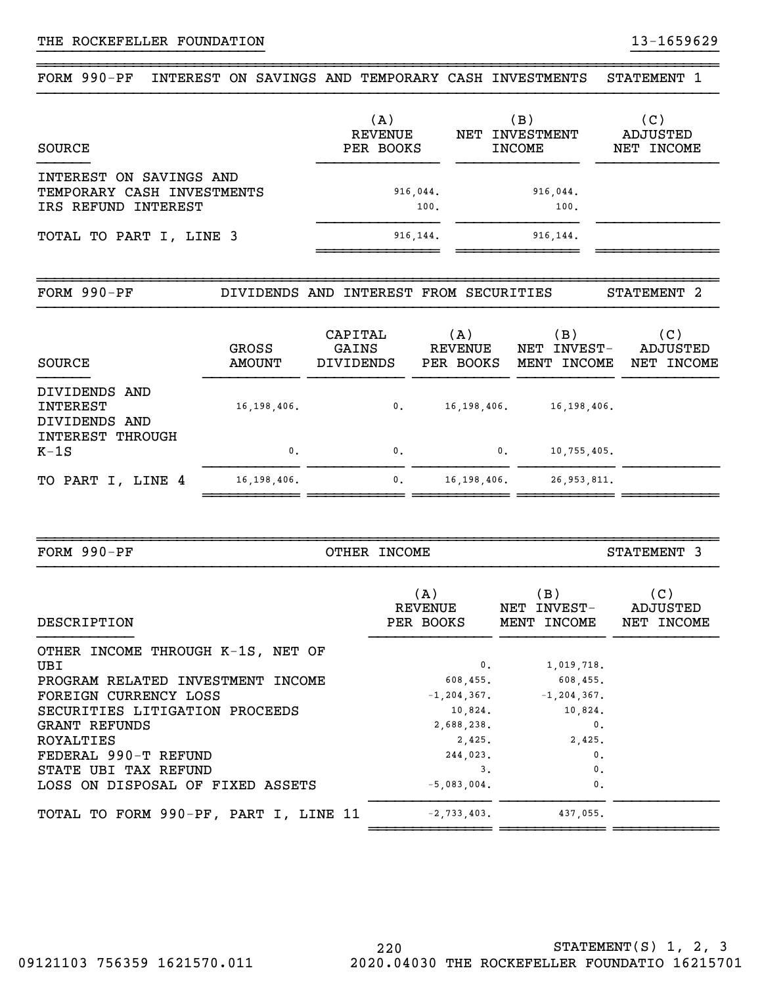### ~~~~~~~~~~~~~~~~~~~~~~~~~~~~~~~~~~~~~~~~~~~~~~~~~~~~~~~~~~~~~~~~~~~~~~~~~~~~~~FORM 990-PF INTEREST ON SAVINGS AND TEMPORARY CASH INVESTMENTS STATEMENT 1

}}}}}}}}}}}}}}}}}}}}}}}}}} }}}}}}}}}}

| SOURCE                                                                       | (A)<br>REVENUE<br>PER BOOKS | (B )<br>NET INVESTMENT<br><b>INCOME</b> | (C)<br>ADJUSTED<br>NET INCOME |
|------------------------------------------------------------------------------|-----------------------------|-----------------------------------------|-------------------------------|
| INTEREST ON SAVINGS AND<br>TEMPORARY CASH INVESTMENTS<br>IRS REFUND INTEREST | 916,044.<br>100.            | 916,044.<br>100.                        |                               |
| TOTAL TO PART I, LINE 3                                                      | 916, 144.                   | 916, 144.                               |                               |

~~~~~~~~~~~~~~~~~~~~~~~~~~~~~~~~~~~~~~~~~~~~~~~~~~~~~~~~~~~~~~~~~~~~~~~~~~~~~~

| FORM 990-PF                                |                        | DIVIDENDS AND INTEREST FROM SECURITIES |                                    |                                      | STATEMENT 2                   |
|--------------------------------------------|------------------------|----------------------------------------|------------------------------------|--------------------------------------|-------------------------------|
| SOURCE                                     | GROSS<br><b>AMOUNT</b> | CAPITAL<br>GAINS<br><b>DIVIDENDS</b>   | (A)<br><b>REVENUE</b><br>PER BOOKS | (B)<br>INVEST-<br>NET<br>MENT INCOME | (C)<br>ADJUSTED<br>NET INCOME |
| DIVIDENDS AND<br>INTEREST<br>DIVIDENDS AND | 16, 198, 406.          | 0.                                     | 16, 198, 406.                      | 16, 198, 406.                        |                               |
| INTEREST THROUGH<br>$K-1S$                 | $\mathbf{0}$ .         | $\mathbf{0}$ .                         | 0.                                 | 10,755,405.                          |                               |
| TO PART I, LINE 4                          | 16, 198, 406.          | $\mathbf{0}$ .                         | 16, 198, 406.                      | 26, 953, 811.                        |                               |

~~~~~~~ ~~~~~~~~~~ ~

| FORM $990-PF$                            | OTHER INCOME                |                                   | STATEMENT 3                   |
|------------------------------------------|-----------------------------|-----------------------------------|-------------------------------|
| DESCRIPTION                              | (A)<br>REVENUE<br>PER BOOKS | (B)<br>NET INVEST-<br>MENT INCOME | (C)<br>ADJUSTED<br>NET INCOME |
| OTHER INCOME THROUGH K-1S, NET OF<br>UBI | 0.                          | 1,019,718.                        |                               |
| PROGRAM RELATED INVESTMENT INCOME        | 608,455.                    | 608,455.                          |                               |
| FOREIGN CURRENCY LOSS                    |                             | $-1, 204, 367.$ $-1, 204, 367.$   |                               |
| SECURITIES LITIGATION PROCEEDS           |                             | 10,824.<br>10,824.                |                               |
| GRANT REFUNDS                            | 2,688,238.                  | $\mathbf{0}$ .                    |                               |
| ROYALTIES                                | 2,425.                      | 2,425.                            |                               |
| FEDERAL 990-T REFUND                     | 244,023.                    | $\mathbf{0}$ .                    |                               |
| STATE UBI TAX REFUND                     | 3.                          | $\mathbf{0}$ .                    |                               |
| LOSS ON DISPOSAL OF FIXED ASSETS         | $-5,083,004.$               | $\mathbf{0}$ .                    |                               |
| TOTAL TO FORM 990-PF, PART I, LINE 11    | $-2,733,403.$               | 437,055.                          |                               |

~~~~~~~~~~~~~~ ~~~~~~~~~~~~ ~~~~~~~~~~~~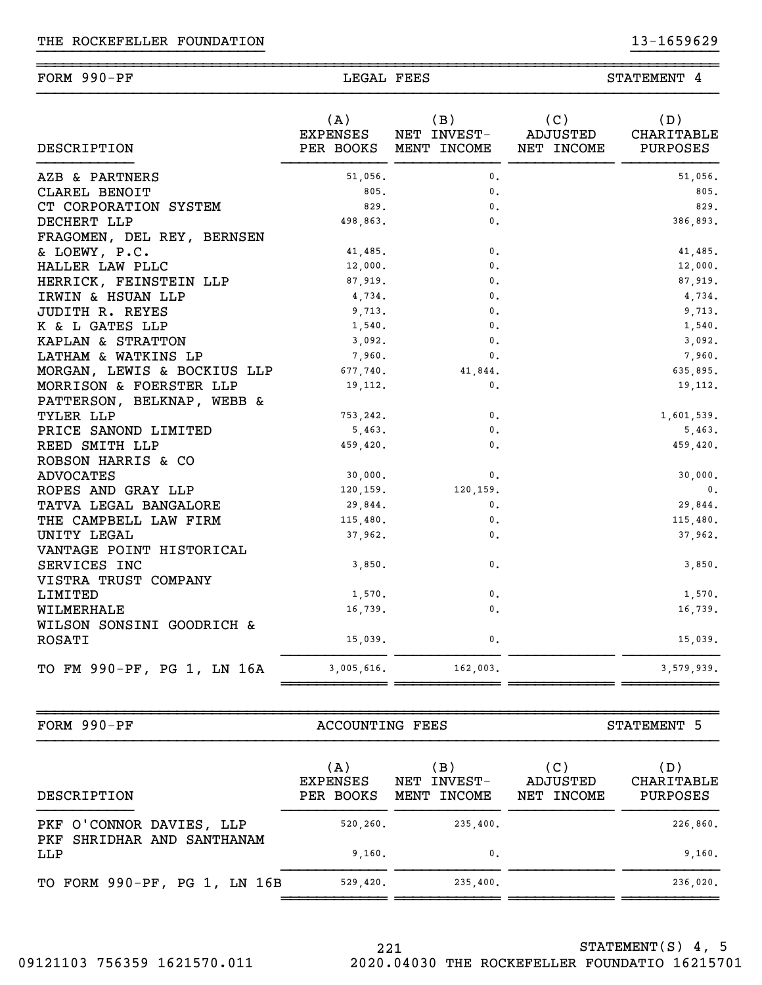| <b>DESCRIPTION</b>          | (A)<br>EXPENSES | (B)<br>NET INVEST-<br>PER BOOKS MENT INCOME | (C)<br>ADJUSTED<br>NET INCOME | (D)<br>CHARITABLE<br>PURPOSES |
|-----------------------------|-----------------|---------------------------------------------|-------------------------------|-------------------------------|
| AZB & PARTNERS              | 51,056.         | $\mathbf{0}$ .                              |                               | 51,056.                       |
| CLAREL BENOIT               | 805.            | $\mathbf{0}$ .                              |                               | 805.                          |
| CT CORPORATION SYSTEM       | 829.            | $\mathbf{0}$ .                              |                               | 829.                          |
| DECHERT LLP                 | 498,863.        | 0.                                          |                               | 386,893.                      |
| FRAGOMEN, DEL REY, BERNSEN  |                 |                                             |                               |                               |
| & LOEWY, P.C.               | 41,485.         | 0.                                          |                               | 41,485.                       |
| HALLER LAW PLLC             | 12,000.         | 0.                                          |                               | 12,000.                       |
| HERRICK, FEINSTEIN LLP      | 87,919.         | $\mathbf{0}$ .                              |                               | 87,919.                       |
| IRWIN & HSUAN LLP           | 4,734.          | $\mathbf{0}$ .                              |                               | 4,734.                        |
| JUDITH R. REYES             | 9,713.          | $\mathbf{0}$ .                              |                               | 9,713.                        |
| K & L GATES LLP             | 1,540.          | $\mathbf{0}$ .                              |                               | 1,540.                        |
| KAPLAN & STRATTON           | 3,092.          | $\mathbf{0}$ .                              |                               | 3,092.                        |
| LATHAM & WATKINS LP         | 7,960.          | $\mathbf{0}$ .                              |                               | 7,960.                        |
| MORGAN, LEWIS & BOCKIUS LLP | 677,740.        | 41,844.                                     |                               | 635,895.                      |
| MORRISON & FOERSTER LLP     | 19,112.         | 0.                                          |                               | 19, 112.                      |
| PATTERSON, BELKNAP, WEBB &  |                 |                                             |                               |                               |
| TYLER LLP                   | 753,242.        | 0.                                          |                               | 1,601,539.                    |
| PRICE SANOND LIMITED        | 5,463.          | 0.                                          |                               | 5,463.                        |
| REED SMITH LLP              | 459,420.        | $\mathbf{0}$ .                              |                               | 459,420.                      |
| ROBSON HARRIS & CO          |                 |                                             |                               |                               |
| <b>ADVOCATES</b>            | 30,000.         | $\mathbf{0}$ .                              |                               | 30,000.                       |
| ROPES AND GRAY LLP          | 120,159.        | 120,159.                                    |                               | $\mathbf{0}$ .                |
| TATVA LEGAL BANGALORE       | 29,844.         | 0.                                          |                               | 29,844.                       |
| THE CAMPBELL LAW FIRM       | 115,480.        | $\mathbf{0}$ .                              |                               | 115,480.                      |
| UNITY LEGAL                 | 37,962.         | $\mathbf{0}$ .                              |                               | 37,962.                       |
| VANTAGE POINT HISTORICAL    |                 |                                             |                               |                               |
| SERVICES INC                | 3,850.          | $\mathbf{0}$ .                              |                               | 3,850.                        |
| VISTRA TRUST COMPANY        |                 |                                             |                               |                               |
| LIMITED                     | 1,570.          | 0.                                          |                               | 1,570.                        |
| WILMERHALE                  | 16,739.         | $\mathbf{0}$ .                              |                               | 16,739.                       |
| WILSON SONSINI GOODRICH &   |                 |                                             |                               |                               |
| <b>ROSATI</b>               | 15,039.         | 0.                                          |                               | 15,039.                       |
| TO FM 990-PF, PG 1, LN 16A  | 3,005,616.      | 162,003.                                    |                               | 3,579,939.                    |
|                             |                 |                                             |                               |                               |

~~~~~~~~~~~~~~~~~~~~~~~~~~~~~~~~~~~~~~~~~~~~~~~~~~~~~~~~~~~~~~~~~~~~~~~~~~~~~~

FORM 990-PF ACCOUNTING FEES STATEMENT 5

| DESCRIPTION                       | (A)<br><b>EXPENSES</b><br>PER BOOKS | (B)<br>INVEST-<br>NET<br>INCOME<br>MENT | (C)<br>ADJUSTED<br>NET INCOME | (D)<br>CHARITABLE<br>PURPOSES |
|-----------------------------------|-------------------------------------|-----------------------------------------|-------------------------------|-------------------------------|
| PKF O'CONNOR DAVIES, LLP          | 520, 260.                           | 235,400.                                |                               | 226,860.                      |
| PKF SHRIDHAR AND SANTHANAM<br>LLP | 9,160.                              | $\mathbf{0}$ .                          |                               | 9,160.                        |
| TO FORM 990-PF, PG 1, LN 16B      | 529,420.                            | 235,400.                                |                               | 236,020.                      |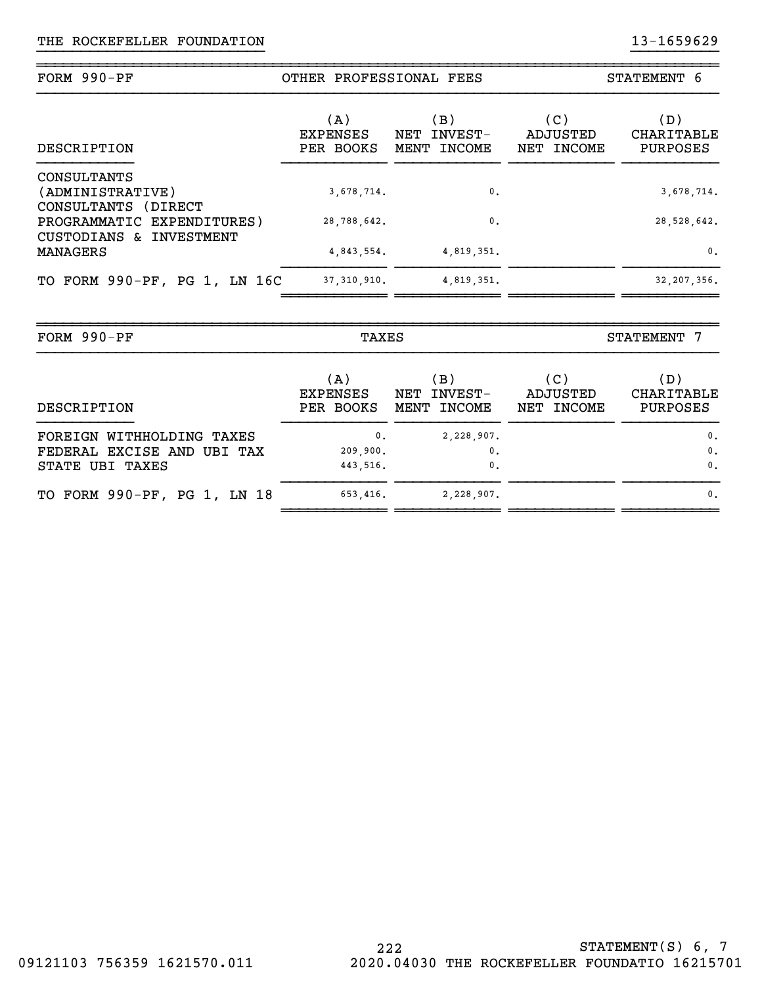| FORM 990-PF                                                | OTHER PROFESSIONAL FEES             |                                         | STATEMENT 6                   |                               |
|------------------------------------------------------------|-------------------------------------|-----------------------------------------|-------------------------------|-------------------------------|
| DESCRIPTION                                                | (A)<br><b>EXPENSES</b><br>PER BOOKS | (B)<br>INVEST-<br>NET<br>INCOME<br>MENT | (C)<br>ADJUSTED<br>NET INCOME | (D)<br>CHARITABLE<br>PURPOSES |
| CONSULTANTS<br>(ADMINISTRATIVE)<br>CONSULTANTS<br>(DIRECT) | 3,678,714.                          | $\mathbf{0}$ .                          |                               | 3,678,714.                    |
| PROGRAMMATIC EXPENDITURES)<br>CUSTODIANS & INVESTMENT      | 28,788,642.                         | $\mathbf{0}$ .                          |                               | 28,528,642.                   |
| <b>MANAGERS</b>                                            | 4,843,554.                          | 4,819,351.                              |                               | $\mathbf{0}$ .                |
| TO FORM 990-PF, PG 1, LN 16C                               | 37, 310, 910.                       | 4,819,351.                              |                               | 32, 207, 356.                 |

| FORM $990-PF$                                                              | TAXES                                  |                                      | STATEMENT 7                   |                                                      |
|----------------------------------------------------------------------------|----------------------------------------|--------------------------------------|-------------------------------|------------------------------------------------------|
| DESCRIPTION                                                                | (A)<br><b>EXPENSES</b><br>PER BOOKS    | (B)<br>INVEST-<br>NET<br>MENT INCOME | (C)<br>ADJUSTED<br>NET INCOME | (D)<br>CHARITABLE<br>PURPOSES                        |
| FOREIGN WITHHOLDING TAXES<br>FEDERAL EXCISE AND UBI TAX<br>STATE UBI TAXES | $\mathbf{0}$ .<br>209,900.<br>443,516. | 2,228,907.<br>0.<br>$\mathbf{0}$ .   |                               | $\mathfrak{o}$ .<br>$\mathbf{0}$ .<br>$\mathbf{0}$ . |
| TO FORM 990-PF, PG 1, LN 18                                                | 653,416.                               | 2,228,907.                           |                               | $\mathbf{0}$ .                                       |

~~~~~~~~~~~~~~~~~~~~~~~~~~~~~~~~~~~~~~~~~~~~~~~~~~~~~~~~~~~~~~~~~~~~~~~~~~~~~~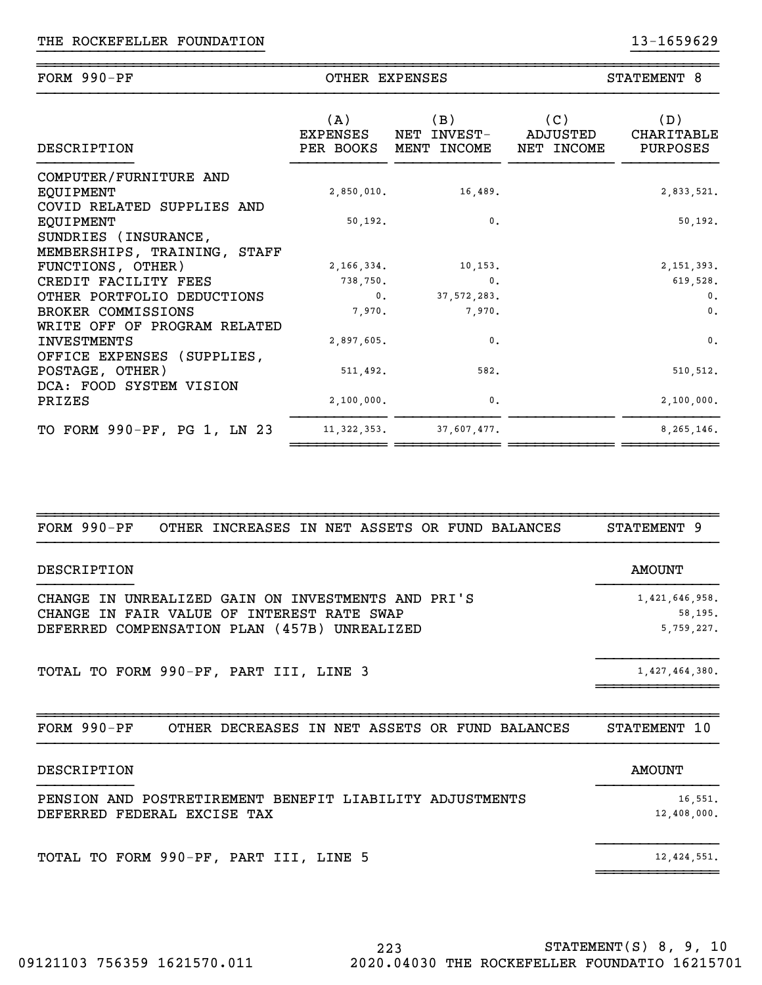| FORM $990-PF$                                                     | OTHER EXPENSES  |                                             |                               | STATEMENT 8                   |  |
|-------------------------------------------------------------------|-----------------|---------------------------------------------|-------------------------------|-------------------------------|--|
| DESCRIPTION                                                       | (A)<br>EXPENSES | (B)<br>NET INVEST-<br>PER BOOKS MENT INCOME | (C)<br>ADJUSTED<br>NET INCOME | (D)<br>CHARITABLE<br>PURPOSES |  |
| COMPUTER/FURNITURE AND<br>EQUIPMENT<br>COVID RELATED SUPPLIES AND | 2,850,010.      | 16,489.                                     |                               | 2,833,521.                    |  |
| EQUIPMENT                                                         | 50,192.         | $\mathbf{0}$ .                              |                               | 50, 192.                      |  |
| SUNDRIES (INSURANCE,                                              |                 |                                             |                               |                               |  |
| MEMBERSHIPS, TRAINING, STAFF                                      |                 |                                             |                               |                               |  |
| FUNCTIONS, OTHER)                                                 | 2, 166, 334.    | 10, 153.                                    |                               | 2, 151, 393.                  |  |
| CREDIT FACILITY FEES                                              | 738,750.        | $\mathbf{0}$ .                              |                               | 619,528.                      |  |
| OTHER PORTFOLIO DEDUCTIONS                                        | $0$ .           | 37, 572, 283.                               |                               | $\mathbf{0}$ .                |  |
| BROKER COMMISSIONS                                                | 7,970.          | 7,970.                                      |                               | $\mathbf{0}$ .                |  |
| WRITE OFF OF PROGRAM RELATED                                      |                 |                                             |                               |                               |  |
| <b>INVESTMENTS</b>                                                | 2,897,605.      | 0.                                          |                               | 0.                            |  |
| OFFICE EXPENSES (SUPPLIES,                                        |                 |                                             |                               |                               |  |
| POSTAGE, OTHER)                                                   | 511.492.        | 582.                                        |                               | 510, 512.                     |  |
| DCA: FOOD SYSTEM VISION                                           |                 |                                             |                               |                               |  |
| PRIZES                                                            | 2,100,000.      | 0.                                          |                               | 2,100,000.                    |  |
| TO FORM 990-PF, PG 1, LN 23                                       | 11, 322, 353.   | 37,607,477.                                 |                               | 8, 265, 146.                  |  |

~~~~~~~~~~~~~~~~~~~~~~~~~~~~~~~~~~~~~~~~~~~~~~~~~~~~~~~~~~~~~~~~~~~~~~~~~~~~~~

| FORM $990-PF$<br>OTHER INCREASES IN NET ASSETS OR FUND BALANCES                                                                                                                  | STATEMENT 9                             |
|----------------------------------------------------------------------------------------------------------------------------------------------------------------------------------|-----------------------------------------|
| DESCRIPTION                                                                                                                                                                      | <b>AMOUNT</b>                           |
| <b>CHANGE</b><br>UNREALIZED GAIN ON INVESTMENTS AND PRI'S<br>ΙN<br>OF<br>INTEREST RATE SWAP<br>CHANGE<br><b>FAIR VALUE</b><br>ΙN<br>DEFERRED COMPENSATION PLAN (457B) UNREALIZED | 1,421,646,958.<br>58,195.<br>5,759,227. |
| TOTAL TO FORM 990-PF, PART III, LINE 3                                                                                                                                           | 1,427,464,380.                          |
| FORM 990-PF<br>OTHER DECREASES IN NET ASSETS OR FUND BALANCES                                                                                                                    | STATEMENT 10                            |
| DESCRIPTION                                                                                                                                                                      | <b>AMOUNT</b>                           |
| AND POSTRETIREMENT BENEFIT LIABILITY ADJUSTMENTS<br>PENSION<br>FEDERAL EXCISE TAX<br>DEFERRED                                                                                    | 16,551.<br>12,408,000.                  |
|                                                                                                                                                                                  |                                         |

TOTAL TO FORM 990-PF, PART III, LINE 5 12,424,551.  $~\sim$   $~\sim$   $~\sim$   $~\sim$   $~\sim$   $~\sim$   $~\sim$   $~\sim$   $~\sim$   $~\sim$   $~\sim$   $~\sim$   $~\sim$   $~\sim$   $~\sim$   $~\sim$   $~\sim$   $~\sim$   $~\sim$   $~\sim$   $~\sim$   $~\sim$   $~\sim$   $~\sim$   $~\sim$   $~\sim$   $~\sim$   $~\sim$   $~\sim$   $~\sim$   $~\sim$   $~\sim$   $~\sim$   $~\sim$   $~\sim$   $~\sim$   $~\sim$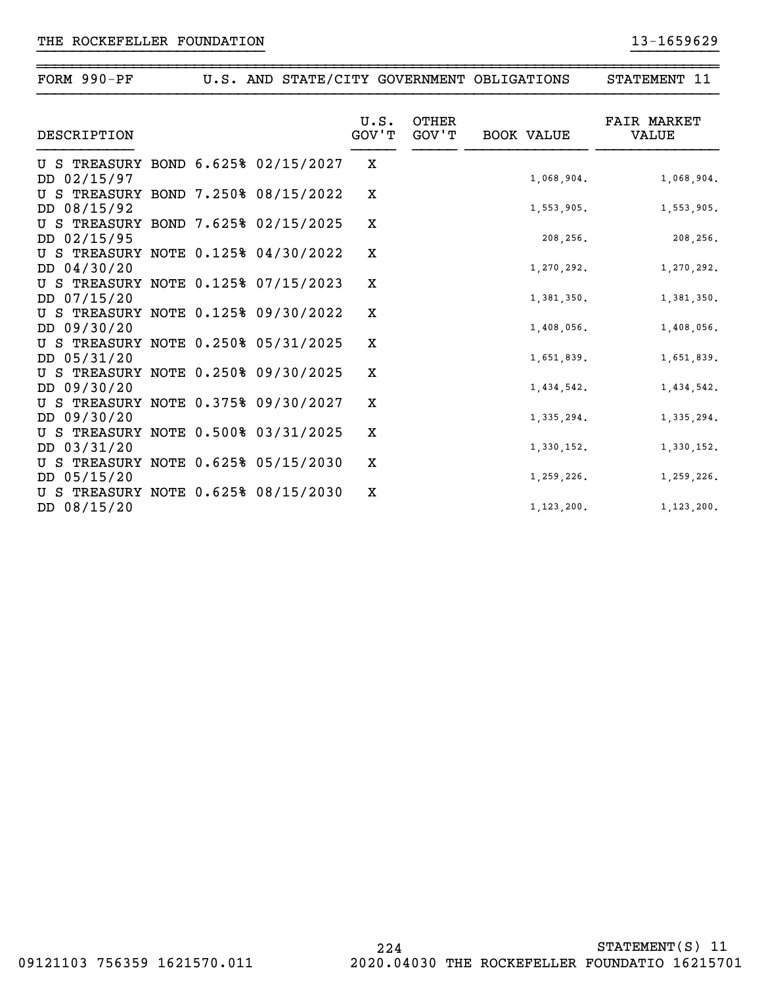| FORM $990-PF$                                      |  |               |                       | U.S. AND STATE/CITY GOVERNMENT OBLIGATIONS | STATEMENT 11                |
|----------------------------------------------------|--|---------------|-----------------------|--------------------------------------------|-----------------------------|
| DESCRIPTION                                        |  | U.S.<br>GOV'T | <b>OTHER</b><br>GOV'T | <b>BOOK VALUE</b>                          | <b>FAIR MARKET</b><br>VALUE |
| U S TREASURY BOND 6.625% 02/15/2027<br>DD 02/15/97 |  | X             |                       | 1,068,904.                                 | 1,068,904.                  |
| U S TREASURY BOND 7.250% 08/15/2022<br>DD 08/15/92 |  | X             |                       | 1,553,905.                                 | 1,553,905.                  |
| U S TREASURY BOND 7.625% 02/15/2025<br>DD 02/15/95 |  | X             |                       | 208,256.                                   | 208,256.                    |
| U S TREASURY NOTE 0.125% 04/30/2022<br>DD 04/30/20 |  | X             |                       | 1,270,292.                                 | 1,270,292.                  |
| U S TREASURY NOTE 0.125% 07/15/2023<br>DD 07/15/20 |  | X             |                       | 1,381,350.                                 | 1,381,350.                  |
| U S TREASURY NOTE 0.125% 09/30/2022<br>DD 09/30/20 |  | X             |                       | 1,408,056.                                 | 1,408,056.                  |
| U S TREASURY NOTE 0.250% 05/31/2025<br>DD 05/31/20 |  | X             |                       | 1,651,839.                                 | 1,651,839.                  |
| U S TREASURY NOTE 0.250% 09/30/2025<br>DD 09/30/20 |  | X             |                       | 1,434,542.                                 | 1,434,542.                  |
| U S TREASURY NOTE 0.375% 09/30/2027<br>DD 09/30/20 |  | X             |                       | 1,335,294.                                 | 1,335,294.                  |
| U S TREASURY NOTE 0.500% 03/31/2025<br>DD 03/31/20 |  | X             |                       | 1,330,152.                                 | 1,330,152.                  |
| U S TREASURY NOTE 0.625% 05/15/2030<br>DD 05/15/20 |  | Х             |                       | 1,259,226.                                 | 1,259,226.                  |
| U S TREASURY NOTE 0.625% 08/15/2030<br>DD 08/15/20 |  | X             |                       | 1, 123, 200.                               | 1, 123, 200.                |

~~~~~~~~~~~~~~~~~~~~~~~~~~~~~~~~~~~~~~~~~~~~~~~~~~~~~~~~~~~~~~~~~~~~~~~~~~~~~~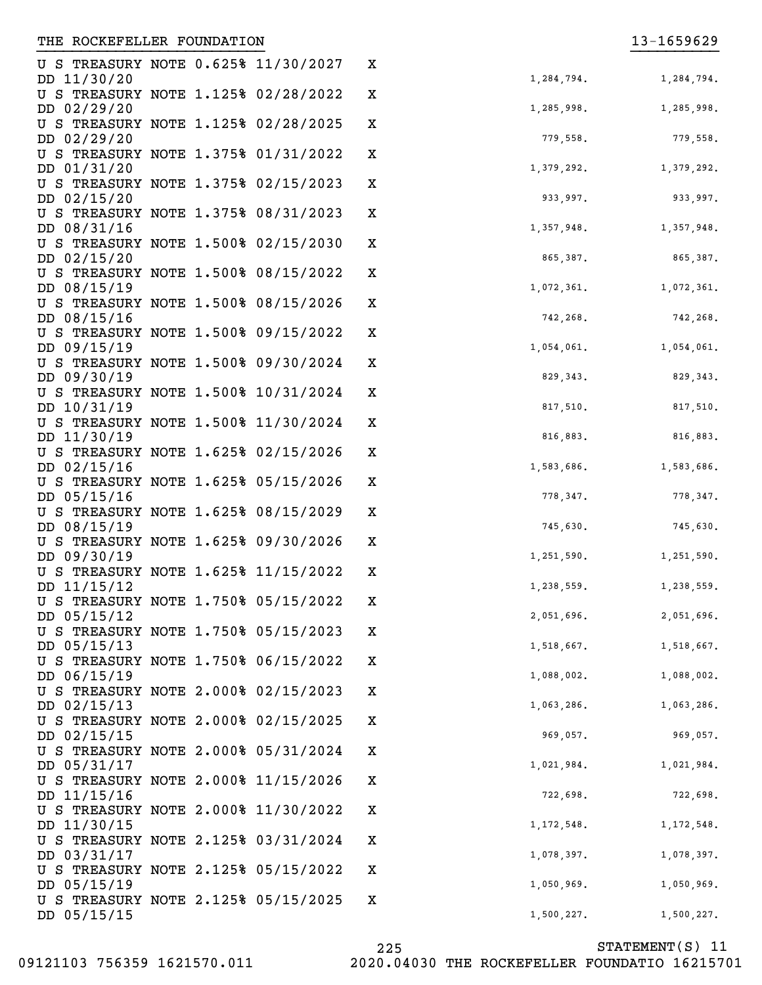| U S TREASURY NOTE 0.625% 11/30/2027                |  | x           |  |
|----------------------------------------------------|--|-------------|--|
| DD 11/30/20                                        |  |             |  |
| U S TREASURY NOTE 1.125% 02/28/2022                |  | $\mathbf X$ |  |
| DD 02/29/20<br>U S TREASURY NOTE 1.125% 02/28/2025 |  | $\mathbf X$ |  |
| DD 02/29/20                                        |  |             |  |
| U S TREASURY NOTE 1.375% 01/31/2022                |  | $\mathbf X$ |  |
| DD 01/31/20                                        |  |             |  |
| U S TREASURY NOTE 1.375% 02/15/2023                |  | $\mathbf X$ |  |
| DD 02/15/20                                        |  |             |  |
| U S TREASURY NOTE 1.375% 08/31/2023                |  | $\mathbf X$ |  |
| DD 08/31/16                                        |  |             |  |
| U S TREASURY NOTE 1.500% 02/15/2030                |  | $\mathbf X$ |  |
| DD 02/15/20                                        |  |             |  |
| U S TREASURY NOTE 1.500% 08/15/2022                |  | $\mathbf X$ |  |
| DD 08/15/19                                        |  |             |  |
| U S TREASURY NOTE 1.500% 08/15/2026                |  | $\mathbf X$ |  |
| DD 08/15/16                                        |  |             |  |
| U S TREASURY NOTE 1.500% 09/15/2022                |  | $\mathbf X$ |  |
| DD 09/15/19                                        |  |             |  |
| U S TREASURY NOTE 1.500% 09/30/2024                |  | $\mathbf X$ |  |
| DD 09/30/19                                        |  |             |  |
| U S TREASURY NOTE 1.500% 10/31/2024                |  | $\mathbf X$ |  |
| DD 10/31/19                                        |  |             |  |
| U S TREASURY NOTE 1.500% 11/30/2024                |  | $\mathbf X$ |  |
| DD 11/30/19                                        |  | $\mathbf X$ |  |
| U S TREASURY NOTE 1.625% 02/15/2026<br>DD 02/15/16 |  |             |  |
| U S TREASURY NOTE 1.625% 05/15/2026                |  | $\mathbf X$ |  |
| DD 05/15/16                                        |  |             |  |
| U S TREASURY NOTE 1.625% 08/15/2029                |  | $\mathbf X$ |  |
| DD 08/15/19                                        |  |             |  |
| U S TREASURY NOTE 1.625% 09/30/2026                |  | $\mathbf X$ |  |
| DD 09/30/19                                        |  |             |  |
| U S TREASURY NOTE 1.625% 11/15/2022                |  | Χ           |  |
| DD 11/15/12                                        |  |             |  |
| U S TREASURY NOTE 1.750% 05/15/2022                |  | Χ           |  |
| DD 05/15/12                                        |  |             |  |
| U S TREASURY NOTE 1.750% 05/15/2023                |  | х           |  |
| DD 05/15/13                                        |  |             |  |
| U S TREASURY NOTE 1.750% 06/15/2022                |  | X           |  |
| DD 06/15/19                                        |  |             |  |
| U S TREASURY NOTE 2.000% 02/15/2023                |  | X           |  |
| DD 02/15/13                                        |  |             |  |
| U S TREASURY NOTE 2.000% 02/15/2025                |  | X           |  |
| DD 02/15/15                                        |  |             |  |
| U S TREASURY NOTE 2.000% 05/31/2024<br>DD 05/31/17 |  | X           |  |
| U S TREASURY NOTE 2.000% 11/15/2026                |  | X           |  |
| DD 11/15/16                                        |  |             |  |
| U S TREASURY NOTE 2.000% 11/30/2022                |  | X           |  |
| DD 11/30/15                                        |  |             |  |
| U S TREASURY NOTE 2.125% 03/31/2024                |  | X           |  |
| DD 03/31/17                                        |  |             |  |
| U S TREASURY NOTE 2.125% 05/15/2022 X              |  |             |  |

| 1,284,794. | 1,284,794. |
|------------|------------|
| 1,285,998. | 1,285,998. |
| 779,558.   | 779,558.   |
| 1,379,292. | 1,379,292. |
| 933,997.   | 933,997.   |
| 1,357,948. | 1,357,948. |
| 865,387.   | 865,387.   |
| 1,072,361. | 1,072,361. |
| 742,268.   | 742,268.   |
| 1,054,061. | 1,054,061. |
| 829, 343.  | 829, 343.  |
| 817,510.   | 817,510.   |
| 816,883.   | 816,883.   |
| 1,583,686. | 1,583,686. |
| 778,347.   | 778,347.   |
| 745,630.   | 745,630.   |
| 1,251,590. | 1,251,590. |
| 1,238,559. | 1,238,559. |
| 2,051,696. | 2,051,696. |
| 1,518,667. | 1,518,667. |
| 1,088,002. | 1,088,002. |
| 1,063,286. | 1,063,286. |
| 969,057.   | 969,057.   |
| 1,021,984. | 1,021,984. |
| 722,698.   | 722,698.   |
| 1,172,548. | 1,172,548. |
| 1,078,397. | 1,078,397. |
| 1,050,969. | 1,050,969. |
| 1,500,227. | 1,500,227. |

U S TREASURY NOTE 2.125% 05/15/2025

X

}}}}}}}}}}}}}}}}}}}}}}}}}} }}}}}}}}}}

DD 05/15/19

DD 05/15/15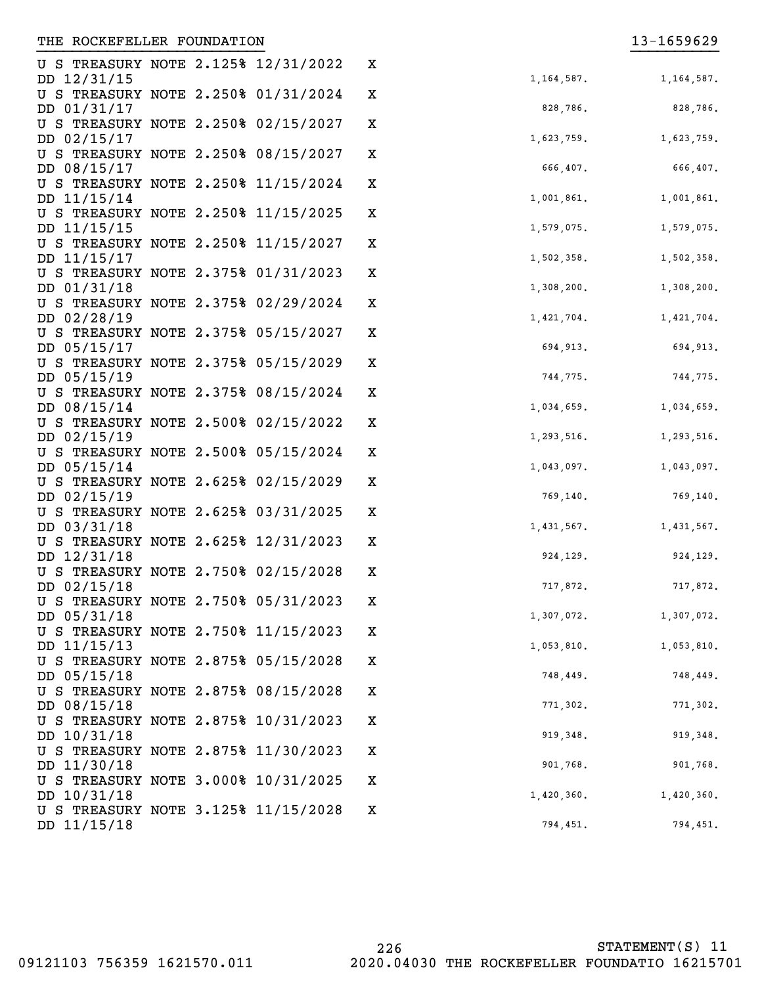| U S TREASURY NOTE 2.125% 12/31/2022<br>DD 12/31/15 |  | X | 1, 164, 587. | 1,164,587. |
|----------------------------------------------------|--|---|--------------|------------|
| U S TREASURY NOTE 2.250% 01/31/2024                |  | X |              |            |
| DD 01/31/17                                        |  |   | 828,786.     | 828,786.   |
| U S TREASURY NOTE 2.250% 02/15/2027                |  | X |              |            |
| DD 02/15/17                                        |  |   | 1,623,759.   | 1,623,759. |
| U S TREASURY NOTE 2.250% 08/15/2027                |  | X |              |            |
| DD 08/15/17                                        |  |   | 666,407.     | 666,407.   |
| U S TREASURY NOTE 2.250% 11/15/2024<br>DD 11/15/14 |  | X | 1,001,861.   | 1,001,861. |
| U S TREASURY NOTE 2.250% 11/15/2025                |  | X |              |            |
| DD 11/15/15                                        |  |   | 1,579,075.   | 1,579,075. |
| U S TREASURY NOTE 2.250% 11/15/2027                |  | X |              |            |
| DD 11/15/17                                        |  |   | 1,502,358.   | 1,502,358. |
| U S TREASURY NOTE 2.375% 01/31/2023                |  | X |              |            |
| DD 01/31/18                                        |  |   | 1,308,200.   | 1,308,200. |
| U S TREASURY NOTE 2.375% 02/29/2024                |  | X |              |            |
| DD 02/28/19                                        |  |   | 1,421,704.   | 1,421,704. |
| U S TREASURY NOTE 2.375% 05/15/2027                |  | X |              |            |
| DD 05/15/17                                        |  |   | 694,913.     | 694,913.   |
| U S TREASURY NOTE 2.375% 05/15/2029                |  | X |              |            |
| DD 05/15/19                                        |  |   | 744,775.     | 744,775.   |
| U S TREASURY NOTE 2.375% 08/15/2024                |  | X |              |            |
| DD 08/15/14                                        |  |   | 1,034,659.   | 1,034,659. |
| U S TREASURY NOTE 2.500% 02/15/2022                |  | X |              |            |
| DD 02/15/19                                        |  |   | 1,293,516.   | 1,293,516. |
| U S TREASURY NOTE 2.500% 05/15/2024<br>DD 05/15/14 |  | X | 1,043,097.   | 1,043,097. |
| U S TREASURY NOTE 2.625% 02/15/2029                |  | X |              |            |
| DD 02/15/19                                        |  |   | 769,140.     | 769,140.   |
| U S TREASURY NOTE 2.625% 03/31/2025                |  | X |              |            |
| DD 03/31/18                                        |  |   | 1,431,567.   | 1,431,567. |
| U S TREASURY NOTE 2.625% 12/31/2023                |  | X |              |            |
| DD 12/31/18                                        |  |   | 924,129.     | 924,129.   |
| U S TREASURY NOTE 2.750% 02/15/2028                |  | X |              |            |
| DD 02/15/18                                        |  |   | 717,872.     | 717,872.   |
| U S TREASURY NOTE 2.750% 05/31/2023                |  | X |              |            |
| DD 05/31/18                                        |  |   | 1,307,072.   | 1,307,072. |
| U S TREASURY NOTE 2.750% 11/15/2023                |  | x |              |            |
| DD 11/15/13                                        |  |   | 1,053,810.   | 1,053,810. |
| U S TREASURY NOTE 2.875% 05/15/2028                |  | X |              |            |
| DD 05/15/18                                        |  |   | 748,449.     | 748,449.   |
| U S TREASURY NOTE 2.875% 08/15/2028                |  | X |              |            |
| DD 08/15/18                                        |  |   | 771,302.     | 771,302.   |
| U S TREASURY NOTE 2.875% 10/31/2023<br>DD 10/31/18 |  | X | 919,348.     | 919,348.   |
| U S TREASURY NOTE 2.875% 11/30/2023                |  | X |              |            |
| DD 11/30/18                                        |  |   | 901,768.     | 901,768.   |
| U S TREASURY NOTE 3.000% 10/31/2025                |  | X |              |            |
| DD 10/31/18                                        |  |   | 1,420,360.   | 1,420,360. |
| U S TREASURY NOTE 3.125% 11/15/2028                |  | x |              |            |
| DD 11/15/18                                        |  |   | 794,451.     | 794,451.   |

| 828,786.   | 828,786.   |
|------------|------------|
| 1,623,759. | 1,623,759. |
| 666,407.   | 666,407.   |
| 1,001,861. | 1,001,861. |
| 1,579,075. | 1,579,075. |
| 1,502,358. | 1,502,358. |
| 1,308,200. | 1,308,200. |
| 1,421,704. | 1,421,704. |
| 694,913.   | 694,913.   |
| 744,775.   | 744,775.   |
| 1,034,659. | 1,034,659. |
| 1,293,516. | 1,293,516. |
| 1,043,097. | 1,043,097. |
| 769,140.   | 769,140.   |
| 1,431,567. | 1,431,567. |
| 924,129.   | 924,129.   |
| 717,872.   | 717,872.   |
| 1,307,072. | 1,307,072. |
| 1,053,810  | 1,053,810  |
| 748,449.   | 748,449.   |
| 771,302.   | 771,302.   |
| 919,348.   | 919,348.   |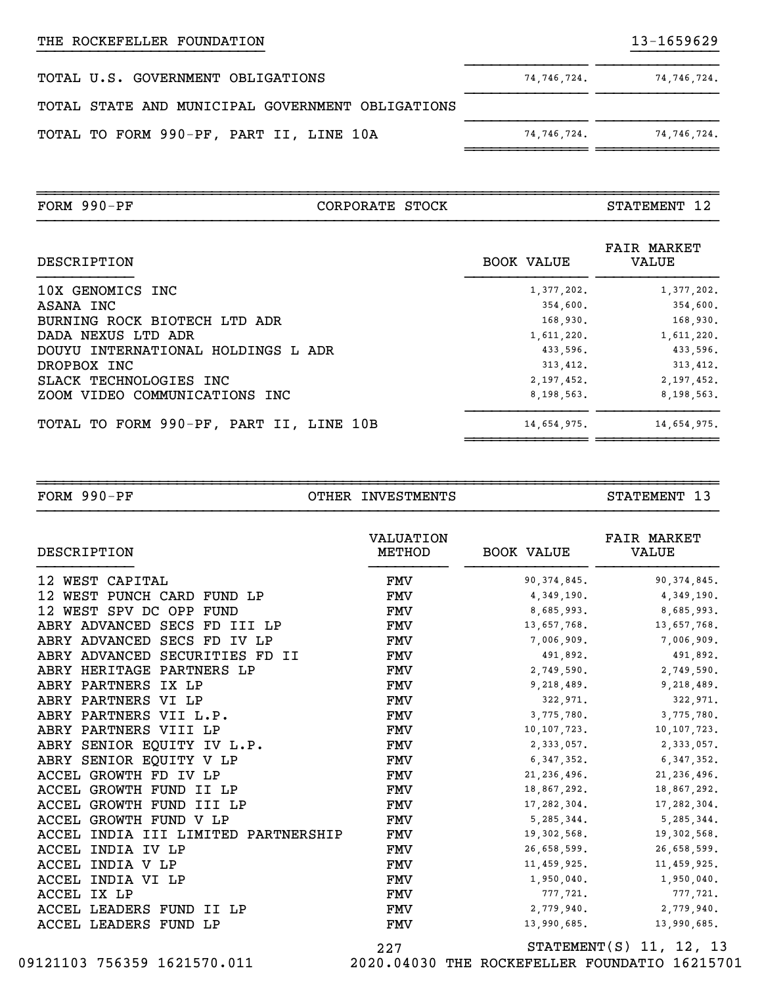| TOTAL U.S. GOVERNMENT OBLIGATIONS                | 74,746,724. | 74,746,724. |
|--------------------------------------------------|-------------|-------------|
| TOTAL STATE AND MUNICIPAL GOVERNMENT OBLIGATIONS |             |             |
| TOTAL TO FORM 990-PF, PART II, LINE 10A          | 74,746,724. | 74,746,724. |

| $FORM 990-PF$                     | CORPORATE STOCK |                   | STATEMENT 12                       |
|-----------------------------------|-----------------|-------------------|------------------------------------|
| DESCRIPTION                       |                 | <b>BOOK VALUE</b> | <b>FAIR MARKET</b><br><b>VALUE</b> |
| 10X GENOMICS INC                  |                 | 1,377,202.        | 1,377,202.                         |
| ASANA INC                         |                 | 354,600.          | 354,600.                           |
| BURNING ROCK BIOTECH LTD ADR      |                 | 168,930.          | 168,930.                           |
| DADA NEXUS LTD ADR                |                 | 1,611,220.        | 1,611,220.                         |
| DOUBLE THERMAN REALLY HOLD ENGINE |                 | 12227             | 1222022                            |

~~~~~~~~~~~~~~~~~~~~~~~~~~~~~~~~~~~~~~~~~~~~~~~~~~~~~~~~~~~~~~~~~~~~~~~~~~~~~~

| TOTAL TO FORM 990-PF, PART II, LINE 10B | 14,654,975. | 14,654,975.  |
|-----------------------------------------|-------------|--------------|
| ZOOM VIDEO COMMUNICATIONS INC           | 8,198,563.  | 8, 198, 563. |
| SLACK TECHNOLOGIES INC                  | 2,197,452.  | 2,197,452.   |
| DROPBOX INC                             | 313, 412.   | 313,412.     |
| DOUYU INTERNATIONAL HOLDINGS L ADR      | 433.596.    | 433.596.     |
| DADA NEXUS LTD ADR                      | 1,611,220.  | 1,611,220.   |
| BURNING ROCK BIOTECH LTD ADR            | 168,930.    | 168,930.     |
| ADANA INC                               | $334,000$ . | $334.000$ .  |

~~~~~~~~~~~~~~~~~~~~~~~~~~~~~~~~~~~~~~~~~~~~~~~~~~~~~~~~~~~~~~~~~~~~~~~~~~~~~~FORM 990-PF OTHER INVESTMENTS STATEMENT 13

| DESCRIPTION                         | <b>VALUATION</b><br>METHOD | BOOK VALUE    | <b>FAIR MARKET</b><br>VALUE |
|-------------------------------------|----------------------------|---------------|-----------------------------|
| 12 WEST CAPITAL                     | FMV                        | 90, 374, 845. | 90, 374, 845.               |
| 12 WEST PUNCH CARD FUND LP          | FMV                        | 4,349,190.    | 4, 349, 190.                |
| 12 WEST SPV DC OPP FUND             | FMV                        | 8,685,993.    | 8,685,993.                  |
| ABRY ADVANCED SECS FD III LP        | FMV                        | 13,657,768.   | 13,657,768.                 |
| ABRY ADVANCED SECS FD IV LP         | FMV                        | 7,006,909.    | 7,006,909.                  |
| ABRY ADVANCED SECURITIES FD II      | FMV                        | 491,892.      | 491,892.                    |
| ABRY HERITAGE PARTNERS LP           | FMV                        | 2,749,590.    | 2,749,590.                  |
| ABRY PARTNERS IX LP                 | FMV                        | 9,218,489.    | 9,218,489.                  |
| ABRY PARTNERS VI LP                 | <b>FMV</b>                 | 322,971.      | 322,971.                    |
| ABRY PARTNERS VII L.P.              | FMV                        | 3,775,780.    | 3,775,780.                  |
| ABRY PARTNERS VIII LP               | FMV                        | 10,107,723.   | 10, 107, 723.               |
| ABRY SENIOR EQUITY IV L.P.          | FMV                        | 2,333,057.    | 2,333,057.                  |
| ABRY SENIOR EQUITY V LP             | FMV                        | 6,347,352.    | 6, 347, 352.                |
| ACCEL GROWTH FD IV LP               | FMV                        | 21, 236, 496. | 21, 236, 496.               |
| ACCEL GROWTH FUND II LP             | FMV                        | 18,867,292.   | 18,867,292.                 |
| ACCEL GROWTH FUND III LP            | FMV                        | 17,282,304.   | 17, 282, 304.               |
| ACCEL GROWTH FUND V LP              | FMV                        | 5,285,344.    | 5, 285, 344.                |
| ACCEL INDIA III LIMITED PARTNERSHIP | FMV                        | 19,302,568.   | 19,302,568.                 |
| ACCEL INDIA IV LP                   | FMV                        | 26,658,599.   | 26,658,599.                 |
| ACCEL INDIA V LP                    | FMV                        | 11,459,925.   | 11,459,925.                 |
| ACCEL INDIA VI LP                   | FMV                        | 1,950,040.    | 1,950,040.                  |
| ACCEL IX LP                         | FMV                        | 777,721.      | 777,721.                    |
| ACCEL LEADERS FUND II LP            | FMV                        | 2,779,940.    | 2,779,940.                  |
| ACCEL LEADERS FUND LP               | FMV                        | 13,990,685.   | 13,990,685.                 |
|                                     | 227                        |               | $STATEMENT(S)$ 11, 12, 13   |

 <sup>09121103 756359 1621570.011 2020.04030</sup> THE ROCKEFELLER FOUNDATIO 16215701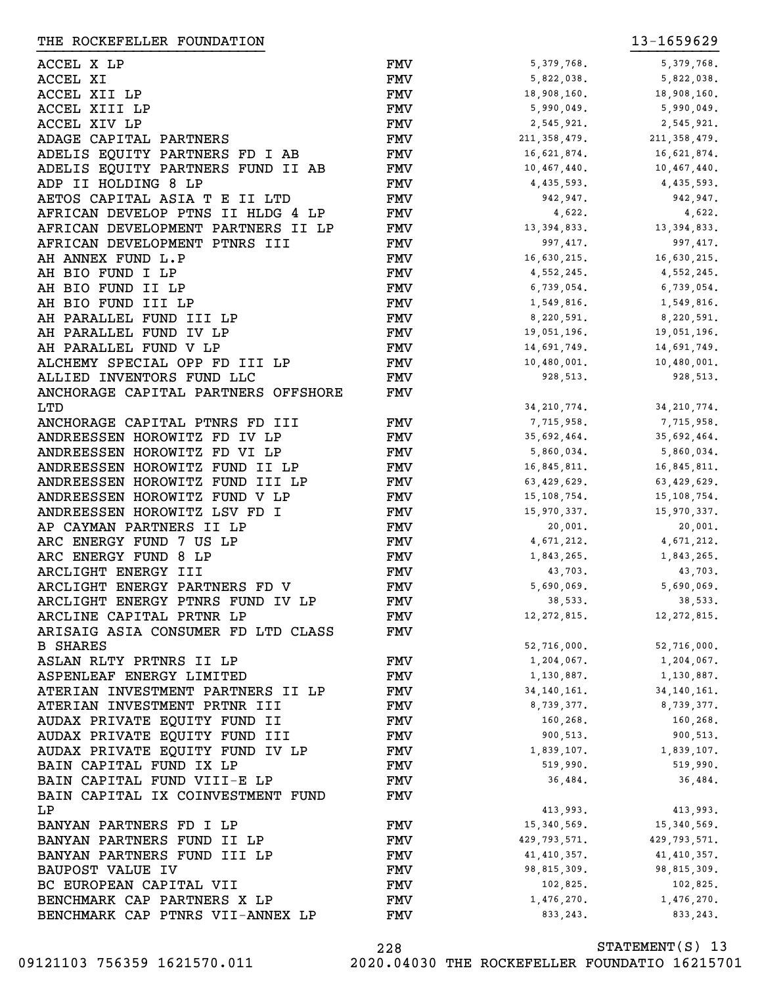ACCEL X LP FMV ACCEL XI **FMV** 5,822,038. Separate and the system of  $\mathbb{F}$  and  $\mathbb{F}$  and  $\mathbb{F}$  and  $\mathbb{F}$  and  $\mathbb{F}$  and  $\mathbb{F}$  and  $\mathbb{F}$  and  $\mathbb{F}$  and  $\mathbb{F}$  and  $\mathbb{F}$  and  $\mathbb{F}$  and  $\mathbb{F}$  and  $\mathbb{F}$  and ACCEL XII LP FMV ACCEL XIII LP FMV ACCEL XIV LP FMV ADAGE CAPITAL PARTNERS FMV ADELIS EQUITY PARTNERS FD I AB 16,621,674. 16,621,874. 16,621,874. 16,621,874. 16,621,874. 16,621,874. 16,621, ADELIS EQUITY PARTNERS FUND II AB FMV ADP II HOLDING 8 LP FMV AETOS CAPITAL ASIA T E II LTD FMV AFRICAN DEVELOP PTNS II HLDG 4 LP FMV AFRICAN DEVELOPMENT PARTNERS II LP FMV AFRICAN DEVELOPMENT PTNRS III 997 FMV AH ANNEX FUND L.P FMV AH BIO FUND I LP FMV AH BIO FUND II LP FMV AH BIO FUND III LP FMV AH PARALLEL FUND III LP **1980. BARALLEL FUND** AH PARALLEL FUND IV LP 19,051,196. 19,051,196. 19,051,196. 19,051,196. 19,051,196. 19,051,196. 19,05 AH PARALLEL FUND V LP 14,691,749. IFMV ALCHEMY SPECIAL OPP FD III LP<br>ALLIED INVENTORS FUND LLC 10,480,000 FMV ALLIED INVENTORS FUND LLC **1928,513. 1928,513. 1938,513. 928,513. 928,513. 928,513. 928,513. 928,513. 938,513.** ANCHORAGE CAPITAL PARTNERS OFFSHORE LTD ANCHORAGE CAPITAL PTNRS FD III FMV ANDREESSEN HOROWITZ FD IV LP 35,592,500 FMV ANDREESSEN HOROWITZ FD VI LP 5,860,000 FMV ANDREESSEN HOROWITZ FUND II LP FMV ANDREESSEN HOROWITZ FUND III LP FMV ANDREESSEN HOROWITZ FUND V LP FMV ANDREESSEN HOROWITZ LSV FD I FMV 15,970,337. AP CAYMAN PARTNERS II LP FMV ARC ENERGY FUND 7 US LP FMV ARC ENERGY FUND 8 LP 1,843,265. THE 1,843,265. THE 1,843,265. 1,843,265. 1,843,265. 1,843,265. 1,843, ARCLIGHT ENERGY III FMV ARCLIGHT ENERGY PARTNERS FD V FMV ARCLIGHT ENERGY PTNRS FUND IV LP FMV ARCLINE CAPITAL PRTNR LP FMV 12,272,815. 12,272,815. ARISAIG ASIA CONSUMER FD LTD CLASS B SHARES ASLAN RLTY PRTNRS II LP 1,204,067. FMV ASPENLEAF ENERGY LIMITED FMV ATERIAN INVESTMENT PARTNERS II LP FMV ATERIAN INVESTMENT PRTNR III 677. 878. 879. AUDAX PRIVATE EQUITY FUND II FMV AUDAX PRIVATE EQUITY FUND III 900 FMV AUDAX PRIVATE EQUITY FUND IV LP FMV BAIN CAPITAL FUND IX LP 519,990. 519,990. 519,990. 519,990. 519,990. 519,990. 519,990. 519,990. 519,990. 519,990. 519,990. 519,990. 519,990. 519,990. 519,990. 519,990. 519,990. 519,990. 519,990. 519,990. 519,990. 519,990. BAIN CAPITAL FUND VIII-E LP FMV BAIN CAPITAL IX COINVESTMENT FUND LP BANYAN PARTNERS FD I LP 15,3540,569. 15,340,569. 15,340,569. 15,340,569. 15,340,569. 15,340,569. 15,340,569. 1 BANYAN PARTNERS FUND II LP FMV BANYAN PARTNERS FUND III LP FMV BAUPOST VALUE IV 98,815,3000 PMV BC EUROPEAN CAPITAL VII FMV 102,825. 102,825.  ${\tt BENCHMARK}$   ${\tt CAP}$   ${\tt PARTNERS}$   ${\tt X}$   ${\tt LP}$   ${\tt FMV}$   ${\tt HIV}$   ${\tt H376,270}.$   ${\tt H476,270}.$ THE ROCKEFELLER FOUNDATION **13-1659629** }}}}}}}}}}}}}}}}}}}}}}}}}} }}}}}}}}}}

|                | - -<br>- , , , , , , |
|----------------|----------------------|
| 5, 379, 768.   | 5, 379, 768.         |
| 5,822,038.     | 5,822,038.           |
| 18,908,160.    | 18,908,160.          |
| 5,990,049.     | 5,990,049.           |
|                |                      |
| 2,545,921.     | 2,545,921.           |
| 211, 358, 479. | 211, 358, 479.       |
| 16,621,874.    | 16,621,874.          |
| 10,467,440.    | 10,467,440.          |
| 4, 435, 593.   | 4, 435, 593.         |
| 942,947.       | 942,947.             |
| 4,622.         | 4,622.               |
| 13, 394, 833.  | 13, 394, 833.        |
| 997, 417.      | 997, 417.            |
|                |                      |
| 16,630,215.    | 16,630,215.          |
| 4,552,245.     | 4, 552, 245.         |
| 6,739,054.     | 6,739,054.           |
| 1,549,816.     | 1,549,816.           |
| 8,220,591.     | 8,220,591.           |
| 19,051,196.    | 19,051,196.          |
| 14,691,749.    | 14,691,749.          |
| 10,480,001.    | 10,480,001.          |
| 928,513.       | 928,513.             |
|                |                      |
|                |                      |
| 34, 210, 774.  | 34, 210, 774.        |
| 7,715,958.     | 7,715,958.           |
| 35,692,464.    | 35,692,464.          |
| 5,860,034.     | 5,860,034.           |
| 16,845,811.    | 16,845,811.          |
| 63, 429, 629.  | 63, 429, 629.        |
| 15, 108, 754.  | 15, 108, 754.        |
| 15,970,337.    | 15,970,337.          |
| 20,001.        | 20,001.              |
| 4,671,212.     | 4,671,212.           |
| 1,843,265.     | 1,843,265.           |
|                |                      |
| 43,703.        | 43,703.              |
| 5,690,069.     | 5,690,069.           |
| 38,533         | 38,533.              |
| 12, 272, 815.  | 12, 272, 815.        |
|                |                      |
| 52,716,000.    | 52,716,000.          |
| 1,204,067.     | 1,204,067.           |
| 1,130,887.     | 1,130,887.           |
| 34, 140, 161.  | 34, 140, 161.        |
| 8,739,377.     | 8,739,377.           |
| 160,268.       | 160,268.             |
| 900,513.       | 900,513.             |
|                |                      |
| 1,839,107.     | 1,839,107.           |
| 519,990.       | 519,990.             |
| 36,484.        | 36,484.              |
|                |                      |
| 413,993.       | 413,993.             |
| 15, 340, 569.  | 15, 340, 569.        |
| 429, 793, 571. | 429, 793, 571.       |
| 41, 410, 357.  | 41, 410, 357.        |
| 98, 815, 309.  | 98, 815, 309.        |
| 102,825.       | 102,825.             |
| 1,476,270.     | 1,476,270.           |
|                |                      |
| 833, 243.      | 833, 243.            |
|                |                      |

FMV

FMV

FMV

BENCHMARK CAP PTNRS VII-ANNEX LP FMV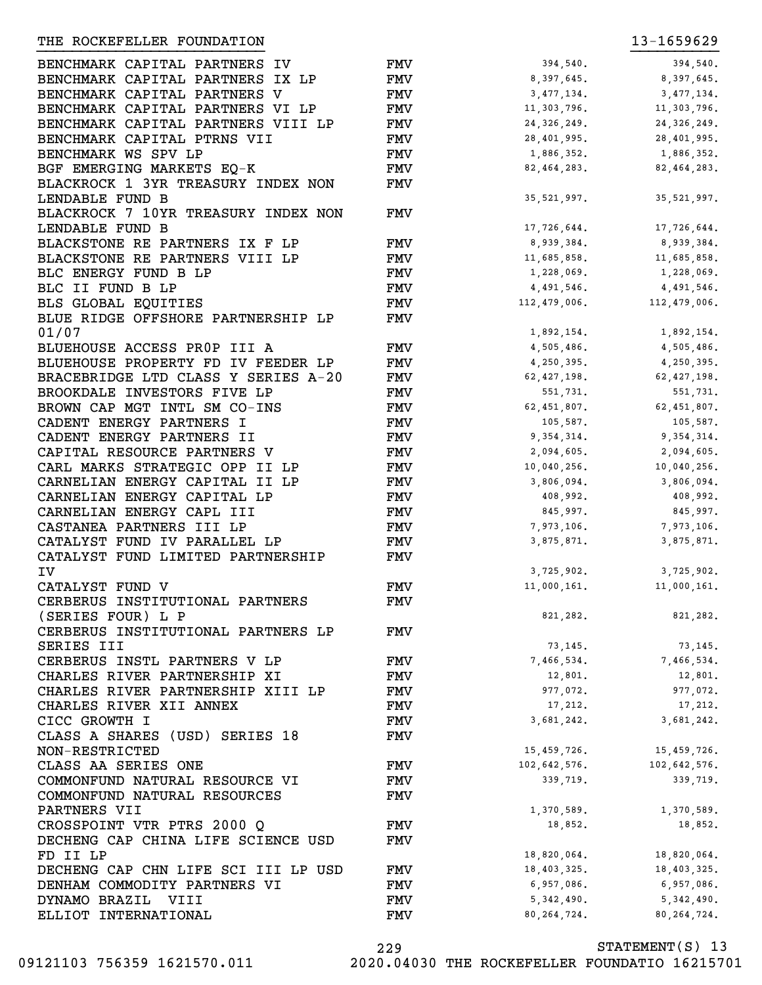| BENCHMARK CAPITAL PARTNERS IV       | <b>FMV</b> | 394,540.                    | 394,540.      |
|-------------------------------------|------------|-----------------------------|---------------|
| BENCHMARK CAPITAL PARTNERS IX LP    | FMV        | 8,397,645.                  | 8,397,645.    |
| BENCHMARK CAPITAL PARTNERS V        | FMV        | 3,477,134.                  | 3,477,134.    |
| BENCHMARK CAPITAL PARTNERS VI LP    | FMV        | 11,303,796.                 | 11,303,796.   |
| BENCHMARK CAPITAL PARTNERS VIII LP  | <b>FMV</b> | 24, 326, 249.               | 24,326,249.   |
| BENCHMARK CAPITAL PTRNS VII         | <b>FMV</b> | 28,401,995.                 | 28,401,995.   |
| BENCHMARK WS SPV LP                 | <b>FMV</b> | 1,886,352.                  | 1,886,352.    |
| BGF EMERGING MARKETS EQ-K           | <b>FMV</b> | 82,464,283.                 | 82,464,283.   |
| BLACKROCK 1 3YR TREASURY INDEX NON  | <b>FMV</b> |                             |               |
| LENDABLE FUND B                     |            | 35,521,997.                 | 35, 521, 997. |
| BLACKROCK 7 10YR TREASURY INDEX NON | FMV        |                             |               |
| LENDABLE FUND B                     |            | 17,726,644.                 | 17,726,644.   |
| BLACKSTONE RE PARTNERS IX F LP      | FMV        | 8,939,384.                  | 8,939,384.    |
| BLACKSTONE RE PARTNERS VIII LP      | <b>FMV</b> | 11,685,858.                 | 11,685,858.   |
| BLC ENERGY FUND B LP                | <b>FMV</b> | 1,228,069.                  | 1,228,069.    |
| BLC II FUND B LP                    | FMV        | 4,491,546.                  | 4,491,546.    |
| BLS GLOBAL EQUITIES                 | <b>FMV</b> | $112,479,006.$ 112,479,006. |               |
| BLUE RIDGE OFFSHORE PARTNERSHIP LP  |            |                             |               |
| 01/07                               | <b>FMV</b> |                             |               |
|                                     |            | 1,892,154.                  | 1,892,154.    |
| BLUEHOUSE ACCESS PROP III A         | FMV        | 4,505,486.                  | 4,505,486.    |
| BLUEHOUSE PROPERTY FD IV FEEDER LP  | <b>FMV</b> | 4,250,395.                  | 4,250,395.    |
| BRACEBRIDGE LTD CLASS Y SERIES A-20 | <b>FMV</b> | 62,427,198.                 | 62,427,198.   |
| BROOKDALE INVESTORS FIVE LP         | <b>FMV</b> | 551,731.                    | 551,731.      |
| BROWN CAP MGT INTL SM CO-INS        | <b>FMV</b> | 62,451,807.                 | 62,451,807.   |
| CADENT ENERGY PARTNERS I            | <b>FMV</b> | 105,587.                    | 105,587.      |
| CADENT ENERGY PARTNERS II           | FMV        | 9,354,314.                  | 9,354,314.    |
| CAPITAL RESOURCE PARTNERS V         | FMV        | 2,094,605.                  | 2,094,605.    |
| CARL MARKS STRATEGIC OPP II LP      | FMV        | 10,040,256.                 | 10,040,256.   |
| CARNELIAN ENERGY CAPITAL II LP      | FMV        | 3,806,094.                  | 3,806,094.    |
| CARNELIAN ENERGY CAPITAL LP         | FMV        | 408,992.                    | 408,992.      |
| CARNELIAN ENERGY CAPL III           | FMV        | 845,997.                    | 845,997.      |
| CASTANEA PARTNERS III LP            | FMV        | 7,973,106.                  | 7,973,106.    |
| CATALYST FUND IV PARALLEL LP        | FMV        | 3,875,871.                  | 3,875,871.    |
| CATALYST FUND LIMITED PARTNERSHIP   | <b>FMV</b> |                             |               |
| IV                                  |            | 3,725,902.                  | 3,725,902.    |
| CATALYST FUND V                     | FMV        | 11,000,161.                 | 11,000,161.   |
| CERBERUS INSTITUTIONAL PARTNERS     | <b>FMV</b> |                             |               |
| (SERIES FOUR) L P                   |            | 821,282.                    | 821,282.      |
| CERBERUS INSTITUTIONAL PARTNERS LP  | FMV        |                             |               |
| SERIES III                          |            | 73,145.                     | 73,145.       |
| CERBERUS INSTL PARTNERS V LP        | <b>FMV</b> | 7,466,534.                  | 7,466,534.    |
| CHARLES RIVER PARTNERSHIP XI        | <b>FMV</b> | 12,801.                     | 12,801.       |
| CHARLES RIVER PARTNERSHIP XIII LP   | <b>FMV</b> | 977,072.                    | 977,072.      |
| CHARLES RIVER XII ANNEX             | <b>FMV</b> | 17,212.                     | 17,212.       |
| CICC GROWTH I                       | FMV        | 3,681,242.                  | 3,681,242.    |
| CLASS A SHARES (USD) SERIES 18      | <b>FMV</b> |                             |               |
| NON-RESTRICTED                      |            | 15,459,726.                 | 15,459,726.   |
| CLASS AA SERIES ONE                 | <b>FMV</b> | 102,642,576.                | 102,642,576.  |
| COMMONFUND NATURAL RESOURCE VI      | <b>FMV</b> | 339,719.                    | 339,719.      |
| COMMONFUND NATURAL RESOURCES        | <b>FMV</b> |                             |               |
| PARTNERS VII                        |            | 1,370,589.                  | 1,370,589.    |
| CROSSPOINT VTR PTRS 2000 Q          | <b>FMV</b> | 18,852.                     | 18,852.       |
| DECHENG CAP CHINA LIFE SCIENCE USD  | <b>FMV</b> |                             |               |
| FD II LP                            |            | 18,820,064.                 | 18,820,064.   |
| DECHENG CAP CHN LIFE SCI III LP USD | <b>FMV</b> | 18,403,325.                 | 18,403,325.   |
| DENHAM COMMODITY PARTNERS VI        | <b>FMV</b> | 6,957,086.                  | 6,957,086.    |
| DYNAMO BRAZIL VIII                  | <b>FMV</b> | 5,342,490.                  | 5,342,490.    |
| ELLIOT INTERNATIONAL                | <b>FMV</b> | 80, 264, 724.               | 80, 264, 724. |
|                                     |            |                             |               |

}}}}}}}}}}}}}}}}}}}}}}}}}} }}}}}}}}}}

STATEMENT(S) 13 229 09121103 756359 1621570.011 2020.04030 THE ROCKEFELLER FOUNDATIO 16215701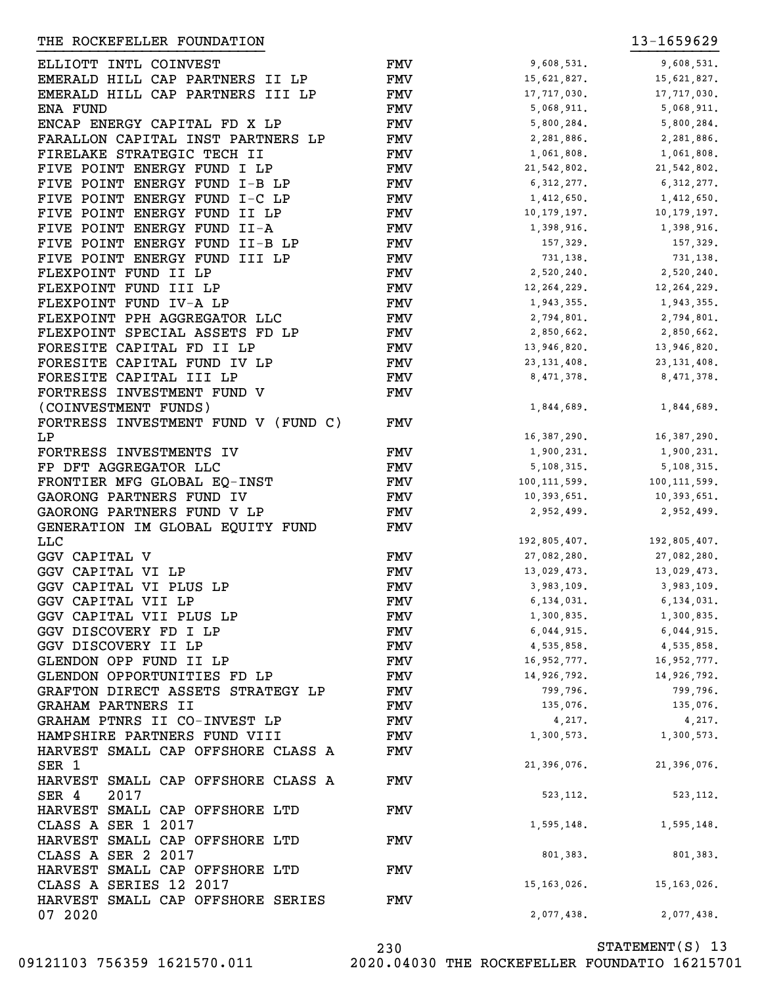| ELLIOTT INTL COINVEST               | <b>FMV</b> | 9,608,531.     | 9,608,531.     |
|-------------------------------------|------------|----------------|----------------|
| EMERALD HILL CAP PARTNERS II LP     | FMV        | 15,621,827.    | 15,621,827.    |
| EMERALD HILL CAP PARTNERS III LP    | FMV        | 17,717,030.    | 17,717,030.    |
| ENA FUND                            | FMV        | 5,068,911.     | 5,068,911.     |
| ENCAP ENERGY CAPITAL FD X LP        | <b>FMV</b> | 5,800,284.     | 5,800,284.     |
| FARALLON CAPITAL INST PARTNERS LP   | <b>FMV</b> | 2,281,886.     | 2,281,886.     |
| FIRELAKE STRATEGIC TECH II          | <b>FMV</b> | 1,061,808.     | 1,061,808.     |
| FIVE POINT ENERGY FUND I LP         | <b>FMV</b> | 21, 542, 802.  | 21, 542, 802.  |
| FIVE POINT ENERGY FUND I-B LP       | <b>FMV</b> | 6,312,277.     | 6, 312, 277.   |
| FIVE POINT ENERGY FUND I-C LP       | <b>FMV</b> | 1,412,650.     | 1,412,650.     |
| FIVE POINT ENERGY FUND II LP        | <b>FMV</b> | 10, 179, 197.  | 10, 179, 197.  |
| FIVE POINT ENERGY FUND II-A         | <b>FMV</b> | 1,398,916.     | 1,398,916.     |
| FIVE POINT ENERGY FUND II-B LP      | <b>FMV</b> | 157,329.       | 157,329.       |
| FIVE POINT ENERGY FUND III LP       | <b>FMV</b> | 731,138.       | 731,138.       |
| FLEXPOINT FUND II LP                | <b>FMV</b> | 2,520,240.     | 2,520,240.     |
| FLEXPOINT FUND III LP               | <b>FMV</b> | 12, 264, 229.  | 12, 264, 229.  |
| FLEXPOINT FUND IV-A LP              | <b>FMV</b> | 1,943,355.     | 1,943,355.     |
| FLEXPOINT PPH AGGREGATOR LLC        | <b>FMV</b> | 2,794,801.     | 2,794,801.     |
| FLEXPOINT SPECIAL ASSETS FD LP      | <b>FMV</b> | 2,850,662.     | 2,850,662.     |
| FORESITE CAPITAL FD II LP           | <b>FMV</b> | 13,946,820.    | 13,946,820.    |
| FORESITE CAPITAL FUND IV LP         | <b>FMV</b> | 23, 131, 408.  | 23, 131, 408.  |
| FORESITE CAPITAL III LP             | <b>FMV</b> | 8,471,378.     | 8, 471, 378.   |
| FORTRESS INVESTMENT FUND V          | <b>FMV</b> |                |                |
| (COINVESTMENT FUNDS)                |            | 1,844,689.     | 1,844,689.     |
| FORTRESS INVESTMENT FUND V (FUND C) | <b>FMV</b> |                |                |
| LP                                  |            | 16,387,290.    | 16, 387, 290.  |
| FORTRESS INVESTMENTS IV             | <b>FMV</b> | 1,900,231.     | 1,900,231.     |
| FP DFT AGGREGATOR LLC               | <b>FMV</b> | 5, 108, 315.   | 5, 108, 315.   |
| FRONTIER MFG GLOBAL EQ-INST         | <b>FMV</b> | 100, 111, 599. | 100, 111, 599. |
|                                     |            |                |                |
| GAORONG PARTNERS FUND IV            | <b>FMV</b> | 10,393,651.    | 10,393,651.    |
| GAORONG PARTNERS FUND V LP          | <b>FMV</b> | 2,952,499.     | 2,952,499.     |
| GENERATION IM GLOBAL EQUITY FUND    | <b>FMV</b> |                |                |
| <b>LLC</b>                          |            | 192,805,407.   | 192,805,407.   |
| <b>GGV CAPITAL V</b>                | FMV        | 27,082,280.    | 27,082,280.    |
| GGV CAPITAL VI LP                   | FMV        | 13,029,473.    | 13,029,473.    |
| GGV CAPITAL VI PLUS LP              | FMV        | 3,983,109.     | 3,983,109.     |
| GGV CAPITAL VII LP                  | <b>FMV</b> | 6, 134, 031.   | 6, 134, 031.   |
| GGV CAPITAL VII PLUS LP             | FMV        | 1,300,835.     | 1,300,835.     |
| GGV DISCOVERY FD I LP               | FMV        | 6,044,915.     | 6,044,915.     |
| GGV DISCOVERY II LP                 | FMV        | 4,535,858.     | 4,535,858.     |
| GLENDON OPP FUND II LP              | FMV        | 16,952,777.    | 16,952,777.    |
| GLENDON OPPORTUNITIES FD LP         | FMV        | 14,926,792.    | 14,926,792.    |
| GRAFTON DIRECT ASSETS STRATEGY LP   | FMV        | 799,796.       | 799,796.       |
| GRAHAM PARTNERS II                  | FMV        | 135,076.       | 135,076.       |
| GRAHAM PTNRS II CO-INVEST LP        | FMV        | 4,217.         | 4,217.         |
| HAMPSHIRE PARTNERS FUND VIII        | FMV        | 1,300,573.     | 1,300,573.     |
| HARVEST SMALL CAP OFFSHORE CLASS A  | <b>FMV</b> |                |                |
| SER <sub>1</sub>                    |            | 21,396,076.    | 21,396,076.    |
| HARVEST SMALL CAP OFFSHORE CLASS A  | <b>FMV</b> |                |                |
| 2017<br>SER 4                       |            | 523, 112.      | 523, 112.      |
| HARVEST SMALL CAP OFFSHORE LTD      | <b>FMV</b> |                |                |
| CLASS A SER 1 2017                  |            | 1,595,148.     | 1,595,148.     |
| HARVEST SMALL CAP OFFSHORE LTD      | FMV        |                |                |
| CLASS A SER 2 2017                  |            | 801,383.       | 801,383.       |
| HARVEST SMALL CAP OFFSHORE LTD      | FMV        |                |                |
| CLASS A SERIES 12 2017              |            | 15, 163, 026.  | 15, 163, 026.  |
| HARVEST SMALL CAP OFFSHORE SERIES   | FMV        |                |                |
| 07 2020                             |            | 2,077,438.     | 2,077,438.     |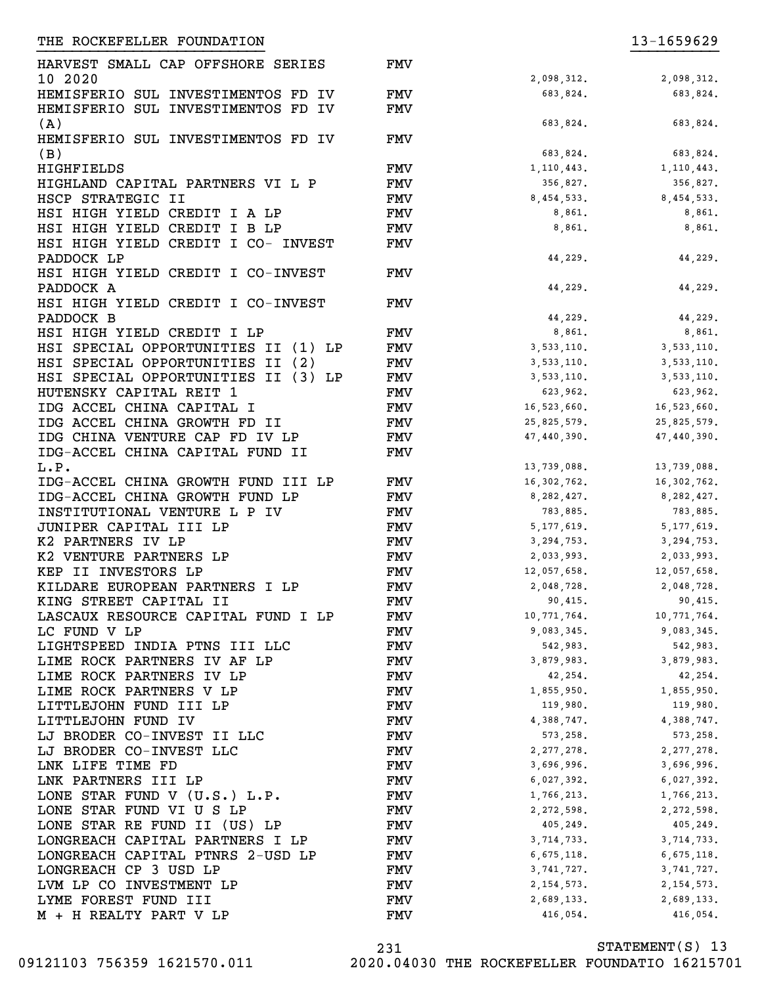FMV

FMV

FMV

FMV

FMV

HARVEST SMALL CAP OFFSHORE SERIES 10 2020 HEMISFERIO SUL INVESTIMENTOS FD IV FMV 683,824. 683,824. 683,824. HEMISFERIO SUL INVESTIMENTOS FD IV (A) FMV<br>FMV HEMISFERIO SUL INVESTIMENTOS FD IV (B) FMV HIGHFIELDS **FMV** 1,110,443. 1,110,443. HIGHLAND CAPITAL PARTNERS VI L P FMV 356,827. 356,827. HSCP STRATEGIC II FMV 8,454,533. 8,454,533. HSI HIGH YIELD CREDIT I A LP FMV 8,861. 8,861. 8,861. HSI HIGH YIELD CREDIT I B LP FMV 8,861. 8,861. 8,861. HSI HIGH YIELD CREDIT I CO- INVEST PADDOCK LP HSI HIGH YIELD CREDIT I CO-INVEST PADDOCK A HSI HIGH YIELD CREDIT I CO-INVEST PADDOCK B HSI HIGH YIELD CREDIT I LP<br>
HSI SPECIAL OPPORTUNITIES II (1) LP FMV 8,533,110. 8,861. 8,861. HSI SPECIAL OPPORTUNITIES II (1) LP FMV 3,533,110. 3,533,110. HSI SPECIAL OPPORTUNITIES II (2) FMV 3,533,110. 3,533,110. HSI SPECIAL OPPORTUNITIES II (3) LP FMV 3,533,110. 3,533,110. 3,533,110. HUTENSKY CAPITAL REIT 1 FMV 623,962. 623,962.<br>
IDG ACCEL CHINA CAPITAL I FMV 16,523,660. 16,523,660.<br>
FOR ACCEL CHINA CAPITAL I FMV 16,523,660. 16,523,660. IDG ACCEL CHINA CAPITAL I FMV 16,523,660. 16,523,660. IDG ACCEL CHINA GROWTH FD II FMV 25,825,579. 25,825,579. IDG CHINA VENTURE CAP FD IV LP FMV 47,440,390. 47,440,390. IDG-ACCEL CHINA CAPITAL FUND II L.P. IDG-ACCEL CHINA GROWTH FUND III LP FMV 16,302,762. 16,302,762. IDG-ACCEL CHINA GROWTH FUND LP FMV 8,282,427. 8,282,427. INSTITUTIONAL VENTURE L P IV FMV 783,885. 783,885. JUNIPER CAPITAL III LP **FMV** 5,177,619. 5,177,619. K2 PARTNERS IV LP **FMV** 3,294,753. 3,294,753. K2 VENTURE PARTNERS LP FMV 2,033,993. 2,033,993. KEP II INVESTORS LP FMV 12,057,658. 12,057,658. KILDARE EUROPEAN PARTNERS I LP FMV 2,048,728. 2,048,728. KING STREET CAPITAL II FMV 90,415. 90,415. LASCAUX RESOURCE CAPITAL FUND I LP FMV 10,771,764. 10,771,764. LC FUND V LP **FMV** 9,083,345. 9,083,345. 9,083,345. LIGHTSPEED INDIA PTNS III LLC FMV 542,983. 542,983. 542,983. LIME ROCK PARTNERS IV AF LP FMV 3,879,983. 3,879,983. LIME ROCK PARTNERS IV LP FMV 42,254. 42,254. LIME ROCK PARTNERS V LP **FMV** 1,855,950. 1,855,950. LITTLEJOHN FUND III LP **FMV** 119,980. 119,980. 119,980. LITTLEJOHN FUND IV FMV 4,388,747. 4,388,747. LITING COMMENTAL CONSIST TO THE CONSIST OF THE CONSIST OF THE CONSISTENT OF THE CONSISTENCE OF THE CONSTRUCTION OF THE CONSTRUCTION OF THE CONSTRUCTION OF THE CONSTRUCTION OF THE CONSTRUCTION OF THE CONSTRUCTION OF THE CON LJ BRODER CO-INVEST LLC **FMV** 2,277,278. 2,277,278. LNK LIFE TIME FD **FMV** 3,696,996. 3,696,996. 3,696,996. LNK PARTNERS III LP **FMV** 6,027,392. 6,027,392. LONE STAR FUND V (U.S.) L.P. FMV 1,766,213. 1,766,213. LONE STAR FUND VI U S LP FMV 2,272,598. 2,272,598. LONE STAR RE FUND II (US) LP FMV 405,249. 405,249. LONGREACH CAPITAL PARTNERS I LP FMV 3,714,733. 3,714,733. LONGREACH CAPITAL PTNRS 2-USD LP FMV 6,675,118. 6,675,118. 6,675,118. LONGREACH CP 3 USD LP FMV 3,741,727. 3,741,727. LVM LP CO INVESTMENT LP FMV 2, 154, 573. 2, 154, 573. LYME FOREST FUND III FMV 2,689,133. 2,689,133. }}}}}}}}}}}}}}}}}}}}}}}}}} }}}}}}}}}}

2,098,312.<br>683,824. 683,824. 683,824. 683,824. 683,824. 683,824. 44,229. 44,229. 44,229. 44,229. 44,229. 44,229. 13,739,088. 13,739,088. M + H REALTY PART V LP FMV 6416,054. 416,054. 416,054.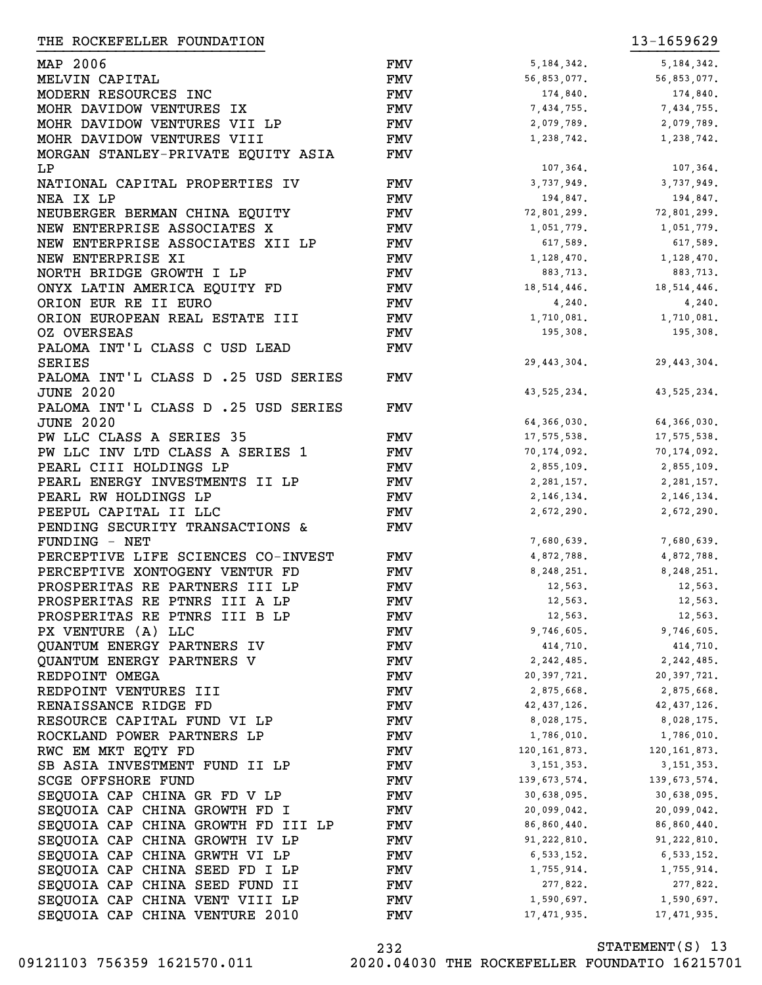| THE ROCKEFELLER FOUNDATION          |            |               | 13-1659629     |
|-------------------------------------|------------|---------------|----------------|
| MAP 2006                            | FMV        | 5, 184, 342.  | 5, 184, 342.   |
| MELVIN CAPITAL                      | FMV        | 56,853,077.   | 56,853,077.    |
| MODERN RESOURCES INC                | FMV        | 174,840.      | 174,840.       |
| MOHR DAVIDOW VENTURES IX            | <b>FMV</b> | 7,434,755.    | 7,434,755.     |
| MOHR DAVIDOW VENTURES VII LP        | <b>FMV</b> | 2,079,789.    | 2,079,789.     |
| MOHR DAVIDOW VENTURES VIII          | FMV        | 1,238,742.    | 1,238,742.     |
| MORGAN STANLEY-PRIVATE EQUITY ASIA  | FMV        |               |                |
| LP                                  |            | 107,364.      | 107,364.       |
| NATIONAL CAPITAL PROPERTIES IV      | FMV        | 3,737,949.    | 3,737,949.     |
| NEA IX LP                           | FMV        | 194,847.      | 194,847.       |
| NEUBERGER BERMAN CHINA EQUITY       | FMV        | 72,801,299.   | 72,801,299.    |
| NEW ENTERPRISE ASSOCIATES X         | FMV        | 1,051,779.    | 1,051,779.     |
| NEW ENTERPRISE ASSOCIATES XII LP    | FMV        | 617,589.      | 617,589.       |
| NEW ENTERPRISE XI                   | FMV        | 1,128,470.    | 1,128,470.     |
| NORTH BRIDGE GROWTH I LP            | FMV        | 883,713.      | 883,713.       |
| ONYX LATIN AMERICA EQUITY FD        | FMV        | 18, 514, 446. | 18, 514, 446.  |
| ORION EUR RE II EURO                | FMV        | 4,240.        | 4,240.         |
| ORION EUROPEAN REAL ESTATE III      | <b>FMV</b> | 1,710,081.    | 1,710,081.     |
| <b>OZ OVERSEAS</b>                  | FMV        | 195,308.      | 195,308.       |
| PALOMA INT'L CLASS C USD LEAD       | FMV        |               |                |
| <b>SERIES</b>                       |            | 29, 443, 304. | 29, 443, 304.  |
| PALOMA INT'L CLASS D .25 USD SERIES | FMV        |               |                |
| <b>JUNE 2020</b>                    |            | 43, 525, 234. | 43, 525, 234.  |
| PALOMA INT'L CLASS D .25 USD SERIES | FMV        |               |                |
| <b>JUNE 2020</b>                    |            | 64,366,030.   | 64, 366, 030.  |
| PW LLC CLASS A SERIES 35            | FMV        | 17,575,538.   | 17, 575, 538.  |
| PW LLC INV LTD CLASS A SERIES 1     | FMV        | 70,174,092.   | 70, 174, 092.  |
| PEARL CIII HOLDINGS LP              | FMV        | 2,855,109.    | 2,855,109.     |
| PEARL ENERGY INVESTMENTS II LP      | <b>FMV</b> | 2, 281, 157.  | 2, 281, 157.   |
| PEARL RW HOLDINGS LP                | FMV        | 2, 146, 134.  | 2, 146, 134.   |
| PEEPUL CAPITAL II LLC               | FMV        | 2,672,290.    | 2,672,290.     |
| PENDING SECURITY TRANSACTIONS &     | FMV        |               |                |
| FUNDING - NET                       |            | 7,680,639.    | 7,680,639.     |
| PERCEPTIVE LIFE SCIENCES CO-INVEST  | FMV        | 4,872,788.    | 4,872,788.     |
| PERCEPTIVE XONTOGENY VENTUR FD      | FMV        | 8,248,251.    | 8, 248, 251.   |
| PROSPERITAS RE PARTNERS III LP      | <b>FMV</b> | 12,563.       | 12,563.        |
| PROSPERITAS RE PTNRS III A LP       | FMV        | 12,563.       | 12,563.        |
| PROSPERITAS RE PTNRS III B LP       | FMV        | 12,563.       | 12,563.        |
| PX VENTURE (A) LLC                  | FMV        | 9,746,605.    | 9,746,605.     |
| QUANTUM ENERGY PARTNERS IV          | FMV        | 414,710.      | 414,710.       |
| QUANTUM ENERGY PARTNERS V           | <b>FMV</b> | 2,242,485.    | 2,242,485.     |
| REDPOINT OMEGA                      | <b>FMV</b> | 20,397,721.   | 20,397,721.    |
| REDPOINT VENTURES III               | <b>FMV</b> | 2,875,668.    | 2,875,668.     |
| RENAISSANCE RIDGE FD                | <b>FMV</b> | 42,437,126.   | 42,437,126.    |
| RESOURCE CAPITAL FUND VI LP         | <b>FMV</b> | 8,028,175.    | 8,028,175.     |
| ROCKLAND POWER PARTNERS LP          | <b>FMV</b> | 1,786,010.    | 1,786,010.     |
| RWC EM MKT EQTY FD                  | <b>FMV</b> | 120,161,873.  | 120, 161, 873. |
| SB ASIA INVESTMENT FUND II LP       | FMV        | 3, 151, 353.  | 3, 151, 353.   |
| <b>SCGE OFFSHORE FUND</b>           | FMV        | 139,673,574.  | 139,673,574.   |
| SEQUOIA CAP CHINA GR FD V LP        | FMV        | 30,638,095.   | 30,638,095.    |
| SEQUOIA CAP CHINA GROWTH FD I       | FMV        | 20,099,042.   | 20,099,042.    |
| SEQUOIA CAP CHINA GROWTH FD III LP  | FMV        | 86,860,440.   | 86,860,440.    |
| SEQUOIA CAP CHINA GROWTH IV LP      | FMV        | 91,222,810.   | 91, 222, 810.  |
| SEQUOIA CAP CHINA GRWTH VI LP       | FMV        | 6,533,152.    | 6,533,152.     |
| SEQUOIA CAP CHINA SEED FD I LP      | FMV        | 1,755,914.    | 1,755,914.     |
| SEQUOIA CAP CHINA SEED FUND II      | FMV        | 277,822.      | 277,822.       |
| SEQUOIA CAP CHINA VENT VIII LP      | FMV        | 1,590,697.    | 1,590,697.     |
| SEQUOIA CAP CHINA VENTURE 2010      | <b>FMV</b> | 17,471,935.   | 17, 471, 935.  |

| 5, 184, 342.   | 5, 184, 342.   |
|----------------|----------------|
| 56,853,077.    | 56,853,077.    |
| 174,840.       | 174,840.       |
|                |                |
| 7,434,755.     | 7,434,755.     |
| 2,079,789.     | 2,079,789.     |
| 1,238,742.     | 1,238,742.     |
|                |                |
| 107,364.       | 107,364.       |
|                |                |
| 3,737,949.     | 3,737,949.     |
| 194,847.       | 194,847.       |
| 72,801,299.    | 72,801,299.    |
| 1,051,779.     | 1,051,779.     |
| 617,589.       | 617,589.       |
|                |                |
| 1,128,470.     | 1,128,470.     |
| 883,713.       | 883,713.       |
| 18, 514, 446.  | 18, 514, 446.  |
| 4,240.         | 4,240.         |
| 1,710,081.     | 1,710,081.     |
|                | 195,308.       |
| 195,308.       |                |
|                |                |
| 29, 443, 304.  | 29, 443, 304.  |
|                |                |
| 43, 525, 234.  | 43, 525, 234.  |
|                |                |
|                |                |
| 64, 366, 030.  | 64, 366, 030.  |
| 17, 575, 538.  | 17, 575, 538.  |
| 70, 174, 092.  | 70,174,092.    |
| 2,855,109.     | 2,855,109.     |
|                |                |
| 2, 281, 157.   | 2, 281, 157.   |
| 2, 146, 134.   | 2, 146, 134.   |
| 2,672,290.     | 2,672,290.     |
|                |                |
| 7,680,639.     | 7,680,639.     |
| 4,872,788.     |                |
|                | 4,872,788.     |
| 8,248,251.     | 8,248,251.     |
| 12,563.        | 12,563.        |
| 12,563.        | 12,563.        |
| 12,563.        | 12,563.        |
| 9,746,605.     | 9,746,605.     |
|                |                |
| 414.710.       | 414,710.       |
| 2,242,485.     | 2,242,485.     |
| 20, 397, 721.  | 20, 397, 721.  |
| 2,875,668.     | 2,875,668.     |
| 42, 437, 126.  | 42, 437, 126.  |
| 8,028,175.     | 8,028,175.     |
|                |                |
| 1,786,010.     | 1,786,010.     |
| 120, 161, 873. | 120, 161, 873. |
| 3, 151, 353.   | 3, 151, 353.   |
| 139,673,574.   | 139, 673, 574. |
| 30,638,095.    | 30,638,095.    |
|                |                |
| 20,099,042.    | 20,099,042.    |
| 86,860,440.    | 86,860,440.    |
| 91, 222, 810.  | 91, 222, 810.  |
| 6,533,152.     | 6, 533, 152.   |
| 1,755,914.     | 1,755,914.     |
|                |                |
| 277,822.       | 277,822.       |
| 1,590,697.     | 1,590,697.     |
| 17, 471, 935.  | 17, 471, 935.  |
|                |                |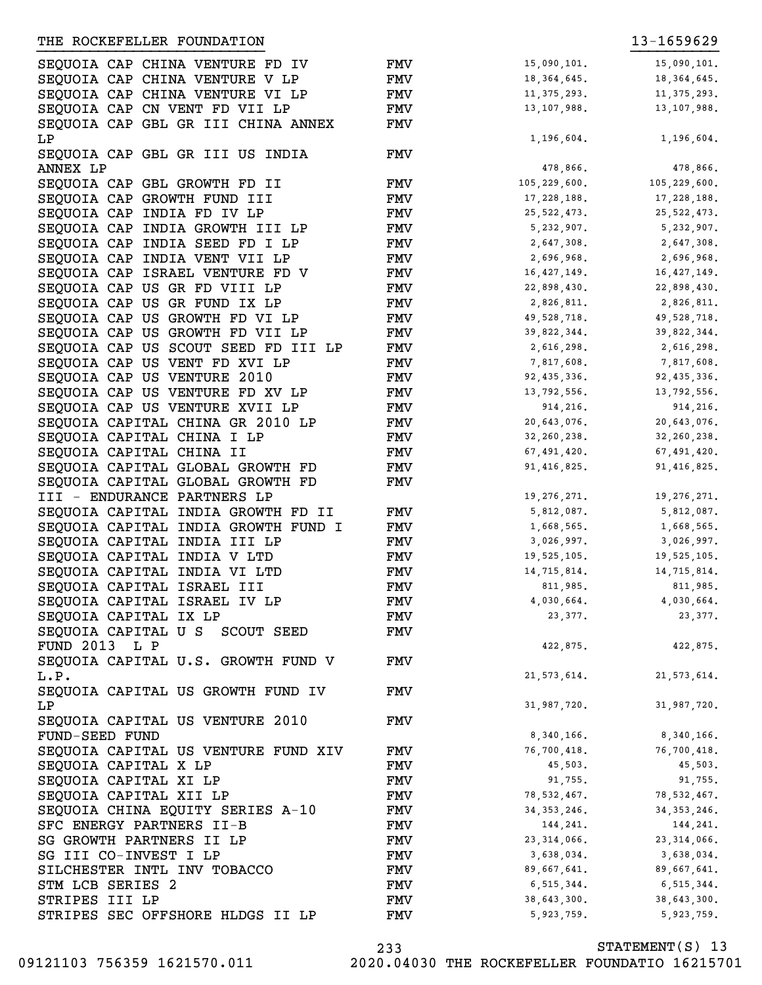| SEQUOIA CAP CHINA VENTURE FD IV     | FMV        | 15,090,101.   | 15,090,101.   |
|-------------------------------------|------------|---------------|---------------|
| SEQUOIA CAP CHINA VENTURE V LP      | <b>FMV</b> | 18, 364, 645. | 18, 364, 645. |
|                                     |            | 11, 375, 293. | 11, 375, 293. |
| SEQUOIA CAP CHINA VENTURE VI LP     | <b>FMV</b> |               |               |
| SEQUOIA CAP CN VENT FD VII LP       | <b>FMV</b> | 13, 107, 988. | 13, 107, 988. |
| SEQUOIA CAP GBL GR III CHINA ANNEX  | <b>FMV</b> |               |               |
| LΡ                                  |            | 1,196,604.    | 1,196,604.    |
| SEQUOIA CAP GBL GR III US INDIA     | <b>FMV</b> |               |               |
| ANNEX LP                            |            | 478,866.      | 478,866.      |
| SEQUOIA CAP GBL GROWTH FD II        | <b>FMV</b> | 105,229,600.  | 105,229,600.  |
| SEQUOIA CAP GROWTH FUND III         | <b>FMV</b> | 17, 228, 188. | 17,228,188.   |
| SEQUOIA CAP INDIA FD IV LP          | <b>FMV</b> | 25, 522, 473. | 25, 522, 473. |
| SEQUOIA CAP INDIA GROWTH III LP     | <b>FMV</b> | 5,232,907.    | 5, 232, 907.  |
| SEQUOIA CAP INDIA SEED FD I LP      | <b>FMV</b> | 2,647,308.    | 2,647,308.    |
| SEQUOIA CAP INDIA VENT VII LP       | <b>FMV</b> | 2,696,968.    | 2,696,968.    |
| SEQUOIA CAP ISRAEL VENTURE FD V     | <b>FMV</b> | 16, 427, 149. | 16, 427, 149. |
| SEQUOIA CAP US GR FD VIII LP        | <b>FMV</b> | 22,898,430.   | 22,898,430.   |
| SEQUOIA CAP US GR FUND IX LP        | <b>FMV</b> | 2,826,811.    | 2,826,811.    |
| SEQUOIA CAP US GROWTH FD VI LP      | <b>FMV</b> | 49,528,718.   | 49,528,718.   |
| SEQUOIA CAP US GROWTH FD VII LP     | <b>FMV</b> | 39,822,344.   | 39,822,344.   |
| SEQUOIA CAP US SCOUT SEED FD III LP | <b>FMV</b> | 2,616,298.    | 2,616,298.    |
| SEQUOIA CAP US VENT FD XVI LP       | <b>FMV</b> | 7,817,608.    | 7,817,608.    |
| SEQUOIA CAP US VENTURE 2010         | <b>FMV</b> | 92, 435, 336. | 92, 435, 336. |
| SEQUOIA CAP US VENTURE FD XV LP     | <b>FMV</b> | 13,792,556.   | 13,792,556.   |
| SEQUOIA CAP US VENTURE XVII LP      | <b>FMV</b> | 914,216.      | 914, 216.     |
| SEQUOIA CAPITAL CHINA GR 2010 LP    | <b>FMV</b> | 20,643,076.   | 20,643,076.   |
| SEQUOIA CAPITAL CHINA I LP          | <b>FMV</b> | 32, 260, 238. | 32, 260, 238. |
| SEQUOIA CAPITAL CHINA II            | <b>FMV</b> | 67,491,420.   | 67,491,420.   |
| SEQUOIA CAPITAL GLOBAL GROWTH FD    | <b>FMV</b> | 91, 416, 825. | 91, 416, 825. |
| SEQUOIA CAPITAL GLOBAL GROWTH FD    | <b>FMV</b> |               |               |
|                                     |            |               |               |
| III - ENDURANCE PARTNERS LP         |            | 19, 276, 271. | 19, 276, 271. |
| SEQUOIA CAPITAL INDIA GROWTH FD II  | <b>FMV</b> | 5,812,087.    | 5,812,087.    |
| SEQUOIA CAPITAL INDIA GROWTH FUND I | <b>FMV</b> | 1,668,565.    | 1,668,565.    |
| SEQUOIA CAPITAL INDIA III LP        | <b>FMV</b> | 3,026,997.    | 3,026,997.    |
| SEQUOIA CAPITAL INDIA V LTD         | FMV        | 19,525,105.   | 19,525,105.   |
| SEQUOIA CAPITAL INDIA VI LTD        | FMV        | 14,715,814.   | 14,715,814.   |
| SEQUOIA CAPITAL ISRAEL III          | FMV        | 811,985.      | 811,985.      |
| SEQUOIA CAPITAL ISRAEL IV LP        | <b>FMV</b> | 4,030,664.    | 4,030,664.    |
| SEQUOIA CAPITAL IX LP               | FMV        | 23, 377.      | 23,377.       |
| SEQUOIA CAPITAL U S SCOUT SEED      | FMV        |               |               |
| FUND 2013 L P                       |            | 422,875.      | 422,875.      |
| SEQUOIA CAPITAL U.S. GROWTH FUND V  | <b>FMV</b> |               |               |
| L.P.                                |            | 21, 573, 614. | 21, 573, 614. |
| SEQUOIA CAPITAL US GROWTH FUND IV   | <b>FMV</b> |               |               |
| LP                                  |            | 31,987,720.   | 31,987,720.   |
| SEQUOIA CAPITAL US VENTURE 2010     | FMV        |               |               |
| FUND-SEED FUND                      |            | 8,340,166.    | 8,340,166.    |
| SEQUOIA CAPITAL US VENTURE FUND XIV | <b>FMV</b> | 76,700,418.   | 76,700,418.   |
| SEQUOIA CAPITAL X LP                | FMV        | 45,503.       | 45,503.       |
| SEQUOIA CAPITAL XI LP               | FMV        | 91,755.       | 91,755.       |
| SEQUOIA CAPITAL XII LP              | FMV        | 78,532,467.   | 78,532,467.   |
| SEQUOIA CHINA EQUITY SERIES A-10    | FMV        | 34, 353, 246. | 34, 353, 246. |
| SFC ENERGY PARTNERS II-B            | FMV        | 144,241.      | 144,241.      |
| SG GROWTH PARTNERS II LP            | FMV        | 23, 314, 066. | 23, 314, 066. |
| SG III CO-INVEST I LP               | FMV        | 3,638,034.    | 3,638,034.    |
| SILCHESTER INTL INV TOBACCO         | FMV        | 89,667,641.   | 89,667,641.   |
| STM LCB SERIES 2                    | FMV        | 6,515,344.    | 6,515,344.    |
| STRIPES III LP                      | FMV        | 38,643,300.   | 38,643,300.   |
| STRIPES SEC OFFSHORE HLDGS II LP    | <b>FMV</b> | 5,923,759.    | 5,923,759.    |
|                                     |            |               |               |

STATEMENT(S) 13 233 09121103 756359 1621570.011 2020.04030 THE ROCKEFELLER FOUNDATIO 16215701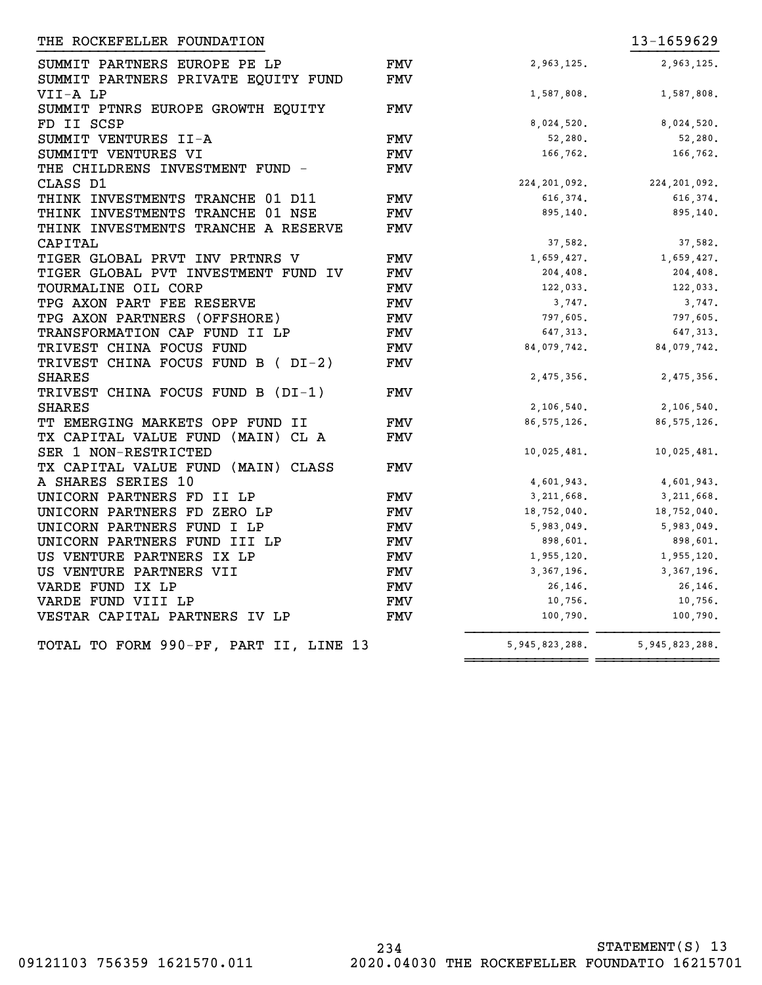| THE ROCKEFELLER FOUNDATION                                          |                   |                   | 13-1659629        |
|---------------------------------------------------------------------|-------------------|-------------------|-------------------|
| SUMMIT PARTNERS EUROPE PE LP<br>SUMMIT PARTNERS PRIVATE EQUITY FUND | <b>FMV</b><br>FMV | 2,963,125.        | 2,963,125.        |
| VII-A LP                                                            |                   | 1,587,808.        | 1,587,808.        |
| SUMMIT PTNRS EUROPE GROWTH EQUITY                                   | FMV               |                   |                   |
| FD II SCSP                                                          |                   | 8,024,520.        | 8,024,520.        |
| SUMMIT VENTURES II-A                                                | <b>FMV</b>        | 52,280.           | 52,280.           |
| SUMMITT VENTURES VI                                                 | <b>FMV</b>        | 166,762.          | 166,762.          |
| THE CHILDRENS INVESTMENT FUND -                                     | FMV               |                   |                   |
| CLASS D1                                                            |                   | 224, 201, 092.    | 224,201,092.      |
| THINK INVESTMENTS TRANCHE 01 D11                                    | <b>FMV</b>        | 616,374.          | 616, 374.         |
| THINK INVESTMENTS TRANCHE 01 NSE                                    | FMV               | 895,140.          | 895,140.          |
| THINK INVESTMENTS TRANCHE A RESERVE                                 | FMV               |                   |                   |
| CAPITAL                                                             |                   | 37,582.           | 37,582.           |
| TIGER GLOBAL PRVT INV PRTNRS V                                      | FMV               | 1,659,427.        | 1,659,427.        |
| TIGER GLOBAL PVT INVESTMENT FUND IV                                 | <b>FMV</b>        | 204,408.          | 204,408.          |
| TOURMALINE OIL CORP                                                 | FMV               | 122,033.          | 122,033.          |
| TPG AXON PART FEE RESERVE                                           | <b>FMV</b>        | 3,747.            | 3,747.            |
| TPG AXON PARTNERS (OFFSHORE)                                        | <b>FMV</b>        | 797,605.          | 797,605.          |
| TRANSFORMATION CAP FUND II LP                                       | FMV               | 647,313.          | 647, 313.         |
| TRIVEST CHINA FOCUS FUND                                            | <b>FMV</b>        | 84,079,742.       | 84,079,742.       |
| TRIVEST CHINA FOCUS FUND B (DI-2)                                   | FMV               |                   |                   |
| <b>SHARES</b>                                                       |                   | 2,475,356.        | 2,475,356.        |
| TRIVEST CHINA FOCUS FUND B (DI-1)                                   | FMV               |                   |                   |
| <b>SHARES</b>                                                       |                   | 2,106,540.        | 2,106,540.        |
| TT EMERGING MARKETS OPP FUND II                                     | FMV               | 86, 575, 126.     | 86, 575, 126.     |
| TX CAPITAL VALUE FUND (MAIN) CL A                                   | <b>FMV</b>        |                   |                   |
| SER 1 NON-RESTRICTED                                                |                   | 10,025,481.       | 10,025,481.       |
| TX CAPITAL VALUE FUND (MAIN) CLASS                                  | FMV               |                   |                   |
| A SHARES SERIES 10                                                  |                   | 4,601,943.        | 4,601,943.        |
| UNICORN PARTNERS FD II LP                                           | FMV               | 3,211,668.        | 3,211,668.        |
| UNICORN PARTNERS FD ZERO LP                                         | <b>FMV</b>        | 18,752,040.       | 18,752,040.       |
| UNICORN PARTNERS FUND I LP                                          | FMV               | 5,983,049.        | 5,983,049.        |
| UNICORN PARTNERS FUND III LP                                        | FMV               | 898,601.          | 898,601.          |
| US VENTURE PARTNERS IX LP                                           | FMV               | 1,955,120.        | 1,955,120.        |
| US VENTURE PARTNERS VII                                             | FMV               | 3,367,196.        | 3, 367, 196.      |
| VARDE FUND IX LP                                                    | FMV               | 26,146.           | 26,146.           |
| VARDE FUND VIII LP                                                  | FMV               | 10,756.           | 10,756.           |
| VESTAR CAPITAL PARTNERS IV LP                                       | FMV               | 100,790.          | 100,790.          |
| TOTAL TO FORM 990-PF, PART II, LINE 13                              |                   | 5, 945, 823, 288. | 5, 945, 823, 288. |
|                                                                     |                   |                   |                   |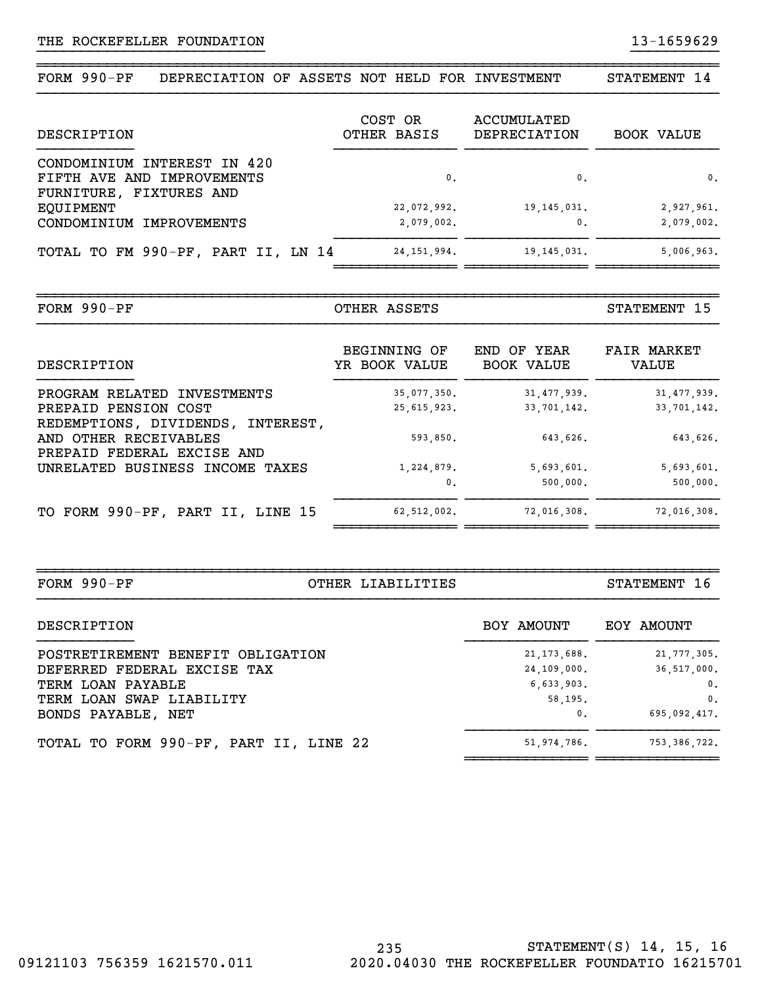~~~~~~~~~~~~~~~~~~~~~~~~~~~~~~~~~~~~~~~~~~~~~~~~~~~~~~~~~~~~~~~~~~~~~~~~~~~~~~FORM 990-PF DEPRECIATION OF ASSETS NOT HELD FOR INVESTMENT STATEMENT 14

}}}}}}}}}}}}}}}}}}}}}}}}}} }}}}}}}}}}

| DESCRIPTION                                                                          | COST OR<br>OTHER BASIS | ACCUMULATED<br>DEPRECIATION | <b>BOOK VALUE</b> |
|--------------------------------------------------------------------------------------|------------------------|-----------------------------|-------------------|
| CONDOMINIUM INTEREST IN 420<br>FIFTH AVE AND IMPROVEMENTS<br>FURNITURE, FIXTURES AND | 0.                     | $\mathbf{0}$ .              | 0.                |
| EOUIPMENT                                                                            | 22,072,992.            | 19, 145, 031.               | 2,927,961.        |
| CONDOMINIUM IMPROVEMENTS                                                             | 2,079,002.             | 0.                          | 2,079,002.        |
| TOTAL TO FM 990-PF, PART II, LN 14                                                   | 24, 151, 994.          | 19, 145, 031.               | 5,006,963.        |

| FORM<br>DF.<br>ິດ 9 N –<br>. . | $\blacksquare$<br>- מסוי<br>JIHEF<br><b>LE</b> | חי<br><b>\TEMENT</b> |
|--------------------------------|------------------------------------------------|----------------------|

| DESCRIPTION                                         | BEGINNING OF<br>YR BOOK VALUE | END OF YEAR<br><b>BOOK VALUE</b> | <b>FAIR MARKET</b><br>VALUE |
|-----------------------------------------------------|-------------------------------|----------------------------------|-----------------------------|
| PROGRAM RELATED INVESTMENTS                         | 35,077,350.                   | 31, 477, 939.                    | 31, 477, 939.               |
| PREPAID PENSION COST                                | 25, 615, 923.                 | 33,701,142.                      | 33,701,142.                 |
| REDEMPTIONS, DIVIDENDS, INTEREST,                   |                               |                                  |                             |
| AND OTHER RECEIVABLES<br>PREPAID FEDERAL EXCISE AND | 593,850.                      | 643,626.                         | 643,626.                    |
| UNRELATED BUSINESS INCOME TAXES                     | 1,224,879.                    | 5,693,601.                       | 5,693,601.                  |
|                                                     | 0.                            | 500,000.                         | 500,000.                    |
| TO FORM 990-PF, PART II, LINE 15                    | 62,512,002.                   | 72,016,308.                      | 72,016,308.                 |

~~~~~~~~~~~~~~~~~~~~~~~~~~~~~~~~~~~~~~~~~~~~~~~~~~~~~~~~~~~~~~~~~~~~~~~~~~~~~~FORM 990-PF OTHER LIABILITIES STATEMENT 16

~~~~~~~~~~~~~~ ~~~~~~~~~~~~~~ ~~~~~~~~~~~~~~

| DESCRIPTION                            | BOY AMOUNT     | EOY AMOUNT     |
|----------------------------------------|----------------|----------------|
| POSTRETIREMENT BENEFIT OBLIGATION      | 21, 173, 688.  | 21, 777, 305.  |
| DEFERRED FEDERAL EXCISE TAX            | 24,109,000.    | 36,517,000.    |
| TERM LOAN PAYABLE                      | 6,633,903.     | 0.             |
| TERM LOAN SWAP LIABILITY               | 58.195.        | 0.             |
| BONDS PAYABLE, NET                     | $\mathbf{0}$ . | 695,092,417.   |
| TOTAL TO FORM 990-PF, PART II, LINE 22 | 51,974,786.    | 753, 386, 722. |
|                                        |                |                |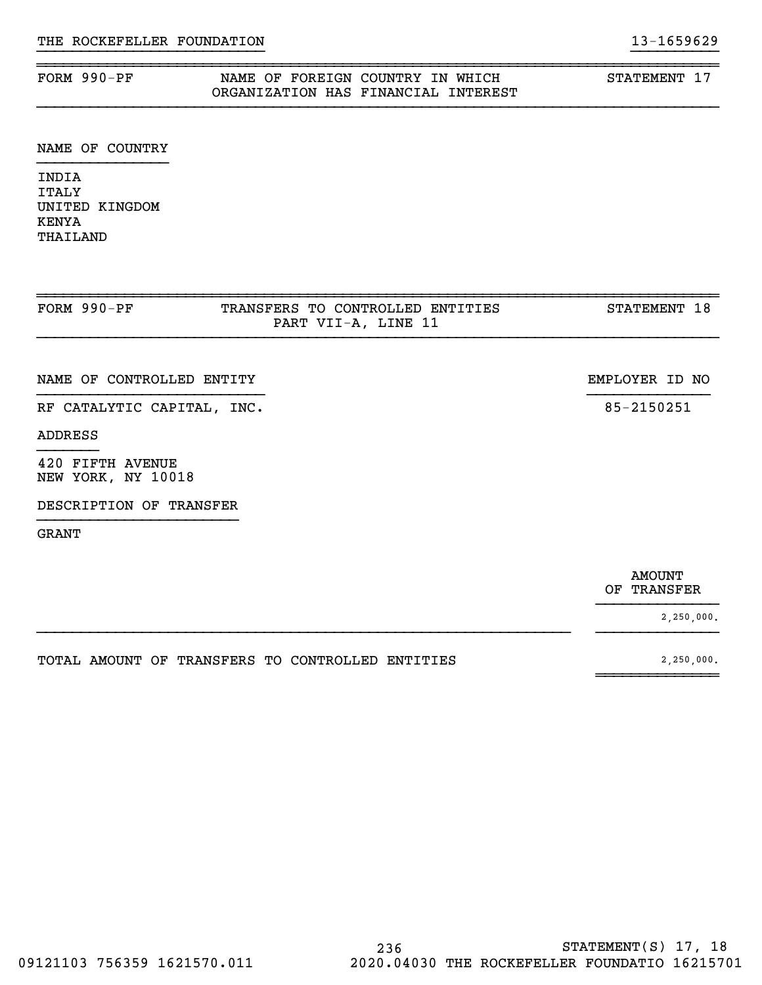### FORM 990-PF NAME OF FOREIGN COUNTRY IN WHICH STATEMENT 17 ORGANIZATION HAS FINANCIAL INTEREST

### NAME OF COUNTRY

INDIA ITALY UNITED KINGDOM KENYA THAILAND

| FORM 990-PF                            | TRANSFERS TO CONTROLLED ENTITIES<br>PART VII-A, LINE 11 | STATEMENT 18   |
|----------------------------------------|---------------------------------------------------------|----------------|
| NAME OF CONTROLLED ENTITY              |                                                         | EMPLOYER ID NO |
| RF CATALYTIC CAPITAL, INC.             |                                                         | 85-2150251     |
| ADDRESS                                |                                                         |                |
| 420 FIFTH AVENUE<br>NEW YORK, NY 10018 |                                                         |                |
| DESCRIPTION OF TRANSFER                |                                                         |                |
| <b>GRANT</b>                           |                                                         |                |
|                                        |                                                         |                |

}}}}}}}}}}}}}}

}}}}}}}}}}}}}}}}}}}}}}}}}}}}}}}}}}}}}}}}}}}}}}}}}}}}}}}}}}}}} }}}}}}}}}}}}}}

 $~\sim$   $~\sim$   $~\sim$   $~\sim$   $~\sim$   $~\sim$   $~\sim$   $~\sim$   $~\sim$   $~\sim$   $~\sim$   $~\sim$   $~\sim$   $~\sim$   $~\sim$   $~\sim$   $~\sim$   $~\sim$   $~\sim$   $~\sim$   $~\sim$   $~\sim$   $~\sim$   $~\sim$   $~\sim$   $~\sim$   $~\sim$   $~\sim$   $~\sim$   $~\sim$   $~\sim$   $~\sim$   $~\sim$   $~\sim$   $~\sim$   $~\sim$   $~\sim$ 

}}}}}}}}}}}}}}}}}}}}}}}}}} }}}}}}}}}}

~~~~~~~~~~~~~~~~~~~~~~~~~~~~~~~~~~~~~~~~~~~~~~~~~~~~~~~~~~~~~~~~~~~~~~~~~~~~~~

 AMOUNT OF TRANSFER

2,250,000.

TOTAL AMOUNT OF TRANSFERS TO CONTROLLED ENTITIES  $2,250,000$ .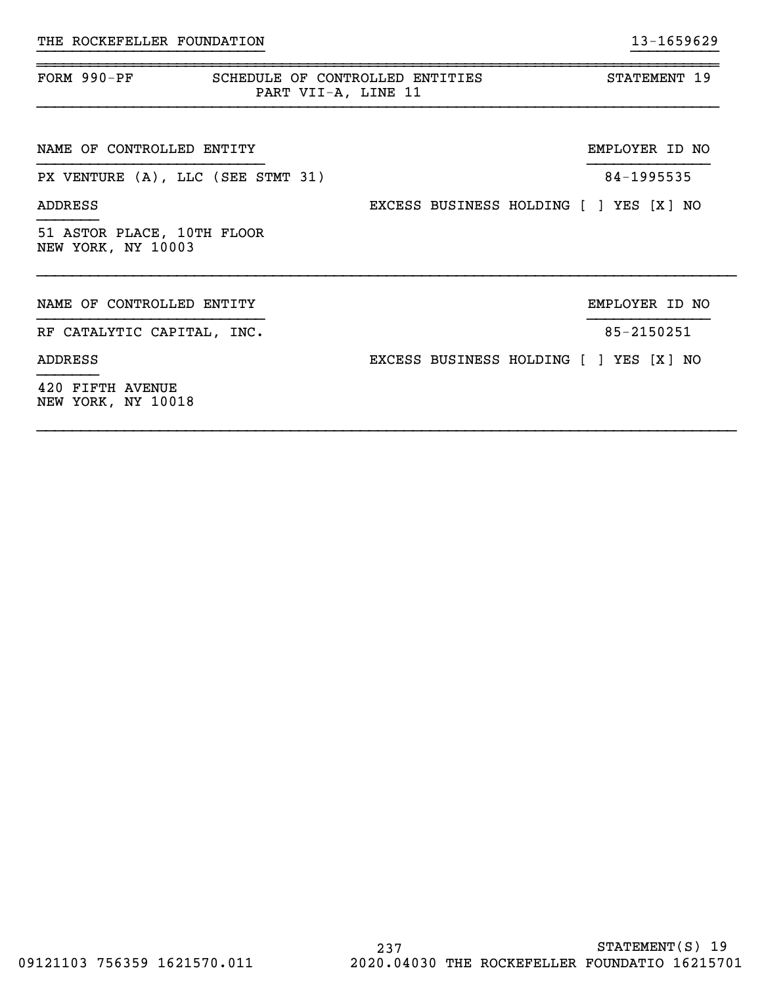| FORM 990-PF<br>SCHEDULE OF CONTROLLED ENTITIES<br>PART VII-A, LINE 11 |                                        | STATEMENT 19   |
|-----------------------------------------------------------------------|----------------------------------------|----------------|
| NAME OF CONTROLLED ENTITY                                             |                                        | EMPLOYER ID NO |
| PX VENTURE (A), LLC (SEE STMT 31)                                     |                                        | 84-1995535     |
| ADDRESS                                                               | EXCESS BUSINESS HOLDING [ ] YES [X] NO |                |
| 51 ASTOR PLACE, 10TH FLOOR<br>NEW YORK, NY 10003                      |                                        |                |
| NAME OF CONTROLLED ENTITY                                             |                                        | EMPLOYER ID NO |
| RF CATALYTIC CAPITAL, INC.                                            |                                        | 85-2150251     |
| ADDRESS                                                               | EXCESS BUSINESS HOLDING [ ] YES [X] NO |                |
| 420 FIFTH AVENUE<br>NEW YORK, NY 10018                                |                                        |                |

~~~~~~~~~~~~~~~~~~~~~~~~~~~~~~~~~~~~~~~~~~~~~~~~~~~~~~~~~~~~~~~~~~~~~~~~~~~~~~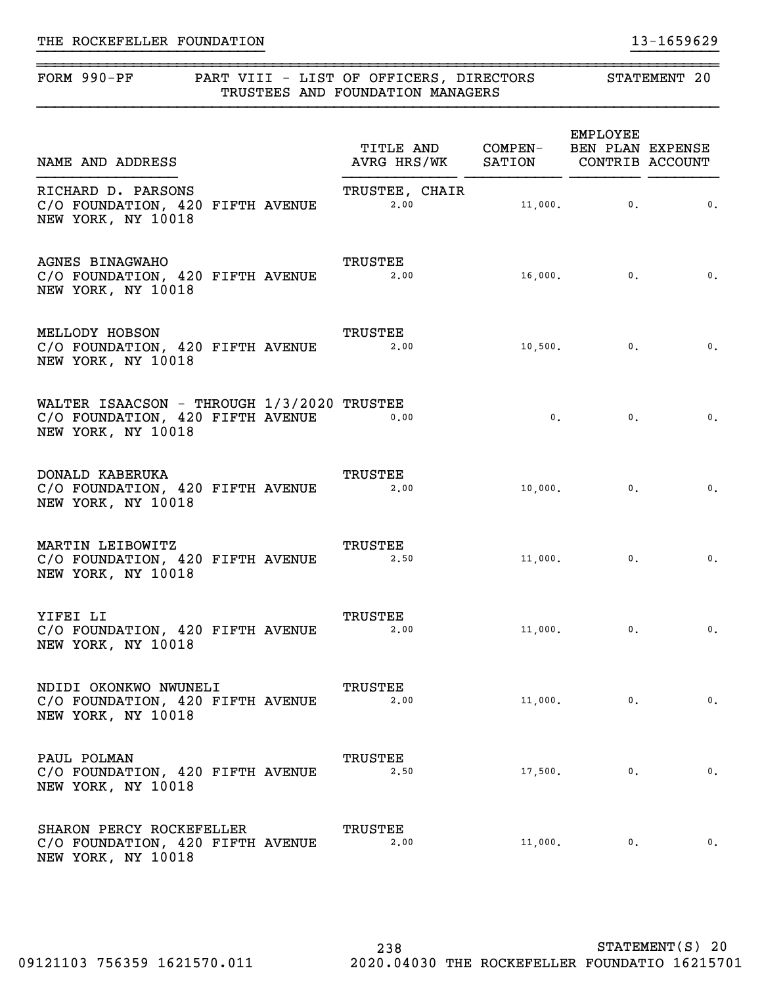# FORM 990-PF PART VIII - LIST OF OFFICERS, DIRECTORS STATEMENT 20 TRUSTEES AND FOUNDATION MANAGERS

}}}}}}}}}}}}}}}}}}}}}}}}}} }}}}}}}}}}

~~~~~~~~~~~~~~~~~~~~~~~~~~~~~~~~~~~~~~~~~~~~~~~~~~~~~~~~~~~~~~~~~~~~~~~~~~~~~~

| NAME AND ADDRESS                                                                                     | TITLE AND COMPEN- BEN PLAN EXPENSE<br>AVRG HRS/WK SATION CONTRIB ACCOUNT |         | EMPLOYEE      |                           |
|------------------------------------------------------------------------------------------------------|--------------------------------------------------------------------------|---------|---------------|---------------------------|
| RICHARD D. PARSONS<br>C/O FOUNDATION, 420 FIFTH AVENUE<br>NEW YORK, NY 10018                         | TRUSTEE, CHAIR<br>2.00                                                   |         | $11,000$ , 0. | $\overline{\phantom{a}}$  |
| <b>AGNES BINAGWAHO</b><br>C/O FOUNDATION, 420 FIFTH AVENUE<br>NEW YORK, NY 10018                     | TRUSTEE<br>2,00                                                          |         | $16,000.$ 0.  | $\overline{\phantom{a}}$  |
| MELLODY HOBSON<br>C/O FOUNDATION, 420 FIFTH AVENUE<br>NEW YORK, NY 10018                             | TRUSTEE<br>2,00                                                          |         | $10,500.$ 0.  | $\overline{\phantom{a}}$  |
| WALTER ISAACSON - THROUGH 1/3/2020 TRUSTEE<br>C/O FOUNDATION, 420 FIFTH AVENUE<br>NEW YORK, NY 10018 | 0.00                                                                     | 0.      | 0.            | $\overline{\phantom{a}}$  |
| DONALD KABERUKA<br>C/O FOUNDATION, 420 FIFTH AVENUE<br>NEW YORK, NY 10018                            | <b>TRUSTEE</b><br>2.00                                                   |         |               | $\overline{\mathbf{0}}$ . |
| MARTIN LEIBOWITZ<br>C/O FOUNDATION, 420 FIFTH AVENUE<br>NEW YORK, NY 10018                           | <b>TRUSTEE</b><br>2,50                                                   |         | $11,000.$ 0.  | $\overline{\phantom{a}}$  |
| YIFEI LI<br>C/O FOUNDATION, 420 FIFTH AVENUE<br>NEW YORK, NY 10018                                   | TRUSTEE<br>2,00                                                          |         | $11,000.$ 0.  | $\overline{\phantom{a}}$  |
| NDIDI OKONKWO NWUNELI<br>C/O FOUNDATION, 420 FIFTH AVENUE<br>NEW YORK, NY 10018                      | <b>TRUSTEE</b><br>2,00                                                   | 11,000. | 0.            | 0.                        |
| PAUL POLMAN<br>C/O FOUNDATION, 420 FIFTH AVENUE<br>NEW YORK, NY 10018                                | TRUSTEE<br>2,50                                                          | 17,500. | 0.            | 0.                        |
| SHARON PERCY ROCKEFELLER<br>C/O FOUNDATION, 420 FIFTH AVENUE<br>NEW YORK, NY 10018                   | TRUSTEE<br>2,00                                                          | 11,000. | $\mathbf 0$ . | 0.                        |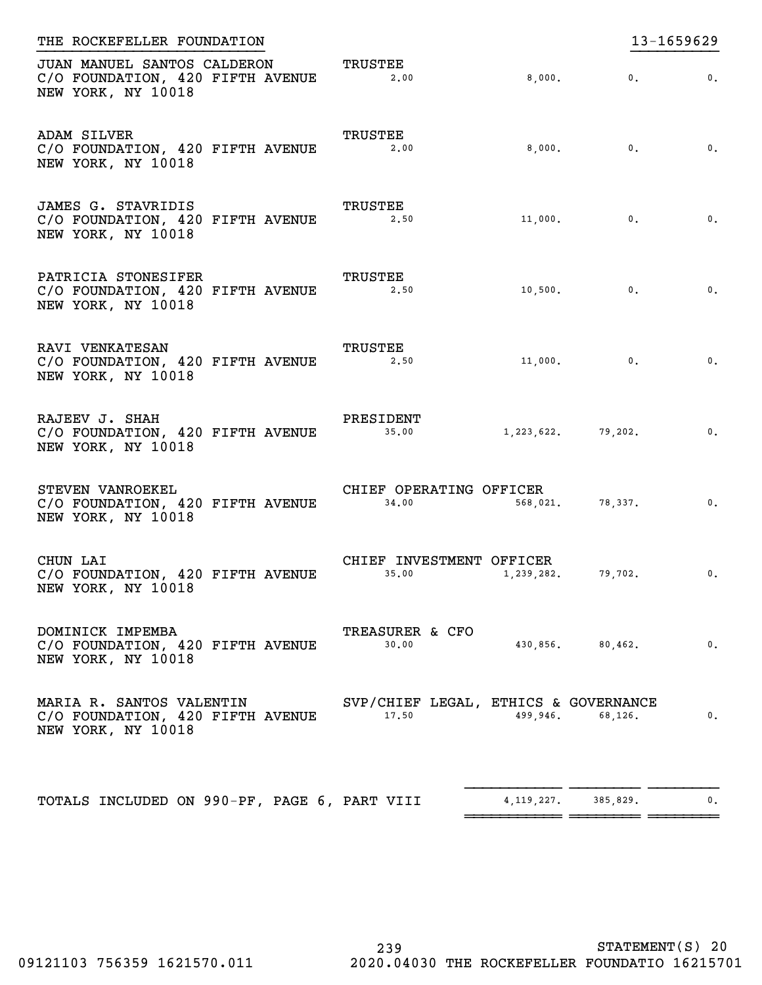| THE ROCKEFELLER FOUNDATION                                                            |                                               |              |                       | 13-1659629                |
|---------------------------------------------------------------------------------------|-----------------------------------------------|--------------|-----------------------|---------------------------|
| JUAN MANUEL SANTOS CALDERON<br>C/O FOUNDATION, 420 FIFTH AVENUE<br>NEW YORK, NY 10018 | TRUSTEE<br>2,00                               | 8,000.       | 0.                    | $\mathbf{0}$ .            |
| ADAM SILVER<br>C/O FOUNDATION, 420 FIFTH AVENUE<br>NEW YORK, NY 10018                 | TRUSTEE<br>2,00                               |              | $8,000.$ 0.           | $\overline{\mathbf{0}}$ . |
| JAMES G. STAVRIDIS<br>C/O FOUNDATION, 420 FIFTH AVENUE<br>NEW YORK, NY 10018          | TRUSTEE<br>2.50                               |              | $11,000.$ 0.          | $\overline{\mathbf{0}}$ . |
| PATRICIA STONESIFER<br>C/O FOUNDATION, 420 FIFTH AVENUE<br>NEW YORK, NY 10018         | <b>TRUSTEE</b><br>2.50                        |              | $10,500.$ 0.          | $\overline{\mathbf{0}}$ . |
| RAVI VENKATESAN<br>C/O FOUNDATION, 420 FIFTH AVENUE<br>NEW YORK, NY 10018             | TRUSTEE<br>2.50                               |              | $11,000.$ 0.          | $\mathbf{0}$ .            |
| RAJEEV J. SHAH<br>C/O FOUNDATION, 420 FIFTH AVENUE<br>NEW YORK, NY 10018              | PRESIDENT<br>35.00                            |              | $1,223,622.$ 79,202.  | $\overline{\mathbf{0}}$ . |
| STEVEN VANROEKEL<br>C/O FOUNDATION, 420 FIFTH AVENUE<br>NEW YORK, NY 10018            | CHIEF OPERATING OFFICER<br>34,00              |              | 568,021. 78,337.      | $\overline{\mathbf{0}}$ . |
| CHUN LAI<br>C/O FOUNDATION, 420 FIFTH AVENUE<br>NEW YORK, NY 10018                    | CHIEF INVESTMENT OFFICER<br>35.00             |              | 1, 239, 282, 79, 702. | $\overline{\phantom{a}}$  |
| DOMINICK IMPEMBA<br>C/O FOUNDATION, 420 FIFTH AVENUE<br>NEW YORK, NY 10018            | TREASURER & CFO<br>30.00                      |              | 430,856. 80,462.      | $\mathbf{0}$ .            |
| MARIA R. SANTOS VALENTIN<br>C/O FOUNDATION, 420 FIFTH AVENUE<br>NEW YORK, NY 10018    | SVP/CHIEF LEGAL, ETHICS & GOVERNANCE<br>17.50 | 499,946.     | 68,126.               | $\mathbf{0}$ .            |
| TOTALS INCLUDED ON 990-PF, PAGE 6, PART VIII                                          |                                               | 4, 119, 227. | 385,829.              | 0.                        |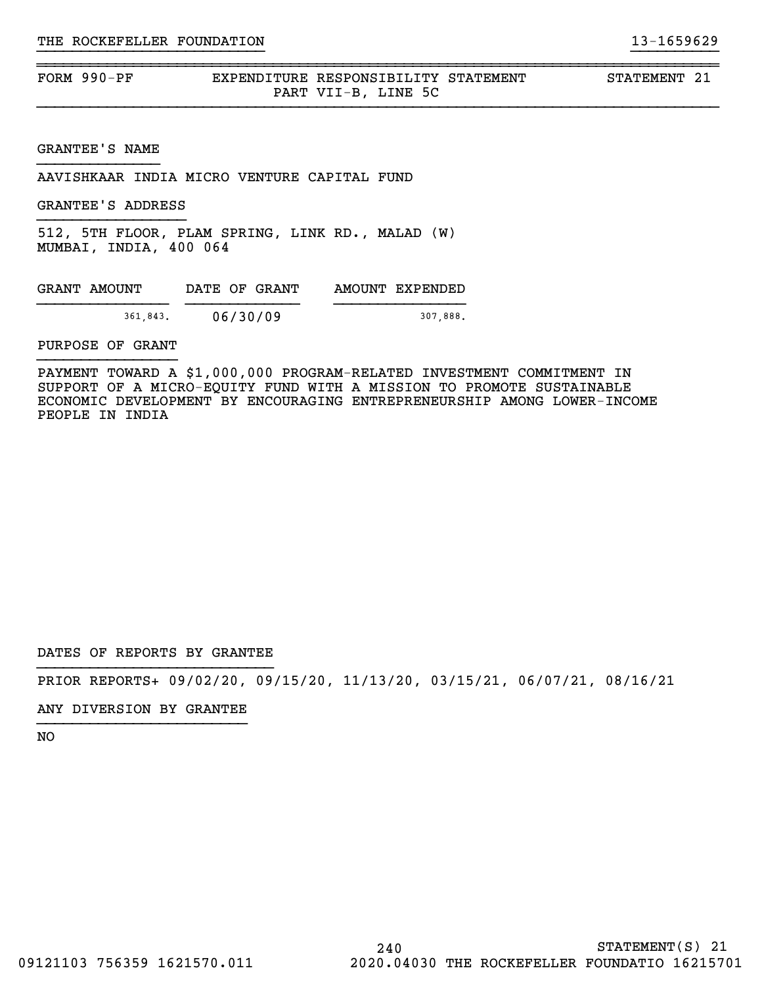FORM 990-PF EXPENDITURE RESPONSIBILITY STATEMENT STATEMENT 21 PART VII-B, LINE 5C

}}}}}}}}}}}}}}}}}}}}}}}}}} }}}}}}}}}}

~~~~~~~~~~~~~~~~~~~~~~~~~~~~~~~~~~~~~~~~~~~~~~~~~~~~~~~~~~~~~~~~~~~~~~~~~~~~~~

GRANTEE'S NAME

AAVISHKAAR INDIA MICRO VENTURE CAPITAL FUND

GRANTEE'S ADDRESS

512, 5TH FLOOR, PLAM SPRING, LINK RD., MALAD (W) MUMBAI, INDIA, 400 064

| GRANT AMOUNT | DATE OF GRANT | AMOUNT EXPENDED |
|--------------|---------------|-----------------|
| 361,843.     | 06/30/09      | 307.888.        |

PURPOSE OF GRANT

PAYMENT TOWARD A \$1,000,000 PROGRAM-RELATED INVESTMENT COMMITMENT IN SUPPORT OF A MICRO-EQUITY FUND WITH A MISSION TO PROMOTE SUSTAINABLE ECONOMIC DEVELOPMENT BY ENCOURAGING ENTREPRENEURSHIP AMONG LOWER-INCOME PEOPLE IN INDIA

DATES OF REPORTS BY GRANTEE

PRIOR REPORTS+ 09/02/20, 09/15/20, 11/13/20, 03/15/21, 06/07/21, 08/16/21

ANY DIVERSION BY GRANTEE }}}}}}}}}}}}}}}}}}}}}}}}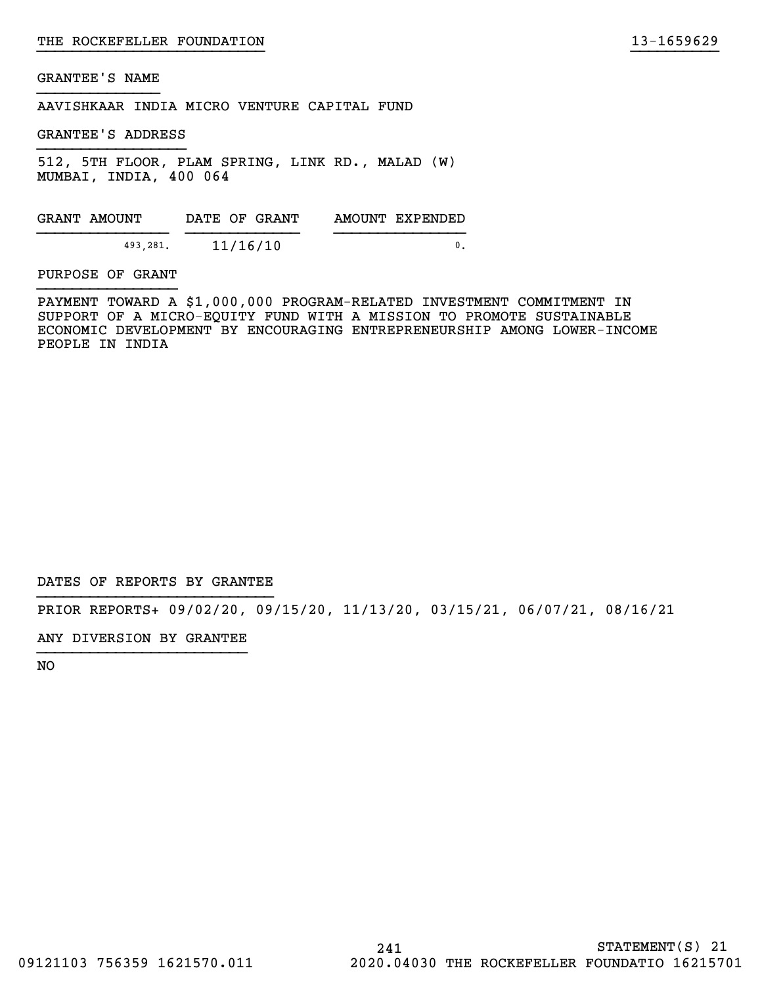AAVISHKAAR INDIA MICRO VENTURE CAPITAL FUND

GRANTEE'S ADDRESS

512, 5TH FLOOR, PLAM SPRING, LINK RD., MALAD (W) MUMBAI, INDIA, 400 064

GRANT AMOUNT DATE OF GRANT AMOUNT EXPENDED }}}}}}}}}}}}}}} }}}}}}}}}}}}} }}}}}}}}}}}}}}} 493,281. 11/16/10 0.

PURPOSE OF GRANT

PAYMENT TOWARD A \$1,000,000 PROGRAM-RELATED INVESTMENT COMMITMENT IN SUPPORT OF A MICRO-EQUITY FUND WITH A MISSION TO PROMOTE SUSTAINABLE ECONOMIC DEVELOPMENT BY ENCOURAGING ENTREPRENEURSHIP AMONG LOWER-INCOME PEOPLE IN INDIA

}}}}}}}}}}}}}}}}}}}}}}}}}} }}}}}}}}}}

DATES OF REPORTS BY GRANTEE

PRIOR REPORTS+ 09/02/20, 09/15/20, 11/13/20, 03/15/21, 06/07/21, 08/16/21

ANY DIVERSION BY GRANTEE }}}}}}}}}}}}}}}}}}}}}}}}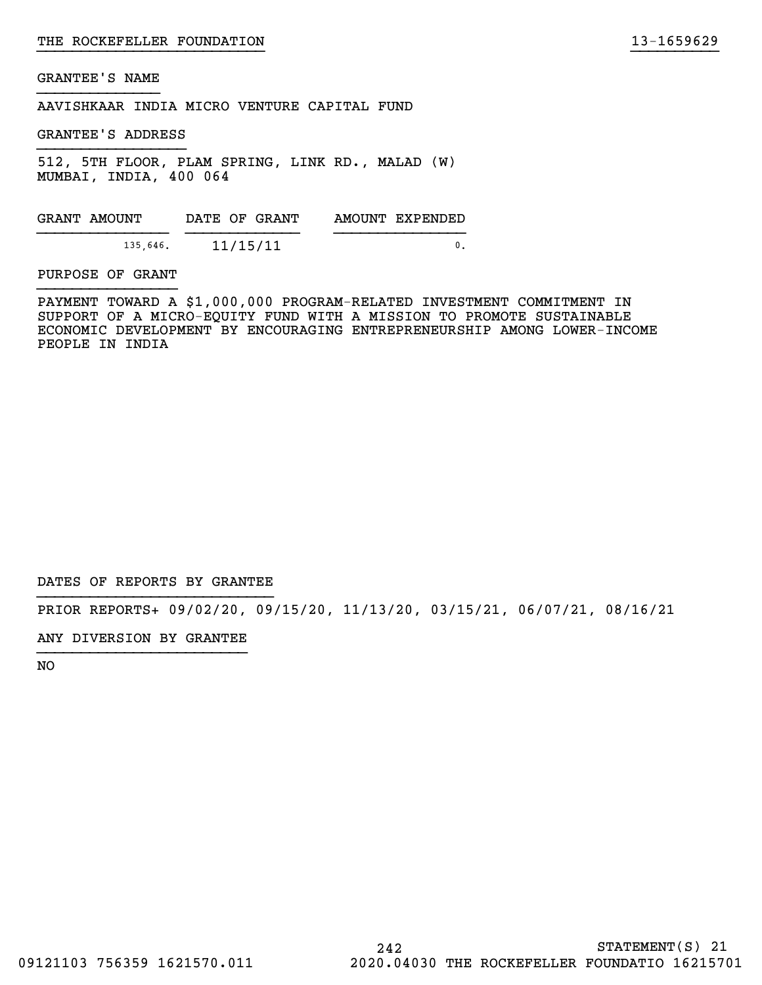AAVISHKAAR INDIA MICRO VENTURE CAPITAL FUND

GRANTEE'S ADDRESS

512, 5TH FLOOR, PLAM SPRING, LINK RD., MALAD (W) MUMBAI, INDIA, 400 064

GRANT AMOUNT DATE OF GRANT AMOUNT EXPENDED }}}}}}}}}}}}}}} }}}}}}}}}}}}} }}}}}}}}}}}}}}} 135,646. 11/15/11 0.

PURPOSE OF GRANT

PAYMENT TOWARD A \$1,000,000 PROGRAM-RELATED INVESTMENT COMMITMENT IN SUPPORT OF A MICRO-EQUITY FUND WITH A MISSION TO PROMOTE SUSTAINABLE ECONOMIC DEVELOPMENT BY ENCOURAGING ENTREPRENEURSHIP AMONG LOWER-INCOME PEOPLE IN INDIA

}}}}}}}}}}}}}}}}}}}}}}}}}} }}}}}}}}}}

DATES OF REPORTS BY GRANTEE

PRIOR REPORTS+ 09/02/20, 09/15/20, 11/13/20, 03/15/21, 06/07/21, 08/16/21

ANY DIVERSION BY GRANTEE }}}}}}}}}}}}}}}}}}}}}}}}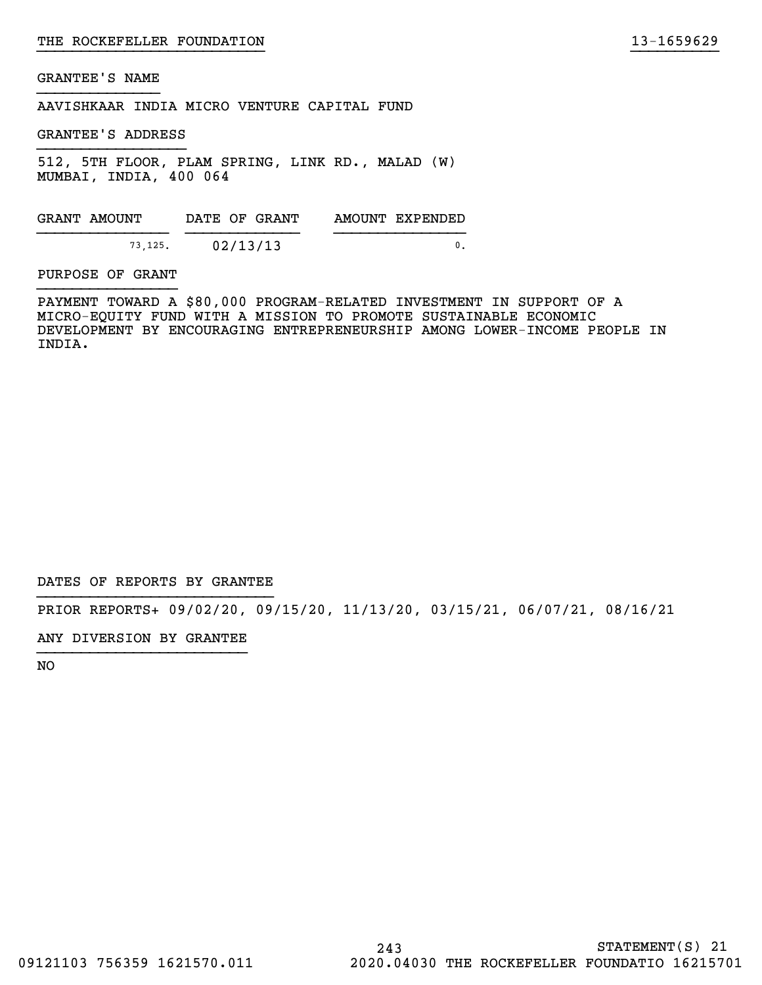AAVISHKAAR INDIA MICRO VENTURE CAPITAL FUND

GRANTEE'S ADDRESS

512, 5TH FLOOR, PLAM SPRING, LINK RD., MALAD (W) MUMBAI, INDIA, 400 064

GRANT AMOUNT DATE OF GRANT AMOUNT EXPENDED }}}}}}}}}}}}}}} }}}}}}}}}}}}} }}}}}}}}}}}}}}} 73,125. 02/13/13 0.

PURPOSE OF GRANT

PAYMENT TOWARD A \$80,000 PROGRAM-RELATED INVESTMENT IN SUPPORT OF A MICRO-EQUITY FUND WITH A MISSION TO PROMOTE SUSTAINABLE ECONOMIC DEVELOPMENT BY ENCOURAGING ENTREPRENEURSHIP AMONG LOWER-INCOME PEOPLE IN INDIA.

}}}}}}}}}}}}}}}}}}}}}}}}}} }}}}}}}}}}

DATES OF REPORTS BY GRANTEE

PRIOR REPORTS+ 09/02/20, 09/15/20, 11/13/20, 03/15/21, 06/07/21, 08/16/21

ANY DIVERSION BY GRANTEE }}}}}}}}}}}}}}}}}}}}}}}}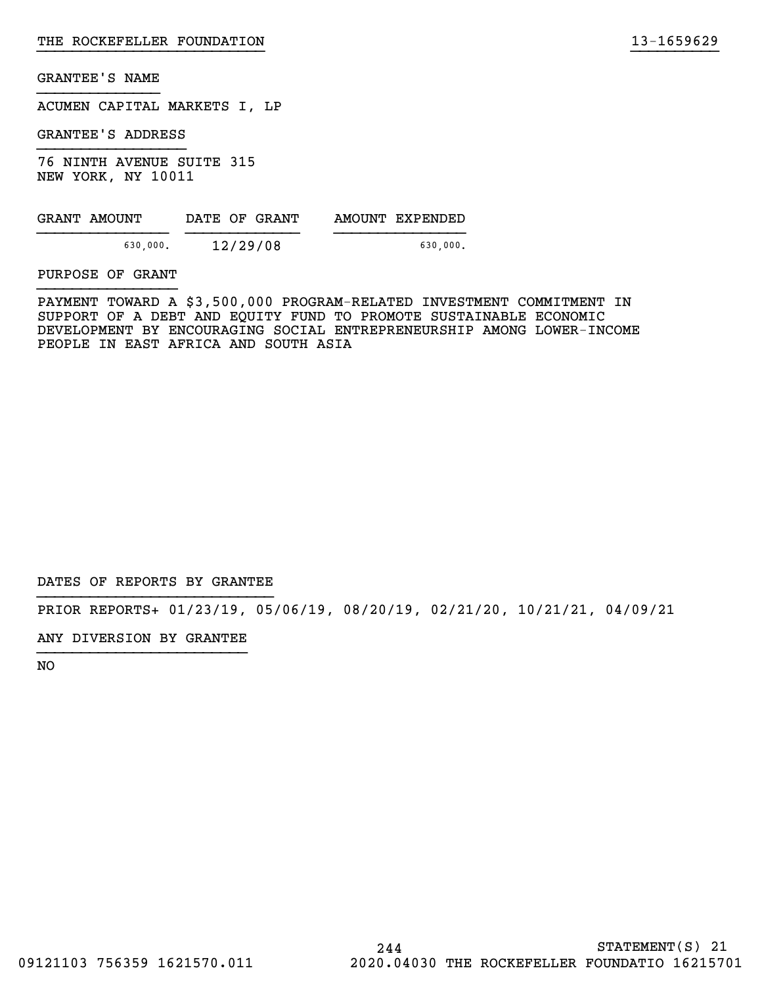ACUMEN CAPITAL MARKETS I, LP

GRANTEE'S ADDRESS

76 NINTH AVENUE SUITE 315 NEW YORK, NY 10011

| GRANT AMOUNT | DATE OF GRANT | AMOUNT EXPENDED |
|--------------|---------------|-----------------|
| 630,000.     | 12/29/08      | 630,000.        |

PURPOSE OF GRANT

PAYMENT TOWARD A \$3,500,000 PROGRAM-RELATED INVESTMENT COMMITMENT IN SUPPORT OF A DEBT AND EQUITY FUND TO PROMOTE SUSTAINABLE ECONOMIC DEVELOPMENT BY ENCOURAGING SOCIAL ENTREPRENEURSHIP AMONG LOWER-INCOME PEOPLE IN EAST AFRICA AND SOUTH ASIA

}}}}}}}}}}}}}}}}}}}}}}}}}} }}}}}}}}}}

DATES OF REPORTS BY GRANTEE

PRIOR REPORTS+ 01/23/19, 05/06/19, 08/20/19, 02/21/20, 10/21/21, 04/09/21

ANY DIVERSION BY GRANTEE }}}}}}}}}}}}}}}}}}}}}}}}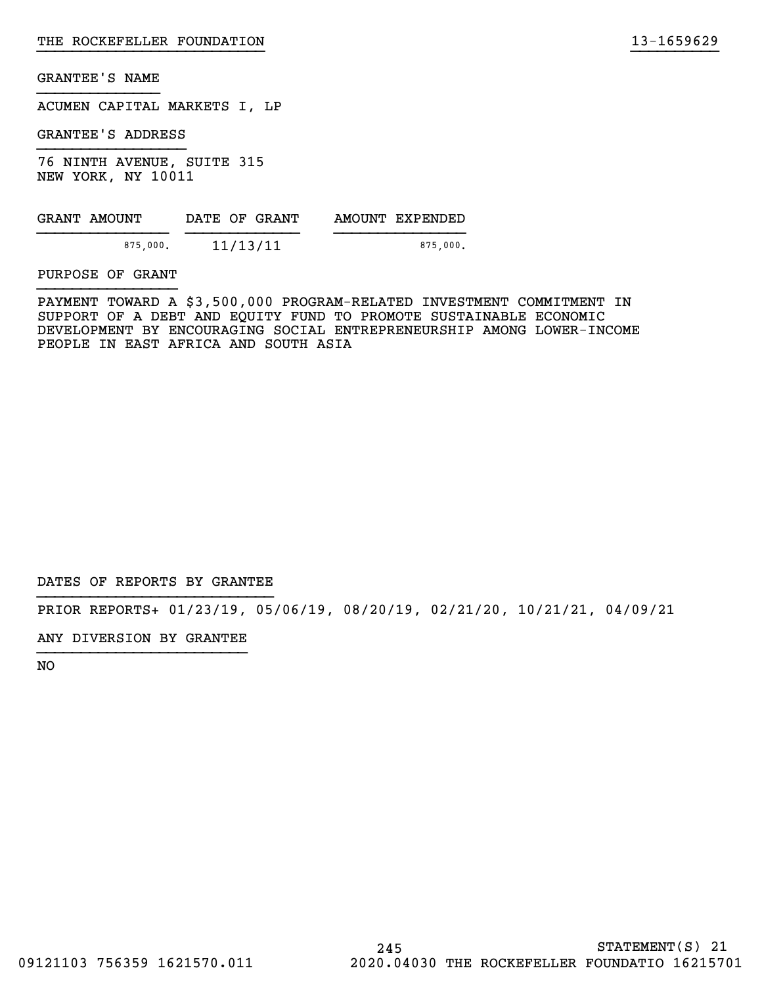ACUMEN CAPITAL MARKETS I, LP

GRANTEE'S ADDRESS

76 NINTH AVENUE, SUITE 315 NEW YORK, NY 10011

| GRANT AMOUNT | DATE OF GRANT | AMOUNT EXPENDED |
|--------------|---------------|-----------------|
| 875,000.     | 11/13/11      | 875,000.        |

PURPOSE OF GRANT

PAYMENT TOWARD A \$3,500,000 PROGRAM-RELATED INVESTMENT COMMITMENT IN SUPPORT OF A DEBT AND EQUITY FUND TO PROMOTE SUSTAINABLE ECONOMIC DEVELOPMENT BY ENCOURAGING SOCIAL ENTREPRENEURSHIP AMONG LOWER-INCOME PEOPLE IN EAST AFRICA AND SOUTH ASIA

}}}}}}}}}}}}}}}}}}}}}}}}}} }}}}}}}}}}

DATES OF REPORTS BY GRANTEE

PRIOR REPORTS+ 01/23/19, 05/06/19, 08/20/19, 02/21/20, 10/21/21, 04/09/21

ANY DIVERSION BY GRANTEE }}}}}}}}}}}}}}}}}}}}}}}}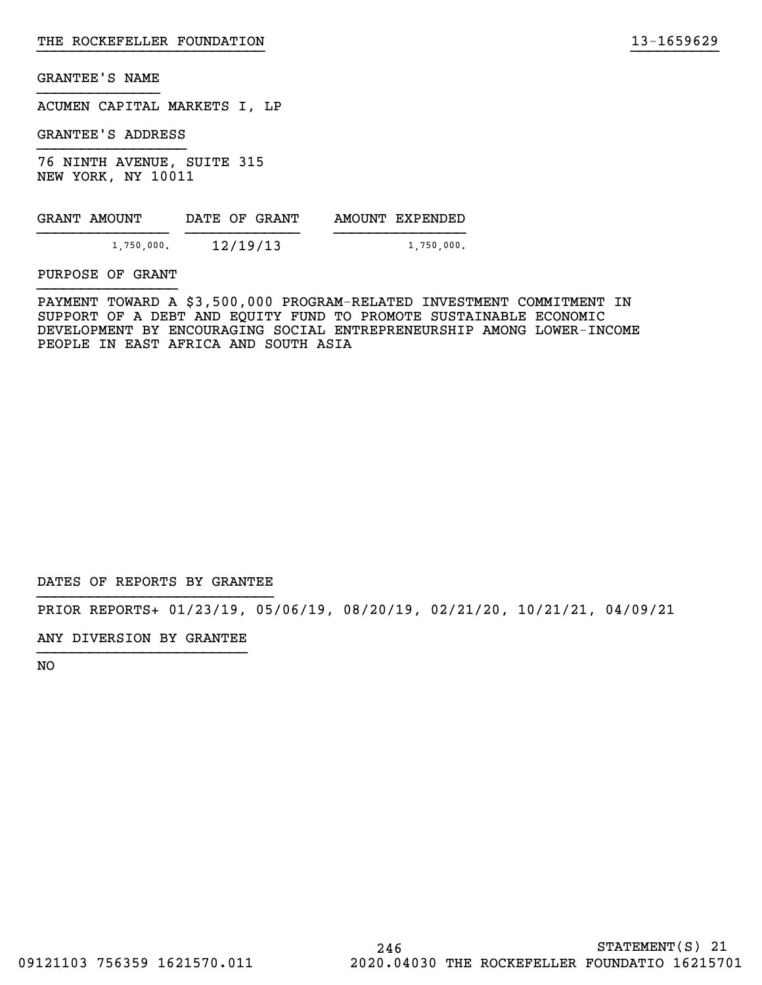ACUMEN CAPITAL MARKETS I, LP

GRANTEE'S ADDRESS

76 NINTH AVENUE, SUITE 315 NEW YORK, NY 10011

| GRANT AMOUNT | DATE OF GRANT | AMOUNT EXPENDED |
|--------------|---------------|-----------------|
| 1,750,000.   | 12/19/13      | $1,750,000$ .   |

PURPOSE OF GRANT

PAYMENT TOWARD A \$3,500,000 PROGRAM-RELATED INVESTMENT COMMITMENT IN SUPPORT OF A DEBT AND EQUITY FUND TO PROMOTE SUSTAINABLE ECONOMIC DEVELOPMENT BY ENCOURAGING SOCIAL ENTREPRENEURSHIP AMONG LOWER-INCOME PEOPLE IN EAST AFRICA AND SOUTH ASIA

}}}}}}}}}}}}}}}}}}}}}}}}}} }}}}}}}}}}

DATES OF REPORTS BY GRANTEE

PRIOR REPORTS+ 01/23/19, 05/06/19, 08/20/19, 02/21/20, 10/21/21, 04/09/21

ANY DIVERSION BY GRANTEE }}}}}}}}}}}}}}}}}}}}}}}}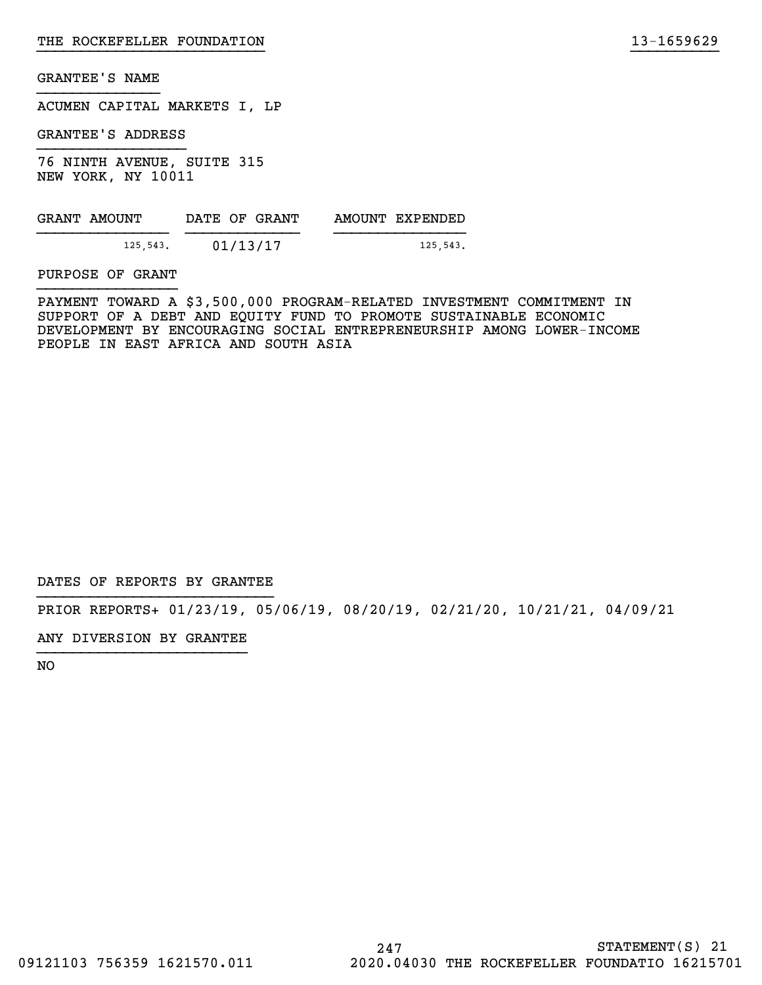ACUMEN CAPITAL MARKETS I, LP

GRANTEE'S ADDRESS

76 NINTH AVENUE, SUITE 315 NEW YORK, NY 10011

| GRANT AMOUNT | DATE OF GRANT | AMOUNT EXPENDED |
|--------------|---------------|-----------------|
| 125,543.     | 01/13/17      | 125,543.        |

PURPOSE OF GRANT

PAYMENT TOWARD A \$3,500,000 PROGRAM-RELATED INVESTMENT COMMITMENT IN SUPPORT OF A DEBT AND EQUITY FUND TO PROMOTE SUSTAINABLE ECONOMIC DEVELOPMENT BY ENCOURAGING SOCIAL ENTREPRENEURSHIP AMONG LOWER-INCOME PEOPLE IN EAST AFRICA AND SOUTH ASIA

}}}}}}}}}}}}}}}}}}}}}}}}}} }}}}}}}}}}

DATES OF REPORTS BY GRANTEE

PRIOR REPORTS+ 01/23/19, 05/06/19, 08/20/19, 02/21/20, 10/21/21, 04/09/21

ANY DIVERSION BY GRANTEE }}}}}}}}}}}}}}}}}}}}}}}}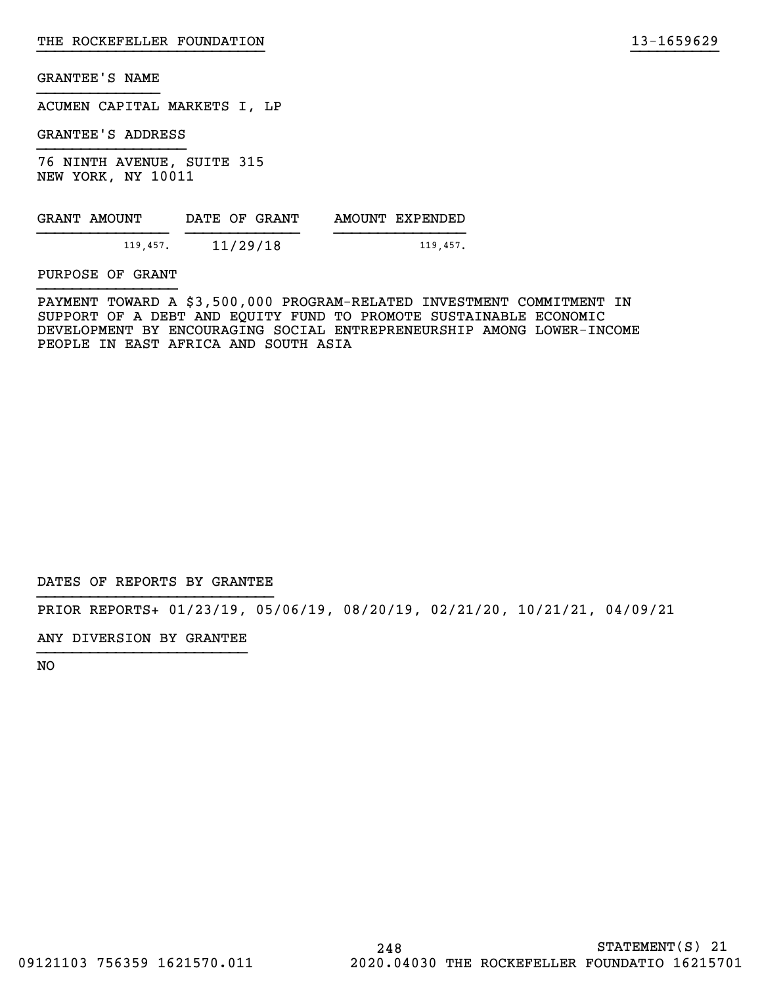ACUMEN CAPITAL MARKETS I, LP

GRANTEE'S ADDRESS

76 NINTH AVENUE, SUITE 315 NEW YORK, NY 10011

| GRANT AMOUNT | DATE OF GRANT | AMOUNT EXPENDED |
|--------------|---------------|-----------------|
| 119,457.     | 11/29/18      | 119.457.        |

PURPOSE OF GRANT

PAYMENT TOWARD A \$3,500,000 PROGRAM-RELATED INVESTMENT COMMITMENT IN SUPPORT OF A DEBT AND EQUITY FUND TO PROMOTE SUSTAINABLE ECONOMIC DEVELOPMENT BY ENCOURAGING SOCIAL ENTREPRENEURSHIP AMONG LOWER-INCOME PEOPLE IN EAST AFRICA AND SOUTH ASIA

}}}}}}}}}}}}}}}}}}}}}}}}}} }}}}}}}}}}

DATES OF REPORTS BY GRANTEE

PRIOR REPORTS+ 01/23/19, 05/06/19, 08/20/19, 02/21/20, 10/21/21, 04/09/21

ANY DIVERSION BY GRANTEE }}}}}}}}}}}}}}}}}}}}}}}}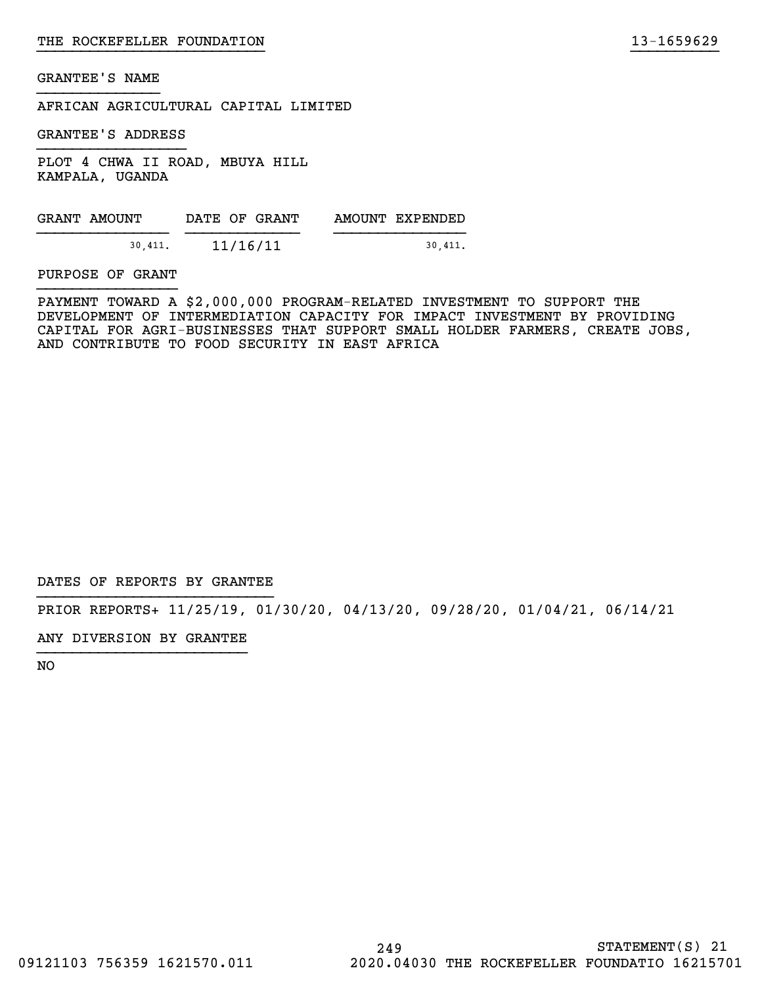AFRICAN AGRICULTURAL CAPITAL LIMITED

GRANTEE'S ADDRESS

PLOT 4 CHWA II ROAD, MBUYA HILL KAMPALA, UGANDA

| GRANT AMOUNT | DATE OF GRANT | AMOUNT EXPENDED |
|--------------|---------------|-----------------|
| 30.411.      | 11/16/11      | 30.411.         |

PURPOSE OF GRANT

PAYMENT TOWARD A \$2,000,000 PROGRAM-RELATED INVESTMENT TO SUPPORT THE DEVELOPMENT OF INTERMEDIATION CAPACITY FOR IMPACT INVESTMENT BY PROVIDING CAPITAL FOR AGRI-BUSINESSES THAT SUPPORT SMALL HOLDER FARMERS, CREATE JOBS, AND CONTRIBUTE TO FOOD SECURITY IN EAST AFRICA

}}}}}}}}}}}}}}}}}}}}}}}}}} }}}}}}}}}}

DATES OF REPORTS BY GRANTEE

PRIOR REPORTS+ 11/25/19, 01/30/20, 04/13/20, 09/28/20, 01/04/21, 06/14/21

ANY DIVERSION BY GRANTEE }}}}}}}}}}}}}}}}}}}}}}}}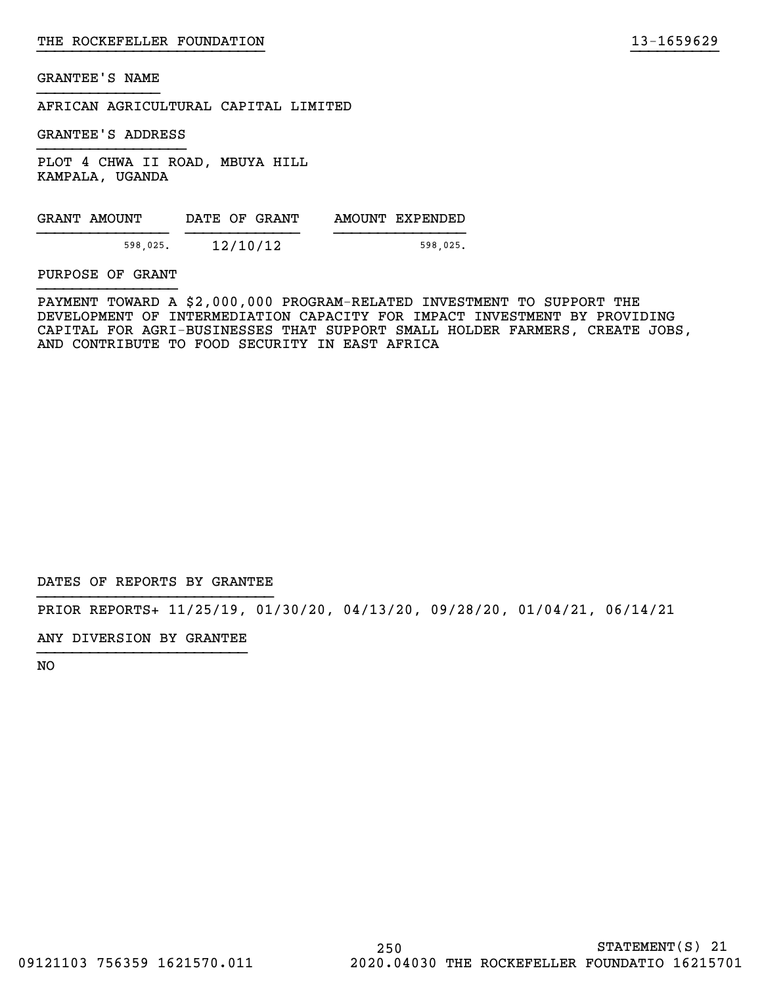AFRICAN AGRICULTURAL CAPITAL LIMITED

GRANTEE'S ADDRESS

PLOT 4 CHWA II ROAD, MBUYA HILL KAMPALA, UGANDA

| GRANT AMOUNT |          | DATE OF GRANT | AMOUNT EXPENDED |
|--------------|----------|---------------|-----------------|
|              | 598,025. | 12/10/12      | 598.025.        |

PURPOSE OF GRANT

PAYMENT TOWARD A \$2,000,000 PROGRAM-RELATED INVESTMENT TO SUPPORT THE DEVELOPMENT OF INTERMEDIATION CAPACITY FOR IMPACT INVESTMENT BY PROVIDING CAPITAL FOR AGRI-BUSINESSES THAT SUPPORT SMALL HOLDER FARMERS, CREATE JOBS, AND CONTRIBUTE TO FOOD SECURITY IN EAST AFRICA

}}}}}}}}}}}}}}}}}}}}}}}}}} }}}}}}}}}}

DATES OF REPORTS BY GRANTEE

PRIOR REPORTS+ 11/25/19, 01/30/20, 04/13/20, 09/28/20, 01/04/21, 06/14/21

ANY DIVERSION BY GRANTEE }}}}}}}}}}}}}}}}}}}}}}}}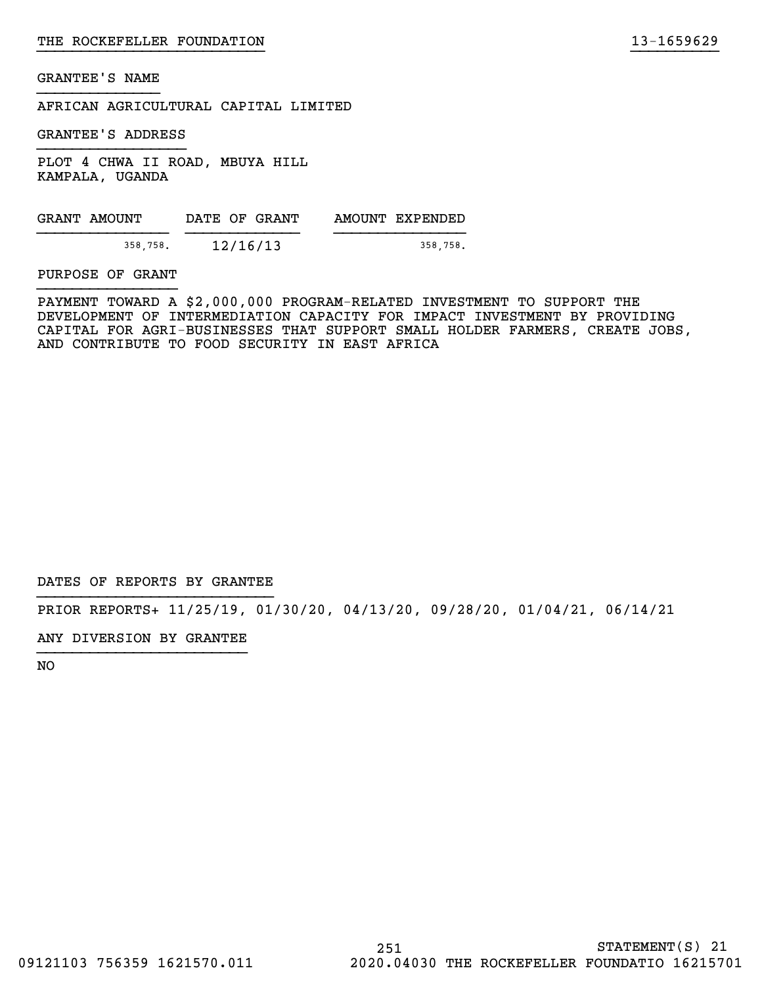AFRICAN AGRICULTURAL CAPITAL LIMITED

GRANTEE'S ADDRESS

PLOT 4 CHWA II ROAD, MBUYA HILL KAMPALA, UGANDA

| GRANT AMOUNT | DATE OF GRANT | AMOUNT EXPENDED |
|--------------|---------------|-----------------|
| 358,758.     | 12/16/13      | 358.758.        |

PURPOSE OF GRANT

PAYMENT TOWARD A \$2,000,000 PROGRAM-RELATED INVESTMENT TO SUPPORT THE DEVELOPMENT OF INTERMEDIATION CAPACITY FOR IMPACT INVESTMENT BY PROVIDING CAPITAL FOR AGRI-BUSINESSES THAT SUPPORT SMALL HOLDER FARMERS, CREATE JOBS, AND CONTRIBUTE TO FOOD SECURITY IN EAST AFRICA

}}}}}}}}}}}}}}}}}}}}}}}}}} }}}}}}}}}}

DATES OF REPORTS BY GRANTEE

PRIOR REPORTS+ 11/25/19, 01/30/20, 04/13/20, 09/28/20, 01/04/21, 06/14/21

ANY DIVERSION BY GRANTEE }}}}}}}}}}}}}}}}}}}}}}}}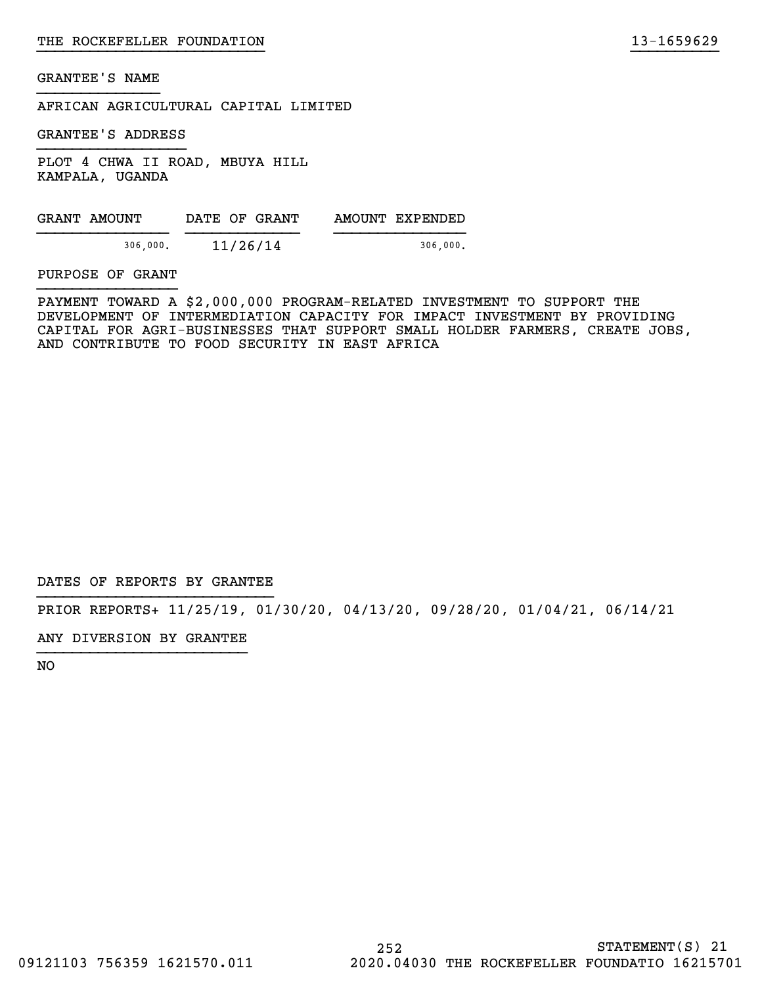AFRICAN AGRICULTURAL CAPITAL LIMITED

GRANTEE'S ADDRESS

PLOT 4 CHWA II ROAD, MBUYA HILL KAMPALA, UGANDA

| GRANT AMOUNT | DATE OF GRANT | AMOUNT EXPENDED |
|--------------|---------------|-----------------|
| 306,000.     | 11/26/14      | 306,000.        |

PURPOSE OF GRANT

PAYMENT TOWARD A \$2,000,000 PROGRAM-RELATED INVESTMENT TO SUPPORT THE DEVELOPMENT OF INTERMEDIATION CAPACITY FOR IMPACT INVESTMENT BY PROVIDING CAPITAL FOR AGRI-BUSINESSES THAT SUPPORT SMALL HOLDER FARMERS, CREATE JOBS, AND CONTRIBUTE TO FOOD SECURITY IN EAST AFRICA

}}}}}}}}}}}}}}}}}}}}}}}}}} }}}}}}}}}}

DATES OF REPORTS BY GRANTEE

PRIOR REPORTS+ 11/25/19, 01/30/20, 04/13/20, 09/28/20, 01/04/21, 06/14/21

ANY DIVERSION BY GRANTEE }}}}}}}}}}}}}}}}}}}}}}}}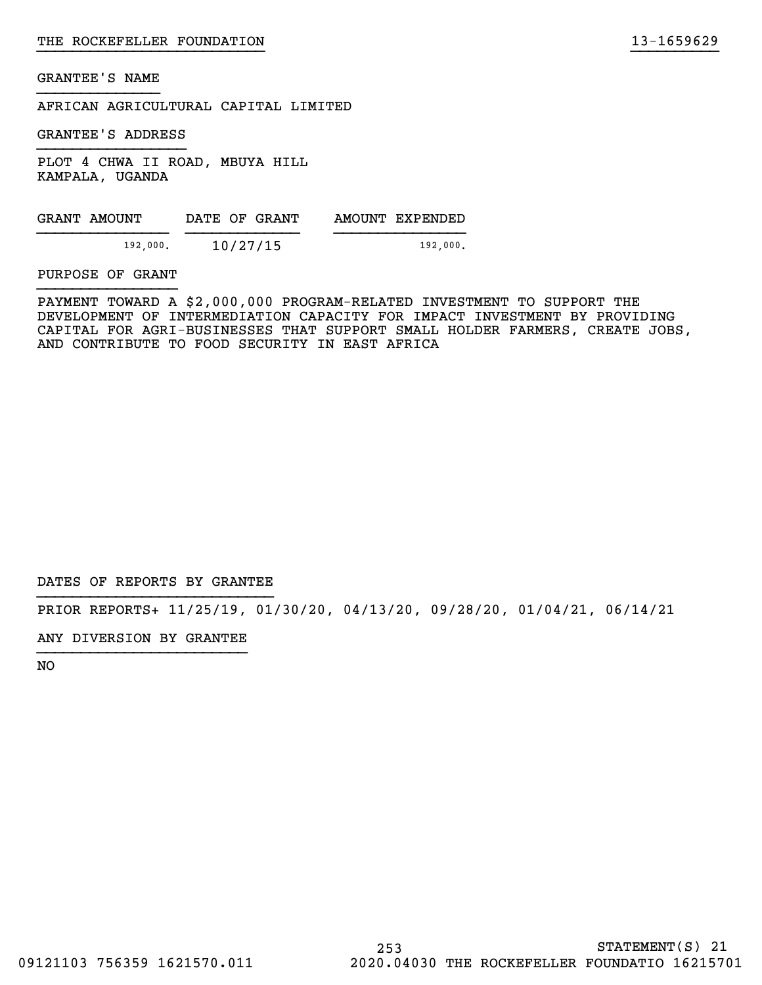AFRICAN AGRICULTURAL CAPITAL LIMITED

GRANTEE'S ADDRESS

PLOT 4 CHWA II ROAD, MBUYA HILL KAMPALA, UGANDA

| 192,000. |
|----------|
|          |

PURPOSE OF GRANT

PAYMENT TOWARD A \$2,000,000 PROGRAM-RELATED INVESTMENT TO SUPPORT THE DEVELOPMENT OF INTERMEDIATION CAPACITY FOR IMPACT INVESTMENT BY PROVIDING CAPITAL FOR AGRI-BUSINESSES THAT SUPPORT SMALL HOLDER FARMERS, CREATE JOBS, AND CONTRIBUTE TO FOOD SECURITY IN EAST AFRICA

}}}}}}}}}}}}}}}}}}}}}}}}}} }}}}}}}}}}

DATES OF REPORTS BY GRANTEE

PRIOR REPORTS+ 11/25/19, 01/30/20, 04/13/20, 09/28/20, 01/04/21, 06/14/21

ANY DIVERSION BY GRANTEE }}}}}}}}}}}}}}}}}}}}}}}}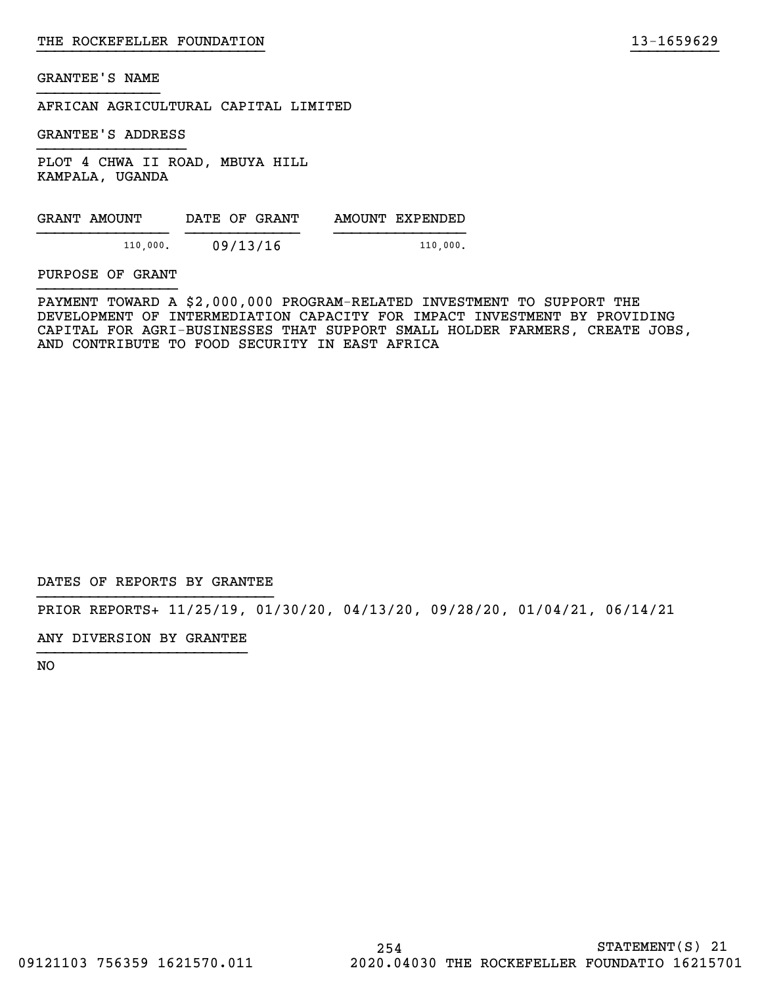AFRICAN AGRICULTURAL CAPITAL LIMITED

GRANTEE'S ADDRESS

PLOT 4 CHWA II ROAD, MBUYA HILL KAMPALA, UGANDA

| GRANT AMOUNT |          | DATE OF GRANT | AMOUNT EXPENDED |
|--------------|----------|---------------|-----------------|
|              | 110,000. | 09/13/16      | 110,000.        |

PURPOSE OF GRANT

PAYMENT TOWARD A \$2,000,000 PROGRAM-RELATED INVESTMENT TO SUPPORT THE DEVELOPMENT OF INTERMEDIATION CAPACITY FOR IMPACT INVESTMENT BY PROVIDING CAPITAL FOR AGRI-BUSINESSES THAT SUPPORT SMALL HOLDER FARMERS, CREATE JOBS, AND CONTRIBUTE TO FOOD SECURITY IN EAST AFRICA

}}}}}}}}}}}}}}}}}}}}}}}}}} }}}}}}}}}}

DATES OF REPORTS BY GRANTEE

PRIOR REPORTS+ 11/25/19, 01/30/20, 04/13/20, 09/28/20, 01/04/21, 06/14/21

ANY DIVERSION BY GRANTEE }}}}}}}}}}}}}}}}}}}}}}}}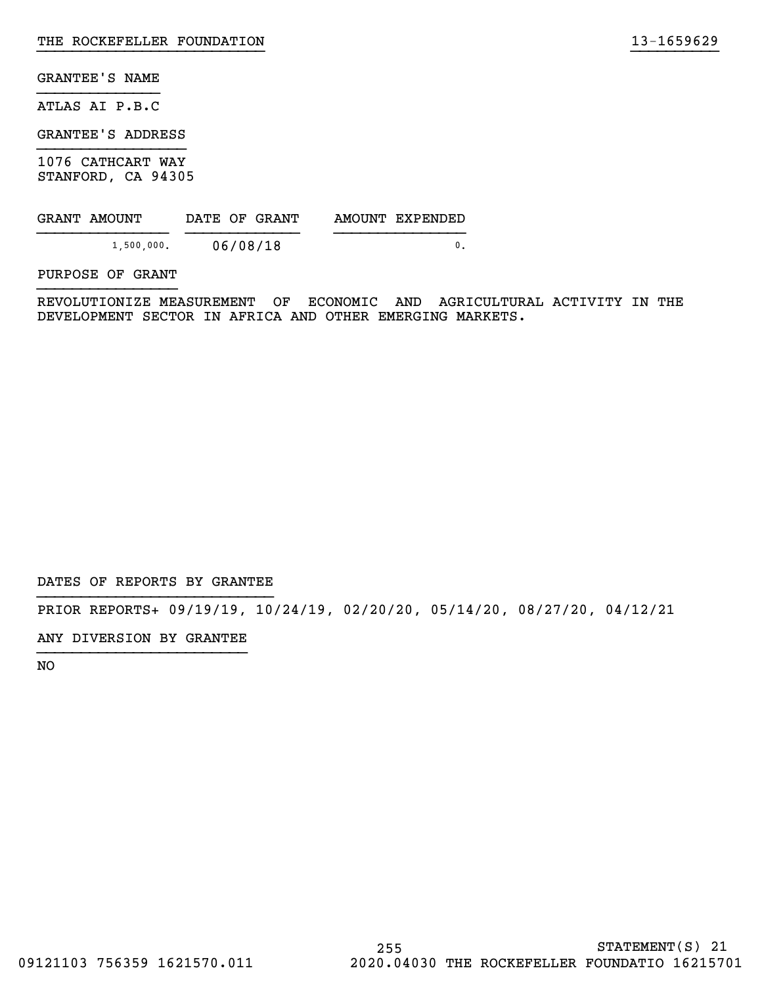ATLAS AI P.B.C

GRANTEE'S ADDRESS

1076 CATHCART WAY STANFORD, CA 94305

| GRANT AMOUNT | DATE OF GRANT | AMOUNT EXPENDED |
|--------------|---------------|-----------------|
| 1,500,000.   | 06/08/18      |                 |

PURPOSE OF GRANT

REVOLUTIONIZE MEASUREMENT OF ECONOMIC AND AGRICULTURAL ACTIVITY IN THE DEVELOPMENT SECTOR IN AFRICA AND OTHER EMERGING MARKETS.

}}}}}}}}}}}}}}}}}}}}}}}}}} }}}}}}}}}}

DATES OF REPORTS BY GRANTEE

PRIOR REPORTS+ 09/19/19, 10/24/19, 02/20/20, 05/14/20, 08/27/20, 04/12/21

ANY DIVERSION BY GRANTEE }}}}}}}}}}}}}}}}}}}}}}}}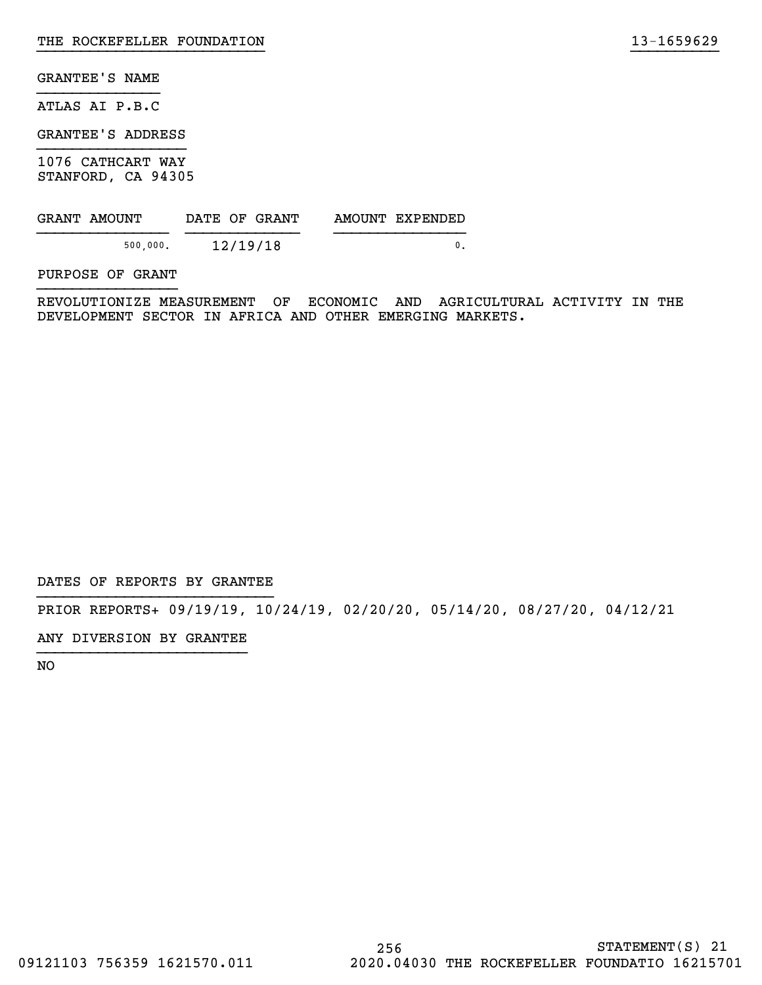ATLAS AI P.B.C

GRANTEE'S ADDRESS

1076 CATHCART WAY STANFORD, CA 94305

| GRANT AMOUNT | DATE OF GRANT | AMOUNT EXPENDED |
|--------------|---------------|-----------------|
| 500,000.     | 12/19/18      |                 |

PURPOSE OF GRANT

REVOLUTIONIZE MEASUREMENT OF ECONOMIC AND AGRICULTURAL ACTIVITY IN THE DEVELOPMENT SECTOR IN AFRICA AND OTHER EMERGING MARKETS.

}}}}}}}}}}}}}}}}}}}}}}}}}} }}}}}}}}}}

DATES OF REPORTS BY GRANTEE

PRIOR REPORTS+ 09/19/19, 10/24/19, 02/20/20, 05/14/20, 08/27/20, 04/12/21

ANY DIVERSION BY GRANTEE }}}}}}}}}}}}}}}}}}}}}}}}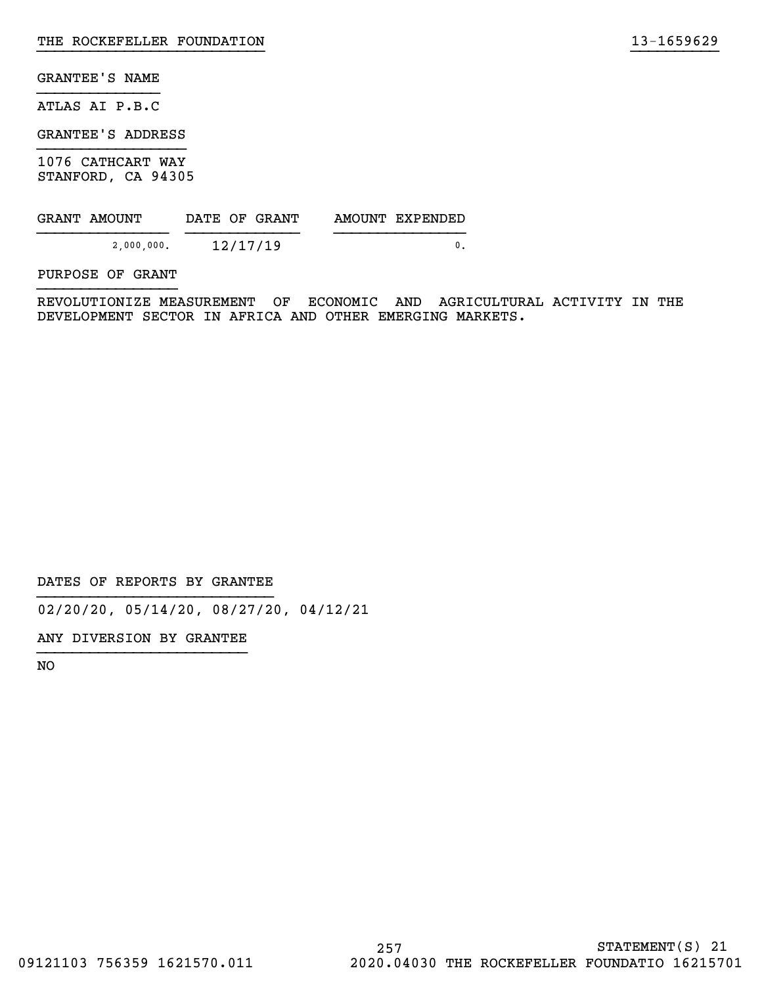ATLAS AI P.B.C

GRANTEE'S ADDRESS

1076 CATHCART WAY STANFORD, CA 94305

| GRANT AMOUNT |            |  | DATE OF GRANT | AMOUNT EXPENDED |  |
|--------------|------------|--|---------------|-----------------|--|
|              | 2,000,000. |  | 12/17/19      |                 |  |

PURPOSE OF GRANT

REVOLUTIONIZE MEASUREMENT OF ECONOMIC AND AGRICULTURAL ACTIVITY IN THE DEVELOPMENT SECTOR IN AFRICA AND OTHER EMERGING MARKETS.

}}}}}}}}}}}}}}}}}}}}}}}}}} }}}}}}}}}}

DATES OF REPORTS BY GRANTEE

02/20/20, 05/14/20, 08/27/20, 04/12/21

ANY DIVERSION BY GRANTEE }}}}}}}}}}}}}}}}}}}}}}}}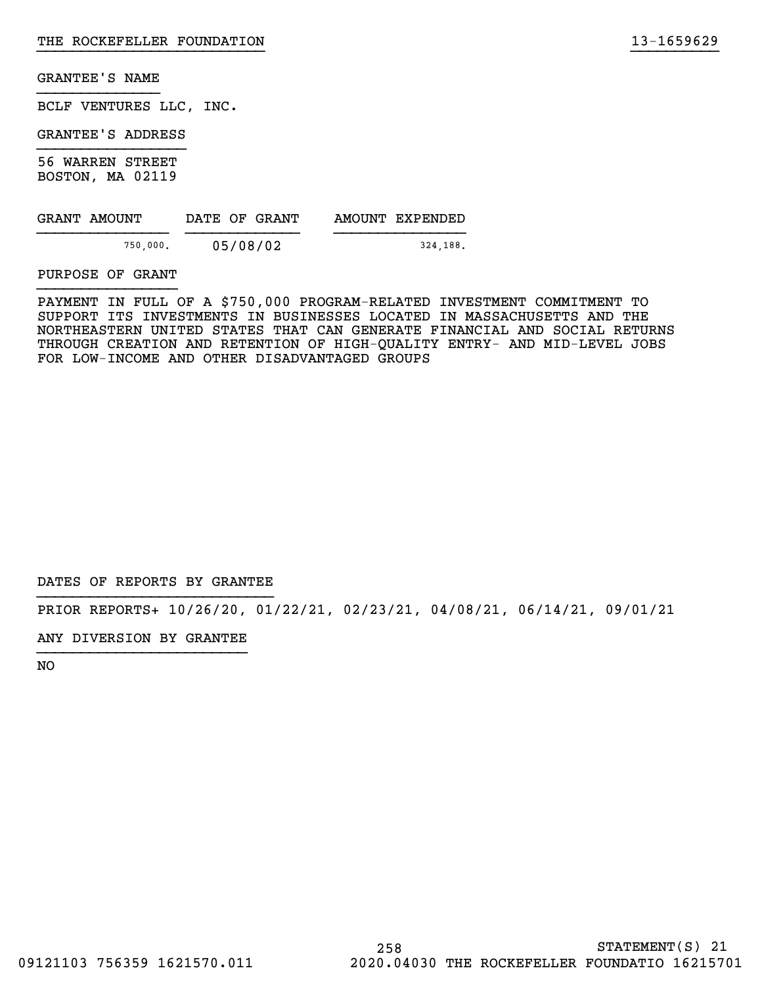BCLF VENTURES LLC, INC.

GRANTEE'S ADDRESS

56 WARREN STREET BOSTON, MA 02119

| GRANT AMOUNT | DATE OF GRANT | AMOUNT EXPENDED |
|--------------|---------------|-----------------|
| 750,000.     | 05/08/02      | 324.188.        |

PURPOSE OF GRANT

PAYMENT IN FULL OF A \$750,000 PROGRAM-RELATED INVESTMENT COMMITMENT TO SUPPORT ITS INVESTMENTS IN BUSINESSES LOCATED IN MASSACHUSETTS AND THE NORTHEASTERN UNITED STATES THAT CAN GENERATE FINANCIAL AND SOCIAL RETURNS THROUGH CREATION AND RETENTION OF HIGH-QUALITY ENTRY- AND MID-LEVEL JOBS FOR LOW-INCOME AND OTHER DISADVANTAGED GROUPS

}}}}}}}}}}}}}}}}}}}}}}}}}} }}}}}}}}}}

DATES OF REPORTS BY GRANTEE

PRIOR REPORTS+ 10/26/20, 01/22/21, 02/23/21, 04/08/21, 06/14/21, 09/01/21

ANY DIVERSION BY GRANTEE }}}}}}}}}}}}}}}}}}}}}}}}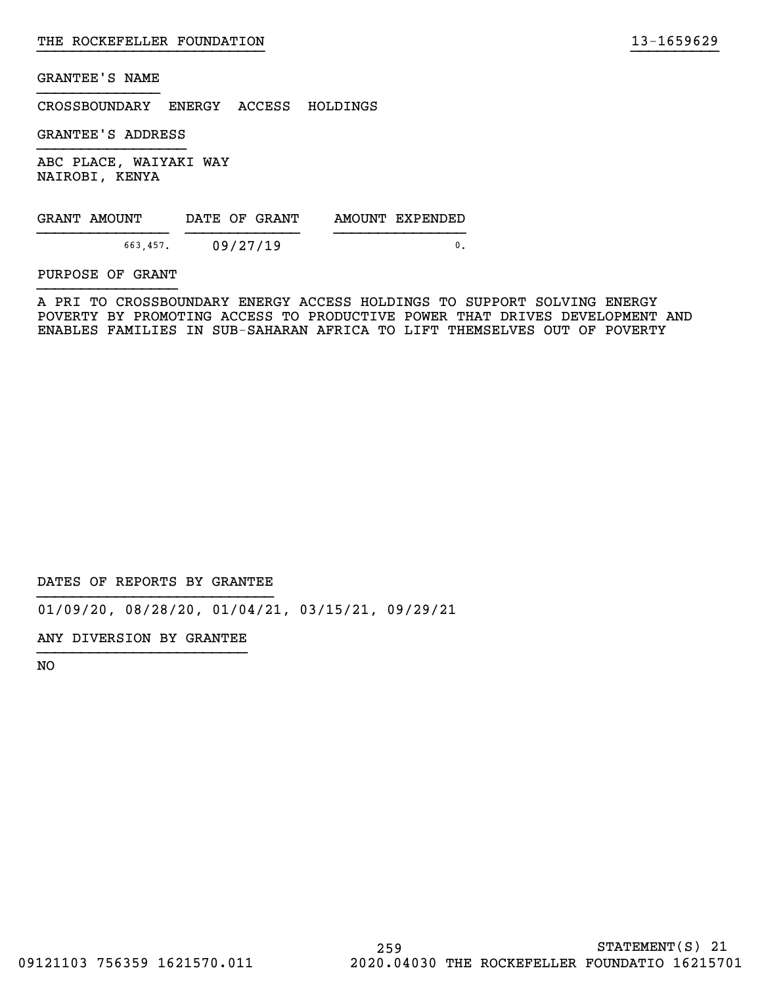CROSSBOUNDARY ENERGY ACCESS HOLDINGS

GRANTEE'S ADDRESS

ABC PLACE, WAIYAKI WAY NAIROBI, KENYA

| GRANT AMOUNT | DATE OF GRANT | AMOUNT EXPENDED |
|--------------|---------------|-----------------|
| 663.457.     | 09/27/19      |                 |

PURPOSE OF GRANT

A PRI TO CROSSBOUNDARY ENERGY ACCESS HOLDINGS TO SUPPORT SOLVING ENERGY POVERTY BY PROMOTING ACCESS TO PRODUCTIVE POWER THAT DRIVES DEVELOPMENT AND ENABLES FAMILIES IN SUB-SAHARAN AFRICA TO LIFT THEMSELVES OUT OF POVERTY

}}}}}}}}}}}}}}}}}}}}}}}}}} }}}}}}}}}}

DATES OF REPORTS BY GRANTEE

01/09/20, 08/28/20, 01/04/21, 03/15/21, 09/29/21

ANY DIVERSION BY GRANTEE }}}}}}}}}}}}}}}}}}}}}}}}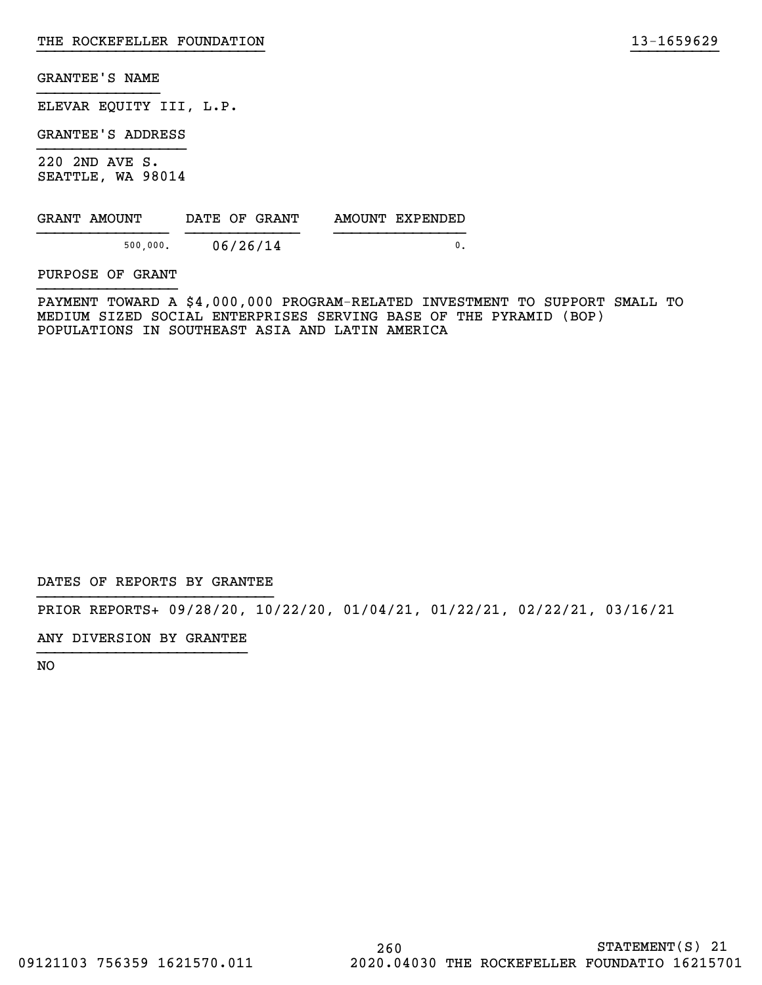ELEVAR EQUITY III, L.P.

GRANTEE'S ADDRESS

220 2ND AVE S. SEATTLE, WA 98014

| GRANT AMOUNT | DATE OF GRANT | AMOUNT EXPENDED |
|--------------|---------------|-----------------|
| 500.000.     | 06/26/14      |                 |

PURPOSE OF GRANT

PAYMENT TOWARD A \$4,000,000 PROGRAM-RELATED INVESTMENT TO SUPPORT SMALL TO MEDIUM SIZED SOCIAL ENTERPRISES SERVING BASE OF THE PYRAMID (BOP) POPULATIONS IN SOUTHEAST ASIA AND LATIN AMERICA

}}}}}}}}}}}}}}}}}}}}}}}}}} }}}}}}}}}}

DATES OF REPORTS BY GRANTEE

PRIOR REPORTS+ 09/28/20, 10/22/20, 01/04/21, 01/22/21, 02/22/21, 03/16/21

ANY DIVERSION BY GRANTEE }}}}}}}}}}}}}}}}}}}}}}}}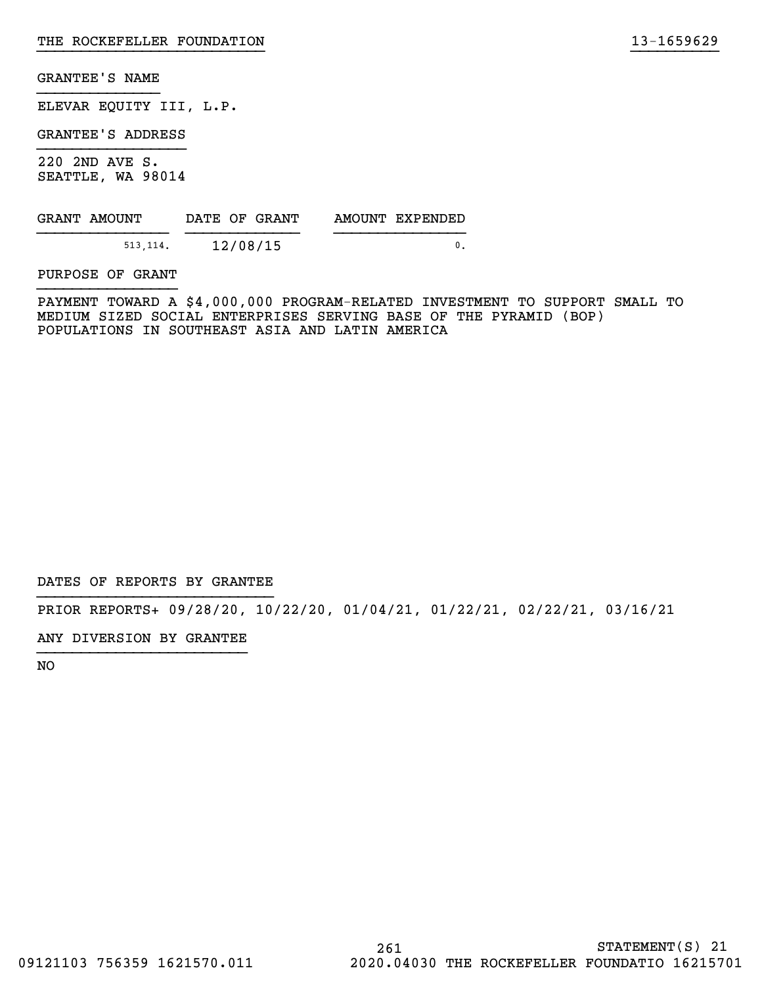ELEVAR EQUITY III, L.P.

GRANTEE'S ADDRESS

220 2ND AVE S. SEATTLE, WA 98014

| GRANT AMOUNT | DATE OF GRANT | AMOUNT EXPENDED |
|--------------|---------------|-----------------|
| 513.114.     | 12/08/15      |                 |

PURPOSE OF GRANT

PAYMENT TOWARD A \$4,000,000 PROGRAM-RELATED INVESTMENT TO SUPPORT SMALL TO MEDIUM SIZED SOCIAL ENTERPRISES SERVING BASE OF THE PYRAMID (BOP) POPULATIONS IN SOUTHEAST ASIA AND LATIN AMERICA

}}}}}}}}}}}}}}}}}}}}}}}}}} }}}}}}}}}}

DATES OF REPORTS BY GRANTEE

PRIOR REPORTS+ 09/28/20, 10/22/20, 01/04/21, 01/22/21, 02/22/21, 03/16/21

ANY DIVERSION BY GRANTEE }}}}}}}}}}}}}}}}}}}}}}}}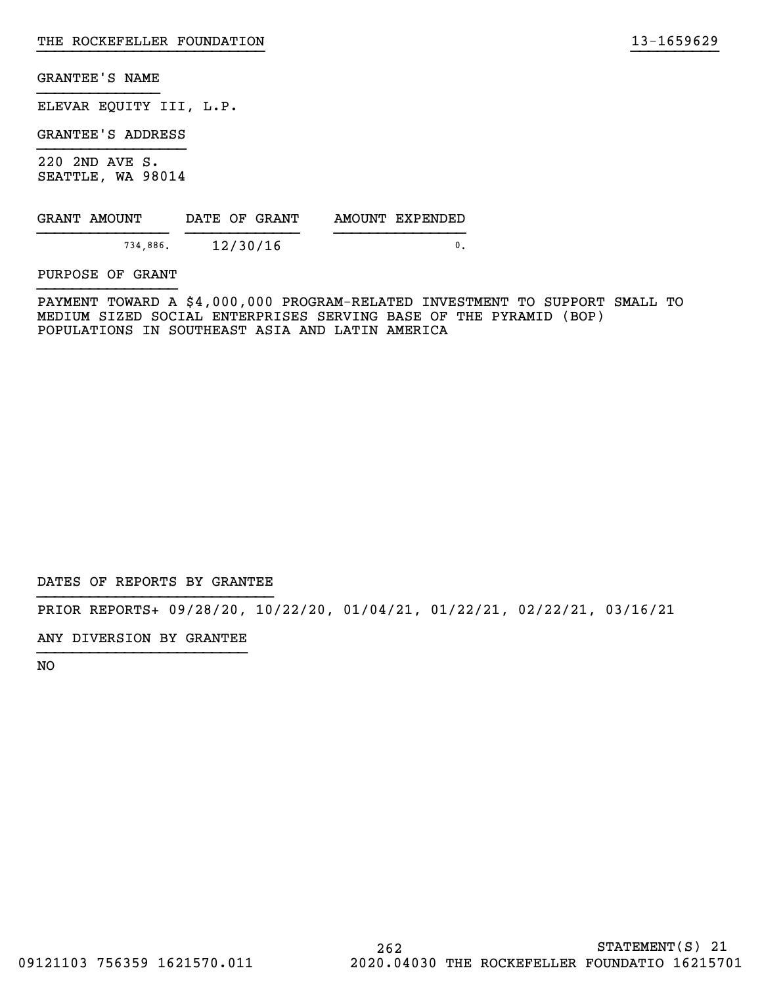ELEVAR EQUITY III, L.P.

GRANTEE'S ADDRESS

220 2ND AVE S. SEATTLE, WA 98014

| GRANT AMOUNT | DATE OF GRANT | AMOUNT EXPENDED |
|--------------|---------------|-----------------|
| 734,886.     | 12/30/16      |                 |

PURPOSE OF GRANT

PAYMENT TOWARD A \$4,000,000 PROGRAM-RELATED INVESTMENT TO SUPPORT SMALL TO MEDIUM SIZED SOCIAL ENTERPRISES SERVING BASE OF THE PYRAMID (BOP) POPULATIONS IN SOUTHEAST ASIA AND LATIN AMERICA

}}}}}}}}}}}}}}}}}}}}}}}}}} }}}}}}}}}}

DATES OF REPORTS BY GRANTEE

PRIOR REPORTS+ 09/28/20, 10/22/20, 01/04/21, 01/22/21, 02/22/21, 03/16/21

ANY DIVERSION BY GRANTEE }}}}}}}}}}}}}}}}}}}}}}}}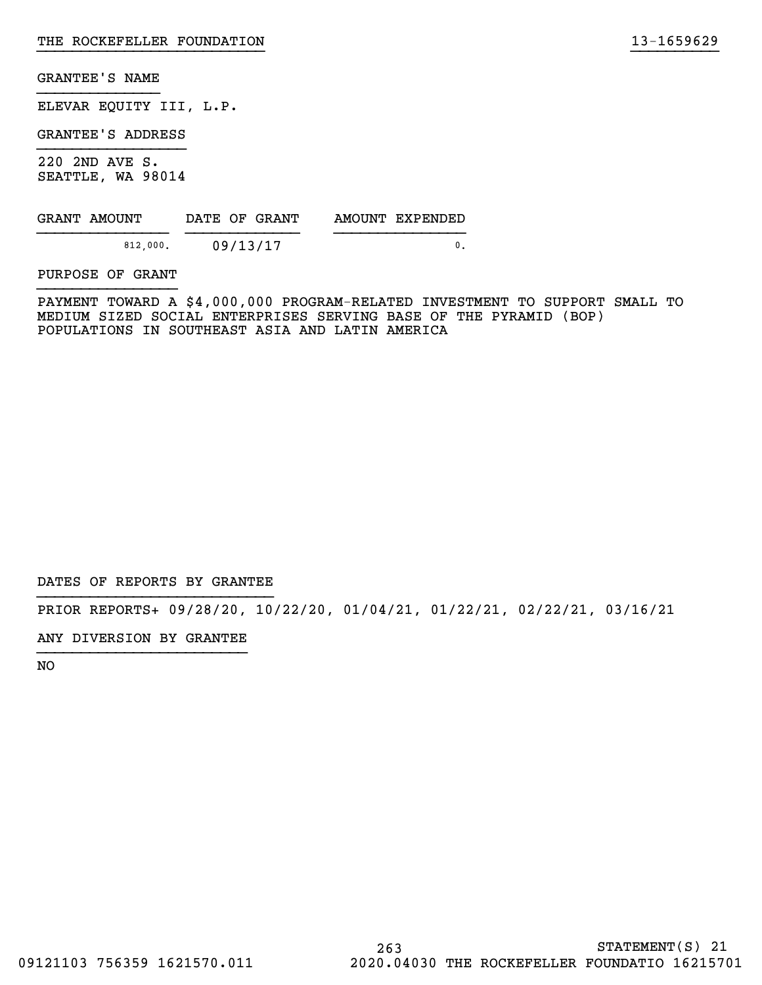ELEVAR EQUITY III, L.P.

GRANTEE'S ADDRESS

220 2ND AVE S. SEATTLE, WA 98014

| GRANT AMOUNT |          | DATE OF GRANT | AMOUNT EXPENDED |
|--------------|----------|---------------|-----------------|
|              | 812,000. | 09/13/17      |                 |

PURPOSE OF GRANT

PAYMENT TOWARD A \$4,000,000 PROGRAM-RELATED INVESTMENT TO SUPPORT SMALL TO MEDIUM SIZED SOCIAL ENTERPRISES SERVING BASE OF THE PYRAMID (BOP) POPULATIONS IN SOUTHEAST ASIA AND LATIN AMERICA

}}}}}}}}}}}}}}}}}}}}}}}}}} }}}}}}}}}}

DATES OF REPORTS BY GRANTEE

PRIOR REPORTS+ 09/28/20, 10/22/20, 01/04/21, 01/22/21, 02/22/21, 03/16/21

ANY DIVERSION BY GRANTEE }}}}}}}}}}}}}}}}}}}}}}}}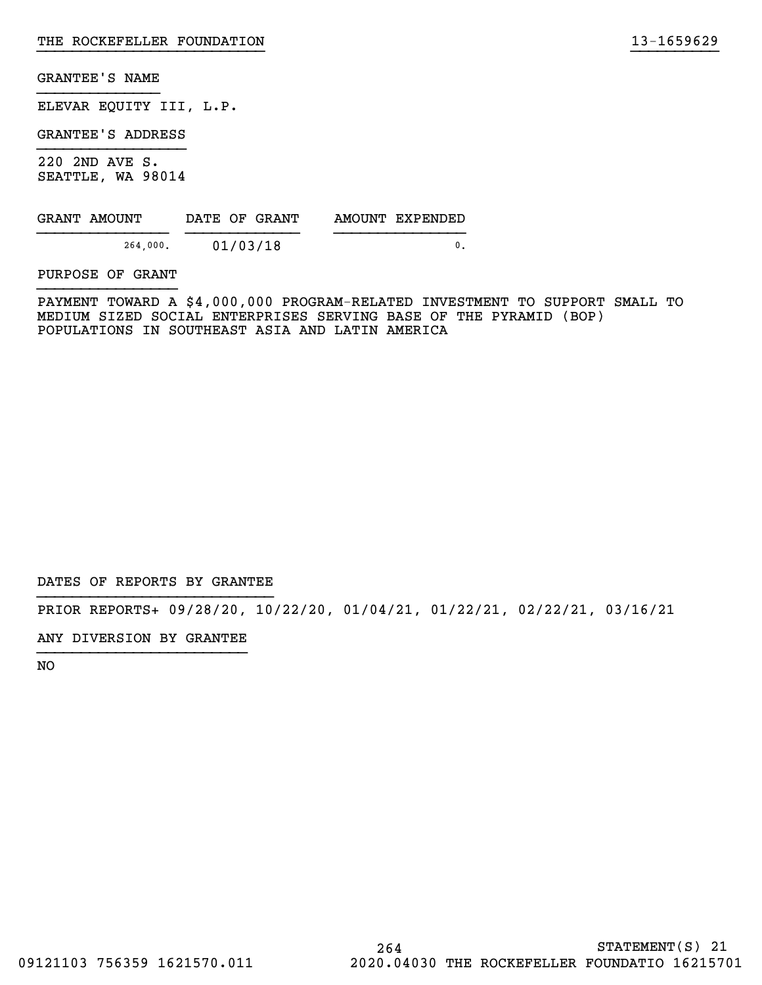ELEVAR EQUITY III, L.P.

GRANTEE'S ADDRESS

220 2ND AVE S. SEATTLE, WA 98014

| GRANT AMOUNT | DATE OF GRANT | AMOUNT EXPENDED |
|--------------|---------------|-----------------|
| 264.000.     | 01/03/18      |                 |

PURPOSE OF GRANT

PAYMENT TOWARD A \$4,000,000 PROGRAM-RELATED INVESTMENT TO SUPPORT SMALL TO MEDIUM SIZED SOCIAL ENTERPRISES SERVING BASE OF THE PYRAMID (BOP) POPULATIONS IN SOUTHEAST ASIA AND LATIN AMERICA

}}}}}}}}}}}}}}}}}}}}}}}}}} }}}}}}}}}}

DATES OF REPORTS BY GRANTEE

PRIOR REPORTS+ 09/28/20, 10/22/20, 01/04/21, 01/22/21, 02/22/21, 03/16/21

ANY DIVERSION BY GRANTEE }}}}}}}}}}}}}}}}}}}}}}}}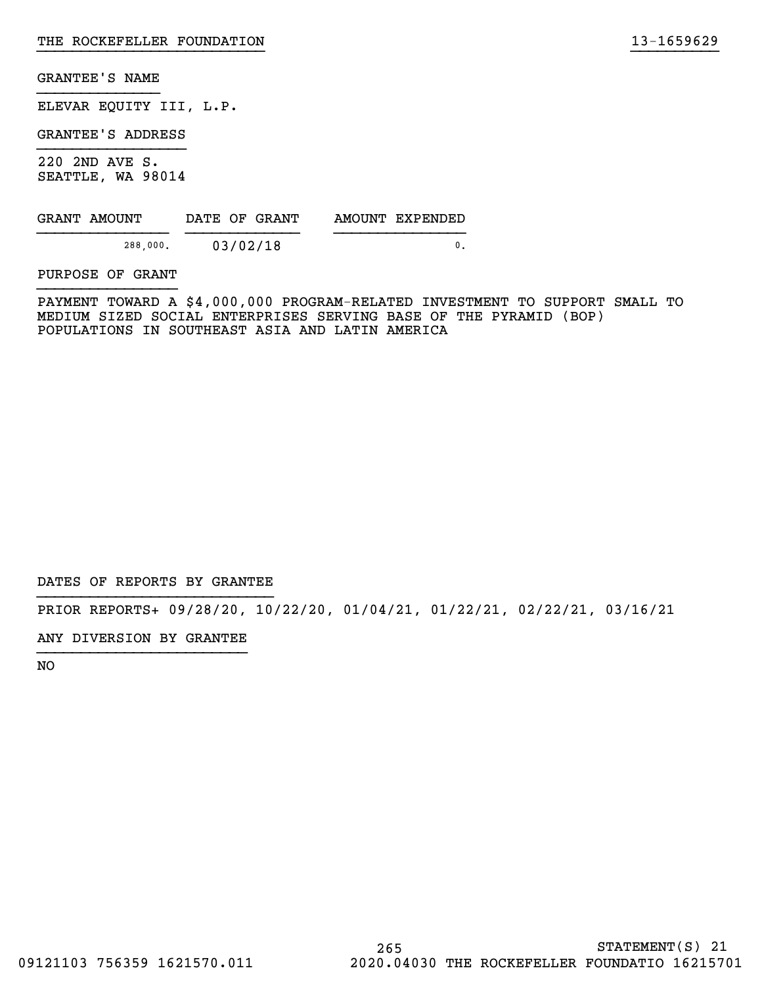ELEVAR EQUITY III, L.P.

GRANTEE'S ADDRESS

220 2ND AVE S. SEATTLE, WA 98014

| GRANT AMOUNT |          | DATE OF GRANT |  | AMOUNT EXPENDED |  |
|--------------|----------|---------------|--|-----------------|--|
|              | 288.000. | 03/02/18      |  |                 |  |

PURPOSE OF GRANT

PAYMENT TOWARD A \$4,000,000 PROGRAM-RELATED INVESTMENT TO SUPPORT SMALL TO MEDIUM SIZED SOCIAL ENTERPRISES SERVING BASE OF THE PYRAMID (BOP) POPULATIONS IN SOUTHEAST ASIA AND LATIN AMERICA

}}}}}}}}}}}}}}}}}}}}}}}}}} }}}}}}}}}}

DATES OF REPORTS BY GRANTEE

PRIOR REPORTS+ 09/28/20, 10/22/20, 01/04/21, 01/22/21, 02/22/21, 03/16/21

ANY DIVERSION BY GRANTEE }}}}}}}}}}}}}}}}}}}}}}}}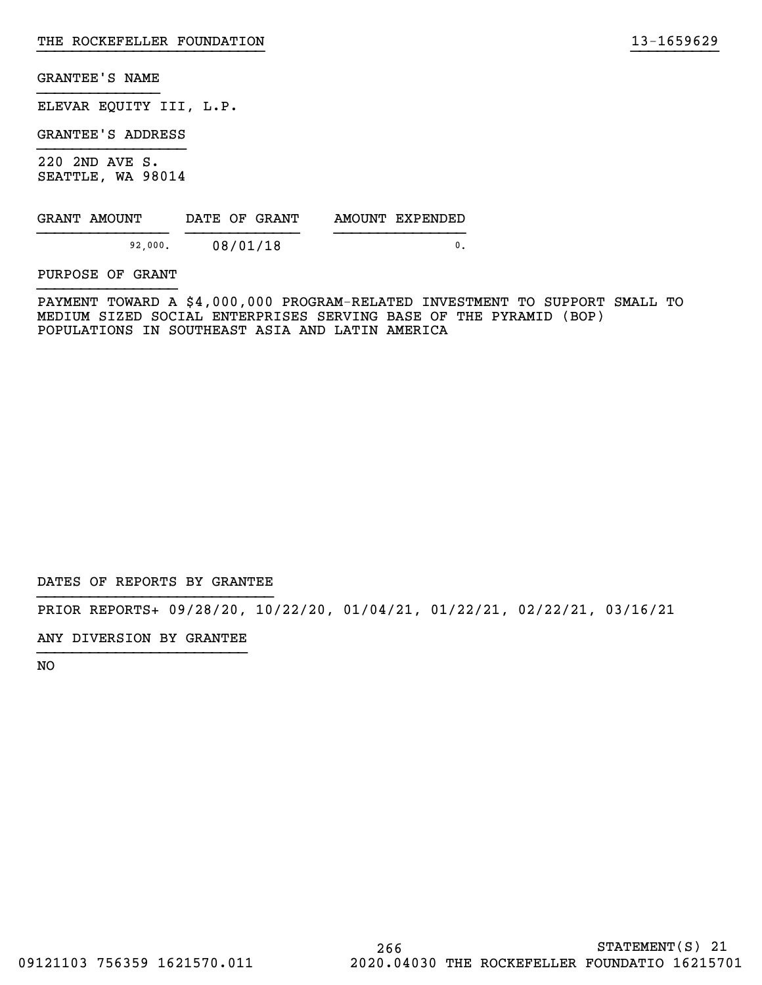ELEVAR EQUITY III, L.P.

GRANTEE'S ADDRESS

220 2ND AVE S. SEATTLE, WA 98014

| GRANT AMOUNT | DATE OF GRANT | AMOUNT EXPENDED |
|--------------|---------------|-----------------|
| 92,000.      | 08/01/18      |                 |

PURPOSE OF GRANT

PAYMENT TOWARD A \$4,000,000 PROGRAM-RELATED INVESTMENT TO SUPPORT SMALL TO MEDIUM SIZED SOCIAL ENTERPRISES SERVING BASE OF THE PYRAMID (BOP) POPULATIONS IN SOUTHEAST ASIA AND LATIN AMERICA

}}}}}}}}}}}}}}}}}}}}}}}}}} }}}}}}}}}}

DATES OF REPORTS BY GRANTEE

PRIOR REPORTS+ 09/28/20, 10/22/20, 01/04/21, 01/22/21, 02/22/21, 03/16/21

ANY DIVERSION BY GRANTEE }}}}}}}}}}}}}}}}}}}}}}}}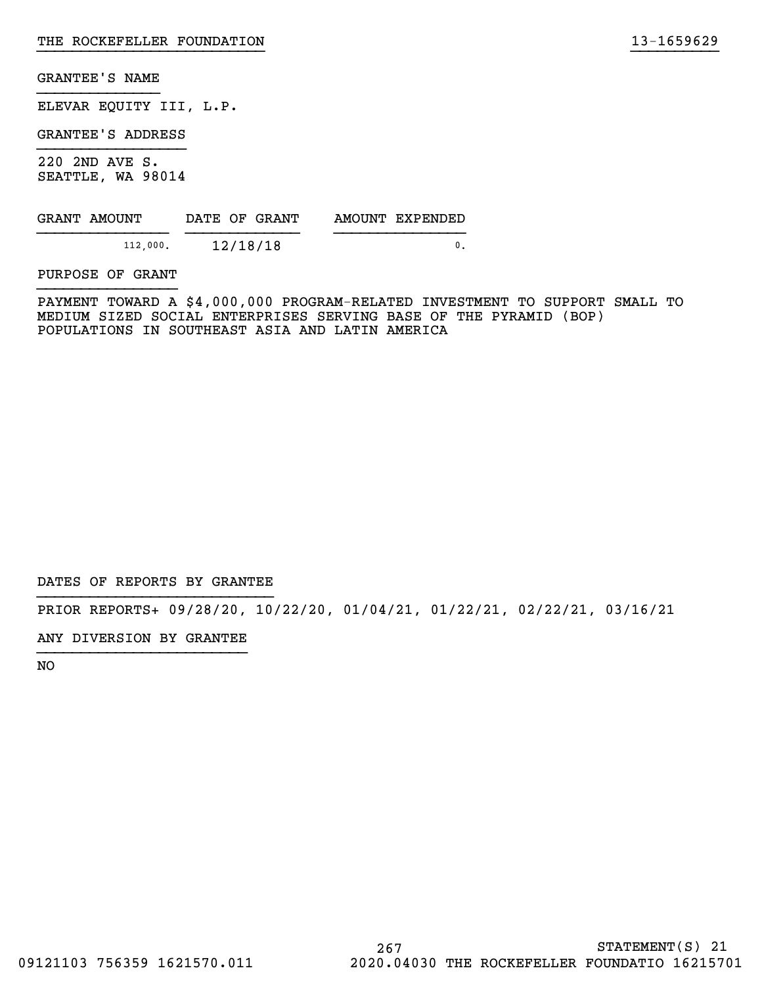ELEVAR EQUITY III, L.P.

GRANTEE'S ADDRESS

220 2ND AVE S. SEATTLE, WA 98014

| GRANT AMOUNT | DATE OF GRANT | AMOUNT EXPENDED |
|--------------|---------------|-----------------|
| 112,000.     | 12/18/18      |                 |

PURPOSE OF GRANT

PAYMENT TOWARD A \$4,000,000 PROGRAM-RELATED INVESTMENT TO SUPPORT SMALL TO MEDIUM SIZED SOCIAL ENTERPRISES SERVING BASE OF THE PYRAMID (BOP) POPULATIONS IN SOUTHEAST ASIA AND LATIN AMERICA

}}}}}}}}}}}}}}}}}}}}}}}}}} }}}}}}}}}}

DATES OF REPORTS BY GRANTEE

PRIOR REPORTS+ 09/28/20, 10/22/20, 01/04/21, 01/22/21, 02/22/21, 03/16/21

ANY DIVERSION BY GRANTEE }}}}}}}}}}}}}}}}}}}}}}}}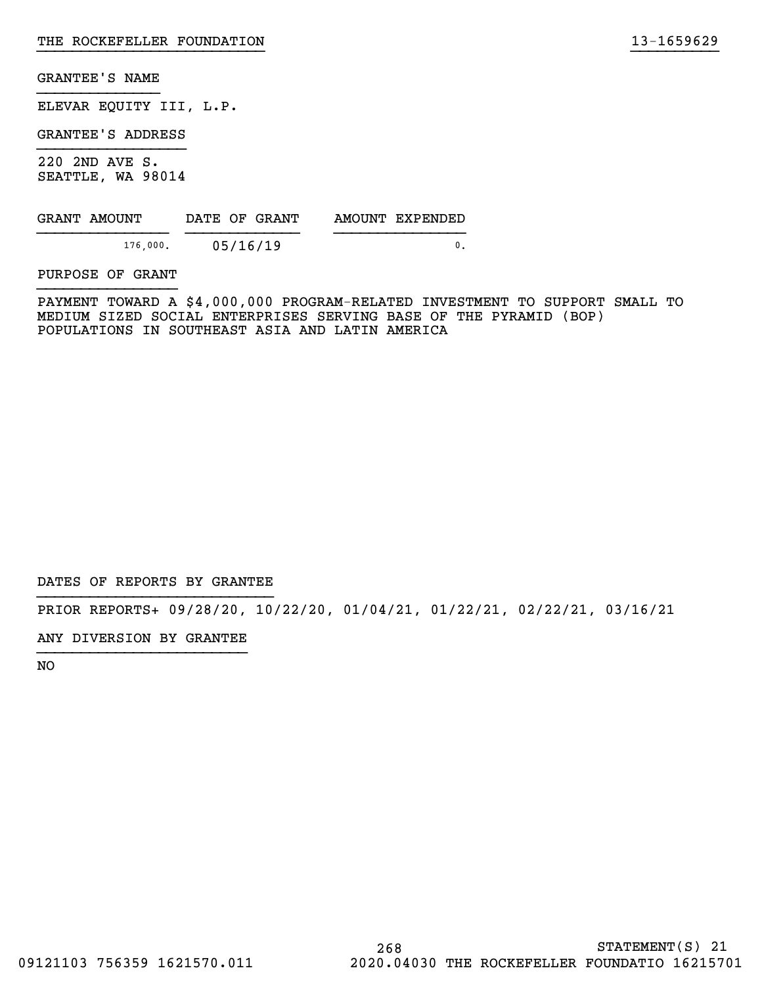ELEVAR EQUITY III, L.P.

GRANTEE'S ADDRESS

220 2ND AVE S. SEATTLE, WA 98014

| GRANT AMOUNT | DATE OF GRANT | AMOUNT EXPENDED |
|--------------|---------------|-----------------|
| 176,000.     | 05/16/19      |                 |

PURPOSE OF GRANT

PAYMENT TOWARD A \$4,000,000 PROGRAM-RELATED INVESTMENT TO SUPPORT SMALL TO MEDIUM SIZED SOCIAL ENTERPRISES SERVING BASE OF THE PYRAMID (BOP) POPULATIONS IN SOUTHEAST ASIA AND LATIN AMERICA

}}}}}}}}}}}}}}}}}}}}}}}}}} }}}}}}}}}}

DATES OF REPORTS BY GRANTEE

PRIOR REPORTS+ 09/28/20, 10/22/20, 01/04/21, 01/22/21, 02/22/21, 03/16/21

ANY DIVERSION BY GRANTEE }}}}}}}}}}}}}}}}}}}}}}}}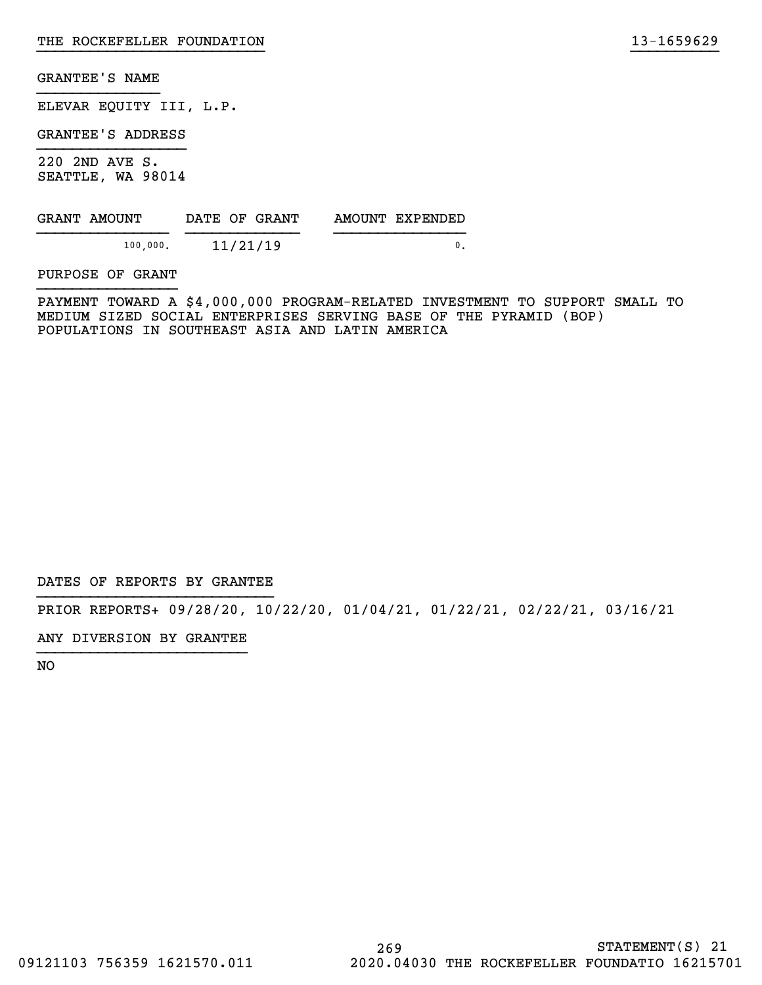ELEVAR EQUITY III, L.P.

GRANTEE'S ADDRESS

220 2ND AVE S. SEATTLE, WA 98014

| GRANT AMOUNT | DATE OF GRANT | AMOUNT EXPENDED |
|--------------|---------------|-----------------|
| 100.000.     | 11/21/19      |                 |

PURPOSE OF GRANT

PAYMENT TOWARD A \$4,000,000 PROGRAM-RELATED INVESTMENT TO SUPPORT SMALL TO MEDIUM SIZED SOCIAL ENTERPRISES SERVING BASE OF THE PYRAMID (BOP) POPULATIONS IN SOUTHEAST ASIA AND LATIN AMERICA

}}}}}}}}}}}}}}}}}}}}}}}}}} }}}}}}}}}}

DATES OF REPORTS BY GRANTEE

PRIOR REPORTS+ 09/28/20, 10/22/20, 01/04/21, 01/22/21, 02/22/21, 03/16/21

ANY DIVERSION BY GRANTEE }}}}}}}}}}}}}}}}}}}}}}}}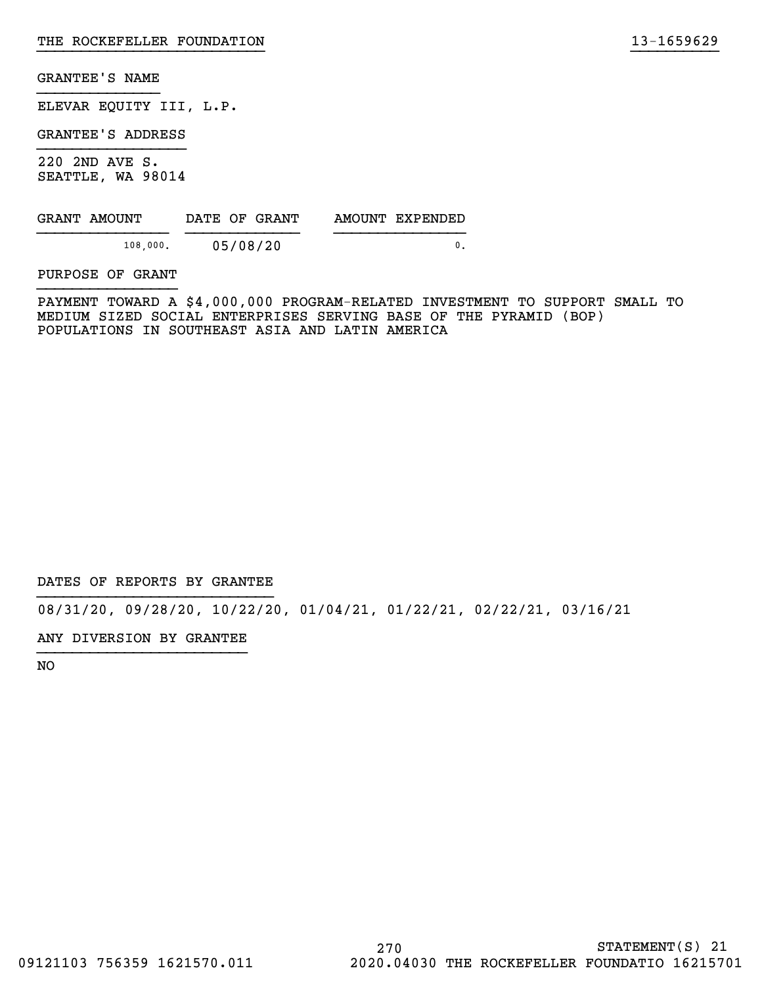ELEVAR EQUITY III, L.P.

GRANTEE'S ADDRESS

220 2ND AVE S. SEATTLE, WA 98014

| GRANT AMOUNT | DATE OF GRANT | AMOUNT EXPENDED |
|--------------|---------------|-----------------|
| 108,000.     | 05/08/20      |                 |

PURPOSE OF GRANT

PAYMENT TOWARD A \$4,000,000 PROGRAM-RELATED INVESTMENT TO SUPPORT SMALL TO MEDIUM SIZED SOCIAL ENTERPRISES SERVING BASE OF THE PYRAMID (BOP) POPULATIONS IN SOUTHEAST ASIA AND LATIN AMERICA

}}}}}}}}}}}}}}}}}}}}}}}}}} }}}}}}}}}}

DATES OF REPORTS BY GRANTEE

08/31/20, 09/28/20, 10/22/20, 01/04/21, 01/22/21, 02/22/21, 03/16/21

ANY DIVERSION BY GRANTEE }}}}}}}}}}}}}}}}}}}}}}}}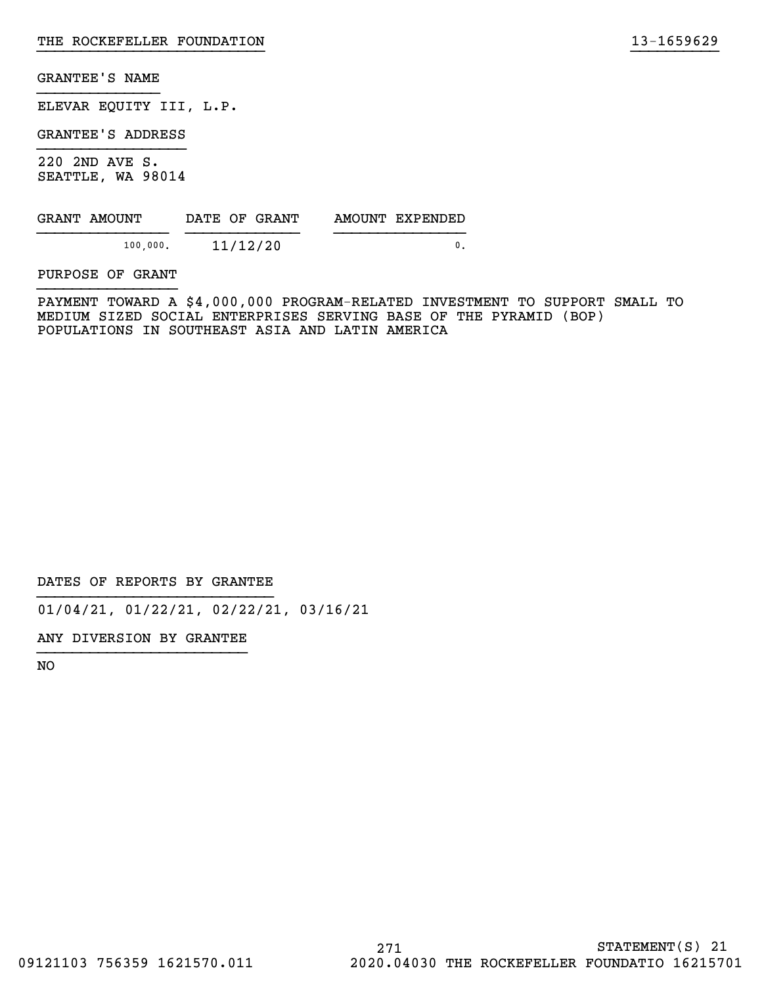ELEVAR EQUITY III, L.P.

GRANTEE'S ADDRESS

220 2ND AVE S. SEATTLE, WA 98014

| GRANT AMOUNT |          | DATE OF GRANT | AMOUNT EXPENDED |
|--------------|----------|---------------|-----------------|
|              | 100,000. | 11/12/20      |                 |

PURPOSE OF GRANT

PAYMENT TOWARD A \$4,000,000 PROGRAM-RELATED INVESTMENT TO SUPPORT SMALL TO MEDIUM SIZED SOCIAL ENTERPRISES SERVING BASE OF THE PYRAMID (BOP) POPULATIONS IN SOUTHEAST ASIA AND LATIN AMERICA

}}}}}}}}}}}}}}}}}}}}}}}}}} }}}}}}}}}}

DATES OF REPORTS BY GRANTEE

01/04/21, 01/22/21, 02/22/21, 03/16/21

ANY DIVERSION BY GRANTEE }}}}}}}}}}}}}}}}}}}}}}}}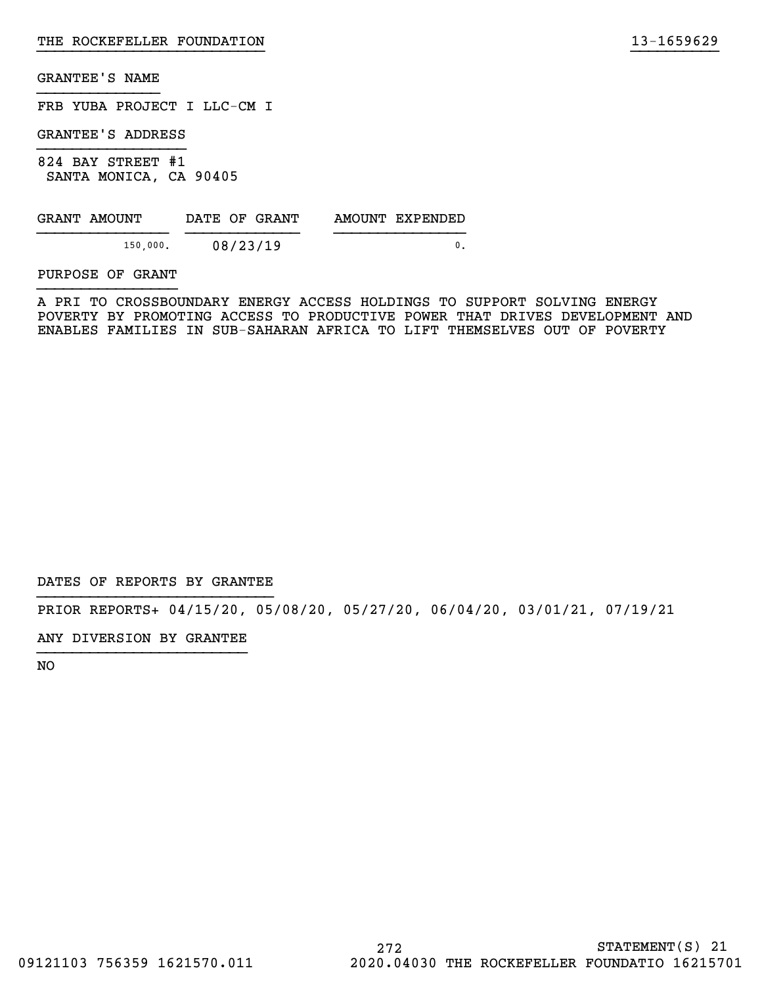FRB YUBA PROJECT I LLC-CM I

GRANTEE'S ADDRESS

824 BAY STREET #1 SANTA MONICA, CA 90405

| GRANT AMOUNT | DATE OF GRANT | AMOUNT EXPENDED |
|--------------|---------------|-----------------|
| 150.000.     | 08/23/19      |                 |

PURPOSE OF GRANT

A PRI TO CROSSBOUNDARY ENERGY ACCESS HOLDINGS TO SUPPORT SOLVING ENERGY POVERTY BY PROMOTING ACCESS TO PRODUCTIVE POWER THAT DRIVES DEVELOPMENT AND ENABLES FAMILIES IN SUB-SAHARAN AFRICA TO LIFT THEMSELVES OUT OF POVERTY

}}}}}}}}}}}}}}}}}}}}}}}}}} }}}}}}}}}}

DATES OF REPORTS BY GRANTEE

PRIOR REPORTS+ 04/15/20, 05/08/20, 05/27/20, 06/04/20, 03/01/21, 07/19/21

ANY DIVERSION BY GRANTEE }}}}}}}}}}}}}}}}}}}}}}}}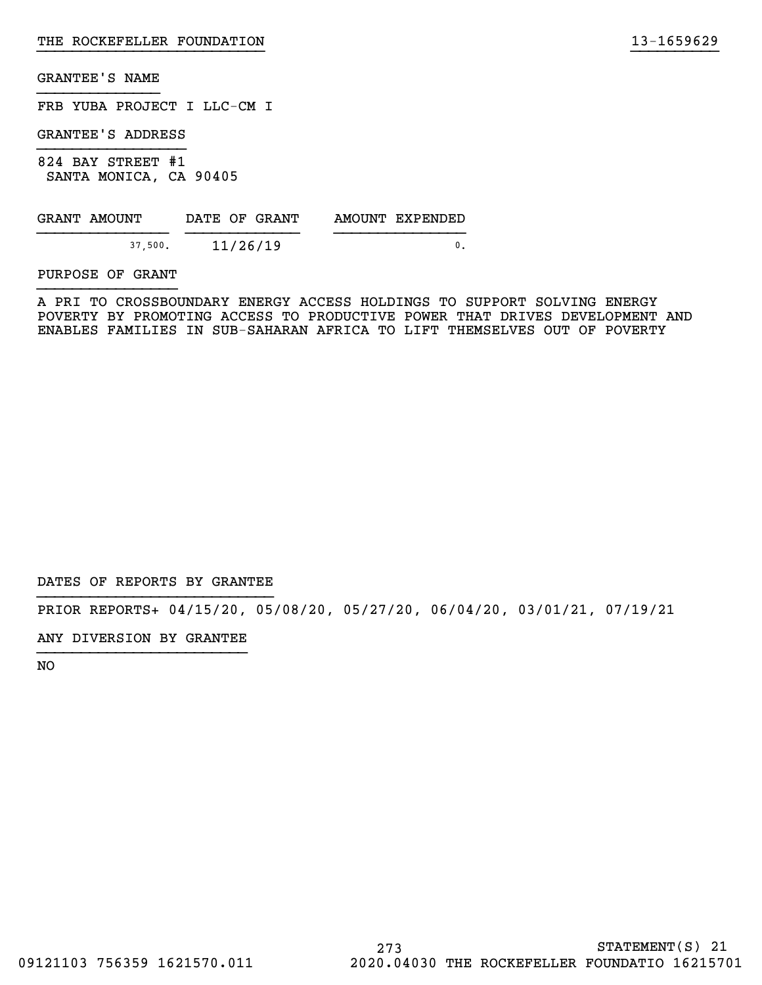FRB YUBA PROJECT I LLC-CM I

GRANTEE'S ADDRESS

824 BAY STREET #1 SANTA MONICA, CA 90405

| GRANT AMOUNT | DATE OF GRANT | AMOUNT EXPENDED |
|--------------|---------------|-----------------|
| 37.500.      | 11/26/19      |                 |

PURPOSE OF GRANT

A PRI TO CROSSBOUNDARY ENERGY ACCESS HOLDINGS TO SUPPORT SOLVING ENERGY POVERTY BY PROMOTING ACCESS TO PRODUCTIVE POWER THAT DRIVES DEVELOPMENT AND ENABLES FAMILIES IN SUB-SAHARAN AFRICA TO LIFT THEMSELVES OUT OF POVERTY

}}}}}}}}}}}}}}}}}}}}}}}}}} }}}}}}}}}}

DATES OF REPORTS BY GRANTEE

PRIOR REPORTS+ 04/15/20, 05/08/20, 05/27/20, 06/04/20, 03/01/21, 07/19/21

ANY DIVERSION BY GRANTEE }}}}}}}}}}}}}}}}}}}}}}}}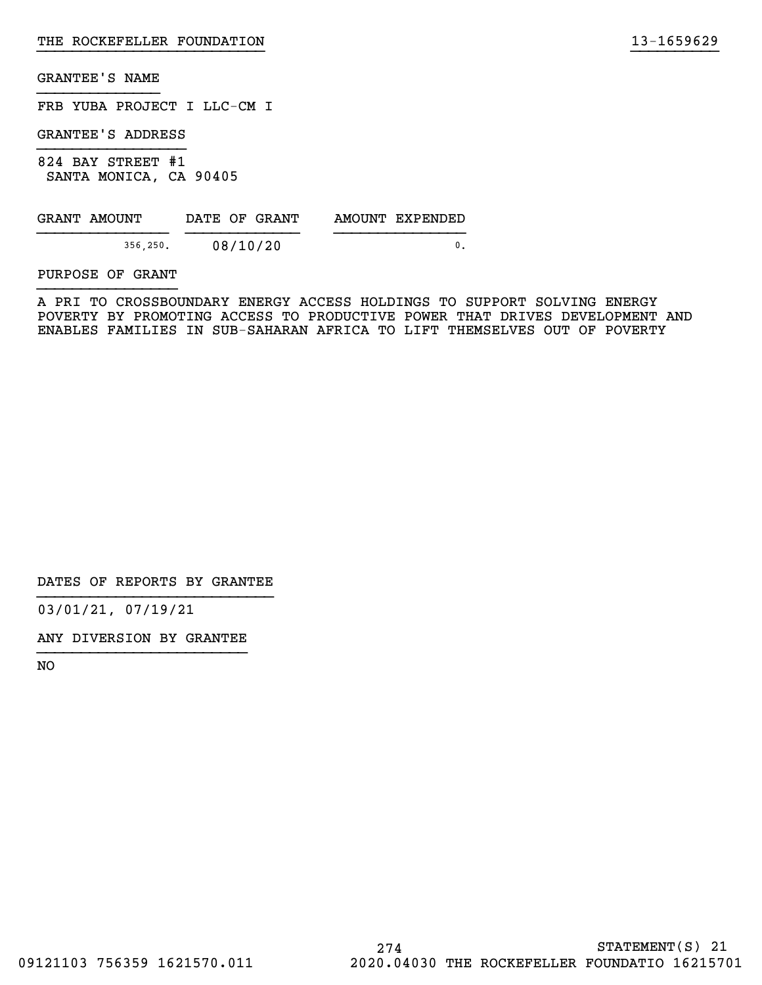FRB YUBA PROJECT I LLC-CM I

GRANTEE'S ADDRESS

824 BAY STREET #1 SANTA MONICA, CA 90405

| GRANT AMOUNT | DATE OF GRANT | AMOUNT EXPENDED |
|--------------|---------------|-----------------|
|              |               |                 |
| 356,250.     | 08/10/20      |                 |

PURPOSE OF GRANT

A PRI TO CROSSBOUNDARY ENERGY ACCESS HOLDINGS TO SUPPORT SOLVING ENERGY POVERTY BY PROMOTING ACCESS TO PRODUCTIVE POWER THAT DRIVES DEVELOPMENT AND ENABLES FAMILIES IN SUB-SAHARAN AFRICA TO LIFT THEMSELVES OUT OF POVERTY

}}}}}}}}}}}}}}}}}}}}}}}}}} }}}}}}}}}}

DATES OF REPORTS BY GRANTEE

03/01/21, 07/19/21

ANY DIVERSION BY GRANTEE }}}}}}}}}}}}}}}}}}}}}}}}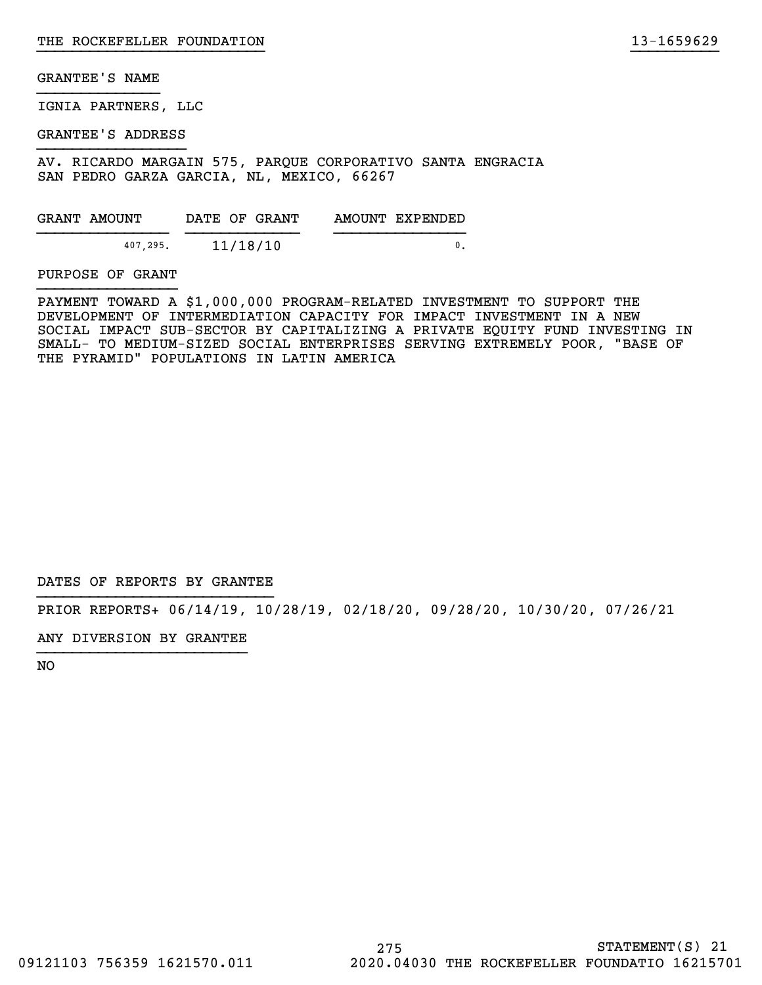IGNIA PARTNERS, LLC

GRANTEE'S ADDRESS

AV. RICARDO MARGAIN 575, PARQUE CORPORATIVO SANTA ENGRACIA SAN PEDRO GARZA GARCIA, NL, MEXICO, 66267

| GRANT AMOUNT | DATE OF GRANT | AMOUNT EXPENDED |
|--------------|---------------|-----------------|
|              |               |                 |
| 407.295.     | 11/18/10      |                 |

PURPOSE OF GRANT

PAYMENT TOWARD A \$1,000,000 PROGRAM-RELATED INVESTMENT TO SUPPORT THE DEVELOPMENT OF INTERMEDIATION CAPACITY FOR IMPACT INVESTMENT IN A NEW SOCIAL IMPACT SUB-SECTOR BY CAPITALIZING A PRIVATE EQUITY FUND INVESTING IN SMALL- TO MEDIUM-SIZED SOCIAL ENTERPRISES SERVING EXTREMELY POOR, "BASE OF THE PYRAMID" POPULATIONS IN LATIN AMERICA

}}}}}}}}}}}}}}}}}}}}}}}}}} }}}}}}}}}}

DATES OF REPORTS BY GRANTEE

PRIOR REPORTS+ 06/14/19, 10/28/19, 02/18/20, 09/28/20, 10/30/20, 07/26/21

ANY DIVERSION BY GRANTEE }}}}}}}}}}}}}}}}}}}}}}}}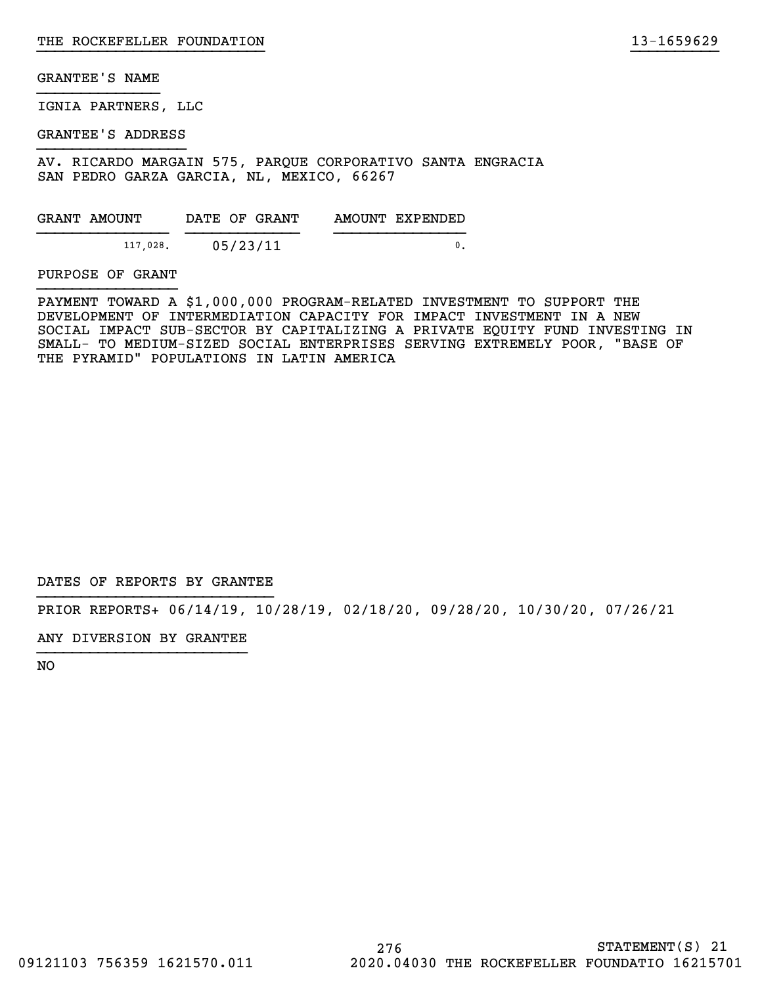IGNIA PARTNERS, LLC

GRANTEE'S ADDRESS

AV. RICARDO MARGAIN 575, PARQUE CORPORATIVO SANTA ENGRACIA SAN PEDRO GARZA GARCIA, NL, MEXICO, 66267

| GRANT AMOUNT | DATE OF GRANT | AMOUNT EXPENDED |
|--------------|---------------|-----------------|
|              |               |                 |
| 117,028.     | 05/23/11      |                 |

PURPOSE OF GRANT

PAYMENT TOWARD A \$1,000,000 PROGRAM-RELATED INVESTMENT TO SUPPORT THE DEVELOPMENT OF INTERMEDIATION CAPACITY FOR IMPACT INVESTMENT IN A NEW SOCIAL IMPACT SUB-SECTOR BY CAPITALIZING A PRIVATE EQUITY FUND INVESTING IN SMALL- TO MEDIUM-SIZED SOCIAL ENTERPRISES SERVING EXTREMELY POOR, "BASE OF THE PYRAMID" POPULATIONS IN LATIN AMERICA

}}}}}}}}}}}}}}}}}}}}}}}}}} }}}}}}}}}}

DATES OF REPORTS BY GRANTEE

PRIOR REPORTS+ 06/14/19, 10/28/19, 02/18/20, 09/28/20, 10/30/20, 07/26/21

ANY DIVERSION BY GRANTEE }}}}}}}}}}}}}}}}}}}}}}}}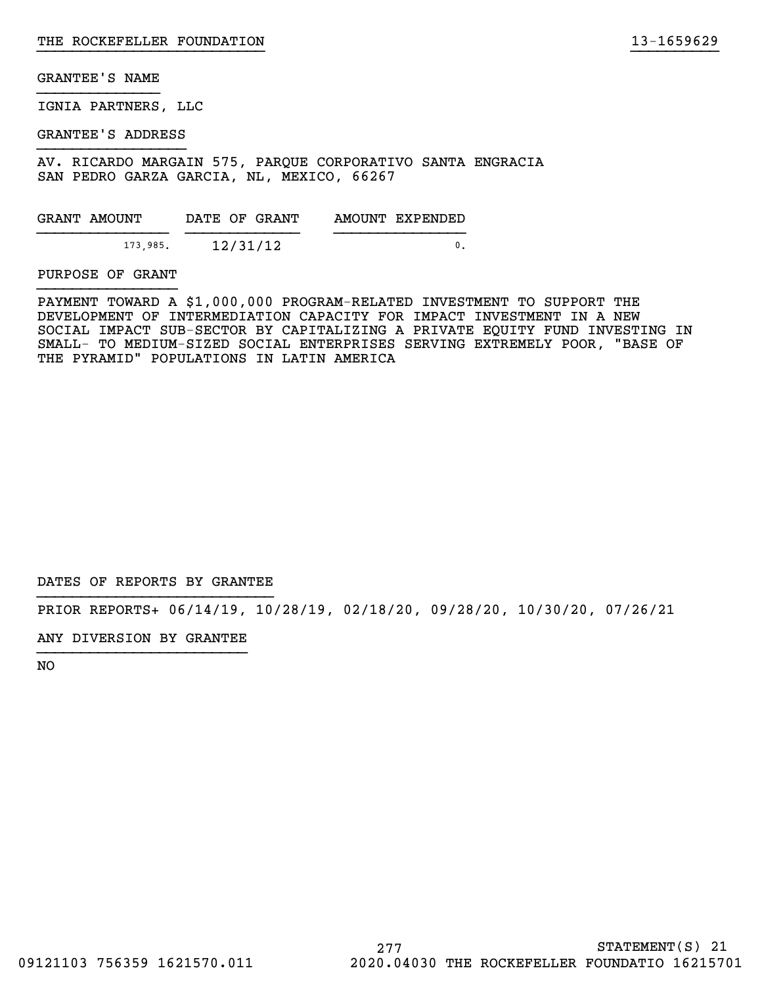IGNIA PARTNERS, LLC

GRANTEE'S ADDRESS

AV. RICARDO MARGAIN 575, PARQUE CORPORATIVO SANTA ENGRACIA SAN PEDRO GARZA GARCIA, NL, MEXICO, 66267

| GRANT AMOUNT |          | DATE OF GRANT |  | AMOUNT EXPENDED |
|--------------|----------|---------------|--|-----------------|
|              |          |               |  |                 |
|              | 173,985. | 12/31/12      |  |                 |

PURPOSE OF GRANT

PAYMENT TOWARD A \$1,000,000 PROGRAM-RELATED INVESTMENT TO SUPPORT THE DEVELOPMENT OF INTERMEDIATION CAPACITY FOR IMPACT INVESTMENT IN A NEW SOCIAL IMPACT SUB-SECTOR BY CAPITALIZING A PRIVATE EQUITY FUND INVESTING IN SMALL- TO MEDIUM-SIZED SOCIAL ENTERPRISES SERVING EXTREMELY POOR, "BASE OF THE PYRAMID" POPULATIONS IN LATIN AMERICA

}}}}}}}}}}}}}}}}}}}}}}}}}} }}}}}}}}}}

DATES OF REPORTS BY GRANTEE

PRIOR REPORTS+ 06/14/19, 10/28/19, 02/18/20, 09/28/20, 10/30/20, 07/26/21

ANY DIVERSION BY GRANTEE }}}}}}}}}}}}}}}}}}}}}}}}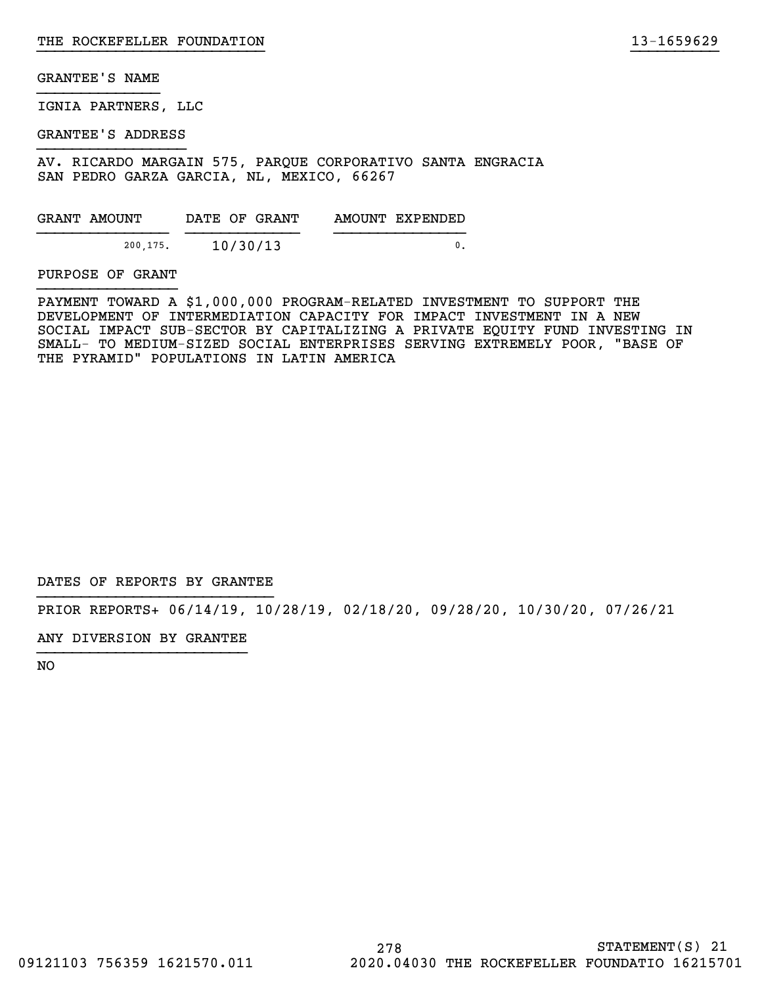IGNIA PARTNERS, LLC

GRANTEE'S ADDRESS

AV. RICARDO MARGAIN 575, PARQUE CORPORATIVO SANTA ENGRACIA SAN PEDRO GARZA GARCIA, NL, MEXICO, 66267

| GRANT AMOUNT | DATE OF GRANT | AMOUNT EXPENDED |
|--------------|---------------|-----------------|
| 200.175.     | 10/30/13      |                 |

PURPOSE OF GRANT

PAYMENT TOWARD A \$1,000,000 PROGRAM-RELATED INVESTMENT TO SUPPORT THE DEVELOPMENT OF INTERMEDIATION CAPACITY FOR IMPACT INVESTMENT IN A NEW SOCIAL IMPACT SUB-SECTOR BY CAPITALIZING A PRIVATE EQUITY FUND INVESTING IN SMALL- TO MEDIUM-SIZED SOCIAL ENTERPRISES SERVING EXTREMELY POOR, "BASE OF THE PYRAMID" POPULATIONS IN LATIN AMERICA

}}}}}}}}}}}}}}}}}}}}}}}}}} }}}}}}}}}}

DATES OF REPORTS BY GRANTEE

PRIOR REPORTS+ 06/14/19, 10/28/19, 02/18/20, 09/28/20, 10/30/20, 07/26/21

ANY DIVERSION BY GRANTEE }}}}}}}}}}}}}}}}}}}}}}}}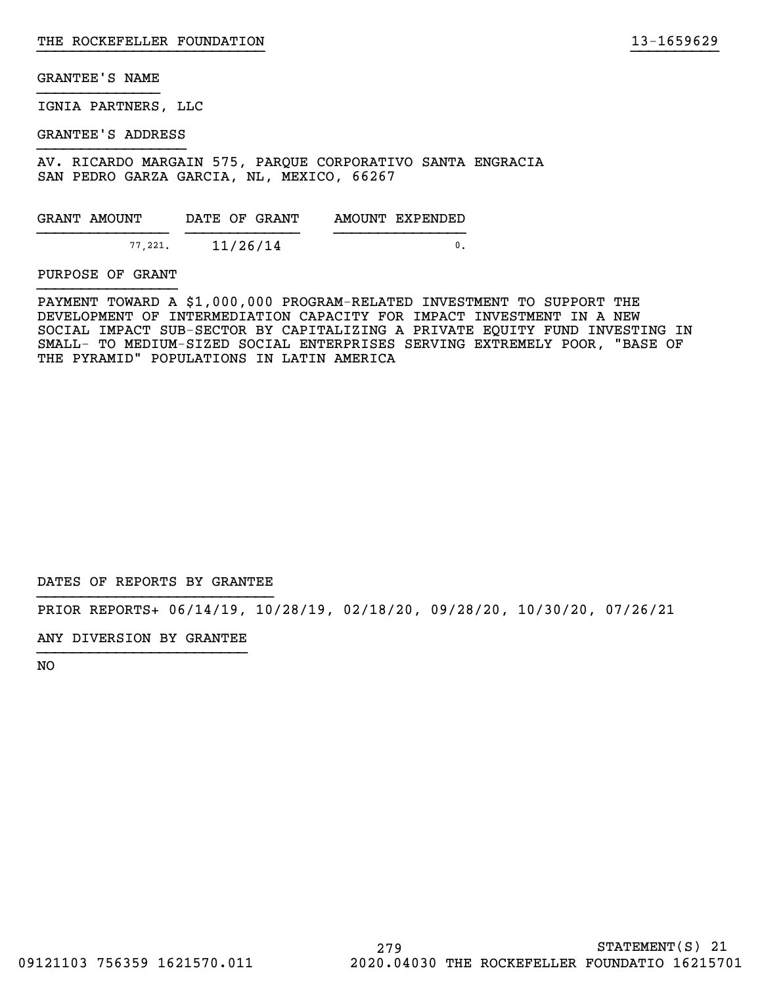IGNIA PARTNERS, LLC

GRANTEE'S ADDRESS

AV. RICARDO MARGAIN 575, PARQUE CORPORATIVO SANTA ENGRACIA SAN PEDRO GARZA GARCIA, NL, MEXICO, 66267

| GRANT AMOUNT |         | DATE OF GRANT |  | AMOUNT EXPENDED |
|--------------|---------|---------------|--|-----------------|
|              |         |               |  |                 |
|              | 77.221. | 11/26/14      |  |                 |

PURPOSE OF GRANT

PAYMENT TOWARD A \$1,000,000 PROGRAM-RELATED INVESTMENT TO SUPPORT THE DEVELOPMENT OF INTERMEDIATION CAPACITY FOR IMPACT INVESTMENT IN A NEW SOCIAL IMPACT SUB-SECTOR BY CAPITALIZING A PRIVATE EQUITY FUND INVESTING IN SMALL- TO MEDIUM-SIZED SOCIAL ENTERPRISES SERVING EXTREMELY POOR, "BASE OF THE PYRAMID" POPULATIONS IN LATIN AMERICA

}}}}}}}}}}}}}}}}}}}}}}}}}} }}}}}}}}}}

DATES OF REPORTS BY GRANTEE

PRIOR REPORTS+ 06/14/19, 10/28/19, 02/18/20, 09/28/20, 10/30/20, 07/26/21

ANY DIVERSION BY GRANTEE }}}}}}}}}}}}}}}}}}}}}}}}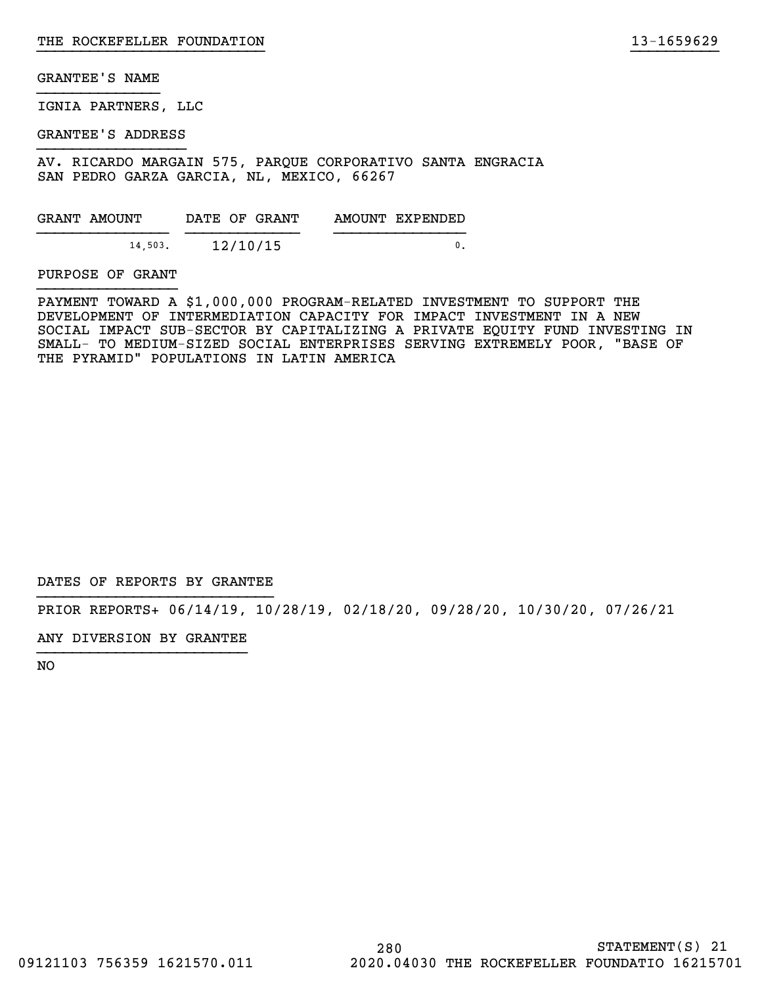IGNIA PARTNERS, LLC

GRANTEE'S ADDRESS

AV. RICARDO MARGAIN 575, PARQUE CORPORATIVO SANTA ENGRACIA SAN PEDRO GARZA GARCIA, NL, MEXICO, 66267

| GRANT AMOUNT |         |  | DATE OF GRANT | AMOUNT EXPENDED |  |
|--------------|---------|--|---------------|-----------------|--|
|              |         |  |               |                 |  |
|              | 14,503. |  | 12/10/15      |                 |  |

PURPOSE OF GRANT

PAYMENT TOWARD A \$1,000,000 PROGRAM-RELATED INVESTMENT TO SUPPORT THE DEVELOPMENT OF INTERMEDIATION CAPACITY FOR IMPACT INVESTMENT IN A NEW SOCIAL IMPACT SUB-SECTOR BY CAPITALIZING A PRIVATE EQUITY FUND INVESTING IN SMALL- TO MEDIUM-SIZED SOCIAL ENTERPRISES SERVING EXTREMELY POOR, "BASE OF THE PYRAMID" POPULATIONS IN LATIN AMERICA

}}}}}}}}}}}}}}}}}}}}}}}}}} }}}}}}}}}}

DATES OF REPORTS BY GRANTEE

PRIOR REPORTS+ 06/14/19, 10/28/19, 02/18/20, 09/28/20, 10/30/20, 07/26/21

ANY DIVERSION BY GRANTEE }}}}}}}}}}}}}}}}}}}}}}}}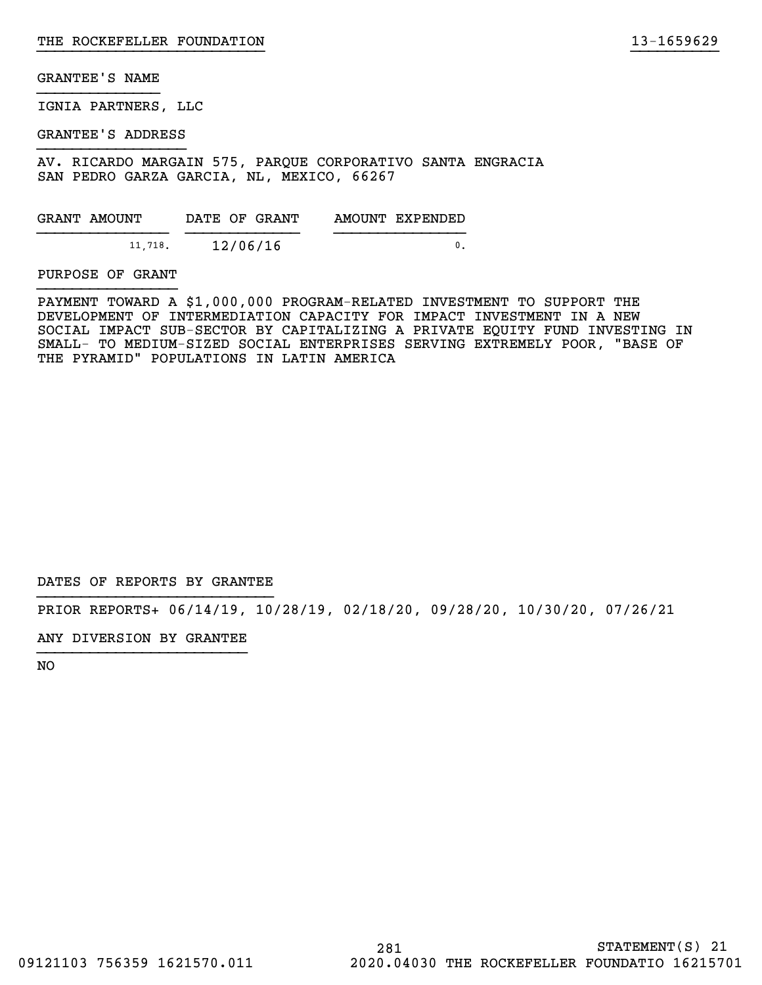IGNIA PARTNERS, LLC

GRANTEE'S ADDRESS

AV. RICARDO MARGAIN 575, PARQUE CORPORATIVO SANTA ENGRACIA SAN PEDRO GARZA GARCIA, NL, MEXICO, 66267

| GRANT AMOUNT |         | DATE OF GRANT |  | AMOUNT EXPENDED |
|--------------|---------|---------------|--|-----------------|
|              | 11,718. | 12/06/16      |  |                 |

PURPOSE OF GRANT

PAYMENT TOWARD A \$1,000,000 PROGRAM-RELATED INVESTMENT TO SUPPORT THE DEVELOPMENT OF INTERMEDIATION CAPACITY FOR IMPACT INVESTMENT IN A NEW SOCIAL IMPACT SUB-SECTOR BY CAPITALIZING A PRIVATE EQUITY FUND INVESTING IN SMALL- TO MEDIUM-SIZED SOCIAL ENTERPRISES SERVING EXTREMELY POOR, "BASE OF THE PYRAMID" POPULATIONS IN LATIN AMERICA

}}}}}}}}}}}}}}}}}}}}}}}}}} }}}}}}}}}}

DATES OF REPORTS BY GRANTEE

PRIOR REPORTS+ 06/14/19, 10/28/19, 02/18/20, 09/28/20, 10/30/20, 07/26/21

ANY DIVERSION BY GRANTEE }}}}}}}}}}}}}}}}}}}}}}}}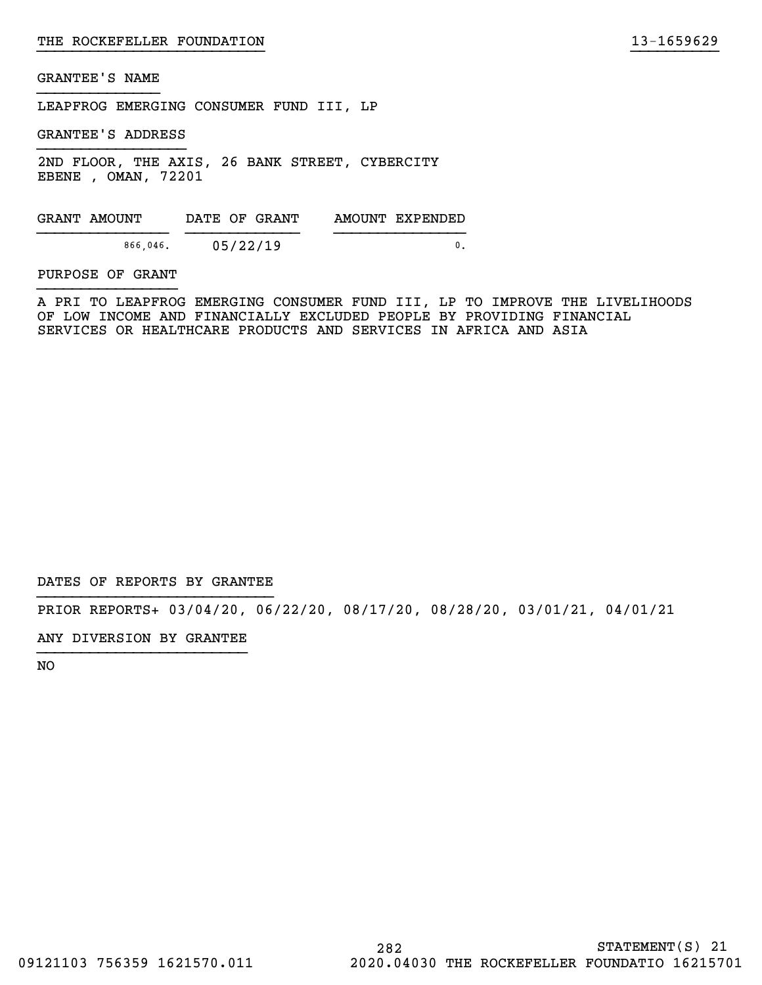LEAPFROG EMERGING CONSUMER FUND III, LP

GRANTEE'S ADDRESS

2ND FLOOR, THE AXIS, 26 BANK STREET, CYBERCITY EBENE , OMAN, 72201

GRANT AMOUNT DATE OF GRANT AMOUNT EXPENDED }}}}}}}}}}}}}}} }}}}}}}}}}}}} }}}}}}}}}}}}}}} 866,046. 05/22/19 0.

PURPOSE OF GRANT

A PRI TO LEAPFROG EMERGING CONSUMER FUND III, LP TO IMPROVE THE LIVELIHOODS OF LOW INCOME AND FINANCIALLY EXCLUDED PEOPLE BY PROVIDING FINANCIAL SERVICES OR HEALTHCARE PRODUCTS AND SERVICES IN AFRICA AND ASIA

}}}}}}}}}}}}}}}}}}}}}}}}}} }}}}}}}}}}

DATES OF REPORTS BY GRANTEE

PRIOR REPORTS+ 03/04/20, 06/22/20, 08/17/20, 08/28/20, 03/01/21, 04/01/21

ANY DIVERSION BY GRANTEE }}}}}}}}}}}}}}}}}}}}}}}}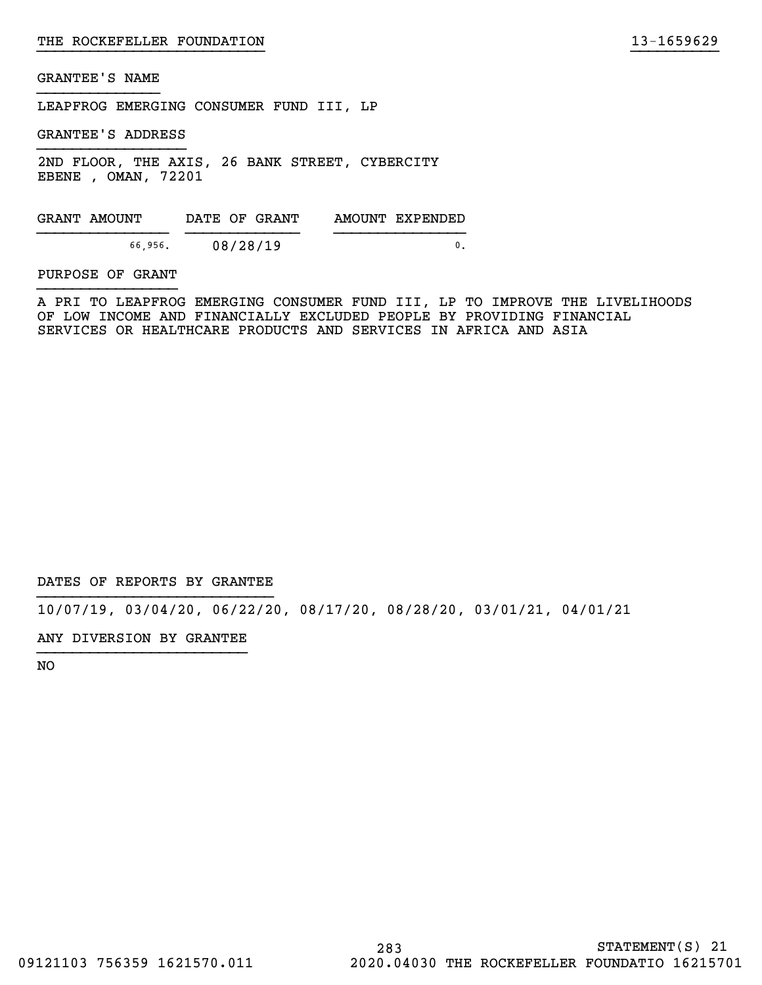LEAPFROG EMERGING CONSUMER FUND III, LP

GRANTEE'S ADDRESS

2ND FLOOR, THE AXIS, 26 BANK STREET, CYBERCITY EBENE , OMAN, 72201

GRANT AMOUNT DATE OF GRANT AMOUNT EXPENDED }}}}}}}}}}}}}}} }}}}}}}}}}}}} }}}}}}}}}}}}}}} 66,956. 08/28/19 0.

#### PURPOSE OF GRANT

A PRI TO LEAPFROG EMERGING CONSUMER FUND III, LP TO IMPROVE THE LIVELIHOODS OF LOW INCOME AND FINANCIALLY EXCLUDED PEOPLE BY PROVIDING FINANCIAL SERVICES OR HEALTHCARE PRODUCTS AND SERVICES IN AFRICA AND ASIA

}}}}}}}}}}}}}}}}}}}}}}}}}} }}}}}}}}}}

DATES OF REPORTS BY GRANTEE

10/07/19, 03/04/20, 06/22/20, 08/17/20, 08/28/20, 03/01/21, 04/01/21

ANY DIVERSION BY GRANTEE }}}}}}}}}}}}}}}}}}}}}}}}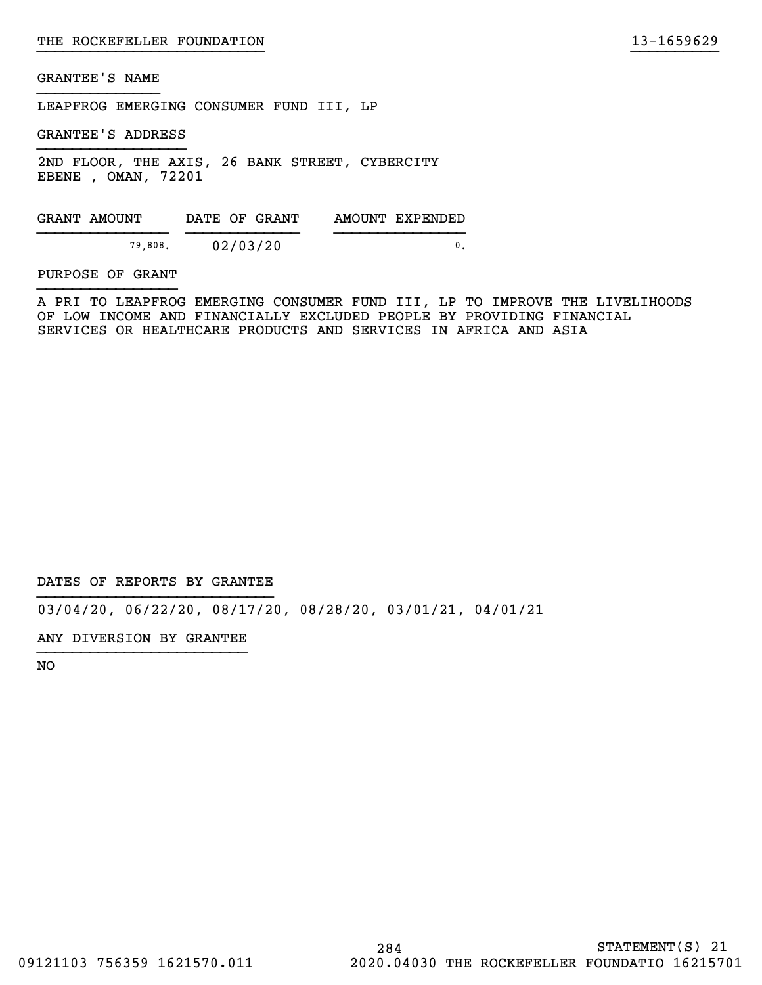LEAPFROG EMERGING CONSUMER FUND III, LP

GRANTEE'S ADDRESS

2ND FLOOR, THE AXIS, 26 BANK STREET, CYBERCITY EBENE , OMAN, 72201

GRANT AMOUNT DATE OF GRANT AMOUNT EXPENDED }}}}}}}}}}}}}}} }}}}}}}}}}}}} }}}}}}}}}}}}}}} 79,808. 02/03/20 0.

#### PURPOSE OF GRANT

A PRI TO LEAPFROG EMERGING CONSUMER FUND III, LP TO IMPROVE THE LIVELIHOODS OF LOW INCOME AND FINANCIALLY EXCLUDED PEOPLE BY PROVIDING FINANCIAL SERVICES OR HEALTHCARE PRODUCTS AND SERVICES IN AFRICA AND ASIA

}}}}}}}}}}}}}}}}}}}}}}}}}} }}}}}}}}}}

DATES OF REPORTS BY GRANTEE

03/04/20, 06/22/20, 08/17/20, 08/28/20, 03/01/21, 04/01/21

ANY DIVERSION BY GRANTEE }}}}}}}}}}}}}}}}}}}}}}}}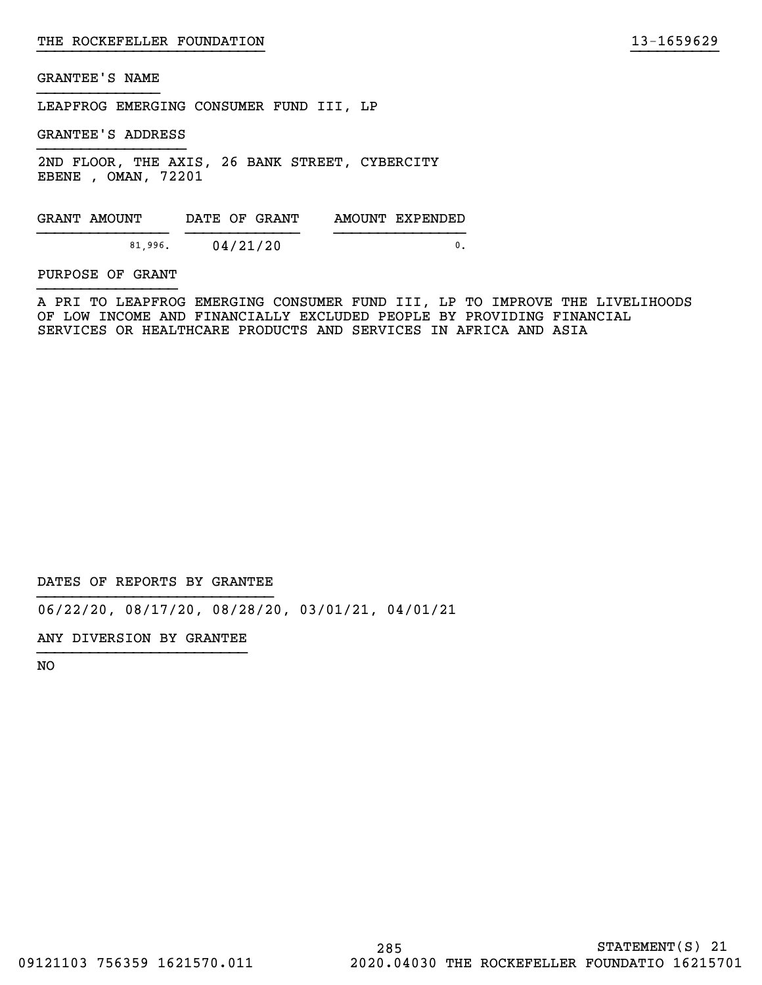LEAPFROG EMERGING CONSUMER FUND III, LP

GRANTEE'S ADDRESS

2ND FLOOR, THE AXIS, 26 BANK STREET, CYBERCITY EBENE , OMAN, 72201

GRANT AMOUNT DATE OF GRANT AMOUNT EXPENDED }}}}}}}}}}}}}}} }}}}}}}}}}}}} }}}}}}}}}}}}}}} 81,996. 04/21/20 0.

#### PURPOSE OF GRANT

A PRI TO LEAPFROG EMERGING CONSUMER FUND III, LP TO IMPROVE THE LIVELIHOODS OF LOW INCOME AND FINANCIALLY EXCLUDED PEOPLE BY PROVIDING FINANCIAL SERVICES OR HEALTHCARE PRODUCTS AND SERVICES IN AFRICA AND ASIA

}}}}}}}}}}}}}}}}}}}}}}}}}} }}}}}}}}}}

DATES OF REPORTS BY GRANTEE

06/22/20, 08/17/20, 08/28/20, 03/01/21, 04/01/21

ANY DIVERSION BY GRANTEE }}}}}}}}}}}}}}}}}}}}}}}}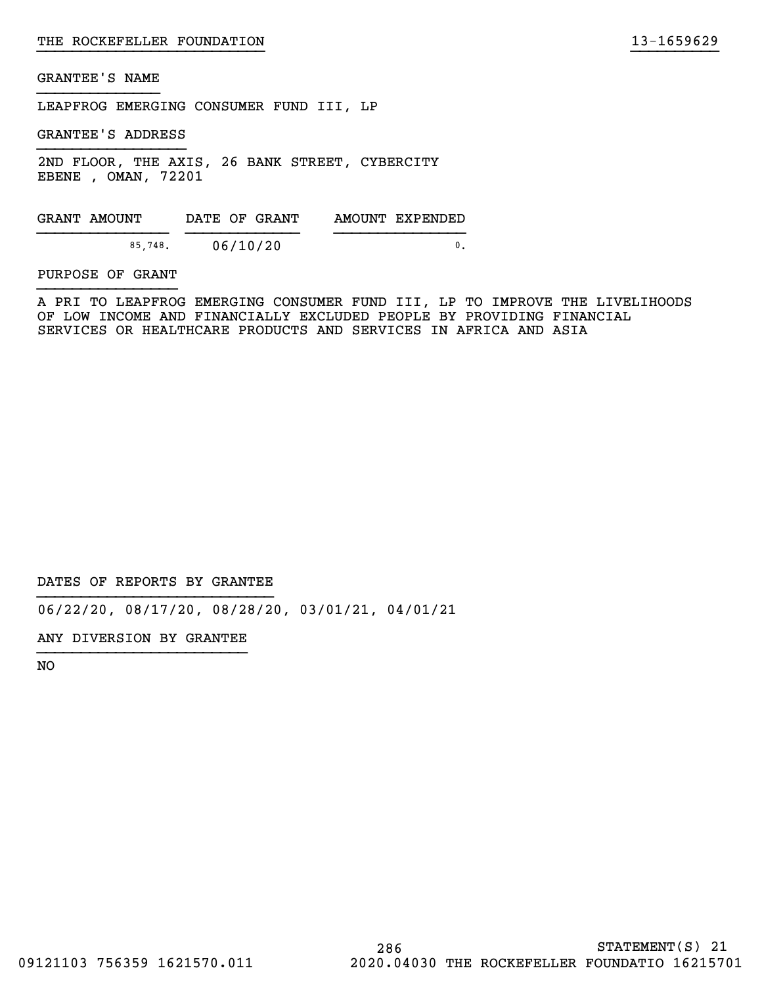LEAPFROG EMERGING CONSUMER FUND III, LP

GRANTEE'S ADDRESS

2ND FLOOR, THE AXIS, 26 BANK STREET, CYBERCITY EBENE , OMAN, 72201

GRANT AMOUNT DATE OF GRANT AMOUNT EXPENDED }}}}}}}}}}}}}}} }}}}}}}}}}}}} }}}}}}}}}}}}}}} 85,748. 06/10/20 0.

#### PURPOSE OF GRANT

A PRI TO LEAPFROG EMERGING CONSUMER FUND III, LP TO IMPROVE THE LIVELIHOODS OF LOW INCOME AND FINANCIALLY EXCLUDED PEOPLE BY PROVIDING FINANCIAL SERVICES OR HEALTHCARE PRODUCTS AND SERVICES IN AFRICA AND ASIA

}}}}}}}}}}}}}}}}}}}}}}}}}} }}}}}}}}}}

DATES OF REPORTS BY GRANTEE

06/22/20, 08/17/20, 08/28/20, 03/01/21, 04/01/21

ANY DIVERSION BY GRANTEE }}}}}}}}}}}}}}}}}}}}}}}}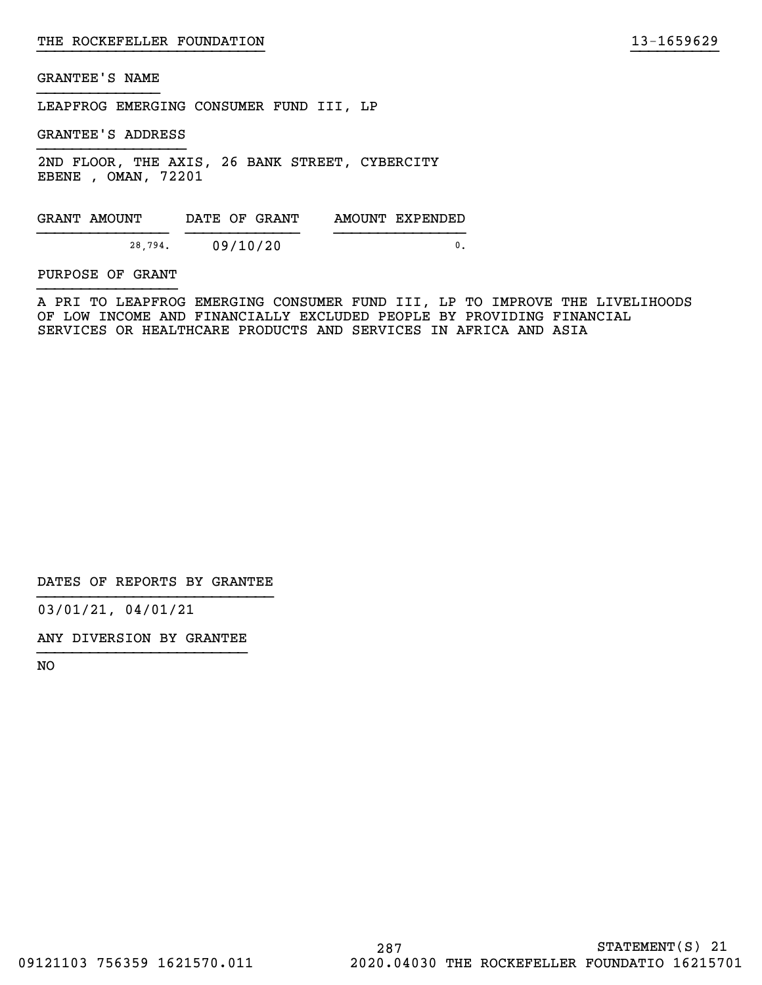LEAPFROG EMERGING CONSUMER FUND III, LP

GRANTEE'S ADDRESS

2ND FLOOR, THE AXIS, 26 BANK STREET, CYBERCITY EBENE , OMAN, 72201

GRANT AMOUNT DATE OF GRANT AMOUNT EXPENDED }}}}}}}}}}}}}}} }}}}}}}}}}}}} }}}}}}}}}}}}}}} 28,794. 09/10/20 0.

PURPOSE OF GRANT

A PRI TO LEAPFROG EMERGING CONSUMER FUND III, LP TO IMPROVE THE LIVELIHOODS OF LOW INCOME AND FINANCIALLY EXCLUDED PEOPLE BY PROVIDING FINANCIAL SERVICES OR HEALTHCARE PRODUCTS AND SERVICES IN AFRICA AND ASIA

}}}}}}}}}}}}}}}}}}}}}}}}}} }}}}}}}}}}

DATES OF REPORTS BY GRANTEE

03/01/21, 04/01/21

ANY DIVERSION BY GRANTEE }}}}}}}}}}}}}}}}}}}}}}}}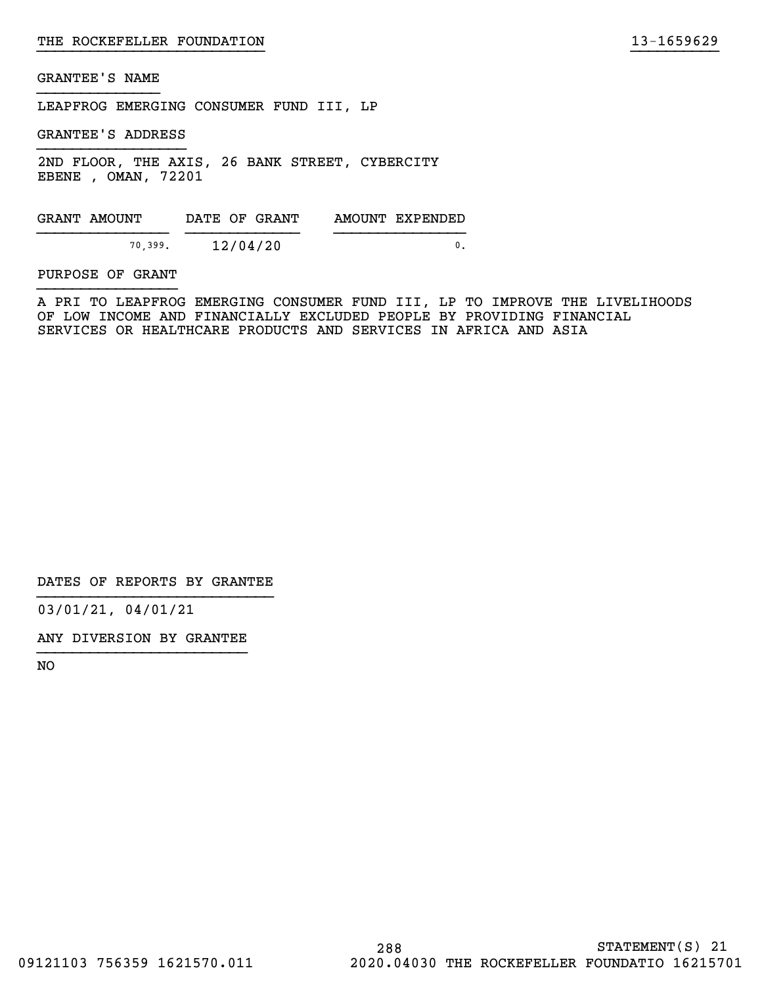LEAPFROG EMERGING CONSUMER FUND III, LP

GRANTEE'S ADDRESS

2ND FLOOR, THE AXIS, 26 BANK STREET, CYBERCITY EBENE , OMAN, 72201

GRANT AMOUNT DATE OF GRANT AMOUNT EXPENDED  $\frac{12}{12/04/20}$  0.

PURPOSE OF GRANT

A PRI TO LEAPFROG EMERGING CONSUMER FUND III, LP TO IMPROVE THE LIVELIHOODS OF LOW INCOME AND FINANCIALLY EXCLUDED PEOPLE BY PROVIDING FINANCIAL SERVICES OR HEALTHCARE PRODUCTS AND SERVICES IN AFRICA AND ASIA

}}}}}}}}}}}}}}}}}}}}}}}}}} }}}}}}}}}}

DATES OF REPORTS BY GRANTEE

03/01/21, 04/01/21

ANY DIVERSION BY GRANTEE }}}}}}}}}}}}}}}}}}}}}}}}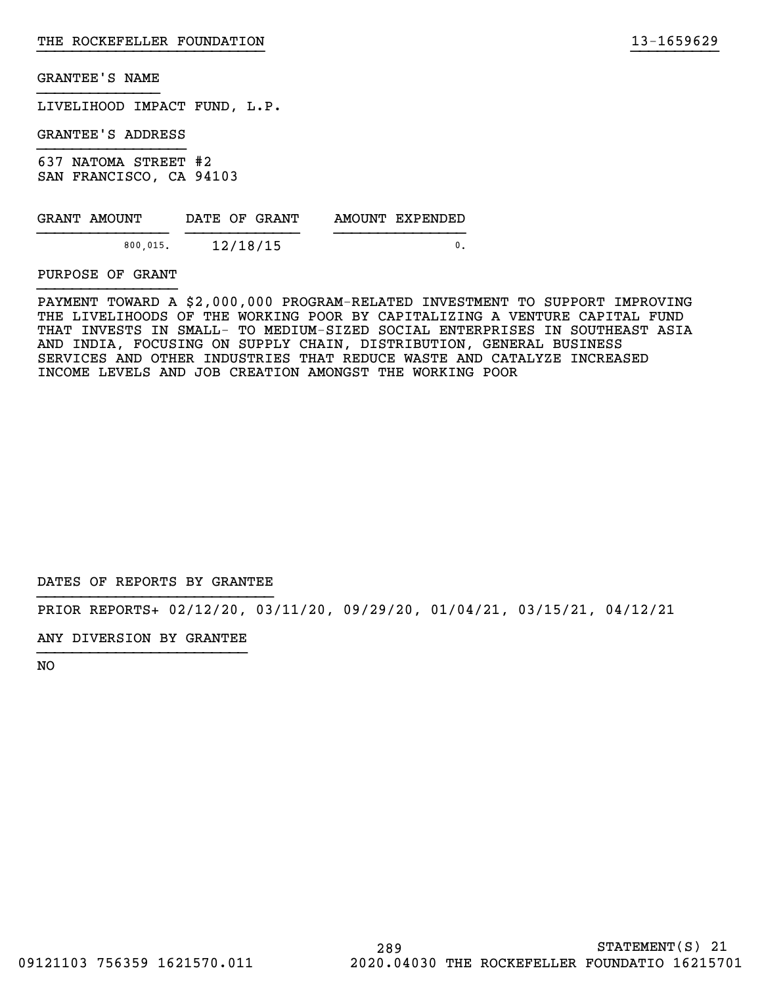LIVELIHOOD IMPACT FUND, L.P.

GRANTEE'S ADDRESS

637 NATOMA STREET #2 SAN FRANCISCO, CA 94103

| GRANT AMOUNT | DATE OF GRANT | AMOUNT EXPENDED |
|--------------|---------------|-----------------|
| 800.015.     | 12/18/15      |                 |

PURPOSE OF GRANT

PAYMENT TOWARD A \$2,000,000 PROGRAM-RELATED INVESTMENT TO SUPPORT IMPROVING THE LIVELIHOODS OF THE WORKING POOR BY CAPITALIZING A VENTURE CAPITAL FUND THAT INVESTS IN SMALL- TO MEDIUM-SIZED SOCIAL ENTERPRISES IN SOUTHEAST ASIA AND INDIA, FOCUSING ON SUPPLY CHAIN, DISTRIBUTION, GENERAL BUSINESS SERVICES AND OTHER INDUSTRIES THAT REDUCE WASTE AND CATALYZE INCREASED INCOME LEVELS AND JOB CREATION AMONGST THE WORKING POOR

}}}}}}}}}}}}}}}}}}}}}}}}}} }}}}}}}}}}

DATES OF REPORTS BY GRANTEE

PRIOR REPORTS+ 02/12/20, 03/11/20, 09/29/20, 01/04/21, 03/15/21, 04/12/21

ANY DIVERSION BY GRANTEE }}}}}}}}}}}}}}}}}}}}}}}}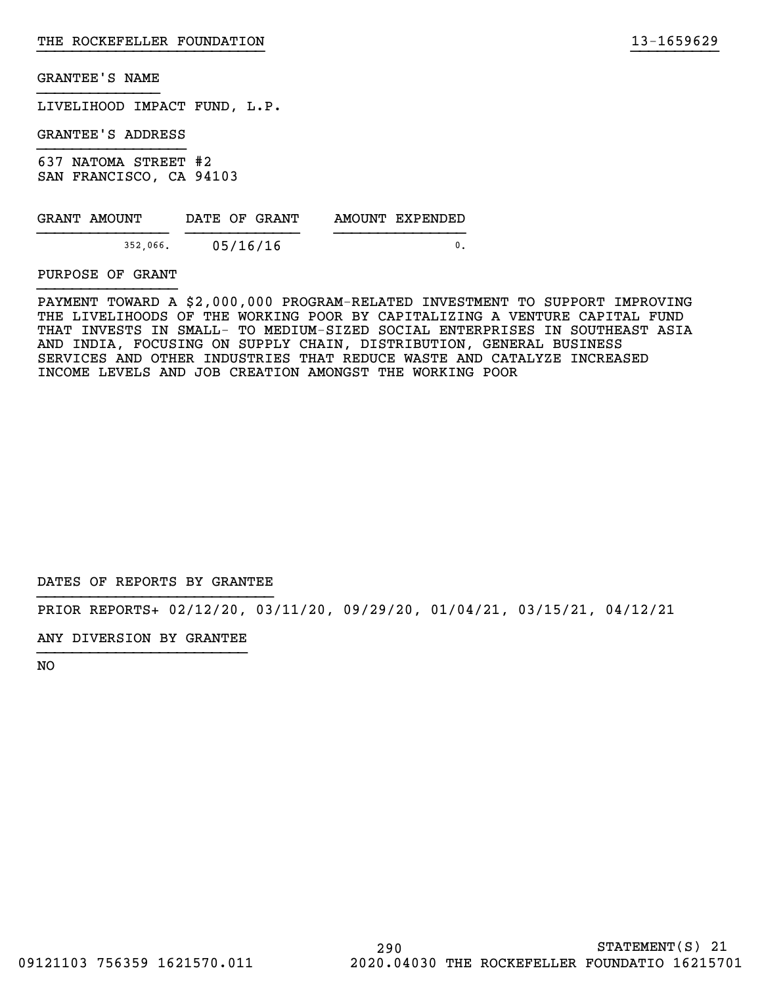LIVELIHOOD IMPACT FUND, L.P.

GRANTEE'S ADDRESS

637 NATOMA STREET #2 SAN FRANCISCO, CA 94103

| GRANT AMOUNT | DATE OF GRANT | AMOUNT EXPENDED |
|--------------|---------------|-----------------|
| 352,066.     | 05/16/16      |                 |

PURPOSE OF GRANT

PAYMENT TOWARD A \$2,000,000 PROGRAM-RELATED INVESTMENT TO SUPPORT IMPROVING THE LIVELIHOODS OF THE WORKING POOR BY CAPITALIZING A VENTURE CAPITAL FUND THAT INVESTS IN SMALL- TO MEDIUM-SIZED SOCIAL ENTERPRISES IN SOUTHEAST ASIA AND INDIA, FOCUSING ON SUPPLY CHAIN, DISTRIBUTION, GENERAL BUSINESS SERVICES AND OTHER INDUSTRIES THAT REDUCE WASTE AND CATALYZE INCREASED INCOME LEVELS AND JOB CREATION AMONGST THE WORKING POOR

}}}}}}}}}}}}}}}}}}}}}}}}}} }}}}}}}}}}

DATES OF REPORTS BY GRANTEE

PRIOR REPORTS+ 02/12/20, 03/11/20, 09/29/20, 01/04/21, 03/15/21, 04/12/21

ANY DIVERSION BY GRANTEE }}}}}}}}}}}}}}}}}}}}}}}}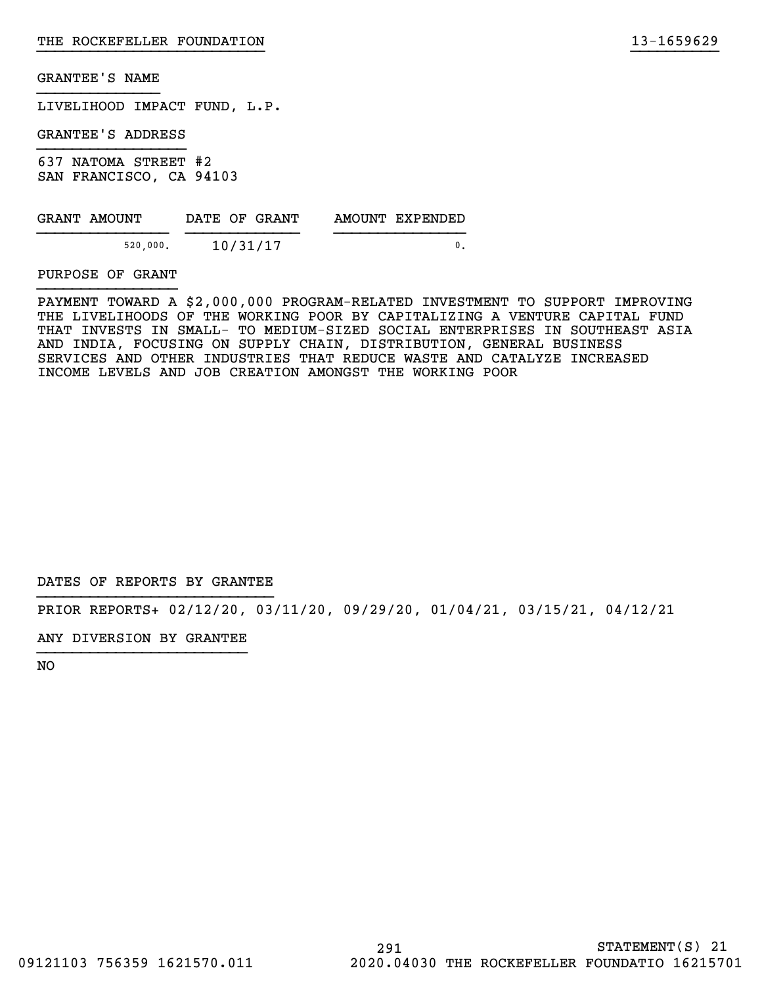LIVELIHOOD IMPACT FUND, L.P.

GRANTEE'S ADDRESS

637 NATOMA STREET #2 SAN FRANCISCO, CA 94103

| GRANT AMOUNT |          | DATE OF GRANT | AMOUNT EXPENDED |
|--------------|----------|---------------|-----------------|
|              | 520,000. | 10/31/17      |                 |

PURPOSE OF GRANT

PAYMENT TOWARD A \$2,000,000 PROGRAM-RELATED INVESTMENT TO SUPPORT IMPROVING THE LIVELIHOODS OF THE WORKING POOR BY CAPITALIZING A VENTURE CAPITAL FUND THAT INVESTS IN SMALL- TO MEDIUM-SIZED SOCIAL ENTERPRISES IN SOUTHEAST ASIA AND INDIA, FOCUSING ON SUPPLY CHAIN, DISTRIBUTION, GENERAL BUSINESS SERVICES AND OTHER INDUSTRIES THAT REDUCE WASTE AND CATALYZE INCREASED INCOME LEVELS AND JOB CREATION AMONGST THE WORKING POOR

}}}}}}}}}}}}}}}}}}}}}}}}}} }}}}}}}}}}

DATES OF REPORTS BY GRANTEE

PRIOR REPORTS+ 02/12/20, 03/11/20, 09/29/20, 01/04/21, 03/15/21, 04/12/21

ANY DIVERSION BY GRANTEE }}}}}}}}}}}}}}}}}}}}}}}}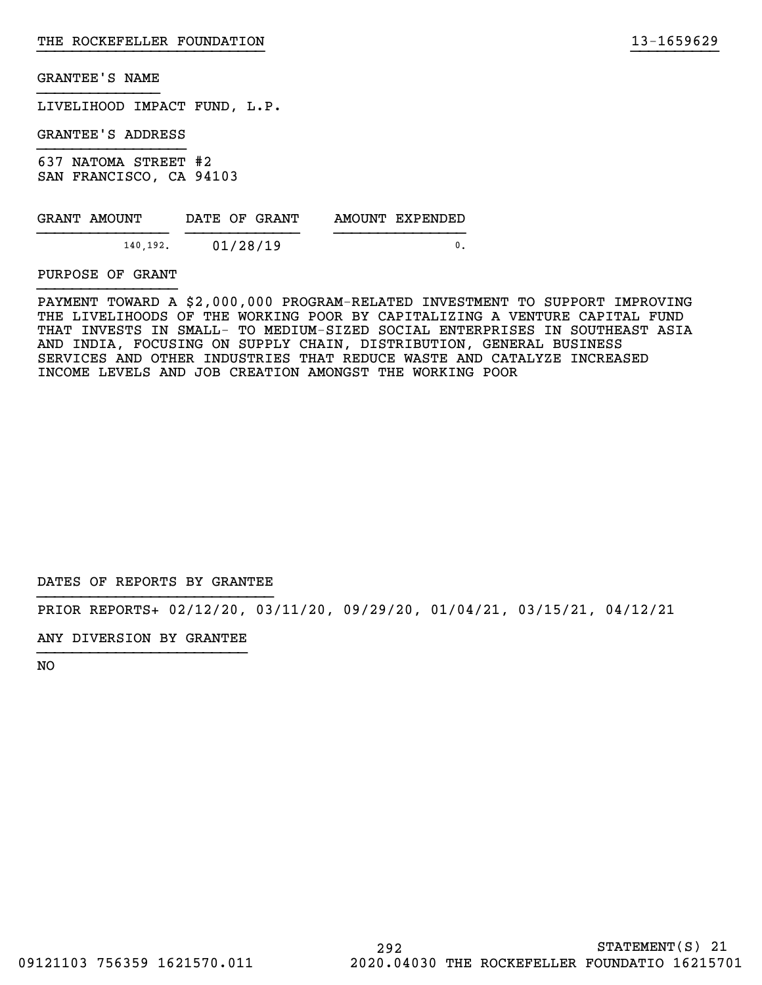LIVELIHOOD IMPACT FUND, L.P.

GRANTEE'S ADDRESS

637 NATOMA STREET #2 SAN FRANCISCO, CA 94103

| GRANT AMOUNT | DATE OF GRANT | AMOUNT EXPENDED |
|--------------|---------------|-----------------|
| 140.192.     | 01/28/19      |                 |

PURPOSE OF GRANT

PAYMENT TOWARD A \$2,000,000 PROGRAM-RELATED INVESTMENT TO SUPPORT IMPROVING THE LIVELIHOODS OF THE WORKING POOR BY CAPITALIZING A VENTURE CAPITAL FUND THAT INVESTS IN SMALL- TO MEDIUM-SIZED SOCIAL ENTERPRISES IN SOUTHEAST ASIA AND INDIA, FOCUSING ON SUPPLY CHAIN, DISTRIBUTION, GENERAL BUSINESS SERVICES AND OTHER INDUSTRIES THAT REDUCE WASTE AND CATALYZE INCREASED INCOME LEVELS AND JOB CREATION AMONGST THE WORKING POOR

}}}}}}}}}}}}}}}}}}}}}}}}}} }}}}}}}}}}

DATES OF REPORTS BY GRANTEE

PRIOR REPORTS+ 02/12/20, 03/11/20, 09/29/20, 01/04/21, 03/15/21, 04/12/21

ANY DIVERSION BY GRANTEE }}}}}}}}}}}}}}}}}}}}}}}}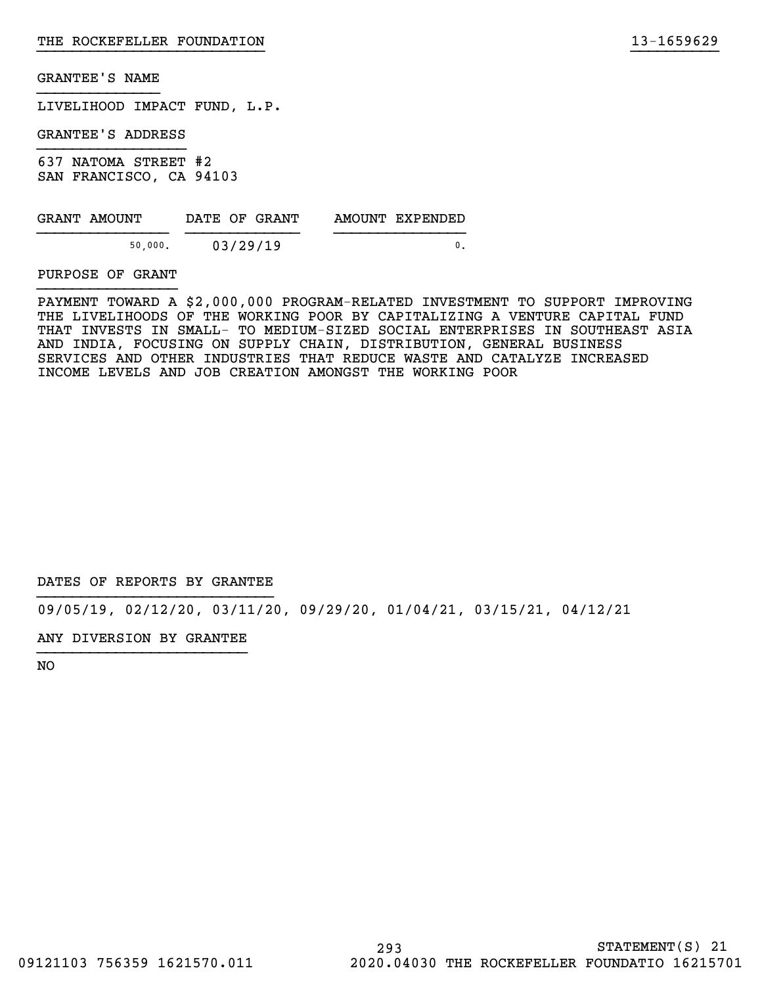LIVELIHOOD IMPACT FUND, L.P.

GRANTEE'S ADDRESS

637 NATOMA STREET #2 SAN FRANCISCO, CA 94103

| GRANT AMOUNT | DATE OF GRANT | AMOUNT EXPENDED |
|--------------|---------------|-----------------|
| 50,000.      | 03/29/19      |                 |

PURPOSE OF GRANT

PAYMENT TOWARD A \$2,000,000 PROGRAM-RELATED INVESTMENT TO SUPPORT IMPROVING THE LIVELIHOODS OF THE WORKING POOR BY CAPITALIZING A VENTURE CAPITAL FUND THAT INVESTS IN SMALL- TO MEDIUM-SIZED SOCIAL ENTERPRISES IN SOUTHEAST ASIA AND INDIA, FOCUSING ON SUPPLY CHAIN, DISTRIBUTION, GENERAL BUSINESS SERVICES AND OTHER INDUSTRIES THAT REDUCE WASTE AND CATALYZE INCREASED INCOME LEVELS AND JOB CREATION AMONGST THE WORKING POOR

}}}}}}}}}}}}}}}}}}}}}}}}}} }}}}}}}}}}

DATES OF REPORTS BY GRANTEE

09/05/19, 02/12/20, 03/11/20, 09/29/20, 01/04/21, 03/15/21, 04/12/21

ANY DIVERSION BY GRANTEE }}}}}}}}}}}}}}}}}}}}}}}}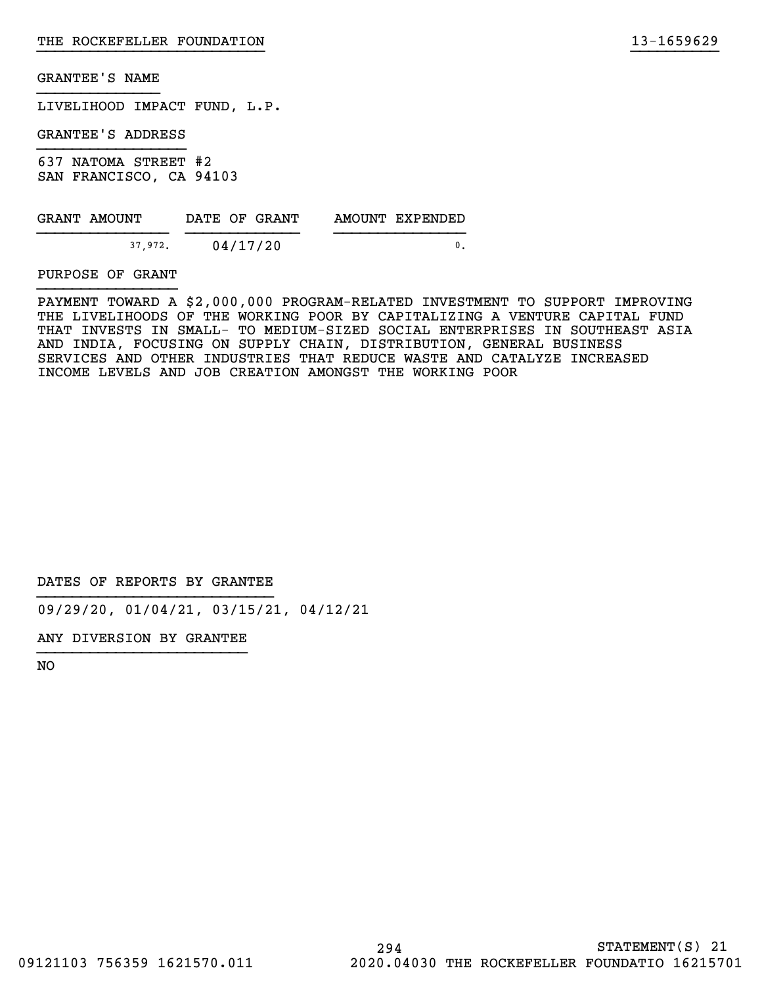LIVELIHOOD IMPACT FUND, L.P.

GRANTEE'S ADDRESS

637 NATOMA STREET #2 SAN FRANCISCO, CA 94103

| GRANT AMOUNT | DATE OF GRANT | AMOUNT EXPENDED |
|--------------|---------------|-----------------|
| 37.972.      | 04/17/20      |                 |

PURPOSE OF GRANT

PAYMENT TOWARD A \$2,000,000 PROGRAM-RELATED INVESTMENT TO SUPPORT IMPROVING THE LIVELIHOODS OF THE WORKING POOR BY CAPITALIZING A VENTURE CAPITAL FUND THAT INVESTS IN SMALL- TO MEDIUM-SIZED SOCIAL ENTERPRISES IN SOUTHEAST ASIA AND INDIA, FOCUSING ON SUPPLY CHAIN, DISTRIBUTION, GENERAL BUSINESS SERVICES AND OTHER INDUSTRIES THAT REDUCE WASTE AND CATALYZE INCREASED INCOME LEVELS AND JOB CREATION AMONGST THE WORKING POOR

}}}}}}}}}}}}}}}}}}}}}}}}}} }}}}}}}}}}

DATES OF REPORTS BY GRANTEE

09/29/20, 01/04/21, 03/15/21, 04/12/21

ANY DIVERSION BY GRANTEE }}}}}}}}}}}}}}}}}}}}}}}}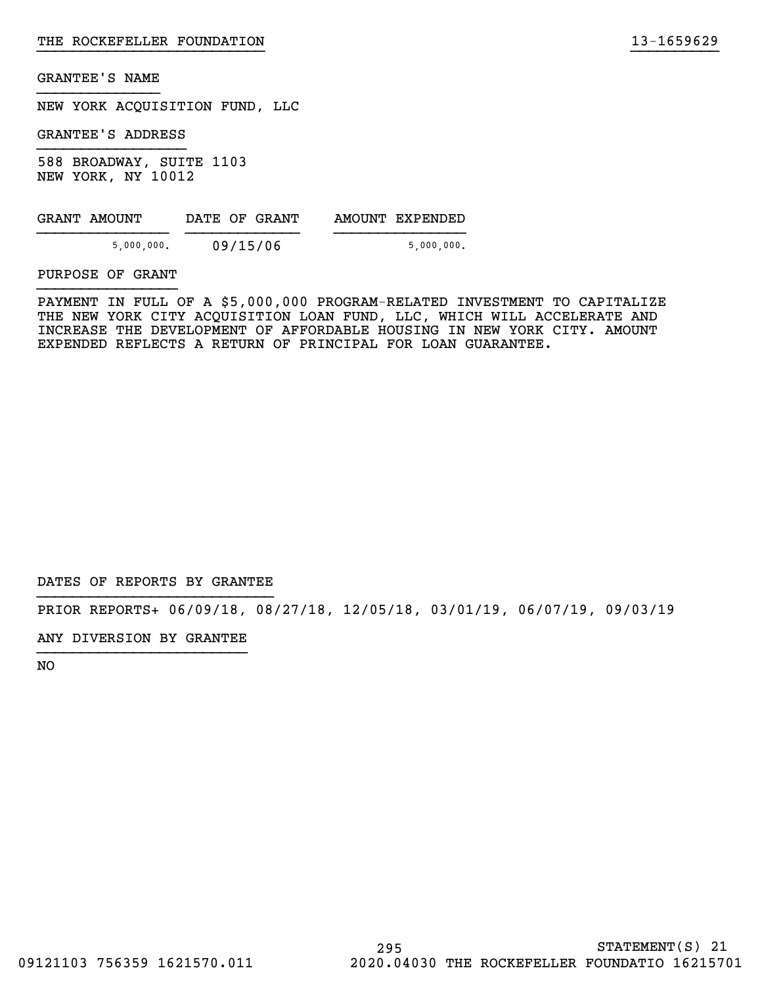NEW YORK ACQUISITION FUND, LLC

GRANTEE'S ADDRESS

588 BROADWAY, SUITE 1103 NEW YORK, NY 10012

| GRANT AMOUNT | DATE OF GRANT | AMOUNT EXPENDED |
|--------------|---------------|-----------------|
| 5,000,000.   | 09/15/06      | 5,000,000.      |

PURPOSE OF GRANT

PAYMENT IN FULL OF A \$5,000,000 PROGRAM-RELATED INVESTMENT TO CAPITALIZE THE NEW YORK CITY ACQUISITION LOAN FUND, LLC, WHICH WILL ACCELERATE AND INCREASE THE DEVELOPMENT OF AFFORDABLE HOUSING IN NEW YORK CITY. AMOUNT EXPENDED REFLECTS A RETURN OF PRINCIPAL FOR LOAN GUARANTEE.

}}}}}}}}}}}}}}}}}}}}}}}}}} }}}}}}}}}}

DATES OF REPORTS BY GRANTEE

PRIOR REPORTS+ 06/09/18, 08/27/18, 12/05/18, 03/01/19, 06/07/19, 09/03/19

ANY DIVERSION BY GRANTEE }}}}}}}}}}}}}}}}}}}}}}}}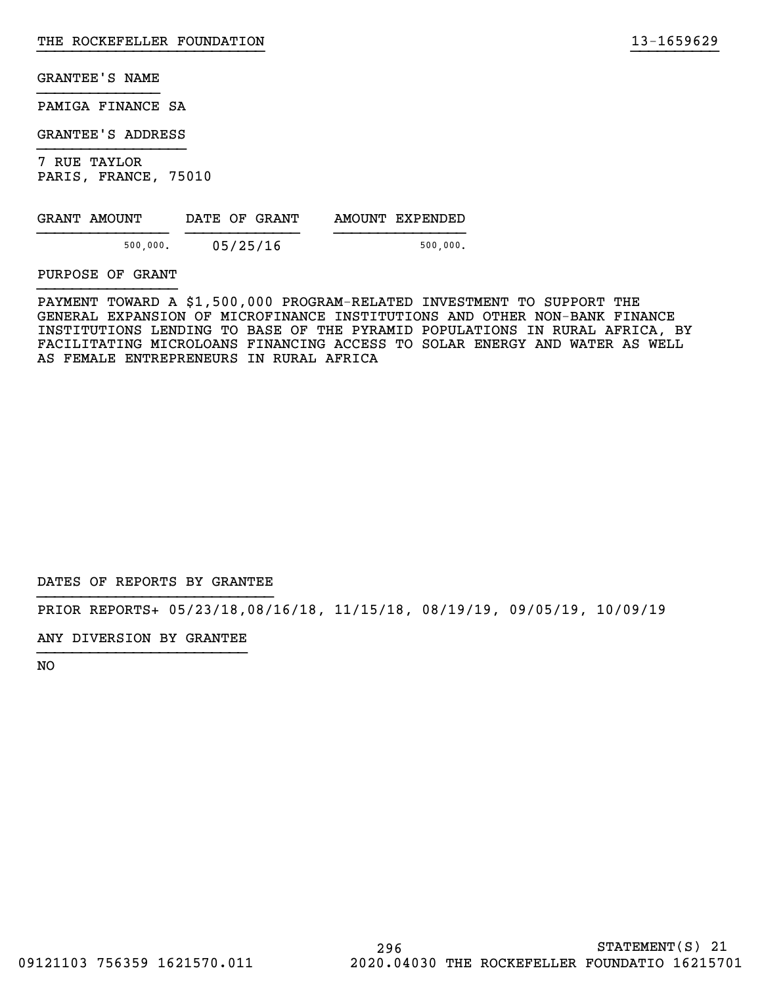PAMIGA FINANCE SA

GRANTEE'S ADDRESS

7 RUE TAYLOR PARIS, FRANCE, 75010

| GRANT AMOUNT | DATE OF GRANT | AMOUNT EXPENDED |
|--------------|---------------|-----------------|
| 500,000.     | 05/25/16      | 500,000.        |

PURPOSE OF GRANT

PAYMENT TOWARD A \$1,500,000 PROGRAM-RELATED INVESTMENT TO SUPPORT THE GENERAL EXPANSION OF MICROFINANCE INSTITUTIONS AND OTHER NON-BANK FINANCE INSTITUTIONS LENDING TO BASE OF THE PYRAMID POPULATIONS IN RURAL AFRICA, BY FACILITATING MICROLOANS FINANCING ACCESS TO SOLAR ENERGY AND WATER AS WELL AS FEMALE ENTREPRENEURS IN RURAL AFRICA

}}}}}}}}}}}}}}}}}}}}}}}}}} }}}}}}}}}}

DATES OF REPORTS BY GRANTEE

PRIOR REPORTS+ 05/23/18,08/16/18, 11/15/18, 08/19/19, 09/05/19, 10/09/19

ANY DIVERSION BY GRANTEE }}}}}}}}}}}}}}}}}}}}}}}}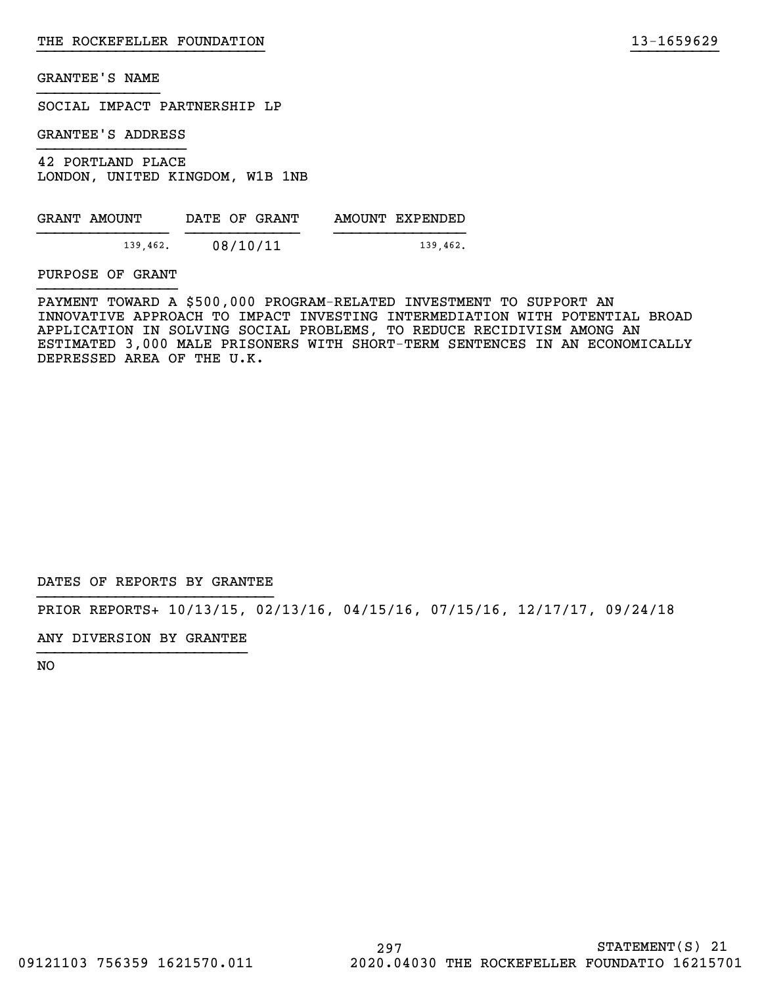SOCIAL IMPACT PARTNERSHIP LP

GRANTEE'S ADDRESS

42 PORTLAND PLACE LONDON, UNITED KINGDOM, W1B 1NB

| GRANT AMOUNT | DATE OF GRANT | AMOUNT EXPENDED |
|--------------|---------------|-----------------|
| 139.462.     | 08/10/11      | 139.462.        |

PURPOSE OF GRANT

PAYMENT TOWARD A \$500,000 PROGRAM-RELATED INVESTMENT TO SUPPORT AN INNOVATIVE APPROACH TO IMPACT INVESTING INTERMEDIATION WITH POTENTIAL BROAD APPLICATION IN SOLVING SOCIAL PROBLEMS, TO REDUCE RECIDIVISM AMONG AN ESTIMATED 3,000 MALE PRISONERS WITH SHORT-TERM SENTENCES IN AN ECONOMICALLY DEPRESSED AREA OF THE U.K.

}}}}}}}}}}}}}}}}}}}}}}}}}} }}}}}}}}}}

DATES OF REPORTS BY GRANTEE

PRIOR REPORTS+ 10/13/15, 02/13/16, 04/15/16, 07/15/16, 12/17/17, 09/24/18

ANY DIVERSION BY GRANTEE }}}}}}}}}}}}}}}}}}}}}}}}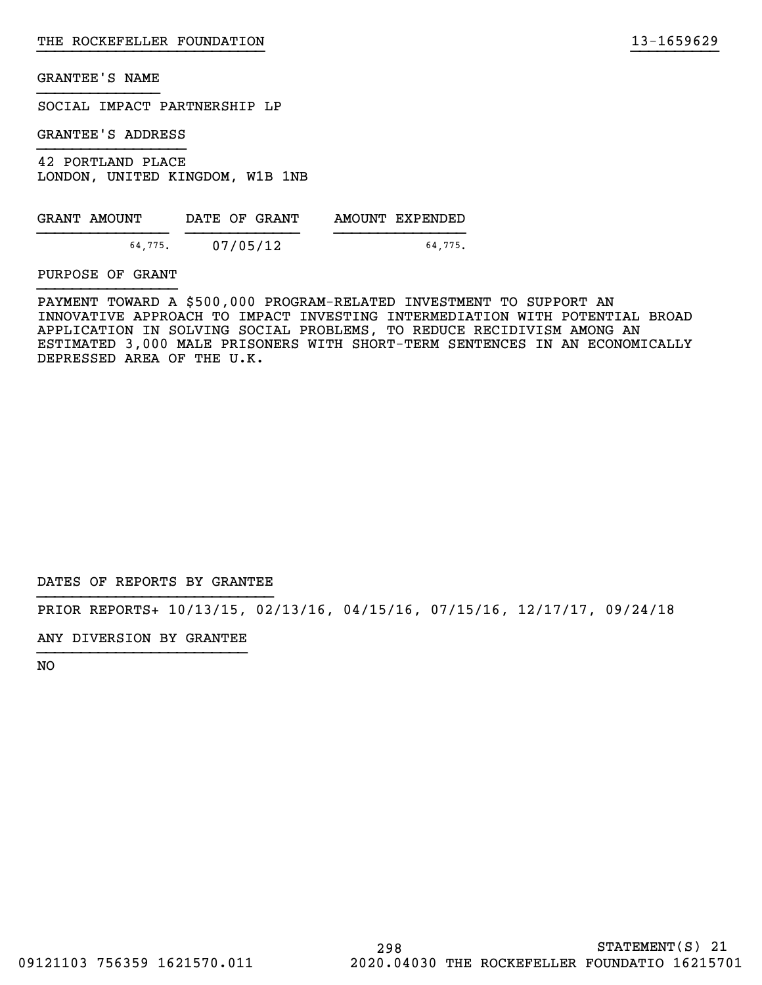SOCIAL IMPACT PARTNERSHIP LP

GRANTEE'S ADDRESS

42 PORTLAND PLACE LONDON, UNITED KINGDOM, W1B 1NB

| GRANT AMOUNT | DATE OF GRANT | AMOUNT EXPENDED |
|--------------|---------------|-----------------|
| 64.775.      | 07/05/12      | 64.775.         |

PURPOSE OF GRANT

PAYMENT TOWARD A \$500,000 PROGRAM-RELATED INVESTMENT TO SUPPORT AN INNOVATIVE APPROACH TO IMPACT INVESTING INTERMEDIATION WITH POTENTIAL BROAD APPLICATION IN SOLVING SOCIAL PROBLEMS, TO REDUCE RECIDIVISM AMONG AN ESTIMATED 3,000 MALE PRISONERS WITH SHORT-TERM SENTENCES IN AN ECONOMICALLY DEPRESSED AREA OF THE U.K.

}}}}}}}}}}}}}}}}}}}}}}}}}} }}}}}}}}}}

DATES OF REPORTS BY GRANTEE

PRIOR REPORTS+ 10/13/15, 02/13/16, 04/15/16, 07/15/16, 12/17/17, 09/24/18

ANY DIVERSION BY GRANTEE }}}}}}}}}}}}}}}}}}}}}}}}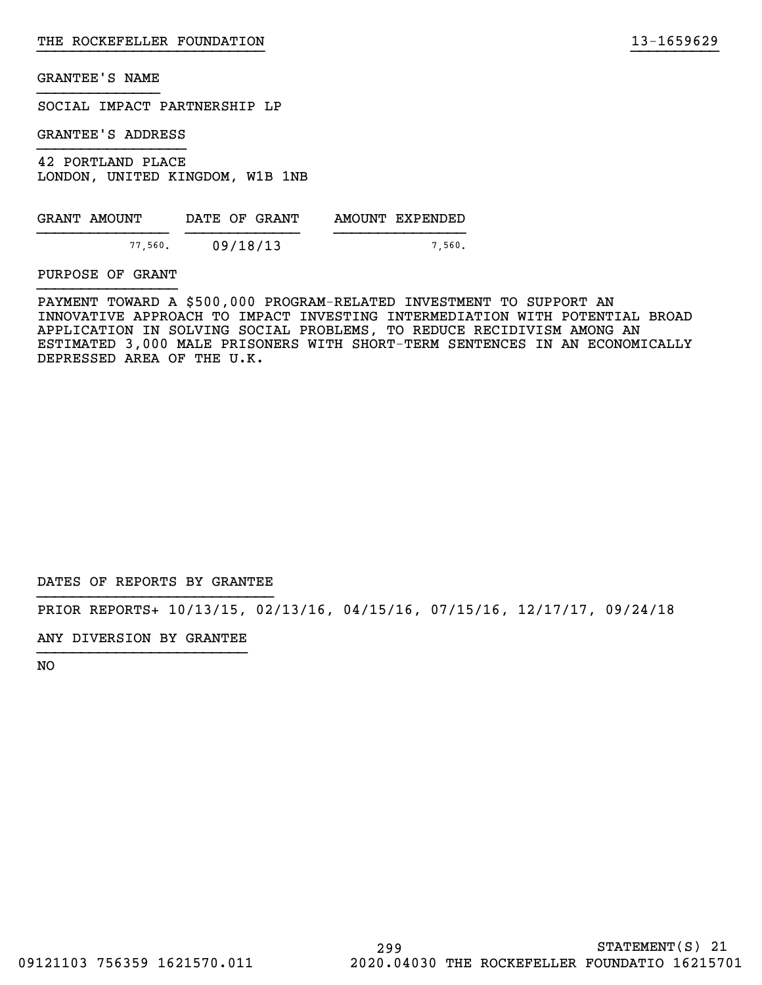SOCIAL IMPACT PARTNERSHIP LP

GRANTEE'S ADDRESS

42 PORTLAND PLACE LONDON, UNITED KINGDOM, W1B 1NB

| GRANT AMOUNT | DATE OF GRANT | AMOUNT EXPENDED |
|--------------|---------------|-----------------|
| 77,560.      | 09/18/13      | 7.560.          |

PURPOSE OF GRANT

PAYMENT TOWARD A \$500,000 PROGRAM-RELATED INVESTMENT TO SUPPORT AN INNOVATIVE APPROACH TO IMPACT INVESTING INTERMEDIATION WITH POTENTIAL BROAD APPLICATION IN SOLVING SOCIAL PROBLEMS, TO REDUCE RECIDIVISM AMONG AN ESTIMATED 3,000 MALE PRISONERS WITH SHORT-TERM SENTENCES IN AN ECONOMICALLY DEPRESSED AREA OF THE U.K.

}}}}}}}}}}}}}}}}}}}}}}}}}} }}}}}}}}}}

DATES OF REPORTS BY GRANTEE

PRIOR REPORTS+ 10/13/15, 02/13/16, 04/15/16, 07/15/16, 12/17/17, 09/24/18

ANY DIVERSION BY GRANTEE }}}}}}}}}}}}}}}}}}}}}}}}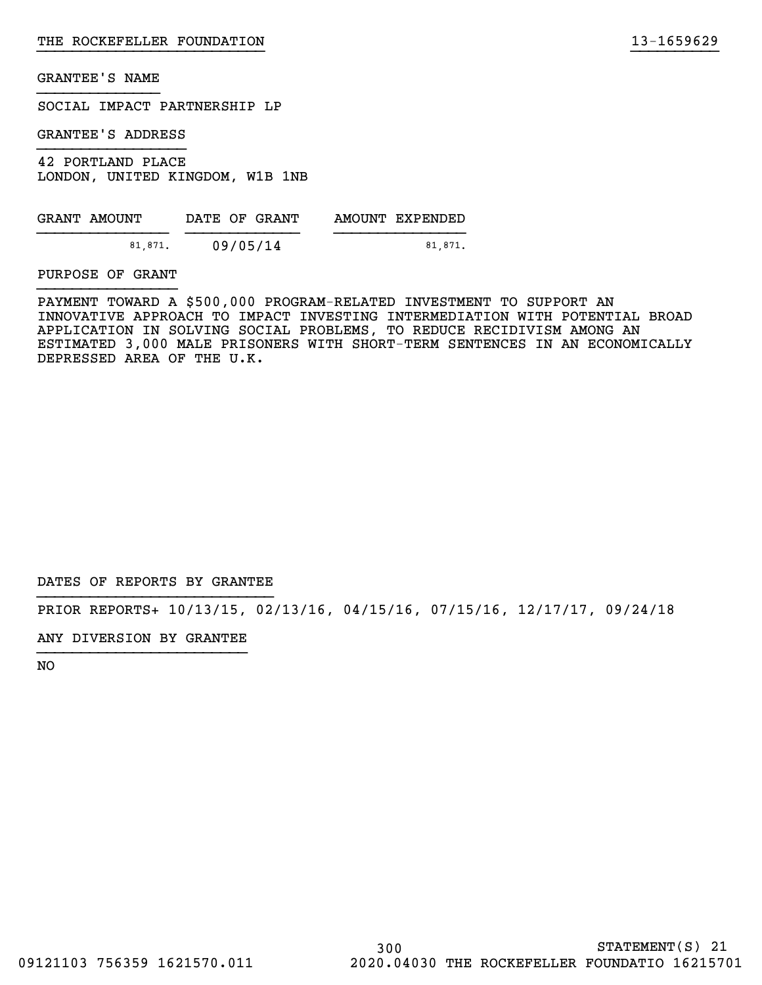SOCIAL IMPACT PARTNERSHIP LP

GRANTEE'S ADDRESS

42 PORTLAND PLACE LONDON, UNITED KINGDOM, W1B 1NB

| GRANT AMOUNT |         | DATE OF GRANT |  | AMOUNT EXPENDED |
|--------------|---------|---------------|--|-----------------|
|              | 81,871. | 09/05/14      |  | 81.871.         |

PURPOSE OF GRANT

PAYMENT TOWARD A \$500,000 PROGRAM-RELATED INVESTMENT TO SUPPORT AN INNOVATIVE APPROACH TO IMPACT INVESTING INTERMEDIATION WITH POTENTIAL BROAD APPLICATION IN SOLVING SOCIAL PROBLEMS, TO REDUCE RECIDIVISM AMONG AN ESTIMATED 3,000 MALE PRISONERS WITH SHORT-TERM SENTENCES IN AN ECONOMICALLY DEPRESSED AREA OF THE U.K.

}}}}}}}}}}}}}}}}}}}}}}}}}} }}}}}}}}}}

DATES OF REPORTS BY GRANTEE

PRIOR REPORTS+ 10/13/15, 02/13/16, 04/15/16, 07/15/16, 12/17/17, 09/24/18

ANY DIVERSION BY GRANTEE }}}}}}}}}}}}}}}}}}}}}}}}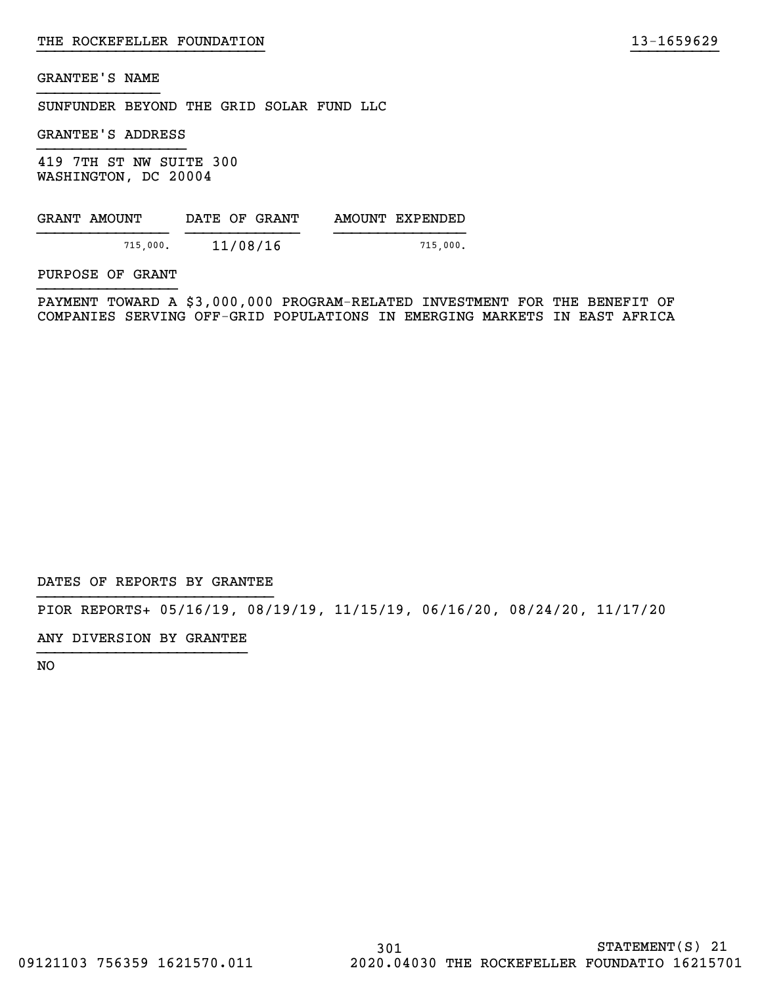SUNFUNDER BEYOND THE GRID SOLAR FUND LLC

GRANTEE'S ADDRESS

419 7TH ST NW SUITE 300 WASHINGTON, DC 20004

| GRANT AMOUNT | DATE OF GRANT | AMOUNT EXPENDED |
|--------------|---------------|-----------------|
| 715,000.     | 11/08/16      | 715.000.        |

PURPOSE OF GRANT

PAYMENT TOWARD A \$3,000,000 PROGRAM-RELATED INVESTMENT FOR THE BENEFIT OF COMPANIES SERVING OFF-GRID POPULATIONS IN EMERGING MARKETS IN EAST AFRICA

}}}}}}}}}}}}}}}}}}}}}}}}}} }}}}}}}}}}

DATES OF REPORTS BY GRANTEE

PIOR REPORTS+ 05/16/19, 08/19/19, 11/15/19, 06/16/20, 08/24/20, 11/17/20

ANY DIVERSION BY GRANTEE }}}}}}}}}}}}}}}}}}}}}}}}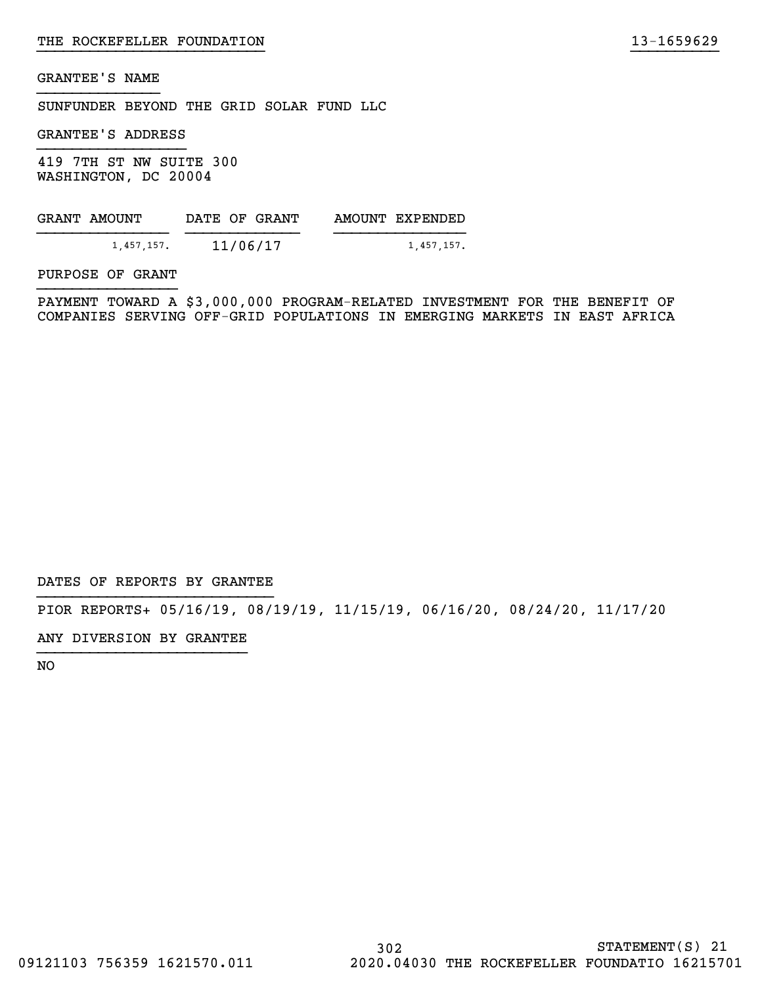SUNFUNDER BEYOND THE GRID SOLAR FUND LLC

GRANTEE'S ADDRESS

419 7TH ST NW SUITE 300 WASHINGTON, DC 20004

| GRANT AMOUNT | DATE OF GRANT | AMOUNT EXPENDED |
|--------------|---------------|-----------------|
| 1.457.157.   | 11/06/17      | 1,457,157.      |

PURPOSE OF GRANT

PAYMENT TOWARD A \$3,000,000 PROGRAM-RELATED INVESTMENT FOR THE BENEFIT OF COMPANIES SERVING OFF-GRID POPULATIONS IN EMERGING MARKETS IN EAST AFRICA

}}}}}}}}}}}}}}}}}}}}}}}}}} }}}}}}}}}}

DATES OF REPORTS BY GRANTEE

PIOR REPORTS+ 05/16/19, 08/19/19, 11/15/19, 06/16/20, 08/24/20, 11/17/20

ANY DIVERSION BY GRANTEE }}}}}}}}}}}}}}}}}}}}}}}}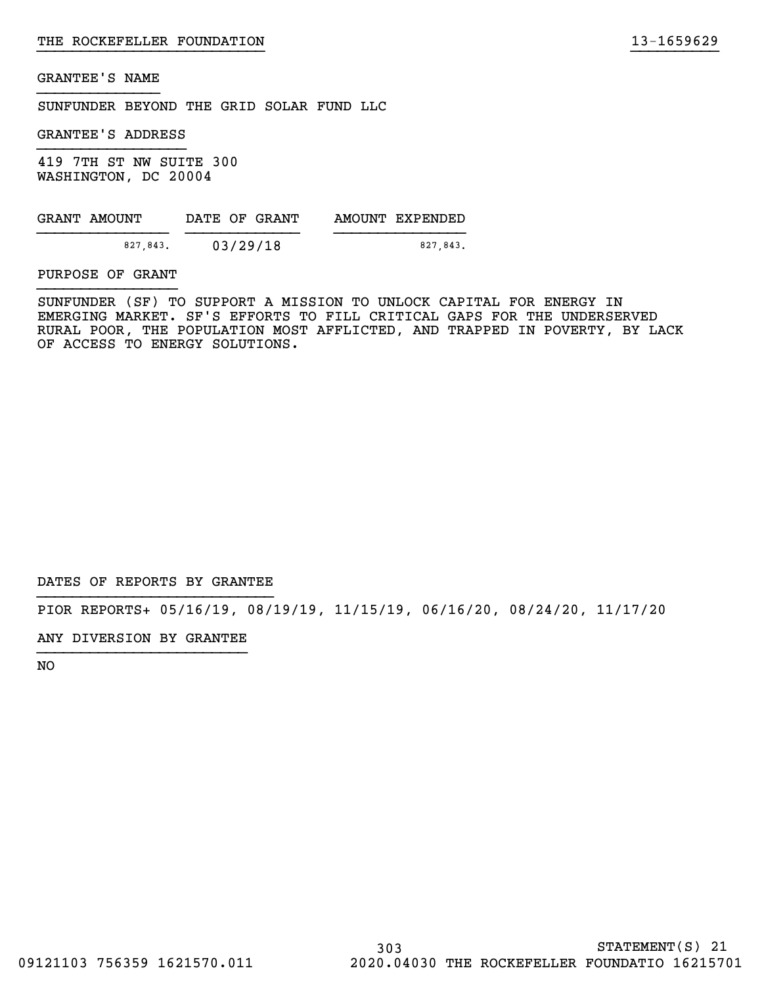SUNFUNDER BEYOND THE GRID SOLAR FUND LLC

GRANTEE'S ADDRESS

419 7TH ST NW SUITE 300 WASHINGTON, DC 20004

| GRANT AMOUNT | DATE OF GRANT | AMOUNT EXPENDED |
|--------------|---------------|-----------------|
|              |               |                 |
| 827.843.     | 03/29/18      | 827.843.        |

PURPOSE OF GRANT

SUNFUNDER (SF) TO SUPPORT A MISSION TO UNLOCK CAPITAL FOR ENERGY IN EMERGING MARKET. SF'S EFFORTS TO FILL CRITICAL GAPS FOR THE UNDERSERVED RURAL POOR, THE POPULATION MOST AFFLICTED, AND TRAPPED IN POVERTY, BY LACK OF ACCESS TO ENERGY SOLUTIONS.

}}}}}}}}}}}}}}}}}}}}}}}}}} }}}}}}}}}}

DATES OF REPORTS BY GRANTEE

PIOR REPORTS+ 05/16/19, 08/19/19, 11/15/19, 06/16/20, 08/24/20, 11/17/20

ANY DIVERSION BY GRANTEE }}}}}}}}}}}}}}}}}}}}}}}}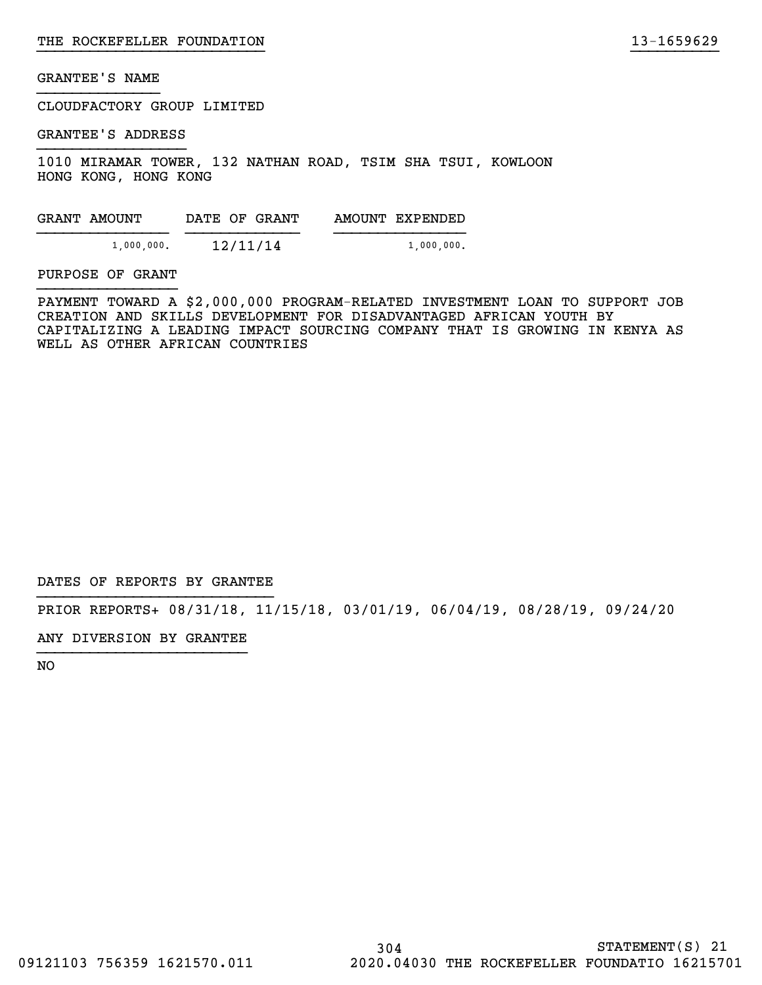CLOUDFACTORY GROUP LIMITED

GRANTEE'S ADDRESS

1010 MIRAMAR TOWER, 132 NATHAN ROAD, TSIM SHA TSUI, KOWLOON HONG KONG, HONG KONG

| GRANT AMOUNT  | DATE OF GRANT | AMOUNT EXPENDED |
|---------------|---------------|-----------------|
| $1,000,000$ . | 12/11/14      | $1,000,000$ .   |

#### PURPOSE OF GRANT

PAYMENT TOWARD A \$2,000,000 PROGRAM-RELATED INVESTMENT LOAN TO SUPPORT JOB CREATION AND SKILLS DEVELOPMENT FOR DISADVANTAGED AFRICAN YOUTH BY CAPITALIZING A LEADING IMPACT SOURCING COMPANY THAT IS GROWING IN KENYA AS WELL AS OTHER AFRICAN COUNTRIES

}}}}}}}}}}}}}}}}}}}}}}}}}} }}}}}}}}}}

DATES OF REPORTS BY GRANTEE

PRIOR REPORTS+ 08/31/18, 11/15/18, 03/01/19, 06/04/19, 08/28/19, 09/24/20

ANY DIVERSION BY GRANTEE }}}}}}}}}}}}}}}}}}}}}}}}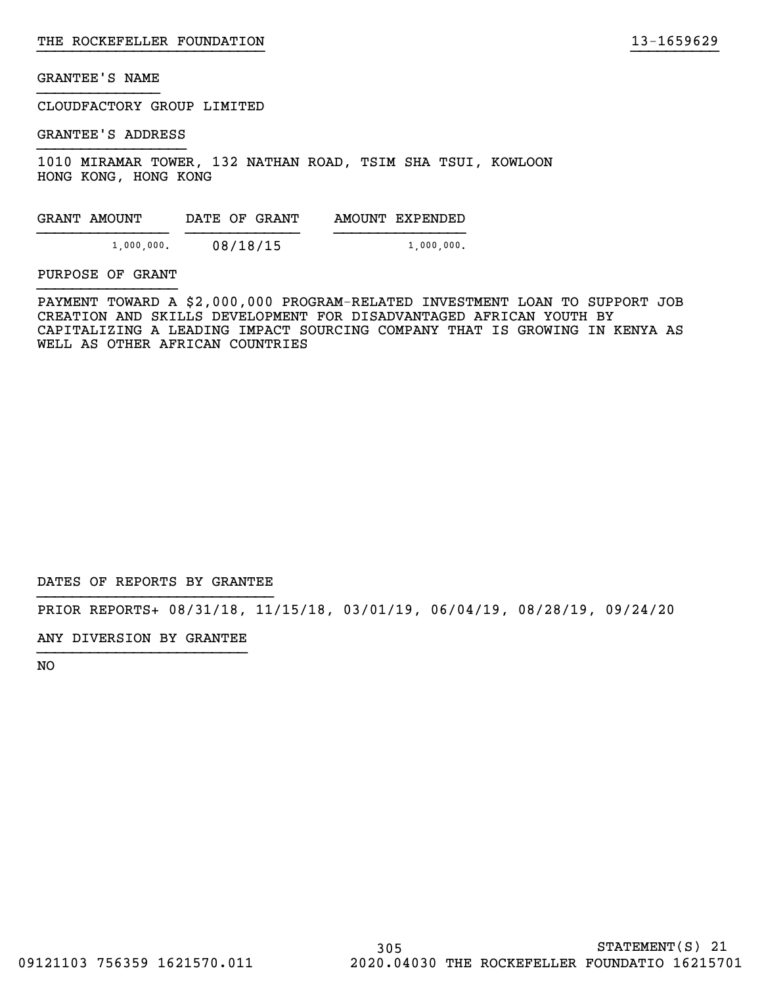CLOUDFACTORY GROUP LIMITED

GRANTEE'S ADDRESS

1010 MIRAMAR TOWER, 132 NATHAN ROAD, TSIM SHA TSUI, KOWLOON HONG KONG, HONG KONG

| GRANT AMOUNT  | DATE OF GRANT | AMOUNT EXPENDED |
|---------------|---------------|-----------------|
| $1,000,000$ . | 08/18/15      | $1,000,000$ .   |

### PURPOSE OF GRANT

PAYMENT TOWARD A \$2,000,000 PROGRAM-RELATED INVESTMENT LOAN TO SUPPORT JOB CREATION AND SKILLS DEVELOPMENT FOR DISADVANTAGED AFRICAN YOUTH BY CAPITALIZING A LEADING IMPACT SOURCING COMPANY THAT IS GROWING IN KENYA AS WELL AS OTHER AFRICAN COUNTRIES

}}}}}}}}}}}}}}}}}}}}}}}}}} }}}}}}}}}}

DATES OF REPORTS BY GRANTEE

PRIOR REPORTS+ 08/31/18, 11/15/18, 03/01/19, 06/04/19, 08/28/19, 09/24/20

ANY DIVERSION BY GRANTEE }}}}}}}}}}}}}}}}}}}}}}}}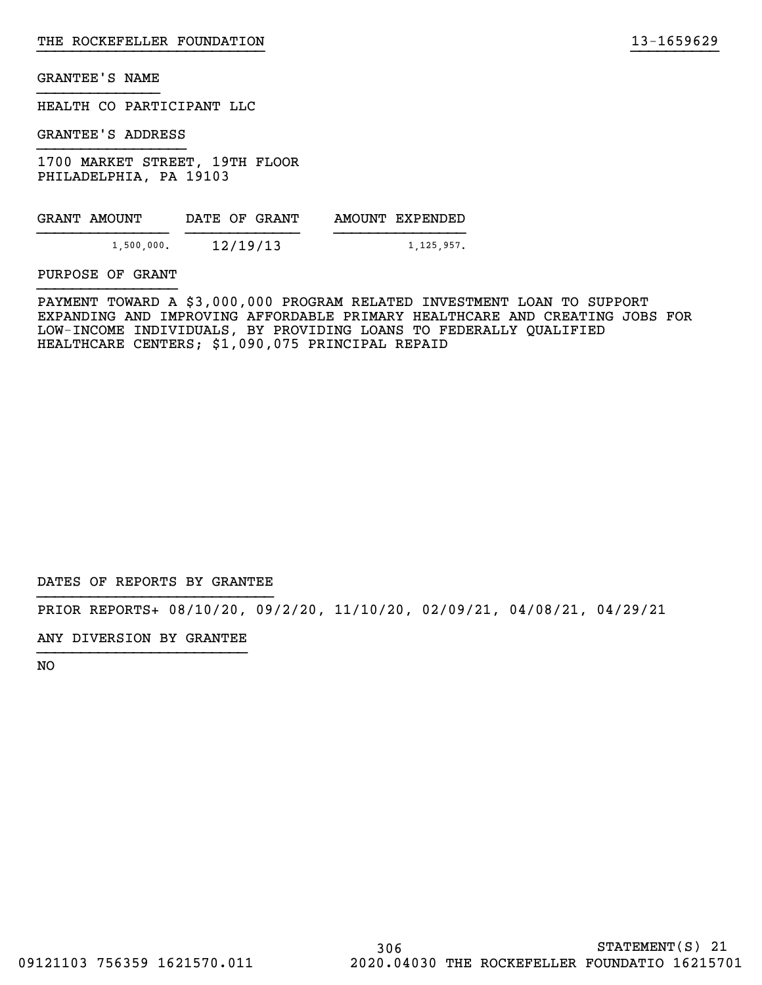HEALTH CO PARTICIPANT LLC

GRANTEE'S ADDRESS

1700 MARKET STREET, 19TH FLOOR PHILADELPHIA, PA 19103

| GRANT AMOUNT |            | DATE OF GRANT |  | AMOUNT EXPENDED |
|--------------|------------|---------------|--|-----------------|
|              | 1,500,000. | 12/19/13      |  | 1,125,957.      |

PURPOSE OF GRANT

PAYMENT TOWARD A \$3,000,000 PROGRAM RELATED INVESTMENT LOAN TO SUPPORT EXPANDING AND IMPROVING AFFORDABLE PRIMARY HEALTHCARE AND CREATING JOBS FOR LOW-INCOME INDIVIDUALS, BY PROVIDING LOANS TO FEDERALLY QUALIFIED HEALTHCARE CENTERS; \$1,090,075 PRINCIPAL REPAID

}}}}}}}}}}}}}}}}}}}}}}}}}} }}}}}}}}}}

DATES OF REPORTS BY GRANTEE

PRIOR REPORTS+ 08/10/20, 09/2/20, 11/10/20, 02/09/21, 04/08/21, 04/29/21

ANY DIVERSION BY GRANTEE }}}}}}}}}}}}}}}}}}}}}}}}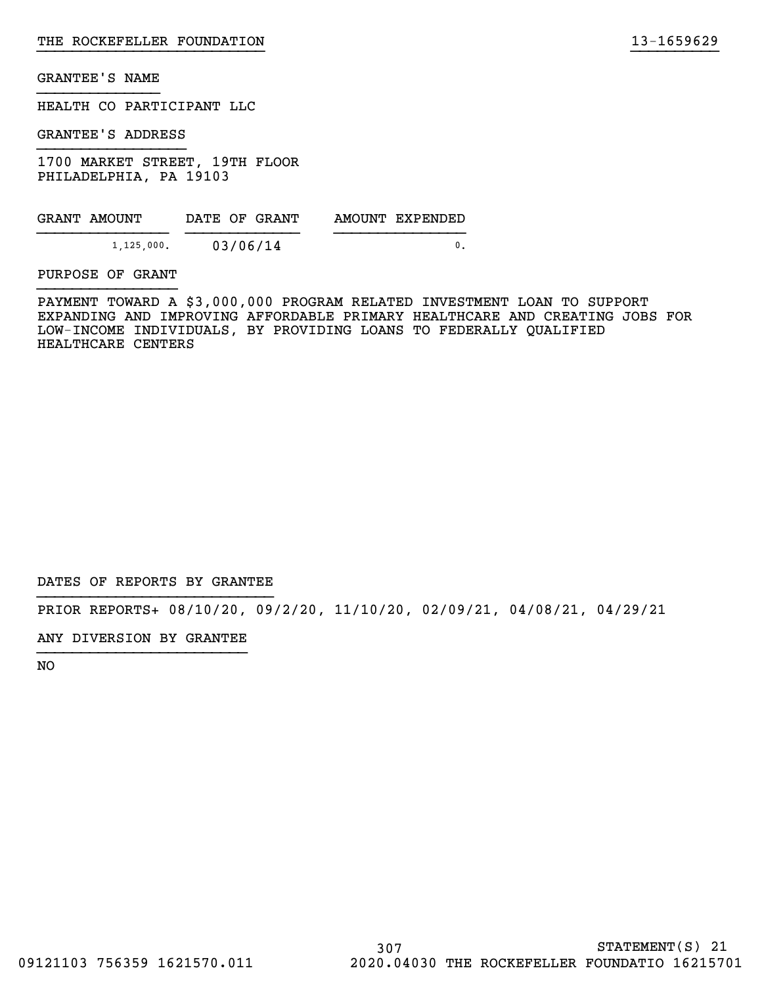HEALTH CO PARTICIPANT LLC

GRANTEE'S ADDRESS

1700 MARKET STREET, 19TH FLOOR PHILADELPHIA, PA 19103

| GRANT AMOUNT  | DATE OF GRANT | AMOUNT EXPENDED |
|---------------|---------------|-----------------|
| $1,125,000$ . | 03/06/14      |                 |

PURPOSE OF GRANT

PAYMENT TOWARD A \$3,000,000 PROGRAM RELATED INVESTMENT LOAN TO SUPPORT EXPANDING AND IMPROVING AFFORDABLE PRIMARY HEALTHCARE AND CREATING JOBS FOR LOW-INCOME INDIVIDUALS, BY PROVIDING LOANS TO FEDERALLY QUALIFIED HEALTHCARE CENTERS

}}}}}}}}}}}}}}}}}}}}}}}}}} }}}}}}}}}}

DATES OF REPORTS BY GRANTEE

PRIOR REPORTS+ 08/10/20, 09/2/20, 11/10/20, 02/09/21, 04/08/21, 04/29/21

ANY DIVERSION BY GRANTEE }}}}}}}}}}}}}}}}}}}}}}}}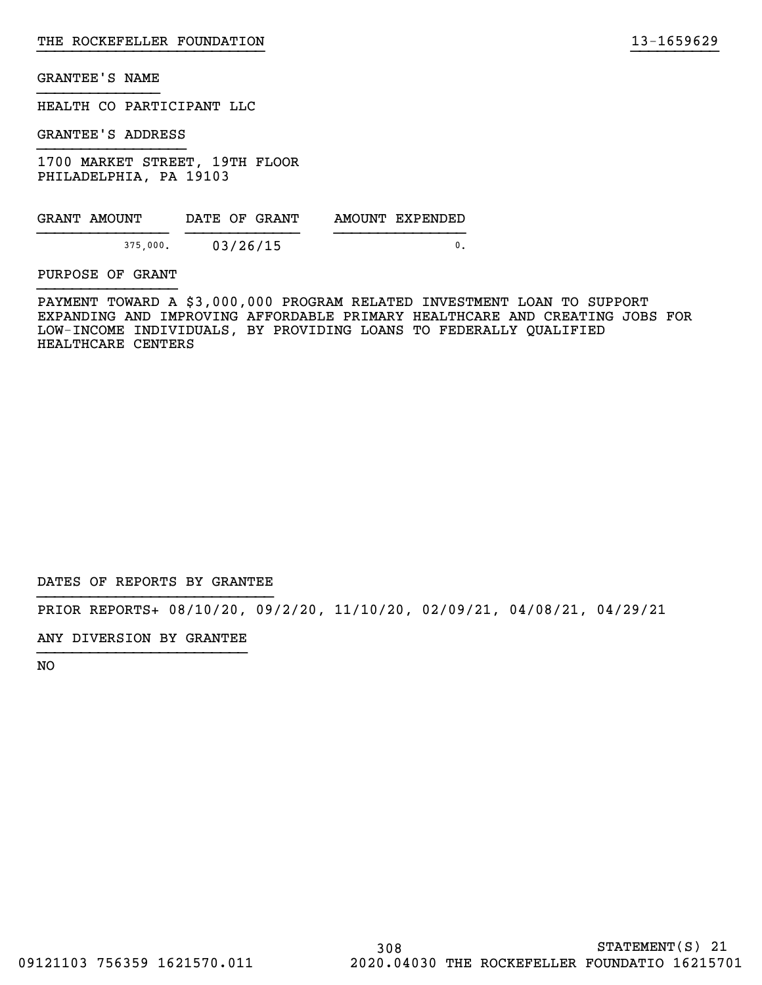HEALTH CO PARTICIPANT LLC

GRANTEE'S ADDRESS

1700 MARKET STREET, 19TH FLOOR PHILADELPHIA, PA 19103

| GRANT AMOUNT | DATE OF GRANT | AMOUNT EXPENDED |
|--------------|---------------|-----------------|
| 375,000.     | 03/26/15      |                 |

PURPOSE OF GRANT

PAYMENT TOWARD A \$3,000,000 PROGRAM RELATED INVESTMENT LOAN TO SUPPORT EXPANDING AND IMPROVING AFFORDABLE PRIMARY HEALTHCARE AND CREATING JOBS FOR LOW-INCOME INDIVIDUALS, BY PROVIDING LOANS TO FEDERALLY QUALIFIED HEALTHCARE CENTERS

}}}}}}}}}}}}}}}}}}}}}}}}}} }}}}}}}}}}

DATES OF REPORTS BY GRANTEE

PRIOR REPORTS+ 08/10/20, 09/2/20, 11/10/20, 02/09/21, 04/08/21, 04/29/21

ANY DIVERSION BY GRANTEE }}}}}}}}}}}}}}}}}}}}}}}}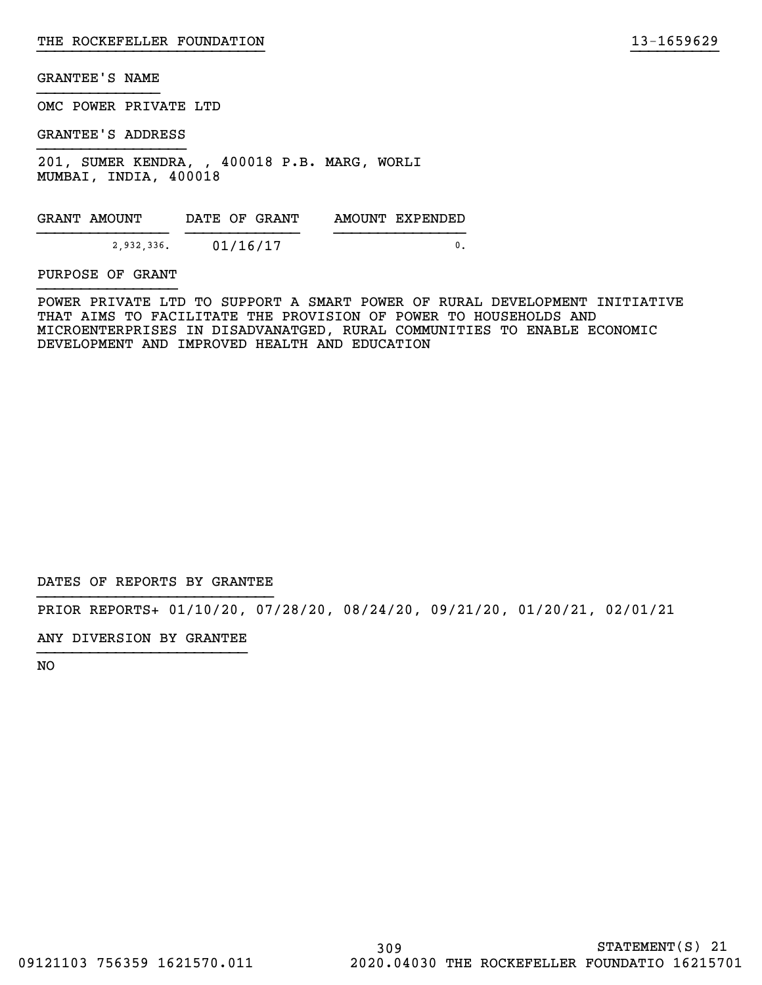OMC POWER PRIVATE LTD

GRANTEE'S ADDRESS

201, SUMER KENDRA, , 400018 P.B. MARG, WORLI MUMBAI, INDIA, 400018

GRANT AMOUNT DATE OF GRANT AMOUNT EXPENDED }}}}}}}}}}}}}}} }}}}}}}}}}}}} }}}}}}}}}}}}}}} 2,932,336. 01/16/17 0.

PURPOSE OF GRANT

POWER PRIVATE LTD TO SUPPORT A SMART POWER OF RURAL DEVELOPMENT INITIATIVE THAT AIMS TO FACILITATE THE PROVISION OF POWER TO HOUSEHOLDS AND MICROENTERPRISES IN DISADVANATGED, RURAL COMMUNITIES TO ENABLE ECONOMIC DEVELOPMENT AND IMPROVED HEALTH AND EDUCATION

}}}}}}}}}}}}}}}}}}}}}}}}}} }}}}}}}}}}

DATES OF REPORTS BY GRANTEE

PRIOR REPORTS+ 01/10/20, 07/28/20, 08/24/20, 09/21/20, 01/20/21, 02/01/21

ANY DIVERSION BY GRANTEE }}}}}}}}}}}}}}}}}}}}}}}}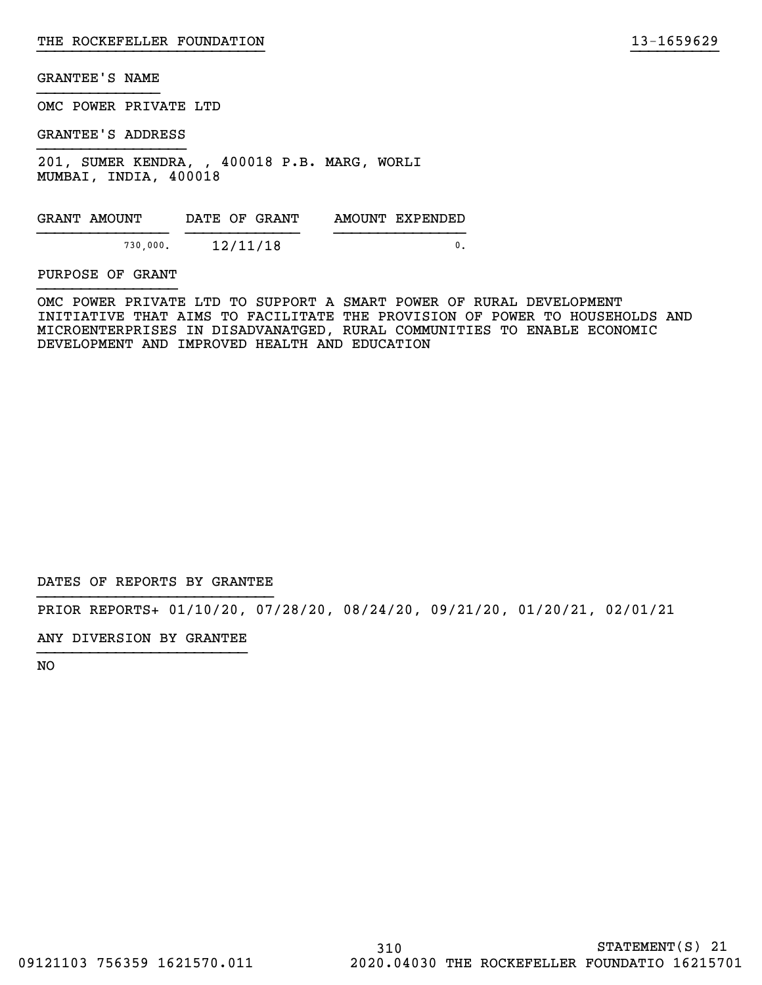OMC POWER PRIVATE LTD

GRANTEE'S ADDRESS

201, SUMER KENDRA, , 400018 P.B. MARG, WORLI MUMBAI, INDIA, 400018

GRANT AMOUNT DATE OF GRANT AMOUNT EXPENDED }}}}}}}}}}}}}}} }}}}}}}}}}}}} }}}}}}}}}}}}}}} 730,000. 12/11/18 0.

PURPOSE OF GRANT

OMC POWER PRIVATE LTD TO SUPPORT A SMART POWER OF RURAL DEVELOPMENT INITIATIVE THAT AIMS TO FACILITATE THE PROVISION OF POWER TO HOUSEHOLDS AND MICROENTERPRISES IN DISADVANATGED, RURAL COMMUNITIES TO ENABLE ECONOMIC DEVELOPMENT AND IMPROVED HEALTH AND EDUCATION

}}}}}}}}}}}}}}}}}}}}}}}}}} }}}}}}}}}}

DATES OF REPORTS BY GRANTEE

PRIOR REPORTS+ 01/10/20, 07/28/20, 08/24/20, 09/21/20, 01/20/21, 02/01/21

ANY DIVERSION BY GRANTEE }}}}}}}}}}}}}}}}}}}}}}}}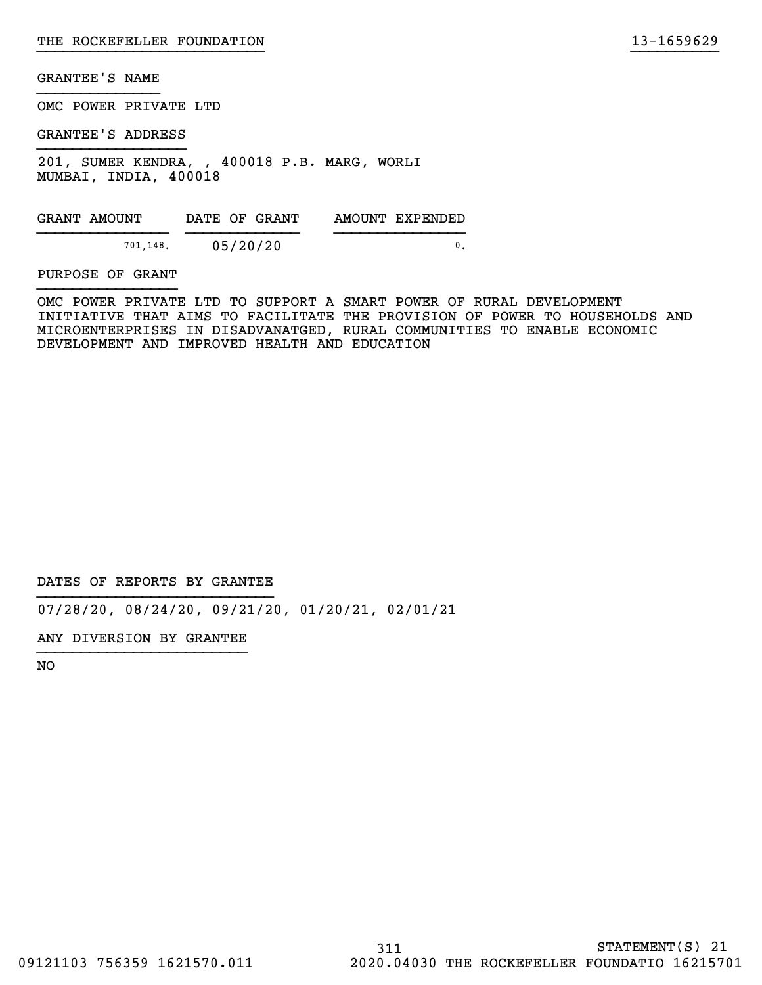OMC POWER PRIVATE LTD

GRANTEE'S ADDRESS

201, SUMER KENDRA, , 400018 P.B. MARG, WORLI MUMBAI, INDIA, 400018

GRANT AMOUNT DATE OF GRANT AMOUNT EXPENDED }}}}}}}}}}}}}}} }}}}}}}}}}}}} }}}}}}}}}}}}}}} 701,148. 05/20/20 0.

PURPOSE OF GRANT

OMC POWER PRIVATE LTD TO SUPPORT A SMART POWER OF RURAL DEVELOPMENT INITIATIVE THAT AIMS TO FACILITATE THE PROVISION OF POWER TO HOUSEHOLDS AND MICROENTERPRISES IN DISADVANATGED, RURAL COMMUNITIES TO ENABLE ECONOMIC DEVELOPMENT AND IMPROVED HEALTH AND EDUCATION

}}}}}}}}}}}}}}}}}}}}}}}}}} }}}}}}}}}}

DATES OF REPORTS BY GRANTEE

07/28/20, 08/24/20, 09/21/20, 01/20/21, 02/01/21

ANY DIVERSION BY GRANTEE }}}}}}}}}}}}}}}}}}}}}}}}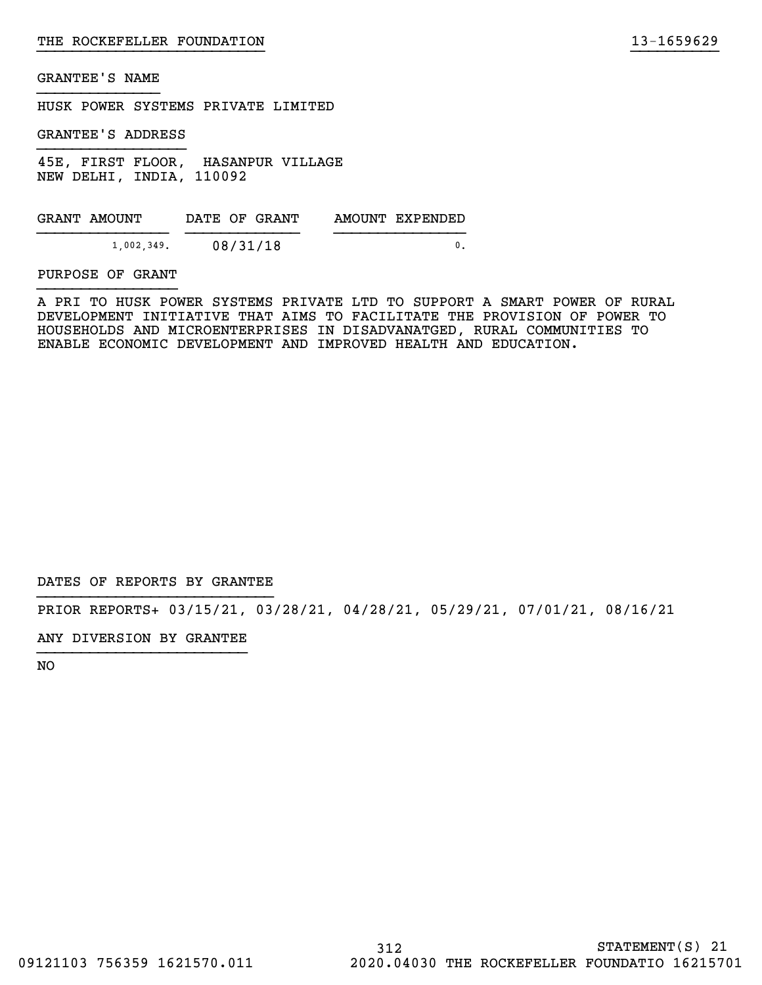HUSK POWER SYSTEMS PRIVATE LIMITED

GRANTEE'S ADDRESS

45E, FIRST FLOOR, HASANPUR VILLAGE NEW DELHI, INDIA, 110092

GRANT AMOUNT DATE OF GRANT AMOUNT EXPENDED }}}}}}}}}}}}}}} }}}}}}}}}}}}} }}}}}}}}}}}}}}} 1,002,349. 08/31/18 0.

PURPOSE OF GRANT

A PRI TO HUSK POWER SYSTEMS PRIVATE LTD TO SUPPORT A SMART POWER OF RURAL DEVELOPMENT INITIATIVE THAT AIMS TO FACILITATE THE PROVISION OF POWER TO HOUSEHOLDS AND MICROENTERPRISES IN DISADVANATGED, RURAL COMMUNITIES TO ENABLE ECONOMIC DEVELOPMENT AND IMPROVED HEALTH AND EDUCATION.

}}}}}}}}}}}}}}}}}}}}}}}}}} }}}}}}}}}}

DATES OF REPORTS BY GRANTEE

PRIOR REPORTS+ 03/15/21, 03/28/21, 04/28/21, 05/29/21, 07/01/21, 08/16/21

ANY DIVERSION BY GRANTEE }}}}}}}}}}}}}}}}}}}}}}}}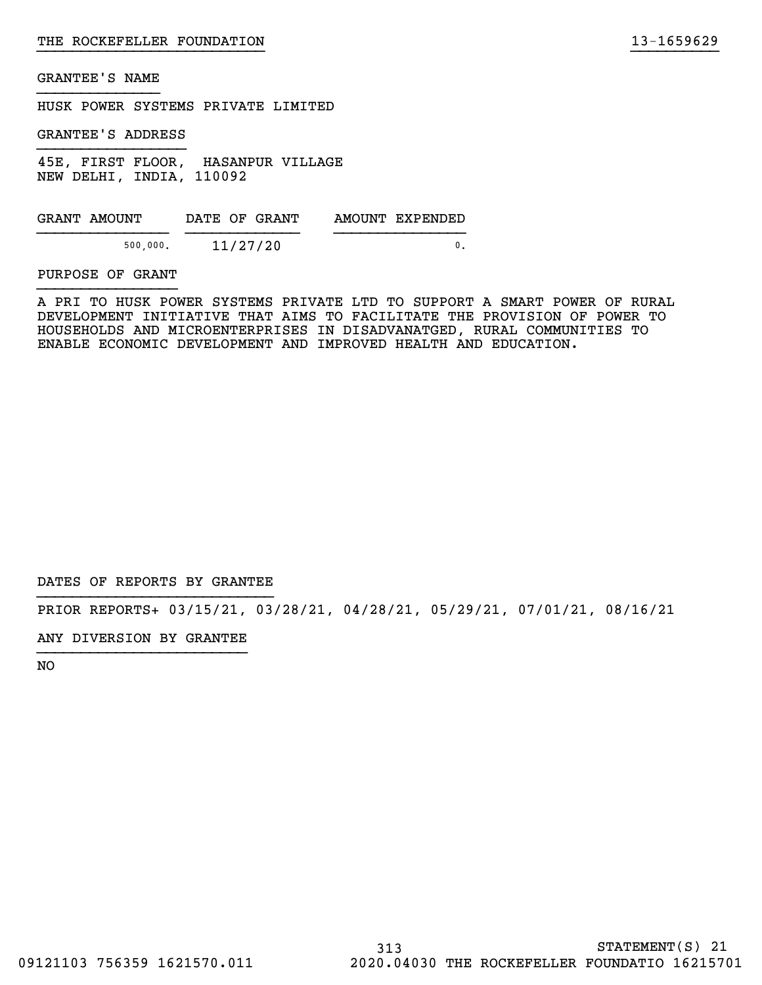HUSK POWER SYSTEMS PRIVATE LIMITED

GRANTEE'S ADDRESS

45E, FIRST FLOOR, HASANPUR VILLAGE NEW DELHI, INDIA, 110092

| GRANT AMOUNT | DATE OF GRANT | AMOUNT EXPENDED |
|--------------|---------------|-----------------|
| 500,000.     | 11/27/20      |                 |

#### PURPOSE OF GRANT

A PRI TO HUSK POWER SYSTEMS PRIVATE LTD TO SUPPORT A SMART POWER OF RURAL DEVELOPMENT INITIATIVE THAT AIMS TO FACILITATE THE PROVISION OF POWER TO HOUSEHOLDS AND MICROENTERPRISES IN DISADVANATGED, RURAL COMMUNITIES TO ENABLE ECONOMIC DEVELOPMENT AND IMPROVED HEALTH AND EDUCATION.

}}}}}}}}}}}}}}}}}}}}}}}}}} }}}}}}}}}}

DATES OF REPORTS BY GRANTEE

PRIOR REPORTS+ 03/15/21, 03/28/21, 04/28/21, 05/29/21, 07/01/21, 08/16/21

ANY DIVERSION BY GRANTEE }}}}}}}}}}}}}}}}}}}}}}}}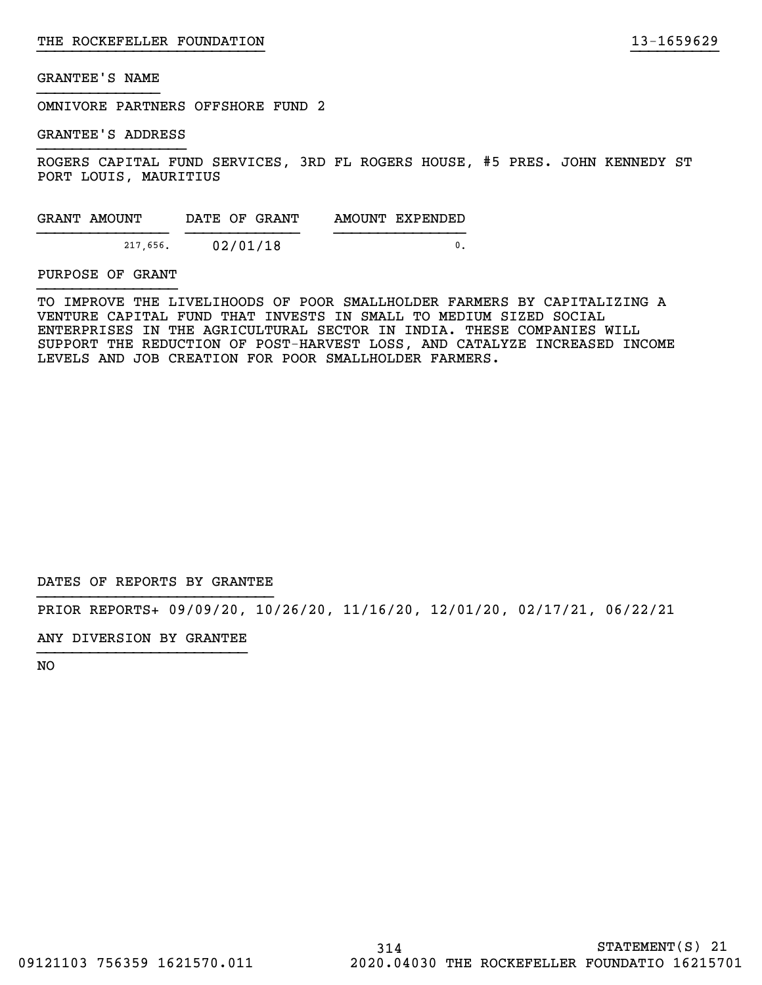OMNIVORE PARTNERS OFFSHORE FUND 2

GRANTEE'S ADDRESS

ROGERS CAPITAL FUND SERVICES, 3RD FL ROGERS HOUSE, #5 PRES. JOHN KENNEDY ST PORT LOUIS, MAURITIUS

}}}}}}}}}}}}}}}}}}}}}}}}}} }}}}}}}}}}

| GRANT AMOUNT | DATE OF GRANT | AMOUNT EXPENDED |
|--------------|---------------|-----------------|
| 217,656.     | 02/01/18      |                 |

#### PURPOSE OF GRANT

TO IMPROVE THE LIVELIHOODS OF POOR SMALLHOLDER FARMERS BY CAPITALIZING A VENTURE CAPITAL FUND THAT INVESTS IN SMALL TO MEDIUM SIZED SOCIAL ENTERPRISES IN THE AGRICULTURAL SECTOR IN INDIA. THESE COMPANIES WILL SUPPORT THE REDUCTION OF POST-HARVEST LOSS, AND CATALYZE INCREASED INCOME LEVELS AND JOB CREATION FOR POOR SMALLHOLDER FARMERS.

DATES OF REPORTS BY GRANTEE

PRIOR REPORTS+ 09/09/20, 10/26/20, 11/16/20, 12/01/20, 02/17/21, 06/22/21

ANY DIVERSION BY GRANTEE }}}}}}}}}}}}}}}}}}}}}}}}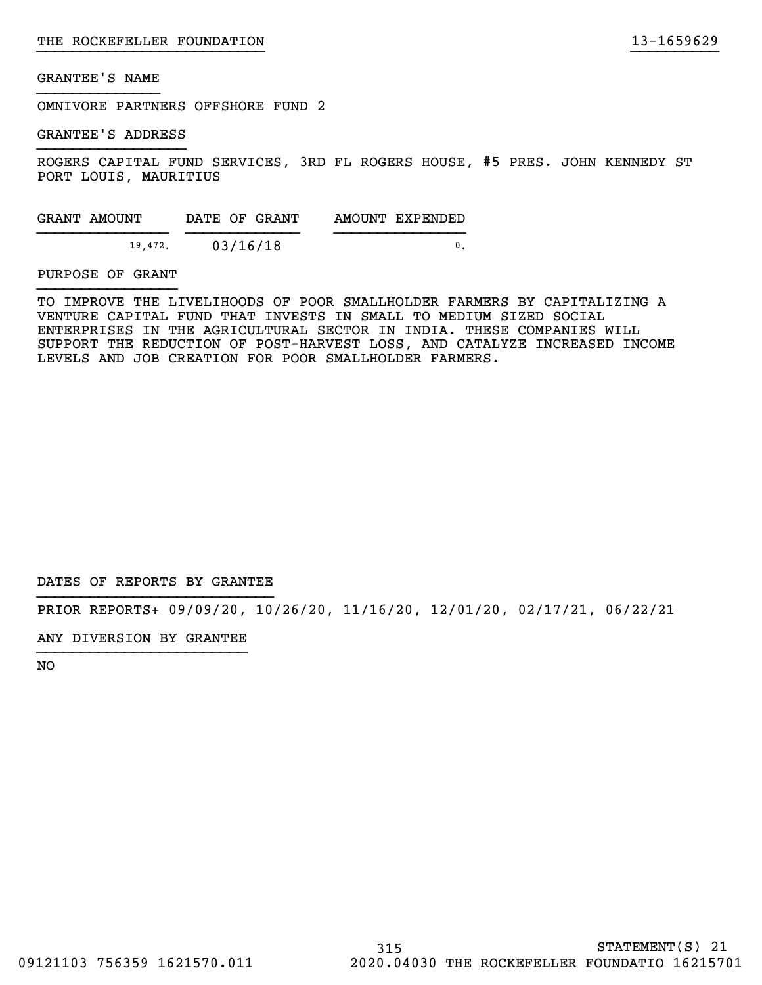OMNIVORE PARTNERS OFFSHORE FUND 2

GRANTEE'S ADDRESS

ROGERS CAPITAL FUND SERVICES, 3RD FL ROGERS HOUSE, #5 PRES. JOHN KENNEDY ST PORT LOUIS, MAURITIUS

}}}}}}}}}}}}}}}}}}}}}}}}}} }}}}}}}}}}

| GRANT AMOUNT | DATE OF GRANT | AMOUNT EXPENDED |
|--------------|---------------|-----------------|
| 19,472.      | 03/16/18      |                 |

#### PURPOSE OF GRANT

TO IMPROVE THE LIVELIHOODS OF POOR SMALLHOLDER FARMERS BY CAPITALIZING A VENTURE CAPITAL FUND THAT INVESTS IN SMALL TO MEDIUM SIZED SOCIAL ENTERPRISES IN THE AGRICULTURAL SECTOR IN INDIA. THESE COMPANIES WILL SUPPORT THE REDUCTION OF POST-HARVEST LOSS, AND CATALYZE INCREASED INCOME LEVELS AND JOB CREATION FOR POOR SMALLHOLDER FARMERS.

DATES OF REPORTS BY GRANTEE

PRIOR REPORTS+ 09/09/20, 10/26/20, 11/16/20, 12/01/20, 02/17/21, 06/22/21

ANY DIVERSION BY GRANTEE }}}}}}}}}}}}}}}}}}}}}}}}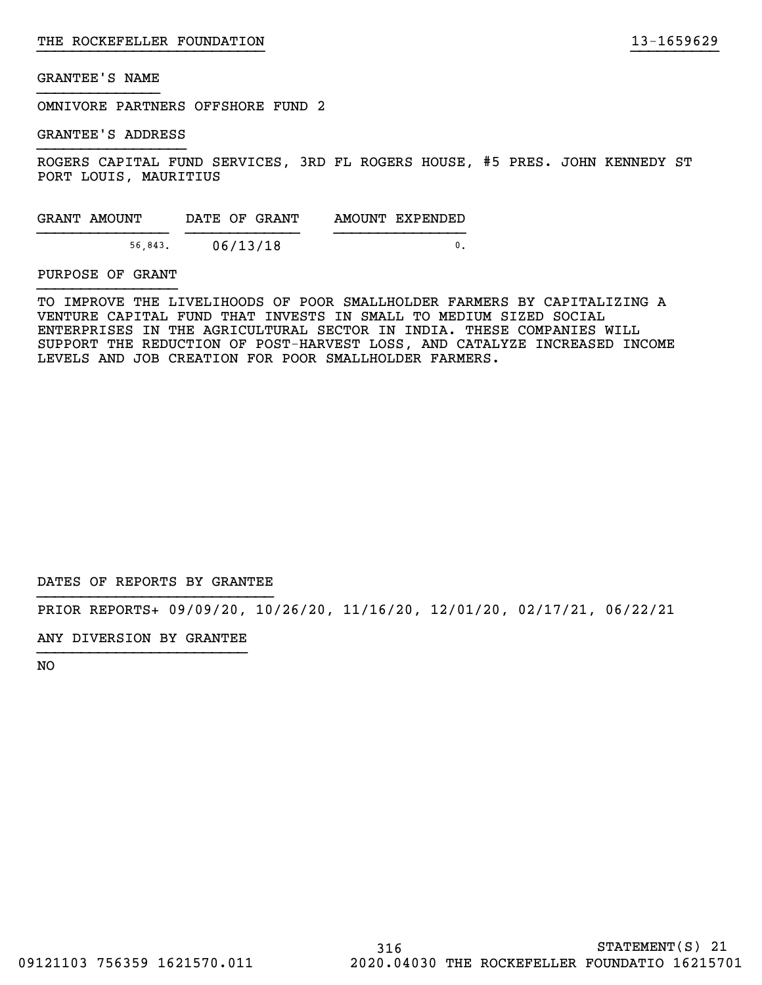OMNIVORE PARTNERS OFFSHORE FUND 2

GRANTEE'S ADDRESS

ROGERS CAPITAL FUND SERVICES, 3RD FL ROGERS HOUSE, #5 PRES. JOHN KENNEDY ST PORT LOUIS, MAURITIUS

}}}}}}}}}}}}}}}}}}}}}}}}}} }}}}}}}}}}

| GRANT AMOUNT | DATE OF GRANT | AMOUNT EXPENDED |
|--------------|---------------|-----------------|
| 56.843.      | 06/13/18      |                 |

#### PURPOSE OF GRANT

TO IMPROVE THE LIVELIHOODS OF POOR SMALLHOLDER FARMERS BY CAPITALIZING A VENTURE CAPITAL FUND THAT INVESTS IN SMALL TO MEDIUM SIZED SOCIAL ENTERPRISES IN THE AGRICULTURAL SECTOR IN INDIA. THESE COMPANIES WILL SUPPORT THE REDUCTION OF POST-HARVEST LOSS, AND CATALYZE INCREASED INCOME LEVELS AND JOB CREATION FOR POOR SMALLHOLDER FARMERS.

DATES OF REPORTS BY GRANTEE

PRIOR REPORTS+ 09/09/20, 10/26/20, 11/16/20, 12/01/20, 02/17/21, 06/22/21

ANY DIVERSION BY GRANTEE }}}}}}}}}}}}}}}}}}}}}}}}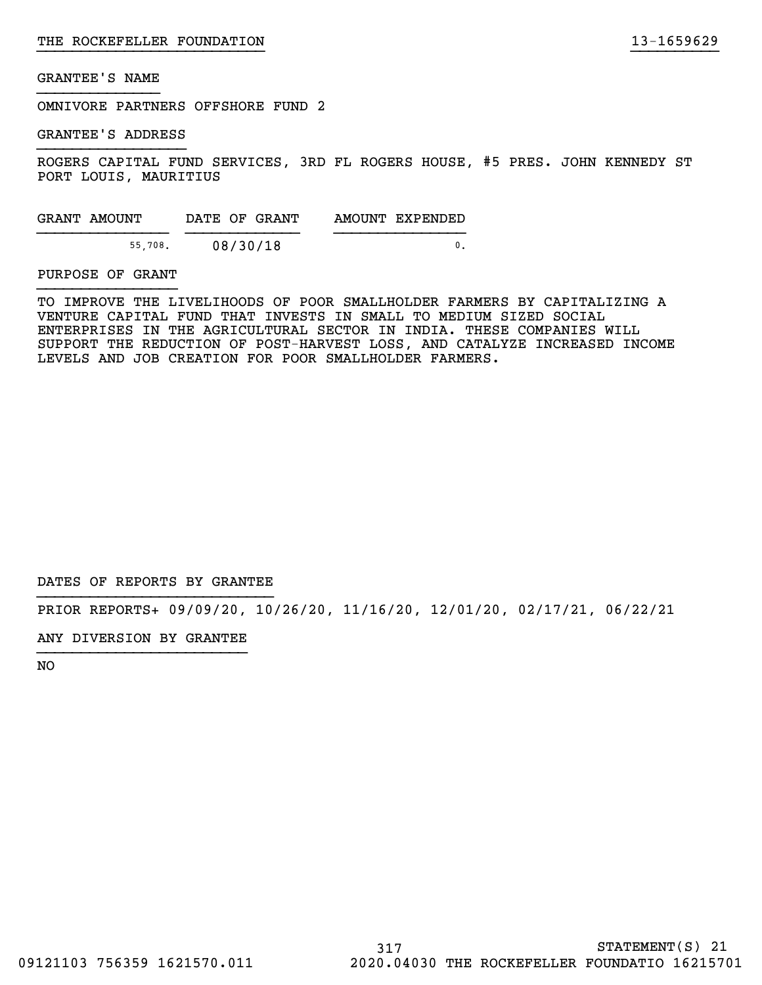OMNIVORE PARTNERS OFFSHORE FUND 2

GRANTEE'S ADDRESS

ROGERS CAPITAL FUND SERVICES, 3RD FL ROGERS HOUSE, #5 PRES. JOHN KENNEDY ST PORT LOUIS, MAURITIUS

}}}}}}}}}}}}}}}}}}}}}}}}}} }}}}}}}}}}

| GRANT AMOUNT | DATE OF GRANT | AMOUNT EXPENDED |
|--------------|---------------|-----------------|
| 55.708.      | 08/30/18      |                 |

#### PURPOSE OF GRANT

TO IMPROVE THE LIVELIHOODS OF POOR SMALLHOLDER FARMERS BY CAPITALIZING A VENTURE CAPITAL FUND THAT INVESTS IN SMALL TO MEDIUM SIZED SOCIAL ENTERPRISES IN THE AGRICULTURAL SECTOR IN INDIA. THESE COMPANIES WILL SUPPORT THE REDUCTION OF POST-HARVEST LOSS, AND CATALYZE INCREASED INCOME LEVELS AND JOB CREATION FOR POOR SMALLHOLDER FARMERS.

DATES OF REPORTS BY GRANTEE

PRIOR REPORTS+ 09/09/20, 10/26/20, 11/16/20, 12/01/20, 02/17/21, 06/22/21

ANY DIVERSION BY GRANTEE }}}}}}}}}}}}}}}}}}}}}}}}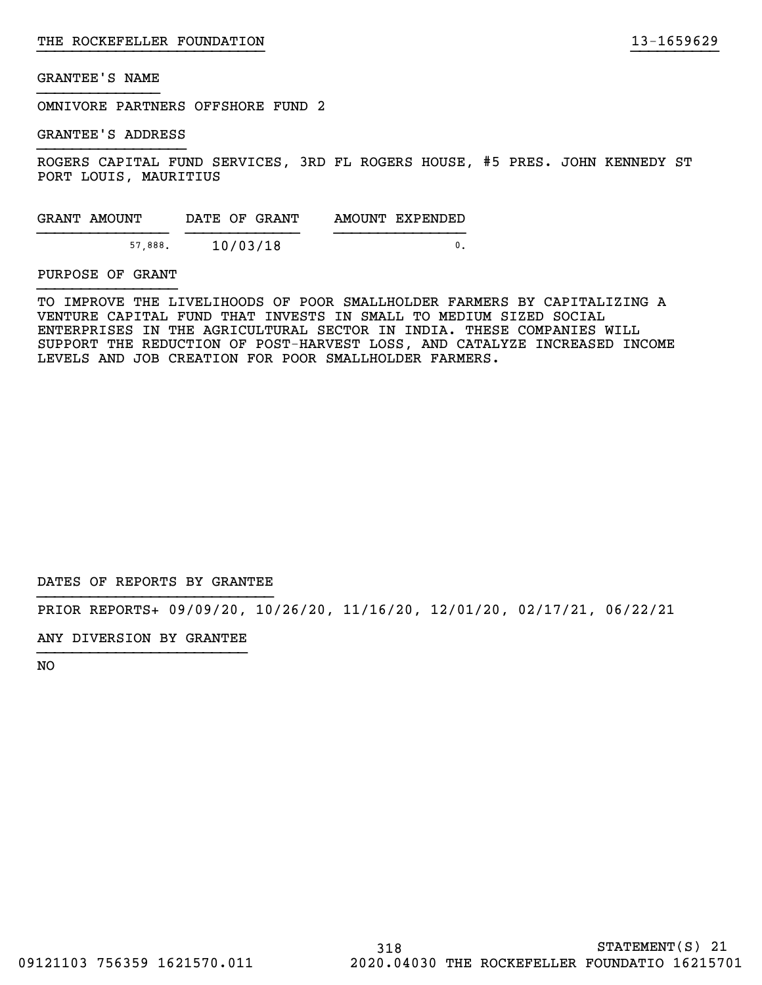OMNIVORE PARTNERS OFFSHORE FUND 2

GRANTEE'S ADDRESS

ROGERS CAPITAL FUND SERVICES, 3RD FL ROGERS HOUSE, #5 PRES. JOHN KENNEDY ST PORT LOUIS, MAURITIUS

}}}}}}}}}}}}}}}}}}}}}}}}}} }}}}}}}}}}

| GRANT AMOUNT | DATE OF GRANT | AMOUNT EXPENDED |
|--------------|---------------|-----------------|
| 57.888.      | 10/03/18      |                 |

#### PURPOSE OF GRANT

TO IMPROVE THE LIVELIHOODS OF POOR SMALLHOLDER FARMERS BY CAPITALIZING A VENTURE CAPITAL FUND THAT INVESTS IN SMALL TO MEDIUM SIZED SOCIAL ENTERPRISES IN THE AGRICULTURAL SECTOR IN INDIA. THESE COMPANIES WILL SUPPORT THE REDUCTION OF POST-HARVEST LOSS, AND CATALYZE INCREASED INCOME LEVELS AND JOB CREATION FOR POOR SMALLHOLDER FARMERS.

DATES OF REPORTS BY GRANTEE

PRIOR REPORTS+ 09/09/20, 10/26/20, 11/16/20, 12/01/20, 02/17/21, 06/22/21

ANY DIVERSION BY GRANTEE }}}}}}}}}}}}}}}}}}}}}}}}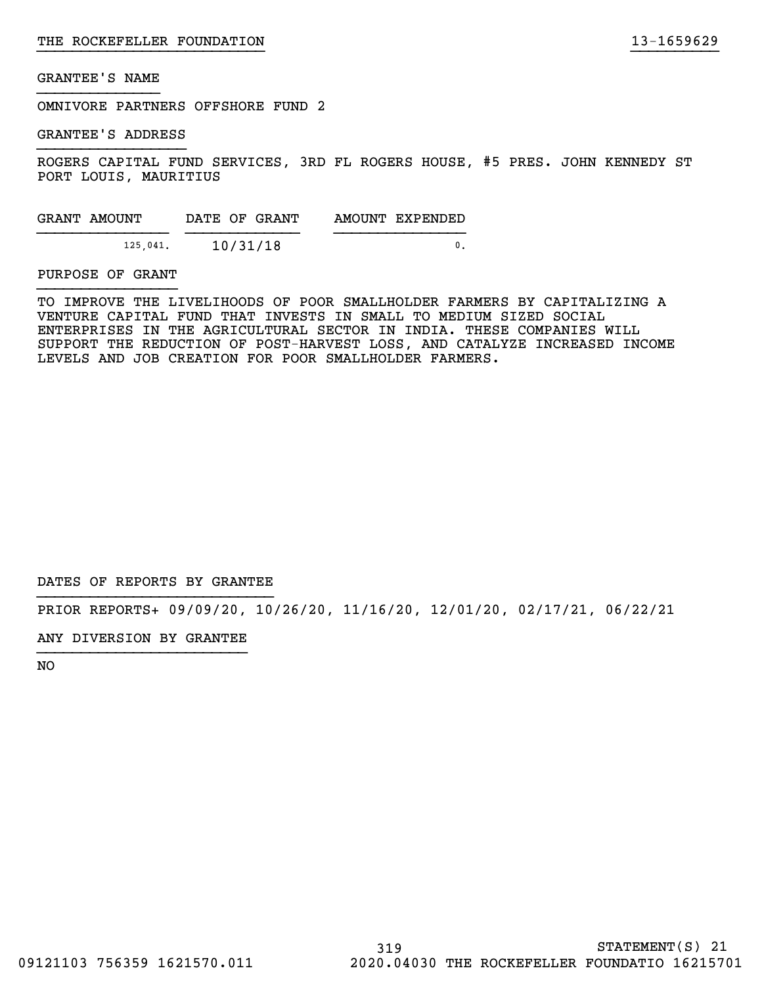OMNIVORE PARTNERS OFFSHORE FUND 2

GRANTEE'S ADDRESS

ROGERS CAPITAL FUND SERVICES, 3RD FL ROGERS HOUSE, #5 PRES. JOHN KENNEDY ST PORT LOUIS, MAURITIUS

}}}}}}}}}}}}}}}}}}}}}}}}}} }}}}}}}}}}

| GRANT AMOUNT | DATE OF GRANT | AMOUNT EXPENDED |
|--------------|---------------|-----------------|
| 125,041.     | 10/31/18      |                 |

#### PURPOSE OF GRANT

TO IMPROVE THE LIVELIHOODS OF POOR SMALLHOLDER FARMERS BY CAPITALIZING A VENTURE CAPITAL FUND THAT INVESTS IN SMALL TO MEDIUM SIZED SOCIAL ENTERPRISES IN THE AGRICULTURAL SECTOR IN INDIA. THESE COMPANIES WILL SUPPORT THE REDUCTION OF POST-HARVEST LOSS, AND CATALYZE INCREASED INCOME LEVELS AND JOB CREATION FOR POOR SMALLHOLDER FARMERS.

DATES OF REPORTS BY GRANTEE

PRIOR REPORTS+ 09/09/20, 10/26/20, 11/16/20, 12/01/20, 02/17/21, 06/22/21

ANY DIVERSION BY GRANTEE }}}}}}}}}}}}}}}}}}}}}}}}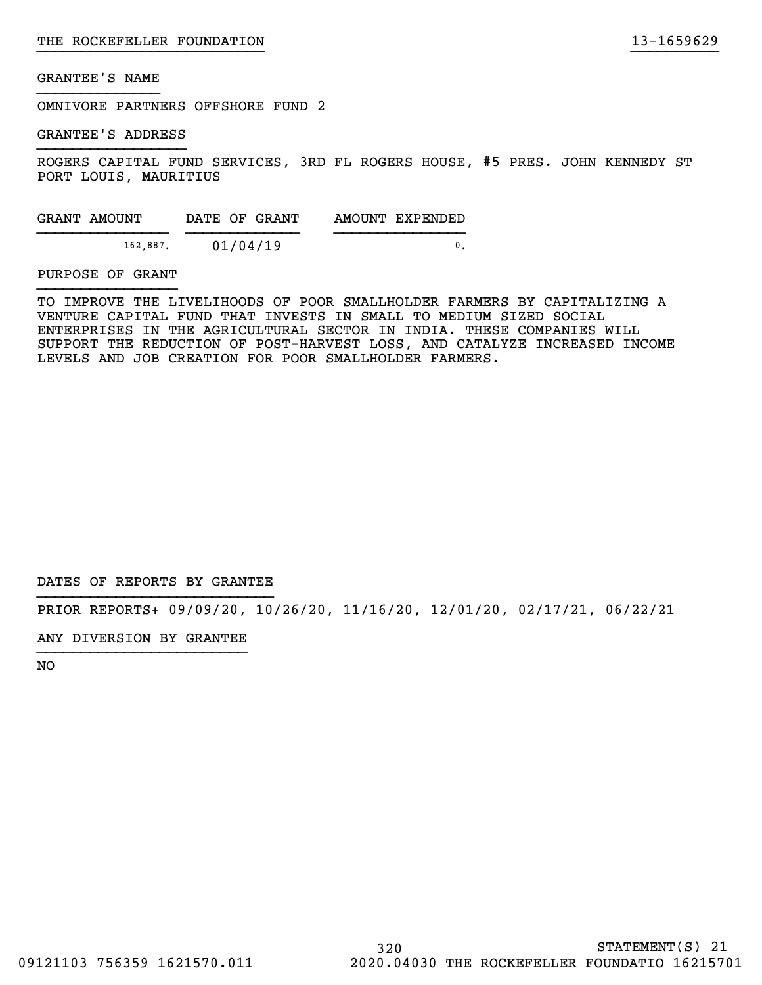OMNIVORE PARTNERS OFFSHORE FUND 2

GRANTEE'S ADDRESS

ROGERS CAPITAL FUND SERVICES, 3RD FL ROGERS HOUSE, #5 PRES. JOHN KENNEDY ST PORT LOUIS, MAURITIUS

}}}}}}}}}}}}}}}}}}}}}}}}}} }}}}}}}}}}

| GRANT AMOUNT | DATE OF GRANT | AMOUNT EXPENDED |
|--------------|---------------|-----------------|
| 162,887.     | 01/04/19      |                 |

#### PURPOSE OF GRANT

TO IMPROVE THE LIVELIHOODS OF POOR SMALLHOLDER FARMERS BY CAPITALIZING A VENTURE CAPITAL FUND THAT INVESTS IN SMALL TO MEDIUM SIZED SOCIAL ENTERPRISES IN THE AGRICULTURAL SECTOR IN INDIA. THESE COMPANIES WILL SUPPORT THE REDUCTION OF POST-HARVEST LOSS, AND CATALYZE INCREASED INCOME LEVELS AND JOB CREATION FOR POOR SMALLHOLDER FARMERS.

DATES OF REPORTS BY GRANTEE

PRIOR REPORTS+ 09/09/20, 10/26/20, 11/16/20, 12/01/20, 02/17/21, 06/22/21

ANY DIVERSION BY GRANTEE }}}}}}}}}}}}}}}}}}}}}}}}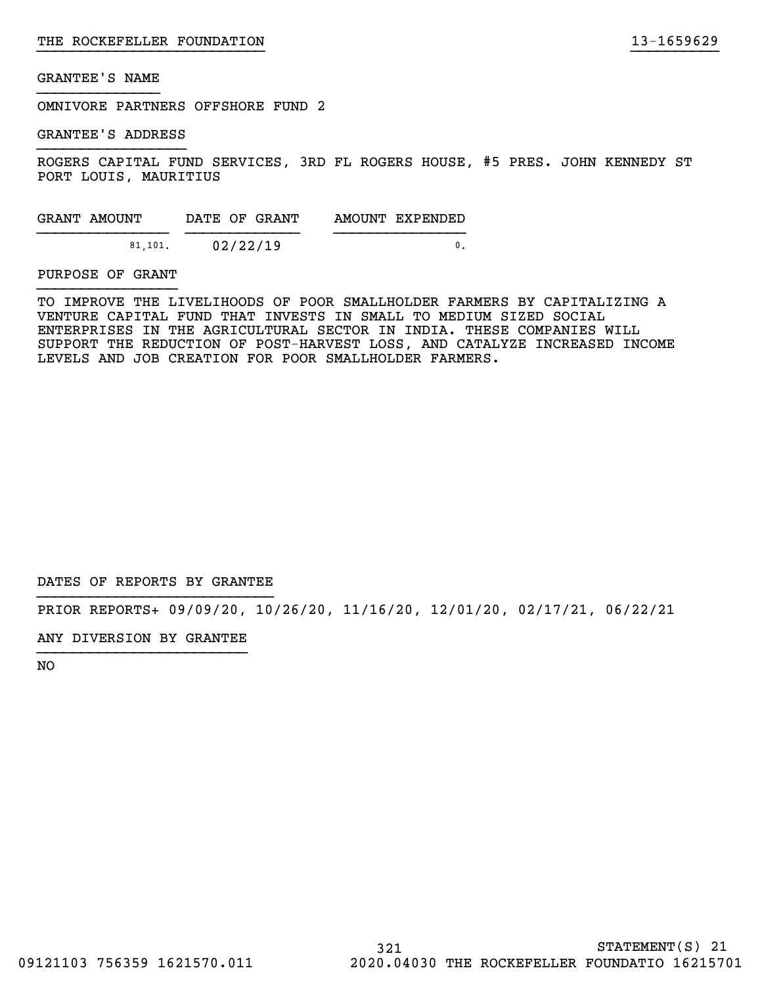OMNIVORE PARTNERS OFFSHORE FUND 2

GRANTEE'S ADDRESS

ROGERS CAPITAL FUND SERVICES, 3RD FL ROGERS HOUSE, #5 PRES. JOHN KENNEDY ST PORT LOUIS, MAURITIUS

}}}}}}}}}}}}}}}}}}}}}}}}}} }}}}}}}}}}

| GRANT AMOUNT | DATE OF GRANT | AMOUNT EXPENDED |
|--------------|---------------|-----------------|
| 81.101.      | 02/22/19      |                 |

#### PURPOSE OF GRANT

TO IMPROVE THE LIVELIHOODS OF POOR SMALLHOLDER FARMERS BY CAPITALIZING A VENTURE CAPITAL FUND THAT INVESTS IN SMALL TO MEDIUM SIZED SOCIAL ENTERPRISES IN THE AGRICULTURAL SECTOR IN INDIA. THESE COMPANIES WILL SUPPORT THE REDUCTION OF POST-HARVEST LOSS, AND CATALYZE INCREASED INCOME LEVELS AND JOB CREATION FOR POOR SMALLHOLDER FARMERS.

DATES OF REPORTS BY GRANTEE

PRIOR REPORTS+ 09/09/20, 10/26/20, 11/16/20, 12/01/20, 02/17/21, 06/22/21

ANY DIVERSION BY GRANTEE }}}}}}}}}}}}}}}}}}}}}}}}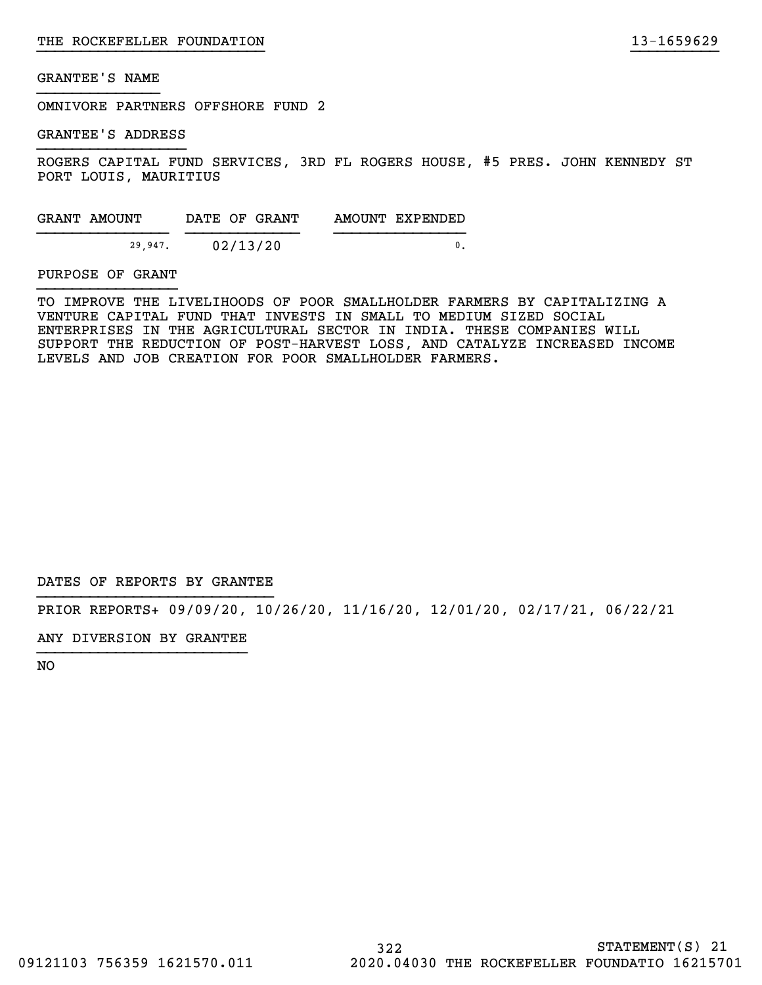OMNIVORE PARTNERS OFFSHORE FUND 2

GRANTEE'S ADDRESS

ROGERS CAPITAL FUND SERVICES, 3RD FL ROGERS HOUSE, #5 PRES. JOHN KENNEDY ST PORT LOUIS, MAURITIUS

}}}}}}}}}}}}}}}}}}}}}}}}}} }}}}}}}}}}

| GRANT AMOUNT | DATE OF GRANT | AMOUNT EXPENDED |
|--------------|---------------|-----------------|
| 29.947.      | 02/13/20      |                 |

#### PURPOSE OF GRANT

TO IMPROVE THE LIVELIHOODS OF POOR SMALLHOLDER FARMERS BY CAPITALIZING A VENTURE CAPITAL FUND THAT INVESTS IN SMALL TO MEDIUM SIZED SOCIAL ENTERPRISES IN THE AGRICULTURAL SECTOR IN INDIA. THESE COMPANIES WILL SUPPORT THE REDUCTION OF POST-HARVEST LOSS, AND CATALYZE INCREASED INCOME LEVELS AND JOB CREATION FOR POOR SMALLHOLDER FARMERS.

DATES OF REPORTS BY GRANTEE

PRIOR REPORTS+ 09/09/20, 10/26/20, 11/16/20, 12/01/20, 02/17/21, 06/22/21

ANY DIVERSION BY GRANTEE }}}}}}}}}}}}}}}}}}}}}}}}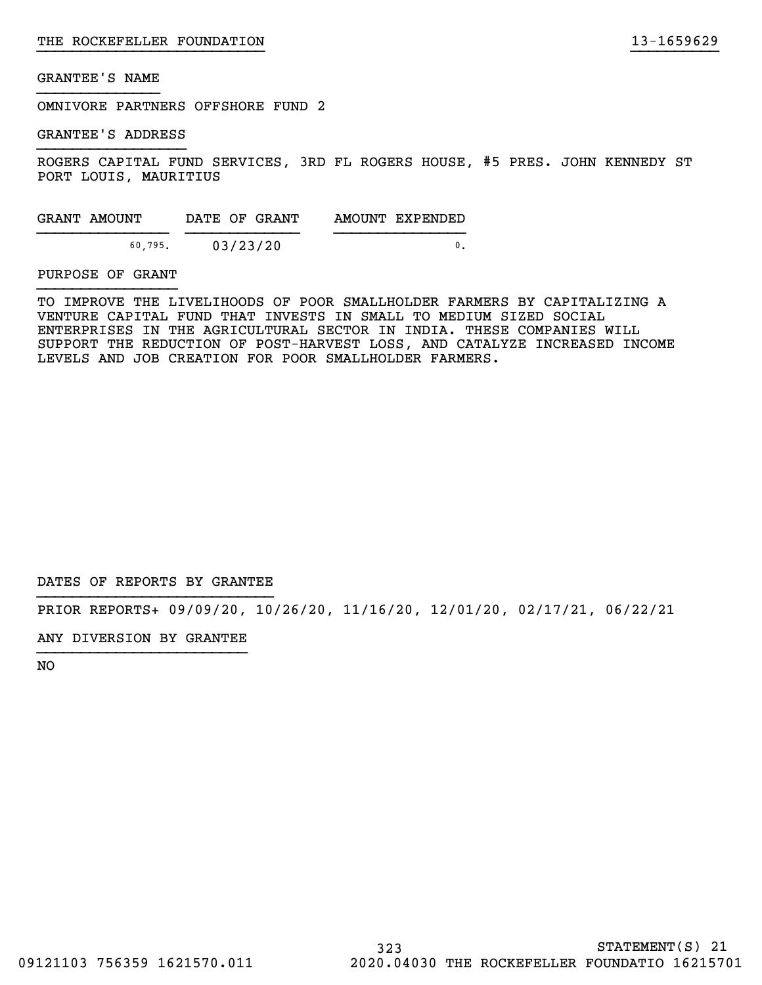OMNIVORE PARTNERS OFFSHORE FUND 2

GRANTEE'S ADDRESS

ROGERS CAPITAL FUND SERVICES, 3RD FL ROGERS HOUSE, #5 PRES. JOHN KENNEDY ST PORT LOUIS, MAURITIUS

}}}}}}}}}}}}}}}}}}}}}}}}}} }}}}}}}}}}

| GRANT AMOUNT | DATE OF GRANT | AMOUNT EXPENDED |
|--------------|---------------|-----------------|
| 60.795.      | 03/23/20      |                 |

#### PURPOSE OF GRANT

TO IMPROVE THE LIVELIHOODS OF POOR SMALLHOLDER FARMERS BY CAPITALIZING A VENTURE CAPITAL FUND THAT INVESTS IN SMALL TO MEDIUM SIZED SOCIAL ENTERPRISES IN THE AGRICULTURAL SECTOR IN INDIA. THESE COMPANIES WILL SUPPORT THE REDUCTION OF POST-HARVEST LOSS, AND CATALYZE INCREASED INCOME LEVELS AND JOB CREATION FOR POOR SMALLHOLDER FARMERS.

DATES OF REPORTS BY GRANTEE

PRIOR REPORTS+ 09/09/20, 10/26/20, 11/16/20, 12/01/20, 02/17/21, 06/22/21

ANY DIVERSION BY GRANTEE }}}}}}}}}}}}}}}}}}}}}}}}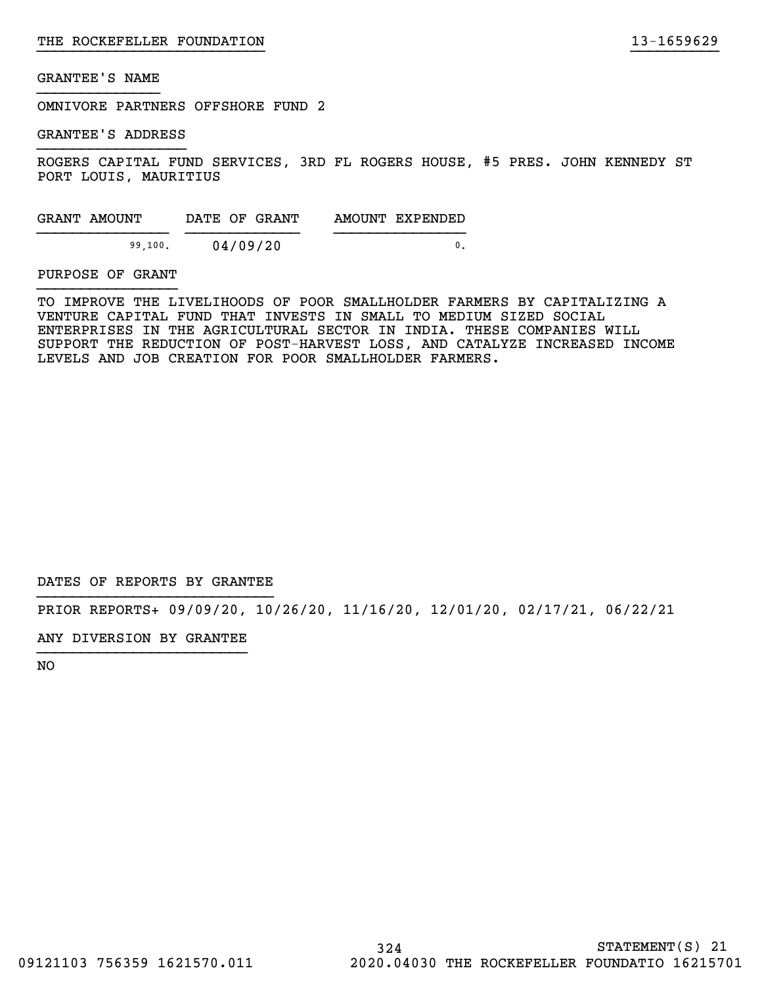OMNIVORE PARTNERS OFFSHORE FUND 2

GRANTEE'S ADDRESS

ROGERS CAPITAL FUND SERVICES, 3RD FL ROGERS HOUSE, #5 PRES. JOHN KENNEDY ST PORT LOUIS, MAURITIUS

}}}}}}}}}}}}}}}}}}}}}}}}}} }}}}}}}}}}

| GRANT AMOUNT | DATE OF GRANT | AMOUNT EXPENDED |
|--------------|---------------|-----------------|
| 99,100.      | 04/09/20      |                 |

#### PURPOSE OF GRANT

TO IMPROVE THE LIVELIHOODS OF POOR SMALLHOLDER FARMERS BY CAPITALIZING A VENTURE CAPITAL FUND THAT INVESTS IN SMALL TO MEDIUM SIZED SOCIAL ENTERPRISES IN THE AGRICULTURAL SECTOR IN INDIA. THESE COMPANIES WILL SUPPORT THE REDUCTION OF POST-HARVEST LOSS, AND CATALYZE INCREASED INCOME LEVELS AND JOB CREATION FOR POOR SMALLHOLDER FARMERS.

DATES OF REPORTS BY GRANTEE

PRIOR REPORTS+ 09/09/20, 10/26/20, 11/16/20, 12/01/20, 02/17/21, 06/22/21

ANY DIVERSION BY GRANTEE }}}}}}}}}}}}}}}}}}}}}}}}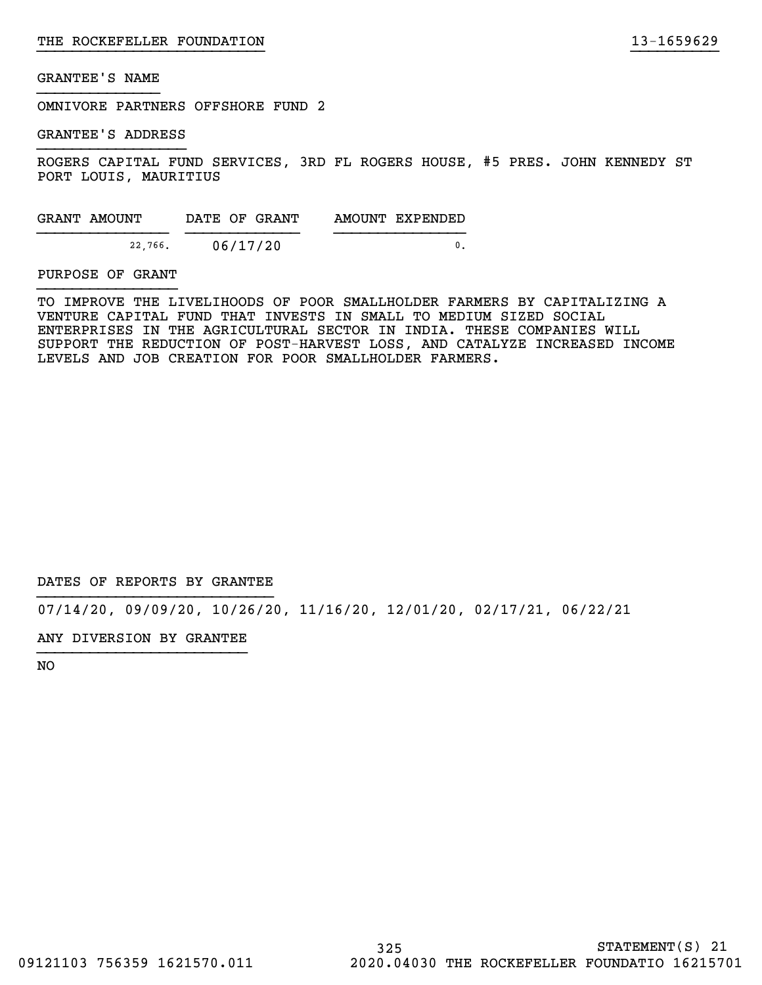OMNIVORE PARTNERS OFFSHORE FUND 2

GRANTEE'S ADDRESS

ROGERS CAPITAL FUND SERVICES, 3RD FL ROGERS HOUSE, #5 PRES. JOHN KENNEDY ST PORT LOUIS, MAURITIUS

}}}}}}}}}}}}}}}}}}}}}}}}}} }}}}}}}}}}

| GRANT AMOUNT | DATE OF GRANT | AMOUNT EXPENDED |
|--------------|---------------|-----------------|
| 22,766.      | 06/17/20      |                 |

#### PURPOSE OF GRANT

TO IMPROVE THE LIVELIHOODS OF POOR SMALLHOLDER FARMERS BY CAPITALIZING A VENTURE CAPITAL FUND THAT INVESTS IN SMALL TO MEDIUM SIZED SOCIAL ENTERPRISES IN THE AGRICULTURAL SECTOR IN INDIA. THESE COMPANIES WILL SUPPORT THE REDUCTION OF POST-HARVEST LOSS, AND CATALYZE INCREASED INCOME LEVELS AND JOB CREATION FOR POOR SMALLHOLDER FARMERS.

DATES OF REPORTS BY GRANTEE

07/14/20, 09/09/20, 10/26/20, 11/16/20, 12/01/20, 02/17/21, 06/22/21

ANY DIVERSION BY GRANTEE }}}}}}}}}}}}}}}}}}}}}}}}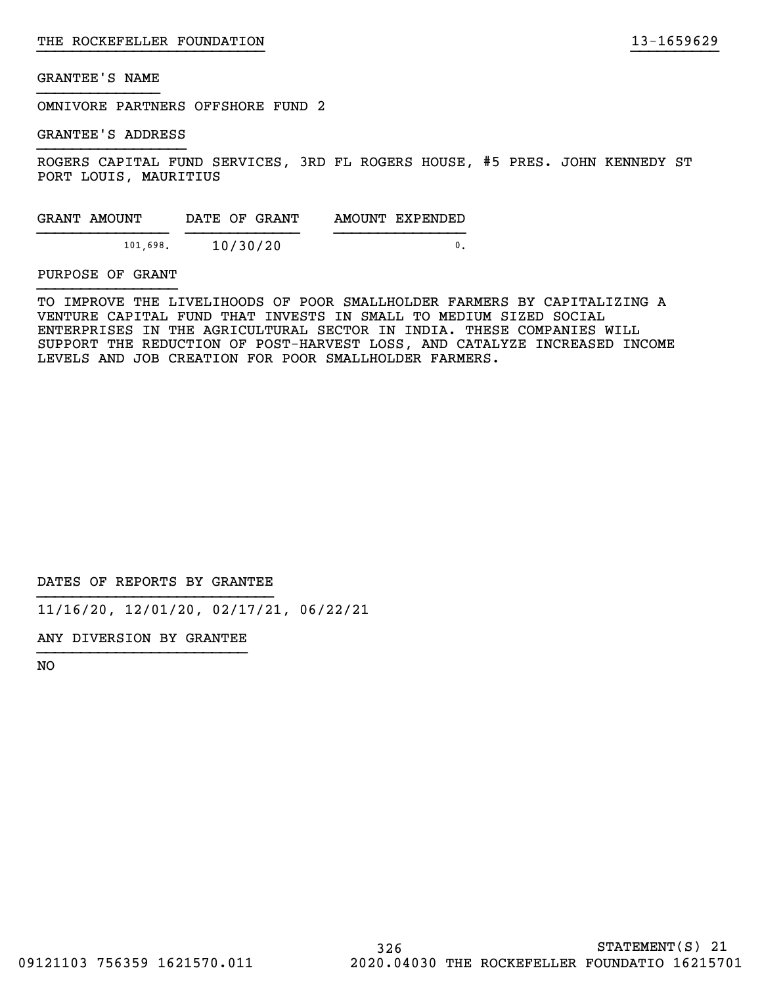OMNIVORE PARTNERS OFFSHORE FUND 2

GRANTEE'S ADDRESS

ROGERS CAPITAL FUND SERVICES, 3RD FL ROGERS HOUSE, #5 PRES. JOHN KENNEDY ST PORT LOUIS, MAURITIUS

}}}}}}}}}}}}}}}}}}}}}}}}}} }}}}}}}}}}

| GRANT AMOUNT | DATE OF GRANT | AMOUNT EXPENDED |
|--------------|---------------|-----------------|
| 101,698.     | 10/30/20      |                 |

PURPOSE OF GRANT

TO IMPROVE THE LIVELIHOODS OF POOR SMALLHOLDER FARMERS BY CAPITALIZING A VENTURE CAPITAL FUND THAT INVESTS IN SMALL TO MEDIUM SIZED SOCIAL ENTERPRISES IN THE AGRICULTURAL SECTOR IN INDIA. THESE COMPANIES WILL SUPPORT THE REDUCTION OF POST-HARVEST LOSS, AND CATALYZE INCREASED INCOME LEVELS AND JOB CREATION FOR POOR SMALLHOLDER FARMERS.

DATES OF REPORTS BY GRANTEE

11/16/20, 12/01/20, 02/17/21, 06/22/21

ANY DIVERSION BY GRANTEE }}}}}}}}}}}}}}}}}}}}}}}}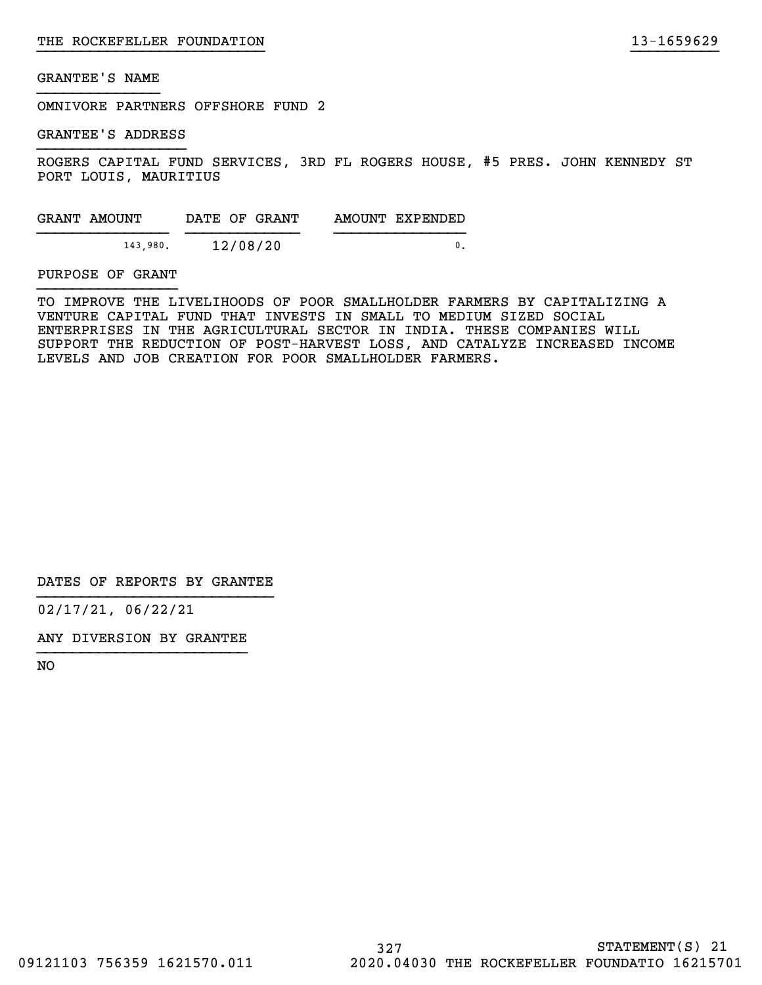OMNIVORE PARTNERS OFFSHORE FUND 2

GRANTEE'S ADDRESS

ROGERS CAPITAL FUND SERVICES, 3RD FL ROGERS HOUSE, #5 PRES. JOHN KENNEDY ST PORT LOUIS, MAURITIUS

}}}}}}}}}}}}}}}}}}}}}}}}}} }}}}}}}}}}

| GRANT AMOUNT | DATE OF GRANT | AMOUNT EXPENDED |
|--------------|---------------|-----------------|
| 143,980.     | 12/08/20      |                 |

PURPOSE OF GRANT

TO IMPROVE THE LIVELIHOODS OF POOR SMALLHOLDER FARMERS BY CAPITALIZING A VENTURE CAPITAL FUND THAT INVESTS IN SMALL TO MEDIUM SIZED SOCIAL ENTERPRISES IN THE AGRICULTURAL SECTOR IN INDIA. THESE COMPANIES WILL SUPPORT THE REDUCTION OF POST-HARVEST LOSS, AND CATALYZE INCREASED INCOME LEVELS AND JOB CREATION FOR POOR SMALLHOLDER FARMERS.

DATES OF REPORTS BY GRANTEE

02/17/21, 06/22/21

ANY DIVERSION BY GRANTEE }}}}}}}}}}}}}}}}}}}}}}}}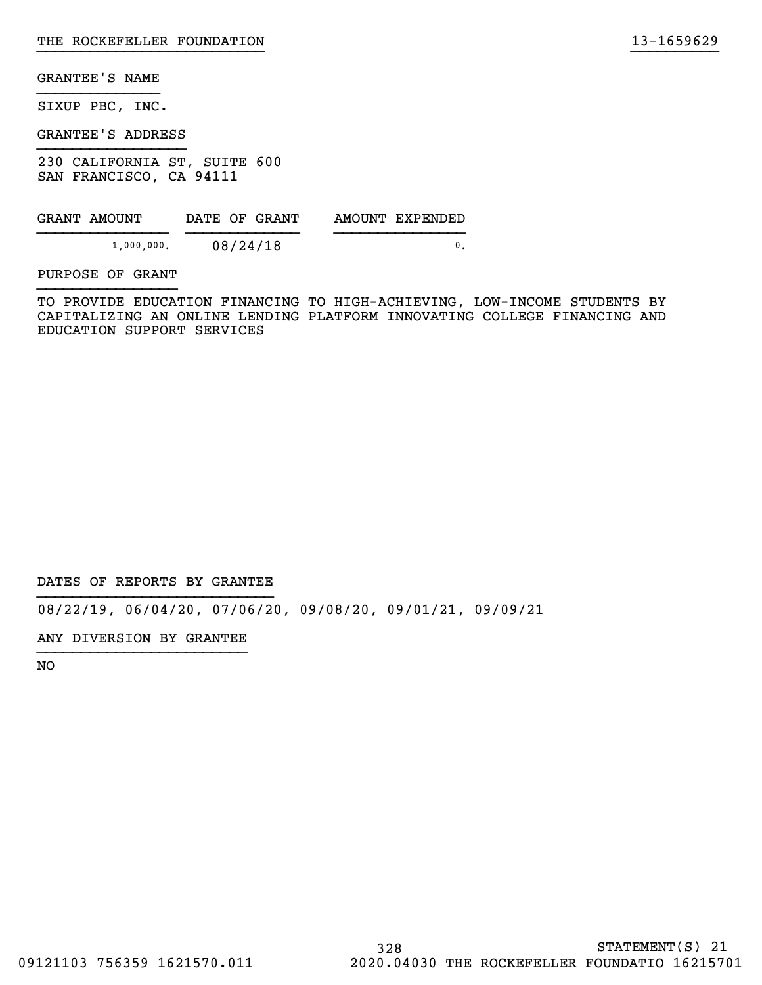SIXUP PBC, INC.

GRANTEE'S ADDRESS

230 CALIFORNIA ST, SUITE 600 SAN FRANCISCO, CA 94111

| GRANT AMOUNT |               |          | DATE OF GRANT | AMOUNT EXPENDED |
|--------------|---------------|----------|---------------|-----------------|
|              | $1,000,000$ . | 08/24/18 |               |                 |

PURPOSE OF GRANT

TO PROVIDE EDUCATION FINANCING TO HIGH-ACHIEVING, LOW-INCOME STUDENTS BY CAPITALIZING AN ONLINE LENDING PLATFORM INNOVATING COLLEGE FINANCING AND EDUCATION SUPPORT SERVICES

}}}}}}}}}}}}}}}}}}}}}}}}}} }}}}}}}}}}

DATES OF REPORTS BY GRANTEE

08/22/19, 06/04/20, 07/06/20, 09/08/20, 09/01/21, 09/09/21

ANY DIVERSION BY GRANTEE }}}}}}}}}}}}}}}}}}}}}}}}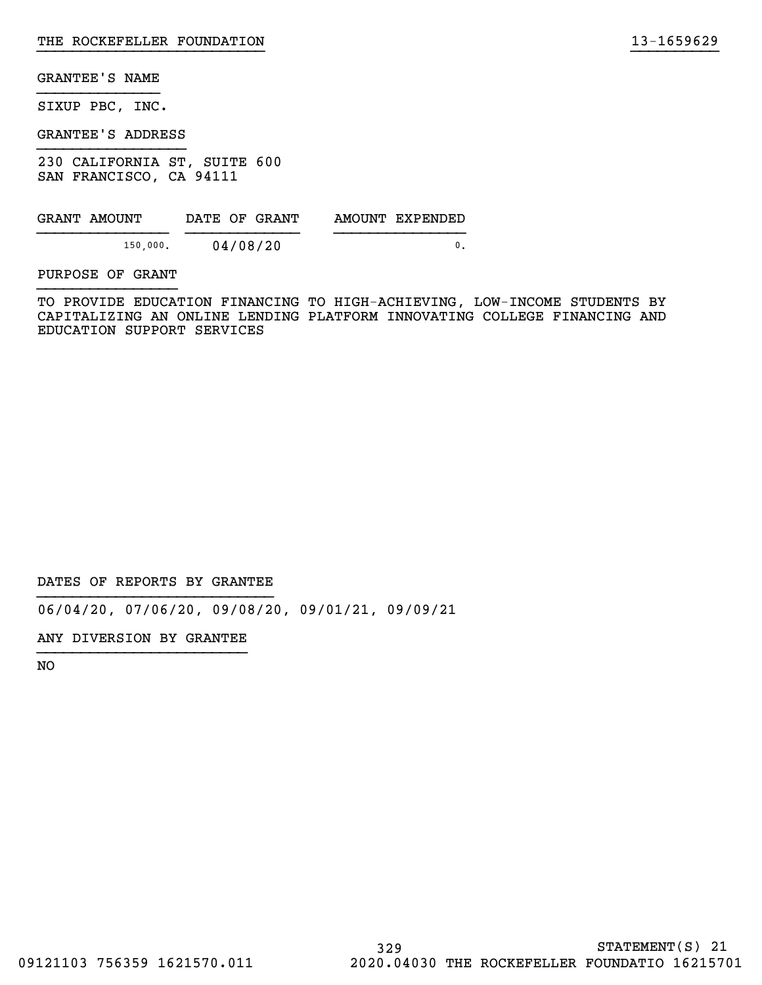SIXUP PBC, INC.

GRANTEE'S ADDRESS

230 CALIFORNIA ST, SUITE 600 SAN FRANCISCO, CA 94111

| GRANT AMOUNT | DATE OF GRANT |  | AMOUNT EXPENDED |
|--------------|---------------|--|-----------------|
| 150,000.     | 04/08/20      |  |                 |

PURPOSE OF GRANT

TO PROVIDE EDUCATION FINANCING TO HIGH-ACHIEVING, LOW-INCOME STUDENTS BY CAPITALIZING AN ONLINE LENDING PLATFORM INNOVATING COLLEGE FINANCING AND EDUCATION SUPPORT SERVICES

}}}}}}}}}}}}}}}}}}}}}}}}}} }}}}}}}}}}

DATES OF REPORTS BY GRANTEE

06/04/20, 07/06/20, 09/08/20, 09/01/21, 09/09/21

ANY DIVERSION BY GRANTEE }}}}}}}}}}}}}}}}}}}}}}}}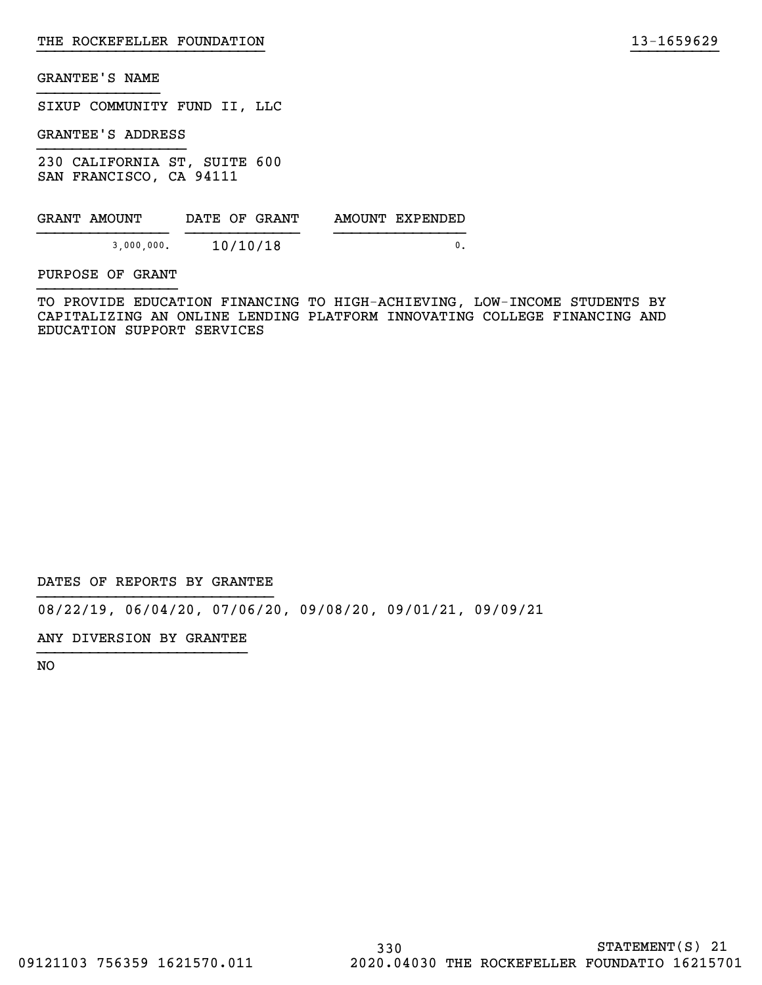SIXUP COMMUNITY FUND II, LLC

GRANTEE'S ADDRESS

230 CALIFORNIA ST, SUITE 600 SAN FRANCISCO, CA 94111

| GRANT AMOUNT | DATE OF GRANT | AMOUNT EXPENDED |
|--------------|---------------|-----------------|
| 3,000,000.   | 10/10/18      |                 |

PURPOSE OF GRANT

TO PROVIDE EDUCATION FINANCING TO HIGH-ACHIEVING, LOW-INCOME STUDENTS BY CAPITALIZING AN ONLINE LENDING PLATFORM INNOVATING COLLEGE FINANCING AND EDUCATION SUPPORT SERVICES

}}}}}}}}}}}}}}}}}}}}}}}}}} }}}}}}}}}}

DATES OF REPORTS BY GRANTEE

08/22/19, 06/04/20, 07/06/20, 09/08/20, 09/01/21, 09/09/21

ANY DIVERSION BY GRANTEE }}}}}}}}}}}}}}}}}}}}}}}}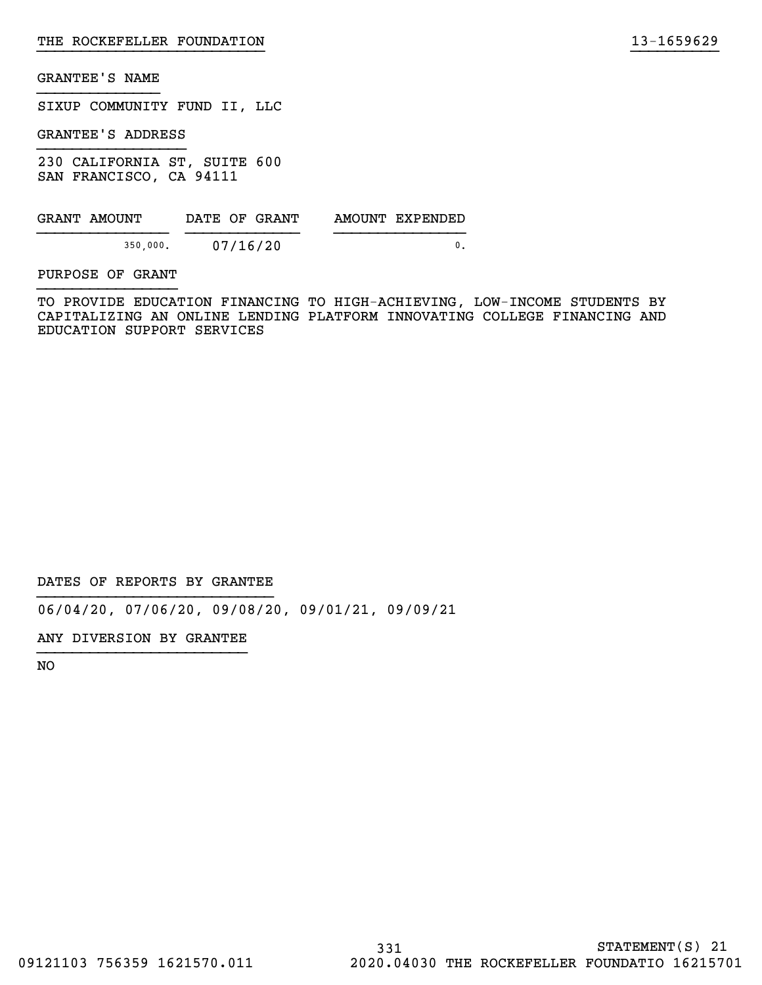SIXUP COMMUNITY FUND II, LLC

GRANTEE'S ADDRESS

230 CALIFORNIA ST, SUITE 600 SAN FRANCISCO, CA 94111

| GRANT AMOUNT | DATE OF GRANT | AMOUNT EXPENDED |
|--------------|---------------|-----------------|
| 350,000.     | 07/16/20      |                 |

PURPOSE OF GRANT

TO PROVIDE EDUCATION FINANCING TO HIGH-ACHIEVING, LOW-INCOME STUDENTS BY CAPITALIZING AN ONLINE LENDING PLATFORM INNOVATING COLLEGE FINANCING AND EDUCATION SUPPORT SERVICES

}}}}}}}}}}}}}}}}}}}}}}}}}} }}}}}}}}}}

DATES OF REPORTS BY GRANTEE

06/04/20, 07/06/20, 09/08/20, 09/01/21, 09/09/21

ANY DIVERSION BY GRANTEE }}}}}}}}}}}}}}}}}}}}}}}}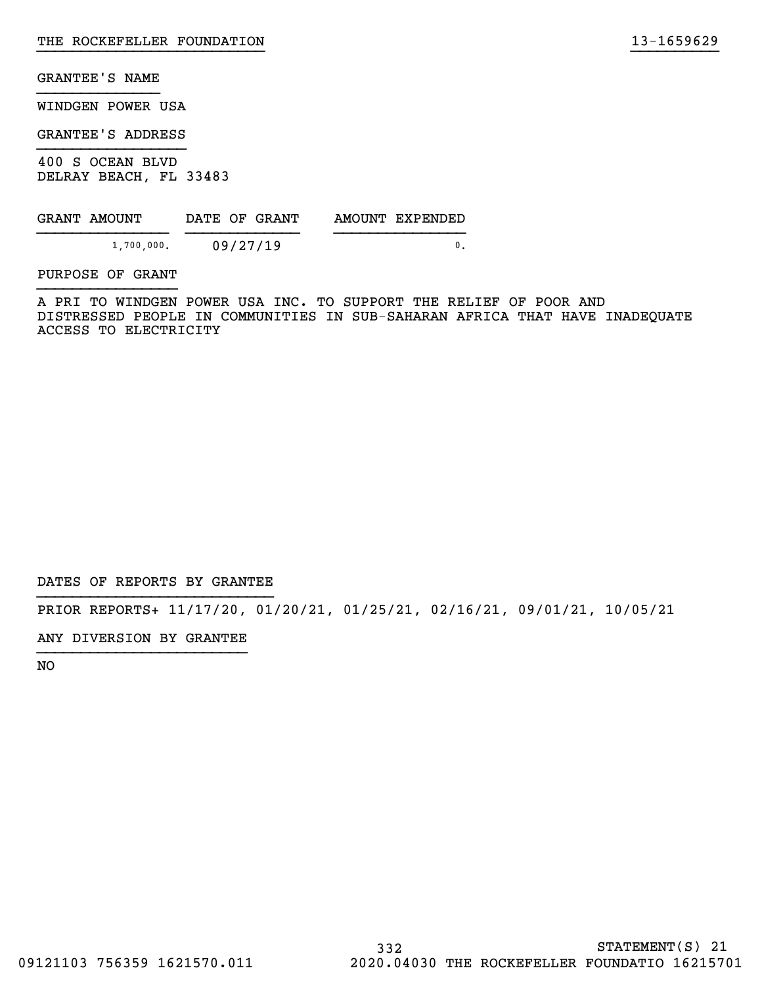WINDGEN POWER USA

GRANTEE'S ADDRESS

400 S OCEAN BLVD DELRAY BEACH, FL 33483

| GRANT AMOUNT | DATE OF GRANT | AMOUNT EXPENDED |
|--------------|---------------|-----------------|
| 1,700,000.   | 09/27/19      |                 |

PURPOSE OF GRANT

A PRI TO WINDGEN POWER USA INC. TO SUPPORT THE RELIEF OF POOR AND DISTRESSED PEOPLE IN COMMUNITIES IN SUB-SAHARAN AFRICA THAT HAVE INADEQUATE ACCESS TO ELECTRICITY

}}}}}}}}}}}}}}}}}}}}}}}}}} }}}}}}}}}}

DATES OF REPORTS BY GRANTEE

PRIOR REPORTS+ 11/17/20, 01/20/21, 01/25/21, 02/16/21, 09/01/21, 10/05/21

ANY DIVERSION BY GRANTEE }}}}}}}}}}}}}}}}}}}}}}}}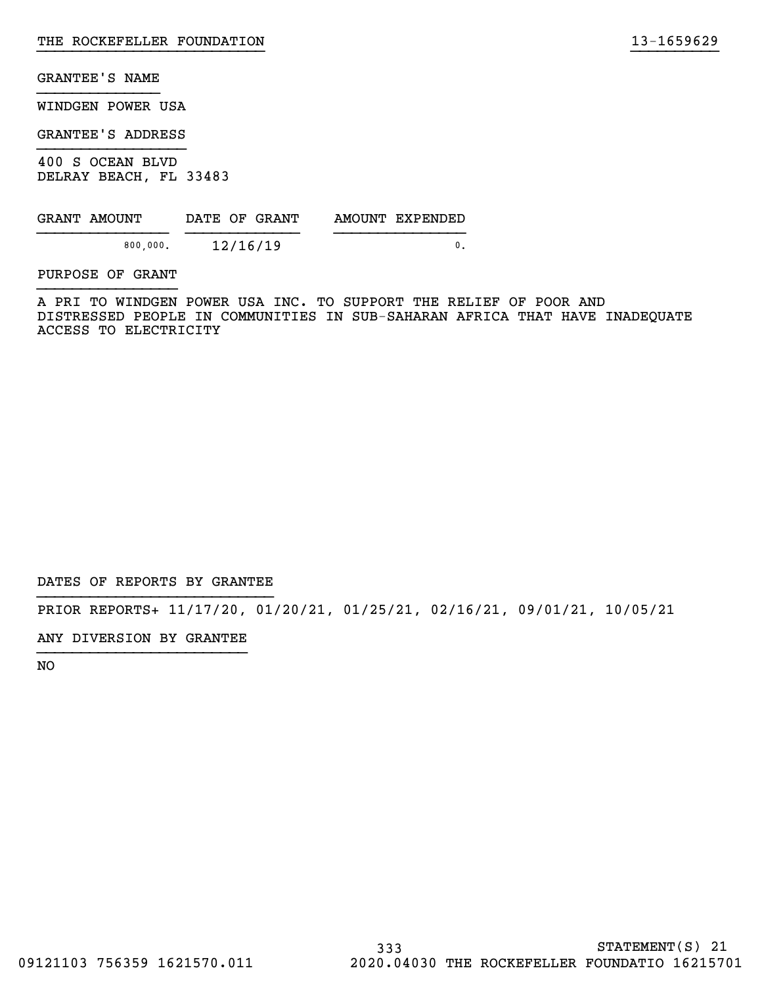WINDGEN POWER USA

GRANTEE'S ADDRESS

400 S OCEAN BLVD DELRAY BEACH, FL 33483

| GRANT AMOUNT | DATE OF GRANT | AMOUNT EXPENDED |
|--------------|---------------|-----------------|
| 800.000.     | 12/16/19      |                 |

PURPOSE OF GRANT

A PRI TO WINDGEN POWER USA INC. TO SUPPORT THE RELIEF OF POOR AND DISTRESSED PEOPLE IN COMMUNITIES IN SUB-SAHARAN AFRICA THAT HAVE INADEQUATE ACCESS TO ELECTRICITY

}}}}}}}}}}}}}}}}}}}}}}}}}} }}}}}}}}}}

DATES OF REPORTS BY GRANTEE

PRIOR REPORTS+ 11/17/20, 01/20/21, 01/25/21, 02/16/21, 09/01/21, 10/05/21

ANY DIVERSION BY GRANTEE }}}}}}}}}}}}}}}}}}}}}}}}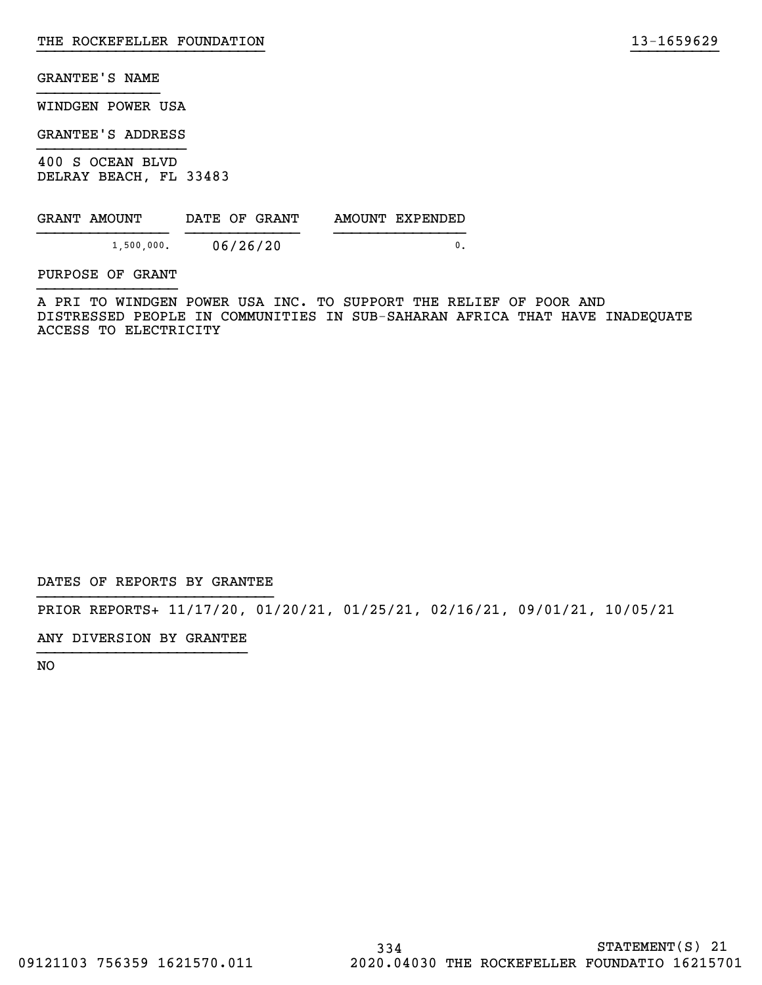WINDGEN POWER USA

GRANTEE'S ADDRESS

400 S OCEAN BLVD DELRAY BEACH, FL 33483

| GRANT AMOUNT | DATE OF GRANT | AMOUNT EXPENDED |
|--------------|---------------|-----------------|
| 1,500,000.   | 06/26/20      |                 |

PURPOSE OF GRANT

A PRI TO WINDGEN POWER USA INC. TO SUPPORT THE RELIEF OF POOR AND DISTRESSED PEOPLE IN COMMUNITIES IN SUB-SAHARAN AFRICA THAT HAVE INADEQUATE ACCESS TO ELECTRICITY

}}}}}}}}}}}}}}}}}}}}}}}}}} }}}}}}}}}}

DATES OF REPORTS BY GRANTEE

PRIOR REPORTS+ 11/17/20, 01/20/21, 01/25/21, 02/16/21, 09/01/21, 10/05/21

ANY DIVERSION BY GRANTEE }}}}}}}}}}}}}}}}}}}}}}}}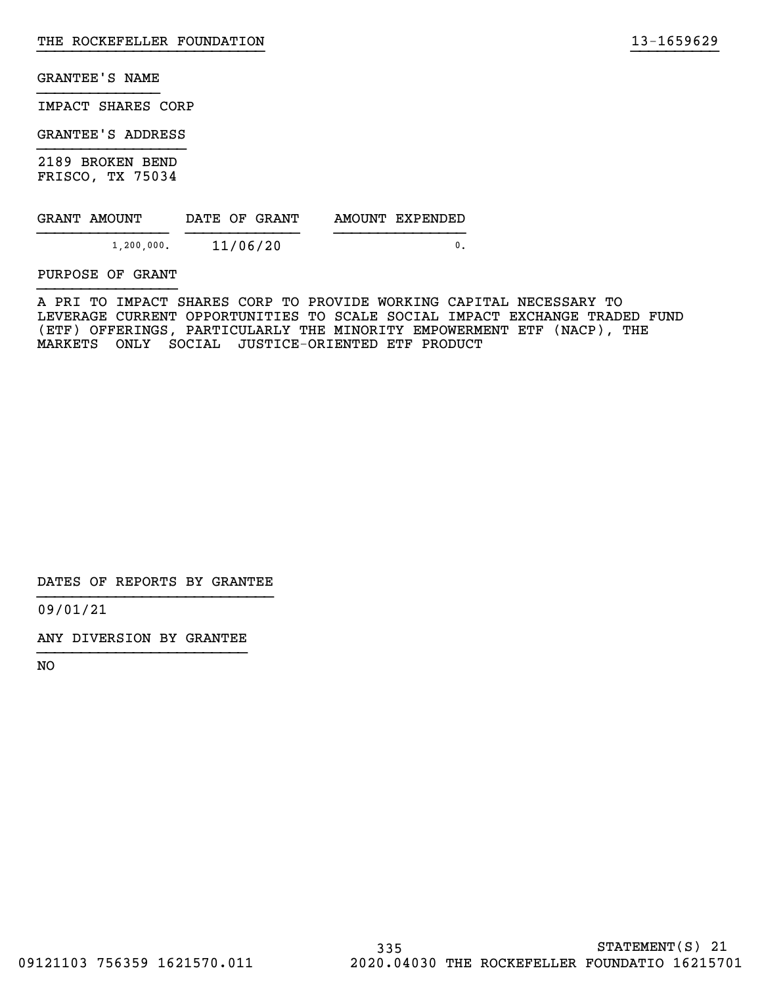IMPACT SHARES CORP

GRANTEE'S ADDRESS

2189 BROKEN BEND FRISCO, TX 75034

| GRANT AMOUNT | DATE OF GRANT | AMOUNT EXPENDED |
|--------------|---------------|-----------------|
| 1 200 000.   | 11/06/20      |                 |

PURPOSE OF GRANT

A PRI TO IMPACT SHARES CORP TO PROVIDE WORKING CAPITAL NECESSARY TO LEVERAGE CURRENT OPPORTUNITIES TO SCALE SOCIAL IMPACT EXCHANGE TRADED FUND (ETF) OFFERINGS, PARTICULARLY THE MINORITY EMPOWERMENT ETF (NACP), THE MARKETS ONLY SOCIAL JUSTICE-ORIENTED ETF PRODUCT

}}}}}}}}}}}}}}}}}}}}}}}}}} }}}}}}}}}}

DATES OF REPORTS BY GRANTEE

09/01/21

ANY DIVERSION BY GRANTEE }}}}}}}}}}}}}}}}}}}}}}}}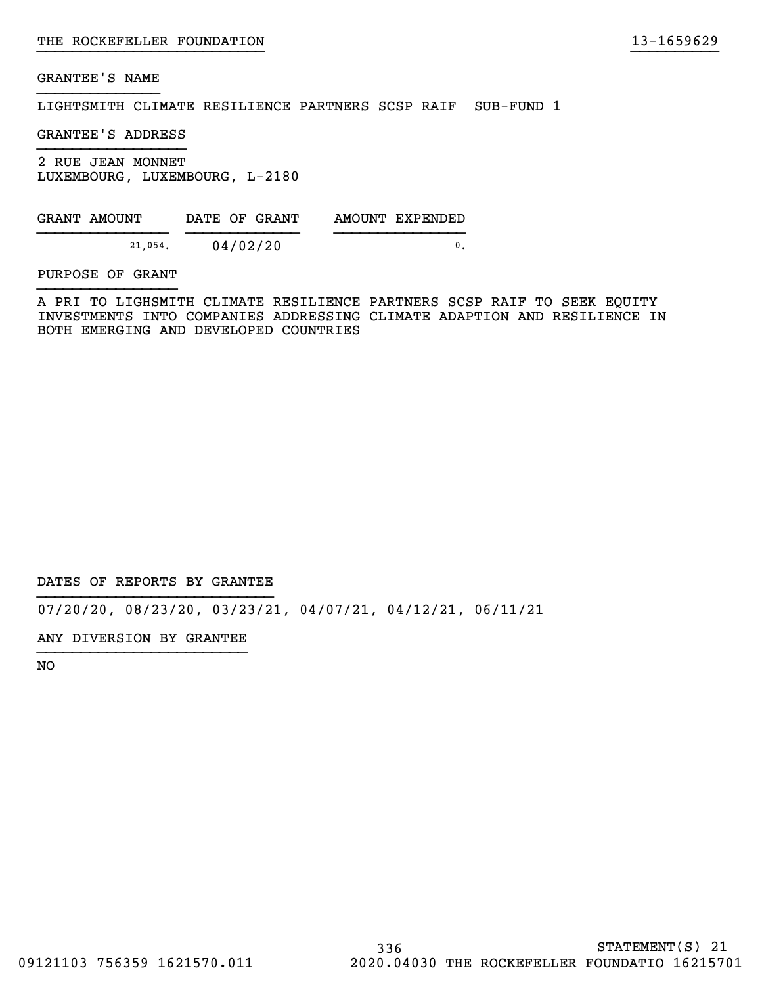LIGHTSMITH CLIMATE RESILIENCE PARTNERS SCSP RAIF SUB-FUND 1

GRANTEE'S ADDRESS

2 RUE JEAN MONNET LUXEMBOURG, LUXEMBOURG, L-2180

| GRANT AMOUNT | DATE OF GRANT | AMOUNT EXPENDED |
|--------------|---------------|-----------------|
| 21,054.      | 04/02/20      |                 |

PURPOSE OF GRANT

A PRI TO LIGHSMITH CLIMATE RESILIENCE PARTNERS SCSP RAIF TO SEEK EQUITY INVESTMENTS INTO COMPANIES ADDRESSING CLIMATE ADAPTION AND RESILIENCE IN BOTH EMERGING AND DEVELOPED COUNTRIES

}}}}}}}}}}}}}}}}}}}}}}}}}} }}}}}}}}}}

DATES OF REPORTS BY GRANTEE

07/20/20, 08/23/20, 03/23/21, 04/07/21, 04/12/21, 06/11/21

ANY DIVERSION BY GRANTEE }}}}}}}}}}}}}}}}}}}}}}}}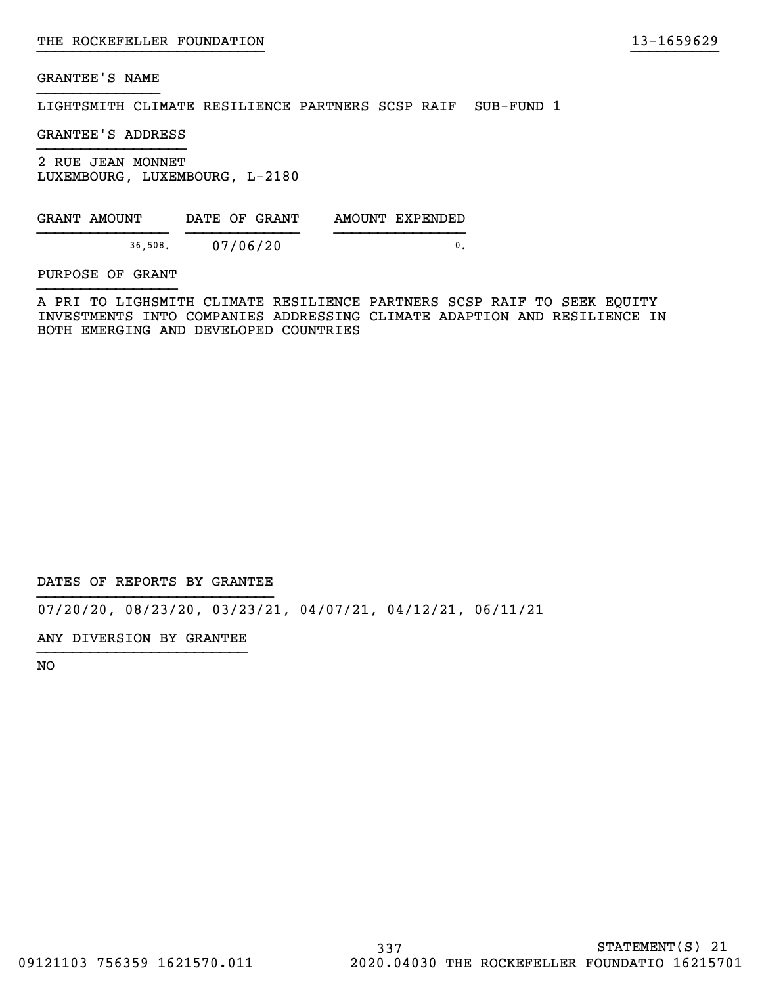LIGHTSMITH CLIMATE RESILIENCE PARTNERS SCSP RAIF SUB-FUND 1

GRANTEE'S ADDRESS

2 RUE JEAN MONNET LUXEMBOURG, LUXEMBOURG, L-2180

| GRANT AMOUNT | DATE OF GRANT | AMOUNT EXPENDED |
|--------------|---------------|-----------------|
| 36,508.      | 07/06/20      |                 |

PURPOSE OF GRANT

A PRI TO LIGHSMITH CLIMATE RESILIENCE PARTNERS SCSP RAIF TO SEEK EQUITY INVESTMENTS INTO COMPANIES ADDRESSING CLIMATE ADAPTION AND RESILIENCE IN BOTH EMERGING AND DEVELOPED COUNTRIES

}}}}}}}}}}}}}}}}}}}}}}}}}} }}}}}}}}}}

DATES OF REPORTS BY GRANTEE

07/20/20, 08/23/20, 03/23/21, 04/07/21, 04/12/21, 06/11/21

ANY DIVERSION BY GRANTEE }}}}}}}}}}}}}}}}}}}}}}}}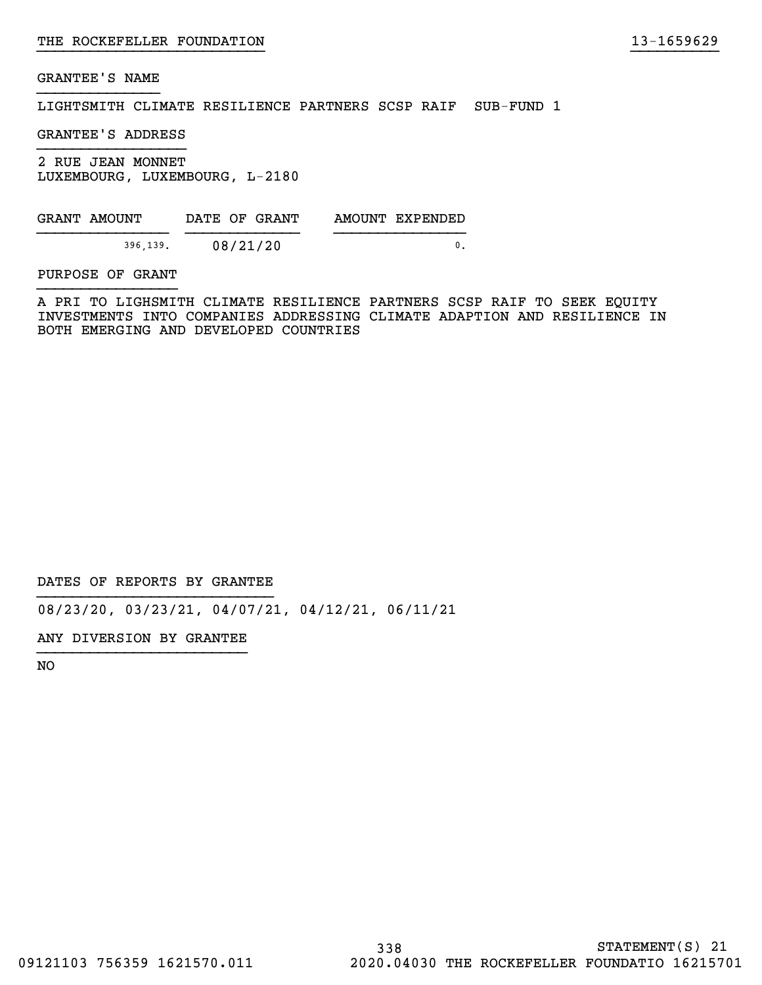LIGHTSMITH CLIMATE RESILIENCE PARTNERS SCSP RAIF SUB-FUND 1

GRANTEE'S ADDRESS

2 RUE JEAN MONNET LUXEMBOURG, LUXEMBOURG, L-2180

GRANT AMOUNT DATE OF GRANT AMOUNT EXPENDED  $\frac{396,139}{}$ . 08/21/20 0.

PURPOSE OF GRANT

A PRI TO LIGHSMITH CLIMATE RESILIENCE PARTNERS SCSP RAIF TO SEEK EQUITY INVESTMENTS INTO COMPANIES ADDRESSING CLIMATE ADAPTION AND RESILIENCE IN BOTH EMERGING AND DEVELOPED COUNTRIES

}}}}}}}}}}}}}}}}}}}}}}}}}} }}}}}}}}}}

DATES OF REPORTS BY GRANTEE

08/23/20, 03/23/21, 04/07/21, 04/12/21, 06/11/21

ANY DIVERSION BY GRANTEE }}}}}}}}}}}}}}}}}}}}}}}}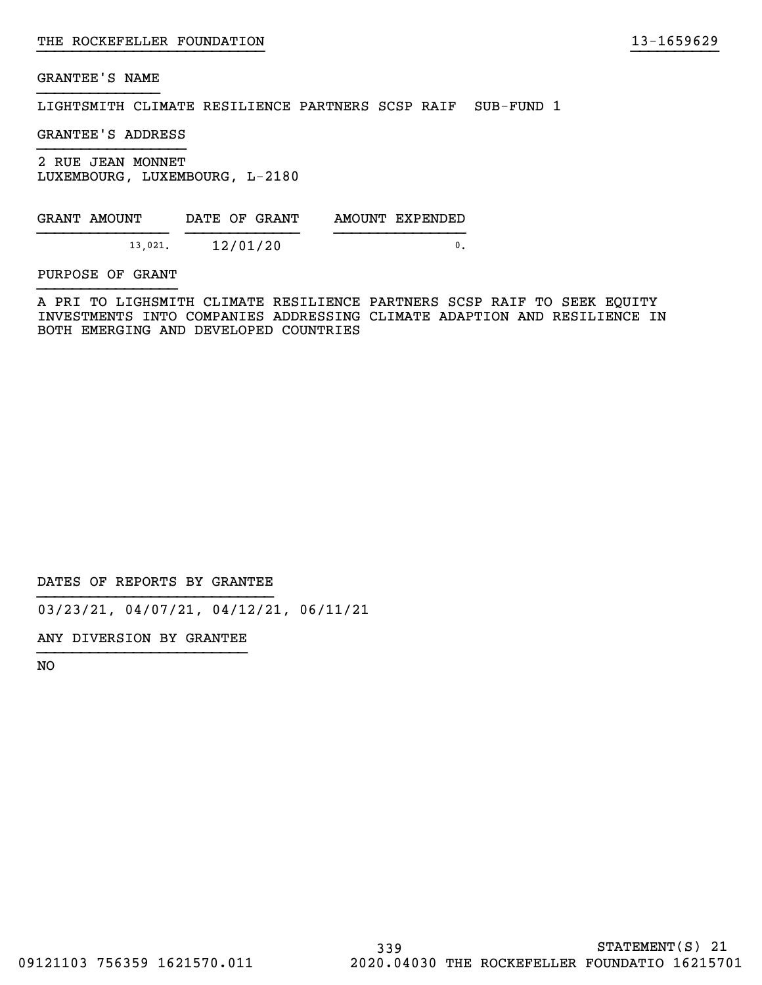LIGHTSMITH CLIMATE RESILIENCE PARTNERS SCSP RAIF SUB-FUND 1

GRANTEE'S ADDRESS

2 RUE JEAN MONNET LUXEMBOURG, LUXEMBOURG, L-2180

| GRANT AMOUNT | DATE OF GRANT | AMOUNT EXPENDED |
|--------------|---------------|-----------------|
| 13.021.      | 12/01/20      |                 |

PURPOSE OF GRANT

A PRI TO LIGHSMITH CLIMATE RESILIENCE PARTNERS SCSP RAIF TO SEEK EQUITY INVESTMENTS INTO COMPANIES ADDRESSING CLIMATE ADAPTION AND RESILIENCE IN BOTH EMERGING AND DEVELOPED COUNTRIES

}}}}}}}}}}}}}}}}}}}}}}}}}} }}}}}}}}}}

DATES OF REPORTS BY GRANTEE

03/23/21, 04/07/21, 04/12/21, 06/11/21

ANY DIVERSION BY GRANTEE }}}}}}}}}}}}}}}}}}}}}}}}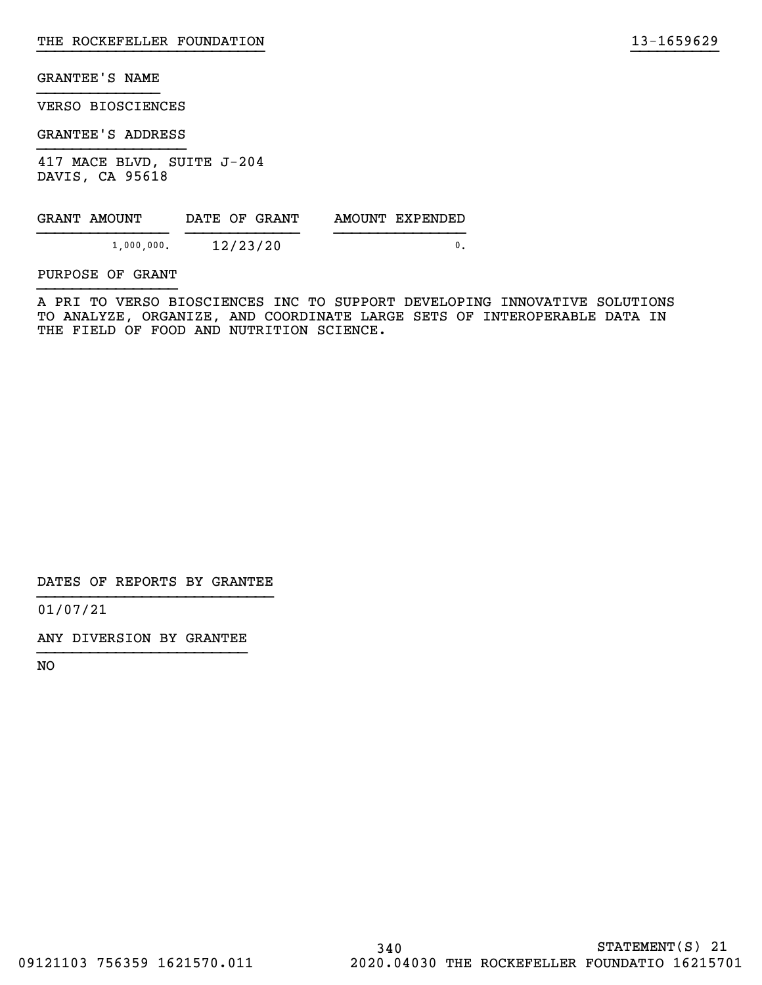VERSO BIOSCIENCES

GRANTEE'S ADDRESS

417 MACE BLVD, SUITE J-204 DAVIS, CA 95618

| GRANT AMOUNT | DATE OF GRANT | AMOUNT EXPENDED |
|--------------|---------------|-----------------|
| 1,000,000.   | 12/23/20      |                 |

PURPOSE OF GRANT

A PRI TO VERSO BIOSCIENCES INC TO SUPPORT DEVELOPING INNOVATIVE SOLUTIONS TO ANALYZE, ORGANIZE, AND COORDINATE LARGE SETS OF INTEROPERABLE DATA IN THE FIELD OF FOOD AND NUTRITION SCIENCE.

}}}}}}}}}}}}}}}}}}}}}}}}}} }}}}}}}}}}

DATES OF REPORTS BY GRANTEE

01/07/21

ANY DIVERSION BY GRANTEE }}}}}}}}}}}}}}}}}}}}}}}}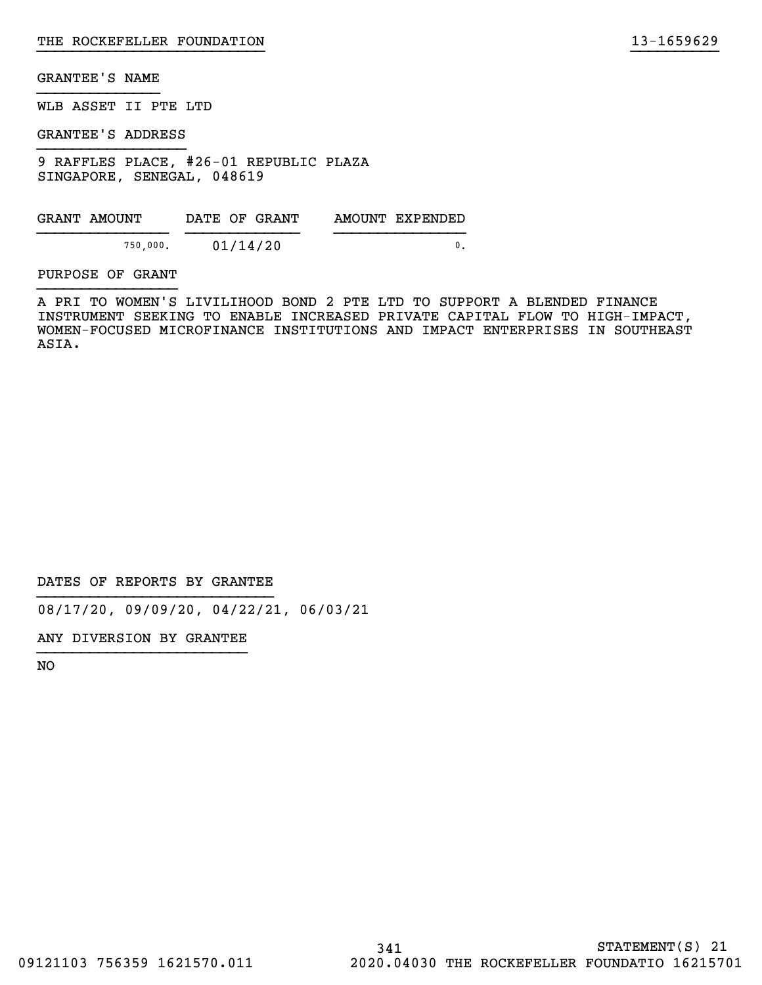WLB ASSET II PTE LTD

GRANTEE'S ADDRESS

9 RAFFLES PLACE, #26-01 REPUBLIC PLAZA SINGAPORE, SENEGAL, 048619

| GRANT AMOUNT | DATE OF GRANT | AMOUNT EXPENDED |
|--------------|---------------|-----------------|
| 750.000.     | 01/14/20      |                 |

PURPOSE OF GRANT

A PRI TO WOMEN'S LIVILIHOOD BOND 2 PTE LTD TO SUPPORT A BLENDED FINANCE INSTRUMENT SEEKING TO ENABLE INCREASED PRIVATE CAPITAL FLOW TO HIGH-IMPACT, WOMEN-FOCUSED MICROFINANCE INSTITUTIONS AND IMPACT ENTERPRISES IN SOUTHEAST ASIA.

}}}}}}}}}}}}}}}}}}}}}}}}}} }}}}}}}}}}

DATES OF REPORTS BY GRANTEE

08/17/20, 09/09/20, 04/22/21, 06/03/21

ANY DIVERSION BY GRANTEE }}}}}}}}}}}}}}}}}}}}}}}}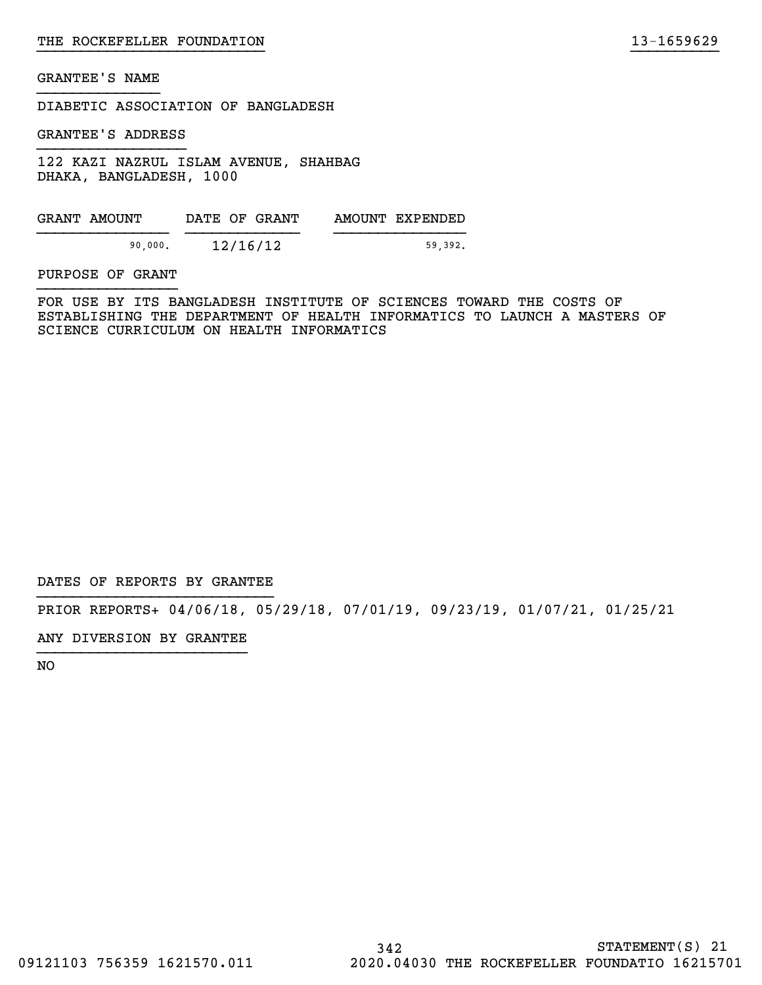DIABETIC ASSOCIATION OF BANGLADESH

GRANTEE'S ADDRESS

122 KAZI NAZRUL ISLAM AVENUE, SHAHBAG DHAKA, BANGLADESH, 1000

GRANT AMOUNT DATE OF GRANT AMOUNT EXPENDED }}}}}}}}}}}}}}} }}}}}}}}}}}}} }}}}}}}}}}}}}}} 90,000. 12/16/12 59,392.

PURPOSE OF GRANT

FOR USE BY ITS BANGLADESH INSTITUTE OF SCIENCES TOWARD THE COSTS OF ESTABLISHING THE DEPARTMENT OF HEALTH INFORMATICS TO LAUNCH A MASTERS OF SCIENCE CURRICULUM ON HEALTH INFORMATICS

}}}}}}}}}}}}}}}}}}}}}}}}}} }}}}}}}}}}

DATES OF REPORTS BY GRANTEE

PRIOR REPORTS+ 04/06/18, 05/29/18, 07/01/19, 09/23/19, 01/07/21, 01/25/21

ANY DIVERSION BY GRANTEE }}}}}}}}}}}}}}}}}}}}}}}}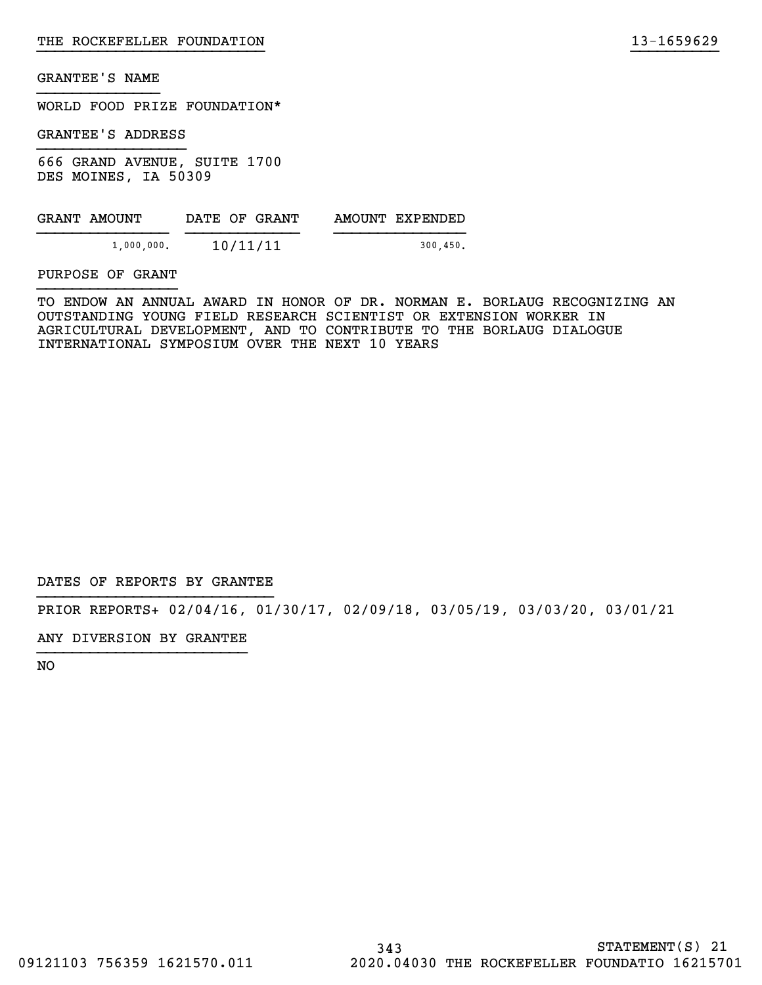WORLD FOOD PRIZE FOUNDATION\*

GRANTEE'S ADDRESS

666 GRAND AVENUE, SUITE 1700 DES MOINES, IA 50309

| GRANT AMOUNT  | DATE OF GRANT | AMOUNT EXPENDED |
|---------------|---------------|-----------------|
| $1,000,000$ . | 10/11/11      | 300, 450.       |

PURPOSE OF GRANT

TO ENDOW AN ANNUAL AWARD IN HONOR OF DR. NORMAN E. BORLAUG RECOGNIZING AN OUTSTANDING YOUNG FIELD RESEARCH SCIENTIST OR EXTENSION WORKER IN AGRICULTURAL DEVELOPMENT, AND TO CONTRIBUTE TO THE BORLAUG DIALOGUE INTERNATIONAL SYMPOSIUM OVER THE NEXT 10 YEARS

}}}}}}}}}}}}}}}}}}}}}}}}}} }}}}}}}}}}

DATES OF REPORTS BY GRANTEE

PRIOR REPORTS+ 02/04/16, 01/30/17, 02/09/18, 03/05/19, 03/03/20, 03/01/21

ANY DIVERSION BY GRANTEE }}}}}}}}}}}}}}}}}}}}}}}}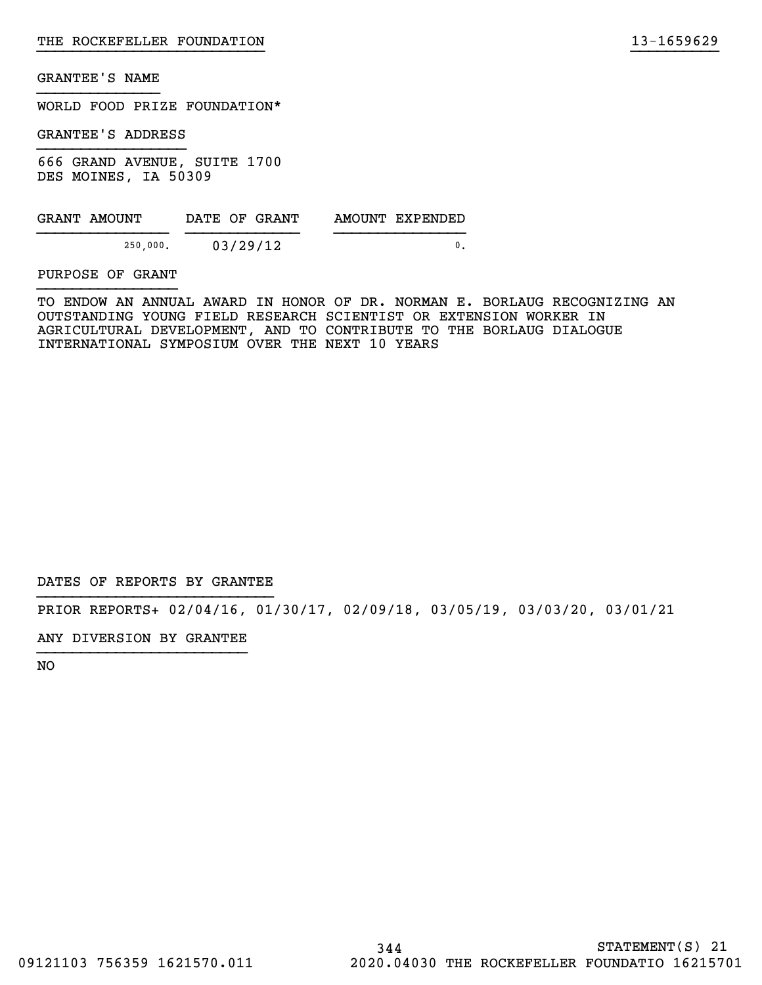WORLD FOOD PRIZE FOUNDATION\*

GRANTEE'S ADDRESS

666 GRAND AVENUE, SUITE 1700 DES MOINES, IA 50309

| GRANT AMOUNT | DATE OF GRANT | AMOUNT EXPENDED |
|--------------|---------------|-----------------|
| 250,000.     | 03/29/12      |                 |

PURPOSE OF GRANT

TO ENDOW AN ANNUAL AWARD IN HONOR OF DR. NORMAN E. BORLAUG RECOGNIZING AN OUTSTANDING YOUNG FIELD RESEARCH SCIENTIST OR EXTENSION WORKER IN AGRICULTURAL DEVELOPMENT, AND TO CONTRIBUTE TO THE BORLAUG DIALOGUE INTERNATIONAL SYMPOSIUM OVER THE NEXT 10 YEARS

}}}}}}}}}}}}}}}}}}}}}}}}}} }}}}}}}}}}

DATES OF REPORTS BY GRANTEE

PRIOR REPORTS+ 02/04/16, 01/30/17, 02/09/18, 03/05/19, 03/03/20, 03/01/21

ANY DIVERSION BY GRANTEE }}}}}}}}}}}}}}}}}}}}}}}}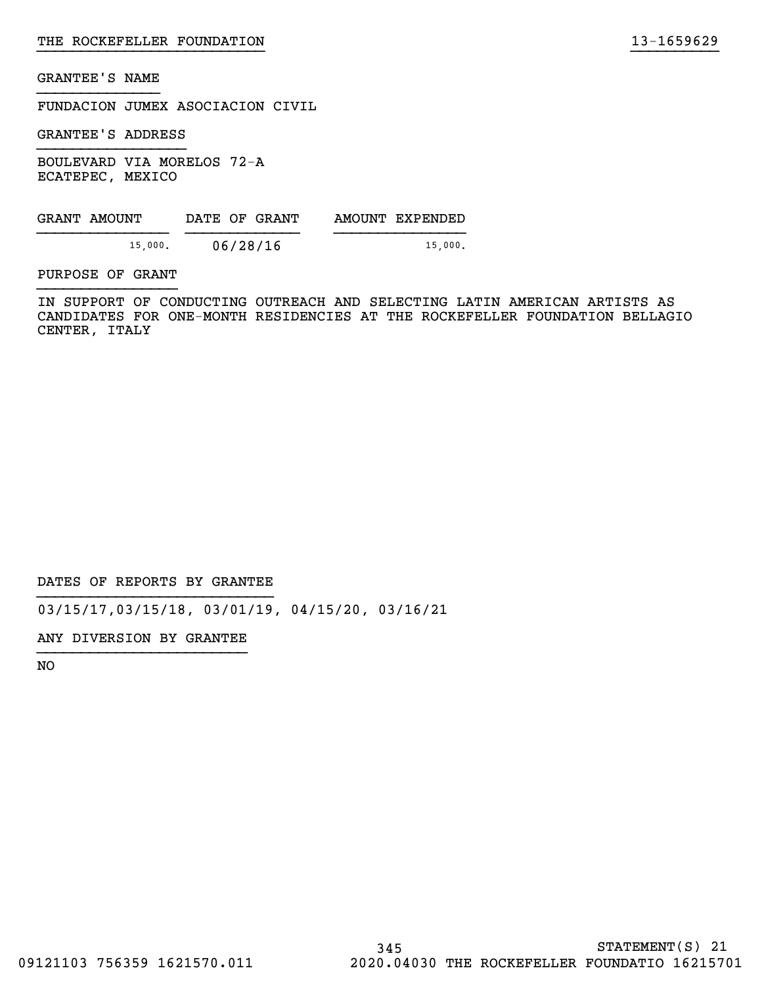FUNDACION JUMEX ASOCIACION CIVIL

GRANTEE'S ADDRESS

BOULEVARD VIA MORELOS 72-A ECATEPEC, MEXICO

| GRANT AMOUNT | DATE OF GRANT | AMOUNT EXPENDED |
|--------------|---------------|-----------------|
| 15,000.      | 06/28/16      | 15,000.         |

PURPOSE OF GRANT

IN SUPPORT OF CONDUCTING OUTREACH AND SELECTING LATIN AMERICAN ARTISTS AS CANDIDATES FOR ONE-MONTH RESIDENCIES AT THE ROCKEFELLER FOUNDATION BELLAGIO CENTER, ITALY

}}}}}}}}}}}}}}}}}}}}}}}}}} }}}}}}}}}}

DATES OF REPORTS BY GRANTEE

03/15/17,03/15/18, 03/01/19, 04/15/20, 03/16/21

ANY DIVERSION BY GRANTEE }}}}}}}}}}}}}}}}}}}}}}}}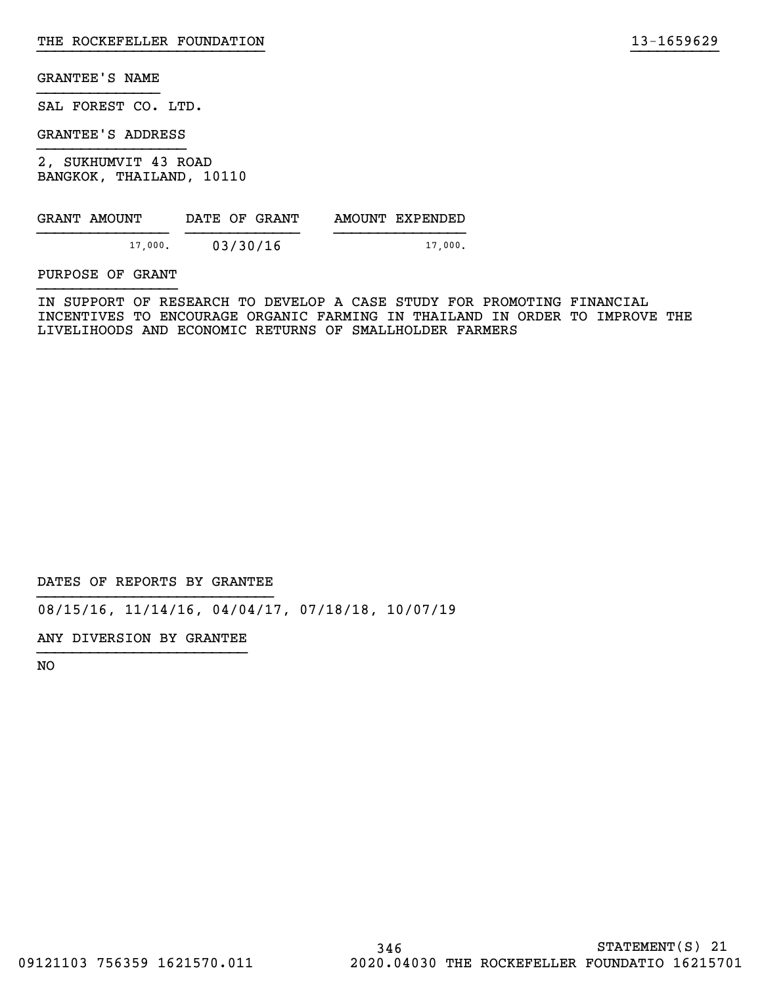SAL FOREST CO. LTD.

GRANTEE'S ADDRESS

2, SUKHUMVIT 43 ROAD BANGKOK, THAILAND, 10110

| GRANT AMOUNT | DATE OF GRANT | AMOUNT EXPENDED |
|--------------|---------------|-----------------|
| 17,000.      | 03/30/16      | 17.000.         |

PURPOSE OF GRANT

IN SUPPORT OF RESEARCH TO DEVELOP A CASE STUDY FOR PROMOTING FINANCIAL INCENTIVES TO ENCOURAGE ORGANIC FARMING IN THAILAND IN ORDER TO IMPROVE THE LIVELIHOODS AND ECONOMIC RETURNS OF SMALLHOLDER FARMERS

}}}}}}}}}}}}}}}}}}}}}}}}}} }}}}}}}}}}

DATES OF REPORTS BY GRANTEE

08/15/16, 11/14/16, 04/04/17, 07/18/18, 10/07/19

ANY DIVERSION BY GRANTEE }}}}}}}}}}}}}}}}}}}}}}}}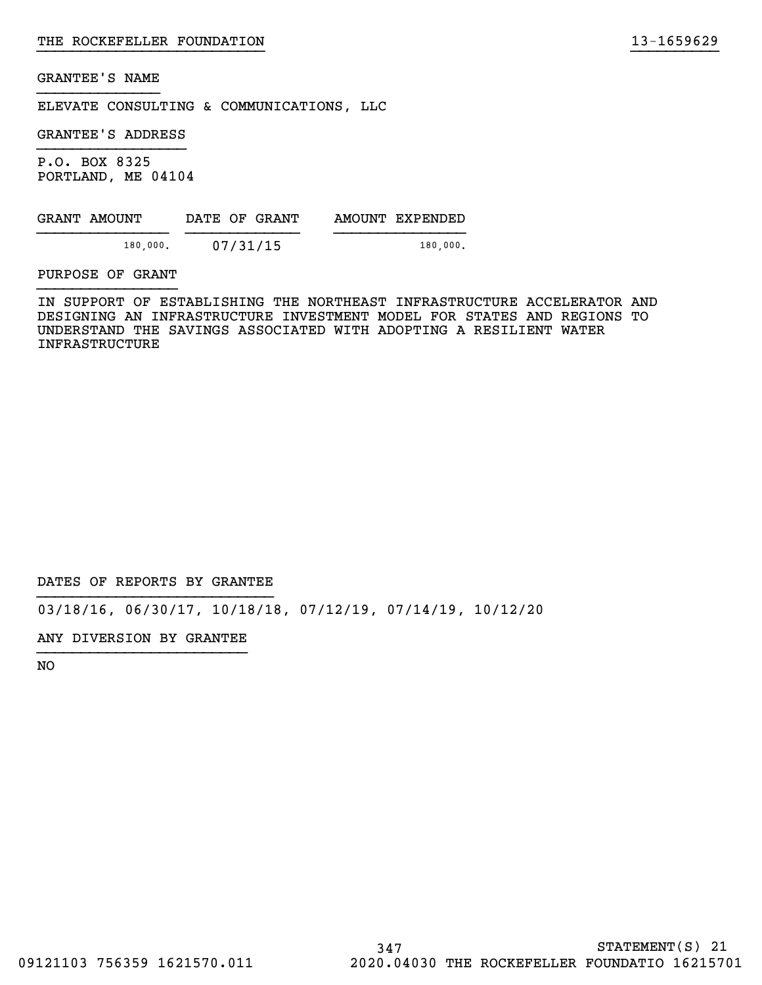ELEVATE CONSULTING & COMMUNICATIONS, LLC

GRANTEE'S ADDRESS

P.O. BOX 8325 PORTLAND, ME 04104

| GRANT AMOUNT | DATE OF GRANT | AMOUNT EXPENDED |
|--------------|---------------|-----------------|
| 180,000.     | 07/31/15      | 180.000.        |

PURPOSE OF GRANT

IN SUPPORT OF ESTABLISHING THE NORTHEAST INFRASTRUCTURE ACCELERATOR AND DESIGNING AN INFRASTRUCTURE INVESTMENT MODEL FOR STATES AND REGIONS TO UNDERSTAND THE SAVINGS ASSOCIATED WITH ADOPTING A RESILIENT WATER INFRASTRUCTURE

}}}}}}}}}}}}}}}}}}}}}}}}}} }}}}}}}}}}

DATES OF REPORTS BY GRANTEE

03/18/16, 06/30/17, 10/18/18, 07/12/19, 07/14/19, 10/12/20

ANY DIVERSION BY GRANTEE }}}}}}}}}}}}}}}}}}}}}}}}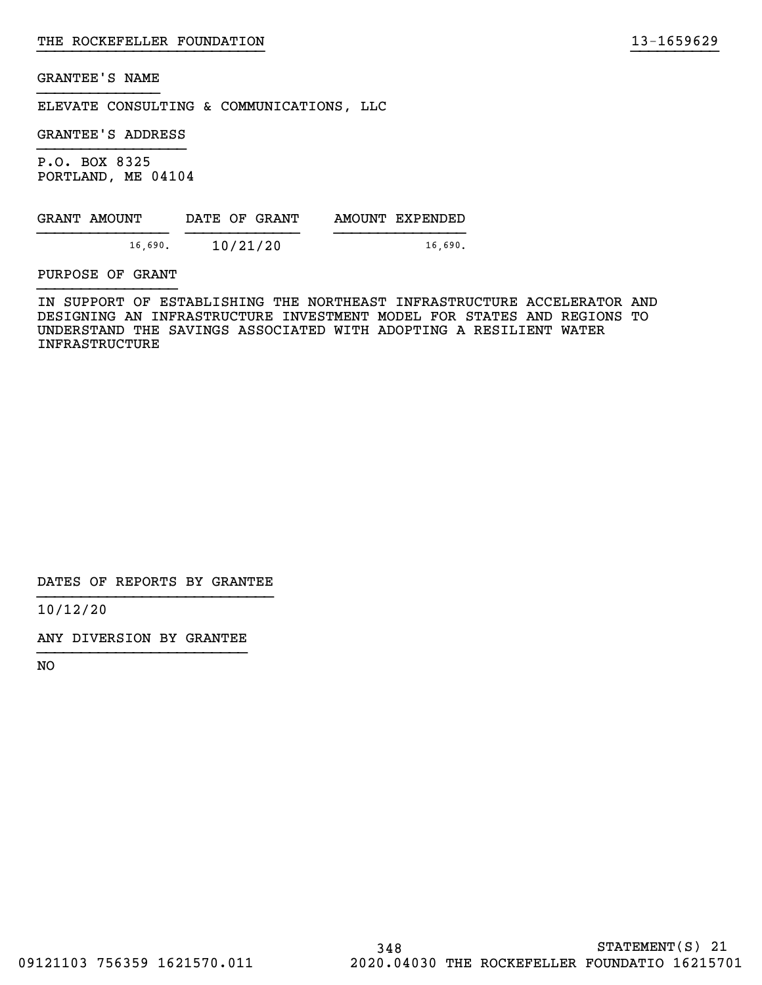ELEVATE CONSULTING & COMMUNICATIONS, LLC

GRANTEE'S ADDRESS

P.O. BOX 8325 PORTLAND, ME 04104

|         | GRANT AMOUNT | DATE OF GRANT | AMOUNT EXPENDED |
|---------|--------------|---------------|-----------------|
| 16.690. |              | 10/21/20      | 16.690.         |

PURPOSE OF GRANT

IN SUPPORT OF ESTABLISHING THE NORTHEAST INFRASTRUCTURE ACCELERATOR AND DESIGNING AN INFRASTRUCTURE INVESTMENT MODEL FOR STATES AND REGIONS TO UNDERSTAND THE SAVINGS ASSOCIATED WITH ADOPTING A RESILIENT WATER INFRASTRUCTURE

}}}}}}}}}}}}}}}}}}}}}}}}}} }}}}}}}}}}

DATES OF REPORTS BY GRANTEE

10/12/20

ANY DIVERSION BY GRANTEE }}}}}}}}}}}}}}}}}}}}}}}}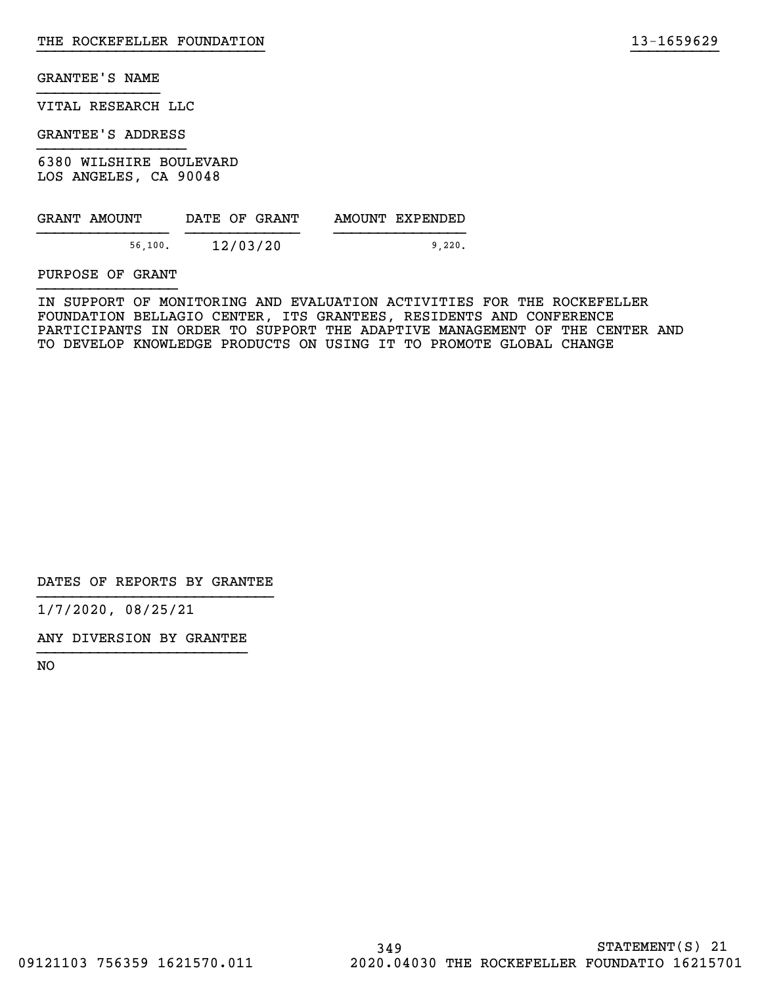VITAL RESEARCH LLC

GRANTEE'S ADDRESS

6380 WILSHIRE BOULEVARD LOS ANGELES, CA 90048

| GRANT AMOUNT | DATE OF GRANT | AMOUNT EXPENDED |
|--------------|---------------|-----------------|
| 56,100.      | 12/03/20      | 9.220.          |

PURPOSE OF GRANT

IN SUPPORT OF MONITORING AND EVALUATION ACTIVITIES FOR THE ROCKEFELLER FOUNDATION BELLAGIO CENTER, ITS GRANTEES, RESIDENTS AND CONFERENCE PARTICIPANTS IN ORDER TO SUPPORT THE ADAPTIVE MANAGEMENT OF THE CENTER AND TO DEVELOP KNOWLEDGE PRODUCTS ON USING IT TO PROMOTE GLOBAL CHANGE

}}}}}}}}}}}}}}}}}}}}}}}}}} }}}}}}}}}}

DATES OF REPORTS BY GRANTEE

1/7/2020, 08/25/21

ANY DIVERSION BY GRANTEE }}}}}}}}}}}}}}}}}}}}}}}}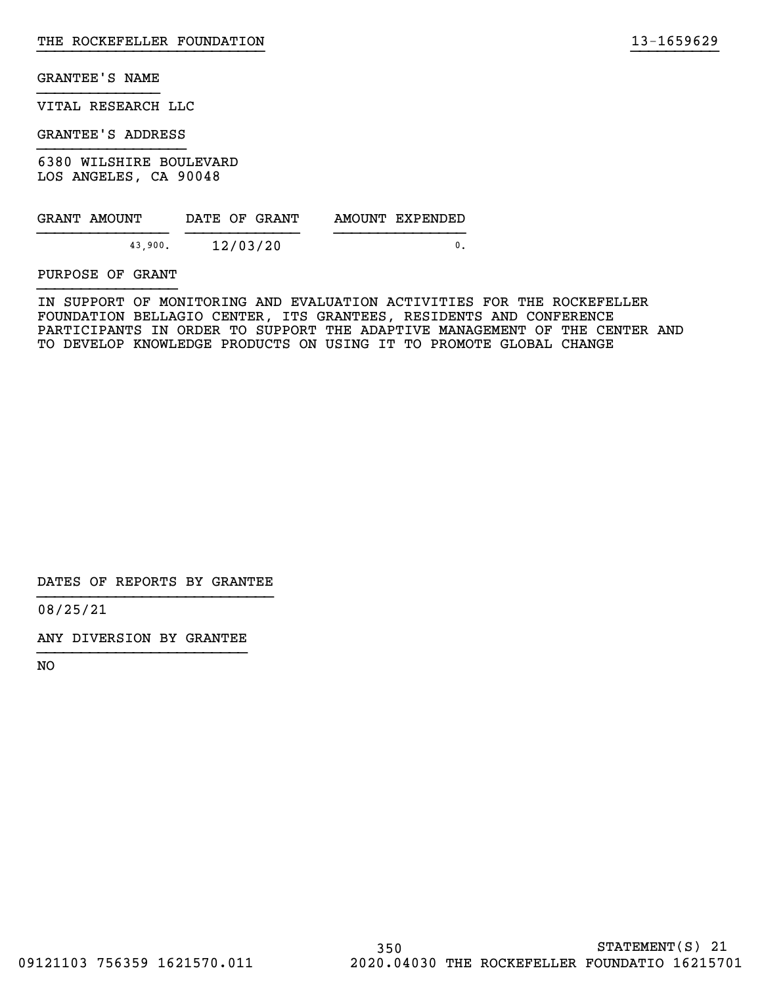VITAL RESEARCH LLC

GRANTEE'S ADDRESS

6380 WILSHIRE BOULEVARD LOS ANGELES, CA 90048

| GRANT AMOUNT |         | DATE OF GRANT |  | AMOUNT EXPENDED |
|--------------|---------|---------------|--|-----------------|
|              | 43.900. | 12/03/20      |  |                 |

PURPOSE OF GRANT

IN SUPPORT OF MONITORING AND EVALUATION ACTIVITIES FOR THE ROCKEFELLER FOUNDATION BELLAGIO CENTER, ITS GRANTEES, RESIDENTS AND CONFERENCE PARTICIPANTS IN ORDER TO SUPPORT THE ADAPTIVE MANAGEMENT OF THE CENTER AND TO DEVELOP KNOWLEDGE PRODUCTS ON USING IT TO PROMOTE GLOBAL CHANGE

}}}}}}}}}}}}}}}}}}}}}}}}}} }}}}}}}}}}

DATES OF REPORTS BY GRANTEE

08/25/21

ANY DIVERSION BY GRANTEE }}}}}}}}}}}}}}}}}}}}}}}}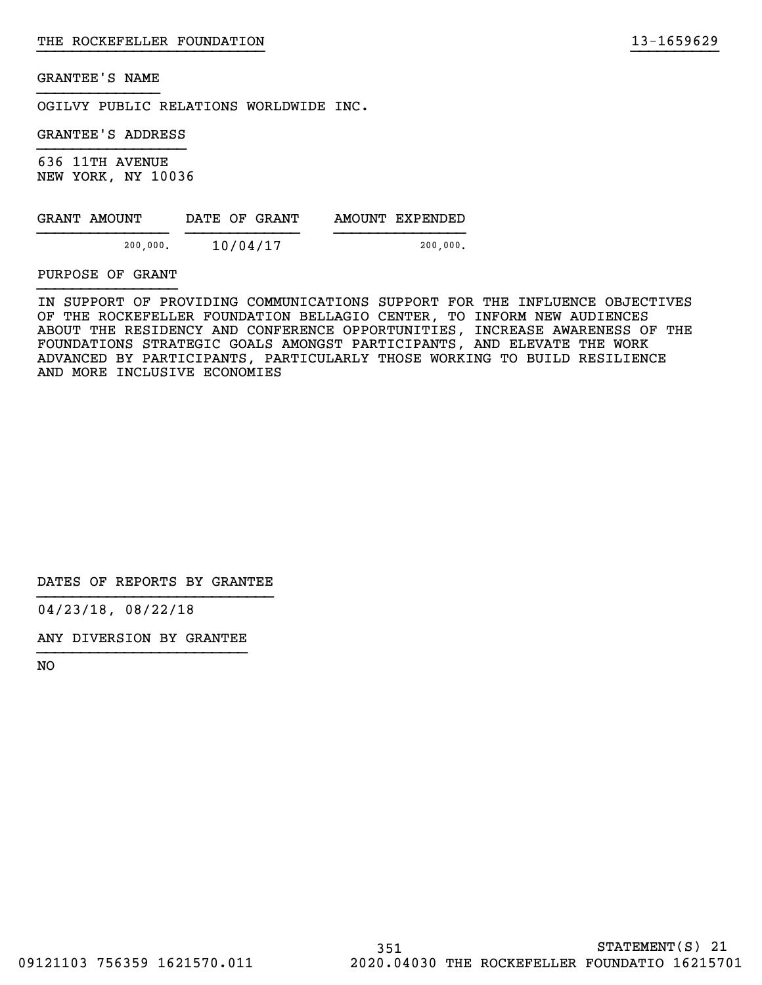OGILVY PUBLIC RELATIONS WORLDWIDE INC.

GRANTEE'S ADDRESS

636 11TH AVENUE NEW YORK, NY 10036

| GRANT AMOUNT | DATE OF GRANT | AMOUNT EXPENDED |
|--------------|---------------|-----------------|
| 200,000.     | 10/04/17      | 200,000.        |

PURPOSE OF GRANT

IN SUPPORT OF PROVIDING COMMUNICATIONS SUPPORT FOR THE INFLUENCE OBJECTIVES OF THE ROCKEFELLER FOUNDATION BELLAGIO CENTER, TO INFORM NEW AUDIENCES ABOUT THE RESIDENCY AND CONFERENCE OPPORTUNITIES, INCREASE AWARENESS OF THE FOUNDATIONS STRATEGIC GOALS AMONGST PARTICIPANTS, AND ELEVATE THE WORK ADVANCED BY PARTICIPANTS, PARTICULARLY THOSE WORKING TO BUILD RESILIENCE AND MORE INCLUSIVE ECONOMIES

}}}}}}}}}}}}}}}}}}}}}}}}}} }}}}}}}}}}

DATES OF REPORTS BY GRANTEE

04/23/18, 08/22/18

ANY DIVERSION BY GRANTEE }}}}}}}}}}}}}}}}}}}}}}}}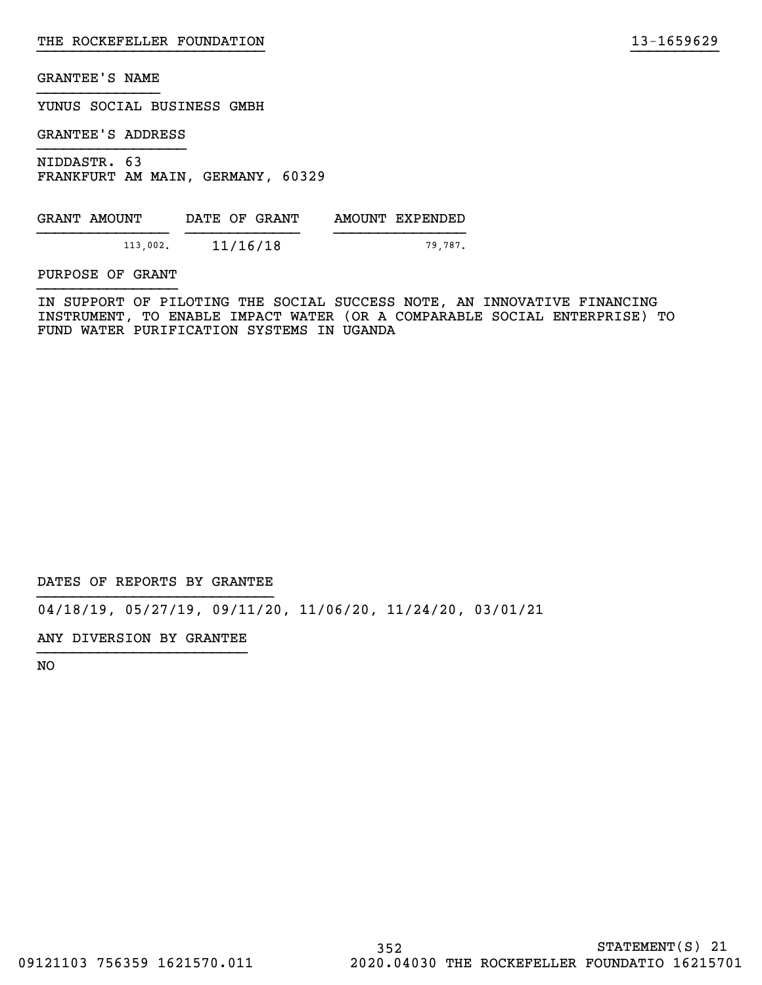YUNUS SOCIAL BUSINESS GMBH

GRANTEE'S ADDRESS

NIDDASTR. 63 FRANKFURT AM MAIN, GERMANY, 60329

GRANT AMOUNT DATE OF GRANT AMOUNT EXPENDED }}}}}}}}}}}}}}} }}}}}}}}}}}}} }}}}}}}}}}}}}}} 113,002. 11/16/18 79,787.

PURPOSE OF GRANT

IN SUPPORT OF PILOTING THE SOCIAL SUCCESS NOTE, AN INNOVATIVE FINANCING INSTRUMENT, TO ENABLE IMPACT WATER (OR A COMPARABLE SOCIAL ENTERPRISE) TO FUND WATER PURIFICATION SYSTEMS IN UGANDA

}}}}}}}}}}}}}}}}}}}}}}}}}} }}}}}}}}}}

DATES OF REPORTS BY GRANTEE

04/18/19, 05/27/19, 09/11/20, 11/06/20, 11/24/20, 03/01/21

ANY DIVERSION BY GRANTEE }}}}}}}}}}}}}}}}}}}}}}}}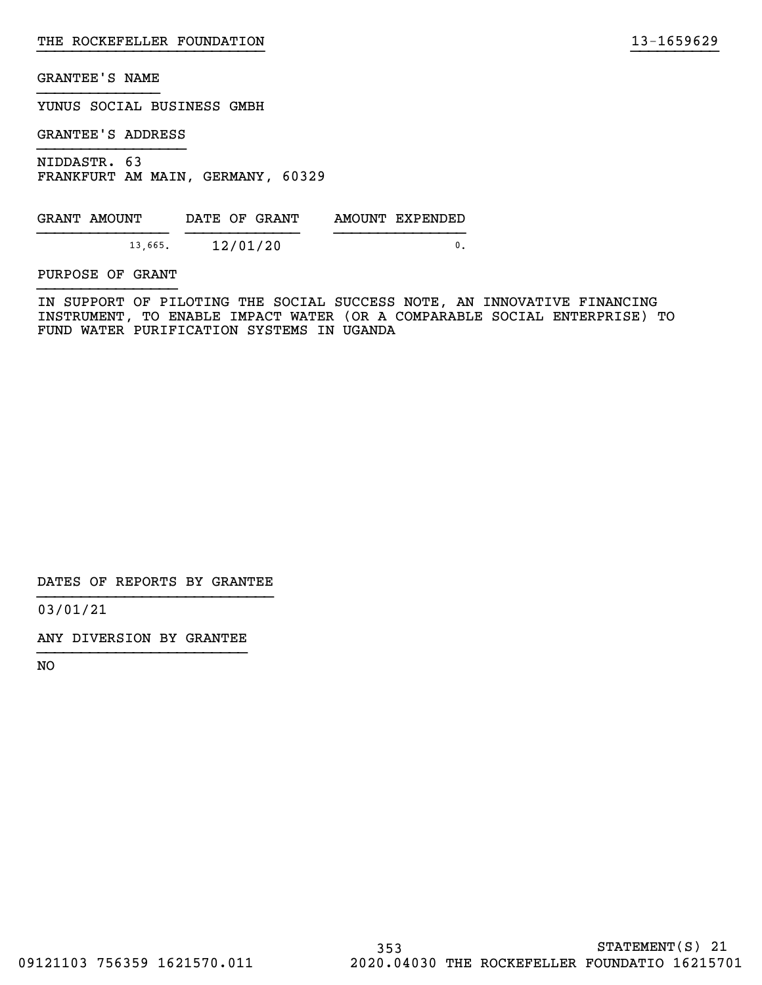YUNUS SOCIAL BUSINESS GMBH

GRANTEE'S ADDRESS

NIDDASTR. 63 FRANKFURT AM MAIN, GERMANY, 60329

GRANT AMOUNT DATE OF GRANT AMOUNT EXPENDED  $\frac{13,665}{12/01/20}$ 

PURPOSE OF GRANT

IN SUPPORT OF PILOTING THE SOCIAL SUCCESS NOTE, AN INNOVATIVE FINANCING INSTRUMENT, TO ENABLE IMPACT WATER (OR A COMPARABLE SOCIAL ENTERPRISE) TO FUND WATER PURIFICATION SYSTEMS IN UGANDA

}}}}}}}}}}}}}}}}}}}}}}}}}} }}}}}}}}}}

DATES OF REPORTS BY GRANTEE

03/01/21

ANY DIVERSION BY GRANTEE }}}}}}}}}}}}}}}}}}}}}}}}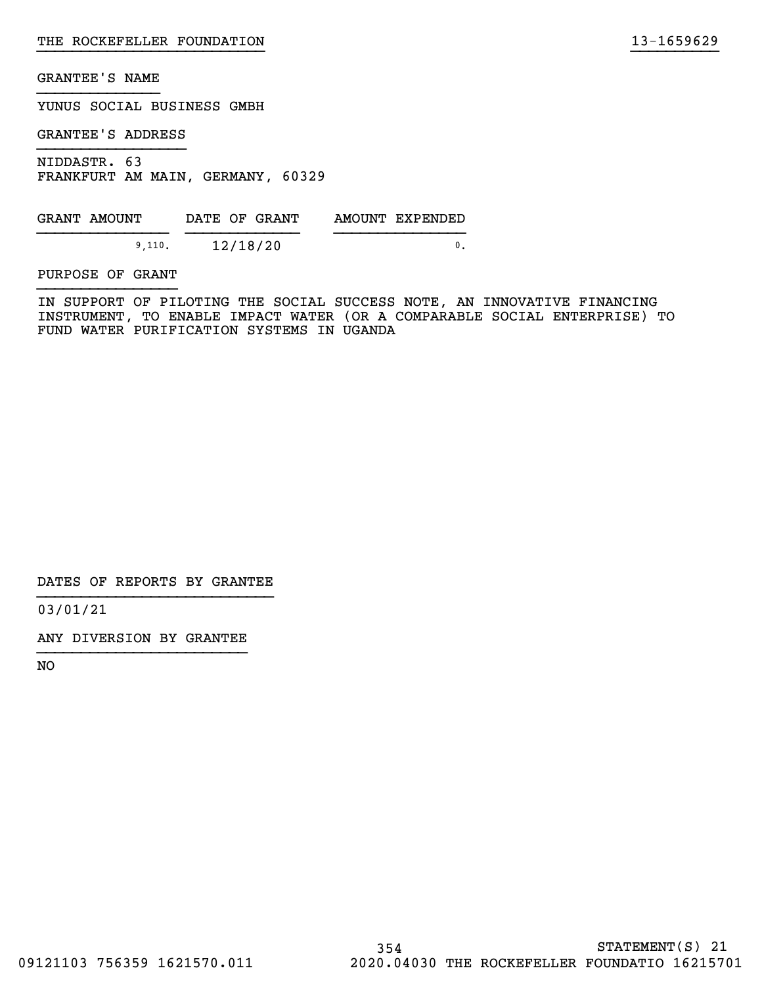YUNUS SOCIAL BUSINESS GMBH

GRANTEE'S ADDRESS

NIDDASTR. 63 FRANKFURT AM MAIN, GERMANY, 60329

GRANT AMOUNT DATE OF GRANT AMOUNT EXPENDED  ${9,110}$ .  ${12/18/20}$  0.

PURPOSE OF GRANT

IN SUPPORT OF PILOTING THE SOCIAL SUCCESS NOTE, AN INNOVATIVE FINANCING INSTRUMENT, TO ENABLE IMPACT WATER (OR A COMPARABLE SOCIAL ENTERPRISE) TO FUND WATER PURIFICATION SYSTEMS IN UGANDA

}}}}}}}}}}}}}}}}}}}}}}}}}} }}}}}}}}}}

DATES OF REPORTS BY GRANTEE

03/01/21

ANY DIVERSION BY GRANTEE }}}}}}}}}}}}}}}}}}}}}}}}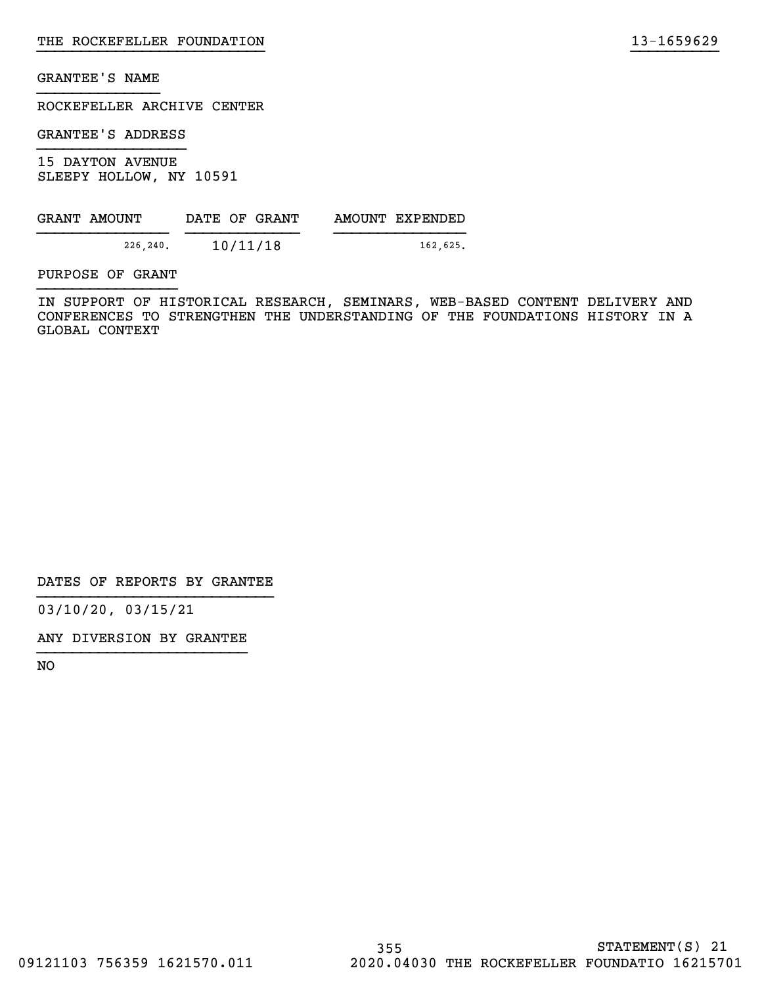ROCKEFELLER ARCHIVE CENTER

GRANTEE'S ADDRESS

15 DAYTON AVENUE SLEEPY HOLLOW, NY 10591

| GRANT AMOUNT | DATE OF GRANT | AMOUNT EXPENDED |
|--------------|---------------|-----------------|
| 226,240.     | 10/11/18      | 162,625.        |

PURPOSE OF GRANT

IN SUPPORT OF HISTORICAL RESEARCH, SEMINARS, WEB-BASED CONTENT DELIVERY AND CONFERENCES TO STRENGTHEN THE UNDERSTANDING OF THE FOUNDATIONS HISTORY IN A GLOBAL CONTEXT

}}}}}}}}}}}}}}}}}}}}}}}}}} }}}}}}}}}}

DATES OF REPORTS BY GRANTEE

03/10/20, 03/15/21

ANY DIVERSION BY GRANTEE }}}}}}}}}}}}}}}}}}}}}}}}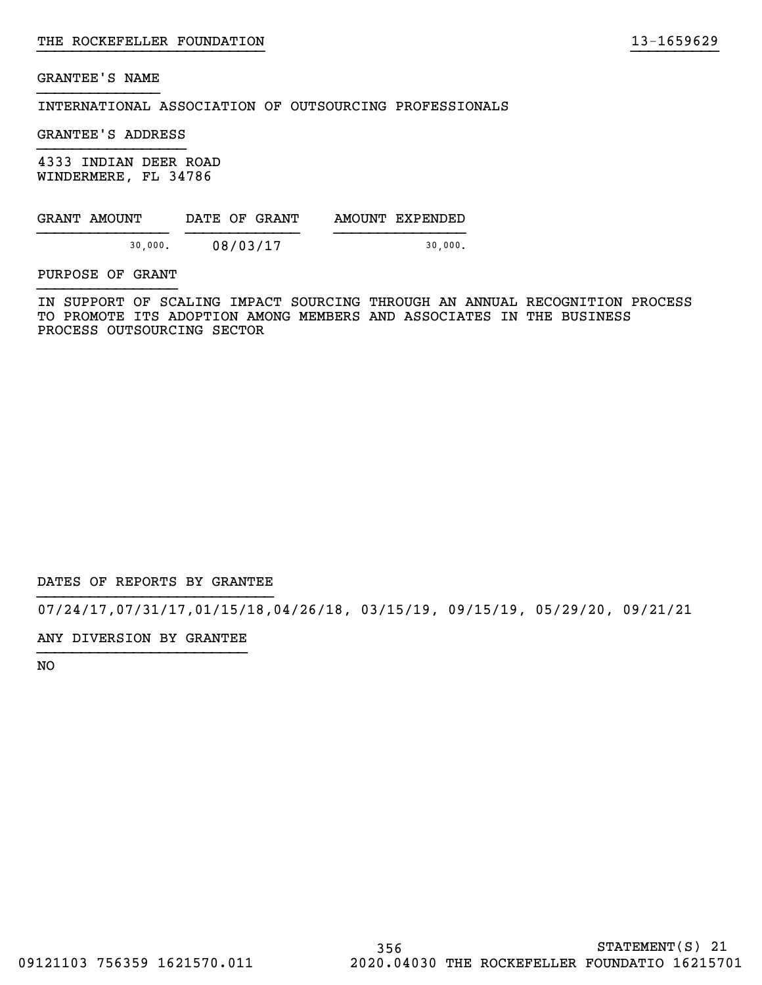INTERNATIONAL ASSOCIATION OF OUTSOURCING PROFESSIONALS

GRANTEE'S ADDRESS

4333 INDIAN DEER ROAD WINDERMERE, FL 34786

GRANT AMOUNT DATE OF GRANT AMOUNT EXPENDED }}}}}}}}}}}}}}} }}}}}}}}}}}}} }}}}}}}}}}}}}}} 30,000. 08/03/17 30,000.

PURPOSE OF GRANT

IN SUPPORT OF SCALING IMPACT SOURCING THROUGH AN ANNUAL RECOGNITION PROCESS TO PROMOTE ITS ADOPTION AMONG MEMBERS AND ASSOCIATES IN THE BUSINESS PROCESS OUTSOURCING SECTOR

}}}}}}}}}}}}}}}}}}}}}}}}}} }}}}}}}}}}

DATES OF REPORTS BY GRANTEE

07/24/17,07/31/17,01/15/18,04/26/18, 03/15/19, 09/15/19, 05/29/20, 09/21/21

ANY DIVERSION BY GRANTEE }}}}}}}}}}}}}}}}}}}}}}}}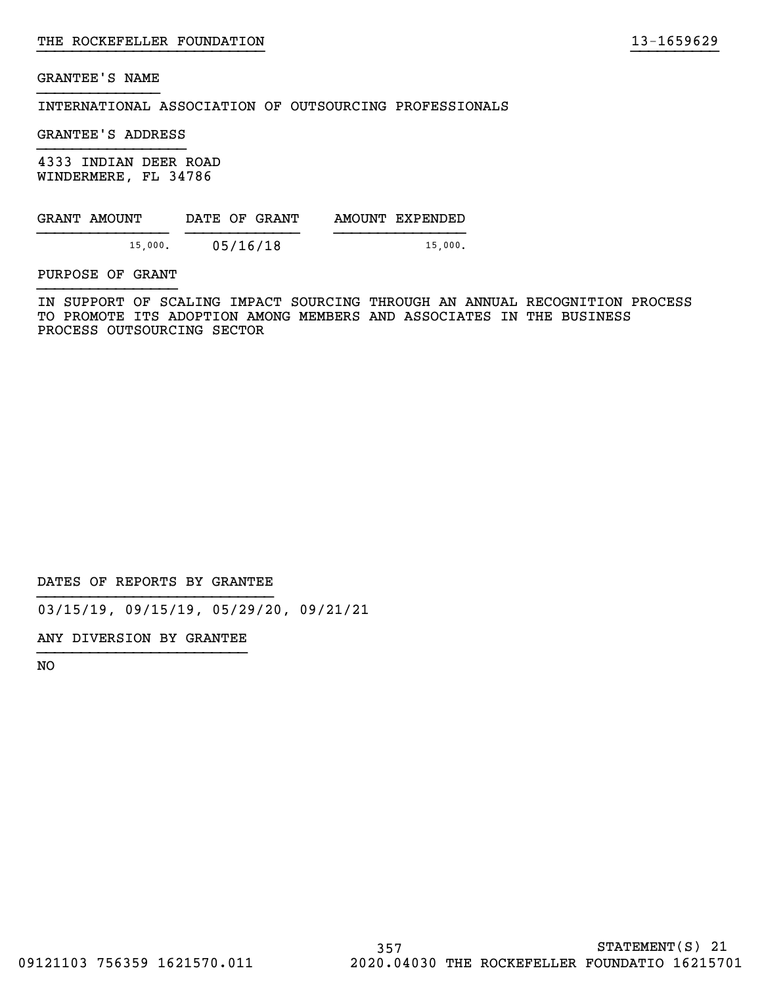INTERNATIONAL ASSOCIATION OF OUTSOURCING PROFESSIONALS

GRANTEE'S ADDRESS

4333 INDIAN DEER ROAD WINDERMERE, FL 34786

| GRANT AMOUNT | DATE OF GRANT | AMOUNT EXPENDED |
|--------------|---------------|-----------------|
| 15,000.      | 05/16/18      | 15.000.         |

PURPOSE OF GRANT

IN SUPPORT OF SCALING IMPACT SOURCING THROUGH AN ANNUAL RECOGNITION PROCESS TO PROMOTE ITS ADOPTION AMONG MEMBERS AND ASSOCIATES IN THE BUSINESS PROCESS OUTSOURCING SECTOR

}}}}}}}}}}}}}}}}}}}}}}}}}} }}}}}}}}}}

DATES OF REPORTS BY GRANTEE

03/15/19, 09/15/19, 05/29/20, 09/21/21

ANY DIVERSION BY GRANTEE }}}}}}}}}}}}}}}}}}}}}}}}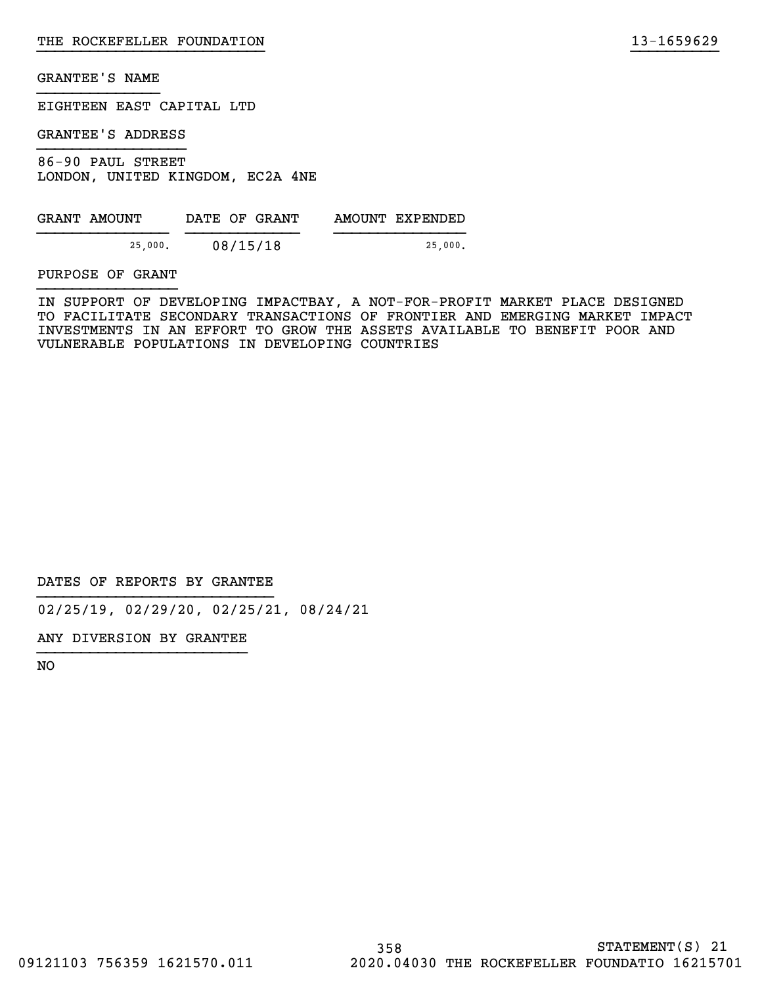EIGHTEEN EAST CAPITAL LTD

GRANTEE'S ADDRESS

86-90 PAUL STREET LONDON, UNITED KINGDOM, EC2A 4NE

| GRANT AMOUNT | DATE OF GRANT | AMOUNT EXPENDED |
|--------------|---------------|-----------------|
| 25,000.      | 08/15/18      | 25.000.         |

PURPOSE OF GRANT

IN SUPPORT OF DEVELOPING IMPACTBAY, A NOT-FOR-PROFIT MARKET PLACE DESIGNED TO FACILITATE SECONDARY TRANSACTIONS OF FRONTIER AND EMERGING MARKET IMPACT INVESTMENTS IN AN EFFORT TO GROW THE ASSETS AVAILABLE TO BENEFIT POOR AND VULNERABLE POPULATIONS IN DEVELOPING COUNTRIES

}}}}}}}}}}}}}}}}}}}}}}}}}} }}}}}}}}}}

DATES OF REPORTS BY GRANTEE

02/25/19, 02/29/20, 02/25/21, 08/24/21

ANY DIVERSION BY GRANTEE }}}}}}}}}}}}}}}}}}}}}}}}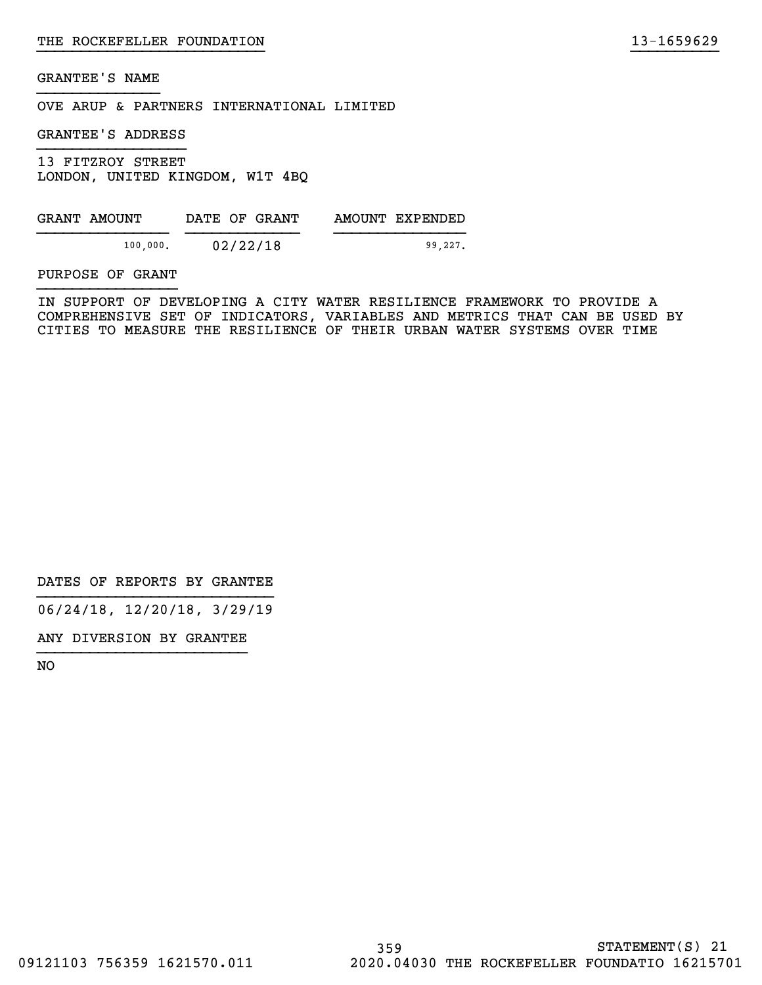OVE ARUP & PARTNERS INTERNATIONAL LIMITED

GRANTEE'S ADDRESS

13 FITZROY STREET LONDON, UNITED KINGDOM, W1T 4BQ

| GRANT AMOUNT | DATE OF GRANT | AMOUNT EXPENDED |
|--------------|---------------|-----------------|
| 100,000.     | 02/22/18      | 99.227.         |

PURPOSE OF GRANT

IN SUPPORT OF DEVELOPING A CITY WATER RESILIENCE FRAMEWORK TO PROVIDE A COMPREHENSIVE SET OF INDICATORS, VARIABLES AND METRICS THAT CAN BE USED BY CITIES TO MEASURE THE RESILIENCE OF THEIR URBAN WATER SYSTEMS OVER TIME

}}}}}}}}}}}}}}}}}}}}}}}}}} }}}}}}}}}}

DATES OF REPORTS BY GRANTEE

06/24/18, 12/20/18, 3/29/19

ANY DIVERSION BY GRANTEE }}}}}}}}}}}}}}}}}}}}}}}}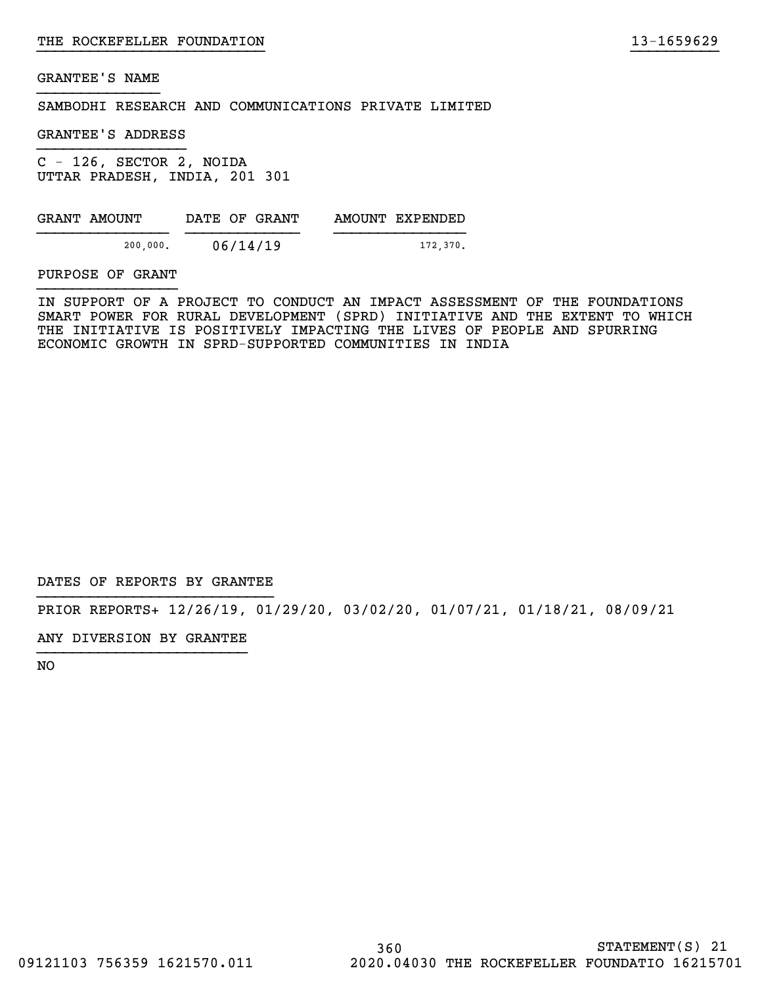SAMBODHI RESEARCH AND COMMUNICATIONS PRIVATE LIMITED

GRANTEE'S ADDRESS

C - 126, SECTOR 2, NOIDA UTTAR PRADESH, INDIA, 201 301

| GRANT AMOUNT | DATE OF GRANT | AMOUNT EXPENDED |
|--------------|---------------|-----------------|
| 200,000.     | 06/14/19      | 172,370.        |

PURPOSE OF GRANT

IN SUPPORT OF A PROJECT TO CONDUCT AN IMPACT ASSESSMENT OF THE FOUNDATIONS SMART POWER FOR RURAL DEVELOPMENT (SPRD) INITIATIVE AND THE EXTENT TO WHICH THE INITIATIVE IS POSITIVELY IMPACTING THE LIVES OF PEOPLE AND SPURRING ECONOMIC GROWTH IN SPRD-SUPPORTED COMMUNITIES IN INDIA

}}}}}}}}}}}}}}}}}}}}}}}}}} }}}}}}}}}}

DATES OF REPORTS BY GRANTEE

PRIOR REPORTS+ 12/26/19, 01/29/20, 03/02/20, 01/07/21, 01/18/21, 08/09/21

ANY DIVERSION BY GRANTEE }}}}}}}}}}}}}}}}}}}}}}}}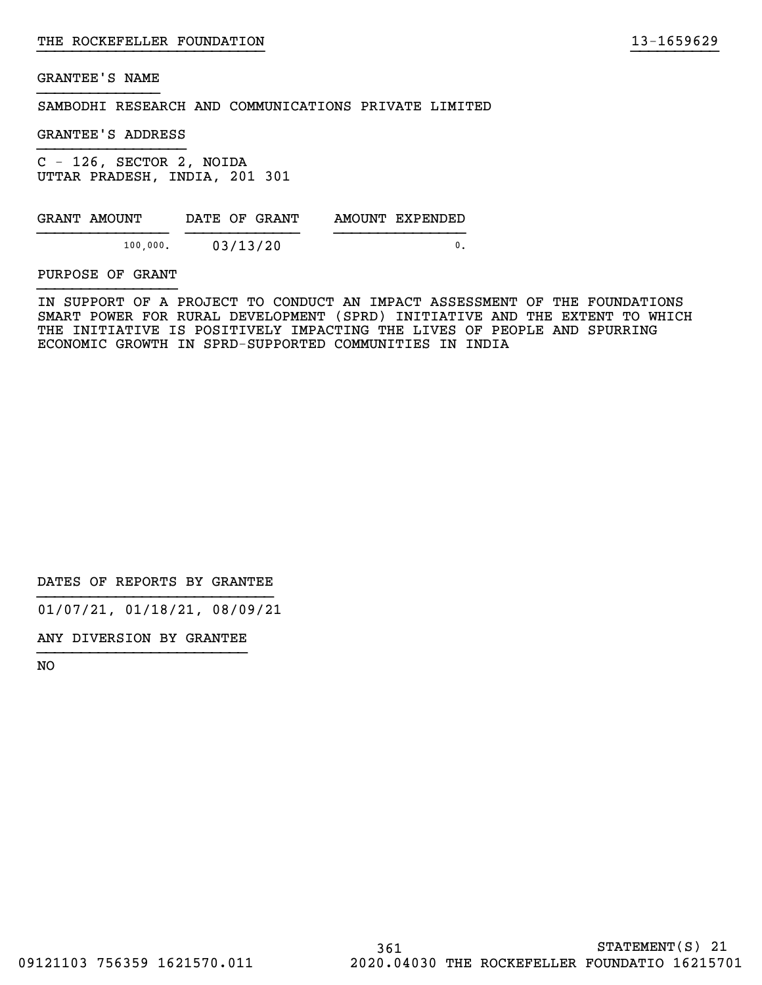SAMBODHI RESEARCH AND COMMUNICATIONS PRIVATE LIMITED

GRANTEE'S ADDRESS

C - 126, SECTOR 2, NOIDA UTTAR PRADESH, INDIA, 201 301

| GRANT AMOUNT | DATE OF GRANT | AMOUNT EXPENDED |
|--------------|---------------|-----------------|
| 100,000.     | 03/13/20      |                 |

PURPOSE OF GRANT

IN SUPPORT OF A PROJECT TO CONDUCT AN IMPACT ASSESSMENT OF THE FOUNDATIONS SMART POWER FOR RURAL DEVELOPMENT (SPRD) INITIATIVE AND THE EXTENT TO WHICH THE INITIATIVE IS POSITIVELY IMPACTING THE LIVES OF PEOPLE AND SPURRING ECONOMIC GROWTH IN SPRD-SUPPORTED COMMUNITIES IN INDIA

}}}}}}}}}}}}}}}}}}}}}}}}}} }}}}}}}}}}

DATES OF REPORTS BY GRANTEE

01/07/21, 01/18/21, 08/09/21

ANY DIVERSION BY GRANTEE }}}}}}}}}}}}}}}}}}}}}}}}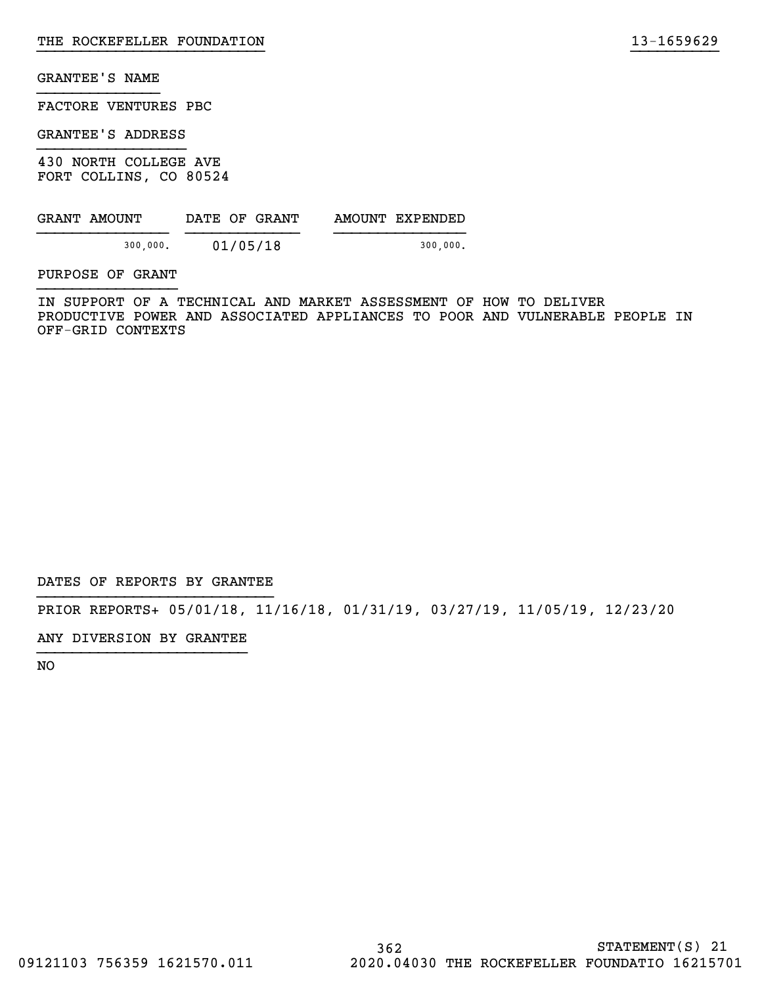FACTORE VENTURES PBC

GRANTEE'S ADDRESS

430 NORTH COLLEGE AVE FORT COLLINS, CO 80524

| GRANT AMOUNT | DATE OF GRANT | AMOUNT EXPENDED |
|--------------|---------------|-----------------|
| 300,000.     | 01/05/18      | 300,000.        |

PURPOSE OF GRANT

IN SUPPORT OF A TECHNICAL AND MARKET ASSESSMENT OF HOW TO DELIVER PRODUCTIVE POWER AND ASSOCIATED APPLIANCES TO POOR AND VULNERABLE PEOPLE IN OFF-GRID CONTEXTS

}}}}}}}}}}}}}}}}}}}}}}}}}} }}}}}}}}}}

DATES OF REPORTS BY GRANTEE

PRIOR REPORTS+ 05/01/18, 11/16/18, 01/31/19, 03/27/19, 11/05/19, 12/23/20

ANY DIVERSION BY GRANTEE }}}}}}}}}}}}}}}}}}}}}}}}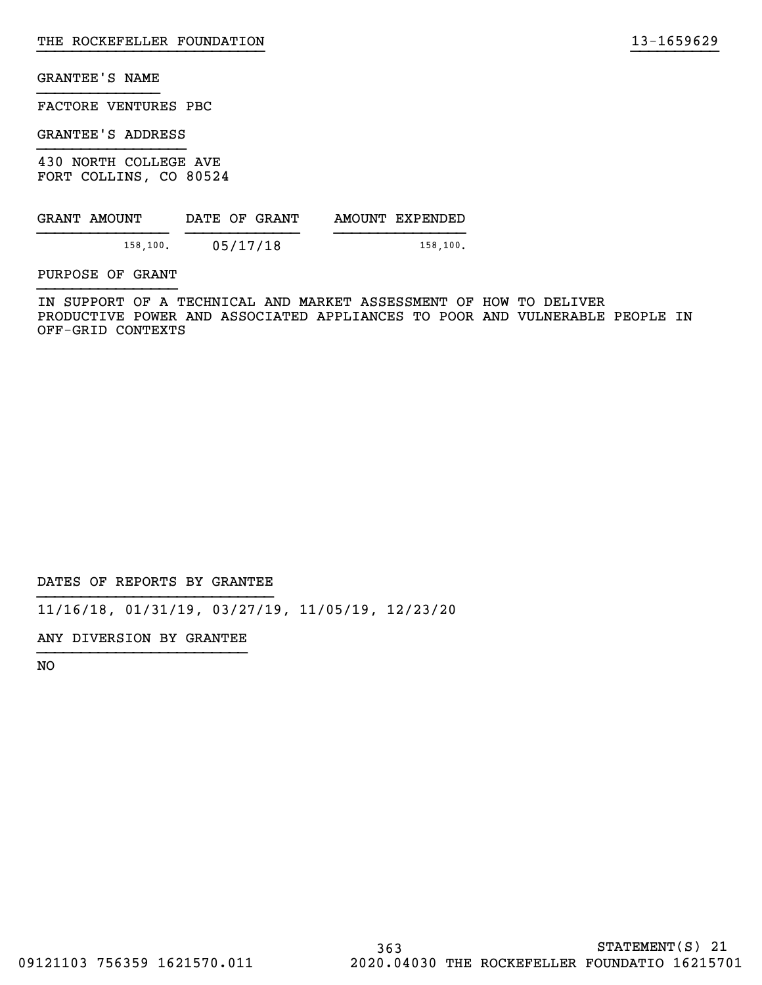FACTORE VENTURES PBC

GRANTEE'S ADDRESS

430 NORTH COLLEGE AVE FORT COLLINS, CO 80524

| GRANT AMOUNT | DATE OF GRANT | AMOUNT EXPENDED |
|--------------|---------------|-----------------|
| 158,100.     | 05/17/18      | 158.100.        |

PURPOSE OF GRANT

IN SUPPORT OF A TECHNICAL AND MARKET ASSESSMENT OF HOW TO DELIVER PRODUCTIVE POWER AND ASSOCIATED APPLIANCES TO POOR AND VULNERABLE PEOPLE IN OFF-GRID CONTEXTS

}}}}}}}}}}}}}}}}}}}}}}}}}} }}}}}}}}}}

DATES OF REPORTS BY GRANTEE

11/16/18, 01/31/19, 03/27/19, 11/05/19, 12/23/20

ANY DIVERSION BY GRANTEE }}}}}}}}}}}}}}}}}}}}}}}}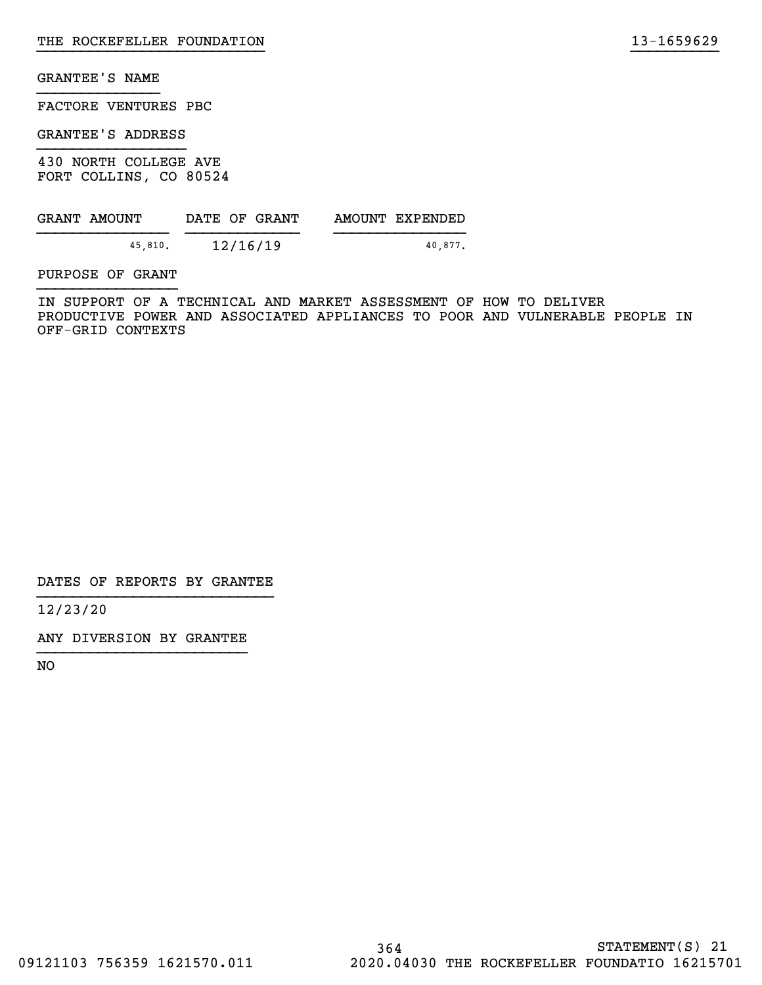FACTORE VENTURES PBC

GRANTEE'S ADDRESS

430 NORTH COLLEGE AVE FORT COLLINS, CO 80524

| GRANT AMOUNT |         | DATE OF GRANT | AMOUNT EXPENDED |
|--------------|---------|---------------|-----------------|
|              | 45.810. | 12/16/19      | 40.877.         |

PURPOSE OF GRANT

IN SUPPORT OF A TECHNICAL AND MARKET ASSESSMENT OF HOW TO DELIVER PRODUCTIVE POWER AND ASSOCIATED APPLIANCES TO POOR AND VULNERABLE PEOPLE IN OFF-GRID CONTEXTS

}}}}}}}}}}}}}}}}}}}}}}}}}} }}}}}}}}}}

DATES OF REPORTS BY GRANTEE

12/23/20

ANY DIVERSION BY GRANTEE }}}}}}}}}}}}}}}}}}}}}}}}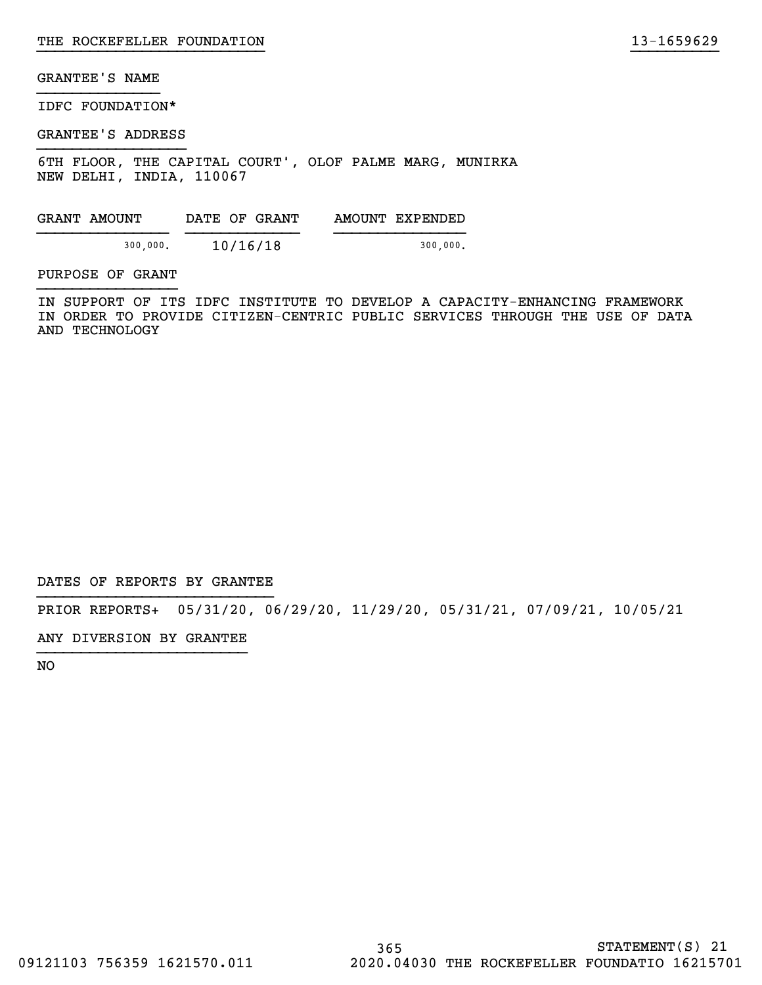IDFC FOUNDATION\*

GRANTEE'S ADDRESS

6TH FLOOR, THE CAPITAL COURT`, OLOF PALME MARG, MUNIRKA NEW DELHI, INDIA, 110067

| GRANT AMOUNT |          | DATE OF GRANT | AMOUNT EXPENDED |
|--------------|----------|---------------|-----------------|
|              | 300,000. | 10/16/18      | 300,000.        |

PURPOSE OF GRANT

IN SUPPORT OF ITS IDFC INSTITUTE TO DEVELOP A CAPACITY-ENHANCING FRAMEWORK IN ORDER TO PROVIDE CITIZEN-CENTRIC PUBLIC SERVICES THROUGH THE USE OF DATA AND TECHNOLOGY

}}}}}}}}}}}}}}}}}}}}}}}}}} }}}}}}}}}}

DATES OF REPORTS BY GRANTEE

PRIOR REPORTS+ 05/31/20, 06/29/20, 11/29/20, 05/31/21, 07/09/21, 10/05/21

ANY DIVERSION BY GRANTEE }}}}}}}}}}}}}}}}}}}}}}}}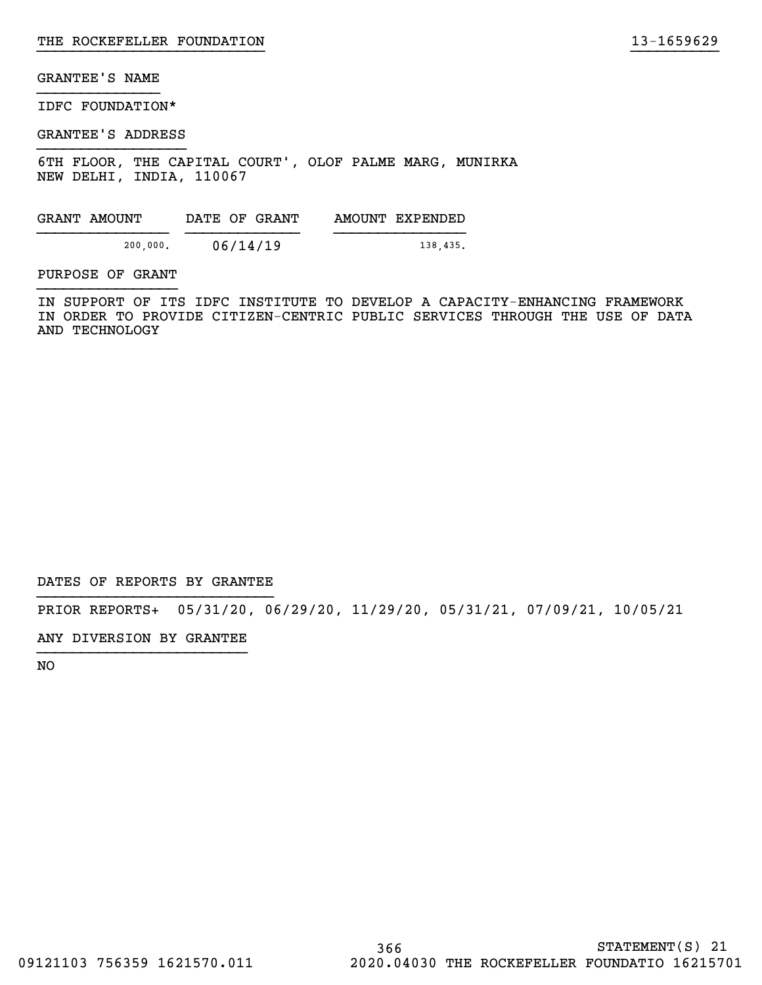IDFC FOUNDATION\*

GRANTEE'S ADDRESS

6TH FLOOR, THE CAPITAL COURT`, OLOF PALME MARG, MUNIRKA NEW DELHI, INDIA, 110067

|                      |          | AMOUNT EXPENDED |
|----------------------|----------|-----------------|
| 06/14/19<br>200,000. | 138,435. |                 |

PURPOSE OF GRANT

IN SUPPORT OF ITS IDFC INSTITUTE TO DEVELOP A CAPACITY-ENHANCING FRAMEWORK IN ORDER TO PROVIDE CITIZEN-CENTRIC PUBLIC SERVICES THROUGH THE USE OF DATA AND TECHNOLOGY

}}}}}}}}}}}}}}}}}}}}}}}}}} }}}}}}}}}}

DATES OF REPORTS BY GRANTEE

PRIOR REPORTS+ 05/31/20, 06/29/20, 11/29/20, 05/31/21, 07/09/21, 10/05/21

ANY DIVERSION BY GRANTEE }}}}}}}}}}}}}}}}}}}}}}}}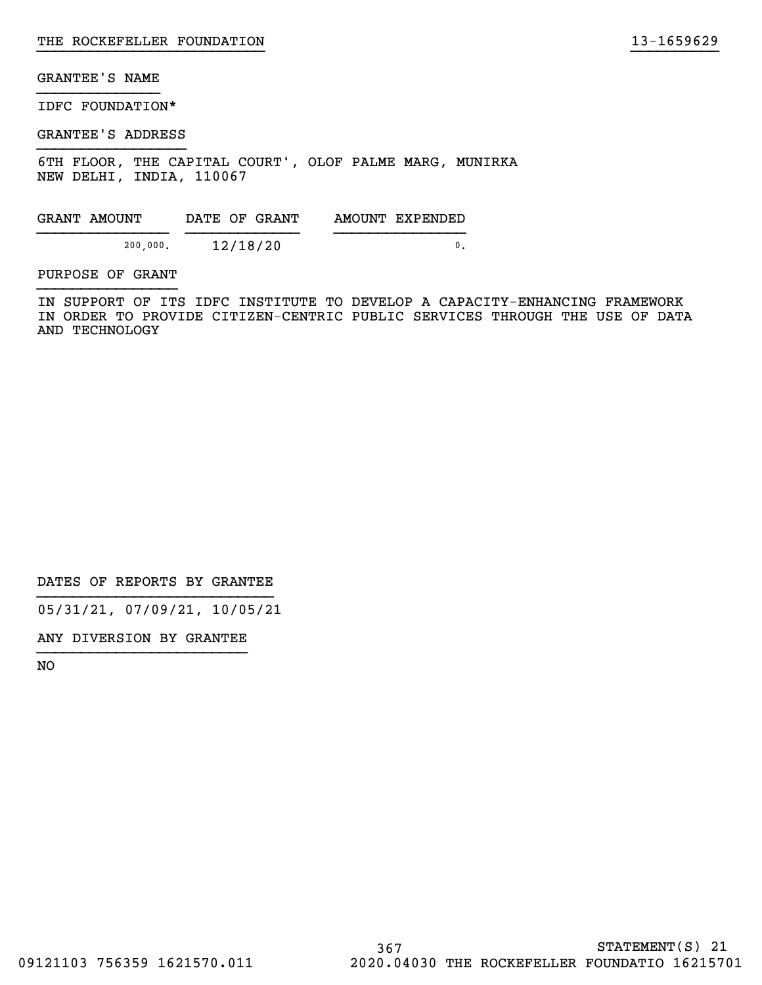IDFC FOUNDATION\*

GRANTEE'S ADDRESS

6TH FLOOR, THE CAPITAL COURT`, OLOF PALME MARG, MUNIRKA NEW DELHI, INDIA, 110067

| GRANT AMOUNT | DATE OF GRANT | AMOUNT EXPENDED |
|--------------|---------------|-----------------|
| 200,000.     | 12/18/20      |                 |

PURPOSE OF GRANT

IN SUPPORT OF ITS IDFC INSTITUTE TO DEVELOP A CAPACITY-ENHANCING FRAMEWORK IN ORDER TO PROVIDE CITIZEN-CENTRIC PUBLIC SERVICES THROUGH THE USE OF DATA AND TECHNOLOGY

}}}}}}}}}}}}}}}}}}}}}}}}}} }}}}}}}}}}

DATES OF REPORTS BY GRANTEE

05/31/21, 07/09/21, 10/05/21

ANY DIVERSION BY GRANTEE }}}}}}}}}}}}}}}}}}}}}}}}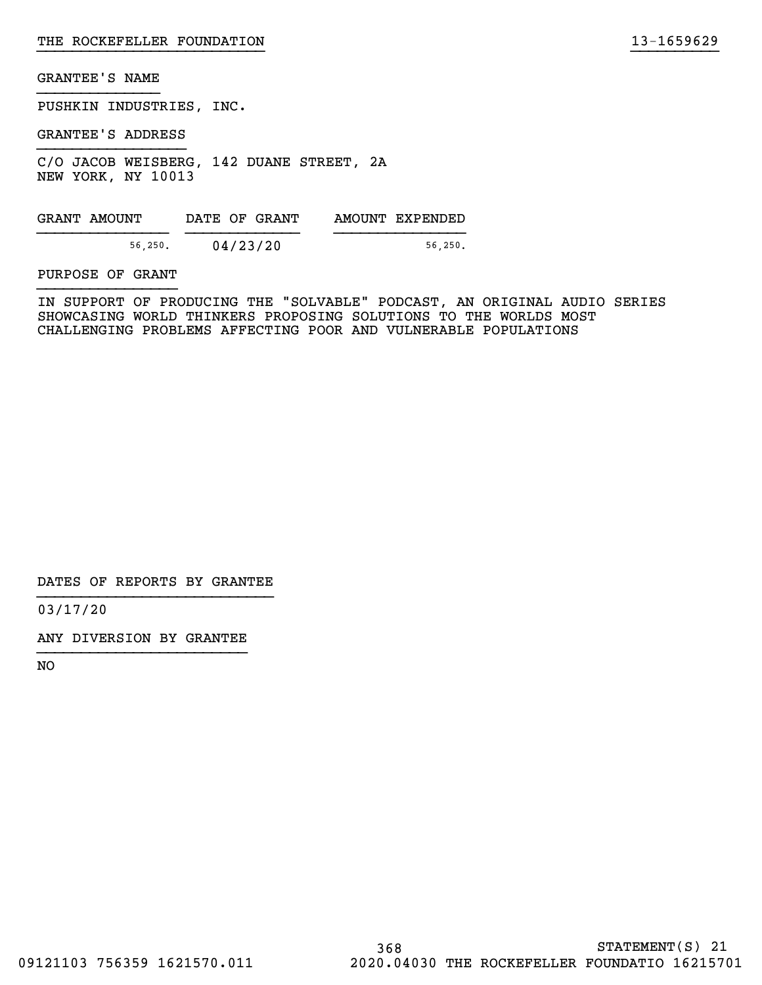PUSHKIN INDUSTRIES, INC.

GRANTEE'S ADDRESS

C/O JACOB WEISBERG, 142 DUANE STREET, 2A NEW YORK, NY 10013

GRANT AMOUNT DATE OF GRANT AMOUNT EXPENDED  ${56,250.}$  04/23/20  ${56,250.}$ 

PURPOSE OF GRANT

IN SUPPORT OF PRODUCING THE "SOLVABLE" PODCAST, AN ORIGINAL AUDIO SERIES SHOWCASING WORLD THINKERS PROPOSING SOLUTIONS TO THE WORLDS MOST CHALLENGING PROBLEMS AFFECTING POOR AND VULNERABLE POPULATIONS

}}}}}}}}}}}}}}}}}}}}}}}}}} }}}}}}}}}}

DATES OF REPORTS BY GRANTEE

03/17/20

ANY DIVERSION BY GRANTEE }}}}}}}}}}}}}}}}}}}}}}}}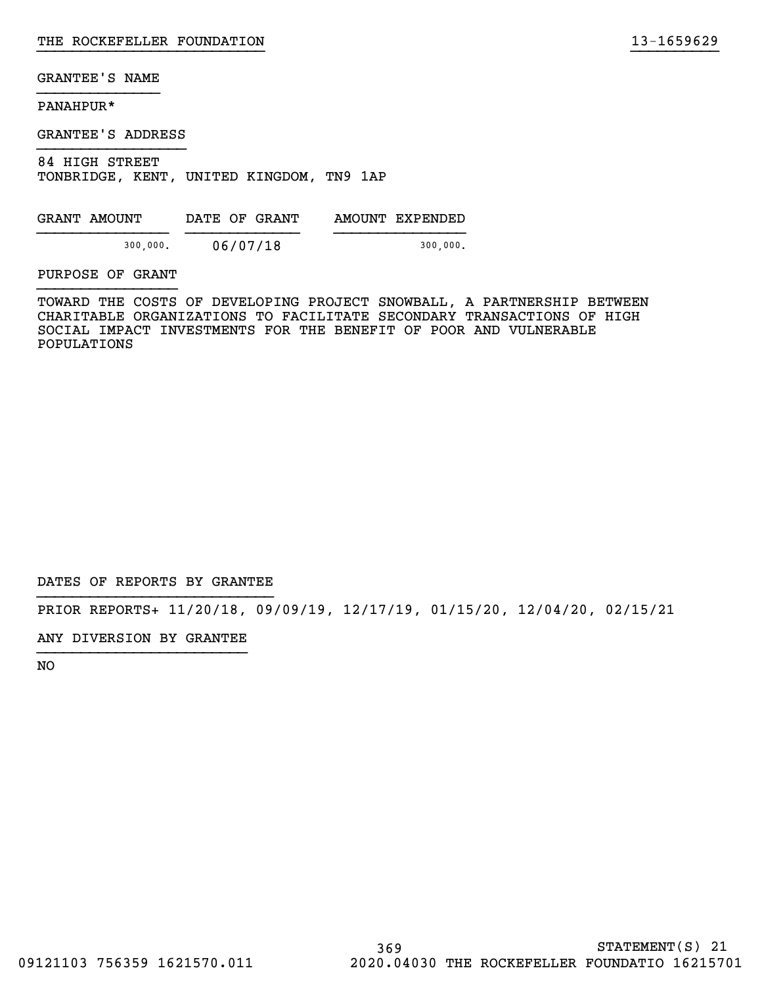# PANAHPUR\*

GRANTEE'S ADDRESS

84 HIGH STREET TONBRIDGE, KENT, UNITED KINGDOM, TN9 1AP

| GRANT AMOUNT | DATE OF GRANT | AMOUNT EXPENDED |
|--------------|---------------|-----------------|
| 300,000.     | 06/07/18      | 300.000.        |

PURPOSE OF GRANT

TOWARD THE COSTS OF DEVELOPING PROJECT SNOWBALL, A PARTNERSHIP BETWEEN CHARITABLE ORGANIZATIONS TO FACILITATE SECONDARY TRANSACTIONS OF HIGH SOCIAL IMPACT INVESTMENTS FOR THE BENEFIT OF POOR AND VULNERABLE POPULATIONS

}}}}}}}}}}}}}}}}}}}}}}}}}} }}}}}}}}}}

DATES OF REPORTS BY GRANTEE

PRIOR REPORTS+ 11/20/18, 09/09/19, 12/17/19, 01/15/20, 12/04/20, 02/15/21

ANY DIVERSION BY GRANTEE }}}}}}}}}}}}}}}}}}}}}}}}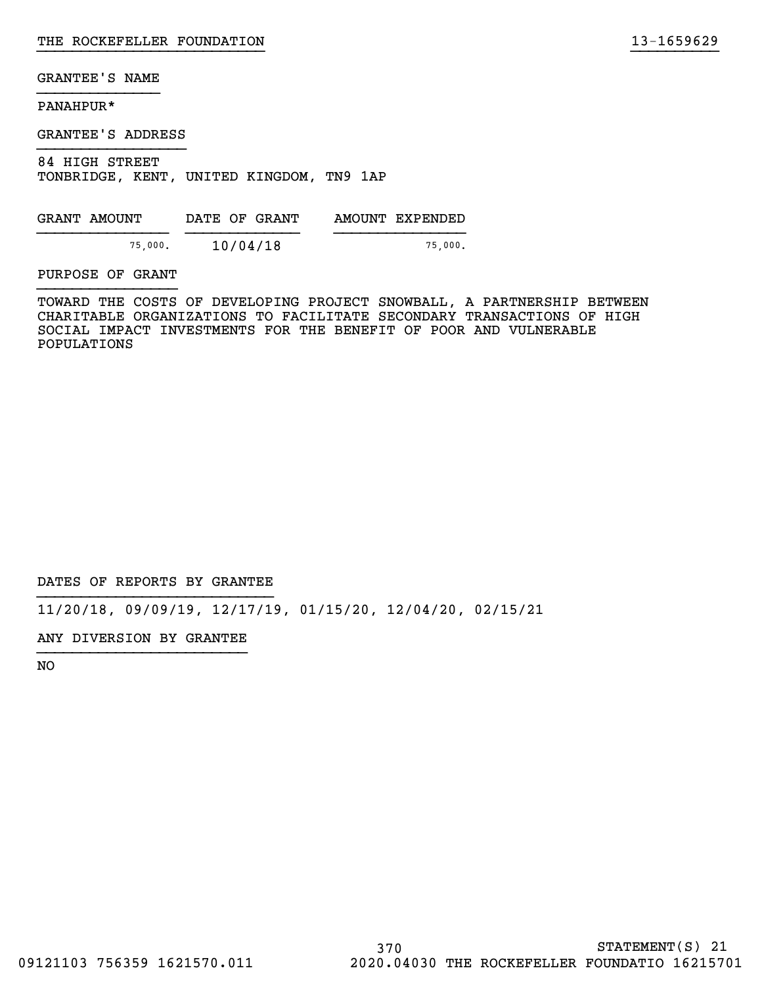# PANAHPUR\*

GRANTEE'S ADDRESS

84 HIGH STREET TONBRIDGE, KENT, UNITED KINGDOM, TN9 1AP

| GRANT AMOUNT | DATE OF GRANT | AMOUNT EXPENDED |
|--------------|---------------|-----------------|
| 75,000.      | 10/04/18      | 75,000.         |

# PURPOSE OF GRANT

TOWARD THE COSTS OF DEVELOPING PROJECT SNOWBALL, A PARTNERSHIP BETWEEN CHARITABLE ORGANIZATIONS TO FACILITATE SECONDARY TRANSACTIONS OF HIGH SOCIAL IMPACT INVESTMENTS FOR THE BENEFIT OF POOR AND VULNERABLE POPULATIONS

}}}}}}}}}}}}}}}}}}}}}}}}}} }}}}}}}}}}

DATES OF REPORTS BY GRANTEE

11/20/18, 09/09/19, 12/17/19, 01/15/20, 12/04/20, 02/15/21

ANY DIVERSION BY GRANTEE }}}}}}}}}}}}}}}}}}}}}}}}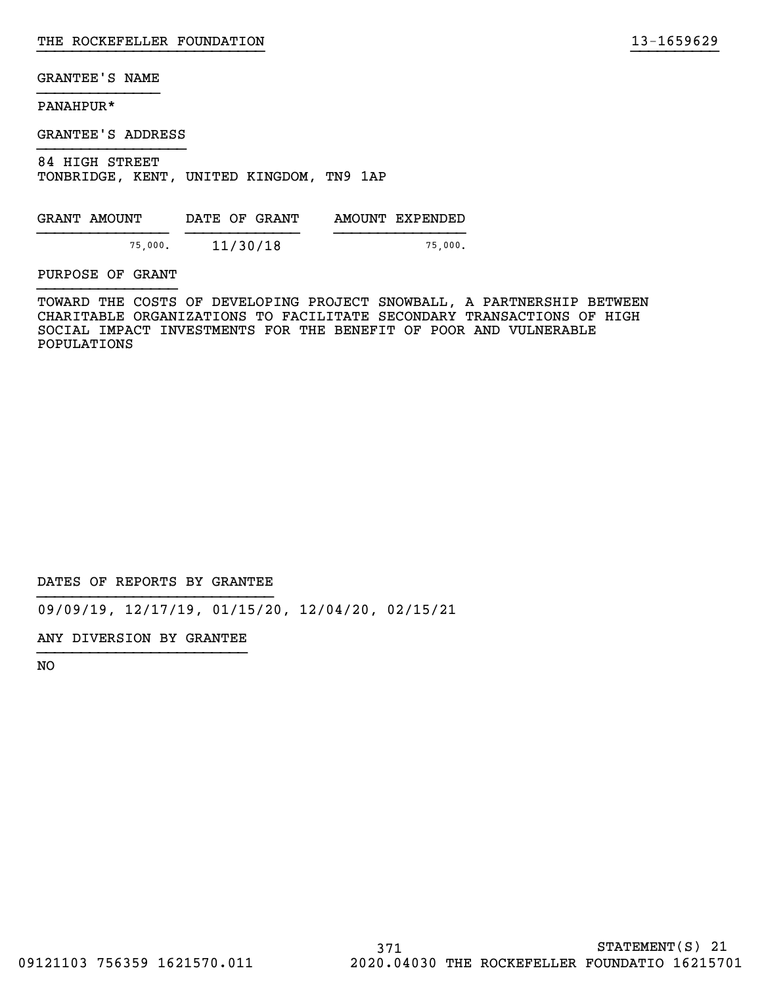# PANAHPUR\*

GRANTEE'S ADDRESS

84 HIGH STREET TONBRIDGE, KENT, UNITED KINGDOM, TN9 1AP

| GRANT AMOUNT | DATE OF GRANT | AMOUNT EXPENDED |
|--------------|---------------|-----------------|
| 75,000.      | 11/30/18      | 75,000.         |

# PURPOSE OF GRANT

TOWARD THE COSTS OF DEVELOPING PROJECT SNOWBALL, A PARTNERSHIP BETWEEN CHARITABLE ORGANIZATIONS TO FACILITATE SECONDARY TRANSACTIONS OF HIGH SOCIAL IMPACT INVESTMENTS FOR THE BENEFIT OF POOR AND VULNERABLE POPULATIONS

}}}}}}}}}}}}}}}}}}}}}}}}}} }}}}}}}}}}

DATES OF REPORTS BY GRANTEE

09/09/19, 12/17/19, 01/15/20, 12/04/20, 02/15/21

ANY DIVERSION BY GRANTEE }}}}}}}}}}}}}}}}}}}}}}}}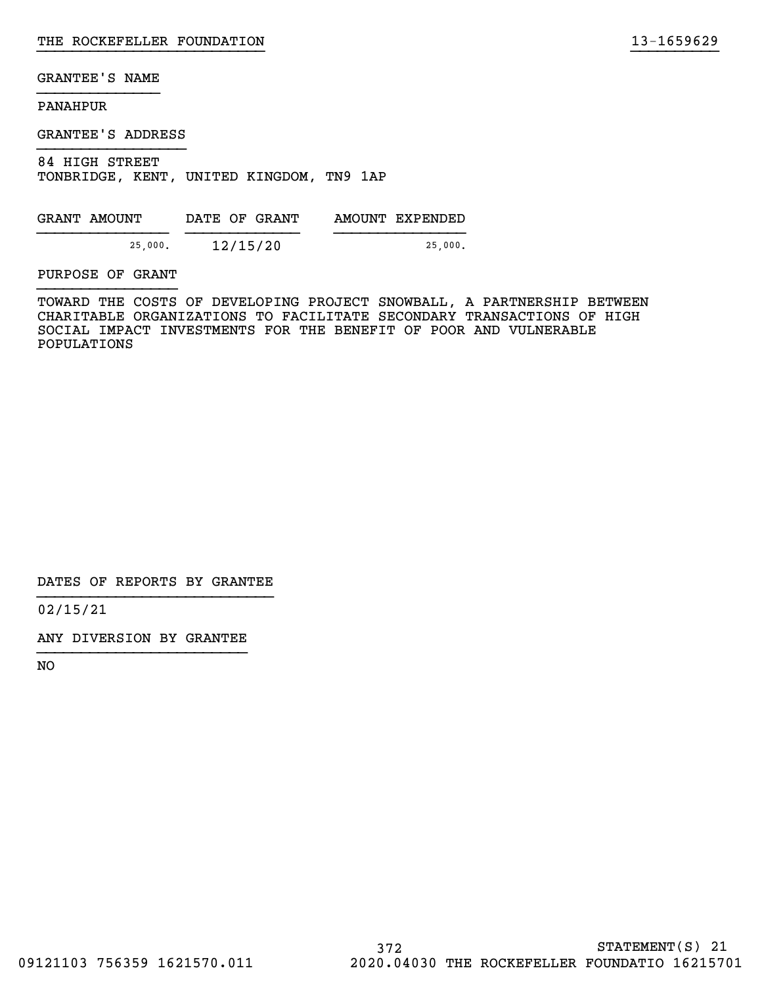# PANAHPUR

GRANTEE'S ADDRESS

84 HIGH STREET TONBRIDGE, KENT, UNITED KINGDOM, TN9 1AP

| GRANT AMOUNT | DATE OF GRANT | AMOUNT EXPENDED |
|--------------|---------------|-----------------|
| 25,000.      | 12/15/20      | 25,000.         |

PURPOSE OF GRANT

TOWARD THE COSTS OF DEVELOPING PROJECT SNOWBALL, A PARTNERSHIP BETWEEN CHARITABLE ORGANIZATIONS TO FACILITATE SECONDARY TRANSACTIONS OF HIGH SOCIAL IMPACT INVESTMENTS FOR THE BENEFIT OF POOR AND VULNERABLE POPULATIONS

}}}}}}}}}}}}}}}}}}}}}}}}}} }}}}}}}}}}

DATES OF REPORTS BY GRANTEE

02/15/21

ANY DIVERSION BY GRANTEE }}}}}}}}}}}}}}}}}}}}}}}}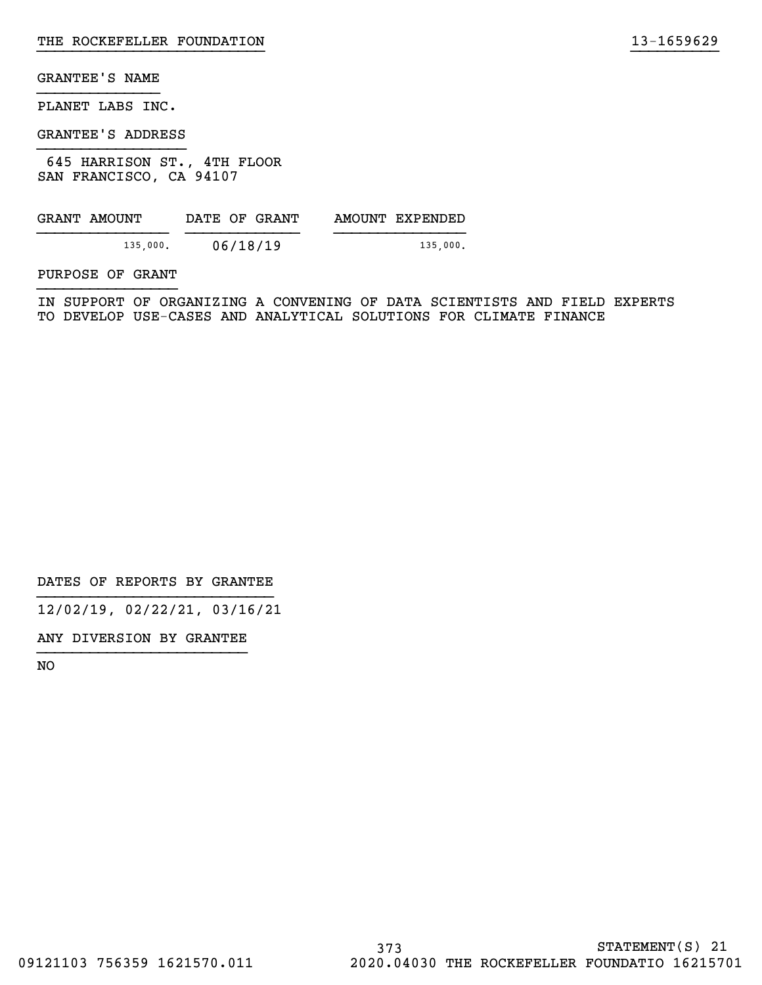PLANET LABS INC.

GRANTEE'S ADDRESS

 645 HARRISON ST., 4TH FLOOR SAN FRANCISCO, CA 94107

| GRANT AMOUNT | DATE OF GRANT | AMOUNT EXPENDED |
|--------------|---------------|-----------------|
| 135,000.     | 06/18/19      | 135,000.        |

PURPOSE OF GRANT

IN SUPPORT OF ORGANIZING A CONVENING OF DATA SCIENTISTS AND FIELD EXPERTS TO DEVELOP USE-CASES AND ANALYTICAL SOLUTIONS FOR CLIMATE FINANCE

}}}}}}}}}}}}}}}}}}}}}}}}}} }}}}}}}}}}

DATES OF REPORTS BY GRANTEE

12/02/19, 02/22/21, 03/16/21

ANY DIVERSION BY GRANTEE }}}}}}}}}}}}}}}}}}}}}}}}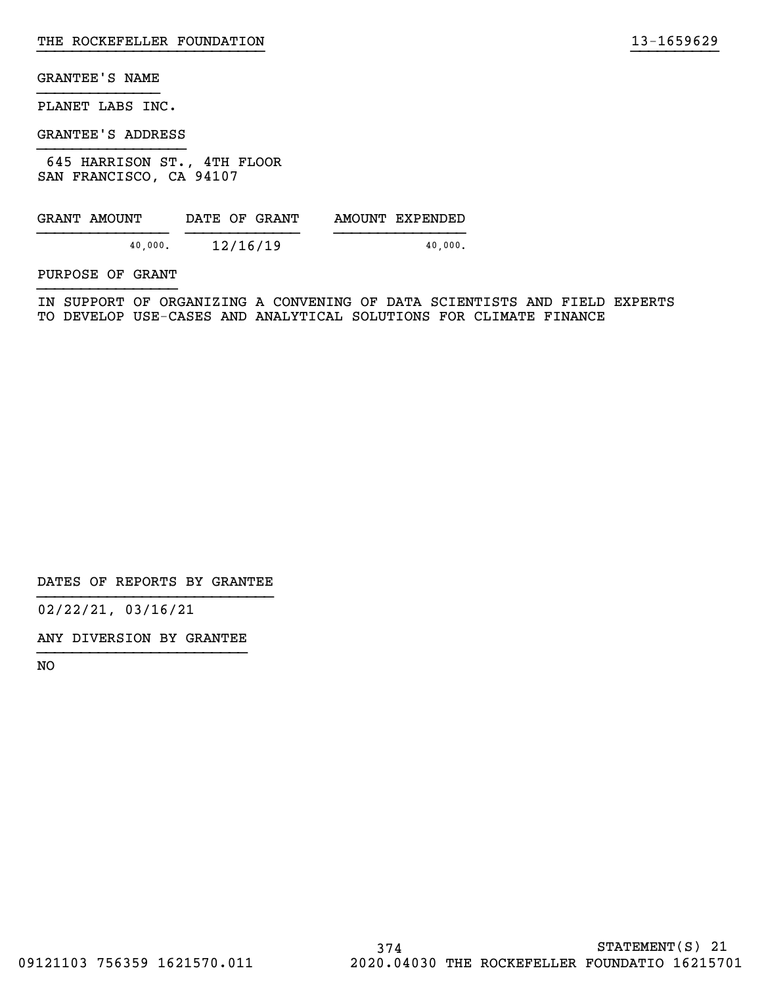PLANET LABS INC.

GRANTEE'S ADDRESS

 645 HARRISON ST., 4TH FLOOR SAN FRANCISCO, CA 94107

| GRANT AMOUNT | DATE OF GRANT | AMOUNT EXPENDED |
|--------------|---------------|-----------------|
| 40.000.      | 12/16/19      | 40.000.         |

PURPOSE OF GRANT

IN SUPPORT OF ORGANIZING A CONVENING OF DATA SCIENTISTS AND FIELD EXPERTS TO DEVELOP USE-CASES AND ANALYTICAL SOLUTIONS FOR CLIMATE FINANCE

}}}}}}}}}}}}}}}}}}}}}}}}}} }}}}}}}}}}

DATES OF REPORTS BY GRANTEE

02/22/21, 03/16/21

ANY DIVERSION BY GRANTEE }}}}}}}}}}}}}}}}}}}}}}}}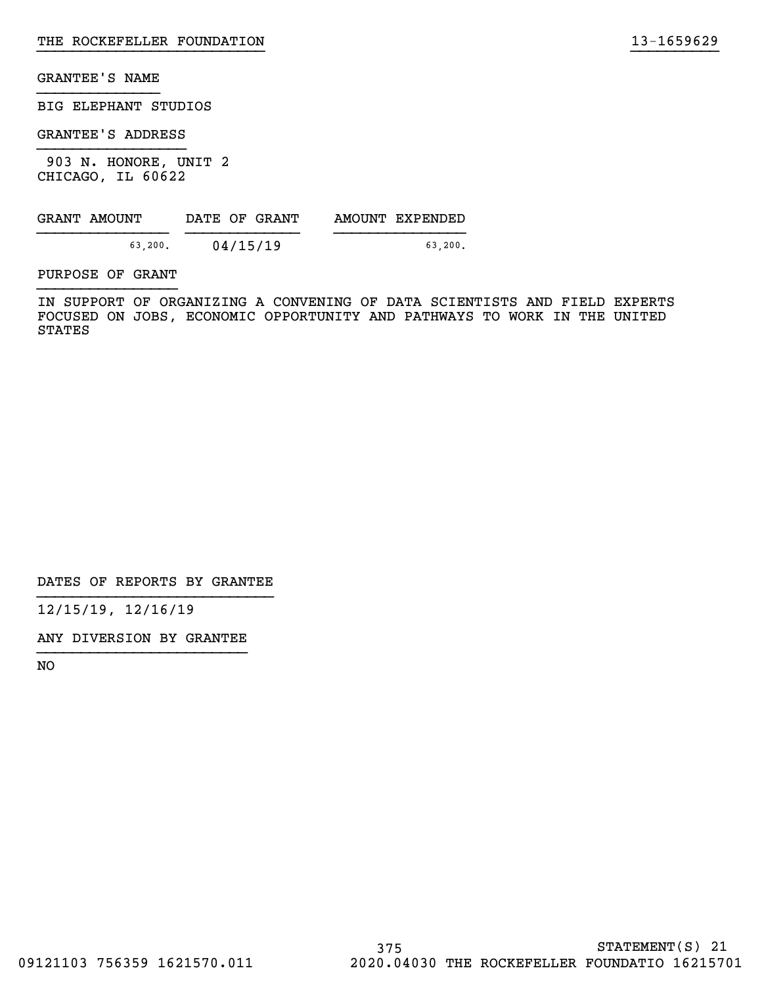BIG ELEPHANT STUDIOS

GRANTEE'S ADDRESS

 903 N. HONORE, UNIT 2 CHICAGO, IL 60622

| GRANT AMOUNT | DATE OF GRANT | AMOUNT EXPENDED |
|--------------|---------------|-----------------|
| 63.200.      | 04/15/19      | 63.200.         |

PURPOSE OF GRANT

IN SUPPORT OF ORGANIZING A CONVENING OF DATA SCIENTISTS AND FIELD EXPERTS FOCUSED ON JOBS, ECONOMIC OPPORTUNITY AND PATHWAYS TO WORK IN THE UNITED STATES

}}}}}}}}}}}}}}}}}}}}}}}}}} }}}}}}}}}}

DATES OF REPORTS BY GRANTEE

12/15/19, 12/16/19

ANY DIVERSION BY GRANTEE }}}}}}}}}}}}}}}}}}}}}}}}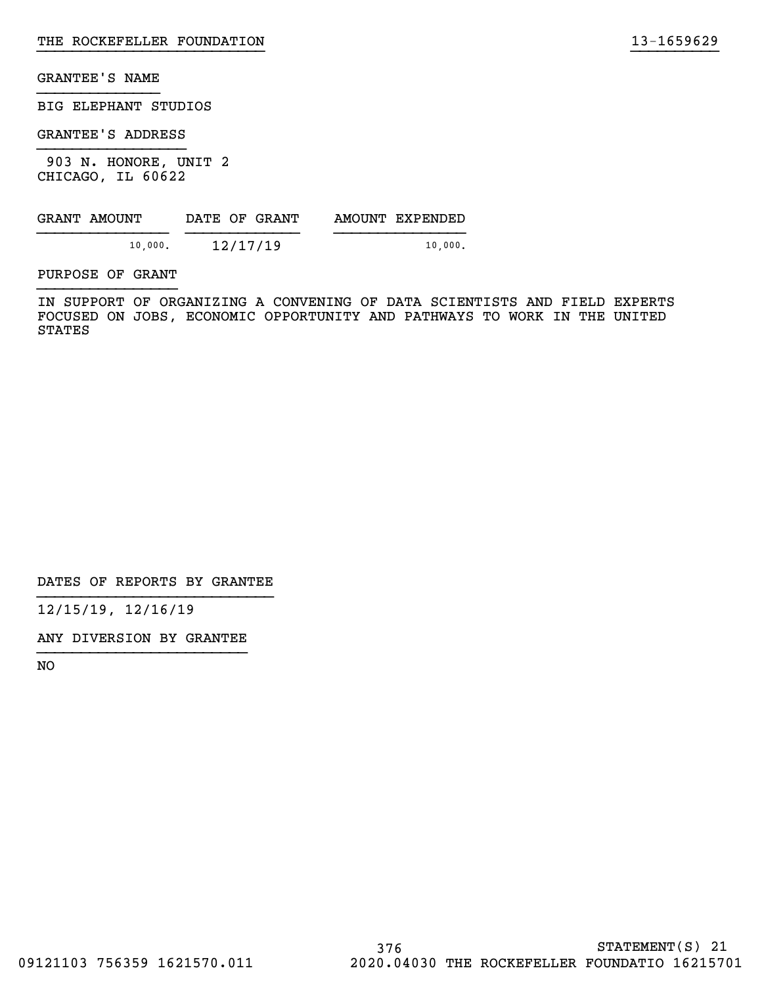BIG ELEPHANT STUDIOS

GRANTEE'S ADDRESS

 903 N. HONORE, UNIT 2 CHICAGO, IL 60622

| GRANT AMOUNT | DATE OF GRANT | AMOUNT EXPENDED |
|--------------|---------------|-----------------|
| 10,000.      | 12/17/19      | 10,000.         |

PURPOSE OF GRANT

IN SUPPORT OF ORGANIZING A CONVENING OF DATA SCIENTISTS AND FIELD EXPERTS FOCUSED ON JOBS, ECONOMIC OPPORTUNITY AND PATHWAYS TO WORK IN THE UNITED STATES

}}}}}}}}}}}}}}}}}}}}}}}}}} }}}}}}}}}}

DATES OF REPORTS BY GRANTEE

12/15/19, 12/16/19

ANY DIVERSION BY GRANTEE }}}}}}}}}}}}}}}}}}}}}}}}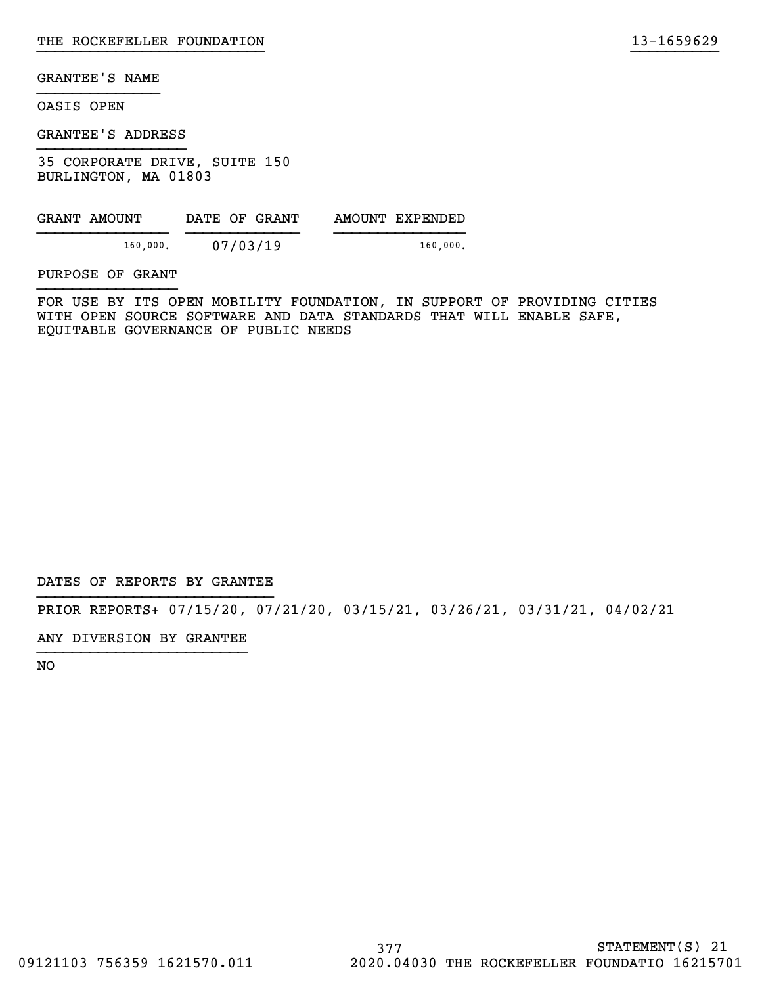OASIS OPEN

GRANTEE'S ADDRESS

35 CORPORATE DRIVE, SUITE 150 BURLINGTON, MA 01803

| GRANT AMOUNT |          | DATE OF GRANT | AMOUNT EXPENDED |
|--------------|----------|---------------|-----------------|
|              | 160,000. | 07/03/19      | 160,000.        |

PURPOSE OF GRANT

FOR USE BY ITS OPEN MOBILITY FOUNDATION, IN SUPPORT OF PROVIDING CITIES WITH OPEN SOURCE SOFTWARE AND DATA STANDARDS THAT WILL ENABLE SAFE, EQUITABLE GOVERNANCE OF PUBLIC NEEDS

}}}}}}}}}}}}}}}}}}}}}}}}}} }}}}}}}}}}

DATES OF REPORTS BY GRANTEE

PRIOR REPORTS+ 07/15/20, 07/21/20, 03/15/21, 03/26/21, 03/31/21, 04/02/21

ANY DIVERSION BY GRANTEE }}}}}}}}}}}}}}}}}}}}}}}}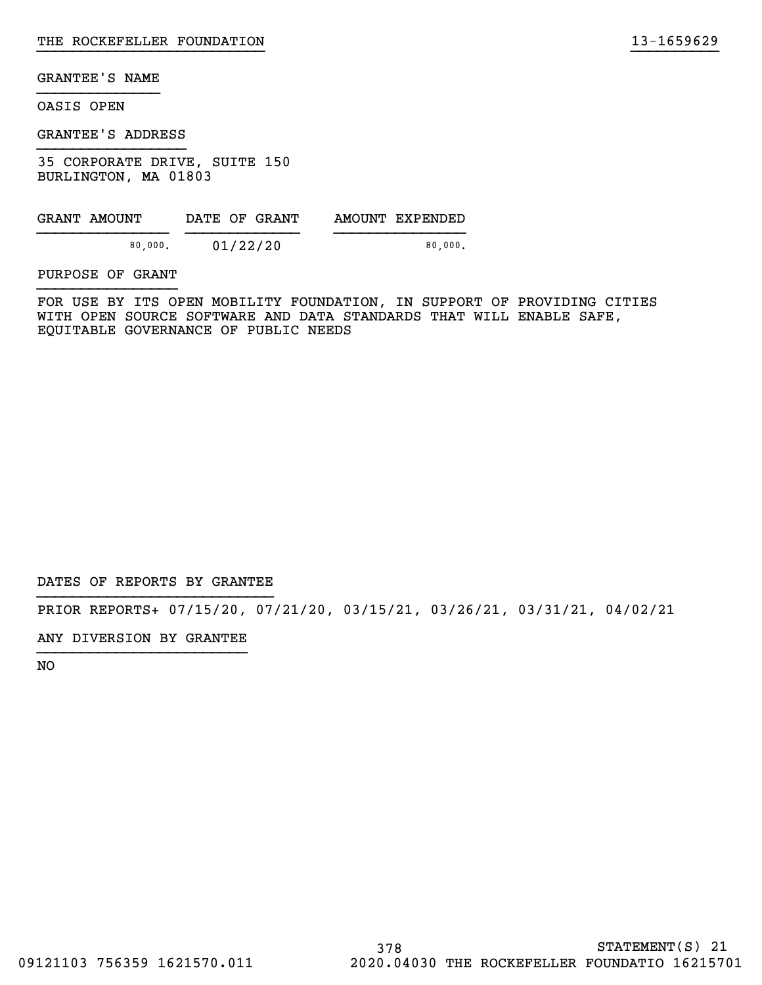OASIS OPEN

GRANTEE'S ADDRESS

35 CORPORATE DRIVE, SUITE 150 BURLINGTON, MA 01803

| GRANT AMOUNT | DATE OF GRANT | AMOUNT EXPENDED |
|--------------|---------------|-----------------|
| 80.000.      | 01/22/20      | 80.000.         |

PURPOSE OF GRANT

FOR USE BY ITS OPEN MOBILITY FOUNDATION, IN SUPPORT OF PROVIDING CITIES WITH OPEN SOURCE SOFTWARE AND DATA STANDARDS THAT WILL ENABLE SAFE, EQUITABLE GOVERNANCE OF PUBLIC NEEDS

}}}}}}}}}}}}}}}}}}}}}}}}}} }}}}}}}}}}

DATES OF REPORTS BY GRANTEE

PRIOR REPORTS+ 07/15/20, 07/21/20, 03/15/21, 03/26/21, 03/31/21, 04/02/21

ANY DIVERSION BY GRANTEE }}}}}}}}}}}}}}}}}}}}}}}}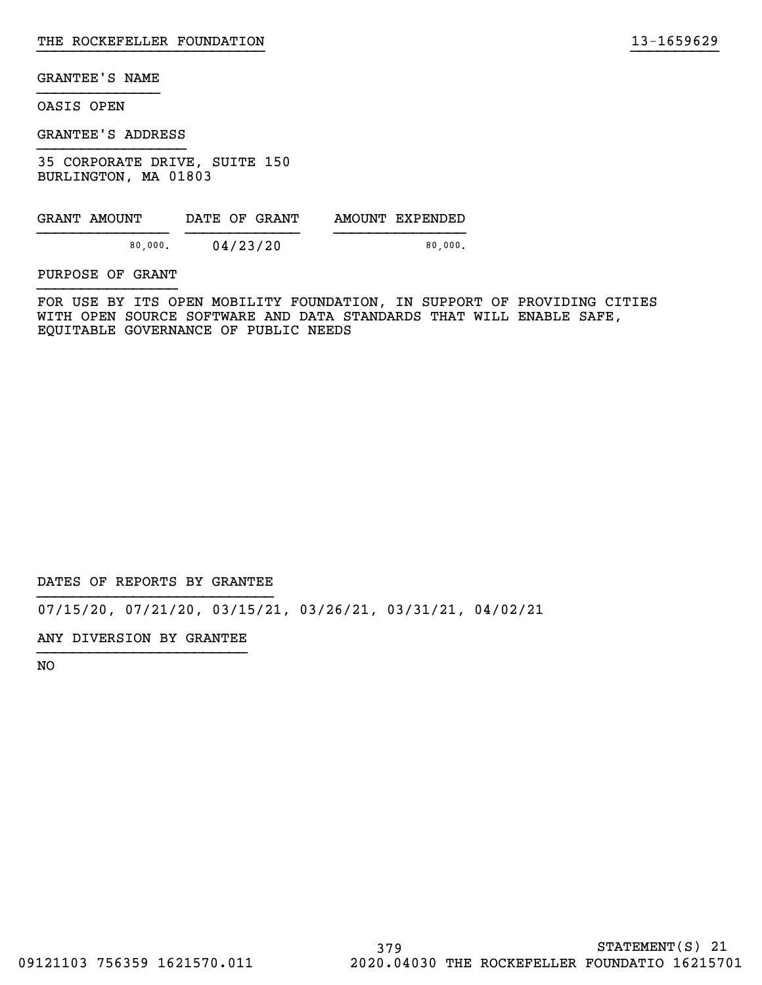OASIS OPEN

GRANTEE'S ADDRESS

35 CORPORATE DRIVE, SUITE 150 BURLINGTON, MA 01803

| GRANT AMOUNT | DATE OF GRANT | AMOUNT EXPENDED |
|--------------|---------------|-----------------|
| 80.000.      | 04/23/20      | 80.000.         |

PURPOSE OF GRANT

FOR USE BY ITS OPEN MOBILITY FOUNDATION, IN SUPPORT OF PROVIDING CITIES WITH OPEN SOURCE SOFTWARE AND DATA STANDARDS THAT WILL ENABLE SAFE, EQUITABLE GOVERNANCE OF PUBLIC NEEDS

}}}}}}}}}}}}}}}}}}}}}}}}}} }}}}}}}}}}

DATES OF REPORTS BY GRANTEE

07/15/20, 07/21/20, 03/15/21, 03/26/21, 03/31/21, 04/02/21

ANY DIVERSION BY GRANTEE }}}}}}}}}}}}}}}}}}}}}}}}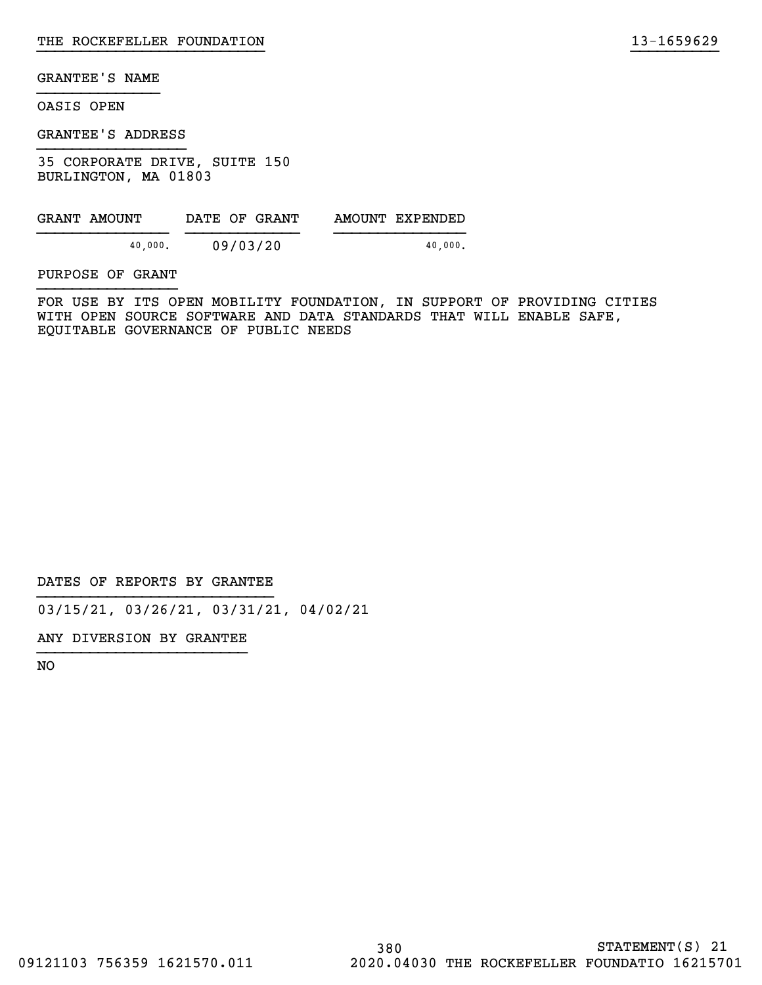# OASIS OPEN

GRANTEE'S ADDRESS

35 CORPORATE DRIVE, SUITE 150 BURLINGTON, MA 01803

| GRANT AMOUNT |         | DATE OF GRANT | AMOUNT EXPENDED |
|--------------|---------|---------------|-----------------|
|              | 40.000. | 09/03/20      | 40.000.         |

PURPOSE OF GRANT

FOR USE BY ITS OPEN MOBILITY FOUNDATION, IN SUPPORT OF PROVIDING CITIES WITH OPEN SOURCE SOFTWARE AND DATA STANDARDS THAT WILL ENABLE SAFE, EQUITABLE GOVERNANCE OF PUBLIC NEEDS

}}}}}}}}}}}}}}}}}}}}}}}}}} }}}}}}}}}}

DATES OF REPORTS BY GRANTEE

03/15/21, 03/26/21, 03/31/21, 04/02/21

ANY DIVERSION BY GRANTEE }}}}}}}}}}}}}}}}}}}}}}}}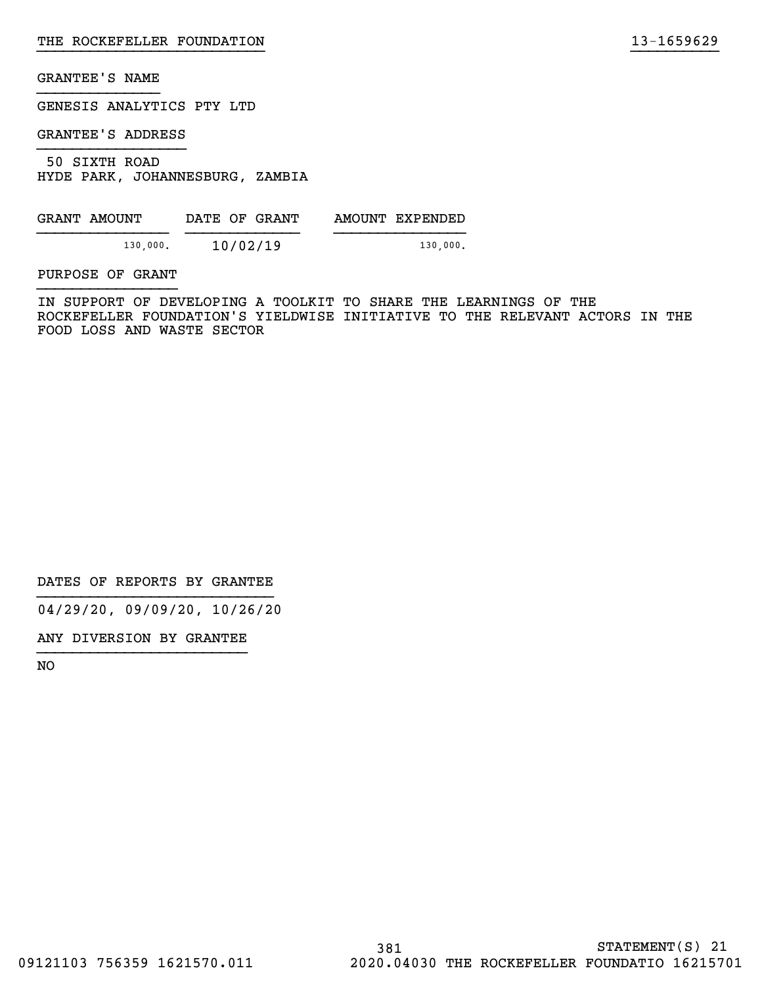GENESIS ANALYTICS PTY LTD

GRANTEE'S ADDRESS

 50 SIXTH ROAD HYDE PARK, JOHANNESBURG, ZAMBIA

| GRANT AMOUNT |          | DATE OF GRANT |  | AMOUNT EXPENDED |
|--------------|----------|---------------|--|-----------------|
|              | 130,000. | 10/02/19      |  | 130,000.        |

PURPOSE OF GRANT

IN SUPPORT OF DEVELOPING A TOOLKIT TO SHARE THE LEARNINGS OF THE ROCKEFELLER FOUNDATION'S YIELDWISE INITIATIVE TO THE RELEVANT ACTORS IN THE FOOD LOSS AND WASTE SECTOR

}}}}}}}}}}}}}}}}}}}}}}}}}} }}}}}}}}}}

DATES OF REPORTS BY GRANTEE

04/29/20, 09/09/20, 10/26/20

ANY DIVERSION BY GRANTEE }}}}}}}}}}}}}}}}}}}}}}}}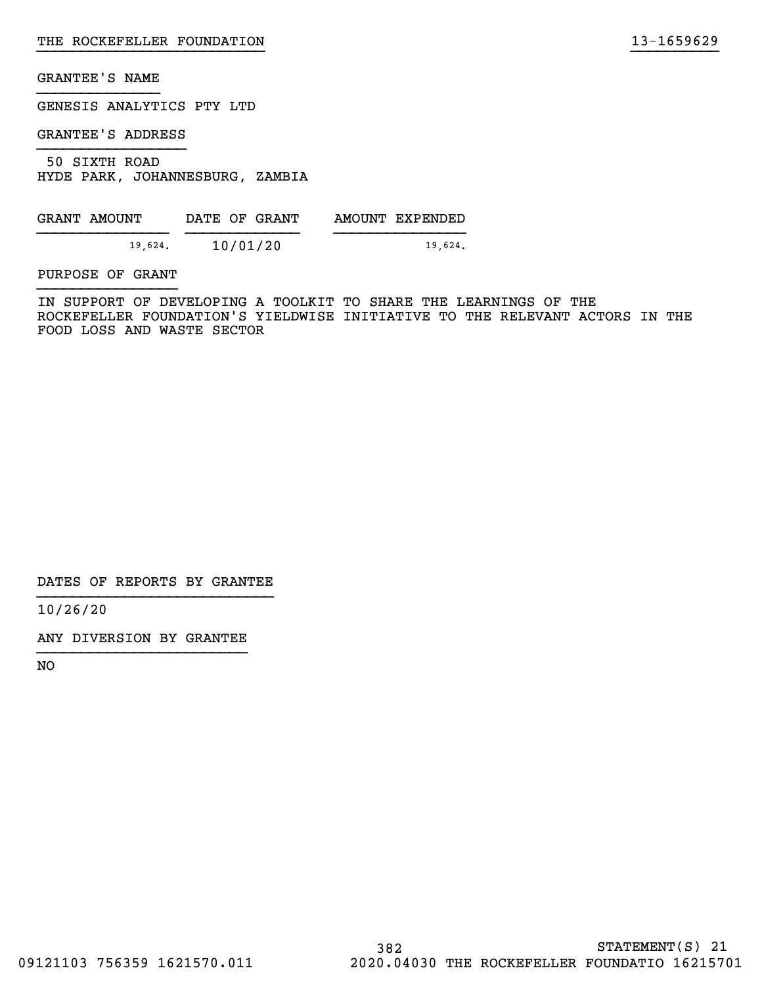GENESIS ANALYTICS PTY LTD

GRANTEE'S ADDRESS

 50 SIXTH ROAD HYDE PARK, JOHANNESBURG, ZAMBIA

| GRANT AMOUNT | DATE OF GRANT | AMOUNT EXPENDED |
|--------------|---------------|-----------------|
| 19.624.      | 10/01/20      | 19,624.         |

PURPOSE OF GRANT

IN SUPPORT OF DEVELOPING A TOOLKIT TO SHARE THE LEARNINGS OF THE ROCKEFELLER FOUNDATION'S YIELDWISE INITIATIVE TO THE RELEVANT ACTORS IN THE FOOD LOSS AND WASTE SECTOR

}}}}}}}}}}}}}}}}}}}}}}}}}} }}}}}}}}}}

DATES OF REPORTS BY GRANTEE

10/26/20

ANY DIVERSION BY GRANTEE }}}}}}}}}}}}}}}}}}}}}}}}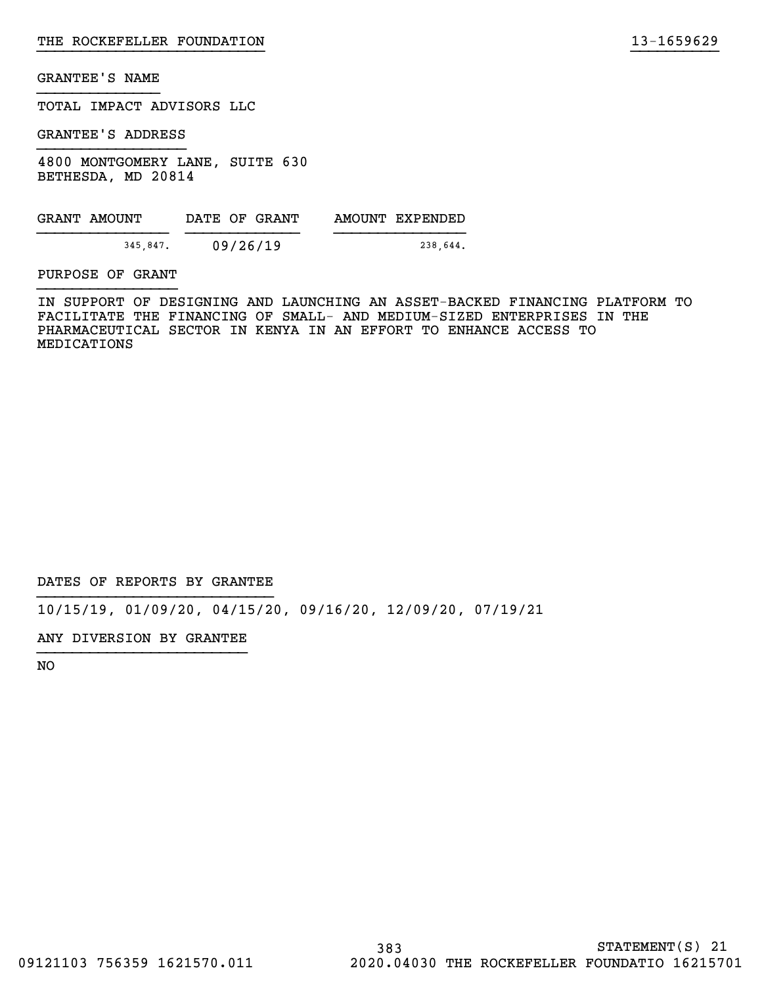TOTAL IMPACT ADVISORS LLC

GRANTEE'S ADDRESS

4800 MONTGOMERY LANE, SUITE 630 BETHESDA, MD 20814

| GRANT AMOUNT | DATE OF GRANT | AMOUNT EXPENDED |
|--------------|---------------|-----------------|
| 345.847.     | 09/26/19      | 238,644.        |

PURPOSE OF GRANT

IN SUPPORT OF DESIGNING AND LAUNCHING AN ASSET-BACKED FINANCING PLATFORM TO FACILITATE THE FINANCING OF SMALL- AND MEDIUM-SIZED ENTERPRISES IN THE PHARMACEUTICAL SECTOR IN KENYA IN AN EFFORT TO ENHANCE ACCESS TO MEDICATIONS

}}}}}}}}}}}}}}}}}}}}}}}}}} }}}}}}}}}}

DATES OF REPORTS BY GRANTEE

10/15/19, 01/09/20, 04/15/20, 09/16/20, 12/09/20, 07/19/21

ANY DIVERSION BY GRANTEE }}}}}}}}}}}}}}}}}}}}}}}}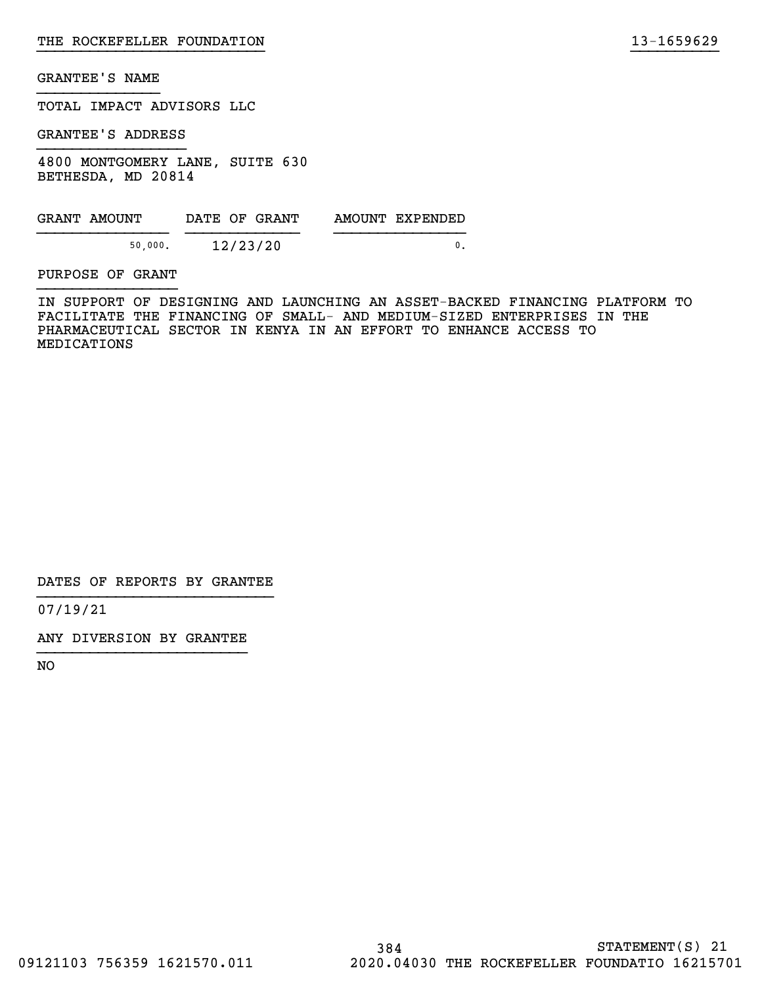TOTAL IMPACT ADVISORS LLC

GRANTEE'S ADDRESS

4800 MONTGOMERY LANE, SUITE 630 BETHESDA, MD 20814

| GRANT AMOUNT | DATE OF GRANT | AMOUNT EXPENDED |
|--------------|---------------|-----------------|
| 50,000.      | 12/23/20      |                 |

PURPOSE OF GRANT

IN SUPPORT OF DESIGNING AND LAUNCHING AN ASSET-BACKED FINANCING PLATFORM TO FACILITATE THE FINANCING OF SMALL- AND MEDIUM-SIZED ENTERPRISES IN THE PHARMACEUTICAL SECTOR IN KENYA IN AN EFFORT TO ENHANCE ACCESS TO MEDICATIONS

}}}}}}}}}}}}}}}}}}}}}}}}}} }}}}}}}}}}

DATES OF REPORTS BY GRANTEE

07/19/21

ANY DIVERSION BY GRANTEE }}}}}}}}}}}}}}}}}}}}}}}}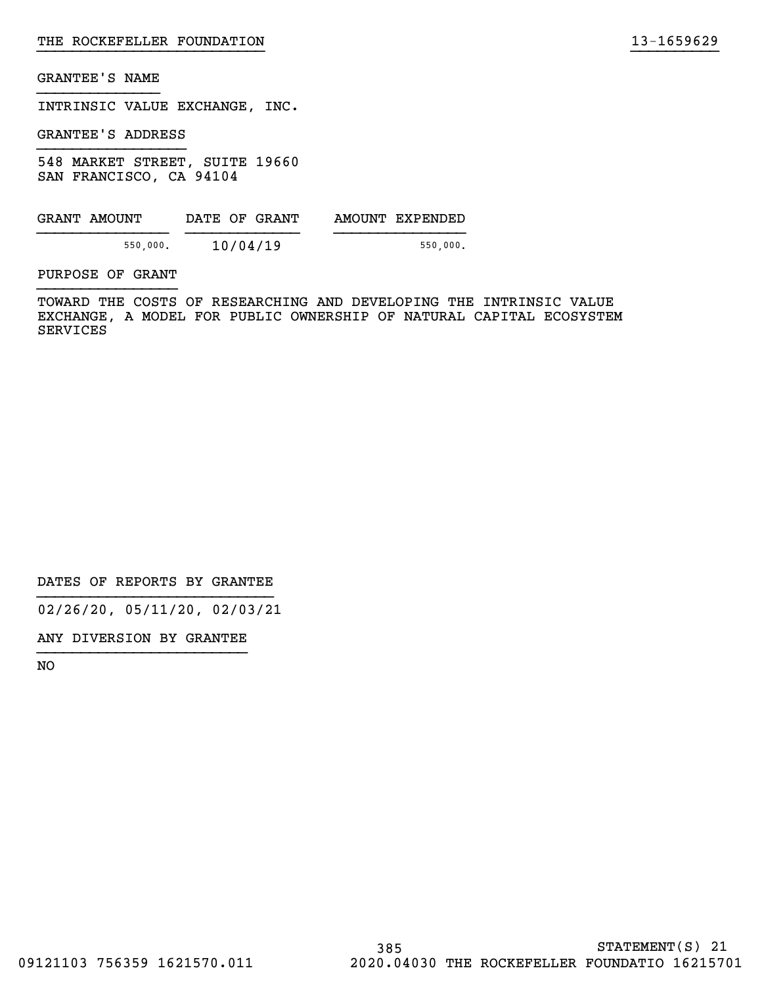INTRINSIC VALUE EXCHANGE, INC.

GRANTEE'S ADDRESS

548 MARKET STREET, SUITE 19660 SAN FRANCISCO, CA 94104

| GRANT AMOUNT | DATE OF GRANT | AMOUNT EXPENDED |
|--------------|---------------|-----------------|
| 550,000.     | 10/04/19      | 550,000.        |

PURPOSE OF GRANT

TOWARD THE COSTS OF RESEARCHING AND DEVELOPING THE INTRINSIC VALUE EXCHANGE, A MODEL FOR PUBLIC OWNERSHIP OF NATURAL CAPITAL ECOSYSTEM SERVICES

}}}}}}}}}}}}}}}}}}}}}}}}}} }}}}}}}}}}

DATES OF REPORTS BY GRANTEE

02/26/20, 05/11/20, 02/03/21

ANY DIVERSION BY GRANTEE }}}}}}}}}}}}}}}}}}}}}}}}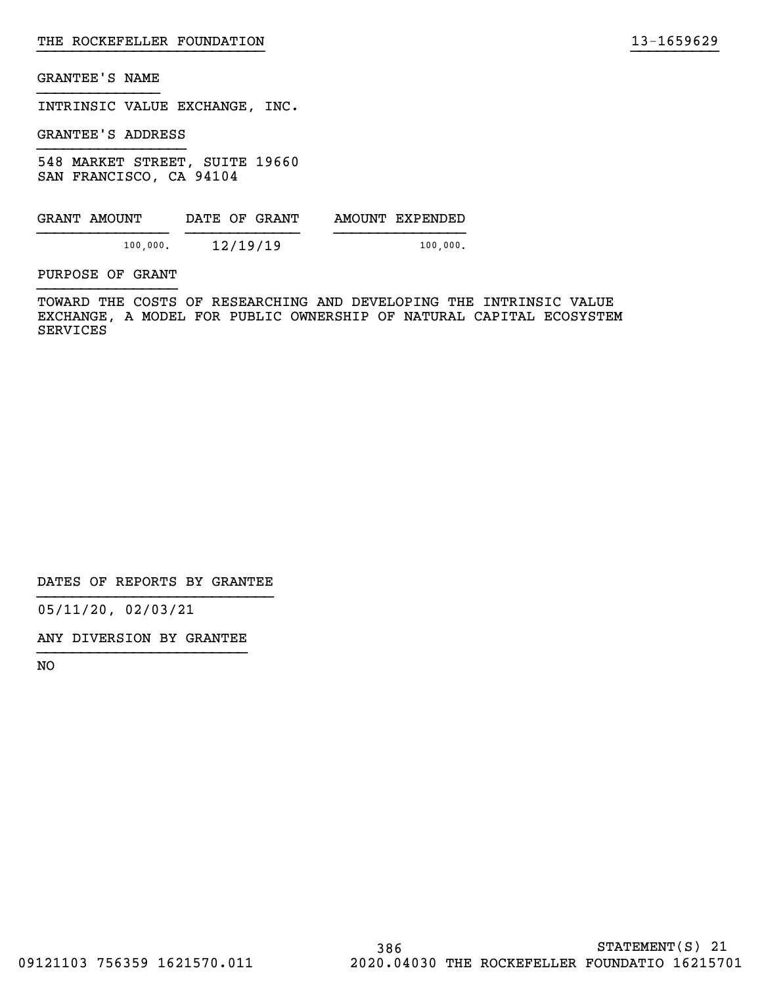INTRINSIC VALUE EXCHANGE, INC.

GRANTEE'S ADDRESS

548 MARKET STREET, SUITE 19660 SAN FRANCISCO, CA 94104

| GRANT AMOUNT | DATE OF GRANT | AMOUNT EXPENDED |
|--------------|---------------|-----------------|
| 100,000.     | 12/19/19      | 100,000.        |

PURPOSE OF GRANT

TOWARD THE COSTS OF RESEARCHING AND DEVELOPING THE INTRINSIC VALUE EXCHANGE, A MODEL FOR PUBLIC OWNERSHIP OF NATURAL CAPITAL ECOSYSTEM SERVICES

}}}}}}}}}}}}}}}}}}}}}}}}}} }}}}}}}}}}

DATES OF REPORTS BY GRANTEE

05/11/20, 02/03/21

ANY DIVERSION BY GRANTEE }}}}}}}}}}}}}}}}}}}}}}}}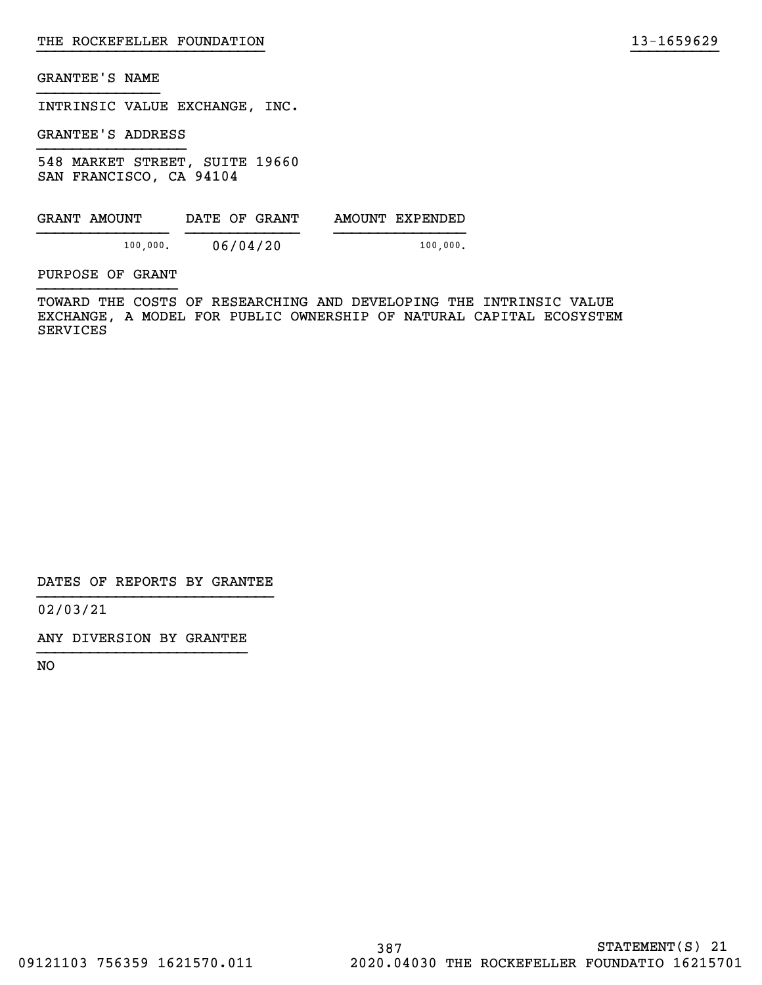INTRINSIC VALUE EXCHANGE, INC.

GRANTEE'S ADDRESS

548 MARKET STREET, SUITE 19660 SAN FRANCISCO, CA 94104

| GRANT AMOUNT | DATE OF GRANT | AMOUNT EXPENDED |
|--------------|---------------|-----------------|
| 100,000.     | 06/04/20      | 100,000.        |

PURPOSE OF GRANT

TOWARD THE COSTS OF RESEARCHING AND DEVELOPING THE INTRINSIC VALUE EXCHANGE, A MODEL FOR PUBLIC OWNERSHIP OF NATURAL CAPITAL ECOSYSTEM SERVICES

}}}}}}}}}}}}}}}}}}}}}}}}}} }}}}}}}}}}

DATES OF REPORTS BY GRANTEE

02/03/21

ANY DIVERSION BY GRANTEE }}}}}}}}}}}}}}}}}}}}}}}}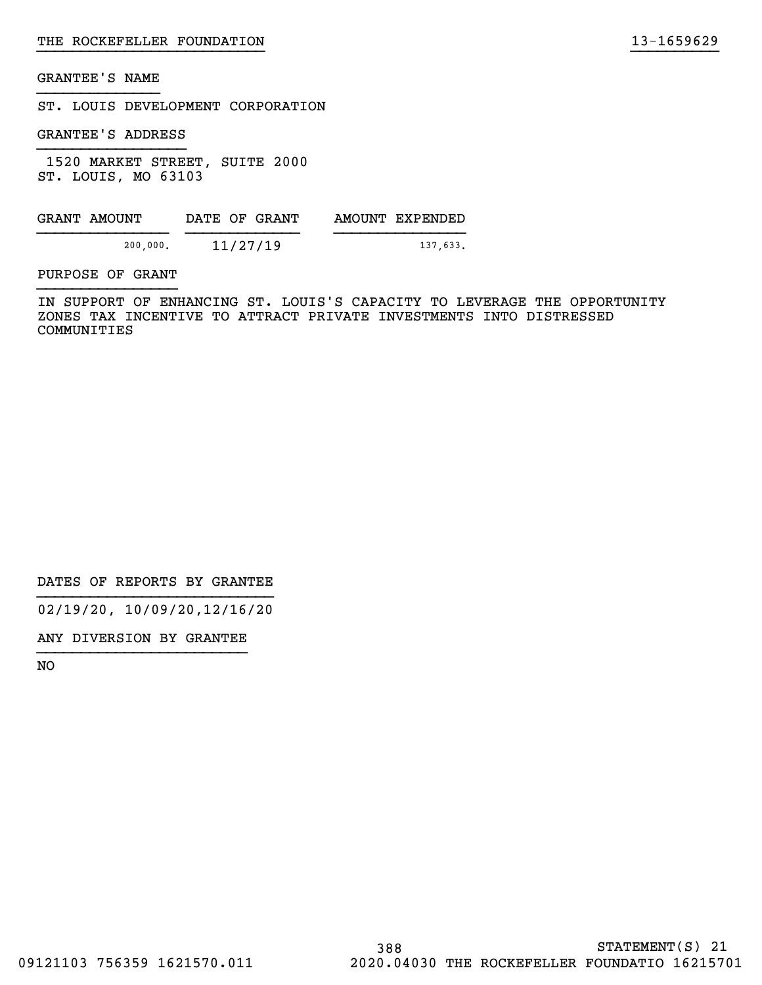ST. LOUIS DEVELOPMENT CORPORATION

GRANTEE'S ADDRESS

 1520 MARKET STREET, SUITE 2000 ST. LOUIS, MO 63103

| GRANT AMOUNT | DATE OF GRANT | AMOUNT EXPENDED |
|--------------|---------------|-----------------|
| 200,000.     | 11/27/19      | 137,633.        |

PURPOSE OF GRANT

IN SUPPORT OF ENHANCING ST. LOUIS'S CAPACITY TO LEVERAGE THE OPPORTUNITY ZONES TAX INCENTIVE TO ATTRACT PRIVATE INVESTMENTS INTO DISTRESSED COMMUNITIES

}}}}}}}}}}}}}}}}}}}}}}}}}} }}}}}}}}}}

DATES OF REPORTS BY GRANTEE

02/19/20, 10/09/20,12/16/20

ANY DIVERSION BY GRANTEE }}}}}}}}}}}}}}}}}}}}}}}}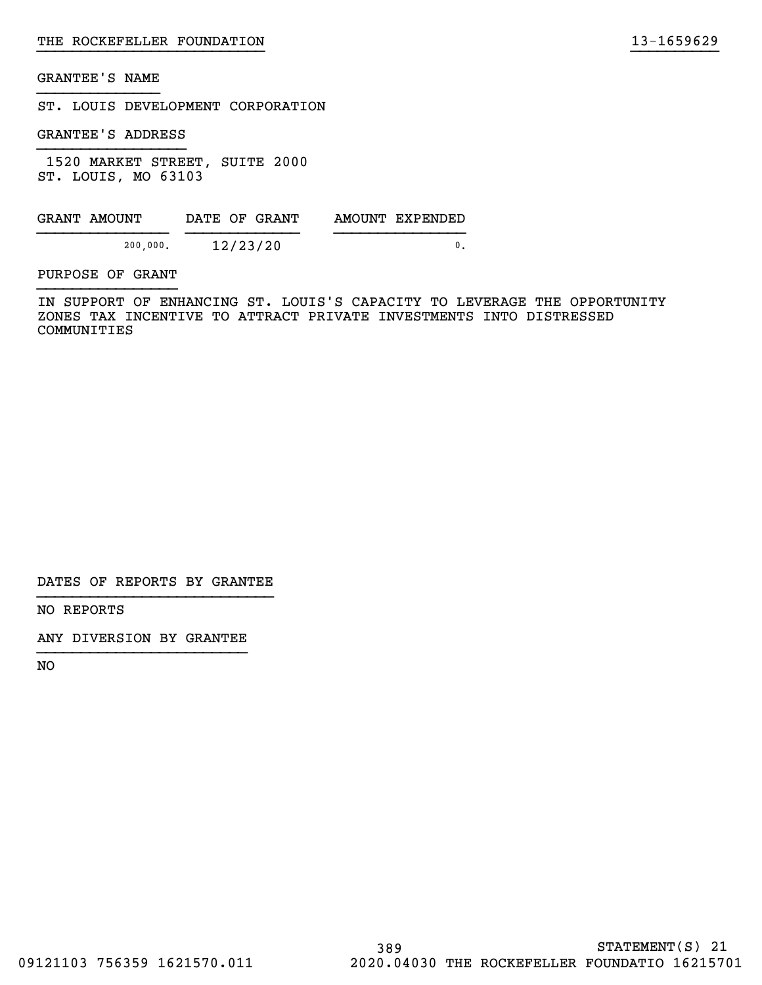ST. LOUIS DEVELOPMENT CORPORATION

GRANTEE'S ADDRESS

 1520 MARKET STREET, SUITE 2000 ST. LOUIS, MO 63103

| GRANT AMOUNT | DATE OF GRANT | AMOUNT EXPENDED |
|--------------|---------------|-----------------|
| 200,000.     | 12/23/20      |                 |

PURPOSE OF GRANT

IN SUPPORT OF ENHANCING ST. LOUIS'S CAPACITY TO LEVERAGE THE OPPORTUNITY ZONES TAX INCENTIVE TO ATTRACT PRIVATE INVESTMENTS INTO DISTRESSED COMMUNITIES

}}}}}}}}}}}}}}}}}}}}}}}}}} }}}}}}}}}}

DATES OF REPORTS BY GRANTEE

NO REPORTS

ANY DIVERSION BY GRANTEE }}}}}}}}}}}}}}}}}}}}}}}}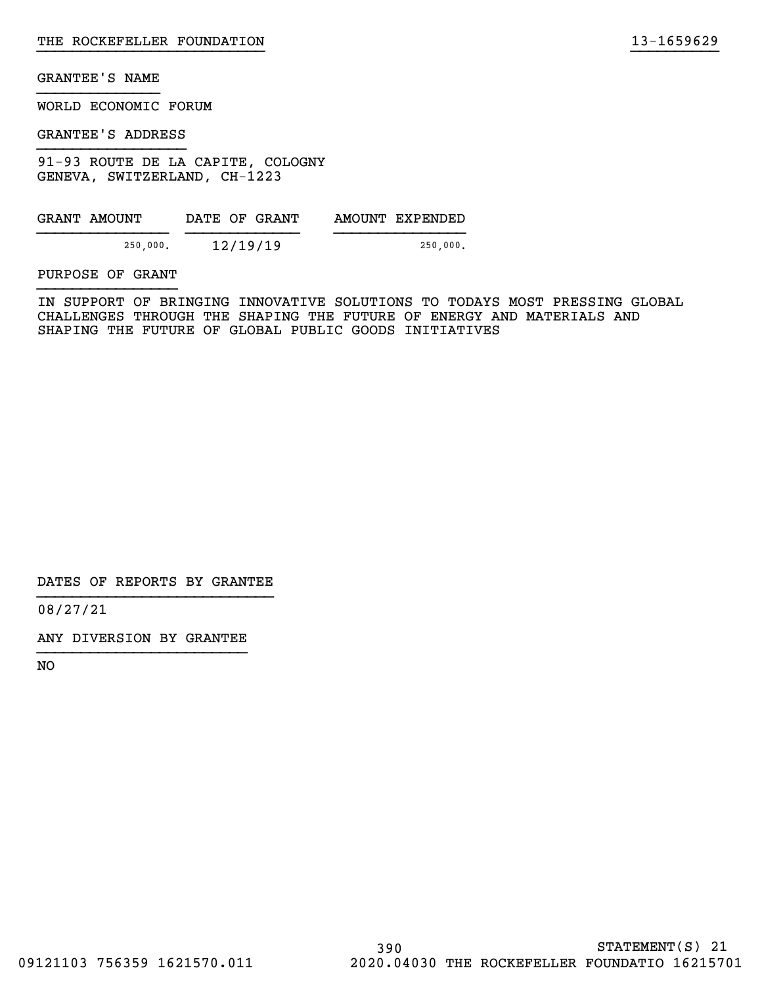WORLD ECONOMIC FORUM

GRANTEE'S ADDRESS

91-93 ROUTE DE LA CAPITE, COLOGNY GENEVA, SWITZERLAND, CH-1223

| GRANT AMOUNT | DATE OF GRANT | AMOUNT EXPENDED |
|--------------|---------------|-----------------|
| 250,000.     | 12/19/19      | 250,000.        |

PURPOSE OF GRANT

IN SUPPORT OF BRINGING INNOVATIVE SOLUTIONS TO TODAYS MOST PRESSING GLOBAL CHALLENGES THROUGH THE SHAPING THE FUTURE OF ENERGY AND MATERIALS AND SHAPING THE FUTURE OF GLOBAL PUBLIC GOODS INITIATIVES

}}}}}}}}}}}}}}}}}}}}}}}}}} }}}}}}}}}}

DATES OF REPORTS BY GRANTEE

08/27/21

ANY DIVERSION BY GRANTEE }}}}}}}}}}}}}}}}}}}}}}}}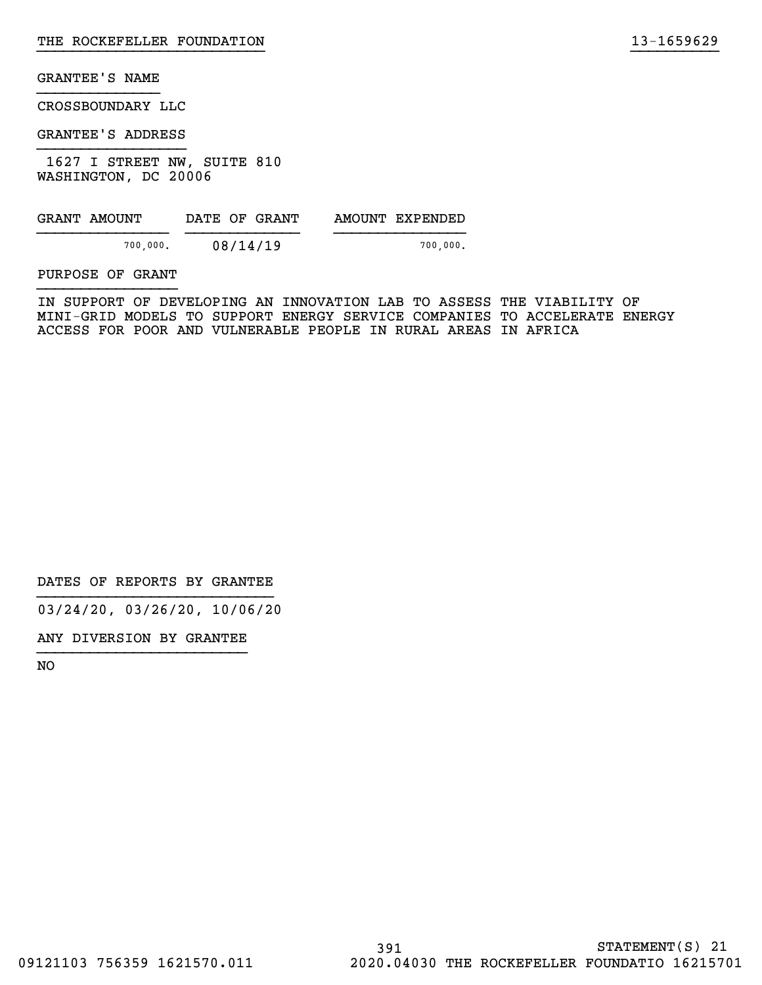CROSSBOUNDARY LLC

GRANTEE'S ADDRESS

 1627 I STREET NW, SUITE 810 WASHINGTON, DC 20006

| GRANT AMOUNT | DATE OF GRANT | AMOUNT EXPENDED |
|--------------|---------------|-----------------|
| 700.000.     | 08/14/19      | 700.000.        |

PURPOSE OF GRANT

IN SUPPORT OF DEVELOPING AN INNOVATION LAB TO ASSESS THE VIABILITY OF MINI-GRID MODELS TO SUPPORT ENERGY SERVICE COMPANIES TO ACCELERATE ENERGY ACCESS FOR POOR AND VULNERABLE PEOPLE IN RURAL AREAS IN AFRICA

}}}}}}}}}}}}}}}}}}}}}}}}}} }}}}}}}}}}

DATES OF REPORTS BY GRANTEE

03/24/20, 03/26/20, 10/06/20

ANY DIVERSION BY GRANTEE }}}}}}}}}}}}}}}}}}}}}}}}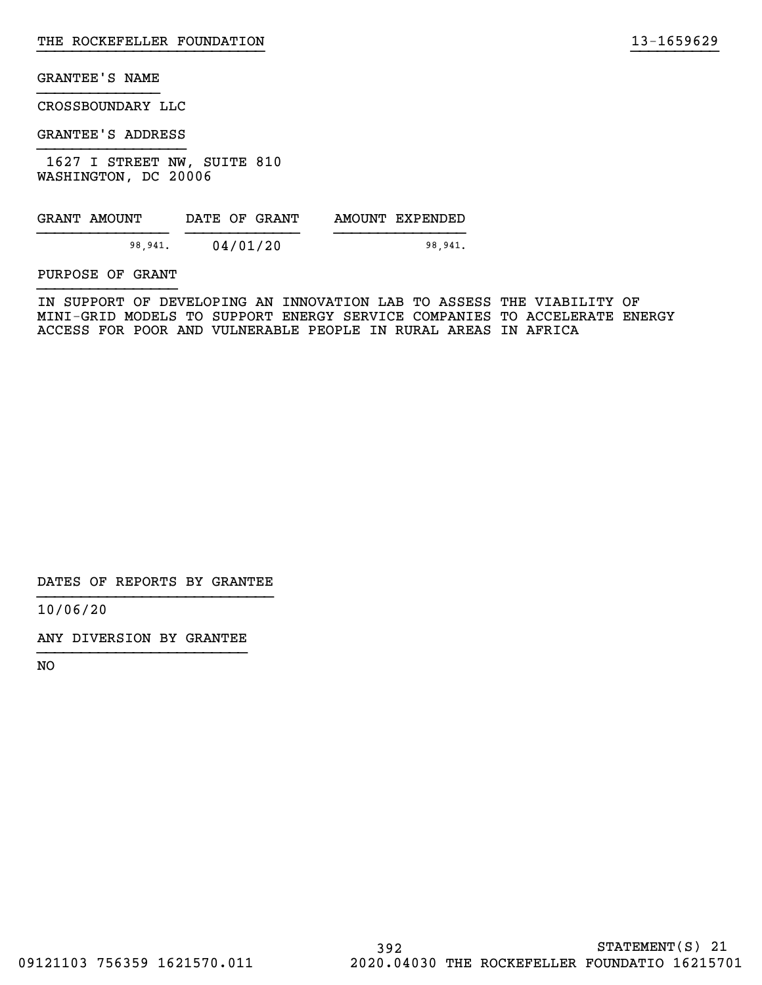CROSSBOUNDARY LLC

GRANTEE'S ADDRESS

 1627 I STREET NW, SUITE 810 WASHINGTON, DC 20006

| GRANT AMOUNT | DATE OF GRANT | AMOUNT EXPENDED |
|--------------|---------------|-----------------|
| 98,941.      | 04/01/20      | 98.941.         |

PURPOSE OF GRANT

IN SUPPORT OF DEVELOPING AN INNOVATION LAB TO ASSESS THE VIABILITY OF MINI-GRID MODELS TO SUPPORT ENERGY SERVICE COMPANIES TO ACCELERATE ENERGY ACCESS FOR POOR AND VULNERABLE PEOPLE IN RURAL AREAS IN AFRICA

}}}}}}}}}}}}}}}}}}}}}}}}}} }}}}}}}}}}

DATES OF REPORTS BY GRANTEE

10/06/20

ANY DIVERSION BY GRANTEE }}}}}}}}}}}}}}}}}}}}}}}}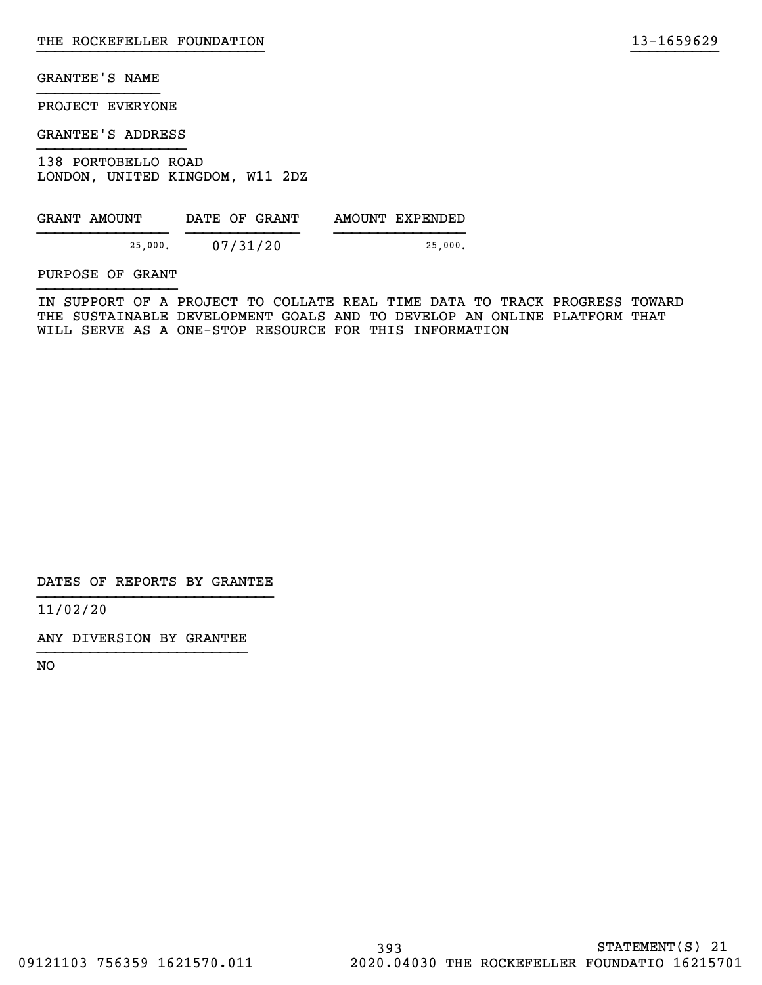PROJECT EVERYONE

GRANTEE'S ADDRESS

138 PORTOBELLO ROAD LONDON, UNITED KINGDOM, W11 2DZ

| GRANT AMOUNT | DATE OF GRANT | AMOUNT EXPENDED |
|--------------|---------------|-----------------|
| 25.000.      | 07/31/20      | 25.000.         |

PURPOSE OF GRANT

IN SUPPORT OF A PROJECT TO COLLATE REAL TIME DATA TO TRACK PROGRESS TOWARD THE SUSTAINABLE DEVELOPMENT GOALS AND TO DEVELOP AN ONLINE PLATFORM THAT WILL SERVE AS A ONE-STOP RESOURCE FOR THIS INFORMATION

}}}}}}}}}}}}}}}}}}}}}}}}}} }}}}}}}}}}

DATES OF REPORTS BY GRANTEE

11/02/20

ANY DIVERSION BY GRANTEE }}}}}}}}}}}}}}}}}}}}}}}}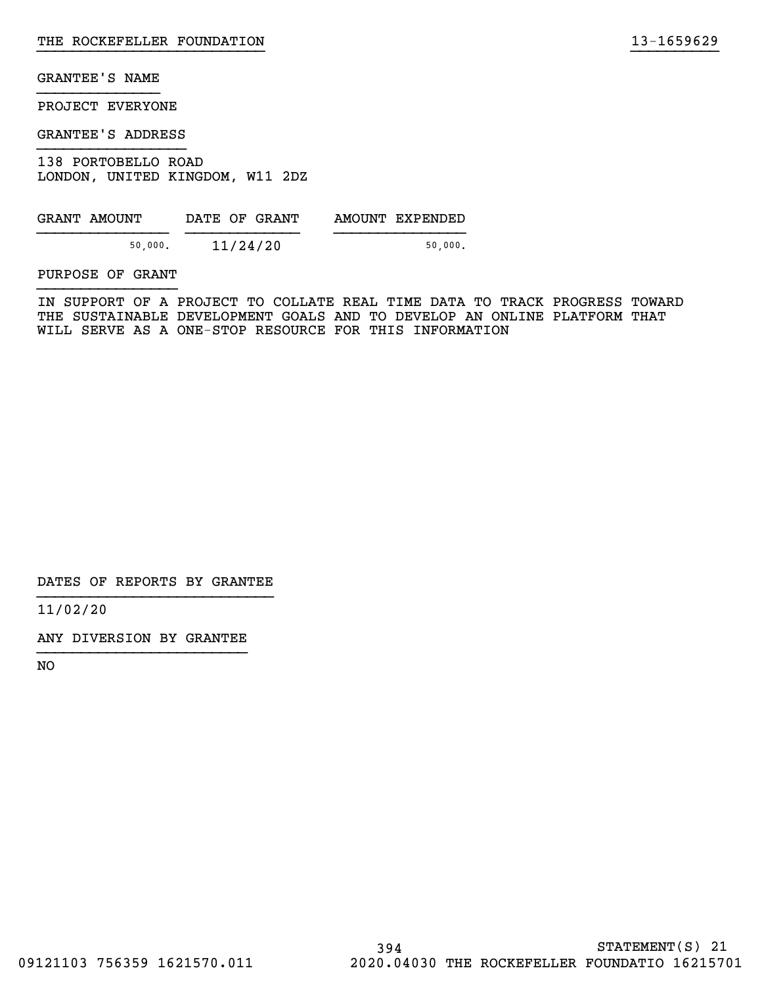PROJECT EVERYONE

GRANTEE'S ADDRESS

138 PORTOBELLO ROAD LONDON, UNITED KINGDOM, W11 2DZ

| GRANT AMOUNT | DATE OF GRANT | AMOUNT EXPENDED |
|--------------|---------------|-----------------|
| 50,000.      | 11/24/20      | 50.000.         |

PURPOSE OF GRANT

IN SUPPORT OF A PROJECT TO COLLATE REAL TIME DATA TO TRACK PROGRESS TOWARD THE SUSTAINABLE DEVELOPMENT GOALS AND TO DEVELOP AN ONLINE PLATFORM THAT WILL SERVE AS A ONE-STOP RESOURCE FOR THIS INFORMATION

}}}}}}}}}}}}}}}}}}}}}}}}}} }}}}}}}}}}

DATES OF REPORTS BY GRANTEE

11/02/20

ANY DIVERSION BY GRANTEE }}}}}}}}}}}}}}}}}}}}}}}}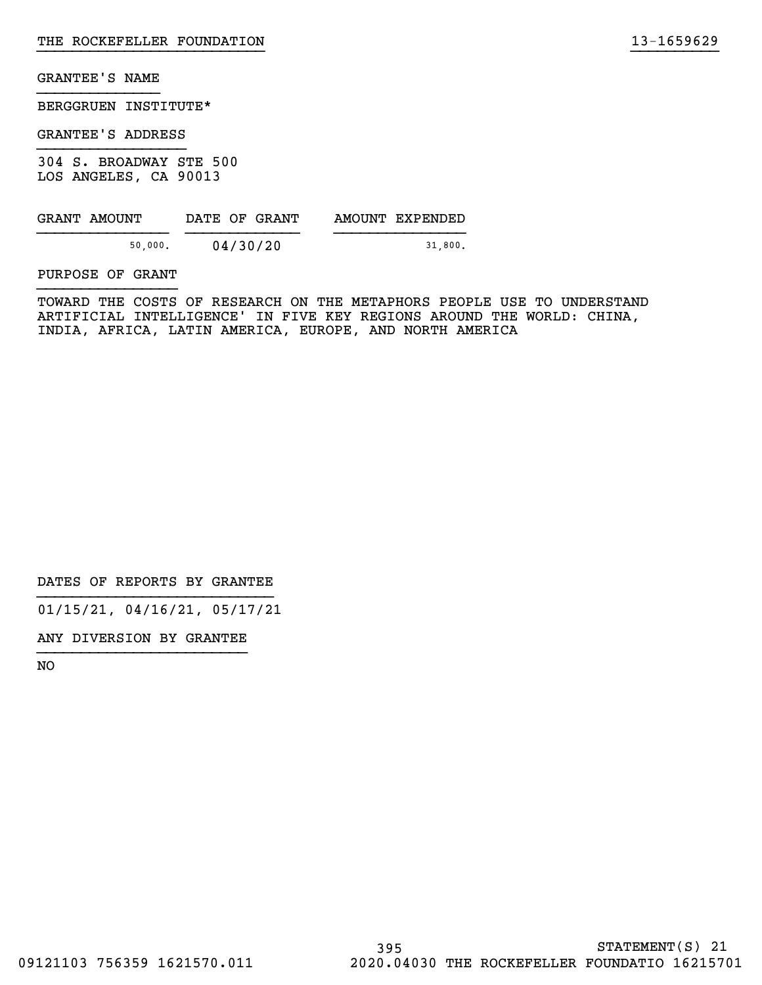BERGGRUEN INSTITUTE\*

GRANTEE'S ADDRESS

304 S. BROADWAY STE 500 LOS ANGELES, CA 90013

| GRANT AMOUNT | DATE OF GRANT | AMOUNT EXPENDED |
|--------------|---------------|-----------------|
| 50.000.      | 04/30/20      | 31.800.         |

PURPOSE OF GRANT

TOWARD THE COSTS OF RESEARCH ON THE METAPHORS PEOPLE USE TO UNDERSTAND ARTIFICIAL INTELLIGENCE' IN FIVE KEY REGIONS AROUND THE WORLD: CHINA, INDIA, AFRICA, LATIN AMERICA, EUROPE, AND NORTH AMERICA

}}}}}}}}}}}}}}}}}}}}}}}}}} }}}}}}}}}}

DATES OF REPORTS BY GRANTEE

01/15/21, 04/16/21, 05/17/21

ANY DIVERSION BY GRANTEE }}}}}}}}}}}}}}}}}}}}}}}}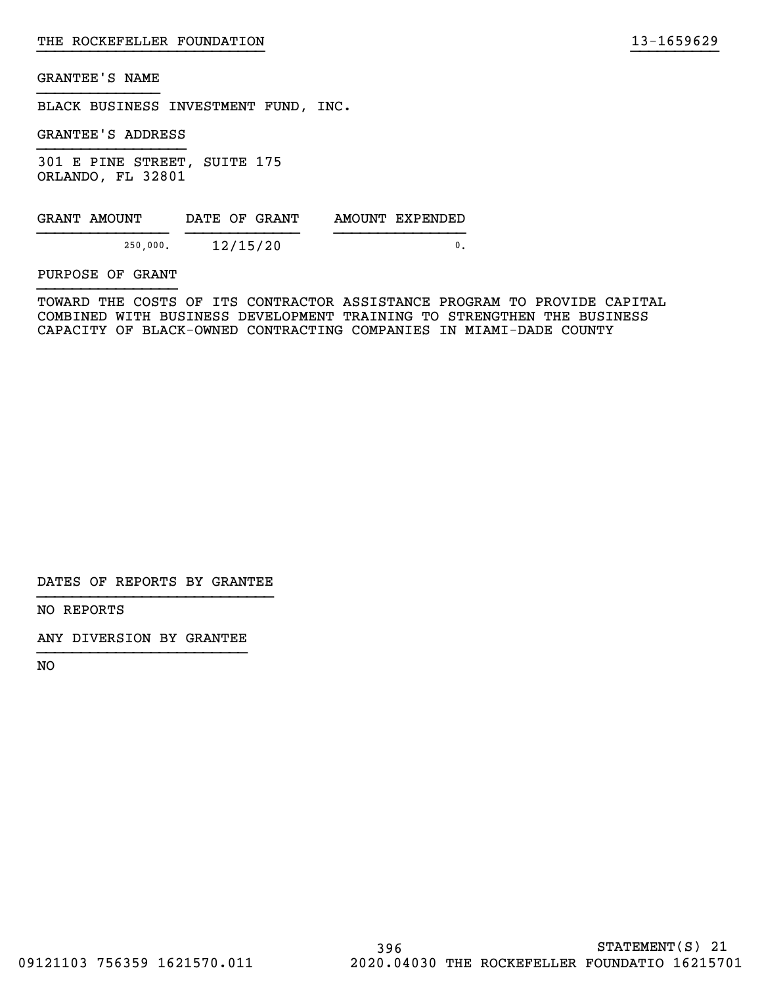BLACK BUSINESS INVESTMENT FUND, INC.

GRANTEE'S ADDRESS

301 E PINE STREET, SUITE 175 ORLANDO, FL 32801

| GRANT AMOUNT | DATE OF GRANT | AMOUNT EXPENDED |
|--------------|---------------|-----------------|
|              |               |                 |
| 250,000.     | 12/15/20      |                 |

PURPOSE OF GRANT

TOWARD THE COSTS OF ITS CONTRACTOR ASSISTANCE PROGRAM TO PROVIDE CAPITAL COMBINED WITH BUSINESS DEVELOPMENT TRAINING TO STRENGTHEN THE BUSINESS CAPACITY OF BLACK-OWNED CONTRACTING COMPANIES IN MIAMI-DADE COUNTY

}}}}}}}}}}}}}}}}}}}}}}}}}} }}}}}}}}}}

DATES OF REPORTS BY GRANTEE

NO REPORTS

ANY DIVERSION BY GRANTEE }}}}}}}}}}}}}}}}}}}}}}}}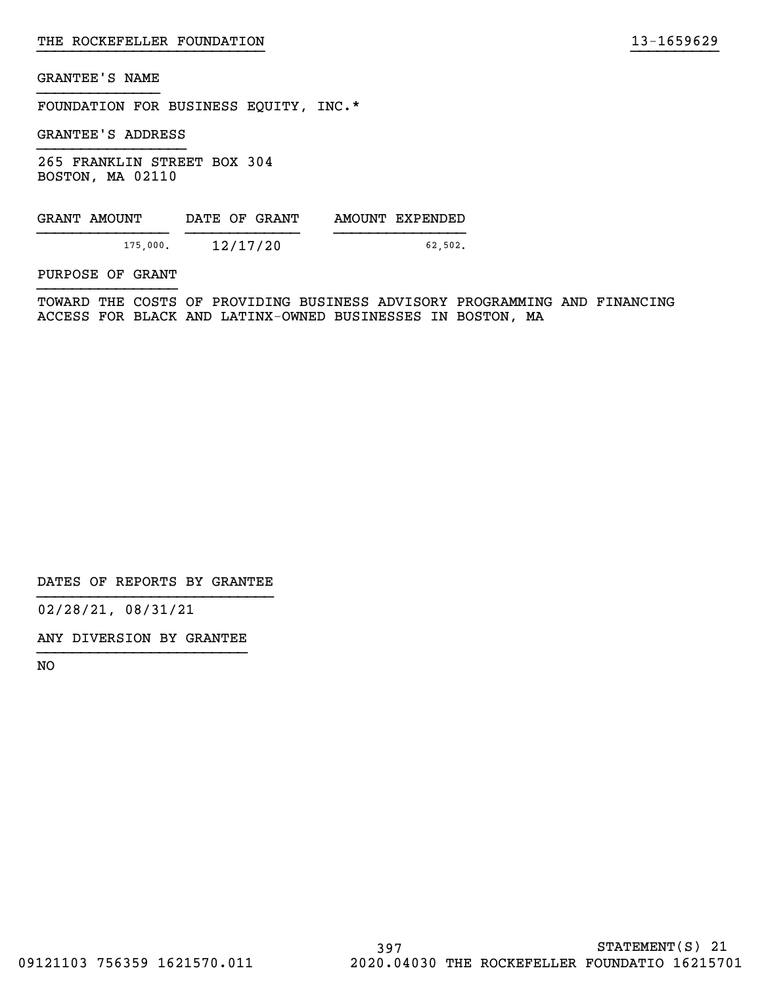FOUNDATION FOR BUSINESS EQUITY, INC.\*

GRANTEE'S ADDRESS

265 FRANKLIN STREET BOX 304 BOSTON, MA 02110

| GRANT AMOUNT | DATE OF GRANT | AMOUNT EXPENDED |
|--------------|---------------|-----------------|
| 175,000.     | 12/17/20      | 62.502.         |

PURPOSE OF GRANT

TOWARD THE COSTS OF PROVIDING BUSINESS ADVISORY PROGRAMMING AND FINANCING ACCESS FOR BLACK AND LATINX-OWNED BUSINESSES IN BOSTON, MA

}}}}}}}}}}}}}}}}}}}}}}}}}} }}}}}}}}}}

DATES OF REPORTS BY GRANTEE

02/28/21, 08/31/21

ANY DIVERSION BY GRANTEE }}}}}}}}}}}}}}}}}}}}}}}}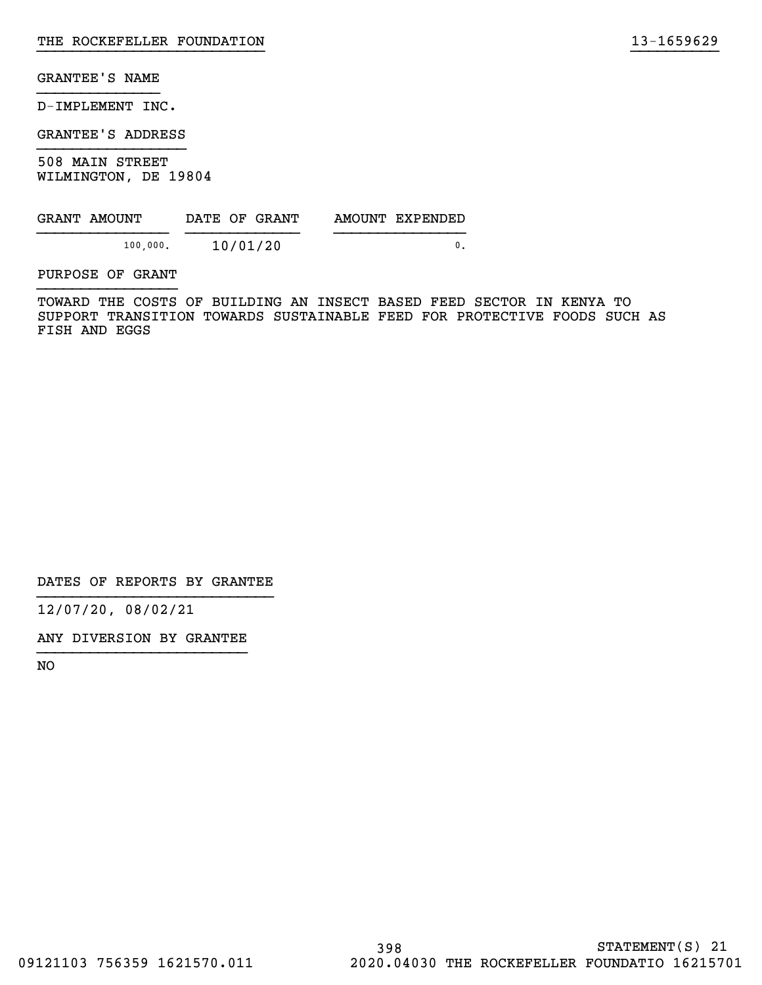D-IMPLEMENT INC.

GRANTEE'S ADDRESS

508 MAIN STREET WILMINGTON, DE 19804

| GRANT AMOUNT | DATE OF GRANT | AMOUNT EXPENDED |
|--------------|---------------|-----------------|
| 100.000.     | 10/01/20      |                 |

PURPOSE OF GRANT

TOWARD THE COSTS OF BUILDING AN INSECT BASED FEED SECTOR IN KENYA TO SUPPORT TRANSITION TOWARDS SUSTAINABLE FEED FOR PROTECTIVE FOODS SUCH AS FISH AND EGGS

}}}}}}}}}}}}}}}}}}}}}}}}}} }}}}}}}}}}

DATES OF REPORTS BY GRANTEE

12/07/20, 08/02/21

ANY DIVERSION BY GRANTEE }}}}}}}}}}}}}}}}}}}}}}}}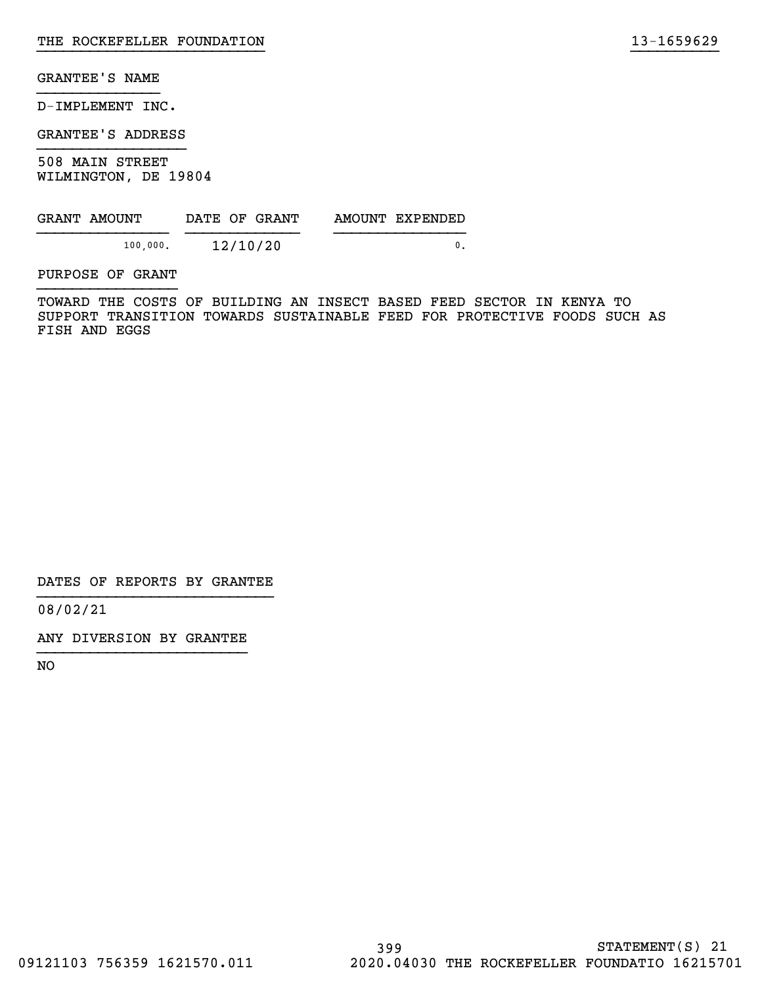D-IMPLEMENT INC.

GRANTEE'S ADDRESS

508 MAIN STREET WILMINGTON, DE 19804

| GRANT AMOUNT | DATE OF GRANT | AMOUNT EXPENDED |
|--------------|---------------|-----------------|
| 100,000.     | 12/10/20      |                 |

PURPOSE OF GRANT

TOWARD THE COSTS OF BUILDING AN INSECT BASED FEED SECTOR IN KENYA TO SUPPORT TRANSITION TOWARDS SUSTAINABLE FEED FOR PROTECTIVE FOODS SUCH AS FISH AND EGGS

}}}}}}}}}}}}}}}}}}}}}}}}}} }}}}}}}}}}

DATES OF REPORTS BY GRANTEE

08/02/21

ANY DIVERSION BY GRANTEE }}}}}}}}}}}}}}}}}}}}}}}}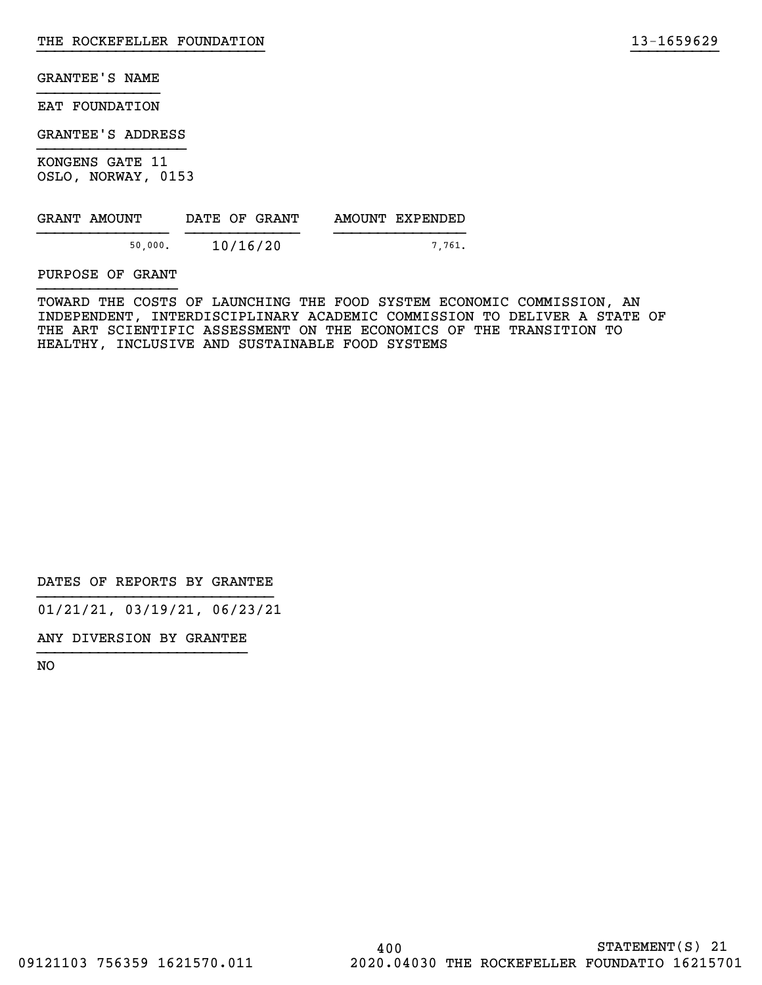EAT FOUNDATION

GRANTEE'S ADDRESS

KONGENS GATE 11 OSLO, NORWAY, 0153

| GRANT AMOUNT | DATE OF GRANT | AMOUNT EXPENDED |
|--------------|---------------|-----------------|
| 50,000.      | 10/16/20      | 7761.           |

PURPOSE OF GRANT

TOWARD THE COSTS OF LAUNCHING THE FOOD SYSTEM ECONOMIC COMMISSION, AN INDEPENDENT, INTERDISCIPLINARY ACADEMIC COMMISSION TO DELIVER A STATE OF THE ART SCIENTIFIC ASSESSMENT ON THE ECONOMICS OF THE TRANSITION TO HEALTHY, INCLUSIVE AND SUSTAINABLE FOOD SYSTEMS

}}}}}}}}}}}}}}}}}}}}}}}}}} }}}}}}}}}}

DATES OF REPORTS BY GRANTEE

01/21/21, 03/19/21, 06/23/21

ANY DIVERSION BY GRANTEE }}}}}}}}}}}}}}}}}}}}}}}}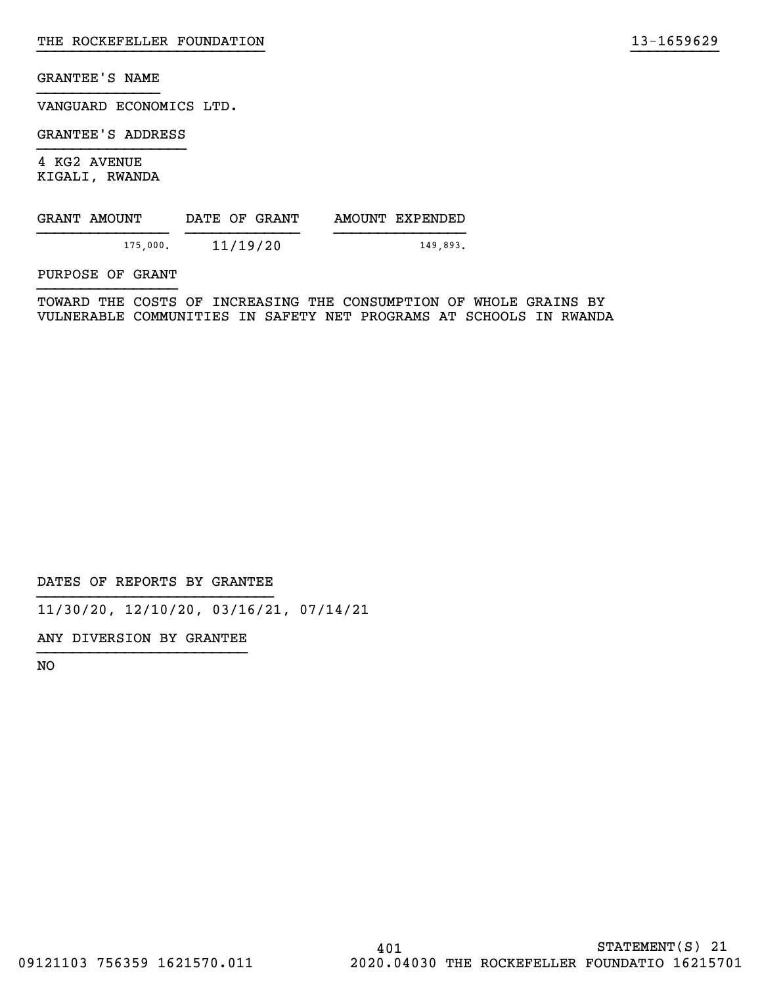VANGUARD ECONOMICS LTD.

GRANTEE'S ADDRESS

4 KG2 AVENUE KIGALI, RWANDA

| GRANT AMOUNT | DATE OF GRANT | AMOUNT EXPENDED |
|--------------|---------------|-----------------|
| 175,000.     | 11/19/20      | 149.893.        |

PURPOSE OF GRANT

TOWARD THE COSTS OF INCREASING THE CONSUMPTION OF WHOLE GRAINS BY VULNERABLE COMMUNITIES IN SAFETY NET PROGRAMS AT SCHOOLS IN RWANDA

}}}}}}}}}}}}}}}}}}}}}}}}}} }}}}}}}}}}

DATES OF REPORTS BY GRANTEE

11/30/20, 12/10/20, 03/16/21, 07/14/21

ANY DIVERSION BY GRANTEE }}}}}}}}}}}}}}}}}}}}}}}}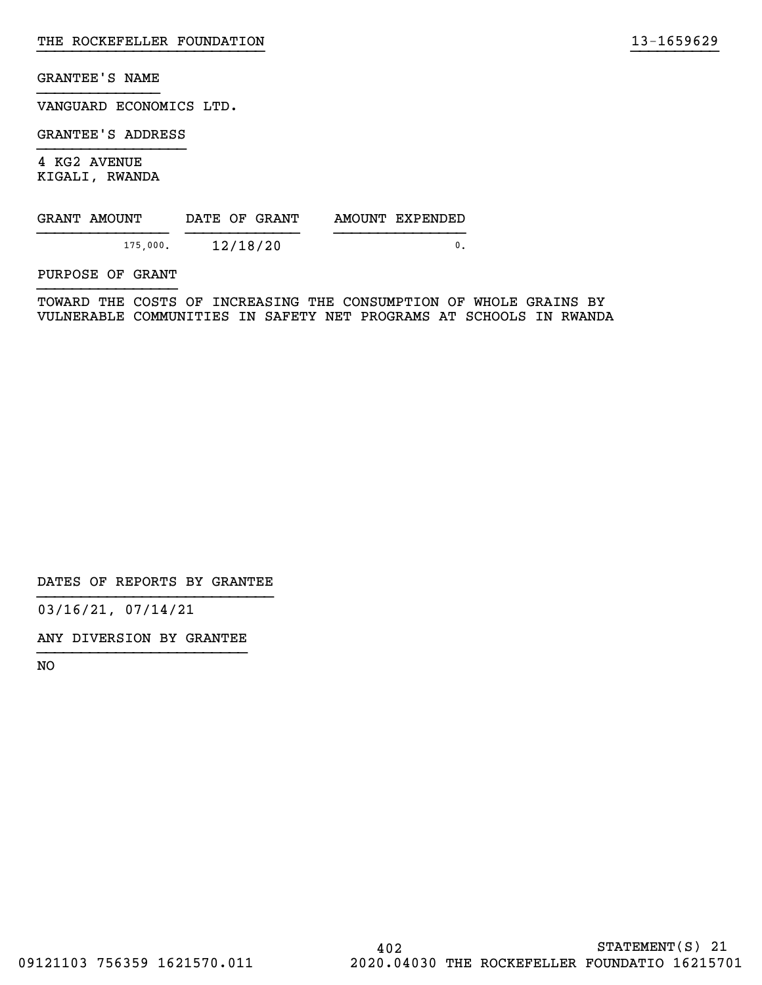VANGUARD ECONOMICS LTD.

GRANTEE'S ADDRESS

4 KG2 AVENUE KIGALI, RWANDA

| GRANT AMOUNT | DATE OF GRANT | AMOUNT EXPENDED |
|--------------|---------------|-----------------|
| 175,000.     | 12/18/20      |                 |

PURPOSE OF GRANT

TOWARD THE COSTS OF INCREASING THE CONSUMPTION OF WHOLE GRAINS BY VULNERABLE COMMUNITIES IN SAFETY NET PROGRAMS AT SCHOOLS IN RWANDA

}}}}}}}}}}}}}}}}}}}}}}}}}} }}}}}}}}}}

DATES OF REPORTS BY GRANTEE

03/16/21, 07/14/21

ANY DIVERSION BY GRANTEE }}}}}}}}}}}}}}}}}}}}}}}}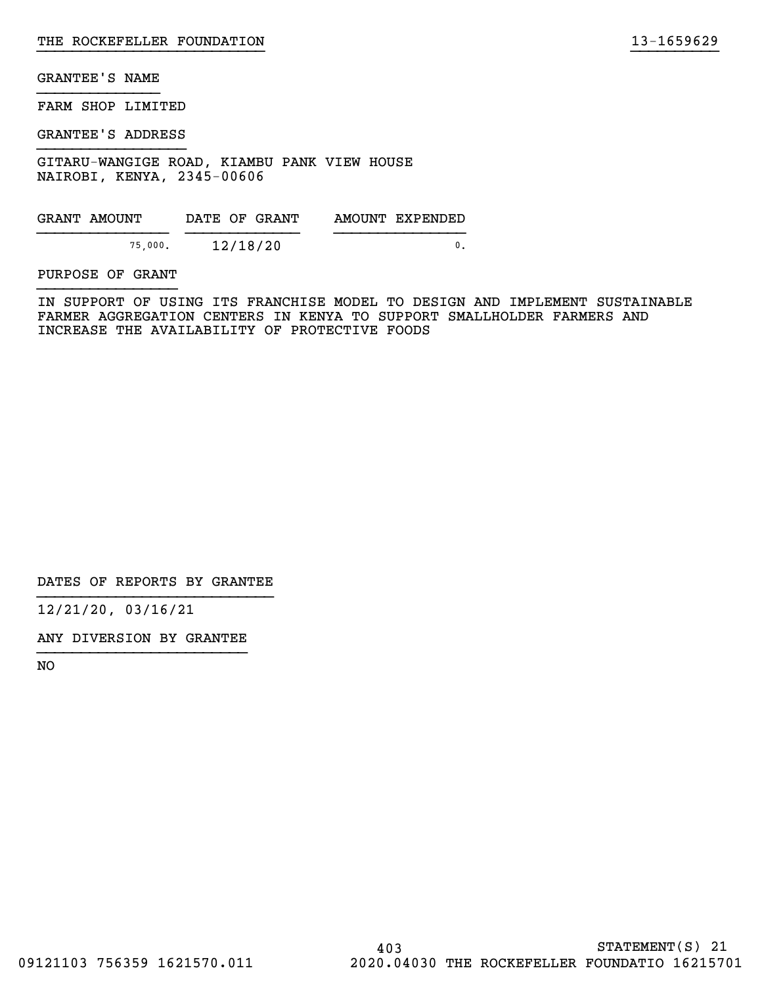FARM SHOP LIMITED

GRANTEE'S ADDRESS

GITARU-WANGIGE ROAD, KIAMBU PANK VIEW HOUSE NAIROBI, KENYA, 2345-00606

| GRANT AMOUNT | DATE OF GRANT | AMOUNT EXPENDED |
|--------------|---------------|-----------------|
|              |               |                 |
| 75,000.      | 12/18/20      |                 |

PURPOSE OF GRANT

IN SUPPORT OF USING ITS FRANCHISE MODEL TO DESIGN AND IMPLEMENT SUSTAINABLE FARMER AGGREGATION CENTERS IN KENYA TO SUPPORT SMALLHOLDER FARMERS AND INCREASE THE AVAILABILITY OF PROTECTIVE FOODS

}}}}}}}}}}}}}}}}}}}}}}}}}} }}}}}}}}}}

DATES OF REPORTS BY GRANTEE

12/21/20, 03/16/21

ANY DIVERSION BY GRANTEE }}}}}}}}}}}}}}}}}}}}}}}}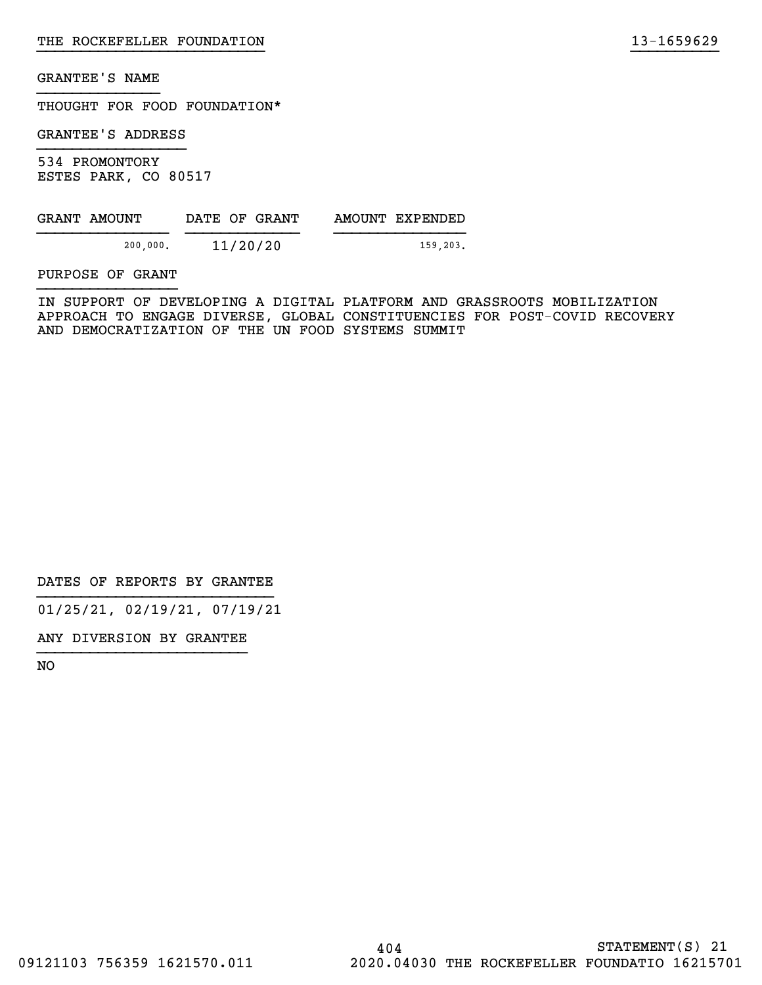THOUGHT FOR FOOD FOUNDATION\*

GRANTEE'S ADDRESS

534 PROMONTORY ESTES PARK, CO 80517

| GRANT AMOUNT | DATE OF GRANT | AMOUNT EXPENDED |
|--------------|---------------|-----------------|
|              |               |                 |
| 200,000.     | 11/20/20      | 159.203.        |

PURPOSE OF GRANT

IN SUPPORT OF DEVELOPING A DIGITAL PLATFORM AND GRASSROOTS MOBILIZATION APPROACH TO ENGAGE DIVERSE, GLOBAL CONSTITUENCIES FOR POST-COVID RECOVERY AND DEMOCRATIZATION OF THE UN FOOD SYSTEMS SUMMIT

}}}}}}}}}}}}}}}}}}}}}}}}}} }}}}}}}}}}

DATES OF REPORTS BY GRANTEE

01/25/21, 02/19/21, 07/19/21

ANY DIVERSION BY GRANTEE }}}}}}}}}}}}}}}}}}}}}}}}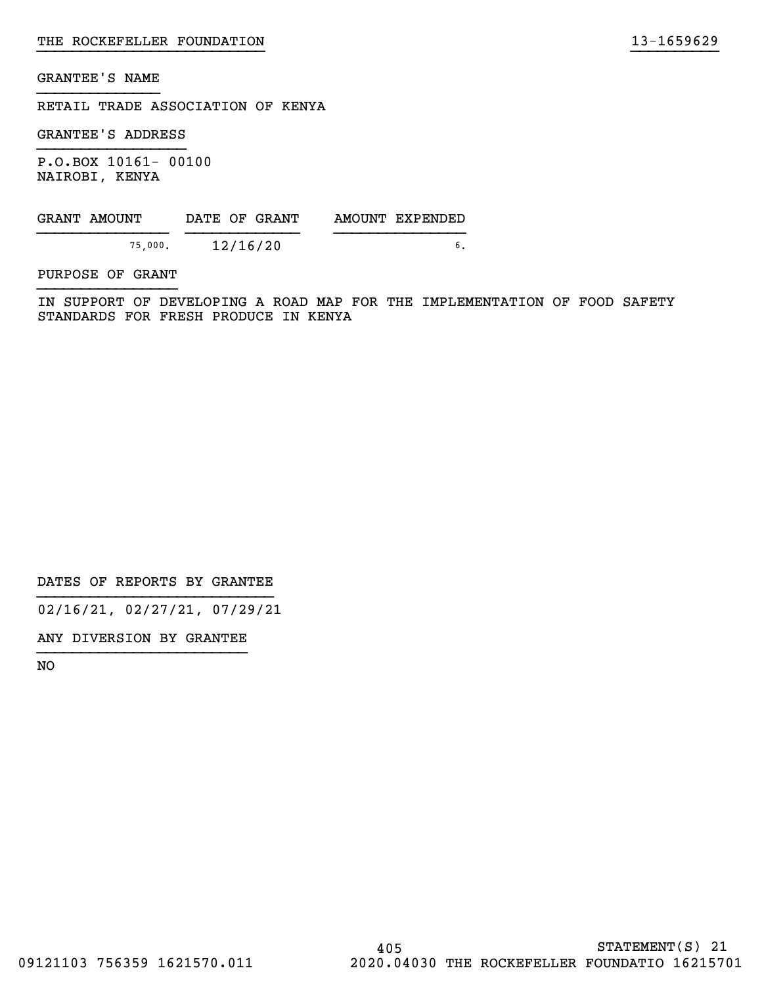RETAIL TRADE ASSOCIATION OF KENYA

GRANTEE'S ADDRESS

P.O.BOX 10161- 00100 NAIROBI, KENYA

| GRANT AMOUNT | DATE OF GRANT |  | AMOUNT EXPENDED |
|--------------|---------------|--|-----------------|
| 75,000.      | 12/16/20      |  |                 |

PURPOSE OF GRANT

IN SUPPORT OF DEVELOPING A ROAD MAP FOR THE IMPLEMENTATION OF FOOD SAFETY STANDARDS FOR FRESH PRODUCE IN KENYA

}}}}}}}}}}}}}}}}}}}}}}}}}} }}}}}}}}}}

DATES OF REPORTS BY GRANTEE

02/16/21, 02/27/21, 07/29/21

ANY DIVERSION BY GRANTEE }}}}}}}}}}}}}}}}}}}}}}}}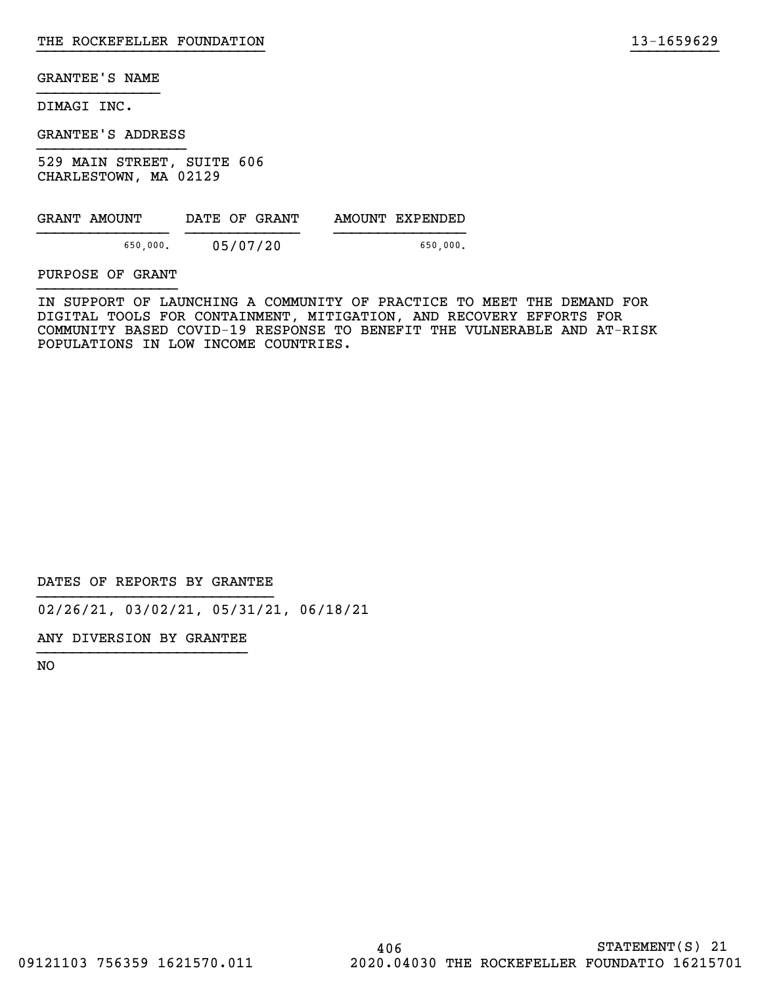DIMAGI INC.

GRANTEE'S ADDRESS

529 MAIN STREET, SUITE 606 CHARLESTOWN, MA 02129

| GRANT AMOUNT |          |          | DATE OF GRANT | AMOUNT EXPENDED |
|--------------|----------|----------|---------------|-----------------|
|              | 650,000. | 05/07/20 |               | 650.000.        |

PURPOSE OF GRANT

IN SUPPORT OF LAUNCHING A COMMUNITY OF PRACTICE TO MEET THE DEMAND FOR DIGITAL TOOLS FOR CONTAINMENT, MITIGATION, AND RECOVERY EFFORTS FOR COMMUNITY BASED COVID-19 RESPONSE TO BENEFIT THE VULNERABLE AND AT-RISK POPULATIONS IN LOW INCOME COUNTRIES.

}}}}}}}}}}}}}}}}}}}}}}}}}} }}}}}}}}}}

DATES OF REPORTS BY GRANTEE

02/26/21, 03/02/21, 05/31/21, 06/18/21

ANY DIVERSION BY GRANTEE }}}}}}}}}}}}}}}}}}}}}}}}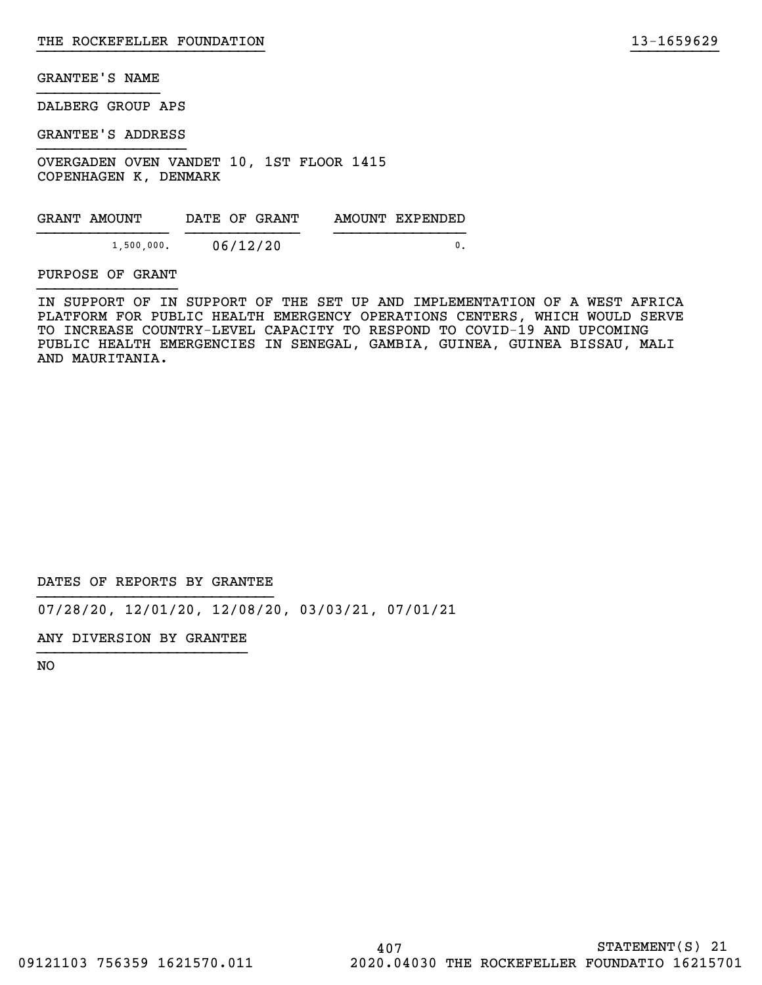DALBERG GROUP APS

GRANTEE'S ADDRESS

OVERGADEN OVEN VANDET 10, 1ST FLOOR 1415 COPENHAGEN K, DENMARK

GRANT AMOUNT DATE OF GRANT AMOUNT EXPENDED  ${1,500,000.}$  06/12/20 0.

PURPOSE OF GRANT

IN SUPPORT OF IN SUPPORT OF THE SET UP AND IMPLEMENTATION OF A WEST AFRICA PLATFORM FOR PUBLIC HEALTH EMERGENCY OPERATIONS CENTERS, WHICH WOULD SERVE TO INCREASE COUNTRY-LEVEL CAPACITY TO RESPOND TO COVID-19 AND UPCOMING PUBLIC HEALTH EMERGENCIES IN SENEGAL, GAMBIA, GUINEA, GUINEA BISSAU, MALI AND MAURITANIA.

}}}}}}}}}}}}}}}}}}}}}}}}}} }}}}}}}}}}

DATES OF REPORTS BY GRANTEE

07/28/20, 12/01/20, 12/08/20, 03/03/21, 07/01/21

ANY DIVERSION BY GRANTEE }}}}}}}}}}}}}}}}}}}}}}}}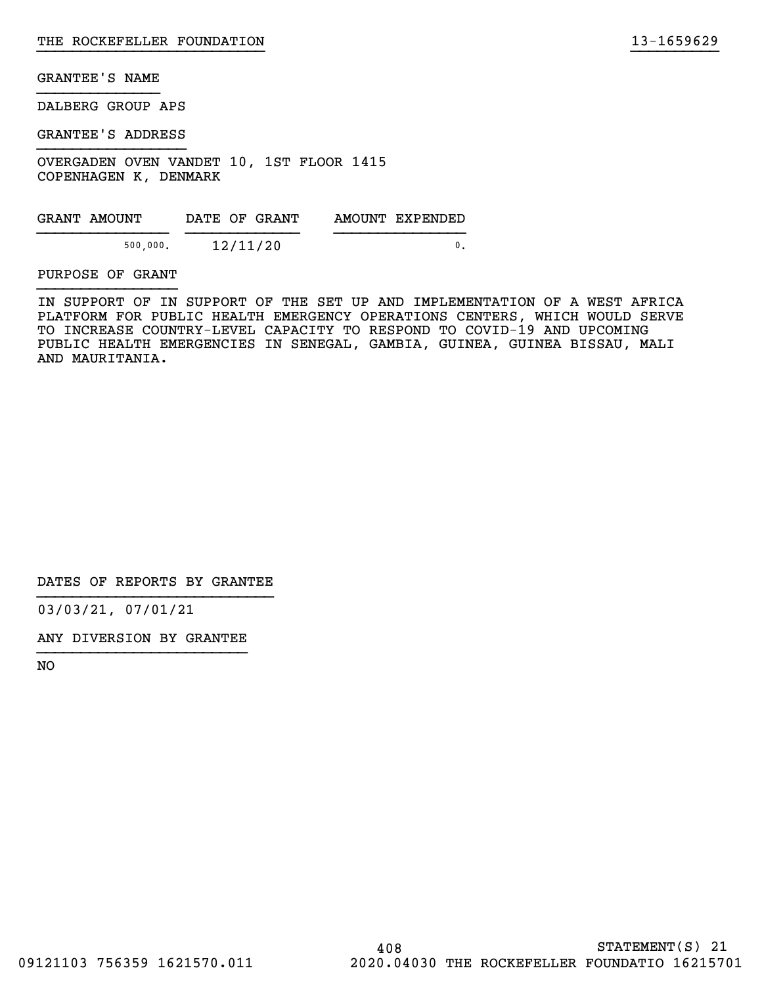DALBERG GROUP APS

GRANTEE'S ADDRESS

OVERGADEN OVEN VANDET 10, 1ST FLOOR 1415 COPENHAGEN K, DENMARK

| GRANT AMOUNT | DATE OF GRANT | AMOUNT EXPENDED |
|--------------|---------------|-----------------|
| 500,000.     | 12/11/20      |                 |

#### PURPOSE OF GRANT

IN SUPPORT OF IN SUPPORT OF THE SET UP AND IMPLEMENTATION OF A WEST AFRICA PLATFORM FOR PUBLIC HEALTH EMERGENCY OPERATIONS CENTERS, WHICH WOULD SERVE TO INCREASE COUNTRY-LEVEL CAPACITY TO RESPOND TO COVID-19 AND UPCOMING PUBLIC HEALTH EMERGENCIES IN SENEGAL, GAMBIA, GUINEA, GUINEA BISSAU, MALI AND MAURITANIA.

}}}}}}}}}}}}}}}}}}}}}}}}}} }}}}}}}}}}

DATES OF REPORTS BY GRANTEE

03/03/21, 07/01/21

ANY DIVERSION BY GRANTEE }}}}}}}}}}}}}}}}}}}}}}}}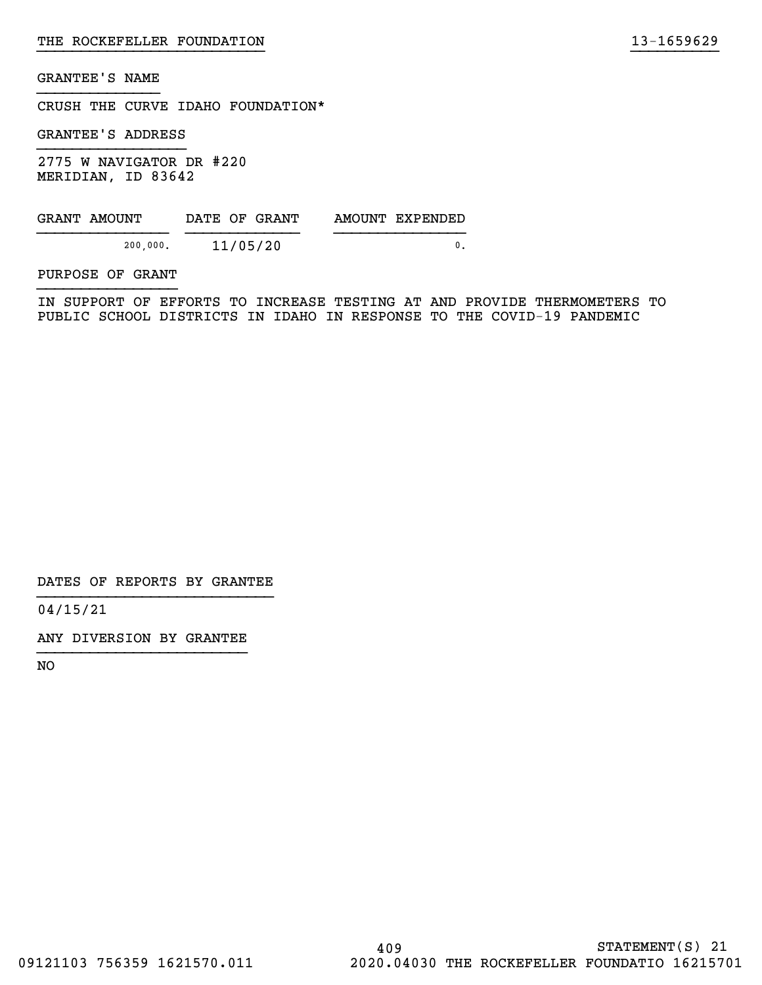CRUSH THE CURVE IDAHO FOUNDATION\*

GRANTEE'S ADDRESS

2775 W NAVIGATOR DR #220 MERIDIAN, ID 83642

| GRANT AMOUNT |          | DATE OF GRANT | AMOUNT EXPENDED |
|--------------|----------|---------------|-----------------|
|              | 200,000. | 11/05/20      |                 |

PURPOSE OF GRANT

IN SUPPORT OF EFFORTS TO INCREASE TESTING AT AND PROVIDE THERMOMETERS TO PUBLIC SCHOOL DISTRICTS IN IDAHO IN RESPONSE TO THE COVID-19 PANDEMIC

}}}}}}}}}}}}}}}}}}}}}}}}}} }}}}}}}}}}

DATES OF REPORTS BY GRANTEE

04/15/21

ANY DIVERSION BY GRANTEE }}}}}}}}}}}}}}}}}}}}}}}}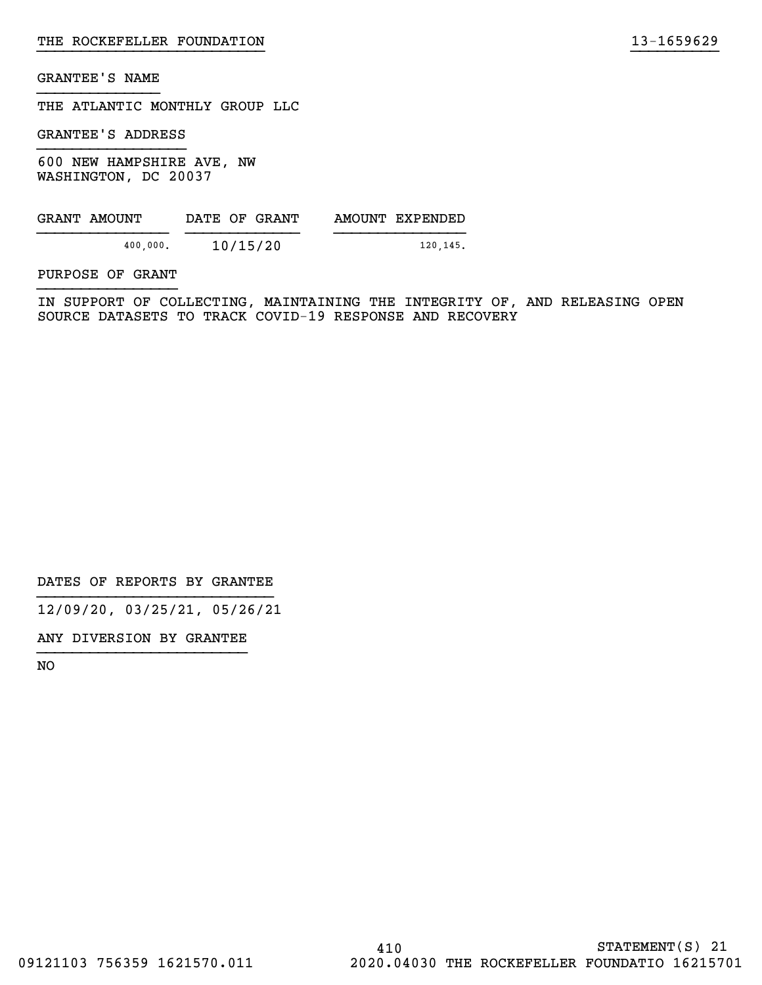THE ATLANTIC MONTHLY GROUP LLC

GRANTEE'S ADDRESS

600 NEW HAMPSHIRE AVE, NW WASHINGTON, DC 20037

| GRANT AMOUNT |          |          | DATE OF GRANT | AMOUNT EXPENDED |
|--------------|----------|----------|---------------|-----------------|
|              | 400,000. | 10/15/20 |               | 120,145.        |

PURPOSE OF GRANT

IN SUPPORT OF COLLECTING, MAINTAINING THE INTEGRITY OF, AND RELEASING OPEN SOURCE DATASETS TO TRACK COVID-19 RESPONSE AND RECOVERY

}}}}}}}}}}}}}}}}}}}}}}}}}} }}}}}}}}}}

DATES OF REPORTS BY GRANTEE

12/09/20, 03/25/21, 05/26/21

ANY DIVERSION BY GRANTEE }}}}}}}}}}}}}}}}}}}}}}}}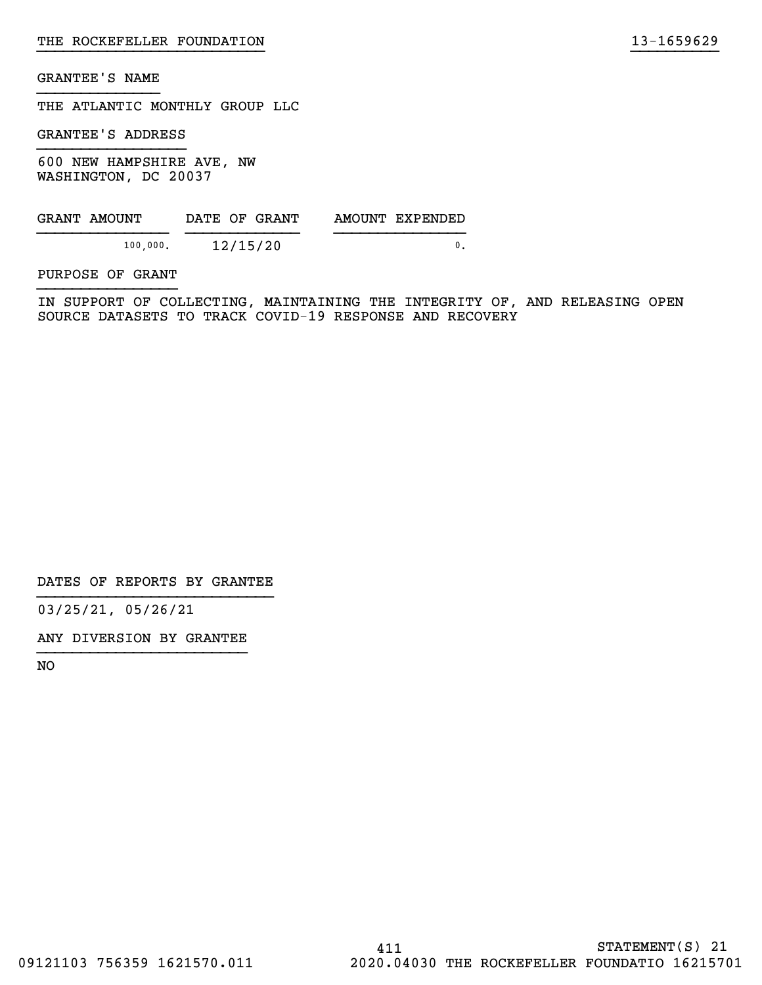THE ATLANTIC MONTHLY GROUP LLC

GRANTEE'S ADDRESS

600 NEW HAMPSHIRE AVE, NW WASHINGTON, DC 20037

| GRANT AMOUNT | DATE OF GRANT | AMOUNT EXPENDED |
|--------------|---------------|-----------------|
| 100,000.     | 12/15/20      |                 |

PURPOSE OF GRANT

IN SUPPORT OF COLLECTING, MAINTAINING THE INTEGRITY OF, AND RELEASING OPEN SOURCE DATASETS TO TRACK COVID-19 RESPONSE AND RECOVERY

}}}}}}}}}}}}}}}}}}}}}}}}}} }}}}}}}}}}

DATES OF REPORTS BY GRANTEE

03/25/21, 05/26/21

ANY DIVERSION BY GRANTEE }}}}}}}}}}}}}}}}}}}}}}}}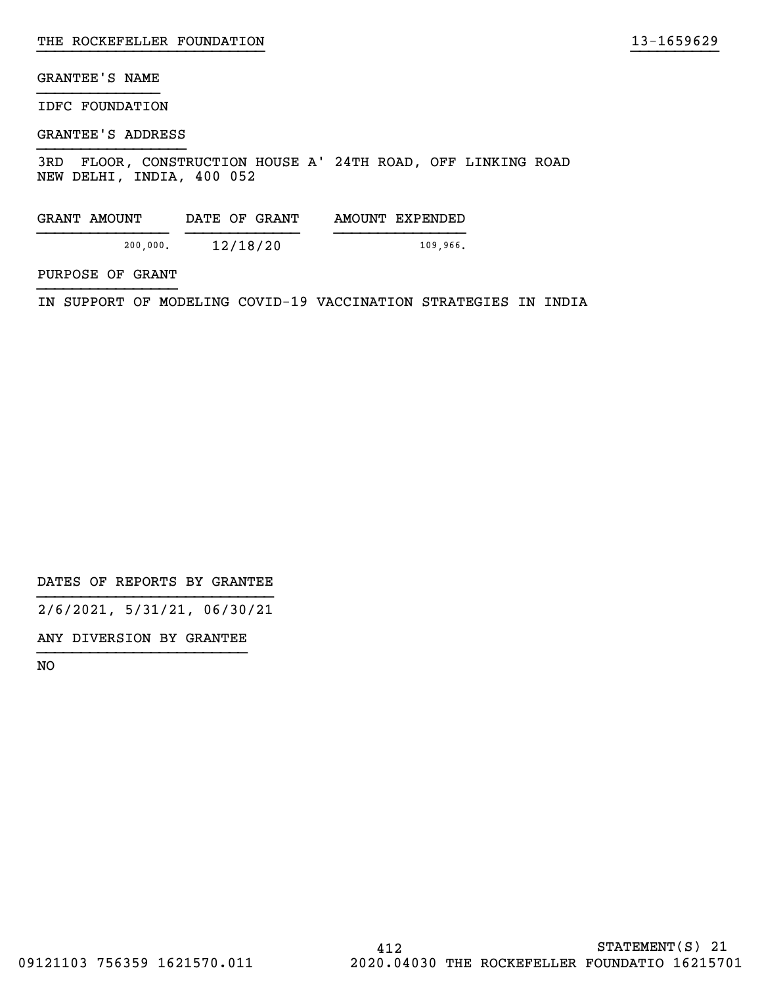IDFC FOUNDATION

#### GRANTEE'S ADDRESS

3RD FLOOR, CONSTRUCTION HOUSE A' 24TH ROAD, OFF LINKING ROAD NEW DELHI, INDIA, 400 052

}}}}}}}}}}}}}}}}}}}}}}}}}} }}}}}}}}}}

| GRANT AMOUNT | DATE OF GRANT | AMOUNT EXPENDED |
|--------------|---------------|-----------------|
|              |               |                 |
| 200,000.     | 12/18/20      | 109.966.        |

PURPOSE OF GRANT

IN SUPPORT OF MODELING COVID-19 VACCINATION STRATEGIES IN INDIA

DATES OF REPORTS BY GRANTEE

2/6/2021, 5/31/21, 06/30/21

ANY DIVERSION BY GRANTEE }}}}}}}}}}}}}}}}}}}}}}}}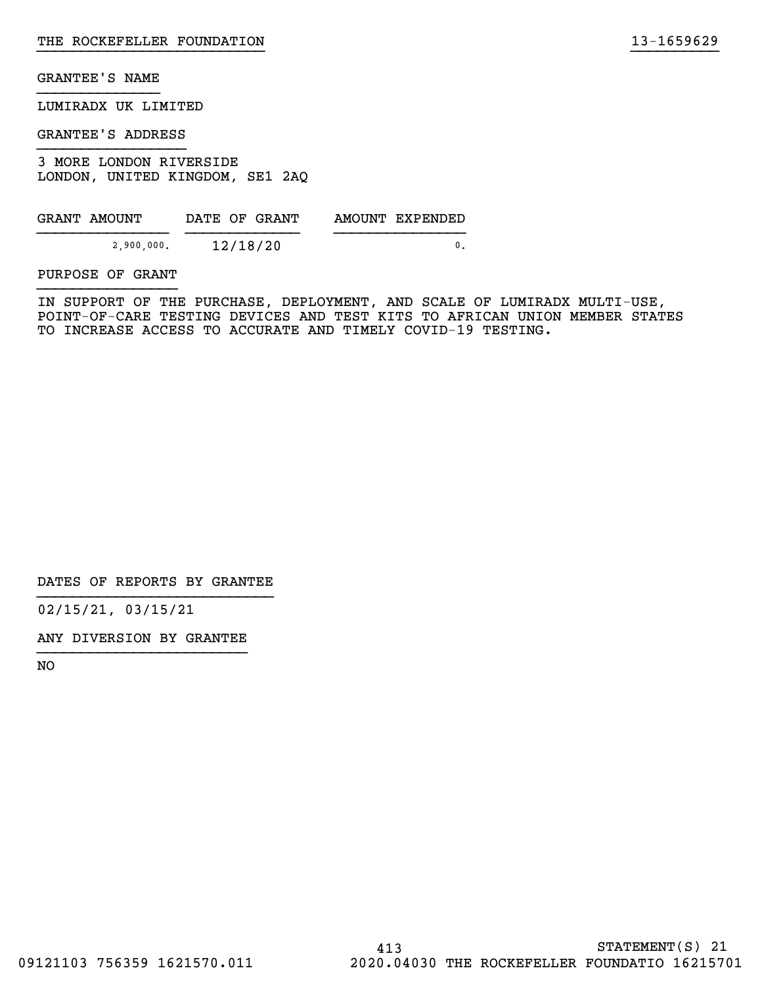LUMIRADX UK LIMITED

GRANTEE'S ADDRESS

3 MORE LONDON RIVERSIDE LONDON, UNITED KINGDOM, SE1 2AQ

| GRANT AMOUNT | DATE OF GRANT | AMOUNT EXPENDED |
|--------------|---------------|-----------------|
| 2,900,000.   | 12/18/20      |                 |

PURPOSE OF GRANT

IN SUPPORT OF THE PURCHASE, DEPLOYMENT, AND SCALE OF LUMIRADX MULTI-USE, POINT-OF-CARE TESTING DEVICES AND TEST KITS TO AFRICAN UNION MEMBER STATES TO INCREASE ACCESS TO ACCURATE AND TIMELY COVID-19 TESTING.

}}}}}}}}}}}}}}}}}}}}}}}}}} }}}}}}}}}}

DATES OF REPORTS BY GRANTEE

02/15/21, 03/15/21

ANY DIVERSION BY GRANTEE }}}}}}}}}}}}}}}}}}}}}}}}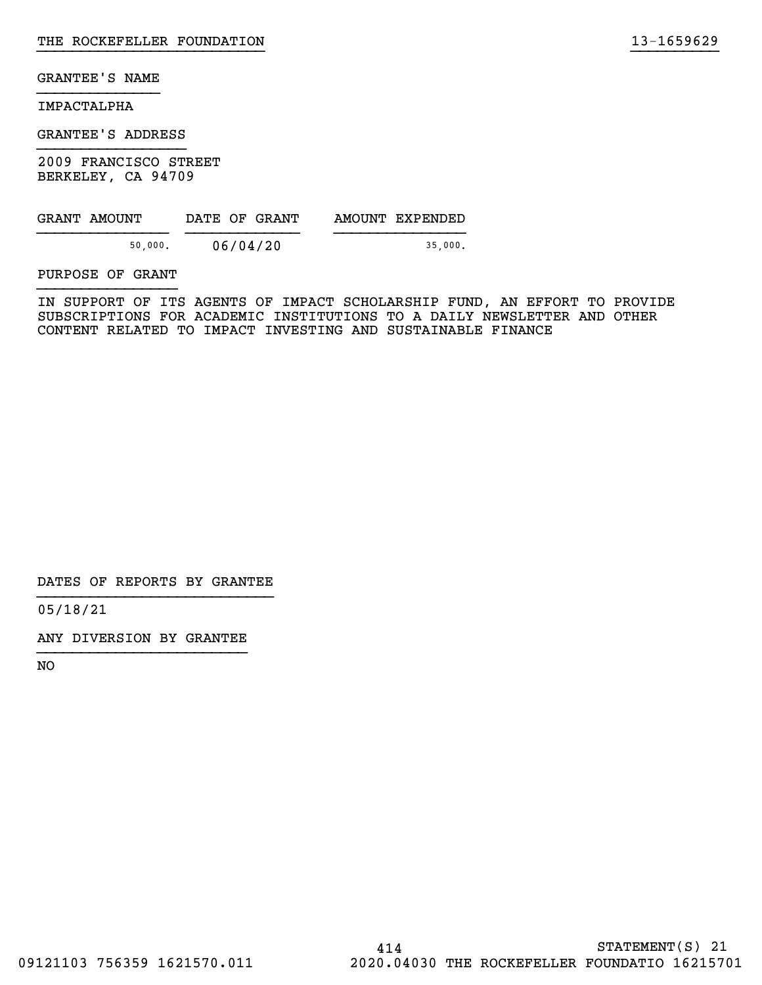#### IMPACTALPHA

GRANTEE'S ADDRESS

2009 FRANCISCO STREET BERKELEY, CA 94709

| GRANT AMOUNT | DATE OF GRANT | AMOUNT EXPENDED |
|--------------|---------------|-----------------|
| 50,000.      | 06/04/20      | 35.000.         |

PURPOSE OF GRANT

IN SUPPORT OF ITS AGENTS OF IMPACT SCHOLARSHIP FUND, AN EFFORT TO PROVIDE SUBSCRIPTIONS FOR ACADEMIC INSTITUTIONS TO A DAILY NEWSLETTER AND OTHER CONTENT RELATED TO IMPACT INVESTING AND SUSTAINABLE FINANCE

}}}}}}}}}}}}}}}}}}}}}}}}}} }}}}}}}}}}

DATES OF REPORTS BY GRANTEE

05/18/21

ANY DIVERSION BY GRANTEE }}}}}}}}}}}}}}}}}}}}}}}}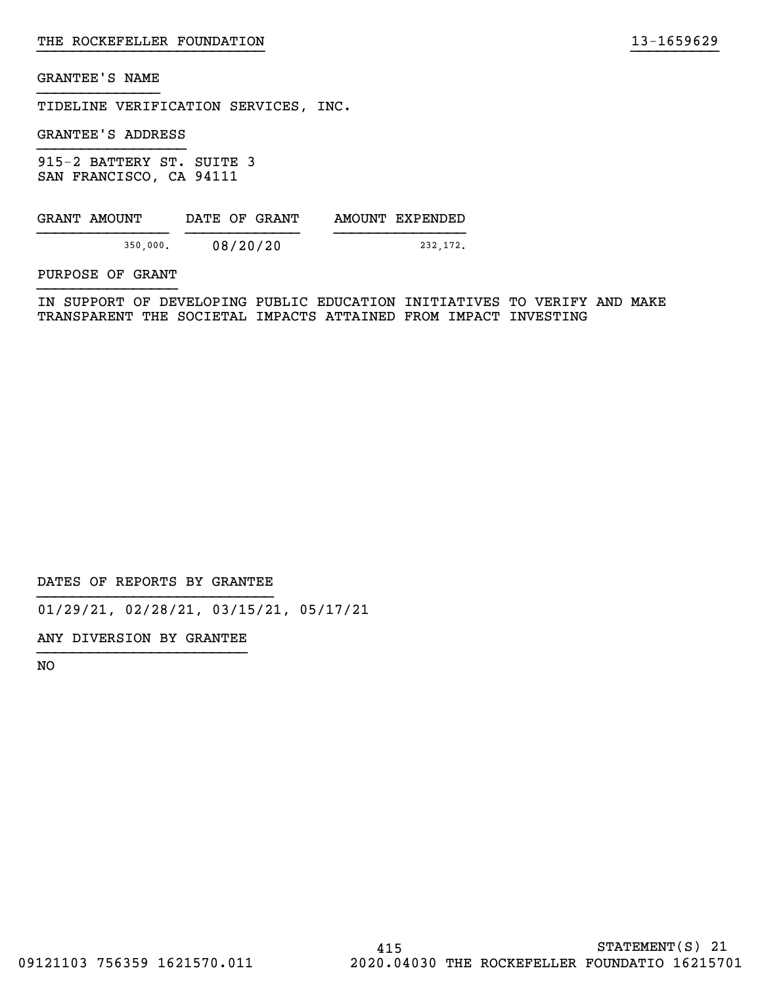TIDELINE VERIFICATION SERVICES, INC.

GRANTEE'S ADDRESS

915-2 BATTERY ST. SUITE 3 SAN FRANCISCO, CA 94111

| GRANT AMOUNT | DATE OF GRANT | AMOUNT EXPENDED |
|--------------|---------------|-----------------|
| 350,000.     | 08/20/20      | 232,172.        |

PURPOSE OF GRANT

IN SUPPORT OF DEVELOPING PUBLIC EDUCATION INITIATIVES TO VERIFY AND MAKE TRANSPARENT THE SOCIETAL IMPACTS ATTAINED FROM IMPACT INVESTING

}}}}}}}}}}}}}}}}}}}}}}}}}} }}}}}}}}}}

DATES OF REPORTS BY GRANTEE

01/29/21, 02/28/21, 03/15/21, 05/17/21

ANY DIVERSION BY GRANTEE }}}}}}}}}}}}}}}}}}}}}}}}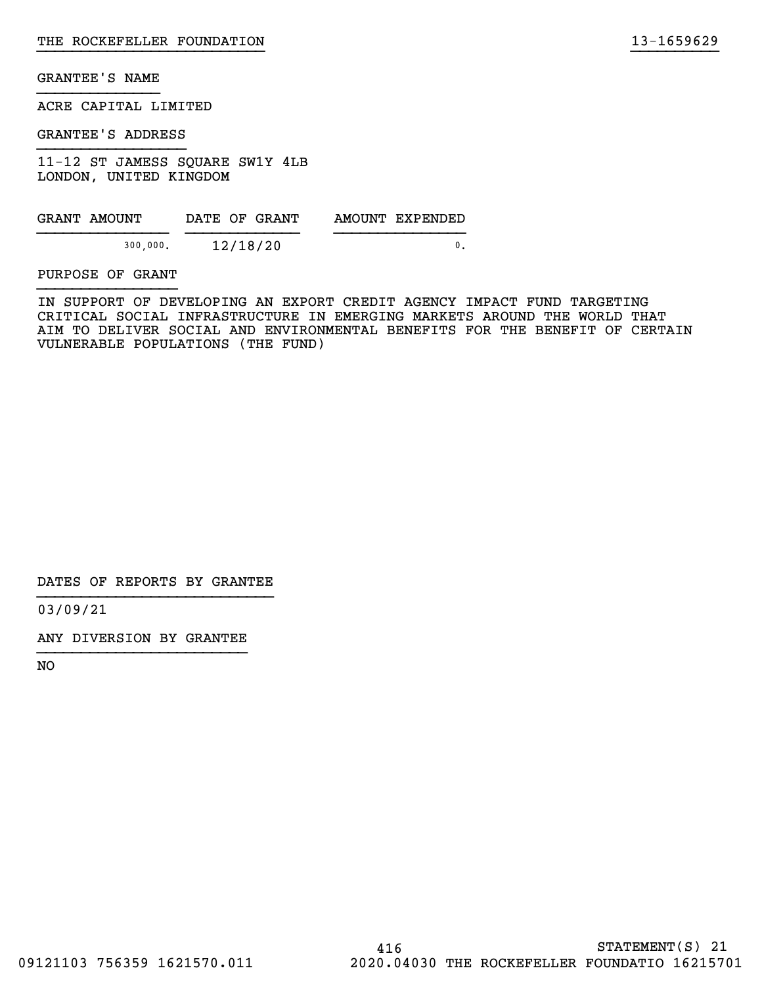ACRE CAPITAL LIMITED

GRANTEE'S ADDRESS

11-12 ST JAMESS SQUARE SW1Y 4LB LONDON, UNITED KINGDOM

| GRANT AMOUNT | DATE OF GRANT | AMOUNT EXPENDED |
|--------------|---------------|-----------------|
| 300,000.     | 12/18/20      |                 |

PURPOSE OF GRANT

IN SUPPORT OF DEVELOPING AN EXPORT CREDIT AGENCY IMPACT FUND TARGETING CRITICAL SOCIAL INFRASTRUCTURE IN EMERGING MARKETS AROUND THE WORLD THAT AIM TO DELIVER SOCIAL AND ENVIRONMENTAL BENEFITS FOR THE BENEFIT OF CERTAIN VULNERABLE POPULATIONS (THE FUND)

}}}}}}}}}}}}}}}}}}}}}}}}}} }}}}}}}}}}

DATES OF REPORTS BY GRANTEE

03/09/21

ANY DIVERSION BY GRANTEE }}}}}}}}}}}}}}}}}}}}}}}}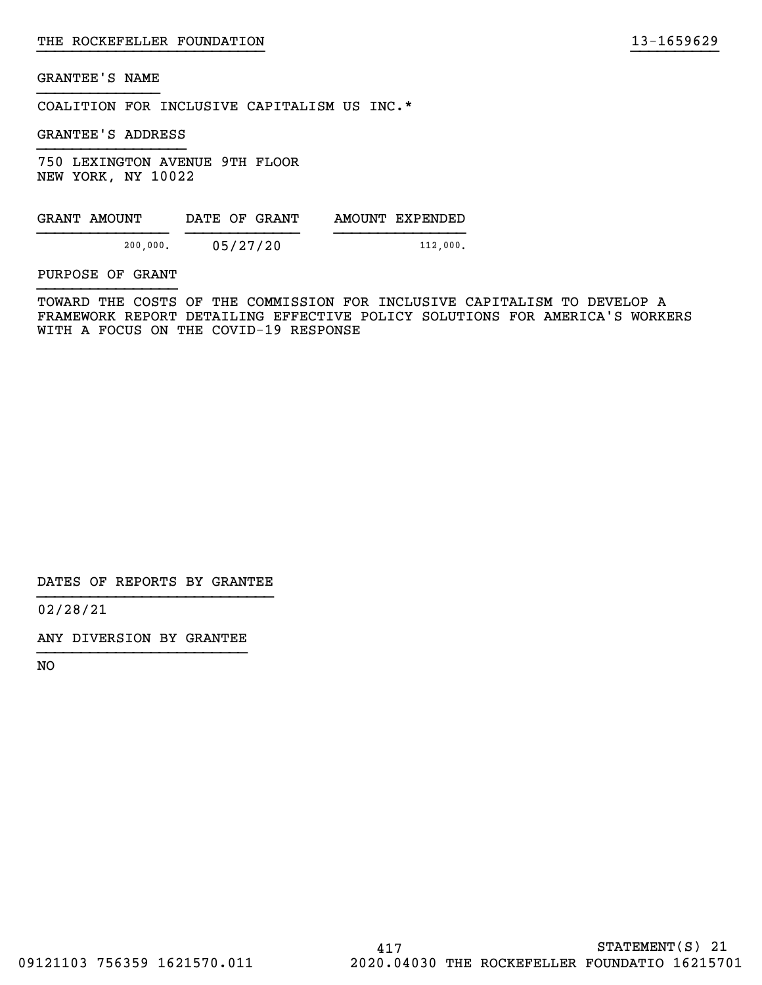COALITION FOR INCLUSIVE CAPITALISM US INC.\*

GRANTEE'S ADDRESS

750 LEXINGTON AVENUE 9TH FLOOR NEW YORK, NY 10022

| GRANT AMOUNT | DATE OF GRANT | AMOUNT EXPENDED |
|--------------|---------------|-----------------|
| 200,000.     | 05/27/20      | 112.000.        |

PURPOSE OF GRANT

TOWARD THE COSTS OF THE COMMISSION FOR INCLUSIVE CAPITALISM TO DEVELOP A FRAMEWORK REPORT DETAILING EFFECTIVE POLICY SOLUTIONS FOR AMERICA'S WORKERS WITH A FOCUS ON THE COVID-19 RESPONSE

}}}}}}}}}}}}}}}}}}}}}}}}}} }}}}}}}}}}

DATES OF REPORTS BY GRANTEE

02/28/21

ANY DIVERSION BY GRANTEE }}}}}}}}}}}}}}}}}}}}}}}}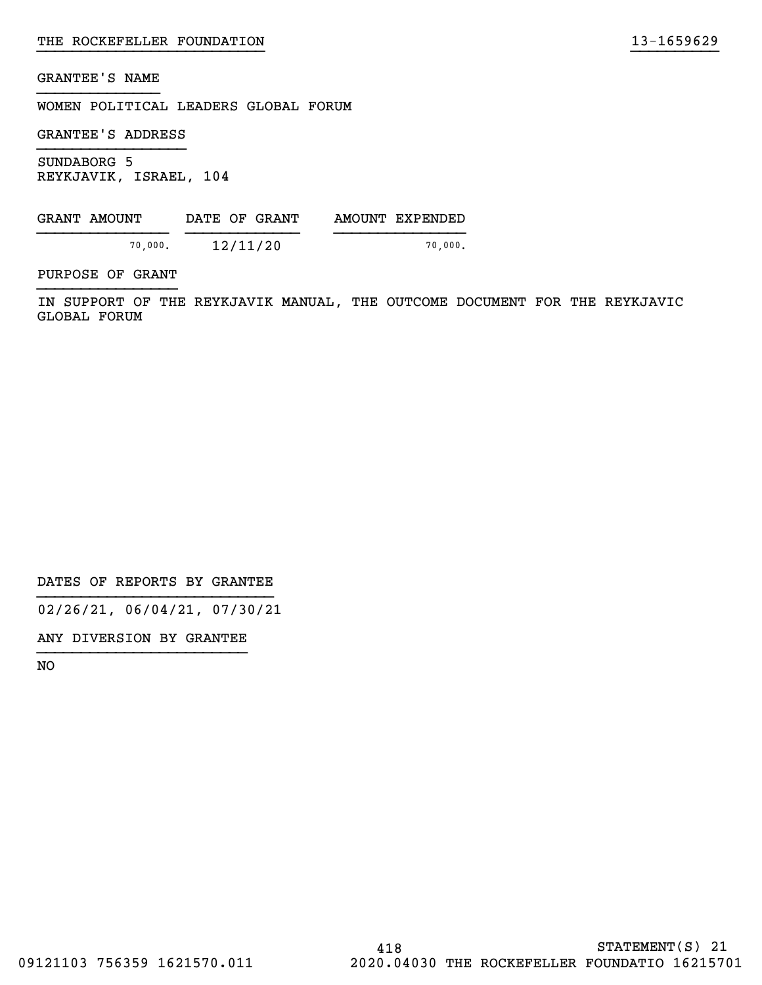WOMEN POLITICAL LEADERS GLOBAL FORUM

GRANTEE'S ADDRESS

SUNDABORG 5 REYKJAVIK, ISRAEL, 104

| GRANT AMOUNT | DATE OF GRANT | AMOUNT EXPENDED |
|--------------|---------------|-----------------|
| 70.000.      | 12/11/20      | 70.000.         |

PURPOSE OF GRANT

IN SUPPORT OF THE REYKJAVIK MANUAL, THE OUTCOME DOCUMENT FOR THE REYKJAVIC GLOBAL FORUM

}}}}}}}}}}}}}}}}}}}}}}}}}} }}}}}}}}}}

DATES OF REPORTS BY GRANTEE

02/26/21, 06/04/21, 07/30/21

ANY DIVERSION BY GRANTEE }}}}}}}}}}}}}}}}}}}}}}}}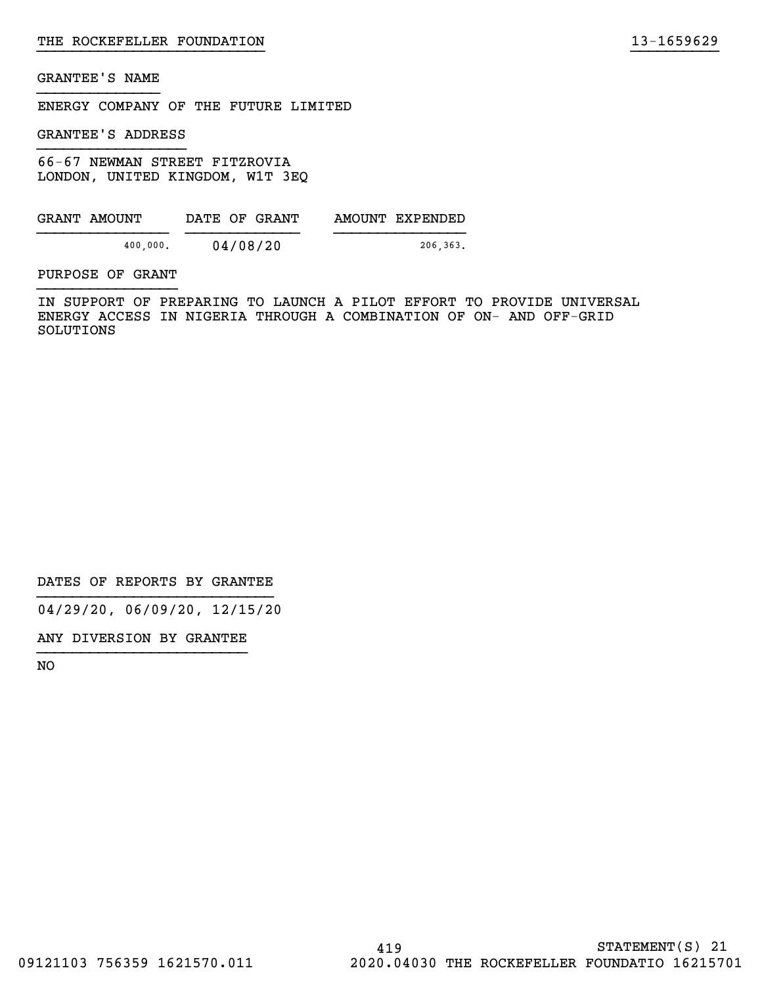ENERGY COMPANY OF THE FUTURE LIMITED

GRANTEE'S ADDRESS

66-67 NEWMAN STREET FITZROVIA LONDON, UNITED KINGDOM, W1T 3EQ

| GRANT AMOUNT | DATE OF GRANT | AMOUNT EXPENDED |
|--------------|---------------|-----------------|
| 400,000.     | 04/08/20      | 206,363.        |

PURPOSE OF GRANT

IN SUPPORT OF PREPARING TO LAUNCH A PILOT EFFORT TO PROVIDE UNIVERSAL ENERGY ACCESS IN NIGERIA THROUGH A COMBINATION OF ON- AND OFF-GRID SOLUTIONS

DATES OF REPORTS BY GRANTEE

04/29/20, 06/09/20, 12/15/20

ANY DIVERSION BY GRANTEE }}}}}}}}}}}}}}}}}}}}}}}}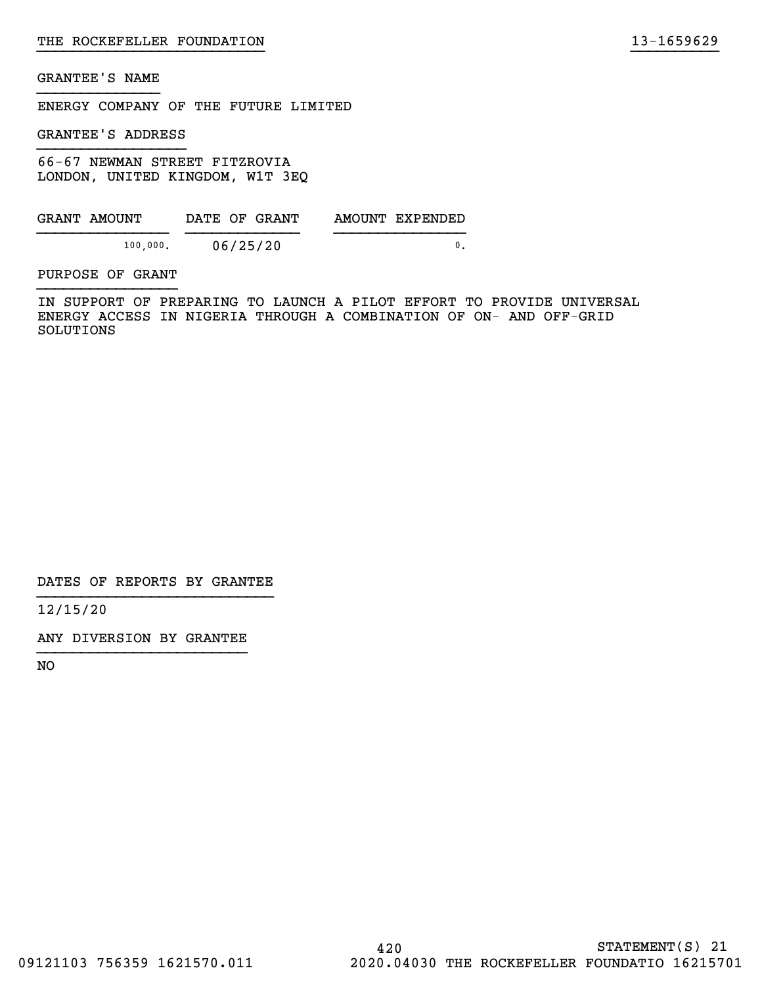ENERGY COMPANY OF THE FUTURE LIMITED

GRANTEE'S ADDRESS

66-67 NEWMAN STREET FITZROVIA LONDON, UNITED KINGDOM, W1T 3EQ

| GRANT AMOUNT | DATE OF GRANT | AMOUNT EXPENDED |
|--------------|---------------|-----------------|
| 100,000.     | 06/25/20      |                 |

PURPOSE OF GRANT

IN SUPPORT OF PREPARING TO LAUNCH A PILOT EFFORT TO PROVIDE UNIVERSAL ENERGY ACCESS IN NIGERIA THROUGH A COMBINATION OF ON- AND OFF-GRID SOLUTIONS

}}}}}}}}}}}}}}}}}}}}}}}}}} }}}}}}}}}}

DATES OF REPORTS BY GRANTEE

12/15/20

ANY DIVERSION BY GRANTEE }}}}}}}}}}}}}}}}}}}}}}}}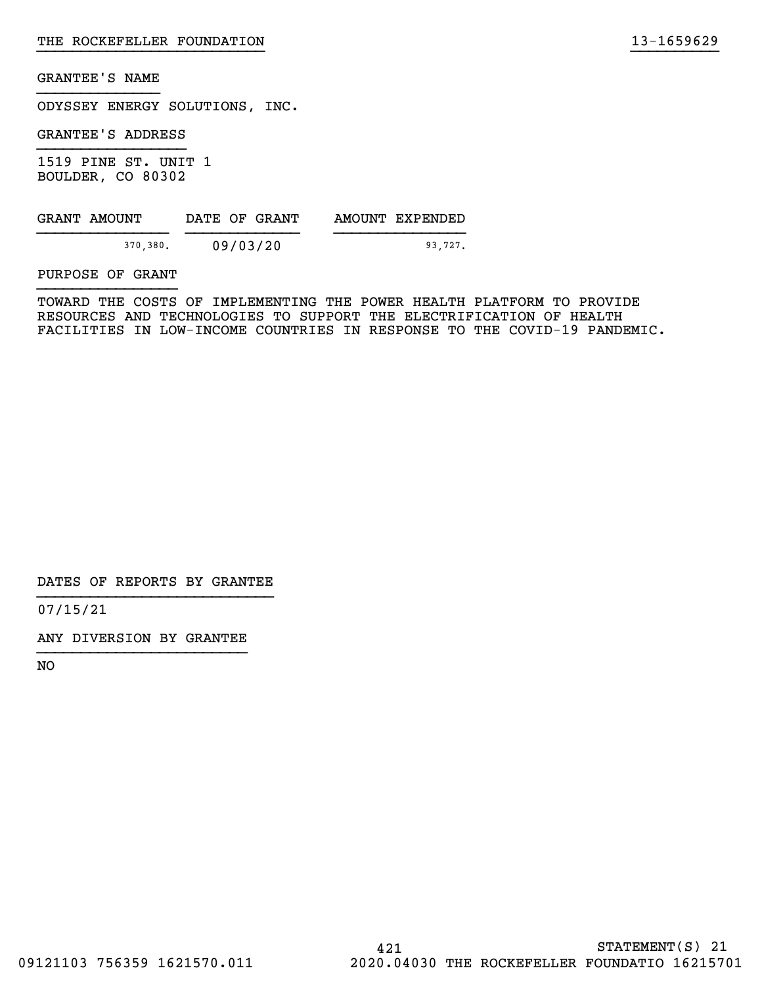ODYSSEY ENERGY SOLUTIONS, INC.

GRANTEE'S ADDRESS

1519 PINE ST. UNIT 1 BOULDER, CO 80302

| GRANT AMOUNT | DATE OF GRANT | AMOUNT EXPENDED |
|--------------|---------------|-----------------|
| 370.380.     | 09/03/20      | 93.727.         |

PURPOSE OF GRANT

TOWARD THE COSTS OF IMPLEMENTING THE POWER HEALTH PLATFORM TO PROVIDE RESOURCES AND TECHNOLOGIES TO SUPPORT THE ELECTRIFICATION OF HEALTH FACILITIES IN LOW-INCOME COUNTRIES IN RESPONSE TO THE COVID-19 PANDEMIC.

}}}}}}}}}}}}}}}}}}}}}}}}}} }}}}}}}}}}

DATES OF REPORTS BY GRANTEE

07/15/21

ANY DIVERSION BY GRANTEE }}}}}}}}}}}}}}}}}}}}}}}}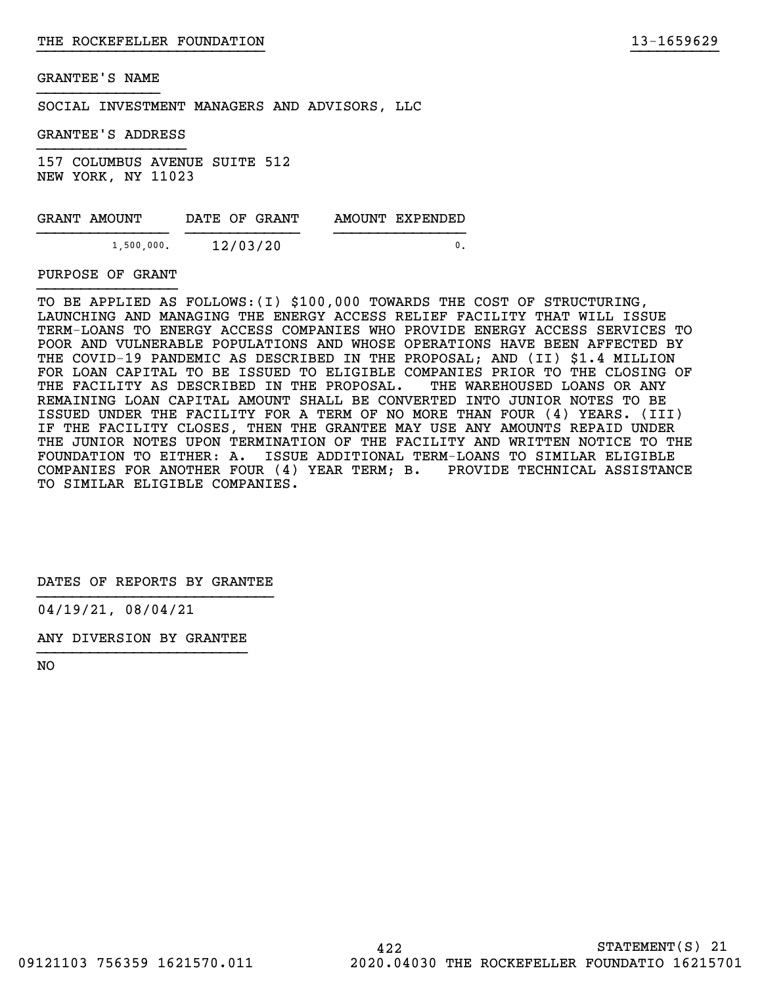SOCIAL INVESTMENT MANAGERS AND ADVISORS, LLC

GRANTEE'S ADDRESS

157 COLUMBUS AVENUE SUITE 512 NEW YORK, NY 11023

| GRANT AMOUNT | DATE OF GRANT | AMOUNT EXPENDED |
|--------------|---------------|-----------------|
| 1,500,000.   | 12/03/20      |                 |

#### PURPOSE OF GRANT

TO BE APPLIED AS FOLLOWS:(I) \$100,000 TOWARDS THE COST OF STRUCTURING, LAUNCHING AND MANAGING THE ENERGY ACCESS RELIEF FACILITY THAT WILL ISSUE TERM-LOANS TO ENERGY ACCESS COMPANIES WHO PROVIDE ENERGY ACCESS SERVICES TO POOR AND VULNERABLE POPULATIONS AND WHOSE OPERATIONS HAVE BEEN AFFECTED BY THE COVID-19 PANDEMIC AS DESCRIBED IN THE PROPOSAL; AND (II) \$1.4 MILLION FOR LOAN CAPITAL TO BE ISSUED TO ELIGIBLE COMPANIES PRIOR TO THE CLOSING OF THE FACILITY AS DESCRIBED IN THE PROPOSAL. THE WAREHOUSED LOANS OR ANY REMAINING LOAN CAPITAL AMOUNT SHALL BE CONVERTED INTO JUNIOR NOTES TO BE ISSUED UNDER THE FACILITY FOR A TERM OF NO MORE THAN FOUR (4) YEARS. (III) IF THE FACILITY CLOSES, THEN THE GRANTEE MAY USE ANY AMOUNTS REPAID UNDER THE JUNIOR NOTES UPON TERMINATION OF THE FACILITY AND WRITTEN NOTICE TO THE FOUNDATION TO EITHER: A. ISSUE ADDITIONAL TERM-LOANS TO SIMILAR ELIGIBLE COMPANIES FOR ANOTHER FOUR (4) YEAR TERM; B. PROVIDE TECHNICAL ASSISTANCE TO SIMILAR ELIGIBLE COMPANIES.

}}}}}}}}}}}}}}}}}}}}}}}}}} }}}}}}}}}}

DATES OF REPORTS BY GRANTEE

04/19/21, 08/04/21

ANY DIVERSION BY GRANTEE }}}}}}}}}}}}}}}}}}}}}}}}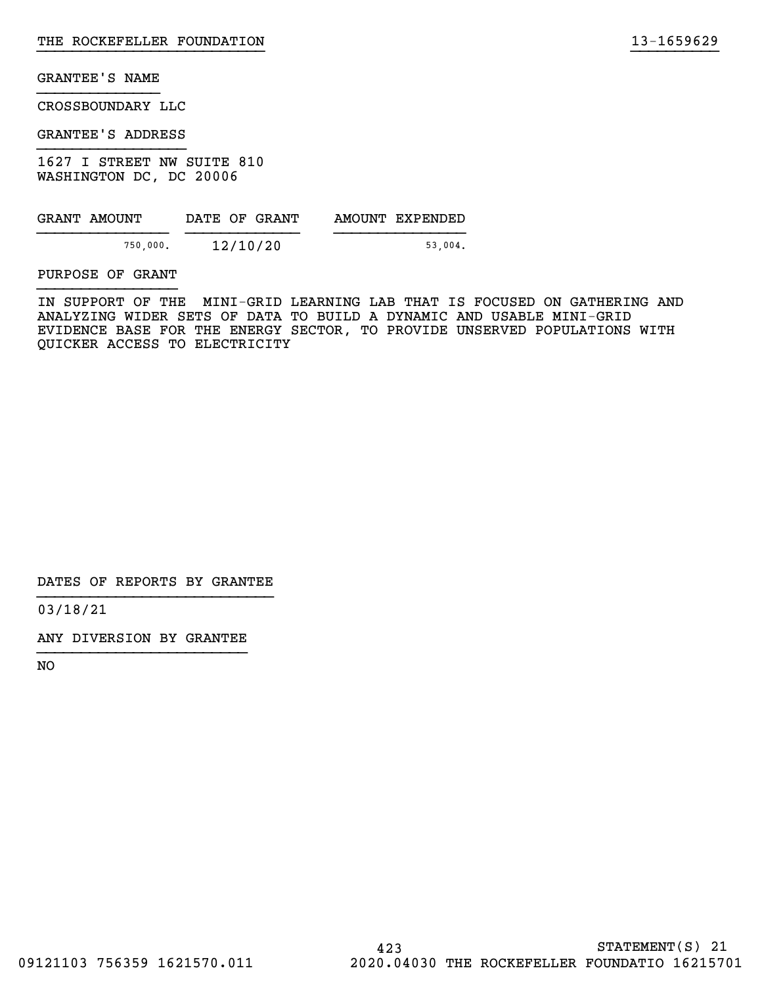CROSSBOUNDARY LLC

GRANTEE'S ADDRESS

1627 I STREET NW SUITE 810 WASHINGTON DC, DC 20006

| GRANT AMOUNT | DATE OF GRANT | AMOUNT EXPENDED |
|--------------|---------------|-----------------|
|              |               |                 |
| 750,000.     | 12/10/20      | 53.004.         |

PURPOSE OF GRANT

IN SUPPORT OF THE MINI-GRID LEARNING LAB THAT IS FOCUSED ON GATHERING AND ANALYZING WIDER SETS OF DATA TO BUILD A DYNAMIC AND USABLE MINI-GRID EVIDENCE BASE FOR THE ENERGY SECTOR, TO PROVIDE UNSERVED POPULATIONS WITH QUICKER ACCESS TO ELECTRICITY

}}}}}}}}}}}}}}}}}}}}}}}}}} }}}}}}}}}}

DATES OF REPORTS BY GRANTEE

03/18/21

ANY DIVERSION BY GRANTEE }}}}}}}}}}}}}}}}}}}}}}}}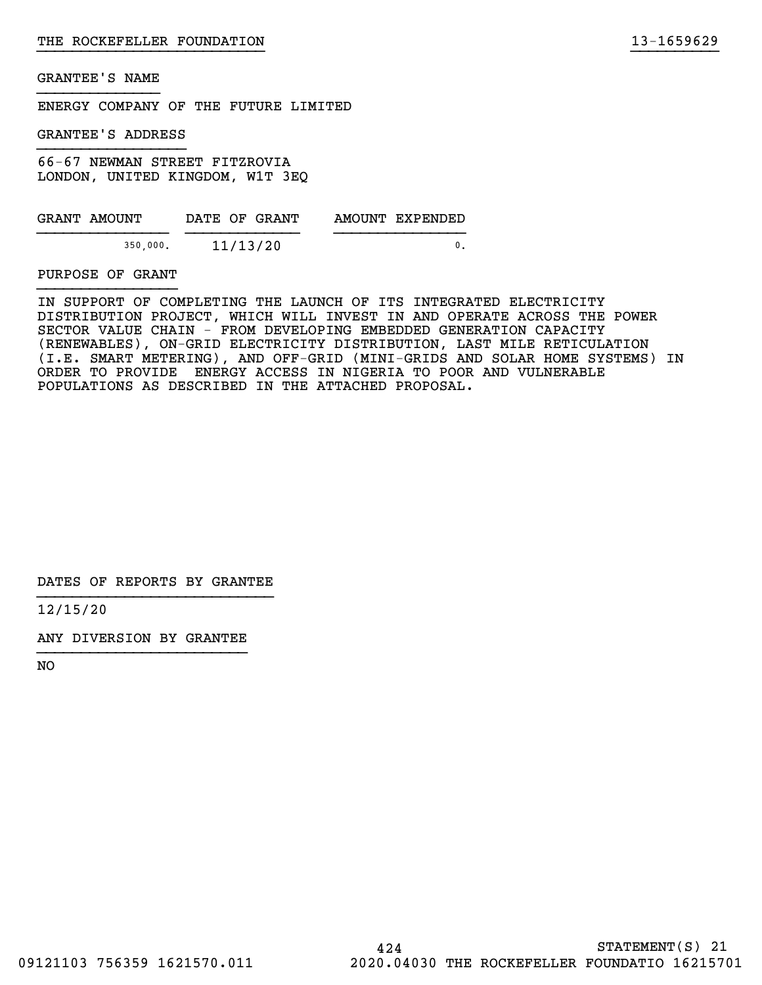ENERGY COMPANY OF THE FUTURE LIMITED

GRANTEE'S ADDRESS

66-67 NEWMAN STREET FITZROVIA LONDON, UNITED KINGDOM, W1T 3EQ

| GRANT AMOUNT | DATE OF GRANT | AMOUNT EXPENDED |
|--------------|---------------|-----------------|
| 350,000.     | 11/13/20      |                 |

PURPOSE OF GRANT

IN SUPPORT OF COMPLETING THE LAUNCH OF ITS INTEGRATED ELECTRICITY DISTRIBUTION PROJECT, WHICH WILL INVEST IN AND OPERATE ACROSS THE POWER SECTOR VALUE CHAIN - FROM DEVELOPING EMBEDDED GENERATION CAPACITY (RENEWABLES), ON-GRID ELECTRICITY DISTRIBUTION, LAST MILE RETICULATION (I.E. SMART METERING), AND OFF-GRID (MINI-GRIDS AND SOLAR HOME SYSTEMS) IN ORDER TO PROVIDE ENERGY ACCESS IN NIGERIA TO POOR AND VULNERABLE POPULATIONS AS DESCRIBED IN THE ATTACHED PROPOSAL.

}}}}}}}}}}}}}}}}}}}}}}}}}} }}}}}}}}}}

DATES OF REPORTS BY GRANTEE

12/15/20

ANY DIVERSION BY GRANTEE }}}}}}}}}}}}}}}}}}}}}}}}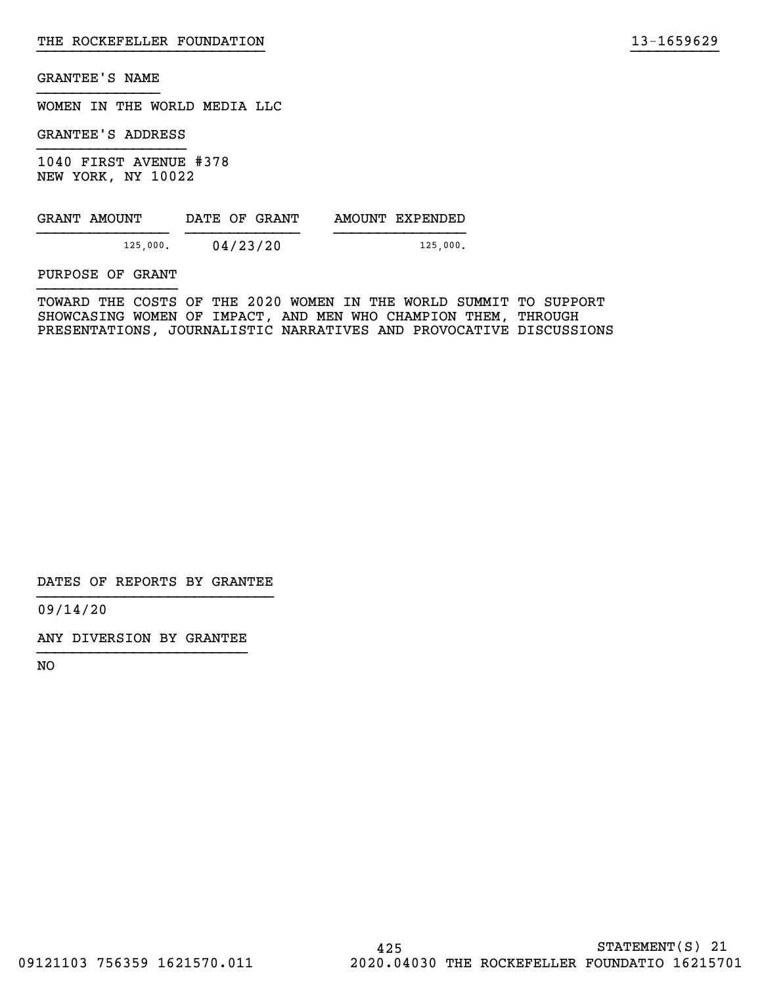WOMEN IN THE WORLD MEDIA LLC

GRANTEE'S ADDRESS

1040 FIRST AVENUE #378 NEW YORK, NY 10022

| GRANT AMOUNT | DATE OF GRANT | AMOUNT EXPENDED |
|--------------|---------------|-----------------|
| 125,000.     | 04/23/20      | 125,000.        |

PURPOSE OF GRANT

TOWARD THE COSTS OF THE 2020 WOMEN IN THE WORLD SUMMIT TO SUPPORT SHOWCASING WOMEN OF IMPACT, AND MEN WHO CHAMPION THEM, THROUGH PRESENTATIONS, JOURNALISTIC NARRATIVES AND PROVOCATIVE DISCUSSIONS

}}}}}}}}}}}}}}}}}}}}}}}}}} }}}}}}}}}}

DATES OF REPORTS BY GRANTEE

09/14/20

ANY DIVERSION BY GRANTEE }}}}}}}}}}}}}}}}}}}}}}}}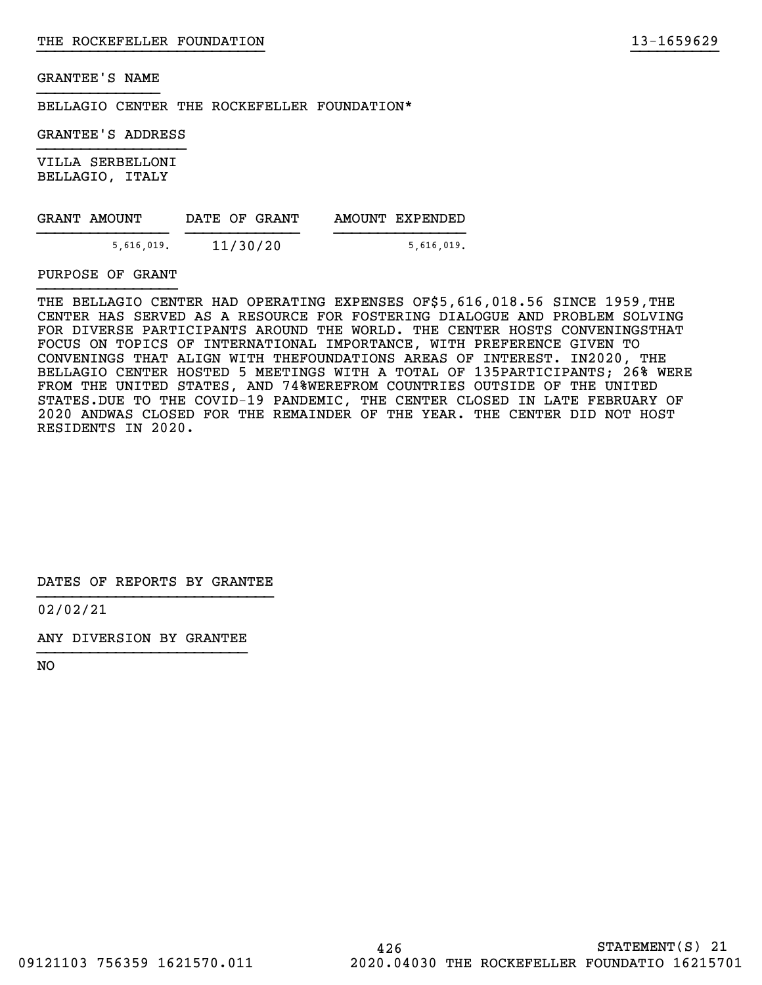BELLAGIO CENTER THE ROCKEFELLER FOUNDATION\*

GRANTEE'S ADDRESS

VILLA SERBELLONI BELLAGIO, ITALY

| GRANT AMOUNT | DATE OF GRANT | AMOUNT EXPENDED |
|--------------|---------------|-----------------|
| 5,616,019.   | 11/30/20      | 5,616,019.      |

PURPOSE OF GRANT

THE BELLAGIO CENTER HAD OPERATING EXPENSES OF\$5,616,018.56 SINCE 1959,THE CENTER HAS SERVED AS A RESOURCE FOR FOSTERING DIALOGUE AND PROBLEM SOLVING FOR DIVERSE PARTICIPANTS AROUND THE WORLD. THE CENTER HOSTS CONVENINGSTHAT FOCUS ON TOPICS OF INTERNATIONAL IMPORTANCE, WITH PREFERENCE GIVEN TO CONVENINGS THAT ALIGN WITH THEFOUNDATIONS AREAS OF INTEREST. IN2020, THE BELLAGIO CENTER HOSTED 5 MEETINGS WITH A TOTAL OF 135PARTICIPANTS; 26% WERE FROM THE UNITED STATES, AND 74%WEREFROM COUNTRIES OUTSIDE OF THE UNITED STATES.DUE TO THE COVID-19 PANDEMIC, THE CENTER CLOSED IN LATE FEBRUARY OF 2020 ANDWAS CLOSED FOR THE REMAINDER OF THE YEAR. THE CENTER DID NOT HOST RESIDENTS IN 2020.

}}}}}}}}}}}}}}}}}}}}}}}}}} }}}}}}}}}}

DATES OF REPORTS BY GRANTEE

02/02/21

ANY DIVERSION BY GRANTEE }}}}}}}}}}}}}}}}}}}}}}}}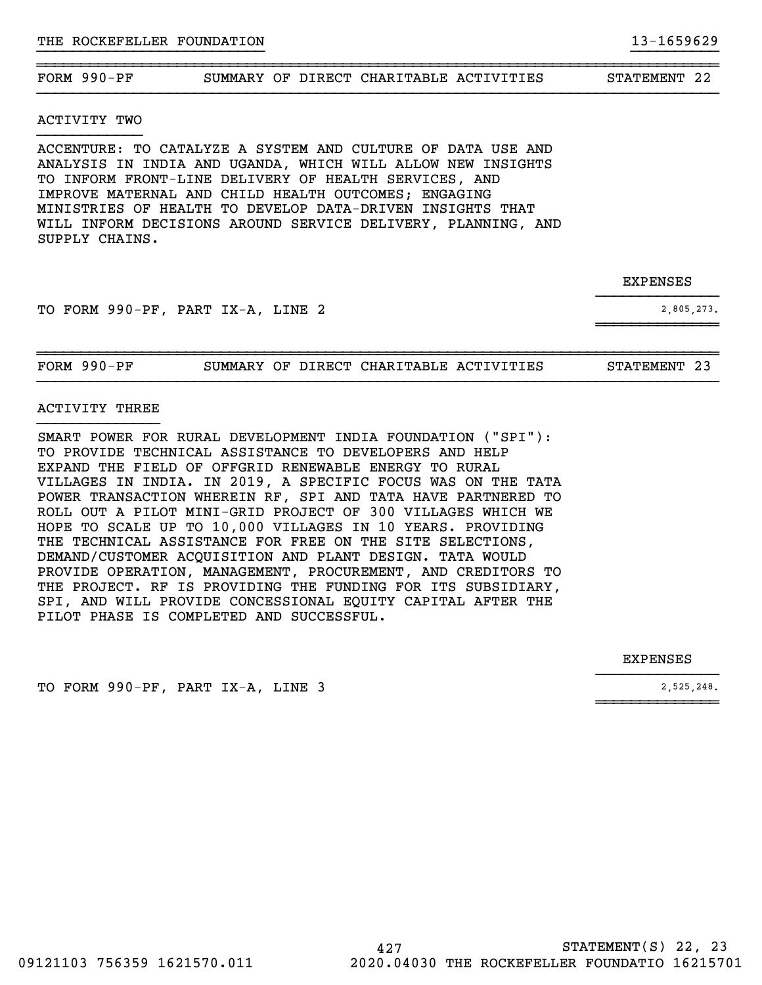#### ~~~~~~~~~~~~~~~~~~~~~~~~~~~~~~~~~~~~~~~~~~~~~~~~~~~~~~~~~~~~~~~~~~~~~~~~~~~~~~FORM 990-PF SUMMARY OF DIRECT CHARITABLE ACTIVITIES STATEMENT 22

}}}}}}}}}}}}}}}}}}}}}}}}}} }}}}}}}}}}

#### ACTIVITY TWO

ACCENTURE: TO CATALYZE A SYSTEM AND CULTURE OF DATA USE AND ANALYSIS IN INDIA AND UGANDA, WHICH WILL ALLOW NEW INSIGHTS TO INFORM FRONT-LINE DELIVERY OF HEALTH SERVICES, AND IMPROVE MATERNAL AND CHILD HEALTH OUTCOMES; ENGAGING MINISTRIES OF HEALTH TO DEVELOP DATA-DRIVEN INSIGHTS THAT WILL INFORM DECISIONS AROUND SERVICE DELIVERY, PLANNING, AND SUPPLY CHAINS.

| <b>EXPENSES</b> |
|-----------------|
|                 |

TO FORM 990-PF, PART IX-A, LINE 2 2,805,273.

| FORM | 990-PF | SUMMARY |  | OF DIRECT CHARITABLE ACTIVITIES | STATEMENT |  |
|------|--------|---------|--|---------------------------------|-----------|--|

}}}}}}}}}}}}}}

 $~\sim$   $~\sim$   $~\sim$   $~\sim$   $~\sim$   $~\sim$   $~\sim$   $~\sim$   $~\sim$   $~\sim$   $~\sim$   $~\sim$   $~\sim$   $~\sim$   $~\sim$   $~\sim$   $~\sim$   $~\sim$   $~\sim$   $~\sim$   $~\sim$   $~\sim$   $~\sim$   $~\sim$   $~\sim$   $~\sim$   $~\sim$   $~\sim$   $~\sim$   $~\sim$   $~\sim$   $~\sim$   $~\sim$   $~\sim$   $~\sim$   $~\sim$   $~\sim$ 

}}}}}}}}}}}}}}

 $~\sim$   $~\sim$   $~\sim$   $~\sim$   $~\sim$   $~\sim$   $~\sim$   $~\sim$   $~\sim$   $~\sim$   $~\sim$   $~\sim$   $~\sim$   $~\sim$   $~\sim$   $~\sim$   $~\sim$   $~\sim$   $~\sim$   $~\sim$   $~\sim$   $~\sim$   $~\sim$   $~\sim$   $~\sim$   $~\sim$   $~\sim$   $~\sim$   $~\sim$   $~\sim$   $~\sim$   $~\sim$   $~\sim$   $~\sim$   $~\sim$   $~\sim$   $~\sim$ 

#### ACTIVITY THREE

SMART POWER FOR RURAL DEVELOPMENT INDIA FOUNDATION ("SPI"): TO PROVIDE TECHNICAL ASSISTANCE TO DEVELOPERS AND HELP EXPAND THE FIELD OF OFFGRID RENEWABLE ENERGY TO RURAL VILLAGES IN INDIA. IN 2019, A SPECIFIC FOCUS WAS ON THE TATA POWER TRANSACTION WHEREIN RF, SPI AND TATA HAVE PARTNERED TO ROLL OUT A PILOT MINI-GRID PROJECT OF 300 VILLAGES WHICH WE HOPE TO SCALE UP TO 10,000 VILLAGES IN 10 YEARS. PROVIDING THE TECHNICAL ASSISTANCE FOR FREE ON THE SITE SELECTIONS, DEMAND/CUSTOMER ACQUISITION AND PLANT DESIGN. TATA WOULD PROVIDE OPERATION, MANAGEMENT, PROCUREMENT, AND CREDITORS TO THE PROJECT. RF IS PROVIDING THE FUNDING FOR ITS SUBSIDIARY, SPI, AND WILL PROVIDE CONCESSIONAL EQUITY CAPITAL AFTER THE PILOT PHASE IS COMPLETED AND SUCCESSFUL.

#### EXPENSES

TO FORM 990-PF, PART IX-A, LINE 3 2,525,248.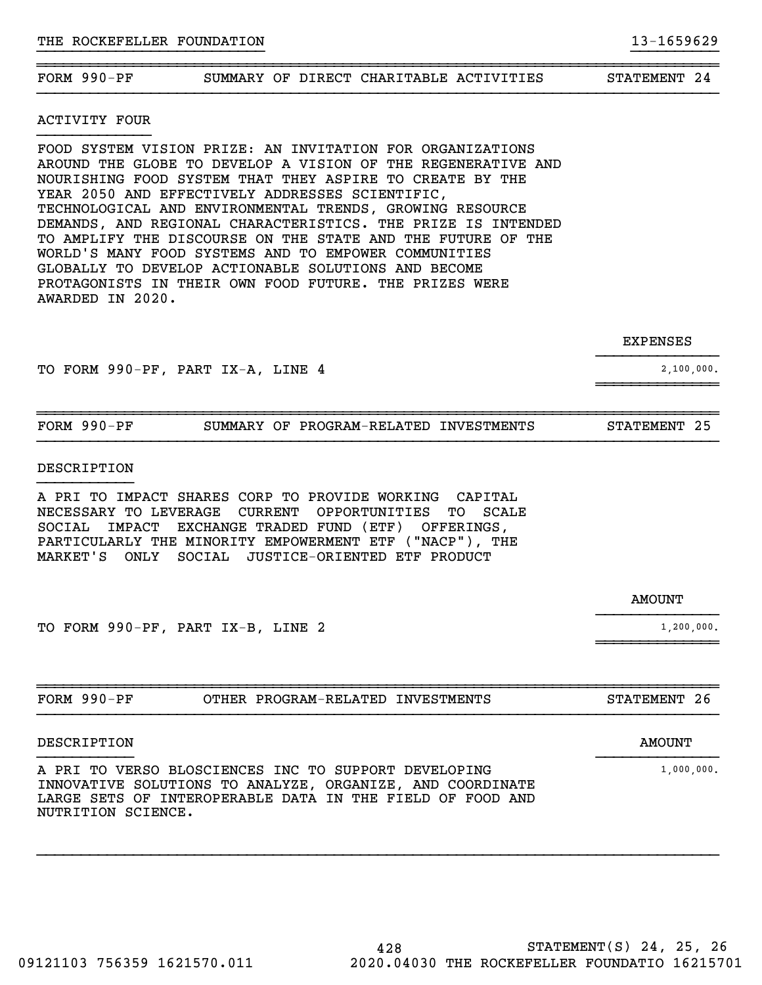ACTIVITY FOUR }}}}}}}}}}}}}

FOOD SYSTEM VISION PRIZE: AN INVITATION FOR ORGANIZATIONS AROUND THE GLOBE TO DEVELOP A VISION OF THE REGENERATIVE AND NOURISHING FOOD SYSTEM THAT THEY ASPIRE TO CREATE BY THE YEAR 2050 AND EFFECTIVELY ADDRESSES SCIENTIFIC, TECHNOLOGICAL AND ENVIRONMENTAL TRENDS, GROWING RESOURCE DEMANDS, AND REGIONAL CHARACTERISTICS. THE PRIZE IS INTENDED TO AMPLIFY THE DISCOURSE ON THE STATE AND THE FUTURE OF THE WORLD'S MANY FOOD SYSTEMS AND TO EMPOWER COMMUNITIES GLOBALLY TO DEVELOP ACTIONABLE SOLUTIONS AND BECOME PROTAGONISTS IN THEIR OWN FOOD FUTURE. THE PRIZES WERE AWARDED IN 2020.

TO FORM 990-PF, PART IX-A, LINE 4 2,100,000.

| $FORM 990-PF$ | SUMMARY OF PROGRAM-RELATED INVESTMENTS | STATEMENT 25 |
|---------------|----------------------------------------|--------------|
|               |                                        |              |

 $~\sim$   $~\sim$   $~\sim$   $~\sim$   $~\sim$   $~\sim$   $~\sim$   $~\sim$   $~\sim$   $~\sim$   $~\sim$   $~\sim$   $~\sim$   $~\sim$   $~\sim$   $~\sim$   $~\sim$   $~\sim$   $~\sim$   $~\sim$   $~\sim$   $~\sim$   $~\sim$   $~\sim$   $~\sim$   $~\sim$   $~\sim$   $~\sim$   $~\sim$   $~\sim$   $~\sim$   $~\sim$   $~\sim$   $~\sim$   $~\sim$   $~\sim$   $~\sim$ 

#### DESCRIPTION

A PRI TO IMPACT SHARES CORP TO PROVIDE WORKING CAPITAL NECESSARY TO LEVERAGE CURRENT OPPORTUNITIES TO SCALE SOCIAL IMPACT EXCHANGE TRADED FUND (ETF) OFFERINGS, PARTICULARLY THE MINORITY EMPOWERMENT ETF ("NACP"), THE MARKET'S ONLY SOCIAL JUSTICE-ORIENTED ETF PRODUCT

 }}}}}}}}}}}}}} TO FORM 990-PF, PART IX-B, LINE 2 1,200,000.

~~~~~~~~~~~~~~~~~~~~~~~~~~~~~~~~~~~~~~~~~~~~~~~~~~~~~~~~~~~~~~~~~~~~~~~~~~~~~~FORM 990-PF OTHER PROGRAM-RELATED INVESTMENTS STATEMENT 26

}}}}}}}}}}} }}}}}}}}}}}}}}

 $~\sim$   $~\sim$   $~\sim$   $~\sim$   $~\sim$   $~\sim$   $~\sim$   $~\sim$   $~\sim$   $~\sim$   $~\sim$   $~\sim$   $~\sim$   $~\sim$   $~\sim$   $~\sim$   $~\sim$   $~\sim$   $~\sim$   $~\sim$   $~\sim$   $~\sim$   $~\sim$   $~\sim$   $~\sim$   $~\sim$   $~\sim$   $~\sim$   $~\sim$   $~\sim$   $~\sim$   $~\sim$   $~\sim$   $~\sim$   $~\sim$   $~\sim$   $~\sim$ 

# DESCRIPTION AMOUNT

A PRI TO VERSO BLOSCIENCES INC TO SUPPORT DEVELOPING 1 1,000,000. INNOVATIVE SOLUTIONS TO ANALYZE, ORGANIZE, AND COORDINATE LARGE SETS OF INTEROPERABLE DATA IN THE FIELD OF FOOD AND NUTRITION SCIENCE.

FORM 990-PF SUMMARY OF DIRECT CHARITABLE ACTIVITIES STATEMENT 24

 EXPENSES }}}}}}}}}}}}}}

~~~~~~~~~~~~~~~~~~~~~~~~~~~~~~~~~~~~~~~~~~~~~~~~~~~~~~~~~~~~~~~~~~~~~~~~~~~~~~

AMOUNT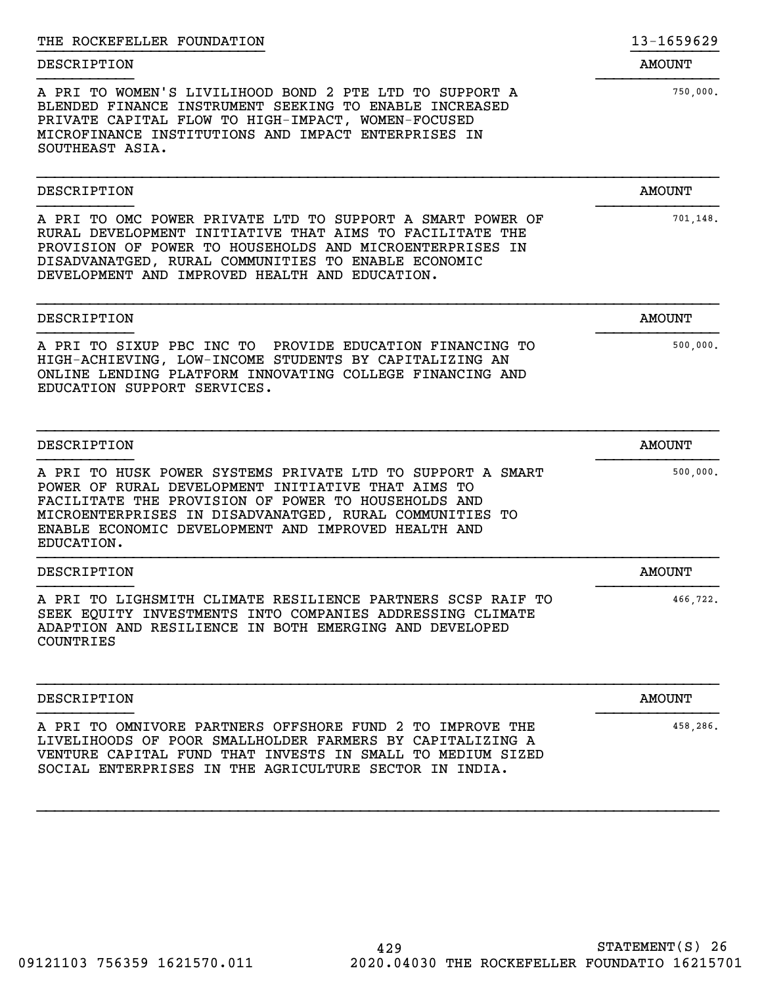| THE ROCKEFELLER FOUNDATION                                                                                                                                                                                                                                                                              | 13-1659629    |
|---------------------------------------------------------------------------------------------------------------------------------------------------------------------------------------------------------------------------------------------------------------------------------------------------------|---------------|
| DESCRIPTION                                                                                                                                                                                                                                                                                             | <b>AMOUNT</b> |
| A PRI TO WOMEN'S LIVILIHOOD BOND 2 PTE LTD TO SUPPORT A<br>BLENDED FINANCE INSTRUMENT SEEKING TO ENABLE INCREASED<br>PRIVATE CAPITAL FLOW TO HIGH-IMPACT, WOMEN-FOCUSED<br>MICROFINANCE INSTITUTIONS AND IMPACT ENTERPRISES IN<br>SOUTHEAST ASIA.                                                       | 750,000.      |
| DESCRIPTION                                                                                                                                                                                                                                                                                             | <b>AMOUNT</b> |
| A PRI TO OMC POWER PRIVATE LTD TO SUPPORT A SMART POWER OF<br>RURAL DEVELOPMENT INITIATIVE THAT AIMS TO FACILITATE THE<br>PROVISION OF POWER TO HOUSEHOLDS AND MICROENTERPRISES IN<br>DISADVANATGED, RURAL COMMUNITIES TO ENABLE ECONOMIC<br>DEVELOPMENT AND IMPROVED HEALTH AND EDUCATION.             | 701,148.      |
| DESCRIPTION                                                                                                                                                                                                                                                                                             | <b>AMOUNT</b> |
| A PRI TO SIXUP PBC INC TO PROVIDE EDUCATION FINANCING TO<br>HIGH-ACHIEVING, LOW-INCOME STUDENTS BY CAPITALIZING AN<br>ONLINE LENDING PLATFORM INNOVATING COLLEGE FINANCING AND<br>EDUCATION SUPPORT SERVICES.                                                                                           | 500,000.      |
| DESCRIPTION                                                                                                                                                                                                                                                                                             | <b>AMOUNT</b> |
| A PRI TO HUSK POWER SYSTEMS PRIVATE LTD TO SUPPORT A SMART<br>POWER OF RURAL DEVELOPMENT INITIATIVE THAT AIMS TO<br>FACILITATE THE PROVISION OF POWER TO HOUSEHOLDS AND<br>MICROENTERPRISES IN DISADVANATGED, RURAL COMMUNITIES TO<br>ENABLE ECONOMIC DEVELOPMENT AND IMPROVED HEALTH AND<br>EDUCATION. | 500,000.      |
| DESCRIPTION                                                                                                                                                                                                                                                                                             | <b>AMOUNT</b> |
| A PRI TO LIGHSMITH CLIMATE RESILIENCE PARTNERS SCSP RAIF TO<br>SEEK EQUITY INVESTMENTS INTO COMPANIES ADDRESSING CLIMATE<br>ADAPTION AND RESILIENCE IN BOTH EMERGING AND DEVELOPED<br>COUNTRIES                                                                                                         | 466,722.      |
| DESCRIPTION                                                                                                                                                                                                                                                                                             | <b>AMOUNT</b> |
| A PRI TO OMNIVORE PARTNERS OFFSHORE FUND 2 TO IMPROVE THE<br>LIVELIHOODS OF POOR SMALLHOLDER FARMERS BY CAPITALIZING A<br>VENTURE CAPITAL FUND THAT INVESTS IN SMALL TO MEDIUM SIZED<br>SOCIAL ENTERPRISES IN THE AGRICULTURE SECTOR IN INDIA.                                                          | 458,286.      |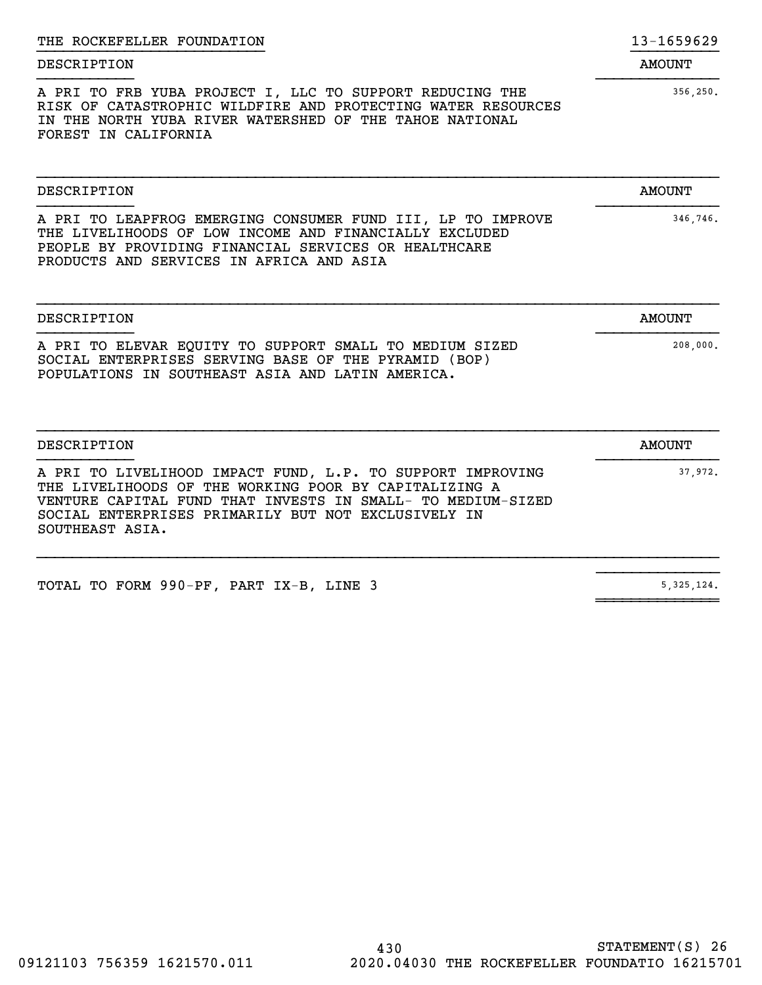| A PRI TO FRB YUBA PROJECT I, LLC TO SUPPORT REDUCING THE<br>RISK OF CATASTROPHIC WILDFIRE AND PROTECTING WATER RESOURCES<br>IN THE NORTH YUBA RIVER WATERSHED OF THE TAHOE NATIONAL<br>FOREST IN CALIFORNIA                               | 356, 250.     |
|-------------------------------------------------------------------------------------------------------------------------------------------------------------------------------------------------------------------------------------------|---------------|
| DESCRIPTION                                                                                                                                                                                                                               | <b>AMOUNT</b> |
| A PRI TO LEAPFROG EMERGING CONSUMER FUND III, LP TO IMPROVE<br>THE LIVELIHOODS OF LOW INCOME AND FINANCIALLY EXCLUDED<br>PEOPLE BY PROVIDING FINANCIAL SERVICES OR HEALTHCARE<br>PRODUCTS AND SERVICES IN AFRICA AND ASIA                 | 346,746.      |
| <b>DESCRIPTION</b>                                                                                                                                                                                                                        | <b>AMOUNT</b> |
| A PRI TO ELEVAR EQUITY TO SUPPORT SMALL TO MEDIUM SIZED<br>SOCIAL ENTERPRISES SERVING BASE OF THE PYRAMID (BOP)<br>POPULATIONS IN SOUTHEAST ASIA AND LATIN AMERICA.                                                                       | 208,000.      |
| <b>DESCRIPTION</b>                                                                                                                                                                                                                        | <b>AMOUNT</b> |
| A PRI TO LIVELIHOOD IMPACT FUND, L.P. TO SUPPORT IMPROVING<br>THE LIVELIHOODS OF THE WORKING POOR BY CAPITALIZING A<br>VENTURE CAPITAL FUND THAT INVESTS IN SMALL- TO MEDIUM-SIZED<br>SOCIAL ENTERPRISES PRIMARILY BUT NOT EXCLUSIVELY IN | 37.972.       |

 $~\sim$   $~\sim$   $~\sim$   $~\sim$   $~\sim$   $~\sim$   $~\sim$   $~\sim$   $~\sim$   $~\sim$   $~\sim$   $~\sim$   $~\sim$   $~\sim$   $~\sim$   $~\sim$   $~\sim$   $~\sim$   $~\sim$   $~\sim$   $~\sim$   $~\sim$   $~\sim$   $~\sim$   $~\sim$   $~\sim$   $~\sim$   $~\sim$   $~\sim$   $~\sim$   $~\sim$   $~\sim$   $~\sim$   $~\sim$   $~\sim$   $~\sim$   $~\sim$ 

DESCRIPTION AMOUNT

THE ROCKEFELLER FOUNDATION 13-1659629 }}}}}}}}}}}}}}}}}}}}}}}}}} }}}}}}}}}}

TOTAL TO FORM 990-PF, PART  $IX-B$ , LINE 3 5,325,124.

SOUTHEAST ASIA.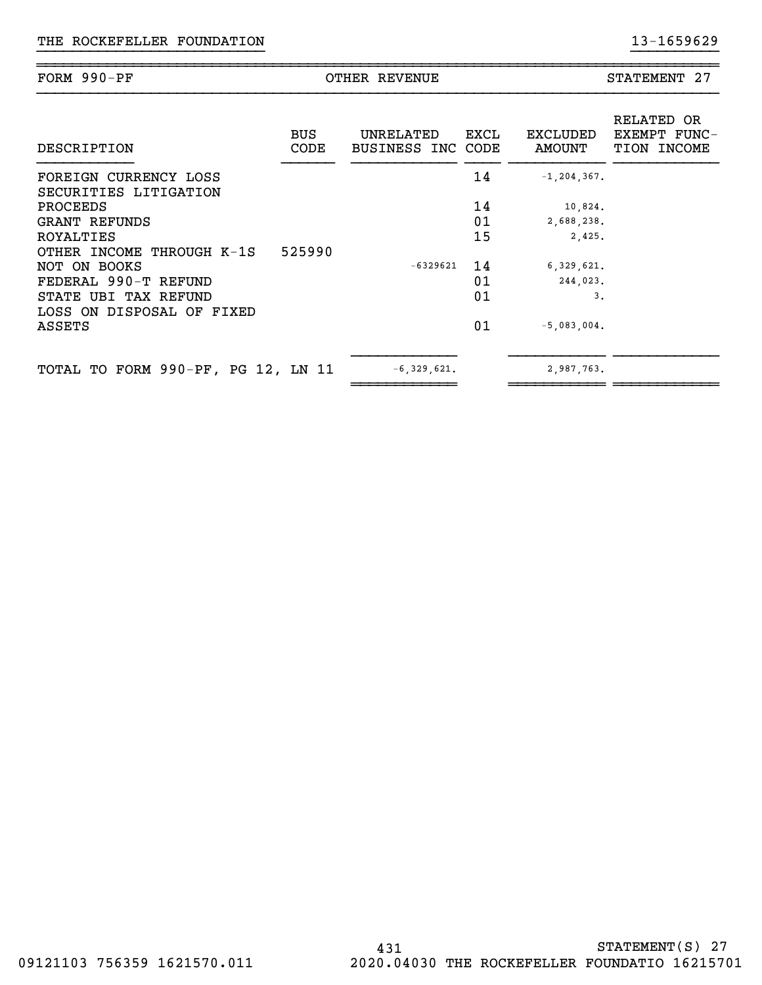| $990-PP$<br>FORM<br>- - | R H.V<br>U۳<br>7 H.NI | <b>CIMAI</b><br>---<br>мн<br>: NH |
|-------------------------|-----------------------|-----------------------------------|
|                         |                       |                                   |

}}}}}}}}}}}}}}}}}}}}}}}}}} }}}}}}}}}}

| DESCRIPTION                        | <b>BUS</b><br><b>CODE</b> | UNRELATED<br>BUSINESS INC CODE | EXCL | EXCLUDED<br>AMOUNT | RELATED OR<br>EXEMPT FUNC-<br>TION INCOME |
|------------------------------------|---------------------------|--------------------------------|------|--------------------|-------------------------------------------|
| FOREIGN CURRENCY LOSS              |                           |                                | 14   | $-1, 204, 367.$    |                                           |
| SECURITIES LITIGATION              |                           |                                |      |                    |                                           |
| PROCEEDS                           |                           |                                | 14   | 10,824.            |                                           |
| GRANT REFUNDS                      |                           |                                | 01   | 2,688,238.         |                                           |
| ROYALTIES                          |                           |                                | 15   | 2,425.             |                                           |
| OTHER INCOME THROUGH K-1S          | 525990                    |                                |      |                    |                                           |
| NOT ON BOOKS                       |                           | $-6329621$                     | 14   | 6, 329, 621.       |                                           |
| FEDERAL 990-T REFUND               |                           |                                | 01   | 244,023.           |                                           |
| STATE UBI TAX REFUND               |                           |                                | 01   | 3.                 |                                           |
| LOSS ON DISPOSAL OF FIXED          |                           |                                |      |                    |                                           |
| ASSETS                             |                           |                                | 01   | $-5,083,004.$      |                                           |
|                                    |                           |                                |      |                    |                                           |
| TOTAL TO FORM 990-PF, PG 12, LN 11 |                           | $-6, 329, 621.$                |      | 2,987,763.         |                                           |
|                                    |                           |                                |      |                    |                                           |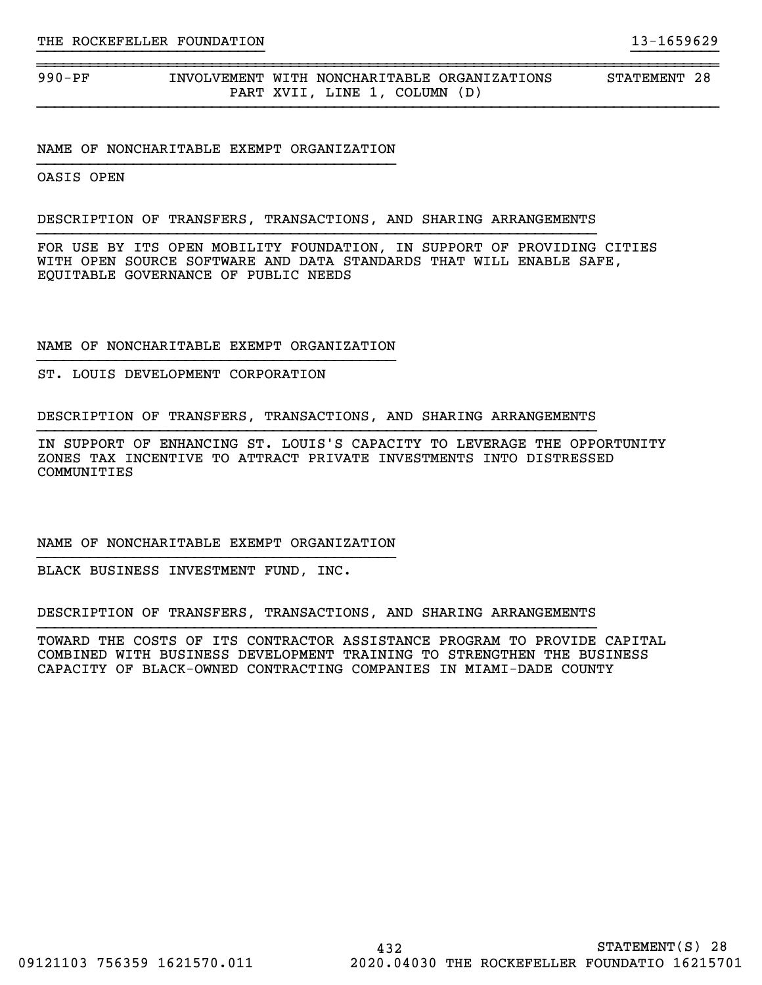990-PF INVOLVEMENT WITH NONCHARITABLE ORGANIZATIONS STATEMENT 28 PART XVII, LINE 1, COLUMN (D)

#### NAME OF NONCHARITABLE EXEMPT ORGANIZATION

OASIS OPEN

#### DESCRIPTION OF TRANSFERS, TRANSACTIONS, AND SHARING ARRANGEMENTS

FOR USE BY ITS OPEN MOBILITY FOUNDATION, IN SUPPORT OF PROVIDING CITIES WITH OPEN SOURCE SOFTWARE AND DATA STANDARDS THAT WILL ENABLE SAFE, EQUITABLE GOVERNANCE OF PUBLIC NEEDS

}}}}}}}}}}}}}}}}}}}}}}}}}} }}}}}}}}}}

~~~~~~~~~~~~~~~~~~~~~~~~~~~~~~~~~~~~~~~~~~~~~~~~~~~~~~~~~~~~~~~~~~~~~~~~~~~~~~

#### NAME OF NONCHARITABLE EXEMPT ORGANIZATION

ST. LOUIS DEVELOPMENT CORPORATION

DESCRIPTION OF TRANSFERS, TRANSACTIONS, AND SHARING ARRANGEMENTS

IN SUPPORT OF ENHANCING ST. LOUIS'S CAPACITY TO LEVERAGE THE OPPORTUNITY ZONES TAX INCENTIVE TO ATTRACT PRIVATE INVESTMENTS INTO DISTRESSED COMMUNITIES

# NAME OF NONCHARITABLE EXEMPT ORGANIZATION

BLACK BUSINESS INVESTMENT FUND, INC.

DESCRIPTION OF TRANSFERS, TRANSACTIONS, AND SHARING ARRANGEMENTS

TOWARD THE COSTS OF ITS CONTRACTOR ASSISTANCE PROGRAM TO PROVIDE CAPITAL COMBINED WITH BUSINESS DEVELOPMENT TRAINING TO STRENGTHEN THE BUSINESS CAPACITY OF BLACK-OWNED CONTRACTING COMPANIES IN MIAMI-DADE COUNTY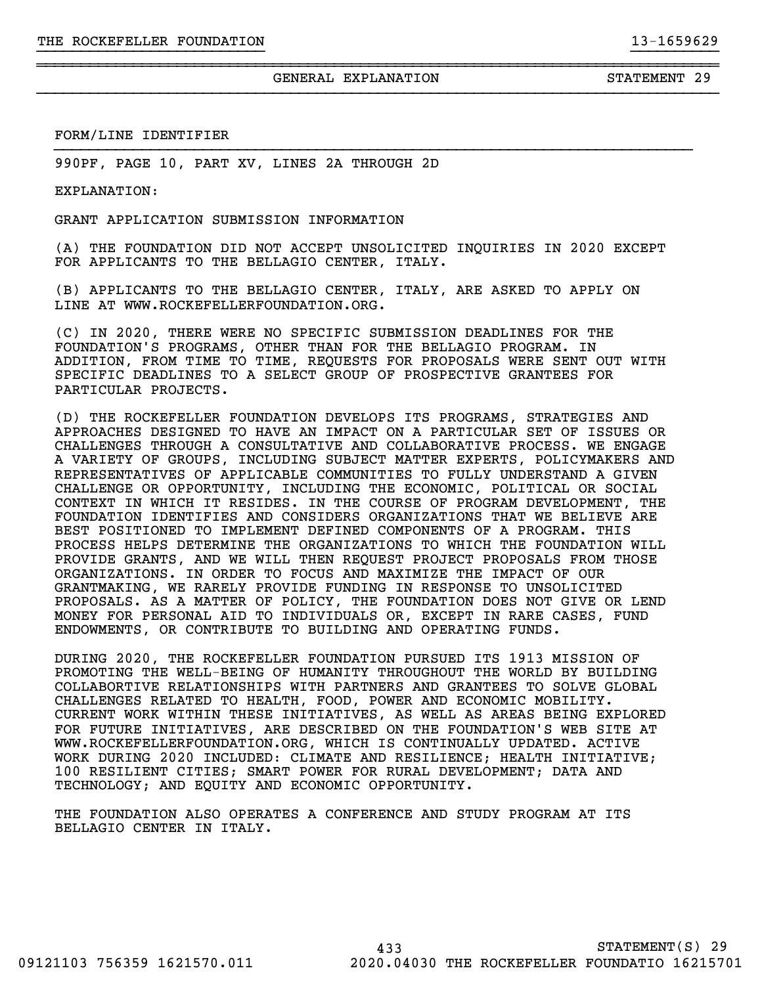}}}}}}}}}}}}}}}}}}}}}}}}}} }}}}}}}}}}

~~~~~~~~~~~~~~~~~~~~~~~~~~~~~~~~~~~~~~~~~~~~~~~~~~~~~~~~~~~~~~~~~~~~~~~~~~~~~~

}}}}}}}}}}}}}}}}}}}}}}}}}}}}}}}}}}}}}}}}}}}}}}}}}}}}}}}}}}}}}}}}}}}}}}}}}

## FORM/LINE IDENTIFIER

990PF, PAGE 10, PART XV, LINES 2A THROUGH 2D

EXPLANATION:

GRANT APPLICATION SUBMISSION INFORMATION

(A) THE FOUNDATION DID NOT ACCEPT UNSOLICITED INQUIRIES IN 2020 EXCEPT FOR APPLICANTS TO THE BELLAGIO CENTER, ITALY.

(B) APPLICANTS TO THE BELLAGIO CENTER, ITALY, ARE ASKED TO APPLY ON LINE AT WWW.ROCKEFELLERFOUNDATION.ORG.

(C) IN 2020, THERE WERE NO SPECIFIC SUBMISSION DEADLINES FOR THE FOUNDATION'S PROGRAMS, OTHER THAN FOR THE BELLAGIO PROGRAM. IN ADDITION, FROM TIME TO TIME, REQUESTS FOR PROPOSALS WERE SENT OUT WITH SPECIFIC DEADLINES TO A SELECT GROUP OF PROSPECTIVE GRANTEES FOR PARTICULAR PROJECTS.

(D) THE ROCKEFELLER FOUNDATION DEVELOPS ITS PROGRAMS, STRATEGIES AND APPROACHES DESIGNED TO HAVE AN IMPACT ON A PARTICULAR SET OF ISSUES OR CHALLENGES THROUGH A CONSULTATIVE AND COLLABORATIVE PROCESS. WE ENGAGE A VARIETY OF GROUPS, INCLUDING SUBJECT MATTER EXPERTS, POLICYMAKERS AND REPRESENTATIVES OF APPLICABLE COMMUNITIES TO FULLY UNDERSTAND A GIVEN CHALLENGE OR OPPORTUNITY, INCLUDING THE ECONOMIC, POLITICAL OR SOCIAL CONTEXT IN WHICH IT RESIDES. IN THE COURSE OF PROGRAM DEVELOPMENT, THE FOUNDATION IDENTIFIES AND CONSIDERS ORGANIZATIONS THAT WE BELIEVE ARE BEST POSITIONED TO IMPLEMENT DEFINED COMPONENTS OF A PROGRAM. THIS PROCESS HELPS DETERMINE THE ORGANIZATIONS TO WHICH THE FOUNDATION WILL PROVIDE GRANTS, AND WE WILL THEN REQUEST PROJECT PROPOSALS FROM THOSE ORGANIZATIONS. IN ORDER TO FOCUS AND MAXIMIZE THE IMPACT OF OUR GRANTMAKING, WE RARELY PROVIDE FUNDING IN RESPONSE TO UNSOLICITED PROPOSALS. AS A MATTER OF POLICY, THE FOUNDATION DOES NOT GIVE OR LEND MONEY FOR PERSONAL AID TO INDIVIDUALS OR, EXCEPT IN RARE CASES, FUND ENDOWMENTS, OR CONTRIBUTE TO BUILDING AND OPERATING FUNDS.

DURING 2020, THE ROCKEFELLER FOUNDATION PURSUED ITS 1913 MISSION OF PROMOTING THE WELL-BEING OF HUMANITY THROUGHOUT THE WORLD BY BUILDING COLLABORTIVE RELATIONSHIPS WITH PARTNERS AND GRANTEES TO SOLVE GLOBAL CHALLENGES RELATED TO HEALTH, FOOD, POWER AND ECONOMIC MOBILITY. CURRENT WORK WITHIN THESE INITIATIVES, AS WELL AS AREAS BEING EXPLORED FOR FUTURE INITIATIVES, ARE DESCRIBED ON THE FOUNDATION'S WEB SITE AT WWW.ROCKEFELLERFOUNDATION.ORG, WHICH IS CONTINUALLY UPDATED. ACTIVE WORK DURING 2020 INCLUDED: CLIMATE AND RESILIENCE; HEALTH INITIATIVE; 100 RESILIENT CITIES; SMART POWER FOR RURAL DEVELOPMENT; DATA AND TECHNOLOGY; AND EQUITY AND ECONOMIC OPPORTUNITY.

THE FOUNDATION ALSO OPERATES A CONFERENCE AND STUDY PROGRAM AT ITS BELLAGIO CENTER IN ITALY.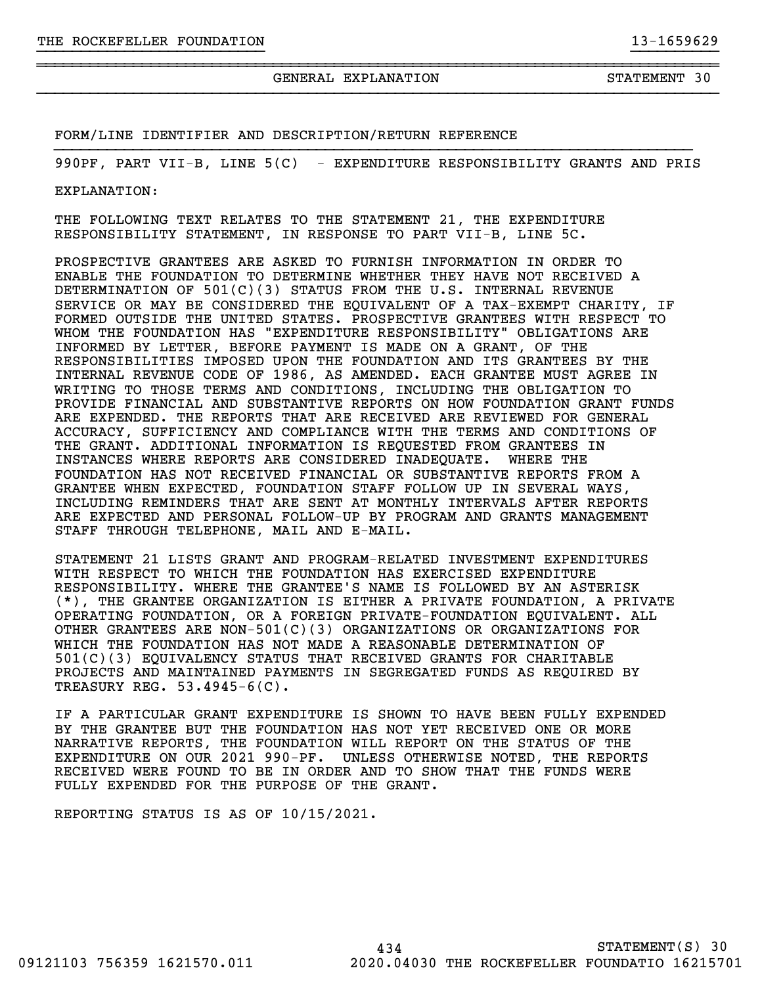GENERAL EXPLANATION STATEMENT 30

FORM/LINE IDENTIFIER AND DESCRIPTION/RETURN REFERENCE

}}}}}}}}}}}}}}}}}}}}}}}}}}}}}}}}}}}}}}}}}}}}}}}}}}}}}}}}}}}}}}}}}}}}}}}}}990PF, PART VII-B, LINE 5(C) - EXPENDITURE RESPONSIBILITY GRANTS AND PRIS

}}}}}}}}}}}}}}}}}}}}}}}}}} }}}}}}}}}}

~~~~~~~~~~~~~~~~~~~~~~~~~~~~~~~~~~~~~~~~~~~~~~~~~~~~~~~~~~~~~~~~~~~~~~~~~~~~~~

EXPLANATION:

THE FOLLOWING TEXT RELATES TO THE STATEMENT 21, THE EXPENDITURE RESPONSIBILITY STATEMENT, IN RESPONSE TO PART VII-B, LINE 5C.

PROSPECTIVE GRANTEES ARE ASKED TO FURNISH INFORMATION IN ORDER TO ENABLE THE FOUNDATION TO DETERMINE WHETHER THEY HAVE NOT RECEIVED A DETERMINATION OF  $501(C)(3)$  STATUS FROM THE U.S. INTERNAL REVENUE SERVICE OR MAY BE CONSIDERED THE EQUIVALENT OF A TAX-EXEMPT CHARITY, IF FORMED OUTSIDE THE UNITED STATES. PROSPECTIVE GRANTEES WITH RESPECT TO WHOM THE FOUNDATION HAS "EXPENDITURE RESPONSIBILITY" OBLIGATIONS ARE INFORMED BY LETTER, BEFORE PAYMENT IS MADE ON A GRANT, OF THE RESPONSIBILITIES IMPOSED UPON THE FOUNDATION AND ITS GRANTEES BY THE INTERNAL REVENUE CODE OF 1986, AS AMENDED. EACH GRANTEE MUST AGREE IN WRITING TO THOSE TERMS AND CONDITIONS, INCLUDING THE OBLIGATION TO PROVIDE FINANCIAL AND SUBSTANTIVE REPORTS ON HOW FOUNDATION GRANT FUNDS ARE EXPENDED. THE REPORTS THAT ARE RECEIVED ARE REVIEWED FOR GENERAL ACCURACY, SUFFICIENCY AND COMPLIANCE WITH THE TERMS AND CONDITIONS OF THE GRANT. ADDITIONAL INFORMATION IS REQUESTED FROM GRANTEES IN INSTANCES WHERE REPORTS ARE CONSIDERED INADEQUATE. WHERE THE FOUNDATION HAS NOT RECEIVED FINANCIAL OR SUBSTANTIVE REPORTS FROM A GRANTEE WHEN EXPECTED, FOUNDATION STAFF FOLLOW UP IN SEVERAL WAYS, INCLUDING REMINDERS THAT ARE SENT AT MONTHLY INTERVALS AFTER REPORTS ARE EXPECTED AND PERSONAL FOLLOW-UP BY PROGRAM AND GRANTS MANAGEMENT STAFF THROUGH TELEPHONE, MAIL AND E-MAIL.

STATEMENT 21 LISTS GRANT AND PROGRAM-RELATED INVESTMENT EXPENDITURES WITH RESPECT TO WHICH THE FOUNDATION HAS EXERCISED EXPENDITURE RESPONSIBILITY. WHERE THE GRANTEE'S NAME IS FOLLOWED BY AN ASTERISK (\*), THE GRANTEE ORGANIZATION IS EITHER A PRIVATE FOUNDATION, A PRIVATE OPERATING FOUNDATION, OR A FOREIGN PRIVATE-FOUNDATION EQUIVALENT. ALL OTHER GRANTEES ARE NON-501(C)(3) ORGANIZATIONS OR ORGANIZATIONS FOR WHICH THE FOUNDATION HAS NOT MADE A REASONABLE DETERMINATION OF 501(C)(3) EQUIVALENCY STATUS THAT RECEIVED GRANTS FOR CHARITABLE PROJECTS AND MAINTAINED PAYMENTS IN SEGREGATED FUNDS AS REQUIRED BY TREASURY REG. 53.4945-6(C).

IF A PARTICULAR GRANT EXPENDITURE IS SHOWN TO HAVE BEEN FULLY EXPENDED BY THE GRANTEE BUT THE FOUNDATION HAS NOT YET RECEIVED ONE OR MORE NARRATIVE REPORTS, THE FOUNDATION WILL REPORT ON THE STATUS OF THE EXPENDITURE ON OUR 2021 990-PF. UNLESS OTHERWISE NOTED, THE REPORTS RECEIVED WERE FOUND TO BE IN ORDER AND TO SHOW THAT THE FUNDS WERE FULLY EXPENDED FOR THE PURPOSE OF THE GRANT.

REPORTING STATUS IS AS OF 10/15/2021.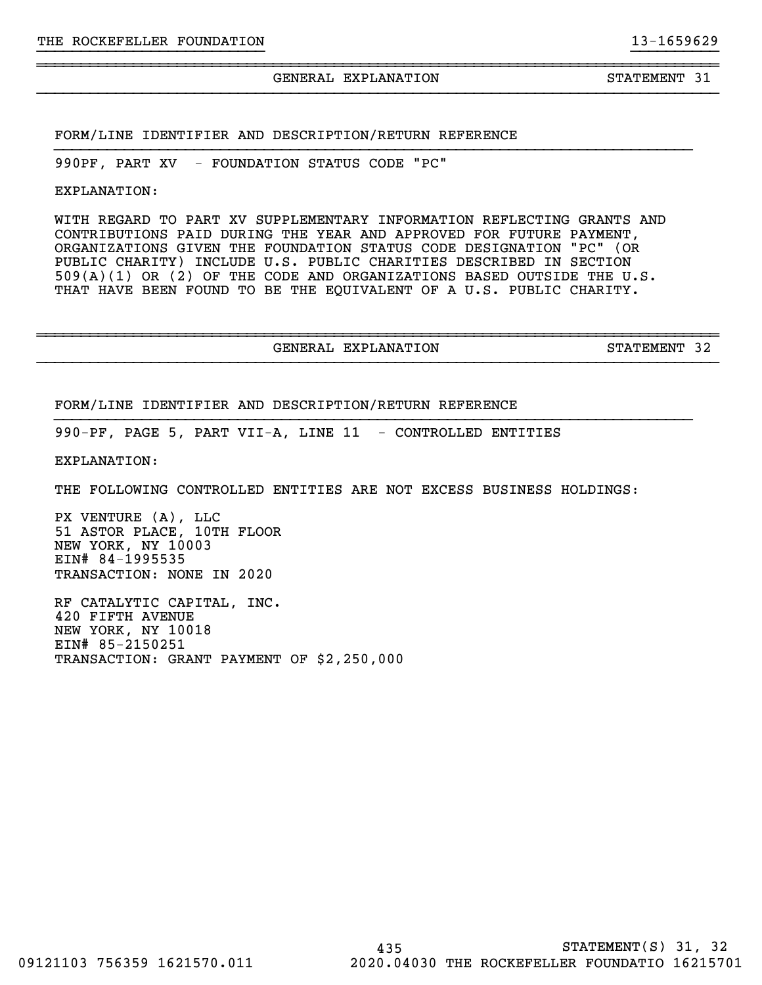GENERAL EXPLANATION STATEMENT 31

}}}}}}}}}}}}}}}}}}}}}}}}}} }}}}}}}}}}

~~~~~~~~~~~~~~~~~~~~~~~~~~~~~~~~~~~~~~~~~~~~~~~~~~~~~~~~~~~~~~~~~~~~~~~~~~~~~~

}}}}}}}}}}}}}}}}}}}}}}}}}}}}}}}}}}}}}}}}}}}}}}}}}}}}}}}}}}}}}}}}}}}}}}}}}

FORM/LINE IDENTIFIER AND DESCRIPTION/RETURN REFERENCE

990PF, PART XV - FOUNDATION STATUS CODE "PC"

EXPLANATION:

WITH REGARD TO PART XV SUPPLEMENTARY INFORMATION REFLECTING GRANTS AND CONTRIBUTIONS PAID DURING THE YEAR AND APPROVED FOR FUTURE PAYMENT, ORGANIZATIONS GIVEN THE FOUNDATION STATUS CODE DESIGNATION "PC" (OR PUBLIC CHARITY) INCLUDE U.S. PUBLIC CHARITIES DESCRIBED IN SECTION 509(A)(1) OR (2) OF THE CODE AND ORGANIZATIONS BASED OUTSIDE THE U.S. THAT HAVE BEEN FOUND TO BE THE EQUIVALENT OF A U.S. PUBLIC CHARITY.

GENERAL EXPLANATION STATEMENT 32

~~~~~~~~~~~~~~~~~~~~~~~~~~~~~~~~~~~~~~~~~~~~~~~~~~~~~~~~~~~~~~~~~~~~~~~~~~~~~~

}}}}}}}}}}}}}}}}}}}}}}}}}}}}}}}}}}}}}}}}}}}}}}}}}}}}}}}}}}}}}}}}}}}}}}}}}

FORM/LINE IDENTIFIER AND DESCRIPTION/RETURN REFERENCE

990-PF, PAGE 5, PART VII-A, LINE 11 - CONTROLLED ENTITIES

EXPLANATION:

THE FOLLOWING CONTROLLED ENTITIES ARE NOT EXCESS BUSINESS HOLDINGS:

PX VENTURE (A), LLC 51 ASTOR PLACE, 10TH FLOOR NEW YORK, NY 10003 EIN# 84-1995535 TRANSACTION: NONE IN 2020

RF CATALYTIC CAPITAL, INC. 420 FIFTH AVENUE NEW YORK, NY 10018 EIN# 85-2150251 TRANSACTION: GRANT PAYMENT OF \$2,250,000